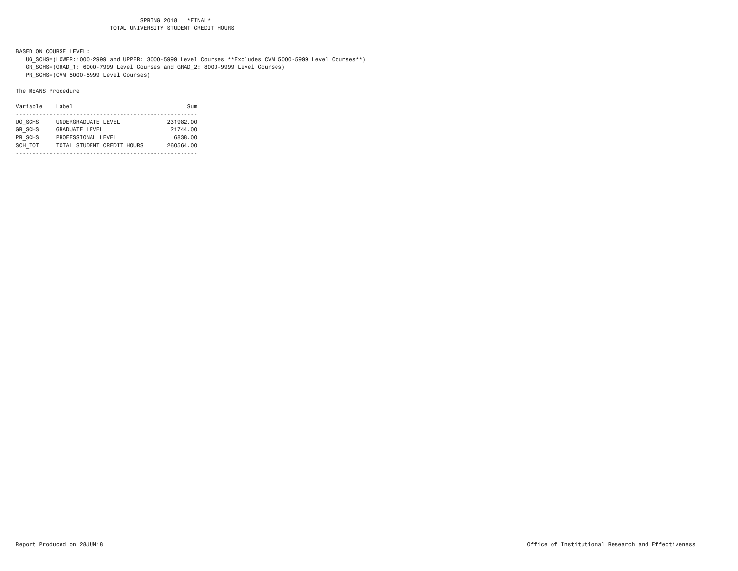BASED ON COURSE LEVEL:

 UG\_SCHS=(LOWER:1000-2999 and UPPER: 3000-5999 Level Courses \*\*Excludes CVM 5000-5999 Level Courses\*\*) GR\_SCHS=(GRAD\_1: 6000-7999 Level Courses and GRAD\_2: 8000-9999 Level Courses)

PR\_SCHS=(CVM 5000-5999 Level Courses)

| Variable       | Label                      | Sum       |
|----------------|----------------------------|-----------|
|                |                            |           |
| UG SCHS        | UNDERGRADUATE LEVEL        | 231982.00 |
| <b>GR SCHS</b> | <b>GRADUATE LEVEL</b>      | 21744.00  |
| PR SCHS        | PROFESSIONAL LEVEL         | 6838,00   |
| SCH TOT        | TOTAL STUDENT CREDIT HOURS | 260564.00 |
|                |                            |           |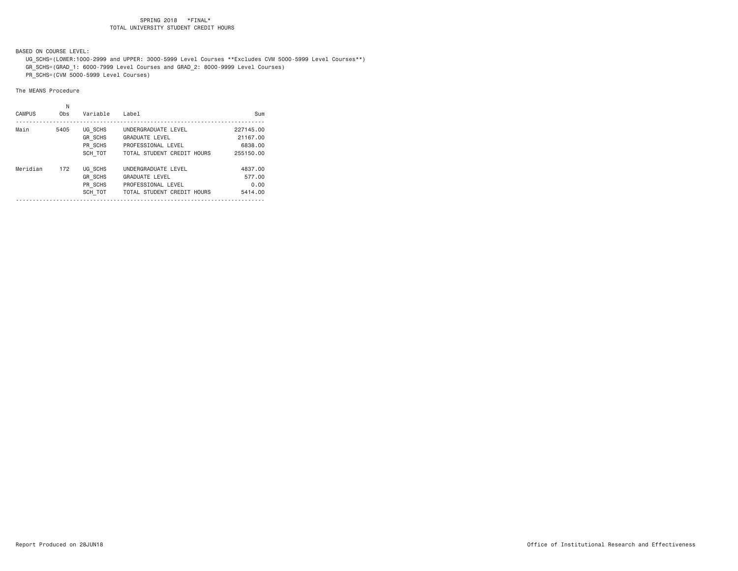BASED ON COURSE LEVEL:

 UG\_SCHS=(LOWER:1000-2999 and UPPER: 3000-5999 Level Courses \*\*Excludes CVM 5000-5999 Level Courses\*\*) GR\_SCHS=(GRAD\_1: 6000-7999 Level Courses and GRAD\_2: 8000-9999 Level Courses) PR\_SCHS=(CVM 5000-5999 Level Courses)

| <b>CAMPUS</b> | Ν<br>Obs | Variable                                        | Label                                                                                            | Sum                                           |
|---------------|----------|-------------------------------------------------|--------------------------------------------------------------------------------------------------|-----------------------------------------------|
| Main          | 5405     | UG SCHS<br><b>GR SCHS</b><br>PR SCHS<br>SCH TOT | UNDERGRADUATE LEVEL<br>GRADUATE LEVEL<br>PROFESSIONAL LEVEL<br>TOTAL STUDENT CREDIT HOURS        | 227145.00<br>21167.00<br>6838,00<br>255150,00 |
| Meridian      | 172      | UG SCHS<br><b>GR SCHS</b><br>PR SCHS<br>SCH TOT | UNDERGRADUATE LEVEL<br><b>GRADUATE LEVEL</b><br>PROFESSIONAL LEVEL<br>TOTAL STUDENT CREDIT HOURS | 4837.00<br>577.00<br>0.00<br>5414.00          |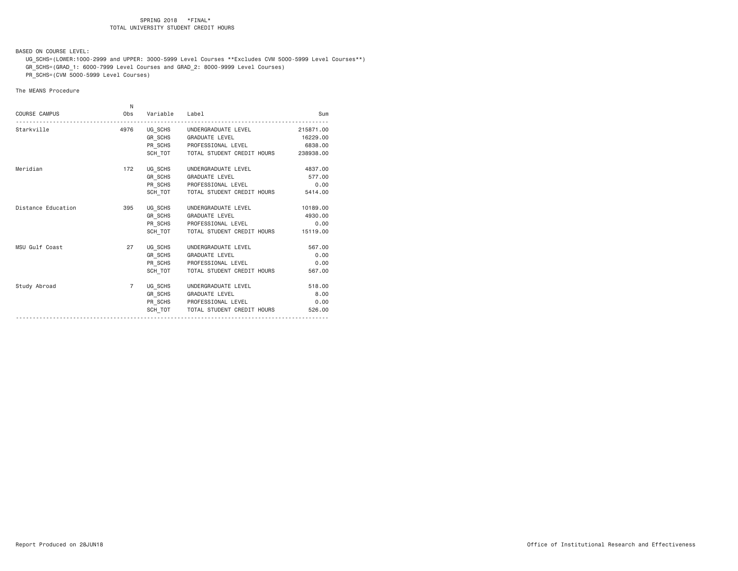BASED ON COURSE LEVEL:

 UG\_SCHS=(LOWER:1000-2999 and UPPER: 3000-5999 Level Courses \*\*Excludes CVM 5000-5999 Level Courses\*\*) GR\_SCHS=(GRAD\_1: 6000-7999 Level Courses and GRAD\_2: 8000-9999 Level Courses)

PR\_SCHS=(CVM 5000-5999 Level Courses)

|                      | N              |                |                                              |           |
|----------------------|----------------|----------------|----------------------------------------------|-----------|
| <b>COURSE CAMPUS</b> | Obs            | Variable Label |                                              | Sum       |
| Starkville           | 4976           |                | UG_SCHS UNDERGRADUATE LEVEL                  | 215871.00 |
|                      |                |                | GR_SCHS GRADUATE LEVEL                       | 16229,00  |
|                      |                |                | PR SCHS PROFESSIONAL LEVEL                   | 6838,00   |
|                      |                |                | SCH TOT TOTAL STUDENT CREDIT HOURS 238938.00 |           |
| Meridian             | 172            |                | UG_SCHS UNDERGRADUATE LEVEL                  | 4837.00   |
|                      |                |                | GR SCHS GRADUATE LEVEL                       | 577.00    |
|                      |                |                | PR SCHS PROFESSIONAL LEVEL                   | 0.00      |
|                      |                |                | SCH TOT   TOTAL STUDENT CREDIT HOURS         | 5414.00   |
| Distance Education   | 395            |                | UG SCHS UNDERGRADUATE LEVEL                  | 10189,00  |
|                      |                |                | GR SCHS GRADUATE LEVEL                       | 4930.00   |
|                      |                |                | PR_SCHS PROFESSIONAL LEVEL                   | 0.00      |
|                      |                |                | SCH TOT TOTAL STUDENT CREDIT HOURS           | 15119.00  |
| MSU Gulf Coast       | 27             |                | UG SCHS UNDERGRADUATE LEVEL                  | 567.00    |
|                      |                |                | GR_SCHS GRADUATE LEVEL                       | 0.00      |
|                      |                |                | PR SCHS PROFESSIONAL LEVEL                   | 0.00      |
|                      |                | SCH TOT        | TOTAL STUDENT CREDIT HOURS                   | 567.00    |
| Study Abroad         | $\overline{7}$ |                | UG SCHS UNDERGRADUATE LEVEL                  | 518.00    |
|                      |                |                | GR SCHS GRADUATE LEVEL                       | 8.00      |
|                      |                |                | PR SCHS PROFESSIONAL LEVEL                   | 0.00      |
|                      |                | SCH TOT        | TOTAL STUDENT CREDIT HOURS                   | 526.00    |
|                      |                |                |                                              |           |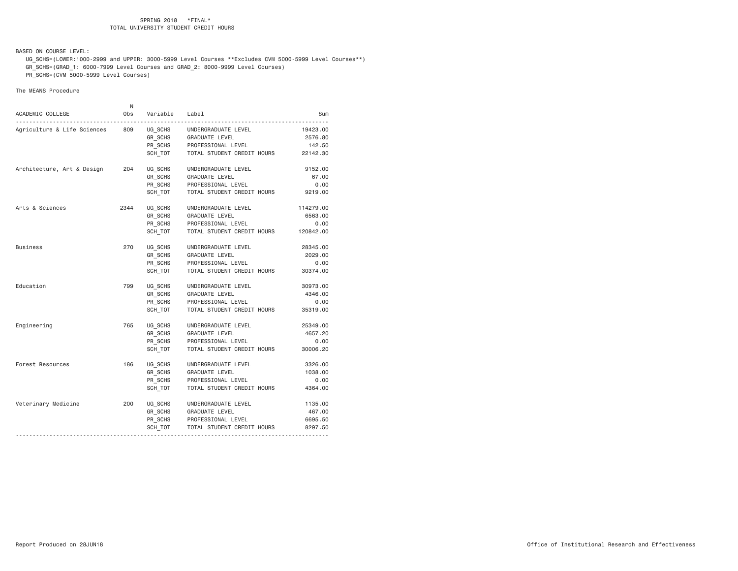BASED ON COURSE LEVEL:

 UG\_SCHS=(LOWER:1000-2999 and UPPER: 3000-5999 Level Courses \*\*Excludes CVM 5000-5999 Level Courses\*\*) GR\_SCHS=(GRAD\_1: 6000-7999 Level Courses and GRAD\_2: 8000-9999 Level Courses) PR\_SCHS=(CVM 5000-5999 Level Courses)

| ACADEMIC COLLEGE            | N<br>Obs | Variable Label |                            | Sum       |
|-----------------------------|----------|----------------|----------------------------|-----------|
| Agriculture & Life Sciences | 809      | UG SCHS        | UNDERGRADUATE LEVEL        | 19423.00  |
|                             |          | GR SCHS        | GRADUATE LEVEL             | 2576.80   |
|                             |          | PR_SCHS        | PROFESSIONAL LEVEL         | 142.50    |
|                             |          | SCH_TOT        | TOTAL STUDENT CREDIT HOURS | 22142.30  |
| Architecture, Art & Design  | 204      | UG_SCHS        | UNDERGRADUATE LEVEL        | 9152.00   |
|                             |          | GR_SCHS        | <b>GRADUATE LEVEL</b>      | 67.00     |
|                             |          | PR SCHS        | PROFESSIONAL LEVEL         | 0.00      |
|                             |          | SCH TOT        | TOTAL STUDENT CREDIT HOURS | 9219.00   |
| Arts & Sciences             | 2344     | UG SCHS        | UNDERGRADUATE LEVEL        | 114279.00 |
|                             |          | GR SCHS        | GRADUATE LEVEL             | 6563.00   |
|                             |          | PR_SCHS        | PROFESSIONAL LEVEL         | 0.00      |
|                             |          | SCH TOT        | TOTAL STUDENT CREDIT HOURS | 120842.00 |
| <b>Business</b>             | 270      | UG SCHS        | UNDERGRADUATE LEVEL        | 28345.00  |
|                             |          | GR SCHS        | GRADUATE LEVEL             | 2029.00   |
|                             |          | PR SCHS        | PROFESSIONAL LEVEL         | 0.00      |
|                             |          | SCH TOT        | TOTAL STUDENT CREDIT HOURS | 30374.00  |
| Education                   | 799      | UG SCHS        | UNDERGRADUATE LEVEL        | 30973.00  |
|                             |          | GR SCHS        | <b>GRADUATE LEVEL</b>      | 4346.00   |
|                             |          | PR_SCHS        | PROFESSIONAL LEVEL         | 0.00      |
|                             |          | SCH TOT        | TOTAL STUDENT CREDIT HOURS | 35319.00  |
| Engineering                 | 765      | UG SCHS        | UNDERGRADUATE LEVEL        | 25349.00  |
|                             |          | GR SCHS        | GRADUATE LEVEL             | 4657.20   |
|                             |          | PR SCHS        | PROFESSIONAL LEVEL         | 0.00      |
|                             |          | SCH TOT        | TOTAL STUDENT CREDIT HOURS | 30006.20  |
| Forest Resources            | 186      | UG SCHS        | UNDERGRADUATE LEVEL        | 3326.00   |
|                             |          | GR_SCHS        | GRADUATE LEVEL             | 1038.00   |
|                             |          | PR SCHS        | PROFESSIONAL LEVEL         | 0.00      |
|                             |          | SCH TOT        | TOTAL STUDENT CREDIT HOURS | 4364.00   |
| Veterinary Medicine         | 200      | UG SCHS        | UNDERGRADUATE LEVEL        | 1135.00   |
|                             |          | GR SCHS        | GRADUATE LEVEL             | 467.00    |
|                             |          | PR SCHS        | PROFESSIONAL LEVEL         | 6695.50   |
|                             |          | SCH_TOT        | TOTAL STUDENT CREDIT HOURS | 8297.50   |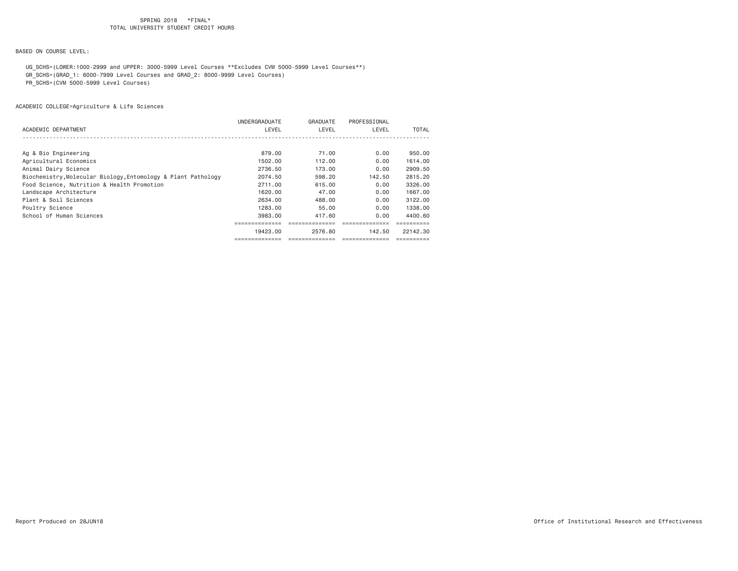BASED ON COURSE LEVEL:

 UG\_SCHS=(LOWER:1000-2999 and UPPER: 3000-5999 Level Courses \*\*Excludes CVM 5000-5999 Level Courses\*\*) GR\_SCHS=(GRAD\_1: 6000-7999 Level Courses and GRAD\_2: 8000-9999 Level Courses)

PR\_SCHS=(CVM 5000-5999 Level Courses)

|                                                               | UNDERGRADUATE | GRADUATE | PROFESSIONAL |          |
|---------------------------------------------------------------|---------------|----------|--------------|----------|
| ACADEMIC DEPARTMENT                                           | LEVEL         | LEVEL    | LEVEL        | TOTAL    |
|                                                               |               |          |              |          |
| Ag & Bio Engineering                                          | 879,00        | 71.00    | 0.00         | 950,00   |
| Agricultural Economics                                        | 1502.00       | 112.00   | 0.00         | 1614.00  |
| Animal Dairy Science                                          | 2736.50       | 173.00   | 0.00         | 2909.50  |
| Biochemistry, Molecular Biology, Entomology & Plant Pathology | 2074.50       | 598,20   | 142.50       | 2815.20  |
| Food Science, Nutrition & Health Promotion                    | 2711.00       | 615,00   | 0.00         | 3326,00  |
| Landscape Architecture                                        | 1620,00       | 47.00    | 0.00         | 1667.00  |
| Plant & Soil Sciences                                         | 2634.00       | 488,00   | 0.00         | 3122.00  |
| Poultry Science                                               | 1283.00       | 55.00    | 0.00         | 1338.00  |
| School of Human Sciences                                      | 3983.00       | 417.60   | 0.00         | 4400.60  |
|                                                               |               |          |              |          |
|                                                               | 19423.00      | 2576.80  | 142.50       | 22142.30 |
|                                                               |               |          |              |          |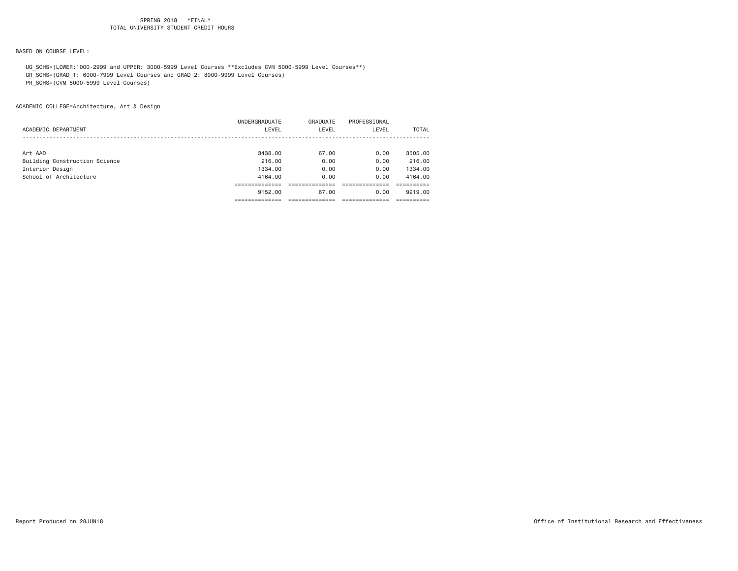# BASED ON COURSE LEVEL:

 UG\_SCHS=(LOWER:1000-2999 and UPPER: 3000-5999 Level Courses \*\*Excludes CVM 5000-5999 Level Courses\*\*) GR\_SCHS=(GRAD\_1: 6000-7999 Level Courses and GRAD\_2: 8000-9999 Level Courses)

PR\_SCHS=(CVM 5000-5999 Level Courses)

ACADEMIC COLLEGE=Architecture, Art & Design

|                               | UNDERGRADUATE | GRADUATE | PROFESSIONAL |         |
|-------------------------------|---------------|----------|--------------|---------|
| ACADEMIC DEPARTMENT           | LEVEL         | LEVEL    | LEVEL        | TOTAL   |
|                               |               |          |              |         |
| Art AAD                       | 3438.00       | 67.00    | 0.00         | 3505,00 |
| Building Construction Science | 216.00        | 0.00     | 0.00         | 216.00  |
| Interior Design               | 1334.00       | 0.00     | 0.00         | 1334.00 |
| School of Architecture        | 4164.00       | 0.00     | 0.00         | 4164.00 |
|                               |               |          |              |         |
|                               | 9152.00       | 67.00    | 0.00         | 9219.00 |
|                               |               |          |              |         |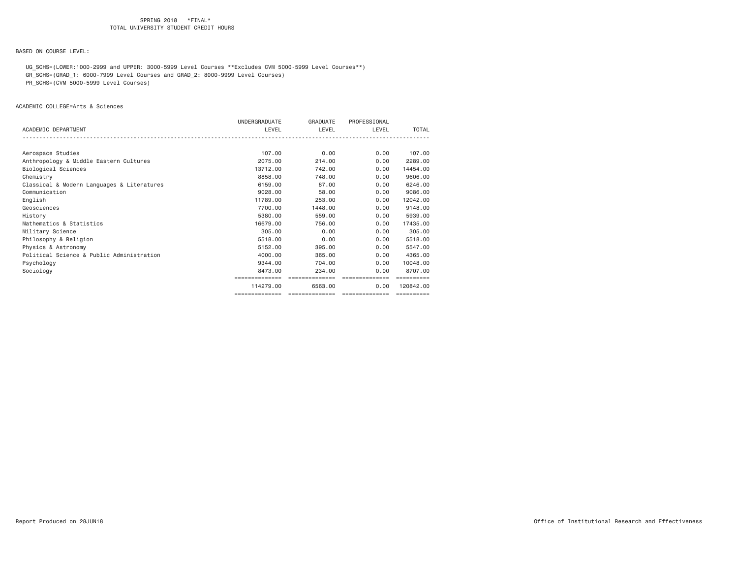BASED ON COURSE LEVEL:

 UG\_SCHS=(LOWER:1000-2999 and UPPER: 3000-5999 Level Courses \*\*Excludes CVM 5000-5999 Level Courses\*\*) GR\_SCHS=(GRAD\_1: 6000-7999 Level Courses and GRAD\_2: 8000-9999 Level Courses)

PR\_SCHS=(CVM 5000-5999 Level Courses)

ACADEMIC COLLEGE=Arts & Sciences

|                                            | UNDERGRADUATE  | <b>GRADUATE</b> | PROFESSIONAL   |           |
|--------------------------------------------|----------------|-----------------|----------------|-----------|
| ACADEMIC DEPARTMENT                        | LEVEL          | LEVEL           | LEVEL          | TOTAL     |
|                                            |                |                 |                |           |
| Aerospace Studies                          | 107,00         | 0.00            | 0.00           | 107.00    |
| Anthropology & Middle Eastern Cultures     | 2075.00        | 214.00          | 0.00           | 2289.00   |
| Biological Sciences                        | 13712.00       | 742.00          | 0.00           | 14454.00  |
| Chemistry                                  | 8858,00        | 748,00          | 0.00           | 9606,00   |
| Classical & Modern Languages & Literatures | 6159.00        | 87.00           | 0.00           | 6246,00   |
| Communication                              | 9028,00        | 58,00           | 0.00           | 9086,00   |
| English                                    | 11789.00       | 253,00          | 0.00           | 12042.00  |
| Geosciences                                | 7700.00        | 1448.00         | 0.00           | 9148.00   |
| History                                    | 5380.00        | 559,00          | 0.00           | 5939.00   |
| Mathematics & Statistics                   | 16679.00       | 756.00          | 0.00           | 17435.00  |
| Military Science                           | 305,00         | 0.00            | 0.00           | 305,00    |
| Philosophy & Religion                      | 5518.00        | 0.00            | 0.00           | 5518.00   |
| Physics & Astronomy                        | 5152.00        | 395,00          | 0.00           | 5547.00   |
| Political Science & Public Administration  | 4000.00        | 365,00          | 0.00           | 4365,00   |
| Psychology                                 | 9344.00        | 704.00          | 0.00           | 10048.00  |
| Sociology                                  | 8473.00        | 234,00          | 0.00           | 8707.00   |
|                                            |                |                 |                |           |
|                                            | 114279.00      | 6563,00         | 0.00           | 120842.00 |
|                                            | ============== | ==============  | ============== |           |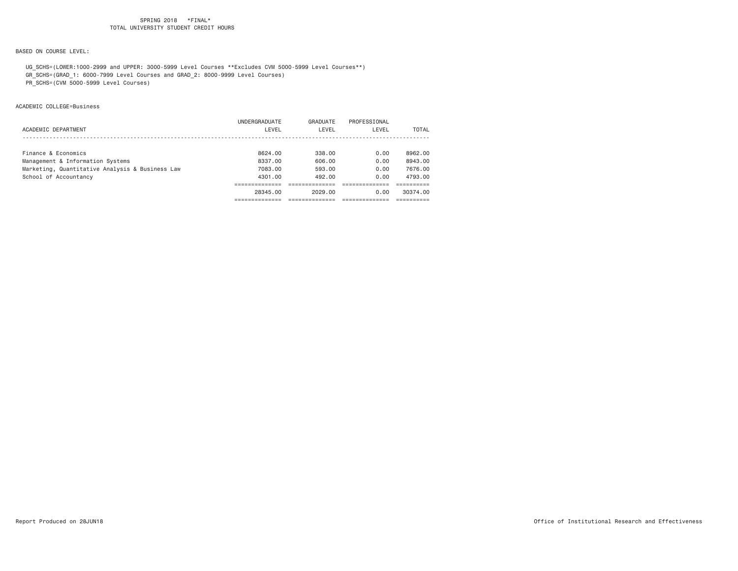# BASED ON COURSE LEVEL:

 UG\_SCHS=(LOWER:1000-2999 and UPPER: 3000-5999 Level Courses \*\*Excludes CVM 5000-5999 Level Courses\*\*) GR\_SCHS=(GRAD\_1: 6000-7999 Level Courses and GRAD\_2: 8000-9999 Level Courses)

PR\_SCHS=(CVM 5000-5999 Level Courses)

#### ACADEMIC COLLEGE=Business

|                                                 | UNDERGRADUATE | GRADUATE | PROFESSIONAL |          |
|-------------------------------------------------|---------------|----------|--------------|----------|
| ACADEMIC DEPARTMENT                             | LEVEL         | LEVEL    | LEVEL        | TOTAL    |
|                                                 |               |          |              |          |
| Finance & Economics                             | 8624.00       | 338.00   | 0.00         | 8962.00  |
|                                                 |               |          |              |          |
| Management & Information Systems                | 8337.00       | 606.00   | 0.00         | 8943.00  |
| Marketing, Quantitative Analysis & Business Law | 7083.00       | 593.00   | 0.00         | 7676.00  |
| School of Accountancy                           | 4301.00       | 492.00   | 0.00         | 4793.00  |
|                                                 |               |          |              |          |
|                                                 | 28345.00      | 2029.00  | 0.00         | 30374.00 |
|                                                 |               |          |              |          |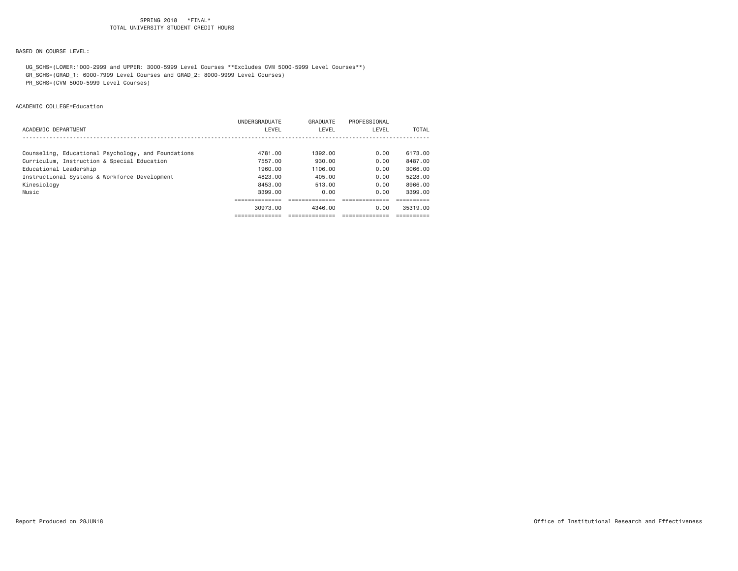BASED ON COURSE LEVEL:

 UG\_SCHS=(LOWER:1000-2999 and UPPER: 3000-5999 Level Courses \*\*Excludes CVM 5000-5999 Level Courses\*\*) GR\_SCHS=(GRAD\_1: 6000-7999 Level Courses and GRAD\_2: 8000-9999 Level Courses)

PR\_SCHS=(CVM 5000-5999 Level Courses)

ACADEMIC COLLEGE=Education

|                                                     | 30973.00                      | 4346.00           | 0.00                  | 35319.00     |
|-----------------------------------------------------|-------------------------------|-------------------|-----------------------|--------------|
|                                                     |                               |                   |                       |              |
| Music                                               | 3399.00                       | 0.00              | 0.00                  | 3399.00      |
| Kinesiology                                         | 8453.00                       | 513.00            | 0.00                  | 8966.00      |
| Instructional Systems & Workforce Development       | 4823.00                       | 405.00            | 0.00                  | 5228.00      |
| Educational Leadership                              | 1960.00                       | 1106.00           | 0.00                  | 3066.00      |
| Curriculum, Instruction & Special Education         | 7557.00                       | 930.00            | 0.00                  | 8487.00      |
| Counseling, Educational Psychology, and Foundations | 4781.00                       | 1392.00           | 0.00                  | 6173.00      |
|                                                     |                               |                   |                       |              |
| ACADEMIC DEPARTMENT                                 | <b>UNDERGRADUATE</b><br>LEVEL | GRADUATE<br>LEVEL | PROFESSIONAL<br>LEVEL | <b>TOTAL</b> |
|                                                     |                               |                   |                       |              |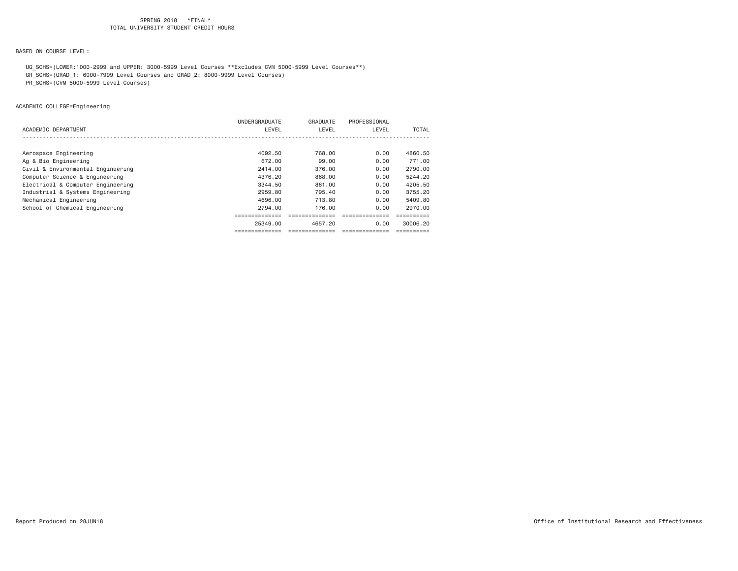BASED ON COURSE LEVEL:

 UG\_SCHS=(LOWER:1000-2999 and UPPER: 3000-5999 Level Courses \*\*Excludes CVM 5000-5999 Level Courses\*\*) GR\_SCHS=(GRAD\_1: 6000-7999 Level Courses and GRAD\_2: 8000-9999 Level Courses)

PR\_SCHS=(CVM 5000-5999 Level Courses)

ACADEMIC COLLEGE=Engineering

|                                   | UNDERGRADUATE | GRADUATE | PROFESSIONAL |          |
|-----------------------------------|---------------|----------|--------------|----------|
| ACADEMIC DEPARTMENT               | LEVEL         | LEVEL    | LEVEL        | TOTAL    |
|                                   |               |          |              |          |
|                                   |               |          |              |          |
| Aerospace Engineering             | 4092.50       | 768,00   | 0.00         | 4860.50  |
| Ag & Bio Engineering              | 672.00        | 99.00    | 0.00         | 771.00   |
| Civil & Environmental Engineering | 2414.00       | 376,00   | 0.00         | 2790.00  |
| Computer Science & Engineering    | 4376.20       | 868,00   | 0.00         | 5244.20  |
| Electrical & Computer Engineering | 3344.50       | 861.00   | 0.00         | 4205.50  |
| Industrial & Systems Engineering  | 2959.80       | 795.40   | 0.00         | 3755.20  |
| Mechanical Engineering            | 4696.00       | 713.80   | 0.00         | 5409.80  |
| School of Chemical Engineering    | 2794.00       | 176.00   | 0.00         | 2970.00  |
|                                   |               |          |              |          |
|                                   | 25349.00      | 4657.20  | 0.00         | 30006.20 |
|                                   | .             |          |              |          |
|                                   |               |          |              |          |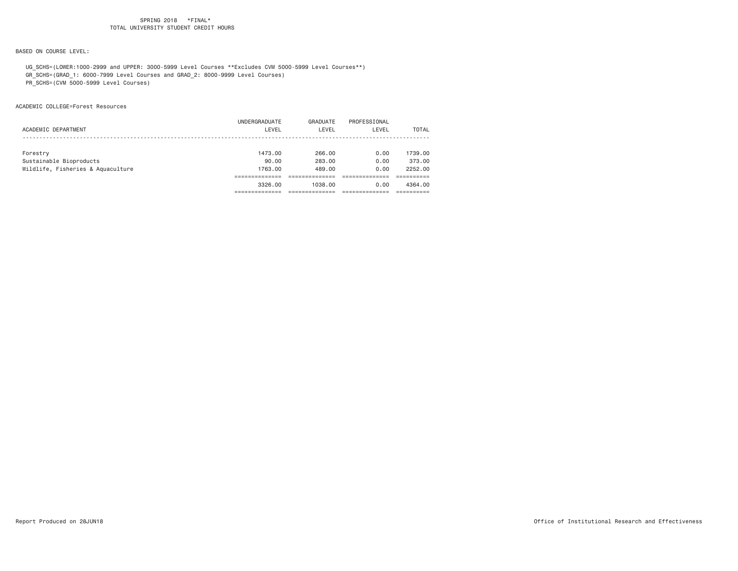# BASED ON COURSE LEVEL:

 UG\_SCHS=(LOWER:1000-2999 and UPPER: 3000-5999 Level Courses \*\*Excludes CVM 5000-5999 Level Courses\*\*) GR\_SCHS=(GRAD\_1: 6000-7999 Level Courses and GRAD\_2: 8000-9999 Level Courses)

PR\_SCHS=(CVM 5000-5999 Level Courses)

#### ACADEMIC COLLEGE=Forest Resources

|                                   | UNDERGRADUATE | GRADUATE | PROFESSIONAL |         |
|-----------------------------------|---------------|----------|--------------|---------|
| ACADEMIC DEPARTMENT               | LEVEL         | LEVEL    | LEVEL        | TOTAL   |
|                                   |               |          |              |         |
|                                   |               |          |              |         |
| Forestry                          | 1473.00       | 266.00   | 0.00         | 1739.00 |
| Sustainable Bioproducts           | 90.00         | 283.00   | 0.00         | 373,00  |
| Wildlife, Fisheries & Aquaculture | 1763.00       | 489.00   | 0.00         | 2252.00 |
|                                   |               |          |              |         |
|                                   | 3326.00       | 1038.00  | 0.00         | 4364,00 |
|                                   |               |          |              |         |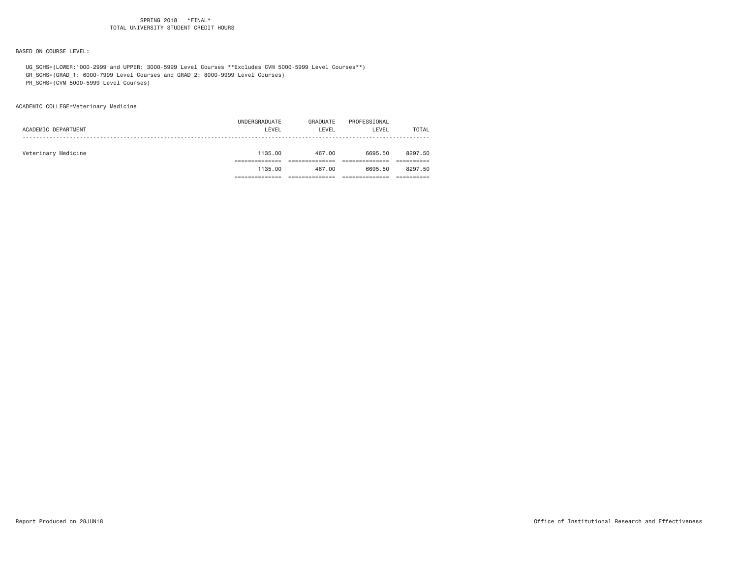BASED ON COURSE LEVEL:

 UG\_SCHS=(LOWER:1000-2999 and UPPER: 3000-5999 Level Courses \*\*Excludes CVM 5000-5999 Level Courses\*\*) GR\_SCHS=(GRAD\_1: 6000-7999 Level Courses and GRAD\_2: 8000-9999 Level Courses)

PR\_SCHS=(CVM 5000-5999 Level Courses)

ACADEMIC COLLEGE=Veterinary Medicine

| ACADEMIC DEPARTMENT | UNDERGRADUATE<br>LEVEL | GRADUATE<br>LEVEL | PROFESSIONAL<br>LEVEL | TOTAL   |
|---------------------|------------------------|-------------------|-----------------------|---------|
| Veterinary Medicine | 1135.00                | 467.00            | 6695.50               | 8297.50 |
|                     |                        |                   |                       |         |
|                     | 1135.00                | 467.00            | 6695.50               | 8297.50 |
|                     |                        |                   |                       |         |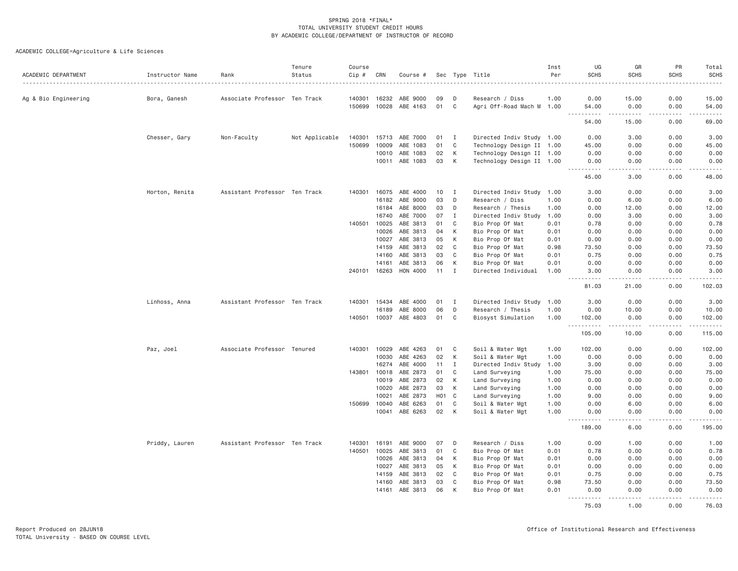| ACADEMIC DEPARTMENT  | Instructor Name | Rank                          | Tenure<br>Status | Course<br>Cip # | CRN   | Course #              |                  |              | Sec Type Title            | Inst<br>Per | UG<br><b>SCHS</b>                                      | GR<br><b>SCHS</b>   | PR<br><b>SCHS</b> | Total<br><b>SCHS</b> |
|----------------------|-----------------|-------------------------------|------------------|-----------------|-------|-----------------------|------------------|--------------|---------------------------|-------------|--------------------------------------------------------|---------------------|-------------------|----------------------|
|                      |                 |                               |                  | .               |       |                       |                  |              |                           |             |                                                        |                     |                   | .                    |
| Ag & Bio Engineering | Bora, Ganesh    | Associate Professor Ten Track |                  | 140301          | 16232 | ABE 9000              | 09               | D            | Research / Diss           | 1.00        | 0.00                                                   | 15.00               | 0.00              | 15.00                |
|                      |                 |                               |                  | 150699          | 10028 | ABE 4163              | 01               | C            | Agri Off-Road Mach M 1.00 |             | 54.00<br>-----                                         | 0.00<br>.           | 0.00<br><u>.</u>  | 54.00<br>.           |
|                      |                 |                               |                  |                 |       |                       |                  |              |                           |             | 54.00                                                  | 15.00               | 0.00              | 69.00                |
|                      | Chesser, Gary   | Non-Faculty                   | Not Applicable   | 140301          | 15713 | ABE 7000              | 01               | $\mathbf{I}$ | Directed Indiv Study 1.00 |             | 0.00                                                   | 3.00                | 0.00              | 3.00                 |
|                      |                 |                               |                  | 150699          | 10009 | ABE 1083              | 01               | C            | Technology Design II 1.00 |             | 45.00                                                  | 0.00                | 0.00              | 45.00                |
|                      |                 |                               |                  |                 | 10010 | ABE 1083              | 02               | K            | Technology Design II 1.00 |             | 0.00                                                   | 0.00                | 0.00              | 0.00                 |
|                      |                 |                               |                  |                 |       | 10011 ABE 1083        | 03               | K            | Technology Design II 1.00 |             | 0.00<br>$\omega$ is a set                              | 0.00<br>.           | 0.00<br>.         | 0.00<br>.            |
|                      |                 |                               |                  |                 |       |                       |                  |              |                           |             | 45.00                                                  | 3.00                | 0.00              | 48.00                |
|                      | Horton, Renita  | Assistant Professor Ten Track |                  | 140301          | 16075 | ABE 4000              | 10               | I            | Directed Indiv Study      | 1.00        | 3.00                                                   | 0.00                | 0.00              | 3.00                 |
|                      |                 |                               |                  |                 | 16182 | ABE 9000              | 03               | D            | Research / Diss           | 1.00        | 0.00                                                   | 6.00                | 0.00              | 6.00                 |
|                      |                 |                               |                  |                 | 16184 | ABE 8000              | 03               | D            | Research / Thesis         | 1.00        | 0.00                                                   | 12.00               | 0.00              | 12.00                |
|                      |                 |                               |                  |                 | 16740 | ABE 7000              | 07               | $\mathbf{I}$ | Directed Indiv Study      | 1.00        | 0.00                                                   | 3.00                | 0.00              | 3.00                 |
|                      |                 |                               |                  | 140501          | 10025 | ABE 3813              | 01               | C            | Bio Prop Of Mat           | 0.01        | 0.78                                                   | 0.00                | 0.00              | 0.78                 |
|                      |                 |                               |                  |                 | 10026 | ABE 3813              | 04               | К            | Bio Prop Of Mat           | 0.01        | 0.00                                                   | 0.00                | 0.00              | 0.00                 |
|                      |                 |                               |                  |                 | 10027 | ABE 3813              | 05               | К            | Bio Prop Of Mat           | 0.01        | 0.00                                                   | 0.00                | 0.00              | 0.00                 |
|                      |                 |                               |                  |                 | 14159 | ABE 3813              | 02               | C            | Bio Prop Of Mat           | 0.98        | 73.50                                                  | 0.00                | 0.00              | 73.50                |
|                      |                 |                               |                  |                 | 14160 | ABE 3813              | 03               | C            | Bio Prop Of Mat           | 0.01        | 0.75                                                   | 0.00                | 0.00              | 0.75                 |
|                      |                 |                               |                  |                 | 14161 | ABE 3813              | 06               | K            | Bio Prop Of Mat           | 0.01        | 0.00                                                   | 0.00                | 0.00              | 0.00                 |
|                      |                 |                               |                  | 240101          | 16263 | HON 4000              | 11               | I            | Directed Individual       | 1.00        | 3.00<br>$\sim$ $\sim$ $\sim$                           | 0.00<br>.           | 0.00<br>.         | 3.00<br>.            |
|                      |                 |                               |                  |                 |       |                       |                  |              |                           |             | 81.03                                                  | 21.00               | 0.00              | 102.03               |
|                      | Linhoss, Anna   | Assistant Professor Ten Track |                  | 140301          | 15434 | ABE 4000              | 01               | I            | Directed Indiv Study      | 1.00        | 3.00                                                   | 0.00                | 0.00              | 3.00                 |
|                      |                 |                               |                  |                 | 16189 | ABE 8000              | 06               | D            | Research / Thesis         | 1.00        | 0.00                                                   | 10.00               | 0.00              | 10.00                |
|                      |                 |                               |                  |                 |       | 140501 10037 ABE 4803 | 01               | C            | Biosyst Simulation        | 1.00        | 102.00<br>$\sim$ $\sim$ $\sim$<br>.                    | 0.00<br>.           | 0.00<br>.         | 102.00<br>2.22222    |
|                      |                 |                               |                  |                 |       |                       |                  |              |                           |             | 105.00                                                 | 10.00               | 0.00              | 115.00               |
|                      | Paz, Joel       | Associate Professor Tenured   |                  | 140301          | 10029 | ABE 4263              | 01               | C            | Soil & Water Mgt          | 1.00        | 102.00                                                 | 0.00                | 0.00              | 102.00               |
|                      |                 |                               |                  |                 | 10030 | ABE 4263              | 02               | К            | Soil & Water Mgt          | 1.00        | 0.00                                                   | 0.00                | 0.00              | 0.00                 |
|                      |                 |                               |                  |                 | 16274 | ABE 4000              | 11               | I            | Directed Indiv Study      | 1.00        | 3.00                                                   | 0.00                | 0.00              | 3.00                 |
|                      |                 |                               |                  | 143801          | 10018 | ABE 2873              | 01               | C            | Land Surveying            | 1.00        | 75.00                                                  | 0.00                | 0.00              | 75.00                |
|                      |                 |                               |                  |                 | 10019 | ABE 2873              | 02               | К            | Land Surveying            | 1.00        | 0.00                                                   | 0.00                | 0.00              | 0.00                 |
|                      |                 |                               |                  |                 | 10020 | ABE 2873              | 03               | K            | Land Surveying            | 1.00        | 0.00                                                   | 0.00                | 0.00              | 0.00                 |
|                      |                 |                               |                  |                 | 10021 | ABE 2873              | H <sub>0</sub> 1 | C            | Land Surveying            | 1.00        | 9.00                                                   | 0.00                | 0.00              | 9.00                 |
|                      |                 |                               |                  | 150699          | 10040 | ABE 6263              | 01               | $\mathbf C$  | Soil & Water Mgt          | 1.00        | 0.00                                                   | 6.00                | 0.00              | 6.00                 |
|                      |                 |                               |                  |                 | 10041 | ABE 6263              | 02               | K            | Soil & Water Mgt          | 1.00        | 0.00<br><b><i><u>.</u></i></b><br>$\sim$ $\sim$ $\sim$ | 0.00<br>.           | 0.00<br>.         | 0.00<br>.            |
|                      |                 |                               |                  |                 |       |                       |                  |              |                           |             | 189.00                                                 | 6.00                | 0.00              | 195.00               |
|                      | Priddy, Lauren  | Assistant Professor Ten Track |                  | 140301          | 16191 | ABE 9000              | 07               | D            | Research / Diss           | 1.00        | 0.00                                                   | 1.00                | 0.00              | 1.00                 |
|                      |                 |                               |                  | 140501          | 10025 | ABE 3813              | 01               | C            | Bio Prop Of Mat           | 0.01        | 0.78                                                   | 0.00                | 0.00              | 0.78                 |
|                      |                 |                               |                  |                 | 10026 | ABE 3813              | 04               | К            | Bio Prop Of Mat           | 0.01        | 0.00                                                   | 0.00                | 0.00              | 0.00                 |
|                      |                 |                               |                  |                 | 10027 | ABE 3813              | 05               | К            | Bio Prop Of Mat           | 0.01        | 0.00                                                   | 0.00                | 0.00              | 0.00                 |
|                      |                 |                               |                  |                 | 14159 | ABE 3813              | 02               | C            | Bio Prop Of Mat           | 0.01        | 0.75                                                   | 0.00                | 0.00              | 0.75                 |
|                      |                 |                               |                  |                 | 14160 | ABE 3813              | 03               | C            | Bio Prop Of Mat           | 0.98        | 73.50                                                  | 0.00                | 0.00              | 73.50                |
|                      |                 |                               |                  |                 | 14161 | ABE 3813              | 06               | К            | Bio Prop Of Mat           | 0.01        | 0.00<br>.                                              | 0.00<br>$- - - - -$ | 0.00<br>.         | 0.00<br><u>.</u>     |
|                      |                 |                               |                  |                 |       |                       |                  |              |                           |             | 75.03                                                  | 1.00                | 0.00              | 76.03                |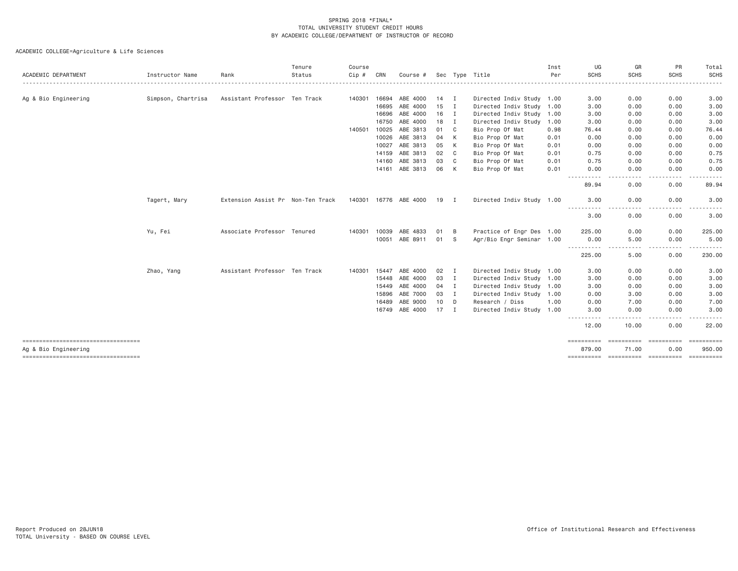| ACADEMIC DEPARTMENT                                        | Instructor Name    | Rank                              | Tenure<br>Status | Course<br>Cip# | CRN   | Course #              |                 |              | Sec Type Title            | Inst<br>Per | UG<br><b>SCHS</b>              | GR<br><b>SCHS</b>         | PR<br><b>SCHS</b>  | Total<br><b>SCHS</b> |
|------------------------------------------------------------|--------------------|-----------------------------------|------------------|----------------|-------|-----------------------|-----------------|--------------|---------------------------|-------------|--------------------------------|---------------------------|--------------------|----------------------|
|                                                            |                    |                                   |                  |                |       |                       |                 |              |                           |             |                                |                           |                    |                      |
| Ag & Bio Engineering                                       | Simpson, Chartrisa | Assistant Professor Ten Track     |                  | 140301         | 16694 | ABE 4000              | 14 I            |              | Directed Indiv Study 1.00 |             | 3.00                           | 0.00                      | 0.00               | 3.00                 |
|                                                            |                    |                                   |                  |                | 16695 | ABE 4000              | 15              | I            | Directed Indiv Study 1.00 |             | 3.00                           | 0.00                      | 0.00               | 3.00                 |
|                                                            |                    |                                   |                  |                | 16696 | ABE 4000              | 16              | I.           | Directed Indiv Study 1.00 |             | 3.00                           | 0.00                      | 0.00               | 3.00                 |
|                                                            |                    |                                   |                  |                | 16750 | ABE 4000              | 18              | I            | Directed Indiv Study 1.00 |             | 3.00                           | 0.00                      | 0.00               | 3.00                 |
|                                                            |                    |                                   |                  | 140501         | 10025 | ABE 3813              | 01              | C            | Bio Prop Of Mat           | 0.98        | 76.44                          | 0.00                      | 0.00               | 76.44                |
|                                                            |                    |                                   |                  |                | 10026 | ABE 3813              | 04              | K            | Bio Prop Of Mat           | 0.01        | 0.00                           | 0.00                      | 0.00               | 0.00                 |
|                                                            |                    |                                   |                  |                | 10027 | ABE 3813              | 05              | K            | Bio Prop Of Mat           | 0.01        | 0.00                           | 0.00                      | 0.00               | 0.00                 |
|                                                            |                    |                                   |                  |                | 14159 | ABE 3813              | 02              | C            | Bio Prop Of Mat           | 0.01        | 0.75                           | 0.00                      | 0.00               | 0.75                 |
|                                                            |                    |                                   |                  |                | 14160 | ABE 3813              | 03              | C            | Bio Prop Of Mat           | 0.01        | 0.75                           | 0.00                      | 0.00               | 0.75                 |
|                                                            |                    |                                   |                  |                | 14161 | ABE 3813              | 06              | K            | Bio Prop Of Mat           | 0.01        | 0.00<br>.                      | 0.00<br>$- - - -$         | 0.00<br>.          | 0.00<br>.            |
|                                                            |                    |                                   |                  |                |       |                       |                 |              |                           |             | 89.94                          | 0.00                      | 0.00               | 89.94                |
|                                                            | Tagert, Mary       | Extension Assist Pr Non-Ten Track |                  |                |       | 140301 16776 ABE 4000 | 19 I            |              | Directed Indiv Study 1.00 |             | 3.00                           | 0.00                      | 0.00               | 3.00                 |
|                                                            |                    |                                   |                  |                |       |                       |                 |              |                           |             | 3.00                           | 0.00                      | 0.00               | 3.00                 |
|                                                            | Yu, Fei            | Associate Professor Tenured       |                  | 140301         | 10039 | ABE 4833              | 01              | B            | Practice of Engr Des 1.00 |             | 225.00                         | 0.00                      | 0.00               | 225.00               |
|                                                            |                    |                                   |                  |                | 10051 | ABE 8911              | 01 S            |              | Agr/Bio Engr Seminar 1.00 |             | 0.00                           | 5.00                      | 0.00               | 5.00                 |
|                                                            |                    |                                   |                  |                |       |                       |                 |              |                           |             | .<br>225.00                    | 5.00                      | 0.00               | 230.00               |
|                                                            | Zhao, Yang         | Assistant Professor Ten Track     |                  | 140301         | 15447 | ABE 4000              | 02              | $\mathbf{I}$ | Directed Indiv Study 1.00 |             | 3.00                           | 0.00                      | 0.00               | 3.00                 |
|                                                            |                    |                                   |                  |                | 15448 | ABE 4000              | 03              | $\mathbf I$  | Directed Indiv Study 1.00 |             | 3.00                           | 0.00                      | 0.00               | 3.00                 |
|                                                            |                    |                                   |                  |                | 15449 | ABE 4000              | 04              | $\mathbf I$  | Directed Indiv Study 1.00 |             | 3.00                           | 0.00                      | 0.00               | 3.00                 |
|                                                            |                    |                                   |                  |                | 15896 | ABE 7000              | 03              | $\mathbf I$  | Directed Indiv Study 1.00 |             | 0.00                           | 3.00                      | 0.00               | 3.00                 |
|                                                            |                    |                                   |                  |                | 16489 | ABE 9000              | 10 <sub>1</sub> | D            | Research / Diss           | 1,00        | 0.00                           | 7.00                      | 0.00               | 7.00                 |
|                                                            |                    |                                   |                  |                | 16749 | ABE 4000              | 17              | I.           | Directed Indiv Study 1.00 |             | 3.00                           | 0.00                      | 0.00               | 3.00                 |
|                                                            |                    |                                   |                  |                |       |                       |                 |              |                           |             | $\frac{1}{2}$<br>----<br>12.00 | 10.00                     | 0.00               | 22.00                |
| ----------------------------------<br>Ag & Bio Engineering |                    |                                   |                  |                |       |                       |                 |              |                           |             | ==========<br>879.00           | <b>EEEEEEEEE</b><br>71.00 | ==========<br>0.00 | ==========<br>950.00 |
| ----------------------------------                         |                    |                                   |                  |                |       |                       |                 |              |                           |             |                                |                           |                    |                      |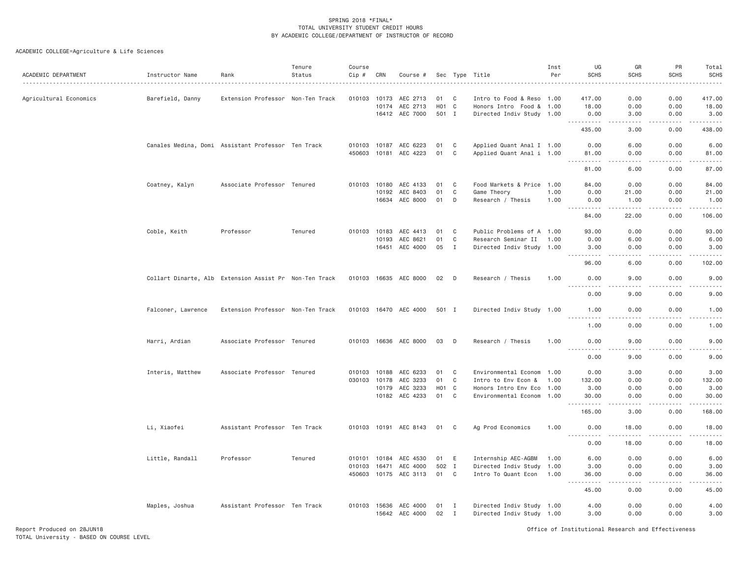| ACADEMIC DEPARTMENT    | Instructor Name                                        | Rank                              | Tenure<br>Status | Course<br>$Cip$ #<br>. | CRN            | Course #              |                   |                   | Sec Type Title                                   | Inst<br>Per | UG<br><b>SCHS</b>                                                                                                                                            | GR<br><b>SCHS</b>                                                                                                                                             | PR<br><b>SCHS</b>                                                                                                                                            | Total<br><b>SCHS</b><br>$\frac{1}{2} \left( \frac{1}{2} \right) \left( \frac{1}{2} \right) \left( \frac{1}{2} \right) \left( \frac{1}{2} \right) \left( \frac{1}{2} \right)$                                                                                                                                                                 |
|------------------------|--------------------------------------------------------|-----------------------------------|------------------|------------------------|----------------|-----------------------|-------------------|-------------------|--------------------------------------------------|-------------|--------------------------------------------------------------------------------------------------------------------------------------------------------------|---------------------------------------------------------------------------------------------------------------------------------------------------------------|--------------------------------------------------------------------------------------------------------------------------------------------------------------|----------------------------------------------------------------------------------------------------------------------------------------------------------------------------------------------------------------------------------------------------------------------------------------------------------------------------------------------|
| Agricultural Economics | Barefield, Danny                                       | Extension Professor Non-Ten Track |                  | 010103                 | 10173          | AEC 2713              | 01                | C                 | Intro to Food & Reso 1.00                        |             | 417.00                                                                                                                                                       | 0.00                                                                                                                                                          | 0.00                                                                                                                                                         | 417.00                                                                                                                                                                                                                                                                                                                                       |
|                        |                                                        |                                   |                  |                        | 10174          | AEC 2713              | H <sub>01</sub> C |                   | Honors Intro Food & 1.00                         |             | 18.00                                                                                                                                                        | 0.00                                                                                                                                                          | 0.00                                                                                                                                                         | 18.00                                                                                                                                                                                                                                                                                                                                        |
|                        |                                                        |                                   |                  |                        |                | 16412 AEC 7000        | 501 I             |                   | Directed Indiv Study 1.00                        |             | 0.00<br>.                                                                                                                                                    | 3.00<br>.                                                                                                                                                     | 0.00<br><b>.</b>                                                                                                                                             | 3.00<br>$- - - - -$                                                                                                                                                                                                                                                                                                                          |
|                        |                                                        |                                   |                  |                        |                |                       |                   |                   |                                                  |             | 435.00                                                                                                                                                       | 3.00                                                                                                                                                          | 0.00                                                                                                                                                         | 438.00                                                                                                                                                                                                                                                                                                                                       |
|                        | Canales Medina, Domi Assistant Professor Ten Track     |                                   |                  | 010103                 |                | 10187 AEC 6223        | 01                | C                 | Applied Quant Anal I 1.00                        |             | 0.00                                                                                                                                                         | 6.00                                                                                                                                                          | 0.00                                                                                                                                                         | 6.00                                                                                                                                                                                                                                                                                                                                         |
|                        |                                                        |                                   |                  | 450603                 |                | 10181 AEC 4223        | 01                | C                 | Applied Quant Anal i 1.00                        |             | 81.00                                                                                                                                                        | 0.00                                                                                                                                                          | 0.00                                                                                                                                                         | 81.00                                                                                                                                                                                                                                                                                                                                        |
|                        |                                                        |                                   |                  |                        |                |                       |                   |                   |                                                  |             | .<br>81.00                                                                                                                                                   | 6.00                                                                                                                                                          | 0.00                                                                                                                                                         | 87.00                                                                                                                                                                                                                                                                                                                                        |
|                        | Coatney, Kalyn                                         | Associate Professor Tenured       |                  |                        | 010103 10180   | AEC 4133              | 01                | C                 | Food Markets & Price 1.00                        |             | 84.00                                                                                                                                                        | 0.00                                                                                                                                                          | 0.00                                                                                                                                                         | 84.00                                                                                                                                                                                                                                                                                                                                        |
|                        |                                                        |                                   |                  |                        | 10192          | AEC 8403              | 01                | C                 | Game Theory                                      | 1.00        | 0.00                                                                                                                                                         | 21.00                                                                                                                                                         | 0.00                                                                                                                                                         | 21.00                                                                                                                                                                                                                                                                                                                                        |
|                        |                                                        |                                   |                  |                        |                | 16634 AEC 8000        | 01                | D                 | Research / Thesis                                | 1.00        | 0.00                                                                                                                                                         | 1.00                                                                                                                                                          | 0.00                                                                                                                                                         | 1.00                                                                                                                                                                                                                                                                                                                                         |
|                        |                                                        |                                   |                  |                        |                |                       |                   |                   |                                                  |             | .<br>84.00                                                                                                                                                   | $\frac{1}{2} \left( \frac{1}{2} \right) \left( \frac{1}{2} \right) \left( \frac{1}{2} \right) \left( \frac{1}{2} \right) \left( \frac{1}{2} \right)$<br>22.00 | $\omega = \omega \omega + \omega$<br>0.00                                                                                                                    | $\frac{1}{2} \left( \begin{array}{ccc} 1 & 0 & 0 & 0 & 0 \\ 0 & 0 & 0 & 0 & 0 \\ 0 & 0 & 0 & 0 & 0 \\ 0 & 0 & 0 & 0 & 0 \\ 0 & 0 & 0 & 0 & 0 \\ 0 & 0 & 0 & 0 & 0 \\ 0 & 0 & 0 & 0 & 0 \\ 0 & 0 & 0 & 0 & 0 \\ 0 & 0 & 0 & 0 & 0 \\ 0 & 0 & 0 & 0 & 0 \\ 0 & 0 & 0 & 0 & 0 \\ 0 & 0 & 0 & 0 & 0 \\ 0 & 0 & 0 & 0 & 0 \\ 0 & 0 & 0$<br>106.00 |
|                        |                                                        |                                   |                  |                        |                |                       |                   |                   |                                                  |             |                                                                                                                                                              |                                                                                                                                                               |                                                                                                                                                              |                                                                                                                                                                                                                                                                                                                                              |
|                        | Coble, Keith                                           | Professor                         | Tenured          | 010103                 | 10183          | AEC 4413              | 01                | C <sub>1</sub>    | Public Problems of A 1.00                        |             | 93.00                                                                                                                                                        | 0.00                                                                                                                                                          | 0.00                                                                                                                                                         | 93.00                                                                                                                                                                                                                                                                                                                                        |
|                        |                                                        |                                   |                  |                        | 10193<br>16451 | AEC 8621<br>AEC 4000  | 01<br>05          | C<br>$\mathbf{I}$ | Research Seminar II<br>Directed Indiv Study 1.00 | 1.00        | 0.00<br>3.00                                                                                                                                                 | 6.00<br>0.00                                                                                                                                                  | 0.00<br>0.00                                                                                                                                                 | 6.00<br>3.00                                                                                                                                                                                                                                                                                                                                 |
|                        |                                                        |                                   |                  |                        |                |                       |                   |                   |                                                  |             | .                                                                                                                                                            | .                                                                                                                                                             | .                                                                                                                                                            | .                                                                                                                                                                                                                                                                                                                                            |
|                        |                                                        |                                   |                  |                        |                |                       |                   |                   |                                                  |             | 96.00                                                                                                                                                        | 6.00                                                                                                                                                          | 0.00                                                                                                                                                         | 102.00                                                                                                                                                                                                                                                                                                                                       |
|                        | Collart Dinarte, Alb Extension Assist Pr Non-Ten Track |                                   |                  |                        |                | 010103 16635 AEC 8000 | 02 D              |                   | Research / Thesis                                | 1.00        | 0.00                                                                                                                                                         | 9.00                                                                                                                                                          | 0.00                                                                                                                                                         | 9.00                                                                                                                                                                                                                                                                                                                                         |
|                        |                                                        |                                   |                  |                        |                |                       |                   |                   |                                                  |             | 0.00                                                                                                                                                         | 9,00                                                                                                                                                          | 0.00                                                                                                                                                         | 9,00                                                                                                                                                                                                                                                                                                                                         |
|                        | Falconer, Lawrence                                     | Extension Professor Non-Ten Track |                  |                        |                | 010103 16470 AEC 4000 | 501 I             |                   | Directed Indiv Study 1.00                        |             | 1.00                                                                                                                                                         | 0.00                                                                                                                                                          | 0.00                                                                                                                                                         | 1.00                                                                                                                                                                                                                                                                                                                                         |
|                        |                                                        |                                   |                  |                        |                |                       |                   |                   |                                                  |             | .<br>1.00                                                                                                                                                    | .<br>0.00                                                                                                                                                     | <u>.</u><br>0.00                                                                                                                                             | .<br>1.00                                                                                                                                                                                                                                                                                                                                    |
|                        | Harri, Ardian                                          | Associate Professor Tenured       |                  |                        |                | 010103 16636 AEC 8000 | 03                | $\Box$            | Research / Thesis                                | 1.00        | 0.00                                                                                                                                                         | 9.00                                                                                                                                                          | 0.00                                                                                                                                                         | 9.00                                                                                                                                                                                                                                                                                                                                         |
|                        |                                                        |                                   |                  |                        |                |                       |                   |                   |                                                  |             | $\frac{1}{2} \left( \frac{1}{2} \right) \left( \frac{1}{2} \right) \left( \frac{1}{2} \right) \left( \frac{1}{2} \right) \left( \frac{1}{2} \right)$<br>0.00 | .<br>9.00                                                                                                                                                     | .<br>0.00                                                                                                                                                    | 9.00                                                                                                                                                                                                                                                                                                                                         |
|                        | Interis, Matthew                                       | Associate Professor Tenured       |                  | 010103                 | 10188          | AEC 6233              | 01                | C                 | Environmental Econom 1.00                        |             | 0.00                                                                                                                                                         | 3.00                                                                                                                                                          | 0.00                                                                                                                                                         | 3.00                                                                                                                                                                                                                                                                                                                                         |
|                        |                                                        |                                   |                  | 030103                 | 10178          | AEC 3233              | 01                | C                 | Intro to Env Econ &                              | 1.00        | 132.00                                                                                                                                                       | 0.00                                                                                                                                                          | 0.00                                                                                                                                                         | 132.00                                                                                                                                                                                                                                                                                                                                       |
|                        |                                                        |                                   |                  |                        | 10179          | AEC 3233              | H <sub>01</sub> C |                   | Honors Intro Env Eco 1.00                        |             | 3.00                                                                                                                                                         | 0.00                                                                                                                                                          | 0.00                                                                                                                                                         | 3.00                                                                                                                                                                                                                                                                                                                                         |
|                        |                                                        |                                   |                  |                        |                | 10182 AEC 4233        | 01                | C                 | Environmental Econom 1.00                        |             | 30.00<br>.                                                                                                                                                   | 0.00<br>.                                                                                                                                                     | 0.00<br>$\frac{1}{2} \left( \frac{1}{2} \right) \left( \frac{1}{2} \right) \left( \frac{1}{2} \right) \left( \frac{1}{2} \right) \left( \frac{1}{2} \right)$ | 30.00<br>.                                                                                                                                                                                                                                                                                                                                   |
|                        |                                                        |                                   |                  |                        |                |                       |                   |                   |                                                  |             | 165.00                                                                                                                                                       | 3.00                                                                                                                                                          | 0.00                                                                                                                                                         | 168.00                                                                                                                                                                                                                                                                                                                                       |
|                        | Li, Xiaofei                                            | Assistant Professor Ten Track     |                  |                        |                | 010103 10191 AEC 8143 | 01                | C                 | Ag Prod Economics                                | 1.00        | 0.00                                                                                                                                                         | 18.00                                                                                                                                                         | 0.00                                                                                                                                                         | 18.00                                                                                                                                                                                                                                                                                                                                        |
|                        |                                                        |                                   |                  |                        |                |                       |                   |                   |                                                  |             | .<br>0.00                                                                                                                                                    | $- - - - -$<br>18.00                                                                                                                                          | .<br>0.00                                                                                                                                                    | .<br>18.00                                                                                                                                                                                                                                                                                                                                   |
|                        | Little, Randall                                        | Professor                         | Tenured          | 010101                 | 10184          | AEC 4530              | 01                | E                 | Internship AEC-AGBM                              | 1.00        | 6.00                                                                                                                                                         | 0.00                                                                                                                                                          | 0.00                                                                                                                                                         | 6.00                                                                                                                                                                                                                                                                                                                                         |
|                        |                                                        |                                   |                  |                        | 010103 16471   | AEC 4000              | 502 I             |                   | Directed Indiv Study 1.00                        |             | 3.00                                                                                                                                                         | 0.00                                                                                                                                                          | 0.00                                                                                                                                                         | 3.00                                                                                                                                                                                                                                                                                                                                         |
|                        |                                                        |                                   |                  |                        |                | 450603 10175 AEC 3113 | 01 C              |                   | Intro To Quant Econ 1.00                         |             | 36.00<br>-----                                                                                                                                               | 0.00<br>.                                                                                                                                                     | 0.00<br>.                                                                                                                                                    | 36.00                                                                                                                                                                                                                                                                                                                                        |
|                        |                                                        |                                   |                  |                        |                |                       |                   |                   |                                                  |             | 45.00                                                                                                                                                        | 0.00                                                                                                                                                          | 0.00                                                                                                                                                         | 45.00                                                                                                                                                                                                                                                                                                                                        |
|                        | Maples, Joshua                                         | Assistant Professor Ten Track     |                  |                        | 010103 15636   | AEC 4000              | 01                | I                 | Directed Indiv Study 1.00                        |             | 4.00                                                                                                                                                         | 0.00                                                                                                                                                          | 0.00                                                                                                                                                         | 4.00                                                                                                                                                                                                                                                                                                                                         |
|                        |                                                        |                                   |                  |                        | 15642          | AEC 4000              | 02                | $\mathbf{I}$      | Directed Indiv Study 1.00                        |             | 3.00                                                                                                                                                         | 0.00                                                                                                                                                          | 0.00                                                                                                                                                         | 3.00                                                                                                                                                                                                                                                                                                                                         |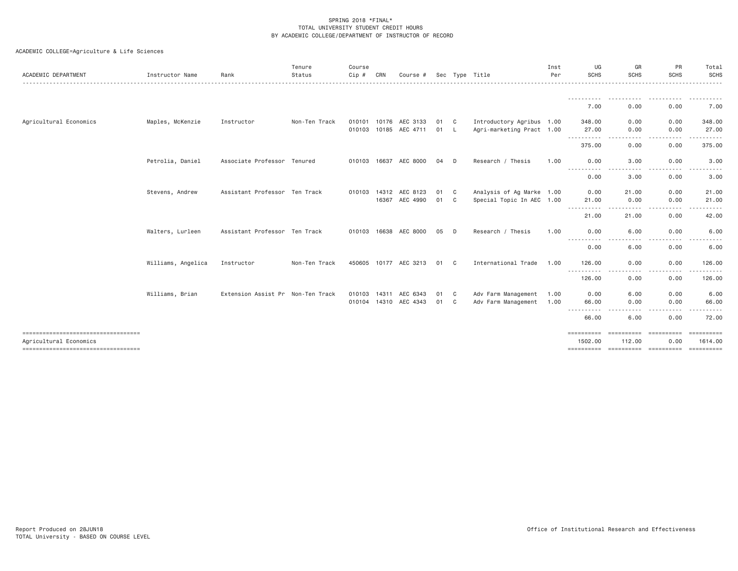| ACADEMIC DEPARTMENT                                          | Instructor Name    | Rank                              | Tenure<br>Status | Course<br>Cip # | CRN   | Course #                                       |            |              | Sec Type Title                                         | Inst<br>Per | UG<br><b>SCHS</b>     | GR<br><b>SCHS</b>     | PR<br><b>SCHS</b>  | Total<br>SCHS<br><u>.</u> |
|--------------------------------------------------------------|--------------------|-----------------------------------|------------------|-----------------|-------|------------------------------------------------|------------|--------------|--------------------------------------------------------|-------------|-----------------------|-----------------------|--------------------|---------------------------|
|                                                              |                    |                                   |                  |                 |       |                                                |            |              |                                                        |             | 7.00                  | 0.00                  | 0.00               | 7.00                      |
|                                                              |                    |                                   |                  |                 |       |                                                |            |              |                                                        |             |                       |                       |                    |                           |
| Agricultural Economics                                       | Maples, McKenzie   | Instructor                        | Non-Ten Track    |                 |       | 010101 10176 AEC 3133<br>010103 10185 AEC 4711 | 01 C<br>01 | - L          | Introductory Agribus 1.00<br>Agri-marketing Pract 1.00 |             | 348.00<br>27.00       | 0.00<br>0.00          | 0.00<br>0.00       | 348.00<br>27.00           |
|                                                              |                    |                                   |                  |                 |       |                                                |            |              |                                                        |             | <b></b>               |                       |                    |                           |
|                                                              |                    |                                   |                  |                 |       |                                                |            |              |                                                        |             | 375.00                | 0.00                  | 0.00               | 375.00                    |
|                                                              | Petrolia, Daniel   | Associate Professor Tenured       |                  | 010103 16637    |       | AEC 8000                                       | 04         | D            | Research / Thesis                                      | 1.00        | 0.00<br>----------    | 3.00<br>$\frac{1}{2}$ | 0.00               | 3.00                      |
|                                                              |                    |                                   |                  |                 |       |                                                |            |              |                                                        |             | 0.00                  | 3.00                  | 0.00               | 3.00                      |
|                                                              | Stevens, Andrew    | Assistant Professor Ten Track     |                  |                 |       | 010103 14312 AEC 8123                          | 01         | $\mathbf{C}$ | Analysis of Ag Marke 1.00                              |             | 0.00                  | 21.00                 | 0.00               | 21.00                     |
|                                                              |                    |                                   |                  |                 | 16367 | AEC 4990                                       | 01 C       |              | Special Topic In AEC 1.00                              |             | 21.00<br>.            | 0.00                  | 0.00               | 21.00                     |
|                                                              |                    |                                   |                  |                 |       |                                                |            |              |                                                        |             | 21.00                 | 21.00                 | 0.00               | 42.00                     |
|                                                              | Walters, Lurleen   | Assistant Professor Ten Track     |                  |                 |       | 010103 16638 AEC 8000                          | 05         | D D          | Research / Thesis                                      | 1.00        | 0.00<br>----------    | 6.00                  | 0.00               | 6.00                      |
|                                                              |                    |                                   |                  |                 |       |                                                |            |              |                                                        |             | 0.00                  | 6.00                  | 0.00               | 6.00                      |
|                                                              | Williams, Angelica | Instructor                        | Non-Ten Track    |                 |       | 450605 10177 AEC 3213                          | 01         | C.           | International Trade                                    | 1.00        | 126,00<br>.           | 0.00                  | 0.00               | 126.00                    |
|                                                              |                    |                                   |                  |                 |       |                                                |            |              |                                                        |             | 126.00                | 0.00                  | 0.00               | 126.00                    |
|                                                              | Williams, Brian    | Extension Assist Pr Non-Ten Track |                  |                 |       | 010103 14311 AEC 6343                          | 01 C       |              | Adv Farm Management                                    | 1.00        | 0.00                  | 6.00                  | 0.00               | 6.00                      |
|                                                              |                    |                                   |                  |                 |       | 010104 14310 AEC 4343                          | 01 C       |              | Adv Farm Management                                    | 1.00        | 66.00<br>----------   | 0.00                  | 0.00               | 66.00                     |
|                                                              |                    |                                   |                  |                 |       |                                                |            |              |                                                        |             | 66.00                 | 6.00                  | 0.00               | 72.00                     |
| ----------------------------------<br>Agricultural Economics |                    |                                   |                  |                 |       |                                                |            |              |                                                        |             | ==========<br>1502.00 | ==========<br>112,00  | ==========<br>0.00 | ==========<br>1614,00     |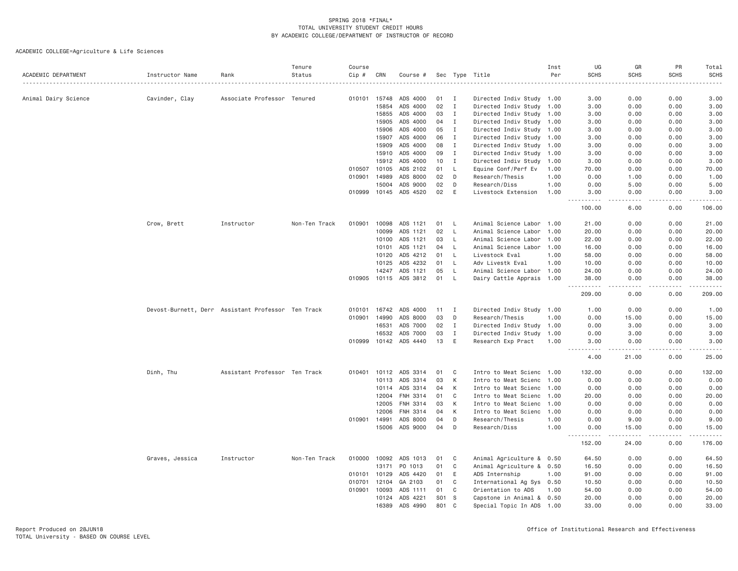| ACADEMIC DEPARTMENT  | Instructor Name                                    | Rank                          | Tenure<br>Status | Course<br>Cip # | CRN   | Course #       |     |              | Sec Type Title            | Inst<br>Per | UG<br><b>SCHS</b> | GR<br><b>SCHS</b> | PR<br><b>SCHS</b>                                                                                                                                            | Total<br><b>SCHS</b> |
|----------------------|----------------------------------------------------|-------------------------------|------------------|-----------------|-------|----------------|-----|--------------|---------------------------|-------------|-------------------|-------------------|--------------------------------------------------------------------------------------------------------------------------------------------------------------|----------------------|
|                      |                                                    |                               |                  |                 |       |                |     |              |                           |             |                   |                   |                                                                                                                                                              |                      |
| Animal Dairy Science | Cavinder, Clay                                     | Associate Professor Tenured   |                  | 010101          | 15748 | ADS 4000       | 01  | I            | Directed Indiv Study 1.00 |             | 3.00              | 0.00              | 0.00                                                                                                                                                         | 3.00                 |
|                      |                                                    |                               |                  |                 | 15854 | ADS 4000       | 02  | $\mathbf{I}$ | Directed Indiv Study 1.00 |             | 3.00              | 0.00              | 0.00                                                                                                                                                         | 3.00                 |
|                      |                                                    |                               |                  |                 | 15855 | ADS 4000       | 03  | $\mathbf{I}$ | Directed Indiv Study 1.00 |             | 3.00              | 0.00              | 0.00                                                                                                                                                         | 3.00                 |
|                      |                                                    |                               |                  |                 | 15905 | ADS 4000       | 04  | $\mathbf{I}$ | Directed Indiv Study 1.00 |             | 3.00              | 0.00              | 0.00                                                                                                                                                         | 3.00                 |
|                      |                                                    |                               |                  |                 | 15906 | ADS 4000       | 05  | $\mathbf{I}$ | Directed Indiv Study 1.00 |             | 3.00              | 0.00              | 0.00                                                                                                                                                         | 3.00                 |
|                      |                                                    |                               |                  |                 | 15907 | ADS 4000       | 06  | $\mathbf{I}$ | Directed Indiv Study 1.00 |             | 3.00              | 0.00              | 0.00                                                                                                                                                         | 3.00                 |
|                      |                                                    |                               |                  |                 | 15909 | ADS 4000       | 08  | I            | Directed Indiv Study 1.00 |             | 3.00              | 0.00              | 0.00                                                                                                                                                         | 3.00                 |
|                      |                                                    |                               |                  |                 | 15910 | ADS 4000       | 09  | I            | Directed Indiv Study 1.00 |             | 3.00              | 0.00              | 0.00                                                                                                                                                         | 3.00                 |
|                      |                                                    |                               |                  |                 | 15912 | ADS 4000       | 10  | $\mathbf{I}$ | Directed Indiv Study 1.00 |             | 3.00              | 0.00              | 0.00                                                                                                                                                         | 3.00                 |
|                      |                                                    |                               |                  | 010507          | 10105 | ADS 2102       | 01  | L            | Equine Conf/Perf Ev       | 1.00        | 70.00             | 0.00              | 0.00                                                                                                                                                         | 70.00                |
|                      |                                                    |                               |                  | 010901          | 14989 | ADS 8000       | 02  | D            | Research/Thesis           | 1.00        | 0.00              | 1.00              | 0.00                                                                                                                                                         | 1.00                 |
|                      |                                                    |                               |                  |                 | 15004 | ADS 9000       | 02  | D            | Research/Diss             | 1.00        | 0.00              | 5.00              | 0.00                                                                                                                                                         | 5.00                 |
|                      |                                                    |                               |                  | 010999          | 10145 | ADS 4520       | 02  | E            | Livestock Extension       | 1.00        | 3.00<br>.         | 0.00<br>$- - -$   | 0.00<br>.                                                                                                                                                    | 3.00<br>.            |
|                      |                                                    |                               |                  |                 |       |                |     |              |                           |             | 100.00            | 6.00              | 0.00                                                                                                                                                         | 106.00               |
|                      | Crow, Brett                                        | Instructor                    | Non-Ten Track    | 010901          | 10098 | ADS 1121       | 01  | $\perp$      | Animal Science Labor 1.00 |             | 21.00             | 0.00              | 0.00                                                                                                                                                         | 21.00                |
|                      |                                                    |                               |                  |                 | 10099 | ADS 1121       | 02  | $\mathsf{L}$ | Animal Science Labor      | 1.00        | 20.00             | 0.00              | 0.00                                                                                                                                                         | 20.00                |
|                      |                                                    |                               |                  |                 | 10100 | ADS 1121       | 03  | L            | Animal Science Labor      | 1.00        | 22.00             | 0.00              | 0.00                                                                                                                                                         | 22.00                |
|                      |                                                    |                               |                  |                 | 10101 | ADS 1121       | 04  | L.           | Animal Science Labor 1.00 |             | 16.00             | 0.00              | 0.00                                                                                                                                                         | 16.00                |
|                      |                                                    |                               |                  |                 | 10120 | ADS 4212       | 01  | $\mathsf{L}$ | Livestock Eval            | 1.00        | 58.00             | 0.00              | 0.00                                                                                                                                                         | 58.00                |
|                      |                                                    |                               |                  |                 | 10125 | ADS 4232       | 01  | $\mathsf{L}$ | Adv Livestk Eval          | 1.00        | 10.00             | 0.00              | 0.00                                                                                                                                                         | 10.00                |
|                      |                                                    |                               |                  |                 | 14247 | ADS 1121       | 05  | L            | Animal Science Labor 1.00 |             | 24.00             | 0.00              | 0.00                                                                                                                                                         | 24.00                |
|                      |                                                    |                               |                  | 010905          | 10115 | ADS 3812       | 01  | <b>L</b>     | Dairy Cattle Apprais 1.00 |             | 38.00             | 0.00              | 0.00                                                                                                                                                         | 38.00                |
|                      |                                                    |                               |                  |                 |       |                |     |              |                           |             | .<br>209.00       | $- - - -$<br>0.00 | .<br>0.00                                                                                                                                                    | .<br>209.00          |
|                      | Devost-Burnett, Derr Assistant Professor Ten Track |                               |                  | 010101          | 16742 | ADS 4000       | 11  | $\mathbf{I}$ | Directed Indiv Study 1.00 |             | 1.00              | 0.00              | 0.00                                                                                                                                                         | 1.00                 |
|                      |                                                    |                               |                  | 010901          | 14990 | ADS 8000       | 03  | D            | Research/Thesis           | 1.00        | 0.00              | 15.00             | 0.00                                                                                                                                                         | 15.00                |
|                      |                                                    |                               |                  |                 | 16531 | ADS 7000       | 02  | $\mathbf{I}$ | Directed Indiv Study 1.00 |             | 0.00              | 3.00              | 0.00                                                                                                                                                         | 3.00                 |
|                      |                                                    |                               |                  |                 | 16532 | ADS 7000       | 03  | $\mathbf{I}$ | Directed Indiv Study 1.00 |             | 0.00              | 3.00              | 0.00                                                                                                                                                         | 3.00                 |
|                      |                                                    |                               |                  | 010999          | 10142 | ADS 4440       | 13  | E            | Research Exp Pract        | 1.00        | 3.00<br>22222     | 0.00<br>.         | 0.00<br>.                                                                                                                                                    | 3.00<br>.            |
|                      |                                                    |                               |                  |                 |       |                |     |              |                           |             | 4.00              | 21.00             | 0.00                                                                                                                                                         | 25.00                |
|                      | Dinh, Thu                                          | Assistant Professor Ten Track |                  | 010401          | 10112 | ADS 3314       | 01  | C            | Intro to Meat Scienc 1.00 |             | 132.00            | 0.00              | 0.00                                                                                                                                                         | 132.00               |
|                      |                                                    |                               |                  |                 | 10113 | ADS 3314       | 03  | К            | Intro to Meat Scienc 1.00 |             | 0.00              | 0.00              | 0.00                                                                                                                                                         | 0.00                 |
|                      |                                                    |                               |                  |                 |       | 10114 ADS 3314 | 04  | К            | Intro to Meat Scienc 1.00 |             | 0.00              | 0.00              | 0.00                                                                                                                                                         | 0.00                 |
|                      |                                                    |                               |                  |                 | 12004 | FNH 3314       | 01  | C            | Intro to Meat Scienc 1.00 |             | 20.00             | 0.00              | 0.00                                                                                                                                                         | 20.00                |
|                      |                                                    |                               |                  |                 | 12005 | FNH 3314       | 03  | K            | Intro to Meat Scienc 1.00 |             | 0.00              | 0.00              | 0.00                                                                                                                                                         | 0.00                 |
|                      |                                                    |                               |                  |                 | 12006 | FNH 3314       | 04  | К            | Intro to Meat Scienc 1.00 |             | 0.00              | 0.00              | 0.00                                                                                                                                                         | 0.00                 |
|                      |                                                    |                               |                  | 010901          | 14991 | ADS 8000       | 04  | D            | Research/Thesis           | 1.00        | 0.00              | 9.00              | 0.00                                                                                                                                                         | 9.00                 |
|                      |                                                    |                               |                  |                 | 15006 | ADS 9000       | 04  | D            | Research/Diss             | 1.00        | 0.00<br>.         | 15.00             | 0.00<br>$\frac{1}{2} \left( \frac{1}{2} \right) \left( \frac{1}{2} \right) \left( \frac{1}{2} \right) \left( \frac{1}{2} \right) \left( \frac{1}{2} \right)$ | 15.00<br>.           |
|                      |                                                    |                               |                  |                 |       |                |     |              |                           |             | 152.00            | 24.00             | 0.00                                                                                                                                                         | 176.00               |
|                      | Graves, Jessica                                    | Instructor                    | Non-Ten Track    | 010000          | 10092 | ADS 1013       | 01  | C            | Animal Agriculture & 0.50 |             | 64.50             | 0.00              | 0.00                                                                                                                                                         | 64.50                |
|                      |                                                    |                               |                  |                 | 13171 | PO 1013        | 01  | C            | Animal Agriculture & 0.50 |             | 16.50             | 0.00              | 0.00                                                                                                                                                         | 16.50                |
|                      |                                                    |                               |                  | 010101          | 10129 | ADS 4420       | 01  | E            | ADS Internship            | 1.00        | 91.00             | 0.00              | 0.00                                                                                                                                                         | 91.00                |
|                      |                                                    |                               |                  | 010701          | 12104 | GA 2103        | 01  | C            | International Ag Sys 0.50 |             | 10.50             | 0.00              | 0.00                                                                                                                                                         | 10.50                |
|                      |                                                    |                               |                  | 010901          | 10093 | ADS 1111       | 01  | C            | Orientation to ADS        | 1.00        | 54.00             | 0.00              | 0.00                                                                                                                                                         | 54.00                |
|                      |                                                    |                               |                  |                 | 10124 | ADS 4221       | S01 | -S           | Capstone in Animal & 0.50 |             | 20.00             | 0.00              | 0.00                                                                                                                                                         | 20.00                |
|                      |                                                    |                               |                  |                 | 16389 | ADS 4990       | 801 | C            | Special Topic In ADS 1.00 |             | 33,00             | 0.00              | 0.00                                                                                                                                                         | 33.00                |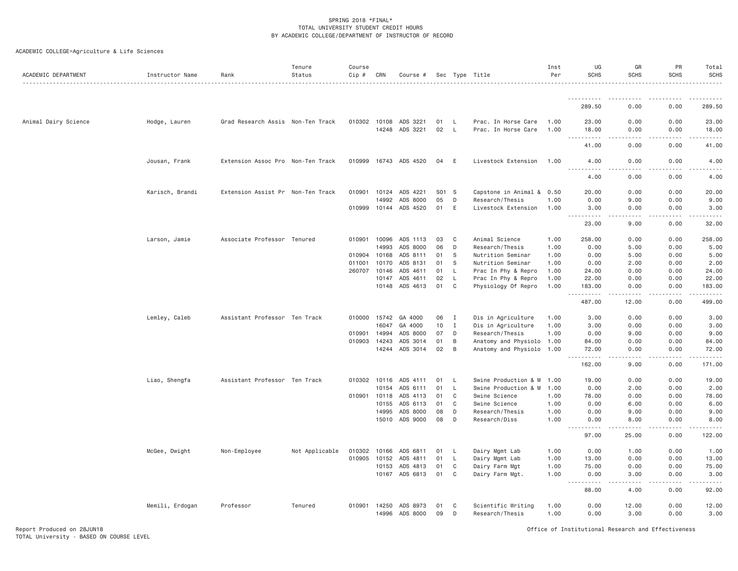| ACADEMIC DEPARTMENT  | Instructor Name | Rank                              | Tenure<br>Status | Course<br>Cip # | CRN          | Course #              |       |          | Sec Type Title            | Inst<br>Per | UG<br><b>SCHS</b>                           | GR<br><b>SCHS</b> | PR<br><b>SCHS</b>                                                                                                                                            | Total<br><b>SCHS</b>            |
|----------------------|-----------------|-----------------------------------|------------------|-----------------|--------------|-----------------------|-------|----------|---------------------------|-------------|---------------------------------------------|-------------------|--------------------------------------------------------------------------------------------------------------------------------------------------------------|---------------------------------|
|                      |                 |                                   |                  |                 |              |                       |       |          |                           |             | <b></b>                                     |                   | .                                                                                                                                                            | .                               |
|                      |                 |                                   |                  |                 |              |                       |       |          |                           |             | 289.50                                      | 0.00              | 0.00                                                                                                                                                         | 289.50                          |
| Animal Dairy Science | Hodge, Lauren   | Grad Research Assis Non-Ten Track |                  |                 | 010302 10108 | ADS 3221              | 01    | L        | Prac. In Horse Care       | 1.00        | 23.00                                       | 0.00              | 0.00                                                                                                                                                         | 23.00                           |
|                      |                 |                                   |                  |                 |              | 14248 ADS 3221        | 02    | - L      | Prac. In Horse Care       | 1.00        | 18.00                                       | 0.00<br>.         | 0.00<br>$\frac{1}{2} \left( \frac{1}{2} \right) \left( \frac{1}{2} \right) \left( \frac{1}{2} \right) \left( \frac{1}{2} \right) \left( \frac{1}{2} \right)$ | 18.00                           |
|                      |                 |                                   |                  |                 |              |                       |       |          |                           |             | 41.00                                       | 0.00              | 0.00                                                                                                                                                         | 41.00                           |
|                      | Jousan, Frank   | Extension Assoc Pro Non-Ten Track |                  |                 |              | 010999 16743 ADS 4520 | 04    | E        | Livestock Extension       | 1.00        | 4.00<br>.                                   | 0.00<br>.         | 0.00<br>.                                                                                                                                                    | 4.00<br>.                       |
|                      |                 |                                   |                  |                 |              |                       |       |          |                           |             | 4.00                                        | 0.00              | 0.00                                                                                                                                                         | 4.00                            |
|                      | Karisch, Brandi | Extension Assist Pr Non-Ten Track |                  |                 | 010901 10124 | ADS 4221              | S01 S |          | Capstone in Animal & 0.50 |             | 20.00                                       | 0.00              | 0.00                                                                                                                                                         | 20.00                           |
|                      |                 |                                   |                  |                 | 14992        | ADS 8000              | 05    | D        | Research/Thesis           | 1.00        | 0.00                                        | 9.00              | 0.00                                                                                                                                                         | 9.00                            |
|                      |                 |                                   |                  |                 | 010999 10144 | ADS 4520              | 01    | E        | Livestock Extension       | 1.00        | 3.00<br>. <b>.</b>                          | 0.00              | 0.00                                                                                                                                                         | 3.00                            |
|                      |                 |                                   |                  |                 |              |                       |       |          |                           |             | 23.00                                       | 9,00              | 0.00                                                                                                                                                         | 32.00                           |
|                      | Larson, Jamie   | Associate Professor Tenured       |                  | 010901          | 10096        | ADS 1113              | 03    | C        | Animal Science            | 1.00        | 258.00                                      | 0.00              | 0.00                                                                                                                                                         | 258.00                          |
|                      |                 |                                   |                  |                 | 14993        | ADS 8000              | 06    | D        | Research/Thesis           | 1.00        | 0.00                                        | 5.00              | 0.00                                                                                                                                                         | 5.00                            |
|                      |                 |                                   |                  |                 | 010904 10168 | ADS 8111              | 01    | S        | Nutrition Seminar         | 1.00        | 0.00                                        | 5.00              | 0.00                                                                                                                                                         | 5.00                            |
|                      |                 |                                   |                  | 011001          | 10170        | ADS 8131              | 01    | S        | Nutrition Seminar         | 1.00        | 0.00                                        | 2.00              | 0.00                                                                                                                                                         | 2.00                            |
|                      |                 |                                   |                  |                 | 260707 10146 | ADS 4611              | 01    | L        | Prac In Phy & Repro       | 1.00        | 24.00                                       | 0.00              | 0.00                                                                                                                                                         | 24.00                           |
|                      |                 |                                   |                  |                 | 10147        | ADS 4611              | 02    | L.       | Prac In Phy & Repro       | 1.00        | 22.00                                       | 0.00              | 0.00                                                                                                                                                         | 22.00                           |
|                      |                 |                                   |                  |                 |              | 10148 ADS 4613        | 01    | C        | Physiology Of Repro       | 1.00        | 183.00<br>1.1.1.1.1<br>$\sim$ $\sim$ $\sim$ | 0.00<br>.         | 0.00<br><b><i><u>.</u></i></b>                                                                                                                               | 183.00<br><b><i><u></u></i></b> |
|                      |                 |                                   |                  |                 |              |                       |       |          |                           |             | 487.00                                      | 12.00             | 0.00                                                                                                                                                         | 499.00                          |
|                      | Lemley, Caleb   | Assistant Professor Ten Track     |                  | 010000          | 15742        | GA 4000               | 06    | I        | Dis in Agriculture        | 1.00        | 3.00                                        | 0.00              | 0.00                                                                                                                                                         | 3.00                            |
|                      |                 |                                   |                  |                 | 16047        | GA 4000               | 10    | I        | Dis in Agriculture        | 1.00        | 3.00                                        | 0.00              | 0.00                                                                                                                                                         | 3.00                            |
|                      |                 |                                   |                  | 010901          | 14994        | ADS 8000              | 07    | D        | Research/Thesis           | 1.00        | 0.00                                        | 9.00              | 0.00                                                                                                                                                         | 9.00                            |
|                      |                 |                                   |                  |                 | 010903 14243 | ADS 3014              | 01    | B        | Anatomy and Physiolo 1.00 |             | 84.00                                       | 0.00              | 0.00                                                                                                                                                         | 84.00                           |
|                      |                 |                                   |                  |                 |              | 14244 ADS 3014        | 02    | B        | Anatomy and Physiolo      | 1.00        | 72.00                                       | 0.00              | 0.00                                                                                                                                                         | 72.00                           |
|                      |                 |                                   |                  |                 |              |                       |       |          |                           |             | $\frac{1}{2}$<br>162.00                     | 9,00              | 0.00                                                                                                                                                         | 171.00                          |
|                      | Liao, Shengfa   | Assistant Professor Ten Track     |                  |                 | 010302 10116 | ADS 4111              | 01    | <b>L</b> | Swine Production & M      | 1.00        | 19.00                                       | 0.00              | 0.00                                                                                                                                                         | 19.00                           |
|                      |                 |                                   |                  |                 | 10154        | ADS 6111              | 01    | L.       | Swine Production & M      | 1.00        | 0.00                                        | 2.00              | 0.00                                                                                                                                                         | 2.00                            |
|                      |                 |                                   |                  |                 | 010901 10118 | ADS 4113              | 01    | C        | Swine Science             | 1.00        | 78.00                                       | 0.00              | 0.00                                                                                                                                                         | 78.00                           |
|                      |                 |                                   |                  |                 | 10155        | ADS 6113              | 01    | C        | Swine Science             | 1.00        | 0.00                                        | 6.00              | 0.00                                                                                                                                                         | 6.00                            |
|                      |                 |                                   |                  |                 | 14995        | ADS 8000              | 08    | D        | Research/Thesis           | 1.00        | 0.00                                        | 9.00              | 0.00                                                                                                                                                         | 9.00                            |
|                      |                 |                                   |                  |                 |              | 15010 ADS 9000        | 08    | D        | Research/Diss             | 1.00        | 0.00<br>.                                   | 8,00              | 0.00<br>.                                                                                                                                                    | 8.00                            |
|                      |                 |                                   |                  |                 |              |                       |       |          |                           |             | 97.00                                       | 25.00             | 0.00                                                                                                                                                         | 122.00                          |
|                      | McGee, Dwight   | Non-Employee                      | Not Applicable   |                 | 010302 10166 | ADS 6811              | 01    | - L      | Dairy Mgmt Lab            | 1.00        | 0.00                                        | 1.00              | 0.00                                                                                                                                                         | 1.00                            |
|                      |                 |                                   |                  | 010905          | 10152        | ADS 4811              | 01    | L.       | Dairy Mgmt Lab            | 1.00        | 13.00                                       | 0.00              | 0.00                                                                                                                                                         | 13.00                           |
|                      |                 |                                   |                  |                 | 10153        | ADS 4813              | 01    | C        | Dairy Farm Mgt            | 1.00        | 75.00                                       | 0.00              | 0.00                                                                                                                                                         | 75.00                           |
|                      |                 |                                   |                  |                 |              | 10167 ADS 6813        | 01    | C        | Dairy Farm Mgt.           | 1.00        | 0.00<br>$\sim$ $\sim$                       | 3.00              | 0.00                                                                                                                                                         | 3.00                            |
|                      |                 |                                   |                  |                 |              |                       |       |          |                           |             | 88.00                                       | 4.00              | 0.00                                                                                                                                                         | 92.00                           |
|                      | Memili, Erdogan | Professor                         | Tenured          |                 | 010901 14250 | ADS 8973              | 01    | C        | Scientific Writing        | 1.00        | 0.00                                        | 12.00             | 0.00                                                                                                                                                         | 12.00                           |
|                      |                 |                                   |                  |                 | 14996        | ADS 8000              | 09    | D        | Research/Thesis           | 1.00        | 0.00                                        | 3.00              | 0.00                                                                                                                                                         | 3.00                            |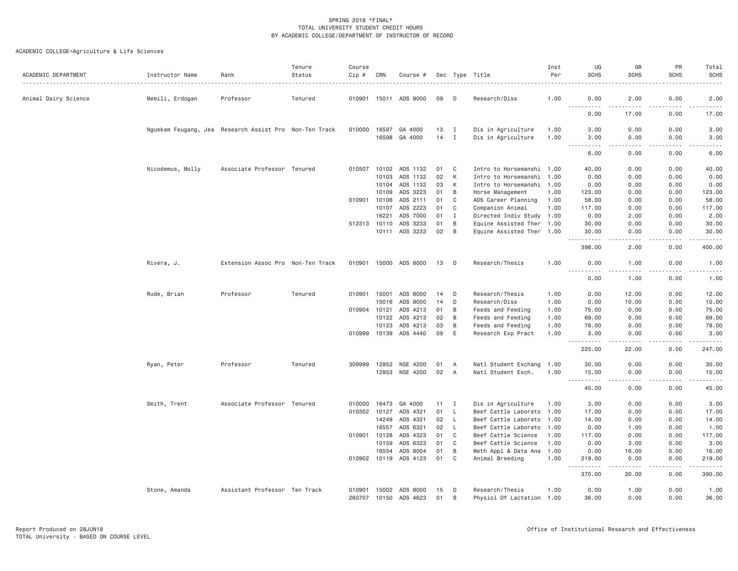| ACADEMIC DEPARTMENT  | Instructor Name                                        | Rank                              | Tenure<br>Status | Course<br>Cip # | CRN   | Course #              |    |              | Sec Type Title            | Inst<br>Per | UG<br><b>SCHS</b>                                                                                                                                                                                                                                                                                                                                                                                         | GR<br><b>SCHS</b> | PR<br>SCHS                                                                                                                                                   | Total<br><b>SCHS</b>                                                                                                                                           |
|----------------------|--------------------------------------------------------|-----------------------------------|------------------|-----------------|-------|-----------------------|----|--------------|---------------------------|-------------|-----------------------------------------------------------------------------------------------------------------------------------------------------------------------------------------------------------------------------------------------------------------------------------------------------------------------------------------------------------------------------------------------------------|-------------------|--------------------------------------------------------------------------------------------------------------------------------------------------------------|----------------------------------------------------------------------------------------------------------------------------------------------------------------|
| Animal Dairy Science | Memili, Erdogan                                        | Professor                         | Tenured          |                 |       | 010901 15011 ADS 9000 | 09 | D            | Research/Diss             | 1.00        | 0.00                                                                                                                                                                                                                                                                                                                                                                                                      | 2.00              | 0.00                                                                                                                                                         | 2.00                                                                                                                                                           |
|                      |                                                        |                                   |                  |                 |       |                       |    |              |                           |             | $\omega_{\rm c}$ and $\omega_{\rm c}$<br>$\frac{1}{2} \left( \frac{1}{2} \right) \left( \frac{1}{2} \right) \left( \frac{1}{2} \right) \left( \frac{1}{2} \right)$<br>0.00                                                                                                                                                                                                                                | 17.00             | 0.00                                                                                                                                                         | 17.00                                                                                                                                                          |
|                      | Nguekam Feugang, Jea Research Assist Pro Non-Ten Track |                                   |                  | 010000          | 16597 | GA 4000               | 13 | $\mathbf{I}$ | Dis in Agriculture        | 1.00        | 3.00                                                                                                                                                                                                                                                                                                                                                                                                      | 0.00              | 0.00                                                                                                                                                         | 3.00                                                                                                                                                           |
|                      |                                                        |                                   |                  |                 | 16598 | GA 4000               | 14 | $\mathbf{I}$ | Dis in Agriculture        | 1.00        | 3.00<br>.<br>$\frac{1}{2} \frac{1}{2} \frac{1}{2} \frac{1}{2} \frac{1}{2} \frac{1}{2} \frac{1}{2} \frac{1}{2} \frac{1}{2} \frac{1}{2} \frac{1}{2} \frac{1}{2} \frac{1}{2} \frac{1}{2} \frac{1}{2} \frac{1}{2} \frac{1}{2} \frac{1}{2} \frac{1}{2} \frac{1}{2} \frac{1}{2} \frac{1}{2} \frac{1}{2} \frac{1}{2} \frac{1}{2} \frac{1}{2} \frac{1}{2} \frac{1}{2} \frac{1}{2} \frac{1}{2} \frac{1}{2} \frac{$ | 0.00<br>.         | 0.00<br><b>.</b>                                                                                                                                             | 3.00                                                                                                                                                           |
|                      |                                                        |                                   |                  |                 |       |                       |    |              |                           |             | 6.00                                                                                                                                                                                                                                                                                                                                                                                                      | 0.00              | 0.00                                                                                                                                                         | 6.00                                                                                                                                                           |
|                      | Nicodemus, Molly                                       | Associate Professor Tenured       |                  | 010507          | 10102 | ADS 1132              | 01 | C            | Intro to Horsemanshi 1.00 |             | 40.00                                                                                                                                                                                                                                                                                                                                                                                                     | 0.00              | 0.00                                                                                                                                                         | 40.00                                                                                                                                                          |
|                      |                                                        |                                   |                  |                 | 10103 | ADS 1132              | 02 | К            | Intro to Horsemanshi 1.00 |             | 0.00                                                                                                                                                                                                                                                                                                                                                                                                      | 0.00              | 0.00                                                                                                                                                         | 0.00                                                                                                                                                           |
|                      |                                                        |                                   |                  |                 | 10104 | ADS 1132              | 03 | К            | Intro to Horsemanshi 1.00 |             | 0.00                                                                                                                                                                                                                                                                                                                                                                                                      | 0.00              | 0.00                                                                                                                                                         | 0.00                                                                                                                                                           |
|                      |                                                        |                                   |                  |                 | 10109 | ADS 3223              | 01 | B            | Horse Management          | 1.00        | 123.00                                                                                                                                                                                                                                                                                                                                                                                                    | 0.00              | 0.00                                                                                                                                                         | 123.00                                                                                                                                                         |
|                      |                                                        |                                   |                  | 010901          | 10106 | ADS 2111              | 01 | C            | ADS Career Planning       | 1.00        | 58,00                                                                                                                                                                                                                                                                                                                                                                                                     | 0.00              | 0.00                                                                                                                                                         | 58.00                                                                                                                                                          |
|                      |                                                        |                                   |                  |                 | 10107 | ADS 2223              | 01 | C            | Companion Animal          | 1.00        | 117.00                                                                                                                                                                                                                                                                                                                                                                                                    | 0.00              | 0.00                                                                                                                                                         | 117.00                                                                                                                                                         |
|                      |                                                        |                                   |                  |                 | 16221 | ADS 7000              | 01 | $\mathbf{I}$ | Directed Indiv Study 1.00 |             | 0.00                                                                                                                                                                                                                                                                                                                                                                                                      | 2.00              | 0.00                                                                                                                                                         | 2.00                                                                                                                                                           |
|                      |                                                        |                                   |                  | 512313 10110    |       | ADS 3233              | 01 | B            | Equine Assisted Ther 1.00 |             | 30.00                                                                                                                                                                                                                                                                                                                                                                                                     | 0.00              | 0.00                                                                                                                                                         | 30.00                                                                                                                                                          |
|                      |                                                        |                                   |                  |                 |       | 10111 ADS 3233        | 02 | B            | Equine Assisted Ther 1.00 |             | 30.00<br>$\frac{1}{2}$                                                                                                                                                                                                                                                                                                                                                                                    | 0.00<br>$- - -$   | 0.00                                                                                                                                                         | 30.00                                                                                                                                                          |
|                      |                                                        |                                   |                  |                 |       |                       |    |              |                           |             | 398.00                                                                                                                                                                                                                                                                                                                                                                                                    | 2.00              | 0.00                                                                                                                                                         | 400.00                                                                                                                                                         |
|                      | Rivera, J.                                             | Extension Assoc Pro Non-Ten Track |                  | 010901          | 15000 | ADS 8000              | 13 | D            | Research/Thesis           | 1.00        | 0.00<br><u>.</u>                                                                                                                                                                                                                                                                                                                                                                                          | 1.00<br>.         | 0.00<br>.                                                                                                                                                    | 1.00<br>$\frac{1}{2}$                                                                                                                                          |
|                      |                                                        |                                   |                  |                 |       |                       |    |              |                           |             | 0.00                                                                                                                                                                                                                                                                                                                                                                                                      | 1.00              | 0.00                                                                                                                                                         | 1.00                                                                                                                                                           |
|                      | Rude, Brian                                            | Professor                         | Tenured          | 010901          | 15001 | ADS 8000              | 14 | D            | Research/Thesis           | 1.00        | 0.00                                                                                                                                                                                                                                                                                                                                                                                                      | 12.00             | 0.00                                                                                                                                                         | 12.00                                                                                                                                                          |
|                      |                                                        |                                   |                  |                 | 15016 | ADS 9000              | 14 | D            | Research/Diss             | 1.00        | 0.00                                                                                                                                                                                                                                                                                                                                                                                                      | 10.00             | 0.00                                                                                                                                                         | 10.00                                                                                                                                                          |
|                      |                                                        |                                   |                  | 010904 10121    |       | ADS 4213              | 01 | B            | Feeds and Feeding         | 1.00        | 75.00                                                                                                                                                                                                                                                                                                                                                                                                     | 0.00              | 0.00                                                                                                                                                         | 75.00                                                                                                                                                          |
|                      |                                                        |                                   |                  |                 | 10122 | ADS 4213              | 02 | B            | Feeds and Feeding         | 1.00        | 69.00                                                                                                                                                                                                                                                                                                                                                                                                     | 0.00              | 0.00                                                                                                                                                         | 69.00                                                                                                                                                          |
|                      |                                                        |                                   |                  |                 | 10123 | ADS 4213              | 03 | B            | Feeds and Feeding         | 1.00        | 78.00                                                                                                                                                                                                                                                                                                                                                                                                     | 0.00              | 0.00                                                                                                                                                         | 78.00                                                                                                                                                          |
|                      |                                                        |                                   |                  | 010999          | 10139 | ADS 4440              | 09 | E            | Research Exp Pract        | 1.00        | 3.00<br>$\sim$ $\sim$ $\sim$<br>.                                                                                                                                                                                                                                                                                                                                                                         | 0.00              | 0.00                                                                                                                                                         | 3.00                                                                                                                                                           |
|                      |                                                        |                                   |                  |                 |       |                       |    |              |                           |             | 225.00                                                                                                                                                                                                                                                                                                                                                                                                    | 22.00             | 0.00                                                                                                                                                         | 247.00                                                                                                                                                         |
|                      | Ryan, Peter                                            | Professor                         | Tenured          | 309999          | 12952 | NSE 4200              | 01 | A            | Natl Student Exchang 1.00 |             | 30.00                                                                                                                                                                                                                                                                                                                                                                                                     | 0.00              | 0.00                                                                                                                                                         | 30.00                                                                                                                                                          |
|                      |                                                        |                                   |                  |                 | 12953 | NSE 4200              | 02 | A            | Natl Student Exch.        | 1.00        | 15.00<br>$  -$<br>.                                                                                                                                                                                                                                                                                                                                                                                       | 0.00<br>.         | 0.00<br>$\frac{1}{2} \left( \frac{1}{2} \right) \left( \frac{1}{2} \right) \left( \frac{1}{2} \right) \left( \frac{1}{2} \right) \left( \frac{1}{2} \right)$ | 15.00<br>.                                                                                                                                                     |
|                      |                                                        |                                   |                  |                 |       |                       |    |              |                           |             | 45.00                                                                                                                                                                                                                                                                                                                                                                                                     | 0.00              | 0.00                                                                                                                                                         | 45.00                                                                                                                                                          |
|                      | Smith, Trent                                           | Associate Professor Tenured       |                  | 010000          | 16473 | GA 4000               | 11 | I            | Dis in Agriculture        | 1.00        | 3.00                                                                                                                                                                                                                                                                                                                                                                                                      | 0.00              | 0.00                                                                                                                                                         | 3.00                                                                                                                                                           |
|                      |                                                        |                                   |                  | 010302 10127    |       | ADS 4321              | 01 | $\mathsf{L}$ | Beef Cattle Laborato 1.00 |             | 17.00                                                                                                                                                                                                                                                                                                                                                                                                     | 0.00              | 0.00                                                                                                                                                         | 17.00                                                                                                                                                          |
|                      |                                                        |                                   |                  |                 | 14249 | ADS 4321              | 02 | <b>L</b>     | Beef Cattle Laborato      | 1.00        | 14.00                                                                                                                                                                                                                                                                                                                                                                                                     | 0.00              | 0.00                                                                                                                                                         | 14.00                                                                                                                                                          |
|                      |                                                        |                                   |                  |                 | 16557 | ADS 6321              | 02 | <b>L</b>     | Beef Cattle Laborato      | 1.00        | 0.00                                                                                                                                                                                                                                                                                                                                                                                                      | 1.00              | 0.00                                                                                                                                                         | 1.00                                                                                                                                                           |
|                      |                                                        |                                   |                  | 010901          | 10128 | ADS 4323              | 01 | C            | Beef Cattle Science       | 1.00        | 117.00                                                                                                                                                                                                                                                                                                                                                                                                    | 0.00              | 0.00                                                                                                                                                         | 117.00                                                                                                                                                         |
|                      |                                                        |                                   |                  |                 | 10159 | ADS 6323              | 01 | C            | Beef Cattle Science       | 1.00        | 0.00                                                                                                                                                                                                                                                                                                                                                                                                      | 3.00              | 0.00                                                                                                                                                         | 3.00                                                                                                                                                           |
|                      |                                                        |                                   |                  |                 | 16554 | ADS 8004              | 01 | B            | Meth Appl & Data Ana 1.00 |             | 0.00                                                                                                                                                                                                                                                                                                                                                                                                      | 16.00             | 0.00                                                                                                                                                         | 16.00                                                                                                                                                          |
|                      |                                                        |                                   |                  | 010902 10119    |       | ADS 4123              | 01 | C            | Animal Breeding           | 1.00        | 219.00<br>.                                                                                                                                                                                                                                                                                                                                                                                               | 0.00<br>.         | 0.00<br>.                                                                                                                                                    | 219.00<br>$\frac{1}{2} \left( \frac{1}{2} \right) \left( \frac{1}{2} \right) \left( \frac{1}{2} \right) \left( \frac{1}{2} \right) \left( \frac{1}{2} \right)$ |
|                      |                                                        |                                   |                  |                 |       |                       |    |              |                           |             | 370.00                                                                                                                                                                                                                                                                                                                                                                                                    | 20.00             | 0.00                                                                                                                                                         | 390.00                                                                                                                                                         |
|                      | Stone, Amanda                                          | Assistant Professor Ten Track     |                  | 010901          | 15002 | ADS 8000              | 15 | D            | Research/Thesis           | 1.00        | 0.00                                                                                                                                                                                                                                                                                                                                                                                                      | 1.00              | 0.00                                                                                                                                                         | 1.00                                                                                                                                                           |
|                      |                                                        |                                   |                  | 260707          | 10150 | ADS 4623              | 01 | B            | Physiol Of Lactation 1.00 |             | 36.00                                                                                                                                                                                                                                                                                                                                                                                                     | 0.00              | 0.00                                                                                                                                                         | 36.00                                                                                                                                                          |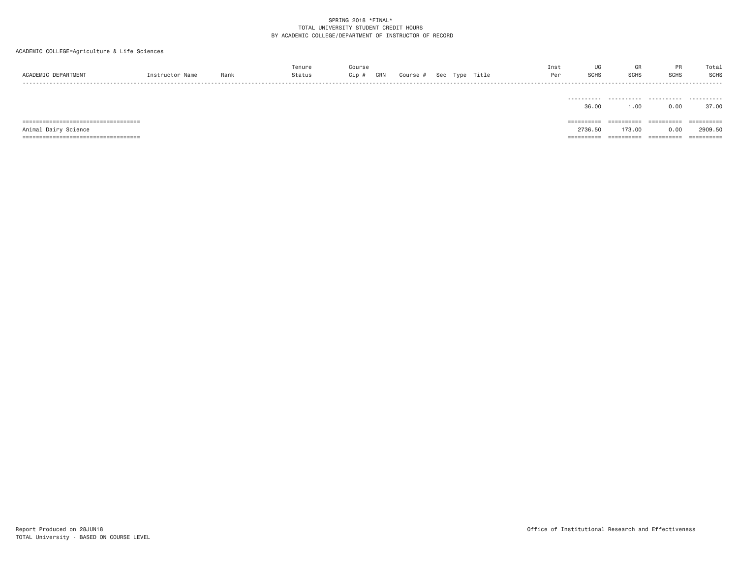ACADEMIC COLLEGE=Agriculture & Life Sciences

| ACADEMIC DEPARTMENT    | Instructor Name | Rank | Tenure<br>Status | Course<br>Cip # | CRN | Course # Sec Type Title |  | Inst<br>Per | UG<br><b>SCHS</b>   | GR<br><b>SCHS</b>  | PR<br>SCHS         | Total<br><b>SCHS</b>           |
|------------------------|-----------------|------|------------------|-----------------|-----|-------------------------|--|-------------|---------------------|--------------------|--------------------|--------------------------------|
|                        |                 |      |                  |                 |     |                         |  |             | ----------          |                    |                    | - - - - - - - - - -            |
| =============<br>===== |                 |      |                  |                 |     |                         |  |             | 36.00<br>---------- | 1.00<br>========== | 0.00<br>========== | 37.00<br>$=$ = = = = = = = = = |

Animal Dairy Science 2736.50 173.00 0.00 2909.50

=================================== ========== ========== ========== ==========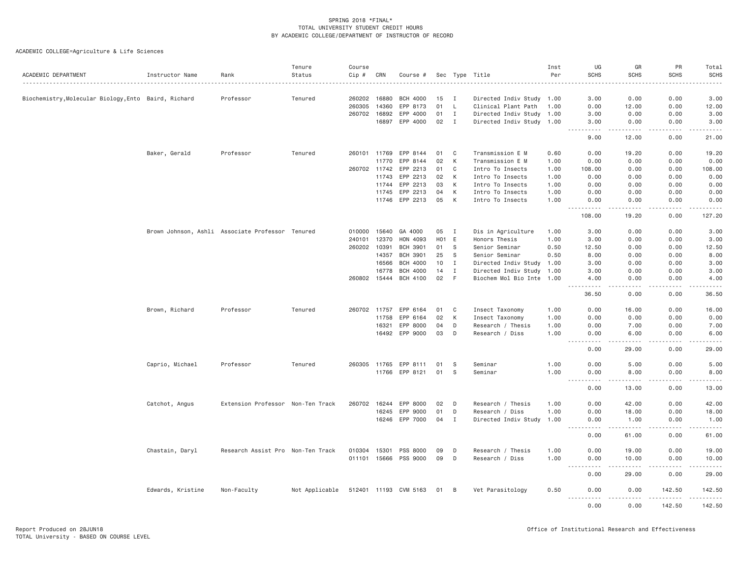|                                                      |                                                  |                                   | Tenure         | Course       |       |                       |       |              |                           | Inst | UG                                                                                                          | GR                  | PR                    | Total                                                                                                               |
|------------------------------------------------------|--------------------------------------------------|-----------------------------------|----------------|--------------|-------|-----------------------|-------|--------------|---------------------------|------|-------------------------------------------------------------------------------------------------------------|---------------------|-----------------------|---------------------------------------------------------------------------------------------------------------------|
| ACADEMIC DEPARTMENT                                  | Instructor Name                                  | Rank                              | Status         | Cip #<br>.   | CRN   | Course #              |       |              | Sec Type Title            | Per  | <b>SCHS</b>                                                                                                 | <b>SCHS</b>         | <b>SCHS</b>           | SCHS                                                                                                                |
|                                                      |                                                  |                                   |                |              |       |                       |       |              |                           |      |                                                                                                             |                     |                       |                                                                                                                     |
| Biochemistry, Molecular Biology, Ento Baird, Richard |                                                  | Professor                         | Tenured        | 260202 16880 |       | <b>BCH 4000</b>       | 15    | <b>I</b>     | Directed Indiv Study 1.00 |      | 3.00                                                                                                        | 0.00                | 0.00                  | 3.00                                                                                                                |
|                                                      |                                                  |                                   |                | 260305       | 14360 | EPP 8173              | 01    | L.           | Clinical Plant Path       | 1.00 | 0.00                                                                                                        | 12.00               | 0.00                  | 12.00                                                                                                               |
|                                                      |                                                  |                                   |                | 260702       | 16892 | EPP 4000              | 01    | Ι.           | Directed Indiv Study 1.00 |      | 3.00                                                                                                        | 0.00                | 0.00                  | 3.00                                                                                                                |
|                                                      |                                                  |                                   |                |              | 16897 | EPP 4000              | 02    | $\mathbf{I}$ | Directed Indiv Study 1.00 |      | 3.00<br><u>.</u>                                                                                            | 0.00<br>$- - - - -$ | 0.00<br>-----         | 3.00<br>.                                                                                                           |
|                                                      |                                                  |                                   |                |              |       |                       |       |              |                           |      | 9.00                                                                                                        | 12.00               | 0.00                  | 21.00                                                                                                               |
|                                                      | Baker, Gerald                                    | Professor                         | Tenured        | 260101 11769 |       | EPP 8144              | 01    | C            | Transmission E M          | 0.60 | 0.00                                                                                                        | 19.20               | 0.00                  | 19.20                                                                                                               |
|                                                      |                                                  |                                   |                |              | 11770 | EPP 8144              | 02    | K            | Transmission E M          | 1.00 | 0.00                                                                                                        | 0.00                | 0.00                  | 0.00                                                                                                                |
|                                                      |                                                  |                                   |                | 260702       | 11742 | EPP 2213              | 01    | C            | Intro To Insects          | 1.00 | 108.00                                                                                                      | 0.00                | 0.00                  | 108.00                                                                                                              |
|                                                      |                                                  |                                   |                |              | 11743 | EPP 2213              | 02    | К            | Intro To Insects          | 1.00 | 0.00                                                                                                        | 0.00                | 0.00                  | 0.00                                                                                                                |
|                                                      |                                                  |                                   |                |              | 11744 | EPP 2213              | 03    | К            | Intro To Insects          | 1.00 | 0.00                                                                                                        | 0.00                | 0.00                  | 0.00                                                                                                                |
|                                                      |                                                  |                                   |                |              | 11745 | EPP 2213              | 04    | К            | Intro To Insects          | 1.00 | 0.00                                                                                                        | 0.00                | 0.00                  | 0.00                                                                                                                |
|                                                      |                                                  |                                   |                |              |       | 11746 EPP 2213        | 05    | K            | Intro To Insects          | 1.00 | 0.00<br>.<br>.                                                                                              | 0.00<br>د د د د د   | 0.00<br>.             | 0.00<br>$\begin{array}{cccccccccc} \bullet & \bullet & \bullet & \bullet & \bullet & \bullet & \bullet \end{array}$ |
|                                                      |                                                  |                                   |                |              |       |                       |       |              |                           |      | 108.00                                                                                                      | 19.20               | 0.00                  | 127.20                                                                                                              |
|                                                      | Brown Johnson, Ashli Associate Professor Tenured |                                   |                | 010000       | 15640 | GA 4000               | 05    | $\mathbf{I}$ | Dis in Agriculture        | 1.00 | 3.00                                                                                                        | 0.00                | 0.00                  | 3.00                                                                                                                |
|                                                      |                                                  |                                   |                | 240101       | 12370 | HON 4093              | H01 E |              | Honors Thesis             | 1.00 | 3.00                                                                                                        | 0.00                | 0.00                  | 3.00                                                                                                                |
|                                                      |                                                  |                                   |                | 260202       | 10391 | <b>BCH 3901</b>       | 01    | - S          | Senior Seminar            | 0.50 | 12.50                                                                                                       | 0.00                | 0.00                  | 12.50                                                                                                               |
|                                                      |                                                  |                                   |                |              | 14357 | <b>BCH 3901</b>       | 25    | - S          | Senior Seminar            | 0.50 | 8.00                                                                                                        | 0.00                | 0.00                  | 8.00                                                                                                                |
|                                                      |                                                  |                                   |                |              | 16566 | <b>BCH 4000</b>       | 10    | $\mathbf{I}$ | Directed Indiv Study 1.00 |      | 3.00                                                                                                        | 0.00                | 0.00                  | 3.00                                                                                                                |
|                                                      |                                                  |                                   |                |              | 16778 | BCH 4000              | 14    | $\mathbf{I}$ | Directed Indiv Study 1.00 |      | 3.00                                                                                                        | 0.00                | 0.00                  | 3.00                                                                                                                |
|                                                      |                                                  |                                   |                | 260802 15444 |       | BCH 4100              | 02    | - F          | Biochem Mol Bio Inte 1.00 |      | 4.00<br>$\frac{1}{2}$                                                                                       | 0.00<br>د د د د     | 0.00<br>.             | 4.00                                                                                                                |
|                                                      |                                                  |                                   |                |              |       |                       |       |              |                           |      | 36.50                                                                                                       | 0.00                | 0.00                  | 36.50                                                                                                               |
|                                                      | Brown, Richard                                   | Professor                         | Tenured        |              |       | 260702 11757 EPP 6164 | 01    | $\mathbf{C}$ | Insect Taxonomy           | 1.00 | 0.00                                                                                                        | 16.00               | 0.00                  | 16.00                                                                                                               |
|                                                      |                                                  |                                   |                |              | 11758 | EPP 6164              | 02    | К            | Insect Taxonomy           | 1.00 | 0.00                                                                                                        | 0.00                | 0.00                  | 0.00                                                                                                                |
|                                                      |                                                  |                                   |                |              | 16321 | EPP 8000              | 04    | D            | Research / Thesis         | 1.00 | 0.00                                                                                                        | 7.00                | 0.00                  | 7.00                                                                                                                |
|                                                      |                                                  |                                   |                |              |       | 16492 EPP 9000        | 03    | D            | Research / Diss           | 1.00 | 0.00                                                                                                        | 6.00                | 0.00                  | 6.00                                                                                                                |
|                                                      |                                                  |                                   |                |              |       |                       |       |              |                           |      | .<br>0.00                                                                                                   | .<br>29.00          | .<br>0.00             | .<br>29.00                                                                                                          |
|                                                      | Caprio, Michael                                  | Professor                         | Tenured        | 260305 11765 |       | EPP 8111              | 01    | S            | Seminar                   | 1.00 | 0.00                                                                                                        | 5.00                | 0.00                  | 5.00                                                                                                                |
|                                                      |                                                  |                                   |                |              |       | 11766 EPP 8121        | 01    | -S           | Seminar                   | 1.00 | 0.00                                                                                                        | 8.00                | 0.00                  | 8.00                                                                                                                |
|                                                      |                                                  |                                   |                |              |       |                       |       |              |                           |      | .<br>0.00                                                                                                   | 13.00               | 0.00                  | 13.00                                                                                                               |
|                                                      | Catchot, Angus                                   | Extension Professor Non-Ten Track |                | 260702 16244 |       | EPP 8000              | 02    | D            | Research / Thesis         | 1.00 | 0.00                                                                                                        | 42.00               | 0.00                  | 42.00                                                                                                               |
|                                                      |                                                  |                                   |                |              | 16245 | EPP 9000              | 01    | D            | Research / Diss           | 1.00 | 0.00                                                                                                        | 18.00               | 0.00                  | 18.00                                                                                                               |
|                                                      |                                                  |                                   |                |              | 16246 | EPP 7000              | 04    | $\mathbf I$  | Directed Indiv Study      | 1.00 | 0.00                                                                                                        | 1.00                | 0.00                  | 1.00                                                                                                                |
|                                                      |                                                  |                                   |                |              |       |                       |       |              |                           |      | ----------<br>0.00                                                                                          | .<br>61.00          | <u>.</u><br>0.00      | .<br>61.00                                                                                                          |
|                                                      | Chastain, Daryl                                  | Research Assist Pro Non-Ten Track |                | 010304 15301 |       | PSS 8000              | 09    | D            | Research / Thesis         | 1.00 | 0.00                                                                                                        | 19.00               | 0.00                  | 19.00                                                                                                               |
|                                                      |                                                  |                                   |                | 011101 15666 |       | PSS 9000              | 09    | D            | Research / Diss           | 1.00 | 0.00                                                                                                        | 10.00               | 0.00                  | 10.00                                                                                                               |
|                                                      |                                                  |                                   |                |              |       |                       |       |              |                           |      | .<br>$\frac{1}{2} \left( \frac{1}{2} \right) \left( \frac{1}{2} \right) \left( \frac{1}{2} \right)$<br>0.00 | .<br>29.00          | $- - - - - -$<br>0.00 | <u>.</u><br>29.00                                                                                                   |
|                                                      | Edwards, Kristine                                | Non-Faculty                       | Not Applicable |              |       | 512401 11193 CVM 5163 | 01 B  |              | Vet Parasitology          | 0.50 | 0.00<br>$- - - -$<br>.                                                                                      | 0.00<br>.           | 142.50<br><u>.</u>    | 142.50                                                                                                              |
|                                                      |                                                  |                                   |                |              |       |                       |       |              |                           |      | 0.00                                                                                                        | 0.00                | 142.50                | 142.50                                                                                                              |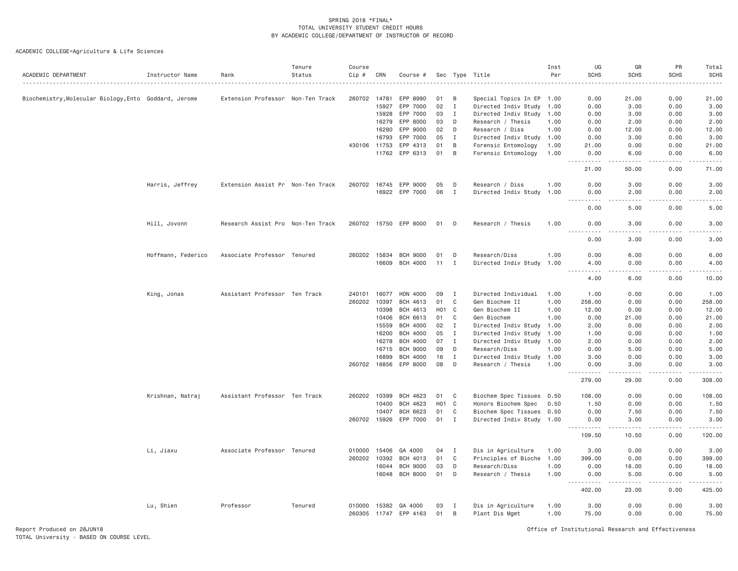| ACADEMIC DEPARTMENT                                   | Instructor Name    | Rank                              | Tenure<br>Status | Course<br>Cip # | CRN   | Course #              | Sec              |              | Type Title                | Inst<br>Per | UG<br><b>SCHS</b>                                                                                                                                            | GR<br><b>SCHS</b>                                                                                                                                                                       | PR<br><b>SCHS</b> | Total<br>SCHS                                                                                                                     |
|-------------------------------------------------------|--------------------|-----------------------------------|------------------|-----------------|-------|-----------------------|------------------|--------------|---------------------------|-------------|--------------------------------------------------------------------------------------------------------------------------------------------------------------|-----------------------------------------------------------------------------------------------------------------------------------------------------------------------------------------|-------------------|-----------------------------------------------------------------------------------------------------------------------------------|
|                                                       |                    |                                   |                  |                 |       |                       |                  |              |                           |             |                                                                                                                                                              |                                                                                                                                                                                         |                   |                                                                                                                                   |
| Biochemistry, Molecular Biology, Ento Goddard, Jerome |                    | Extension Professor Non-Ten Track |                  | 260702          | 14781 | EPP 8990              | 01               | В            | Special Topics In EP 1.00 |             | 0.00                                                                                                                                                         | 21.00                                                                                                                                                                                   | 0.00              | 21.00                                                                                                                             |
|                                                       |                    |                                   |                  |                 | 15927 | EPP 7000              | 02               | I            | Directed Indiv Study      | 1.00        | 0.00                                                                                                                                                         | 3.00                                                                                                                                                                                    | 0.00              | 3.00                                                                                                                              |
|                                                       |                    |                                   |                  |                 | 15928 | EPP 7000              | 03               | I            | Directed Indiv Study 1.00 |             | 0.00                                                                                                                                                         | 3.00                                                                                                                                                                                    | 0.00              | 3.00                                                                                                                              |
|                                                       |                    |                                   |                  |                 | 16279 | EPP 8000              | 03               | D            | Research / Thesis         | 1.00        | 0.00                                                                                                                                                         | 2.00                                                                                                                                                                                    | 0.00              | 2.00                                                                                                                              |
|                                                       |                    |                                   |                  |                 | 16280 | EPP 9000              | 02               | D            | Research / Diss           | 1.00        | 0.00                                                                                                                                                         | 12.00                                                                                                                                                                                   | 0.00              | 12.00                                                                                                                             |
|                                                       |                    |                                   |                  |                 | 16793 | EPP 7000              | 05               | I            | Directed Indiv Study 1.00 |             | 0.00                                                                                                                                                         | 3.00                                                                                                                                                                                    | 0.00              | 3.00                                                                                                                              |
|                                                       |                    |                                   |                  | 430106 11753    |       | EPP 4313              | 01               | B            | Forensic Entomology       | 1.00        | 21.00                                                                                                                                                        | 0.00                                                                                                                                                                                    | 0.00              | 21.00                                                                                                                             |
|                                                       |                    |                                   |                  |                 | 11762 | EPP 6313              | 01               | B            | Forensic Entomology       | 1.00        | 0.00<br>$\frac{1}{2} \left( \frac{1}{2} \right) \left( \frac{1}{2} \right) \left( \frac{1}{2} \right) \left( \frac{1}{2} \right) \left( \frac{1}{2} \right)$ | 6.00<br>.                                                                                                                                                                               | 0.00<br>.         | 6.00<br>.                                                                                                                         |
|                                                       |                    |                                   |                  |                 |       |                       |                  |              |                           |             | 21.00                                                                                                                                                        | 50.00                                                                                                                                                                                   | 0.00              | 71.00                                                                                                                             |
|                                                       | Harris, Jeffrey    | Extension Assist Pr Non-Ten Track |                  | 260702 16745    |       | EPP 9000              | 05               | D            | Research / Diss           | 1.00        | 0.00                                                                                                                                                         | 3.00                                                                                                                                                                                    | 0.00              | 3.00                                                                                                                              |
|                                                       |                    |                                   |                  |                 | 16922 | EPP 7000              | 06               | $\mathbf{I}$ | Directed Indiv Study 1.00 |             | 0.00                                                                                                                                                         | 2.00                                                                                                                                                                                    | 0.00              | 2.00                                                                                                                              |
|                                                       |                    |                                   |                  |                 |       |                       |                  |              |                           |             | ----<br>0.00                                                                                                                                                 | $- - -$<br>5.00                                                                                                                                                                         | 0.00              | 5.00                                                                                                                              |
|                                                       |                    |                                   |                  |                 |       |                       |                  |              |                           |             |                                                                                                                                                              |                                                                                                                                                                                         |                   |                                                                                                                                   |
|                                                       | Hill, Jovonn       | Research Assist Pro Non-Ten Track |                  |                 |       | 260702 15750 EPP 8000 | 01               | D            | Research / Thesis         | 1.00        | 0.00<br>.<br>.                                                                                                                                               | 3.00<br>.                                                                                                                                                                               | 0.00<br>.         | 3.00<br>$\frac{1}{2} \left( \frac{1}{2} \right) \left( \frac{1}{2} \right) \left( \frac{1}{2} \right) \left( \frac{1}{2} \right)$ |
|                                                       |                    |                                   |                  |                 |       |                       |                  |              |                           |             | 0.00                                                                                                                                                         | 3.00                                                                                                                                                                                    | 0.00              | 3.00                                                                                                                              |
|                                                       | Hoffmann, Federico | Associate Professor Tenured       |                  | 260202 15834    |       | <b>BCH 9000</b>       | 01               | D            | Research/Diss             | 1.00        | 0.00                                                                                                                                                         | 6.00                                                                                                                                                                                    | 0.00              | 6.00                                                                                                                              |
|                                                       |                    |                                   |                  |                 | 16609 | <b>BCH 4000</b>       | 11               | Ι.           | Directed Indiv Study      | 1.00        | 4.00                                                                                                                                                         | 0.00                                                                                                                                                                                    | 0.00              | 4.00                                                                                                                              |
|                                                       |                    |                                   |                  |                 |       |                       |                  |              |                           |             | $\sim$ $\sim$ $\sim$<br>.<br>4.00                                                                                                                            | $\sim$ $\sim$ $\sim$<br>6.00                                                                                                                                                            | .<br>0.00         | 10.00                                                                                                                             |
|                                                       | King, Jonas        | Assistant Professor Ten Track     |                  | 240101          | 16077 | HON 4000              | 09               | Ι.           | Directed Individual       | 1.00        | 1.00                                                                                                                                                         | 0.00                                                                                                                                                                                    | 0.00              | 1.00                                                                                                                              |
|                                                       |                    |                                   |                  | 260202          | 10397 | BCH 4613              | 01               | C            | Gen Biochem II            | 1.00        | 258.00                                                                                                                                                       | 0.00                                                                                                                                                                                    | 0.00              | 258.00                                                                                                                            |
|                                                       |                    |                                   |                  |                 | 10398 | BCH 4613              | H01 C            |              | Gen Biochem II            | 1.00        | 12.00                                                                                                                                                        | 0.00                                                                                                                                                                                    | 0.00              | 12.00                                                                                                                             |
|                                                       |                    |                                   |                  |                 | 10406 | BCH 6613              | 01               | C            | Gen Biochem               | 1.00        | 0.00                                                                                                                                                         | 21.00                                                                                                                                                                                   | 0.00              | 21.00                                                                                                                             |
|                                                       |                    |                                   |                  |                 | 15559 | <b>BCH 4000</b>       | 02               | $\mathbf I$  | Directed Indiv Study 1.00 |             | 2.00                                                                                                                                                         | 0.00                                                                                                                                                                                    | 0.00              | 2.00                                                                                                                              |
|                                                       |                    |                                   |                  |                 | 16200 | <b>BCH 4000</b>       | 05               | Ι.           | Directed Indiv Study      | 1.00        | 1.00                                                                                                                                                         | 0.00                                                                                                                                                                                    | 0.00              | 1.00                                                                                                                              |
|                                                       |                    |                                   |                  |                 | 16278 | <b>BCH 4000</b>       | 07               | $\mathbf I$  | Directed Indiv Study      | 1,00        | 2.00                                                                                                                                                         | 0.00                                                                                                                                                                                    | 0.00              | 2.00                                                                                                                              |
|                                                       |                    |                                   |                  |                 | 16715 | <b>BCH 9000</b>       | 09               | D            | Research/Diss             | 1.00        | 0.00                                                                                                                                                         | 5.00                                                                                                                                                                                    | 0.00              | 5.00                                                                                                                              |
|                                                       |                    |                                   |                  |                 | 16899 | <b>BCH 4000</b>       | 16               | $\mathbf{I}$ | Directed Indiv Study 1.00 |             | 3.00                                                                                                                                                         | 0.00                                                                                                                                                                                    | 0.00              | 3.00                                                                                                                              |
|                                                       |                    |                                   |                  | 260702 16856    |       | EPP 8000              | 08               | D            | Research / Thesis         | 1.00        | 0.00<br>$- - - - -$                                                                                                                                          | 3.00<br>.                                                                                                                                                                               | 0.00<br><u>.</u>  | 3.00<br>$- - - - -$                                                                                                               |
|                                                       |                    |                                   |                  |                 |       |                       |                  |              |                           |             | 279.00                                                                                                                                                       | 29.00                                                                                                                                                                                   | 0.00              | 308.00                                                                                                                            |
|                                                       | Krishnan, Natraj   | Assistant Professor Ten Track     |                  | 260202          | 10399 | BCH 4623              | 01               | C            | Biochem Spec Tissues 0.50 |             | 108,00                                                                                                                                                       | 0.00                                                                                                                                                                                    | 0.00              | 108.00                                                                                                                            |
|                                                       |                    |                                   |                  |                 | 10400 | BCH 4623              | H <sub>0</sub> 1 | $\mathbf{C}$ | Honors Biochem Spec       | 0.50        | 1.50                                                                                                                                                         | 0.00                                                                                                                                                                                    | 0.00              | 1.50                                                                                                                              |
|                                                       |                    |                                   |                  |                 | 10407 | BCH 6623              | 01               | C            | Biochem Spec Tissues 0.50 |             | 0.00                                                                                                                                                         | 7.50                                                                                                                                                                                    | 0.00              | 7.50                                                                                                                              |
|                                                       |                    |                                   |                  | 260702 15926    |       | EPP 7000              | 01               | $\mathbf{I}$ | Directed Indiv Study 1.00 |             | 0.00<br><u>.</u>                                                                                                                                             | 3.00<br>-----                                                                                                                                                                           | 0.00<br>-----     | 3.00<br>-----                                                                                                                     |
|                                                       |                    |                                   |                  |                 |       |                       |                  |              |                           |             | 109.50                                                                                                                                                       | 10.50                                                                                                                                                                                   | 0.00              | 120.00                                                                                                                            |
|                                                       | Li, Jiaxu          | Associate Professor Tenured       |                  | 010000          | 15406 | GA 4000               | 04               | $\mathbf{I}$ | Dis in Agriculture        | 1.00        | 3,00                                                                                                                                                         | 0.00                                                                                                                                                                                    | 0.00              | 3.00                                                                                                                              |
|                                                       |                    |                                   |                  | 260202          | 10392 | BCH 4013              | 01               | C            | Principles of Bioche      | 1.00        | 399.00                                                                                                                                                       | 0.00                                                                                                                                                                                    | 0.00              | 399.00                                                                                                                            |
|                                                       |                    |                                   |                  |                 | 16044 | <b>BCH 9000</b>       | 03               | D            | Research/Diss             | 1.00        | 0.00                                                                                                                                                         | 18.00                                                                                                                                                                                   | 0.00              | 18.00                                                                                                                             |
|                                                       |                    |                                   |                  |                 | 16048 | <b>BCH 8000</b>       | 01               | D            | Research / Thesis         | 1.00        | 0.00<br><u>.</u>                                                                                                                                             | 5.00<br>$\frac{1}{2} \left( \frac{1}{2} \right) \left( \frac{1}{2} \right) \left( \frac{1}{2} \right) \left( \frac{1}{2} \right) \left( \frac{1}{2} \right) \left( \frac{1}{2} \right)$ | 0.00<br>-----     | 5.00<br>-----                                                                                                                     |
|                                                       |                    |                                   |                  |                 |       |                       |                  |              |                           |             | 402.00                                                                                                                                                       | 23.00                                                                                                                                                                                   | 0.00              | 425.00                                                                                                                            |
|                                                       | Lu, Shien          | Professor                         | Tenured          | 010000          | 15382 | GA 4000               | 03               | Ι.           | Dis in Agriculture        | 1.00        | 3.00                                                                                                                                                         | 0.00                                                                                                                                                                                    | 0.00              | 3.00                                                                                                                              |
|                                                       |                    |                                   |                  | 260305          | 11747 | EPP 4163              | 01               | B            | Plant Dis Mgmt            | 1.00        | 75.00                                                                                                                                                        | 0.00                                                                                                                                                                                    | 0.00              | 75.00                                                                                                                             |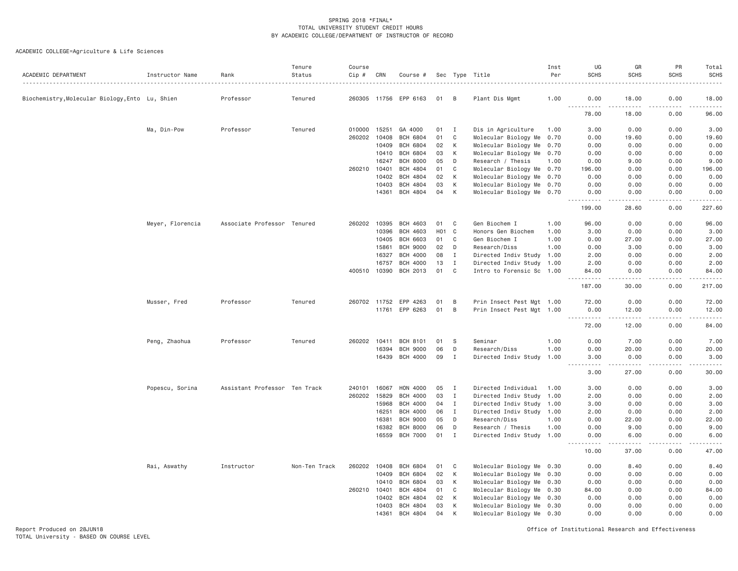ACADEMIC COLLEGE=Agriculture & Life Sciences

| ACADEMIC DEPARTMENT                           | Instructor Name  | Rank                          | Tenure<br>Status | Course<br>Cip # | CRN   | Course #        |     |              | Sec Type Title            | Inst<br>Per | UG<br><b>SCHS</b>     | GR<br><b>SCHS</b> | PR<br><b>SCHS</b> | Total<br><b>SCHS</b>                                                                                                                                           |
|-----------------------------------------------|------------------|-------------------------------|------------------|-----------------|-------|-----------------|-----|--------------|---------------------------|-------------|-----------------------|-------------------|-------------------|----------------------------------------------------------------------------------------------------------------------------------------------------------------|
|                                               |                  |                               |                  |                 |       |                 |     |              |                           |             |                       |                   |                   |                                                                                                                                                                |
| Biochemistry,Molecular Biology,Ento Lu, Shien |                  | Professor                     | Tenured          | 260305          | 11756 | EPP 6163        | 01  | B            | Plant Dis Mgmt            | 1.00        | 0.00<br>$\frac{1}{2}$ | 18.00             | 0.00              | 18.00                                                                                                                                                          |
|                                               |                  |                               |                  |                 |       |                 |     |              |                           |             | 78.00                 | 18.00             | 0.00              | 96.00                                                                                                                                                          |
|                                               | Ma, Din-Pow      | Professor                     | Tenured          | 010000          | 15251 | GA 4000         | 01  | $\mathbf{I}$ | Dis in Agriculture        | 1.00        | 3.00                  | 0.00              | 0.00              | 3.00                                                                                                                                                           |
|                                               |                  |                               |                  | 260202          | 10408 | <b>BCH 6804</b> | 01  | C            | Molecular Biology Me      | 0.70        | 0.00                  | 19.60             | 0.00              | 19.60                                                                                                                                                          |
|                                               |                  |                               |                  |                 | 10409 | <b>BCH 6804</b> | 02  | К            | Molecular Biology Me 0.70 |             | 0.00                  | 0.00              | 0.00              | 0.00                                                                                                                                                           |
|                                               |                  |                               |                  |                 | 10410 | <b>BCH 6804</b> | 03  | К            | Molecular Biology Me 0.70 |             | 0.00                  | 0.00              | 0.00              | 0.00                                                                                                                                                           |
|                                               |                  |                               |                  |                 | 16247 | <b>BCH 8000</b> | 05  | D            | Research / Thesis         | 1.00        | 0.00                  | 9.00              | 0.00              | 9.00                                                                                                                                                           |
|                                               |                  |                               |                  | 260210          | 10401 | BCH 4804        | 01  | C            | Molecular Biology Me 0.70 |             | 196.00                | 0.00              | 0.00              | 196.00                                                                                                                                                         |
|                                               |                  |                               |                  |                 | 10402 | <b>BCH 4804</b> | 02  | К            | Molecular Biology Me 0.70 |             | 0.00                  | 0.00              | 0.00              | 0.00                                                                                                                                                           |
|                                               |                  |                               |                  |                 | 10403 | BCH 4804        | 03  | К            | Molecular Biology Me 0.70 |             | 0.00                  | 0.00              | 0.00              | 0.00                                                                                                                                                           |
|                                               |                  |                               |                  |                 | 14361 | BCH 4804        | 04  | К            | Molecular Biology Me 0.70 |             | 0.00<br>$- - - - - -$ | 0.00<br>.         | 0.00<br>.         | 0.00<br>.                                                                                                                                                      |
|                                               |                  |                               |                  |                 |       |                 |     |              |                           |             | 199.00                | 28.60             | 0.00              | 227.60                                                                                                                                                         |
|                                               | Meyer, Florencia | Associate Professor Tenured   |                  | 260202          | 10395 | BCH 4603        | 01  | C            | Gen Biochem I             | 1.00        | 96.00                 | 0.00              | 0.00              | 96.00                                                                                                                                                          |
|                                               |                  |                               |                  |                 | 10396 | <b>BCH 4603</b> | H01 | $\mathbf{C}$ | Honors Gen Biochem        | 1.00        | 3.00                  | 0.00              | 0.00              | 3.00                                                                                                                                                           |
|                                               |                  |                               |                  |                 | 10405 | BCH 6603        | 01  | C            | Gen Biochem I             | 1.00        | 0.00                  | 27.00             | 0.00              | 27.00                                                                                                                                                          |
|                                               |                  |                               |                  |                 | 15861 | <b>BCH 9000</b> | 02  | D            | Research/Diss             | 1.00        | 0.00                  | 3.00              | 0.00              | 3.00                                                                                                                                                           |
|                                               |                  |                               |                  |                 | 16327 | <b>BCH 4000</b> | 08  | $\mathbf{I}$ | Directed Indiv Study 1.00 |             | 2.00                  | 0.00              | 0.00              | 2.00                                                                                                                                                           |
|                                               |                  |                               |                  |                 | 16757 | <b>BCH 4000</b> | 13  | $\mathbf I$  | Directed Indiv Study 1.00 |             | 2.00                  | 0.00              | 0.00              | 2.00                                                                                                                                                           |
|                                               |                  |                               |                  | 400510          | 10390 | BCH 2013        | 01  | $\mathsf{C}$ | Intro to Forensic Sc 1.00 |             | 84.00                 | 0.00              | 0.00              | 84.00                                                                                                                                                          |
|                                               |                  |                               |                  |                 |       |                 |     |              |                           |             | .<br>187.00           | .<br>30.00        | .<br>0.00         | $\frac{1}{2} \left( \frac{1}{2} \right) \left( \frac{1}{2} \right) \left( \frac{1}{2} \right) \left( \frac{1}{2} \right) \left( \frac{1}{2} \right)$<br>217.00 |
|                                               | Musser, Fred     | Professor                     | Tenured          | 260702 11752    |       | EPP 4263        | 01  | B            | Prin Insect Pest Mgt 1.00 |             | 72.00                 | 0.00              | 0.00              | 72.00                                                                                                                                                          |
|                                               |                  |                               |                  |                 |       | 11761 EPP 6263  | 01  | B            | Prin Insect Pest Mgt 1.00 |             | 0.00                  | 12.00             | 0.00              | 12.00                                                                                                                                                          |
|                                               |                  |                               |                  |                 |       |                 |     |              |                           |             | . <b>.</b><br>72.00   | .<br>12.00        | -----<br>0.00     | .<br>84.00                                                                                                                                                     |
|                                               |                  |                               |                  |                 |       |                 |     |              |                           |             |                       |                   |                   |                                                                                                                                                                |
|                                               | Peng, Zhaohua    | Professor                     | Tenured          | 260202          | 10411 | <b>BCH 8101</b> | 01  | - S          | Seminar                   | 1.00        | 0.00                  | 7.00              | 0.00              | 7.00                                                                                                                                                           |
|                                               |                  |                               |                  |                 | 16394 | <b>BCH 9000</b> | 06  | D            | Research/Diss             | 1.00        | 0.00                  | 20.00             | 0.00              | 20.00                                                                                                                                                          |
|                                               |                  |                               |                  |                 | 16439 | <b>BCH 4000</b> | 09  | Ι.           | Directed Indiv Study      | 1.00        | 3.00<br>.             | 0.00<br>.         | 0.00<br>.         | 3.00<br>.                                                                                                                                                      |
|                                               |                  |                               |                  |                 |       |                 |     |              |                           |             | 3.00                  | 27.00             | 0.00              | 30.00                                                                                                                                                          |
|                                               | Popescu, Sorina  | Assistant Professor Ten Track |                  | 240101          | 16067 | HON 4000        | 05  | $\mathbf{I}$ | Directed Individual       | 1.00        | 3.00                  | 0.00              | 0.00              | 3.00                                                                                                                                                           |
|                                               |                  |                               |                  | 260202          | 15829 | <b>BCH 4000</b> | 03  | $\mathbf I$  | Directed Indiv Study      | 1.00        | 2.00                  | 0.00              | 0.00              | 2.00                                                                                                                                                           |
|                                               |                  |                               |                  |                 | 15968 | <b>BCH 4000</b> | 04  | I            | Directed Indiv Study      | 1.00        | 3.00                  | 0.00              | 0.00              | 3.00                                                                                                                                                           |
|                                               |                  |                               |                  |                 | 16251 | <b>BCH 4000</b> | 06  | I            | Directed Indiv Study 1.00 |             | 2.00                  | 0.00              | 0.00              | 2.00                                                                                                                                                           |
|                                               |                  |                               |                  |                 | 16381 | <b>BCH 9000</b> | 05  | D            | Research/Diss             | 1.00        | 0.00                  | 22.00             | 0.00              | 22.00                                                                                                                                                          |
|                                               |                  |                               |                  |                 | 16382 | <b>BCH 8000</b> | 06  | D            | Research / Thesis         | 1.00        | 0.00                  | 9.00              | 0.00              | 9.00                                                                                                                                                           |
|                                               |                  |                               |                  |                 | 16559 | <b>BCH 7000</b> | 01  | I            | Directed Indiv Study 1.00 |             | 0.00                  | 6.00              | 0.00<br><u>.</u>  | 6.00                                                                                                                                                           |
|                                               |                  |                               |                  |                 |       |                 |     |              |                           |             | .<br>10.00            | <u>.</u><br>37.00 | 0.00              | .<br>47.00                                                                                                                                                     |
|                                               | Rai, Aswathy     | Instructor                    | Non-Ten Track    | 260202          | 10408 | <b>BCH 6804</b> | 01  | C            | Molecular Biology Me 0.30 |             | 0.00                  | 8.40              | 0.00              | 8.40                                                                                                                                                           |
|                                               |                  |                               |                  |                 | 10409 | <b>BCH 6804</b> | 02  | К            | Molecular Biology Me 0.30 |             | 0.00                  | 0.00              | 0.00              | 0.00                                                                                                                                                           |
|                                               |                  |                               |                  |                 | 10410 | <b>BCH 6804</b> | 03  | K            | Molecular Biology Me 0.30 |             | 0.00                  | 0.00              | 0.00              | 0.00                                                                                                                                                           |
|                                               |                  |                               |                  | 260210          | 10401 | BCH 4804        | 01  | C            | Molecular Biology Me 0.30 |             | 84.00                 | 0.00              | 0.00              | 84.00                                                                                                                                                          |
|                                               |                  |                               |                  |                 | 10402 | <b>BCH 4804</b> | 02  | К            | Molecular Biology Me 0.30 |             | 0.00                  | 0.00              | 0.00              | 0.00                                                                                                                                                           |
|                                               |                  |                               |                  |                 | 10403 | <b>BCH 4804</b> | 03  | К            | Molecular Biology Me 0.30 |             | 0.00                  | 0.00              | 0.00              | 0.00                                                                                                                                                           |
|                                               |                  |                               |                  |                 | 14361 | BCH 4804        | 04  | K            | Molecular Biology Me 0.30 |             | 0.00                  | 0.00              | 0.00              | 0.00                                                                                                                                                           |

Report Produced on 28JUN18 Office of Institutional Research and Effectiveness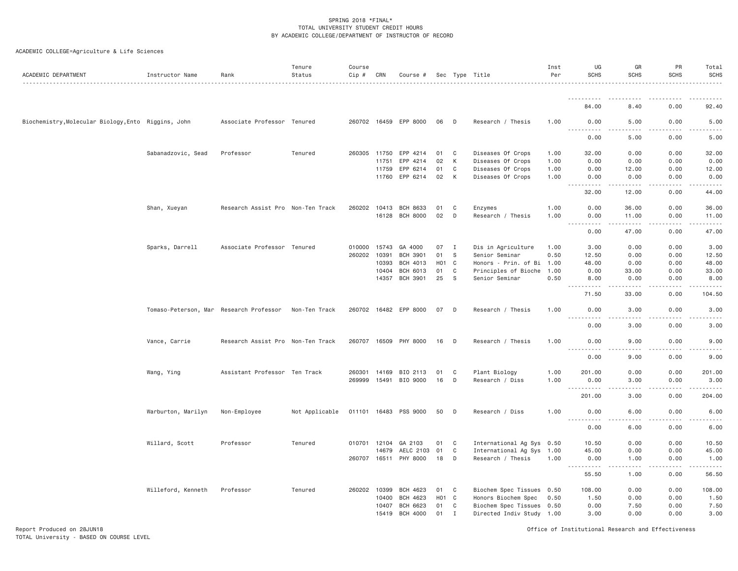| ACADEMIC DEPARTMENT                                 | Instructor Name                         | Rank                              | Tenure<br>Status | Course<br>Cip # | CRN   | Course #              |                  |              | Sec Type Title            | Inst<br>Per | UG<br><b>SCHS</b>                                                                                                                 | GR<br><b>SCHS</b>                   | PR<br><b>SCHS</b> | Total<br><b>SCHS</b>                                                                                                                         |
|-----------------------------------------------------|-----------------------------------------|-----------------------------------|------------------|-----------------|-------|-----------------------|------------------|--------------|---------------------------|-------------|-----------------------------------------------------------------------------------------------------------------------------------|-------------------------------------|-------------------|----------------------------------------------------------------------------------------------------------------------------------------------|
|                                                     |                                         |                                   |                  |                 |       |                       |                  |              |                           |             |                                                                                                                                   |                                     |                   |                                                                                                                                              |
|                                                     |                                         |                                   |                  |                 |       |                       |                  |              |                           |             | 84.00                                                                                                                             | 8.40                                | 0.00              | 92.40                                                                                                                                        |
| Biochemistry, Molecular Biology, Ento Riggins, John |                                         | Associate Professor Tenured       |                  |                 |       | 260702 16459 EPP 8000 | 06               | D            | Research / Thesis         | 1.00        | 0.00<br><u>.</u>                                                                                                                  | 5.00                                | 0.00              | 5.00                                                                                                                                         |
|                                                     |                                         |                                   |                  |                 |       |                       |                  |              |                           |             | 0.00                                                                                                                              | 5.00                                | 0.00              | 5.00                                                                                                                                         |
|                                                     | Sabanadzovic, Sead                      | Professor                         | Tenured          | 260305 11750    |       | EPP 4214              | 01               | C            | Diseases Of Crops         | 1.00        | 32.00                                                                                                                             | 0.00                                | 0.00              | 32.00                                                                                                                                        |
|                                                     |                                         |                                   |                  |                 | 11751 | EPP 4214              | 02               | K            | Diseases Of Crops         | 1.00        | 0.00                                                                                                                              | 0.00                                | 0.00              | 0.00                                                                                                                                         |
|                                                     |                                         |                                   |                  |                 | 11759 | EPP 6214              | 01               | C            | Diseases Of Crops         | 1.00        | 0.00                                                                                                                              | 12.00                               | 0.00              | 12.00                                                                                                                                        |
|                                                     |                                         |                                   |                  |                 |       | 11760 EPP 6214        | 02               | К            | Diseases Of Crops         | 1.00        | 0.00<br>$\frac{1}{2} \left( \frac{1}{2} \right) \left( \frac{1}{2} \right) \left( \frac{1}{2} \right) \left( \frac{1}{2} \right)$ | 0.00<br>.                           | 0.00              | 0.00<br>.                                                                                                                                    |
|                                                     |                                         |                                   |                  |                 |       |                       |                  |              |                           |             | 32.00                                                                                                                             | 12.00                               | 0.00              | 44.00                                                                                                                                        |
|                                                     | Shan, Xueyan                            | Research Assist Pro Non-Ten Track |                  |                 |       | 260202 10413 BCH 8633 | 01               | C            | Enzymes                   | 1.00        | 0.00                                                                                                                              | 36.00                               | 0.00              | 36.00                                                                                                                                        |
|                                                     |                                         |                                   |                  |                 | 16128 | <b>BCH 8000</b>       | 02               | D            | Research / Thesis         | 1.00        | 0.00                                                                                                                              | 11.00<br>.                          | 0.00<br>.         | 11.00                                                                                                                                        |
|                                                     |                                         |                                   |                  |                 |       |                       |                  |              |                           |             | 0.00                                                                                                                              | 47.00                               | 0.00              | 47.00                                                                                                                                        |
|                                                     | Sparks, Darrell                         | Associate Professor Tenured       |                  | 010000          | 15743 | GA 4000               | 07               | $\mathbf{I}$ | Dis in Agriculture        | 1.00        | 3.00                                                                                                                              | 0.00                                | 0.00              | 3.00                                                                                                                                         |
|                                                     |                                         |                                   |                  | 260202          | 10391 | <b>BCH 3901</b>       | 01               | <sub>S</sub> | Senior Seminar            | 0.50        | 12.50                                                                                                                             | 0.00                                | 0.00              | 12.50                                                                                                                                        |
|                                                     |                                         |                                   |                  |                 | 10393 | BCH 4013              | H <sub>0</sub> 1 | C            | Honors - Prin. of Bi 1.00 |             | 48.00                                                                                                                             | 0.00                                | 0.00              | 48.00                                                                                                                                        |
|                                                     |                                         |                                   |                  |                 | 10404 | BCH 6013              | 01               | C            | Principles of Bioche      | 1.00        | 0.00                                                                                                                              | 33.00                               | 0.00              | 33.00                                                                                                                                        |
|                                                     |                                         |                                   |                  |                 | 14357 | <b>BCH 3901</b>       | 25               | S            | Senior Seminar            | 0.50        | 8.00<br>.<br>$  -$                                                                                                                | 0.00<br>.                           | 0.00<br>.         | 8.00<br>.                                                                                                                                    |
|                                                     |                                         |                                   |                  |                 |       |                       |                  |              |                           |             | 71.50                                                                                                                             | 33.00                               | 0.00              | 104.50                                                                                                                                       |
|                                                     | Tomaso-Peterson, Mar Research Professor |                                   | Non-Ten Track    |                 |       | 260702 16482 EPP 8000 | 07               | D            | Research / Thesis         | 1.00        | 0.00                                                                                                                              | 3.00                                | 0.00<br>.         | 3.00                                                                                                                                         |
|                                                     |                                         |                                   |                  |                 |       |                       |                  |              |                           |             | <u>.</u><br>0.00                                                                                                                  | $\sim$ $\sim$ $\sim$ $\sim$<br>3.00 | 0.00              | .<br>3.00                                                                                                                                    |
|                                                     | Vance, Carrie                           | Research Assist Pro Non-Ten Track |                  | 260707 16509    |       | PHY 8000              | 16               | D            | Research / Thesis         | 1.00        | 0.00                                                                                                                              | 9.00                                | 0.00              | 9.00                                                                                                                                         |
|                                                     |                                         |                                   |                  |                 |       |                       |                  |              |                           |             | .<br>0.00                                                                                                                         | $\sim$ $\sim$ $\sim$ $\sim$<br>9.00 | .<br>0.00         | .<br>9.00                                                                                                                                    |
|                                                     | Wang, Ying                              | Assistant Professor Ten Track     |                  | 260301          | 14169 | BIO 2113              | 01               | C            | Plant Biology             | 1.00        | 201.00                                                                                                                            | 0.00                                | 0.00              | 201.00                                                                                                                                       |
|                                                     |                                         |                                   |                  | 269999          |       | 15491 BIO 9000        | 16               | D            | Research / Diss           | 1.00        | 0.00<br>.                                                                                                                         | 3.00<br>$\sim$ $\sim$ $\sim$        | 0.00              | 3.00<br>$\mathcal{L}^{\mathcal{A}}\left( \mathcal{A}^{\mathcal{A}}\right) =\mathcal{L}^{\mathcal{A}}\left( \mathcal{A}^{\mathcal{A}}\right)$ |
|                                                     |                                         |                                   |                  |                 |       |                       |                  |              |                           |             | 201.00                                                                                                                            | 3.00                                | 0.00              | 204.00                                                                                                                                       |
|                                                     | Warburton, Marilyn                      | Non-Employee                      | Not Applicable   |                 |       | 011101 16483 PSS 9000 | 50               | D            | Research / Diss           | 1.00        | 0.00                                                                                                                              | 6.00                                | 0.00              | 6.00                                                                                                                                         |
|                                                     |                                         |                                   |                  |                 |       |                       |                  |              |                           |             | .<br>0.00                                                                                                                         | $\frac{1}{2}$<br>6.00               | .<br>0.00         | .<br>6.00                                                                                                                                    |
|                                                     | Willard, Scott                          | Professor                         | Tenured          | 010701 12104    |       | GA 2103               | 01               | C            | International Ag Sys 0.50 |             | 10.50                                                                                                                             | 0.00                                | 0.00              | 10.50                                                                                                                                        |
|                                                     |                                         |                                   |                  |                 | 14679 | AELC 2103             | 01               | C            | International Ag Sys 1.00 |             | 45.00                                                                                                                             | 0.00                                | 0.00              | 45.00                                                                                                                                        |
|                                                     |                                         |                                   |                  |                 |       | 260707 16511 PHY 8000 | 18               | D            | Research / Thesis         | 1.00        | 0.00                                                                                                                              | 1.00                                | 0.00              | 1.00                                                                                                                                         |
|                                                     |                                         |                                   |                  |                 |       |                       |                  |              |                           |             | $\frac{1}{2}$<br>55.50                                                                                                            | 1.00                                | 0.00              | .<br>56.50                                                                                                                                   |
|                                                     | Willeford, Kenneth                      | Professor                         | Tenured          | 260202 10399    |       | BCH 4623              | 01               | C            | Biochem Spec Tissues 0.50 |             | 108.00                                                                                                                            | 0.00                                | 0.00              | 108.00                                                                                                                                       |
|                                                     |                                         |                                   |                  |                 | 10400 | BCH 4623              | H <sub>0</sub> 1 | C            | Honors Biochem Spec       | 0.50        | 1.50                                                                                                                              | 0.00                                | 0.00              | 1.50                                                                                                                                         |
|                                                     |                                         |                                   |                  |                 | 10407 | BCH 6623              | 01               | C            | Biochem Spec Tissues 0.50 |             | 0.00                                                                                                                              | 7.50                                | 0.00              | 7.50                                                                                                                                         |
|                                                     |                                         |                                   |                  |                 | 15419 | BCH 4000              | 01               | $\mathbf{I}$ | Directed Indiv Study 1.00 |             | 3.00                                                                                                                              | 0.00                                | 0.00              | 3.00                                                                                                                                         |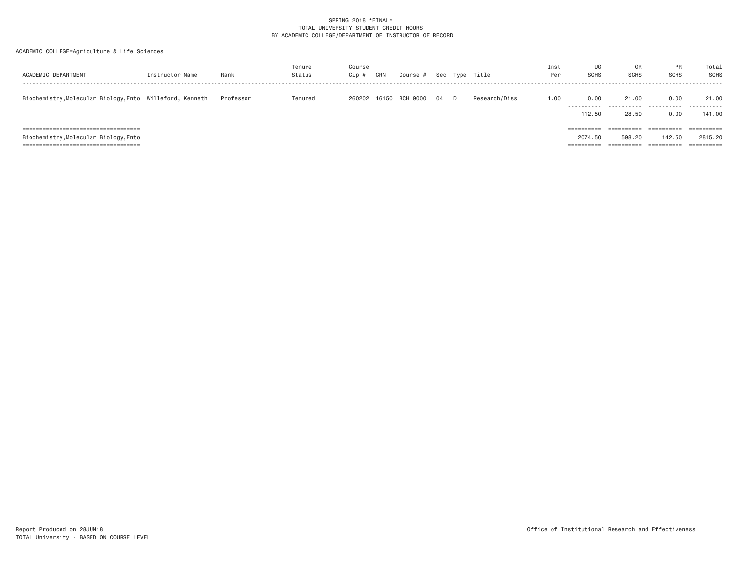| ACADEMIC DEPARTMENT                                                                                                     | Instructor Name | Rank      | Tenure<br>Status | Course<br>Cip # | CRN   | Course # |    |   | Sec Type Title | Inst<br>Per | UG<br><b>SCHS</b>                   | GR<br><b>SCHS</b>                  | <b>PR</b><br><b>SCHS</b>           | Total<br>SCHS                                                 |
|-------------------------------------------------------------------------------------------------------------------------|-----------------|-----------|------------------|-----------------|-------|----------|----|---|----------------|-------------|-------------------------------------|------------------------------------|------------------------------------|---------------------------------------------------------------|
| Biochemistry, Molecular Biology, Ento Willeford, Kenneth                                                                |                 | Professor | Tenured          | 260202          | 16150 | BCH 9000 | 04 | D | Research/Diss  | 1.00        | 0.00<br>----------<br>112.50        | 21,00<br>.<br>28,50                | 0.00<br>.<br>0.00                  | 21.00<br>.<br>141.00                                          |
| =====================================<br>Biochemistry, Molecular Biology, Ento<br>===================================== |                 |           |                  |                 |       |          |    |   |                |             | ==========<br>2074.50<br>========== | ==========<br>598.20<br>========== | ==========<br>142.50<br>========== | $=$ = = = = = = = = = =<br>2815.20<br>$=$ = = = = = = = = = = |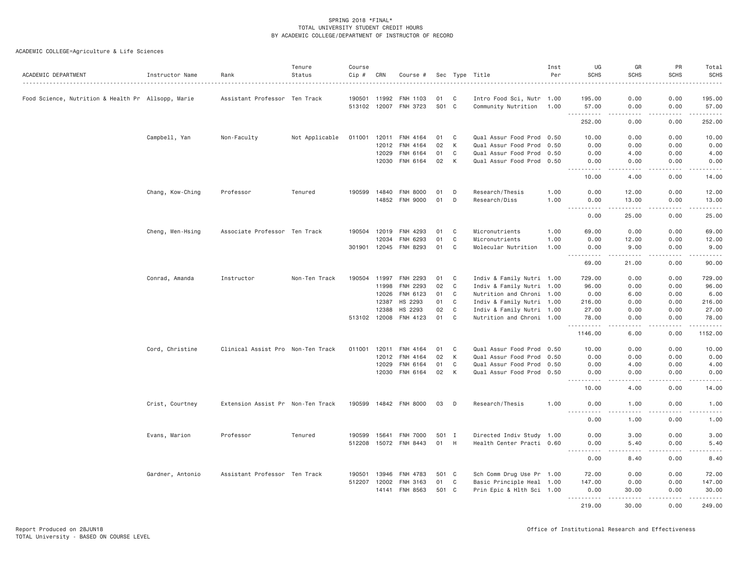| ACADEMIC DEPARTMENT                                | Instructor Name  | Rank                              | Tenure<br>Status | Course<br>Cip # | CRN          | Course #              |       |              | Sec Type Title            | Inst<br>Per | UG<br><b>SCHS</b>    | GR<br><b>SCHS</b> | PR<br><b>SCHS</b> | Total<br><b>SCHS</b>                                                                                                                                         |
|----------------------------------------------------|------------------|-----------------------------------|------------------|-----------------|--------------|-----------------------|-------|--------------|---------------------------|-------------|----------------------|-------------------|-------------------|--------------------------------------------------------------------------------------------------------------------------------------------------------------|
| Food Science, Nutrition & Health Pr Allsopp, Marie |                  | Assistant Professor Ten Track     |                  |                 | 190501 11992 | FNH 1103              | 01    | C            | Intro Food Sci, Nutr 1.00 |             | 195.00               | 0.00              | 0.00              | 195.00                                                                                                                                                       |
|                                                    |                  |                                   |                  |                 |              | 513102 12007 FNH 3723 | S01 C |              | Community Nutrition 1.00  |             | 57.00                | 0.00              | 0.00              | 57.00                                                                                                                                                        |
|                                                    |                  |                                   |                  |                 |              |                       |       |              |                           |             | . <b>.</b><br>252.00 | .<br>0.00         | .<br>0.00         | $- - - - - -$<br>252.00                                                                                                                                      |
|                                                    | Campbell, Yan    | Non-Faculty                       | Not Applicable   | 011001          |              | 12011 FNH 4164        | 01    | $\mathbf{C}$ | Qual Assur Food Prod 0.50 |             | 10.00                | 0.00              | 0.00              | 10.00                                                                                                                                                        |
|                                                    |                  |                                   |                  |                 | 12012        | FNH 4164              | 02    | K            | Qual Assur Food Prod 0.50 |             | 0.00                 | 0.00              | 0.00              | 0.00                                                                                                                                                         |
|                                                    |                  |                                   |                  |                 | 12029        | FNH 6164              | 01    | $\mathbf C$  | Qual Assur Food Prod 0.50 |             | 0.00                 | 4.00              | 0.00              | 4.00                                                                                                                                                         |
|                                                    |                  |                                   |                  |                 | 12030        | FNH 6164              | 02    | K            | Qual Assur Food Prod 0.50 |             | 0.00                 | 0.00<br>.         | 0.00<br>2.2.2.2.2 | 0.00<br>.                                                                                                                                                    |
|                                                    |                  |                                   |                  |                 |              |                       |       |              |                           |             | .<br>10.00           | 4.00              | 0.00              | 14.00                                                                                                                                                        |
|                                                    | Chang, Kow-Ching | Professor                         | Tenured          | 190599          | 14840        | <b>FNH 8000</b>       | 01    | D            | Research/Thesis           | 1.00        | 0.00                 | 12.00             | 0.00              | 12.00                                                                                                                                                        |
|                                                    |                  |                                   |                  |                 |              | 14852 FNH 9000        | 01    | D            | Research/Diss             | 1.00        | 0.00<br>.<br>$  -$   | 13.00<br>.        | 0.00<br>.         | 13.00<br>.                                                                                                                                                   |
|                                                    |                  |                                   |                  |                 |              |                       |       |              |                           |             | 0.00                 | 25.00             | 0.00              | 25.00                                                                                                                                                        |
|                                                    | Cheng, Wen-Hsing | Associate Professor Ten Track     |                  |                 | 190504 12019 | FNH 4293              | 01    | C            | Micronutrients            | 1.00        | 69.00                | 0.00              | 0.00              | 69.00                                                                                                                                                        |
|                                                    |                  |                                   |                  |                 | 12034        | FNH 6293              | 01    | C            | Micronutrients            | 1.00        | 0.00                 | 12.00             | 0.00              | 12.00                                                                                                                                                        |
|                                                    |                  |                                   |                  |                 |              | 301901 12045 FNH 8293 | 01    | C            | Molecular Nutrition       | 1.00        | 0.00<br>.            | 9.00<br>د د د د د | 0.00<br>.         | 9.00<br>.                                                                                                                                                    |
|                                                    |                  |                                   |                  |                 |              |                       |       |              |                           |             | 69.00                | 21.00             | 0.00              | 90.00                                                                                                                                                        |
|                                                    | Conrad, Amanda   | Instructor                        | Non-Ten Track    |                 | 190504 11997 | FNH 2293              | 01    | C            | Indiv & Family Nutri 1.00 |             | 729.00               | 0.00              | 0.00              | 729.00                                                                                                                                                       |
|                                                    |                  |                                   |                  |                 | 11998        | FNH 2293              | 02    | $\mathbf C$  | Indiv & Family Nutri 1.00 |             | 96.00                | 0.00              | 0.00              | 96.00                                                                                                                                                        |
|                                                    |                  |                                   |                  |                 | 12026        | FNH 6123              | 01    | C            | Nutrition and Chroni 1.00 |             | 0.00                 | 6.00              | 0.00              | 6.00                                                                                                                                                         |
|                                                    |                  |                                   |                  |                 | 12387        | HS 2293               | 01    | $\mathbf C$  | Indiv & Family Nutri 1.00 |             | 216.00               | 0.00              | 0.00              | 216.00                                                                                                                                                       |
|                                                    |                  |                                   |                  |                 | 12388        | HS 2293               | 02    | C<br>C       | Indiv & Family Nutri 1.00 |             | 27.00                | 0.00              | 0.00              | 27.00                                                                                                                                                        |
|                                                    |                  |                                   |                  |                 |              | 513102 12008 FNH 4123 | 01    |              | Nutrition and Chroni 1.00 |             | 78.00<br>.           | 0.00<br>-----     | 0.00<br>.         | 78.00<br>.                                                                                                                                                   |
|                                                    |                  |                                   |                  |                 |              |                       |       |              |                           |             | 1146.00              | 6.00              | 0.00              | 1152.00                                                                                                                                                      |
|                                                    | Cord, Christine  | Clinical Assist Pro Non-Ten Track |                  |                 | 011001 12011 | FNH 4164              | 01    | C            | Qual Assur Food Prod 0.50 |             | 10.00                | 0.00              | 0.00              | 10.00                                                                                                                                                        |
|                                                    |                  |                                   |                  |                 |              | 12012 FNH 4164        | 02    | K            | Qual Assur Food Prod 0.50 |             | 0.00                 | 0.00              | 0.00              | 0.00                                                                                                                                                         |
|                                                    |                  |                                   |                  |                 | 12029        | FNH 6164              | 01    | $\mathbf C$  | Qual Assur Food Prod 0.50 |             | 0.00                 | 4.00              | 0.00              | 4.00                                                                                                                                                         |
|                                                    |                  |                                   |                  |                 | 12030        | FNH 6164              | 02    | K            | Qual Assur Food Prod 0.50 |             | 0.00<br>.            | 0.00<br>.         | 0.00<br>.         | 0.00<br>$\frac{1}{2} \left( \frac{1}{2} \right) \left( \frac{1}{2} \right) \left( \frac{1}{2} \right) \left( \frac{1}{2} \right) \left( \frac{1}{2} \right)$ |
|                                                    |                  |                                   |                  |                 |              |                       |       |              |                           |             | 10.00                | 4.00              | 0.00              | 14.00                                                                                                                                                        |
|                                                    | Crist, Courtney  | Extension Assist Pr Non-Ten Track |                  |                 |              | 190599 14842 FNH 8000 | 03    | D            | Research/Thesis           | 1.00        | 0.00                 | 1.00              | 0.00              | 1.00                                                                                                                                                         |
|                                                    |                  |                                   |                  |                 |              |                       |       |              |                           |             | 0.00                 | 1.00              | 0.00              | 1.00                                                                                                                                                         |
|                                                    | Evans, Marion    | Professor                         | Tenured          | 190599          | 15641        | <b>FNH 7000</b>       | 501 I |              | Directed Indiv Study 1.00 |             | 0.00                 | 3.00              | 0.00              | 3.00                                                                                                                                                         |
|                                                    |                  |                                   |                  |                 |              | 512208 15072 FNH 8443 | 01    | H            | Health Center Practi 0.60 |             | 0.00<br><u>.</u>     | 5.40              | 0.00              | 5.40                                                                                                                                                         |
|                                                    |                  |                                   |                  |                 |              |                       |       |              |                           |             | 0.00                 | 8.40              | 0.00              | 8.40                                                                                                                                                         |
|                                                    | Gardner, Antonio | Assistant Professor Ten Track     |                  |                 | 190501 13946 | FNH 4783              | 501 C |              | Sch Comm Drug Use Pr 1.00 |             | 72.00                | 0.00              | 0.00              | 72.00                                                                                                                                                        |
|                                                    |                  |                                   |                  |                 | 512207 12002 | FNH 3163              | 01    | $\mathbf{C}$ | Basic Principle Heal 1.00 |             | 147.00               | 0.00              | 0.00              | 147.00                                                                                                                                                       |
|                                                    |                  |                                   |                  |                 |              | 14141 FNH 8563        | 501 C |              | Prin Epic & Hlth Sci 1.00 |             | 0.00<br><u>.</u>     | 30.00<br>.        | 0.00<br>.         | 30.00<br>.                                                                                                                                                   |
|                                                    |                  |                                   |                  |                 |              |                       |       |              |                           |             | 219,00               | 30.00             | 0.00              | 249,00                                                                                                                                                       |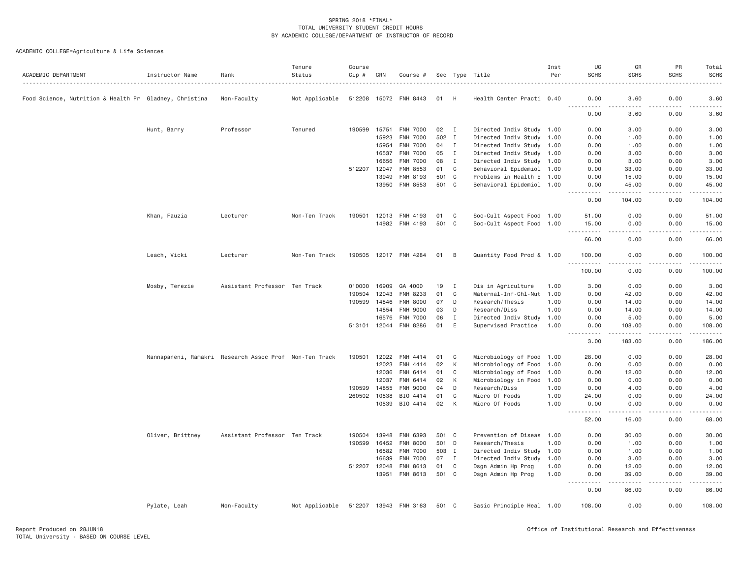| ACADEMIC DEPARTMENT                                    | Instructor Name  | Rank                                                   | Tenure<br>Status | Course<br>Cip # | CRN   | Course #              |       |                | Sec Type Title            | Inst<br>Per | UG<br><b>SCHS</b>                                                                                                                      | GR<br><b>SCHS</b>   | PR<br><b>SCHS</b>                                                                                                                                                                       | Total<br><b>SCHS</b> |
|--------------------------------------------------------|------------------|--------------------------------------------------------|------------------|-----------------|-------|-----------------------|-------|----------------|---------------------------|-------------|----------------------------------------------------------------------------------------------------------------------------------------|---------------------|-----------------------------------------------------------------------------------------------------------------------------------------------------------------------------------------|----------------------|
| Food Science, Nutrition & Health Pr Gladney, Christina |                  | Non-Faculty                                            | Not Applicable   |                 |       | 512208 15072 FNH 8443 | 01    | H              | Health Center Practi 0.40 |             | 0.00                                                                                                                                   | 3.60                | 0.00                                                                                                                                                                                    | 3.60                 |
|                                                        |                  |                                                        |                  |                 |       |                       |       |                |                           |             | $\frac{1}{2}$<br>$\frac{1}{2}$<br>0.00                                                                                                 | 3.60                | 0.00                                                                                                                                                                                    | 3.60                 |
|                                                        | Hunt, Barry      | Professor                                              | Tenured          | 190599          | 15751 | <b>FNH 7000</b>       | 02    | $\blacksquare$ | Directed Indiv Study 1.00 |             | 0.00                                                                                                                                   | 3.00                | 0.00                                                                                                                                                                                    | 3.00                 |
|                                                        |                  |                                                        |                  |                 | 15923 | <b>FNH 7000</b>       | 502 I |                | Directed Indiv Study 1.00 |             | 0.00                                                                                                                                   | 1.00                | 0.00                                                                                                                                                                                    | 1.00                 |
|                                                        |                  |                                                        |                  |                 | 15954 | FNH 7000              | 04    | I              | Directed Indiv Study 1.00 |             | 0.00                                                                                                                                   | 1.00                | 0.00                                                                                                                                                                                    | 1.00                 |
|                                                        |                  |                                                        |                  |                 | 16537 | <b>FNH 7000</b>       | 05    | I              | Directed Indiv Study 1.00 |             | 0.00                                                                                                                                   | 3.00                | 0.00                                                                                                                                                                                    | 3.00                 |
|                                                        |                  |                                                        |                  |                 | 16656 | <b>FNH 7000</b>       | 08    | $\mathbf{I}$   | Directed Indiv Study 1.00 |             | 0.00                                                                                                                                   | 3.00                | 0.00                                                                                                                                                                                    | 3.00                 |
|                                                        |                  |                                                        |                  | 512207 12047    |       | FNH 8553              | 01    | C              | Behavioral Epidemiol 1.00 |             | 0.00                                                                                                                                   | 33.00               | 0.00                                                                                                                                                                                    | 33.00                |
|                                                        |                  |                                                        |                  |                 | 13949 | FNH 8193              | 501 C |                | Problems in Health E 1.00 |             | 0.00                                                                                                                                   | 15.00               | 0.00                                                                                                                                                                                    | 15.00                |
|                                                        |                  |                                                        |                  |                 | 13950 | FNH 8553              | 501 C |                | Behavioral Epidemiol 1.00 |             | 0.00<br>.<br>$\frac{1}{2} \left( \frac{1}{2} \right) \left( \frac{1}{2} \right) \left( \frac{1}{2} \right) \left( \frac{1}{2} \right)$ | 45.00<br>. <u>.</u> | 0.00<br>.                                                                                                                                                                               | 45.00                |
|                                                        |                  |                                                        |                  |                 |       |                       |       |                |                           |             | 0.00                                                                                                                                   | 104.00              | 0.00                                                                                                                                                                                    | 104.00               |
|                                                        | Khan, Fauzia     | Lecturer                                               | Non-Ten Track    |                 |       | 190501 12013 FNH 4193 | 01    | C              | Soc-Cult Aspect Food 1.00 |             | 51.00                                                                                                                                  | 0.00                | 0.00                                                                                                                                                                                    | 51.00                |
|                                                        |                  |                                                        |                  |                 |       | 14982 FNH 4193        | 501   | $\mathbf{C}$   | Soc-Cult Aspect Food      | 1.00        | 15.00<br>$\frac{1}{2}$                                                                                                                 | 0.00                | 0.00                                                                                                                                                                                    | 15.00                |
|                                                        |                  |                                                        |                  |                 |       |                       |       |                |                           |             | 66.00                                                                                                                                  | 0.00                | 0.00                                                                                                                                                                                    | 66.00                |
|                                                        | Leach, Vicki     | Lecturer                                               | Non-Ten Track    |                 |       | 190505 12017 FNH 4284 | 01    | B              | Quantity Food Prod & 1.00 |             | 100.00                                                                                                                                 | 0.00                | 0.00                                                                                                                                                                                    | 100.00               |
|                                                        |                  |                                                        |                  |                 |       |                       |       |                |                           |             | .<br>$- - -$<br>100.00                                                                                                                 | 0.00                | 0.00                                                                                                                                                                                    | 100.00               |
|                                                        | Mosby, Terezie   | Assistant Professor Ten Track                          |                  | 010000 16909    |       | GA 4000               | 19    | $\mathbf I$    | Dis in Agriculture        | 1.00        | 3.00                                                                                                                                   | 0.00                | 0.00                                                                                                                                                                                    | 3.00                 |
|                                                        |                  |                                                        |                  | 190504          | 12043 | FNH 8233              | 01    | C              | Maternal-Inf-Chl-Nut 1.00 |             | 0.00                                                                                                                                   | 42.00               | 0.00                                                                                                                                                                                    | 42.00                |
|                                                        |                  |                                                        |                  | 190599          | 14846 | <b>FNH 8000</b>       | 07    | D              | Research/Thesis           | 1.00        | 0.00                                                                                                                                   | 14.00               | 0.00                                                                                                                                                                                    | 14.00                |
|                                                        |                  |                                                        |                  |                 | 14854 | <b>FNH 9000</b>       | 03    | D              | Research/Diss             | 1.00        | 0.00                                                                                                                                   | 14.00               | 0.00                                                                                                                                                                                    | 14.00                |
|                                                        |                  |                                                        |                  |                 | 16576 | FNH 7000              | 06    | I              | Directed Indiv Study 1.00 |             | 0.00                                                                                                                                   | 5.00                | 0.00                                                                                                                                                                                    | 5.00                 |
|                                                        |                  |                                                        |                  | 513101 12044    |       | FNH 8286              | 01    | E              | Supervised Practice       | 1.00        | 0.00<br>.                                                                                                                              | 108.00<br>.         | 0.00<br>.                                                                                                                                                                               | 108.00<br>.          |
|                                                        |                  |                                                        |                  |                 |       |                       |       |                |                           |             | 3.00                                                                                                                                   | 183.00              | 0.00                                                                                                                                                                                    | 186.00               |
|                                                        |                  | Nannapaneni, Ramakri Research Assoc Prof Non-Ten Track |                  | 190501          | 12022 | FNH 4414              | 01    | C              | Microbiology of Food      | 1.00        | 28.00                                                                                                                                  | 0.00                | 0.00                                                                                                                                                                                    | 28.00                |
|                                                        |                  |                                                        |                  |                 | 12023 | FNH 4414              | 02    | К              | Microbiology of Food      | 1.00        | 0.00                                                                                                                                   | 0.00                | 0.00                                                                                                                                                                                    | 0.00                 |
|                                                        |                  |                                                        |                  |                 | 12036 | FNH 6414              | 01    | C              | Microbiology of Food      | 1.00        | 0.00                                                                                                                                   | 12.00               | 0.00                                                                                                                                                                                    | 12.00                |
|                                                        |                  |                                                        |                  |                 | 12037 | FNH 6414              | 02    | К              | Microbiology in Food      | 1.00        | 0.00                                                                                                                                   | 0.00                | 0.00                                                                                                                                                                                    | 0.00                 |
|                                                        |                  |                                                        |                  | 190599          | 14855 | <b>FNH 9000</b>       | 04    | D              | Research/Diss             | 1.00        | 0.00                                                                                                                                   | 4.00                | 0.00                                                                                                                                                                                    | 4.00                 |
|                                                        |                  |                                                        |                  | 260502 10538    |       | BIO 4414              | 01    | $\mathsf{C}$   | Micro Of Foods            | 1.00        | 24.00                                                                                                                                  | 0.00                | 0.00                                                                                                                                                                                    | 24.00                |
|                                                        |                  |                                                        |                  |                 | 10539 | BIO 4414              | 02    | К              | Micro Of Foods            | 1.00        | 0.00<br>.                                                                                                                              | 0.00<br>.           | 0.00<br>.                                                                                                                                                                               | 0.00<br>.            |
|                                                        |                  |                                                        |                  |                 |       |                       |       |                |                           |             | 52.00                                                                                                                                  | 16.00               | 0.00                                                                                                                                                                                    | 68.00                |
|                                                        | Oliver, Brittney | Assistant Professor Ten Track                          |                  | 190504          | 13948 | FNH 6393              | 501   | $\mathbf{C}$   | Prevention of Diseas      | 1.00        | 0.00                                                                                                                                   | 30.00               | 0.00                                                                                                                                                                                    | 30.00                |
|                                                        |                  |                                                        |                  | 190599 16452    |       | FNH 8000              | 501 D |                | Research/Thesis           | 1.00        | 0.00                                                                                                                                   | 1.00                | 0.00                                                                                                                                                                                    | 1.00                 |
|                                                        |                  |                                                        |                  |                 | 16582 | <b>FNH 7000</b>       | 503 I |                | Directed Indiv Study 1.00 |             | 0.00                                                                                                                                   | 1.00                | 0.00                                                                                                                                                                                    | 1.00                 |
|                                                        |                  |                                                        |                  |                 | 16639 | FNH 7000              | 07    | $\mathbf{I}$   | Directed Indiv Study      | 1.00        | 0.00                                                                                                                                   | 3.00                | 0.00                                                                                                                                                                                    | 3.00                 |
|                                                        |                  |                                                        |                  | 512207 12048    |       | FNH 8613              | 01    | C              | Dsgn Admin Hp Prog        | 1.00        | 0.00                                                                                                                                   | 12.00               | 0.00                                                                                                                                                                                    | 12.00                |
|                                                        |                  |                                                        |                  |                 |       | 13951 FNH 8613        | 501 C |                | Dsgn Admin Hp Prog        | 1.00        | 0.00<br>$\sim$ $\sim$ $\sim$ $\sim$<br>.                                                                                               | 39.00<br>.          | 0.00<br>$\frac{1}{2} \left( \frac{1}{2} \right) \left( \frac{1}{2} \right) \left( \frac{1}{2} \right) \left( \frac{1}{2} \right) \left( \frac{1}{2} \right) \left( \frac{1}{2} \right)$ | 39.00<br>.           |
|                                                        |                  |                                                        |                  |                 |       |                       |       |                |                           |             | 0.00                                                                                                                                   | 86.00               | 0.00                                                                                                                                                                                    | 86.00                |
|                                                        | Pylate, Leah     | Non-Faculty                                            | Not Applicable   |                 |       | 512207 13943 FNH 3163 | 501 C |                | Basic Principle Heal 1.00 |             | 108,00                                                                                                                                 | 0.00                | 0.00                                                                                                                                                                                    | 108.00               |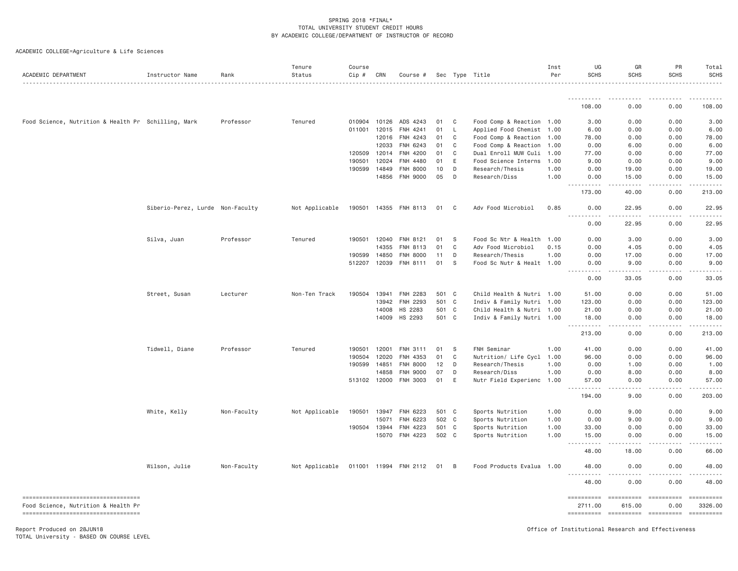| ACADEMIC DEPARTMENT                                                       | Instructor Name                  | Rank        | Tenure<br>Status | Course<br>Cip # | CRN   | Course #        |       |              | Sec Type Title            | Inst<br>Per | UG<br><b>SCHS</b>                                                                                                                      | GR<br><b>SCHS</b>       | PR<br><b>SCHS</b>  | Total<br><b>SCHS</b>                                                                                                                                                                                                                                                                                                                                                                                                                            |
|---------------------------------------------------------------------------|----------------------------------|-------------|------------------|-----------------|-------|-----------------|-------|--------------|---------------------------|-------------|----------------------------------------------------------------------------------------------------------------------------------------|-------------------------|--------------------|-------------------------------------------------------------------------------------------------------------------------------------------------------------------------------------------------------------------------------------------------------------------------------------------------------------------------------------------------------------------------------------------------------------------------------------------------|
|                                                                           |                                  |             |                  |                 |       |                 |       |              |                           |             |                                                                                                                                        |                         |                    |                                                                                                                                                                                                                                                                                                                                                                                                                                                 |
|                                                                           |                                  |             |                  |                 |       |                 |       |              |                           |             | 108.00                                                                                                                                 | 0.00                    | 0.00               | 108.00                                                                                                                                                                                                                                                                                                                                                                                                                                          |
| Food Science, Nutrition & Health Pr Schilling, Mark                       |                                  | Professor   | Tenured          | 010904          | 10126 | ADS 4243        | 01    | C            | Food Comp & Reaction 1.00 |             | 3.00                                                                                                                                   | 0.00                    | 0.00               | 3.00                                                                                                                                                                                                                                                                                                                                                                                                                                            |
|                                                                           |                                  |             |                  | 011001          | 12015 | FNH 4241        | 01    | $\mathsf{L}$ | Applied Food Chemist 1.00 |             | 6.00                                                                                                                                   | 0.00                    | 0.00               | 6.00                                                                                                                                                                                                                                                                                                                                                                                                                                            |
|                                                                           |                                  |             |                  |                 | 12016 | FNH 4243        | 01    | C            | Food Comp & Reaction 1.00 |             | 78.00                                                                                                                                  | 0.00                    | 0.00               | 78.00                                                                                                                                                                                                                                                                                                                                                                                                                                           |
|                                                                           |                                  |             |                  |                 | 12033 | FNH 6243        | 01    | C            | Food Comp & Reaction      | 1.00        | 0.00                                                                                                                                   | 6.00                    | 0.00               | 6.00                                                                                                                                                                                                                                                                                                                                                                                                                                            |
|                                                                           |                                  |             |                  | 120509          | 12014 | FNH 4200        | 01    | C            | Dual Enroll MUW Culi      | 1.00        | 77.00                                                                                                                                  | 0.00                    | 0.00               | 77.00                                                                                                                                                                                                                                                                                                                                                                                                                                           |
|                                                                           |                                  |             |                  | 190501          | 12024 | FNH 4480        | 01    | Ε            | Food Science Interns      | 1.00        | 9.00                                                                                                                                   | 0.00                    | 0.00               | 9.00                                                                                                                                                                                                                                                                                                                                                                                                                                            |
|                                                                           |                                  |             |                  | 190599          | 14849 | FNH 8000        | 10    | D            | Research/Thesis           | 1.00        | 0.00                                                                                                                                   | 19.00                   | 0.00               | 19.00                                                                                                                                                                                                                                                                                                                                                                                                                                           |
|                                                                           |                                  |             |                  |                 | 14856 | <b>FNH 9000</b> | 05    | D            | Research/Diss             | 1.00        | 0.00<br>.                                                                                                                              | 15.00<br>$- - - - -$    | 0.00<br>.          | 15.00<br><u>.</u>                                                                                                                                                                                                                                                                                                                                                                                                                               |
|                                                                           |                                  |             |                  |                 |       |                 |       |              |                           |             | 173.00                                                                                                                                 | 40.00                   | 0.00               | 213.00                                                                                                                                                                                                                                                                                                                                                                                                                                          |
|                                                                           | Siberio-Perez, Lurde Non-Faculty |             | Not Applicable   | 190501          | 14355 | FNH 8113        | 01    | C            | Adv Food Microbiol        | 0.85        | 0.00                                                                                                                                   | 22.95                   | 0.00               | 22.95                                                                                                                                                                                                                                                                                                                                                                                                                                           |
|                                                                           |                                  |             |                  |                 |       |                 |       |              |                           |             | $- - - -$<br><u>.</u><br>0.00                                                                                                          | .<br>22.95              | .<br>0.00          | .<br>22.95                                                                                                                                                                                                                                                                                                                                                                                                                                      |
|                                                                           | Silva, Juan                      | Professor   | Tenured          | 190501          | 12040 | FNH 8121        | 01    | S            | Food Sc Ntr & Health      | 1.00        | 0.00                                                                                                                                   | 3.00                    | 0.00               | 3.00                                                                                                                                                                                                                                                                                                                                                                                                                                            |
|                                                                           |                                  |             |                  |                 | 14355 | FNH 8113        | 01    | C            | Adv Food Microbiol        | 0.15        | 0.00                                                                                                                                   | 4.05                    | 0.00               | 4.05                                                                                                                                                                                                                                                                                                                                                                                                                                            |
|                                                                           |                                  |             |                  | 190599          | 14850 | FNH 8000        | 11    | D            | Research/Thesis           | 1.00        | 0.00                                                                                                                                   | 17.00                   | 0.00               | 17.00                                                                                                                                                                                                                                                                                                                                                                                                                                           |
|                                                                           |                                  |             |                  | 512207 12039    |       | FNH 8111        | 01    | S            | Food Sc Nutr & Healt 1.00 |             | 0.00                                                                                                                                   | 9.00                    | 0.00               | 9.00                                                                                                                                                                                                                                                                                                                                                                                                                                            |
|                                                                           |                                  |             |                  |                 |       |                 |       |              |                           |             | .<br>$\frac{1}{2} \left( \frac{1}{2} \right) \left( \frac{1}{2} \right) \left( \frac{1}{2} \right) \left( \frac{1}{2} \right)$<br>0.00 | .<br>33.05              | .<br>0.00          | .<br>33.05                                                                                                                                                                                                                                                                                                                                                                                                                                      |
|                                                                           | Street, Susan                    | Lecturer    | Non-Ten Track    | 190504          | 13941 | FNH 2283        | 501 C |              | Child Health & Nutri 1.00 |             | 51.00                                                                                                                                  | 0.00                    | 0.00               | 51.00                                                                                                                                                                                                                                                                                                                                                                                                                                           |
|                                                                           |                                  |             |                  |                 | 13942 | FNH 2293        | 501   | $\mathbf{C}$ | Indiv & Family Nutri 1.00 |             | 123.00                                                                                                                                 | 0.00                    | 0.00               | 123.00                                                                                                                                                                                                                                                                                                                                                                                                                                          |
|                                                                           |                                  |             |                  |                 | 14008 | HS 2283         | 501 C |              | Child Health & Nutri 1.00 |             | 21.00                                                                                                                                  | 0.00                    | 0.00               | 21.00                                                                                                                                                                                                                                                                                                                                                                                                                                           |
|                                                                           |                                  |             |                  |                 | 14009 | HS 2293         | 501 C |              | Indiv & Family Nutri 1.00 |             | 18.00<br>$- - - - - - -$                                                                                                               | 0.00<br>.               | 0.00<br>.          | 18.00<br>$- - - - - - -$                                                                                                                                                                                                                                                                                                                                                                                                                        |
|                                                                           |                                  |             |                  |                 |       |                 |       |              |                           |             | $\sim$ $\sim$ $\sim$<br>213.00                                                                                                         | 0.00                    | 0.00               | 213.00                                                                                                                                                                                                                                                                                                                                                                                                                                          |
|                                                                           | Tidwell, Diane                   | Professor   | Tenured          | 190501          | 12001 | FNH 3111        | 01    | -S           | FNH Seminar               | 1.00        | 41.00                                                                                                                                  | 0.00                    | 0.00               | 41.00                                                                                                                                                                                                                                                                                                                                                                                                                                           |
|                                                                           |                                  |             |                  | 190504          | 12020 | FNH 4353        | 01    | C            | Nutrition/ Life Cycl 1.00 |             | 96.00                                                                                                                                  | 0.00                    | 0.00               | 96.00                                                                                                                                                                                                                                                                                                                                                                                                                                           |
|                                                                           |                                  |             |                  | 190599          | 14851 | FNH 8000        | 12    | D            | Research/Thesis           | 1.00        | 0.00                                                                                                                                   | 1.00                    | 0.00               | 1.00                                                                                                                                                                                                                                                                                                                                                                                                                                            |
|                                                                           |                                  |             |                  |                 | 14858 | FNH 9000        | 07    | D            | Research/Diss             | 1.00        | 0.00                                                                                                                                   | 8.00                    | 0.00               | 8.00                                                                                                                                                                                                                                                                                                                                                                                                                                            |
|                                                                           |                                  |             |                  | 513102 12000    |       | FNH 3003        | 01    | E            | Nutr Field Experienc 1.00 |             | 57.00<br>.<br>$\sim$ $\sim$ $\sim$                                                                                                     | 0.00<br>.               | 0.00<br>.          | 57.00<br>.                                                                                                                                                                                                                                                                                                                                                                                                                                      |
|                                                                           |                                  |             |                  |                 |       |                 |       |              |                           |             | 194.00                                                                                                                                 | 9.00                    | 0.00               | 203.00                                                                                                                                                                                                                                                                                                                                                                                                                                          |
|                                                                           | White, Kelly                     | Non-Faculty | Not Applicable   | 190501          | 13947 | FNH 6223        | 501 C |              | Sports Nutrition          | 1.00        | 0.00                                                                                                                                   | 9.00                    | 0.00               | 9.00                                                                                                                                                                                                                                                                                                                                                                                                                                            |
|                                                                           |                                  |             |                  |                 | 15071 | FNH 6223        | 502 C |              | Sports Nutrition          | 1.00        | 0.00                                                                                                                                   | 9.00                    | 0.00               | 9.00                                                                                                                                                                                                                                                                                                                                                                                                                                            |
|                                                                           |                                  |             |                  | 190504 13944    |       | FNH 4223        | 501 C |              | Sports Nutrition          | 1.00        | 33.00                                                                                                                                  | 0.00                    | 0.00               | 33.00                                                                                                                                                                                                                                                                                                                                                                                                                                           |
|                                                                           |                                  |             |                  |                 | 15070 | FNH 4223        | 502 C |              | Sports Nutrition          | 1.00        | 15.00<br>.<br>$\sim$ $\sim$ $\sim$                                                                                                     | 0.00<br>.               | 0.00<br>.          | 15.00<br>.                                                                                                                                                                                                                                                                                                                                                                                                                                      |
|                                                                           |                                  |             |                  |                 |       |                 |       |              |                           |             | 48.00                                                                                                                                  | 18.00                   | 0.00               | 66.00                                                                                                                                                                                                                                                                                                                                                                                                                                           |
|                                                                           | Wilson, Julie                    | Non-Faculty | Not Applicable   | 011001 11994    |       | <b>FNH 2112</b> | 01    | B            | Food Products Evalua 1.00 |             | 48.00<br>.                                                                                                                             | 0.00                    | 0.00<br>.          | 48.00<br>.                                                                                                                                                                                                                                                                                                                                                                                                                                      |
|                                                                           |                                  |             |                  |                 |       |                 |       |              |                           |             | 48.00                                                                                                                                  | 0.00                    | 0.00               | 48,00                                                                                                                                                                                                                                                                                                                                                                                                                                           |
| ----------------------------------<br>Food Science, Nutrition & Health Pr |                                  |             |                  |                 |       |                 |       |              |                           |             | ==========<br>2711.00                                                                                                                  | EEEEEEEEE<br>615.00     | ==========<br>0.00 | $\begin{minipage}{0.9\linewidth} \hspace*{-0.2cm} \textbf{1} & \textbf{2} & \textbf{3} & \textbf{5} & \textbf{6} & \textbf{7} \\ \textbf{5} & \textbf{6} & \textbf{7} & \textbf{8} & \textbf{8} & \textbf{8} & \textbf{9} \\ \textbf{6} & \textbf{7} & \textbf{8} & \textbf{8} & \textbf{8} & \textbf{9} & \textbf{9} \\ \textbf{7} & \textbf{8} & \textbf{8} & \textbf{8} & \textbf{9} & \textbf{9} & \textbf{9} \\ \textbf{8} & \$<br>3326,00 |
| ====================================                                      |                                  |             |                  |                 |       |                 |       |              |                           |             | ==========                                                                                                                             | ----------------------- |                    | ==========                                                                                                                                                                                                                                                                                                                                                                                                                                      |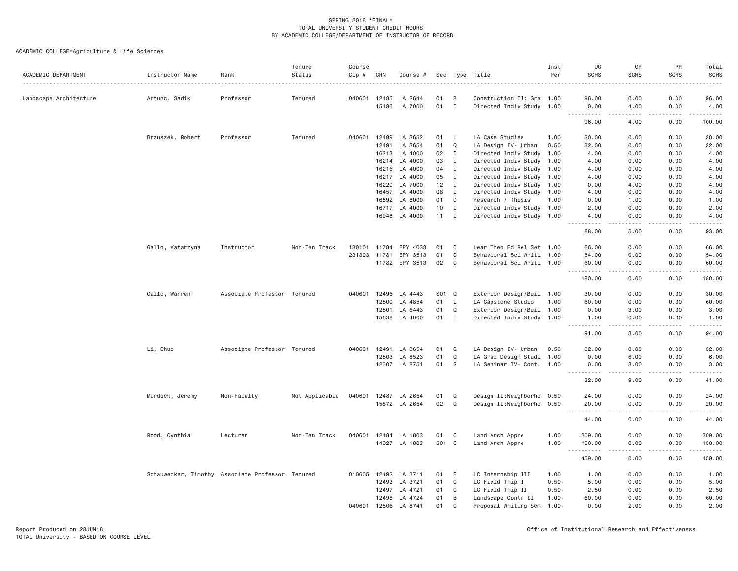| ACADEMIC DEPARTMENT    | Instructor Name                                  | Rank                        | Tenure<br>Status | Course<br>Cip # | CRN   | Course #       |       |              | Sec Type Title            | Inst<br>Per | UG<br><b>SCHS</b>      | GR<br><b>SCHS</b>            | PR<br><b>SCHS</b> | Total<br>SCHS       |
|------------------------|--------------------------------------------------|-----------------------------|------------------|-----------------|-------|----------------|-------|--------------|---------------------------|-------------|------------------------|------------------------------|-------------------|---------------------|
| Landscape Architecture | Artunc, Sadik                                    | Professor                   | Tenured          | 040601          | 12485 | LA 2644        | 01    | B            | Construction II: Gra 1.00 |             | 96.00                  | 0.00                         | 0.00              | 96.00               |
|                        |                                                  |                             |                  |                 | 15496 | LA 7000        | 01    | $\mathbf{I}$ | Directed Indiv Study 1.00 |             | 0.00                   | 4.00<br>$\sim$ $\sim$ $\sim$ | 0.00              | 4.00<br>-----       |
|                        |                                                  |                             |                  |                 |       |                |       |              |                           |             | 96.00                  | 4.00                         | 0.00              | 100.00              |
|                        | Brzuszek, Robert                                 | Professor                   | Tenured          | 040601          | 12489 | LA 3652        | 01    | - L          | LA Case Studies           | 1.00        | 30.00                  | 0.00                         | 0.00              | 30.00               |
|                        |                                                  |                             |                  |                 | 12491 | LA 3654        | 01    | Q            | LA Design IV- Urban       | 0.50        | 32.00                  | 0.00                         | 0.00              | 32.00               |
|                        |                                                  |                             |                  |                 | 16213 | LA 4000        | 02    | $\mathbf{I}$ | Directed Indiv Study 1.00 |             | 4.00                   | 0.00                         | 0.00              | 4.00                |
|                        |                                                  |                             |                  |                 | 16214 | LA 4000        | 03    | $\mathbf{I}$ | Directed Indiv Study 1.00 |             | 4.00                   | 0.00                         | 0.00              | 4.00                |
|                        |                                                  |                             |                  |                 | 16216 | LA 4000        | 04    | $\mathbf{I}$ | Directed Indiv Study 1.00 |             | 4.00                   | 0.00                         | 0.00              | 4.00                |
|                        |                                                  |                             |                  |                 | 16217 | LA 4000        | 05    | I            | Directed Indiv Study 1.00 |             | 4.00                   | 0.00                         | 0.00              | 4.00                |
|                        |                                                  |                             |                  |                 | 16220 | LA 7000        | 12    | $\mathbf{I}$ | Directed Indiv Study 1.00 |             | 0.00                   | 4.00                         | 0.00              | 4.00                |
|                        |                                                  |                             |                  |                 | 16457 | LA 4000        | 08    | $\mathbf I$  | Directed Indiv Study 1.00 |             | 4.00                   | 0.00                         | 0.00              | 4.00                |
|                        |                                                  |                             |                  |                 | 16592 | LA 8000        | 01    | D            | Research / Thesis         | 1.00        | 0.00                   | 1.00                         | 0.00              | 1.00                |
|                        |                                                  |                             |                  |                 | 16717 | LA 4000        | 10    | $\mathbf I$  | Directed Indiv Study 1.00 |             | 2.00                   | 0.00                         | 0.00              | 2.00                |
|                        |                                                  |                             |                  |                 | 16948 | LA 4000        | 11    | $\mathbf I$  | Directed Indiv Study 1.00 |             | 4.00<br>.              | 0.00<br>د د د د              | 0.00<br>.         | 4.00<br>.           |
|                        |                                                  |                             |                  |                 |       |                |       |              |                           |             | 88.00                  | 5.00                         | 0.00              | 93.00               |
|                        | Gallo, Katarzyna                                 | Instructor                  | Non-Ten Track    | 130101          | 11784 | EPY 4033       | 01    | C            | Lear Theo Ed Rel Set 1.00 |             | 66.00                  | 0.00                         | 0.00              | 66.00               |
|                        |                                                  |                             |                  | 231303          | 11781 | EPY 3513       | 01    | C            | Behavioral Sci Writi 1.00 |             | 54.00                  | 0.00                         | 0.00              | 54.00               |
|                        |                                                  |                             |                  |                 |       | 11782 EPY 3513 | 02    | C            | Behavioral Sci Writi 1.00 |             | 60.00                  | 0.00                         | 0.00              | 60.00               |
|                        |                                                  |                             |                  |                 |       |                |       |              |                           |             | .<br>180.00            | .<br>0.00                    | .<br>0.00         | .<br>180.00         |
|                        | Gallo, Warren                                    | Associate Professor Tenured |                  | 040601          | 12496 | LA 4443        | S01 Q |              | Exterior Design/Buil 1.00 |             | 30.00                  | 0.00                         | 0.00              | 30.00               |
|                        |                                                  |                             |                  |                 | 12500 | LA 4854        | 01    | $\mathsf{L}$ | LA Capstone Studio        | 1.00        | 60.00                  | 0.00                         | 0.00              | 60.00               |
|                        |                                                  |                             |                  |                 | 12501 | LA 6443        | 01    | Q            | Exterior Design/Buil 1.00 |             | 0.00                   | 3.00                         | 0.00              | 3.00                |
|                        |                                                  |                             |                  |                 | 15638 | LA 4000        | 01    | $\mathbf{I}$ | Directed Indiv Study 1.00 |             | 1.00<br>.              | 0.00<br>.                    | 0.00              | 1.00<br>.           |
|                        |                                                  |                             |                  |                 |       |                |       |              |                           |             | $- - -$<br>91.00       | 3.00                         | .<br>0.00         | 94.00               |
|                        | Li, Chuo                                         | Associate Professor Tenured |                  | 040601          | 12491 | LA 3654        | 01    | Q            | LA Design IV- Urban       | 0.50        | 32.00                  | 0.00                         | 0.00              | 32.00               |
|                        |                                                  |                             |                  |                 | 12503 | LA 8523        | 01    | Q            | LA Grad Design Studi 1.00 |             | 0.00                   | 6.00                         | 0.00              | 6.00                |
|                        |                                                  |                             |                  |                 |       | 12507 LA 8751  | 01    | S            | LA Seminar IV- Cont. 1.00 |             | 0.00                   | 3.00                         | 0.00              | 3.00                |
|                        |                                                  |                             |                  |                 |       |                |       |              |                           |             | .<br>32.00             | .<br>9.00                    | .<br>0.00         | .<br>41.00          |
|                        | Murdock, Jeremy                                  | Non-Faculty                 | Not Applicable   | 040601          | 12487 | LA 2654        | 01    | Q            | Design II:Neighborho 0.50 |             | 24.00                  | 0.00                         | 0.00              | 24.00               |
|                        |                                                  |                             |                  |                 |       | 15872 LA 2654  | 02    | $\mathsf Q$  | Design II:Neighborho 0.50 |             | 20.00                  | 0.00                         | 0.00              | 20.00               |
|                        |                                                  |                             |                  |                 |       |                |       |              |                           |             | 444<br>.<br>44.00      | .<br>0.00                    | 0.00              | .<br>44.00          |
|                        | Rood, Cynthia                                    | Lecturer                    | Non-Ten Track    | 040601          | 12484 | LA 1803        | 01    | C            | Land Arch Appre           | 1.00        | 309.00                 | 0.00                         | 0.00              | 309.00              |
|                        |                                                  |                             |                  |                 | 14027 | LA 1803        | 501 C |              | Land Arch Appre           | 1.00        | 150.00                 | 0.00                         | 0.00              | 150.00              |
|                        |                                                  |                             |                  |                 |       |                |       |              |                           |             | -------<br>.<br>459.00 | والأمام<br>0.00              | -----<br>0.00     | وبالمحامي<br>459.00 |
|                        | Schauwecker, Timothy Associate Professor Tenured |                             |                  | 010605          | 12492 | LA 3711        | 01    | E            | LC Internship III         | 1.00        | 1.00                   | 0.00                         | 0.00              | 1.00                |
|                        |                                                  |                             |                  |                 | 12493 | LA 3721        | 01    | C            | LC Field Trip I           | 0.50        | 5.00                   | 0.00                         | 0.00              | 5.00                |
|                        |                                                  |                             |                  |                 | 12497 | LA 4721        | 01    | C            | LC Field Trip II          | 0.50        | 2.50                   | 0.00                         | 0.00              | 2.50                |
|                        |                                                  |                             |                  |                 | 12498 | LA 4724        | 01    | B            | Landscape Contr II        | 1.00        | 60.00                  | 0.00                         | 0.00              | 60.00               |
|                        |                                                  |                             |                  | 040601          | 12506 | LA 8741        | 01    | C            | Proposal Writing Sem      | 1.00        | 0.00                   | 2.00                         | 0.00              | 2.00                |
|                        |                                                  |                             |                  |                 |       |                |       |              |                           |             |                        |                              |                   |                     |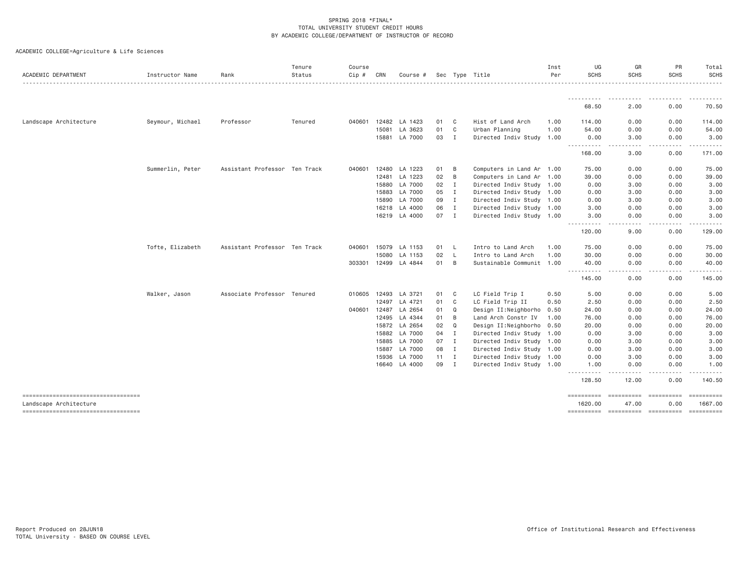| ACADEMIC DEPARTMENT                                           | Instructor Name  | Rank                          | Tenure<br>Status | Course<br>$Cip$ # | CRN   | Course #      | Sec          |                | Type Title<br>-------------------------------------- | Inst<br>Per | UG<br><b>SCHS</b>                                                                                                                                                                                                                                                                           | GR<br><b>SCHS</b>    | PR<br><b>SCHS</b>                                                                             | Total<br>SCHS         |
|---------------------------------------------------------------|------------------|-------------------------------|------------------|-------------------|-------|---------------|--------------|----------------|------------------------------------------------------|-------------|---------------------------------------------------------------------------------------------------------------------------------------------------------------------------------------------------------------------------------------------------------------------------------------------|----------------------|-----------------------------------------------------------------------------------------------|-----------------------|
|                                                               |                  |                               |                  |                   |       |               |              |                |                                                      |             | <u>.</u>                                                                                                                                                                                                                                                                                    |                      |                                                                                               | .                     |
|                                                               |                  |                               |                  |                   |       |               |              |                |                                                      |             | 68.50                                                                                                                                                                                                                                                                                       | 2.00                 | 0.00                                                                                          | 70.50                 |
| Landscape Architecture                                        | Seymour, Michael | Professor                     | Tenured          | 040601            | 12482 | LA 1423       | 01           | C              | Hist of Land Arch                                    | 1.00        | 114.00                                                                                                                                                                                                                                                                                      | 0.00                 | 0.00                                                                                          | 114.00                |
|                                                               |                  |                               |                  |                   | 15081 | LA 3623       | 01           | C              | Urban Planning                                       | 1.00        | 54.00                                                                                                                                                                                                                                                                                       | 0.00                 | 0.00                                                                                          | 54.00                 |
|                                                               |                  |                               |                  |                   | 15881 | LA 7000       | 03           | $\mathbf{I}$   | Directed Indiv Study 1.00                            |             | 0.00                                                                                                                                                                                                                                                                                        | 3.00                 | 0.00                                                                                          | 3.00                  |
|                                                               |                  |                               |                  |                   |       |               |              |                |                                                      |             | $\frac{1}{2} \left( \frac{1}{2} \right) \left( \frac{1}{2} \right) \left( \frac{1}{2} \right) \left( \frac{1}{2} \right)$<br>$\frac{1}{2} \left( \frac{1}{2} \right) \left( \frac{1}{2} \right) \left( \frac{1}{2} \right) \left( \frac{1}{2} \right) \left( \frac{1}{2} \right)$<br>168.00 | 3.00                 | 0.00                                                                                          | 171.00                |
|                                                               | Summerlin, Peter | Assistant Professor Ten Track |                  | 040601            | 12480 | LA 1223       | 01           | B              | Computers in Land Ar 1.00                            |             | 75.00                                                                                                                                                                                                                                                                                       | 0.00                 | 0.00                                                                                          | 75.00                 |
|                                                               |                  |                               |                  |                   | 12481 | LA 1223       | 02           | B              | Computers in Land Ar 1.00                            |             | 39.00                                                                                                                                                                                                                                                                                       | 0.00                 | 0.00                                                                                          | 39.00                 |
|                                                               |                  |                               |                  |                   | 15880 | LA 7000       | 02           | $\mathbf{I}$   | Directed Indiv Study 1.00                            |             | 0.00                                                                                                                                                                                                                                                                                        | 3.00                 | 0.00                                                                                          | 3.00                  |
|                                                               |                  |                               |                  |                   | 15883 | LA 7000       | 05           | $\blacksquare$ | Directed Indiv Study 1.00                            |             | 0.00                                                                                                                                                                                                                                                                                        | 3.00                 | 0.00                                                                                          | 3.00                  |
|                                                               |                  |                               |                  |                   | 15890 | LA 7000       | 09           | $\mathbf{I}$   | Directed Indiv Study 1.00                            |             | 0.00                                                                                                                                                                                                                                                                                        | 3.00                 | 0.00                                                                                          | 3.00                  |
|                                                               |                  |                               |                  |                   | 16218 | LA 4000       | 06           | $\mathbf I$    | Directed Indiv Study 1.00                            |             | 3.00                                                                                                                                                                                                                                                                                        | 0.00                 | 0.00                                                                                          | 3.00                  |
|                                                               |                  |                               |                  |                   |       | 16219 LA 4000 | 07 I         |                | Directed Indiv Study 1.00                            |             | 3.00                                                                                                                                                                                                                                                                                        | 0.00                 | 0.00                                                                                          | 3.00                  |
|                                                               |                  |                               |                  |                   |       |               |              |                |                                                      |             | $\frac{1}{2} \left( \frac{1}{2} \right) \left( \frac{1}{2} \right) \left( \frac{1}{2} \right) \left( \frac{1}{2} \right)$<br>$\frac{1}{2} \left( \frac{1}{2} \right) \left( \frac{1}{2} \right) \left( \frac{1}{2} \right) \left( \frac{1}{2} \right) \left( \frac{1}{2} \right)$<br>120.00 | . <b>.</b> .<br>9.00 | .<br>0.00                                                                                     | 129.00                |
|                                                               | Tofte, Elizabeth | Assistant Professor Ten Track |                  | 040601            | 15079 | LA 1153       | 01           | L,             | Intro to Land Arch                                   | 1.00        | 75.00                                                                                                                                                                                                                                                                                       | 0.00                 | 0.00                                                                                          | 75.00                 |
|                                                               |                  |                               |                  |                   | 15080 | LA 1153       | 02           | - L            | Intro to Land Arch                                   | 1.00        | 30.00                                                                                                                                                                                                                                                                                       | 0.00                 | 0.00                                                                                          | 30.00                 |
|                                                               |                  |                               |                  | 303301            | 12499 | LA 4844       | 01           | B              | Sustainable Communit 1.00                            |             | 40.00                                                                                                                                                                                                                                                                                       | 0.00                 | 0.00                                                                                          | 40.00                 |
|                                                               |                  |                               |                  |                   |       |               |              |                |                                                      |             | .<br>145.00                                                                                                                                                                                                                                                                                 | 0.00                 | 0.00                                                                                          | 145.00                |
|                                                               | Walker, Jason    | Associate Professor Tenured   |                  | 010605            | 12493 | LA 3721       | 01           | C              | LC Field Trip I                                      | 0.50        | 5.00                                                                                                                                                                                                                                                                                        | 0.00                 | 0.00                                                                                          | 5.00                  |
|                                                               |                  |                               |                  |                   | 12497 | LA 4721       | 01           | C              | LC Field Trip II                                     | 0.50        | 2.50                                                                                                                                                                                                                                                                                        | 0.00                 | 0.00                                                                                          | 2.50                  |
|                                                               |                  |                               |                  | 040601            | 12487 | LA 2654       | 01           | Q              | Design II:Neighborho 0.50                            |             | 24.00                                                                                                                                                                                                                                                                                       | 0.00                 | 0.00                                                                                          | 24.00                 |
|                                                               |                  |                               |                  |                   | 12495 | LA 4344       | 01           | B              | Land Arch Constr IV                                  | 1.00        | 76.00                                                                                                                                                                                                                                                                                       | 0.00                 | 0.00                                                                                          | 76.00                 |
|                                                               |                  |                               |                  |                   | 15872 | LA 2654       | 02           | Q              | Design II:Neighborho                                 | 0.50        | 20.00                                                                                                                                                                                                                                                                                       | 0.00                 | 0.00                                                                                          | 20.00                 |
|                                                               |                  |                               |                  |                   | 15882 | LA 7000       | 04 I         |                | Directed Indiv Study 1.00                            |             | 0.00                                                                                                                                                                                                                                                                                        | 3.00                 | 0.00                                                                                          | 3.00                  |
|                                                               |                  |                               |                  |                   | 15885 | LA 7000       | 07           | I              | Directed Indiv Study 1.00                            |             | 0.00                                                                                                                                                                                                                                                                                        | 3.00                 | 0.00                                                                                          | 3.00                  |
|                                                               |                  |                               |                  |                   | 15887 | LA 7000       | 08           | $\mathbf{I}$   | Directed Indiv Study 1.00                            |             | 0.00                                                                                                                                                                                                                                                                                        | 3.00                 | 0.00                                                                                          | 3.00                  |
|                                                               |                  |                               |                  |                   | 15936 | LA 7000       | $11 \quad I$ |                | Directed Indiv Study 1.00                            |             | 0.00                                                                                                                                                                                                                                                                                        | 3.00                 | 0.00                                                                                          | 3.00                  |
|                                                               |                  |                               |                  |                   |       | 16640 LA 4000 | 09           | $\mathbf{I}$   | Directed Indiv Study 1.00                            |             | 1.00<br>$- - - -$                                                                                                                                                                                                                                                                           | 0.00                 | 0.00                                                                                          | 1.00                  |
|                                                               |                  |                               |                  |                   |       |               |              |                |                                                      |             | 128.50                                                                                                                                                                                                                                                                                      | 12.00                | 0.00                                                                                          | 140.50                |
| -----------------------------------<br>Landscape Architecture |                  |                               |                  |                   |       |               |              |                |                                                      |             | ==========<br>1620.00                                                                                                                                                                                                                                                                       | ==========<br>47.00  | $\qquad \qquad \equiv \equiv \equiv \equiv \equiv \equiv \equiv \equiv \equiv \equiv$<br>0.00 | ==========<br>1667.00 |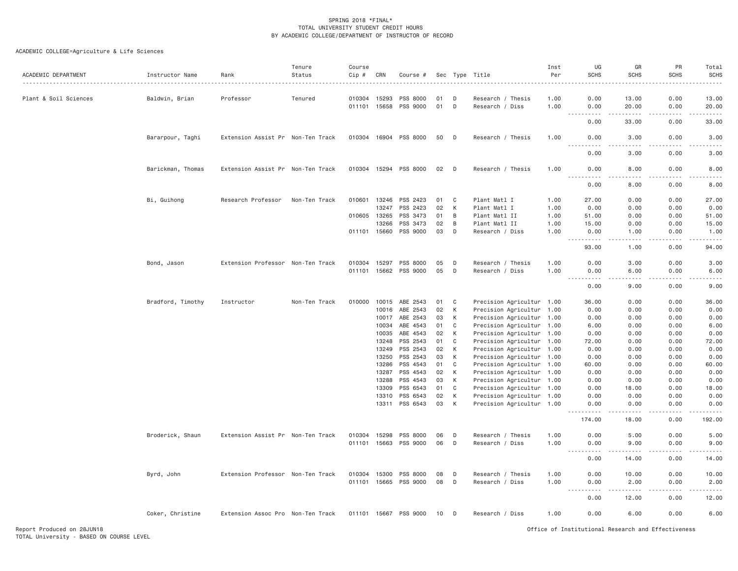| ACADEMIC DEPARTMENT   | Instructor Name   | Rank                              | Tenure<br>Status | Course<br>Cip #  | CRN            | Course #              |          |              | Sec Type Title                       | Inst<br>Per  | UG<br><b>SCHS</b>      | GR<br><b>SCHS</b> | PR<br><b>SCHS</b> | Total<br><b>SCHS</b>                                                                                                              |
|-----------------------|-------------------|-----------------------------------|------------------|------------------|----------------|-----------------------|----------|--------------|--------------------------------------|--------------|------------------------|-------------------|-------------------|-----------------------------------------------------------------------------------------------------------------------------------|
| Plant & Soil Sciences | Baldwin, Brian    | Professor                         | Tenured          | 010304           | 15293          | PSS 8000              | 01       | D            | Research / Thesis                    | 1.00         | 0.00                   | 13.00             | 0.00              | 13.00                                                                                                                             |
|                       |                   |                                   |                  | 011101 15658     |                | PSS 9000              | 01       | D            | Research / Diss                      | 1.00         | 0.00                   | 20.00             | 0.00              | 20.00                                                                                                                             |
|                       |                   |                                   |                  |                  |                |                       |          |              |                                      |              | 0.00                   | 33.00             | 0.00              | 33.00                                                                                                                             |
|                       | Bararpour, Taghi  | Extension Assist Pr Non-Ten Track |                  | 010304 16904     |                | PSS 8000              | 50       | D            | Research / Thesis                    | 1.00         | 0.00                   | 3.00              | 0.00              | 3.00                                                                                                                              |
|                       |                   |                                   |                  |                  |                |                       |          |              |                                      |              | $- - - -$<br>.<br>0.00 | .<br>3.00         | .<br>0.00         | $\frac{1}{2} \left( \frac{1}{2} \right) \left( \frac{1}{2} \right) \left( \frac{1}{2} \right) \left( \frac{1}{2} \right)$<br>3.00 |
|                       | Barickman, Thomas | Extension Assist Pr Non-Ten Track |                  |                  |                | 010304 15294 PSS 8000 | 02       | $\mathsf{D}$ | Research / Thesis                    | 1.00         | 0.00                   | 8.00              | 0.00              | 8.00                                                                                                                              |
|                       |                   |                                   |                  |                  |                |                       |          |              |                                      |              | .<br>0.00              | .<br>8.00         | -----<br>0.00     | $  -$<br>8.00                                                                                                                     |
|                       | Bi, Guihong       | Research Professor                | Non-Ten Track    | 010601           | 13246          | PSS 2423              | 01       | C            | Plant Matl I                         | 1.00         | 27.00                  | 0.00              | 0.00              | 27.00                                                                                                                             |
|                       |                   |                                   |                  |                  | 13247          | PSS 2423              | 02       | К            | Plant Matl I                         | 1.00         | 0.00                   | 0.00              | 0.00              | 0.00                                                                                                                              |
|                       |                   |                                   |                  | 010605           | 13265          | PSS 3473              | 01       | B            | Plant Matl II                        | 1.00         | 51.00                  | 0.00              | 0.00              | 51.00                                                                                                                             |
|                       |                   |                                   |                  |                  | 13266          | PSS 3473              | 02       | B            | Plant Matl II                        | 1.00         | 15.00                  | 0.00              | 0.00              | 15.00                                                                                                                             |
|                       |                   |                                   |                  | 011101 15660     |                | PSS 9000              | 03       | D            | Research / Diss                      | 1,00         | 0.00<br>.              | 1.00<br>د د د د   | 0.00              | 1.00<br>.                                                                                                                         |
|                       |                   |                                   |                  |                  |                |                       |          |              |                                      |              | $- - -$<br>93.00       | 1.00              | .<br>0.00         | 94.00                                                                                                                             |
|                       |                   |                                   |                  |                  |                |                       |          |              |                                      |              |                        |                   |                   |                                                                                                                                   |
|                       | Bond, Jason       | Extension Professor Non-Ten Track |                  | 010304<br>011101 | 15297<br>15662 | PSS 8000<br>PSS 9000  | 05<br>05 | D<br>D       | Research / Thesis<br>Research / Diss | 1.00<br>1.00 | 0.00<br>0.00           | 3.00<br>6.00      | 0.00<br>0.00      | 3.00<br>6.00                                                                                                                      |
|                       |                   |                                   |                  |                  |                |                       |          |              |                                      |              | .                      | .                 |                   |                                                                                                                                   |
|                       |                   |                                   |                  |                  |                |                       |          |              |                                      |              | 0.00                   | 9.00              | 0.00              | 9.00                                                                                                                              |
|                       | Bradford, Timothy | Instructor                        | Non-Ten Track    | 010000           | 10015          | ABE 2543              | 01       | C            | Precision Agricultur 1.00            |              | 36.00                  | 0.00              | 0.00              | 36.00                                                                                                                             |
|                       |                   |                                   |                  |                  | 10016          | ABE 2543              | 02       | К            | Precision Agricultur 1.00            |              | 0.00                   | 0.00              | 0.00              | 0.00                                                                                                                              |
|                       |                   |                                   |                  |                  | 10017          | ABE 2543              | 03       | К            | Precision Agricultur 1.00            |              | 0.00                   | 0.00              | 0.00              | 0.00                                                                                                                              |
|                       |                   |                                   |                  |                  | 10034          | ABE 4543              | 01       | C            | Precision Agricultur 1.00            |              | 6.00                   | 0.00              | 0.00              | 6.00                                                                                                                              |
|                       |                   |                                   |                  |                  | 10035          | ABE 4543              | 02       | K            | Precision Agricultur 1.00            |              | 0.00                   | 0.00              | 0.00              | 0.00                                                                                                                              |
|                       |                   |                                   |                  |                  | 13248          | PSS 2543              | 01       | C            | Precision Agricultur 1.00            |              | 72.00                  | 0.00              | 0.00              | 72.00                                                                                                                             |
|                       |                   |                                   |                  |                  | 13249          | PSS 2543              | 02       | К            | Precision Agricultur 1.00            |              | 0.00                   | 0.00              | 0.00              | 0.00                                                                                                                              |
|                       |                   |                                   |                  |                  | 13250          | PSS 2543              | 03       | К            | Precision Agricultur 1.00            |              | 0.00                   | 0.00              | 0.00              | 0.00                                                                                                                              |
|                       |                   |                                   |                  |                  | 13286          | PSS 4543              | 01       | C            | Precision Agricultur 1.00            |              | 60.00                  | 0.00              | 0.00              | 60.00                                                                                                                             |
|                       |                   |                                   |                  |                  | 13287          | PSS 4543              | 02       | К            | Precision Agricultur 1.00            |              | 0.00                   | 0.00              | 0.00              | 0.00                                                                                                                              |
|                       |                   |                                   |                  |                  | 13288          | PSS 4543              | 03       | К            | Precision Agricultur 1.00            |              | 0.00                   | 0.00              | 0.00              | 0.00                                                                                                                              |
|                       |                   |                                   |                  |                  | 13309          | PSS 6543              | 01       | C            | Precision Agricultur 1.00            |              | 0.00                   | 18.00             | 0.00              | 18.00                                                                                                                             |
|                       |                   |                                   |                  |                  | 13310          | PSS 6543              | 02       | К            | Precision Agricultur 1.00            |              | 0.00                   | 0.00              | 0.00              | 0.00                                                                                                                              |
|                       |                   |                                   |                  |                  | 13311          | PSS 6543              | 03       | К            | Precision Agricultur 1.00            |              | 0.00                   | 0.00              | 0.00              | 0.00                                                                                                                              |
|                       |                   |                                   |                  |                  |                |                       |          |              |                                      |              | .<br>174.00            | .<br>18.00        | بالمحاد<br>0.00   | .<br>192.00                                                                                                                       |
|                       | Broderick, Shaun  | Extension Assist Pr Non-Ten Track |                  | 010304           | 15298          | PSS 8000              | 06       | D            | Research / Thesis                    | 1.00         | 0.00                   | 5.00              | 0.00              | 5.00                                                                                                                              |
|                       |                   |                                   |                  | 011101           | 15663          | PSS 9000              | 06       | D            | Research / Diss                      | 1.00         | 0.00<br><u>.</u>       | 9.00              | 0.00              | 9.00                                                                                                                              |
|                       |                   |                                   |                  |                  |                |                       |          |              |                                      |              | 0.00                   | 14.00             | 0.00              | 14.00                                                                                                                             |
|                       | Byrd, John        | Extension Professor Non-Ten Track |                  | 010304           | 15300          | PSS 8000              | 08       | D            | Research / Thesis                    | 1.00         | 0.00                   | 10.00             | 0.00              | 10.00                                                                                                                             |
|                       |                   |                                   |                  |                  | 011101 15665   | PSS 9000              | 08       | D            | Research / Diss                      | 1.00         | 0.00<br>$\sim$ $\sim$  | 2.00              | 0.00              | 2.00                                                                                                                              |
|                       |                   |                                   |                  |                  |                |                       |          |              |                                      |              | 0.00                   | 12.00             | 0.00              | 12.00                                                                                                                             |
|                       | Coker, Christine  | Extension Assoc Pro Non-Ten Track |                  | 011101 15667     |                | PSS 9000              | 10 D     |              | Research / Diss                      | 1.00         | 0.00                   | 6.00              | 0.00              | 6.00                                                                                                                              |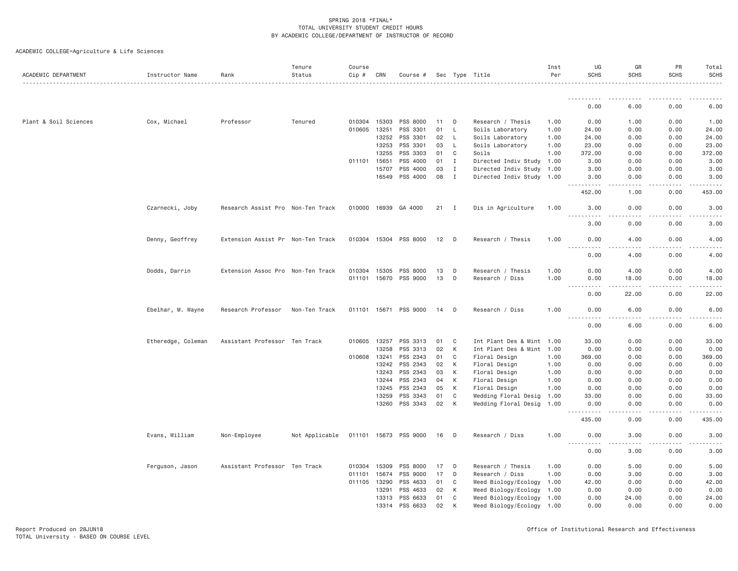| ACADEMIC DEPARTMENT   | Instructor Name    | Rank                              | Tenure<br>Status | Course<br>$Cip \#$ | CRN   | Course #              |        |              | Sec Type Title            | Inst<br>Per | UG<br><b>SCHS</b>                                                                                                                 | GR<br>SCHS      | PR<br><b>SCHS</b> | Total<br><b>SCHS</b> |
|-----------------------|--------------------|-----------------------------------|------------------|--------------------|-------|-----------------------|--------|--------------|---------------------------|-------------|-----------------------------------------------------------------------------------------------------------------------------------|-----------------|-------------------|----------------------|
|                       |                    |                                   |                  |                    |       |                       |        |              |                           |             | .                                                                                                                                 |                 |                   |                      |
|                       |                    |                                   |                  |                    |       |                       |        |              |                           |             | 0.00                                                                                                                              | 6.00            | 0.00              | 6.00                 |
| Plant & Soil Sciences | Cox, Michael       | Professor                         | Tenured          | 010304 15303       |       | PSS 8000              | 11     | D            | Research / Thesis         | 1.00        | 0.00                                                                                                                              | 1.00            | 0.00              | 1.00                 |
|                       |                    |                                   |                  | 010605 13251       |       | PSS 3301              | 01     | L            | Soils Laboratory          | 1.00        | 24.00                                                                                                                             | 0.00            | 0.00              | 24.00                |
|                       |                    |                                   |                  |                    | 13252 | PSS 3301              | 02     | L            | Soils Laboratory          | 1.00        | 24.00                                                                                                                             | 0.00            | 0.00              | 24.00                |
|                       |                    |                                   |                  |                    | 13253 | PSS 3301              | 03     | L            | Soils Laboratory          | 1.00        | 23.00                                                                                                                             | 0.00            | 0.00              | 23.00                |
|                       |                    |                                   |                  |                    | 13255 | PSS 3303              | 01     | C            | Soils                     | 1.00        | 372.00                                                                                                                            | 0.00            | 0.00              | 372.00               |
|                       |                    |                                   |                  | 011101 15651       |       | PSS 4000              | 01     | $\mathbf{I}$ | Directed Indiv Study      | 1.00        | 3.00                                                                                                                              | 0.00            | 0.00              | 3.00                 |
|                       |                    |                                   |                  |                    | 15707 | PSS 4000              | 03     | I            | Directed Indiv Study      | 1.00        | 3.00                                                                                                                              | 0.00            | 0.00              | 3.00                 |
|                       |                    |                                   |                  |                    | 16549 | PSS 4000              | 08     | $\mathbf{I}$ | Directed Indiv Study 1.00 |             | 3.00<br>.                                                                                                                         | 0.00            | 0.00              | 3.00                 |
|                       |                    |                                   |                  |                    |       |                       |        |              |                           |             | 452.00                                                                                                                            | 1.00            | 0.00              | 453.00               |
|                       | Czarnecki, Joby    | Research Assist Pro Non-Ten Track |                  |                    |       | 010000 16939 GA 4000  | $21$ I |              | Dis in Agriculture        | 1.00        | 3.00<br>$- - - - -$                                                                                                               | 0.00<br>.       | 0.00              | 3.00                 |
|                       |                    |                                   |                  |                    |       |                       |        |              |                           |             | 3.00                                                                                                                              | 0.00            | 0.00              | 3.00                 |
|                       | Denny, Geoffrey    | Extension Assist Pr Non-Ten Track |                  |                    |       | 010304 15304 PSS 8000 | 12     | D            | Research / Thesis         | 1.00        | 0.00<br>.                                                                                                                         | 4.00<br>.       | 0.00              | 4.00                 |
|                       |                    |                                   |                  |                    |       |                       |        |              |                           |             | 0.00                                                                                                                              | 4.00            | 0.00              | 4.00                 |
|                       | Dodds, Darrin      | Extension Assoc Pro Non-Ten Track |                  | 010304 15305       |       | PSS 8000              | 13     | D            | Research / Thesis         | 1.00        | 0.00                                                                                                                              | 4.00            | 0.00              | 4.00                 |
|                       |                    |                                   |                  |                    |       | 011101 15670 PSS 9000 | 13     | D            | Research / Diss           | 1.00        | 0.00<br><u>.</u>                                                                                                                  | 18.00<br>-----  | 0.00              | 18.00                |
|                       |                    |                                   |                  |                    |       |                       |        |              |                           |             | 0.00                                                                                                                              | 22.00           | 0.00              | 22.00                |
|                       | Ebelhar, M. Wayne  | Research Professor                | Non-Ten Track    |                    |       | 011101 15671 PSS 9000 | 14     | D            | Research / Diss           | 1.00        | 0.00<br>$\frac{1}{2} \left( \frac{1}{2} \right) \left( \frac{1}{2} \right) \left( \frac{1}{2} \right) \left( \frac{1}{2} \right)$ | 6.00<br>$- - -$ | 0.00              | 6.00                 |
|                       |                    |                                   |                  |                    |       |                       |        |              |                           |             | 0.00                                                                                                                              | 6.00            | 0.00              | 6.00                 |
|                       | Etheredge, Coleman | Assistant Professor Ten Track     |                  | 010605             | 13257 | PSS 3313              | 01     | C            | Int Plant Des & Mint 1.00 |             | 33.00                                                                                                                             | 0.00            | 0.00              | 33.00                |
|                       |                    |                                   |                  |                    | 13258 | PSS 3313              | 02     | К            | Int Plant Des & Mint 1.00 |             | 0.00                                                                                                                              | 0.00            | 0.00              | 0.00                 |
|                       |                    |                                   |                  | 010608 13241       |       | PSS 2343              | 01     | C            | Floral Design             | 1.00        | 369.00                                                                                                                            | 0.00            | 0.00              | 369.00               |
|                       |                    |                                   |                  |                    | 13242 | PSS 2343              | 02     | K            | Floral Design             | 1.00        | 0.00                                                                                                                              | 0.00            | 0.00              | 0.00                 |
|                       |                    |                                   |                  |                    | 13243 | PSS 2343              | 03     | К            | Floral Design             | 1.00        | 0.00                                                                                                                              | 0.00            | 0.00              | 0.00                 |
|                       |                    |                                   |                  |                    | 13244 | PSS 2343              | 04     | К            | Floral Design             | 1.00        | 0.00                                                                                                                              | 0.00            | 0.00              | 0.00                 |
|                       |                    |                                   |                  |                    | 13245 | PSS 2343              | 05     | К            | Floral Design             | 1.00        | 0.00                                                                                                                              | 0.00            | 0.00              | 0.00                 |
|                       |                    |                                   |                  |                    | 13259 | PSS 3343              | 01     | C            | Wedding Floral Desig      | 1.00        | 33.00                                                                                                                             | 0.00            | 0.00              | 33.00                |
|                       |                    |                                   |                  |                    |       | 13260 PSS 3343        | 02     | K            | Wedding Floral Desig      | 1.00        | 0.00                                                                                                                              | 0.00            | 0.00              | 0.00                 |
|                       |                    |                                   |                  |                    |       |                       |        |              |                           |             | 435.00                                                                                                                            | 0.00            | 0.00              | 435.00               |
|                       | Evans, William     | Non-Employee                      | Not Applicable   |                    |       | 011101 15673 PSS 9000 | 16     | D            | Research / Diss           | 1.00        | 0.00<br>$\sim$ $\sim$ $\sim$ $\sim$                                                                                               | 3.00            | 0.00              | 3.00                 |
|                       |                    |                                   |                  |                    |       |                       |        |              |                           |             | 0.00                                                                                                                              | 3.00            | 0.00              | 3.00                 |
|                       | Ferguson, Jason    | Assistant Professor Ten Track     |                  | 010304 15309       |       | PSS 8000              | 17     | D            | Research / Thesis         | 1.00        | 0.00                                                                                                                              | 5.00            | 0.00              | 5.00                 |
|                       |                    |                                   |                  | 011101             | 15674 | PSS 9000              | 17     | D            | Research / Diss           | 1.00        | 0.00                                                                                                                              | 3.00            | 0.00              | 3.00                 |
|                       |                    |                                   |                  | 011105 13290       |       | PSS 4633              | 01     | C            | Weed Biology/Ecology      | 1.00        | 42.00                                                                                                                             | 0.00            | 0.00              | 42.00                |
|                       |                    |                                   |                  |                    | 13291 | PSS 4633              | 02     | К            | Weed Biology/Ecology      | 1.00        | 0.00                                                                                                                              | 0.00            | 0.00              | 0.00                 |
|                       |                    |                                   |                  |                    | 13313 | PSS 6633              | 01     | C            | Weed Biology/Ecology      | 1.00        | 0.00                                                                                                                              | 24.00           | 0.00              | 24.00                |
|                       |                    |                                   |                  |                    | 13314 | PSS 6633              | 02     | К            | Weed Biology/Ecology 1.00 |             | 0.00                                                                                                                              | 0.00            | 0.00              | 0.00                 |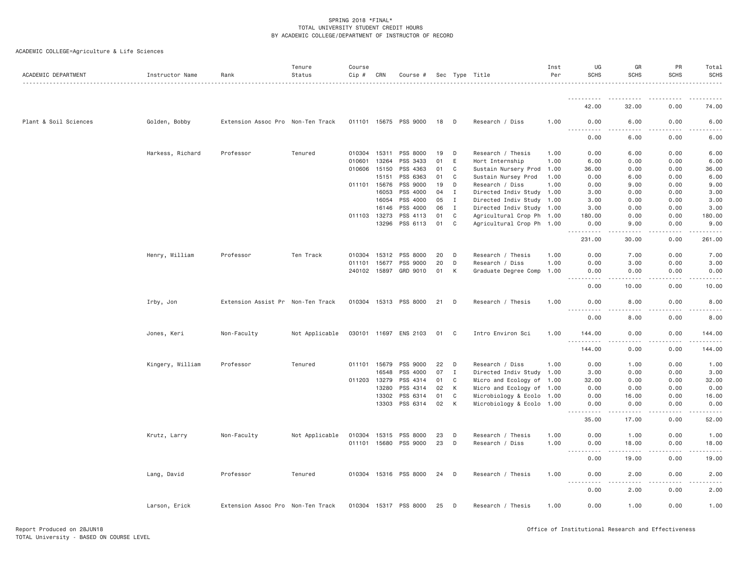| ACADEMIC DEPARTMENT   | Instructor Name  | Rank                              | Tenure<br>Status | Course<br>Cip # | CRN   | Course #              |    |              | Sec Type Title            | Inst<br>Per | UG<br><b>SCHS</b>                                                                                                                                        | GR<br><b>SCHS</b>           | PR<br>SCHS    | Total<br><b>SCHS</b> |
|-----------------------|------------------|-----------------------------------|------------------|-----------------|-------|-----------------------|----|--------------|---------------------------|-------------|----------------------------------------------------------------------------------------------------------------------------------------------------------|-----------------------------|---------------|----------------------|
|                       |                  |                                   |                  |                 |       |                       |    |              |                           |             | <u>.</u>                                                                                                                                                 |                             |               |                      |
|                       |                  |                                   |                  |                 |       |                       |    |              |                           |             | 42.00                                                                                                                                                    | 32.00                       | 0.00          | 74.00                |
| Plant & Soil Sciences | Golden, Bobby    | Extension Assoc Pro Non-Ten Track |                  |                 |       | 011101 15675 PSS 9000 | 18 | D            | Research / Diss           | 1.00        | 0.00                                                                                                                                                     | 6.00                        | 0.00          | 6.00                 |
|                       |                  |                                   |                  |                 |       |                       |    |              |                           |             | 0.00                                                                                                                                                     | 6.00                        | 0.00          | 6.00                 |
|                       | Harkess, Richard | Professor                         | Tenured          | 010304          | 15311 | PSS 8000              | 19 | D            | Research / Thesis         | 1.00        | 0.00                                                                                                                                                     | 6.00                        | 0.00          | 6.00                 |
|                       |                  |                                   |                  | 010601          | 13264 | PSS 3433              | 01 | Ε            | Hort Internship           | 1.00        | 6.00                                                                                                                                                     | 0.00                        | 0.00          | 6.00                 |
|                       |                  |                                   |                  | 010606 15150    |       | PSS 4363              | 01 | C            | Sustain Nursery Prod      | 1.00        | 36.00                                                                                                                                                    | 0.00                        | 0.00          | 36.00                |
|                       |                  |                                   |                  |                 | 15151 | PSS 6363              | 01 | C            | Sustain Nursey Prod       | 1.00        | 0.00                                                                                                                                                     | 6.00                        | 0.00          | 6.00                 |
|                       |                  |                                   |                  | 011101 15676    |       | PSS 9000              | 19 | D            | Research / Diss           | 1.00        | 0.00                                                                                                                                                     | 9.00                        | 0.00          | 9.00                 |
|                       |                  |                                   |                  |                 | 16053 | PSS 4000              | 04 | Ι.           | Directed Indiv Study      | 1.00        | 3.00                                                                                                                                                     | 0.00                        | 0.00          | 3.00                 |
|                       |                  |                                   |                  |                 | 16054 | PSS 4000              | 05 | Ι.           | Directed Indiv Study 1.00 |             | 3,00                                                                                                                                                     | 0.00                        | 0.00          | 3.00                 |
|                       |                  |                                   |                  |                 | 16146 | PSS 4000              | 06 | $\mathbf I$  | Directed Indiv Study 1.00 |             | 3.00                                                                                                                                                     | 0.00                        | 0.00          | 3.00                 |
|                       |                  |                                   |                  | 011103 13273    |       | PSS 4113              | 01 | C            | Agricultural Crop Ph 1.00 |             | 180.00                                                                                                                                                   | 0.00                        | 0.00          | 180.00               |
|                       |                  |                                   |                  |                 | 13296 | PSS 6113              | 01 | C            | Agricultural Crop Ph 1.00 |             | 0.00<br>.                                                                                                                                                | 9.00<br>.                   | 0.00<br>----- | 9.00                 |
|                       |                  |                                   |                  |                 |       |                       |    |              |                           |             | 231.00                                                                                                                                                   | 30.00                       | 0.00          | 261.00               |
|                       | Henry, William   | Professor                         | Ten Track        | 010304 15312    |       | PSS 8000              | 20 | D            | Research / Thesis         | 1.00        | 0.00                                                                                                                                                     | 7.00                        | 0.00          | 7.00                 |
|                       |                  |                                   |                  | 011101 15677    |       | PSS 9000              | 20 | D            | Research / Diss           | 1.00        | 0.00                                                                                                                                                     | 3.00                        | 0.00          | 3.00                 |
|                       |                  |                                   |                  | 240102 15897    |       | GRD 9010              | 01 | К            | Graduate Degree Comp      | 1.00        | 0.00                                                                                                                                                     | 0.00                        | 0.00          | 0.00                 |
|                       |                  |                                   |                  |                 |       |                       |    |              |                           |             | $\sim$ $\sim$ $\sim$ $\sim$<br>$\frac{1}{2} \left( \frac{1}{2} \right) \left( \frac{1}{2} \right) \left( \frac{1}{2} \right) \left( \frac{1}{2} \right)$ | $\sim$ $\sim$ $\sim$ $\sim$ |               |                      |
|                       |                  |                                   |                  |                 |       |                       |    |              |                           |             | 0.00                                                                                                                                                     | 10.00                       | 0.00          | 10.00                |
|                       | Irby, Jon        | Extension Assist Pr Non-Ten Track |                  |                 |       | 010304 15313 PSS 8000 | 21 | D            | Research / Thesis         | 1.00        | 0.00<br>$\sim$ $\sim$ $\sim$ $\sim$                                                                                                                      | 8.00                        | 0.00          | 8.00                 |
|                       |                  |                                   |                  |                 |       |                       |    |              |                           |             | 0.00                                                                                                                                                     | 8.00                        | 0.00          | 8.00                 |
|                       | Jones, Keri      | Non-Faculty                       | Not Applicable   |                 |       | 030101 11697 ENS 2103 | 01 | $\mathbf{C}$ | Intro Environ Sci         | 1.00        | 144.00<br>.                                                                                                                                              | 0.00                        | 0.00<br>.     | 144.00<br><u>.</u>   |
|                       |                  |                                   |                  |                 |       |                       |    |              |                           |             | 144.00                                                                                                                                                   | . <u>. .</u><br>0.00        | 0.00          | 144.00               |
|                       | Kingery, William | Professor                         | Tenured          | 011101 15679    |       | PSS 9000              | 22 | D            | Research / Diss           | 1.00        | 0.00                                                                                                                                                     | 1.00                        | 0.00          | 1.00                 |
|                       |                  |                                   |                  |                 | 16548 | PSS 4000              | 07 | $\mathbf{I}$ | Directed Indiv Study 1.00 |             | 3.00                                                                                                                                                     | 0.00                        | 0.00          | 3.00                 |
|                       |                  |                                   |                  | 011203 13279    |       | PSS 4314              | 01 | C            | Micro and Ecology of 1.00 |             | 32.00                                                                                                                                                    | 0.00                        | 0.00          | 32.00                |
|                       |                  |                                   |                  |                 | 13280 | PSS 4314              | 02 | К            | Micro and Ecology of 1.00 |             | 0.00                                                                                                                                                     | 0.00                        | 0.00          | 0.00                 |
|                       |                  |                                   |                  |                 | 13302 | PSS 6314              | 01 | C            | Microbiology & Ecolo      | 1.00        | 0.00                                                                                                                                                     | 16.00                       | 0.00          | 16.00                |
|                       |                  |                                   |                  |                 | 13303 | PSS 6314              | 02 | K            | Microbiology & Ecolo 1.00 |             | 0.00<br>.                                                                                                                                                | 0.00<br>$- - - -$           | 0.00          | 0.00                 |
|                       |                  |                                   |                  |                 |       |                       |    |              |                           |             | 35.00                                                                                                                                                    | 17.00                       | 0.00          | 52.00                |
|                       | Krutz, Larry     | Non-Faculty                       | Not Applicable   | 010304 15315    |       | PSS 8000              | 23 | D            | Research / Thesis         | 1,00        | 0.00                                                                                                                                                     | 1.00                        | 0.00          | 1.00                 |
|                       |                  |                                   |                  |                 |       | 011101 15680 PSS 9000 | 23 | D            | Research / Diss           | 1.00        | 0.00                                                                                                                                                     | 18.00                       | 0.00          | 18.00                |
|                       |                  |                                   |                  |                 |       |                       |    |              |                           |             | $\frac{1}{2}$<br>0.00                                                                                                                                    | <u>.</u><br>19.00           | .<br>0.00     | 19.00                |
|                       | Lang, David      | Professor                         | Tenured          |                 |       | 010304 15316 PSS 8000 | 24 | D            | Research / Thesis         | 1.00        | 0.00                                                                                                                                                     | 2.00                        | 0.00          | 2.00                 |
|                       |                  |                                   |                  |                 |       |                       |    |              |                           |             | .<br>$\frac{1}{2} \left( \frac{1}{2} \right) \left( \frac{1}{2} \right) \left( \frac{1}{2} \right) \left( \frac{1}{2} \right)$<br>0.00                   | .<br>2.00                   | -----<br>0.00 | .<br>2.00            |
|                       | Larson, Erick    | Extension Assoc Pro Non-Ten Track |                  |                 |       | 010304 15317 PSS 8000 | 25 | D            | Research / Thesis         | 1.00        | 0.00                                                                                                                                                     | 1.00                        | 0.00          | 1.00                 |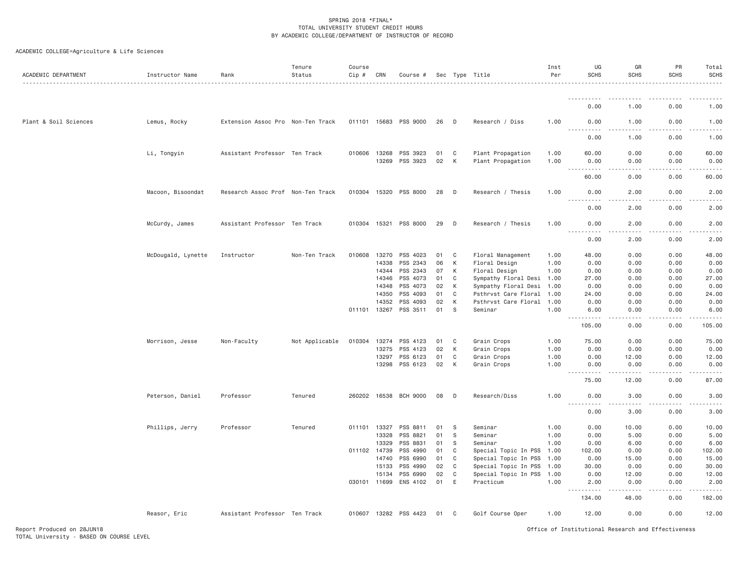| ACADEMIC DEPARTMENT   | Instructor Name    | Rank                              | Tenure<br>Status | Course<br>$Cip$ # | CRN          | Course #              |    |    | Sec Type Title            | Inst<br>Per | UG<br><b>SCHS</b>                                | GR<br><b>SCHS</b> | PR<br>SCHS | Total<br><b>SCHS</b> |
|-----------------------|--------------------|-----------------------------------|------------------|-------------------|--------------|-----------------------|----|----|---------------------------|-------------|--------------------------------------------------|-------------------|------------|----------------------|
|                       |                    |                                   |                  |                   |              |                       |    |    |                           |             | .                                                |                   | -----      |                      |
|                       |                    |                                   |                  |                   |              |                       |    |    |                           |             | 0.00                                             | 1.00              | 0.00       | 1.00                 |
| Plant & Soil Sciences | Lemus, Rocky       | Extension Assoc Pro Non-Ten Track |                  | 011101 15683      |              | PSS 9000              | 26 | D  | Research / Diss           | 1.00        | 0.00<br>$\sim$ $\sim$ $\sim$ $\sim$              | 1.00              | 0.00       | 1.00                 |
|                       |                    |                                   |                  |                   |              |                       |    |    |                           |             | 0.00                                             | 1.00              | 0.00       | 1.00                 |
|                       | Li, Tongyin        | Assistant Professor Ten Track     |                  | 010606 13268      |              | PSS 3923              | 01 | C  | Plant Propagation         | 1.00        | 60.00                                            | 0.00              | 0.00       | 60.00                |
|                       |                    |                                   |                  |                   | 13269        | PSS 3923              | 02 | К  | Plant Propagation         | 1.00        | 0.00<br><u>.</u>                                 | 0.00              | 0.00       | 0.00                 |
|                       |                    |                                   |                  |                   |              |                       |    |    |                           |             | 60.00                                            | 0.00              | 0.00       | 60.00                |
|                       | Macoon, Bisoondat  | Research Assoc Prof Non-Ten Track |                  | 010304 15320      |              | PSS 8000              | 28 | D  | Research / Thesis         | 1.00        | 0.00<br>$- - - -$<br>$\frac{1}{2}$               | 2.00              | 0.00       | 2.00                 |
|                       |                    |                                   |                  |                   |              |                       |    |    |                           |             | 0.00                                             | 2.00              | 0.00       | 2.00                 |
|                       | McCurdy, James     | Assistant Professor Ten Track     |                  |                   |              | 010304 15321 PSS 8000 | 29 | D  | Research / Thesis         | 1.00        | 0.00<br>$\sim$ $\sim$ $\sim$ $\sim$<br>$- - - -$ | 2.00              | 0.00       | 2.00                 |
|                       |                    |                                   |                  |                   |              |                       |    |    |                           |             | 0.00                                             | 2.00              | 0.00       | 2.00                 |
|                       | McDougald, Lynette | Instructor                        | Non-Ten Track    |                   | 010608 13270 | PSS 4023              | 01 | C  | Floral Management         | 1.00        | 48.00                                            | 0.00              | 0.00       | 48.00                |
|                       |                    |                                   |                  |                   | 14338        | PSS 2343              | 06 | К  | Floral Design             | 1.00        | 0.00                                             | 0.00              | 0.00       | 0.00                 |
|                       |                    |                                   |                  |                   | 14344        | PSS 2343              | 07 | К  | Floral Design             | 1.00        | 0.00                                             | 0.00              | 0.00       | 0.00                 |
|                       |                    |                                   |                  |                   | 14346        | PSS 4073              | 01 | C  | Sympathy Floral Desi 1.00 |             | 27.00                                            | 0.00              | 0.00       | 27.00                |
|                       |                    |                                   |                  |                   | 14348        | PSS 4073              | 02 | К  | Sympathy Floral Desi      | 1.00        | 0.00                                             | 0.00              | 0.00       | 0.00                 |
|                       |                    |                                   |                  |                   | 14350        | PSS 4093              | 01 | C  | Psthrvst Care Floral      | 1.00        | 24.00                                            | 0.00              | 0.00       | 24.00                |
|                       |                    |                                   |                  |                   | 14352        | PSS 4093              | 02 | К  | Psthrvst Care Floral 1.00 |             | 0.00                                             | 0.00              | 0.00       | 0.00                 |
|                       |                    |                                   |                  | 011101 13267      |              | PSS 3511              | 01 | S  | Seminar                   | 1.00        | 6.00<br>.                                        | 0.00<br>.         | 0.00<br>.  | 6.00<br>.            |
|                       |                    |                                   |                  |                   |              |                       |    |    |                           |             | 105.00                                           | 0.00              | 0.00       | 105.00               |
|                       | Morrison, Jesse    | Non-Faculty                       | Not Applicable   | 010304 13274      |              | PSS 4123              | 01 | C  | Grain Crops               | 1.00        | 75.00                                            | 0.00              | 0.00       | 75.00                |
|                       |                    |                                   |                  |                   | 13275        | PSS 4123              | 02 | К  | Grain Crops               | 1.00        | 0.00                                             | 0.00              | 0.00       | 0.00                 |
|                       |                    |                                   |                  |                   | 13297        | PSS 6123              | 01 | C  | Grain Crops               | 1.00        | 0.00                                             | 12.00             | 0.00       | 12.00                |
|                       |                    |                                   |                  |                   | 13298        | PSS 6123              | 02 | K  | Grain Crops               | 1,00        | 0.00<br>.                                        | 0.00              | 0.00       | 0.00                 |
|                       |                    |                                   |                  |                   |              |                       |    |    |                           |             | 75.00                                            | 12.00             | 0.00       | 87.00                |
|                       | Peterson, Daniel   | Professor                         | Tenured          |                   |              | 260202 16538 BCH 9000 | 08 | D  | Research/Diss             | 1.00        | 0.00<br>$\frac{1}{2}$<br>-----                   | 3.00<br>.         | 0.00<br>.  | 3.00<br><u>.</u>     |
|                       |                    |                                   |                  |                   |              |                       |    |    |                           |             | 0.00                                             | 3.00              | 0.00       | 3.00                 |
|                       | Phillips, Jerry    | Professor                         | Tenured          | 011101 13327      |              | PSS 8811              | 01 | S  | Seminar                   | 1.00        | 0.00                                             | 10.00             | 0.00       | 10.00                |
|                       |                    |                                   |                  |                   | 13328        | PSS 8821              | 01 | S. | Seminar                   | 1.00        | 0.00                                             | 5.00              | 0.00       | 5.00                 |
|                       |                    |                                   |                  |                   | 13329        | PSS 8831              | 01 | S. | Seminar                   | 1.00        | 0.00                                             | 6.00              | 0.00       | 6.00                 |
|                       |                    |                                   |                  | 011102 14739      |              | PSS 4990              | 01 | C  | Special Topic In PSS      | 1.00        | 102.00                                           | 0.00              | 0.00       | 102.00               |
|                       |                    |                                   |                  |                   | 14740        | PSS 6990              | 01 | C  | Special Topic In PSS      | 1.00        | 0.00                                             | 15.00             | 0.00       | 15.00                |
|                       |                    |                                   |                  |                   | 15133        | PSS 4990              | 02 | C  | Special Topic In PSS      | 1.00        | 30.00                                            | 0.00              | 0.00       | 30.00                |
|                       |                    |                                   |                  |                   | 15134        | PSS 6990              | 02 | C  | Special Topic In PSS      | 1.00        | 0.00                                             | 12.00             | 0.00       | 12.00                |
|                       |                    |                                   |                  | 030101 11699      |              | ENS 4102              | 01 | E  | Practicum                 | 1.00        | 2.00<br>.                                        | 0.00              | 0.00       | 2.00                 |
|                       |                    |                                   |                  |                   |              |                       |    |    |                           |             | 134.00                                           | 48.00             | 0.00       | 182.00               |
|                       | Reasor, Eric       | Assistant Professor Ten Track     |                  |                   |              | 010607 13282 PSS 4423 | 01 | C  | Golf Course Oper          | 1.00        | 12.00                                            | 0.00              | 0.00       | 12.00                |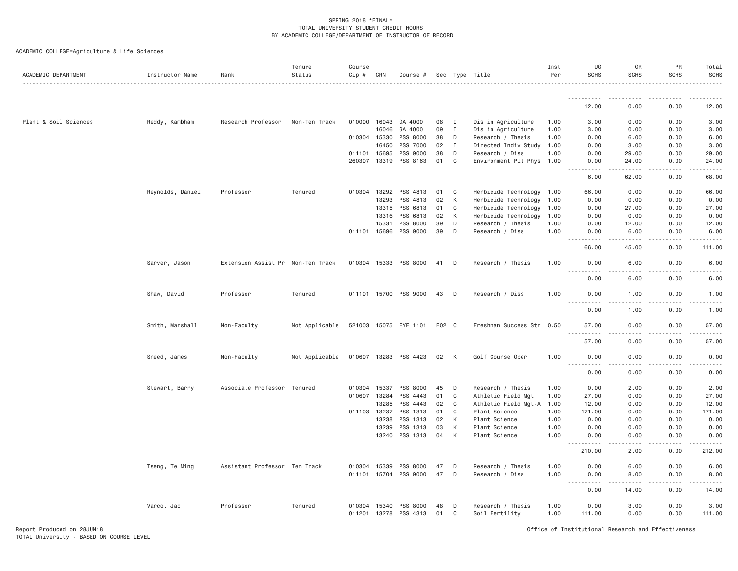| ACADEMIC DEPARTMENT   | Instructor Name  | Rank                              | Tenure<br>Status | Course<br>Cip # | CRN   | Course #              |       |              | Sec Type Title            | Inst<br>Per | UG<br><b>SCHS</b>                                                                                                                      | GR<br>SCHS | PR<br><b>SCHS</b> | Total<br><b>SCHS</b> |
|-----------------------|------------------|-----------------------------------|------------------|-----------------|-------|-----------------------|-------|--------------|---------------------------|-------------|----------------------------------------------------------------------------------------------------------------------------------------|------------|-------------------|----------------------|
|                       |                  |                                   |                  |                 |       |                       |       |              |                           |             | -----------                                                                                                                            |            |                   |                      |
|                       |                  |                                   |                  |                 |       |                       |       |              |                           |             | 12.00                                                                                                                                  | 0.00       | 0.00              | 12.00                |
| Plant & Soil Sciences | Reddy, Kambham   | Research Professor                | Non-Ten Track    | 010000 16043    |       | GA 4000               | 08    | $\mathbf{I}$ | Dis in Agriculture        | 1.00        | 3.00                                                                                                                                   | 0.00       | 0.00              | 3.00                 |
|                       |                  |                                   |                  |                 | 16046 | GA 4000               | 09    | $\mathbf{I}$ | Dis in Agriculture        | 1,00        | 3,00                                                                                                                                   | 0.00       | 0.00              | 3.00                 |
|                       |                  |                                   |                  | 010304 15330    |       | PSS 8000              | 38    | D            | Research / Thesis         | 1.00        | 0.00                                                                                                                                   | 6.00       | 0.00              | 6.00                 |
|                       |                  |                                   |                  |                 | 16450 | PSS 7000              | 02    | $\mathbf{I}$ | Directed Indiv Study 1.00 |             | 0.00                                                                                                                                   | 3.00       | 0.00              | 3.00                 |
|                       |                  |                                   |                  | 011101 15695    |       | PSS 9000              | 38    | D            | Research / Diss           | 1.00        | 0.00                                                                                                                                   | 29.00      | 0.00              | 29.00                |
|                       |                  |                                   |                  | 260307 13319    |       | PSS 8163              | 01    | C            | Environment Plt Phys 1.00 |             | 0.00<br><b></b>                                                                                                                        | 24.00<br>. | 0.00<br>.         | 24.00<br>.           |
|                       |                  |                                   |                  |                 |       |                       |       |              |                           |             | 6.00                                                                                                                                   | 62.00      | 0.00              | 68.00                |
|                       | Reynolds, Daniel | Professor                         | Tenured          | 010304 13292    |       | PSS 4813              | 01    | C            | Herbicide Technology 1.00 |             | 66.00                                                                                                                                  | 0.00       | 0.00              | 66.00                |
|                       |                  |                                   |                  |                 | 13293 | PSS 4813              | 02    | K            | Herbicide Technology      | 1.00        | 0.00                                                                                                                                   | 0.00       | 0.00              | 0.00                 |
|                       |                  |                                   |                  |                 | 13315 | PSS 6813              | 01    | C            | Herbicide Technology      | 1.00        | 0.00                                                                                                                                   | 27.00      | 0.00              | 27.00                |
|                       |                  |                                   |                  |                 | 13316 | PSS 6813              | 02    | K            | Herbicide Technology      | 1.00        | 0.00                                                                                                                                   | 0.00       | 0.00              | 0.00                 |
|                       |                  |                                   |                  |                 | 15331 | PSS 8000              | 39    | D            | Research / Thesis         | 1.00        | 0.00                                                                                                                                   | 12.00      | 0.00              | 12.00                |
|                       |                  |                                   |                  | 011101 15696    |       | PSS 9000              | 39    | D            | Research / Diss           | 1.00        | 0.00<br>.<br>$\frac{1}{2} \left( \frac{1}{2} \right) \left( \frac{1}{2} \right) \left( \frac{1}{2} \right) \left( \frac{1}{2} \right)$ | 6.00<br>.  | 0.00<br>.         | 6.00<br>.            |
|                       |                  |                                   |                  |                 |       |                       |       |              |                           |             | 66.00                                                                                                                                  | 45.00      | 0.00              | 111.00               |
|                       | Sarver, Jason    | Extension Assist Pr Non-Ten Track |                  |                 |       | 010304 15333 PSS 8000 | 41    | D            | Research / Thesis         | 1.00        | 0.00                                                                                                                                   | 6.00       | 0.00              | 6.00                 |
|                       |                  |                                   |                  |                 |       |                       |       |              |                           |             | 0.00                                                                                                                                   | 6.00       | 0.00              | 6.00                 |
|                       | Shaw, David      | Professor                         | Tenured          |                 |       | 011101 15700 PSS 9000 | 43    | D            | Research / Diss           | 1.00        | 0.00<br><u> - - - - - - - - - -</u>                                                                                                    | 1.00       | 0.00              | 1.00                 |
|                       |                  |                                   |                  |                 |       |                       |       |              |                           |             | 0.00                                                                                                                                   | 1.00       | 0.00              | 1.00                 |
|                       | Smith, Marshall  | Non-Faculty                       | Not Applicable   |                 |       | 521003 15075 FYE 1101 | F02 C |              | Freshman Success Str 0.50 |             | 57.00<br>.                                                                                                                             | 0.00       | 0.00              | 57.00                |
|                       |                  |                                   |                  |                 |       |                       |       |              |                           |             | 57.00                                                                                                                                  | 0.00       | 0.00              | 57.00                |
|                       | Sneed, James     | Non-Faculty                       | Not Applicable   |                 |       | 010607 13283 PSS 4423 | 02    | K            | Golf Course Oper          | 1.00        | 0.00<br><u>.</u>                                                                                                                       | 0.00<br>.  | 0.00              | 0.00                 |
|                       |                  |                                   |                  |                 |       |                       |       |              |                           |             | 0.00                                                                                                                                   | 0.00       | 0.00              | 0.00                 |
|                       | Stewart, Barry   | Associate Professor Tenured       |                  | 010304 15337    |       | PSS 8000              | 45    | D            | Research / Thesis         | 1.00        | 0.00                                                                                                                                   | 2.00       | 0.00              | 2.00                 |
|                       |                  |                                   |                  | 010607 13284    |       | PSS 4443              | 01    | C            | Athletic Field Mgt        | 1.00        | 27.00                                                                                                                                  | 0.00       | 0.00              | 27.00                |
|                       |                  |                                   |                  |                 | 13285 | PSS 4443              | 02    | C            | Athletic Field Mgt-A      | 1.00        | 12.00                                                                                                                                  | 0.00       | 0.00              | 12.00                |
|                       |                  |                                   |                  | 011103 13237    |       | PSS 1313              | 01    | C            | Plant Science             | 1.00        | 171.00                                                                                                                                 | 0.00       | 0.00              | 171.00               |
|                       |                  |                                   |                  |                 | 13238 | PSS 1313              | 02    | К            | Plant Science             | 1.00        | 0.00                                                                                                                                   | 0.00       | 0.00              | 0.00                 |
|                       |                  |                                   |                  |                 | 13239 | PSS 1313              | 03    | К            | Plant Science             | 1.00        | 0.00                                                                                                                                   | 0.00       | 0.00              | 0.00                 |
|                       |                  |                                   |                  |                 |       | 13240 PSS 1313        | 04    | К            | Plant Science             | 1.00        | 0.00<br>$\frac{1}{2} \left( \frac{1}{2} \right) \left( \frac{1}{2} \right) \left( \frac{1}{2} \right) \left( \frac{1}{2} \right)$<br>. | 0.00       | 0.00              | 0.00                 |
|                       |                  |                                   |                  |                 |       |                       |       |              |                           |             | 210.00                                                                                                                                 | 2.00       | 0.00              | 212.00               |
|                       | Tseng, Te Ming   | Assistant Professor Ten Track     |                  | 010304 15339    |       | PSS 8000              | 47    | D            | Research / Thesis         | 1.00        | 0.00                                                                                                                                   | 6.00       | 0.00              | 6.00                 |
|                       |                  |                                   |                  |                 |       | 011101 15704 PSS 9000 | 47    | D            | Research / Diss           | 1.00        | 0.00                                                                                                                                   | 8.00       | 0.00              | 8.00                 |
|                       |                  |                                   |                  |                 |       |                       |       |              |                           |             | $\sim$ $\sim$ $\sim$ $\sim$<br>$\sim$ $\sim$ $\sim$<br>0.00                                                                            | 14.00      | 0.00              | 14.00                |
|                       | Varco, Jac       | Professor                         | Tenured          |                 |       | 010304 15340 PSS 8000 | 48    | D            | Research / Thesis         | 1.00        | 0.00                                                                                                                                   | 3.00       | 0.00              | 3.00                 |
|                       |                  |                                   |                  |                 |       | 011201 13278 PSS 4313 | 01    | C            | Soil Fertility            | 1.00        | 111.00                                                                                                                                 | 0.00       | 0.00              | 111.00               |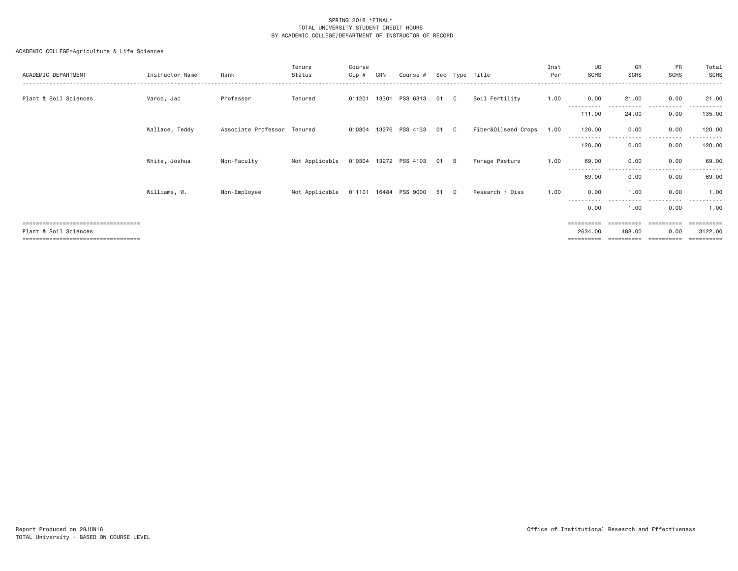| ACADEMIC DEPARTMENT                  | Instructor Name | Rank                        | Tenure<br>Status | Course<br>$Cip \#$ | CRN | Course #              |    |          | Sec Type Title      | Inst<br>Per | UG<br><b>SCHS</b> | GR<br><b>SCHS</b>   | PR<br><b>SCHS</b> | Total<br><b>SCHS</b> |
|--------------------------------------|-----------------|-----------------------------|------------------|--------------------|-----|-----------------------|----|----------|---------------------|-------------|-------------------|---------------------|-------------------|----------------------|
| Plant & Soil Sciences                | Varco, Jac      | Professor                   | Tenured          |                    |     | 011201 13301 PSS 6313 | 01 | C.       | Soil Fertility      | 1.00        | 0.00              | 21.00               | 0.00              | 21.00                |
|                                      |                 |                             |                  |                    |     |                       |    |          |                     |             | .<br>111.00       | ----------<br>24.00 | .<br>0.00         | ----------<br>135.00 |
|                                      | Wallace, Teddy  | Associate Professor Tenured |                  |                    |     | 010304 13276 PSS 4133 | 01 | C .      | Fiber&Oilseed Crops | 1.00        | 120.00            | 0.00                | 0.00              | 120.00               |
|                                      |                 |                             |                  |                    |     |                       |    |          |                     |             | 120.00            | 0.00                | 0.00              | 120.00               |
|                                      | White, Joshua   | Non-Faculty                 | Not Applicable   |                    |     | 010304 13272 PSS 4103 | 01 | <b>B</b> | Forage Pasture      | 1.00        | 69.00             | 0.00                | 0.00              | 69.00                |
|                                      |                 |                             |                  |                    |     |                       |    |          |                     |             | - - -<br>69.00    | 0.00                | 0.00              | 69.00                |
|                                      | Williams, W.    | Non-Employee                | Not Applicable   |                    |     | 011101 16484 PSS 9000 | 51 | D.       | Research / Diss     | 1.00        | 0.00              | 1.00                | 0.00              | 1.00                 |
|                                      |                 |                             |                  |                    |     |                       |    |          |                     |             | .<br>0.00         | 1.00                | 0.00              | 1.00                 |
| ;=================================== |                 |                             |                  |                    |     |                       |    |          |                     |             | ==========        |                     |                   | =========            |
| Plant & Soil Sciences                |                 |                             |                  |                    |     |                       |    |          |                     |             | 2634,00           | 488.00              | 0.00              | 3122.00              |
| ===================================  |                 |                             |                  |                    |     |                       |    |          |                     |             |                   |                     |                   | ---------            |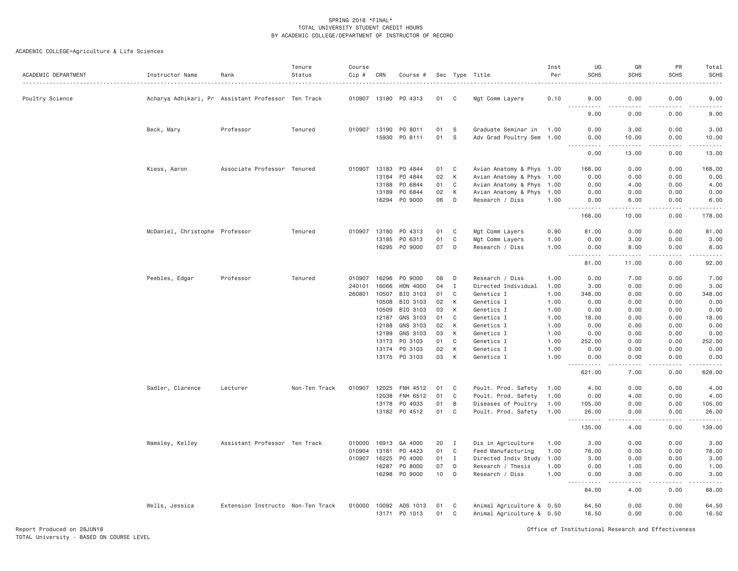| ACADEMIC DEPARTMENT | Instructor Name                                    | Rank                              | Tenure<br>Status | Course<br>$Cip$ #<br>. | CRN            | Course #             |          |                | Sec Type Title                             | Inst<br>Per  | UG<br><b>SCHS</b>                                                                                              | GR<br><b>SCHS</b> | PR<br><b>SCHS</b>                                                                                                                                            | Total<br>SCHS                                                                                                                                                |
|---------------------|----------------------------------------------------|-----------------------------------|------------------|------------------------|----------------|----------------------|----------|----------------|--------------------------------------------|--------------|----------------------------------------------------------------------------------------------------------------|-------------------|--------------------------------------------------------------------------------------------------------------------------------------------------------------|--------------------------------------------------------------------------------------------------------------------------------------------------------------|
| Poultry Science     | Acharya Adhikari, Pr Assistant Professor Ten Track |                                   |                  |                        |                | 010907 13180 P0 4313 | 01       | C <sub>1</sub> | Mgt Comm Layers                            | 0.10         | 9.00                                                                                                           | 0.00              | 0.00                                                                                                                                                         | 9.00                                                                                                                                                         |
|                     |                                                    |                                   |                  |                        |                |                      |          |                |                                            |              | <u>.</u><br>9.00                                                                                               | 0.00              | 0.00                                                                                                                                                         | 9.00                                                                                                                                                         |
|                     | Beck, Mary                                         | Professor                         | Tenured          | 010907 13190           |                | PO 8011              | 01       | S              | Graduate Seminar in                        | 1.00         | 0.00                                                                                                           | 3.00              | 0.00                                                                                                                                                         | 3.00                                                                                                                                                         |
|                     |                                                    |                                   |                  |                        | 15930          | PO 8111              | 01       | <b>S</b>       | Adv Grad Poultry Sem 1.00                  |              | 0.00<br>.<br>$\begin{array}{cccccccccc} \bullet & \bullet & \bullet & \bullet & \bullet & \bullet \end{array}$ | 10.00<br>.        | 0.00<br>.                                                                                                                                                    | 10.00<br>.                                                                                                                                                   |
|                     |                                                    |                                   |                  |                        |                |                      |          |                |                                            |              | 0.00                                                                                                           | 13,00             | 0.00                                                                                                                                                         | 13.00                                                                                                                                                        |
|                     | Kiess, Aaron                                       | Associate Professor Tenured       |                  | 010907 13183           |                | PO 4844              | 01 C     |                | Avian Anatomy & Phys 1.00                  |              | 168.00                                                                                                         | 0.00              | 0.00                                                                                                                                                         | 168.00                                                                                                                                                       |
|                     |                                                    |                                   |                  |                        | 13184          | PO 4844              | 02       | К              | Avian Anatomy & Phys 1.00                  |              | 0.00                                                                                                           | 0.00              | 0.00                                                                                                                                                         | 0.00                                                                                                                                                         |
|                     |                                                    |                                   |                  |                        | 13188          | PO 6844              | 01       | C              | Avian Anatomy & Phys 1.00                  |              | 0.00                                                                                                           | 4.00              | 0.00                                                                                                                                                         | 4.00                                                                                                                                                         |
|                     |                                                    |                                   |                  |                        | 13189          | PO 6844              | 02       | К              | Avian Anatomy & Phys 1.00                  |              | 0.00                                                                                                           | 0.00              | 0.00                                                                                                                                                         | 0.00                                                                                                                                                         |
|                     |                                                    |                                   |                  |                        | 16294          | PO 9000              | 06       | D              | Research / Diss                            | 1.00         | 0.00<br><u>.</u>                                                                                               | 6.00<br>-----     | 0.00<br><b><i><u>.</u></i></b>                                                                                                                               | 6.00<br>$\frac{1}{2} \left( \frac{1}{2} \right) \left( \frac{1}{2} \right) \left( \frac{1}{2} \right) \left( \frac{1}{2} \right) \left( \frac{1}{2} \right)$ |
|                     |                                                    |                                   |                  |                        |                |                      |          |                |                                            |              | 168.00                                                                                                         | 10.00             | 0.00                                                                                                                                                         | 178.00                                                                                                                                                       |
|                     | McDaniel, Christophe Professor                     |                                   | Tenured          | 010907                 | 13180          | PO 4313              | 01       | C              | Mgt Comm Layers                            | 0.90         | 81.00                                                                                                          | 0.00              | 0.00                                                                                                                                                         | 81.00                                                                                                                                                        |
|                     |                                                    |                                   |                  |                        | 13185          | PO 6313              | 01       | C              | Mgt Comm Layers                            | 1.00         | 0.00                                                                                                           | 3.00              | 0.00                                                                                                                                                         | 3.00                                                                                                                                                         |
|                     |                                                    |                                   |                  |                        | 16295          | PO 9000              | 07       | D              | Research / Diss                            | 1.00         | 0.00<br>$\sim$ $\sim$ $\sim$<br>.                                                                              | 8.00<br>.         | 0.00<br>.                                                                                                                                                    | 8.00<br>$\frac{1}{2} \left( \frac{1}{2} \right) \left( \frac{1}{2} \right) \left( \frac{1}{2} \right) \left( \frac{1}{2} \right)$                            |
|                     |                                                    |                                   |                  |                        |                |                      |          |                |                                            |              | 81.00                                                                                                          | 11.00             | 0.00                                                                                                                                                         | 92.00                                                                                                                                                        |
|                     | Peebles, Edgar                                     | Professor                         | Tenured          | 010907                 | 16296          | P0 9000              | 08       | D              | Research / Diss                            | 1.00         | 0.00                                                                                                           | 7.00              | 0.00                                                                                                                                                         | 7.00                                                                                                                                                         |
|                     |                                                    |                                   |                  | 240101                 | 16066          | HON 4000             | 04       | $\mathbf I$    | Directed Individual                        | 1.00         | 3.00                                                                                                           | 0.00              | 0.00                                                                                                                                                         | 3.00                                                                                                                                                         |
|                     |                                                    |                                   |                  | 260801                 | 10507          | BIO 3103             | 01       | C              | Genetics I                                 | 1.00         | 348.00                                                                                                         | 0.00              | 0.00                                                                                                                                                         | 348.00                                                                                                                                                       |
|                     |                                                    |                                   |                  |                        | 10508          | BIO 3103             | 02       | К              | Genetics I                                 | 1.00         | 0.00                                                                                                           | 0.00              | 0.00                                                                                                                                                         | 0.00                                                                                                                                                         |
|                     |                                                    |                                   |                  |                        | 10509          | BIO 3103             | 03       | К              | Genetics I                                 | 1.00         | 0.00                                                                                                           | 0.00              | 0.00                                                                                                                                                         | 0.00                                                                                                                                                         |
|                     |                                                    |                                   |                  |                        | 12187          | GNS 3103             | 01       | C              | Genetics I                                 | 1.00         | 18.00                                                                                                          | 0.00              | 0.00                                                                                                                                                         | 18.00                                                                                                                                                        |
|                     |                                                    |                                   |                  |                        | 12188          | GNS 3103             | 02       | К              | Genetics I                                 | 1.00         | 0.00                                                                                                           | 0.00              | 0.00                                                                                                                                                         | 0.00                                                                                                                                                         |
|                     |                                                    |                                   |                  |                        | 12189          | GNS 3103             | 03       | К              | Genetics I                                 | 1.00         | 0.00                                                                                                           | 0.00              | 0.00                                                                                                                                                         | 0.00                                                                                                                                                         |
|                     |                                                    |                                   |                  |                        | 13173          | PO 3103              | 01       | C              | Genetics I                                 | 1.00         | 252.00                                                                                                         | 0.00              | 0.00                                                                                                                                                         | 252.00                                                                                                                                                       |
|                     |                                                    |                                   |                  |                        | 13174<br>13175 | PO 3103<br>PO 3103   | 02<br>03 | К<br>К         | Genetics I<br>Genetics I                   | 1.00<br>1.00 | 0.00<br>0.00                                                                                                   | 0.00<br>0.00      | 0.00<br>0.00                                                                                                                                                 | 0.00<br>0.00                                                                                                                                                 |
|                     |                                                    |                                   |                  |                        |                |                      |          |                |                                            |              | <u>.</u><br>621.00                                                                                             | .<br>7.00         | .<br>0.00                                                                                                                                                    | $- - - - - -$<br>628.00                                                                                                                                      |
|                     |                                                    |                                   |                  |                        |                |                      |          |                |                                            |              |                                                                                                                |                   |                                                                                                                                                              |                                                                                                                                                              |
|                     | Sadler, Clarence                                   | Lecturer                          | Non-Ten Track    | 010907                 | 12025<br>12038 | FNH 4512             | 01<br>01 | C              | Poult. Prod. Safety                        | 1.00<br>1,00 | 4.00<br>0.00                                                                                                   | 0.00<br>4.00      | 0.00                                                                                                                                                         | 4.00                                                                                                                                                         |
|                     |                                                    |                                   |                  |                        | 13178          | FNH 6512<br>P0 4033  | 01       | C<br>B         | Poult. Prod. Safety<br>Diseases of Poultry | 1.00         | 105.00                                                                                                         | 0.00              | 0.00<br>0.00                                                                                                                                                 | 4.00<br>105.00                                                                                                                                               |
|                     |                                                    |                                   |                  |                        |                | 13182 PO 4512        | 01       | C              | Poult. Prod. Safety                        | 1.00         | 26.00                                                                                                          | 0.00              | 0.00                                                                                                                                                         | 26.00                                                                                                                                                        |
|                     |                                                    |                                   |                  |                        |                |                      |          |                |                                            |              | <u>.</u><br>135.00                                                                                             | -----<br>4.00     | $\frac{1}{2} \left( \frac{1}{2} \right) \left( \frac{1}{2} \right) \left( \frac{1}{2} \right) \left( \frac{1}{2} \right) \left( \frac{1}{2} \right)$<br>0.00 | والمستحدث والمنافذ<br>139.00                                                                                                                                 |
|                     | Wamsley, Kelley                                    | Assistant Professor Ten Track     |                  | 010000                 | 16913          | GA 4000              | 20       | Ι.             | Dis in Agriculture                         | 1.00         | 3.00                                                                                                           | 0.00              | 0.00                                                                                                                                                         | 3.00                                                                                                                                                         |
|                     |                                                    |                                   |                  | 010904                 | 13181          | P0 4423              | 01       | C              | Feed Manufacturing                         | 1.00         | 78.00                                                                                                          | 0.00              | 0.00                                                                                                                                                         | 78.00                                                                                                                                                        |
|                     |                                                    |                                   |                  | 010907                 | 16225          | P0 4000              | 01       | $\mathbf{I}$   | Directed Indiv Study                       | 1.00         | 3,00                                                                                                           | 0.00              | 0.00                                                                                                                                                         | 3.00                                                                                                                                                         |
|                     |                                                    |                                   |                  |                        | 16287          | P0 8000              | 07       | D              | Research / Thesis                          | 1.00         | 0.00                                                                                                           | 1.00              | 0.00                                                                                                                                                         | 1.00                                                                                                                                                         |
|                     |                                                    |                                   |                  |                        | 16298          | PO 9000              | 10       | D              | Research / Diss                            | 1.00         | 0.00                                                                                                           | 3.00              | 0.00                                                                                                                                                         | 3.00                                                                                                                                                         |
|                     |                                                    |                                   |                  |                        |                |                      |          |                |                                            |              | $  -$<br>.<br>84.00                                                                                            | .<br>4.00         | -----<br>0.00                                                                                                                                                | .<br>88.00                                                                                                                                                   |
|                     | Wells, Jessica                                     | Extension Instructo Non-Ten Track |                  | 010000                 | 10092          | ADS 1013             | 01       | C              | Animal Agriculture & 0.50                  |              | 64.50                                                                                                          | 0.00              | 0.00                                                                                                                                                         | 64.50                                                                                                                                                        |
|                     |                                                    |                                   |                  |                        | 13171          | PO 1013              | 01       | C              | Animal Agriculture & 0.50                  |              | 16.50                                                                                                          | 0.00              | 0.00                                                                                                                                                         | 16.50                                                                                                                                                        |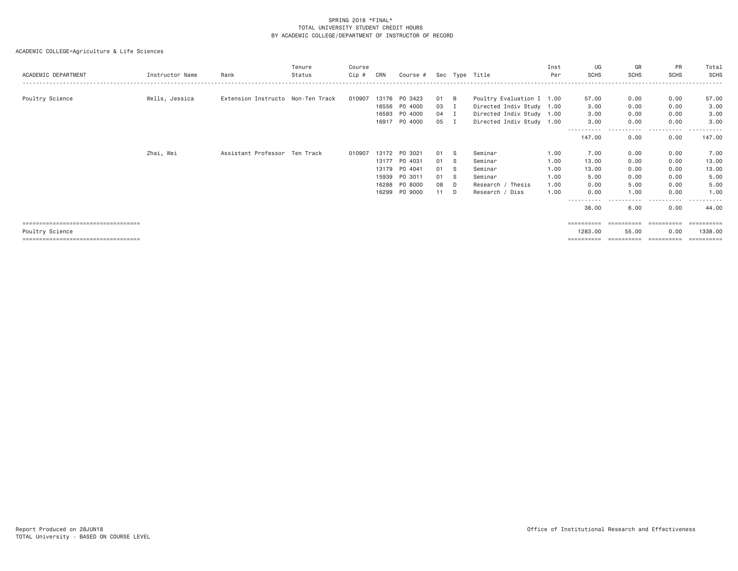| ACADEMIC DEPARTMENT                    | Instructor Name | Rank                              | Tenure<br>Status | Course<br>Cip # | CRN   | Course # |    |                | Sec Type Title            | Inst<br>Per | UG<br><b>SCHS</b> | GR<br><b>SCHS</b> | PR<br>SCHS      | Total<br>SCHS |
|----------------------------------------|-----------------|-----------------------------------|------------------|-----------------|-------|----------|----|----------------|---------------------------|-------------|-------------------|-------------------|-----------------|---------------|
|                                        |                 |                                   |                  |                 |       |          |    |                |                           |             |                   |                   |                 |               |
| Poultry Science                        | Wells, Jessica  | Extension Instructo Non-Ten Track |                  | 010907          | 13176 | PO 3423  | 01 | <b>B</b>       | Poultry Evaluation I 1.00 |             | 57.00             | 0.00              | 0.00            | 57.00         |
|                                        |                 |                                   |                  |                 | 16556 | P0 4000  | 03 | Ι.             | Directed Indiv Study 1.00 |             | 3.00              | 0.00              | 0.00            | 3.00          |
|                                        |                 |                                   |                  |                 | 16583 | PO 4000  | 04 | $\blacksquare$ | Directed Indiv Study 1.00 |             | 3.00              | 0.00              | 0.00            | 3.00          |
|                                        |                 |                                   |                  |                 | 16917 | PO 4000  | 05 | Ι.             | Directed Indiv Study 1.00 |             | 3.00              | 0.00              | 0.00            | 3.00          |
|                                        |                 |                                   |                  |                 |       |          |    |                |                           |             | -----<br>147.00   | $\cdots$<br>0.00  | $- - -$<br>0.00 | 147.00        |
|                                        | Zhai, Wei       | Assistant Professor Ten Track     |                  | 010907          | 13172 | PO 3021  | 01 | - S            | Seminar                   | 1.00        | 7.00              | 0.00              | 0.00            | 7.00          |
|                                        |                 |                                   |                  |                 | 13177 | PO 4031  | 01 | -S             | Seminar                   | 1.00        | 13.00             | 0.00              | 0.00            | 13.00         |
|                                        |                 |                                   |                  |                 | 13179 | P0 4041  | 01 | -S             | Seminar                   | 1.00        | 13.00             | 0.00              | 0.00            | 13.00         |
|                                        |                 |                                   |                  |                 | 15939 | PO 3011  | 01 | -S             | Seminar                   | 1.00        | 5.00              | 0.00              | 0.00            | 5.00          |
|                                        |                 |                                   |                  |                 | 16288 | PO 8000  | 08 | D              | Research / Thesis         | 1.00        | 0.00              | 5.00              | 0.00            | 5.00          |
|                                        |                 |                                   |                  |                 | 16299 | PO 9000  | 11 | D              | Research / Diss           | 1.00        | 0.00              | 1,00              | 0.00            | 1,00          |
|                                        |                 |                                   |                  |                 |       |          |    |                |                           |             | -----------       | ----              | -----           | .             |
|                                        |                 |                                   |                  |                 |       |          |    |                |                           |             | 38.00             | 6.00              | 0.00            | 44.00         |
| ====================================   |                 |                                   |                  |                 |       |          |    |                |                           |             | ==========        | -----------       | -----------     | -----------   |
| Poultry Science                        |                 |                                   |                  |                 |       |          |    |                |                           |             | 1283.00           | 55.00             | 0.00            | 1338,00       |
| ====================================== |                 |                                   |                  |                 |       |          |    |                |                           |             | ==========        | ==========        | ==========      | -----------   |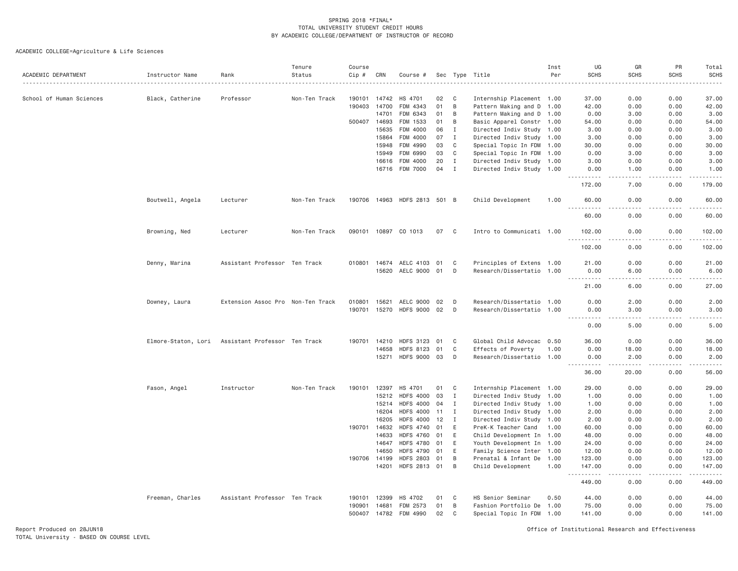|                          |                     |                                   | Tenure        | Course |              |                              |    |              |                           | Inst | UG                 | GR                           | PR                  | Total                     |
|--------------------------|---------------------|-----------------------------------|---------------|--------|--------------|------------------------------|----|--------------|---------------------------|------|--------------------|------------------------------|---------------------|---------------------------|
| ACADEMIC DEPARTMENT      | Instructor Name     | Rank                              | Status        | Cip #  | CRN          | Course #                     |    |              | Sec Type Title            | Per  | <b>SCHS</b>        | <b>SCHS</b>                  | <b>SCHS</b>         | <b>SCHS</b>               |
| School of Human Sciences | Black, Catherine    | Professor                         | Non-Ten Track | 190101 | 14742        | HS 4701                      | 02 | C            | Internship Placement 1.00 |      | 37.00              | 0.00                         | 0.00                | 37.00                     |
|                          |                     |                                   |               | 190403 | 14700        | FDM 4343                     | 01 | B            | Pattern Making and D 1.00 |      | 42.00              | 0.00                         | 0.00                | 42.00                     |
|                          |                     |                                   |               |        | 14701        | FDM 6343                     | 01 | B            | Pattern Making and D 1.00 |      | 0.00               | 3.00                         | 0.00                | 3.00                      |
|                          |                     |                                   |               | 500407 | 14693        | FDM 1533                     | 01 | B            | Basic Apparel Constr 1.00 |      | 54.00              | 0.00                         | 0.00                | 54.00                     |
|                          |                     |                                   |               |        | 15635        | FDM 4000                     | 06 | Ι.           | Directed Indiv Study 1.00 |      | 3.00               | 0.00                         | 0.00                | 3.00                      |
|                          |                     |                                   |               |        | 15864        | FDM 4000                     | 07 | $\mathbf{I}$ | Directed Indiv Study 1.00 |      | 3.00               | 0.00                         | 0.00                | 3.00                      |
|                          |                     |                                   |               |        | 15948        | FDM 4990                     | 03 | $\mathbb C$  | Special Topic In FDM 1.00 |      | 30.00              | 0.00                         | 0.00                | 30.00                     |
|                          |                     |                                   |               |        | 15949        | FDM 6990                     | 03 | C            | Special Topic In FDM 1.00 |      | 0.00               | 3.00                         | 0.00                | 3.00                      |
|                          |                     |                                   |               |        | 16616        | FDM 4000                     | 20 | $\mathbf I$  | Directed Indiv Study 1.00 |      | 3.00               | 0.00                         | 0.00                | 3.00                      |
|                          |                     |                                   |               |        |              | 16716 FDM 7000               | 04 | $\mathbf{I}$ | Directed Indiv Study 1.00 |      | 0.00               | 1.00                         | 0.00                | 1.00                      |
|                          |                     |                                   |               |        |              |                              |    |              |                           |      | 172.00             | .<br>7.00                    | 0.00                | 179.00                    |
|                          | Boutwell, Angela    | Lecturer                          | Non-Ten Track |        |              | 190706 14963 HDFS 2813 501 B |    |              | Child Development         | 1.00 | 60.00<br><u>.</u>  | 0.00<br>.                    | 0.00<br>$- - - - -$ | 60.00<br>.                |
|                          |                     |                                   |               |        |              |                              |    |              |                           |      | 60.00              | 0.00                         | 0.00                | 60.00                     |
|                          | Browning, Ned       | Lecturer                          | Non-Ten Track | 090101 | 10897        | CO 1013                      | 07 | C            | Intro to Communicati 1.00 |      | 102.00<br>.        | 0.00<br>$\sim$ $\sim$ $\sim$ | 0.00<br>.           | 102.00<br>.               |
|                          |                     |                                   |               |        |              |                              |    |              |                           |      | 102.00             | 0.00                         | 0.00                | 102.00                    |
|                          | Denny, Marina       | Assistant Professor Ten Track     |               | 010801 | 14674        | AELC 4103                    | 01 | C            | Principles of Extens 1.00 |      | 21.00              | 0.00                         | 0.00                | 21.00                     |
|                          |                     |                                   |               |        | 15620        | AELC 9000                    | 01 | D            | Research/Dissertatio 1.00 |      | 0.00               | 6.00                         | 0.00                | 6.00                      |
|                          |                     |                                   |               |        |              |                              |    |              |                           |      | <u>.</u><br>21.00  | 6.00                         | 0.00                | 27.00                     |
|                          | Downey, Laura       | Extension Assoc Pro Non-Ten Track |               | 010801 | 15621        | AELC 9000                    | 02 | D            | Research/Dissertatio 1.00 |      | 0.00               | 2.00                         | 0.00                | 2.00                      |
|                          |                     |                                   |               |        | 190701 15270 | HDFS 9000 02                 |    | D            | Research/Dissertatio 1.00 |      | 0.00               | 3,00                         | 0.00                | 3,00                      |
|                          |                     |                                   |               |        |              |                              |    |              |                           |      | <u>.</u>           | .                            | <b>.</b>            | .                         |
|                          |                     |                                   |               |        |              |                              |    |              |                           |      | 0.00               | 5.00                         | 0.00                | 5.00                      |
|                          | Elmore-Staton, Lori | Assistant Professor Ten Track     |               | 190701 | 14210        | <b>HDFS 3123</b>             | 01 | C            | Global Child Advocac 0.50 |      | 36.00              | 0.00                         | 0.00                | 36.00                     |
|                          |                     |                                   |               |        | 14658        | <b>HDFS 8123</b>             | 01 | C            | Effects of Poverty        | 1.00 | 0.00               | 18.00                        | 0.00                | 18.00                     |
|                          |                     |                                   |               |        | 15271        | HDFS 9000 03                 |    | D            | Research/Dissertatio 1.00 |      | 0.00<br>. <b>.</b> | 2.00<br>.                    | 0.00<br>.           | 2.00<br>.                 |
|                          |                     |                                   |               |        |              |                              |    |              |                           |      | 36.00              | 20.00                        | 0.00                | 56.00                     |
|                          | Fason, Angel        | Instructor                        | Non-Ten Track | 190101 | 12397        | HS 4701                      | 01 | C            | Internship Placement 1.00 |      | 29.00              | 0.00                         | 0.00                | 29.00                     |
|                          |                     |                                   |               |        | 15212        | <b>HDFS 4000</b>             | 03 | I            | Directed Indiv Study 1.00 |      | 1.00               | 0.00                         | 0.00                | 1.00                      |
|                          |                     |                                   |               |        | 15214        | <b>HDFS 4000</b>             | 04 | Ι.           | Directed Indiv Study 1.00 |      | 1.00               | 0.00                         | 0.00                | 1.00                      |
|                          |                     |                                   |               |        | 16204        | <b>HDFS 4000</b>             | 11 | $\mathbf I$  | Directed Indiv Study 1.00 |      | 2.00               | 0.00                         | 0.00                | 2.00                      |
|                          |                     |                                   |               |        | 16205        | <b>HDFS 4000</b>             | 12 | $\mathbf{I}$ | Directed Indiv Study 1.00 |      | 2.00               | 0.00                         | 0.00                | 2.00                      |
|                          |                     |                                   |               | 190701 | 14632        | <b>HDFS 4740</b>             | 01 | E            | PreK-K Teacher Cand       | 1.00 | 60.00              | 0.00                         | 0.00                | 60.00                     |
|                          |                     |                                   |               |        | 14633        | <b>HDFS 4760</b>             | 01 | E            | Child Development In 1.00 |      | 48.00              | 0.00                         | 0.00                | 48.00                     |
|                          |                     |                                   |               |        | 14647        | <b>HDFS 4780</b>             | 01 | E            | Youth Development In 1.00 |      | 24.00              | 0.00                         | 0.00                | 24.00                     |
|                          |                     |                                   |               |        | 14650        | <b>HDFS 4790</b>             | 01 | E            | Family Science Inter 1.00 |      | 12.00              | 0.00                         | 0.00                | 12.00                     |
|                          |                     |                                   |               | 190706 | 14199        | <b>HDFS 2803</b>             | 01 | B            | Prenatal & Infant De      | 1.00 | 123.00             | 0.00                         | 0.00                | 123.00                    |
|                          |                     |                                   |               |        | 14201        | HDFS 2813 01                 |    | B            | Child Development         | 1.00 | 147.00<br>.        | 0.00<br>.                    | 0.00<br>. <b>.</b>  | 147.00<br>والمالم المالية |
|                          |                     |                                   |               |        |              |                              |    |              |                           |      | 449.00             | 0.00                         | 0.00                | 449.00                    |
|                          | Freeman, Charles    | Assistant Professor Ten Track     |               | 190101 | 12399        | HS 4702                      | 01 | C            | HS Senior Seminar         | 0.50 | 44.00              | 0.00                         | 0.00                | 44.00                     |
|                          |                     |                                   |               | 190901 | 14681        | FDM 2573                     | 01 | B            | Fashion Portfolio De 1.00 |      | 75.00              | 0.00                         | 0.00                | 75.00                     |
|                          |                     |                                   |               | 500407 | 14782        | FDM 4990                     | 02 | C            | Special Topic In FDM 1.00 |      | 141.00             | 0.00                         | 0.00                | 141.00                    |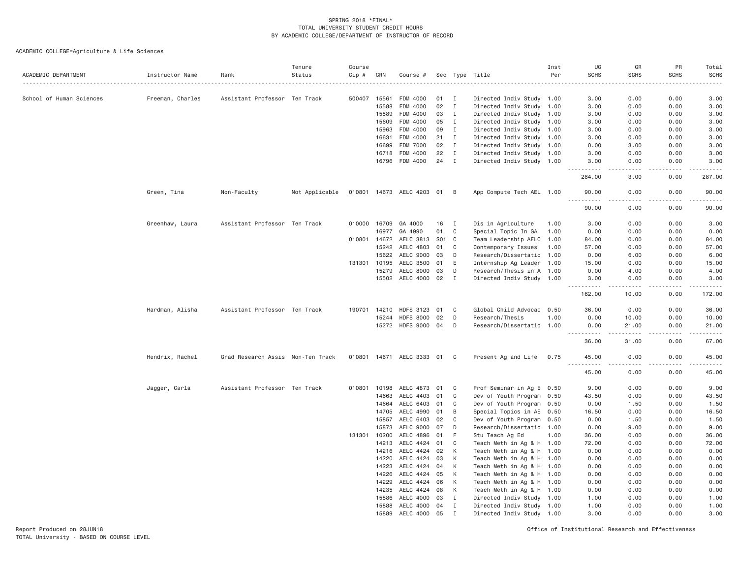| ACADEMIC DEPARTMENT      | Instructor Name  | Rank                              | Tenure<br>Status | Course<br>Cip # | CRN          | Course #                    |       |                | Sec Type Title            | Inst<br>Per | UG<br><b>SCHS</b> | GR<br><b>SCHS</b> | PR<br><b>SCHS</b> | Total<br><b>SCHS</b><br>$\sim$ $\sim$ $\sim$ $\sim$ $\sim$ |
|--------------------------|------------------|-----------------------------------|------------------|-----------------|--------------|-----------------------------|-------|----------------|---------------------------|-------------|-------------------|-------------------|-------------------|------------------------------------------------------------|
| School of Human Sciences | Freeman, Charles | Assistant Professor Ten Track     |                  | 500407          | 15561        | FDM 4000                    | 01    | I              | Directed Indiv Study 1.00 |             | 3.00              | 0.00              | 0.00              | 3.00                                                       |
|                          |                  |                                   |                  |                 | 15588        | FDM 4000                    | 02    | $\mathbf{I}$   | Directed Indiv Study 1.00 |             | 3.00              | 0.00              | 0.00              | 3.00                                                       |
|                          |                  |                                   |                  |                 | 15589        | FDM 4000                    | 03    | I              | Directed Indiv Study 1.00 |             | 3.00              | 0.00              | 0.00              | 3.00                                                       |
|                          |                  |                                   |                  |                 | 15609        | FDM 4000                    | 05    | Ι.             | Directed Indiv Study 1.00 |             | 3.00              | 0.00              | 0.00              | 3.00                                                       |
|                          |                  |                                   |                  |                 | 15963        | FDM 4000                    | 09    | $\mathbf{I}$   | Directed Indiv Study 1.00 |             | 3,00              | 0.00              | 0.00              | 3.00                                                       |
|                          |                  |                                   |                  |                 | 16631        | FDM 4000                    | 21    | $\mathbf{I}$   | Directed Indiv Study 1.00 |             | 3.00              | 0.00              | 0.00              | 3.00                                                       |
|                          |                  |                                   |                  |                 | 16699        | FDM 7000                    | 02    | $\mathbf{I}$   | Directed Indiv Study 1.00 |             | 0.00              | 3.00              | 0.00              | 3.00                                                       |
|                          |                  |                                   |                  |                 | 16718        | FDM 4000                    | 22    | $\mathbf{I}$   | Directed Indiv Study 1.00 |             | 3.00              | 0.00              | 0.00              | 3.00                                                       |
|                          |                  |                                   |                  |                 | 16796        | FDM 4000                    | 24    | $\mathbf{I}$   | Directed Indiv Study 1.00 |             | 3.00              | 0.00              | 0.00              | 3.00                                                       |
|                          |                  |                                   |                  |                 |              |                             |       |                |                           |             | 284.00            | 3.00              | 0.00              | 287.00                                                     |
|                          | Green, Tina      | Non-Faculty                       | Not Applicable   |                 |              | 010801 14673 AELC 4203 01 B |       |                | App Compute Tech AEL 1.00 |             | 90.00<br>.        | 0.00<br>$- - -$   | 0.00<br>.         | 90.00<br>.                                                 |
|                          |                  |                                   |                  |                 |              |                             |       |                |                           |             | 90.00             | 0.00              | 0.00              | 90.00                                                      |
|                          | Greenhaw, Laura  | Assistant Professor Ten Track     |                  | 010000          | 16709        | GA 4000                     | 16    | $\mathbf{I}$   | Dis in Agriculture        | 1.00        | 3.00              | 0.00              | 0.00              | 3.00                                                       |
|                          |                  |                                   |                  |                 | 16977        | GA 4990                     | 01    | C              | Special Topic In GA       | 1.00        | 0.00              | 0.00              | 0.00              | 0.00                                                       |
|                          |                  |                                   |                  | 010801 14672    |              | AELC 3813                   | S01 C |                | Team Leadership AELC 1.00 |             | 84.00             | 0.00              | 0.00              | 84.00                                                      |
|                          |                  |                                   |                  |                 | 15242        | AELC 4803                   | 01    | C              | Contemporary Issues       | 1.00        | 57.00             | 0.00              | 0.00              | 57.00                                                      |
|                          |                  |                                   |                  |                 | 15622        | AELC 9000                   | 03    | D              | Research/Dissertatio      | 1.00        | 0.00              | 6.00              | 0.00              | 6.00                                                       |
|                          |                  |                                   |                  |                 | 131301 10195 | AELC 3500                   | 01    | E              | Internship Ag Leader 1.00 |             | 15.00             | 0.00              | 0.00              | 15.00                                                      |
|                          |                  |                                   |                  |                 | 15279        | AELC 8000                   | 03    | D              | Research/Thesis in A 1.00 |             | 0.00              | 4.00              | 0.00              | 4.00                                                       |
|                          |                  |                                   |                  |                 | 15502        | AELC 4000 02                |       | $\mathbf{I}$   | Directed Indiv Study 1.00 |             | 3.00              | 0.00              | 0.00              | 3.00                                                       |
|                          |                  |                                   |                  |                 |              |                             |       |                |                           |             | .<br>162.00       | .<br>10.00        | .<br>0.00         | 2.22222<br>172.00                                          |
|                          | Hardman, Alisha  | Assistant Professor Ten Track     |                  | 190701          | 14210        | <b>HDFS 3123</b>            | 01    | C              | Global Child Advocac 0.50 |             | 36.00             | 0.00              | 0.00              | 36.00                                                      |
|                          |                  |                                   |                  |                 | 15244        | <b>HDFS 8000</b>            | 02    | D              | Research/Thesis           | 1.00        | 0.00              | 10.00             | 0.00              | 10.00                                                      |
|                          |                  |                                   |                  |                 |              | 15272 HDFS 9000 04          |       | D              | Research/Dissertatio 1.00 |             | 0.00              | 21.00             | 0.00              | 21.00                                                      |
|                          |                  |                                   |                  |                 |              |                             |       |                |                           |             |                   |                   | .                 | .                                                          |
|                          |                  |                                   |                  |                 |              |                             |       |                |                           |             | 36.00             | 31.00             | 0.00              | 67.00                                                      |
|                          | Hendrix, Rachel  | Grad Research Assis Non-Ten Track |                  |                 |              | 010801 14671 AELC 3333 01   |       | C <sub>1</sub> | Present Ag and Life       | 0.75        | 45.00<br>.        | 0.00<br>.         | 0.00<br>.         | 45.00<br>.                                                 |
|                          |                  |                                   |                  |                 |              |                             |       |                |                           |             | 45.00             | 0.00              | 0.00              | 45.00                                                      |
|                          | Jagger, Carla    | Assistant Professor Ten Track     |                  | 010801          | 10198        | AELC 4873 01                |       | C              | Prof Seminar in Ag E 0.50 |             | 9.00              | 0.00              | 0.00              | 9.00                                                       |
|                          |                  |                                   |                  |                 | 14663        | AELC 4403                   | 01    | C              | Dev of Youth Program 0.50 |             | 43.50             | 0.00              | 0.00              | 43.50                                                      |
|                          |                  |                                   |                  |                 | 14664        | AELC 6403                   | 01    | C              | Dev of Youth Program 0.50 |             | 0.00              | 1.50              | 0.00              | 1.50                                                       |
|                          |                  |                                   |                  |                 | 14705        | AELC 4990                   | 01    | B              | Special Topics in AE 0.50 |             | 16.50             | 0.00              | 0.00              | 16.50                                                      |
|                          |                  |                                   |                  |                 | 15857        | AELC 6403                   | 02    | C              | Dev of Youth Program 0.50 |             | 0.00              | 1.50              | 0.00              | 1.50                                                       |
|                          |                  |                                   |                  |                 | 15873        | AELC 9000                   | 07    | D              | Research/Dissertatio 1.00 |             | 0.00              | 9.00              | 0.00              | 9.00                                                       |
|                          |                  |                                   |                  | 131301 10200    |              | AELC 4896                   | 01    | F              | Stu Teach Ag Ed           | 1.00        | 36.00             | 0.00              | 0.00              | 36.00                                                      |
|                          |                  |                                   |                  |                 | 14213        | AELC 4424                   | 01    | C              | Teach Meth in Ag & H 1.00 |             | 72.00             | 0.00              | 0.00              | 72.00                                                      |
|                          |                  |                                   |                  |                 | 14216        | AELC 4424                   | 02    | К              | Teach Meth in Ag & H 1.00 |             | 0.00              | 0.00              | 0.00              | 0.00                                                       |
|                          |                  |                                   |                  |                 | 14220        | AELC 4424                   | 03    | K              | Teach Meth in Ag & H 1.00 |             | 0.00              | 0.00              | 0.00              | 0.00                                                       |
|                          |                  |                                   |                  |                 | 14223        | AELC 4424 04                |       | K              | Teach Meth in Ag & H 1.00 |             | 0.00              | 0.00              | 0.00              | 0.00                                                       |
|                          |                  |                                   |                  |                 | 14226        | AELC 4424                   | 05    | K              | Teach Meth in Ag & H 1.00 |             | 0.00              | 0.00              | 0.00              | 0.00                                                       |
|                          |                  |                                   |                  |                 | 14229        | AELC 4424                   | 06    | K              | Teach Meth in Ag & H 1.00 |             | 0.00              | 0.00              | 0.00              | 0.00                                                       |
|                          |                  |                                   |                  |                 | 14235        | AELC 4424 08                |       | K              | Teach Meth in Ag & H 1.00 |             | 0.00              | 0.00              | 0.00              | 0.00                                                       |
|                          |                  |                                   |                  |                 | 15886        | AELC 4000                   | 03    | Ι.             | Directed Indiv Study 1.00 |             | 1.00              | 0.00              | 0.00              | 1.00                                                       |
|                          |                  |                                   |                  |                 | 15888        | AELC 4000                   | 04    | Ι.             | Directed Indiv Study 1.00 |             | 1.00              | 0.00              | 0.00              | 1.00                                                       |
|                          |                  |                                   |                  |                 | 15889        | AELC 4000                   | 05    |                | Directed Indiv Study 1.00 |             | 3,00              | 0.00              | 0.00              | 3,00                                                       |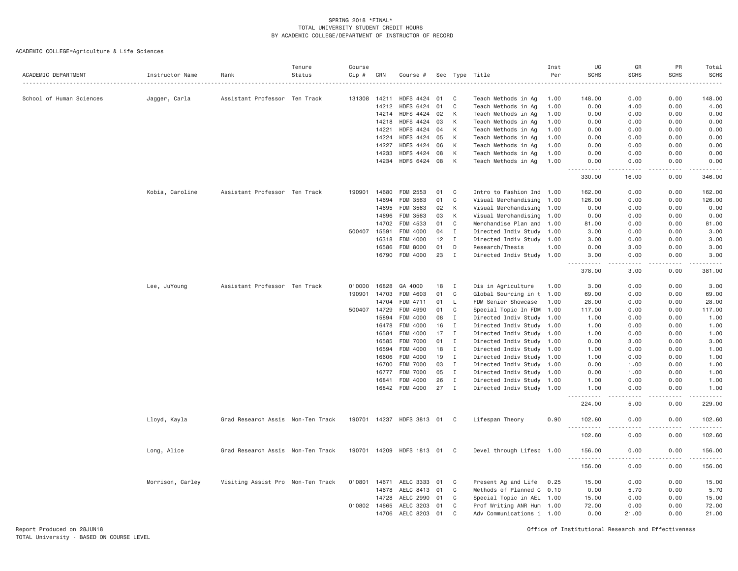| ACADEMIC DEPARTMENT      | Instructor Name  | Rank                              | Tenure<br>Status | Course<br>Cip # | CRN   | Course #                             |          |              | Sec Type Title                             | Inst<br>Per  | UG<br><b>SCHS</b>                               | GR<br><b>SCHS</b> | PR<br><b>SCHS</b> | Total<br><b>SCHS</b>                                                                                                                                                                      |
|--------------------------|------------------|-----------------------------------|------------------|-----------------|-------|--------------------------------------|----------|--------------|--------------------------------------------|--------------|-------------------------------------------------|-------------------|-------------------|-------------------------------------------------------------------------------------------------------------------------------------------------------------------------------------------|
|                          |                  |                                   |                  |                 |       |                                      |          |              |                                            |              |                                                 |                   |                   |                                                                                                                                                                                           |
| School of Human Sciences | Jagger, Carla    | Assistant Professor Ten Track     |                  | 131308          | 14211 | <b>HDFS 4424</b>                     | 01       | C            | Teach Methods in Ag                        | 1.00         | 148.00                                          | 0.00              | 0.00              | 148.00                                                                                                                                                                                    |
|                          |                  |                                   |                  |                 | 14212 | <b>HDFS 6424</b>                     | 01       | C            | Teach Methods in Ag                        | 1.00         | 0.00                                            | 4.00              | 0.00              | 4.00                                                                                                                                                                                      |
|                          |                  |                                   |                  |                 | 14214 | HDFS 4424 02                         |          | К            | Teach Methods in Ag                        | 1.00         | 0.00                                            | 0.00              | 0.00              | 0.00                                                                                                                                                                                      |
|                          |                  |                                   |                  |                 | 14218 | <b>HDFS 4424</b>                     | 03       | К            | Teach Methods in Ag                        | 1.00         | 0.00                                            | 0.00              | 0.00              | 0.00                                                                                                                                                                                      |
|                          |                  |                                   |                  |                 | 14221 | HDFS 4424                            | 04       | К            | Teach Methods in Ag                        | 1.00         | 0.00                                            | 0.00              | 0.00              | 0.00                                                                                                                                                                                      |
|                          |                  |                                   |                  |                 | 14224 | HDFS 4424                            | 05       | К            | Teach Methods in Ag                        | 1.00         | 0.00                                            | 0.00              | 0.00              | 0.00                                                                                                                                                                                      |
|                          |                  |                                   |                  |                 | 14227 | <b>HDFS 4424</b><br><b>HDFS 4424</b> | 06<br>08 | К<br>K       | Teach Methods in Ag                        | 1.00         | 0.00                                            | 0.00<br>0.00      | 0.00<br>0.00      | 0.00                                                                                                                                                                                      |
|                          |                  |                                   |                  |                 | 14233 | 14234 HDFS 6424 08                   |          | К            | Teach Methods in Ag<br>Teach Methods in Ag | 1.00<br>1.00 | 0.00<br>0.00                                    | 0.00              | 0.00              | 0.00<br>0.00                                                                                                                                                                              |
|                          |                  |                                   |                  |                 |       |                                      |          |              |                                            |              | -----<br>330.00                                 | 16.00             | 0.00              | 346.00                                                                                                                                                                                    |
|                          |                  |                                   |                  |                 |       |                                      |          |              |                                            |              |                                                 |                   |                   |                                                                                                                                                                                           |
|                          | Kobia, Caroline  | Assistant Professor Ten Track     |                  | 190901          | 14680 | FDM 2553                             | 01       | C            | Intro to Fashion Ind 1.00                  |              | 162.00                                          | 0.00              | 0.00              | 162.00                                                                                                                                                                                    |
|                          |                  |                                   |                  |                 | 14694 | FDM 3563                             | 01       | C            | Visual Merchandising                       | 1.00         | 126.00                                          | 0.00              | 0.00              | 126.00                                                                                                                                                                                    |
|                          |                  |                                   |                  |                 | 14695 | FDM 3563                             | 02       | К            | Visual Merchandising                       | 1.00         | 0.00                                            | 0.00              | 0.00              | 0.00                                                                                                                                                                                      |
|                          |                  |                                   |                  |                 | 14696 | FDM 3563                             | 03       | К            | Visual Merchandising                       | 1.00         | 0.00                                            | 0.00              | 0.00              | 0.00                                                                                                                                                                                      |
|                          |                  |                                   |                  |                 | 14702 | FDM 4533                             | 01       | C            | Merchandise Plan and 1.00                  |              | 81.00                                           | 0.00              | 0.00              | 81.00                                                                                                                                                                                     |
|                          |                  |                                   |                  | 500407          | 15591 | FDM 4000                             | 04       | Ι.           | Directed Indiv Study 1.00                  |              | 3.00                                            | 0.00              | 0.00              | 3.00                                                                                                                                                                                      |
|                          |                  |                                   |                  |                 | 16318 | FDM 4000                             | 12       | $\mathbf{I}$ | Directed Indiv Study 1.00                  |              | 3.00                                            | 0.00              | 0.00              | 3.00                                                                                                                                                                                      |
|                          |                  |                                   |                  |                 | 16586 | FDM 8000                             | 01       | D            | Research/Thesis                            | 1.00         | 0.00                                            | 3.00              | 0.00              | 3.00                                                                                                                                                                                      |
|                          |                  |                                   |                  |                 | 16790 | FDM 4000                             | 23       | $\mathbf{I}$ | Directed Indiv Study 1.00                  |              | 3.00<br>.                                       | 0.00<br>.         | 0.00<br>.         | 3.00                                                                                                                                                                                      |
|                          |                  |                                   |                  |                 |       |                                      |          |              |                                            |              | 378.00                                          | 3.00              | 0.00              | 381.00                                                                                                                                                                                    |
|                          | Lee, JuYoung     | Assistant Professor Ten Track     |                  | 010000          | 16828 | GA 4000                              | 18       | I            | Dis in Agriculture                         | 1.00         | 3.00                                            | 0.00              | 0.00              | 3.00                                                                                                                                                                                      |
|                          |                  |                                   |                  | 190901          | 14703 | FDM 4603                             | 01       | C            | Global Sourcing in t 1.00                  |              | 69.00                                           | 0.00              | 0.00              | 69.00                                                                                                                                                                                     |
|                          |                  |                                   |                  |                 | 14704 | FDM 4711                             | 01       | L            | FDM Senior Showcase                        | 1.00         | 28.00                                           | 0.00              | 0.00              | 28.00                                                                                                                                                                                     |
|                          |                  |                                   |                  | 500407          | 14729 | FDM 4990                             | 01       | C            | Special Topic In FDM                       | 1.00         | 117.00                                          | 0.00              | 0.00              | 117.00                                                                                                                                                                                    |
|                          |                  |                                   |                  |                 | 15894 | FDM 4000                             | 08       | I            | Directed Indiv Study 1.00                  |              | 1.00                                            | 0.00              | 0.00              | 1.00                                                                                                                                                                                      |
|                          |                  |                                   |                  |                 | 16478 | FDM 4000                             | 16       | $\mathbf{I}$ | Directed Indiv Study 1.00                  |              | 1.00                                            | 0.00              | 0.00              | 1.00                                                                                                                                                                                      |
|                          |                  |                                   |                  |                 | 16584 | FDM 4000                             | 17       | $\mathbf{I}$ | Directed Indiv Study 1.00                  |              | 1.00                                            | 0.00              | 0.00              | 1.00                                                                                                                                                                                      |
|                          |                  |                                   |                  |                 | 16585 | FDM 7000                             | 01       | $\mathbf{I}$ | Directed Indiv Study 1.00                  |              | 0.00                                            | 3.00              | 0.00              | 3.00                                                                                                                                                                                      |
|                          |                  |                                   |                  |                 | 16594 | FDM 4000                             | 18       | $\mathbf{I}$ | Directed Indiv Study 1.00                  |              | 1.00                                            | 0.00              | 0.00              | 1.00                                                                                                                                                                                      |
|                          |                  |                                   |                  |                 | 16606 | FDM 4000                             | 19       | $\mathbf{I}$ | Directed Indiv Study 1.00                  |              | 1.00                                            | 0.00              | 0.00              | 1.00                                                                                                                                                                                      |
|                          |                  |                                   |                  |                 | 16700 | <b>FDM 7000</b>                      | 03       | I            | Directed Indiv Study 1.00                  |              | 0.00                                            | 1.00              | 0.00              | 1.00                                                                                                                                                                                      |
|                          |                  |                                   |                  |                 | 16777 | <b>FDM 7000</b>                      | 05       | I            | Directed Indiv Study 1.00                  |              | 0.00                                            | 1.00              | 0.00              | 1.00                                                                                                                                                                                      |
|                          |                  |                                   |                  |                 | 16841 | FDM 4000                             | 26       | $\mathbf{I}$ | Directed Indiv Study 1.00                  |              | 1.00                                            | 0.00              | 0.00              | 1.00                                                                                                                                                                                      |
|                          |                  |                                   |                  |                 | 16842 | FDM 4000                             | 27       | $\mathbf{I}$ | Directed Indiv Study 1.00                  |              | 1.00<br>.                                       | 0.00<br>$- - - -$ | 0.00<br>.         | 1.00<br>.                                                                                                                                                                                 |
|                          |                  |                                   |                  |                 |       |                                      |          |              |                                            |              | 224.00                                          | 5.00              | 0.00              | 229.00                                                                                                                                                                                    |
|                          | Lloyd, Kayla     | Grad Research Assis Non-Ten Track |                  |                 |       | 190701 14237 HDFS 3813 01            |          | C            | Lifespan Theory                            | 0.90         | 102.60                                          | 0.00              | 0.00              | 102.60                                                                                                                                                                                    |
|                          |                  |                                   |                  |                 |       |                                      |          |              |                                            |              | $\sim$ $\sim$ $\sim$<br>102.60                  | 0.00              | 0.00              | 102.60                                                                                                                                                                                    |
|                          | Long, Alice      | Grad Research Assis Non-Ten Track |                  |                 |       | 190701 14209 HDFS 1813 01            |          | - C          | Devel through Lifesp 1.00                  |              | 156.00                                          | 0.00              | 0.00              | 156.00                                                                                                                                                                                    |
|                          |                  |                                   |                  |                 |       |                                      |          |              |                                            |              | $\sim$ $\sim$ $\sim$<br>$\frac{1}{2}$<br>156.00 | 0.00              | 0.00              | $\frac{1}{2} \left( \frac{1}{2} \right) \left( \frac{1}{2} \right) \left( \frac{1}{2} \right) \left( \frac{1}{2} \right) \left( \frac{1}{2} \right) \left( \frac{1}{2} \right)$<br>156.00 |
|                          | Morrison, Carley | Visiting Assist Pro Non-Ten Track |                  | 010801          | 14671 | AELC 3333                            | 01       | C            | Present Ag and Life                        | 0.25         | 15.00                                           | 0.00              | 0.00              | 15.00                                                                                                                                                                                     |
|                          |                  |                                   |                  |                 | 14678 | AELC 8413                            | 01       | C            | Methods of Planned C 0.10                  |              | 0.00                                            | 5.70              | 0.00              | 5.70                                                                                                                                                                                      |
|                          |                  |                                   |                  |                 | 14728 | AELC 2990                            | 01       | C            | Special Topic in AEL 1.00                  |              | 15.00                                           | 0.00              | 0.00              | 15.00                                                                                                                                                                                     |
|                          |                  |                                   |                  | 010802 14665    |       | AELC 3203                            | 01       | C            | Prof Writing ANR Hum 1.00                  |              | 72.00                                           | 0.00              | 0.00              | 72.00                                                                                                                                                                                     |
|                          |                  |                                   |                  |                 | 14706 | AELC 8203                            | 01       | C            | Adv Communications i 1.00                  |              | 0.00                                            | 21,00             | 0.00              | 21.00                                                                                                                                                                                     |
|                          |                  |                                   |                  |                 |       |                                      |          |              |                                            |              |                                                 |                   |                   |                                                                                                                                                                                           |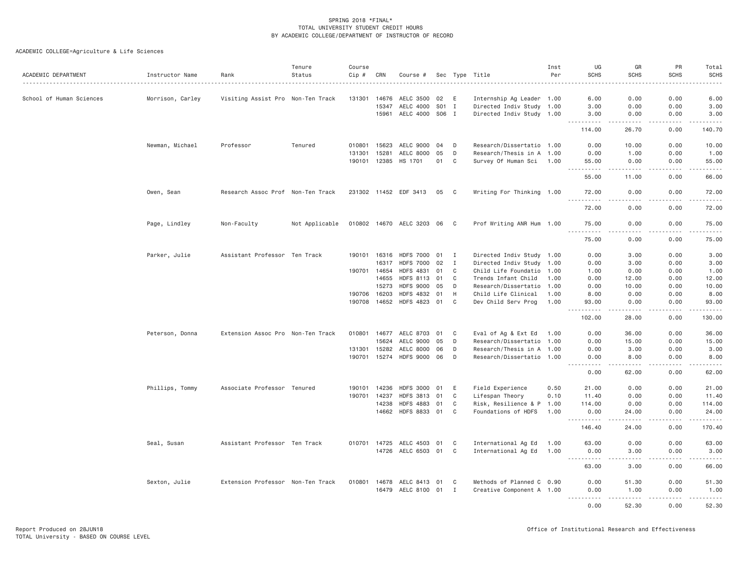| ACADEMIC DEPARTMENT      | Instructor Name  | Rank                              | Tenure<br>Status | Course<br>Cip # | CRN          | Course #                    |            |              | Sec Type Title            | Inst<br>Per | UG<br><b>SCHS</b>                                                                                                                                            | GR<br><b>SCHS</b>   | PR<br><b>SCHS</b>   | Total<br><b>SCHS</b>    |
|--------------------------|------------------|-----------------------------------|------------------|-----------------|--------------|-----------------------------|------------|--------------|---------------------------|-------------|--------------------------------------------------------------------------------------------------------------------------------------------------------------|---------------------|---------------------|-------------------------|
|                          |                  |                                   |                  |                 |              |                             |            |              |                           |             |                                                                                                                                                              |                     |                     |                         |
| School of Human Sciences | Morrison, Carley | Visiting Assist Pro Non-Ten Track |                  | 131301          | 14676        | AELC 3500                   | 02         | E            | Internship Ag Leader 1.00 |             | 6.00                                                                                                                                                         | 0.00                | 0.00                | 6.00                    |
|                          |                  |                                   |                  |                 | 15347        | AELC 4000                   | S01 I      |              | Directed Indiv Study 1.00 |             | 3.00                                                                                                                                                         | 0.00                | 0.00                | 3.00                    |
|                          |                  |                                   |                  |                 | 15961        | AELC 4000                   | <b>SO6</b> | I            | Directed Indiv Study 1.00 |             | 3.00<br><u>.</u>                                                                                                                                             | 0.00<br>2.2.2.2.2   | 0.00<br>2.2.2.2.2   | 3.00<br>2.2.2.2.2       |
|                          |                  |                                   |                  |                 |              |                             |            |              |                           |             | 114.00                                                                                                                                                       | 26.70               | 0.00                | 140.70                  |
|                          | Newman, Michael  | Professor                         | Tenured          | 010801          | 15623        | AELC 9000                   | 04         | D            | Research/Dissertatio 1.00 |             | 0.00                                                                                                                                                         | 10.00               | 0.00                | 10.00                   |
|                          |                  |                                   |                  | 131301          | 15281        | AELC 8000                   | 05         | D            | Research/Thesis in A 1.00 |             | 0.00                                                                                                                                                         | 1.00                | 0.00                | 1.00                    |
|                          |                  |                                   |                  |                 |              | 190101 12385 HS 1701        | 01         | C            | Survey Of Human Sci 1.00  |             | 55.00<br>.                                                                                                                                                   | 0.00<br>.           | 0.00<br>$- - - - -$ | 55.00<br>.              |
|                          |                  |                                   |                  |                 |              |                             |            |              |                           |             | 55.00                                                                                                                                                        | 11.00               | 0.00                | 66.00                   |
|                          | Owen, Sean       | Research Assoc Prof Non-Ten Track |                  |                 |              | 231302 11452 EDF 3413       | 05         | C            | Writing For Thinking 1.00 |             | 72.00<br>.                                                                                                                                                   | 0.00<br>$   -$      | 0.00<br>.           | 72.00<br>.              |
|                          |                  |                                   |                  |                 |              |                             |            |              |                           |             | 72.00                                                                                                                                                        | 0.00                | 0.00                | 72.00                   |
|                          | Page, Lindley    | Non-Faculty                       | Not Applicable   |                 |              | 010802 14670 AELC 3203 06 C |            |              | Prof Writing ANR Hum 1.00 |             | 75.00                                                                                                                                                        | 0.00                | 0.00                | 75.00                   |
|                          |                  |                                   |                  |                 |              |                             |            |              |                           |             | $\frac{1}{2} \left( \frac{1}{2} \right) \left( \frac{1}{2} \right) \left( \frac{1}{2} \right) \left( \frac{1}{2} \right)$<br>75.00                           | 0.00                | 0.00                | 75.00                   |
|                          | Parker, Julie    | Assistant Professor Ten Track     |                  | 190101          | 16316        | <b>HDFS 7000</b>            | 01         | I            | Directed Indiv Study 1.00 |             | 0.00                                                                                                                                                         | 3.00                | 0.00                | 3.00                    |
|                          |                  |                                   |                  |                 | 16317        | <b>HDFS 7000</b>            | 02         | $\mathbf{I}$ | Directed Indiv Study 1.00 |             | 0.00                                                                                                                                                         | 3.00                | 0.00                | 3.00                    |
|                          |                  |                                   |                  |                 | 190701 14654 | <b>HDFS 4831</b>            | 01         | C            | Child Life Foundatio 1.00 |             | 1.00                                                                                                                                                         | 0.00                | 0.00                | 1.00                    |
|                          |                  |                                   |                  |                 | 14655        | <b>HDFS 8113</b>            | 01         | C            | Trends Infant Child       | 1.00        | 0.00                                                                                                                                                         | 12.00               | 0.00                | 12.00                   |
|                          |                  |                                   |                  |                 | 15273        | <b>HDFS 9000</b>            | 05         | D            | Research/Dissertatio 1.00 |             | 0.00                                                                                                                                                         | 10.00               | 0.00                | 10.00                   |
|                          |                  |                                   |                  | 190706          | 16203        | <b>HDFS 4832</b>            | 01         | H            | Child Life Clinical       | 1.00        | 8.00                                                                                                                                                         | 0.00                | 0.00                | 8.00                    |
|                          |                  |                                   |                  |                 | 190708 14652 | <b>HDFS 4823</b>            | 01         | $\mathbf C$  | Dev Child Serv Prog       | 1.00        | 93.00                                                                                                                                                        | 0.00                | 0.00                | 93.00                   |
|                          |                  |                                   |                  |                 |              |                             |            |              |                           |             | .<br>$ -$                                                                                                                                                    |                     |                     |                         |
|                          |                  |                                   |                  |                 |              |                             |            |              |                           |             | 102.00                                                                                                                                                       | 28.00               | 0.00                | 130.00                  |
|                          | Peterson, Donna  | Extension Assoc Pro Non-Ten Track |                  |                 | 010801 14677 | AELC 8703                   | 01         | C            | Eval of Ag & Ext Ed       | 1.00        | 0.00                                                                                                                                                         | 36.00               | 0.00                | 36.00                   |
|                          |                  |                                   |                  |                 | 15624        | AELC 9000                   | 05         | D            | Research/Dissertatio 1.00 |             | 0.00                                                                                                                                                         | 15.00               | 0.00                | 15.00                   |
|                          |                  |                                   |                  | 131301          | 15282        | AELC 8000                   | 06         | D            | Research/Thesis in A 1.00 |             | 0.00                                                                                                                                                         | 3.00                | 0.00                | 3.00                    |
|                          |                  |                                   |                  | 190701          |              | 15274 HDFS 9000 06          |            | D            | Research/Dissertatio 1.00 |             | 0.00<br>.                                                                                                                                                    | 8,00<br>$- - - - -$ | 0.00<br>.           | 8.00<br>.               |
|                          |                  |                                   |                  |                 |              |                             |            |              |                           |             | 0.00                                                                                                                                                         | 62.00               | 0.00                | 62.00                   |
|                          | Phillips, Tommy  | Associate Professor Tenured       |                  | 190101          | 14236        | <b>HDFS 3000</b>            | 01         | E            | Field Experience          | 0.50        | 21.00                                                                                                                                                        | 0.00                | 0.00                | 21.00                   |
|                          |                  |                                   |                  | 190701          | 14237        | <b>HDFS 3813</b>            | 01         | C            | Lifespan Theory           | 0.10        | 11.40                                                                                                                                                        | 0.00                | 0.00                | 11.40                   |
|                          |                  |                                   |                  |                 | 14238        | <b>HDFS 4883</b>            | 01         | C            | Risk, Resilience & P 1.00 |             | 114.00                                                                                                                                                       | 0.00                | 0.00                | 114.00                  |
|                          |                  |                                   |                  |                 |              | 14662 HDFS 8833 01          |            | C            | Foundations of HDFS       | 1.00        | 0.00<br>$\frac{1}{2} \left( \frac{1}{2} \right) \left( \frac{1}{2} \right) \left( \frac{1}{2} \right) \left( \frac{1}{2} \right) \left( \frac{1}{2} \right)$ | 24.00               | 0.00                | 24.00                   |
|                          |                  |                                   |                  |                 |              |                             |            |              |                           |             | 146.40                                                                                                                                                       | 24.00               | 0.00                | 170.40                  |
|                          | Seal, Susan      | Assistant Professor Ten Track     |                  |                 | 010701 14725 | AELC 4503                   | 01         | C            | International Ag Ed       | 1.00        | 63.00                                                                                                                                                        | 0.00                | 0.00                | 63.00                   |
|                          |                  |                                   |                  |                 |              | 14726 AELC 6503             | 01         | C            | International Ag Ed       | 1.00        | 0.00                                                                                                                                                         | 3.00                | 0.00                | 3.00                    |
|                          |                  |                                   |                  |                 |              |                             |            |              |                           |             | $\frac{1}{2}$<br>-----                                                                                                                                       | .                   | -----               | <u>.</u>                |
|                          |                  |                                   |                  |                 |              |                             |            |              |                           |             | 63.00                                                                                                                                                        | 3.00                | 0.00                | 66.00                   |
|                          | Sexton, Julie    | Extension Professor Non-Ten Track |                  | 010801          | 14678        | AELC 8413                   | 01         | C            | Methods of Planned C 0.90 |             | 0.00                                                                                                                                                         | 51.30               | 0.00                | 51.30                   |
|                          |                  |                                   |                  |                 |              | 16479 AELC 8100 01 I        |            |              | Creative Component A 1.00 |             | 0.00<br><u>.</u>                                                                                                                                             | 1.00<br>.           | 0.00<br>$- - - - -$ | 1.00<br>$- - - - - - -$ |
|                          |                  |                                   |                  |                 |              |                             |            |              |                           |             | 0.00                                                                                                                                                         | 52.30               | 0.00                | 52.30                   |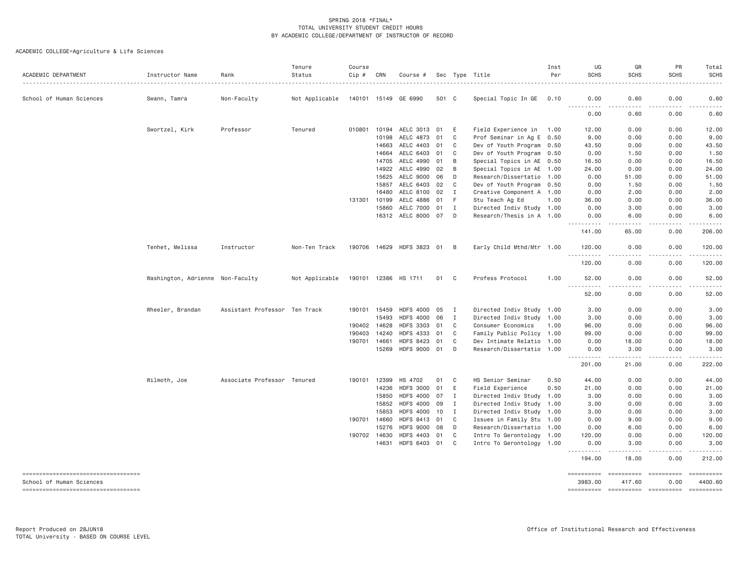| ACADEMIC DEPARTMENT                                            | Instructor Name                  | Rank<br>.                     | Tenure<br>Status | Course<br>Cip # | CRN   | Course #                  |       |                | Sec Type Title            | Inst<br>Per | UG<br><b>SCHS</b>                                                                                                                                            | GR<br><b>SCHS</b>    | PR<br><b>SCHS</b> | Total<br><b>SCHS</b>  |
|----------------------------------------------------------------|----------------------------------|-------------------------------|------------------|-----------------|-------|---------------------------|-------|----------------|---------------------------|-------------|--------------------------------------------------------------------------------------------------------------------------------------------------------------|----------------------|-------------------|-----------------------|
| School of Human Sciences                                       | Swann, Tamra                     | Non-Faculty                   | Not Applicable   |                 |       | 140101 15149 GE 6990      | 501 C |                | Special Topic In GE       | 0.10        | 0.00                                                                                                                                                         | 0.60                 | 0.00              | 0.60                  |
|                                                                |                                  |                               |                  |                 |       |                           |       |                |                           |             | $- - - - -$<br>.<br>0.00                                                                                                                                     | 0.60                 | 0.00              | 0.60                  |
|                                                                | Swortzel, Kirk                   | Professor                     | Tenured          | 010801 10194    |       | AELC 3013 01              |       | E              | Field Experience in 1.00  |             | 12.00                                                                                                                                                        | 0.00                 | 0.00              | 12.00                 |
|                                                                |                                  |                               |                  |                 | 10198 | AELC 4873                 | 01    | C              | Prof Seminar in Ag E 0.50 |             | 9.00                                                                                                                                                         | 0.00                 | 0.00              | 9.00                  |
|                                                                |                                  |                               |                  |                 | 14663 | AELC 4403                 | 01    | C              | Dev of Youth Program 0.50 |             | 43.50                                                                                                                                                        | 0.00                 | 0.00              | 43.50                 |
|                                                                |                                  |                               |                  |                 | 14664 | AELC 6403 01              |       | C              | Dev of Youth Program 0.50 |             | 0.00                                                                                                                                                         | 1.50                 | 0.00              | 1.50                  |
|                                                                |                                  |                               |                  |                 | 14705 | AELC 4990 01              |       | B              | Special Topics in AE 0.50 |             | 16.50                                                                                                                                                        | 0.00                 | 0.00              | 16.50                 |
|                                                                |                                  |                               |                  |                 | 14922 | AELC 4990                 | 02    | B              | Special Topics in AE      | 1.00        | 24.00                                                                                                                                                        | 0.00                 | 0.00              | 24.00                 |
|                                                                |                                  |                               |                  |                 | 15625 | AELC 9000                 | 06    | D              | Research/Dissertatio      | 1.00        | 0.00                                                                                                                                                         | 51.00                | 0.00              | 51.00                 |
|                                                                |                                  |                               |                  |                 | 15857 | AELC 6403                 | 02    | C              | Dev of Youth Program 0.50 |             | 0.00                                                                                                                                                         | 1.50                 | 0.00              | 1.50                  |
|                                                                |                                  |                               |                  |                 | 16480 | AELC 8100                 | 02    | I              | Creative Component A 1.00 |             | 0.00                                                                                                                                                         | 2.00                 | 0.00              | 2.00                  |
|                                                                |                                  |                               |                  | 131301 10199    |       | AELC 4886                 | 01    | F.             | Stu Teach Ag Ed           | 1.00        | 36.00                                                                                                                                                        | 0.00                 | 0.00              | 36.00                 |
|                                                                |                                  |                               |                  |                 | 15860 | AELC 7000                 | 01    | I              | Directed Indiv Study 1.00 |             | 0.00                                                                                                                                                         | 3.00                 | 0.00              | 3.00                  |
|                                                                |                                  |                               |                  |                 |       | 16312 AELC 8000 07        |       | D              | Research/Thesis in A 1.00 |             | 0.00<br>$\frac{1}{2} \left( \frac{1}{2} \right) \left( \frac{1}{2} \right) \left( \frac{1}{2} \right) \left( \frac{1}{2} \right) \left( \frac{1}{2} \right)$ | 6.00                 | 0.00              | 6.00                  |
|                                                                |                                  |                               |                  |                 |       |                           |       |                |                           |             | 141.00                                                                                                                                                       | 65.00                | 0.00              | 206.00                |
|                                                                | Tenhet, Melissa                  | Instructor                    | Non-Ten Track    |                 |       | 190706 14629 HDFS 3823 01 |       | B              | Early Child Mthd/Mtr 1.00 |             | 120,00<br>$- - - - - - -$                                                                                                                                    | 0.00                 | 0.00<br>.         | 120.00<br>.           |
|                                                                |                                  |                               |                  |                 |       |                           |       |                |                           |             | 120.00                                                                                                                                                       | 0.00                 | 0.00              | 120.00                |
|                                                                | Washington, Adrienne Non-Faculty |                               | Not Applicable   |                 |       | 190101 12386 HS 1711      | 01    | C.             | Profess Protocol          | 1.00        | 52.00<br>-----                                                                                                                                               | 0.00                 | 0.00              | 52.00                 |
|                                                                |                                  |                               |                  |                 |       |                           |       |                |                           |             | 52.00                                                                                                                                                        | 0.00                 | 0.00              | 52.00                 |
|                                                                | Wheeler, Brandan                 | Assistant Professor Ten Track |                  | 190101 15459    |       | HDFS 4000 05              |       | $\blacksquare$ | Directed Indiv Study 1.00 |             | 3.00                                                                                                                                                         | 0.00                 | 0.00              | 3.00                  |
|                                                                |                                  |                               |                  |                 | 15493 | <b>HDFS 4000</b>          | 06    | I              | Directed Indiv Study 1.00 |             | 3.00                                                                                                                                                         | 0.00                 | 0.00              | 3.00                  |
|                                                                |                                  |                               |                  | 190402 14628    |       | <b>HDFS 3303</b>          | 01    | C              | Consumer Economics        | 1.00        | 96.00                                                                                                                                                        | 0.00                 | 0.00              | 96.00                 |
|                                                                |                                  |                               |                  | 190403          | 14240 | <b>HDFS 4333</b>          | 01    | C              | Family Public Policy 1.00 |             | 99.00                                                                                                                                                        | 0.00                 | 0.00              | 99.00                 |
|                                                                |                                  |                               |                  | 190701 14661    |       | <b>HDFS 8423</b>          | 01    | C              | Dev Intimate Relatio      | 1.00        | 0.00                                                                                                                                                         | 18.00                | 0.00              | 18.00                 |
|                                                                |                                  |                               |                  |                 | 15269 | HDFS 9000 01              |       | D              | Research/Dissertatio 1.00 |             | 0.00<br>.                                                                                                                                                    | 3.00<br>-----        | 0.00<br>.         | 3.00                  |
|                                                                |                                  |                               |                  |                 |       |                           |       |                |                           |             | 201.00                                                                                                                                                       | 21.00                | 0.00              | 222.00                |
|                                                                | Wilmoth, Joe                     | Associate Professor Tenured   |                  | 190101 12399    |       | HS 4702                   | 01    | C              | HS Senior Seminar         | 0.50        | 44.00                                                                                                                                                        | 0.00                 | 0.00              | 44.00                 |
|                                                                |                                  |                               |                  |                 | 14236 | <b>HDFS 3000</b>          | 01    | Ε              | Field Experience          | 0.50        | 21.00                                                                                                                                                        | 0.00                 | 0.00              | 21.00                 |
|                                                                |                                  |                               |                  |                 | 15850 | <b>HDFS 4000</b>          | 07    | I              | Directed Indiv Study 1.00 |             | 3.00                                                                                                                                                         | 0.00                 | 0.00              | 3.00                  |
|                                                                |                                  |                               |                  |                 | 15852 | <b>HDFS 4000</b>          | 09    | I              | Directed Indiv Study      | 1.00        | 3.00                                                                                                                                                         | 0.00                 | 0.00              | 3.00                  |
|                                                                |                                  |                               |                  |                 | 15853 | <b>HDFS 4000</b>          | 10    | I              | Directed Indiv Study      | 1.00        | 3.00                                                                                                                                                         | 0.00                 | 0.00              | 3.00                  |
|                                                                |                                  |                               |                  | 190701 14660    |       | <b>HDFS 8413</b>          | 01    | C              | Issues in Family Stu      | 1.00        | 0.00                                                                                                                                                         | 9.00                 | 0.00              | 9.00                  |
|                                                                |                                  |                               |                  |                 | 15276 | <b>HDFS 9000</b>          | 08    | D              | Research/Dissertatio 1.00 |             | 0.00                                                                                                                                                         | 6.00                 | 0.00              | 6.00                  |
|                                                                |                                  |                               |                  | 190702 14630    |       | <b>HDFS 4403</b>          | 01    | C              | Intro To Gerontology      | 1.00        | 120.00                                                                                                                                                       | 0.00                 | 0.00              | 120.00                |
|                                                                |                                  |                               |                  |                 | 14631 | HDFS 6403 01              |       | C              | Intro To Gerontology 1.00 |             | 0.00                                                                                                                                                         | 3.00                 | 0.00              | 3.00                  |
|                                                                |                                  |                               |                  |                 |       |                           |       |                |                           |             | 194.00                                                                                                                                                       | 18.00                | 0.00              | 212.00                |
| ----------------------------------<br>School of Human Sciences |                                  |                               |                  |                 |       |                           |       |                |                           |             | 3983.00                                                                                                                                                      | ==========<br>417.60 | 0.00              | ==========<br>4400.60 |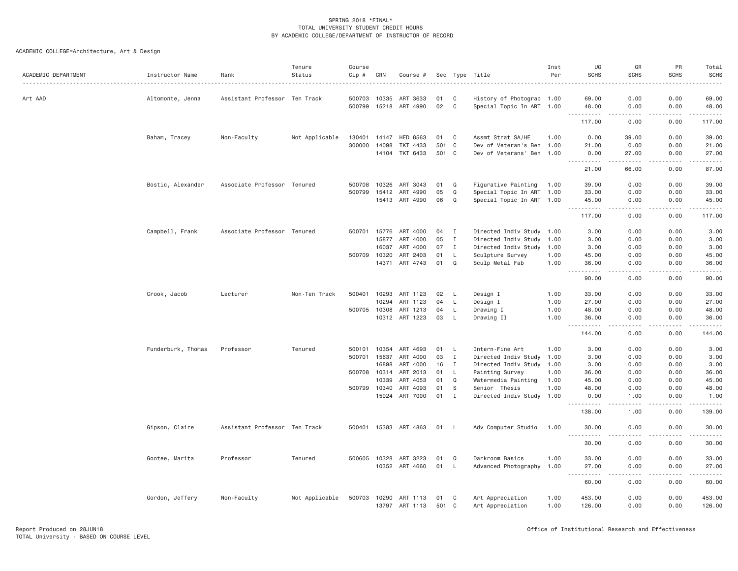| ACADEMIC DEPARTMENT | Instructor Name    | Rank                          | Tenure<br>Status | Course<br>Cip # | CRN   | Course #                   |           |                   | Sec Type Title                       | Inst<br>Per  | UG<br><b>SCHS</b>                                                                                                        | GR<br><b>SCHS</b><br>$- - - - -$ | PR<br><b>SCHS</b> | Total<br><b>SCHS</b>     |
|---------------------|--------------------|-------------------------------|------------------|-----------------|-------|----------------------------|-----------|-------------------|--------------------------------------|--------------|--------------------------------------------------------------------------------------------------------------------------|----------------------------------|-------------------|--------------------------|
| Art AAD             | Altomonte, Jenna   | Assistant Professor Ten Track |                  | 500703          | 10335 | ART 3633                   | 01        | C                 | History of Photograp 1.00            |              | 69.00                                                                                                                    | 0.00                             | 0.00              | 69.00                    |
|                     |                    |                               |                  | 500799 15218    |       | ART 4990                   | 02        | C                 | Special Topic In ART 1.00            |              | 48.00<br>.                                                                                                               | 0.00<br>.                        | 0.00<br>.         | 48.00                    |
|                     |                    |                               |                  |                 |       |                            |           |                   |                                      |              | 117.00                                                                                                                   | 0.00                             | 0.00              | 117.00                   |
|                     | Baham, Tracey      | Non-Faculty                   | Not Applicable   | 130401          | 14147 | <b>HED 8563</b>            | 01        | C                 | Assmt Strat SA/HE                    | 1.00         | 0.00                                                                                                                     | 39.00                            | 0.00              | 39.00                    |
|                     |                    |                               |                  | 300000          | 14098 | TKT 4433                   | 501       | C                 | Dev of Veteran's Ben                 | 1,00         | 21.00                                                                                                                    | 0.00                             | 0.00              | 21.00                    |
|                     |                    |                               |                  |                 |       | 14104 TKT 6433             | 501 C     |                   | Dev of Veterans' Ben 1.00            |              | 0.00<br>.                                                                                                                | 27.00<br>.                       | 0.00<br>.         | 27.00<br>.               |
|                     |                    |                               |                  |                 |       |                            |           |                   |                                      |              | 21.00                                                                                                                    | 66.00                            | 0.00              | 87.00                    |
|                     | Bostic, Alexander  | Associate Professor Tenured   |                  | 500708          | 10326 | ART 3043                   | 01        | $\Omega$          | Figurative Painting                  | 1.00         | 39.00                                                                                                                    | 0.00                             | 0.00              | 39.00                    |
|                     |                    |                               |                  | 500799          | 15412 | ART 4990                   | 05        | Q                 | Special Topic In ART 1.00            |              | 33.00                                                                                                                    | 0.00                             | 0.00              | 33.00                    |
|                     |                    |                               |                  |                 | 15413 | ART 4990                   | 06        | Q                 | Special Topic In ART 1.00            |              | 45.00<br><u>.</u>                                                                                                        | 0.00<br>.                        | 0.00<br>.         | 45.00<br>$- - - - - - -$ |
|                     |                    |                               |                  |                 |       |                            |           |                   |                                      |              | 117.00                                                                                                                   | 0.00                             | 0.00              | 117.00                   |
|                     | Campbell, Frank    | Associate Professor Tenured   |                  | 500701 15776    |       | ART 4000                   | 04        | I                 | Directed Indiv Study 1.00            |              | 3.00                                                                                                                     | 0.00                             | 0.00              | 3.00                     |
|                     |                    |                               |                  |                 | 15877 | ART 4000                   | 05        | $\mathbf{I}$      | Directed Indiv Study 1.00            |              | 3.00                                                                                                                     | 0.00                             | 0.00              | 3.00                     |
|                     |                    |                               |                  |                 | 16037 | ART 4000                   | 07        | Ι.                | Directed Indiv Study                 | 1.00         | 3.00                                                                                                                     | 0.00                             | 0.00              | 3.00                     |
|                     |                    |                               |                  | 500709          | 10320 | ART 2403                   | 01        | L                 | Sculpture Survey                     | 1.00         | 45.00                                                                                                                    | 0.00                             | 0.00              | 45.00                    |
|                     |                    |                               |                  |                 |       | 14371 ART 4743             | 01        | Q                 | Sculp Metal Fab                      | 1.00         | 36.00<br>$\begin{array}{cccccccccccccc} \bullet & \bullet & \bullet & \bullet & \bullet & \bullet & \bullet \end{array}$ | 0.00<br>.                        | 0.00<br>-----     | 36.00<br>.               |
|                     |                    |                               |                  |                 |       |                            |           |                   |                                      |              | 90.00                                                                                                                    | 0.00                             | 0.00              | 90.00                    |
|                     | Crook, Jacob       | Lecturer                      | Non-Ten Track    | 500401          | 10293 | ART 1123                   | 02        | L.                | Design I                             | 1.00         | 33.00                                                                                                                    | 0.00                             | 0.00              | 33.00                    |
|                     |                    |                               |                  |                 | 10294 | ART 1123                   | 04        | L                 | Design I                             | 1.00         | 27.00                                                                                                                    | 0.00                             | 0.00              | 27.00                    |
|                     |                    |                               |                  | 500705 10308    |       | ART 1213                   | 04        | L                 | Drawing I                            | 1.00         | 48.00                                                                                                                    | 0.00                             | 0.00              | 48.00                    |
|                     |                    |                               |                  |                 |       | 10312 ART 1223             | 03        | L.                | Drawing II                           | 1.00         | 36.00<br>.                                                                                                               | 0.00<br>د د د د                  | 0.00<br>.         | 36.00<br>.               |
|                     |                    |                               |                  |                 |       |                            |           |                   |                                      |              | 144.00                                                                                                                   | 0.00                             | 0.00              | 144.00                   |
|                     | Funderburk, Thomas | Professor                     | Tenured          | 500101          | 10354 | ART 4693                   | 01        | L                 | Intern-Fine Art                      | 1.00         | 3.00                                                                                                                     | 0.00                             | 0.00              | 3.00                     |
|                     |                    |                               |                  | 500701          | 15637 | ART 4000                   | 03        | I                 | Directed Indiv Study 1.00            |              | 3.00                                                                                                                     | 0.00                             | 0.00              | 3.00                     |
|                     |                    |                               |                  |                 | 16898 | ART 4000                   | 16        | $\mathbf I$       | Directed Indiv Study 1.00            |              | 3.00                                                                                                                     | 0.00                             | 0.00              | 3.00                     |
|                     |                    |                               |                  | 500708 10314    |       | ART 2013                   | 01        | $\mathsf{L}$      | Painting Survey                      | 1.00         | 36.00                                                                                                                    | 0.00                             | 0.00              | 36.00                    |
|                     |                    |                               |                  |                 | 10339 | ART 4053                   | 01        | $\Omega$          | Watermedia Painting                  | 1.00         | 45.00                                                                                                                    | 0.00                             | 0.00              | 45.00                    |
|                     |                    |                               |                  | 500799 10340    |       | ART 4093                   | 01        | S.                | Senior Thesis                        | 1.00         | 48.00                                                                                                                    | 0.00                             | 0.00              | 48.00                    |
|                     |                    |                               |                  |                 | 15924 | ART 7000                   | 01        | $\mathbf I$       | Directed Indiv Study 1.00            |              | 0.00                                                                                                                     | 1.00<br>.                        | 0.00<br>.         | 1.00<br>.                |
|                     |                    |                               |                  |                 |       |                            |           |                   |                                      |              | 138.00                                                                                                                   | 1.00                             | 0.00              | 139.00                   |
|                     | Gipson, Claire     | Assistant Professor Ten Track |                  | 500401 15383    |       | ART 4863                   | 01        | - L               | Adv Computer Studio                  | 1.00         | 30.00                                                                                                                    | 0.00                             | 0.00              | 30.00                    |
|                     |                    |                               |                  |                 |       |                            |           |                   |                                      |              | 30.00                                                                                                                    | 0.00                             | 0.00              | 30.00                    |
|                     | Gootee, Marita     | Professor                     | Tenured          | 500605          | 10328 | ART 3223                   | 01        | Q                 | Darkroom Basics                      | 1.00         | 33.00                                                                                                                    | 0.00                             | 0.00              | 33.00                    |
|                     |                    |                               |                  |                 |       | 10352 ART 4660             | 01        | L                 | Advanced Photography 1.00            |              | 27.00<br>. <u>.</u>                                                                                                      | 0.00<br>. <u>. .</u>             | 0.00<br>.         | 27.00                    |
|                     |                    |                               |                  |                 |       |                            |           |                   |                                      |              | 60.00                                                                                                                    | 0.00                             | 0.00              | 60.00                    |
|                     | Gordon, Jeffery    | Non-Faculty                   | Not Applicable   | 500703          | 10290 | ART 1113<br>13797 ART 1113 | 01<br>501 | C<br>$\mathbf{C}$ | Art Appreciation<br>Art Appreciation | 1.00<br>1.00 | 453.00<br>126.00                                                                                                         | 0.00<br>0.00                     | 0.00<br>0.00      | 453.00<br>126.00         |
|                     |                    |                               |                  |                 |       |                            |           |                   |                                      |              |                                                                                                                          |                                  |                   |                          |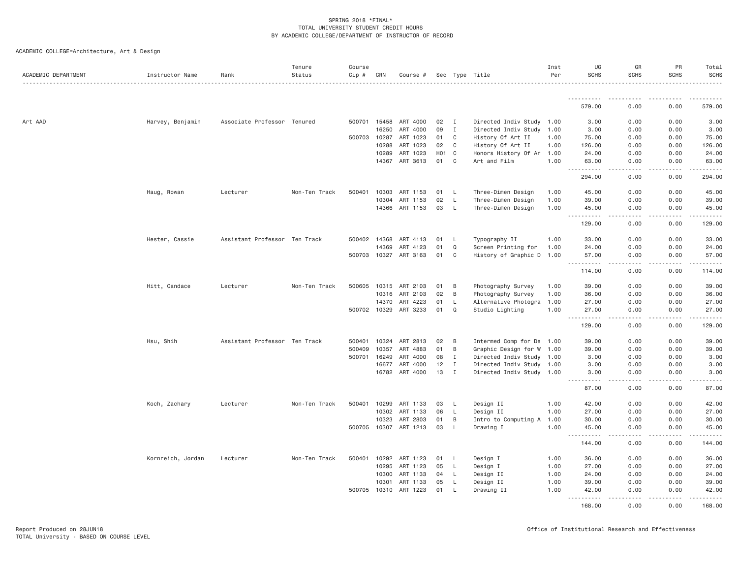| ACADEMIC DEPARTMENT | Instructor Name   | Rank                          | Tenure<br>Status | Course<br>$Cip \#$ | CRN          | Course #              |                  |              | Sec Type Title            | Inst<br>Per | UG<br><b>SCHS</b>   | GR<br><b>SCHS</b> | PR<br><b>SCHS</b>                                                                                                                                            | Total<br><b>SCHS</b> |
|---------------------|-------------------|-------------------------------|------------------|--------------------|--------------|-----------------------|------------------|--------------|---------------------------|-------------|---------------------|-------------------|--------------------------------------------------------------------------------------------------------------------------------------------------------------|----------------------|
|                     |                   |                               |                  |                    |              |                       |                  |              |                           |             | -----------         |                   |                                                                                                                                                              |                      |
|                     |                   |                               |                  |                    |              |                       |                  |              |                           |             | 579.00              | 0.00              | 0.00                                                                                                                                                         | 579.00               |
| Art AAD             | Harvey, Benjamin  | Associate Professor Tenured   |                  |                    | 500701 15458 | ART 4000              | 02               | $\mathbf{I}$ | Directed Indiv Study 1.00 |             | 3.00                | 0.00              | 0.00                                                                                                                                                         | 3.00                 |
|                     |                   |                               |                  |                    | 16250        | ART 4000              | 09               | $\mathbf{I}$ | Directed Indiv Study 1.00 |             | 3.00                | 0.00              | 0.00                                                                                                                                                         | 3.00                 |
|                     |                   |                               |                  | 500703             | 10287        | ART 1023              | 01               | C            | History Of Art II         | 1.00        | 75.00               | 0.00              | 0.00                                                                                                                                                         | 75.00                |
|                     |                   |                               |                  |                    | 10288        | ART 1023              | 02               | C            | History Of Art II         | 1.00        | 126.00              | 0.00              | 0.00                                                                                                                                                         | 126.00               |
|                     |                   |                               |                  |                    | 10289        | ART 1023              | H <sub>0</sub> 1 | $\mathbf{C}$ | Honors History Of Ar 1.00 |             | 24.00               | 0.00              | 0.00                                                                                                                                                         | 24.00                |
|                     |                   |                               |                  |                    | 14367        | ART 3613              | 01               | C            | Art and Film              | 1.00        | 63.00<br>.          | 0.00              | 0.00                                                                                                                                                         | 63.00                |
|                     |                   |                               |                  |                    |              |                       |                  |              |                           |             | 294.00              | 0.00              | 0.00                                                                                                                                                         | 294.00               |
|                     | Haug, Rowan       | Lecturer                      | Non-Ten Track    | 500401             | 10303        | ART 1153              | 01               | <b>L</b>     | Three-Dimen Design        | 1.00        | 45.00               | 0.00              | 0.00                                                                                                                                                         | 45.00                |
|                     |                   |                               |                  |                    | 10304        | ART 1153              | 02               | L            | Three-Dimen Design        | 1.00        | 39.00               | 0.00              | 0.00                                                                                                                                                         | 39.00                |
|                     |                   |                               |                  |                    | 14366        | ART 1153              | 03               | L            | Three-Dimen Design        | 1.00        | 45.00<br><u>.</u>   | 0.00<br>.         | 0.00<br>$\frac{1}{2} \left( \frac{1}{2} \right) \left( \frac{1}{2} \right) \left( \frac{1}{2} \right) \left( \frac{1}{2} \right) \left( \frac{1}{2} \right)$ | 45.00                |
|                     |                   |                               |                  |                    |              |                       |                  |              |                           |             | 129.00              | 0.00              | 0.00                                                                                                                                                         | 129.00               |
|                     | Hester, Cassie    | Assistant Professor Ten Track |                  |                    | 500402 14368 | ART 4113              | 01               | <b>L</b>     | Typography II             | 1.00        | 33.00               | 0.00              | 0.00                                                                                                                                                         | 33.00                |
|                     |                   |                               |                  |                    | 14369        | ART 4123              | 01               | Q            | Screen Printing for       | 1.00        | 24.00               | 0.00              | 0.00                                                                                                                                                         | 24.00                |
|                     |                   |                               |                  |                    |              | 500703 10327 ART 3163 | 01               | C            | History of Graphic D 1.00 |             | 57.00<br>.          | 0.00<br>.         | 0.00<br>.                                                                                                                                                    | 57.00<br>------      |
|                     |                   |                               |                  |                    |              |                       |                  |              |                           |             | 114.00              | 0.00              | 0.00                                                                                                                                                         | 114.00               |
|                     | Hitt, Candace     | Lecturer                      | Non-Ten Track    | 500605             | 10315        | ART 2103              | 01               | B            | Photography Survey        | 1.00        | 39.00               | 0.00              | 0.00                                                                                                                                                         | 39.00                |
|                     |                   |                               |                  |                    | 10316        | ART 2103              | 02               | B            | Photography Survey        | 1.00        | 36.00               | 0.00              | 0.00                                                                                                                                                         | 36.00                |
|                     |                   |                               |                  |                    | 14370        | ART 4223              | 01               | L.           | Alternative Photogra 1.00 |             | 27.00               | 0.00              | 0.00                                                                                                                                                         | 27.00                |
|                     |                   |                               |                  |                    | 500702 10329 | ART 3233              | 01               | Q            | Studio Lighting           | 1.00        | 27.00<br><u>.</u>   | 0.00<br>$- - - -$ | 0.00<br>.                                                                                                                                                    | 27.00<br>.           |
|                     |                   |                               |                  |                    |              |                       |                  |              |                           |             | 129.00              | 0.00              | 0.00                                                                                                                                                         | 129.00               |
|                     | Hsu, Shih         | Assistant Professor Ten Track |                  | 500401             | 10324        | ART 2813              | 02               | B            | Intermed Comp for De 1.00 |             | 39.00               | 0.00              | 0.00                                                                                                                                                         | 39.00                |
|                     |                   |                               |                  | 500409             | 10357        | ART 4883              | 01               | B            | Graphic Design for W 1.00 |             | 39.00               | 0.00              | 0.00                                                                                                                                                         | 39.00                |
|                     |                   |                               |                  | 500701             | 16249        | ART 4000              | 08               | <b>I</b>     | Directed Indiv Study 1.00 |             | 3,00                | 0.00              | 0.00                                                                                                                                                         | 3.00                 |
|                     |                   |                               |                  |                    | 16677        | ART 4000              | 12               | I            | Directed Indiv Study 1.00 |             | 3.00                | 0.00              | 0.00                                                                                                                                                         | 3.00                 |
|                     |                   |                               |                  |                    |              | 16782 ART 4000        | 13               | $\mathbf{I}$ | Directed Indiv Study 1.00 |             | 3.00<br>.           | 0.00<br>.         | 0.00<br>.                                                                                                                                                    | 3.00<br>-----        |
|                     |                   |                               |                  |                    |              |                       |                  |              |                           |             | 87.00               | 0.00              | 0.00                                                                                                                                                         | 87.00                |
|                     | Koch, Zachary     | Lecturer                      | Non-Ten Track    |                    | 500401 10299 | ART 1133              | 03               | L            | Design II                 | 1.00        | 42.00               | 0.00              | 0.00                                                                                                                                                         | 42.00                |
|                     |                   |                               |                  |                    | 10302        | ART 1133              | 06               | L.           | Design II                 | 1.00        | 27.00               | 0.00              | 0.00                                                                                                                                                         | 27.00                |
|                     |                   |                               |                  |                    | 10323        | ART 2803              | 01               | B            | Intro to Computing A 1.00 |             | 30,00               | 0.00              | 0.00                                                                                                                                                         | 30.00                |
|                     |                   |                               |                  |                    |              | 500705 10307 ART 1213 | 03               | L.           | Drawing I                 | 1.00        | 45.00<br>.<br>$  -$ | 0.00<br>.         | 0.00<br>.                                                                                                                                                    | 45.00<br><u>.</u>    |
|                     |                   |                               |                  |                    |              |                       |                  |              |                           |             | 144.00              | 0.00              | 0.00                                                                                                                                                         | 144.00               |
|                     | Kornreich, Jordan | Lecturer                      | Non-Ten Track    | 500401             | 10292        | ART 1123              | 01               | L.           | Design I                  | 1.00        | 36.00               | 0.00              | 0.00                                                                                                                                                         | 36.00                |
|                     |                   |                               |                  |                    | 10295        | ART 1123              | 05               | L            | Design I                  | 1.00        | 27.00               | 0.00              | 0.00                                                                                                                                                         | 27.00                |
|                     |                   |                               |                  |                    | 10300        | ART 1133              | 04               | L            | Design II                 | 1.00        | 24.00               | 0.00              | 0.00                                                                                                                                                         | 24.00                |
|                     |                   |                               |                  |                    | 10301        | ART 1133              | 05               | L            | Design II                 | 1.00        | 39,00               | 0.00              | 0.00                                                                                                                                                         | 39.00                |
|                     |                   |                               |                  |                    | 500705 10310 | ART 1223              | 01               | L.           | Drawing II                | 1.00        | 42.00<br><u>.</u>   | 0.00              | 0.00                                                                                                                                                         | 42.00                |
|                     |                   |                               |                  |                    |              |                       |                  |              |                           |             | 168.00              | 0.00              | 0.00                                                                                                                                                         | 168.00               |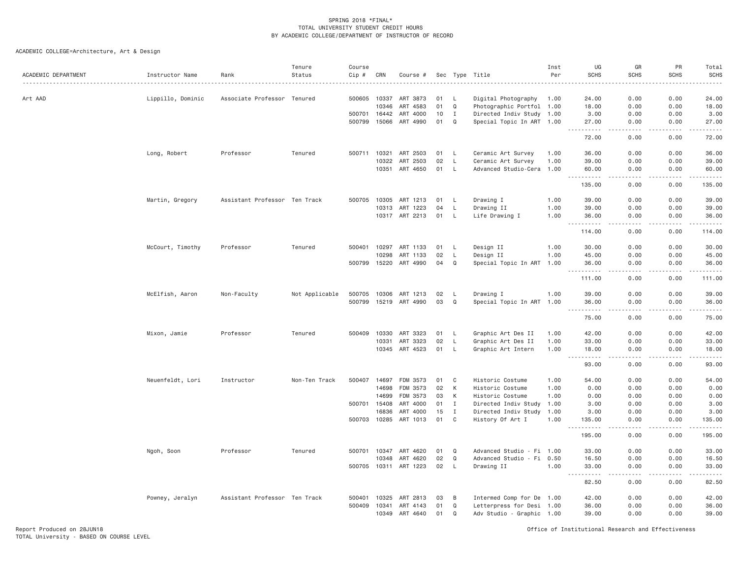ACADEMIC COLLEGE=Architecture, Art & Design

| ACADEMIC DEPARTMENT | Instructor Name   | Rank                          | Tenure<br>Status | Course<br>$Cip \#$ | CRN   | Course #                          |          |                   | Sec Type Title                                | Inst<br>Per | UG<br><b>SCHS</b>                          | GR<br><b>SCHS</b>            | PR<br><b>SCHS</b> | Total<br><b>SCHS</b><br>. |
|---------------------|-------------------|-------------------------------|------------------|--------------------|-------|-----------------------------------|----------|-------------------|-----------------------------------------------|-------------|--------------------------------------------|------------------------------|-------------------|---------------------------|
| Art AAD             | Lippillo, Dominic | Associate Professor Tenured   |                  | 500605             | 10337 | ART 3873                          | 01       | L.                | Digital Photography                           | 1.00        | 24.00                                      | 0.00                         | 0.00              | 24.00                     |
|                     |                   |                               |                  |                    | 10346 | ART 4583                          | 01       | Q                 | Photographic Portfol 1.00                     |             | 18.00                                      | 0.00                         | 0.00              | 18.00                     |
|                     |                   |                               |                  | 500701             | 16442 | ART 4000                          | 10       | Ι.                | Directed Indiv Study 1.00                     |             | 3.00                                       | 0.00                         | 0.00              | 3.00                      |
|                     |                   |                               |                  | 500799             | 15066 | ART 4990                          | 01       | Q                 | Special Topic In ART 1.00                     |             | 27.00                                      | 0.00                         | 0.00<br>.         | 27.00<br>.                |
|                     |                   |                               |                  |                    |       |                                   |          |                   |                                               |             | $- - - - - -$<br>72.00                     | $\sim$ $\sim$ $\sim$<br>0.00 | 0.00              | 72.00                     |
|                     | Long, Robert      | Professor                     | Tenured          | 500711             | 10321 | ART 2503                          | 01       | <b>L</b>          | Ceramic Art Survey                            | 1.00        | 36.00                                      | 0.00                         | 0.00              | 36.00                     |
|                     |                   |                               |                  |                    | 10322 | ART 2503                          | 02       | L                 | Ceramic Art Survey                            | 1.00        | 39.00                                      | 0.00                         | 0.00              | 39.00                     |
|                     |                   |                               |                  |                    | 10351 | ART 4650                          | 01       | L                 | Advanced Studio-Cera 1.00                     |             | 60.00<br>.                                 | 0.00<br>$   -$               | 0.00<br><b>.</b>  | 60.00<br>.                |
|                     |                   |                               |                  |                    |       |                                   |          |                   |                                               |             | 135.00                                     | 0.00                         | 0.00              | 135.00                    |
|                     | Martin, Gregory   | Assistant Professor Ten Track |                  | 500705             | 10305 | ART 1213                          | 01       | L                 | Drawing I                                     | 1.00        | 39.00                                      | 0.00                         | 0.00              | 39.00                     |
|                     |                   |                               |                  |                    | 10313 | ART 1223                          | 04       | L                 | Drawing II                                    | 1.00        | 39.00                                      | 0.00                         | 0.00              | 39.00                     |
|                     |                   |                               |                  |                    |       | 10317 ART 2213                    | 01       | L                 | Life Drawing I                                | 1.00        | 36.00<br>$- - - - - -$                     | 0.00<br>$- - - -$            | 0.00<br>.         | 36.00<br>.                |
|                     |                   |                               |                  |                    |       |                                   |          |                   |                                               |             | 114.00                                     | 0.00                         | 0.00              | 114.00                    |
|                     | McCourt, Timothy  | Professor                     | Tenured          | 500401             | 10297 | ART 1133                          | 01       | L                 | Design II                                     | 1.00        | 30.00                                      | 0.00                         | 0.00              | 30.00                     |
|                     |                   |                               |                  |                    | 10298 | ART 1133                          | 02       | L                 | Design II                                     | 1.00        | 45.00                                      | 0.00                         | 0.00              | 45.00                     |
|                     |                   |                               |                  | 500799             | 15220 | ART 4990                          | 04       | Q                 | Special Topic In ART 1.00                     |             | 36.00                                      | 0.00                         | 0.00              | 36.00<br>.                |
|                     |                   |                               |                  |                    |       |                                   |          |                   |                                               |             | 111.00                                     | 0.00                         | 0.00              | 111.00                    |
|                     | McElfish, Aaron   | Non-Faculty                   | Not Applicable   | 500705             | 10306 | ART 1213                          | 02       | - L               | Drawing I                                     | 1.00        | 39.00                                      | 0.00                         | 0.00              | 39.00                     |
|                     |                   |                               |                  | 500799             | 15219 | ART 4990                          | 03       | Q                 | Special Topic In ART 1.00                     |             | 36.00<br>$\sim$ $\sim$ $\sim$<br>.         | 0.00<br>$\cdots$             | 0.00<br>.         | 36.00<br>.                |
|                     |                   |                               |                  |                    |       |                                   |          |                   |                                               |             | 75.00                                      | 0.00                         | 0.00              | 75.00                     |
|                     | Mixon, Jamie      | Professor                     | Tenured          | 500409             | 10330 | ART 3323                          | 01       | L.                | Graphic Art Des II                            | 1.00        | 42.00                                      | 0.00                         | 0.00              | 42.00                     |
|                     |                   |                               |                  |                    | 10331 | ART 3323                          | 02       | L                 | Graphic Art Des II                            | 1,00        | 33,00                                      | 0.00                         | 0.00              | 33.00                     |
|                     |                   |                               |                  |                    | 10345 | ART 4523                          | 01       | L                 | Graphic Art Intern                            | 1.00        | 18.00<br>$\sim$ $\sim$ $\sim$<br>$- - - -$ | 0.00                         | 0.00              | 18.00<br>.                |
|                     |                   |                               |                  |                    |       |                                   |          |                   |                                               |             | 93.00                                      | 0.00                         | 0.00              | 93.00                     |
|                     | Neuenfeldt, Lori  | Instructor                    | Non-Ten Track    | 500407             | 14697 | FDM 3573                          | 01       | C                 | Historic Costume                              | 1.00        | 54.00                                      | 0.00                         | 0.00              | 54.00                     |
|                     |                   |                               |                  |                    | 14698 | FDM 3573                          | 02       | К                 | Historic Costume                              | 1.00        | 0.00                                       | 0.00                         | 0.00              | 0.00                      |
|                     |                   |                               |                  |                    | 14699 | FDM 3573                          | 03       | К                 | Historic Costume                              | 1.00        | 0.00                                       | 0.00                         | 0.00              | 0.00                      |
|                     |                   |                               |                  | 500701             | 15408 | ART 4000                          | 01       | Ι.                | Directed Indiv Study                          | 1.00        | 3.00                                       | 0.00                         | 0.00              | 3.00                      |
|                     |                   |                               |                  |                    | 16836 | ART 4000<br>500703 10285 ART 1013 | 15<br>01 | $\mathbf{I}$<br>C | Directed Indiv Study 1.00<br>History Of Art I | 1.00        | 3.00<br>135.00                             | 0.00<br>0.00                 | 0.00<br>0.00      | 3.00<br>135.00            |
|                     |                   |                               |                  |                    |       |                                   |          |                   |                                               |             | . <b>.</b>                                 | $   -$                       | <b>.</b>          | . <b>.</b>                |
|                     |                   |                               |                  |                    |       |                                   |          |                   |                                               |             | 195.00                                     | 0.00                         | 0.00              | 195.00                    |
|                     | Ngoh, Soon        | Professor                     | Tenured          | 500701 10347       |       | ART 4620                          | 01       | $\Omega$          | Advanced Studio - Fi 1.00                     |             | 33.00                                      | 0.00                         | 0.00              | 33.00                     |
|                     |                   |                               |                  |                    | 10348 | ART 4620                          | 02       | Q                 | Advanced Studio - Fi 0.50                     |             | 16.50                                      | 0.00                         | 0.00              | 16.50                     |
|                     |                   |                               |                  |                    |       | 500705 10311 ART 1223             | 02       | L                 | Drawing II                                    | 1.00        | 33.00<br>.                                 | 0.00                         | 0.00              | 33.00<br>.                |
|                     |                   |                               |                  |                    |       |                                   |          |                   |                                               |             | 82.50                                      | 0.00                         | 0.00              | 82.50                     |
|                     | Powney, Jeralyn   | Assistant Professor Ten Track |                  | 500401             | 10325 | ART 2813                          | 03       | B                 | Intermed Comp for De 1.00                     |             | 42.00                                      | 0.00                         | 0.00              | 42.00                     |
|                     |                   |                               |                  | 500409             | 10341 | ART 4143                          | 01       | Q                 | Letterpress for Desi 1.00                     |             | 36.00                                      | 0.00                         | 0.00              | 36.00                     |
|                     |                   |                               |                  |                    | 10349 | ART 4640                          | 01       | Q                 | Adv Studio - Graphic 1.00                     |             | 39.00                                      | 0.00                         | 0.00              | 39.00                     |

Report Produced on 28JUN18 Office of Institutional Research and Effectiveness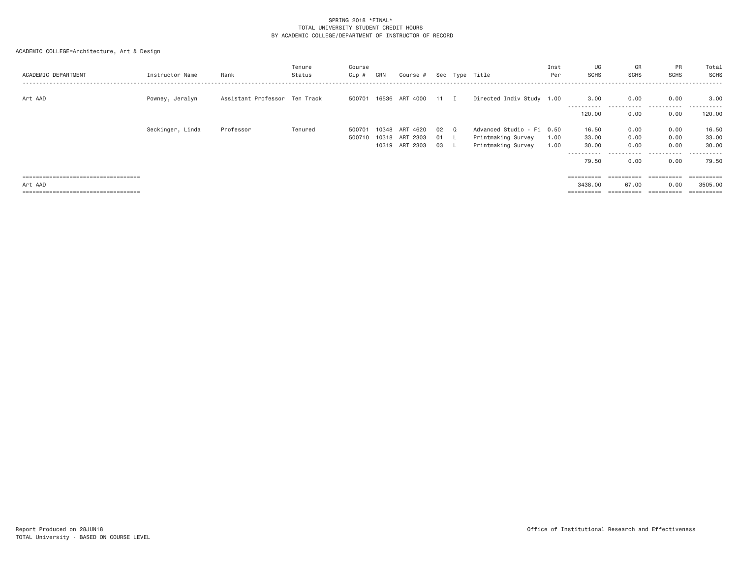| ACADEMIC DEPARTMENT                   | Instructor Name  | Rank                          | Tenure<br>Status | Course<br>Cip # | CRN   | Course #                   |    |     | Sec Type Title            | Inst<br>Per | UG<br><b>SCHS</b>     | GR<br><b>SCHS</b>  | <b>PR</b><br><b>SCHS</b> | Total<br>SCHS         |
|---------------------------------------|------------------|-------------------------------|------------------|-----------------|-------|----------------------------|----|-----|---------------------------|-------------|-----------------------|--------------------|--------------------------|-----------------------|
| Art AAD                               | Powney, Jeralyn  | Assistant Professor Ten Track |                  |                 |       | 500701 16536 ART 4000 11 I |    |     | Directed Indiv Study 1.00 |             | 3,00                  | 0.00<br>---------- | 0.00<br>.                | 3.00<br>- - - - - - - |
|                                       |                  |                               |                  |                 |       |                            |    |     |                           |             | 120.00                | 0.00               | 0.00                     | 120,00                |
|                                       | Seckinger, Linda | Professor                     | Tenured          | 500701          | 10348 | 4620<br>ART                | 02 | Q   | Advanced Studio - Fi 0.50 |             | 16.50                 | 0.00               | 0.00                     | 16.50                 |
|                                       |                  |                               |                  | 500710          |       | 10318 ART 2303             | 01 |     | Printmaking Survey        | 1.00        | 33.00                 | 0.00               | 0.00                     | 33.00                 |
|                                       |                  |                               |                  |                 |       | 10319 ART 2303             | 03 | -L. | Printmaking Survey        | 1.00        | 30.00                 | 0.00               | 0.00                     | 30,00                 |
|                                       |                  |                               |                  |                 |       |                            |    |     |                           |             | - - - - - - - - - - - | -----              | .                        | - - - - - -           |
|                                       |                  |                               |                  |                 |       |                            |    |     |                           |             | 79.50                 | 0.00               | 0.00                     | 79.50                 |
|                                       |                  |                               |                  |                 |       |                            |    |     |                           |             |                       |                    |                          |                       |
| ===================================== |                  |                               |                  |                 |       |                            |    |     |                           |             | ==========            | ==========         | $=$ = = = = = = = = = =  | $=$ = = = = = = = = = |
| Art AAD                               |                  |                               |                  |                 |       |                            |    |     |                           |             | 3438,00               | 67.00              | 0.00                     | 3505.00               |
| ===================================== |                  |                               |                  |                 |       |                            |    |     |                           |             | ==========            | ==========         | ==========               | $=$ = = = = = = = = = |
|                                       |                  |                               |                  |                 |       |                            |    |     |                           |             |                       |                    |                          |                       |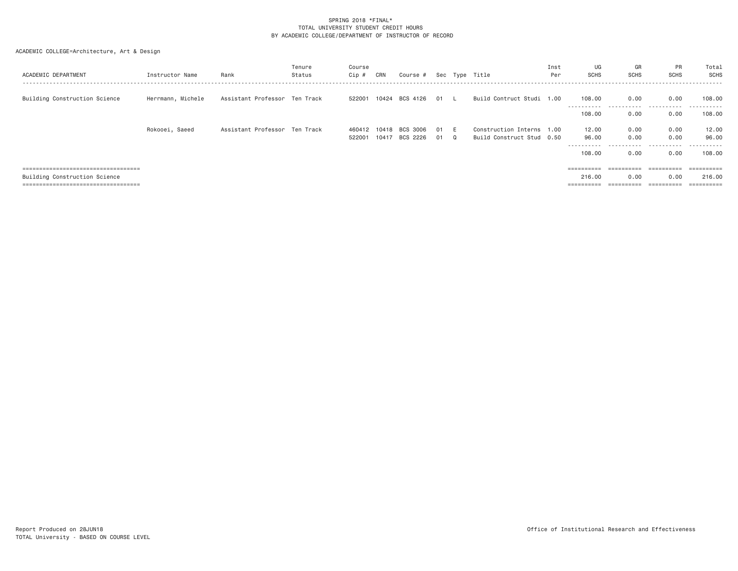| ACADEMIC DEPARTMENT                                                                                            | Instructor Name   | Rank                          | Tenure<br>Status | Course<br>Cip #  | CRN            | Course #             |            |          | Sec Type Title                                         | Inst<br>Per | UG<br><b>SCHS</b>                                                                                                                                                                                                                                                                                                                                                                                                                                                                                              | GR<br><b>SCHS</b>                           | PR<br>SCHS                                  | Total<br>SCHS<br>-------                      |
|----------------------------------------------------------------------------------------------------------------|-------------------|-------------------------------|------------------|------------------|----------------|----------------------|------------|----------|--------------------------------------------------------|-------------|----------------------------------------------------------------------------------------------------------------------------------------------------------------------------------------------------------------------------------------------------------------------------------------------------------------------------------------------------------------------------------------------------------------------------------------------------------------------------------------------------------------|---------------------------------------------|---------------------------------------------|-----------------------------------------------|
| Building Construction Science                                                                                  | Herrmann, Michele | Assistant Professor Ten Track |                  | 522001           |                | 10424 BCS 4126       | 01 L       |          | Build Contruct Studi 1.00                              |             | 108,00<br>----------<br>108,00                                                                                                                                                                                                                                                                                                                                                                                                                                                                                 | 0.00<br>-----------<br>0.00                 | 0.00<br>.<br>0.00                           | 108,00<br>.<br>108,00                         |
|                                                                                                                | Rokooei, Saeed    | Assistant Professor Ten Track |                  | 460412<br>522001 | 10418<br>10417 | BCS 3006<br>BCS 2226 | 01 E<br>01 | $\Omega$ | Construction Interns 1.00<br>Build Construct Stud 0.50 |             | 12.00<br>96.00<br>-----------<br>108,00                                                                                                                                                                                                                                                                                                                                                                                                                                                                        | 0.00<br>0.00<br>.<br>0.00                   | 0.00<br>0.00<br>.<br>0.00                   | 12.00<br>96.00<br>.<br>108,00                 |
| ====================================<br>Building Construction Science<br>===================================== |                   |                               |                  |                  |                |                      |            |          |                                                        |             | $\begin{array}{cccccccccc} \multicolumn{2}{c}{} & \multicolumn{2}{c}{} & \multicolumn{2}{c}{} & \multicolumn{2}{c}{} & \multicolumn{2}{c}{} & \multicolumn{2}{c}{} & \multicolumn{2}{c}{} & \multicolumn{2}{c}{} & \multicolumn{2}{c}{} & \multicolumn{2}{c}{} & \multicolumn{2}{c}{} & \multicolumn{2}{c}{} & \multicolumn{2}{c}{} & \multicolumn{2}{c}{} & \multicolumn{2}{c}{} & \multicolumn{2}{c}{} & \multicolumn{2}{c}{} & \multicolumn{2}{c}{} & \multicolumn{2}{c}{} & \mult$<br>216.00<br>========== | $=$ = = = = = = = = =<br>0.00<br>========== | ==========<br>0.00<br>$=$ = = = = = = = = = | ==========<br>216,00<br>$=$ = = = = = = = = = |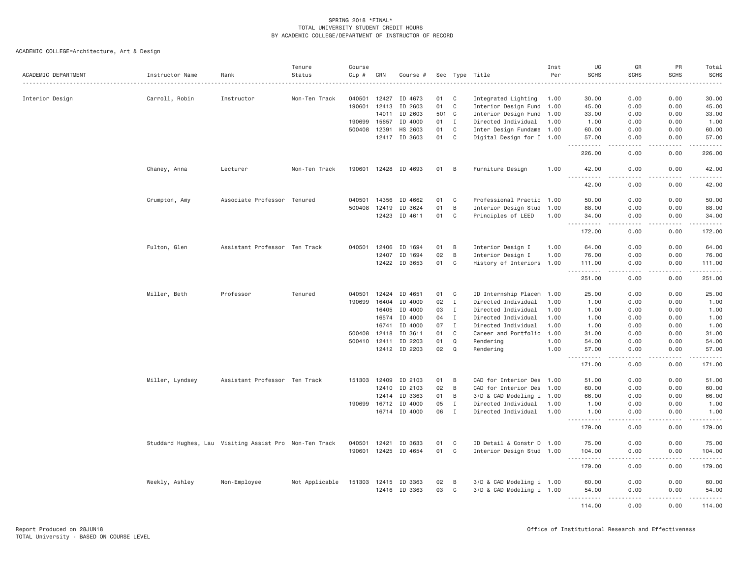| ACADEMIC DEPARTMENT | Instructor Name                                        | Rank                          | Tenure<br>Status | Course<br>Cip #  | CRN            | Course #             |          |                  | Sec Type Title                                         | Inst<br>Per | UG<br><b>SCHS</b>                                         | GR<br><b>SCHS</b>                   | PR<br><b>SCHS</b>                                                                                                                                            | Total<br><b>SCHS</b><br>.                                                                                                                                                                |
|---------------------|--------------------------------------------------------|-------------------------------|------------------|------------------|----------------|----------------------|----------|------------------|--------------------------------------------------------|-------------|-----------------------------------------------------------|-------------------------------------|--------------------------------------------------------------------------------------------------------------------------------------------------------------|------------------------------------------------------------------------------------------------------------------------------------------------------------------------------------------|
|                     |                                                        |                               |                  |                  |                |                      |          |                  |                                                        |             |                                                           |                                     |                                                                                                                                                              |                                                                                                                                                                                          |
| Interior Design     | Carroll, Robin                                         | Instructor                    | Non-Ten Track    | 040501<br>190601 | 12427          | ID 4673              | 01<br>01 | C<br>$\mathbf C$ | Integrated Lighting                                    | 1.00        | 30.00                                                     | 0.00<br>0.00                        | 0.00<br>0.00                                                                                                                                                 | 30.00                                                                                                                                                                                    |
|                     |                                                        |                               |                  |                  | 12413<br>14011 | ID 2603              |          |                  | Interior Design Fund 1.00                              |             | 45.00                                                     |                                     |                                                                                                                                                              | 45.00                                                                                                                                                                                    |
|                     |                                                        |                               |                  |                  |                | ID 2603              | 501      | $\mathbf{C}$     | Interior Design Fund                                   | 1.00        | 33.00                                                     | 0.00                                | 0.00                                                                                                                                                         | 33.00                                                                                                                                                                                    |
|                     |                                                        |                               |                  | 190699           | 15657          | ID 4000              | 01       | $\mathbf{I}$     | Directed Individual 1.00                               |             | 1.00                                                      | 0.00                                | 0.00                                                                                                                                                         | 1.00                                                                                                                                                                                     |
|                     |                                                        |                               |                  | 500408           | 12391<br>12417 | HS 2603<br>ID 3603   | 01<br>01 | $\mathbf C$<br>C | Inter Design Fundame 1.00<br>Digital Design for I 1.00 |             | 60.00<br>57.00                                            | 0.00<br>0.00                        | 0.00<br>0.00                                                                                                                                                 | 60.00<br>57.00                                                                                                                                                                           |
|                     |                                                        |                               |                  |                  |                |                      |          |                  |                                                        |             | .<br>226.00                                               | .<br>0.00                           | .<br>0.00                                                                                                                                                    | .<br>226.00                                                                                                                                                                              |
|                     | Chaney, Anna                                           | Lecturer                      | Non-Ten Track    |                  |                | 190601 12428 ID 4693 | 01       | B                | Furniture Design                                       | 1.00        | 42.00                                                     | 0.00                                | 0.00                                                                                                                                                         | 42.00                                                                                                                                                                                    |
|                     |                                                        |                               |                  |                  |                |                      |          |                  |                                                        |             | 42.00                                                     | 0.00                                | 0.00                                                                                                                                                         | 42.00                                                                                                                                                                                    |
|                     | Crumpton, Amy                                          | Associate Professor Tenured   |                  |                  | 040501 14356   | ID 4662              | 01       | C                | Professional Practic 1.00                              |             | 50.00                                                     | 0.00                                | 0.00                                                                                                                                                         | 50.00                                                                                                                                                                                    |
|                     |                                                        |                               |                  |                  | 500408 12419   | ID 3624              | 01       | B                | Interior Design Stud 1.00                              |             | 88.00                                                     | 0.00                                | 0.00                                                                                                                                                         | 88.00                                                                                                                                                                                    |
|                     |                                                        |                               |                  |                  | 12423          | ID 4611              | 01       | C                | Principles of LEED                                     | 1.00        | 34.00<br><u>.</u>                                         | 0.00<br>.                           | 0.00<br>.                                                                                                                                                    | 34,00<br>.                                                                                                                                                                               |
|                     |                                                        |                               |                  |                  |                |                      |          |                  |                                                        |             | 172.00                                                    | 0.00                                | 0.00                                                                                                                                                         | 172.00                                                                                                                                                                                   |
|                     | Fulton, Glen                                           | Assistant Professor Ten Track |                  | 040501           | 12406          | ID 1694              | 01       | B                | Interior Design I                                      | 1.00        | 64.00                                                     | 0.00                                | 0.00                                                                                                                                                         | 64.00                                                                                                                                                                                    |
|                     |                                                        |                               |                  |                  | 12407          | ID 1694              | 02       | B                | Interior Design I                                      | 1.00        | 76.00                                                     | 0.00                                | 0.00                                                                                                                                                         | 76.00                                                                                                                                                                                    |
|                     |                                                        |                               |                  |                  | 12422          | ID 3653              | 01       | C                | History of Interiors 1.00                              |             | 111.00<br>$\omega$ is a $\omega$ in $\omega$<br>$\sim 10$ | 0.00<br>والأمام                     | 0.00<br>.                                                                                                                                                    | 111.00<br>وبالمحامي                                                                                                                                                                      |
|                     |                                                        |                               |                  |                  |                |                      |          |                  |                                                        |             | 251.00                                                    | 0.00                                | 0.00                                                                                                                                                         | 251.00                                                                                                                                                                                   |
|                     | Miller, Beth                                           | Professor                     | Tenured          | 040501           | 12424          | ID 4651              | 01       | C                | ID Internship Placem                                   | 1.00        | 25.00                                                     | 0.00                                | 0.00                                                                                                                                                         | 25.00                                                                                                                                                                                    |
|                     |                                                        |                               |                  | 190699           | 16404          | ID 4000              | 02       | $\mathbf I$      | Directed Individual                                    | 1.00        | 1.00                                                      | 0.00                                | 0.00                                                                                                                                                         | 1.00                                                                                                                                                                                     |
|                     |                                                        |                               |                  |                  | 16405          | ID 4000              | 03       | $\mathbf{I}$     | Directed Individual                                    | 1.00        | 1.00                                                      | 0.00                                | 0.00                                                                                                                                                         | 1.00                                                                                                                                                                                     |
|                     |                                                        |                               |                  |                  | 16574          | ID 4000              | 04       | $\mathbf{I}$     | Directed Individual                                    | 1.00        | 1.00                                                      | 0.00                                | 0.00                                                                                                                                                         | 1.00                                                                                                                                                                                     |
|                     |                                                        |                               |                  |                  | 16741          | ID 4000              | 07       | $\mathbf I$      | Directed Individual                                    | 1.00        | 1.00                                                      | 0.00                                | 0.00                                                                                                                                                         | 1.00                                                                                                                                                                                     |
|                     |                                                        |                               |                  | 500408           | 12418          | ID 3611              | 01       | $\mathbf C$      | Career and Portfolio                                   | 1.00        | 31.00                                                     | 0.00                                | 0.00                                                                                                                                                         | 31.00                                                                                                                                                                                    |
|                     |                                                        |                               |                  | 500410           | 12411          | ID 2203              | 01       | Q                | Rendering                                              | 1.00        | 54.00                                                     | 0.00                                | 0.00                                                                                                                                                         | 54.00                                                                                                                                                                                    |
|                     |                                                        |                               |                  |                  |                | 12412 ID 2203        | 02       | $\Omega$         | Rendering                                              | 1.00        | 57.00<br>.                                                | 0.00<br>.                           | 0.00<br>.                                                                                                                                                    | 57.00<br>$- - - - - -$                                                                                                                                                                   |
|                     |                                                        |                               |                  |                  |                |                      |          |                  |                                                        |             | 171.00                                                    | 0.00                                | 0.00                                                                                                                                                         | 171.00                                                                                                                                                                                   |
|                     | Miller, Lyndsey                                        | Assistant Professor Ten Track |                  |                  | 151303 12409   | ID 2103              | 01       | B                | CAD for Interior Des 1.00                              |             | 51.00                                                     | 0.00                                | 0.00                                                                                                                                                         | 51.00                                                                                                                                                                                    |
|                     |                                                        |                               |                  |                  | 12410          | ID 2103              | 02       | $\overline{B}$   | CAD for Interior Des 1.00                              |             | 60.00                                                     | 0.00                                | 0.00                                                                                                                                                         | 60.00                                                                                                                                                                                    |
|                     |                                                        |                               |                  |                  | 12414          | ID 3363              | 01       | B                | 3/D & CAD Modeling i 1.00                              |             | 66.00                                                     | 0.00                                | 0.00                                                                                                                                                         | 66.00                                                                                                                                                                                    |
|                     |                                                        |                               |                  | 190699           | 16712          | ID 4000              | 05       | $\mathbf{I}$     | Directed Individual                                    | 1,00        | 1.00                                                      | 0.00                                | 0.00                                                                                                                                                         | 1.00                                                                                                                                                                                     |
|                     |                                                        |                               |                  |                  |                | 16714 ID 4000        | 06       | $\mathbf{I}$     | Directed Individual 1.00                               |             | 1.00<br><u>.</u><br>$- - -$                               | 0.00<br>.                           | 0.00<br>.                                                                                                                                                    | 1.00<br>$\sim$ $\sim$ $\sim$ $\sim$ $\sim$                                                                                                                                               |
|                     |                                                        |                               |                  |                  |                |                      |          |                  |                                                        |             | 179.00                                                    | 0.00                                | 0.00                                                                                                                                                         | 179.00                                                                                                                                                                                   |
|                     | Studdard Hughes, Lau Visiting Assist Pro Non-Ten Track |                               |                  |                  | 040501 12421   | ID 3633              | 01       | C                | ID Detail & Constr D 1.00                              |             | 75.00                                                     | 0.00                                | 0.00                                                                                                                                                         | 75.00                                                                                                                                                                                    |
|                     |                                                        |                               |                  |                  |                | 190601 12425 ID 4654 | 01       | $\mathbf C$      | Interior Design Stud 1.00                              |             | 104.00                                                    | 0.00                                | 0.00                                                                                                                                                         | 104.00                                                                                                                                                                                   |
|                     |                                                        |                               |                  |                  |                |                      |          |                  |                                                        |             | <u>.</u><br>179.00                                        | .<br>0.00                           | $\frac{1}{2} \left( \frac{1}{2} \right) \left( \frac{1}{2} \right) \left( \frac{1}{2} \right) \left( \frac{1}{2} \right) \left( \frac{1}{2} \right)$<br>0.00 | .<br>179.00                                                                                                                                                                              |
|                     | Weekly, Ashley                                         | Non-Employee                  | Not Applicable   |                  |                | 151303 12415 ID 3363 | 02       | B                | 3/D & CAD Modeling i 1.00                              |             | 60.00                                                     | 0.00                                | 0.00                                                                                                                                                         | 60.00                                                                                                                                                                                    |
|                     |                                                        |                               |                  |                  |                | 12416 ID 3363        | 03       | $\mathbf{C}$     | 3/D & CAD Modeling i 1.00                              |             | 54.00                                                     | 0.00<br>$\sim$ $\sim$ $\sim$ $\sim$ | 0.00<br>.                                                                                                                                                    | 54.00<br>$\frac{1}{2} \left( \frac{1}{2} \right) \left( \frac{1}{2} \right) \left( \frac{1}{2} \right) \left( \frac{1}{2} \right) \left( \frac{1}{2} \right) \left( \frac{1}{2} \right)$ |
|                     |                                                        |                               |                  |                  |                |                      |          |                  |                                                        |             | 114,00                                                    | 0.00                                | 0.00                                                                                                                                                         | 114.00                                                                                                                                                                                   |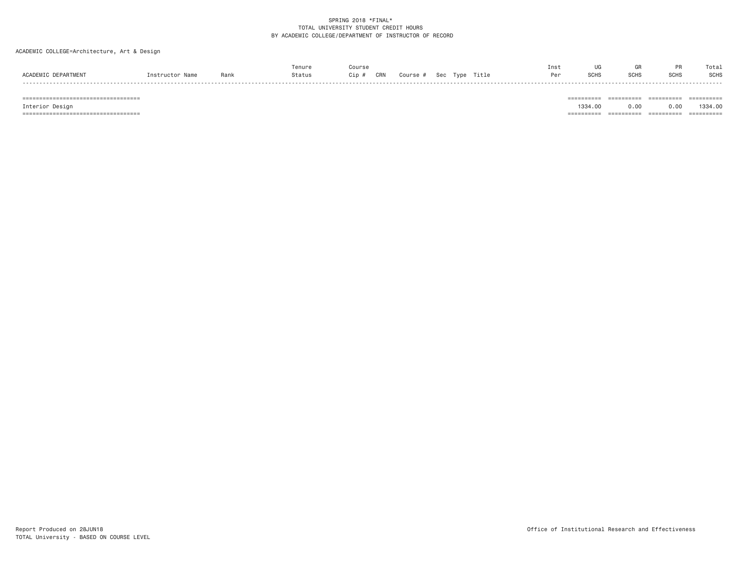### ACADEMIC COLLEGE=Architecture, Art & Design

|                             |        |      |        | Coursr     |                                | Inst |       |      |             | Total |
|-----------------------------|--------|------|--------|------------|--------------------------------|------|-------|------|-------------|-------|
| <b>ACADEMT</b><br>NEPARTMEN | nstruc | Rank | Status | CRN<br>Cip | Title<br>Sec<br>∶ourse<br>Tvne | Pρ   | -SUH* | SCH: | <b>SCHS</b> | SCHS  |
|                             |        |      |        |            |                                |      |       |      |             |       |

 =================================== ========== ========== ========== ========== Interior Design 1334.00 0.00 0.00 1334.00 =================================== ========== ========== ========== ==========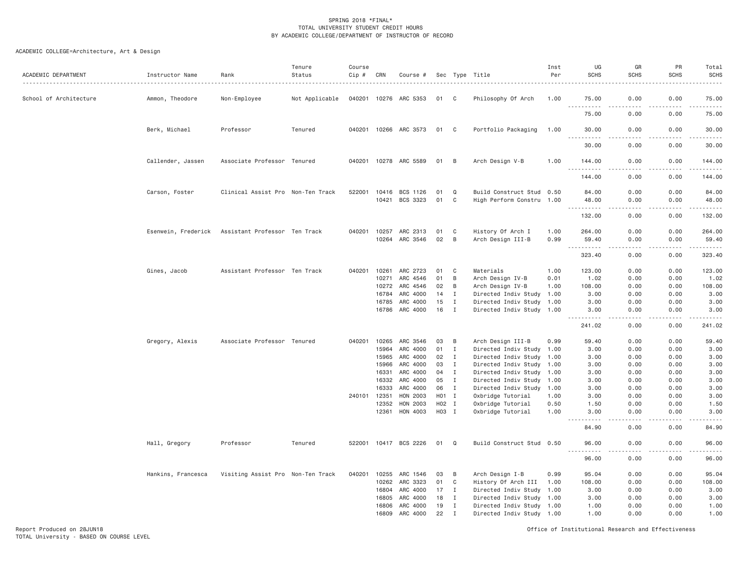# ACADEMIC COLLEGE=Architecture, Art & Design

| ACADEMIC DEPARTMENT    | Instructor Name     | Rank                              | Tenure<br>Status | Course<br>Cip # | CRN            | Course #              |                  |                              | Sec Type Title                                    | Inst<br>Per | UG<br><b>SCHS</b>                   | GR<br><b>SCHS</b>     | PR<br><b>SCHS</b> | Total<br><b>SCHS</b><br>$- - - - -$                                                                                                                           |
|------------------------|---------------------|-----------------------------------|------------------|-----------------|----------------|-----------------------|------------------|------------------------------|---------------------------------------------------|-------------|-------------------------------------|-----------------------|-------------------|---------------------------------------------------------------------------------------------------------------------------------------------------------------|
| School of Architecture | Ammon, Theodore     | Non-Employee                      | Not Applicable   |                 | 040201 10276   | ARC 5353              | 01               | C                            | Philosophy Of Arch                                | 1.00        | 75.00                               | 0.00                  | 0.00              | 75.00                                                                                                                                                         |
|                        |                     |                                   |                  |                 |                |                       |                  |                              |                                                   |             | <u>.</u><br>75.00                   | 0.00                  | 0.00              | .<br>75.00                                                                                                                                                    |
|                        | Berk, Michael       | Professor                         | Tenured          |                 |                | 040201 10266 ARC 3573 | 01               | C <sub>1</sub>               | Portfolio Packaging                               | 1.00        | 30.00                               | 0.00                  | 0.00              | 30.00<br>$\frac{1}{2} \left( \frac{1}{2} \right) \left( \frac{1}{2} \right) \left( \frac{1}{2} \right) \left( \frac{1}{2} \right) \left( \frac{1}{2} \right)$ |
|                        |                     |                                   |                  |                 |                |                       |                  |                              |                                                   |             | 30.00                               | 0.00                  | 0.00              | 30.00                                                                                                                                                         |
|                        | Callender, Jassen   | Associate Professor Tenured       |                  |                 |                | 040201 10278 ARC 5589 | 01               | B                            | Arch Design V-B                                   | 1.00        | 144.00<br>.                         | 0.00                  | 0.00<br>$- - -$   | 144.00<br>.                                                                                                                                                   |
|                        |                     |                                   |                  |                 |                |                       |                  |                              |                                                   |             | 144.00                              | 0.00                  | 0.00              | 144.00                                                                                                                                                        |
|                        | Carson, Foster      | Clinical Assist Pro Non-Ten Track |                  | 522001          | 10416          | BCS 1126              | 01               | Q                            | Build Construct Stud 0.50                         |             | 84.00                               | 0.00                  | 0.00              | 84.00                                                                                                                                                         |
|                        |                     |                                   |                  |                 | 10421          | BCS 3323              | 01               | C                            | High Perform Constru 1.00                         |             | 48.00                               | 0.00                  | 0.00              | 48.00                                                                                                                                                         |
|                        |                     |                                   |                  |                 |                |                       |                  |                              |                                                   |             | $\sim$ $\sim$ $\sim$<br>.<br>132.00 | $\frac{1}{2}$<br>0.00 | .<br>0.00         | .<br>132.00                                                                                                                                                   |
|                        | Esenwein, Frederick | Assistant Professor Ten Track     |                  | 040201          | 10257          | ARC 2313              | 01               | C                            | History Of Arch I                                 | 1.00        | 264.00                              | 0.00                  | 0.00              | 264.00                                                                                                                                                        |
|                        |                     |                                   |                  |                 | 10264          | ARC 3546              | 02               | B                            | Arch Design III-B                                 | 0.99        | 59.40                               | 0.00                  | 0.00              | 59.40                                                                                                                                                         |
|                        |                     |                                   |                  |                 |                |                       |                  |                              |                                                   |             | .<br>323.40                         | 0.00                  | 0.00              | .<br>323.40                                                                                                                                                   |
|                        | Gines, Jacob        | Assistant Professor Ten Track     |                  | 040201          | 10261          | ARC 2723              | 01               | C                            | Materials                                         | 1.00        | 123.00                              | 0.00                  | 0.00              | 123.00                                                                                                                                                        |
|                        |                     |                                   |                  |                 | 10271          | ARC 4546              | 01               | B                            | Arch Design IV-B                                  | 0.01        | 1.02                                | 0.00                  | 0.00              | 1.02                                                                                                                                                          |
|                        |                     |                                   |                  |                 | 10272          | ARC 4546              | 02               | B                            | Arch Design IV-B                                  | 1.00        | 108.00                              | 0.00                  | 0.00              | 108.00                                                                                                                                                        |
|                        |                     |                                   |                  |                 | 16784          | ARC 4000              | 14               | $\mathbf I$                  | Directed Indiv Study                              | 1.00        | 3.00                                | 0.00                  | 0.00              | 3.00                                                                                                                                                          |
|                        |                     |                                   |                  |                 | 16785          | ARC 4000              | 15               | $\mathbf I$                  | Directed Indiv Study 1.00                         |             | 3,00                                | 0.00                  | 0.00              | 3.00                                                                                                                                                          |
|                        |                     |                                   |                  |                 | 16786          | ARC 4000              | 16               | $\mathbf I$                  | Directed Indiv Study 1.00                         |             | 3.00<br>.                           | 0.00<br>.             | 0.00<br>.         | 3.00<br>.                                                                                                                                                     |
|                        |                     |                                   |                  |                 |                |                       |                  |                              |                                                   |             | 241.02                              | 0.00                  | 0.00              | 241.02                                                                                                                                                        |
|                        | Gregory, Alexis     | Associate Professor Tenured       |                  | 040201          | 10265          | ARC 3546              | 03               | B                            | Arch Design III-B                                 | 0.99        | 59.40                               | 0.00                  | 0.00              | 59.40                                                                                                                                                         |
|                        |                     |                                   |                  |                 | 15964          | ARC 4000              | 01               | I                            | Directed Indiv Study 1.00                         |             | 3.00                                | 0.00                  | 0.00              | 3.00                                                                                                                                                          |
|                        |                     |                                   |                  |                 | 15965          | ARC 4000              | 02               | $\mathbf{I}$                 | Directed Indiv Study 1.00                         |             | 3.00                                | 0.00                  | 0.00              | 3.00                                                                                                                                                          |
|                        |                     |                                   |                  |                 | 15966          | ARC 4000              | 03               | $\mathbf{I}$                 | Directed Indiv Study                              | 1.00        | 3.00                                | 0.00                  | 0.00              | 3.00                                                                                                                                                          |
|                        |                     |                                   |                  |                 | 16331          | ARC 4000              | 04               | $\mathbf I$                  | Directed Indiv Study                              | 1.00        | 3.00                                | 0.00                  | 0.00              | 3.00                                                                                                                                                          |
|                        |                     |                                   |                  |                 | 16332<br>16333 | ARC 4000<br>ARC 4000  | 05<br>06         | $\mathbf{I}$<br>$\mathbf{I}$ | Directed Indiv Study 1.00<br>Directed Indiv Study | 1.00        | 3.00<br>3.00                        | 0.00<br>0.00          | 0.00<br>0.00      | 3.00<br>3.00                                                                                                                                                  |
|                        |                     |                                   |                  | 240101          | 12351          | HON 2003              | H <sub>0</sub> 1 | I                            | Oxbridge Tutorial                                 | 1.00        | 3.00                                | 0.00                  | 0.00              | 3.00                                                                                                                                                          |
|                        |                     |                                   |                  |                 | 12352          | HON 2003              | H02 I            |                              | Oxbridge Tutorial                                 | 0.50        | 1.50                                | 0.00                  | 0.00              | 1.50                                                                                                                                                          |
|                        |                     |                                   |                  |                 | 12361          | HON 4003              | H03 I            |                              | Oxbridge Tutorial                                 | 1.00        | 3.00                                | 0.00                  | 0.00              | 3.00                                                                                                                                                          |
|                        |                     |                                   |                  |                 |                |                       |                  |                              |                                                   |             | 84.90                               | 0.00                  | 0.00              | 84.90                                                                                                                                                         |
|                        | Hall, Gregory       | Professor                         | Tenured          |                 |                | 522001 10417 BCS 2226 | 01               | Q                            | Build Construct Stud 0.50                         |             | 96.00<br>$-$<br>. <u>.</u> .        | 0.00<br>$- - - -$     | 0.00<br>.         | 96.00<br>.                                                                                                                                                    |
|                        |                     |                                   |                  |                 |                |                       |                  |                              |                                                   |             | 96.00                               | 0.00                  | 0.00              | 96.00                                                                                                                                                         |
|                        | Hankins, Francesca  | Visiting Assist Pro Non-Ten Track |                  | 040201          | 10255          | ARC 1546              | 03               | B                            | Arch Design I-B                                   | 0.99        | 95.04                               | 0.00                  | 0.00              | 95.04                                                                                                                                                         |
|                        |                     |                                   |                  |                 | 10262          | ARC 3323              | 01               | C                            | History Of Arch III                               | 1.00        | 108.00                              | 0.00                  | 0.00              | 108.00                                                                                                                                                        |
|                        |                     |                                   |                  |                 | 16804          | ARC 4000              | 17               | I                            | Directed Indiv Study                              | 1.00        | 3.00                                | 0.00                  | 0.00              | 3.00                                                                                                                                                          |
|                        |                     |                                   |                  |                 | 16805          | ARC 4000              | 18               | $\mathbf I$                  | Directed Indiv Study 1.00                         |             | 3.00                                | 0.00                  | 0.00              | 3.00                                                                                                                                                          |
|                        |                     |                                   |                  |                 | 16806          | ARC 4000              | 19               | $\mathbf I$                  | Directed Indiv Study 1.00                         |             | 1.00                                | 0.00                  | 0.00              | 1.00                                                                                                                                                          |
|                        |                     |                                   |                  |                 | 16809          | ARC 4000              | 22               | $\mathbf I$                  | Directed Indiv Study 1.00                         |             | 1.00                                | 0.00                  | 0.00              | 1.00                                                                                                                                                          |

Report Produced on 28JUN18 Office of Institutional Research and Effectiveness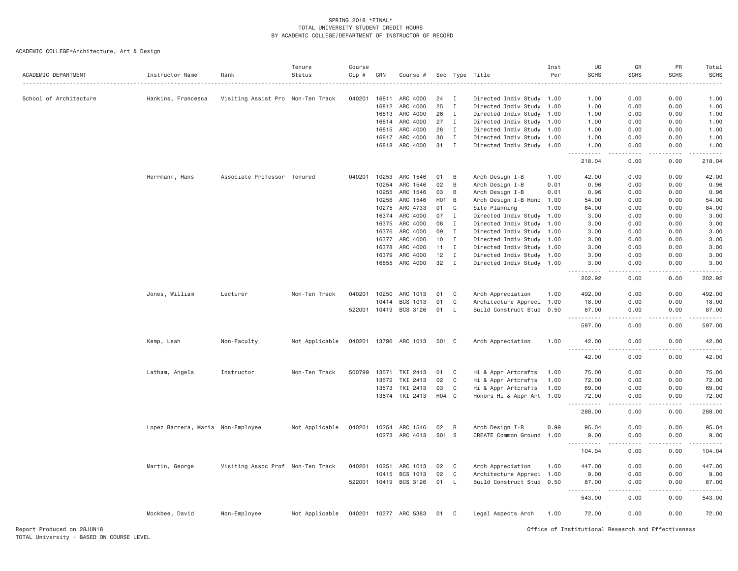| ACADEMIC DEPARTMENT    | Instructor Name                   | Rank                              | Tenure<br>Status | Course<br>$Cip$ # | CRN   | Course #              |            |              | Sec Type Title            | Inst<br>Per | UG<br><b>SCHS</b>                                                                                                                                                              | GR<br><b>SCHS</b>                   | PR<br><b>SCHS</b>   | Total<br><b>SCHS</b> |
|------------------------|-----------------------------------|-----------------------------------|------------------|-------------------|-------|-----------------------|------------|--------------|---------------------------|-------------|--------------------------------------------------------------------------------------------------------------------------------------------------------------------------------|-------------------------------------|---------------------|----------------------|
| School of Architecture | Hankins, Francesca                | Visiting Assist Pro Non-Ten Track |                  | 040201            | 16811 | ARC 4000              | 24         | I            | Directed Indiv Study 1.00 |             | 1.00                                                                                                                                                                           | 0.00                                | 0.00                | 1.00                 |
|                        |                                   |                                   |                  |                   | 16812 | ARC 4000              | 25         | $\mathbf{I}$ | Directed Indiv Study 1.00 |             | 1.00                                                                                                                                                                           | 0.00                                | 0.00                | 1.00                 |
|                        |                                   |                                   |                  |                   | 16813 | ARC 4000              | 26         | $\mathbf{I}$ | Directed Indiv Study 1.00 |             | 1.00                                                                                                                                                                           | 0.00                                | 0.00                | 1.00                 |
|                        |                                   |                                   |                  |                   | 16814 | ARC 4000              | 27         | $\mathbf{I}$ | Directed Indiv Study 1.00 |             | 1.00                                                                                                                                                                           | 0.00                                | 0.00                | 1.00                 |
|                        |                                   |                                   |                  |                   | 16815 | ARC 4000              | 28         | $\mathbf{I}$ | Directed Indiv Study 1.00 |             | 1.00                                                                                                                                                                           | 0.00                                | 0.00                | 1.00                 |
|                        |                                   |                                   |                  |                   | 16817 | ARC 4000              | 30         | Ι.           | Directed Indiv Study 1.00 |             | 1.00                                                                                                                                                                           | 0.00                                | 0.00                | 1.00                 |
|                        |                                   |                                   |                  |                   | 16818 | ARC 4000              | 31         | $\mathbf I$  | Directed Indiv Study 1.00 |             | 1.00                                                                                                                                                                           | 0.00                                | 0.00                | 1.00                 |
|                        |                                   |                                   |                  |                   |       |                       |            |              |                           |             | .<br>218.04                                                                                                                                                                    | $\sim$ $\sim$ $\sim$ $\sim$<br>0.00 | .<br>0.00           | 22222<br>218.04      |
|                        | Herrmann, Hans                    | Associate Professor Tenured       |                  | 040201            | 10253 | ARC 1546              | 01         | B            | Arch Design I-B           | 1.00        | 42.00                                                                                                                                                                          | 0.00                                | 0.00                | 42.00                |
|                        |                                   |                                   |                  |                   | 10254 | ARC 1546              | 02         | B            | Arch Design I-B           | 0.01        | 0.96                                                                                                                                                                           | 0.00                                | 0.00                | 0.96                 |
|                        |                                   |                                   |                  |                   | 10255 | ARC 1546              | 03         | В            | Arch Design I-B           | 0.01        | 0.96                                                                                                                                                                           | 0.00                                | 0.00                | 0.96                 |
|                        |                                   |                                   |                  |                   | 10256 | ARC 1546              | H01        | B            | Arch Design I-B Hono 1.00 |             | 54.00                                                                                                                                                                          | 0.00                                | 0.00                | 54.00                |
|                        |                                   |                                   |                  |                   | 10275 | ARC 4733              | 01         | C            | Site Planning             | 1.00        | 84.00                                                                                                                                                                          | 0.00                                | 0.00                | 84.00                |
|                        |                                   |                                   |                  |                   | 16374 | ARC 4000              | 07         | Ι            | Directed Indiv Study 1.00 |             | 3.00                                                                                                                                                                           | 0.00                                | 0.00                | 3.00                 |
|                        |                                   |                                   |                  |                   | 16375 | ARC 4000              | 08         | I            | Directed Indiv Study 1.00 |             | 3.00                                                                                                                                                                           | 0.00                                | 0.00                | 3.00                 |
|                        |                                   |                                   |                  |                   | 16376 | ARC 4000              | 09         | I            | Directed Indiv Study 1.00 |             | 3.00                                                                                                                                                                           | 0.00                                | 0.00                | 3.00                 |
|                        |                                   |                                   |                  |                   | 16377 | ARC 4000              | 10         | I            | Directed Indiv Study 1.00 |             | 3.00                                                                                                                                                                           | 0.00                                | 0.00                | 3.00                 |
|                        |                                   |                                   |                  |                   | 16378 | ARC 4000              | 11         | I            | Directed Indiv Study 1.00 |             | 3,00                                                                                                                                                                           | 0.00                                | 0.00                | 3.00                 |
|                        |                                   |                                   |                  |                   | 16379 | ARC 4000              | 12         | $\mathbf{I}$ | Directed Indiv Study 1.00 |             | 3.00                                                                                                                                                                           | 0.00                                | 0.00                | 3.00                 |
|                        |                                   |                                   |                  |                   | 16855 | ARC 4000              | 32         | $\mathbf{I}$ | Directed Indiv Study 1.00 |             | 3.00<br>$- - - - - -$                                                                                                                                                          | 0.00<br>$   -$                      | 0.00<br>.           | 3.00<br>.            |
|                        |                                   |                                   |                  |                   |       |                       |            |              |                           |             | 202.92                                                                                                                                                                         | 0.00                                | 0.00                | 202.92               |
|                        | Jones, William                    | Lecturer                          | Non-Ten Track    | 040201            | 10250 | ARC 1013              | 01         | C            | Arch Appreciation         | 1.00        | 492.00                                                                                                                                                                         | 0.00                                | 0.00                | 492.00               |
|                        |                                   |                                   |                  |                   | 10414 | BCS 1013              | 01         | C            | Architecture Appreci 1.00 |             | 18.00                                                                                                                                                                          | 0.00                                | 0.00                | 18.00                |
|                        |                                   |                                   |                  | 522001            | 10419 | BCS 3126              | 01         | L            | Build Construct Stud 0.50 |             | 87.00<br>$\sim$ $\sim$<br>$\frac{1}{2} \left( \frac{1}{2} \right) \left( \frac{1}{2} \right) \left( \frac{1}{2} \right) \left( \frac{1}{2} \right) \left( \frac{1}{2} \right)$ | 0.00                                | 0.00                | 87.00                |
|                        |                                   |                                   |                  |                   |       |                       |            |              |                           |             | 597.00                                                                                                                                                                         | 0.00                                | 0.00                | 597.00               |
|                        | Kemp, Leah                        | Non-Faculty                       | Not Applicable   |                   |       | 040201 13796 ARC 1013 | 501 C      |              | Arch Appreciation         | 1.00        | 42.00                                                                                                                                                                          | 0.00                                | 0.00                | 42.00                |
|                        |                                   |                                   |                  |                   |       |                       |            |              |                           |             | 42.00                                                                                                                                                                          | 0.00                                | 0.00                | 42.00                |
|                        | Latham, Angela                    | Instructor                        | Non-Ten Track    | 500799            | 13571 | TKI 2413              | 01         | C            | Hi & Appr Artcrafts       | 1.00        | 75.00                                                                                                                                                                          | 0.00                                | 0.00                | 75.00                |
|                        |                                   |                                   |                  |                   | 13572 | TKI 2413              | 02         | C            | Hi & Appr Artcrafts       | 1.00        | 72.00                                                                                                                                                                          | 0.00                                | 0.00                | 72.00                |
|                        |                                   |                                   |                  |                   | 13573 | TKI 2413              | 03         | C            | Hi & Appr Artcrafts       | 1.00        | 69.00                                                                                                                                                                          | 0.00                                | 0.00                | 69.00                |
|                        |                                   |                                   |                  |                   |       | 13574 TKI 2413        | H04 C      |              | Honors Hi & Appr Art 1.00 |             | 72.00<br><b>.</b>                                                                                                                                                              | 0.00<br>$- - - -$                   | 0.00                | 72.00<br>.           |
|                        |                                   |                                   |                  |                   |       |                       |            |              |                           |             | 288.00                                                                                                                                                                         | 0.00                                | 0.00                | 288.00               |
|                        | Lopez Barrera, Maria Non-Employee |                                   | Not Applicable   | 040201            | 10254 | ARC 1546              | 02         | B            | Arch Design I-B           | 0.99        | 95.04                                                                                                                                                                          | 0.00                                | 0.00                | 95.04                |
|                        |                                   |                                   |                  |                   |       | 10273 ARC 4613        | <b>S01</b> | <b>S</b>     | CREATE Common Ground 1.00 |             | 9.00<br>.                                                                                                                                                                      | 0.00<br>$\sim$ $\sim$ $\sim$ $\sim$ | 0.00<br>$- - - - -$ | 9.00<br>2.2.2.2.2    |
|                        |                                   |                                   |                  |                   |       |                       |            |              |                           |             | $\sim$ $\sim$ $\sim$<br>104.04                                                                                                                                                 | 0.00                                | 0.00                | 104.04               |
|                        | Martin, George                    | Visiting Assoc Prof Non-Ten Track |                  | 040201            | 10251 | ARC 1013              | 02         | C            | Arch Appreciation         | 1.00        | 447.00                                                                                                                                                                         | 0.00                                | 0.00                | 447.00               |
|                        |                                   |                                   |                  |                   | 10415 | BCS 1013              | 02         | C            | Architecture Appreci 1.00 |             | 9.00                                                                                                                                                                           | 0.00                                | 0.00                | 9.00                 |
|                        |                                   |                                   |                  | 522001            | 10419 | BCS 3126              | 01         | L.           | Build Construct Stud 0.50 |             | 87.00<br>$\sim$ $\sim$ $\sim$<br>. <b>.</b>                                                                                                                                    | 0.00                                | 0.00<br>.           | 87.00                |
|                        |                                   |                                   |                  |                   |       |                       |            |              |                           |             | 543.00                                                                                                                                                                         | .<br>0.00                           | 0.00                | 543.00               |
|                        | Mockbee, David                    | Non-Employee                      | Not Applicable   |                   |       | 040201 10277 ARC 5383 | 01         | C            | Legal Aspects Arch        | 1.00        | 72.00                                                                                                                                                                          | 0.00                                | 0.00                | 72.00                |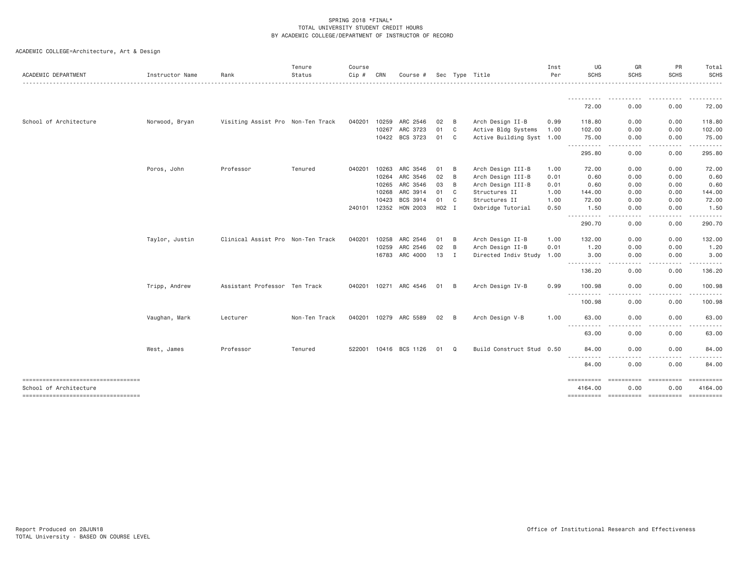|  |  | ACADEMIC COLLEGE=Architecture, Art & Design |  |  |  |
|--|--|---------------------------------------------|--|--|--|
|--|--|---------------------------------------------|--|--|--|

| ACADEMIC DEPARTMENT    | Instructor Name | Rank                              | Tenure<br>Status | Course<br>Cip # | CRN   | Course #              |       |                | Sec Type Title            | Inst<br>Per | UG<br><b>SCHS</b>                                                                                                                                                                                      | GR<br><b>SCHS</b>  | PR<br><b>SCHS</b>                                                                                                                                            | Total<br>SCHS<br>.  |
|------------------------|-----------------|-----------------------------------|------------------|-----------------|-------|-----------------------|-------|----------------|---------------------------|-------------|--------------------------------------------------------------------------------------------------------------------------------------------------------------------------------------------------------|--------------------|--------------------------------------------------------------------------------------------------------------------------------------------------------------|---------------------|
|                        |                 |                                   |                  |                 |       |                       |       |                |                           |             | 72.00                                                                                                                                                                                                  | 0.00               | 0.00                                                                                                                                                         | . <u>.</u><br>72.00 |
| School of Architecture | Norwood, Bryan  | Visiting Assist Pro Non-Ten Track |                  | 040201          | 10259 | ARC 2546              | 02    | B              | Arch Design II-B          | 0.99        | 118.80                                                                                                                                                                                                 | 0.00               | 0.00                                                                                                                                                         | 118.80              |
|                        |                 |                                   |                  |                 | 10267 | ARC 3723              | 01    | C              | Active Bldg Systems       | 1.00        | 102.00                                                                                                                                                                                                 | 0.00               | 0.00                                                                                                                                                         | 102.00              |
|                        |                 |                                   |                  |                 | 10422 | BCS 3723              | 01 C  |                | Active Building Syst 1.00 |             | 75.00                                                                                                                                                                                                  | 0.00               | 0.00                                                                                                                                                         | 75.00               |
|                        |                 |                                   |                  |                 |       |                       |       |                |                           |             | .<br>295.80                                                                                                                                                                                            | .<br>0.00          | .<br>0.00                                                                                                                                                    | 295.80              |
|                        | Poros, John     | Professor                         | Tenured          | 040201          | 10263 | ARC 3546              | 01    | B              | Arch Design III-B         | 1.00        | 72.00                                                                                                                                                                                                  | 0.00               | 0.00                                                                                                                                                         | 72.00               |
|                        |                 |                                   |                  |                 | 10264 | ARC 3546              | 02    | B              | Arch Design III-B         | 0.01        | 0.60                                                                                                                                                                                                   | 0.00               | 0.00                                                                                                                                                         | 0.60                |
|                        |                 |                                   |                  |                 | 10265 | ARC 3546              | 03    | B              | Arch Design III-B         | 0.01        | 0.60                                                                                                                                                                                                   | 0.00               | 0.00                                                                                                                                                         | 0.60                |
|                        |                 |                                   |                  |                 | 10268 | ARC 3914              | 01    | C              | Structures II             | 1.00        | 144.00                                                                                                                                                                                                 | 0.00               | 0.00                                                                                                                                                         | 144.00              |
|                        |                 |                                   |                  |                 | 10423 | BCS 3914              | 01    | $\mathbf{C}$   | Structures II             | 1.00        | 72.00                                                                                                                                                                                                  | 0.00               | 0.00                                                                                                                                                         | 72.00               |
|                        |                 |                                   |                  | 240101          | 12352 | HON 2003              | H02 I |                | Oxbridge Tutorial         | 0.50        | 1.50<br>$\frac{1}{2} \left( \frac{1}{2} \right) \left( \frac{1}{2} \right) \left( \frac{1}{2} \right) \left( \frac{1}{2} \right) \left( \frac{1}{2} \right) \left( \frac{1}{2} \right)$<br>$- - - - -$ | 0.00               | 0.00                                                                                                                                                         | 1.50                |
|                        |                 |                                   |                  |                 |       |                       |       |                |                           |             | 290.70                                                                                                                                                                                                 | 0.00               | 0.00                                                                                                                                                         | 290.70              |
|                        | Taylor, Justin  | Clinical Assist Pro Non-Ten Track |                  | 040201          | 10258 | ARC 2546              | 01    | - B            | Arch Design II-B          | 1.00        | 132.00                                                                                                                                                                                                 | 0.00               | 0.00                                                                                                                                                         | 132.00              |
|                        |                 |                                   |                  |                 | 10259 | ARC 2546              | 02    | $\overline{B}$ | Arch Design II-B          | 0.01        | 1.20                                                                                                                                                                                                   | 0.00               | 0.00                                                                                                                                                         | 1.20                |
|                        |                 |                                   |                  |                 |       | 16783 ARC 4000        | 13    | $\blacksquare$ | Directed Indiv Study 1.00 |             | 3.00                                                                                                                                                                                                   | 0.00               | 0.00                                                                                                                                                         | 3.00                |
|                        |                 |                                   |                  |                 |       |                       |       |                |                           |             | ----------<br>136.20                                                                                                                                                                                   | .<br>0.00          | $\frac{1}{2} \left( \frac{1}{2} \right) \left( \frac{1}{2} \right) \left( \frac{1}{2} \right) \left( \frac{1}{2} \right) \left( \frac{1}{2} \right)$<br>0.00 | 136.20              |
|                        | Tripp, Andrew   | Assistant Professor Ten Track     |                  |                 |       | 040201 10271 ARC 4546 | 01    | - B            | Arch Design IV-B          | 0.99        | 100.98                                                                                                                                                                                                 | 0.00               | 0.00                                                                                                                                                         | 100.98              |
|                        |                 |                                   |                  |                 |       |                       |       |                |                           |             | .<br>100.98                                                                                                                                                                                            | 0.00               | 0.00                                                                                                                                                         | 100.98              |
|                        | Vaughan, Mark   | Lecturer                          | Non-Ten Track    |                 |       | 040201 10279 ARC 5589 | 02 B  |                | Arch Design V-B           | 1.00        | 63.00                                                                                                                                                                                                  | 0.00               | 0.00                                                                                                                                                         | 63.00               |
|                        |                 |                                   |                  |                 |       |                       |       |                |                           |             | <u>.</u><br>63.00                                                                                                                                                                                      | 0.00               | 0.00                                                                                                                                                         | 63.00               |
|                        | West, James     | Professor                         | Tenured          | 522001          |       | 10416 BCS 1126        | 01    | Q              | Build Construct Stud 0.50 |             | 84.00                                                                                                                                                                                                  | 0.00               | 0.00                                                                                                                                                         | 84.00               |
|                        |                 |                                   |                  |                 |       |                       |       |                |                           |             | $\cdots$<br>- - - - -<br>84.00                                                                                                                                                                         | 0.00               | 0.00                                                                                                                                                         | 84.00               |
| School of Architecture |                 |                                   |                  |                 |       |                       |       |                |                           |             | ==========<br>4164.00                                                                                                                                                                                  | ==========<br>0.00 | ==========<br>0.00                                                                                                                                           | 4164.00             |
|                        |                 |                                   |                  |                 |       |                       |       |                |                           |             |                                                                                                                                                                                                        |                    |                                                                                                                                                              |                     |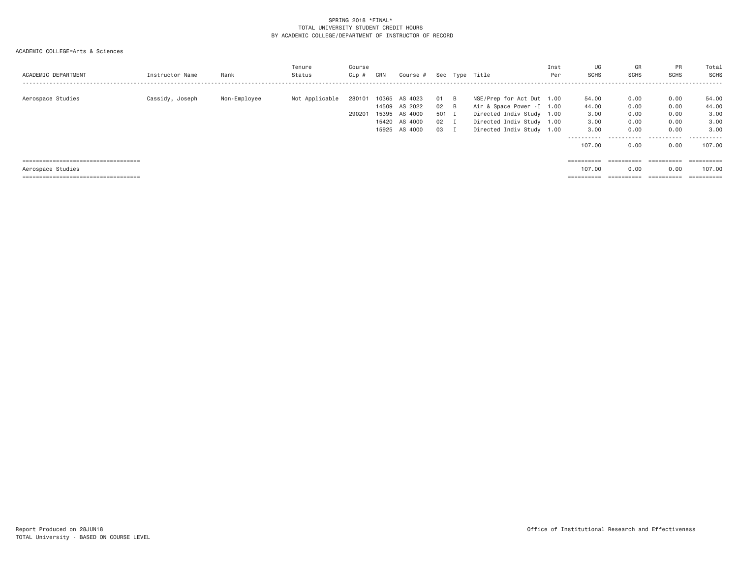| ACADEMIC DEPARTMENT                                                                                 | Instructor Name | Rank         | Tenure<br>Status | Course<br>Cip #  | CRN   | Course #                                                                    |                                             |          | Sec Type Title                                                                                                                                 | Inst<br>Per | UG<br><b>SCHS</b>                                               | GR<br><b>SCHS</b>                                 | <b>PR</b><br>SCHS                                 | Total<br><b>SCHS</b>                                                      |
|-----------------------------------------------------------------------------------------------------|-----------------|--------------|------------------|------------------|-------|-----------------------------------------------------------------------------|---------------------------------------------|----------|------------------------------------------------------------------------------------------------------------------------------------------------|-------------|-----------------------------------------------------------------|---------------------------------------------------|---------------------------------------------------|---------------------------------------------------------------------------|
| Aerospace Studies                                                                                   | Cassidy, Joseph | Non-Employee | Not Applicable   | 280101<br>290201 | 10365 | AS 4023<br>14509 AS 2022<br>15395 AS 4000<br>15420 AS 4000<br>15925 AS 4000 | 01<br>$02 \quad B$<br>501 I<br>02 I<br>03 I | <b>B</b> | NSE/Prep for Act Dut 1.00<br>Air & Space Power - I 1.00<br>Directed Indiv Study 1.00<br>Directed Indiv Study 1.00<br>Directed Indiv Study 1.00 |             | 54.00<br>44.00<br>3.00<br>3,00<br>3,00<br>-----------<br>107,00 | 0.00<br>0.00<br>0.00<br>0.00<br>0.00<br>.<br>0.00 | 0.00<br>0.00<br>0.00<br>0.00<br>0.00<br>.<br>0.00 | 54.00<br>44.00<br>3.00<br>3.00<br>3,00<br>- - - - - - -<br>----<br>107.00 |
| =====================================<br>Aerospace Studies<br>===================================== |                 |              |                  |                  |       |                                                                             |                                             |          |                                                                                                                                                |             | 107,00<br>$=$ = = = = = = = = =                                 | ==========<br>0.00<br>==========                  | ==========<br>0.00<br>$=$ = = = = = = = = =       | ==========<br>107.00<br>$=$ = = = = = = = = = =                           |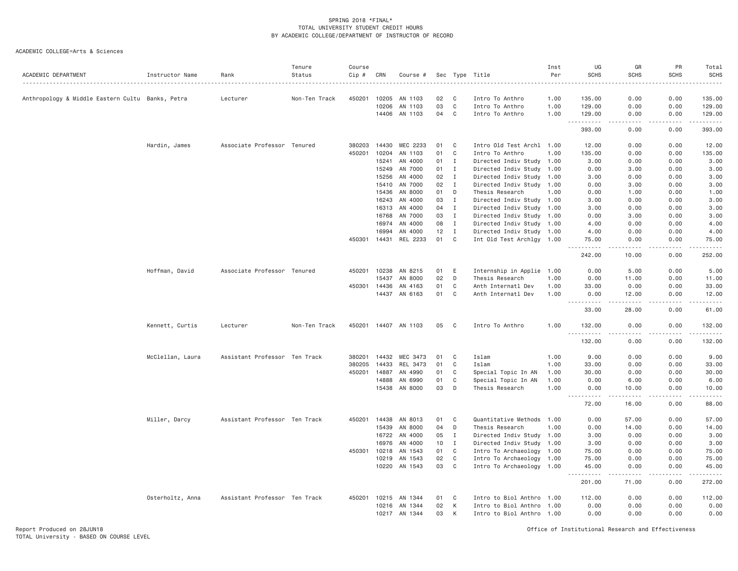| ACADEMIC DEPARTMENT                              | Instructor Name  | Rank                          | Tenure<br>Status | Course<br>Cip # | CRN          | Course #                         |          |                   | Sec Type Title                                         | Inst<br>Per | UG<br><b>SCHS</b>                                                                                                                                                      | GR<br><b>SCHS</b>                                                                                                                                                                        | PR<br><b>SCHS</b> | Total<br><b>SCHS</b><br>2.22222                                                                                                                                |
|--------------------------------------------------|------------------|-------------------------------|------------------|-----------------|--------------|----------------------------------|----------|-------------------|--------------------------------------------------------|-------------|------------------------------------------------------------------------------------------------------------------------------------------------------------------------|------------------------------------------------------------------------------------------------------------------------------------------------------------------------------------------|-------------------|----------------------------------------------------------------------------------------------------------------------------------------------------------------|
| Anthropology & Middle Eastern Cultu Banks, Petra |                  | Lecturer                      | Non-Ten Track    | 450201          | 10205        | AN 1103                          | 02       | C                 | Intro To Anthro                                        | 1.00        | 135.00                                                                                                                                                                 | 0.00                                                                                                                                                                                     | 0.00              | 135.00                                                                                                                                                         |
|                                                  |                  |                               |                  |                 | 10206        | AN 1103                          | 03       | C                 | Intro To Anthro                                        | 1.00        | 129.00                                                                                                                                                                 | 0.00                                                                                                                                                                                     | 0.00              | 129.00                                                                                                                                                         |
|                                                  |                  |                               |                  |                 |              | 14406 AN 1103                    | 04       | $\mathbf C$       | Intro To Anthro                                        | 1.00        | 129.00                                                                                                                                                                 | 0.00                                                                                                                                                                                     | 0.00              | 129.00                                                                                                                                                         |
|                                                  |                  |                               |                  |                 |              |                                  |          |                   |                                                        |             | .<br>$\sim$ $\sim$ $\sim$<br>393.00                                                                                                                                    | .<br>0.00                                                                                                                                                                                | <u>.</u><br>0.00  | .<br>393.00                                                                                                                                                    |
|                                                  | Hardin, James    | Associate Professor Tenured   |                  | 380203          | 14430        | MEC 2233                         | 01       | C                 | Intro Old Test Archl 1.00                              |             | 12.00                                                                                                                                                                  | 0.00                                                                                                                                                                                     | 0.00              | 12.00                                                                                                                                                          |
|                                                  |                  |                               |                  | 450201          | 10204        | AN 1103                          | 01       | C                 | Intro To Anthro                                        | 1.00        | 135.00                                                                                                                                                                 | 0.00                                                                                                                                                                                     | 0.00              | 135.00                                                                                                                                                         |
|                                                  |                  |                               |                  |                 | 15241        | AN 4000                          | 01       | Ι.                | Directed Indiv Study 1.00                              |             | 3.00                                                                                                                                                                   | 0.00                                                                                                                                                                                     | 0.00              | 3.00                                                                                                                                                           |
|                                                  |                  |                               |                  |                 | 15249        | AN 7000                          | 01       | $\mathbf{I}$      | Directed Indiv Study 1.00                              |             | 0.00                                                                                                                                                                   | 3.00                                                                                                                                                                                     | 0.00              | 3.00                                                                                                                                                           |
|                                                  |                  |                               |                  |                 | 15256        | AN 4000                          | 02       | $\mathbf{I}$      | Directed Indiv Study                                   | 1.00        | 3.00                                                                                                                                                                   | 0.00                                                                                                                                                                                     | 0.00              | 3.00                                                                                                                                                           |
|                                                  |                  |                               |                  |                 | 15410        | AN 7000                          | 02       | $\mathbf I$       | Directed Indiv Study 1.00                              |             | 0.00                                                                                                                                                                   | 3.00                                                                                                                                                                                     | 0.00              | 3.00                                                                                                                                                           |
|                                                  |                  |                               |                  |                 | 15436        | AN 8000                          | 01       | D                 | Thesis Research                                        | 1.00        | 0.00                                                                                                                                                                   | 1.00                                                                                                                                                                                     | 0.00              | 1.00                                                                                                                                                           |
|                                                  |                  |                               |                  |                 | 16243        | AN 4000                          | 03       | $\mathbf{I}$      | Directed Indiv Study 1.00                              |             | 3.00                                                                                                                                                                   | 0.00                                                                                                                                                                                     | 0.00              | 3.00                                                                                                                                                           |
|                                                  |                  |                               |                  |                 | 16313        | AN 4000                          | 04       | $\mathbf{I}$      | Directed Indiv Study 1.00                              |             | 3.00                                                                                                                                                                   | 0.00                                                                                                                                                                                     | 0.00              | 3.00                                                                                                                                                           |
|                                                  |                  |                               |                  |                 | 16768        | AN 7000                          | 03       | $\mathbf{I}$      | Directed Indiv Study 1.00                              |             | 0.00                                                                                                                                                                   | 3.00                                                                                                                                                                                     | 0.00              | 3.00                                                                                                                                                           |
|                                                  |                  |                               |                  |                 | 16974        | AN 4000                          | 08       | $\mathbf{I}$      | Directed Indiv Study 1.00                              |             | 4.00                                                                                                                                                                   | 0.00                                                                                                                                                                                     | 0.00              | 4.00                                                                                                                                                           |
|                                                  |                  |                               |                  |                 | 16994        | AN 4000<br>450301 14431 REL 2233 | 12<br>01 | $\mathbf{I}$<br>C | Directed Indiv Study 1.00<br>Int Old Test Archlgy 1.00 |             | 4.00<br>75.00                                                                                                                                                          | 0.00<br>0.00                                                                                                                                                                             | 0.00<br>0.00      | 4.00<br>75.00                                                                                                                                                  |
|                                                  |                  |                               |                  |                 |              |                                  |          |                   |                                                        |             | .                                                                                                                                                                      | .                                                                                                                                                                                        | .                 | $\frac{1}{2} \left( \frac{1}{2} \right) \left( \frac{1}{2} \right) \left( \frac{1}{2} \right) \left( \frac{1}{2} \right) \left( \frac{1}{2} \right)$           |
|                                                  |                  |                               |                  |                 |              |                                  |          |                   |                                                        |             | 242.00                                                                                                                                                                 | 10.00                                                                                                                                                                                    | 0.00              | 252.00                                                                                                                                                         |
|                                                  | Hoffman, David   | Associate Professor Tenured   |                  |                 | 450201 10238 | AN 8215                          | 01       | E                 | Internship in Applie 1.00                              |             | 0.00                                                                                                                                                                   | 5.00                                                                                                                                                                                     | 0.00              | 5.00                                                                                                                                                           |
|                                                  |                  |                               |                  |                 | 15437        | AN 8000                          | 02       | D                 | Thesis Research                                        | 1.00        | 0.00                                                                                                                                                                   | 11.00                                                                                                                                                                                    | 0.00              | 11.00                                                                                                                                                          |
|                                                  |                  |                               |                  |                 | 450301 14436 | AN 4163                          | 01       | C                 | Anth Internatl Dev                                     | 1.00        | 33.00                                                                                                                                                                  | 0.00                                                                                                                                                                                     | 0.00              | 33.00                                                                                                                                                          |
|                                                  |                  |                               |                  |                 | 14437        | AN 6163                          | 01       | $\mathbf C$       | Anth Internatl Dev                                     | 1.00        | 0.00<br>.                                                                                                                                                              | 12.00<br>.                                                                                                                                                                               | 0.00              | 12.00<br>.                                                                                                                                                     |
|                                                  |                  |                               |                  |                 |              |                                  |          |                   |                                                        |             | 33.00                                                                                                                                                                  | 28.00                                                                                                                                                                                    | 0.00              | 61.00                                                                                                                                                          |
|                                                  | Kennett, Curtis  | Lecturer                      | Non-Ten Track    |                 |              | 450201 14407 AN 1103             | 05       | C                 | Intro To Anthro                                        | 1.00        | 132.00<br>$\omega$ is a set                                                                                                                                            | 0.00                                                                                                                                                                                     | 0.00              | 132.00<br>$\frac{1}{2} \left( \frac{1}{2} \right) \left( \frac{1}{2} \right) \left( \frac{1}{2} \right) \left( \frac{1}{2} \right) \left( \frac{1}{2} \right)$ |
|                                                  |                  |                               |                  |                 |              |                                  |          |                   |                                                        |             | 132.00                                                                                                                                                                 | 0.00                                                                                                                                                                                     | 0.00              | 132.00                                                                                                                                                         |
|                                                  | McClellan, Laura | Assistant Professor Ten Track |                  | 380201          | 14432        | MEC 3473                         | 01       | C                 | Islam                                                  | 1.00        | 9.00                                                                                                                                                                   | 0.00                                                                                                                                                                                     | 0.00              | 9.00                                                                                                                                                           |
|                                                  |                  |                               |                  | 380205          | 14433        | REL 3473                         | 01       | C                 | Islam                                                  | 1.00        | 33.00                                                                                                                                                                  | 0.00                                                                                                                                                                                     | 0.00              | 33.00                                                                                                                                                          |
|                                                  |                  |                               |                  | 450201          | 14887        | AN 4990                          | 01       | C                 | Special Topic In AN                                    | 1.00        | 30.00                                                                                                                                                                  | 0.00                                                                                                                                                                                     | 0.00              | 30.00                                                                                                                                                          |
|                                                  |                  |                               |                  |                 | 14888        | AN 6990                          | 01       | C                 | Special Topic In AN                                    | 1.00        | 0.00                                                                                                                                                                   | 6.00                                                                                                                                                                                     | 0.00              | 6.00                                                                                                                                                           |
|                                                  |                  |                               |                  |                 |              | 15438 AN 8000                    | 03       | D                 | Thesis Research                                        | 1.00        | 0.00                                                                                                                                                                   | 10.00                                                                                                                                                                                    | 0.00              | 10.00                                                                                                                                                          |
|                                                  |                  |                               |                  |                 |              |                                  |          |                   |                                                        |             | $\frac{1}{2} \left( \frac{1}{2} \right) \left( \frac{1}{2} \right) \left( \frac{1}{2} \right) \left( \frac{1}{2} \right) \left( \frac{1}{2} \right)$<br>$  -$<br>72.00 | $\frac{1}{2} \left( \frac{1}{2} \right) \left( \frac{1}{2} \right) \left( \frac{1}{2} \right) \left( \frac{1}{2} \right) \left( \frac{1}{2} \right) \left( \frac{1}{2} \right)$<br>16.00 | .<br>0.00         | .<br>88.00                                                                                                                                                     |
|                                                  | Miller, Darcy    | Assistant Professor Ten Track |                  |                 | 450201 14438 | AN 8013                          | 01       | C                 | Quantitative Methods 1.00                              |             | 0.00                                                                                                                                                                   | 57.00                                                                                                                                                                                    | 0.00              | 57.00                                                                                                                                                          |
|                                                  |                  |                               |                  |                 | 15439        | AN 8000                          | 04       | D                 | Thesis Research                                        | 1.00        | 0.00                                                                                                                                                                   | 14.00                                                                                                                                                                                    | 0.00              | 14.00                                                                                                                                                          |
|                                                  |                  |                               |                  |                 | 16722        | AN 4000                          | 05       | $\mathbf I$       | Directed Indiv Study 1.00                              |             | 3.00                                                                                                                                                                   | 0.00                                                                                                                                                                                     | 0.00              | 3.00                                                                                                                                                           |
|                                                  |                  |                               |                  |                 | 16976        | AN 4000                          | 10       | $\mathbf{I}$      | Directed Indiv Study 1.00                              |             | 3.00                                                                                                                                                                   | 0.00                                                                                                                                                                                     | 0.00              | 3.00                                                                                                                                                           |
|                                                  |                  |                               |                  | 450301          | 10218        | AN 1543                          | 01       | C                 | Intro To Archaeology 1.00                              |             | 75.00                                                                                                                                                                  | 0.00                                                                                                                                                                                     | 0.00              | 75.00                                                                                                                                                          |
|                                                  |                  |                               |                  |                 | 10219        | AN 1543                          | 02       | $\mathbf C$       | Intro To Archaeology 1.00                              |             | 75.00                                                                                                                                                                  | 0.00                                                                                                                                                                                     | 0.00              | 75.00                                                                                                                                                          |
|                                                  |                  |                               |                  |                 | 10220        | AN 1543                          | 03       | $\mathsf{C}$      | Intro To Archaeology 1.00                              |             | 45.00<br>.                                                                                                                                                             | 0.00<br>.                                                                                                                                                                                | 0.00              | 45.00<br>.                                                                                                                                                     |
|                                                  |                  |                               |                  |                 |              |                                  |          |                   |                                                        |             | 201.00                                                                                                                                                                 | 71.00                                                                                                                                                                                    | 0.00              | 272.00                                                                                                                                                         |
|                                                  | Osterholtz, Anna | Assistant Professor Ten Track |                  |                 |              | 450201 10215 AN 1344             | 01       | C                 | Intro to Biol Anthro 1.00                              |             | 112.00                                                                                                                                                                 | 0.00                                                                                                                                                                                     | 0.00              | 112.00                                                                                                                                                         |
|                                                  |                  |                               |                  |                 | 10216        | AN 1344                          | 02       | K                 | Intro to Biol Anthro 1.00                              |             | 0.00                                                                                                                                                                   | 0.00                                                                                                                                                                                     | 0.00              | 0.00                                                                                                                                                           |
|                                                  |                  |                               |                  |                 |              | 10217 AN 1344                    | 03       | К                 | Intro to Biol Anthro 1.00                              |             | 0.00                                                                                                                                                                   | 0.00                                                                                                                                                                                     | 0.00              | 0.00                                                                                                                                                           |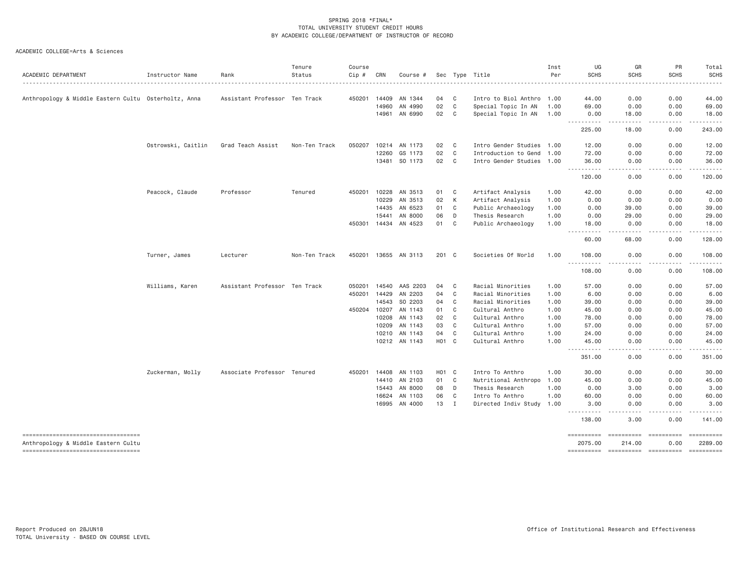| ACADEMIC DEPARTMENT                                  | Instructor Name    | Rank                          | Tenure<br>Status | Course<br>Cip # | CRN          | Course #             |                   |                | Sec Type Title            | Inst<br>Per | UG<br><b>SCHS</b>                                                                                                                                                       | GR<br><b>SCHS</b>                                                                                                                 | PR<br><b>SCHS</b> | Total<br><b>SCHS</b>                                                                                                                                 |
|------------------------------------------------------|--------------------|-------------------------------|------------------|-----------------|--------------|----------------------|-------------------|----------------|---------------------------|-------------|-------------------------------------------------------------------------------------------------------------------------------------------------------------------------|-----------------------------------------------------------------------------------------------------------------------------------|-------------------|------------------------------------------------------------------------------------------------------------------------------------------------------|
|                                                      |                    |                               |                  |                 |              |                      |                   |                |                           |             |                                                                                                                                                                         |                                                                                                                                   |                   | $\frac{1}{2} \left( \frac{1}{2} \right) \left( \frac{1}{2} \right) \left( \frac{1}{2} \right) \left( \frac{1}{2} \right) \left( \frac{1}{2} \right)$ |
| Anthropology & Middle Eastern Cultu Osterholtz, Anna |                    | Assistant Professor Ten Track |                  | 450201          | 14409        | AN 1344              | 04                | C <sub>1</sub> | Intro to Biol Anthro 1.00 |             | 44.00                                                                                                                                                                   | 0.00                                                                                                                              | 0.00              | 44.00                                                                                                                                                |
|                                                      |                    |                               |                  |                 | 14960        | AN 4990              | 02                | C              | Special Topic In AN       | 1.00        | 69.00                                                                                                                                                                   | 0.00                                                                                                                              | 0.00              | 69.00                                                                                                                                                |
|                                                      |                    |                               |                  |                 | 14961        | AN 6990              | 02                | C              | Special Topic In AN       | 1.00        | 0.00<br><u>.</u>                                                                                                                                                        | 18.00<br>.                                                                                                                        | 0.00<br>-----     | 18.00<br>.                                                                                                                                           |
|                                                      |                    |                               |                  |                 |              |                      |                   |                |                           |             | 225.00                                                                                                                                                                  | 18,00                                                                                                                             | 0.00              | 243.00                                                                                                                                               |
|                                                      | Ostrowski, Caitlin | Grad Teach Assist             | Non-Ten Track    | 050207          | 10214        | AN 1173              | 02                | C              | Intro Gender Studies 1.00 |             | 12.00                                                                                                                                                                   | 0.00                                                                                                                              | 0.00              | 12.00                                                                                                                                                |
|                                                      |                    |                               |                  |                 | 12260        | GS 1173              | 02                | $\mathbf C$    | Introduction to Gend 1.00 |             | 72.00                                                                                                                                                                   | 0.00                                                                                                                              | 0.00              | 72.00                                                                                                                                                |
|                                                      |                    |                               |                  |                 |              | 13481 SO 1173        | 02                | $\mathbf{C}$   | Intro Gender Studies 1.00 |             | 36.00<br>$\frac{1}{2} \left( \frac{1}{2} \right) \left( \frac{1}{2} \right) \left( \frac{1}{2} \right) \left( \frac{1}{2} \right) \left( \frac{1}{2} \right)$           | 0.00<br>. <u>. .</u>                                                                                                              | 0.00<br>.         | 36.00<br>.                                                                                                                                           |
|                                                      |                    |                               |                  |                 |              |                      |                   |                |                           |             | 120.00                                                                                                                                                                  | 0.00                                                                                                                              | 0.00              | 120.00                                                                                                                                               |
|                                                      | Peacock, Claude    | Professor                     | Tenured          | 450201          | 10228        | AN 3513              | 01                | $\mathbf{C}$   | Artifact Analysis         | 1.00        | 42.00                                                                                                                                                                   | 0.00                                                                                                                              | 0.00              | 42.00                                                                                                                                                |
|                                                      |                    |                               |                  |                 | 10229        | AN 3513              | 02                | К              | Artifact Analysis         | 1.00        | 0.00                                                                                                                                                                    | 0.00                                                                                                                              | 0.00              | 0.00                                                                                                                                                 |
|                                                      |                    |                               |                  |                 | 14435        | AN 6523              | 01                | C              | Public Archaeology        | 1.00        | 0.00                                                                                                                                                                    | 39.00                                                                                                                             | 0.00              | 39.00                                                                                                                                                |
|                                                      |                    |                               |                  |                 | 15441        | AN 8000              | 06                | D              | Thesis Research           | 1.00        | 0.00                                                                                                                                                                    | 29.00                                                                                                                             | 0.00              | 29.00                                                                                                                                                |
|                                                      |                    |                               |                  |                 | 450301 14434 | AN 4523              | 01                | C              | Public Archaeology        | 1.00        | 18.00<br>$\frac{1}{2} \left( \frac{1}{2} \right) \left( \frac{1}{2} \right) \left( \frac{1}{2} \right) \left( \frac{1}{2} \right)$                                      | 0.00<br>-----                                                                                                                     | 0.00              | 18.00<br>.                                                                                                                                           |
|                                                      |                    |                               |                  |                 |              |                      |                   |                |                           |             | 60.00                                                                                                                                                                   | 68.00                                                                                                                             | 0.00              | 128.00                                                                                                                                               |
|                                                      | Turner, James      | Lecturer                      | Non-Ten Track    |                 |              | 450201 13655 AN 3113 | 201 C             |                | Societies Of World        | 1,00        | 108,00                                                                                                                                                                  | 0.00                                                                                                                              | 0.00              | 108.00                                                                                                                                               |
|                                                      |                    |                               |                  |                 |              |                      |                   |                |                           |             | $  -$<br>$\frac{1}{2} \left( \frac{1}{2} \right) \left( \frac{1}{2} \right) \left( \frac{1}{2} \right) \left( \frac{1}{2} \right) \left( \frac{1}{2} \right)$<br>108.00 | . <b>.</b> .<br>0.00                                                                                                              | .<br>0.00         | $- - - - - -$<br>108.00                                                                                                                              |
|                                                      | Williams, Karen    | Assistant Professor Ten Track |                  | 050201          | 14540        | AAS 2203             | 04                | C              | Racial Minorities         | 1.00        | 57.00                                                                                                                                                                   | 0.00                                                                                                                              | 0.00              | 57.00                                                                                                                                                |
|                                                      |                    |                               |                  | 450201          | 14429        | AN 2203              | 04                | C              | Racial Minorities         | 1.00        | 6.00                                                                                                                                                                    | 0.00                                                                                                                              | 0.00              | 6.00                                                                                                                                                 |
|                                                      |                    |                               |                  |                 | 14543        | SO 2203              | 04                | $\mathbf C$    | Racial Minorities         | 1.00        | 39.00                                                                                                                                                                   | 0.00                                                                                                                              | 0.00              | 39.00                                                                                                                                                |
|                                                      |                    |                               |                  |                 |              | 450204 10207 AN 1143 | 01                | C              | Cultural Anthro           | 1.00        | 45.00                                                                                                                                                                   | 0.00                                                                                                                              | 0.00              | 45.00                                                                                                                                                |
|                                                      |                    |                               |                  |                 | 10208        | AN 1143              | 02                | C              | Cultural Anthro           | 1.00        | 78.00                                                                                                                                                                   | 0.00                                                                                                                              | 0.00              | 78.00                                                                                                                                                |
|                                                      |                    |                               |                  |                 | 10209        | AN 1143              | 03                | C              | Cultural Anthro           | 1.00        | 57.00                                                                                                                                                                   | 0.00                                                                                                                              | 0.00              | 57.00                                                                                                                                                |
|                                                      |                    |                               |                  |                 | 10210        | AN 1143              | 04                | C              | Cultural Anthro           | 1.00        | 24.00                                                                                                                                                                   | 0.00                                                                                                                              | 0.00              | 24.00                                                                                                                                                |
|                                                      |                    |                               |                  |                 |              | 10212 AN 1143        | H <sub>01</sub> C |                | Cultural Anthro           | 1.00        | 45.00<br><u>.</u>                                                                                                                                                       | 0.00<br>$\frac{1}{2} \left( \frac{1}{2} \right) \left( \frac{1}{2} \right) \left( \frac{1}{2} \right) \left( \frac{1}{2} \right)$ | 0.00<br>.         | 45.00<br>.                                                                                                                                           |
|                                                      |                    |                               |                  |                 |              |                      |                   |                |                           |             | 351.00                                                                                                                                                                  | 0.00                                                                                                                              | 0.00              | 351.00                                                                                                                                               |
|                                                      | Zuckerman, Molly   | Associate Professor Tenured   |                  | 450201          |              | 14408 AN 1103        | H <sub>01</sub> C |                | Intro To Anthro           | 1.00        | 30.00                                                                                                                                                                   | 0.00                                                                                                                              | 0.00              | 30.00                                                                                                                                                |
|                                                      |                    |                               |                  |                 | 14410        | AN 2103              | 01                | $\mathbf{C}$   | Nutritional Anthropo      | 1.00        | 45.00                                                                                                                                                                   | 0.00                                                                                                                              | 0.00              | 45.00                                                                                                                                                |
|                                                      |                    |                               |                  |                 | 15443        | AN 8000              | 08                | D              | Thesis Research           | 1.00        | 0.00                                                                                                                                                                    | 3.00                                                                                                                              | 0.00              | 3.00                                                                                                                                                 |
|                                                      |                    |                               |                  |                 | 16624        | AN 1103              | 06                | C              | Intro To Anthro           | 1.00        | 60.00                                                                                                                                                                   | 0.00                                                                                                                              | 0.00              | 60.00                                                                                                                                                |
|                                                      |                    |                               |                  |                 | 16995        | AN 4000              | 13                | $\mathbf{I}$   | Directed Indiv Study      | 1.00        | 3.00<br>.                                                                                                                                                               | 0.00<br>. <b>.</b> .                                                                                                              | 0.00<br>.         | 3.00<br>.                                                                                                                                            |
|                                                      |                    |                               |                  |                 |              |                      |                   |                |                           |             | 138.00                                                                                                                                                                  | 3.00                                                                                                                              | 0.00              | 141.00                                                                                                                                               |
| ----------------------------------                   |                    |                               |                  |                 |              |                      |                   |                |                           |             | $=$ = = = = = = = = = =                                                                                                                                                 | ==========                                                                                                                        | ==========        |                                                                                                                                                      |
| Anthropology & Middle Eastern Cultu                  |                    |                               |                  |                 |              |                      |                   |                |                           |             | 2075.00                                                                                                                                                                 | 214,00                                                                                                                            | 0.00              | 2289.00                                                                                                                                              |
| ----------------------------------                   |                    |                               |                  |                 |              |                      |                   |                |                           |             | ==========                                                                                                                                                              | $=$ ==========                                                                                                                    |                   |                                                                                                                                                      |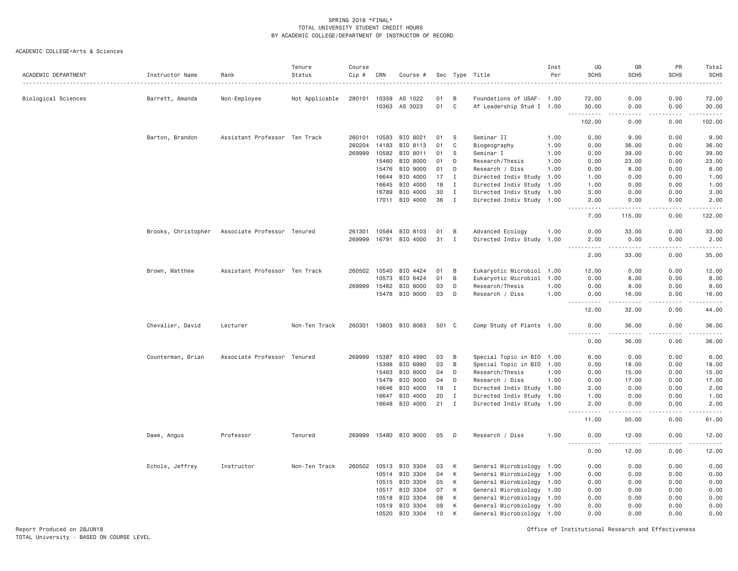ACADEMIC COLLEGE=Arts & Sciences

| ACADEMIC DEPARTMENT | Instructor Name     | Rank                          | Tenure<br>Status<br>. | Course<br>Cip # | CRN          | Course #              |       |              | Sec Type Title            | Inst<br>Per | UG<br><b>SCHS</b>     | GR<br><b>SCHS</b>    | PR<br><b>SCHS</b> | Total<br><b>SCHS</b><br>. |
|---------------------|---------------------|-------------------------------|-----------------------|-----------------|--------------|-----------------------|-------|--------------|---------------------------|-------------|-----------------------|----------------------|-------------------|---------------------------|
| Biological Sciences | Barrett, Amanda     | Non-Employee                  | Not Applicable        |                 | 280101 10359 | AS 1022               | 01    | B            | Foundations of USAF- 1.00 |             | 72.00                 | 0.00                 | 0.00              | 72.00                     |
|                     |                     |                               |                       |                 | 10363        | AS 3023               | 01    | $\mathbf{C}$ | Af Leadership Stud I 1.00 |             | 30.00<br>.            | 0.00<br>.            | 0.00<br>.         | 30.00<br><u>.</u>         |
|                     |                     |                               |                       |                 |              |                       |       |              |                           |             | 102.00                | 0.00                 | 0.00              | 102.00                    |
|                     | Barton, Brandon     | Assistant Professor Ten Track |                       | 260101          | 10583        | BIO 8021              | 01    | S            | Seminar II                | 1.00        | 0.00                  | 9.00                 | 0.00              | 9.00                      |
|                     |                     |                               |                       | 260204          | 14183        | BIO 8113              | 01    | C            | Biogeography              | 1.00        | 0.00                  | 36.00                | 0.00              | 36.00                     |
|                     |                     |                               |                       | 269999          | 10582        | BIO 8011              | 01    | S            | Seminar I                 | 1.00        | 0.00                  | 39.00                | 0.00              | 39.00                     |
|                     |                     |                               |                       |                 | 15460        | BIO 8000              | 01    | D            | Research/Thesis           | 1.00        | 0.00                  | 23.00                | 0.00              | 23.00                     |
|                     |                     |                               |                       |                 | 15476        | BIO 9000              | 01    | D            | Research / Diss           | 1.00        | 0.00                  | 8.00                 | 0.00              | 8.00                      |
|                     |                     |                               |                       |                 | 16644        | BIO 4000              | 17    | $\mathbf{I}$ | Directed Indiv Study 1.00 |             | 1.00                  | 0.00                 | 0.00              | 1.00                      |
|                     |                     |                               |                       |                 | 16645        | BIO 4000              | 18    | I            | Directed Indiv Study 1.00 |             | 1.00                  | 0.00                 | 0.00              | 1.00                      |
|                     |                     |                               |                       |                 | 16789        | BIO 4000              | 30    | $\mathbf{I}$ | Directed Indiv Study 1.00 |             | 3.00                  | 0.00                 | 0.00              | 3.00                      |
|                     |                     |                               |                       |                 |              | 17011 BIO 4000        | 36    | $\mathbf{I}$ | Directed Indiv Study 1.00 |             | 2.00<br>.             | 0.00<br>د د د د د    | 0.00<br>.         | 2.00<br>.                 |
|                     |                     |                               |                       |                 |              |                       |       |              |                           |             | 7.00                  | 115.00               | 0.00              | 122.00                    |
|                     | Brooks, Christopher | Associate Professor Tenured   |                       | 261301          | 10584        | BIO 8103              | 01    | B            | Advanced Ecology          | 1.00        | 0.00                  | 33.00                | 0.00              | 33.00                     |
|                     |                     |                               |                       | 269999          |              | 16791 BIO 4000        | 31    | I            | Directed Indiv Study 1.00 |             | 2.00                  | 0.00                 | 0.00              | 2.00                      |
|                     |                     |                               |                       |                 |              |                       |       |              |                           |             | $- - - -$<br>2.00     | $- - - - -$<br>33.00 | 0.00              | .<br>35.00                |
|                     | Brown, Matthew      | Assistant Professor Ten Track |                       |                 | 260502 10540 | BIO 4424              | 01    | B            | Eukaryotic Microbiol 1.00 |             | 12.00                 | 0.00                 | 0.00              | 12.00                     |
|                     |                     |                               |                       |                 | 10573        | BIO 6424              | 01    | B            | Eukaryotic Microbiol      | 1.00        | 0.00                  | 8.00                 | 0.00              | 8.00                      |
|                     |                     |                               |                       | 269999          | 15462        | BIO 8000              | 03    | D            | Research/Thesis           | 1.00        | 0.00                  | 8.00                 | 0.00              | 8.00                      |
|                     |                     |                               |                       |                 |              | 15478 BIO 9000        | 03    | D            | Research / Diss           | 1.00        | 0.00<br>$\frac{1}{2}$ | 16.00                | 0.00              | 16.00                     |
|                     |                     |                               |                       |                 |              |                       |       |              |                           |             | 12.00                 | 32.00                | 0.00              | 44.00                     |
|                     | Chevalier, David    | Lecturer                      | Non-Ten Track         |                 |              | 260301 13803 BIO 8063 | 501 C |              | Comp Study of Plants 1.00 |             | 0.00<br>.             | 36,00                | 0.00<br>.         | 36.00<br>.                |
|                     |                     |                               |                       |                 |              |                       |       |              |                           |             | 0.00                  | 36.00                | 0.00              | 36.00                     |
|                     | Counterman, Brian   | Associate Professor Tenured   |                       | 269999          | 15387        | BIO 4990              | 03    | B            | Special Topic in BIO 1.00 |             | 6.00                  | 0.00                 | 0.00              | 6.00                      |
|                     |                     |                               |                       |                 | 15388        | BIO 6990              | 03    | B            | Special Topic in BIO 1.00 |             | 0.00                  | 18.00                | 0.00              | 18.00                     |
|                     |                     |                               |                       |                 | 15463        | BIO 8000              | 04    | D            | Research/Thesis           | 1.00        | 0.00                  | 15.00                | 0.00              | 15.00                     |
|                     |                     |                               |                       |                 | 15479        | BIO 9000              | 04    | D            | Research / Diss           | 1.00        | 0.00                  | 17.00                | 0.00              | 17.00                     |
|                     |                     |                               |                       |                 | 16646        | BIO 4000              | 19    | $\mathbf{I}$ | Directed Indiv Study 1.00 |             | 2.00                  | 0.00                 | 0.00              | 2.00                      |
|                     |                     |                               |                       |                 | 16647        | BIO 4000              | 20    | $\mathbf{I}$ | Directed Indiv Study 1.00 |             | 1.00                  | 0.00                 | 0.00              | 1.00                      |
|                     |                     |                               |                       |                 |              | 16648 BIO 4000        | 21    | $\mathbf I$  | Directed Indiv Study 1.00 |             | 2.00<br>.             | 0.00                 | 0.00              | 2.00                      |
|                     |                     |                               |                       |                 |              |                       |       |              |                           |             | 11.00                 | 50.00                | 0.00              | 61.00                     |
|                     | Dawe, Angus         | Professor                     | Tenured               |                 |              | 269999 15480 BIO 9000 | 05    | D            | Research / Diss           | 1.00        | 0.00                  | 12.00                | 0.00              | 12.00                     |
|                     |                     |                               |                       |                 |              |                       |       |              |                           |             | 0.00                  | 12.00                | 0.00              | 12.00                     |
|                     | Echols, Jeffrey     | Instructor                    | Non-Ten Track         | 260502          |              | 10513 BIO 3304        | 03    | К            | General Microbiology 1.00 |             | 0.00                  | 0.00                 | 0.00              | 0.00                      |
|                     |                     |                               |                       |                 |              | 10514 BIO 3304        | 04    | K            | General Microbiology 1.00 |             | 0.00                  | 0.00                 | 0.00              | 0.00                      |
|                     |                     |                               |                       |                 | 10515        | BIO 3304              | 05    | К            | General Microbiology      | 1.00        | 0.00                  | 0.00                 | 0.00              | 0.00                      |
|                     |                     |                               |                       |                 | 10517        | BIO 3304              | 07    | К            | General Microbiology 1.00 |             | 0.00                  | 0.00                 | 0.00              | 0.00                      |
|                     |                     |                               |                       |                 | 10518        | BIO 3304              | 08    | К            | General Microbiology      | 1.00        | 0.00                  | 0.00                 | 0.00              | 0.00                      |
|                     |                     |                               |                       |                 | 10519        | BIO 3304              | 09    | K            | General Microbiology 1.00 |             | 0.00                  | 0.00                 | 0.00              | 0.00                      |
|                     |                     |                               |                       |                 | 10520        | BIO 3304              | 10    | K            | General Microbiology 1.00 |             | 0.00                  | 0.00                 | 0.00              | 0.00                      |

Report Produced on 28JUN18 Office of Institutional Research and Effectiveness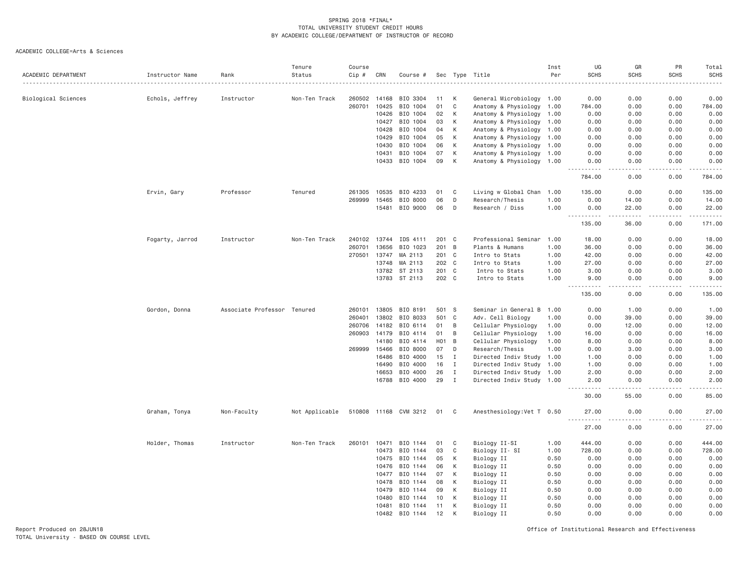|                     |                 |                             | Tenure         | Course |       |                       |                  |              |                                                        | Inst | UG                    | GR             | <b>PR</b>     | Total                       |
|---------------------|-----------------|-----------------------------|----------------|--------|-------|-----------------------|------------------|--------------|--------------------------------------------------------|------|-----------------------|----------------|---------------|-----------------------------|
| ACADEMIC DEPARTMENT | Instructor Name | Rank                        | Status         | Cip #  | CRN   | Course #              |                  |              | Sec Type Title                                         | Per  | <b>SCHS</b>           | <b>SCHS</b>    | <b>SCHS</b>   | <b>SCHS</b>                 |
|                     |                 |                             |                |        |       |                       |                  |              |                                                        |      |                       |                |               | $\sim$ $\sim$ $\sim$ $\sim$ |
| Biological Sciences | Echols, Jeffrey | Instructor                  | Non-Ten Track  | 260502 | 14168 | BIO 3304              | 11               | К            | General Microbiology 1.00                              |      | 0.00                  | 0.00           | 0.00          | 0.00                        |
|                     |                 |                             |                | 260701 | 10425 | BIO 1004              | 01               | C            | Anatomy & Physiology 1.00                              |      | 784.00                | 0.00           | 0.00          | 784.00                      |
|                     |                 |                             |                |        | 10426 | BIO 1004              | 02               | К            | Anatomy & Physiology 1.00                              |      | 0.00                  | 0.00           | 0.00          | 0.00                        |
|                     |                 |                             |                |        | 10427 | BIO 1004              | 03               | К            | Anatomy & Physiology 1.00                              |      | 0.00                  | 0.00           | 0.00          | 0.00                        |
|                     |                 |                             |                |        | 10428 | BIO 1004              | 04               | К            | Anatomy & Physiology 1.00                              |      | 0.00                  | 0.00           | 0.00          | 0.00                        |
|                     |                 |                             |                |        | 10429 | BIO 1004              | 05               | К            | Anatomy & Physiology 1.00                              |      | 0.00                  | 0.00           | 0.00          | 0.00                        |
|                     |                 |                             |                |        | 10430 | BIO 1004              | 06               | К            | Anatomy & Physiology 1.00                              |      | 0.00                  | 0.00           | 0.00          | 0.00                        |
|                     |                 |                             |                |        | 10431 | BIO 1004              | 07               | К            | Anatomy & Physiology                                   | 1.00 | 0.00                  | 0.00           | 0.00          | 0.00                        |
|                     |                 |                             |                |        | 10433 | BIO 1004              | 09               | K            | Anatomy & Physiology 1.00                              |      | 0.00                  | 0.00           | 0.00          | 0.00                        |
|                     |                 |                             |                |        |       |                       |                  |              |                                                        |      | 784.00                | 0.00           | 0.00          | .<br>784.00                 |
|                     | Ervin, Gary     | Professor                   | Tenured        | 261305 | 10535 | BIO 4233              | 01               | C            | Living w Global Chan 1.00                              |      | 135.00                | 0.00           | 0.00          | 135.00                      |
|                     |                 |                             |                | 269999 | 15465 | BIO 8000              | 06               | D            | Research/Thesis                                        | 1.00 | 0.00                  | 14.00          | 0.00          | 14.00                       |
|                     |                 |                             |                |        | 15481 | BIO 9000              | 06               | D            | Research / Diss                                        | 1.00 | 0.00                  | 22.00          | 0.00          | 22.00                       |
|                     |                 |                             |                |        |       |                       |                  |              |                                                        |      | 135.00                | 36.00          | 0.00          | 171.00                      |
|                     | Fogarty, Jarrod | Instructor                  | Non-Ten Track  | 240102 | 13744 | IDS 4111              | 201 C            |              | Professional Seminar 1.00                              |      | 18.00                 | 0.00           | 0.00          | 18.00                       |
|                     |                 |                             |                | 260701 | 13656 | BIO 1023              | 201              | B            | Plants & Humans                                        | 1.00 | 36.00                 | 0.00           | 0.00          | 36.00                       |
|                     |                 |                             |                | 270501 | 13747 | MA 2113               | 201              | $\mathbf{C}$ | Intro to Stats                                         | 1.00 | 42.00                 | 0.00           | 0.00          | 42.00                       |
|                     |                 |                             |                |        | 13748 | MA 2113               |                  | 202 C        | Intro to Stats                                         | 1,00 | 27,00                 | 0.00           | 0.00          | 27.00                       |
|                     |                 |                             |                |        | 13782 | ST 2113               |                  | 201 C        | Intro to Stats                                         | 1.00 | 3.00                  | 0.00           | 0.00          | 3.00                        |
|                     |                 |                             |                |        |       | 13783 ST 2113         | 202 C            |              | Intro to Stats                                         | 1.00 | 9.00                  | 0.00           | 0.00          | 9.00                        |
|                     |                 |                             |                |        |       |                       |                  |              |                                                        |      | $- - - - -$<br>135.00 | .<br>0.00      | .<br>0.00     | .<br>135.00                 |
|                     | Gordon, Donna   | Associate Professor Tenured |                | 260101 | 13805 | BIO 8191              | 501              | <sub>S</sub> | Seminar in General B 1.00                              |      | 0.00                  | 1.00           | 0.00          | 1.00                        |
|                     |                 |                             |                | 260401 | 13802 | BIO 8033              | 501              | C            | Adv. Cell Biology                                      | 1.00 | 0.00                  | 39.00          | 0.00          | 39.00                       |
|                     |                 |                             |                | 260706 | 14182 | BIO 6114              | 01               | B            | Cellular Physiology                                    | 1.00 | 0.00                  | 12.00          | 0.00          | 12.00                       |
|                     |                 |                             |                | 260903 | 14179 | BIO 4114              | 01               | B            | Cellular Physiology                                    | 1.00 | 16.00                 | 0.00           | 0.00          | 16.00                       |
|                     |                 |                             |                |        | 14180 | BIO 4114              | H <sub>0</sub> 1 | B            | Cellular Physiology                                    | 1.00 | 8.00                  | 0.00           | 0.00          | 8.00                        |
|                     |                 |                             |                | 269999 | 15466 | BIO 8000              | 07               | D            | Research/Thesis                                        | 1.00 | 0.00                  | 3.00           | 0.00          | 3.00                        |
|                     |                 |                             |                |        | 16486 |                       |                  | $\mathbf{I}$ |                                                        |      | 1.00                  | 0.00           | 0.00          |                             |
|                     |                 |                             |                |        | 16490 | BIO 4000<br>BIO 4000  | 15<br>16         | $\mathbf{I}$ | Directed Indiv Study 1.00                              |      | 1.00                  | 0.00           | 0.00          | 1.00<br>1.00                |
|                     |                 |                             |                |        | 16653 | BIO 4000              |                  | $\mathbf{I}$ | Directed Indiv Study 1.00                              |      |                       | 0.00           | 0.00          |                             |
|                     |                 |                             |                |        | 16788 | BIO 4000              | 26<br>29         | $\mathbf{I}$ | Directed Indiv Study 1.00<br>Directed Indiv Study 1.00 |      | 2.00<br>2.00          | 0.00           | 0.00          | 2.00<br>2.00                |
|                     |                 |                             |                |        |       |                       |                  |              |                                                        |      | .<br>30.00            | .<br>55.00     | $  -$<br>0.00 | $- - - - -$<br>85.00        |
|                     | Graham, Tonya   | Non-Faculty                 | Not Applicable |        |       | 510808 11168 CVM 3212 | 01 C             |              | Anesthesiology: Vet T 0.50                             |      | 27.00                 | 0.00           | 0.00          | 27.00                       |
|                     |                 |                             |                |        |       |                       |                  |              |                                                        |      | -----<br>27.00        | $   -$<br>0.00 | 0.00          | .<br>27.00                  |
|                     | Holder, Thomas  | Instructor                  | Non-Ten Track  | 260101 | 10471 | BIO 1144              | 01               | C            | Biology II-SI                                          | 1.00 | 444.00                | 0.00           | 0.00          | 444.00                      |
|                     |                 |                             |                |        | 10473 | BIO 1144              | 03               | C            | Biology II- SI                                         | 1.00 | 728.00                | 0.00           | 0.00          | 728.00                      |
|                     |                 |                             |                |        | 10475 | BIO 1144              | 05               | К            | Biology II                                             | 0.50 | 0.00                  | 0.00           | 0.00          | 0.00                        |
|                     |                 |                             |                |        | 10476 | BIO 1144              | 06               | K            | Biology II                                             | 0.50 | 0.00                  | 0.00           | 0.00          | 0.00                        |
|                     |                 |                             |                |        | 10477 | BIO 1144              | 07               |              |                                                        | 0.50 | 0.00                  | 0.00           | 0.00          |                             |
|                     |                 |                             |                |        |       |                       |                  | К            | Biology II                                             |      |                       |                |               | 0.00                        |
|                     |                 |                             |                |        | 10478 | BIO 1144              | 08               | К            | Biology II                                             | 0.50 | 0.00                  | 0.00           | 0.00          | 0.00                        |
|                     |                 |                             |                |        | 10479 | BIO 1144              | 09               | К            | Biology II                                             | 0.50 | 0.00                  | 0.00           | 0.00          | 0.00                        |
|                     |                 |                             |                |        | 10480 | BIO 1144              | 10               | К            | Biology II                                             | 0.50 | 0.00                  | 0.00           | 0.00          | 0.00                        |
|                     |                 |                             |                |        | 10481 | BIO 1144              | 11               | К            | Biology II                                             | 0.50 | 0.00                  | 0.00           | 0.00          | 0.00                        |
|                     |                 |                             |                |        | 10482 | BIO 1144              | 12               | K            | Biology II                                             | 0.50 | 0.00                  | 0.00           | 0.00          | 0.00                        |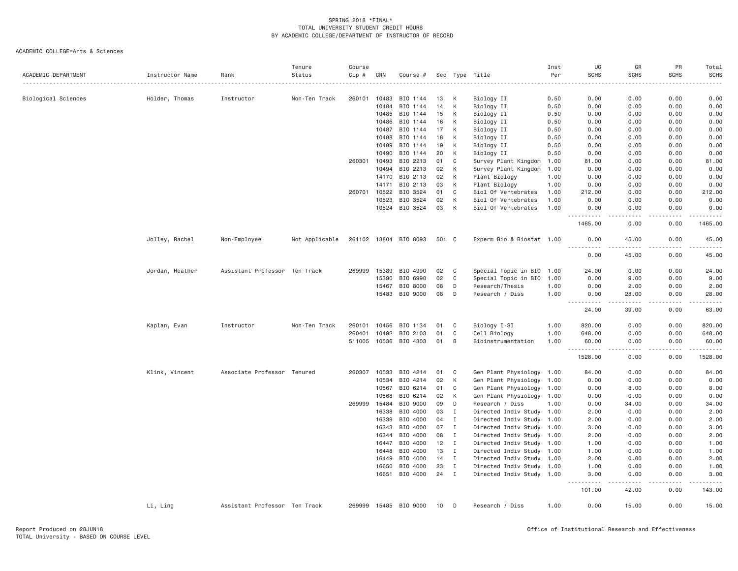| ACADEMIC DEPARTMENT | Instructor Name | Rank                          | Tenure<br>Status | Course<br>Cip # | CRN   | Course #              | Sec |              | Type Title                | Inst<br>Per | UG<br><b>SCHS</b>                                                                                                                                                        | GR<br><b>SCHS</b> | PR<br><b>SCHS</b> | Total<br><b>SCHS</b> |
|---------------------|-----------------|-------------------------------|------------------|-----------------|-------|-----------------------|-----|--------------|---------------------------|-------------|--------------------------------------------------------------------------------------------------------------------------------------------------------------------------|-------------------|-------------------|----------------------|
|                     |                 |                               |                  |                 |       |                       |     |              |                           |             |                                                                                                                                                                          |                   |                   |                      |
| Biological Sciences | Holder, Thomas  | Instructor                    | Non-Ten Track    | 260101          | 10483 | BIO 1144              | 13  | К            | Biology II                | 0.50        | 0.00                                                                                                                                                                     | 0.00              | 0.00              | 0.00                 |
|                     |                 |                               |                  |                 | 10484 | BIO 1144              | 14  | К            | Biology II                | 0.50        | 0.00                                                                                                                                                                     | 0.00              | 0.00              | 0.00                 |
|                     |                 |                               |                  |                 | 10485 | BIO 1144              | 15  | К            | Biology II                | 0.50        | 0.00                                                                                                                                                                     | 0.00              | 0.00              | 0.00                 |
|                     |                 |                               |                  |                 | 10486 | BIO 1144              | 16  | К            | Biology II                | 0.50        | 0.00                                                                                                                                                                     | 0.00              | 0.00              | 0.00                 |
|                     |                 |                               |                  |                 | 10487 | BIO 1144              | 17  | К            | Biology II                | 0.50        | 0.00                                                                                                                                                                     | 0.00              | 0.00              | 0.00                 |
|                     |                 |                               |                  |                 | 10488 | BIO 1144              | 18  | К            | Biology II                | 0.50        | 0.00                                                                                                                                                                     | 0.00              | 0.00              | 0.00                 |
|                     |                 |                               |                  |                 | 10489 | BIO 1144              | 19  | К            | Biology II                | 0.50        | 0.00                                                                                                                                                                     | 0.00              | 0.00              | 0.00                 |
|                     |                 |                               |                  |                 | 10490 | BIO 1144              | 20  | К            | Biology II                | 0.50        | 0.00                                                                                                                                                                     | 0.00              | 0.00              | 0.00                 |
|                     |                 |                               |                  | 260301          | 10493 | BIO 2213              | 01  | C            | Survey Plant Kingdom      | 1.00        | 81.00                                                                                                                                                                    | 0.00              | 0.00              | 81.00                |
|                     |                 |                               |                  |                 | 10494 | BIO 2213              | 02  | К            | Survey Plant Kingdom      | 1.00        | 0.00                                                                                                                                                                     | 0.00              | 0.00              | 0.00                 |
|                     |                 |                               |                  |                 | 14170 | BIO 2113              | 02  | К            | Plant Biology             | 1.00        | 0.00                                                                                                                                                                     | 0.00              | 0.00              | 0.00                 |
|                     |                 |                               |                  |                 | 14171 | BIO 2113              | 03  | К            | Plant Biology             | 1.00        | 0.00                                                                                                                                                                     | 0.00              | 0.00              | 0.00                 |
|                     |                 |                               |                  | 260701          | 10522 | BIO 3524              | 01  | C            | Biol Of Vertebrates       | 1.00        | 212.00                                                                                                                                                                   | 0.00              | 0.00              | 212.00               |
|                     |                 |                               |                  |                 | 10523 | BIO 3524              | 02  | К            | Biol Of Vertebrates       | 1.00        | 0.00                                                                                                                                                                     | 0.00              | 0.00              | 0.00                 |
|                     |                 |                               |                  |                 | 10524 | BIO 3524              | 03  | K            | Biol Of Vertebrates       | 1.00        | 0.00<br>.                                                                                                                                                                | 0.00              | 0.00              | 0.00                 |
|                     |                 |                               |                  |                 |       |                       |     |              |                           |             | 1465.00                                                                                                                                                                  | 0.00              | 0.00              | 1465.00              |
|                     | Jolley, Rachel  | Non-Employee                  | Not Applicable   |                 |       | 261102 13804 BIO 8093 |     | 501 C        | Experm Bio & Biostat 1.00 |             | 0.00                                                                                                                                                                     | 45.00             | 0.00              | 45.00                |
|                     |                 |                               |                  |                 |       |                       |     |              |                           |             | .<br>0.00                                                                                                                                                                | ----<br>45.00     | .<br>0.00         | 45.00                |
|                     | Jordan, Heather | Assistant Professor Ten Track |                  | 269999          | 15389 | BIO 4990              | 02  | C            | Special Topic in BIO 1.00 |             | 24.00                                                                                                                                                                    | 0.00              | 0.00              | 24.00                |
|                     |                 |                               |                  |                 | 15390 | BIO 6990              | 02  | C            | Special Topic in BIO      | 1.00        | 0.00                                                                                                                                                                     | 9.00              | 0.00              | 9.00                 |
|                     |                 |                               |                  |                 | 15467 | BIO 8000              | 08  | D            | Research/Thesis           | 1.00        | 0.00                                                                                                                                                                     | 2.00              | 0.00              | 2.00                 |
|                     |                 |                               |                  |                 | 15483 | BIO 9000              | 08  | D            | Research / Diss           | 1.00        | 0.00                                                                                                                                                                     | 28.00             | 0.00              | 28.00                |
|                     |                 |                               |                  |                 |       |                       |     |              |                           |             | <u>.</u><br>24.00                                                                                                                                                        | -----<br>39.00    | -----<br>0.00     | .<br>63.00           |
|                     | Kaplan, Evan    | Instructor                    | Non-Ten Track    | 260101          | 10456 | BIO 1134              | 01  | C            | Biology I-SI              | 1.00        | 820.00                                                                                                                                                                   | 0.00              | 0.00              | 820.00               |
|                     |                 |                               |                  | 260401          | 10492 | BIO 2103              | 01  | C            | Cell Biology              | 1.00        | 648.00                                                                                                                                                                   | 0.00              | 0.00              | 648.00               |
|                     |                 |                               |                  | 511005          | 10536 | BIO 4303              | 01  | B            | Bioinstrumentation        | 1.00        | 60.00<br>$- - -$<br>$\frac{1}{2} \left( \frac{1}{2} \right) \left( \frac{1}{2} \right) \left( \frac{1}{2} \right) \left( \frac{1}{2} \right) \left( \frac{1}{2} \right)$ | 0.00<br>$- - -$   | 0.00              | 60.00<br>-----       |
|                     |                 |                               |                  |                 |       |                       |     |              |                           |             | 1528.00                                                                                                                                                                  | 0.00              | 0.00              | 1528.00              |
|                     | Klink, Vincent  | Associate Professor Tenured   |                  | 260307          | 10533 | BIO 4214              | 01  | C            | Gen Plant Physiology 1.00 |             | 84.00                                                                                                                                                                    | 0.00              | 0.00              | 84.00                |
|                     |                 |                               |                  |                 | 10534 | BIO 4214              | 02  | К            | Gen Plant Physiology      | 1.00        | 0.00                                                                                                                                                                     | 0.00              | 0.00              | 0.00                 |
|                     |                 |                               |                  |                 | 10567 | BIO 6214              | 01  | C            | Gen Plant Physiology 1.00 |             | 0.00                                                                                                                                                                     | 8.00              | 0.00              | 8.00                 |
|                     |                 |                               |                  |                 | 10568 | BIO 6214              | 02  | K            | Gen Plant Physiology      | 1.00        | 0.00                                                                                                                                                                     | 0.00              | 0.00              | 0.00                 |
|                     |                 |                               |                  | 269999          | 15484 | BIO 9000              | 09  | D            | Research / Diss           | 1.00        | 0.00                                                                                                                                                                     | 34.00             | 0.00              | 34.00                |
|                     |                 |                               |                  |                 | 16338 | BIO 4000              | 03  | $\mathbf{I}$ | Directed Indiv Study 1.00 |             | 2.00                                                                                                                                                                     | 0.00              | 0.00              | 2.00                 |
|                     |                 |                               |                  |                 | 16339 | BIO 4000              | 04  | I            | Directed Indiv Study 1.00 |             | 2.00                                                                                                                                                                     | 0.00              | 0.00              | 2.00                 |
|                     |                 |                               |                  |                 | 16343 | BIO 4000              | 07  | I            | Directed Indiv Study 1.00 |             | 3.00                                                                                                                                                                     | 0.00              | 0.00              | 3.00                 |
|                     |                 |                               |                  |                 | 16344 | BIO 4000              | 08  | $\mathbf I$  | Directed Indiv Study      | 1.00        | 2.00                                                                                                                                                                     | 0.00              | 0.00              | 2.00                 |
|                     |                 |                               |                  |                 | 16447 | BIO 4000              | 12  | $\mathbf{I}$ | Directed Indiv Study 1.00 |             | 1.00                                                                                                                                                                     | 0.00              | 0.00              | 1.00                 |
|                     |                 |                               |                  |                 | 16448 | BIO 4000              | 13  | $\mathbf{I}$ | Directed Indiv Study 1.00 |             | 1.00                                                                                                                                                                     | 0.00              | 0.00              | 1.00                 |
|                     |                 |                               |                  |                 | 16449 | BIO 4000              | 14  | $\mathbf{I}$ | Directed Indiv Study 1.00 |             | 2.00                                                                                                                                                                     | 0.00              | 0.00              | 2.00                 |
|                     |                 |                               |                  |                 | 16650 | BIO 4000              | 23  | $\mathbf{I}$ | Directed Indiv Study 1.00 |             | 1.00                                                                                                                                                                     | 0.00              | 0.00              | 1.00                 |
|                     |                 |                               |                  |                 | 16651 | BIO 4000              | 24  | $\mathbf{I}$ | Directed Indiv Study 1.00 |             | 3.00<br>.                                                                                                                                                                | 0.00              | 0.00<br>.         | 3.00                 |
|                     |                 |                               |                  |                 |       |                       |     |              |                           |             | 101.00                                                                                                                                                                   | 42.00             | 0.00              | 143.00               |
|                     | Li, Ling        | Assistant Professor Ten Track |                  | 269999          |       | 15485 BIO 9000        | 10  | D            | Research / Diss           | 1.00        | 0.00                                                                                                                                                                     | 15.00             | 0.00              | 15.00                |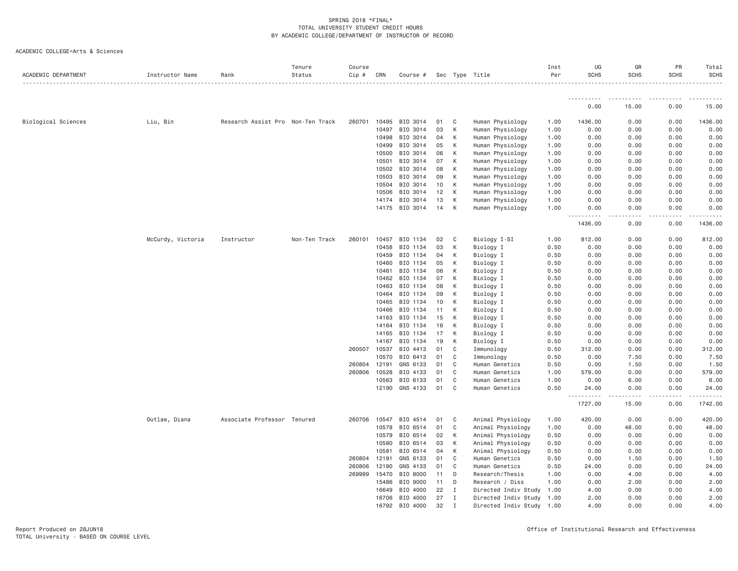| ACADEMIC DEPARTMENT | Instructor Name   | Rank                              | Tenure<br>Status | Course<br>Cip # | CRN   | Course # |    |              | Sec Type Title            | Inst<br>Per | UG<br><b>SCHS</b>                                                                                 | GR<br><b>SCHS</b>                   | PR<br><b>SCHS</b> | Total<br><b>SCHS</b><br>$\frac{1}{2} \left( \frac{1}{2} \right) \left( \frac{1}{2} \right) \left( \frac{1}{2} \right) \left( \frac{1}{2} \right) \left( \frac{1}{2} \right)$ |
|---------------------|-------------------|-----------------------------------|------------------|-----------------|-------|----------|----|--------------|---------------------------|-------------|---------------------------------------------------------------------------------------------------|-------------------------------------|-------------------|------------------------------------------------------------------------------------------------------------------------------------------------------------------------------|
|                     |                   |                                   |                  |                 |       |          |    |              |                           |             |                                                                                                   |                                     |                   |                                                                                                                                                                              |
|                     |                   |                                   |                  |                 |       |          |    |              |                           |             | 0.00                                                                                              | 15.00                               | 0.00              | 15.00                                                                                                                                                                        |
| Biological Sciences | Liu, Bin          | Research Assist Pro Non-Ten Track |                  | 260701          | 10495 | BIO 3014 | 01 | C            | Human Physiology          | 1.00        | 1436.00                                                                                           | 0.00                                | 0.00              | 1436.00                                                                                                                                                                      |
|                     |                   |                                   |                  |                 | 10497 | BIO 3014 | 03 | К            | Human Physiology          | 1.00        | 0.00                                                                                              | 0.00                                | 0.00              | 0.00                                                                                                                                                                         |
|                     |                   |                                   |                  |                 | 10498 | BIO 3014 | 04 | К            | Human Physiology          | 1.00        | 0.00                                                                                              | 0.00                                | 0.00              | 0.00                                                                                                                                                                         |
|                     |                   |                                   |                  |                 | 10499 | BIO 3014 | 05 | К            | Human Physiology          | 1.00        | 0.00                                                                                              | 0.00                                | 0.00              | 0.00                                                                                                                                                                         |
|                     |                   |                                   |                  |                 | 10500 | BIO 3014 | 06 | K            | Human Physiology          | 1.00        | 0.00                                                                                              | 0.00                                | 0.00              | 0.00                                                                                                                                                                         |
|                     |                   |                                   |                  |                 | 10501 | BIO 3014 | 07 | К            | Human Physiology          | 1.00        | 0.00                                                                                              | 0.00                                | 0.00              | 0.00                                                                                                                                                                         |
|                     |                   |                                   |                  |                 | 10502 | BIO 3014 | 08 | К            | Human Physiology          | 1.00        | 0.00                                                                                              | 0.00                                | 0.00              | 0.00                                                                                                                                                                         |
|                     |                   |                                   |                  |                 | 10503 | BIO 3014 | 09 | К            | Human Physiology          | 1.00        | 0.00                                                                                              | 0.00                                | 0.00              | 0.00                                                                                                                                                                         |
|                     |                   |                                   |                  |                 | 10504 | BIO 3014 | 10 | К            | Human Physiology          | 1.00        | 0.00                                                                                              | 0.00                                | 0.00              | 0.00                                                                                                                                                                         |
|                     |                   |                                   |                  |                 | 10506 | BIO 3014 | 12 | К            | Human Physiology          | 1.00        | 0.00                                                                                              | 0.00                                | 0.00              | 0.00                                                                                                                                                                         |
|                     |                   |                                   |                  |                 | 14174 | BIO 3014 | 13 | К            | Human Physiology          | 1.00        | 0.00                                                                                              | 0.00                                | 0.00              | 0.00                                                                                                                                                                         |
|                     |                   |                                   |                  |                 | 14175 | BIO 3014 | 14 | К            | Human Physiology          | 1.00        | 0.00<br>.                                                                                         | 0.00<br>$\sim$ $\sim$ $\sim$ $\sim$ | 0.00<br>.         | 0.00<br>$- - - - - -$                                                                                                                                                        |
|                     |                   |                                   |                  |                 |       |          |    |              |                           |             | 1436.00                                                                                           | 0.00                                | 0.00              | 1436.00                                                                                                                                                                      |
|                     | McCurdy, Victoria | Instructor                        | Non-Ten Track    | 260101          | 10457 | BIO 1134 | 02 | C            | Biology I-SI              | 1.00        | 812.00                                                                                            | 0.00                                | 0.00              | 812.00                                                                                                                                                                       |
|                     |                   |                                   |                  |                 | 10458 | BIO 1134 | 03 | К            | Biology I                 | 0.50        | 0.00                                                                                              | 0.00                                | 0.00              | 0.00                                                                                                                                                                         |
|                     |                   |                                   |                  |                 | 10459 | BIO 1134 | 04 | K            | Biology I                 | 0.50        | 0.00                                                                                              | 0.00                                | 0.00              | 0.00                                                                                                                                                                         |
|                     |                   |                                   |                  |                 | 10460 | BIO 1134 | 05 | К            | Biology I                 | 0.50        | 0.00                                                                                              | 0.00                                | 0.00              | 0.00                                                                                                                                                                         |
|                     |                   |                                   |                  |                 | 10461 | BIO 1134 | 06 | К            | Biology I                 | 0.50        | 0.00                                                                                              | 0.00                                | 0.00              | 0.00                                                                                                                                                                         |
|                     |                   |                                   |                  |                 | 10462 | BIO 1134 | 07 | К            | Biology I                 | 0.50        | 0.00                                                                                              | 0.00                                | 0.00              | 0.00                                                                                                                                                                         |
|                     |                   |                                   |                  |                 | 10463 | BIO 1134 | 08 | К            | Biology I                 | 0.50        | 0.00                                                                                              | 0.00                                | 0.00              | 0.00                                                                                                                                                                         |
|                     |                   |                                   |                  |                 | 10464 | BIO 1134 | 09 | K            | Biology I                 | 0.50        | 0.00                                                                                              | 0.00                                | 0.00              | 0.00                                                                                                                                                                         |
|                     |                   |                                   |                  |                 | 10465 | BIO 1134 | 10 | К            | Biology I                 | 0.50        | 0.00                                                                                              | 0.00                                | 0.00              | 0.00                                                                                                                                                                         |
|                     |                   |                                   |                  |                 | 10466 | BIO 1134 | 11 | К            | Biology I                 | 0.50        | 0.00                                                                                              | 0.00                                | 0.00              | 0.00                                                                                                                                                                         |
|                     |                   |                                   |                  |                 | 14163 | BIO 1134 | 15 | К            | Biology I                 | 0.50        | 0.00                                                                                              | 0.00                                | 0.00              | 0.00                                                                                                                                                                         |
|                     |                   |                                   |                  |                 | 14164 | BIO 1134 | 16 | K            | Biology I                 | 0.50        | 0.00                                                                                              | 0.00                                | 0.00              | 0.00                                                                                                                                                                         |
|                     |                   |                                   |                  |                 | 14165 | BIO 1134 | 17 | K            | Biology I                 | 0.50        | 0.00                                                                                              | 0.00                                | 0.00              | 0.00                                                                                                                                                                         |
|                     |                   |                                   |                  |                 | 14167 | BIO 1134 | 19 | К            | Biology I                 | 0.50        | 0.00                                                                                              | 0.00                                | 0.00              | 0.00                                                                                                                                                                         |
|                     |                   |                                   |                  | 260507          | 10537 | BIO 4413 | 01 | C            | Immunology                | 0.50        | 312.00                                                                                            | 0.00                                | 0.00              | 312.00                                                                                                                                                                       |
|                     |                   |                                   |                  |                 | 10570 | BIO 6413 | 01 | C            | Immunology                | 0.50        | 0.00                                                                                              | 7.50                                | 0.00              | 7.50                                                                                                                                                                         |
|                     |                   |                                   |                  | 260804          | 12191 | GNS 6133 | 01 | C            | Human Genetics            | 0.50        | 0.00                                                                                              | 1.50                                | 0.00              | 1.50                                                                                                                                                                         |
|                     |                   |                                   |                  | 260806          | 10528 | BIO 4133 | 01 | C            | Human Genetics            | 1.00        | 579.00                                                                                            | 0.00                                | 0.00              | 579.00                                                                                                                                                                       |
|                     |                   |                                   |                  |                 | 10563 | BIO 6133 | 01 | C            | Human Genetics            | 1.00        | 0.00                                                                                              | 6.00                                | 0.00              | 6.00                                                                                                                                                                         |
|                     |                   |                                   |                  |                 | 12190 | GNS 4133 | 01 | C            | Human Genetics            | 0.50        | 24.00<br>$\frac{1}{2} \left( \frac{1}{2} \right) \frac{1}{2} \left( \frac{1}{2} \right)$<br>----- | 0.00<br>.                           | 0.00<br>.         | 24.00<br>.                                                                                                                                                                   |
|                     |                   |                                   |                  |                 |       |          |    |              |                           |             | 1727.00                                                                                           | 15.00                               | 0.00              | 1742.00                                                                                                                                                                      |
|                     | Outlaw, Diana     | Associate Professor Tenured       |                  | 260706          | 10547 | BIO 4514 | 01 | C            | Animal Physiology         | 1.00        | 420.00                                                                                            | 0.00                                | 0.00              | 420.00                                                                                                                                                                       |
|                     |                   |                                   |                  |                 | 10578 | BIO 6514 | 01 | C            | Animal Physiology         | 1.00        | 0.00                                                                                              | 48.00                               | 0.00              | 48.00                                                                                                                                                                        |
|                     |                   |                                   |                  |                 | 10579 | BIO 6514 | 02 | К            | Animal Physiology         | 0.50        | 0.00                                                                                              | 0.00                                | 0.00              | 0.00                                                                                                                                                                         |
|                     |                   |                                   |                  |                 | 10580 | BIO 6514 | 03 | K            | Animal Physiology         | 0.50        | 0.00                                                                                              | 0.00                                | 0.00              | 0.00                                                                                                                                                                         |
|                     |                   |                                   |                  |                 | 10581 | BIO 6514 | 04 | К            | Animal Physiology         | 0.50        | 0.00                                                                                              | 0.00                                | 0.00              | 0.00                                                                                                                                                                         |
|                     |                   |                                   |                  | 260804          | 12191 | GNS 6133 | 01 | $\mathbb C$  | Human Genetics            | 0.50        | 0.00                                                                                              | 1.50                                | 0.00              | 1.50                                                                                                                                                                         |
|                     |                   |                                   |                  | 260806          | 12190 | GNS 4133 | 01 | C            | Human Genetics            | 0.50        | 24.00                                                                                             | 0.00                                | 0.00              | 24.00                                                                                                                                                                        |
|                     |                   |                                   |                  | 269999          | 15470 | BIO 8000 | 11 | D            | Research/Thesis           | 1,00        | 0.00                                                                                              | 4.00                                | 0.00              | 4.00                                                                                                                                                                         |
|                     |                   |                                   |                  |                 | 15486 | BIO 9000 | 11 | D            | Research / Diss           | 1.00        | 0.00                                                                                              | 2.00                                | 0.00              | 2.00                                                                                                                                                                         |
|                     |                   |                                   |                  |                 | 16649 | BIO 4000 | 22 | $\mathbf{I}$ | Directed Indiv Study 1.00 |             | 4.00                                                                                              | 0.00                                | 0.00              | 4.00                                                                                                                                                                         |
|                     |                   |                                   |                  |                 | 16706 | BIO 4000 | 27 | Ι            | Directed Indiv Study 1.00 |             | 2.00                                                                                              | 0.00                                | 0.00              | 2.00                                                                                                                                                                         |
|                     |                   |                                   |                  |                 | 16792 | BIO 4000 | 32 | $\mathbf I$  | Directed Indiv Study 1.00 |             | 4.00                                                                                              | 0.00                                | 0.00              | 4.00                                                                                                                                                                         |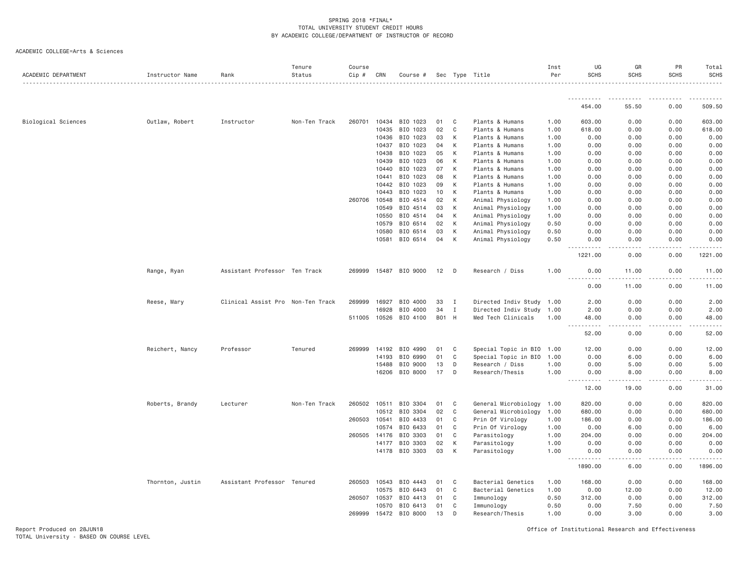ACADEMIC COLLEGE=Arts & Sciences

| ACADEMIC DEPARTMENT        | Instructor Name  | Rank                              | Tenure<br>Status | Course<br>$Cip$ # | CRN   | Course #       |       |              | Sec Type Title            | Inst<br>Per | UG<br><b>SCHS</b>                         | GR<br><b>SCHS</b> | PR<br><b>SCHS</b>     | Total<br><b>SCHS</b> |
|----------------------------|------------------|-----------------------------------|------------------|-------------------|-------|----------------|-------|--------------|---------------------------|-------------|-------------------------------------------|-------------------|-----------------------|----------------------|
|                            |                  |                                   |                  |                   |       |                |       |              |                           |             | .                                         |                   |                       |                      |
|                            |                  |                                   |                  |                   |       |                |       |              |                           |             | 454.00                                    | 55.50             | 0.00                  | 509.50               |
| <b>Biological Sciences</b> | Outlaw, Robert   | Instructor                        | Non-Ten Track    | 260701            | 10434 | BIO 1023       | 01    | - C          | Plants & Humans           | 1.00        | 603.00                                    | 0.00              | 0.00                  | 603.00               |
|                            |                  |                                   |                  |                   | 10435 | BIO 1023       | 02    | C            | Plants & Humans           | 1.00        | 618.00                                    | 0.00              | 0.00                  | 618.00               |
|                            |                  |                                   |                  |                   | 10436 | BIO 1023       | 03    | K            | Plants & Humans           | 1.00        | 0.00                                      | 0.00              | 0.00                  | 0.00                 |
|                            |                  |                                   |                  |                   | 10437 | BIO 1023       | 04    | K            | Plants & Humans           | 1.00        | 0.00                                      | 0.00              | 0.00                  | 0.00                 |
|                            |                  |                                   |                  |                   | 10438 | BIO 1023       | 05    | K            | Plants & Humans           | 1.00        | 0.00                                      | 0.00              | 0.00                  | 0.00                 |
|                            |                  |                                   |                  |                   | 10439 | BIO 1023       | 06    | К            | Plants & Humans           | 1.00        | 0.00                                      | 0.00              | 0.00                  | 0.00                 |
|                            |                  |                                   |                  |                   | 10440 | BIO 1023       | 07    | К            | Plants & Humans           | 1.00        | 0.00                                      | 0.00              | 0.00                  | 0.00                 |
|                            |                  |                                   |                  |                   | 10441 | BIO 1023       | 08    | К            | Plants & Humans           | 1.00        | 0.00                                      | 0.00              | 0.00                  | 0.00                 |
|                            |                  |                                   |                  |                   | 10442 | BIO 1023       | 09    | К            | Plants & Humans           | 1.00        | 0.00                                      | 0.00              | 0.00                  | 0.00                 |
|                            |                  |                                   |                  |                   | 10443 | BIO 1023       | 10    | K            | Plants & Humans           | 1.00        | 0.00                                      | 0.00              | 0.00                  | 0.00                 |
|                            |                  |                                   |                  | 260706            | 10548 | BIO 4514       | 02    | К            | Animal Physiology         | 1.00        | 0.00                                      | 0.00              | 0.00                  | 0.00                 |
|                            |                  |                                   |                  |                   | 10549 | BIO 4514       | 03    | К            | Animal Physiology         | 1.00        | 0.00                                      | 0.00              | 0.00                  | 0.00                 |
|                            |                  |                                   |                  |                   | 10550 | BIO 4514       | 04    | K            | Animal Physiology         | 1.00        | 0.00                                      | 0.00              | 0.00                  | 0.00                 |
|                            |                  |                                   |                  |                   | 10579 | BIO 6514       | 02    | K            | Animal Physiology         | 0.50        | 0.00                                      | 0.00              | 0.00                  | 0.00                 |
|                            |                  |                                   |                  |                   | 10580 | BIO 6514       | 03    | K            | Animal Physiology         | 0.50        | 0.00                                      | 0.00              | 0.00                  | 0.00                 |
|                            |                  |                                   |                  |                   | 10581 | BIO 6514       | 04    | K            | Animal Physiology         | 0.50        | 0.00<br>.<br>$   -$                       | 0.00<br>.         | 0.00<br>.             | 0.00                 |
|                            |                  |                                   |                  |                   |       |                |       |              |                           |             | 1221.00                                   | 0.00              | 0.00                  | 1221.00              |
|                            | Range, Ryan      | Assistant Professor Ten Track     |                  | 269999            |       | 15487 BIO 9000 | 12    | D            | Research / Diss           | 1.00        | 0.00                                      | 11.00             | 0.00                  | 11.00                |
|                            |                  |                                   |                  |                   |       |                |       |              |                           |             | 0.00                                      | 11.00             | 0.00                  | 11.00                |
|                            | Reese, Mary      | Clinical Assist Pro Non-Ten Track |                  | 269999            | 16927 | BIO 4000       | 33    | I            | Directed Indiv Study      | 1.00        | 2.00                                      | 0.00              | 0.00                  | 2.00                 |
|                            |                  |                                   |                  |                   | 16928 | BIO 4000       | 34    | $\mathbf{I}$ | Directed Indiv Study      | 1.00        | 2.00                                      | 0.00              | 0.00                  | 2.00                 |
|                            |                  |                                   |                  | 511005            | 10526 | BIO 4100       | B01 H |              | Med Tech Clinicals        | 1.00        | 48.00<br>$\sim$ $\sim$ $\sim$ $\sim$<br>. | 0.00              | 0.00                  | 48.00                |
|                            |                  |                                   |                  |                   |       |                |       |              |                           |             | 52.00                                     | 0.00              | 0.00                  | 52.00                |
|                            | Reichert, Nancy  | Professor                         | Tenured          | 269999            | 14192 | BIO 4990       | 01    | C            | Special Topic in BIO 1.00 |             | 12.00                                     | 0.00              | 0.00                  | 12.00                |
|                            |                  |                                   |                  |                   | 14193 | BIO 6990       | 01    | C            | Special Topic in BIO      | 1.00        | 0.00                                      | 6.00              | 0.00                  | 6.00                 |
|                            |                  |                                   |                  |                   | 15488 | BIO 9000       | 13    | D            | Research / Diss           | 1.00        | 0.00                                      | 5.00              | 0.00                  | 5.00                 |
|                            |                  |                                   |                  |                   | 16206 | BIO 8000       | 17    | D            | Research/Thesis           | 1.00        | 0.00<br>.<br>----                         | 8.00<br>-----     | 0.00                  | 8.00                 |
|                            |                  |                                   |                  |                   |       |                |       |              |                           |             | 12.00                                     | 19.00             | 0.00                  | 31.00                |
|                            | Roberts, Brandy  | Lecturer                          | Non-Ten Track    | 260502            | 10511 | BIO 3304       | 01    | C            | General Microbiology      | 1.00        | 820.00                                    | 0.00              | 0.00                  | 820.00               |
|                            |                  |                                   |                  |                   | 10512 | BIO 3304       | 02    | C            | General Microbiology      | 1.00        | 680.00                                    | 0.00              | 0.00                  | 680.00               |
|                            |                  |                                   |                  | 260503            | 10541 | BIO 4433       | 01    | C            | Prin Of Virology          | 1.00        | 186.00                                    | 0.00              | 0.00                  | 186.00               |
|                            |                  |                                   |                  |                   | 10574 | BIO 6433       | 01    | C            | Prin Of Virology          | 1.00        | 0.00                                      | 6.00              | 0.00                  | 6.00                 |
|                            |                  |                                   |                  | 260505            | 14176 | BIO 3303       | 01    | C            | Parasitology              | 1.00        | 204.00                                    | 0.00              | 0.00                  | 204.00               |
|                            |                  |                                   |                  |                   | 14177 | BIO 3303       | 02    | К            | Parasitology              | 1.00        | 0.00                                      | 0.00              | 0.00                  | 0.00                 |
|                            |                  |                                   |                  |                   | 14178 | BIO 3303       | 03    | К            | Parasitology              | 1.00        | 0.00                                      | 0.00              | 0.00                  | 0.00                 |
|                            |                  |                                   |                  |                   |       |                |       |              |                           |             | .<br>1890.00                              | $- - - -$<br>6.00 | $\frac{1}{2}$<br>0.00 | 1896.00              |
|                            | Thornton, Justin | Assistant Professor Tenured       |                  | 260503            | 10543 | BIO 4443       | 01    | C            | Bacterial Genetics        | 1.00        | 168.00                                    | 0.00              | 0.00                  | 168.00               |
|                            |                  |                                   |                  |                   | 10575 | BIO 6443       | 01    | C            | Bacterial Genetics        | 1.00        | 0.00                                      | 12.00             | 0.00                  | 12.00                |
|                            |                  |                                   |                  | 260507            | 10537 | BIO 4413       | 01    | C            | Immunology                | 0.50        | 312.00                                    | 0.00              | 0.00                  | 312.00               |
|                            |                  |                                   |                  |                   | 10570 | BIO 6413       | 01    | C            | Immunology                | 0.50        | 0.00                                      | 7.50              | 0.00                  | 7.50                 |
|                            |                  |                                   |                  | 269999            | 15472 | BIO 8000       | 13    | D            | Research/Thesis           | 1.00        | 0.00                                      | 3.00              | 0.00                  | 3.00                 |

Report Produced on 28JUN18 Office of Institutional Research and Effectiveness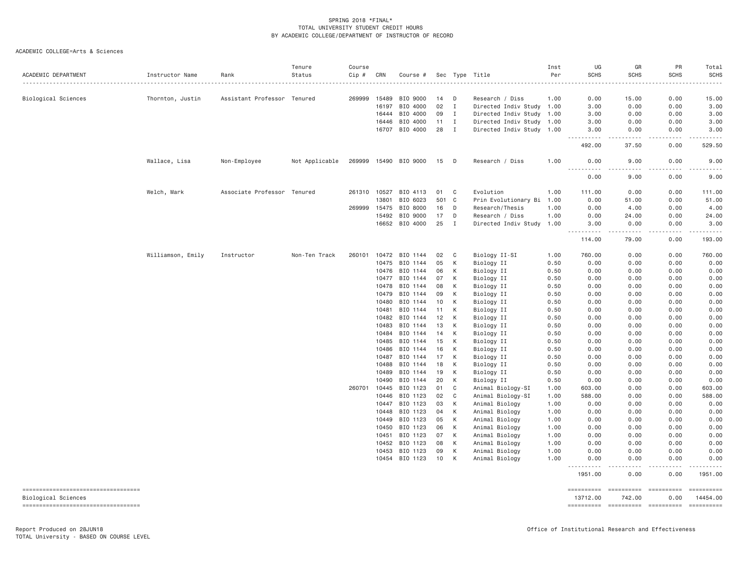| ACADEMIC DEPARTMENT                                       | Instructor Name   | Rank                        | Tenure<br>Status | Course<br>$Cip$ # | CRN   | Course #              |     |              | Sec Type Title            | Inst<br>Per | UG<br><b>SCHS</b>   | GR<br><b>SCHS</b>                   | PR<br><b>SCHS</b> | Total<br><b>SCHS</b>        |
|-----------------------------------------------------------|-------------------|-----------------------------|------------------|-------------------|-------|-----------------------|-----|--------------|---------------------------|-------------|---------------------|-------------------------------------|-------------------|-----------------------------|
| Biological Sciences                                       | Thornton, Justin  | Assistant Professor Tenured |                  | 269999            | 15489 | BIO 9000              | 14  | n.           | Research / Diss           | 1.00        | 0.00                | 15.00                               | 0.00              | 15.00                       |
|                                                           |                   |                             |                  |                   | 16197 | BIO 4000              | 02  | I            | Directed Indiv Study 1.00 |             | 3.00                | 0.00                                | 0.00              | 3.00                        |
|                                                           |                   |                             |                  |                   | 16444 | BIO 4000              | 09  | I            | Directed Indiv Study 1.00 |             | 3.00                | 0.00                                | 0.00              | 3.00                        |
|                                                           |                   |                             |                  |                   | 16446 | BIO 4000              | 11  | $\mathbf{I}$ | Directed Indiv Study 1.00 |             | 3.00                | 0.00                                | 0.00              | 3.00                        |
|                                                           |                   |                             |                  |                   |       | 16707 BIO 4000        | 28  | I            | Directed Indiv Study 1.00 |             | 3.00                | 0.00                                | 0.00              | 3.00                        |
|                                                           |                   |                             |                  |                   |       |                       |     |              |                           |             | .<br>492.00         | .<br>37.50                          | .<br>0.00         | .<br>529.50                 |
|                                                           | Wallace, Lisa     | Non-Employee                | Not Applicable   |                   |       | 269999 15490 BIO 9000 | 15  | $\Box$       | Research / Diss           | 1.00        | 0.00<br><u>.</u>    | 9.00<br>.                           | 0.00              | 9.00                        |
|                                                           |                   |                             |                  |                   |       |                       |     |              |                           |             | 0.00                | 9.00                                | 0.00              | 9.00                        |
|                                                           | Welch, Mark       | Associate Professor Tenured |                  |                   |       | 261310 10527 BIO 4113 | 01  | C            | Evolution                 | 1.00        | 111.00              | 0.00                                | 0.00              | 111.00                      |
|                                                           |                   |                             |                  |                   | 13801 | BIO 6023              | 501 | C            | Prin Evolutionary Bi      | 1.00        | 0.00                | 51.00                               | 0.00              | 51.00                       |
|                                                           |                   |                             |                  | 269999            | 15475 | BIO 8000              | 16  | D            | Research/Thesis           | 1.00        | 0.00                | 4.00                                | 0.00              | 4.00                        |
|                                                           |                   |                             |                  |                   | 15492 | BIO 9000              | 17  | D            | Research / Diss           | 1.00        | 0.00                | 24.00                               | 0.00              | 24.00                       |
|                                                           |                   |                             |                  |                   | 16652 | BIO 4000              | 25  | <b>I</b>     | Directed Indiv Study      | 1.00        | 3.00<br>.           | 0.00<br>$- - - - -$                 | 0.00<br>.         | 3.00<br>.                   |
|                                                           |                   |                             |                  |                   |       |                       |     |              |                           |             | 114.00              | 79.00                               | 0.00              | 193.00                      |
|                                                           | Williamson, Emily | Instructor                  | Non-Ten Track    | 260101            | 10472 | BIO 1144              | 02  | C            | Biology II-SI             | 1.00        | 760.00              | 0.00                                | 0.00              | 760.00                      |
|                                                           |                   |                             |                  |                   | 10475 | BIO 1144              | 05  | К            | Biology II                | 0.50        | 0.00                | 0.00                                | 0.00              | 0.00                        |
|                                                           |                   |                             |                  |                   | 10476 | BIO 1144              | 06  | K            | Biology II                | 0.50        | 0.00                | 0.00                                | 0.00              | 0.00                        |
|                                                           |                   |                             |                  |                   | 10477 | BIO 1144              | 07  | К            | Biology II                | 0.50        | 0.00                | 0.00                                | 0.00              | 0.00                        |
|                                                           |                   |                             |                  |                   | 10478 | BIO 1144              | 08  | К            | Biology II                | 0.50        | 0.00                | 0.00                                | 0.00              | 0.00                        |
|                                                           |                   |                             |                  |                   | 10479 | BIO 1144              | 09  | K            | Biology II                | 0.50        | 0.00                | 0.00                                | 0.00              | 0.00                        |
|                                                           |                   |                             |                  |                   | 10480 | BIO 1144              | 10  | К            | Biology II                | 0.50        | 0.00                | 0.00                                | 0.00              | 0.00                        |
|                                                           |                   |                             |                  |                   | 10481 | BIO 1144              | 11  | К            | Biology II                | 0.50        | 0.00                | 0.00                                | 0.00              | 0.00                        |
|                                                           |                   |                             |                  |                   | 10482 | BIO 1144              | 12  | K            | Biology II                | 0.50        | 0.00                | 0.00                                | 0.00              | 0.00                        |
|                                                           |                   |                             |                  |                   | 10483 | BIO 1144              | 13  | К            | Biology II                | 0.50        | 0.00                | 0.00                                | 0.00              | 0.00                        |
|                                                           |                   |                             |                  |                   | 10484 | BIO 1144              | 14  | К            | Biology II                | 0.50        | 0.00                | 0.00                                | 0.00              | 0.00                        |
|                                                           |                   |                             |                  |                   | 10485 | BIO 1144              | 15  | К            | Biology II                | 0.50        | 0.00                | 0.00                                | 0.00              | 0.00                        |
|                                                           |                   |                             |                  |                   | 10486 | BIO 1144              | 16  | К            | Biology II                | 0.50        | 0.00                | 0.00                                | 0.00              | 0.00                        |
|                                                           |                   |                             |                  |                   | 10487 | BIO 1144              | 17  | K            | Biology II                | 0.50        | 0.00                | 0.00                                | 0.00              | 0.00                        |
|                                                           |                   |                             |                  |                   | 10488 | BIO 1144              | 18  | К            | Biology II                | 0.50        | 0.00                | 0.00                                | 0.00              | 0.00                        |
|                                                           |                   |                             |                  |                   | 10489 | BIO 1144              | 19  | К            | Biology II                | 0.50        | 0.00                | 0.00                                | 0.00              | 0.00                        |
|                                                           |                   |                             |                  |                   | 10490 | BIO 1144              | 20  | К            | Biology II                | 0.50        | 0.00                | 0.00                                | 0.00              | 0.00                        |
|                                                           |                   |                             |                  | 260701            | 10445 | BIO 1123              | 01  | C            | Animal Biology-SI         | 1.00        | 603.00              | 0.00                                | 0.00              | 603.00                      |
|                                                           |                   |                             |                  |                   | 10446 | BIO 1123              | 02  | C            | Animal Biology-SI         | 1.00        | 588.00              | 0.00                                | 0.00              | 588.00                      |
|                                                           |                   |                             |                  |                   | 10447 | BIO 1123              | 03  | К            | Animal Biology            | 1.00        | 0.00                | 0.00                                | 0.00              | 0.00                        |
|                                                           |                   |                             |                  |                   | 10448 | BIO 1123              | 04  | К            | Animal Biology            | 1.00        | 0.00                | 0.00                                | 0.00              | 0.00                        |
|                                                           |                   |                             |                  |                   | 10449 | BIO 1123              | 05  | К            | Animal Biology            | 1.00        | 0.00                | 0.00                                | 0.00              | 0.00                        |
|                                                           |                   |                             |                  |                   | 10450 | BIO 1123              | 06  | K            | Animal Biology            | 1.00        | 0.00                | 0.00                                | 0.00              | 0.00                        |
|                                                           |                   |                             |                  |                   | 10451 | BIO 1123              | 07  | К            | Animal Biology            | 1.00        | 0.00                | 0.00                                | 0.00              | 0.00                        |
|                                                           |                   |                             |                  |                   | 10452 | BIO 1123              | 08  | K            | Animal Biology            | 1.00        | 0.00                | 0.00                                | 0.00              | 0.00                        |
|                                                           |                   |                             |                  |                   | 10453 | BIO 1123              | 09  | К            | Animal Biology            | 1.00        | 0.00                | 0.00                                | 0.00              | 0.00                        |
|                                                           |                   |                             |                  |                   | 10454 | BIO 1123              | 10  | К            | Animal Biology            | 1.00        | 0.00                | 0.00                                | 0.00              | 0.00                        |
|                                                           |                   |                             |                  |                   |       |                       |     |              |                           |             | <u>.</u><br>1951.00 | $\sim$ $\sim$ $\sim$ $\sim$<br>0.00 | <u>.</u><br>0.00  | <u>.</u><br>1951.00         |
| ----------------------------------                        |                   |                             |                  |                   |       |                       |     |              |                           |             | ==========          |                                     |                   | <b>ESSESSESS</b>            |
| Biological Sciences<br>---------------------------------- |                   |                             |                  |                   |       |                       |     |              |                           |             | 13712.00            | 742.00                              | 0.00              | 14454.00<br>$= 22222222222$ |
|                                                           |                   |                             |                  |                   |       |                       |     |              |                           |             |                     |                                     |                   |                             |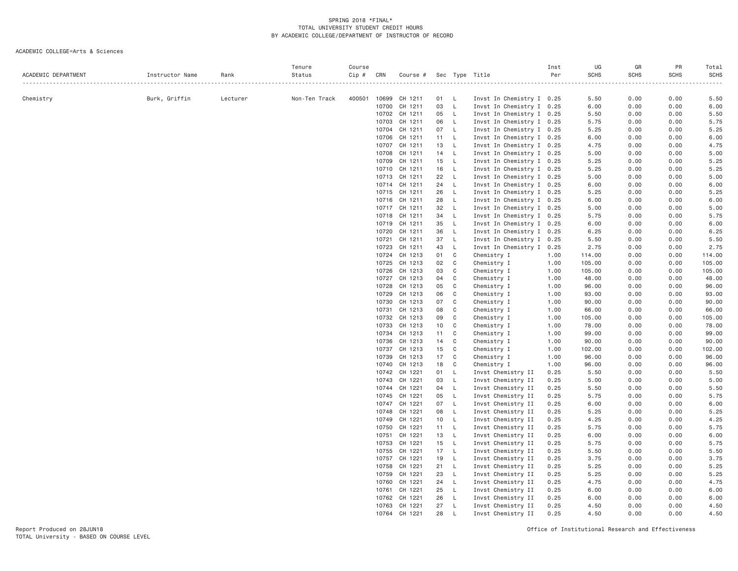| ACADEMIC DEPARTMENT | Instructor Name | Rank     | Tenure<br>Status | Course<br>Cip # | CRN            | Course #           |          |              | Sec Type Title             | Inst<br>Per  | UG<br><b>SCHS</b><br>. | GR<br><b>SCHS</b><br>. | PR<br><b>SCHS</b> | Total<br><b>SCHS</b> |
|---------------------|-----------------|----------|------------------|-----------------|----------------|--------------------|----------|--------------|----------------------------|--------------|------------------------|------------------------|-------------------|----------------------|
| Chemistry           | Burk, Griffin   | Lecturer | Non-Ten Track    | 400501          | 10699          | CH 1211            | 01 L     |              | Invst In Chemistry I 0.25  |              | 5.50                   | 0.00                   | 0.00              | 5.50                 |
|                     |                 |          |                  |                 | 10700          | CH 1211            | 03       | $\mathsf{L}$ | Invst In Chemistry I 0.25  |              | 6.00                   | 0.00                   | 0.00              | 6.00                 |
|                     |                 |          |                  |                 |                | 10702 CH 1211      | 05       | $\mathsf{L}$ | Invst In Chemistry I 0.25  |              | 5.50                   | 0.00                   | 0.00              | 5.50                 |
|                     |                 |          |                  |                 | 10703          | CH 1211            | 06       | L.           | Invst In Chemistry I 0.25  |              | 5.75                   | 0.00                   | 0.00              | 5.75                 |
|                     |                 |          |                  |                 | 10704          | CH 1211            | 07       | L            | Invst In Chemistry I 0.25  |              | 5.25                   | 0.00                   | 0.00              | 5.25                 |
|                     |                 |          |                  |                 | 10706          | CH 1211            | 11       | <b>L</b>     | Invst In Chemistry I 0.25  |              | 6.00                   | 0.00                   | 0.00              | 6.00                 |
|                     |                 |          |                  |                 | 10707          | CH 1211            | 13       | - L          | Invst In Chemistry I 0.25  |              | 4.75                   | 0.00                   | 0.00              | 4.75                 |
|                     |                 |          |                  |                 | 10708          | CH 1211            | 14       | <b>L</b>     | Invst In Chemistry I 0.25  |              | 5.00                   | 0.00                   | 0.00              | 5.00                 |
|                     |                 |          |                  |                 | 10709          | CH 1211            | 15       | - L          | Invst In Chemistry I 0.25  |              | 5.25                   | 0.00                   | 0.00              | 5.25                 |
|                     |                 |          |                  |                 | 10710          | CH 1211            | 16       | $\mathsf{L}$ | Invst In Chemistry I 0.25  |              | 5.25                   | 0.00                   | 0.00              | 5.25                 |
|                     |                 |          |                  |                 | 10713          | CH 1211            | 22       | $\mathsf{L}$ | Invst In Chemistry I 0.25  |              | 5.00                   | 0.00                   | 0.00              | 5.00                 |
|                     |                 |          |                  |                 | 10714          | CH 1211            | 24       | L.           | Invst In Chemistry I 0.25  |              | 6.00                   | 0.00                   | 0.00              | 6.00                 |
|                     |                 |          |                  |                 |                | 10715 CH 1211      | 26       | <b>L</b>     | Invst In Chemistry I 0.25  |              | 5.25                   | 0.00                   | 0.00              | 5.25                 |
|                     |                 |          |                  |                 | 10716          | CH 1211            | 28       | <b>L</b>     | Invst In Chemistry I 0.25  |              | 6.00                   | 0.00                   | 0.00              | 6.00                 |
|                     |                 |          |                  |                 |                | 10717 CH 1211      | 32       | $\mathsf{L}$ | Invst In Chemistry I 0.25  |              | 5.00                   | 0.00                   | 0.00              | 5.00                 |
|                     |                 |          |                  |                 | 10718          | CH 1211            | 34       | $\mathsf{L}$ | Invst In Chemistry I 0.25  |              | 5.75                   | 0.00                   | 0.00              | 5.75                 |
|                     |                 |          |                  |                 | 10719          | CH 1211            | 35       | $\mathsf{L}$ | Invst In Chemistry I 0.25  |              | 6.00                   | 0.00                   | 0.00              | 6.00                 |
|                     |                 |          |                  |                 | 10720          | CH 1211            | 36       | L.           | Invst In Chemistry I 0.25  |              | 6.25                   | 0.00                   | 0.00              | 6.25                 |
|                     |                 |          |                  |                 | 10721          | CH 1211            | 37       | L.           | Invst In Chemistry I 0.25  |              | 5.50                   | 0.00                   | 0.00              | 5.50                 |
|                     |                 |          |                  |                 | 10723          | CH 1211            | 43       | $\mathsf{L}$ | Invst In Chemistry I 0.25  |              | 2.75                   | 0.00                   | 0.00              | 2.75                 |
|                     |                 |          |                  |                 | 10724          | CH 1213            | 01       | C            | Chemistry I                | 1.00         | 114.00                 | 0.00                   | 0.00              | 114.00               |
|                     |                 |          |                  |                 | 10725          | CH 1213            | 02       | C            | Chemistry I                | 1.00         | 105.00                 | 0.00                   | 0.00              | 105.00               |
|                     |                 |          |                  |                 | 10726          | CH 1213            | 03<br>04 | C            | Chemistry I                | 1.00         | 105.00                 | 0.00                   | 0.00              | 105.00               |
|                     |                 |          |                  |                 | 10727<br>10728 | CH 1213<br>CH 1213 | 05       | C<br>C       | Chemistry I                | 1.00<br>1.00 | 48.00<br>96.00         | 0.00<br>0.00           | 0.00<br>0.00      | 48.00<br>96.00       |
|                     |                 |          |                  |                 | 10729          | CH 1213            | 06       | C            | Chemistry I<br>Chemistry I | 1.00         | 93.00                  | 0.00                   | 0.00              | 93.00                |
|                     |                 |          |                  |                 | 10730          | CH 1213            | 07       | C            | Chemistry I                | 1.00         | 90.00                  | 0.00                   | 0.00              | 90.00                |
|                     |                 |          |                  |                 | 10731          | CH 1213            | 08       | C            | Chemistry I                | 1.00         | 66.00                  | 0.00                   | 0.00              | 66.00                |
|                     |                 |          |                  |                 |                | 10732 CH 1213      | 09       | C            | Chemistry I                | 1.00         | 105.00                 | 0.00                   | 0.00              | 105.00               |
|                     |                 |          |                  |                 | 10733          | CH 1213            | 10       | C            | Chemistry I                | 1.00         | 78.00                  | 0.00                   | 0.00              | 78.00                |
|                     |                 |          |                  |                 |                | 10734 CH 1213      | 11       | C            | Chemistry I                | 1.00         | 99.00                  | 0.00                   | 0.00              | 99.00                |
|                     |                 |          |                  |                 | 10736          | CH 1213            | 14       | C            | Chemistry I                | 1.00         | 90.00                  | 0.00                   | 0.00              | 90.00                |
|                     |                 |          |                  |                 |                | 10737 CH 1213      | 15       | C            | Chemistry I                | 1.00         | 102.00                 | 0.00                   | 0.00              | 102.00               |
|                     |                 |          |                  |                 | 10739          | CH 1213            | 17       | C            | Chemistry I                | 1.00         | 96.00                  | 0.00                   | 0.00              | 96.00                |
|                     |                 |          |                  |                 | 10740          | CH 1213            | 18       | C            | Chemistry I                | 1.00         | 96.00                  | 0.00                   | 0.00              | 96.00                |
|                     |                 |          |                  |                 |                | 10742 CH 1221      | 01       | L.           | Invst Chemistry II         | 0.25         | 5.50                   | 0.00                   | 0.00              | 5.50                 |
|                     |                 |          |                  |                 | 10743          | CH 1221            | 03       | L.           | Invst Chemistry II         | 0.25         | 5.00                   | 0.00                   | 0.00              | 5.00                 |
|                     |                 |          |                  |                 | 10744          | CH 1221            | 04       | $\mathsf{L}$ | Invst Chemistry II         | 0.25         | 5.50                   | 0.00                   | 0.00              | 5.50                 |
|                     |                 |          |                  |                 | 10745          | CH 1221            | 05       | $\mathsf{L}$ | Invst Chemistry II         | 0.25         | 5.75                   | 0.00                   | 0.00              | 5.75                 |
|                     |                 |          |                  |                 | 10747          | CH 1221            | 07       | <b>L</b>     | Invst Chemistry II         | 0.25         | 6.00                   | 0.00                   | 0.00              | 6.00                 |
|                     |                 |          |                  |                 | 10748          | CH 1221            | 08       | - L          | Invst Chemistry II         | 0.25         | 5.25                   | 0.00                   | 0.00              | 5.25                 |
|                     |                 |          |                  |                 | 10749          | CH 1221            | 10       | $\mathsf{L}$ | Invst Chemistry II         | 0.25         | 4.25                   | 0.00                   | 0.00              | 4.25                 |
|                     |                 |          |                  |                 | 10750          | CH 1221            | 11       | $\mathsf{L}$ | Invst Chemistry II         | 0.25         | 5.75                   | 0.00                   | 0.00              | 5.75                 |
|                     |                 |          |                  |                 | 10751          | CH 1221            | 13       | $\mathsf{L}$ | Invst Chemistry II         | 0.25         | 6.00                   | 0.00                   | 0.00              | 6.00                 |
|                     |                 |          |                  |                 | 10753          | CH 1221            | 15       | <b>L</b>     | Invst Chemistry II         | 0.25         | 5.75                   | 0.00                   | 0.00              | 5.75                 |
|                     |                 |          |                  |                 | 10755          | CH 1221            | 17       | L.           | Invst Chemistry II         | 0.25         | 5.50                   | 0.00                   | 0.00              | 5.50                 |
|                     |                 |          |                  |                 | 10757          | CH 1221            | 19       | <b>L</b>     | Invst Chemistry II         | 0.25         | 3.75                   | 0.00                   | 0.00              | 3.75                 |
|                     |                 |          |                  |                 | 10758          | CH 1221            | 21       | $\mathsf{L}$ | Invst Chemistry II         | 0.25         | 5.25                   | 0.00                   | 0.00              | 5.25                 |
|                     |                 |          |                  |                 | 10759          | CH 1221            | 23       | $\mathsf{L}$ | Invst Chemistry II         | 0.25         | 5.25                   | 0.00                   | 0.00              | 5.25                 |
|                     |                 |          |                  |                 | 10760          | CH 1221            | 24       | L.           | Invst Chemistry II         | 0.25         | 4.75                   | 0.00                   | 0.00              | 4.75                 |
|                     |                 |          |                  |                 | 10761          | CH 1221            | 25       | <b>L</b>     | Invst Chemistry II         | 0.25         | 6.00                   | 0.00                   | 0.00              | 6.00                 |
|                     |                 |          |                  |                 | 10762          | CH 1221            | 26       | $\mathsf{L}$ | Invst Chemistry II         | 0.25         | 6.00                   | 0.00                   | 0.00              | 6.00                 |
|                     |                 |          |                  |                 | 10763          | CH 1221            | 27       | $\mathsf{L}$ | Invst Chemistry II         | 0.25         | 4.50                   | 0.00                   | 0.00              | 4.50                 |
|                     |                 |          |                  |                 | 10764          | CH 1221            | 28       | $\perp$      | Invst Chemistry II         | 0.25         | 4.50                   | 0.00                   | 0.00              | 4.50                 |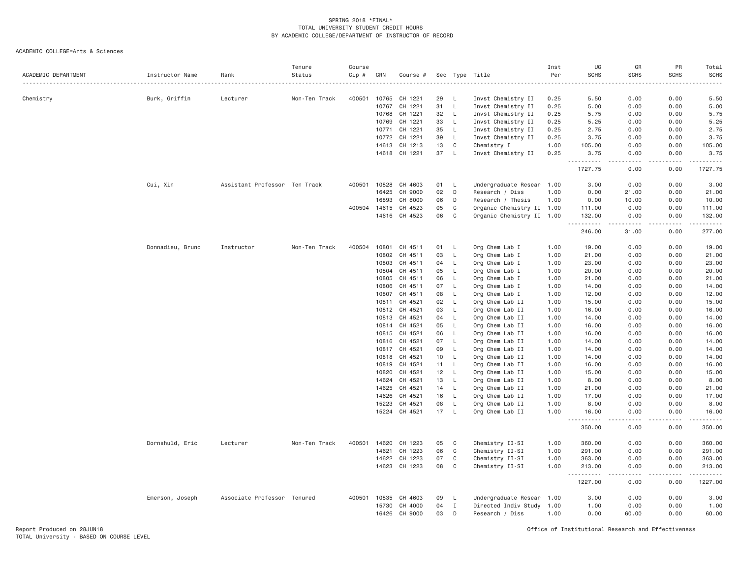| ACADEMIC DEPARTMENT | Instructor Name  | Rank                          | Tenure<br>Status | Course<br>Cip # | CRN            | Course #           | Sec      |                    | Type Title                         | Inst<br>Per  | UG<br><b>SCHS</b>      | GR<br><b>SCHS</b>     | PR<br><b>SCHS</b> | Total<br>SCHS  |
|---------------------|------------------|-------------------------------|------------------|-----------------|----------------|--------------------|----------|--------------------|------------------------------------|--------------|------------------------|-----------------------|-------------------|----------------|
| Chemistry           | Burk, Griffin    | Lecturer                      | Non-Ten Track    | 400501          | 10765          | CH 1221            | 29       | L.                 | Invst Chemistry II                 | 0.25         | 5.50                   | 0.00                  | 0.00              | 5.50           |
|                     |                  |                               |                  |                 | 10767          | CH 1221            | 31       | $\mathsf{L}$       | Invst Chemistry II                 | 0.25         | 5.00                   | 0.00                  | 0.00              | 5.00           |
|                     |                  |                               |                  |                 | 10768          | CH 1221            | 32       | $\mathsf{L}$       | Invst Chemistry II                 | 0.25         | 5.75                   | 0.00                  | 0.00              | 5.75           |
|                     |                  |                               |                  |                 | 10769          | CH 1221            | 33       | L.                 | Invst Chemistry II                 | 0.25         | 5.25                   | 0.00                  | 0.00              | 5.25           |
|                     |                  |                               |                  |                 | 10771          | CH 1221            | 35       | $\mathsf{L}$       | Invst Chemistry II                 | 0.25         | 2.75                   | 0.00                  | 0.00              | 2.75           |
|                     |                  |                               |                  |                 | 10772          | CH 1221            | 39       | L.                 | Invst Chemistry II                 | 0.25         | 3.75                   | 0.00                  | 0.00              | 3.75           |
|                     |                  |                               |                  |                 | 14613          | CH 1213            | 13       | C                  | Chemistry I                        | 1.00         | 105.00                 | 0.00                  | 0.00              | 105.00         |
|                     |                  |                               |                  |                 | 14618          | CH 1221            | 37       | L                  | Invst Chemistry II                 | 0.25         | 3.75<br>.              | 0.00<br>.             | 0.00<br><u>.</u>  | 3.75<br>.      |
|                     |                  |                               |                  |                 |                |                    |          |                    |                                    |              | 1727.75                | 0.00                  | 0.00              | 1727.75        |
|                     | Cui, Xin         | Assistant Professor Ten Track |                  | 400501          | 10828          | CH 4603            | 01       | L,                 | Undergraduate Resear 1.00          |              | 3.00                   | 0.00                  | 0.00              | 3.00           |
|                     |                  |                               |                  |                 | 16425          | CH 9000            | 02       | D                  | Research / Diss                    | 1.00         | 0.00                   | 21.00                 | 0.00              | 21.00          |
|                     |                  |                               |                  |                 | 16893          | CH 8000            | 06       | D                  | Research / Thesis                  | 1.00         | 0.00                   | 10.00                 | 0.00              | 10.00          |
|                     |                  |                               |                  | 400504          | 14615          | CH 4523            | 05       | C                  | Organic Chemistry II 1.00          |              | 111.00                 | 0.00                  | 0.00              | 111.00         |
|                     |                  |                               |                  |                 |                | 14616 CH 4523      | 06       | C                  | Organic Chemistry II 1.00          |              | 132.00<br>.            | 0.00<br>.             | 0.00<br>.         | 132.00<br>.    |
|                     |                  |                               |                  |                 |                |                    |          |                    |                                    |              | 246.00                 | 31.00                 | 0.00              | 277.00         |
|                     | Donnadieu, Bruno | Instructor                    | Non-Ten Track    | 400504          | 10801          | CH 4511            | 01       | -L                 | Org Chem Lab I                     | 1.00         | 19.00                  | 0.00                  | 0.00              | 19.00          |
|                     |                  |                               |                  |                 | 10802          | CH 4511            | 03       | L                  | Org Chem Lab I                     | 1.00         | 21.00                  | 0.00                  | 0.00              | 21.00          |
|                     |                  |                               |                  |                 | 10803          | CH 4511            | 04       | L.                 | Org Chem Lab I                     | 1.00         | 23.00                  | 0.00                  | 0.00              | 23.00          |
|                     |                  |                               |                  |                 | 10804          | CH 4511            | 05       | L.                 | Org Chem Lab I                     | 1.00         | 20,00                  | 0.00                  | 0.00              | 20.00          |
|                     |                  |                               |                  |                 | 10805          | CH 4511            | 06       | $\mathsf{L}$       | Org Chem Lab I                     | 1.00         | 21.00                  | 0.00                  | 0.00              | 21.00          |
|                     |                  |                               |                  |                 | 10806          | CH 4511            | 07       | L.                 | Org Chem Lab I                     | 1.00         | 14.00                  | 0.00                  | 0.00              | 14.00          |
|                     |                  |                               |                  |                 | 10807          | CH 4511            | 08       | L.                 | Org Chem Lab I                     | 1.00         | 12.00                  | 0.00                  | 0.00              | 12.00          |
|                     |                  |                               |                  |                 | 10811          | CH 4521            | 02       | L.                 | Org Chem Lab II                    | 1.00         | 15.00                  | 0.00                  | 0.00              | 15.00          |
|                     |                  |                               |                  |                 | 10812          | CH 4521            | 03       | L.                 | Org Chem Lab II                    | 1.00         | 16.00                  | 0.00                  | 0.00              | 16.00          |
|                     |                  |                               |                  |                 | 10813<br>10814 | CH 4521<br>CH 4521 | 04<br>05 | L.<br>$\mathsf{L}$ | Org Chem Lab II<br>Org Chem Lab II | 1.00<br>1.00 | 14.00<br>16.00         | 0.00<br>0.00          | 0.00<br>0.00      | 14.00<br>16.00 |
|                     |                  |                               |                  |                 | 10815          | CH 4521            | 06       | $\mathsf{L}$       | Org Chem Lab II                    | 1.00         | 16.00                  | 0.00                  | 0.00              | 16.00          |
|                     |                  |                               |                  |                 | 10816          | CH 4521            | 07       | L.                 | Org Chem Lab II                    | 1.00         | 14.00                  | 0.00                  | 0.00              | 14.00          |
|                     |                  |                               |                  |                 | 10817          | CH 4521            | 09       | L.                 | Org Chem Lab II                    | 1.00         | 14.00                  | 0.00                  | 0.00              | 14.00          |
|                     |                  |                               |                  |                 | 10818          | CH 4521            | 10       | L.                 | Org Chem Lab II                    | 1.00         | 14.00                  | 0.00                  | 0.00              | 14.00          |
|                     |                  |                               |                  |                 | 10819          | CH 4521            | 11       | L                  | Org Chem Lab II                    | 1.00         | 16.00                  | 0.00                  | 0.00              | 16.00          |
|                     |                  |                               |                  |                 | 10820          | CH 4521            | 12       | L.                 | Org Chem Lab II                    | 1.00         | 15.00                  | 0.00                  | 0.00              | 15.00          |
|                     |                  |                               |                  |                 | 14624          | CH 4521            | 13       | <b>L</b>           | Org Chem Lab II                    | 1.00         | 8,00                   | 0.00                  | 0.00              | 8.00           |
|                     |                  |                               |                  |                 | 14625          | CH 4521            | 14       | <b>L</b>           | Org Chem Lab II                    | 1.00         | 21.00                  | 0.00                  | 0.00              | 21.00          |
|                     |                  |                               |                  |                 | 14626          | CH 4521            | 16       | L.                 | Org Chem Lab II                    | 1.00         | 17.00                  | 0.00                  | 0.00              | 17.00          |
|                     |                  |                               |                  |                 | 15223          | CH 4521            | 08       | L.                 | Org Chem Lab II                    | 1.00         | 8.00                   | 0.00                  | 0.00              | 8.00           |
|                     |                  |                               |                  |                 | 15224          | CH 4521            | 17       | $\mathsf{L}$       | Org Chem Lab II                    | 1.00         | 16.00<br>$\frac{1}{2}$ | 0.00<br>$\frac{1}{2}$ | 0.00<br>.         | 16.00<br>.     |
|                     |                  |                               |                  |                 |                |                    |          |                    |                                    |              | 350.00                 | 0.00                  | 0.00              | 350.00         |
|                     | Dornshuld, Eric  | Lecturer                      | Non-Ten Track    | 400501          | 14620          | CH 1223            | 05       | C                  | Chemistry II-SI                    | 1.00         | 360.00                 | 0.00                  | 0.00              | 360.00         |
|                     |                  |                               |                  |                 | 14621          | CH 1223            | 06       | C                  | Chemistry II-SI                    | 1.00         | 291.00                 | 0.00                  | 0.00              | 291.00         |
|                     |                  |                               |                  |                 | 14622          | CH 1223            | 07       | C                  | Chemistry II-SI                    | 1.00         | 363.00                 | 0.00                  | 0.00              | 363.00         |
|                     |                  |                               |                  |                 | 14623          | CH 1223            | 08       | $\mathbb C$        | Chemistry II-SI                    | 1.00         | 213.00<br>.<br>$- - -$ | 0.00<br>$\frac{1}{2}$ | 0.00              | 213.00<br>.    |
|                     |                  |                               |                  |                 |                |                    |          |                    |                                    |              | 1227.00                | 0.00                  | 0.00              | 1227.00        |
|                     | Emerson, Joseph  | Associate Professor Tenured   |                  | 400501          | 10835          | CH 4603            | 09       | L.                 | Undergraduate Resear 1.00          |              | 3.00                   | 0.00                  | 0.00              | 3.00           |
|                     |                  |                               |                  |                 | 15730          | CH 4000            | 04       | $\mathbf{I}$       | Directed Indiv Study               | 1.00         | 1.00                   | 0.00                  | 0.00              | 1.00           |
|                     |                  |                               |                  |                 | 16426          | CH 9000            | 03       | D                  | Research / Diss                    | 1.00         | 0.00                   | 60.00                 | 0.00              | 60.00          |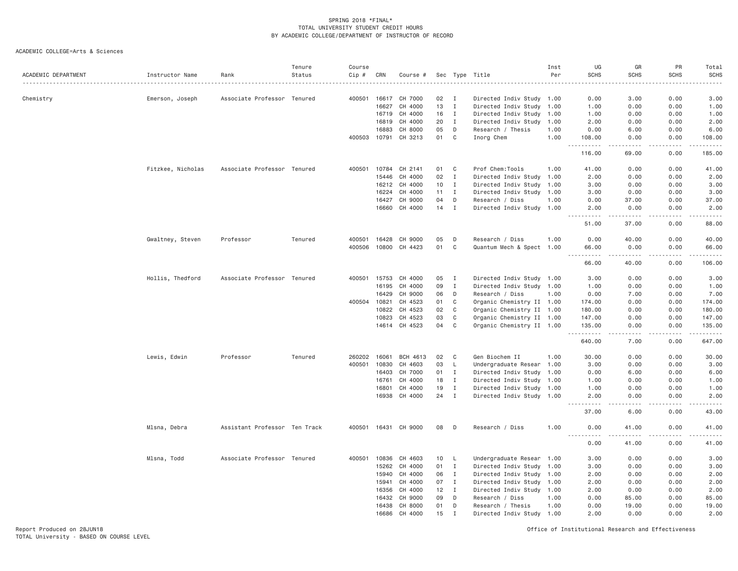ACADEMIC COLLEGE=Arts & Sciences

| ACADEMIC DEPARTMENT | Instructor Name   | Rank                          | Tenure<br>Status | Course<br>Cip # | CRN   | Course #             |    |              | Sec Type Title            | Inst<br>Per | UG<br><b>SCHS</b>                                                                                                                                            | GR<br><b>SCHS</b>                   | PR<br><b>SCHS</b>            | Total<br><b>SCHS</b>                                                                                                              |
|---------------------|-------------------|-------------------------------|------------------|-----------------|-------|----------------------|----|--------------|---------------------------|-------------|--------------------------------------------------------------------------------------------------------------------------------------------------------------|-------------------------------------|------------------------------|-----------------------------------------------------------------------------------------------------------------------------------|
|                     |                   |                               |                  |                 |       |                      |    |              | .                         |             |                                                                                                                                                              |                                     |                              |                                                                                                                                   |
| Chemistry           | Emerson, Joseph   | Associate Professor Tenured   |                  | 400501          | 16617 | CH 7000              | 02 | $\mathbf{I}$ | Directed Indiv Study 1.00 |             | 0.00                                                                                                                                                         | 3.00                                | 0.00                         | 3.00                                                                                                                              |
|                     |                   |                               |                  |                 | 16627 | CH 4000              | 13 | $\mathbf{I}$ | Directed Indiv Study 1.00 |             | 1.00                                                                                                                                                         | 0.00                                | 0.00                         | 1.00                                                                                                                              |
|                     |                   |                               |                  |                 | 16719 | CH 4000              | 16 | $\mathbf{I}$ | Directed Indiv Study 1.00 |             | 1.00                                                                                                                                                         | 0.00                                | 0.00                         | 1.00                                                                                                                              |
|                     |                   |                               |                  |                 | 16819 | CH 4000              | 20 | $\mathbf{I}$ | Directed Indiv Study      | 1.00        | 2.00                                                                                                                                                         | 0.00                                | 0.00                         | 2.00                                                                                                                              |
|                     |                   |                               |                  |                 | 16883 | CH 8000              | 05 | D            | Research / Thesis         | 1.00        | 0.00                                                                                                                                                         | 6.00                                | 0.00                         | 6.00                                                                                                                              |
|                     |                   |                               |                  | 400503          | 10791 | CH 3213              | 01 | $\mathbf C$  | Inorg Chem                | 1.00        | 108.00<br>.<br>$\sim$                                                                                                                                        | 0.00<br>$\sim$ $\sim$ $\sim$ $\sim$ | 0.00<br>.                    | 108.00<br>.                                                                                                                       |
|                     |                   |                               |                  |                 |       |                      |    |              |                           |             | 116.00                                                                                                                                                       | 69.00                               | 0.00                         | 185.00                                                                                                                            |
|                     | Fitzkee, Nicholas | Associate Professor Tenured   |                  | 400501          |       | 10784 CH 2141        | 01 | C            | Prof Chem:Tools           | 1.00        | 41.00                                                                                                                                                        | 0.00                                | 0.00                         | 41.00                                                                                                                             |
|                     |                   |                               |                  |                 | 15446 | CH 4000              | 02 | $\mathbf{I}$ | Directed Indiv Study 1.00 |             | 2.00                                                                                                                                                         | 0.00                                | 0.00                         | 2.00                                                                                                                              |
|                     |                   |                               |                  |                 |       | 16212 CH 4000        | 10 | $\mathbf{I}$ | Directed Indiv Study 1.00 |             | 3.00                                                                                                                                                         | 0.00                                | 0.00                         | 3.00                                                                                                                              |
|                     |                   |                               |                  |                 | 16224 | CH 4000              | 11 | $\mathbf{I}$ | Directed Indiv Study 1.00 |             | 3.00                                                                                                                                                         | 0.00                                | 0.00                         | 3.00                                                                                                                              |
|                     |                   |                               |                  |                 | 16427 | CH 9000              | 04 | D            | Research / Diss           | 1.00        | 0.00                                                                                                                                                         | 37.00                               | 0.00                         | 37.00                                                                                                                             |
|                     |                   |                               |                  |                 | 16660 | CH 4000              | 14 | I            | Directed Indiv Study      | 1.00        | 2.00<br>الداعات بال                                                                                                                                          | 0.00<br>.                           | 0.00<br>$\sim$ $\sim$ $\sim$ | 2.00<br>$\frac{1}{2} \left( \frac{1}{2} \right) \left( \frac{1}{2} \right) \left( \frac{1}{2} \right) \left( \frac{1}{2} \right)$ |
|                     |                   |                               |                  |                 |       |                      |    |              |                           |             | 51.00                                                                                                                                                        | 37,00                               | 0.00                         | 88.00                                                                                                                             |
|                     | Gwaltney, Steven  | Professor                     | Tenured          | 400501          | 16428 | CH 9000              | 05 | D            | Research / Diss           | 1.00        | 0.00                                                                                                                                                         | 40.00                               | 0.00                         | 40.00                                                                                                                             |
|                     |                   |                               |                  | 400506          | 10800 | CH 4423              | 01 | $\mathbb C$  | Quantum Mech & Spect 1.00 |             | 66.00                                                                                                                                                        | 0.00                                | 0.00                         | 66.00                                                                                                                             |
|                     |                   |                               |                  |                 |       |                      |    |              |                           |             | $  -$<br>.<br>66.00                                                                                                                                          | $- - - - -$<br>40.00                | .<br>0.00                    | .<br>106.00                                                                                                                       |
|                     | Hollis, Thedford  | Associate Professor Tenured   |                  | 400501          | 15753 | CH 4000              | 05 | $\mathbf{I}$ | Directed Indiv Study 1.00 |             | 3.00                                                                                                                                                         | 0.00                                | 0.00                         | 3.00                                                                                                                              |
|                     |                   |                               |                  |                 | 16195 | CH 4000              | 09 | $\mathbf{I}$ | Directed Indiv Study 1.00 |             | 1.00                                                                                                                                                         | 0.00                                | 0.00                         | 1.00                                                                                                                              |
|                     |                   |                               |                  |                 | 16429 | CH 9000              | 06 | D            | Research / Diss           | 1.00        | 0.00                                                                                                                                                         | 7.00                                | 0.00                         | 7.00                                                                                                                              |
|                     |                   |                               |                  | 400504          | 10821 | CH 4523              | 01 | C            | Organic Chemistry II 1.00 |             | 174.00                                                                                                                                                       | 0.00                                | 0.00                         | 174.00                                                                                                                            |
|                     |                   |                               |                  |                 | 10822 | CH 4523              | 02 | C            | Organic Chemistry II 1.00 |             | 180.00                                                                                                                                                       | 0.00                                | 0.00                         | 180.00                                                                                                                            |
|                     |                   |                               |                  |                 | 10823 | CH 4523              | 03 | C            | Organic Chemistry II 1.00 |             | 147.00                                                                                                                                                       | 0.00                                | 0.00                         | 147.00                                                                                                                            |
|                     |                   |                               |                  |                 |       | 14614 CH 4523        | 04 | $\mathsf{C}$ | Organic Chemistry II 1.00 |             | 135.00<br>.                                                                                                                                                  | 0.00<br>.                           | 0.00<br>.                    | 135.00<br>$\begin{array}{cccccccccc} \bullet & \bullet & \bullet & \bullet & \bullet & \bullet & \bullet \end{array}$             |
|                     |                   |                               |                  |                 |       |                      |    |              |                           |             | 640.00                                                                                                                                                       | 7.00                                | 0.00                         | 647.00                                                                                                                            |
|                     | Lewis, Edwin      | Professor                     | Tenured          | 260202          | 16061 | BCH 4613             | 02 | C            | Gen Biochem II            | 1.00        | 30.00                                                                                                                                                        | 0.00                                | 0.00                         | 30.00                                                                                                                             |
|                     |                   |                               |                  | 400501          | 10830 | CH 4603              | 03 | L            | Undergraduate Resear 1.00 |             | 3.00                                                                                                                                                         | 0.00                                | 0.00                         | 3.00                                                                                                                              |
|                     |                   |                               |                  |                 | 16403 | CH 7000              | 01 | $\mathbf{I}$ | Directed Indiv Study 1.00 |             | 0.00                                                                                                                                                         | 6.00                                | 0.00                         | 6.00                                                                                                                              |
|                     |                   |                               |                  |                 | 16761 | CH 4000              | 18 | $\mathbf I$  | Directed Indiv Study 1.00 |             | 1.00                                                                                                                                                         | 0.00                                | 0.00                         | 1.00                                                                                                                              |
|                     |                   |                               |                  |                 | 16801 | CH 4000              | 19 | $\mathbf{I}$ | Directed Indiv Study 1.00 |             | 1.00                                                                                                                                                         | 0.00                                | 0.00                         | 1.00                                                                                                                              |
|                     |                   |                               |                  |                 | 16938 | CH 4000              | 24 | $\mathbf{I}$ | Directed Indiv Study 1.00 |             | 2.00<br>$\frac{1}{2} \left( \frac{1}{2} \right) \left( \frac{1}{2} \right) \left( \frac{1}{2} \right) \left( \frac{1}{2} \right) \left( \frac{1}{2} \right)$ | 0.00<br>$\sim$ $\sim$ $\sim$ $\sim$ | 0.00<br>.                    | 2.00<br>$\omega$ is $\omega$ in .                                                                                                 |
|                     |                   |                               |                  |                 |       |                      |    |              |                           |             | 37.00                                                                                                                                                        | 6.00                                | 0.00                         | 43.00                                                                                                                             |
|                     | Mlsna, Debra      | Assistant Professor Ten Track |                  |                 |       | 400501 16431 CH 9000 | 08 | D            | Research / Diss           | 1.00        | 0.00<br>.<br>$ -$                                                                                                                                            | 41.00<br>د د د د                    | 0.00<br>.                    | 41.00<br>.                                                                                                                        |
|                     |                   |                               |                  |                 |       |                      |    |              |                           |             | 0.00                                                                                                                                                         | 41.00                               | 0.00                         | 41.00                                                                                                                             |
|                     | Mlsna, Todd       | Associate Professor Tenured   |                  | 400501          | 10836 | CH 4603              | 10 | L.           | Undergraduate Resear 1.00 |             | 3,00                                                                                                                                                         | 0.00                                | 0.00                         | 3.00                                                                                                                              |
|                     |                   |                               |                  |                 | 15262 | CH 4000              | 01 | $\mathbf{I}$ | Directed Indiv Study 1.00 |             | 3.00                                                                                                                                                         | 0.00                                | 0.00                         | 3.00                                                                                                                              |
|                     |                   |                               |                  |                 | 15940 | CH 4000              | 06 | $\mathbf{I}$ | Directed Indiv Study 1.00 |             | 2.00                                                                                                                                                         | 0.00                                | 0.00                         | 2.00                                                                                                                              |
|                     |                   |                               |                  |                 | 15941 | CH 4000              | 07 | $\mathbf{I}$ | Directed Indiv Study 1.00 |             | 2.00                                                                                                                                                         | 0.00                                | 0.00                         | 2.00                                                                                                                              |
|                     |                   |                               |                  |                 | 16356 | CH 4000              | 12 | $\mathbf{I}$ | Directed Indiv Study 1.00 |             | 2.00                                                                                                                                                         | 0.00                                | 0.00                         | 2.00                                                                                                                              |
|                     |                   |                               |                  |                 | 16432 | CH 9000              | 09 | D            | Research / Diss           | 1.00        | 0.00                                                                                                                                                         | 85.00                               | 0.00                         | 85.00                                                                                                                             |
|                     |                   |                               |                  |                 | 16438 | CH 8000              | 01 | D            | Research / Thesis         | 1.00        | 0.00                                                                                                                                                         | 19.00                               | 0.00                         | 19.00                                                                                                                             |
|                     |                   |                               |                  |                 | 16686 | CH 4000              | 15 | $\mathbf I$  | Directed Indiv Study 1.00 |             | 2.00                                                                                                                                                         | 0.00                                | 0.00                         | 2.00                                                                                                                              |

Report Produced on 28JUN18 Office of Institutional Research and Effectiveness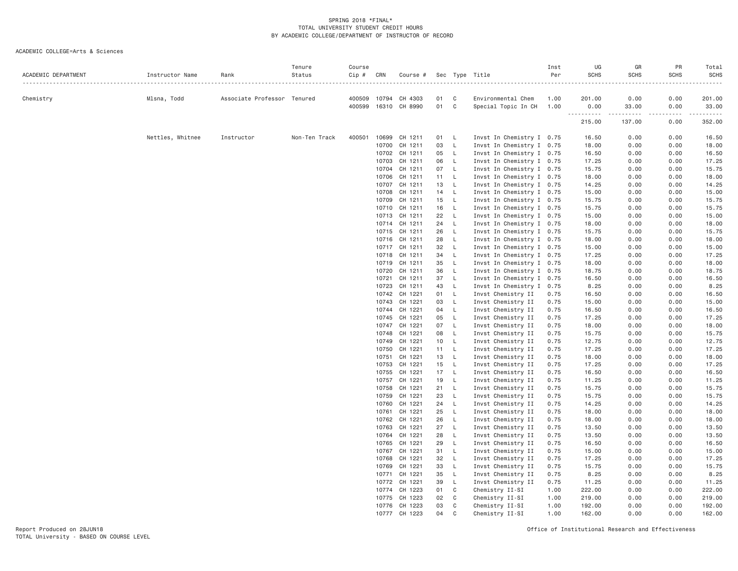| ACADEMIC DEPARTMENT | Instructor Name  | Rank                        | Tenure<br>Status | Course<br>Cip # | CRN   | Course #                       |          |                              | Sec Type Title                                         | Inst<br>Per  | UG<br><b>SCHS</b> | GR<br><b>SCHS</b><br>. | PR<br><b>SCHS</b><br>. | Total<br><b>SCHS</b><br>. |
|---------------------|------------------|-----------------------------|------------------|-----------------|-------|--------------------------------|----------|------------------------------|--------------------------------------------------------|--------------|-------------------|------------------------|------------------------|---------------------------|
| Chemistry           | Mlsna, Todd      | Associate Professor Tenured |                  |                 |       | 400509 10794 CH 4303           | 01       | C                            | Environmental Chem                                     | 1.00         | 201.00            | 0.00                   | 0.00                   | 201.00                    |
|                     |                  |                             |                  | 400599          |       | 16310 CH 8990                  | 01       | $\mathbf{C}$                 | Special Topic In CH                                    | 1.00         | 0.00<br>.         | 33.00<br>.             | 0.00<br>$- - - - - -$  | 33.00<br>.                |
|                     |                  |                             |                  |                 |       |                                |          |                              |                                                        |              | 215.00            | 137.00                 | 0.00                   | 352.00                    |
|                     | Nettles, Whitnee | Instructor                  | Non-Ten Track    | 400501          |       | 10699 CH 1211                  | 01 L     |                              | Invst In Chemistry I 0.75                              |              | 16.50             | 0.00                   | 0.00                   | 16.50                     |
|                     |                  |                             |                  |                 | 10700 | CH 1211                        | 03       | $\mathsf{L}$                 | Invst In Chemistry I 0.75                              |              | 18.00             | 0.00                   | 0.00                   | 18.00                     |
|                     |                  |                             |                  |                 |       | 10702 CH 1211                  | 05       | $\mathsf{L}$                 | Invst In Chemistry I 0.75                              |              | 16.50             | 0.00                   | 0.00                   | 16.50                     |
|                     |                  |                             |                  |                 |       | 10703 CH 1211                  | 06       | $\mathsf{L}$                 | Invst In Chemistry I 0.75                              |              | 17.25             | 0.00                   | 0.00                   | 17.25                     |
|                     |                  |                             |                  |                 |       | 10704 CH 1211                  | 07 L     |                              | Invst In Chemistry I 0.75                              |              | 15.75             | 0.00                   | 0.00                   | 15.75                     |
|                     |                  |                             |                  |                 |       | 10706 CH 1211                  | 11 L     |                              | Invst In Chemistry I 0.75                              |              | 18.00             | 0.00                   | 0.00                   | 18.00                     |
|                     |                  |                             |                  |                 |       | 10707 CH 1211                  | 13       | $\mathsf{L}$                 | Invst In Chemistry I 0.75                              |              | 14.25             | 0.00                   | 0.00                   | 14.25                     |
|                     |                  |                             |                  |                 |       | 10708 CH 1211                  | 14 L     |                              | Invst In Chemistry I 0.75                              |              | 15.00             | 0.00                   | 0.00                   | 15.00                     |
|                     |                  |                             |                  |                 | 10709 | CH 1211                        | 15       | $\mathsf{L}$                 | Invst In Chemistry I 0.75                              |              | 15.75             | 0.00                   | 0.00                   | 15.75                     |
|                     |                  |                             |                  |                 |       | 10710 CH 1211                  | 16       | $\mathsf{L}$                 | Invst In Chemistry I 0.75                              |              | 15.75             | 0.00                   | 0.00                   | 15.75                     |
|                     |                  |                             |                  |                 |       | 10713 CH 1211                  | 22       | $\mathsf{L}$                 | Invst In Chemistry I 0.75                              |              | 15.00             | 0.00                   | 0.00                   | 15.00                     |
|                     |                  |                             |                  |                 |       | 10714 CH 1211                  | 24 L     |                              | Invst In Chemistry I 0.75                              |              | 18.00             | 0.00                   | 0.00                   | 18.00                     |
|                     |                  |                             |                  |                 |       | 10715 CH 1211                  | 26       | $\mathsf{L}$                 | Invst In Chemistry I 0.75                              |              | 15.75             | 0.00                   | 0.00                   | 15.75                     |
|                     |                  |                             |                  |                 |       | 10716 CH 1211<br>10717 CH 1211 | 28<br>32 | $\mathsf{L}$<br>$\mathsf{L}$ | Invst In Chemistry I 0.75                              |              | 18.00<br>15.00    | 0.00<br>0.00           | 0.00<br>0.00           | 18.00<br>15.00            |
|                     |                  |                             |                  |                 |       | 10718 CH 1211                  | 34       | $\mathsf{L}$                 | Invst In Chemistry I 0.75<br>Invst In Chemistry I 0.75 |              | 17.25             | 0.00                   | 0.00                   | 17.25                     |
|                     |                  |                             |                  |                 |       | 10719 CH 1211                  | 35       | $\mathsf{L}$                 | Invst In Chemistry I 0.75                              |              | 18.00             | 0.00                   | 0.00                   | 18.00                     |
|                     |                  |                             |                  |                 | 10720 | CH 1211                        | 36       | $\mathsf{L}$                 | Invst In Chemistry I 0.75                              |              | 18.75             | 0.00                   | 0.00                   | 18.75                     |
|                     |                  |                             |                  |                 |       | 10721 CH 1211                  | 37       | $\mathsf{L}$                 | Invst In Chemistry I 0.75                              |              | 16.50             | 0.00                   | 0.00                   | 16.50                     |
|                     |                  |                             |                  |                 | 10723 | CH 1211                        | 43       | $\mathsf{L}$                 | Invst In Chemistry I 0.75                              |              | 8.25              | 0.00                   | 0.00                   | 8.25                      |
|                     |                  |                             |                  |                 |       | 10742 CH 1221                  | 01       | $\mathsf{L}$                 | Invst Chemistry II                                     | 0.75         | 16.50             | 0.00                   | 0.00                   | 16.50                     |
|                     |                  |                             |                  |                 |       | 10743 CH 1221                  | 03       | $\mathsf{L}$                 | Invst Chemistry II                                     | 0.75         | 15.00             | 0.00                   | 0.00                   | 15.00                     |
|                     |                  |                             |                  |                 |       | 10744 CH 1221                  | 04       | $\mathsf{L}$                 | Invst Chemistry II                                     | 0.75         | 16.50             | 0.00                   | 0.00                   | 16.50                     |
|                     |                  |                             |                  |                 |       | 10745 CH 1221                  | 05       | $\mathsf{L}$                 | Invst Chemistry II                                     | 0.75         | 17.25             | 0.00                   | 0.00                   | 17.25                     |
|                     |                  |                             |                  |                 | 10747 | CH 1221                        | 07       | $\mathsf{L}$                 | Invst Chemistry II                                     | 0.75         | 18.00             | 0.00                   | 0.00                   | 18.00                     |
|                     |                  |                             |                  |                 |       | 10748 CH 1221                  | 08       | $\mathsf{L}$                 | Invst Chemistry II                                     | 0.75         | 15.75             | 0.00                   | 0.00                   | 15.75                     |
|                     |                  |                             |                  |                 | 10749 | CH 1221                        | 10       | L.                           | Invst Chemistry II                                     | 0.75         | 12.75             | 0.00                   | 0.00                   | 12.75                     |
|                     |                  |                             |                  |                 | 10750 | CH 1221                        | 11 L     |                              | Invst Chemistry II                                     | 0.75         | 17.25             | 0.00                   | 0.00                   | 17.25                     |
|                     |                  |                             |                  |                 | 10751 | CH 1221                        | 13       | $\mathsf{L}$                 | Invst Chemistry II                                     | 0.75         | 18.00             | 0.00                   | 0.00                   | 18.00                     |
|                     |                  |                             |                  |                 | 10753 | CH 1221                        | 15       | $\mathsf{L}$                 | Invst Chemistry II                                     | 0.75         | 17.25             | 0.00                   | 0.00                   | 17.25                     |
|                     |                  |                             |                  |                 |       | 10755 CH 1221                  | 17       | $\mathsf{L}$                 | Invst Chemistry II                                     | 0.75         | 16.50             | 0.00                   | 0.00                   | 16.50                     |
|                     |                  |                             |                  |                 | 10757 | CH 1221                        | 19       | L                            | Invst Chemistry II                                     | 0.75         | 11.25             | 0.00                   | 0.00                   | 11.25                     |
|                     |                  |                             |                  |                 |       | 10758 CH 1221                  | 21       | $\mathsf{L}$                 | Invst Chemistry II                                     | 0.75         | 15.75             | 0.00                   | 0.00                   | 15.75                     |
|                     |                  |                             |                  |                 | 10759 | CH 1221                        | 23       | $\mathsf{L}$                 | Invst Chemistry II                                     | 0.75         | 15.75             | 0.00                   | 0.00                   | 15.75                     |
|                     |                  |                             |                  |                 | 10760 | CH 1221                        | 24       | $\mathsf{L}$                 | Invst Chemistry II                                     | 0.75         | 14.25             | 0.00                   | 0.00                   | 14.25                     |
|                     |                  |                             |                  |                 |       | 10761 CH 1221                  | 25       | $\mathsf{L}$                 | Invst Chemistry II                                     | 0.75         | 18.00             | 0.00                   | 0.00                   | 18.00                     |
|                     |                  |                             |                  |                 | 10762 | CH 1221<br>10763 CH 1221       | 26<br>27 | $\mathsf{L}$<br>$\mathsf{L}$ | Invst Chemistry II                                     | 0.75<br>0.75 | 18.00<br>13.50    | 0.00<br>0.00           | 0.00<br>0.00           | 18.00<br>13.50            |
|                     |                  |                             |                  |                 |       | 10764 CH 1221                  | 28       | $\mathsf{L}$                 | Invst Chemistry II<br>Invst Chemistry II               | 0.75         | 13.50             | 0.00                   | 0.00                   | 13.50                     |
|                     |                  |                             |                  |                 | 10765 | CH 1221                        | 29       | $\mathsf{L}$                 | Invst Chemistry II                                     | 0.75         | 16.50             | 0.00                   | 0.00                   | 16.50                     |
|                     |                  |                             |                  |                 |       | 10767 CH 1221                  | 31       | $\mathsf{L}$                 | Invst Chemistry II                                     | 0.75         | 15.00             | 0.00                   | 0.00                   | 15.00                     |
|                     |                  |                             |                  |                 | 10768 | CH 1221                        | 32       | $\mathsf{L}$                 | Invst Chemistry II                                     | 0.75         | 17.25             | 0.00                   | 0.00                   | 17.25                     |
|                     |                  |                             |                  |                 |       | 10769 CH 1221                  | 33       | $\mathsf{L}$                 | Invst Chemistry II                                     | 0.75         | 15.75             | 0.00                   | 0.00                   | 15.75                     |
|                     |                  |                             |                  |                 | 10771 | CH 1221                        | 35       | $\mathsf{L}$                 | Invst Chemistry II                                     | 0.75         | 8.25              | 0.00                   | 0.00                   | 8.25                      |
|                     |                  |                             |                  |                 |       | 10772 CH 1221                  | 39       | $\mathsf{L}$                 | Invst Chemistry II                                     | 0.75         | 11.25             | 0.00                   | 0.00                   | 11.25                     |
|                     |                  |                             |                  |                 |       | 10774 CH 1223                  | 01       | $\mathbf{C}$                 | Chemistry II-SI                                        | 1.00         | 222.00            | 0.00                   | 0.00                   | 222.00                    |
|                     |                  |                             |                  |                 | 10775 | CH 1223                        | 02       | $\mathbf{C}$                 | Chemistry II-SI                                        | 1.00         | 219.00            | 0.00                   | 0.00                   | 219.00                    |
|                     |                  |                             |                  |                 |       | 10776 CH 1223                  | 03       | $\mathbf C$                  | Chemistry II-SI                                        | 1.00         | 192.00            | 0.00                   | 0.00                   | 192.00                    |
|                     |                  |                             |                  |                 |       | 10777 CH 1223                  | 04       | $\mathbf{C}$                 | Chemistry II-SI                                        | 1.00         | 162.00            | 0.00                   | 0.00                   | 162.00                    |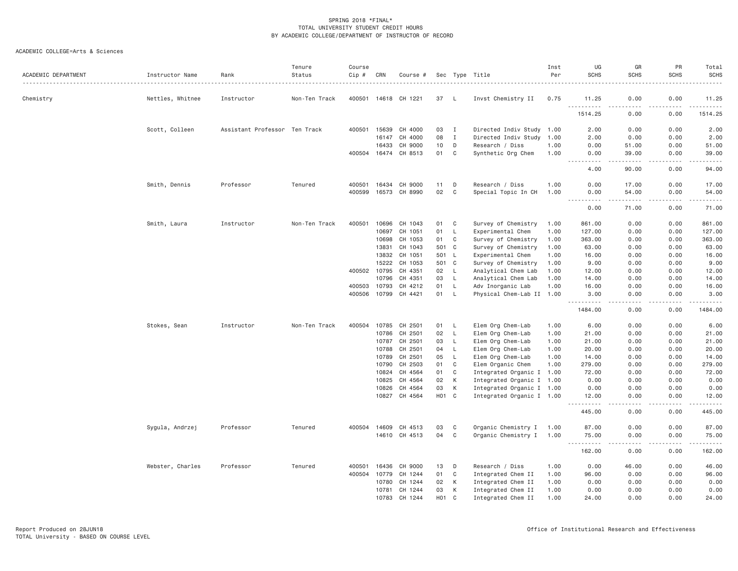| ACADEMIC DEPARTMENT | Instructor Name  | Rank                          | Tenure<br>Status | Course<br>Cip # | CRN   | Course #             |                  |              | Sec Type Title            | Inst<br>Per | UG<br><b>SCHS</b>                                                                                                                                         | GR<br><b>SCHS</b>     | PR<br><b>SCHS</b>                                                                                                                 | Total<br><b>SCHS</b>                        |
|---------------------|------------------|-------------------------------|------------------|-----------------|-------|----------------------|------------------|--------------|---------------------------|-------------|-----------------------------------------------------------------------------------------------------------------------------------------------------------|-----------------------|-----------------------------------------------------------------------------------------------------------------------------------|---------------------------------------------|
| Chemistry           | Nettles, Whitnee | Instructor                    | Non-Ten Track    |                 |       | 400501 14618 CH 1221 | 37               | L.           | Invst Chemistry II        | 0.75        | 11.25                                                                                                                                                     | 0.00                  | 0.00                                                                                                                              | 11.25                                       |
|                     |                  |                               |                  |                 |       |                      |                  |              |                           |             | .<br>1514.25                                                                                                                                              | .<br>0.00             | 0.00                                                                                                                              | .<br>1514.25                                |
|                     | Scott, Colleen   | Assistant Professor Ten Track |                  | 400501          | 15639 | CH 4000              | 03               | I            | Directed Indiv Study 1.00 |             | 2.00                                                                                                                                                      | 0.00                  | 0.00                                                                                                                              | 2.00                                        |
|                     |                  |                               |                  |                 | 16147 | CH 4000              | 08               | $\mathbf{I}$ | Directed Indiv Study      | 1.00        | 2.00                                                                                                                                                      | 0.00                  | 0.00                                                                                                                              | 2.00                                        |
|                     |                  |                               |                  |                 | 16433 | CH 9000              | 10               | D            | Research / Diss           | 1.00        | 0.00                                                                                                                                                      | 51.00                 | 0.00                                                                                                                              | 51.00                                       |
|                     |                  |                               |                  | 400504          | 16474 | CH 8513              | 01               | $\mathsf{C}$ | Synthetic Org Chem        | 1.00        | 0.00<br>.<br>$\frac{1}{2}$                                                                                                                                | 39.00<br>.            | 0.00<br>.                                                                                                                         | 39.00<br>.                                  |
|                     |                  |                               |                  |                 |       |                      |                  |              |                           |             | 4.00                                                                                                                                                      | 90.00                 | 0.00                                                                                                                              | 94.00                                       |
|                     | Smith, Dennis    | Professor                     | Tenured          | 400501          | 16434 | CH 9000              | 11               | D            | Research / Diss           | 1.00        | 0.00                                                                                                                                                      | 17.00                 | 0.00                                                                                                                              | 17.00                                       |
|                     |                  |                               |                  | 400599          | 16573 | CH 8990              | 02               | $\mathsf{C}$ | Special Topic In CH       | 1.00        | 0.00<br>$\sim$ $\sim$ $\sim$<br>$\frac{1}{2} \left( \frac{1}{2} \right) \left( \frac{1}{2} \right) \left( \frac{1}{2} \right) \left( \frac{1}{2} \right)$ | 54.00<br>.            | 0.00<br>$\sim$ $\sim$ $\sim$                                                                                                      | 54.00<br>$\sim$ $\sim$ $\sim$ $\sim$ $\sim$ |
|                     |                  |                               |                  |                 |       |                      |                  |              |                           |             | 0.00                                                                                                                                                      | 71.00                 | 0.00                                                                                                                              | 71.00                                       |
|                     | Smith, Laura     | Instructor                    | Non-Ten Track    | 400501          | 10696 | CH 1043              | 01               | C            | Survey of Chemistry       | 1.00        | 861.00                                                                                                                                                    | 0.00                  | 0.00                                                                                                                              | 861.00                                      |
|                     |                  |                               |                  |                 | 10697 | CH 1051              | 01               | L            | Experimental Chem         | 1.00        | 127.00                                                                                                                                                    | 0.00                  | 0.00                                                                                                                              | 127.00                                      |
|                     |                  |                               |                  |                 | 10698 | CH 1053              | 01               | C            | Survey of Chemistry       | 1.00        | 363.00                                                                                                                                                    | 0.00                  | 0.00                                                                                                                              | 363.00                                      |
|                     |                  |                               |                  |                 | 13831 | CH 1043              | 501              | C            | Survey of Chemistry       | 1.00        | 63.00                                                                                                                                                     | 0.00                  | 0.00                                                                                                                              | 63.00                                       |
|                     |                  |                               |                  |                 | 13832 | CH 1051              | 501              | - L          | Experimental Chem         | 1.00        | 16.00                                                                                                                                                     | 0.00                  | 0.00                                                                                                                              | 16.00                                       |
|                     |                  |                               |                  |                 | 15222 | CH 1053              | 501              | C            | Survey of Chemistry       | 1.00        | 9.00                                                                                                                                                      | 0.00                  | 0.00                                                                                                                              | 9.00                                        |
|                     |                  |                               |                  | 400502          | 10795 | CH 4351              | 02               | L            | Analytical Chem Lab       | 1,00        | 12.00                                                                                                                                                     | 0.00                  | 0.00                                                                                                                              | 12.00                                       |
|                     |                  |                               |                  |                 | 10796 | CH 4351              | 03               | $\mathsf{L}$ | Analytical Chem Lab       | 1.00        | 14.00                                                                                                                                                     | 0.00                  | 0.00                                                                                                                              | 14.00                                       |
|                     |                  |                               |                  | 400503          | 10793 | CH 4212              | 01               | L            | Adv Inorganic Lab         | 1.00        | 16.00                                                                                                                                                     | 0.00                  | 0.00                                                                                                                              | 16.00                                       |
|                     |                  |                               |                  | 400506          | 10799 | CH 4421              | 01               | L            | Physical Chem-Lab II 1.00 |             | 3.00<br>.                                                                                                                                                 | 0.00<br>$\frac{1}{2}$ | 0.00<br>.                                                                                                                         | 3.00<br><u>.</u>                            |
|                     |                  |                               |                  |                 |       |                      |                  |              |                           |             | 1484.00                                                                                                                                                   | 0.00                  | 0.00                                                                                                                              | 1484.00                                     |
|                     | Stokes, Sean     | Instructor                    | Non-Ten Track    | 400504          | 10785 | CH 2501              | 01               | L            | Elem Org Chem-Lab         | 1.00        | 6.00                                                                                                                                                      | 0.00                  | 0.00                                                                                                                              | 6.00                                        |
|                     |                  |                               |                  |                 | 10786 | CH 2501              | 02               | L            | Elem Org Chem-Lab         | 1.00        | 21.00                                                                                                                                                     | 0.00                  | 0.00                                                                                                                              | 21.00                                       |
|                     |                  |                               |                  |                 | 10787 | CH 2501              | 03               | L            | Elem Org Chem-Lab         | 1.00        | 21.00                                                                                                                                                     | 0.00                  | 0.00                                                                                                                              | 21.00                                       |
|                     |                  |                               |                  |                 | 10788 | CH 2501              | 04               | L            | Elem Org Chem-Lab         | 1.00        | 20.00                                                                                                                                                     | 0.00                  | 0.00                                                                                                                              | 20.00                                       |
|                     |                  |                               |                  |                 | 10789 | CH 2501              | 05               | L            | Elem Org Chem-Lab         | 1.00        | 14.00                                                                                                                                                     | 0.00                  | 0.00                                                                                                                              | 14.00                                       |
|                     |                  |                               |                  |                 | 10790 | CH 2503              | 01               | C            | Elem Organic Chem         | 1.00        | 279.00                                                                                                                                                    | 0.00                  | 0.00                                                                                                                              | 279.00                                      |
|                     |                  |                               |                  |                 | 10824 | CH 4564              | 01               | C            | Integrated Organic I 1.00 |             | 72.00                                                                                                                                                     | 0.00                  | 0.00                                                                                                                              | 72.00                                       |
|                     |                  |                               |                  |                 | 10825 | CH 4564              | 02               | К            | Integrated Organic I 1.00 |             | 0.00                                                                                                                                                      | 0.00                  | 0.00                                                                                                                              | 0.00                                        |
|                     |                  |                               |                  |                 | 10826 | CH 4564              | 03               | К            | Integrated Organic I 1.00 |             | 0.00                                                                                                                                                      | 0.00                  | 0.00                                                                                                                              | 0.00                                        |
|                     |                  |                               |                  |                 |       | 10827 CH 4564        | H <sub>0</sub> 1 | $\mathbf C$  | Integrated Organic I 1.00 |             | 12.00<br>$\sim$ $\sim$ $\sim$                                                                                                                             | 0.00                  | 0.00                                                                                                                              | 12.00<br>.                                  |
|                     |                  |                               |                  |                 |       |                      |                  |              |                           |             | 445.00                                                                                                                                                    | 0.00                  | 0.00                                                                                                                              | 445.00                                      |
|                     | Sygula, Andrzej  | Professor                     | Tenured          | 400504          | 14609 | CH 4513              | 03               | C            | Organic Chemistry I 1.00  |             | 87.00                                                                                                                                                     | 0.00                  | 0.00                                                                                                                              | 87.00                                       |
|                     |                  |                               |                  |                 | 14610 | CH 4513              | 04               | C            | Organic Chemistry I 1.00  |             | 75.00<br>$\sim$ $\sim$ $\sim$<br>. <b>.</b>                                                                                                               | 0.00<br>$- - - -$     | 0.00<br>$\frac{1}{2} \left( \frac{1}{2} \right) \left( \frac{1}{2} \right) \left( \frac{1}{2} \right) \left( \frac{1}{2} \right)$ | 75.00<br>.                                  |
|                     |                  |                               |                  |                 |       |                      |                  |              |                           |             | 162.00                                                                                                                                                    | 0.00                  | 0.00                                                                                                                              | 162.00                                      |
|                     | Webster, Charles | Professor                     | Tenured          | 400501          | 16436 | CH 9000              | 13               | D            | Research / Diss           | 1.00        | 0.00                                                                                                                                                      | 46.00                 | 0.00                                                                                                                              | 46.00                                       |
|                     |                  |                               |                  | 400504          | 10779 | CH 1244              | 01               | C            | Integrated Chem II        | 1.00        | 96.00                                                                                                                                                     | 0.00                  | 0.00                                                                                                                              | 96.00                                       |
|                     |                  |                               |                  |                 | 10780 | CH 1244              | 02               | К            | Integrated Chem II        | 1.00        | 0.00                                                                                                                                                      | 0.00                  | 0.00                                                                                                                              | 0.00                                        |
|                     |                  |                               |                  |                 | 10781 | CH 1244              | 03               | К            | Integrated Chem II        | 1.00        | 0.00                                                                                                                                                      | 0.00                  | 0.00                                                                                                                              | 0.00                                        |
|                     |                  |                               |                  |                 | 10783 | CH 1244              | <b>HO1</b>       | $\mathsf{C}$ | Integrated Chem II        | 1,00        | 24,00                                                                                                                                                     | 0.00                  | 0.00                                                                                                                              | 24,00                                       |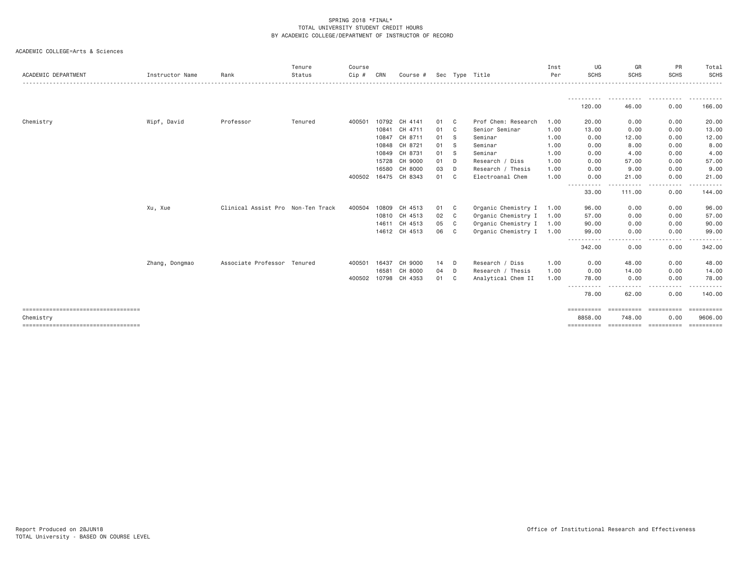| ACADEMIC DEPARTMENT                               | Instructor Name | Rank                              | Tenure<br>Status | Course<br>Cip # | CRN   | Course #             | Sec |              | Type Title          | Inst<br>Per | UG<br><b>SCHS</b>                  | GR<br><b>SCHS</b>   | <b>PR</b><br><b>SCHS</b> | Total<br><b>SCHS</b><br>. |
|---------------------------------------------------|-----------------|-----------------------------------|------------------|-----------------|-------|----------------------|-----|--------------|---------------------|-------------|------------------------------------|---------------------|--------------------------|---------------------------|
|                                                   |                 |                                   |                  |                 |       |                      |     |              |                     |             |                                    |                     |                          |                           |
|                                                   |                 |                                   |                  |                 |       |                      |     |              |                     |             | 120.00                             | 46.00               | 0.00                     | 166.00                    |
| Chemistry                                         | Wipf, David     | Professor                         | Tenured          | 400501          | 10792 | CH 4141              | 01  | C            | Prof Chem: Research | 1.00        | 20.00                              | 0.00                | 0.00                     | 20.00                     |
|                                                   |                 |                                   |                  |                 | 10841 | CH 4711              | 01  | C.           | Senior Seminar      | 1.00        | 13,00                              | 0.00                | 0.00                     | 13.00                     |
|                                                   |                 |                                   |                  |                 | 10847 | CH 8711              | 01  | - S          | Seminar             | 1.00        | 0.00                               | 12.00               | 0.00                     | 12.00                     |
|                                                   |                 |                                   |                  |                 |       | 10848 CH 8721        | 01  | - S          | Seminar             | 1.00        | 0.00                               | 8.00                | 0.00                     | 8.00                      |
|                                                   |                 |                                   |                  |                 | 10849 | CH 8731              | 01  | -S           | Seminar             | 1.00        | 0.00                               | 4.00                | 0.00                     | 4.00                      |
|                                                   |                 |                                   |                  |                 | 15728 | CH 9000              | 01  | D            | Research / Diss     | 1.00        | 0.00                               | 57.00               | 0.00                     | 57.00                     |
|                                                   |                 |                                   |                  |                 | 16580 | CH 8000              | 03  | D            | Research / Thesis   | 1.00        | 0.00                               | 9.00                | 0.00                     | 9.00                      |
|                                                   |                 |                                   |                  |                 |       | 400502 16475 CH 8343 | 01  | C            | Electroanal Chem    | 1.00        | 0.00                               | 21.00               | 0.00                     | 21.00                     |
|                                                   |                 |                                   |                  |                 |       |                      |     |              |                     |             | $\cdots$<br>$\cdots$<br>33.00      | 111.00              | -----<br>0.00            | 144.00                    |
|                                                   | Xu, Xue         | Clinical Assist Pro Non-Ten Track |                  | 400504          | 10809 | CH 4513              | 01  | C            | Organic Chemistry I | 1.00        | 96.00                              | 0.00                | 0.00                     | 96.00                     |
|                                                   |                 |                                   |                  |                 |       | 10810 CH 4513        | 02  | $\mathbf{C}$ | Organic Chemistry I | 1.00        | 57.00                              | 0.00                | 0.00                     | 57.00                     |
|                                                   |                 |                                   |                  |                 | 14611 | CH 4513              | 05  | $\mathbf{C}$ | Organic Chemistry I | 1.00        | 90.00                              | 0.00                | 0.00                     | 90.00                     |
|                                                   |                 |                                   |                  |                 |       | 14612 CH 4513        | 06  | $\mathbf{C}$ | Organic Chemistry I | 1.00        | 99.00                              | 0.00                | 0.00                     | 99.00                     |
|                                                   |                 |                                   |                  |                 |       |                      |     |              |                     |             | 342.00                             | 0.00                | .<br>0.00                | 342.00                    |
|                                                   | Zhang, Dongmao  | Associate Professor Tenured       |                  | 400501          | 16437 | CH 9000              | 14  | D            | Research / Diss     | 1.00        | 0.00                               | 48.00               | 0.00                     | 48.00                     |
|                                                   |                 |                                   |                  |                 | 16581 | CH 8000              | 04  | D            | Research / Thesis   | 1.00        | 0.00                               | 14.00               | 0.00                     | 14.00                     |
|                                                   |                 |                                   |                  | 400502 10798    |       | CH 4353              | 01  | C            | Analytical Chem II  | 1.00        | 78.00<br>----------                | 0.00                | 0.00<br>-----            | 78.00                     |
|                                                   |                 |                                   |                  |                 |       |                      |     |              |                     |             | 78.00                              | 62.00               | 0.00                     | 140.00                    |
| ====================================<br>Chemistry |                 |                                   |                  |                 |       |                      |     |              |                     |             | $=$ = = = = = = = = = =<br>8858.00 | eesseesse<br>748.00 | -----------<br>0.00      | $=$ ==========<br>9606.00 |
| =====================================             |                 |                                   |                  |                 |       |                      |     |              |                     |             | ==========                         | -----------         | -----------              |                           |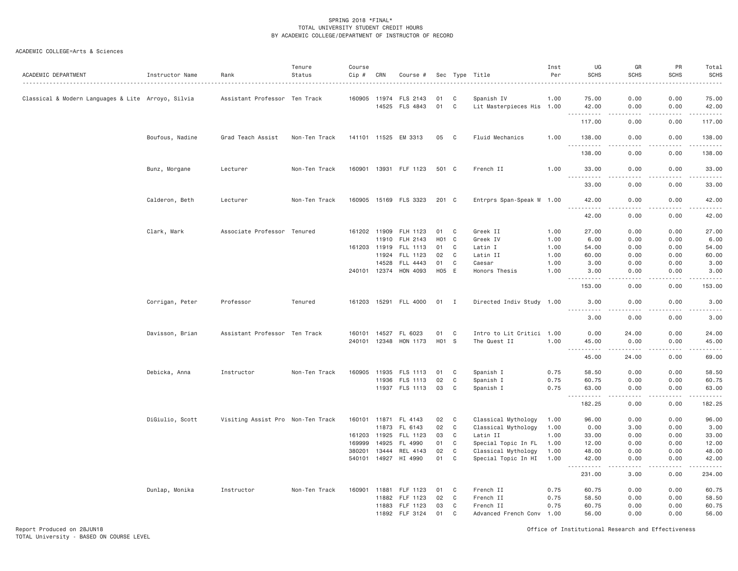| ACADEMIC DEPARTMENT                                | Instructor Name | Rank                              | Tenure<br>Status | Course<br>Cip # | CRN   | Course #                                |                  |                | Sec Type Title                          | Inst<br>Per  | UG<br><b>SCHS</b>                   | GR<br><b>SCHS</b>                                                                                                                                            | PR<br>SCHS    | Total<br><b>SCHS</b><br>. |
|----------------------------------------------------|-----------------|-----------------------------------|------------------|-----------------|-------|-----------------------------------------|------------------|----------------|-----------------------------------------|--------------|-------------------------------------|--------------------------------------------------------------------------------------------------------------------------------------------------------------|---------------|---------------------------|
| Classical & Modern Languages & Lite Arroyo, Silvia |                 | Assistant Professor Ten Track     |                  |                 |       | 160905 11974 FLS 2143<br>14525 FLS 4843 | 01<br>01         | C<br>C         | Spanish IV<br>Lit Masterpieces His 1.00 | 1.00         | 75.00<br>42.00                      | 0.00<br>0.00                                                                                                                                                 | 0.00<br>0.00  | 75.00<br>42.00            |
|                                                    |                 |                                   |                  |                 |       |                                         |                  |                |                                         |              | ----------<br>117.00                | .<br>0.00                                                                                                                                                    | .<br>0.00     | .<br>117.00               |
|                                                    | Boufous, Nadine | Grad Teach Assist                 | Non-Ten Track    |                 |       | 141101 11525 EM 3313                    | 05               | C              | Fluid Mechanics                         | 1.00         | 138.00                              | 0.00                                                                                                                                                         | 0.00          | 138.00                    |
|                                                    |                 |                                   |                  |                 |       |                                         |                  |                |                                         |              | $\sim$ $\sim$ $\sim$<br>.<br>138.00 | 0.00                                                                                                                                                         | 0.00          | 138.00                    |
|                                                    | Bunz, Morgane   | Lecturer                          | Non-Ten Track    |                 |       | 160901 13931 FLF 1123                   | 501 C            |                | French II                               | 1.00         | 33.00<br>.                          | 0.00<br>.                                                                                                                                                    | 0.00<br>.     | 33.00<br><u>.</u>         |
|                                                    |                 |                                   |                  |                 |       |                                         |                  |                |                                         |              | 33.00                               | 0.00                                                                                                                                                         | 0.00          | 33.00                     |
|                                                    | Calderon, Beth  | Lecturer                          | Non-Ten Track    |                 |       | 160905 15169 FLS 3323                   | 201 C            |                | Entrprs Span-Speak W 1.00               |              | 42.00<br>.                          | 0.00<br>.                                                                                                                                                    | 0.00<br>.     | 42.00<br>.                |
|                                                    |                 |                                   |                  |                 |       |                                         |                  |                |                                         |              | 42.00                               | 0.00                                                                                                                                                         | 0.00          | 42.00                     |
|                                                    | Clark, Mark     | Associate Professor Tenured       |                  | 161202 11909    |       | FLH 1123                                | 01               | C              | Greek II                                | 1.00         | 27.00                               | 0.00                                                                                                                                                         | 0.00          | 27.00                     |
|                                                    |                 |                                   |                  |                 | 11910 | FLH 2143                                | H <sub>0</sub> 1 | C <sub>1</sub> | Greek IV                                | 1.00         | 6.00                                | 0.00                                                                                                                                                         | 0.00          | 6.00                      |
|                                                    |                 |                                   |                  | 161203 11919    |       | FLL 1113                                | 01               | C              | Latin I                                 | 1.00         | 54.00                               | 0.00                                                                                                                                                         | 0.00          | 54.00                     |
|                                                    |                 |                                   |                  |                 | 11924 | FLL 1123                                | 02               | C              | Latin II                                | 1.00         | 60.00                               | 0.00                                                                                                                                                         | 0.00          | 60.00                     |
|                                                    |                 |                                   |                  |                 | 14528 | FLL 4443<br>240101 12374 HON 4093       | 01<br>H05 E      | C              | Caesar<br>Honors Thesis                 | 1.00<br>1.00 | 3.00<br>3.00                        | 0.00<br>0.00                                                                                                                                                 | 0.00<br>0.00  | 3.00<br>3.00              |
|                                                    |                 |                                   |                  |                 |       |                                         |                  |                |                                         |              | <u>.</u><br>153.00                  | 0.00                                                                                                                                                         | .<br>0.00     | .<br>153.00               |
|                                                    | Corrigan, Peter | Professor                         | Tenured          |                 |       | 161203 15291 FLL 4000                   | 01 I             |                | Directed Indiv Study 1.00               |              | 3.00<br><u>.</u>                    | 0.00                                                                                                                                                         | 0.00          | 3.00<br>.                 |
|                                                    |                 |                                   |                  |                 |       |                                         |                  |                |                                         |              | 3.00                                | 0.00                                                                                                                                                         | 0.00          | 3.00                      |
|                                                    | Davisson, Brian | Assistant Professor Ten Track     |                  | 160101          | 14527 | FL 6023                                 | 01               | C              | Intro to Lit Critici 1.00               |              | 0.00                                | 24.00                                                                                                                                                        | 0.00          | 24.00                     |
|                                                    |                 |                                   |                  | 240101 12348    |       | HON 1173                                | H01 S            |                | The Quest II                            | 1.00         | 45.00<br>. <b>.</b>                 | 0.00<br>$\frac{1}{2} \left( \frac{1}{2} \right) \left( \frac{1}{2} \right) \left( \frac{1}{2} \right) \left( \frac{1}{2} \right) \left( \frac{1}{2} \right)$ | 0.00<br>.     | 45.00<br>.                |
|                                                    |                 |                                   |                  |                 |       |                                         |                  |                |                                         |              | 45.00                               | 24.00                                                                                                                                                        | 0.00          | 69.00                     |
|                                                    | Debicka, Anna   | Instructor                        | Non-Ten Track    | 160905          | 11935 | FLS 1113                                | 01               | C              | Spanish I                               | 0.75         | 58.50                               | 0.00                                                                                                                                                         | 0.00          | 58.50                     |
|                                                    |                 |                                   |                  |                 | 11936 | FLS 1113                                | 02               | C              | Spanish I                               | 0.75         | 60.75                               | 0.00                                                                                                                                                         | 0.00          | 60.75                     |
|                                                    |                 |                                   |                  |                 |       | 11937 FLS 1113                          | 03               | $\mathbf{C}$   | Spanish I                               | 0.75         | 63.00<br>.                          | 0.00<br>.                                                                                                                                                    | 0.00<br>.     | 63.00<br>.                |
|                                                    |                 |                                   |                  |                 |       |                                         |                  |                |                                         |              | 182.25                              | 0.00                                                                                                                                                         | 0.00          | 182.25                    |
|                                                    | DiGiulio, Scott | Visiting Assist Pro Non-Ten Track |                  |                 |       | 160101 11871 FL 4143                    | 02               | C              | Classical Mythology                     | 1.00         | 96.00                               | 0.00                                                                                                                                                         | 0.00          | 96.00                     |
|                                                    |                 |                                   |                  |                 | 11873 | FL 6143                                 | 02               | C              | Classical Mythology                     | 1.00         | 0.00                                | 3.00                                                                                                                                                         | 0.00          | 3.00                      |
|                                                    |                 |                                   |                  | 161203 11925    |       | FLL 1123                                | 03               | C              | Latin II                                | 1.00         | 33.00                               | 0.00                                                                                                                                                         | 0.00          | 33.00                     |
|                                                    |                 |                                   |                  | 169999          | 14925 | FL 4990                                 | 01               | C              | Special Topic In FL                     | 1.00         | 12.00                               | 0.00                                                                                                                                                         | 0.00          | 12.00                     |
|                                                    |                 |                                   |                  | 380201 13444    |       | REL 4143                                | 02               | C              | Classical Mythology                     | 1.00         | 48.00                               | 0.00                                                                                                                                                         | 0.00          | 48.00                     |
|                                                    |                 |                                   |                  |                 |       | 540101 14927 HI 4990                    | 01               | C              | Special Topic In HI                     | 1.00         | 42.00<br>.                          | 0.00<br>.                                                                                                                                                    | 0.00<br>----- | 42.00<br><u>.</u>         |
|                                                    |                 |                                   |                  |                 |       |                                         |                  |                |                                         |              | 231.00                              | 3.00                                                                                                                                                         | 0.00          | 234.00                    |
|                                                    | Dunlap, Monika  | Instructor                        | Non-Ten Track    | 160901          | 11881 | FLF 1123                                | 01               | C              | French II                               | 0.75         | 60.75                               | 0.00                                                                                                                                                         | 0.00          | 60.75                     |
|                                                    |                 |                                   |                  |                 | 11882 | FLF 1123                                | 02               | C              | French II                               | 0.75         | 58.50                               | 0.00                                                                                                                                                         | 0.00          | 58.50                     |
|                                                    |                 |                                   |                  |                 |       | 11883 FLF 1123                          | 03               | $\mathbf{C}$   | French II                               | 0.75         | 60.75                               | 0.00                                                                                                                                                         | 0.00          | 60.75                     |
|                                                    |                 |                                   |                  |                 |       | 11892 FLF 3124                          | 01               | C              | Advanced French Conv 1.00               |              | 56.00                               | 0.00                                                                                                                                                         | 0.00          | 56.00                     |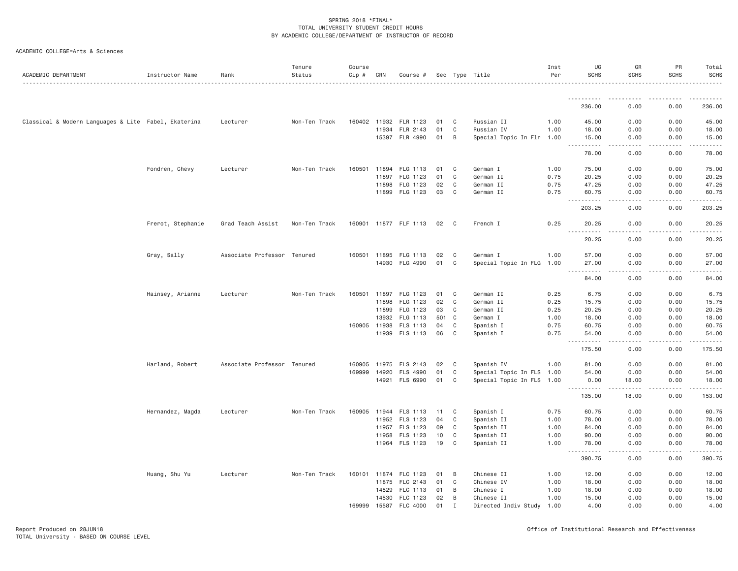| ACADEMIC DEPARTMENT                                  | Instructor Name   | Rank                        | Tenure<br>Status | Course<br>Cip # | CRN   | Course #              |     |              | Sec Type Title            | Inst<br>Per | UG<br><b>SCHS</b>   | GR<br><b>SCHS</b> | PR<br><b>SCHS</b> | Total<br><b>SCHS</b>     |
|------------------------------------------------------|-------------------|-----------------------------|------------------|-----------------|-------|-----------------------|-----|--------------|---------------------------|-------------|---------------------|-------------------|-------------------|--------------------------|
|                                                      |                   |                             |                  |                 |       |                       |     |              |                           |             | <u>.</u>            |                   |                   |                          |
|                                                      |                   |                             |                  |                 |       |                       |     |              |                           |             | 236.00              | 0.00              | 0.00              | 236.00                   |
| Classical & Modern Languages & Lite Fabel, Ekaterina |                   | Lecturer                    | Non-Ten Track    |                 |       | 160402 11932 FLR 1123 | 01  | C            | Russian II                | 1.00        | 45.00               | 0.00              | 0.00              | 45.00                    |
|                                                      |                   |                             |                  |                 | 11934 | FLR 2143              | 01  | $\mathbf{C}$ | Russian IV                | 1.00        | 18.00               | 0.00              | 0.00              | 18.00                    |
|                                                      |                   |                             |                  |                 |       | 15397 FLR 4990        | 01  | B            | Special Topic In Flr 1.00 |             | 15.00<br>.          | 0.00<br>.         | 0.00<br>.         | 15.00<br>.               |
|                                                      |                   |                             |                  |                 |       |                       |     |              |                           |             | 78.00               | 0.00              | 0.00              | 78.00                    |
|                                                      | Fondren, Chevy    | Lecturer                    | Non-Ten Track    |                 |       | 160501 11894 FLG 1113 | 01  | C            | German I                  | 1.00        | 75.00               | 0.00              | 0.00              | 75.00                    |
|                                                      |                   |                             |                  |                 |       | 11897 FLG 1123        | 01  | C            | German II                 | 0.75        | 20.25               | 0.00              | 0.00              | 20.25                    |
|                                                      |                   |                             |                  |                 | 11898 | FLG 1123              | 02  | C            | German II                 | 0.75        | 47.25               | 0.00              | 0.00              | 47.25                    |
|                                                      |                   |                             |                  |                 |       | 11899 FLG 1123        | 03  | C            | German II                 | 0.75        | 60.75<br>.          | 0.00              | 0.00              | 60.75                    |
|                                                      |                   |                             |                  |                 |       |                       |     |              |                           |             | 203.25              | 0.00              | 0.00              | 203.25                   |
|                                                      | Frerot, Stephanie | Grad Teach Assist           | Non-Ten Track    |                 |       | 160901 11877 FLF 1113 | 02  | C            | French I                  | 0.25        | 20.25<br><u>.</u>   | 0.00              | 0.00              | 20.25<br>.               |
|                                                      |                   |                             |                  |                 |       |                       |     |              |                           |             | 20.25               | 0.00              | 0.00              | 20.25                    |
|                                                      | Gray, Sally       | Associate Professor Tenured |                  | 160501 11895    |       | FLG 1113              | 02  | C            | German I                  | 1.00        | 57.00               | 0.00              | 0.00              | 57.00                    |
|                                                      |                   |                             |                  |                 | 14930 | FLG 4990              | 01  | C            | Special Topic In FLG 1.00 |             | 27.00               | 0.00              | 0.00              | 27.00                    |
|                                                      |                   |                             |                  |                 |       |                       |     |              |                           |             | .                   | .                 | .                 | .                        |
|                                                      |                   |                             |                  |                 |       |                       |     |              |                           |             | 84.00               | 0.00              | 0.00              | 84.00                    |
|                                                      | Hainsey, Arianne  | Lecturer                    | Non-Ten Track    | 160501          | 11897 | FLG 1123              | 01  | C            | German II                 | 0.25        | 6.75                | 0.00              | 0.00              | 6.75                     |
|                                                      |                   |                             |                  |                 | 11898 | FLG 1123              | 02  | C            | German II                 | 0.25        | 15.75               | 0.00              | 0.00              | 15.75                    |
|                                                      |                   |                             |                  |                 | 11899 | FLG 1123              | 03  | C            | German II                 | 0.25        | 20.25               | 0.00              | 0.00              | 20.25                    |
|                                                      |                   |                             |                  |                 | 13932 | FLG 1113              | 501 | C            | German I                  | 1.00        | 18.00               | 0.00              | 0.00              | 18.00                    |
|                                                      |                   |                             |                  | 160905 11938    |       | FLS 1113              | 04  | C            | Spanish I                 | 0.75        | 60.75               | 0.00              | 0.00              | 60.75                    |
|                                                      |                   |                             |                  |                 |       | 11939 FLS 1113        | 06  | $\mathbf{C}$ | Spanish I                 | 0.75        | 54.00<br><u>.</u>   | 0.00<br>.         | 0.00<br>-----     | 54.00<br>.               |
|                                                      |                   |                             |                  |                 |       |                       |     |              |                           |             | 175.50              | 0.00              | 0.00              | 175.50                   |
|                                                      | Harland, Robert   | Associate Professor Tenured |                  | 160905          | 11975 | FLS 2143              | 02  | C            | Spanish IV                | 1.00        | 81.00               | 0.00              | 0.00              | 81.00                    |
|                                                      |                   |                             |                  | 169999          | 14920 | <b>FLS 4990</b>       | 01  | C            | Special Topic In FLS 1.00 |             | 54.00               | 0.00              | 0.00              | 54.00                    |
|                                                      |                   |                             |                  |                 |       | 14921 FLS 6990        | 01  | C            | Special Topic In FLS 1.00 |             | 0.00<br>.           | 18.00<br>.        | 0.00<br>.         | 18.00<br>$- - - - - - -$ |
|                                                      |                   |                             |                  |                 |       |                       |     |              |                           |             | 135.00              | 18.00             | 0.00              | 153.00                   |
|                                                      | Hernandez, Magda  | Lecturer                    | Non-Ten Track    |                 |       | 160905 11944 FLS 1113 | 11  | C            | Spanish I                 | 0.75        | 60.75               | 0.00              | 0.00              | 60.75                    |
|                                                      |                   |                             |                  |                 | 11952 | FLS 1123              | 04  | C            | Spanish II                | 1.00        | 78.00               | 0.00              | 0.00              | 78.00                    |
|                                                      |                   |                             |                  |                 |       | 11957 FLS 1123        | 09  | C            | Spanish II                | 1.00        | 84.00               | 0.00              | 0.00              | 84.00                    |
|                                                      |                   |                             |                  |                 | 11958 | FLS 1123              | 10  | C            | Spanish II                | 1.00        | 90.00               | 0.00              | 0.00              | 90.00                    |
|                                                      |                   |                             |                  |                 |       | 11964 FLS 1123        | 19  | C            | Spanish II                | 1.00        | 78.00<br>. <b>.</b> | 0.00<br>.         | 0.00<br>.         | 78.00<br>.               |
|                                                      |                   |                             |                  |                 |       |                       |     |              |                           |             | 390.75              | 0.00              | 0.00              | 390.75                   |
|                                                      | Huang, Shu Yu     | Lecturer                    | Non-Ten Track    |                 |       | 160101 11874 FLC 1123 | 01  | B            | Chinese II                | 1.00        | 12.00               | 0.00              | 0.00              | 12.00                    |
|                                                      |                   |                             |                  |                 | 11875 | FLC 2143              | 01  | C            | Chinese IV                | 1.00        | 18.00               | 0.00              | 0.00              | 18.00                    |
|                                                      |                   |                             |                  |                 | 14529 | FLC 1113              | 01  | B            | Chinese I                 | 1.00        | 18.00               | 0.00              | 0.00              | 18.00                    |
|                                                      |                   |                             |                  |                 | 14530 | FLC 1123              | 02  | B            | Chinese II                | 1.00        | 15.00               | 0.00              | 0.00              | 15.00                    |
|                                                      |                   |                             |                  |                 |       | 169999 15587 FLC 4000 | 01  | Ι.           | Directed Indiv Study 1.00 |             | 4.00                | 0.00              | 0.00              | 4.00                     |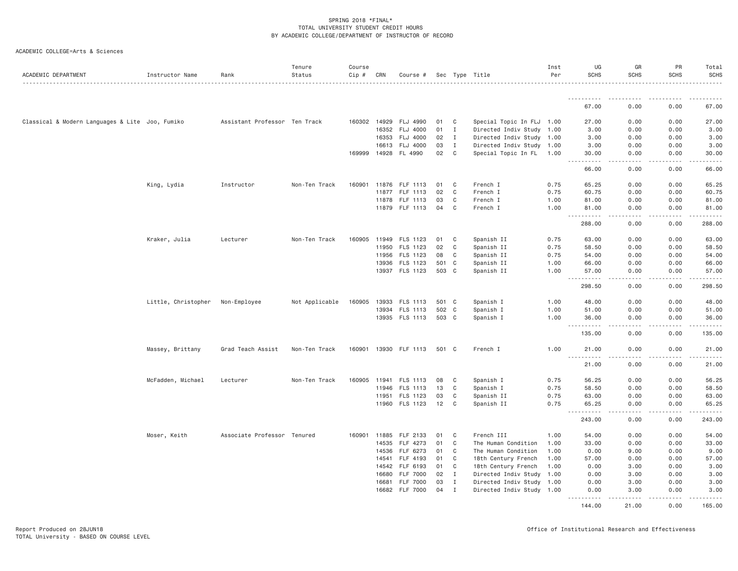| ACADEMIC DEPARTMENT                             | Instructor Name     | Rank                          | Tenure<br>Status | Course<br>$Cip \#$ | CRN   | Course #              |       |              | Sec Type Title            | Inst<br>Per | UG<br><b>SCHS</b>        | GR<br><b>SCHS</b> | PR<br><b>SCHS</b>                          | Total<br><b>SCHS</b>          |
|-------------------------------------------------|---------------------|-------------------------------|------------------|--------------------|-------|-----------------------|-------|--------------|---------------------------|-------------|--------------------------|-------------------|--------------------------------------------|-------------------------------|
|                                                 |                     |                               |                  |                    |       |                       |       |              |                           |             | ----------               |                   |                                            |                               |
|                                                 |                     |                               |                  |                    |       |                       |       |              |                           |             | 67.00                    | 0.00              | 0.00                                       | 67.00                         |
| Classical & Modern Languages & Lite Joo, Fumiko |                     | Assistant Professor Ten Track |                  |                    |       | 160302 14929 FLJ 4990 | 01    | C            | Special Topic In FLJ 1.00 |             | 27.00                    | 0.00              | 0.00                                       | 27.00                         |
|                                                 |                     |                               |                  |                    |       | 16352 FLJ 4000        | 01    | $\mathbf{I}$ | Directed Indiv Study 1.00 |             | 3.00                     | 0.00              | 0.00                                       | 3.00                          |
|                                                 |                     |                               |                  |                    | 16353 | FLJ 4000              | 02    | $\mathbf{I}$ | Directed Indiv Study 1.00 |             | 3.00                     | 0.00              | 0.00                                       | 3.00                          |
|                                                 |                     |                               |                  |                    | 16613 | <b>FLJ 4000</b>       | 03    | $\mathbf{I}$ | Directed Indiv Study 1.00 |             | 3.00                     | 0.00              | 0.00                                       | 3.00                          |
|                                                 |                     |                               |                  |                    |       | 169999 14928 FL 4990  | 02    | C            | Special Topic In FL 1.00  |             | 30.00<br>$- - - - -$     | 0.00<br>.         | 0.00<br>.                                  | 30.00<br>.                    |
|                                                 |                     |                               |                  |                    |       |                       |       |              |                           |             | 66.00                    | 0.00              | 0.00                                       | 66.00                         |
|                                                 | King, Lydia         | Instructor                    | Non-Ten Track    | 160901             |       | 11876 FLF 1113        | 01    | C            | French I                  | 0.75        | 65.25                    | 0.00              | 0.00                                       | 65.25                         |
|                                                 |                     |                               |                  |                    |       | 11877 FLF 1113        | 02    | C            | French I                  | 0.75        | 60.75                    | 0.00              | 0.00                                       | 60.75                         |
|                                                 |                     |                               |                  |                    | 11878 | FLF 1113              | 03    | C            | French I                  | 1.00        | 81.00                    | 0.00              | 0.00                                       | 81.00                         |
|                                                 |                     |                               |                  |                    |       | 11879 FLF 1113        | 04    | C            | French I                  | 1.00        | 81.00<br>.               | 0.00<br>.         | 0.00<br>$\omega$ is $\omega$ in $\omega$ . | 81.00<br>$\omega$ is a second |
|                                                 |                     |                               |                  |                    |       |                       |       |              |                           |             | 288.00                   | 0.00              | 0.00                                       | 288.00                        |
|                                                 | Kraker, Julia       | Lecturer                      | Non-Ten Track    | 160905             | 11949 | FLS 1123              | 01    | C            | Spanish II                | 0.75        | 63.00                    | 0.00              | 0.00                                       | 63.00                         |
|                                                 |                     |                               |                  |                    | 11950 | FLS 1123              | 02    | C            | Spanish II                | 0.75        | 58.50                    | 0.00              | 0.00                                       | 58.50                         |
|                                                 |                     |                               |                  |                    |       | 11956 FLS 1123        | 08    | C            | Spanish II                | 0.75        | 54.00                    | 0.00              | 0.00                                       | 54.00                         |
|                                                 |                     |                               |                  |                    | 13936 | FLS 1123              | 501   | C            | Spanish II                | 1.00        | 66.00                    | 0.00              | 0.00                                       | 66.00                         |
|                                                 |                     |                               |                  |                    |       | 13937 FLS 1123        | 503 C |              | Spanish II                | 1.00        | 57.00<br><u>.</u>        | 0.00<br>.         | 0.00<br>.                                  | 57.00<br>$- - - - - - -$      |
|                                                 |                     |                               |                  |                    |       |                       |       |              |                           |             | 298.50                   | 0.00              | 0.00                                       | 298.50                        |
|                                                 | Little, Christopher | Non-Employee                  | Not Applicable   | 160905             | 13933 | FLS 1113              | 501 C |              | Spanish I                 | 1.00        | 48.00                    | 0.00              | 0.00                                       | 48.00                         |
|                                                 |                     |                               |                  |                    |       | 13934 FLS 1113        | 502 C |              | Spanish I                 | 1.00        | 51.00                    | 0.00              | 0.00                                       | 51.00                         |
|                                                 |                     |                               |                  |                    |       | 13935 FLS 1113        | 503 C |              | Spanish I                 | 1.00        | 36.00<br>. <b>.</b>      | 0.00<br>.         | 0.00<br>.                                  | 36.00                         |
|                                                 |                     |                               |                  |                    |       |                       |       |              |                           |             | 135.00                   | 0.00              | 0.00                                       | 135.00                        |
|                                                 | Massey, Brittany    | Grad Teach Assist             | Non-Ten Track    |                    |       | 160901 13930 FLF 1113 | 501 C |              | French I                  | 1.00        | 21.00                    | 0.00              | 0.00                                       | 21.00                         |
|                                                 |                     |                               |                  |                    |       |                       |       |              |                           |             | <u>.</u><br>21.00        | 0.00              | 0.00                                       | 21.00                         |
|                                                 | McFadden, Michael   | Lecturer                      | Non-Ten Track    |                    |       | 160905 11941 FLS 1113 | 08    | C            | Spanish I                 | 0.75        | 56.25                    | 0.00              | 0.00                                       | 56.25                         |
|                                                 |                     |                               |                  |                    | 11946 | FLS 1113              | 13    | C            | Spanish I                 | 0.75        | 58.50                    | 0.00              | 0.00                                       | 58.50                         |
|                                                 |                     |                               |                  |                    | 11951 | FLS 1123              | 03    | C            | Spanish II                | 0.75        | 63.00                    | 0.00              | 0.00                                       | 63.00                         |
|                                                 |                     |                               |                  |                    |       | 11960 FLS 1123        | 12    | C            | Spanish II                | 0.75        | 65.25<br>$  -$<br>------ | 0.00<br>.         | 0.00<br>.                                  | 65.25<br>------               |
|                                                 |                     |                               |                  |                    |       |                       |       |              |                           |             | 243.00                   | 0.00              | 0.00                                       | 243.00                        |
|                                                 | Moser, Keith        | Associate Professor Tenured   |                  | 160901             | 11885 | FLF 2133              | 01    | C            | French III                | 1.00        | 54.00                    | 0.00              | 0.00                                       | 54.00                         |
|                                                 |                     |                               |                  |                    | 14535 | FLF 4273              | 01    | C            | The Human Condition       | 1.00        | 33.00                    | 0.00              | 0.00                                       | 33.00                         |
|                                                 |                     |                               |                  |                    | 14536 | FLF 6273              | 01    | C            | The Human Condition       | 1.00        | 0.00                     | 9.00              | 0.00                                       | 9.00                          |
|                                                 |                     |                               |                  |                    | 14541 | FLF 4193              | 01    | C            | 18th Century French       | 1.00        | 57.00                    | 0.00              | 0.00                                       | 57.00                         |
|                                                 |                     |                               |                  |                    | 14542 | FLF 6193              | 01    | C            | 18th Century French       | 1.00        | 0.00                     | 3.00              | 0.00                                       | 3.00                          |
|                                                 |                     |                               |                  |                    | 16680 | <b>FLF 7000</b>       | 02    | $\mathbf{I}$ | Directed Indiv Study 1.00 |             | 0.00                     | 3.00              | 0.00                                       | 3.00                          |
|                                                 |                     |                               |                  |                    | 16681 | <b>FLF 7000</b>       | 03    | $\mathbf{I}$ | Directed Indiv Study 1.00 |             | 0.00                     | 3.00              | 0.00                                       | 3.00                          |
|                                                 |                     |                               |                  |                    | 16682 | <b>FLF 7000</b>       | 04    | $\mathbf I$  | Directed Indiv Study 1.00 |             | 0.00<br>.                | 3.00              | 0.00                                       | 3.00                          |
|                                                 |                     |                               |                  |                    |       |                       |       |              |                           |             | 144.00                   | 21.00             | 0.00                                       | 165.00                        |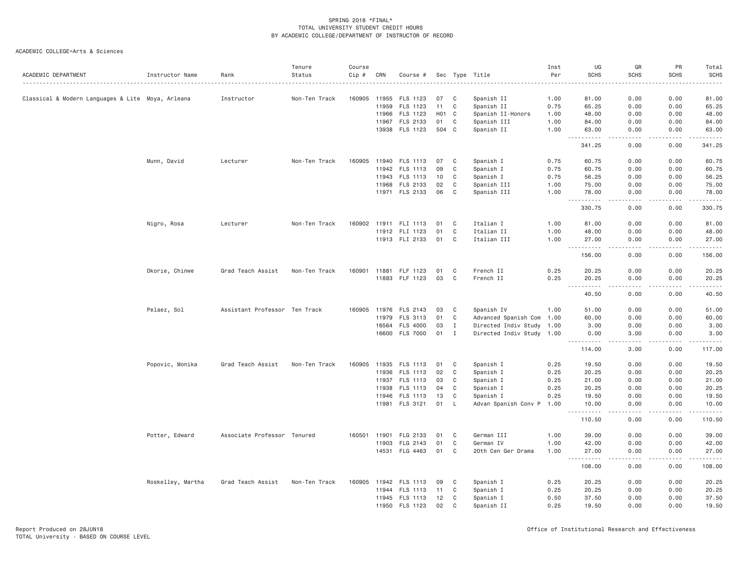| ACADEMIC DEPARTMENT                               | Instructor Name   | Rank                          | Tenure<br>Status | Course<br>Cip # | CRN   | Course #              |       |              | Sec Type Title            | Inst<br>Per | UG<br><b>SCHS</b>                                                                                                                                             | GR<br><b>SCHS</b>            | PR<br><b>SCHS</b> | Total<br><b>SCHS</b><br>$\frac{1}{2}$ |
|---------------------------------------------------|-------------------|-------------------------------|------------------|-----------------|-------|-----------------------|-------|--------------|---------------------------|-------------|---------------------------------------------------------------------------------------------------------------------------------------------------------------|------------------------------|-------------------|---------------------------------------|
| Classical & Modern Languages & Lite Moya, Arleana |                   | Instructor                    | Non-Ten Track    | 160905          | 11955 | FLS 1123              | 07    | C            | Spanish II                | 1.00        | 81.00                                                                                                                                                         | 0.00                         | 0.00              | 81.00                                 |
|                                                   |                   |                               |                  |                 | 11959 | FLS 1123              | 11    | C            | Spanish II                | 0.75        | 65.25                                                                                                                                                         | 0.00                         | 0.00              | 65.25                                 |
|                                                   |                   |                               |                  |                 | 11966 | FLS 1123              | H01 C |              | Spanish II-Honors         | 1.00        | 48.00                                                                                                                                                         | 0.00                         | 0.00              | 48.00                                 |
|                                                   |                   |                               |                  |                 | 11967 | FLS 2133              | 01    | C            | Spanish III               | 1.00        | 84.00                                                                                                                                                         | 0.00                         | 0.00              | 84.00                                 |
|                                                   |                   |                               |                  |                 |       | 13938 FLS 1123        | 504 C |              | Spanish II                | 1.00        | 63.00<br>-----                                                                                                                                                | 0.00<br>$\sim$ $\sim$ $\sim$ | 0.00<br>.         | 63.00<br>.                            |
|                                                   |                   |                               |                  |                 |       |                       |       |              |                           |             | 341.25                                                                                                                                                        | 0.00                         | 0.00              | 341.25                                |
|                                                   | Munn, David       | Lecturer                      | Non-Ten Track    | 160905          | 11940 | FLS 1113              | 07    | C            | Spanish I                 | 0.75        | 60.75                                                                                                                                                         | 0.00                         | 0.00              | 60.75                                 |
|                                                   |                   |                               |                  |                 | 11942 | FLS 1113              | 09    | C            | Spanish I                 | 0.75        | 60.75                                                                                                                                                         | 0.00                         | 0.00              | 60.75                                 |
|                                                   |                   |                               |                  |                 | 11943 | FLS 1113              | 10    | C            | Spanish I                 | 0.75        | 56.25                                                                                                                                                         | 0.00                         | 0.00              | 56.25                                 |
|                                                   |                   |                               |                  |                 | 11968 | FLS 2133              | 02    | C            | Spanish III               | 1.00        | 75.00                                                                                                                                                         | 0.00                         | 0.00              | 75.00                                 |
|                                                   |                   |                               |                  |                 |       | 11971 FLS 2133        | 06    | C            | Spanish III               | 1.00        | 78.00<br>.                                                                                                                                                    | 0.00<br>$\sim$ $\sim$ $\sim$ | 0.00<br>.         | 78.00<br>.                            |
|                                                   |                   |                               |                  |                 |       |                       |       |              |                           |             | 330.75                                                                                                                                                        | 0.00                         | 0.00              | 330.75                                |
|                                                   | Nigro, Rosa       | Lecturer                      | Non-Ten Track    |                 |       | 160902 11911 FLI 1113 | 01    | C            | Italian I                 | 1.00        | 81.00                                                                                                                                                         | 0.00                         | 0.00              | 81.00                                 |
|                                                   |                   |                               |                  |                 |       | 11912 FLI 1123        | 01    | C            | Italian II                | 1.00        | 48.00                                                                                                                                                         | 0.00                         | 0.00              | 48.00                                 |
|                                                   |                   |                               |                  |                 |       | 11913 FLI 2133        | 01    | C            | Italian III               | 1.00        | 27.00<br>.                                                                                                                                                    | 0.00<br>د د د د              | 0.00<br>.         | 27.00<br>.                            |
|                                                   |                   |                               |                  |                 |       |                       |       |              |                           |             | 156.00                                                                                                                                                        | 0.00                         | 0.00              | 156.00                                |
|                                                   | Okorie, Chinwe    | Grad Teach Assist             | Non-Ten Track    | 160901          | 11881 | FLF 1123              | 01    | C            | French II                 | 0.25        | 20.25                                                                                                                                                         | 0.00                         | 0.00              | 20.25                                 |
|                                                   |                   |                               |                  |                 | 11883 | FLF 1123              | 03    | C            | French II                 | 0.25        | 20.25                                                                                                                                                         | 0.00                         | 0.00              | 20.25                                 |
|                                                   |                   |                               |                  |                 |       |                       |       |              |                           |             | .<br>40.50                                                                                                                                                    | 0.00                         | 0.00              | .<br>40.50                            |
|                                                   | Pelaez, Sol       | Assistant Professor Ten Track |                  |                 |       | 160905 11976 FLS 2143 | 03    | C            | Spanish IV                | 1.00        | 51.00                                                                                                                                                         | 0.00                         | 0.00              | 51.00                                 |
|                                                   |                   |                               |                  |                 | 11979 | FLS 3113              | 01    | C            | Advanced Spanish Com 1.00 |             | 60.00                                                                                                                                                         | 0.00                         | 0.00              | 60.00                                 |
|                                                   |                   |                               |                  |                 | 16564 | FLS 4000              | 03    | $\mathbf{I}$ | Directed Indiv Study 1.00 |             | 3.00                                                                                                                                                          | 0.00                         | 0.00              | 3.00                                  |
|                                                   |                   |                               |                  |                 |       | 16600 FLS 7000        | 01    | $\mathbf{I}$ | Directed Indiv Study 1.00 |             | 0.00<br><u>.</u>                                                                                                                                              | 3.00<br>.                    | 0.00<br>.         | 3.00                                  |
|                                                   |                   |                               |                  |                 |       |                       |       |              |                           |             | 114.00                                                                                                                                                        | 3.00                         | 0.00              | 117.00                                |
|                                                   | Popovic, Monika   | Grad Teach Assist             | Non-Ten Track    | 160905          | 11935 | FLS 1113              | 01    | C            | Spanish I                 | 0.25        | 19.50                                                                                                                                                         | 0.00                         | 0.00              | 19.50                                 |
|                                                   |                   |                               |                  |                 | 11936 | FLS 1113              | 02    | C            | Spanish I                 | 0.25        | 20.25                                                                                                                                                         | 0.00                         | 0.00              | 20.25                                 |
|                                                   |                   |                               |                  |                 | 11937 | FLS 1113              | 03    | C            | Spanish I                 | 0.25        | 21.00                                                                                                                                                         | 0.00                         | 0.00              | 21.00                                 |
|                                                   |                   |                               |                  |                 | 11938 | FLS 1113              | 04    | C            | Spanish I                 | 0.25        | 20.25                                                                                                                                                         | 0.00                         | 0.00              | 20.25                                 |
|                                                   |                   |                               |                  |                 | 11946 | FLS 1113              | 13    | C            | Spanish I                 | 0.25        | 19.50                                                                                                                                                         | 0.00                         | 0.00              | 19.50                                 |
|                                                   |                   |                               |                  |                 |       | 11981 FLS 3121        | 01    | - L          | Advan Spanish Conv P 1.00 |             | 10.00<br>$\frac{1}{2} \left( \frac{1}{2} \right) \left( \frac{1}{2} \right) \left( \frac{1}{2} \right) \left( \frac{1}{2} \right) \left( \frac{1}{2} \right)$ | 0.00                         | 0.00              | 10.00                                 |
|                                                   |                   |                               |                  |                 |       |                       |       |              |                           |             | 110.50                                                                                                                                                        | 0.00                         | 0.00              | 110.50                                |
|                                                   | Potter, Edward    | Associate Professor Tenured   |                  | 160501          | 11901 | FLG 2133              | 01    | C            | German III                | 1.00        | 39.00                                                                                                                                                         | 0.00                         | 0.00              | 39.00                                 |
|                                                   |                   |                               |                  |                 | 11903 | FLG 2143              | 01    | C            | German IV                 | 1.00        | 42.00                                                                                                                                                         | 0.00                         | 0.00              | 42.00                                 |
|                                                   |                   |                               |                  |                 | 14531 | FLG 4463              | 01    | C            | 20th Cen Ger Drama        | 1.00        | 27.00<br>$- - - - - -$                                                                                                                                        | 0.00<br>.                    | 0.00<br>.         | 27.00<br>.                            |
|                                                   |                   |                               |                  |                 |       |                       |       |              |                           |             | 108.00                                                                                                                                                        | 0.00                         | 0.00              | 108.00                                |
|                                                   | Roskelley, Martha | Grad Teach Assist             | Non-Ten Track    | 160905          | 11942 | FLS 1113              | 09    | C            | Spanish I                 | 0.25        | 20.25                                                                                                                                                         | 0.00                         | 0.00              | 20.25                                 |
|                                                   |                   |                               |                  |                 |       | 11944 FLS 1113        | 11    | C            | Spanish I                 | 0.25        | 20.25                                                                                                                                                         | 0.00                         | 0.00              | 20.25                                 |
|                                                   |                   |                               |                  |                 |       | 11945 FLS 1113        | 12    | C            | Spanish I                 | 0.50        | 37.50                                                                                                                                                         | 0.00                         | 0.00              | 37.50                                 |
|                                                   |                   |                               |                  |                 | 11950 | FLS 1123              | 02    | C            | Spanish II                | 0.25        | 19.50                                                                                                                                                         | 0.00                         | 0.00              | 19.50                                 |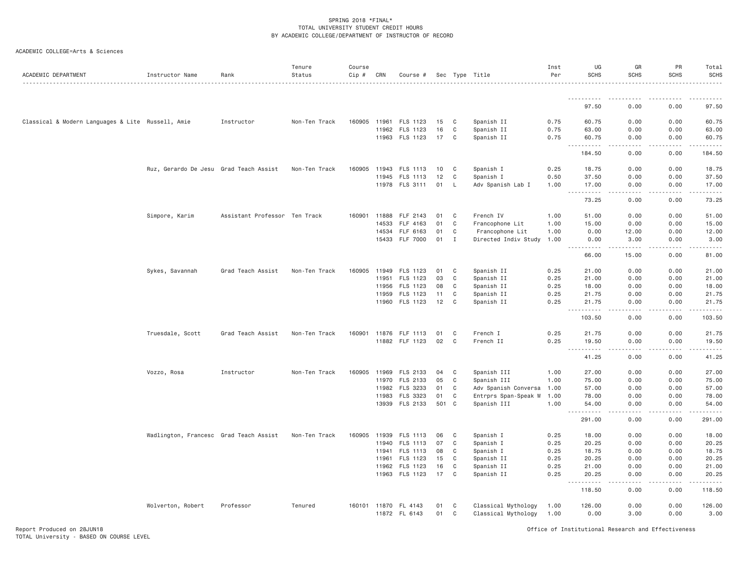|  | ACADEMIC COLLEGE=Arts & Sciences |  |  |
|--|----------------------------------|--|--|
|--|----------------------------------|--|--|

| ACADEMIC DEPARTMENT                               | Instructor Name                        | Rank                          | Tenure<br>Status | Course<br>Cip # | CRN   | Course #             |     |              | Sec Type Title            | Inst<br>Per | UG<br><b>SCHS</b>                  | GR<br><b>SCHS</b>                   | PR<br><b>SCHS</b>     | Total<br><b>SCHS</b><br><u>.</u>                                                                                                                              |
|---------------------------------------------------|----------------------------------------|-------------------------------|------------------|-----------------|-------|----------------------|-----|--------------|---------------------------|-------------|------------------------------------|-------------------------------------|-----------------------|---------------------------------------------------------------------------------------------------------------------------------------------------------------|
|                                                   |                                        |                               |                  |                 |       |                      |     |              |                           |             | .                                  | $  -$                               |                       |                                                                                                                                                               |
|                                                   |                                        |                               |                  |                 |       |                      |     |              |                           |             | 97.50                              | 0.00                                | 0.00                  | 97.50                                                                                                                                                         |
| Classical & Modern Languages & Lite Russell, Amie |                                        | Instructor                    | Non-Ten Track    | 160905          | 11961 | FLS 1123             | 15  | C            | Spanish II                | 0.75        | 60.75                              | 0.00                                | 0.00                  | 60.75                                                                                                                                                         |
|                                                   |                                        |                               |                  |                 | 11962 | FLS 1123             | 16  | C            | Spanish II                | 0.75        | 63.00                              | 0.00                                | 0.00                  | 63.00                                                                                                                                                         |
|                                                   |                                        |                               |                  |                 |       | 11963 FLS 1123       | 17  | C            | Spanish II                | 0.75        | 60.75<br><u>.</u>                  | 0.00<br>.                           | 0.00<br>$- - - - - -$ | 60.75<br>.                                                                                                                                                    |
|                                                   |                                        |                               |                  |                 |       |                      |     |              |                           |             | 184.50                             | 0.00                                | 0.00                  | 184.50                                                                                                                                                        |
|                                                   | Ruz, Gerardo De Jesu Grad Teach Assist |                               | Non-Ten Track    | 160905          | 11943 | <b>FLS 1113</b>      | 10  | C            | Spanish I                 | 0.25        | 18.75                              | 0.00                                | 0.00                  | 18.75                                                                                                                                                         |
|                                                   |                                        |                               |                  |                 | 11945 | FLS 1113             | 12  | C            | Spanish I                 | 0.50        | 37.50                              | 0.00                                | 0.00                  | 37.50                                                                                                                                                         |
|                                                   |                                        |                               |                  |                 |       | 11978 FLS 3111       | 01  | - L          | Adv Spanish Lab I         | 1.00        | 17.00<br>.                         | 0.00                                | 0.00                  | 17.00<br>.                                                                                                                                                    |
|                                                   |                                        |                               |                  |                 |       |                      |     |              |                           |             | 73.25                              | 0.00                                | 0.00                  | 73.25                                                                                                                                                         |
|                                                   | Simpore, Karim                         | Assistant Professor Ten Track |                  | 160901          | 11888 | FLF 2143             | 01  | C            | French IV                 | 1.00        | 51.00                              | 0.00                                | 0.00                  | 51.00                                                                                                                                                         |
|                                                   |                                        |                               |                  |                 | 14533 | FLF 4163             | 01  | C            | Francophone Lit           | 1.00        | 15.00                              | 0.00                                | 0.00                  | 15.00                                                                                                                                                         |
|                                                   |                                        |                               |                  |                 | 14534 | FLF 6163             | 01  | C            | Francophone Lit           | 1.00        | 0.00                               | 12.00                               | 0.00                  | 12.00                                                                                                                                                         |
|                                                   |                                        |                               |                  |                 |       | 15433 FLF 7000       | 01  | $\mathbf{I}$ | Directed Indiv Study 1.00 |             | 0.00<br>22222                      | 3,00<br>.                           | 0.00                  | 3.00<br>.                                                                                                                                                     |
|                                                   |                                        |                               |                  |                 |       |                      |     |              |                           |             | 66.00                              | 15.00                               | 0.00                  | 81.00                                                                                                                                                         |
|                                                   | Sykes, Savannah                        | Grad Teach Assist             | Non-Ten Track    | 160905          | 11949 | FLS 1123             | 01  | C            | Spanish II                | 0.25        | 21.00                              | 0.00                                | 0.00                  | 21.00                                                                                                                                                         |
|                                                   |                                        |                               |                  |                 | 11951 | FLS 1123             | 03  | C            | Spanish II                | 0.25        | 21.00                              | 0.00                                | 0.00                  | 21.00                                                                                                                                                         |
|                                                   |                                        |                               |                  |                 | 11956 | FLS 1123             | 08  | C            | Spanish II                | 0.25        | 18.00                              | 0.00                                | 0.00                  | 18.00                                                                                                                                                         |
|                                                   |                                        |                               |                  |                 | 11959 | FLS 1123             | 11  | C            | Spanish II                | 0.25        | 21.75                              | 0.00                                | 0.00                  | 21.75                                                                                                                                                         |
|                                                   |                                        |                               |                  |                 |       | 11960 FLS 1123       | 12  | C            | Spanish II                | 0.25        | 21.75<br>.                         | 0.00                                | 0.00<br>.             | 21.75                                                                                                                                                         |
|                                                   |                                        |                               |                  |                 |       |                      |     |              |                           |             | 103.50                             | 0.00                                | 0.00                  | 103.50                                                                                                                                                        |
|                                                   | Truesdale, Scott                       | Grad Teach Assist             | Non-Ten Track    | 160901          | 11876 | FLF 1113             | 01  | C            | French I                  | 0.25        | 21.75                              | 0.00                                | 0.00                  | 21.75                                                                                                                                                         |
|                                                   |                                        |                               |                  |                 | 11882 | FLF 1123             | 02  | C            | French II                 | 0.25        | 19.50<br>.<br>444                  | 0.00<br>$\sim$ $\sim$ $\sim$ $\sim$ | 0.00<br>.             | 19.50<br>.                                                                                                                                                    |
|                                                   |                                        |                               |                  |                 |       |                      |     |              |                           |             | 41.25                              | 0.00                                | 0.00                  | 41.25                                                                                                                                                         |
|                                                   | Vozzo, Rosa                            | Instructor                    | Non-Ten Track    | 160905          | 11969 | FLS 2133             | 04  | C            | Spanish III               | 1.00        | 27.00                              | 0.00                                | 0.00                  | 27.00                                                                                                                                                         |
|                                                   |                                        |                               |                  |                 | 11970 | FLS 2133             | 05  | C            | Spanish III               | 1.00        | 75.00                              | 0.00                                | 0.00                  | 75.00                                                                                                                                                         |
|                                                   |                                        |                               |                  |                 | 11982 | FLS 3233             | 01  | C            | Adv Spanish Conversa      | 1.00        | 57.00                              | 0.00                                | 0.00                  | 57.00                                                                                                                                                         |
|                                                   |                                        |                               |                  |                 | 11983 | FLS 3323             | 01  | C            | Entrprs Span-Speak W      | 1.00        | 78.00                              | 0.00                                | 0.00                  | 78.00                                                                                                                                                         |
|                                                   |                                        |                               |                  |                 | 13939 | FLS 2133             | 501 | $\mathbf{C}$ | Spanish III               | 1.00        | 54.00<br>.<br>$\sim$ $\sim$ $\sim$ | 0.00                                | 0.00                  | 54.00<br>$\frac{1}{2} \left( \frac{1}{2} \right) \left( \frac{1}{2} \right) \left( \frac{1}{2} \right) \left( \frac{1}{2} \right) \left( \frac{1}{2} \right)$ |
|                                                   |                                        |                               |                  |                 |       |                      |     |              |                           |             | 291.00                             | 0.00                                | 0.00                  | 291.00                                                                                                                                                        |
|                                                   | Wadlington, Francesc Grad Teach Assist |                               | Non-Ten Track    | 160905          | 11939 | FLS 1113             | 06  | C            | Spanish I                 | 0.25        | 18.00                              | 0.00                                | 0.00                  | 18.00                                                                                                                                                         |
|                                                   |                                        |                               |                  |                 | 11940 | FLS 1113             | 07  | C            | Spanish I                 | 0.25        | 20.25                              | 0.00                                | 0.00                  | 20.25                                                                                                                                                         |
|                                                   |                                        |                               |                  |                 | 11941 | FLS 1113             | 08  | C            | Spanish I                 | 0.25        | 18.75                              | 0.00                                | 0.00                  | 18.75                                                                                                                                                         |
|                                                   |                                        |                               |                  |                 | 11961 | FLS 1123             | 15  | C            | Spanish II                | 0.25        | 20.25                              | 0.00                                | 0.00                  | 20.25                                                                                                                                                         |
|                                                   |                                        |                               |                  |                 | 11962 | FLS 1123             | 16  | C            | Spanish II                | 0.25        | 21.00                              | 0.00                                | 0.00                  | 21.00                                                                                                                                                         |
|                                                   |                                        |                               |                  |                 |       | 11963 FLS 1123       | 17  | C            | Spanish II                | 0.25        | 20.25<br>.                         | 0.00<br>.                           | 0.00<br>.             | 20.25<br>$\alpha$ , $\alpha$ , $\alpha$ , $\alpha$ , $\alpha$                                                                                                 |
|                                                   |                                        |                               |                  |                 |       |                      |     |              |                           |             | 118.50                             | 0.00                                | 0.00                  | 118.50                                                                                                                                                        |
|                                                   | Wolverton, Robert                      | Professor                     | Tenured          |                 |       | 160101 11870 FL 4143 | 01  | C            | Classical Mythology       | 1.00        | 126.00                             | 0.00                                | 0.00                  | 126.00                                                                                                                                                        |
|                                                   |                                        |                               |                  |                 |       | 11872 FL 6143        | 01  | C            | Classical Mythology       | 1.00        | 0.00                               | 3.00                                | 0.00                  | 3.00                                                                                                                                                          |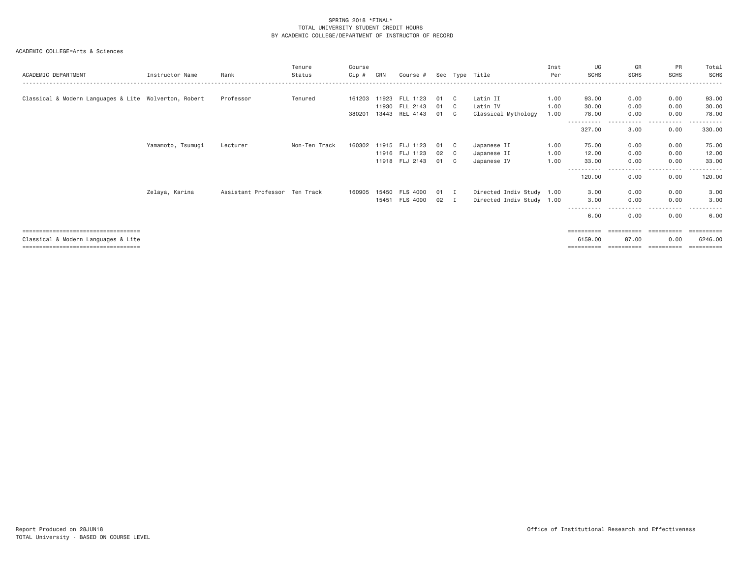| ACADEMIC DEPARTMENT                                   | Instructor Name   | Rank                          | Tenure<br>Status | Course<br>Cip # | CRN   | Course #              |      |                | Sec Type Title            | Inst<br>Per | UG<br><b>SCHS</b> | GR<br><b>SCHS</b> | <b>PR</b><br><b>SCHS</b>       | Total<br><b>SCHS</b> |
|-------------------------------------------------------|-------------------|-------------------------------|------------------|-----------------|-------|-----------------------|------|----------------|---------------------------|-------------|-------------------|-------------------|--------------------------------|----------------------|
|                                                       |                   |                               |                  |                 |       |                       |      |                |                           |             |                   |                   |                                |                      |
| Classical & Modern Languages & Lite Wolverton, Robert |                   | Professor                     | Tenured          |                 |       | 161203 11923 FLL 1123 | 01   | C.             | Latin II                  | 1.00        | 93.00             | 0.00              | 0.00                           | 93.00                |
|                                                       |                   |                               |                  |                 |       | 11930 FLL 2143        | 01   | $\overline{c}$ | Latin IV                  | 1.00        | 30.00             | 0.00              | 0.00                           | 30.00                |
|                                                       |                   |                               |                  | 380201          | 13443 | REL 4143              | 01   | C.             | Classical Mythology       | 1.00        | 78.00             | 0.00<br>.         | 0.00<br>$\cdots$<br>. <u>.</u> | 78.00<br>-------     |
|                                                       |                   |                               |                  |                 |       |                       |      |                |                           |             | 327.00            | 3.00              | 0.00                           | 330.00               |
|                                                       | Yamamoto, Tsumugi | Lecturer                      | Non-Ten Track    | 160302          |       | 11915 FLJ 1123        | 01   | C.             | Japanese II               | 1.00        | 75.00             | 0.00              | 0.00                           | 75.00                |
|                                                       |                   |                               |                  |                 |       | 11916 FLJ 1123        | 02   | $\mathbf{C}$   | Japanese II               | 1.00        | 12.00             | 0.00              | 0.00                           | 12.00                |
|                                                       |                   |                               |                  |                 |       | 11918 FLJ 2143        | 01 C |                | Japanese IV               | 1.00        | 33.00             | 0.00              | 0.00                           | 33.00                |
|                                                       |                   |                               |                  |                 |       |                       |      |                |                           |             | 120.00            | ----<br>0.00      | - - - - -<br>0.00              | 120.00               |
|                                                       | Zelaya, Karina    | Assistant Professor Ten Track |                  | 160905          |       | 15450 FLS 4000        | 01 I |                | Directed Indiv Study 1.00 |             | 3.00              | 0.00              | 0.00                           | 3.00                 |
|                                                       |                   |                               |                  |                 |       | 15451 FLS 4000        | 02 I |                | Directed Indiv Study 1.00 |             | 3,00              | 0.00              | 0.00                           | 3.00                 |
|                                                       |                   |                               |                  |                 |       |                       |      |                |                           |             | 6.00              | 0.00              | 0.00                           | 6.00                 |
| ===================================                   |                   |                               |                  |                 |       |                       |      |                |                           |             |                   |                   |                                | =========            |
| Classical & Modern Languages & Lite                   |                   |                               |                  |                 |       |                       |      |                |                           |             | 6159.00           | 87.00             | 0.00                           | 6246.00              |
| =====================================                 |                   |                               |                  |                 |       |                       |      |                |                           |             | ==========        | ==========        | ==========                     | ==========           |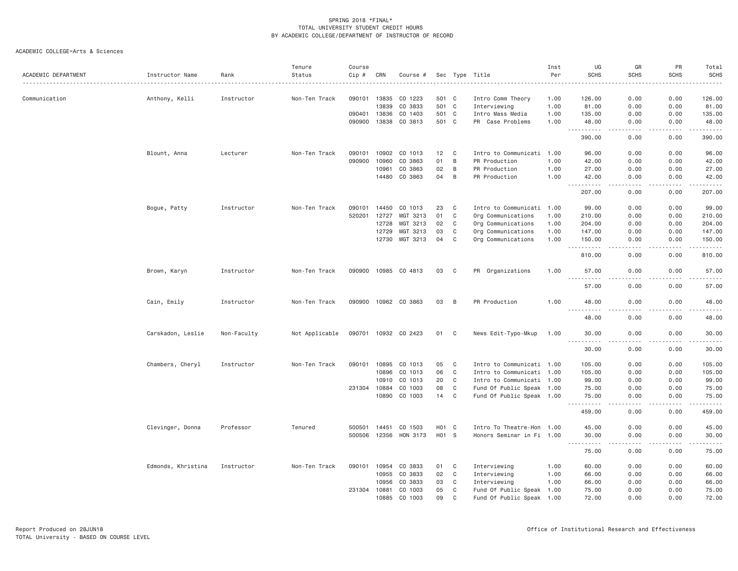|                     |                    |             | Tenure         | Course       |       |                       |       |              |                           | Inst | UG                                                                                                                                                                                       | GR                                  | PR                | Total                                |
|---------------------|--------------------|-------------|----------------|--------------|-------|-----------------------|-------|--------------|---------------------------|------|------------------------------------------------------------------------------------------------------------------------------------------------------------------------------------------|-------------------------------------|-------------------|--------------------------------------|
| ACADEMIC DEPARTMENT | Instructor Name    | Rank        | Status         | Cip #        | CRN   | Course #              |       |              | Sec Type Title            | Per  | <b>SCHS</b>                                                                                                                                                                              | <b>SCHS</b>                         | <b>SCHS</b>       | <b>SCHS</b>                          |
| Communication       | Anthony, Kelli     | Instructor  | Non-Ten Track  | 090101 13835 |       | CO 1223               | 501 C |              | Intro Comm Theory         | 1.00 | 126.00                                                                                                                                                                                   | 0.00                                | 0.00              | 126.00                               |
|                     |                    |             |                |              | 13839 | CO 3833               | 501 C |              | Interviewing              | 1.00 | 81.00                                                                                                                                                                                    | 0.00                                | 0.00              | 81.00                                |
|                     |                    |             |                | 090401       | 13836 | CO 1403               | 501 C |              | Intro Mass Media          | 1.00 | 135.00                                                                                                                                                                                   | 0.00                                | 0.00              | 135.00                               |
|                     |                    |             |                | 090900       | 13838 | CO 3813               | 501 C |              | PR Case Problems          | 1.00 | 48.00                                                                                                                                                                                    | 0.00                                | 0.00              | 48.00                                |
|                     |                    |             |                |              |       |                       |       |              |                           |      | $\sim$ $\sim$ $\sim$<br>.<br>390.00                                                                                                                                                      | .<br>0.00                           | 0.00              | .<br>390.00                          |
|                     | Blount, Anna       | Lecturer    | Non-Ten Track  | 090101       |       | 10902 CO 1013         | 12    | $\mathbf{C}$ | Intro to Communicati 1.00 |      | 96.00                                                                                                                                                                                    | 0.00                                | 0.00              | 96.00                                |
|                     |                    |             |                | 090900       | 10960 | CO 3863               | 01    | B            | PR Production             | 1.00 | 42.00                                                                                                                                                                                    | 0.00                                | 0.00              | 42.00                                |
|                     |                    |             |                |              | 10961 | CO 3863               | 02    | B            | PR Production             | 1.00 | 27.00                                                                                                                                                                                    | 0.00                                | 0.00              | 27.00                                |
|                     |                    |             |                |              | 14480 | CO 3863               | 04    | B            | PR Production             | 1.00 | 42.00                                                                                                                                                                                    | 0.00                                | 0.00              | 42.00                                |
|                     |                    |             |                |              |       |                       |       |              |                           |      | $\begin{array}{cccccccccc} \bullet & \bullet & \bullet & \bullet & \bullet & \bullet \end{array}$<br>207.00                                                                              | $\sim$ $\sim$ $\sim$<br>0.00        | المتمامين<br>0.00 | .<br>207.00                          |
|                     | Bogue, Patty       | Instructor  | Non-Ten Track  | 090101       | 14450 | CO 1013               | 23    | C            | Intro to Communicati      | 1.00 | 99.00                                                                                                                                                                                    | 0.00                                | 0.00              | 99.00                                |
|                     |                    |             |                | 520201       | 12727 | MGT 3213              | 01    | C            | Org Communications        | 1.00 | 210.00                                                                                                                                                                                   | 0.00                                | 0.00              | 210.00                               |
|                     |                    |             |                |              | 12728 | MGT 3213              | 02    | C            | Org Communications        | 1.00 | 204.00                                                                                                                                                                                   | 0.00                                | 0.00              | 204.00                               |
|                     |                    |             |                |              | 12729 | MGT 3213              | 03    | C            | Org Communications        | 1.00 | 147.00                                                                                                                                                                                   | 0.00                                | 0.00              | 147.00                               |
|                     |                    |             |                |              | 12730 | MGT 3213              | 04    | C            | Org Communications        | 1.00 | 150.00                                                                                                                                                                                   | 0.00                                | 0.00              | 150.00                               |
|                     |                    |             |                |              |       |                       |       |              |                           |      | $\sim$ $\sim$ .<br>.<br>810.00                                                                                                                                                           | .<br>0.00                           | 0.00              | .<br>810.00                          |
|                     | Brown, Karyn       | Instructor  | Non-Ten Track  |              |       | 090900 10985 CO 4813  | 03    | C            | PR Organizations          | 1.00 | 57.00                                                                                                                                                                                    | 0.00                                | 0.00              | 57.00                                |
|                     |                    |             |                |              |       |                       |       |              |                           |      | $\frac{1}{2} \left( \frac{1}{2} \right) \left( \frac{1}{2} \right) \left( \frac{1}{2} \right) \left( \frac{1}{2} \right) \left( \frac{1}{2} \right) \left( \frac{1}{2} \right)$<br>57.00 | $\sim$ $\sim$ $\sim$ $\sim$<br>0.00 | 0.00              | $\sim$ $\sim$ $\sim$ $\sim$<br>57.00 |
|                     | Cain, Emily        | Instructor  | Non-Ten Track  |              |       | 090900 10962 CO 3863  | 03    | B            | PR Production             | 1.00 | 48.00                                                                                                                                                                                    | 0.00                                | 0.00              | 48.00                                |
|                     |                    |             |                |              |       |                       |       |              |                           |      | $- - -$<br>- - - -<br>48.00                                                                                                                                                              | 0.00                                | 0.00              | 48.00                                |
|                     | Carskadon, Leslie  | Non-Faculty | Not Applicable |              |       | 090701 10932 CO 2423  | 01    | C            | News Edit-Typo-Mkup       | 1.00 | 30.00<br>.                                                                                                                                                                               | 0.00<br>----                        | 0.00              | 30.00<br>$- - - - -$                 |
|                     |                    |             |                |              |       |                       |       |              |                           |      | 30.00                                                                                                                                                                                    | 0.00                                | 0.00              | 30.00                                |
|                     | Chambers, Cheryl   | Instructor  | Non-Ten Track  |              |       | 090101 10895 CO 1013  | 05    | $\mathbf{C}$ | Intro to Communicati 1.00 |      | 105.00                                                                                                                                                                                   | 0.00                                | 0.00              | 105.00                               |
|                     |                    |             |                |              | 10896 | CO 1013               | 06    | $\mathbf C$  | Intro to Communicati 1.00 |      | 105.00                                                                                                                                                                                   | 0.00                                | 0.00              | 105.00                               |
|                     |                    |             |                |              | 10910 | CO 1013               | 20    | $\mathbf C$  | Intro to Communicati 1.00 |      | 99.00                                                                                                                                                                                    | 0.00                                | 0.00              | 99.00                                |
|                     |                    |             |                | 231304 10884 |       | CO 1003               | 08    | $\mathsf{C}$ | Fund Of Public Speak 1.00 |      | 75.00                                                                                                                                                                                    | 0.00                                | 0.00              | 75.00                                |
|                     |                    |             |                |              | 10890 | CO 1003               | 14    | C            | Fund Of Public Speak 1.00 |      | 75.00                                                                                                                                                                                    | 0.00                                | 0.00              | 75.00                                |
|                     |                    |             |                |              |       |                       |       |              |                           |      | <u>.</u><br>459.00                                                                                                                                                                       | 0.00                                | 0.00              | .<br>459.00                          |
|                     | Clevinger, Donna   | Professor   | Tenured        | 500501       | 14451 | CO 1503               | H01 C |              | Intro To Theatre-Hon 1.00 |      | 45.00                                                                                                                                                                                    | 0.00                                | 0.00              | 45.00                                |
|                     |                    |             |                |              |       | 500506 12356 HON 3173 | H01 S |              | Honors Seminar in Fi 1.00 |      | 30.00                                                                                                                                                                                    | 0.00                                | 0.00              | 30.00                                |
|                     |                    |             |                |              |       |                       |       |              |                           |      | .<br>.<br>75.00                                                                                                                                                                          | $- - -$<br>0.00                     | .<br>0.00         | .<br>75.00                           |
|                     | Edmonds, Khristina | Instructor  | Non-Ten Track  | 090101       | 10954 | CO 3833               | 01    | C            | Interviewing              | 1.00 | 60.00                                                                                                                                                                                    | 0.00                                | 0.00              | 60.00                                |
|                     |                    |             |                |              | 10955 | CO 3833               | 02    | $\mathbf C$  | Interviewing              | 1.00 | 66.00                                                                                                                                                                                    | 0.00                                | 0.00              | 66.00                                |
|                     |                    |             |                |              | 10956 | CO 3833               | 03    | $\mathbf C$  | Interviewing              | 1.00 | 66.00                                                                                                                                                                                    | 0.00                                | 0.00              | 66.00                                |
|                     |                    |             |                | 231304 10881 |       | CO 1003               | 05    | C            | Fund Of Public Speak 1.00 |      | 75.00                                                                                                                                                                                    | 0.00                                | 0.00              | 75.00                                |
|                     |                    |             |                |              | 10885 | CO 1003               | 09    | $\mathbf C$  | Fund Of Public Speak 1.00 |      | 72.00                                                                                                                                                                                    | 0.00                                | 0.00              | 72.00                                |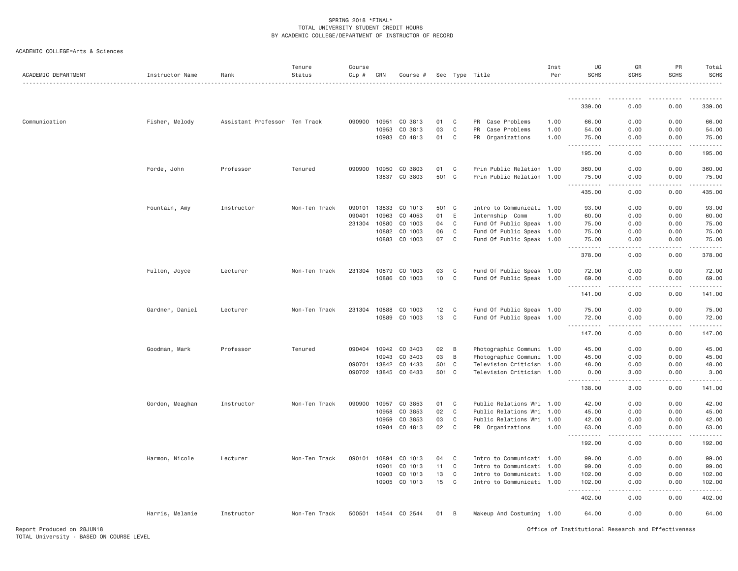| ACADEMIC COLLEGE=Arts & Sciences |  |
|----------------------------------|--|
|                                  |  |

| ACADEMIC DEPARTMENT | Instructor Name | Rank                          | Tenure<br>Status | Course<br>Cip # | CRN          | Course #      |       |             | Sec Type Title            | Inst<br>Per | UG<br><b>SCHS</b>                                                                                                                                             | GR<br><b>SCHS</b>            | PR<br><b>SCHS</b> | Total<br><b>SCHS</b> |
|---------------------|-----------------|-------------------------------|------------------|-----------------|--------------|---------------|-------|-------------|---------------------------|-------------|---------------------------------------------------------------------------------------------------------------------------------------------------------------|------------------------------|-------------------|----------------------|
|                     |                 |                               |                  |                 |              |               |       |             |                           |             |                                                                                                                                                               |                              |                   |                      |
|                     |                 |                               |                  |                 |              |               |       |             |                           |             | 339.00                                                                                                                                                        | 0.00                         | 0.00              | 339.00               |
| Communication       | Fisher, Melody  | Assistant Professor Ten Track |                  | 090900          | 10951        | CO 3813       | 01    | C           | PR<br>Case Problems       | 1.00        | 66.00                                                                                                                                                         | 0.00                         | 0.00              | 66.00                |
|                     |                 |                               |                  |                 | 10953        | CO 3813       | 03    | C           | Case Problems<br>PR       | 1.00        | 54.00                                                                                                                                                         | 0.00                         | 0.00              | 54.00                |
|                     |                 |                               |                  |                 | 10983        | CO 4813       | 01    | C           | PR Organizations          | 1.00        | 75.00<br>.                                                                                                                                                    | 0.00<br>$\sim$ $\sim$ $\sim$ | 0.00<br>.         | 75.00<br>.           |
|                     |                 |                               |                  |                 |              |               |       |             |                           |             | 195.00                                                                                                                                                        | 0.00                         | 0.00              | 195.00               |
|                     | Forde, John     | Professor                     | Tenured          | 090900          | 10950        | CO 3803       | 01    | C           | Prin Public Relation 1.00 |             | 360.00                                                                                                                                                        | 0.00                         | 0.00              | 360.00               |
|                     |                 |                               |                  |                 | 13837        | CO 3803       | 501 C |             | Prin Public Relation      | 1.00        | 75.00<br>. <b>.</b>                                                                                                                                           | 0.00<br>.                    | 0.00<br>.         | 75.00<br>.           |
|                     |                 |                               |                  |                 |              |               |       |             |                           |             | 435.00                                                                                                                                                        | 0.00                         | 0.00              | 435.00               |
|                     | Fountain, Amy   | Instructor                    | Non-Ten Track    | 090101          | 13833        | CO 1013       | 501 C |             | Intro to Communicati 1.00 |             | 93.00                                                                                                                                                         | 0.00                         | 0.00              | 93.00                |
|                     |                 |                               |                  | 090401          | 10963        | CO 4053       | 01    | E           | Internship Comm           | 1.00        | 60.00                                                                                                                                                         | 0.00                         | 0.00              | 60.00                |
|                     |                 |                               |                  | 231304          | 10880        | CO 1003       | 04    | $\mathbb C$ | Fund Of Public Speak 1.00 |             | 75.00                                                                                                                                                         | 0.00                         | 0.00              | 75.00                |
|                     |                 |                               |                  |                 | 10882        | CO 1003       | 06    | $\mathbb C$ | Fund Of Public Speak 1.00 |             | 75.00                                                                                                                                                         | 0.00                         | 0.00              | 75.00                |
|                     |                 |                               |                  |                 | 10883        | CO 1003       | 07    | C           | Fund Of Public Speak 1.00 |             | 75.00<br>.                                                                                                                                                    | 0.00<br>.                    | 0.00<br>.         | 75.00<br>.           |
|                     |                 |                               |                  |                 |              |               |       |             |                           |             | 378.00                                                                                                                                                        | 0.00                         | 0.00              | 378.00               |
|                     | Fulton, Joyce   | Lecturer                      | Non-Ten Track    | 231304          | 10879        | CO 1003       | 03    | C           | Fund Of Public Speak 1.00 |             | 72.00                                                                                                                                                         | 0.00                         | 0.00              | 72.00                |
|                     |                 |                               |                  |                 | 10886        | CO 1003       | 10    | C           | Fund Of Public Speak 1.00 |             | 69.00<br>.                                                                                                                                                    | 0.00                         | 0.00              | 69.00                |
|                     |                 |                               |                  |                 |              |               |       |             |                           |             | 141.00                                                                                                                                                        | 0.00                         | 0.00              | 141.00               |
|                     | Gardner, Daniel | Lecturer                      | Non-Ten Track    | 231304          | 10888        | CO 1003       | 12    | C           | Fund Of Public Speak 1.00 |             | 75.00                                                                                                                                                         | 0.00                         | 0.00              | 75.00                |
|                     |                 |                               |                  |                 | 10889        | CO 1003       | 13    | C           | Fund Of Public Speak 1.00 |             | 72.00<br>.                                                                                                                                                    | 0.00<br>.                    | 0.00<br>.         | 72.00<br>.           |
|                     |                 |                               |                  |                 |              |               |       |             |                           |             | 147.00                                                                                                                                                        | 0.00                         | 0.00              | 147.00               |
|                     | Goodman, Mark   | Professor                     | Tenured          | 090404          | 10942        | CO 3403       | 02    | B           | Photographic Communi 1.00 |             | 45.00                                                                                                                                                         | 0.00                         | 0.00              | 45.00                |
|                     |                 |                               |                  |                 | 10943        | CO 3403       | 03    | B           | Photographic Communi 1.00 |             | 45.00                                                                                                                                                         | 0.00                         | 0.00              | 45.00                |
|                     |                 |                               |                  | 090701          | 13842        | CO 4433       | 501 C |             | Television Criticism 1.00 |             | 48.00                                                                                                                                                         | 0.00                         | 0.00              | 48.00                |
|                     |                 |                               |                  |                 | 090702 13845 | CO 6433       | 501 C |             | Television Criticism 1.00 |             | 0.00<br><u>.</u>                                                                                                                                              | 3.00<br>.                    | 0.00<br>.         | 3.00<br>.            |
|                     |                 |                               |                  |                 |              |               |       |             |                           |             | 138.00                                                                                                                                                        | 3.00                         | 0.00              | 141.00               |
|                     | Gordon, Meaghan | Instructor                    | Non-Ten Track    | 090900          | 10957        | CO 3853       | 01    | C           | Public Relations Wri 1.00 |             | 42.00                                                                                                                                                         | 0.00                         | 0.00              | 42.00                |
|                     |                 |                               |                  |                 | 10958        | CO 3853       | 02    | $\mathbf C$ | Public Relations Wri 1.00 |             | 45.00                                                                                                                                                         | 0.00                         | 0.00              | 45.00                |
|                     |                 |                               |                  |                 | 10959        | CO 3853       | 03    | C           | Public Relations Wri 1.00 |             | 42.00                                                                                                                                                         | 0.00                         | 0.00              | 42.00                |
|                     |                 |                               |                  |                 | 10984        | CO 4813       | 02    | C           | PR Organizations          | 1.00        | 63.00<br>$\frac{1}{2} \left( \frac{1}{2} \right) \left( \frac{1}{2} \right) \left( \frac{1}{2} \right) \left( \frac{1}{2} \right) \left( \frac{1}{2} \right)$ | 0.00<br>د د د د              | 0.00              | 63.00<br>.           |
|                     |                 |                               |                  |                 |              |               |       |             |                           |             | 192.00                                                                                                                                                        | 0.00                         | 0.00              | 192.00               |
|                     | Harmon, Nicole  | Lecturer                      | Non-Ten Track    | 090101          | 10894        | CO 1013       | 04    | C           | Intro to Communicati 1.00 |             | 99.00                                                                                                                                                         | 0.00                         | 0.00              | 99.00                |
|                     |                 |                               |                  |                 | 10901        | CO 1013       | 11    | C           | Intro to Communicati 1.00 |             | 99.00                                                                                                                                                         | 0.00                         | 0.00              | 99.00                |
|                     |                 |                               |                  |                 | 10903        | CO 1013       | 13    | C           | Intro to Communicati 1.00 |             | 102.00                                                                                                                                                        | 0.00                         | 0.00              | 102.00               |
|                     |                 |                               |                  |                 | 10905        | CO 1013       | 15    | C           | Intro to Communicati 1.00 |             | 102.00<br>$\sim$ $\sim$ $\sim$<br>.                                                                                                                           | 0.00<br>.                    | 0.00              | 102.00<br>.          |
|                     |                 |                               |                  |                 |              |               |       |             |                           |             | 402.00                                                                                                                                                        | 0.00                         | 0.00              | 402.00               |
|                     | Harris, Melanie | Instructor                    | Non-Ten Track    | 500501          |              | 14544 CO 2544 | 01    | B           | Makeup And Costuming 1.00 |             | 64.00                                                                                                                                                         | 0.00                         | 0.00              | 64.00                |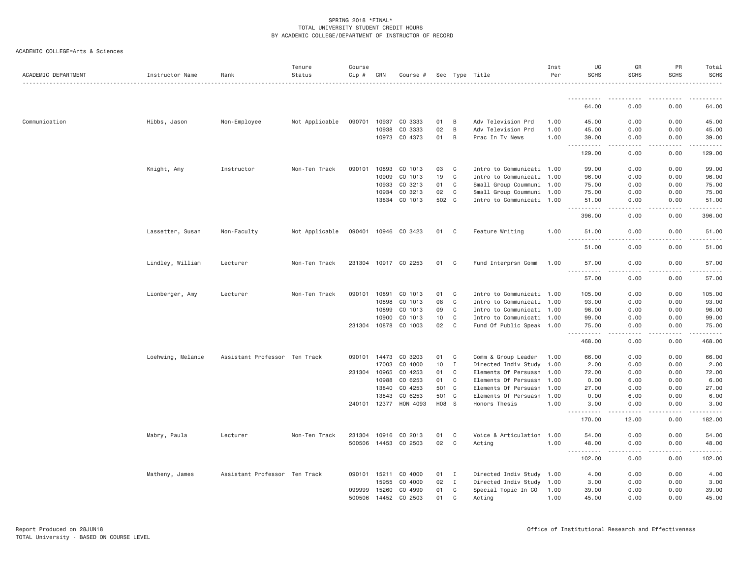| ACADEMIC COLLEGE=Arts & Sciences |  |
|----------------------------------|--|
|                                  |  |

| ACADEMIC DEPARTMENT | Instructor Name   | Rank                          | Tenure<br>Status | Course<br>$Cip$ # | CRN   | Course #             |       |                | Sec Type Title            | Inst<br>Per | UG<br><b>SCHS</b>                                                                                                                             | GR<br><b>SCHS</b>                   | PR<br><b>SCHS</b>              | Total<br>SCHS |
|---------------------|-------------------|-------------------------------|------------------|-------------------|-------|----------------------|-------|----------------|---------------------------|-------------|-----------------------------------------------------------------------------------------------------------------------------------------------|-------------------------------------|--------------------------------|---------------|
|                     |                   |                               |                  |                   |       |                      |       |                |                           |             |                                                                                                                                               |                                     |                                |               |
|                     |                   |                               |                  |                   |       |                      |       |                |                           |             | 64.00                                                                                                                                         | 0.00                                | 0.00                           | 64.00         |
| Communication       | Hibbs, Jason      | Non-Employee                  | Not Applicable   | 090701            | 10937 | CO 3333              | 01    | B              | Adv Television Prd        | 1.00        | 45.00                                                                                                                                         | 0.00                                | 0.00                           | 45.00         |
|                     |                   |                               |                  |                   | 10938 | CO 3333              | 02    | B              | Adv Television Prd        | 1,00        | 45.00                                                                                                                                         | 0.00                                | 0.00                           | 45.00         |
|                     |                   |                               |                  |                   | 10973 | CO 4373              | 01    | B              | Prac In Tv News           | 1.00        | 39.00<br>.<br>$  -$                                                                                                                           | 0.00<br>.                           | 0.00<br><u>.</u>               | 39.00<br>.    |
|                     |                   |                               |                  |                   |       |                      |       |                |                           |             | 129.00                                                                                                                                        | 0.00                                | 0.00                           | 129.00        |
|                     | Knight, Amy       | Instructor                    | Non-Ten Track    | 090101            | 10893 | CO 1013              | 03    | C              | Intro to Communicati 1.00 |             | 99.00                                                                                                                                         | 0.00                                | 0.00                           | 99.00         |
|                     |                   |                               |                  |                   | 10909 | CO 1013              | 19    | $\mathbf C$    | Intro to Communicati 1.00 |             | 96.00                                                                                                                                         | 0.00                                | 0.00                           | 96.00         |
|                     |                   |                               |                  |                   | 10933 | CO 3213              | 01    | C              | Small Group Coummuni 1.00 |             | 75.00                                                                                                                                         | 0.00                                | 0.00                           | 75.00         |
|                     |                   |                               |                  |                   | 10934 | CO 3213              | 02    | C              | Small Group Coummuni 1.00 |             | 75.00                                                                                                                                         | 0.00                                | 0.00                           | 75.00         |
|                     |                   |                               |                  |                   | 13834 | CO 1013              | 502 C |                | Intro to Communicati 1.00 |             | 51.00<br>.                                                                                                                                    | 0.00<br>$\sim$ $\sim$ $\sim$ $\sim$ | 0.00<br>.                      | 51.00<br>.    |
|                     |                   |                               |                  |                   |       |                      |       |                |                           |             | 396.00                                                                                                                                        | 0.00                                | 0.00                           | 396.00        |
|                     | Lassetter, Susan  | Non-Faculty                   | Not Applicable   | 090401            |       | 10946 CO 3423        | 01 C  |                | Feature Writing           | 1.00        | 51.00<br>$- - -$<br>$\frac{1}{2} \left( \frac{1}{2} \right) \left( \frac{1}{2} \right) \left( \frac{1}{2} \right) \left( \frac{1}{2} \right)$ | 0.00                                | 0.00                           | 51.00         |
|                     |                   |                               |                  |                   |       |                      |       |                |                           |             | 51.00                                                                                                                                         | 0.00                                | 0.00                           | 51.00         |
|                     | Lindley, William  | Lecturer                      | Non-Ten Track    |                   |       | 231304 10917 CO 2253 | 01    | C <sub>1</sub> | Fund Interprsn Comm       | 1.00        | 57.00<br><u>.</u>                                                                                                                             | 0.00                                | 0.00                           | 57.00         |
|                     |                   |                               |                  |                   |       |                      |       |                |                           |             | 57.00                                                                                                                                         | .<br>0.00                           | .<br>0.00                      | .<br>57.00    |
|                     | Lionberger, Amy   | Lecturer                      | Non-Ten Track    | 090101            | 10891 | CO 1013              | 01    | $\mathbf{C}$   | Intro to Communicati 1.00 |             | 105.00                                                                                                                                        | 0.00                                | 0.00                           | 105.00        |
|                     |                   |                               |                  |                   | 10898 | CO 1013              | 08    | $\mathbb C$    | Intro to Communicati 1.00 |             | 93.00                                                                                                                                         | 0.00                                | 0.00                           | 93.00         |
|                     |                   |                               |                  |                   | 10899 | CO 1013              | 09    | C              | Intro to Communicati 1.00 |             | 96.00                                                                                                                                         | 0.00                                | 0.00                           | 96.00         |
|                     |                   |                               |                  |                   | 10900 | CO 1013              | 10    | C              | Intro to Communicati 1.00 |             | 99.00                                                                                                                                         | 0.00                                | 0.00                           | 99.00         |
|                     |                   |                               |                  | 231304            | 10878 | CO 1003              | 02    | C              | Fund Of Public Speak 1.00 |             | 75.00<br>.                                                                                                                                    | 0.00<br>$  -$                       | 0.00<br>.                      | 75.00<br>.    |
|                     |                   |                               |                  |                   |       |                      |       |                |                           |             | 468.00                                                                                                                                        | 0.00                                | 0.00                           | 468.00        |
|                     | Loehwing, Melanie | Assistant Professor Ten Track |                  | 090101            | 14473 | CO 3203              | 01    | C              | Comm & Group Leader       | 1.00        | 66.00                                                                                                                                         | 0.00                                | 0.00                           | 66.00         |
|                     |                   |                               |                  |                   | 17003 | CO 4000              | 10    | $\mathbf I$    | Directed Indiv Study 1.00 |             | 2.00                                                                                                                                          | 0.00                                | 0.00                           | 2.00          |
|                     |                   |                               |                  | 231304            | 10965 | CO 4253              | 01    | C              | Elements Of Persuasn 1.00 |             | 72.00                                                                                                                                         | 0.00                                | 0.00                           | 72.00         |
|                     |                   |                               |                  |                   | 10988 | CO 6253              | 01    | C              | Elements Of Persuasn 1.00 |             | 0.00                                                                                                                                          | 6.00                                | 0.00                           | 6.00          |
|                     |                   |                               |                  |                   | 13840 | CO 4253              | 501 C |                | Elements Of Persuasn 1.00 |             | 27.00                                                                                                                                         | 0.00                                | 0.00                           | 27.00         |
|                     |                   |                               |                  |                   | 13843 | CO 6253              | 501   | $\mathbf{C}$   | Elements Of Persuasn      | 1.00        | 0.00                                                                                                                                          | 6.00                                | 0.00                           | 6.00          |
|                     |                   |                               |                  | 240101            | 12377 | HON 4093             | H08 S |                | Honors Thesis             | 1.00        | 3.00<br>-----<br>$\frac{1}{2} \left( \frac{1}{2} \right) \left( \frac{1}{2} \right) \left( \frac{1}{2} \right) \left( \frac{1}{2} \right)$    | 0.00                                | 0.00                           | 3.00<br>.     |
|                     |                   |                               |                  |                   |       |                      |       |                |                           |             | 170.00                                                                                                                                        | 12.00                               | 0.00                           | 182.00        |
|                     | Mabry, Paula      | Lecturer                      | Non-Ten Track    | 231304            | 10916 | CO 2013              | 01    | C              | Voice & Articulation 1.00 |             | 54.00                                                                                                                                         | 0.00                                | 0.00                           | 54.00         |
|                     |                   |                               |                  | 500506            | 14453 | CO 2503              | 02    | C              | Acting                    | 1.00        | 48.00<br>.                                                                                                                                    | 0.00<br>.                           | 0.00<br><b><i><u>.</u></i></b> | 48.00         |
|                     |                   |                               |                  |                   |       |                      |       |                |                           |             | $- - -$<br>102.00                                                                                                                             | 0.00                                | 0.00                           | 102.00        |
|                     | Matheny, James    | Assistant Professor Ten Track |                  | 090101            | 15211 | CO 4000              | 01    | I              | Directed Indiv Study 1.00 |             | 4.00                                                                                                                                          | 0.00                                | 0.00                           | 4.00          |
|                     |                   |                               |                  |                   | 15955 | CO 4000              | 02    | $\mathbf{I}$   | Directed Indiv Study 1.00 |             | 3.00                                                                                                                                          | 0.00                                | 0.00                           | 3.00          |
|                     |                   |                               |                  | 099999            | 15260 | CO 4990              | 01    | C              | Special Topic In CO       | 1.00        | 39.00                                                                                                                                         | 0.00                                | 0.00                           | 39.00         |
|                     |                   |                               |                  | 500506            | 14452 | CO 2503              | 01    | C              | Acting                    | 1.00        | 45.00                                                                                                                                         | 0.00                                | 0.00                           | 45.00         |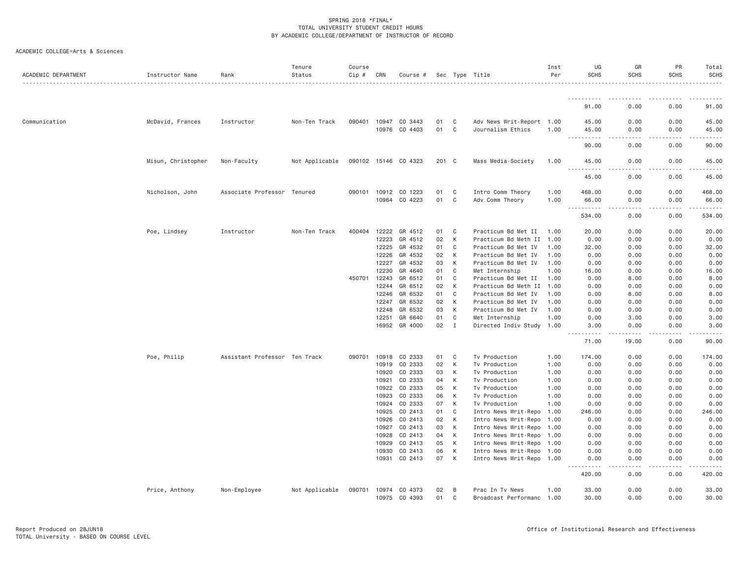| ACADEMIC DEPARTMENT | Instructor Name    | Rank                          | Tenure<br>Status | Course<br>Cip # | CRN                   | Course #                        |          |             | Sec Type Title                                         | Inst<br>Per  | UG<br><b>SCHS</b>                                                                                                                                                            | GR<br><b>SCHS</b> | PR<br><b>SCHS</b> | Total<br><b>SCHS</b> |
|---------------------|--------------------|-------------------------------|------------------|-----------------|-----------------------|---------------------------------|----------|-------------|--------------------------------------------------------|--------------|------------------------------------------------------------------------------------------------------------------------------------------------------------------------------|-------------------|-------------------|----------------------|
|                     |                    |                               |                  |                 |                       |                                 |          |             |                                                        |              | <u>.</u>                                                                                                                                                                     |                   |                   |                      |
|                     |                    |                               |                  |                 |                       |                                 |          |             |                                                        |              | 91.00                                                                                                                                                                        | 0.00              | 0.00              | 91.00                |
| Communication       | McDavid, Frances   | Instructor                    | Non-Ten Track    |                 | 090401 10947          | CO 3443                         | 01       | C           | Adv News Writ-Report 1.00                              |              | 45.00                                                                                                                                                                        | 0.00              | 0.00              | 45.00                |
|                     |                    |                               |                  |                 | 10976                 | CO 4403                         | 01       | C           | Journalism Ethics                                      | 1.00         | 45.00<br>.<br>$\cdots$                                                                                                                                                       | 0.00<br>د د د د   | 0.00<br>.         | 45.00<br>.           |
|                     |                    |                               |                  |                 |                       |                                 |          |             |                                                        |              | 90.00                                                                                                                                                                        | 0.00              | 0.00              | 90.00                |
|                     | Misun, Christopher | Non-Faculty                   | Not Applicable   |                 |                       | 090102 15146 CO 4323            | 201 C    |             | Mass Media-Society                                     | 1.00         | 45.00<br>$\sim$ $\sim$ $\sim$<br>$- - - - -$                                                                                                                                 | 0.00              | 0.00              | 45.00                |
|                     |                    |                               |                  |                 |                       |                                 |          |             |                                                        |              | 45.00                                                                                                                                                                        | 0.00              | 0.00              | 45.00                |
|                     | Nicholson, John    | Associate Professor           | Tenured          |                 | 090101 10912<br>10964 | CO 1223<br>CO 4223              | 01<br>01 | C<br>C      | Intro Comm Theory<br>Adv Comm Theory                   | 1.00<br>1.00 | 468.00<br>66.00                                                                                                                                                              | 0.00<br>0.00      | 0.00<br>0.00      | 468.00<br>66.00      |
|                     |                    |                               |                  |                 |                       |                                 |          |             |                                                        |              | $\sim 10$                                                                                                                                                                    | .                 | .                 |                      |
|                     |                    |                               |                  |                 |                       |                                 |          |             |                                                        |              | 534.00                                                                                                                                                                       | 0.00              | 0.00              | 534.00               |
|                     | Poe, Lindsey       | Instructor                    | Non-Ten Track    | 400404          | 12222                 | GR 4512                         | 01       | C           | Practicum Bd Met II                                    | 1.00         | 20.00                                                                                                                                                                        | 0.00              | 0.00              | 20.00                |
|                     |                    |                               |                  |                 | 12223                 | GR 4512                         | 02       | K           | Practicum Bd Meth II                                   | 1.00         | 0.00                                                                                                                                                                         | 0.00              | 0.00              | 0.00                 |
|                     |                    |                               |                  |                 | 12225                 | GR 4532                         | 01       | C           | Practicum Bd Met IV                                    | 1.00         | 32.00                                                                                                                                                                        | 0.00              | 0.00              | 32.00                |
|                     |                    |                               |                  |                 | 12226                 | GR 4532                         | 02       | К           | Practicum Bd Met IV                                    | 1.00         | 0.00                                                                                                                                                                         | 0.00              | 0.00              | 0.00                 |
|                     |                    |                               |                  |                 | 12227                 | GR 4532                         | 03       | К           | Practicum Bd Met IV                                    | 1.00         | 0.00                                                                                                                                                                         | 0.00              | 0.00              | 0.00                 |
|                     |                    |                               |                  |                 | 12230                 | GR 4640                         | 01       | C           | Met Internship                                         | 1.00         | 16.00                                                                                                                                                                        | 0.00              | 0.00              | 16.00                |
|                     |                    |                               |                  | 450701          | 12243                 | GR 6512                         | 01       | C           | Practicum Bd Met II                                    | 1.00         | 0.00                                                                                                                                                                         | 8.00              | 0.00              | 8.00                 |
|                     |                    |                               |                  |                 | 12244<br>12246        | GR 6512<br>GR 6532              | 02<br>01 | К<br>C      | Practicum Bd Meth II                                   | 1.00         | 0.00<br>0.00                                                                                                                                                                 | 0.00<br>8.00      | 0.00<br>0.00      | 0.00<br>8.00         |
|                     |                    |                               |                  |                 |                       |                                 |          |             | Practicum Bd Met IV                                    | 1.00         |                                                                                                                                                                              |                   |                   |                      |
|                     |                    |                               |                  |                 | 12247<br>12248        | GR 6532<br>GR 6532              | 02<br>03 | К<br>K      | Practicum Bd Met IV<br>Practicum Bd Met IV             | 1.00<br>1.00 | 0.00<br>0.00                                                                                                                                                                 | 0.00<br>0.00      | 0.00<br>0.00      | 0.00<br>0.00         |
|                     |                    |                               |                  |                 | 12251                 | GR 6640                         | 01       | C           | Met Internship                                         | 1.00         | 0.00                                                                                                                                                                         | 3.00              | 0.00              | 3.00                 |
|                     |                    |                               |                  |                 | 16952                 | GR 4000                         | 02       | $\mathbf I$ | Directed Indiv Study 1.00                              |              | 3.00                                                                                                                                                                         | 0.00              | 0.00              | 3.00                 |
|                     |                    |                               |                  |                 |                       |                                 |          |             |                                                        |              | $- - - - - -$<br>$\frac{1}{2} \left( \frac{1}{2} \right) \left( \frac{1}{2} \right) \left( \frac{1}{2} \right) \left( \frac{1}{2} \right)$                                   | .                 | .                 | .                    |
|                     |                    |                               |                  |                 |                       |                                 |          |             |                                                        |              | 71.00                                                                                                                                                                        | 19.00             | 0.00              | 90.00                |
|                     | Poe, Philip        | Assistant Professor Ten Track |                  | 090701          | 10918                 | CO 2333                         | 01       | C           | Tv Production                                          | 1.00         | 174.00                                                                                                                                                                       | 0.00              | 0.00              | 174.00               |
|                     |                    |                               |                  |                 | 10919                 | CO 2333                         | 02       | K           | Tv Production                                          | 1.00         | 0.00                                                                                                                                                                         | 0.00              | 0.00              | 0.00                 |
|                     |                    |                               |                  |                 | 10920                 | CO 2333                         | 03       | К           | Tv Production                                          | 1.00         | 0.00                                                                                                                                                                         | 0.00              | 0.00              | 0.00                 |
|                     |                    |                               |                  |                 | 10921                 | CO 2333                         | 04       | К           | Tv Production                                          | 1.00         | 0.00                                                                                                                                                                         | 0.00              | 0.00              | 0.00                 |
|                     |                    |                               |                  |                 | 10922                 | CO 2333                         | 05       | K           | Tv Production                                          | 1.00         | 0.00                                                                                                                                                                         | 0.00              | 0.00              | 0.00                 |
|                     |                    |                               |                  |                 | 10923                 | CO 2333                         | 06       | К           | Tv Production                                          | 1.00         | 0.00                                                                                                                                                                         | 0.00              | 0.00              | 0.00                 |
|                     |                    |                               |                  |                 | 10924                 | CO 2333                         | 07       | К           | Tv Production                                          | 1.00         | 0.00                                                                                                                                                                         | 0.00              | 0.00              | 0.00                 |
|                     |                    |                               |                  |                 | 10925                 | CO 2413                         | 01       | C           | Intro News Writ-Repo 1.00                              |              | 246.00                                                                                                                                                                       | 0.00              | 0.00              | 246.00               |
|                     |                    |                               |                  |                 | 10926                 | CO 2413                         | 02       | К           | Intro News Writ-Repo                                   | 1.00         | 0.00                                                                                                                                                                         | 0.00              | 0.00              | 0.00                 |
|                     |                    |                               |                  |                 | 10927                 | CO 2413                         | 03       | К           | Intro News Writ-Repo                                   | 1.00         | 0.00                                                                                                                                                                         | 0.00              | 0.00              | 0.00                 |
|                     |                    |                               |                  |                 | 10928                 | CO 2413                         | 04       | К           | Intro News Writ-Repo 1.00                              |              | 0.00                                                                                                                                                                         | 0.00              | 0.00              | 0.00                 |
|                     |                    |                               |                  |                 | 10929                 | CO 2413                         | 05       | К<br>К      | Intro News Writ-Repo 1.00                              |              | 0.00                                                                                                                                                                         | 0.00<br>0.00      | 0.00              | 0.00                 |
|                     |                    |                               |                  |                 | 10930<br>10931        | CO 2413<br>CO 2413              | 06<br>07 | К           | Intro News Writ-Repo 1.00<br>Intro News Writ-Repo 1.00 |              | 0.00<br>0.00                                                                                                                                                                 | 0.00              | 0.00<br>0.00      | 0.00<br>0.00         |
|                     |                    |                               |                  |                 |                       |                                 |          |             |                                                        |              | $\frac{1}{2} \left( \frac{1}{2} \right) \left( \frac{1}{2} \right) \left( \frac{1}{2} \right) \left( \frac{1}{2} \right) \left( \frac{1}{2} \right)$<br>$\sim$ $\sim$ $\sim$ | .                 | .                 | $- - - - - -$        |
|                     |                    |                               |                  |                 |                       |                                 |          |             |                                                        |              | 420.00                                                                                                                                                                       | 0.00              | 0.00              | 420.00               |
|                     | Price, Anthony     | Non-Employee                  | Not Applicable   |                 | 10975                 | 090701 10974 CO 4373<br>CO 4393 | 02<br>01 | B<br>C      | Prac In Tv News<br>Broadcast Performanc 1.00           | 1.00         | 33.00<br>30.00                                                                                                                                                               | 0.00<br>0.00      | 0.00<br>0.00      | 33.00<br>30.00       |
|                     |                    |                               |                  |                 |                       |                                 |          |             |                                                        |              |                                                                                                                                                                              |                   |                   |                      |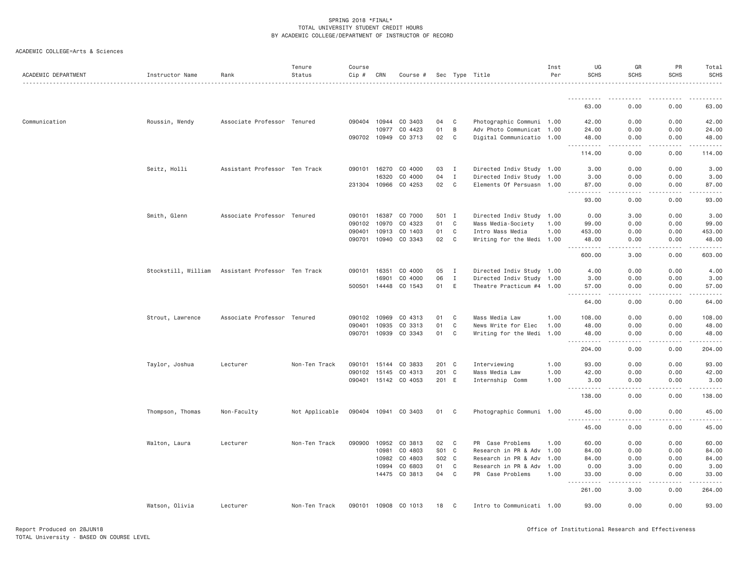| ACADEMIC DEPARTMENT | Instructor Name     | Rank                          | Tenure<br>Status | Course<br>Cip # | CRN          | Course #             |       |              | Sec Type Title            | Inst<br>Per | UG<br><b>SCHS</b>                         | GR<br><b>SCHS</b>                   | PR<br><b>SCHS</b>                                                                                                                                                                       | Total<br><b>SCHS</b> |
|---------------------|---------------------|-------------------------------|------------------|-----------------|--------------|----------------------|-------|--------------|---------------------------|-------------|-------------------------------------------|-------------------------------------|-----------------------------------------------------------------------------------------------------------------------------------------------------------------------------------------|----------------------|
|                     |                     |                               |                  |                 |              |                      |       |              |                           |             | <b></b>                                   |                                     |                                                                                                                                                                                         |                      |
|                     |                     |                               |                  |                 |              |                      |       |              |                           |             | 63.00                                     | 0.00                                | 0.00                                                                                                                                                                                    | 63.00                |
| Communication       | Roussin, Wendy      | Associate Professor Tenured   |                  |                 | 090404 10944 | CO 3403              | 04    | C            | Photographic Communi 1.00 |             | 42.00                                     | 0.00                                | 0.00                                                                                                                                                                                    | 42.00                |
|                     |                     |                               |                  |                 | 10977        | CO 4423              | 01    | B            | Adv Photo Communicat 1.00 |             | 24.00                                     | 0.00                                | 0.00                                                                                                                                                                                    | 24.00                |
|                     |                     |                               |                  | 090702 10949    |              | CO 3713              | 02    | C            | Digital Communicatio 1.00 |             | 48.00<br><b></b>                          | 0.00<br>.<br>$\frac{1}{2}$          | 0.00<br>$\frac{1}{2} \left( \frac{1}{2} \right) \left( \frac{1}{2} \right) \left( \frac{1}{2} \right) \left( \frac{1}{2} \right) \left( \frac{1}{2} \right) \left( \frac{1}{2} \right)$ | 48.00<br>.           |
|                     |                     |                               |                  |                 |              |                      |       |              |                           |             | 114.00                                    | 0.00                                | 0.00                                                                                                                                                                                    | 114.00               |
|                     | Seitz, Holli        | Assistant Professor Ten Track |                  |                 | 090101 16270 | CO 4000              | 03    | I            | Directed Indiv Study 1.00 |             | 3.00                                      | 0.00                                | 0.00                                                                                                                                                                                    | 3.00                 |
|                     |                     |                               |                  |                 | 16320        | CO 4000              | 04    | $\mathbf{I}$ | Directed Indiv Study 1.00 |             | 3.00                                      | 0.00                                | 0.00                                                                                                                                                                                    | 3.00                 |
|                     |                     |                               |                  | 231304 10966    |              | CO 4253              | 02 C  |              | Elements Of Persuasn 1.00 |             | 87.00<br>.                                | 0.00<br>-----                       | 0.00<br>-----                                                                                                                                                                           | 87.00<br>.           |
|                     |                     |                               |                  |                 |              |                      |       |              |                           |             | 93.00                                     | 0.00                                | 0.00                                                                                                                                                                                    | 93.00                |
|                     | Smith, Glenn        | Associate Professor Tenured   |                  | 090101 16387    |              | CO 7000              | 501 I |              | Directed Indiv Study 1.00 |             | 0.00                                      | 3.00                                | 0.00                                                                                                                                                                                    | 3.00                 |
|                     |                     |                               |                  | 090102 10970    |              | CO 4323              | 01    | C            | Mass Media-Society        | 1.00        | 99.00                                     | 0.00                                | 0.00                                                                                                                                                                                    | 99.00                |
|                     |                     |                               |                  | 090401          | 10913        | CO 1403              | 01    | C            | Intro Mass Media          | 1.00        | 453.00                                    | 0.00                                | 0.00                                                                                                                                                                                    | 453.00               |
|                     |                     |                               |                  | 090701          | 10940        | CO 3343              | 02    | C            | Writing for the Medi 1.00 |             | 48.00<br>.                                | 0.00<br>.                           | 0.00<br>.                                                                                                                                                                               | 48.00<br>.           |
|                     |                     |                               |                  |                 |              |                      |       |              |                           |             | 600.00                                    | 3.00                                | 0.00                                                                                                                                                                                    | 603.00               |
|                     | Stockstill, William | Assistant Professor Ten Track |                  | 090101          | 16351        | CO 4000              | 05    | $\mathbf{I}$ | Directed Indiv Study 1.00 |             | 4.00                                      | 0.00                                | 0.00                                                                                                                                                                                    | 4.00                 |
|                     |                     |                               |                  |                 | 16901        | CO 4000              | 06    | $\mathbf{I}$ | Directed Indiv Study 1.00 |             | 3.00                                      | 0.00                                | 0.00                                                                                                                                                                                    | 3.00                 |
|                     |                     |                               |                  |                 |              | 500501 14448 CO 1543 | 01 E  |              | Theatre Practicum #4 1.00 |             | 57.00<br>$\sim$ $\sim$ $\sim$ $\sim$<br>. | 0.00<br>$\sim$ $\sim$ $\sim$ $\sim$ | 0.00                                                                                                                                                                                    | 57.00                |
|                     |                     |                               |                  |                 |              |                      |       |              |                           |             | 64.00                                     | 0.00                                | 0.00                                                                                                                                                                                    | 64.00                |
|                     | Strout, Lawrence    | Associate Professor Tenured   |                  | 090102 10969    |              | CO 4313              | 01    | C            | Mass Media Law            | 1.00        | 108.00                                    | 0.00                                | 0.00                                                                                                                                                                                    | 108.00               |
|                     |                     |                               |                  | 090401          | 10935        | CO 3313              | 01    | C            | News Write for Elec       | 1.00        | 48.00                                     | 0.00                                | 0.00                                                                                                                                                                                    | 48.00                |
|                     |                     |                               |                  |                 |              | 090701 10939 CO 3343 | 01    | C            | Writing for the Medi 1.00 |             | 48.00<br>. <b>.</b>                       | 0.00<br>.                           | 0.00<br><b><i><u>.</u></i></b>                                                                                                                                                          | 48.00<br>.           |
|                     |                     |                               |                  |                 |              |                      |       |              |                           |             | 204.00                                    | 0.00                                | 0.00                                                                                                                                                                                    | 204.00               |
|                     | Taylor, Joshua      | Lecturer                      | Non-Ten Track    | 090101          | 15144        | CO 3833              | 201 C |              | Interviewing              | 1.00        | 93.00                                     | 0.00                                | 0.00                                                                                                                                                                                    | 93.00                |
|                     |                     |                               |                  | 090102 15145    |              | CO 4313              | 201 C |              | Mass Media Law            | 1.00        | 42.00                                     | 0.00                                | 0.00                                                                                                                                                                                    | 42.00                |
|                     |                     |                               |                  |                 |              | 090401 15142 CO 4053 | 201 E |              | Internship Comm           | 1.00        | 3.00<br>-----                             | 0.00                                | 0.00                                                                                                                                                                                    | 3.00                 |
|                     |                     |                               |                  |                 |              |                      |       |              |                           |             | 138.00                                    | 0.00                                | 0.00                                                                                                                                                                                    | 138.00               |
|                     | Thompson, Thomas    | Non-Faculty                   | Not Applicable   |                 |              | 090404 10941 CO 3403 | 01    | C            | Photographic Communi 1.00 |             | 45.00<br>. <b>.</b>                       | 0.00<br>.                           | 0.00                                                                                                                                                                                    | 45.00<br>.           |
|                     |                     |                               |                  |                 |              |                      |       |              |                           |             | 45.00                                     | 0.00                                | 0.00                                                                                                                                                                                    | 45.00                |
|                     | Walton, Laura       | Lecturer                      | Non-Ten Track    | 090900          | 10952        | CO 3813              | 02    | C            | PR Case Problems          | 1.00        | 60.00                                     | 0.00                                | 0.00                                                                                                                                                                                    | 60.00                |
|                     |                     |                               |                  |                 | 10981        | CO 4803              | S01 C |              | Research in PR & Adv      | 1.00        | 84.00                                     | 0.00                                | 0.00                                                                                                                                                                                    | 84.00                |
|                     |                     |                               |                  |                 | 10982        | CO 4803              | S02 C |              | Research in PR & Adv      | 1.00        | 84.00                                     | 0.00                                | 0.00                                                                                                                                                                                    | 84.00                |
|                     |                     |                               |                  |                 | 10994        | CO 6803              | 01    | C            | Research in PR & Adv      | 1.00        | 0.00                                      | 3.00                                | 0.00                                                                                                                                                                                    | 3.00                 |
|                     |                     |                               |                  |                 |              | 14475 CO 3813        | 04    | C            | PR Case Problems          | 1.00        | 33.00<br>.<br>$  -$                       | 0.00<br>-----                       | 0.00<br>$- - - - -$                                                                                                                                                                     | 33.00<br>.           |
|                     |                     |                               |                  |                 |              |                      |       |              |                           |             | 261.00                                    | 3.00                                | 0.00                                                                                                                                                                                    | 264.00               |
|                     | Watson, Olivia      | Lecturer                      | Non-Ten Track    |                 |              | 090101 10908 CO 1013 | 18    | C            | Intro to Communicati 1.00 |             | 93,00                                     | 0.00                                | 0.00                                                                                                                                                                                    | 93.00                |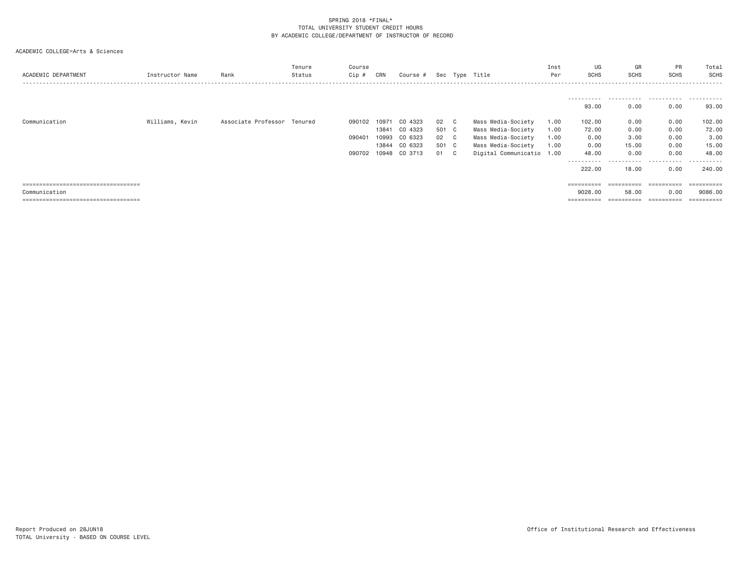| ACADEMIC DEPARTMENT                   | Instructor Name | Rank                        | Tenure<br>Status | Course<br>Cip # | CRN   | Course # |     |    | Sec Type Title            | Inst<br>Per | UG<br><b>SCHS</b> | GR<br>SCHS            | PR<br>SCHS | Total<br>SCHS |
|---------------------------------------|-----------------|-----------------------------|------------------|-----------------|-------|----------|-----|----|---------------------------|-------------|-------------------|-----------------------|------------|---------------|
|                                       |                 |                             |                  |                 |       |          |     |    |                           |             |                   |                       |            |               |
|                                       |                 |                             |                  |                 |       |          |     |    |                           |             | 93.00             | 0.00                  | 0.00       | 93.00         |
| Communication                         | Williams, Kevin | Associate Professor Tenured |                  | 090102          | 10971 | CO 4323  | 02  | C  | Mass Media-Society        | 1.00        | 102.00            | 0.00                  | 0.00       | 102.00        |
|                                       |                 |                             |                  |                 | 13841 | CO 4323  | 501 | C  | Mass Media-Society        | 1.00        | 72.00             | 0.00                  | 0.00       | 72.00         |
|                                       |                 |                             |                  | 090401          | 10993 | CO 6323  | 02  | ∟C | Mass Media-Society        | 1.00        | 0.00              | 3.00                  | 0.00       | 3.00          |
|                                       |                 |                             |                  |                 | 13844 | CO 6323  | 501 | C. | Mass Media-Society        | 1.00        | 0.00              | 15.00                 | 0.00       | 15.00         |
|                                       |                 |                             |                  | 090702          | 10948 | CO 3713  | 01  | C. | Digital Communicatio 1.00 |             | 48.00             | 0.00                  | 0.00       | 48,00         |
|                                       |                 |                             |                  |                 |       |          |     |    |                           |             | .                 | .                     | .          | .             |
|                                       |                 |                             |                  |                 |       |          |     |    |                           |             | 222,00            | 18,00                 | 0.00       | 240.00        |
|                                       |                 |                             |                  |                 |       |          |     |    |                           |             |                   |                       |            |               |
| ===================================== |                 |                             |                  |                 |       |          |     |    |                           |             | ==========        | ==========            | ========== | ========      |
| Communication                         |                 |                             |                  |                 |       |          |     |    |                           |             | 9028,00           | 58.00                 | 0.00       | 9086,00       |
| ===================================== |                 |                             |                  |                 |       |          |     |    |                           |             |                   | $=$ = = = = = = = = = | ========== |               |
|                                       |                 |                             |                  |                 |       |          |     |    |                           |             |                   |                       |            |               |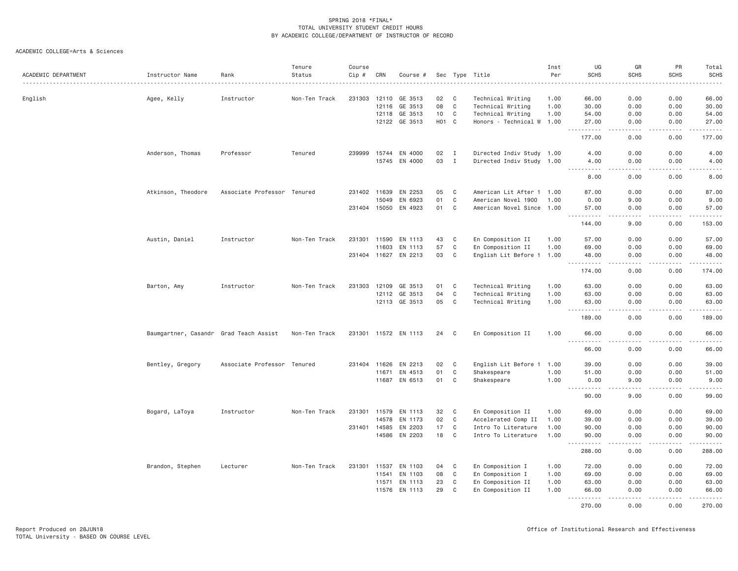| ACADEMIC DEPARTMENT | Instructor Name                        | Rank                        | Tenure<br>Status | Course<br>Cip # | CRN          | Course #             |       |              | Sec Type Title            | Inst<br>Per | UG<br><b>SCHS</b>                  | GR<br><b>SCHS</b>                                                                                                                 | PR<br><b>SCHS</b>       | Total<br><b>SCHS</b><br>$\frac{1}{2} \left( \frac{1}{2} \right) \left( \frac{1}{2} \right) \left( \frac{1}{2} \right) \left( \frac{1}{2} \right) \left( \frac{1}{2} \right)$ |
|---------------------|----------------------------------------|-----------------------------|------------------|-----------------|--------------|----------------------|-------|--------------|---------------------------|-------------|------------------------------------|-----------------------------------------------------------------------------------------------------------------------------------|-------------------------|------------------------------------------------------------------------------------------------------------------------------------------------------------------------------|
| English             | Agee, Kelly                            | Instructor                  | Non-Ten Track    |                 |              | 231303 12110 GE 3513 | 02    | C            | Technical Writing         | 1.00        | 66.00                              | 0.00                                                                                                                              | 0.00                    | 66.00                                                                                                                                                                        |
|                     |                                        |                             |                  |                 | 12116        | GE 3513              | 08    | $\mathbf{C}$ | Technical Writing         | 1.00        | 30.00                              | 0.00                                                                                                                              | 0.00                    | 30.00                                                                                                                                                                        |
|                     |                                        |                             |                  |                 | 12118        | GE 3513              | 10    | $\mathbf{C}$ | Technical Writing         | 1.00        | 54.00                              | 0.00                                                                                                                              | 0.00                    | 54.00                                                                                                                                                                        |
|                     |                                        |                             |                  |                 |              | 12122 GE 3513        | HO1 C |              | Honors - Technical W 1.00 |             | 27.00<br>.                         | 0.00                                                                                                                              | 0.00                    | 27.00<br>.                                                                                                                                                                   |
|                     |                                        |                             |                  |                 |              |                      |       |              |                           |             | 177.00                             | 0.00                                                                                                                              | 0.00                    | 177.00                                                                                                                                                                       |
|                     | Anderson, Thomas                       | Professor                   | Tenured          |                 |              | 239999 15744 EN 4000 | 02    | $\mathbf{I}$ | Directed Indiv Study 1.00 |             | 4.00                               | 0.00                                                                                                                              | 0.00                    | 4.00                                                                                                                                                                         |
|                     |                                        |                             |                  |                 |              | 15745 EN 4000        | 03    | $\mathbf{I}$ | Directed Indiv Study 1.00 |             | 4.00<br>.                          | 0.00<br>.                                                                                                                         | 0.00<br>$2 - 2 - 2 - 2$ | 4.00<br>$\sim$ $\sim$ $\sim$ $\sim$ $\sim$                                                                                                                                   |
|                     |                                        |                             |                  |                 |              |                      |       |              |                           |             | 8.00                               | 0.00                                                                                                                              | 0.00                    | 8.00                                                                                                                                                                         |
|                     | Atkinson, Theodore                     | Associate Professor Tenured |                  |                 | 231402 11639 | EN 2253              | 05    | $\mathbf C$  | American Lit After 1 1.00 |             | 87.00                              | 0.00                                                                                                                              | 0.00                    | 87.00                                                                                                                                                                        |
|                     |                                        |                             |                  |                 | 15049        | EN 6923              | 01    | C            | American Novel 1900       | 1.00        | 0.00                               | 9.00                                                                                                                              | 0.00                    | 9.00                                                                                                                                                                         |
|                     |                                        |                             |                  |                 |              | 231404 15050 EN 4923 | 01    | $\mathbf{C}$ | American Novel Since 1.00 |             | 57.00<br>$  -$<br>.                | 0.00<br>.                                                                                                                         | 0.00<br>.               | 57.00<br>.                                                                                                                                                                   |
|                     |                                        |                             |                  |                 |              |                      |       |              |                           |             | 144.00                             | 9.00                                                                                                                              | 0.00                    | 153.00                                                                                                                                                                       |
|                     | Austin, Daniel                         | Instructor                  | Non-Ten Track    |                 | 231301 11590 | EN 1113              | 43    | $\mathbf{C}$ | En Composition II         | 1.00        | 57.00                              | 0.00                                                                                                                              | 0.00                    | 57.00                                                                                                                                                                        |
|                     |                                        |                             |                  |                 | 11603        | EN 1113              | 57    | $\mathbf C$  | En Composition II         | 1.00        | 69.00                              | 0.00                                                                                                                              | 0.00                    | 69.00                                                                                                                                                                        |
|                     |                                        |                             |                  |                 |              | 231404 11627 EN 2213 | 03    | $\mathbf{C}$ | English Lit Before 1 1.00 |             | 48.00<br>$\sim$ $\sim$ $\sim$<br>. | 0.00<br>$\sim$ $\sim$ $\sim$                                                                                                      | 0.00<br>.               | 48.00<br>.                                                                                                                                                                   |
|                     |                                        |                             |                  |                 |              |                      |       |              |                           |             | 174.00                             | 0.00                                                                                                                              | 0.00                    | 174.00                                                                                                                                                                       |
|                     | Barton, Amy                            | Instructor                  | Non-Ten Track    |                 |              | 231303 12109 GE 3513 | 01    | $\mathbf{C}$ | Technical Writing         | 1.00        | 63.00                              | 0.00                                                                                                                              | 0.00                    | 63.00                                                                                                                                                                        |
|                     |                                        |                             |                  |                 | 12112        | GE 3513              | 04    | C            | Technical Writing         | 1.00        | 63.00                              | 0.00                                                                                                                              | 0.00                    | 63.00                                                                                                                                                                        |
|                     |                                        |                             |                  |                 |              | 12113 GE 3513        | 05    | $\mathbf{C}$ | Technical Writing         | 1.00        | 63.00<br>$\sim$ $\sim$ $\sim$<br>. | 0.00<br>.                                                                                                                         | 0.00<br>.               | 63.00<br>.                                                                                                                                                                   |
|                     |                                        |                             |                  |                 |              |                      |       |              |                           |             | 189.00                             | 0.00                                                                                                                              | 0.00                    | 189.00                                                                                                                                                                       |
|                     | Baumgartner, Casandr Grad Teach Assist |                             | Non-Ten Track    |                 |              | 231301 11572 EN 1113 | 24    | C            | En Composition II         | 1.00        | 66.00<br>.                         | 0.00<br>. <u>. .</u>                                                                                                              | 0.00<br>.               | 66.00<br>.                                                                                                                                                                   |
|                     |                                        |                             |                  |                 |              |                      |       |              |                           |             | 66.00                              | 0.00                                                                                                                              | 0.00                    | 66.00                                                                                                                                                                        |
|                     | Bentley, Gregory                       | Associate Professor Tenured |                  |                 | 231404 11626 | EN 2213              | 02    | $\mathbf{C}$ | English Lit Before 1      | 1.00        | 39.00                              | 0.00                                                                                                                              | 0.00                    | 39.00                                                                                                                                                                        |
|                     |                                        |                             |                  |                 | 11671        | EN 4513              | 01    | C            | Shakespeare               | 1.00        | 51.00                              | 0.00                                                                                                                              | 0.00                    | 51.00                                                                                                                                                                        |
|                     |                                        |                             |                  |                 |              | 11687 EN 6513        | 01    | $\mathbf{C}$ | Shakespeare               | 1.00        | 0.00<br>$\sim$ $\sim$ $\sim$<br>.  | 9.00<br>$\frac{1}{2} \left( \frac{1}{2} \right) \left( \frac{1}{2} \right) \left( \frac{1}{2} \right) \left( \frac{1}{2} \right)$ | 0.00<br>.               | 9.00<br>$\frac{1}{2} \left( \frac{1}{2} \right) \left( \frac{1}{2} \right) \left( \frac{1}{2} \right) \left( \frac{1}{2} \right) \left( \frac{1}{2} \right)$                 |
|                     |                                        |                             |                  |                 |              |                      |       |              |                           |             | 90.00                              | 9.00                                                                                                                              | 0.00                    | 99.00                                                                                                                                                                        |
|                     | Bogard, LaToya                         | Instructor                  | Non-Ten Track    |                 |              | 231301 11579 EN 1113 | 32    | $\mathbf{C}$ | En Composition II         | 1.00        | 69.00                              | 0.00                                                                                                                              | 0.00                    | 69.00                                                                                                                                                                        |
|                     |                                        |                             |                  |                 | 14578        | EN 1173              | 02    | $\mathbf C$  | Accelerated Comp II       | 1.00        | 39.00                              | 0.00                                                                                                                              | 0.00                    | 39.00                                                                                                                                                                        |
|                     |                                        |                             |                  |                 | 231401 14585 | EN 2203              | 17    | $\mathbf{C}$ | Intro To Literature       | 1.00        | 90.00                              | 0.00                                                                                                                              | 0.00                    | 90.00                                                                                                                                                                        |
|                     |                                        |                             |                  |                 |              | 14586 EN 2203        | 18    | $\mathbf{C}$ | Intro To Literature       | 1.00        | 90.00<br>.                         | 0.00<br>.                                                                                                                         | 0.00<br>.               | 90.00<br>.                                                                                                                                                                   |
|                     |                                        |                             |                  |                 |              |                      |       |              |                           |             | 288.00                             | 0.00                                                                                                                              | 0.00                    | 288.00                                                                                                                                                                       |
|                     | Brandon, Stephen                       | Lecturer                    | Non-Ten Track    |                 |              | 231301 11537 EN 1103 | 04    | $\mathbf{C}$ | En Composition I          | 1.00        | 72.00                              | 0.00                                                                                                                              | 0.00                    | 72.00                                                                                                                                                                        |
|                     |                                        |                             |                  |                 | 11541        | EN 1103              | 08    | $\mathbf C$  | En Composition I          | 1.00        | 69.00                              | 0.00                                                                                                                              | 0.00                    | 69.00                                                                                                                                                                        |
|                     |                                        |                             |                  |                 | 11571        | EN 1113              | 23    | $\mathbf C$  | En Composition II         | 1.00        | 63.00                              | 0.00                                                                                                                              | 0.00                    | 63.00                                                                                                                                                                        |
|                     |                                        |                             |                  |                 | 11576        | EN 1113              | 29    | C            | En Composition II         | 1.00        | 66.00<br>.<br>$- - -$              | 0.00<br>.                                                                                                                         | 0.00<br>.               | 66.00<br>.                                                                                                                                                                   |
|                     |                                        |                             |                  |                 |              |                      |       |              |                           |             | 270.00                             | 0.00                                                                                                                              | 0.00                    | 270.00                                                                                                                                                                       |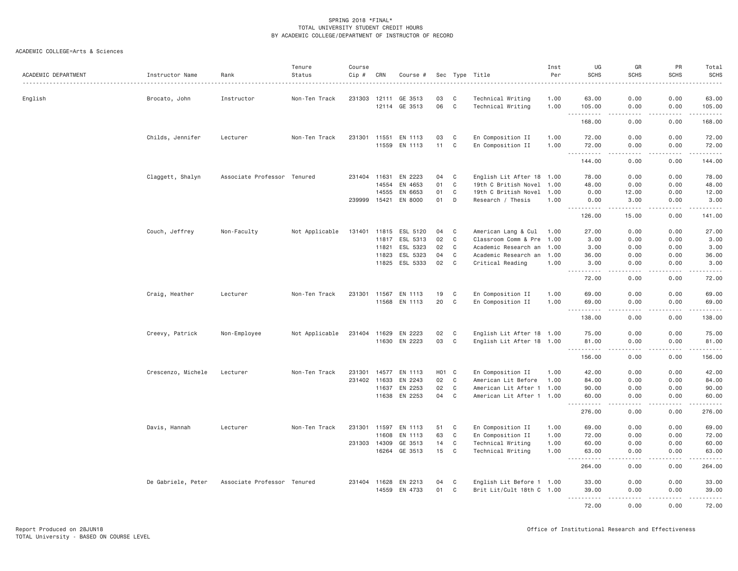| ACADEMIC DEPARTMENT | Instructor Name<br>. | Rank                        | Tenure<br>Status | Course<br>Cip # | CRN            | Course #           |          |                   | Sec Type Title                                         | Inst<br>Per  | UG<br><b>SCHS</b>                                                                                             | GR<br><b>SCHS</b>                                                                                                                 | PR<br><b>SCHS</b>           | Total<br><b>SCHS</b><br>$\frac{1}{2}$ |
|---------------------|----------------------|-----------------------------|------------------|-----------------|----------------|--------------------|----------|-------------------|--------------------------------------------------------|--------------|---------------------------------------------------------------------------------------------------------------|-----------------------------------------------------------------------------------------------------------------------------------|-----------------------------|---------------------------------------|
| English             | Brocato, John        | Instructor                  | Non-Ten Track    | 231303          | 12111          | GE 3513            | 03       | C                 | Technical Writing                                      | 1.00         | 63.00                                                                                                         | 0.00                                                                                                                              | 0.00                        | 63.00                                 |
|                     |                      |                             |                  |                 |                | 12114 GE 3513      | 06       | $\mathbb{C}$      | Technical Writing                                      | 1.00         | 105.00<br>$\sim$ $\sim$ .<br>.                                                                                | 0.00<br>$\frac{1}{2} \left( \frac{1}{2} \right) \left( \frac{1}{2} \right) \left( \frac{1}{2} \right) \left( \frac{1}{2} \right)$ | 0.00<br>.                   | 105.00<br>.                           |
|                     |                      |                             |                  |                 |                |                    |          |                   |                                                        |              | 168.00                                                                                                        | 0.00                                                                                                                              | 0.00                        | 168.00                                |
|                     | Childs, Jennifer     | Lecturer                    | Non-Ten Track    | 231301          | 11551          | EN 1113            | 03       | C                 | En Composition II                                      | 1.00         | 72.00                                                                                                         | 0.00                                                                                                                              | 0.00                        | 72.00                                 |
|                     |                      |                             |                  |                 | 11559          | EN 1113            | 11       | C                 | En Composition II                                      | 1.00         | 72.00<br>$\sim$ $\sim$ $\sim$ $\sim$<br>------                                                                | 0.00                                                                                                                              | 0.00                        | 72.00<br>.                            |
|                     |                      |                             |                  |                 |                |                    |          |                   |                                                        |              | 144.00                                                                                                        | 0.00                                                                                                                              | 0.00                        | 144.00                                |
|                     | Claggett, Shalyn     | Associate Professor Tenured |                  | 231404 11631    |                | EN 2223            | 04       | C                 | English Lit After 18 1.00                              |              | 78.00                                                                                                         | 0.00                                                                                                                              | 0.00                        | 78.00                                 |
|                     |                      |                             |                  |                 | 14554          | EN 4653            | 01       | $\mathbf c$       | 19th C British Novel 1.00                              |              | 48.00                                                                                                         | 0.00                                                                                                                              | 0.00                        | 48.00                                 |
|                     |                      |                             |                  |                 | 14555          | EN 6653            | 01       | C                 | 19th C British Novel 1.00                              |              | 0.00                                                                                                          | 12.00                                                                                                                             | 0.00                        | 12.00                                 |
|                     |                      |                             |                  | 239999          |                | 15421 EN 8000      | 01       | D                 | Research / Thesis                                      | 1.00         | 0.00<br>.                                                                                                     | 3,00<br>$- - - - -$                                                                                                               | 0.00<br>.                   | 3.00<br><u>.</u>                      |
|                     |                      |                             |                  |                 |                |                    |          |                   |                                                        |              | 126.00                                                                                                        | 15.00                                                                                                                             | 0.00                        | 141.00                                |
|                     | Couch, Jeffrey       | Non-Faculty                 | Not Applicable   | 131401          | 11815          | ESL 5120           | 04       | C                 | American Lang & Cul                                    | 1.00         | 27.00                                                                                                         | 0.00                                                                                                                              | 0.00                        | 27.00                                 |
|                     |                      |                             |                  |                 | 11817          | ESL 5313           | 02       | $\mathbb C$       | Classroom Comm & Pre 1.00                              |              | 3.00                                                                                                          | 0.00                                                                                                                              | 0.00                        | 3.00                                  |
|                     |                      |                             |                  |                 | 11821          | ESL 5323           | 02       | $\mathbf c$       | Academic Research an 1.00                              |              | 3.00                                                                                                          | 0.00                                                                                                                              | 0.00                        | 3.00                                  |
|                     |                      |                             |                  |                 | 11823          | ESL 5323           | 04       | $\mathbb C$       | Academic Research an 1.00                              |              | 36.00                                                                                                         | 0.00                                                                                                                              | 0.00                        | 36.00                                 |
|                     |                      |                             |                  |                 | 11825          | ESL 5333           | 02       | C                 | Critical Reading                                       | 1.00         | 3.00<br><b></b>                                                                                               | 0.00<br>.                                                                                                                         | 0.00<br>.                   | 3.00<br>.                             |
|                     |                      |                             |                  |                 |                |                    |          |                   |                                                        |              | 72.00                                                                                                         | 0.00                                                                                                                              | 0.00                        | 72.00                                 |
|                     | Craig, Heather       | Lecturer                    | Non-Ten Track    | 231301          | 11567          | EN 1113            | 19       | C                 | En Composition II                                      | 1.00         | 69,00                                                                                                         | 0.00                                                                                                                              | 0.00                        | 69.00                                 |
|                     |                      |                             |                  |                 | 11568          | EN 1113            | 20       | $\mathbf c$       | En Composition II                                      | 1.00         | 69.00                                                                                                         | 0.00                                                                                                                              | 0.00                        | 69.00                                 |
|                     |                      |                             |                  |                 |                |                    |          |                   |                                                        |              | $\frac{1}{2} \left( \frac{1}{2} \right) \left( \frac{1}{2} \right)$<br>. <u>.</u><br>138.00                   | $\frac{1}{2}$<br>0.00                                                                                                             | .<br>0.00                   | .<br>138.00                           |
|                     | Creevy, Patrick      | Non-Employee                | Not Applicable   | 231404 11629    |                | EN 2223            | 02       | C                 | English Lit After 18 1.00                              |              | 75.00                                                                                                         | 0.00                                                                                                                              | 0.00                        | 75.00                                 |
|                     |                      |                             |                  |                 | 11630          | EN 2223            | 03       | $\mathbf c$       | English Lit After 18 1.00                              |              | 81.00                                                                                                         | 0.00                                                                                                                              | 0.00                        | 81.00                                 |
|                     |                      |                             |                  |                 |                |                    |          |                   |                                                        |              |                                                                                                               |                                                                                                                                   | $\frac{1}{2}$               | .                                     |
|                     |                      |                             |                  |                 |                |                    |          |                   |                                                        |              | 156.00                                                                                                        | 0.00                                                                                                                              | 0.00                        | 156.00                                |
|                     | Crescenzo, Michele   | Lecturer                    | Non-Ten Track    | 231301          | 14577          | EN 1113            | H01 C    |                   | En Composition II                                      | 1.00         | 42.00                                                                                                         | 0.00                                                                                                                              | 0.00                        | 42.00                                 |
|                     |                      |                             |                  | 231402 11633    |                | EN 2243            | 02       | C                 | American Lit Before                                    | 1.00         | 84.00                                                                                                         | 0.00                                                                                                                              | 0.00                        | 84.00                                 |
|                     |                      |                             |                  |                 | 11637<br>11638 | EN 2253<br>EN 2253 | 02<br>04 | C<br>C            | American Lit After 1 1.00<br>American Lit After 1 1.00 |              | 90.00<br>60.00                                                                                                | 0.00<br>0.00                                                                                                                      | 0.00<br>0.00                | 90.00<br>60.00                        |
|                     |                      |                             |                  |                 |                |                    |          |                   |                                                        |              | $\frac{1}{2} \left( \frac{1}{2} \right) \left( \frac{1}{2} \right) \left( \frac{1}{2} \right)$<br>.<br>276.00 | $  -$<br>0.00                                                                                                                     | .<br>0.00                   | .<br>276.00                           |
|                     |                      |                             |                  |                 |                |                    |          |                   |                                                        |              |                                                                                                               |                                                                                                                                   |                             |                                       |
|                     | Davis, Hannah        | Lecturer                    | Non-Ten Track    | 231301 11597    |                | EN 1113            | 51       | C                 | En Composition II                                      | 1.00         | 69.00                                                                                                         | 0.00                                                                                                                              | 0.00                        | 69.00                                 |
|                     |                      |                             |                  |                 | 11608          | EN 1113            | 63       | $\mathbf C$       | En Composition II                                      | 1.00         | 72.00                                                                                                         | 0.00                                                                                                                              | 0.00                        | 72.00                                 |
|                     |                      |                             |                  | 231303          | 14309<br>16264 | GE 3513<br>GE 3513 | 14<br>15 | C<br>$\mathbf{C}$ | Technical Writing<br>Technical Writing                 | 1.00<br>1.00 | 60.00<br>63.00                                                                                                | 0.00<br>0.00                                                                                                                      | 0.00<br>0.00                | 60.00<br>63.00                        |
|                     |                      |                             |                  |                 |                |                    |          |                   |                                                        |              | -----<br>264.00                                                                                               | $\frac{1}{2}$<br>0.00                                                                                                             | .<br>0.00                   | .<br>264.00                           |
|                     |                      |                             |                  |                 |                |                    |          |                   |                                                        |              |                                                                                                               |                                                                                                                                   |                             |                                       |
|                     | De Gabriele, Peter   | Associate Professor Tenured |                  | 231404 11628    | 14559          | EN 2213<br>EN 4733 | 04<br>01 | C<br>C            | English Lit Before 1 1.00<br>Brit Lit/Cult 18th C 1.00 |              | 33.00<br>39.00                                                                                                | 0.00<br>0.00                                                                                                                      | 0.00<br>0.00                | 33.00<br>39.00                        |
|                     |                      |                             |                  |                 |                |                    |          |                   |                                                        |              | $\sim$ $\sim$ $\sim$                                                                                          | $  -$                                                                                                                             | $\sim$ $\sim$ $\sim$ $\sim$ | .                                     |
|                     |                      |                             |                  |                 |                |                    |          |                   |                                                        |              | 72.00                                                                                                         | 0.00                                                                                                                              | 0.00                        | 72.00                                 |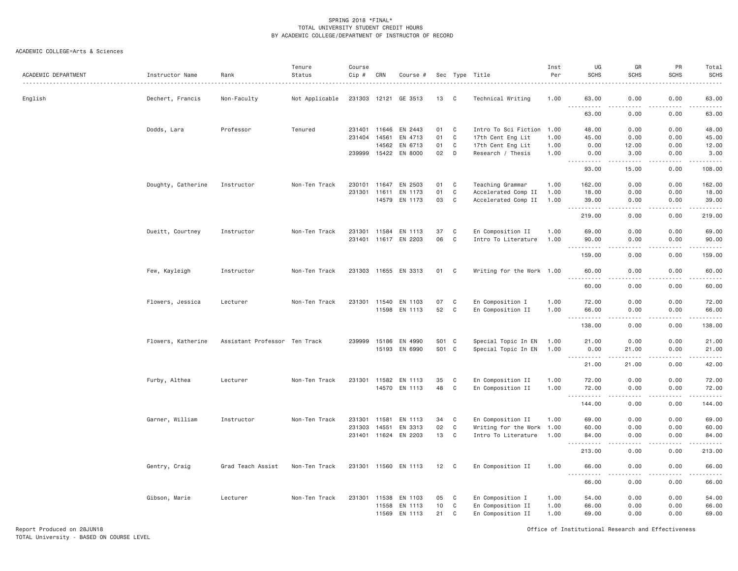## ACADEMIC COLLEGE=Arts & Sciences

| ACADEMIC DEPARTMENT | Instructor Name    | Rank                          | Tenure<br>Status | Course<br>Cip # | CRN          | Course #             |       |              | Sec Type Title            | Inst<br>Per | UG<br><b>SCHS</b>                                       | GR<br><b>SCHS</b> | PR<br><b>SCHS</b>                                                                                                                                                                                                                                                                                                                            | Total<br><b>SCHS</b>   |
|---------------------|--------------------|-------------------------------|------------------|-----------------|--------------|----------------------|-------|--------------|---------------------------|-------------|---------------------------------------------------------|-------------------|----------------------------------------------------------------------------------------------------------------------------------------------------------------------------------------------------------------------------------------------------------------------------------------------------------------------------------------------|------------------------|
| English             | Dechert, Francis   | Non-Faculty                   | Not Applicable   |                 |              | 231303 12121 GE 3513 | 13    | $\mathbf{C}$ | Technical Writing         | 1.00        | 63.00<br>$- - -$                                        | 0.00<br>.         | 0.00<br><u>.</u>                                                                                                                                                                                                                                                                                                                             | 63.00<br>.             |
|                     |                    |                               |                  |                 |              |                      |       |              |                           |             | .<br>63.00                                              | 0.00              | 0.00                                                                                                                                                                                                                                                                                                                                         | 63.00                  |
|                     | Dodds, Lara        | Professor                     | Tenured          |                 | 231401 11646 | EN 2443              | 01    | $\mathbf C$  | Intro To Sci Fiction      | 1.00        | 48.00                                                   | 0.00              | 0.00                                                                                                                                                                                                                                                                                                                                         | 48.00                  |
|                     |                    |                               |                  | 231404 14561    |              | EN 4713              | 01    | C            | 17th Cent Eng Lit         | 1.00        | 45.00                                                   | 0.00              | 0.00                                                                                                                                                                                                                                                                                                                                         | 45.00                  |
|                     |                    |                               |                  |                 | 14562        | EN 6713              | 01    | C            | 17th Cent Eng Lit         | 1.00        | 0.00                                                    | 12.00             | 0.00                                                                                                                                                                                                                                                                                                                                         | 12.00                  |
|                     |                    |                               |                  |                 |              | 239999 15422 EN 8000 | 02    | D            | Research / Thesis         | 1.00        | 0.00<br>$- - -$<br>-----                                | 3,00<br>-----     | 0.00<br>.                                                                                                                                                                                                                                                                                                                                    | 3.00<br>.              |
|                     |                    |                               |                  |                 |              |                      |       |              |                           |             | 93.00                                                   | 15.00             | 0.00                                                                                                                                                                                                                                                                                                                                         | 108.00                 |
|                     | Doughty, Catherine | Instructor                    | Non-Ten Track    |                 | 230101 11647 | EN 2503              | 01    | $\mathbf C$  | Teaching Grammar          | 1.00        | 162.00                                                  | 0.00              | 0.00                                                                                                                                                                                                                                                                                                                                         | 162.00                 |
|                     |                    |                               |                  |                 | 231301 11611 | EN 1173              | 01    | $\mathsf{C}$ | Accelerated Comp II       | 1.00        | 18.00                                                   | 0.00              | 0.00                                                                                                                                                                                                                                                                                                                                         | 18.00                  |
|                     |                    |                               |                  |                 |              | 14579 EN 1173        | 03    | C            | Accelerated Comp II       | 1.00        | 39.00<br>.<br>$\sim$ $\sim$ .                           | 0.00<br>د د د د   | 0.00<br>.                                                                                                                                                                                                                                                                                                                                    | 39.00<br><u>.</u>      |
|                     |                    |                               |                  |                 |              |                      |       |              |                           |             | 219.00                                                  | 0.00              | 0.00                                                                                                                                                                                                                                                                                                                                         | 219.00                 |
|                     | Dueitt, Courtney   | Instructor                    | Non-Ten Track    |                 |              | 231301 11584 EN 1113 | 37    | $\mathbf{C}$ | En Composition II         | 1.00        | 69.00                                                   | 0.00              | 0.00                                                                                                                                                                                                                                                                                                                                         | 69.00                  |
|                     |                    |                               |                  |                 |              | 231401 11617 EN 2203 | 06    | $\mathbf{C}$ | Intro To Literature       | 1.00        | 90.00                                                   | 0.00              | 0.00                                                                                                                                                                                                                                                                                                                                         | 90.00                  |
|                     |                    |                               |                  |                 |              |                      |       |              |                           |             | 159.00                                                  | 0.00              | 0.00                                                                                                                                                                                                                                                                                                                                         | 159.00                 |
|                     | Few, Kayleigh      | Instructor                    | Non-Ten Track    |                 |              | 231303 11655 EN 3313 | 01    | C            | Writing for the Work 1.00 |             | 60.00<br>$\sim$ $\sim$ $\sim$<br>.                      | 0.00<br>.         | 0.00<br>.                                                                                                                                                                                                                                                                                                                                    | 60.00                  |
|                     |                    |                               |                  |                 |              |                      |       |              |                           |             | 60.00                                                   | 0.00              | 0.00                                                                                                                                                                                                                                                                                                                                         | .<br>60.00             |
|                     | Flowers, Jessica   | Lecturer                      | Non-Ten Track    |                 | 231301 11540 | EN 1103              | 07    | C            | En Composition I          | 1.00        | 72.00                                                   | 0.00              | 0.00                                                                                                                                                                                                                                                                                                                                         | 72.00                  |
|                     |                    |                               |                  |                 |              | 11598 EN 1113        | 52    | $\mathbf C$  | En Composition II         | 1.00        | 66.00<br><b><i><u>.</u></i></b><br>$\sim$ $\sim$ $\sim$ | 0.00<br>.         | 0.00<br>2.2.2.2.2                                                                                                                                                                                                                                                                                                                            | 66.00<br>------        |
|                     |                    |                               |                  |                 |              |                      |       |              |                           |             | 138.00                                                  | 0.00              | 0.00                                                                                                                                                                                                                                                                                                                                         | 138.00                 |
|                     | Flowers, Katherine | Assistant Professor Ten Track |                  | 239999          |              | 15186 EN 4990        | S01 C |              | Special Topic In EN       | 1.00        | 21.00                                                   | 0.00              | 0.00                                                                                                                                                                                                                                                                                                                                         | 21.00                  |
|                     |                    |                               |                  |                 |              | 15193 EN 6990        | S01 C |              | Special Topic In EN       | 1.00        | 0.00                                                    | 21.00             | 0.00                                                                                                                                                                                                                                                                                                                                         | 21.00                  |
|                     |                    |                               |                  |                 |              |                      |       |              |                           |             | .<br>21.00                                              | $\sim$<br>21.00   | $\frac{1}{2} \left( \begin{array}{ccc} 1 & 0 & 0 & 0 \\ 0 & 0 & 0 & 0 \\ 0 & 0 & 0 & 0 \\ 0 & 0 & 0 & 0 \\ 0 & 0 & 0 & 0 \\ 0 & 0 & 0 & 0 \\ 0 & 0 & 0 & 0 \\ 0 & 0 & 0 & 0 \\ 0 & 0 & 0 & 0 \\ 0 & 0 & 0 & 0 \\ 0 & 0 & 0 & 0 & 0 \\ 0 & 0 & 0 & 0 & 0 \\ 0 & 0 & 0 & 0 & 0 \\ 0 & 0 & 0 & 0 & 0 \\ 0 & 0 & 0 & 0 & 0 \\ 0 & 0 & 0$<br>0.00 | ------<br>42.00        |
|                     | Furby, Althea      | Lecturer                      | Non-Ten Track    |                 | 231301 11582 | EN 1113              | 35    | C            | En Composition II         | 1.00        | 72.00                                                   | 0.00              | 0.00                                                                                                                                                                                                                                                                                                                                         | 72.00                  |
|                     |                    |                               |                  |                 |              | 14570 EN 1113        | 48    | $\mathbf{C}$ | En Composition II         | 1.00        | 72.00<br>.                                              | 0.00<br>.         | 0.00<br>.                                                                                                                                                                                                                                                                                                                                    | 72.00<br>$- - - - - -$ |
|                     |                    |                               |                  |                 |              |                      |       |              |                           |             | 144.00                                                  | 0.00              | 0.00                                                                                                                                                                                                                                                                                                                                         | 144.00                 |
|                     | Garner, William    | Instructor                    | Non-Ten Track    |                 | 231301 11581 | EN 1113              | 34    | C            | En Composition II         | 1.00        | 69.00                                                   | 0.00              | 0.00                                                                                                                                                                                                                                                                                                                                         | 69.00                  |
|                     |                    |                               |                  | 231303          | 14551        | EN 3313              | 02    | $\mathbf{C}$ | Writing for the Work      | 1.00        | 60.00                                                   | 0.00              | 0.00                                                                                                                                                                                                                                                                                                                                         | 60.00                  |
|                     |                    |                               |                  |                 |              | 231401 11624 EN 2203 | 13    | $\mathbf C$  | Intro To Literature       | 1.00        | 84.00<br>.                                              | 0.00<br>.         | 0.00<br>.                                                                                                                                                                                                                                                                                                                                    | 84.00<br>.             |
|                     |                    |                               |                  |                 |              |                      |       |              |                           |             | 213.00                                                  | 0.00              | 0.00                                                                                                                                                                                                                                                                                                                                         | 213.00                 |
|                     | Gentry, Craig      | Grad Teach Assist             | Non-Ten Track    |                 |              | 231301 11560 EN 1113 | 12    | $\mathbf{C}$ | En Composition II         | 1.00        | 66.00                                                   | 0.00              | 0.00                                                                                                                                                                                                                                                                                                                                         | 66.00                  |
|                     |                    |                               |                  |                 |              |                      |       |              |                           |             | $\sim$ $\sim$ $\sim$<br>66.00                           | 0.00              | 0.00                                                                                                                                                                                                                                                                                                                                         | 66.00                  |
|                     | Gibson, Marie      | Lecturer                      | Non-Ten Track    |                 |              | 231301 11538 EN 1103 | 05    | $\mathbf{C}$ | En Composition I          | 1.00        | 54.00                                                   | 0.00              | 0.00                                                                                                                                                                                                                                                                                                                                         | 54.00                  |
|                     |                    |                               |                  |                 | 11558        | EN 1113              | 10    | $\mathbf C$  | En Composition II         | 1.00        | 66.00                                                   | 0.00              | 0.00                                                                                                                                                                                                                                                                                                                                         | 66.00                  |
|                     |                    |                               |                  |                 |              | 11569 EN 1113        | 21    | C            | En Composition II         | 1.00        | 69.00                                                   | 0.00              | 0.00                                                                                                                                                                                                                                                                                                                                         | 69.00                  |

Report Produced on 28JUN18 Office of Institutional Research and Effectiveness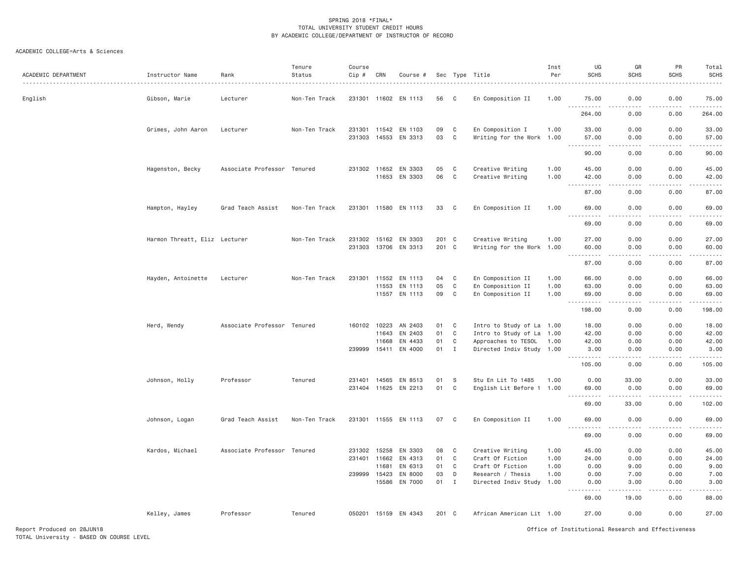| ACADEMIC DEPARTMENT | Instructor Name               | Rank                        | Tenure<br>Status | Course<br>Cip # | CRN          | Course #             |       |                | Sec Type Title            | Inst<br>Per | UG<br><b>SCHS</b>                                       | GR<br><b>SCHS</b>    | PR<br><b>SCHS</b> | Total<br><b>SCHS</b>                                                                                                                                                                     |
|---------------------|-------------------------------|-----------------------------|------------------|-----------------|--------------|----------------------|-------|----------------|---------------------------|-------------|---------------------------------------------------------|----------------------|-------------------|------------------------------------------------------------------------------------------------------------------------------------------------------------------------------------------|
| English             | Gibson, Marie                 | Lecturer                    | Non-Ten Track    |                 |              | 231301 11602 EN 1113 | 56    | C              | En Composition II         | 1.00        | 75.00                                                   | 0.00<br>.            | 0.00              | 75.00                                                                                                                                                                                    |
|                     |                               |                             |                  |                 |              |                      |       |                |                           |             | 264.00                                                  | 0.00                 | 0.00              | 264.00                                                                                                                                                                                   |
|                     | Grimes, John Aaron            | Lecturer                    | Non-Ten Track    |                 |              | 231301 11542 EN 1103 | 09    | $\mathbf C$    | En Composition I          | 1.00        | 33.00                                                   | 0.00                 | 0.00              | 33.00                                                                                                                                                                                    |
|                     |                               |                             |                  |                 |              | 231303 14553 EN 3313 | 03    | $\mathbf C$    | Writing for the Work 1.00 |             | 57.00<br>$\sim$ $\sim$ $\sim$<br><b><i><u>.</u></i></b> | 0.00<br>.            | 0.00<br>.         | 57.00<br>.                                                                                                                                                                               |
|                     |                               |                             |                  |                 |              |                      |       |                |                           |             | 90.00                                                   | 0.00                 | 0.00              | 90.00                                                                                                                                                                                    |
|                     | Hagenston, Becky              | Associate Professor Tenured |                  |                 |              | 231302 11652 EN 3303 | 05    | C              | Creative Writing          | 1.00        | 45.00                                                   | 0.00                 | 0.00              | 45.00                                                                                                                                                                                    |
|                     |                               |                             |                  |                 |              | 11653 EN 3303        | 06    | $\mathbf C$    | Creative Writing          | 1.00        | 42.00<br>.<br>$\sim$ $\sim$ $\sim$                      | 0.00<br>د د د د      | 0.00<br>.         | 42.00<br>.                                                                                                                                                                               |
|                     |                               |                             |                  |                 |              |                      |       |                |                           |             | 87.00                                                   | 0.00                 | 0.00              | 87.00                                                                                                                                                                                    |
|                     | Hampton, Hayley               | Grad Teach Assist           | Non-Ten Track    |                 |              | 231301 11580 EN 1113 | 33    | C <sub>1</sub> | En Composition II         | 1.00        | 69.00                                                   | 0.00                 | 0.00              | 69.00                                                                                                                                                                                    |
|                     |                               |                             |                  |                 |              |                      |       |                |                           |             | .<br>69.00                                              | .<br>0.00            | .<br>0.00         | .<br>69.00                                                                                                                                                                               |
|                     | Harmon Threatt, Eliz Lecturer |                             | Non-Ten Track    |                 |              | 231302 15162 EN 3303 | 201 C |                | Creative Writing          | 1.00        | 27.00                                                   | 0.00                 | 0.00              | 27.00                                                                                                                                                                                    |
|                     |                               |                             |                  |                 |              | 231303 13706 EN 3313 | 201 C |                | Writing for the Work 1.00 |             | 60.00<br>.                                              | 0.00                 | 0.00              | 60.00                                                                                                                                                                                    |
|                     |                               |                             |                  |                 |              |                      |       |                |                           |             | 87.00                                                   | 0.00                 | 0.00              | 87.00                                                                                                                                                                                    |
|                     | Hayden, Antoinette            | Lecturer                    | Non-Ten Track    |                 |              | 231301 11552 EN 1113 | 04    | $\mathbf{C}$   | En Composition II         | 1.00        | 66.00                                                   | 0.00                 | 0.00              | 66.00                                                                                                                                                                                    |
|                     |                               |                             |                  |                 | 11553        | EN 1113              | 05    | $\mathbf C$    | En Composition II         | 1.00        | 63.00                                                   | 0.00                 | 0.00              | 63.00                                                                                                                                                                                    |
|                     |                               |                             |                  |                 |              | 11557 EN 1113        | 09    | C              | En Composition II         | 1.00        | 69.00<br>.<br>$  -$                                     | 0.00<br>.            | 0.00<br>.         | 69.00<br>.                                                                                                                                                                               |
|                     |                               |                             |                  |                 |              |                      |       |                |                           |             | 198.00                                                  | 0.00                 | 0.00              | 198.00                                                                                                                                                                                   |
|                     | Herd, Wendy                   | Associate Professor Tenured |                  | 160102 10223    |              | AN 2403              | 01    | C              | Intro to Study of La 1.00 |             | 18.00                                                   | 0.00                 | 0.00              | 18.00                                                                                                                                                                                    |
|                     |                               |                             |                  |                 | 11643        | EN 2403              | 01    | $\mathbf C$    | Intro to Study of La 1.00 |             | 42.00                                                   | 0.00                 | 0.00              | 42.00                                                                                                                                                                                    |
|                     |                               |                             |                  |                 | 11668        | EN 4433              | 01    | C              | Approaches to TESOL       | 1.00        | 42.00                                                   | 0.00                 | 0.00              | 42.00                                                                                                                                                                                    |
|                     |                               |                             |                  |                 | 239999 15411 | EN 4000              | 01    | $\mathbf{I}$   | Directed Indiv Study 1.00 |             | 3.00<br>.                                               | 0.00<br>د د د د      | 0.00<br>.         | 3.00<br>.                                                                                                                                                                                |
|                     |                               |                             |                  |                 |              |                      |       |                |                           |             | 105.00                                                  | 0.00                 | 0.00              | 105.00                                                                                                                                                                                   |
|                     | Johnson, Holly                | Professor                   | Tenured          |                 |              | 231401 14565 EN 8513 | 01    | S              | Stu En Lit To 1485        | 1.00        | 0.00                                                    | 33.00                | 0.00              | 33.00                                                                                                                                                                                    |
|                     |                               |                             |                  |                 |              | 231404 11625 EN 2213 | 01    | $\mathbf C$    | English Lit Before 1 1.00 |             | 69.00<br>----                                           | 0.00<br>.            | 0.00              | 69.00<br>.                                                                                                                                                                               |
|                     |                               |                             |                  |                 |              |                      |       |                |                           |             | 69.00                                                   | 33.00                | 0.00              | 102.00                                                                                                                                                                                   |
|                     | Johnson, Logan                | Grad Teach Assist           | Non-Ten Track    |                 |              | 231301 11555 EN 1113 | 07    | C              | En Composition II         | 1.00        | 69.00<br>.                                              | 0.00<br>- - - -<br>. | 0.00<br>.         | 69.00<br>$\frac{1}{2} \left( \frac{1}{2} \right) \left( \frac{1}{2} \right) \left( \frac{1}{2} \right) \left( \frac{1}{2} \right) \left( \frac{1}{2} \right) \left( \frac{1}{2} \right)$ |
|                     |                               |                             |                  |                 |              |                      |       |                |                           |             | 69.00                                                   | 0.00                 | 0.00              | 69.00                                                                                                                                                                                    |
|                     | Kardos, Michael               | Associate Professor Tenured |                  |                 | 231302 15258 | EN 3303              | 08    | C              | Creative Writing          | 1.00        | 45.00                                                   | 0.00                 | 0.00              | 45.00                                                                                                                                                                                    |
|                     |                               |                             |                  |                 | 231401 11662 | EN 4313              | 01    | $\mathbf{C}$   | Craft Of Fiction          | 1.00        | 24.00                                                   | 0.00                 | 0.00              | 24.00                                                                                                                                                                                    |
|                     |                               |                             |                  |                 | 11681        | EN 6313              | 01    | $\mathbf C$    | Craft Of Fiction          | 1.00        | 0.00                                                    | 9,00                 | 0.00              | 9.00                                                                                                                                                                                     |
|                     |                               |                             |                  |                 | 239999 15423 | EN 8000              | 03    | D              | Research / Thesis         | 1.00        | 0.00                                                    | 7.00                 | 0.00              | 7.00                                                                                                                                                                                     |
|                     |                               |                             |                  |                 | 15586        | EN 7000              | 01    | $\mathbf{I}$   | Directed Indiv Study      | 1.00        | 0.00<br>$\sim$ $\sim$ $\sim$<br>.                       | 3.00<br>-----        | 0.00<br>.         | 3.00<br>. <u>.</u> .                                                                                                                                                                     |
|                     |                               |                             |                  |                 |              |                      |       |                |                           |             | 69.00                                                   | 19.00                | 0.00              | 88.00                                                                                                                                                                                    |
|                     | Kelley, James                 | Professor                   | Tenured          |                 |              | 050201 15159 EN 4343 | 201 C |                | African American Lit 1.00 |             | 27.00                                                   | 0.00                 | 0.00              | 27.00                                                                                                                                                                                    |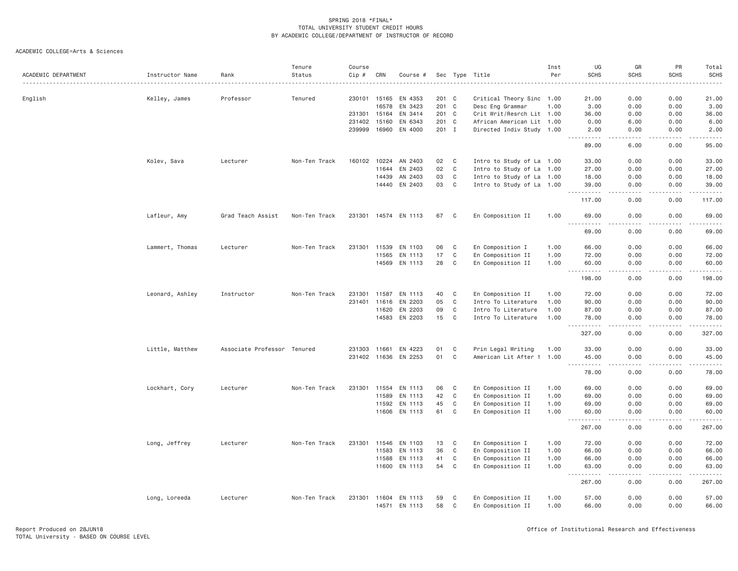| ACADEMIC DEPARTMENT | Instructor Name | Rank                        | Tenure<br>Status | Course<br>Cip # | CRN          | Course #             |       |              | Sec Type Title            | Inst<br>Per | UG<br><b>SCHS</b>                                                                                                                                            | GR<br><b>SCHS</b>                   | PR<br><b>SCHS</b>                                                                                                                                            | Total<br>SCHS                                                                                                                                                 |
|---------------------|-----------------|-----------------------------|------------------|-----------------|--------------|----------------------|-------|--------------|---------------------------|-------------|--------------------------------------------------------------------------------------------------------------------------------------------------------------|-------------------------------------|--------------------------------------------------------------------------------------------------------------------------------------------------------------|---------------------------------------------------------------------------------------------------------------------------------------------------------------|
| English             | Kelley, James   | Professor                   | Tenured          | 230101          | 15165        | EN 4353              | 201 C |              | Critical Theory Sinc 1.00 |             | 21.00                                                                                                                                                        | 0.00                                | 0.00                                                                                                                                                         | 21.00                                                                                                                                                         |
|                     |                 |                             |                  |                 | 16578        | EN 3423              | 201 C |              | Desc Eng Grammar          | 1.00        | 3.00                                                                                                                                                         | 0.00                                | 0.00                                                                                                                                                         | 3.00                                                                                                                                                          |
|                     |                 |                             |                  | 231301          | 15164        | EN 3414              | 201 C |              | Crit Writ/Resrch Lit 1.00 |             | 36.00                                                                                                                                                        | 0.00                                | 0.00                                                                                                                                                         | 36.00                                                                                                                                                         |
|                     |                 |                             |                  | 231402          | 15160        | EN 6343              | 201 C |              | African American Lit 1.00 |             | 0.00                                                                                                                                                         | 6.00                                | 0.00                                                                                                                                                         | 6.00                                                                                                                                                          |
|                     |                 |                             |                  | 239999          | 16960        | EN 4000              | 201 I |              | Directed Indiv Study 1.00 |             | 2.00<br>$\frac{1}{2} \left( \frac{1}{2} \right) \left( \frac{1}{2} \right) \left( \frac{1}{2} \right) \left( \frac{1}{2} \right) \left( \frac{1}{2} \right)$ | 0.00<br>.                           | 0.00<br>.                                                                                                                                                    | 2.00<br>.                                                                                                                                                     |
|                     |                 |                             |                  |                 |              |                      |       |              |                           |             | 89.00                                                                                                                                                        | 6.00                                | 0.00                                                                                                                                                         | 95.00                                                                                                                                                         |
|                     | Kolev, Sava     | Lecturer                    | Non-Ten Track    | 160102          | 10224        | AN 2403              | 02    | C            | Intro to Study of La 1.00 |             | 33.00                                                                                                                                                        | 0.00                                | 0.00                                                                                                                                                         | 33.00                                                                                                                                                         |
|                     |                 |                             |                  |                 | 11644        | EN 2403              | 02    | C            | Intro to Study of La 1.00 |             | 27.00                                                                                                                                                        | 0.00                                | 0.00                                                                                                                                                         | 27.00                                                                                                                                                         |
|                     |                 |                             |                  |                 | 14439        | AN 2403              | 03    | C            | Intro to Study of La 1.00 |             | 18.00                                                                                                                                                        | 0.00                                | 0.00                                                                                                                                                         | 18.00                                                                                                                                                         |
|                     |                 |                             |                  |                 | 14440        | EN 2403              | 03    | C            | Intro to Study of La 1.00 |             | 39.00<br>.<br>$\sim$ $\sim$ $\sim$                                                                                                                           | 0.00<br>$\sim$ $\sim$ $\sim$ $\sim$ | 0.00                                                                                                                                                         | 39.00<br>.                                                                                                                                                    |
|                     |                 |                             |                  |                 |              |                      |       |              |                           |             | 117.00                                                                                                                                                       | 0.00                                | 0.00                                                                                                                                                         | 117.00                                                                                                                                                        |
|                     | Lafleur, Amy    | Grad Teach Assist           | Non-Ten Track    |                 |              | 231301 14574 EN 1113 | 67    | C            | En Composition II         | 1.00        | 69.00<br>.                                                                                                                                                   | 0.00<br>$\sim$ $\sim$ $\sim$ $\sim$ | 0.00<br>.                                                                                                                                                    | 69.00<br>.                                                                                                                                                    |
|                     |                 |                             |                  |                 |              |                      |       |              |                           |             | 69.00                                                                                                                                                        | 0.00                                | 0.00                                                                                                                                                         | 69.00                                                                                                                                                         |
|                     | Lammert, Thomas | Lecturer                    | Non-Ten Track    | 231301          | 11539        | EN 1103              | 06    | C            | En Composition I          | 1.00        | 66.00                                                                                                                                                        | 0.00                                | 0.00                                                                                                                                                         | 66.00                                                                                                                                                         |
|                     |                 |                             |                  |                 | 11565        | EN 1113              | 17    | $\mathbb C$  | En Composition II         | 1.00        | 72.00                                                                                                                                                        | 0.00                                | 0.00                                                                                                                                                         | 72.00                                                                                                                                                         |
|                     |                 |                             |                  |                 |              | 14569 EN 1113        | 28    | C            | En Composition II         | 1.00        | 60.00<br>$\sim$ $\sim$ $\sim$<br>.                                                                                                                           | 0.00<br>.                           | 0.00<br>.                                                                                                                                                    | 60.00<br>.                                                                                                                                                    |
|                     |                 |                             |                  |                 |              |                      |       |              |                           |             | 198.00                                                                                                                                                       | 0.00                                | 0.00                                                                                                                                                         | 198.00                                                                                                                                                        |
|                     | Leonard, Ashley | Instructor                  | Non-Ten Track    | 231301          | 11587        | EN 1113              | 40    | C            | En Composition II         | 1.00        | 72.00                                                                                                                                                        | 0.00                                | 0.00                                                                                                                                                         | 72.00                                                                                                                                                         |
|                     |                 |                             |                  | 231401          | 11616        | EN 2203              | 05    | $\mathsf{C}$ | Intro To Literature       | 1,00        | 90.00                                                                                                                                                        | 0.00                                | 0.00                                                                                                                                                         | 90.00                                                                                                                                                         |
|                     |                 |                             |                  |                 | 11620        | EN 2203              | 09    | C            | Intro To Literature       | 1.00        | 87.00                                                                                                                                                        | 0.00                                | 0.00                                                                                                                                                         | 87.00                                                                                                                                                         |
|                     |                 |                             |                  |                 | 14583        | EN 2203              | 15    | C            | Intro To Literature       | 1.00        | 78.00<br>.                                                                                                                                                   | 0.00<br>.                           | 0.00<br>$\frac{1}{2} \left( \frac{1}{2} \right) \left( \frac{1}{2} \right) \left( \frac{1}{2} \right) \left( \frac{1}{2} \right) \left( \frac{1}{2} \right)$ | 78.00<br>$\frac{1}{2} \left( \frac{1}{2} \right) \left( \frac{1}{2} \right) \left( \frac{1}{2} \right) \left( \frac{1}{2} \right) \left( \frac{1}{2} \right)$ |
|                     |                 |                             |                  |                 |              |                      |       |              |                           |             | $  -$<br>327.00                                                                                                                                              | 0.00                                | 0.00                                                                                                                                                         | 327.00                                                                                                                                                        |
|                     | Little, Matthew | Associate Professor Tenured |                  | 231303          | 11661        | EN 4223              | 01    | C            | Prin Legal Writing        | 1.00        | 33.00                                                                                                                                                        | 0.00                                | 0.00                                                                                                                                                         | 33.00                                                                                                                                                         |
|                     |                 |                             |                  |                 | 231402 11636 | EN 2253              | 01    | $\mathbb C$  | American Lit After 1 1.00 |             | 45.00                                                                                                                                                        | 0.00                                | 0.00                                                                                                                                                         | 45.00                                                                                                                                                         |
|                     |                 |                             |                  |                 |              |                      |       |              |                           |             | .<br>$- - -$<br>78.00                                                                                                                                        | .<br>0.00                           | -----<br>0.00                                                                                                                                                | .<br>78.00                                                                                                                                                    |
|                     | Lockhart, Cory  | Lecturer                    | Non-Ten Track    | 231301          | 11554        | EN 1113              | 06    | C            | En Composition II         | 1.00        | 69.00                                                                                                                                                        | 0.00                                | 0.00                                                                                                                                                         | 69.00                                                                                                                                                         |
|                     |                 |                             |                  |                 | 11589        | EN 1113              | 42    | C            | En Composition II         | 1.00        | 69.00                                                                                                                                                        | 0.00                                | 0.00                                                                                                                                                         | 69.00                                                                                                                                                         |
|                     |                 |                             |                  |                 | 11592        | EN 1113              | 45    | C            | En Composition II         | 1.00        | 69.00                                                                                                                                                        | 0.00                                | 0.00                                                                                                                                                         | 69.00                                                                                                                                                         |
|                     |                 |                             |                  |                 | 11606        | EN 1113              | 61    | C            | En Composition II         | 1.00        | 60.00<br>.                                                                                                                                                   | 0.00<br>.                           | 0.00<br>.                                                                                                                                                    | 60.00<br>.                                                                                                                                                    |
|                     |                 |                             |                  |                 |              |                      |       |              |                           |             | 267.00                                                                                                                                                       | 0.00                                | 0.00                                                                                                                                                         | 267.00                                                                                                                                                        |
|                     | Long, Jeffrey   | Lecturer                    | Non-Ten Track    | 231301          | 11546        | EN 1103              | 13    | C            | En Composition I          | 1.00        | 72.00                                                                                                                                                        | 0.00                                | 0.00                                                                                                                                                         | 72.00                                                                                                                                                         |
|                     |                 |                             |                  |                 | 11583        | EN 1113              | 36    | C            | En Composition II         | 1.00        | 66.00                                                                                                                                                        | 0.00                                | 0.00                                                                                                                                                         | 66.00                                                                                                                                                         |
|                     |                 |                             |                  |                 | 11588        | EN 1113              | 41    | C            | En Composition II         | 1.00        | 66.00                                                                                                                                                        | 0.00                                | 0.00                                                                                                                                                         | 66.00                                                                                                                                                         |
|                     |                 |                             |                  |                 | 11600        | EN 1113              | 54    | $\mathbb C$  | En Composition II         | 1.00        | 63.00<br>د د د د د                                                                                                                                           | 0.00<br>$\sim$ $\sim$ $\sim$        | 0.00<br>بالمحام                                                                                                                                              | 63.00                                                                                                                                                         |
|                     |                 |                             |                  |                 |              |                      |       |              |                           |             | 267.00                                                                                                                                                       | 0.00                                | 0.00                                                                                                                                                         | 267.00                                                                                                                                                        |
|                     | Long, Loreeda   | Lecturer                    | Non-Ten Track    | 231301          | 11604        | EN 1113              | 59    | C            | En Composition II         | 1.00        | 57.00                                                                                                                                                        | 0.00                                | 0.00                                                                                                                                                         | 57.00                                                                                                                                                         |
|                     |                 |                             |                  |                 | 14571        | EN 1113              | 58    | C            | En Composition II         | 1.00        | 66.00                                                                                                                                                        | 0.00                                | 0.00                                                                                                                                                         | 66.00                                                                                                                                                         |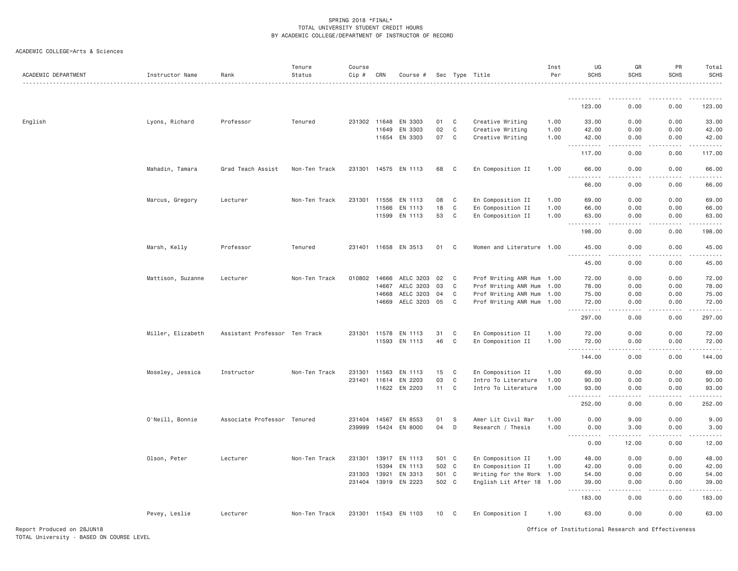| ACADEMIC COLLEGE=Arts & Sciences |  |  |  |  |
|----------------------------------|--|--|--|--|
|----------------------------------|--|--|--|--|

| ACADEMIC DEPARTMENT | Instructor Name   | Rank                          | Tenure<br>Status | Course<br>$Cip$ # | CRN   | Course #             |       |              | Sec Type Title            | Inst<br>Per | UG<br><b>SCHS</b>                             | GR<br><b>SCHS</b>                   | PR<br><b>SCHS</b>                                                                                                                                            | Total<br><b>SCHS</b><br>. |
|---------------------|-------------------|-------------------------------|------------------|-------------------|-------|----------------------|-------|--------------|---------------------------|-------------|-----------------------------------------------|-------------------------------------|--------------------------------------------------------------------------------------------------------------------------------------------------------------|---------------------------|
|                     |                   |                               |                  |                   |       |                      |       |              |                           |             | .                                             | $   -$                              |                                                                                                                                                              | .                         |
|                     |                   |                               |                  |                   |       |                      |       |              |                           |             | 123.00                                        | 0.00                                | 0.00                                                                                                                                                         | 123.00                    |
| English             | Lyons, Richard    | Professor                     | Tenured          | 231302 11648      |       | EN 3303              | 01    | C            | Creative Writing          | 1.00        | 33.00                                         | 0.00                                | 0.00                                                                                                                                                         | 33.00                     |
|                     |                   |                               |                  |                   | 11649 | EN 3303              | 02    | $\mathtt{C}$ | Creative Writing          | 1.00        | 42.00                                         | 0.00                                | 0.00                                                                                                                                                         | 42.00                     |
|                     |                   |                               |                  |                   |       | 11654 EN 3303        | 07    | C            | Creative Writing          | 1.00        | 42.00<br>$\sim$ $\sim$ $\sim$<br>د د د د د    | 0.00                                | 0.00                                                                                                                                                         | 42.00                     |
|                     |                   |                               |                  |                   |       |                      |       |              |                           |             | 117.00                                        | 0.00                                | 0.00                                                                                                                                                         | 117.00                    |
|                     | Mahadin, Tamara   | Grad Teach Assist             | Non-Ten Track    |                   |       | 231301 14575 EN 1113 | 68    | C            | En Composition II         | 1,00        | 66,00                                         | 0.00                                | 0.00                                                                                                                                                         | 66,00                     |
|                     |                   |                               |                  |                   |       |                      |       |              |                           |             | 66.00                                         | 0.00                                | 0.00                                                                                                                                                         | 66.00                     |
|                     | Marcus, Gregory   | Lecturer                      | Non-Ten Track    | 231301 11556      |       | EN 1113              | 08    | C            | En Composition II         | 1.00        | 69.00                                         | 0.00                                | 0.00                                                                                                                                                         | 69.00                     |
|                     |                   |                               |                  |                   | 11566 | EN 1113              | 18    | $\mathbf C$  | En Composition II         | 1.00        | 66.00                                         | 0.00                                | 0.00                                                                                                                                                         | 66.00                     |
|                     |                   |                               |                  |                   |       | 11599 EN 1113        | 53    | C            | En Composition II         | 1.00        | 63.00<br>-----                                | 0.00<br>$\sim$ $\sim$ $\sim$ $\sim$ | 0.00<br>$- - - - -$                                                                                                                                          | 63.00<br>.                |
|                     |                   |                               |                  |                   |       |                      |       |              |                           |             | 198.00                                        | 0.00                                | 0.00                                                                                                                                                         | 198.00                    |
|                     | Marsh, Kelly      | Professor                     | Tenured          |                   |       | 231401 11658 EN 3513 | 01    | C            | Women and Literature 1.00 |             | 45.00<br>.                                    | 0.00<br>.                           | 0.00                                                                                                                                                         | 45.00<br>.                |
|                     |                   |                               |                  |                   |       |                      |       |              |                           |             | 45.00                                         | 0.00                                | 0.00                                                                                                                                                         | 45.00                     |
|                     | Mattison, Suzanne | Lecturer                      | Non-Ten Track    | 010802            | 14666 | AELC 3203            | 02    | C            | Prof Writing ANR Hum 1.00 |             | 72.00                                         | 0.00                                | 0.00                                                                                                                                                         | 72.00                     |
|                     |                   |                               |                  |                   | 14667 | AELC 3203            | 03    | C            | Prof Writing ANR Hum 1.00 |             | 78.00                                         | 0.00                                | 0.00                                                                                                                                                         | 78.00                     |
|                     |                   |                               |                  |                   | 14668 | AELC 3203            | 04    | C            | Prof Writing ANR Hum 1.00 |             | 75.00                                         | 0.00                                | 0.00                                                                                                                                                         | 75.00                     |
|                     |                   |                               |                  |                   | 14669 | AELC 3203 05         |       | C            | Prof Writing ANR Hum 1.00 |             | 72.00<br>$\sim$ $\sim$                        | 0.00                                | 0.00                                                                                                                                                         | 72.00<br>المستما          |
|                     |                   |                               |                  |                   |       |                      |       |              |                           |             | 297.00                                        | 0.00                                | 0.00                                                                                                                                                         | 297.00                    |
|                     | Miller, Elizabeth | Assistant Professor Ten Track |                  | 231301 11578      |       | EN 1113              | 31    | C            | En Composition II         | 1,00        | 72.00                                         | 0.00                                | 0.00                                                                                                                                                         | 72.00                     |
|                     |                   |                               |                  |                   | 11593 | EN 1113              | 46    | C            | En Composition II         | 1.00        | 72.00                                         | 0.00                                | 0.00                                                                                                                                                         | 72.00                     |
|                     |                   |                               |                  |                   |       |                      |       |              |                           |             | $\sim$ $\sim$ $\sim$<br>.<br>144.00           | .<br>0.00                           | $\frac{1}{2} \left( \frac{1}{2} \right) \left( \frac{1}{2} \right) \left( \frac{1}{2} \right) \left( \frac{1}{2} \right) \left( \frac{1}{2} \right)$<br>0.00 | 144.00                    |
|                     | Moseley, Jessica  | Instructor                    | Non-Ten Track    | 231301            | 11563 | EN 1113              | 15    | C            | En Composition II         | 1.00        | 69.00                                         | 0.00                                | 0.00                                                                                                                                                         | 69.00                     |
|                     |                   |                               |                  |                   |       | 231401 11614 EN 2203 | 03    | $\mathbb C$  | Intro To Literature       | 1.00        | 90.00                                         | 0.00                                | 0.00                                                                                                                                                         | 90.00                     |
|                     |                   |                               |                  |                   |       | 11622 EN 2203        | 11    | $\mathbf C$  | Intro To Literature       | 1.00        | 93.00<br>$\sim 100$<br><b><i><u>.</u></i></b> | 0.00<br>$\sim$ $\sim$ $\sim$ $\sim$ | 0.00<br>$- - - - -$                                                                                                                                          | 93.00<br>.                |
|                     |                   |                               |                  |                   |       |                      |       |              |                           |             | 252.00                                        | 0.00                                | 0.00                                                                                                                                                         | 252.00                    |
|                     | O'Neill, Bonnie   | Associate Professor Tenured   |                  | 231404            | 14567 | EN 8553              | 01    | S            | Amer Lit Civil War        | 1.00        | 0.00                                          | 9.00                                | 0.00                                                                                                                                                         | 9.00                      |
|                     |                   |                               |                  | 239999            |       | 15424 EN 8000        | 04    | D            | Research / Thesis         | 1.00        | 0.00                                          | 3.00                                | 0.00                                                                                                                                                         | 3.00                      |
|                     |                   |                               |                  |                   |       |                      |       |              |                           |             | .<br>-----<br>0.00                            | -----<br>12.00                      | $\frac{1}{2} \left( \frac{1}{2} \right) \left( \frac{1}{2} \right) \left( \frac{1}{2} \right) \left( \frac{1}{2} \right) \left( \frac{1}{2} \right)$<br>0.00 | .<br>12.00                |
|                     | Olson, Peter      | Lecturer                      | Non-Ten Track    | 231301            | 13917 | EN 1113              | 501 C |              | En Composition II         | 1.00        | 48.00                                         | 0.00                                | 0.00                                                                                                                                                         | 48.00                     |
|                     |                   |                               |                  |                   | 15394 | EN 1113              | 502 C |              | En Composition II         | 1.00        | 42.00                                         | 0.00                                | 0.00                                                                                                                                                         | 42.00                     |
|                     |                   |                               |                  | 231303            | 13921 | EN 3313              | 501 C |              | Writing for the Work 1.00 |             | 54.00                                         | 0.00                                | 0.00                                                                                                                                                         | 54.00                     |
|                     |                   |                               |                  | 231404 13919      |       | EN 2223              | 502 C |              | English Lit After 18 1.00 |             | 39.00                                         | 0.00                                | 0.00                                                                                                                                                         | 39.00                     |
|                     |                   |                               |                  |                   |       |                      |       |              |                           |             | 183.00                                        | 0.00                                | 0.00                                                                                                                                                         | 183.00                    |
|                     | Pevey, Leslie     | Lecturer                      | Non-Ten Track    |                   |       | 231301 11543 EN 1103 | 10 C  |              | En Composition I          | 1.00        | 63.00                                         | 0.00                                | 0.00                                                                                                                                                         | 63.00                     |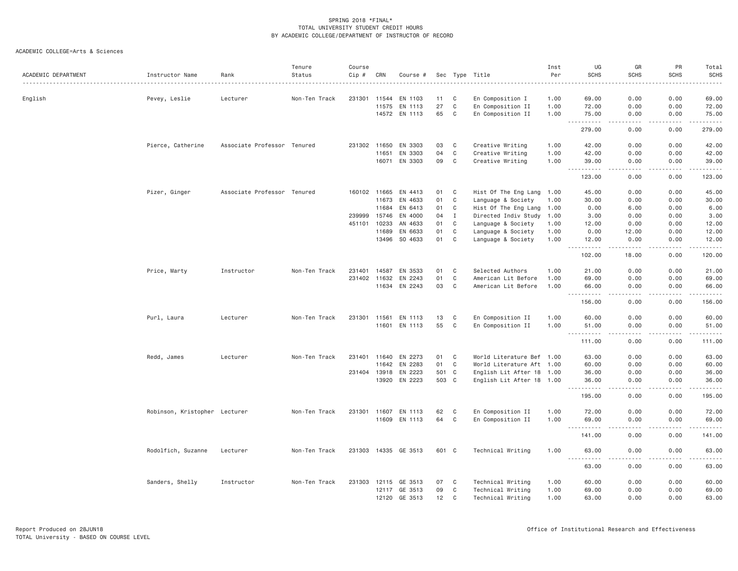| ACADEMIC DEPARTMENT | Instructor Name               | Rank                        | Tenure<br>Status | Course<br>Cip # | CRN          | Course #             |       |              | Sec Type Title            | Inst<br>Per<br>. <u>.</u> | UG<br><b>SCHS</b>                                                                                                                                                        | GR<br><b>SCHS</b>    | PR<br><b>SCHS</b>  | Total<br><b>SCHS</b><br>. |
|---------------------|-------------------------------|-----------------------------|------------------|-----------------|--------------|----------------------|-------|--------------|---------------------------|---------------------------|--------------------------------------------------------------------------------------------------------------------------------------------------------------------------|----------------------|--------------------|---------------------------|
| English             | Pevey, Leslie                 | Lecturer                    | Non-Ten Track    | 231301          | 11544        | EN 1103              | 11    | C            | En Composition I          | 1.00                      | 69.00                                                                                                                                                                    | 0.00                 | 0.00               | 69.00                     |
|                     |                               |                             |                  |                 | 11575        | EN 1113              | 27    | C            | En Composition II         | 1.00                      | 72.00                                                                                                                                                                    | 0.00                 | 0.00               | 72.00                     |
|                     |                               |                             |                  |                 |              | 14572 EN 1113        | 65    | C            | En Composition II         | 1.00                      | 75.00                                                                                                                                                                    | 0.00                 | 0.00               | 75.00                     |
|                     |                               |                             |                  |                 |              |                      |       |              |                           |                           | .<br>$  -$<br>279.00                                                                                                                                                     | . <u>. .</u><br>0.00 | .<br>0.00          | .<br>279.00               |
|                     | Pierce, Catherine             | Associate Professor Tenured |                  |                 | 231302 11650 | EN 3303              | 03    | C            | Creative Writing          | 1.00                      | 42.00                                                                                                                                                                    | 0.00                 | 0.00               | 42.00                     |
|                     |                               |                             |                  |                 | 11651        | EN 3303              | 04    | $\mathbb C$  | Creative Writing          | 1.00                      | 42.00                                                                                                                                                                    | 0.00                 | 0.00               | 42.00                     |
|                     |                               |                             |                  |                 | 16071        | EN 3303              | 09    | C            | Creative Writing          | 1.00                      | 39.00                                                                                                                                                                    | 0.00                 | 0.00               | 39.00                     |
|                     |                               |                             |                  |                 |              |                      |       |              |                           |                           | 123.00                                                                                                                                                                   | 0.00                 | 0.00               | 123.00                    |
|                     | Pizer, Ginger                 | Associate Professor Tenured |                  |                 | 160102 11665 | EN 4413              | 01    | C            | Hist Of The Eng Lang 1.00 |                           | 45.00                                                                                                                                                                    | 0.00                 | 0.00               | 45.00                     |
|                     |                               |                             |                  |                 | 11673        | EN 4633              | 01    | C            | Language & Society        | 1.00                      | 30.00                                                                                                                                                                    | 0.00                 | 0.00               | 30.00                     |
|                     |                               |                             |                  |                 | 11684        | EN 6413              | 01    | C            | Hist Of The Eng Lang      | 1.00                      | 0.00                                                                                                                                                                     | 6.00                 | 0.00               | 6.00                      |
|                     |                               |                             |                  | 239999          | 15746        | EN 4000              | 04    | I            | Directed Indiv Study 1.00 |                           | 3.00                                                                                                                                                                     | 0.00                 | 0.00               | 3.00                      |
|                     |                               |                             |                  | 451101          | 10233        | AN 4633              | 01    | C            | Language & Society        | 1.00                      | 12.00                                                                                                                                                                    | 0.00                 | 0.00               | 12.00                     |
|                     |                               |                             |                  |                 | 11689        | EN 6633              | 01    | C            | Language & Society        | 1.00                      | 0.00                                                                                                                                                                     | 12.00                | 0.00               | 12.00                     |
|                     |                               |                             |                  |                 | 13496        | SO 4633              | 01    | C            | Language & Society        | 1.00                      | 12.00<br>.                                                                                                                                                               | 0.00<br>د د د د د    | 0.00<br>.          | 12.00<br><u>.</u>         |
|                     |                               |                             |                  |                 |              |                      |       |              |                           |                           | 102.00                                                                                                                                                                   | 18.00                | 0.00               | 120.00                    |
|                     | Price, Marty                  | Instructor                  | Non-Ten Track    | 231401          | 14587        | EN 3533              | 01    | C            | Selected Authors          | 1.00                      | 21.00                                                                                                                                                                    | 0.00                 | 0.00               | 21.00                     |
|                     |                               |                             |                  | 231402          | 11632        | EN 2243              | 01    | C            | American Lit Before       | 1.00                      | 69.00                                                                                                                                                                    | 0.00                 | 0.00               | 69.00                     |
|                     |                               |                             |                  |                 | 11634        | EN 2243              | 03    | C            | American Lit Before       | 1.00                      | 66.00<br>.                                                                                                                                                               | 0.00                 | 0.00               | 66.00<br>.                |
|                     |                               |                             |                  |                 |              |                      |       |              |                           |                           | 156.00                                                                                                                                                                   | 0.00                 | 0.00               | 156.00                    |
|                     | Purl, Laura                   | Lecturer                    | Non-Ten Track    | 231301 11561    |              | EN 1113              | 13    | C            | En Composition II         | 1.00                      | 60.00                                                                                                                                                                    | 0.00                 | 0.00               | 60.00                     |
|                     |                               |                             |                  |                 | 11601        | EN 1113              | 55    | C            | En Composition II         | 1.00                      | 51.00<br>.                                                                                                                                                               | 0.00<br>.            | 0.00<br>. <b>.</b> | 51.00<br><u>.</u>         |
|                     |                               |                             |                  |                 |              |                      |       |              |                           |                           | $- - -$<br>111.00                                                                                                                                                        | 0.00                 | 0.00               | 111.00                    |
|                     | Redd, James                   | Lecturer                    | Non-Ten Track    | 231401          | 11640        | EN 2273              | 01    | C            | World Literature Bef 1.00 |                           | 63.00                                                                                                                                                                    | 0.00                 | 0.00               | 63.00                     |
|                     |                               |                             |                  |                 | 11642        | EN 2283              | 01    | C            | World Literature Aft 1.00 |                           | 60.00                                                                                                                                                                    | 0.00                 | 0.00               | 60.00                     |
|                     |                               |                             |                  |                 | 231404 13918 | EN 2223              | 501 C |              | English Lit After 18 1.00 |                           | 36.00                                                                                                                                                                    | 0.00                 | 0.00               | 36.00                     |
|                     |                               |                             |                  |                 | 13920        | EN 2223              | 503 C |              | English Lit After 18 1.00 |                           | 36.00<br>$\frac{1}{2} \left( \frac{1}{2} \right) \left( \frac{1}{2} \right) \left( \frac{1}{2} \right) \left( \frac{1}{2} \right) \left( \frac{1}{2} \right)$<br>$- - -$ | 0.00                 | 0.00               | 36.00                     |
|                     |                               |                             |                  |                 |              |                      |       |              |                           |                           | 195.00                                                                                                                                                                   | 0.00                 | 0.00               | 195.00                    |
|                     | Robinson, Kristopher Lecturer |                             | Non-Ten Track    |                 | 231301 11607 | EN 1113              | 62    | C            | En Composition II         | 1.00                      | 72.00                                                                                                                                                                    | 0.00                 | 0.00               | 72.00                     |
|                     |                               |                             |                  |                 |              | 11609 EN 1113        | 64    | C            | En Composition II         | 1.00                      | 69.00                                                                                                                                                                    | 0.00                 | 0.00               | 69.00                     |
|                     |                               |                             |                  |                 |              |                      |       |              |                           |                           | <b></b><br>141.00                                                                                                                                                        | .<br>0.00            | -----<br>0.00      | .<br>141.00               |
|                     | Rodolfich, Suzanne            | Lecturer                    | Non-Ten Track    |                 |              | 231303 14335 GE 3513 | 601 C |              | Technical Writing         | 1,00                      | 63,00                                                                                                                                                                    | 0.00                 | 0.00               | 63.00                     |
|                     |                               |                             |                  |                 |              |                      |       |              |                           |                           | <u>.</u><br>63.00                                                                                                                                                        | 0.00                 | 0.00               | 63.00                     |
|                     | Sanders, Shelly               | Instructor                  | Non-Ten Track    |                 | 231303 12115 | GE 3513              | 07    | $\mathbf{C}$ | Technical Writing         | 1.00                      | 60.00                                                                                                                                                                    | 0.00                 | 0.00               | 60.00                     |
|                     |                               |                             |                  |                 | 12117        | GE 3513              | 09    | C            | Technical Writing         | 1.00                      | 69.00                                                                                                                                                                    | 0.00                 | 0.00               | 69.00                     |
|                     |                               |                             |                  |                 |              | 12120 GE 3513        | 12    | $\mathbf{C}$ | Technical Writing         | 1.00                      | 63.00                                                                                                                                                                    | 0.00                 | 0.00               | 63.00                     |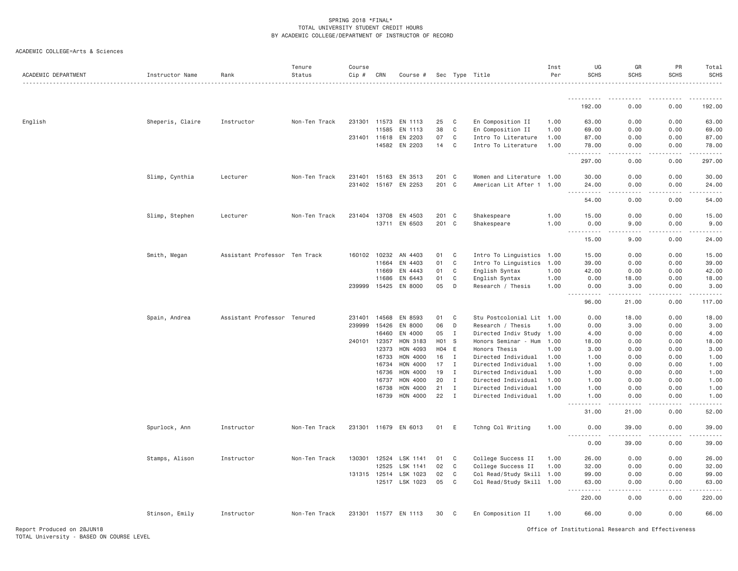| ACADEMIC COLLEGE=Arts & Sciences |  |
|----------------------------------|--|
|                                  |  |

| ACADEMIC DEPARTMENT | Instructor Name  | Rank                          | Tenure<br>Status | Course<br>Cip # | CRN          | Course #             |                  |              | Sec Type Title            | Inst<br>Per | UG<br><b>SCHS</b>                         | GR<br><b>SCHS</b>   | PR<br>SCHS | Total<br><b>SCHS</b> |
|---------------------|------------------|-------------------------------|------------------|-----------------|--------------|----------------------|------------------|--------------|---------------------------|-------------|-------------------------------------------|---------------------|------------|----------------------|
|                     |                  |                               |                  |                 |              |                      |                  |              |                           |             | .                                         | .                   | -----      | .                    |
|                     |                  |                               |                  |                 |              |                      |                  |              |                           |             | 192.00                                    | 0.00                | 0.00       | 192.00               |
| English             | Sheperis, Claire | Instructor                    | Non-Ten Track    | 231301          | 11573        | EN 1113              | 25               | C            | En Composition II         | 1.00        | 63.00                                     | 0.00                | 0.00       | 63.00                |
|                     |                  |                               |                  |                 | 11585        | EN 1113              | 38               | C            | En Composition II         | 1.00        | 69.00                                     | 0.00                | 0.00       | 69.00                |
|                     |                  |                               |                  |                 | 231401 11618 | EN 2203              | 07               | C            | Intro To Literature       | 1.00        | 87.00                                     | 0.00                | 0.00       | 87.00                |
|                     |                  |                               |                  |                 | 14582        | EN 2203              | 14               | C            | Intro To Literature       | 1.00        | 78,00<br>.<br>$\sim$ $\sim$ .             | 0.00<br>.           | 0.00<br>.  | 78.00<br><u>.</u>    |
|                     |                  |                               |                  |                 |              |                      |                  |              |                           |             | 297.00                                    | 0.00                | 0.00       | 297.00               |
|                     | Slimp, Cynthia   | Lecturer                      | Non-Ten Track    | 231401          | 15163        | EN 3513              | 201              | $\mathbf{C}$ | Women and Literature 1.00 |             | 30.00                                     | 0.00                | 0.00       | 30.00                |
|                     |                  |                               |                  |                 | 231402 15167 | EN 2253              | 201 C            |              | American Lit After 1 1.00 |             | 24.00<br>.                                | 0.00                | 0.00       | 24.00                |
|                     |                  |                               |                  |                 |              |                      |                  |              |                           |             | $  -$<br>54.00                            | 0.00                | 0.00       | 54.00                |
|                     | Slimp, Stephen   | Lecturer                      | Non-Ten Track    |                 | 231404 13708 | EN 4503              | 201              | $\mathbf{C}$ | Shakespeare               | 1.00        | 15.00                                     | 0.00                | 0.00       | 15.00                |
|                     |                  |                               |                  |                 | 13711        | EN 6503              | 201              | C            | Shakespeare               | 1.00        | 0.00                                      | 9.00                | 0.00       | 9.00                 |
|                     |                  |                               |                  |                 |              |                      |                  |              |                           |             | $\sim$ $\sim$ $\sim$ $\sim$<br>.<br>15.00 | $- - -$<br>9.00     | 0.00       | 24.00                |
|                     | Smith, Megan     | Assistant Professor Ten Track |                  |                 | 160102 10232 | AN 4403              | 01               | C            | Intro To Linguistics 1.00 |             | 15.00                                     | 0.00                | 0.00       | 15.00                |
|                     |                  |                               |                  |                 | 11664        | EN 4403              | 01               | C            | Intro To Linguistics      | 1.00        | 39.00                                     | 0.00                | 0.00       | 39.00                |
|                     |                  |                               |                  |                 | 11669        | EN 4443              | 01               | C            | English Syntax            | 1.00        | 42.00                                     | 0.00                | 0.00       | 42.00                |
|                     |                  |                               |                  |                 | 11686        | EN 6443              | 01               | C            | English Syntax            | 1.00        | 0.00                                      | 18.00               | 0.00       | 18.00                |
|                     |                  |                               |                  |                 | 239999 15425 | EN 8000              | 05               | D            | Research / Thesis         | 1.00        | 0.00                                      | 3,00                | 0.00       | 3.00                 |
|                     |                  |                               |                  |                 |              |                      |                  |              |                           |             | .<br>96.00                                | 21.00               | .<br>0.00  | 117.00               |
|                     | Spain, Andrea    | Assistant Professor Tenured   |                  |                 | 231401 14568 | EN 8593              | 01               | C            | Stu Postcolonial Lit 1.00 |             | 0.00                                      | 18.00               | 0.00       | 18.00                |
|                     |                  |                               |                  | 239999          | 15426        | EN 8000              | 06               | D            | Research / Thesis         | 1.00        | 0.00                                      | 3.00                | 0.00       | 3.00                 |
|                     |                  |                               |                  |                 | 16460        | EN 4000              | 05               | $\mathbf{I}$ | Directed Indiv Study 1.00 |             | 4.00                                      | 0.00                | 0.00       | 4.00                 |
|                     |                  |                               |                  | 240101 12357    |              | HON 3183             | H <sub>0</sub> 1 | - S          | Honors Seminar - Hum      | 1.00        | 18.00                                     | 0.00                | 0.00       | 18.00                |
|                     |                  |                               |                  |                 | 12373        | HON 4093             | H04 E            |              | Honors Thesis             | 1.00        | 3.00                                      | 0.00                | 0.00       | 3.00                 |
|                     |                  |                               |                  |                 | 16733        | HON 4000             | 16               | I            | Directed Individual       | 1.00        | 1.00                                      | 0.00                | 0.00       | 1.00                 |
|                     |                  |                               |                  |                 | 16734        | HON 4000             | 17               | I            | Directed Individual       | 1.00        | 1.00                                      | 0.00                | 0.00       | 1.00                 |
|                     |                  |                               |                  |                 | 16736        | HON 4000             | 19               | $\mathbf I$  | Directed Individual       | 1.00        | 1.00                                      | 0.00                | 0.00       | 1.00                 |
|                     |                  |                               |                  |                 | 16737        | HON 4000             | 20               | $\mathbf{I}$ | Directed Individual       | 1.00        | 1.00                                      | 0.00                | 0.00       | 1.00                 |
|                     |                  |                               |                  |                 | 16738        | HON 4000             | 21               | Ι.           | Directed Individual       | 1.00        | 1.00                                      | 0.00                | 0.00       | 1.00                 |
|                     |                  |                               |                  |                 | 16739        | HON 4000             | 22               | $\mathbf{I}$ | Directed Individual       | 1.00        | 1.00<br>.                                 | 0.00                | 0.00       | 1.00                 |
|                     |                  |                               |                  |                 |              |                      |                  |              |                           |             | 31.00                                     | 21.00               | 0.00       | 52.00                |
|                     | Spurlock, Ann    | Instructor                    | Non-Ten Track    |                 |              | 231301 11679 EN 6013 | 01               | E            | Tchng Col Writing         | 1.00        | 0.00<br>$\frac{1}{2}$<br>$- - - - -$      | 39.00<br>. <u>.</u> | 0.00<br>.  | 39.00<br>.           |
|                     |                  |                               |                  |                 |              |                      |                  |              |                           |             | 0.00                                      | 39.00               | 0.00       | 39.00                |
|                     | Stamps, Alison   | Instructor                    | Non-Ten Track    | 130301          | 12524        | LSK 1141             | 01               | C            | College Success II        | 1.00        | 26.00                                     | 0.00                | 0.00       | 26.00                |
|                     |                  |                               |                  |                 | 12525        | LSK 1141             | 02               | C            | College Success II        | 1.00        | 32.00                                     | 0.00                | 0.00       | 32.00                |
|                     |                  |                               |                  |                 | 131315 12514 | LSK 1023             | 02               | $\mathbf{C}$ | Col Read/Study Skill 1.00 |             | 99.00                                     | 0.00                | 0.00       | 99.00                |
|                     |                  |                               |                  |                 |              | 12517 LSK 1023       | 05               | C            | Col Read/Study Skill 1.00 |             | 63.00<br>$\sim$ $\sim$ $\sim$             | 0.00                | 0.00       | 63.00                |
|                     |                  |                               |                  |                 |              |                      |                  |              |                           |             | 220.00                                    | 0.00                | 0.00       | 220.00               |
|                     | Stinson, Emily   | Instructor                    | Non-Ten Track    |                 |              | 231301 11577 EN 1113 | 30               | C            | En Composition II         | 1,00        | 66.00                                     | 0.00                | 0.00       | 66.00                |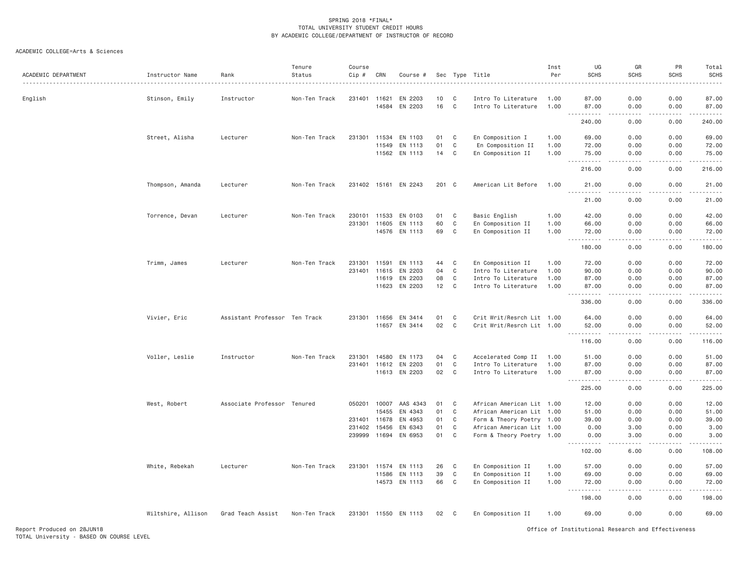| ACADEMIC DEPARTMENT | Instructor Name    | Rank                          | Tenure<br>Status | Course<br>Cip # | CRN          | Course #             | Sec   |              | Type Title                | Inst<br>Per | UG<br><b>SCHS</b>                                                                                                                                             | GR<br><b>SCHS</b>            | PR<br><b>SCHS</b> | Total<br><b>SCHS</b>                                                                                                                                           |
|---------------------|--------------------|-------------------------------|------------------|-----------------|--------------|----------------------|-------|--------------|---------------------------|-------------|---------------------------------------------------------------------------------------------------------------------------------------------------------------|------------------------------|-------------------|----------------------------------------------------------------------------------------------------------------------------------------------------------------|
| English             | Stinson, Emily     | Instructor                    | Non-Ten Track    | 231401          | 11621        | EN 2203              | 10    | C            | Intro To Literature       | 1.00        | 87.00                                                                                                                                                         | 0.00                         | 0.00              | 87.00                                                                                                                                                          |
|                     |                    |                               |                  |                 | 14584        | EN 2203              | 16    | $\mathbf{C}$ | Intro To Literature       | 1.00        | 87.00<br>.                                                                                                                                                    | 0.00<br>.                    | 0.00<br>-----     | 87.00                                                                                                                                                          |
|                     |                    |                               |                  |                 |              |                      |       |              |                           |             | 240.00                                                                                                                                                        | 0.00                         | 0.00              | 240.00                                                                                                                                                         |
|                     | Street, Alisha     | Lecturer                      | Non-Ten Track    | 231301          | 11534        | EN 1103              | 01    | C            | En Composition I          | 1.00        | 69.00                                                                                                                                                         | 0.00                         | 0.00              | 69.00                                                                                                                                                          |
|                     |                    |                               |                  |                 | 11549        | EN 1113              | 01    | C            | En Composition II         | 1.00        | 72.00                                                                                                                                                         | 0.00                         | 0.00              | 72.00                                                                                                                                                          |
|                     |                    |                               |                  |                 | 11562        | EN 1113              | 14    | C            | En Composition II         | 1.00        | 75.00<br>.                                                                                                                                                    | 0.00<br>.                    | 0.00<br>.         | 75.00<br>.                                                                                                                                                     |
|                     |                    |                               |                  |                 |              |                      |       |              |                           |             | $\frac{1}{2} \left( \frac{1}{2} \right) \left( \frac{1}{2} \right) \left( \frac{1}{2} \right)$<br>216.00                                                      | 0.00                         | 0.00              | 216.00                                                                                                                                                         |
|                     | Thompson, Amanda   | Lecturer                      | Non-Ten Track    | 231402 15161    |              | EN 2243              | 201 C |              | American Lit Before       | 1,00        | 21.00<br>$\frac{1}{2} \left( \frac{1}{2} \right) \left( \frac{1}{2} \right) \left( \frac{1}{2} \right) \left( \frac{1}{2} \right) \left( \frac{1}{2} \right)$ | 0.00                         | 0.00              | 21.00                                                                                                                                                          |
|                     |                    |                               |                  |                 |              |                      |       |              |                           |             | 21.00                                                                                                                                                         | 0.00                         | 0.00              | 21.00                                                                                                                                                          |
|                     | Torrence, Devan    | Lecturer                      | Non-Ten Track    | 230101          | 11533        | EN 0103              | 01    | C            | Basic English             | 1.00        | 42.00                                                                                                                                                         | 0.00                         | 0.00              | 42.00                                                                                                                                                          |
|                     |                    |                               |                  | 231301          | 11605        | EN 1113              | 60    | C            | En Composition II         | 1.00        | 66.00                                                                                                                                                         | 0.00                         | 0.00              | 66.00                                                                                                                                                          |
|                     |                    |                               |                  |                 |              | 14576 EN 1113        | 69    | C            | En Composition II         | 1.00        | 72.00<br><u>.</u><br>$  -$                                                                                                                                    | 0.00<br>.                    | 0.00<br>.         | 72.00<br>.                                                                                                                                                     |
|                     |                    |                               |                  |                 |              |                      |       |              |                           |             | 180.00                                                                                                                                                        | 0.00                         | 0.00              | 180.00                                                                                                                                                         |
|                     | Trimm, James       | Lecturer                      | Non-Ten Track    | 231301          | 11591        | EN 1113              | 44    | C            | En Composition II         | 1.00        | 72.00                                                                                                                                                         | 0.00                         | 0.00              | 72.00                                                                                                                                                          |
|                     |                    |                               |                  | 231401          | 11615        | EN 2203              | 04    | C            | Intro To Literature       | 1.00        | 90.00                                                                                                                                                         | 0.00                         | 0.00              | 90.00                                                                                                                                                          |
|                     |                    |                               |                  |                 | 11619        | EN 2203              | 08    | C            | Intro To Literature       | 1.00        | 87.00                                                                                                                                                         | 0.00                         | 0.00              | 87.00                                                                                                                                                          |
|                     |                    |                               |                  |                 |              | 11623 EN 2203        | 12    | C            | Intro To Literature       | 1.00        | 87.00<br>$\omega$ $\omega$<br>.                                                                                                                               | 0.00<br>$\sim$ $\sim$ $\sim$ | 0.00<br>.         | 87.00<br>.                                                                                                                                                     |
|                     |                    |                               |                  |                 |              |                      |       |              |                           |             | 336.00                                                                                                                                                        | 0.00                         | 0.00              | 336.00                                                                                                                                                         |
|                     | Vivier, Eric       | Assistant Professor Ten Track |                  |                 | 231301 11656 | EN 3414              | 01    | C            | Crit Writ/Resrch Lit 1.00 |             | 64.00                                                                                                                                                         | 0.00                         | 0.00              | 64.00                                                                                                                                                          |
|                     |                    |                               |                  |                 | 11657        | EN 3414              | 02    | C            | Crit Writ/Resrch Lit 1.00 |             | 52.00                                                                                                                                                         | 0.00                         | 0.00              | 52.00                                                                                                                                                          |
|                     |                    |                               |                  |                 |              |                      |       |              |                           |             | $- - -$<br>.<br>116.00                                                                                                                                        | .<br>0.00                    | .<br>0.00         | <u>.</u><br>116.00                                                                                                                                             |
|                     | Voller, Leslie     | Instructor                    | Non-Ten Track    | 231301          | 14580        | EN 1173              | 04    | C            | Accelerated Comp II       | 1.00        | 51.00                                                                                                                                                         | 0.00                         | 0.00              | 51.00                                                                                                                                                          |
|                     |                    |                               |                  | 231401          | 11612        | EN 2203              | 01    | C            | Intro To Literature       | 1.00        | 87.00                                                                                                                                                         | 0.00                         | 0.00              | 87.00                                                                                                                                                          |
|                     |                    |                               |                  |                 |              | 11613 EN 2203        | 02    | $\mathbf{C}$ | Intro To Literature       | 1.00        | 87.00                                                                                                                                                         | 0.00                         | 0.00              | 87.00                                                                                                                                                          |
|                     |                    |                               |                  |                 |              |                      |       |              |                           |             | $\sim$ $\sim$ $\sim$<br>225.00                                                                                                                                | .<br>0.00                    | -----<br>0.00     | $\frac{1}{2} \left( \frac{1}{2} \right) \left( \frac{1}{2} \right) \left( \frac{1}{2} \right) \left( \frac{1}{2} \right) \left( \frac{1}{2} \right)$<br>225.00 |
|                     | West, Robert       | Associate Professor Tenured   |                  |                 | 050201 10007 | AAS 4343             | 01    | C            | African American Lit 1.00 |             | 12.00                                                                                                                                                         | 0.00                         | 0.00              | 12.00                                                                                                                                                          |
|                     |                    |                               |                  |                 | 15455        | EN 4343              | 01    | C            | African American Lit 1.00 |             | 51.00                                                                                                                                                         | 0.00                         | 0.00              | 51.00                                                                                                                                                          |
|                     |                    |                               |                  | 231401          | 11678        | EN 4953              | 01    | C            | Form & Theory Poetry 1.00 |             | 39.00                                                                                                                                                         | 0.00                         | 0.00              | 39.00                                                                                                                                                          |
|                     |                    |                               |                  | 231402          | 15456        | EN 6343              | 01    | C            | African American Lit 1.00 |             | 0.00                                                                                                                                                          | 3.00                         | 0.00              | 3.00                                                                                                                                                           |
|                     |                    |                               |                  | 239999          | 11694        | EN 6953              | 01    | C            | Form & Theory Poetry 1.00 |             | 0.00<br>.                                                                                                                                                     | 3.00<br>.                    | 0.00<br>.         | 3.00<br>$2 - 2 - 2 - 2$                                                                                                                                        |
|                     |                    |                               |                  |                 |              |                      |       |              |                           |             | 102.00                                                                                                                                                        | 6.00                         | 0.00              | 108.00                                                                                                                                                         |
|                     | White, Rebekah     | Lecturer                      | Non-Ten Track    | 231301          | 11574        | EN 1113              | 26    | C            | En Composition II         | 1.00        | 57.00                                                                                                                                                         | 0.00                         | 0.00              | 57.00                                                                                                                                                          |
|                     |                    |                               |                  |                 | 11586        | EN 1113              | 39    | C            | En Composition II         | 1.00        | 69.00                                                                                                                                                         | 0.00                         | 0.00              | 69.00                                                                                                                                                          |
|                     |                    |                               |                  |                 | 14573        | EN 1113              | 66    | $\mathbf{C}$ | En Composition II         | 1.00        | 72.00<br>.                                                                                                                                                    | 0.00<br>.                    | 0.00<br>.         | 72.00<br>.                                                                                                                                                     |
|                     |                    |                               |                  |                 |              |                      |       |              |                           |             | 198.00                                                                                                                                                        | 0.00                         | 0.00              | 198.00                                                                                                                                                         |
|                     | Wiltshire, Allison | Grad Teach Assist             | Non-Ten Track    |                 |              | 231301 11550 EN 1113 | 02    | $\mathbf{C}$ | En Composition II         | 1.00        | 69.00                                                                                                                                                         | 0.00                         | 0.00              | 69.00                                                                                                                                                          |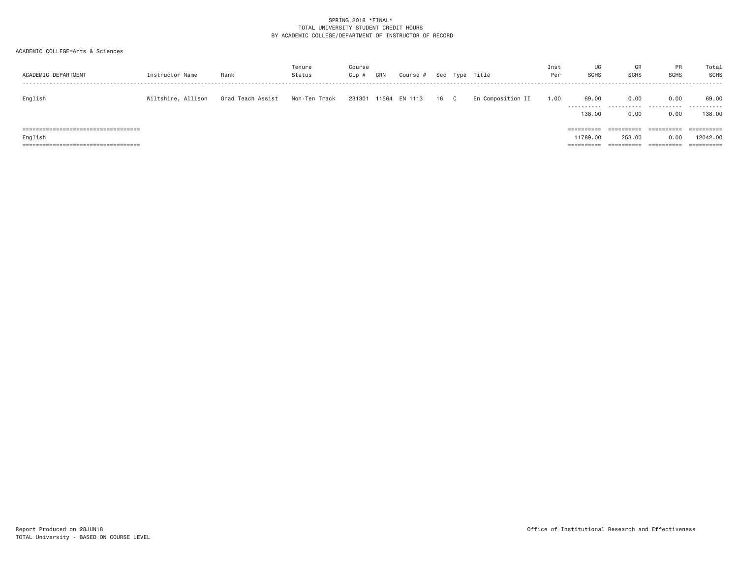| ACADEMIC DEPARTMENT                                                                                                               | Instructor Name    | Rank              | Tenure<br>Status | Course<br>Cip # | CRN | Course #             | Sec |              | Type Title        | Inst<br>Per | UG<br><b>SCHS</b>                                  | GR<br><b>SCHS</b>                                | <b>PR</b><br><b>SCHS</b>         | Total<br>SCHS                                   |
|-----------------------------------------------------------------------------------------------------------------------------------|--------------------|-------------------|------------------|-----------------|-----|----------------------|-----|--------------|-------------------|-------------|----------------------------------------------------|--------------------------------------------------|----------------------------------|-------------------------------------------------|
| English                                                                                                                           | Wiltshire, Allison | Grad Teach Assist | Non-Ten Track    |                 |     | 231301 11564 EN 1113 | 16  | $\mathbf{C}$ | En Composition II | 1.00        | 69.00<br>-----------<br>138.00                     | 0.00<br>0.00                                     | 0.00<br>0.00                     | 69.00<br>138,00                                 |
| ====================================<br>English<br>-------------------------------------<br>===================================== |                    |                   |                  |                 |     |                      |     |              |                   |             | ==========<br>11789.00<br>----------<br>---------- | ==========<br>253,00<br>----------<br>---------- | ==========<br>0.00<br>========== | ==========<br>12042.00<br>$=$ = = = = = = = = = |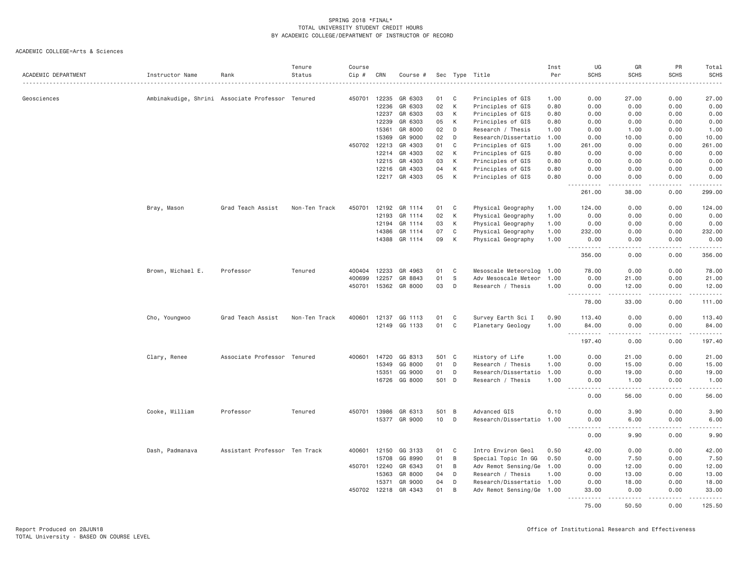| ACADEMIC DEPARTMENT | Instructor Name   | Rank                                             | Tenure<br>Status | Course<br>$Cip$ # | CRN   | Course #      |                 |                | Sec Type Title            | Inst<br>Per | UG<br><b>SCHS</b>                        | GR<br><b>SCHS</b> | PR<br><b>SCHS</b>  | Total<br><b>SCHS</b>                                                                                                              |
|---------------------|-------------------|--------------------------------------------------|------------------|-------------------|-------|---------------|-----------------|----------------|---------------------------|-------------|------------------------------------------|-------------------|--------------------|-----------------------------------------------------------------------------------------------------------------------------------|
|                     |                   |                                                  |                  |                   |       |               |                 |                |                           | . <b>.</b>  |                                          |                   |                    | $- - - - -$                                                                                                                       |
| Geosciences         |                   | Ambinakudige, Shrini Associate Professor Tenured |                  | 450701            | 12235 | GR 6303       | 01              | C              | Principles of GIS         | 1.00        | 0.00                                     | 27.00             | 0.00               | 27.00                                                                                                                             |
|                     |                   |                                                  |                  |                   | 12236 | GR 6303       | 02              | К              | Principles of GIS         | 0.80        | 0.00                                     | 0.00              | 0.00               | 0.00                                                                                                                              |
|                     |                   |                                                  |                  |                   | 12237 | GR 6303       | 03              | К              | Principles of GIS         | 0.80        | 0.00                                     | 0.00              | 0.00               | 0.00                                                                                                                              |
|                     |                   |                                                  |                  |                   | 12239 | GR 6303       | 05              | К              | Principles of GIS         | 0.80        | 0.00                                     | 0.00              | 0.00               | 0.00                                                                                                                              |
|                     |                   |                                                  |                  |                   | 15361 | GR 8000       | 02              | D              | Research / Thesis         | 1.00        | 0.00                                     | 1.00              | 0.00               | 1.00                                                                                                                              |
|                     |                   |                                                  |                  |                   | 15369 | GR 9000       | 02              | D              | Research/Dissertatio      | 1.00        | 0.00                                     | 10.00             | 0.00               | 10.00                                                                                                                             |
|                     |                   |                                                  |                  | 450702            | 12213 | GR 4303       | 01              | C              | Principles of GIS         | 1.00        | 261.00                                   | 0.00              | 0.00               | 261.00                                                                                                                            |
|                     |                   |                                                  |                  |                   | 12214 | GR 4303       | 02              | K              | Principles of GIS         | 0.80        | 0.00                                     | 0.00              | 0.00               | 0.00                                                                                                                              |
|                     |                   |                                                  |                  |                   | 12215 | GR 4303       | 03              | K              | Principles of GIS         | 0.80        | 0.00                                     | 0.00              | 0.00               | 0.00                                                                                                                              |
|                     |                   |                                                  |                  |                   | 12216 | GR 4303       | 04              | K              | Principles of GIS         | 0.80        | 0.00                                     | 0.00              | 0.00               | 0.00                                                                                                                              |
|                     |                   |                                                  |                  |                   |       | 12217 GR 4303 | 05              | К              | Principles of GIS         | 0.80        | 0.00                                     | 0.00              | 0.00               | 0.00                                                                                                                              |
|                     |                   |                                                  |                  |                   |       |               |                 |                |                           |             | .<br>261.00                              | .<br>38.00        | .<br>0.00          | <u>.</u><br>299.00                                                                                                                |
|                     | Bray, Mason       | Grad Teach Assist                                | Non-Ten Track    | 450701            | 12192 | GR 1114       | 01              | C              | Physical Geography        | 1.00        | 124.00                                   | 0.00              | 0.00               | 124.00                                                                                                                            |
|                     |                   |                                                  |                  |                   | 12193 | GR 1114       | 02              | К              | Physical Geography        | 1.00        | 0.00                                     | 0.00              | 0.00               | 0.00                                                                                                                              |
|                     |                   |                                                  |                  |                   | 12194 | GR 1114       | 03              | К              | Physical Geography        | 1.00        | 0.00                                     | 0.00              | 0.00               | 0.00                                                                                                                              |
|                     |                   |                                                  |                  |                   | 14386 | GR 1114       | 07              | C              | Physical Geography        | 1.00        | 232.00                                   | 0.00              | 0.00               | 232.00                                                                                                                            |
|                     |                   |                                                  |                  |                   | 14388 | GR 1114       | 09              | К              | Physical Geography        | 1.00        | 0.00<br>$- - - - - -$                    | 0.00<br>$- - - -$ | 0.00<br>.          | 0.00<br><u>.</u>                                                                                                                  |
|                     |                   |                                                  |                  |                   |       |               |                 |                |                           |             | 356.00                                   | 0.00              | 0.00               | 356.00                                                                                                                            |
|                     | Brown, Michael E. | Professor                                        | Tenured          | 400404            | 12233 | GR 4963       | 01              | C              | Mesoscale Meteorolog 1.00 |             | 78.00                                    | 0.00              | 0.00               | 78.00                                                                                                                             |
|                     |                   |                                                  |                  | 400699            | 12257 | GR 8843       | 01              | ${\tt S}$      | Adv Mesoscale Meteor      | 1.00        | 0.00                                     | 21.00             | 0.00               | 21.00                                                                                                                             |
|                     |                   |                                                  |                  | 450701            | 15362 | GR 8000       | 03              | D              | Research / Thesis         | 1.00        | 0.00<br>$\sim$ $\sim$ $\sim$ $\sim$<br>. | 12.00<br>.        | 0.00<br>.          | 12.00<br>.                                                                                                                        |
|                     |                   |                                                  |                  |                   |       |               |                 |                |                           |             | 78.00                                    | 33.00             | 0.00               | 111.00                                                                                                                            |
|                     | Cho, Youngwoo     | Grad Teach Assist                                | Non-Ten Track    | 400601            | 12137 | GG 1113       | 01              | C              | Survey Earth Sci I        | 0.90        | 113.40                                   | 0.00              | 0.00               | 113.40                                                                                                                            |
|                     |                   |                                                  |                  |                   | 12149 | GG 1133       | 01              | C              | Planetary Geology         | 1.00        | 84.00<br>.                               | 0.00<br>.         | 0.00<br>.          | 84.00<br>.                                                                                                                        |
|                     |                   |                                                  |                  |                   |       |               |                 |                |                           |             | 197.40                                   | 0.00              | 0.00               | 197.40                                                                                                                            |
|                     | Clary, Renee      | Associate Professor Tenured                      |                  | 400601            | 14720 | GG 8313       | 501 C           |                | History of Life           | 1.00        | 0.00                                     | 21.00             | 0.00               | 21.00                                                                                                                             |
|                     |                   |                                                  |                  |                   | 15349 | GG 8000       | 01              | D              | Research / Thesis         | 1.00        | 0.00                                     | 15.00             | 0.00               | 15.00                                                                                                                             |
|                     |                   |                                                  |                  |                   | 15351 | GG 9000       | 01              | $\mathsf{D}$   | Research/Dissertatio      | 1.00        | 0.00                                     | 19.00             | 0.00               | 19.00                                                                                                                             |
|                     |                   |                                                  |                  |                   | 16726 | GG 8000       | 501 D           |                | Research / Thesis         | 1.00        | 0.00                                     | 1.00              | 0.00               | 1.00<br>$\frac{1}{2} \left( \frac{1}{2} \right) \left( \frac{1}{2} \right) \left( \frac{1}{2} \right) \left( \frac{1}{2} \right)$ |
|                     |                   |                                                  |                  |                   |       |               |                 |                |                           |             | 0.00                                     | 56.00             | 0.00               | 56.00                                                                                                                             |
|                     | Cooke, William    | Professor                                        | Tenured          | 450701            | 13986 | GR 6313       | 501             | $\overline{B}$ | Advanced GIS              | 0.10        | 0.00                                     | 3.90              | 0.00               | 3.90                                                                                                                              |
|                     |                   |                                                  |                  |                   | 15377 | GR 9000       | 10 <sub>1</sub> | D              | Research/Dissertatio      | 1.00        | 0.00<br>$\frac{1}{2}$                    | 6.00              | 0.00               | 6.00                                                                                                                              |
|                     |                   |                                                  |                  |                   |       |               |                 |                |                           |             | 0.00                                     | 9.90              | 0.00               | 9.90                                                                                                                              |
|                     | Dash, Padmanava   | Assistant Professor Ten Track                    |                  | 400601            | 12150 | GG 3133       | 01              | C              | Intro Environ Geol        | 0.50        | 42.00                                    | 0.00              | 0.00               | 42.00                                                                                                                             |
|                     |                   |                                                  |                  |                   | 15708 | GG 8990       | 01              | B              | Special Topic In GG       | 0.50        | 0.00                                     | 7.50              | 0.00               | 7.50                                                                                                                              |
|                     |                   |                                                  |                  | 450701            | 12240 | GR 6343       | 01              | B              | Adv Remot Sensing/Ge      | 1.00        | 0.00                                     | 12.00             | 0.00               | 12.00                                                                                                                             |
|                     |                   |                                                  |                  |                   | 15363 | GR 8000       | 04              | D              | Research / Thesis         | 1.00        | 0.00                                     | 13.00             | 0.00               | 13.00                                                                                                                             |
|                     |                   |                                                  |                  |                   | 15371 | GR 9000       | 04              | D              | Research/Dissertatio 1.00 |             | 0.00                                     | 18.00             | 0.00               | 18.00                                                                                                                             |
|                     |                   |                                                  |                  | 450702 12218      |       | GR 4343       | 01              | B              | Adv Remot Sensing/Ge 1.00 |             | 33.00<br>.                               | 0.00<br>.         | 0.00<br>. <b>.</b> | 33.00<br>.                                                                                                                        |
|                     |                   |                                                  |                  |                   |       |               |                 |                |                           |             | 75.00                                    | 50.50             | 0.00               | 125.50                                                                                                                            |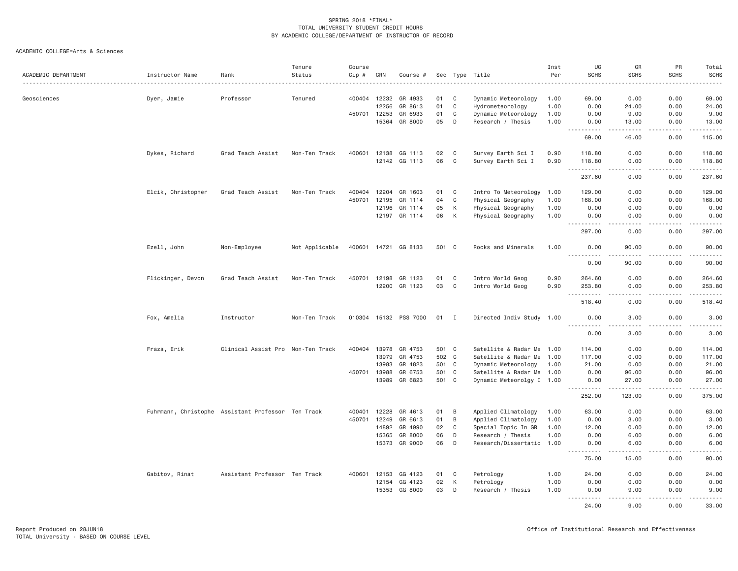| ACADEMIC DEPARTMENT | Instructor Name                                    | Rank                              | Tenure<br>Status | Course<br>Cip # | CRN          | Course #              |       |                | Sec Type Title            | Inst<br>Per | UG<br><b>SCHS</b>                                                                                                                                                                    | GR<br><b>SCHS</b>                           | PR<br><b>SCHS</b> | Total<br><b>SCHS</b>    |
|---------------------|----------------------------------------------------|-----------------------------------|------------------|-----------------|--------------|-----------------------|-------|----------------|---------------------------|-------------|--------------------------------------------------------------------------------------------------------------------------------------------------------------------------------------|---------------------------------------------|-------------------|-------------------------|
| Geosciences         | Dyer, Jamie                                        | Professor                         | Tenured          |                 | 400404 12232 | GR 4933               | 01    | $\mathbf C$    | Dynamic Meteorology       | 1.00        | 69.00                                                                                                                                                                                | 0.00                                        | 0.00              | 69.00                   |
|                     |                                                    |                                   |                  |                 | 12256        | GR 8613               | 01    | C              | Hydrometeorology          | 1.00        | 0.00                                                                                                                                                                                 | 24.00                                       | 0.00              | 24.00                   |
|                     |                                                    |                                   |                  |                 | 450701 12253 | GR 6933               | 01    | C              | Dynamic Meteorology       | 1.00        | 0.00                                                                                                                                                                                 | 9.00                                        | 0.00              | 9.00                    |
|                     |                                                    |                                   |                  |                 | 15364        | GR 8000               | 05    | D              | Research / Thesis         | 1.00        | 0.00<br>.                                                                                                                                                                            | 13.00<br>.                                  | 0.00<br>-----     | 13.00<br>$- - - - - -$  |
|                     |                                                    |                                   |                  |                 |              |                       |       |                |                           |             | 69.00                                                                                                                                                                                | 46.00                                       | 0.00              | 115.00                  |
|                     | Dykes, Richard                                     | Grad Teach Assist                 | Non-Ten Track    |                 |              | 400601 12138 GG 1113  | 02    | $\mathbf C$    | Survey Earth Sci I        | 0.90        | 118.80                                                                                                                                                                               | 0.00                                        | 0.00              | 118.80                  |
|                     |                                                    |                                   |                  |                 |              | 12142 GG 1113         | 06    | $\mathbf C$    | Survey Earth Sci I        | 0.90        | 118.80<br>.<br>$\sim$ $\sim$ $\sim$                                                                                                                                                  | 0.00<br>.                                   | 0.00<br>.         | 118.80<br>.             |
|                     |                                                    |                                   |                  |                 |              |                       |       |                |                           |             | 237.60                                                                                                                                                                               | 0.00                                        | 0.00              | 237.60                  |
|                     | Elcik, Christopher                                 | Grad Teach Assist                 | Non-Ten Track    | 400404          | 12204        | GR 1603               | 01    | C              | Intro To Meteorology      | 1.00        | 129.00                                                                                                                                                                               | 0.00                                        | 0.00              | 129.00                  |
|                     |                                                    |                                   |                  | 450701          | 12195        | GR 1114               | 04    | C              | Physical Geography        | 1.00        | 168.00                                                                                                                                                                               | 0.00                                        | 0.00              | 168.00                  |
|                     |                                                    |                                   |                  |                 | 12196        | GR 1114               | 05    | K              | Physical Geography        | 1.00        | 0.00                                                                                                                                                                                 | 0.00                                        | 0.00              | 0.00                    |
|                     |                                                    |                                   |                  |                 | 12197        | GR 1114               | 06    | K              | Physical Geography        | 1.00        | 0.00<br><u>.</u> .                                                                                                                                                                   | 0.00<br>$\sim$ $\sim$ $\sim$                | 0.00<br>.         | 0.00<br>$- - - - - -$   |
|                     |                                                    |                                   |                  |                 |              |                       |       |                |                           |             | 297.00                                                                                                                                                                               | 0.00                                        | 0.00              | 297.00                  |
|                     | Ezell, John                                        | Non-Employee                      | Not Applicable   |                 |              | 400601 14721 GG 8133  | 501 C |                | Rocks and Minerals        | 1.00        | 0.00<br>.                                                                                                                                                                            | 90.00                                       | 0.00              | 90.00                   |
|                     |                                                    |                                   |                  |                 |              |                       |       |                |                           |             | 0.00                                                                                                                                                                                 | 90.00                                       | 0.00              | 90.00                   |
|                     | Flickinger, Devon                                  | Grad Teach Assist                 | Non-Ten Track    | 450701          | 12198        | GR 1123               | 01    | $\mathbf C$    | Intro World Geog          | 0.90        | 264.60                                                                                                                                                                               | 0.00                                        | 0.00              | 264.60                  |
|                     |                                                    |                                   |                  |                 | 12200        | GR 1123               | 03    | $\mathbf C$    | Intro World Geog          | 0.90        | 253.80<br>.<br>$\sim 10$                                                                                                                                                             | 0.00<br>$\sim$ $\sim$ $\sim$ $\sim$         | 0.00<br>-----     | 253.80<br>وعاعاته عاملت |
|                     |                                                    |                                   |                  |                 |              |                       |       |                |                           |             | 518.40                                                                                                                                                                               | 0.00                                        | 0.00              | 518.40                  |
|                     | Fox, Amelia                                        | Instructor                        | Non-Ten Track    |                 |              | 010304 15132 PSS 7000 | 01    | $\blacksquare$ | Directed Indiv Study 1.00 |             | 0.00<br>-----                                                                                                                                                                        | 3.00                                        | 0.00              | 3.00                    |
|                     |                                                    |                                   |                  |                 |              |                       |       |                |                           |             | 0.00                                                                                                                                                                                 | 3.00                                        | 0.00              | 3.00                    |
|                     | Fraza, Erik                                        | Clinical Assist Pro Non-Ten Track |                  | 400404          | 13978        | GR 4753               | 501 C |                | Satellite & Radar Me 1.00 |             | 114.00                                                                                                                                                                               | 0.00                                        | 0.00              | 114.00                  |
|                     |                                                    |                                   |                  |                 | 13979        | GR 4753               | 502 C |                | Satellite & Radar Me 1.00 |             | 117.00                                                                                                                                                                               | 0.00                                        | 0.00              | 117.00                  |
|                     |                                                    |                                   |                  |                 | 13983        | GR 4823               | 501 C |                | Dynamic Meteorology       | 1.00        | 21.00                                                                                                                                                                                | 0.00                                        | 0.00              | 21.00                   |
|                     |                                                    |                                   |                  |                 | 450701 13988 | GR 6753               | 501 C |                | Satellite & Radar Me 1.00 |             | 0.00                                                                                                                                                                                 | 96.00                                       | 0.00              | 96.00                   |
|                     |                                                    |                                   |                  |                 | 13989        | GR 6823               | 501 C |                | Dynamic Meteorolgy I 1.00 |             | 0.00<br>.                                                                                                                                                                            | 27.00<br>$\sim$ $\sim$ $\sim$ $\sim$ $\sim$ | 0.00<br>.         | 27.00<br>.              |
|                     |                                                    |                                   |                  |                 |              |                       |       |                |                           |             | 252.00                                                                                                                                                                               | 123.00                                      | 0.00              | 375.00                  |
|                     | Fuhrmann, Christophe Assistant Professor Ten Track |                                   |                  | 400401          | 12228        | GR 4613               | 01    | B              | Applied Climatology       | 1.00        | 63.00                                                                                                                                                                                | 0.00                                        | 0.00              | 63.00                   |
|                     |                                                    |                                   |                  | 450701          | 12249        | GR 6613               | 01    | B              | Applied Climatology       | 1.00        | 0.00                                                                                                                                                                                 | 3.00                                        | 0.00              | 3.00                    |
|                     |                                                    |                                   |                  |                 | 14892        | GR 4990               | 02    | C              | Special Topic In GR       | 1.00        | 12.00                                                                                                                                                                                | 0.00                                        | 0.00              | 12.00                   |
|                     |                                                    |                                   |                  |                 | 15365        | GR 8000               | 06    | D              | Research / Thesis         | 1.00        | 0.00                                                                                                                                                                                 | 6.00                                        | 0.00              | 6.00                    |
|                     |                                                    |                                   |                  |                 | 15373        | GR 9000               | 06    | D              | Research/Dissertatio      | 1.00        | 0.00<br>$\sim$ $\sim$ $\sim$<br>$\frac{1}{2} \left( \frac{1}{2} \right) \left( \frac{1}{2} \right) \left( \frac{1}{2} \right) \left( \frac{1}{2} \right) \left( \frac{1}{2} \right)$ | 6.00                                        | 0.00              | 6.00                    |
|                     |                                                    |                                   |                  |                 |              |                       |       |                |                           |             | 75.00                                                                                                                                                                                | 15.00                                       | 0.00              | 90.00                   |
|                     | Gabitov, Rinat                                     | Assistant Professor Ten Track     |                  |                 | 400601 12153 | GG 4123               | 01    | C              | Petrology                 | 1.00        | 24.00                                                                                                                                                                                | 0.00                                        | 0.00              | 24.00                   |
|                     |                                                    |                                   |                  |                 | 12154        | GG 4123               | 02    | K              | Petrology                 | 1.00        | 0.00                                                                                                                                                                                 | 0.00                                        | 0.00              | 0.00                    |
|                     |                                                    |                                   |                  |                 | 15353        | GG 8000               | 03    | D              | Research / Thesis         | 1.00        | 0.00<br><u>.</u>                                                                                                                                                                     | 9.00<br>$\sim$ $\sim$ $\sim$                | 0.00<br>.         | 9.00                    |
|                     |                                                    |                                   |                  |                 |              |                       |       |                |                           |             | 24.00                                                                                                                                                                                | 9,00                                        | 0.00              | 33,00                   |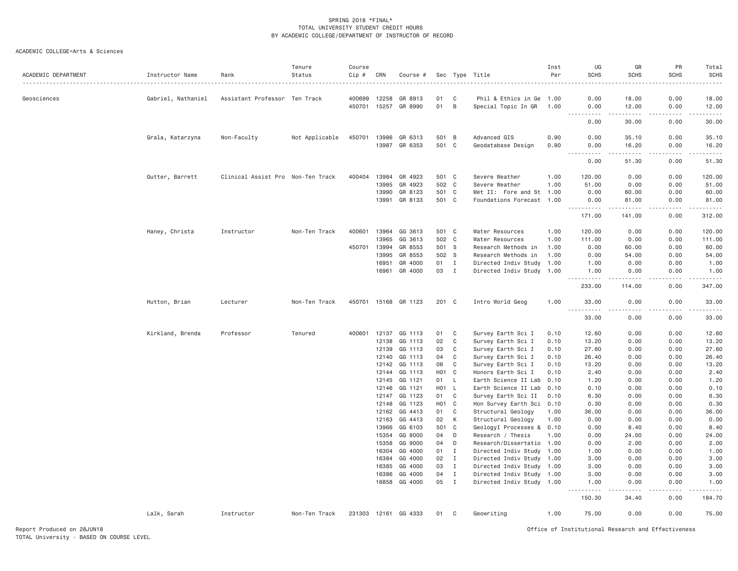| ACADEMIC DEPARTMENT | Instructor Name    | Rank                              | Tenure<br>Status | Course<br>Cip #<br>. | CRN            | Course #             |                  |              | Sec Type Title                                  | Inst<br>Per | UG<br><b>SCHS</b>                                                                                                                      | GR<br><b>SCHS</b>  | PR<br><b>SCHS</b> | Total<br><b>SCHS</b> |
|---------------------|--------------------|-----------------------------------|------------------|----------------------|----------------|----------------------|------------------|--------------|-------------------------------------------------|-------------|----------------------------------------------------------------------------------------------------------------------------------------|--------------------|-------------------|----------------------|
| Geosciences         | Gabriel, Nathaniel | Assistant Professor Ten Track     |                  | 400699               | 12258          | GR 8913              | 01               | C            | Phil & Ethics in Ge                             | 1.00        | 0.00                                                                                                                                   | 18.00              | 0.00              | 18.00                |
|                     |                    |                                   |                  |                      | 450701 15257   | GR 8990              | 01               | B            | Special Topic In GR                             | 1.00        | 0.00<br>.<br>$\frac{1}{2} \left( \frac{1}{2} \right) \left( \frac{1}{2} \right) \left( \frac{1}{2} \right) \left( \frac{1}{2} \right)$ | 12.00<br>.         | 0.00<br>.         | 12.00<br>.           |
|                     |                    |                                   |                  |                      |                |                      |                  |              |                                                 |             | 0.00                                                                                                                                   | 30.00              | 0.00              | 30.00                |
|                     | Grala, Katarzyna   | Non-Faculty                       | Not Applicable   | 450701               | 13986          | GR 6313              | 501              | B            | Advanced GIS                                    | 0.90        | 0.00                                                                                                                                   | 35.10              | 0.00              | 35.10                |
|                     |                    |                                   |                  |                      | 13987          | GR 6353              | 501              | $\mathbf{C}$ | Geodatabase Design                              | 0.90        | 0.00                                                                                                                                   | 16.20              | 0.00              | 16.20                |
|                     |                    |                                   |                  |                      |                |                      |                  |              |                                                 |             | .<br>0.00                                                                                                                              | د د د د د<br>51.30 | .<br>0.00         | .<br>51.30           |
|                     | Gutter, Barrett    | Clinical Assist Pro Non-Ten Track |                  | 400404               | 13984          | GR 4923              | 501 C            |              | Severe Weather                                  | 1.00        | 120.00                                                                                                                                 | 0.00               | 0.00              | 120.00               |
|                     |                    |                                   |                  |                      | 13985          | GR 4923              | 502 C            |              | Severe Weather                                  | 1.00        | 51.00                                                                                                                                  | 0.00               | 0.00              | 51.00                |
|                     |                    |                                   |                  |                      | 13990          | GR 8123              | 501 C            |              | Met II: Fore and St 1.00                        |             | 0.00                                                                                                                                   | 60.00              | 0.00              | 60.00                |
|                     |                    |                                   |                  |                      |                | 13991 GR 8133        | 501 C            |              | Foundations Forecast 1.00                       |             | 0.00                                                                                                                                   | 81.00              | 0.00              | 81.00                |
|                     |                    |                                   |                  |                      |                |                      |                  |              |                                                 |             | ----------<br>171.00                                                                                                                   | .<br>141.00        | -----<br>0.00     | <u>.</u><br>312.00   |
|                     | Haney, Christa     | Instructor                        | Non-Ten Track    | 400601               | 13964          | GG 3613              | 501 C            |              | Water Resources                                 | 1.00        | 120.00                                                                                                                                 | 0.00               | 0.00              | 120.00               |
|                     |                    |                                   |                  |                      | 13965          | GG 3613              | 502 C            |              | Water Resources                                 | 1.00        | 111.00                                                                                                                                 | 0.00               | 0.00              | 111.00               |
|                     |                    |                                   |                  | 450701               | 13994          | GR 8553              | 501 S            |              | Research Methods in                             | 1.00        | 0.00                                                                                                                                   | 60.00              | 0.00              | 60.00                |
|                     |                    |                                   |                  |                      | 13995          | GR 8553              | 502 S            |              | Research Methods in                             | 1.00        | 0.00                                                                                                                                   | 54.00              | 0.00              | 54.00                |
|                     |                    |                                   |                  |                      | 16951          | GR 4000              | 01               | $\mathbf{I}$ | Directed Indiv Study 1.00                       |             | 1.00                                                                                                                                   | 0.00               | 0.00              | 1.00                 |
|                     |                    |                                   |                  |                      | 16961          | GR 4000              | 03               | $\mathbf I$  | Directed Indiv Study 1.00                       |             | 1.00                                                                                                                                   | 0.00               | 0.00              | 1.00                 |
|                     |                    |                                   |                  |                      |                |                      |                  |              |                                                 |             | <u>.</u><br>233.00                                                                                                                     | 114.00             | 0.00              | 347.00               |
|                     | Hutton, Brian      | Lecturer                          | Non-Ten Track    |                      |                | 450701 15168 GR 1123 | 201 C            |              | Intro World Geog                                | 1.00        | 33.00                                                                                                                                  | 0.00               | 0.00              | 33.00                |
|                     |                    |                                   |                  |                      |                |                      |                  |              |                                                 |             | $  -$<br>$- - - -$<br>33.00                                                                                                            | 0.00               | 0.00              | 33.00                |
|                     | Kirkland, Brenda   | Professor                         | Tenured          | 400601               | 12137          | GG 1113              | 01               | C            | Survey Earth Sci I                              | 0.10        | 12.60                                                                                                                                  | 0.00               | 0.00              | 12.60                |
|                     |                    |                                   |                  |                      | 12138          | GG 1113              | 02               | C            | Survey Earth Sci I                              | 0.10        | 13.20                                                                                                                                  | 0.00               | 0.00              | 13.20                |
|                     |                    |                                   |                  |                      | 12139          | GG 1113              | 03               | C            | Survey Earth Sci I                              | 0.10        | 27.60                                                                                                                                  | 0.00               | 0.00              | 27.60                |
|                     |                    |                                   |                  |                      | 12140          | GG 1113              | 04               | C            | Survey Earth Sci I                              | 0.10        | 26.40                                                                                                                                  | 0.00               | 0.00              | 26.40                |
|                     |                    |                                   |                  |                      | 12142          | GG 1113              | 06               | C            | Survey Earth Sci I                              | 0.10        | 13.20                                                                                                                                  | 0.00               | 0.00              | 13.20                |
|                     |                    |                                   |                  |                      | 12144          | GG 1113              | H01              | C            | Honors Earth Sci I                              | 0.10        | 2.40                                                                                                                                   | 0.00               | 0.00              | 2.40                 |
|                     |                    |                                   |                  |                      | 12145          | GG 1121              | 01               | L            | Earth Science II Lab                            | 0.10        | 1.20                                                                                                                                   | 0.00               | 0.00              | 1.20                 |
|                     |                    |                                   |                  |                      | 12146          | GG 1121              | H <sub>0</sub> 1 | $\mathsf{L}$ | Earth Science II Lab                            | 0.10        | 0.10                                                                                                                                   | 0.00               | 0.00              | 0.10                 |
|                     |                    |                                   |                  |                      | 12147          | GG 1123              | 01               | C            | Survey Earth Sci II                             | 0.10        | 6.30                                                                                                                                   | 0.00               | 0.00              | 6.30                 |
|                     |                    |                                   |                  |                      | 12148          | GG 1123              | H <sub>0</sub> 1 | C            | Hon Survey Earth Sci 0.10                       |             | 0.30                                                                                                                                   | 0.00               | 0.00              | 0.30                 |
|                     |                    |                                   |                  |                      | 12162          | GG 4413              | 01               | C            | Structural Geology                              | 1.00        | 36.00                                                                                                                                  | 0.00               | 0.00              | 36.00                |
|                     |                    |                                   |                  |                      | 12163<br>13966 | GG 4413<br>GG 6103   | 02<br>501        | К<br>C       | Structural Geology<br>GeologyI Processes & 0.10 | 1.00        | 0.00<br>0.00                                                                                                                           | 0.00<br>8.40       | 0.00<br>0.00      | 0.00<br>8.40         |
|                     |                    |                                   |                  |                      | 15354          | GG 8000              | 04               | D            | Research / Thesis                               | 1.00        | 0.00                                                                                                                                   | 24.00              | 0.00              | 24.00                |
|                     |                    |                                   |                  |                      | 15358          | GG 9000              | 04               | D            | Research/Dissertatio                            | 1,00        | 0.00                                                                                                                                   | 2.00               | 0.00              | 2.00                 |
|                     |                    |                                   |                  |                      | 16304          | GG 4000              | 01               | Ι.           | Directed Indiv Study 1.00                       |             | 1.00                                                                                                                                   | 0.00               | 0.00              | 1.00                 |
|                     |                    |                                   |                  |                      | 16384          | GG 4000              | 02               | $\mathbf{I}$ | Directed Indiv Study 1.00                       |             | 3.00                                                                                                                                   | 0.00               | 0.00              | 3.00                 |
|                     |                    |                                   |                  |                      | 16385          | GG 4000              | 03               | $\mathbf{I}$ | Directed Indiv Study 1.00                       |             | 3.00                                                                                                                                   | 0.00               | 0.00              | 3.00                 |
|                     |                    |                                   |                  |                      | 16386          | GG 4000              | 04               | $\mathbf{I}$ | Directed Indiv Study 1.00                       |             | 3.00                                                                                                                                   | 0.00               | 0.00              | 3.00                 |
|                     |                    |                                   |                  |                      | 16858          | GG 4000              | 05               | $\;$ I       | Directed Indiv Study 1.00                       |             | 1.00                                                                                                                                   | 0.00               | 0.00              | 1.00                 |
|                     |                    |                                   |                  |                      |                |                      |                  |              |                                                 |             | $\frac{1}{2}$<br>.<br>150.30                                                                                                           | .<br>34.40         | .<br>0.00         | 184.70               |
|                     | Lalk, Sarah        | Instructor                        | Non-Ten Track    |                      |                | 231303 12161 GG 4333 | 01               | C            | Geowriting                                      | 1.00        | 75.00                                                                                                                                  | 0.00               | 0.00              | 75.00                |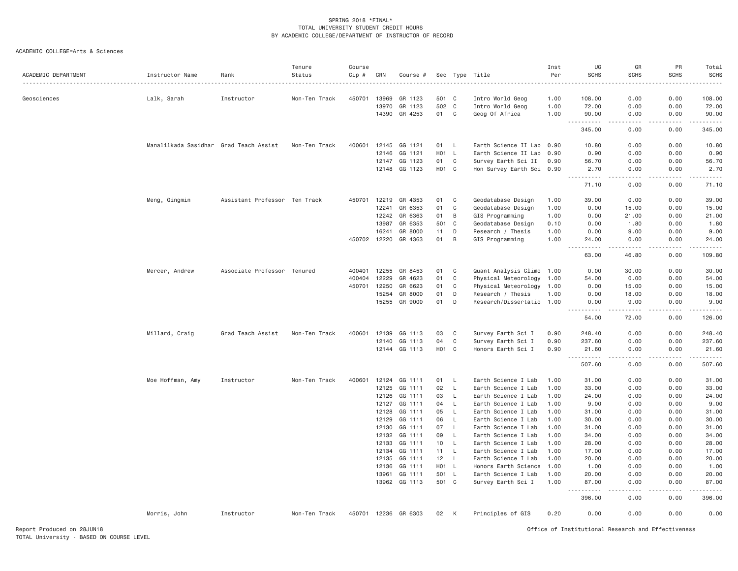| ACADEMIC DEPARTMENT | Instructor Name                        | Rank                          | Tenure<br>Status | Course<br>Cip # | CRN            | Course #             |                   |                 | Sec Type Title                             | Inst<br>Per  | UG<br><b>SCHS</b>                                                                                                                                                               | GR<br><b>SCHS</b>            | PR<br><b>SCHS</b> | Total<br>SCHS     |
|---------------------|----------------------------------------|-------------------------------|------------------|-----------------|----------------|----------------------|-------------------|-----------------|--------------------------------------------|--------------|---------------------------------------------------------------------------------------------------------------------------------------------------------------------------------|------------------------------|-------------------|-------------------|
| Geosciences         | Lalk, Sarah                            | Instructor                    | Non-Ten Track    | 450701          | 13969          | GR 1123              | 501 C             |                 | Intro World Geog                           | 1.00         | 108.00                                                                                                                                                                          | 0.00                         | 0.00              | 108.00            |
|                     |                                        |                               |                  |                 | 13970          | GR 1123              | 502 C             |                 | Intro World Geog                           | 1.00         | 72.00                                                                                                                                                                           | 0.00                         | 0.00              | 72.00             |
|                     |                                        |                               |                  |                 |                | 14390 GR 4253        | 01                | $\mathbf{C}$    | Geog Of Africa                             | 1.00         | 90.00                                                                                                                                                                           | 0.00                         | 0.00              | 90.00             |
|                     |                                        |                               |                  |                 |                |                      |                   |                 |                                            |              | $\sim$ $\sim$ $\sim$<br>.<br>345.00                                                                                                                                             | .<br>0.00                    | .<br>0.00         | -----<br>345.00   |
|                     | Manalilkada Sasidhar Grad Teach Assist |                               | Non-Ten Track    | 400601          | 12145          | GG 1121              | 01 L              |                 | Earth Science II Lab 0.90                  |              | 10.80                                                                                                                                                                           | 0.00                         | 0.00              | 10.80             |
|                     |                                        |                               |                  |                 | 12146          | GG 1121              | <b>HO1</b>        | <b>L</b>        | Earth Science II Lab                       | 0.90         | 0.90                                                                                                                                                                            | 0.00                         | 0.00              | 0.90              |
|                     |                                        |                               |                  |                 | 12147          | GG 1123              | 01                | C               | Survey Earth Sci II                        | 0.90         | 56.70                                                                                                                                                                           | 0.00                         | 0.00              | 56.70             |
|                     |                                        |                               |                  |                 |                | 12148 GG 1123        | H <sub>01</sub> C |                 | Hon Survey Earth Sci 0.90                  |              | 2.70<br>$\frac{1}{2} \left( \frac{1}{2} \right) \left( \frac{1}{2} \right) \left( \frac{1}{2} \right) \left( \frac{1}{2} \right) \left( \frac{1}{2} \right)$                    | 0.00<br>$\sim$ $\sim$ $\sim$ | 0.00<br>د د د د   | 2.70              |
|                     |                                        |                               |                  |                 |                |                      |                   |                 |                                            |              | 71.10                                                                                                                                                                           | 0.00                         | 0.00              | 71.10             |
|                     | Meng, Qingmin                          | Assistant Professor Ten Track |                  | 450701          | 12219          | GR 4353              | 01                | C               | Geodatabase Design                         | 1.00         | 39.00                                                                                                                                                                           | 0.00                         | 0.00              | 39.00             |
|                     |                                        |                               |                  |                 | 12241          | GR 6353              | 01                | C               | Geodatabase Design                         | 1.00         | 0.00                                                                                                                                                                            | 15.00                        | 0.00              | 15.00             |
|                     |                                        |                               |                  |                 | 12242          | GR 6363              | 01                | B               | GIS Programming                            | 1.00         | 0.00                                                                                                                                                                            | 21.00                        | 0.00              | 21.00             |
|                     |                                        |                               |                  |                 | 13987          | GR 6353              | 501               | C               | Geodatabase Design                         | 0.10         | 0.00                                                                                                                                                                            | 1.80                         | 0.00              | 1.80              |
|                     |                                        |                               |                  |                 | 16241          | GR 8000              | 11                | D               | Research / Thesis                          | 1.00         | 0.00                                                                                                                                                                            | 9.00                         | 0.00              | 9.00              |
|                     |                                        |                               |                  | 450702          | 12220          | GR 4363              | 01                | B               | GIS Programming                            | 1.00         | 24.00<br>.                                                                                                                                                                      | 0.00                         | 0.00              | 24.00             |
|                     |                                        |                               |                  |                 |                |                      |                   |                 |                                            |              | 63.00                                                                                                                                                                           | 46.80                        | 0.00              | 109.80            |
|                     | Mercer, Andrew                         | Associate Professor Tenured   |                  | 400401          | 12255          | GR 8453              | 01                | C               | Quant Analysis Climo 1.00                  |              | 0.00                                                                                                                                                                            | 30.00                        | 0.00              | 30.00             |
|                     |                                        |                               |                  | 400404          | 12229          | GR 4623              | 01                | C               | Physical Meteorology 1.00                  |              | 54.00                                                                                                                                                                           | 0.00                         | 0.00              | 54.00             |
|                     |                                        |                               |                  | 450701          | 12250          | GR 6623              | 01                | C               | Physical Meteorology                       | 1.00         | 0.00                                                                                                                                                                            | 15.00                        | 0.00              | 15.00             |
|                     |                                        |                               |                  |                 | 15254          | GR 8000              | 01                | D               | Research / Thesis                          | 1.00         | 0.00                                                                                                                                                                            | 18.00                        | 0.00              | 18.00             |
|                     |                                        |                               |                  |                 | 15255          | GR 9000              | 01                | D               | Research/Dissertatio 1.00                  |              | 0.00<br>$- - - -$                                                                                                                                                               | 9.00<br>$- - - - -$          | 0.00              | 9.00              |
|                     |                                        |                               |                  |                 |                |                      |                   |                 |                                            |              | 54.00                                                                                                                                                                           | 72.00                        | 0.00              | 126.00            |
|                     | Millard, Craig                         | Grad Teach Assist             | Non-Ten Track    | 400601          | 12139          | GG 1113              | 03                | C               | Survey Earth Sci I                         | 0.90         | 248.40                                                                                                                                                                          | 0.00                         | 0.00              | 248.40            |
|                     |                                        |                               |                  |                 | 12140          | GG 1113              | 04                | C               | Survey Earth Sci I                         | 0.90         | 237.60                                                                                                                                                                          | 0.00                         | 0.00              | 237.60            |
|                     |                                        |                               |                  |                 |                | 12144 GG 1113        | H <sub>01</sub> C |                 | Honors Earth Sci I                         | 0.90         | 21.60<br>.<br>$  -$                                                                                                                                                             | 0.00<br>.                    | 0.00<br>.         | 21.60<br><u>.</u> |
|                     |                                        |                               |                  |                 |                |                      |                   |                 |                                            |              | 507.60                                                                                                                                                                          | 0.00                         | 0.00              | 507.60            |
|                     | Moe Hoffman, Amy                       | Instructor                    | Non-Ten Track    | 400601          | 12124          | GG 1111              | 01                | - L             | Earth Science I Lab                        | 1.00         | 31.00                                                                                                                                                                           | 0.00                         | 0.00              | 31.00             |
|                     |                                        |                               |                  |                 | 12125          | GG 1111              | 02                | L.              | Earth Science I Lab                        | 1.00         | 33.00                                                                                                                                                                           | 0.00                         | 0.00              | 33.00             |
|                     |                                        |                               |                  |                 | 12126          | GG 1111              | 03                | $\mathsf{L}$    | Earth Science I Lab                        | 1.00         | 24.00                                                                                                                                                                           | 0.00                         | 0.00              | 24.00             |
|                     |                                        |                               |                  |                 | 12127          | GG 1111              | 04                | L.              | Earth Science I Lab                        | 1.00         | 9.00                                                                                                                                                                            | 0.00                         | 0.00              | 9.00              |
|                     |                                        |                               |                  |                 | 12128          | GG 1111              | 05                | <b>L</b>        | Earth Science I Lab                        | 1,00         | 31.00                                                                                                                                                                           | 0.00                         | 0.00              | 31.00             |
|                     |                                        |                               |                  |                 | 12129          | GG 1111              | 06                | $\mathsf{L}$    | Earth Science I Lab                        | 1,00         | 30.00                                                                                                                                                                           | 0.00                         | 0.00              | 30.00             |
|                     |                                        |                               |                  |                 | 12130          | GG 1111              | 07                | $\mathsf{L}$    | Earth Science I Lab                        | 1.00         | 31.00                                                                                                                                                                           | 0.00                         | 0.00              | 31.00             |
|                     |                                        |                               |                  |                 | 12132          | GG 1111              | 09                | $\mathsf L$     | Earth Science I Lab                        | 1.00         | 34.00                                                                                                                                                                           | 0.00                         | 0.00              | 34.00             |
|                     |                                        |                               |                  |                 | 12133          | GG 1111              | 10<br>11          | <b>L</b><br>- L | Earth Science I Lab                        | 1.00<br>1.00 | 28.00<br>17.00                                                                                                                                                                  | 0.00<br>0.00                 | 0.00<br>0.00      | 28.00<br>17.00    |
|                     |                                        |                               |                  |                 | 12134<br>12135 | GG 1111<br>GG 1111   | 12 <sup>2</sup>   | <b>L</b>        | Earth Science I Lab<br>Earth Science I Lab | 1.00         | 20.00                                                                                                                                                                           | 0.00                         | 0.00              | 20.00             |
|                     |                                        |                               |                  |                 | 12136          | GG 1111              | H01               | <b>L</b>        | Honors Earth Science                       | 1.00         | 1.00                                                                                                                                                                            | 0.00                         | 0.00              | 1.00              |
|                     |                                        |                               |                  |                 | 13961          | GG 1111              | 501 L             |                 | Earth Science I Lab                        | 1.00         | 20,00                                                                                                                                                                           | 0.00                         | 0.00              | 20.00             |
|                     |                                        |                               |                  |                 |                | 13962 GG 1113        | 501 C             |                 | Survey Earth Sci I                         | 1.00         | 87.00                                                                                                                                                                           | 0.00                         | 0.00              | 87.00             |
|                     |                                        |                               |                  |                 |                |                      |                   |                 |                                            |              | $\frac{1}{2} \left( \frac{1}{2} \right) \left( \frac{1}{2} \right) \left( \frac{1}{2} \right) \left( \frac{1}{2} \right) \left( \frac{1}{2} \right) \left( \frac{1}{2} \right)$ | $\sim$ $\sim$ $\sim$ $\sim$  | .                 |                   |
|                     |                                        |                               |                  |                 |                |                      |                   |                 |                                            |              | 396.00                                                                                                                                                                          | 0.00                         | 0.00              | 396.00            |
|                     | Morris, John                           | Instructor                    | Non-Ten Track    |                 |                | 450701 12236 GR 6303 | 02                | К               | Principles of GIS                          | 0.20         | 0.00                                                                                                                                                                            | 0.00                         | 0.00              | 0.00              |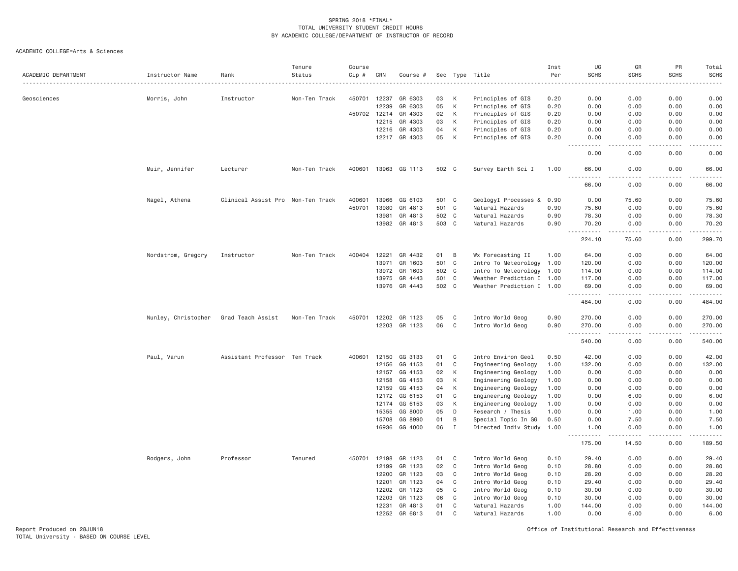ACADEMIC COLLEGE=Arts & Sciences

| ACADEMIC DEPARTMENT | Instructor Name     | Rank                              | Tenure<br>Status | Course<br>Cip # | CRN          | Course #             |       | Sec Type       | Title                     | Inst<br>Per | UG<br><b>SCHS</b>                                                                                                                                                                    | GR<br><b>SCHS</b> | PR<br><b>SCHS</b> | Total<br><b>SCHS</b>                 |
|---------------------|---------------------|-----------------------------------|------------------|-----------------|--------------|----------------------|-------|----------------|---------------------------|-------------|--------------------------------------------------------------------------------------------------------------------------------------------------------------------------------------|-------------------|-------------------|--------------------------------------|
| Geosciences         | Morris, John        | Instructor                        | Non-Ten Track    | 450701          | 12237        | GR 6303              | 03    | К              | Principles of GIS         | 0.20        | 0.00                                                                                                                                                                                 | 0.00              | 0.00              | 0.00                                 |
|                     |                     |                                   |                  |                 | 12239        | GR 6303              | 05    | K              | Principles of GIS         | 0.20        | 0.00                                                                                                                                                                                 | 0.00              | 0.00              | 0.00                                 |
|                     |                     |                                   |                  |                 | 450702 12214 | GR 4303              | 02    | K              | Principles of GIS         | 0.20        | 0.00                                                                                                                                                                                 | 0.00              | 0.00              | 0.00                                 |
|                     |                     |                                   |                  |                 | 12215        | GR 4303              | 03    | К              | Principles of GIS         | 0.20        | 0.00                                                                                                                                                                                 | 0.00              | 0.00              | 0.00                                 |
|                     |                     |                                   |                  |                 | 12216        | GR 4303              | 04    | K              | Principles of GIS         | 0.20        | 0.00                                                                                                                                                                                 | 0.00              | 0.00              | 0.00                                 |
|                     |                     |                                   |                  |                 | 12217        | GR 4303              | 05    | K              | Principles of GIS         | 0.20        | 0.00<br>$-1$<br>$\frac{1}{2}$                                                                                                                                                        | 0.00<br>.         | 0.00              | 0.00<br>.                            |
|                     |                     |                                   |                  |                 |              |                      |       |                |                           |             | 0.00                                                                                                                                                                                 | 0.00              | 0.00              | 0.00                                 |
|                     | Muir, Jennifer      | Lecturer                          | Non-Ten Track    |                 |              | 400601 13963 GG 1113 | 502 C |                | Survey Earth Sci I        | 1.00        | 66.00                                                                                                                                                                                | 0.00              | 0.00              | 66.00                                |
|                     |                     |                                   |                  |                 |              |                      |       |                |                           |             | 66.00                                                                                                                                                                                | 0.00              | 0.00              | 66.00                                |
|                     | Nagel, Athena       | Clinical Assist Pro Non-Ten Track |                  | 400601          | 13966        | GG 6103              | 501 C |                | GeologyI Processes &      | 0.90        | 0.00                                                                                                                                                                                 | 75.60             | 0.00              | 75.60                                |
|                     |                     |                                   |                  | 450701          | 13980        | GR 4813              | 501   | $\mathbf{C}$   | Natural Hazards           | 0.90        | 75.60                                                                                                                                                                                | 0.00              | 0.00              | 75.60                                |
|                     |                     |                                   |                  |                 | 13981        | GR 4813              | 502 C |                | Natural Hazards           | 0.90        | 78.30                                                                                                                                                                                | 0.00              | 0.00              | 78.30                                |
|                     |                     |                                   |                  |                 |              | 13982 GR 4813        | 503 C |                | Natural Hazards           | 0.90        | 70.20<br>$\omega_{\rm{eff}}$<br>$\frac{1}{2} \left( \frac{1}{2} \right) \left( \frac{1}{2} \right) \left( \frac{1}{2} \right) \left( \frac{1}{2} \right) \left( \frac{1}{2} \right)$ | 0.00<br>.         | 0.00<br>د د د د   | 70.20<br>$\sim$ $\sim$ $\sim$ $\sim$ |
|                     |                     |                                   |                  |                 |              |                      |       |                |                           |             | 224.10                                                                                                                                                                               | 75.60             | 0.00              | 299.70                               |
|                     | Nordstrom, Gregory  | Instructor                        | Non-Ten Track    |                 | 400404 12221 | GR 4432              | 01    | $\overline{B}$ | Wx Forecasting II         | 1.00        | 64.00                                                                                                                                                                                | 0.00              | 0.00              | 64.00                                |
|                     |                     |                                   |                  |                 | 13971        | GR 1603              | 501   | $\mathbf{C}$   | Intro To Meteorology 1.00 |             | 120.00                                                                                                                                                                               | 0.00              | 0.00              | 120.00                               |
|                     |                     |                                   |                  |                 | 13972        | GR 1603              | 502   | $\mathbf{C}$   | Intro To Meteorology 1.00 |             | 114.00                                                                                                                                                                               | 0.00              | 0.00              | 114.00                               |
|                     |                     |                                   |                  |                 | 13975        | GR 4443              | 501 C |                | Weather Prediction I 1.00 |             | 117.00                                                                                                                                                                               | 0.00              | 0.00              | 117.00                               |
|                     |                     |                                   |                  |                 | 13976        | GR 4443              | 502 C |                | Weather Prediction I 1.00 |             | 69.00<br>.                                                                                                                                                                           | 0.00<br>.         | 0.00<br>.         | 69.00<br>------                      |
|                     |                     |                                   |                  |                 |              |                      |       |                |                           |             | 484.00                                                                                                                                                                               | 0.00              | 0.00              | 484.00                               |
|                     | Nunley, Christopher | Grad Teach Assist                 | Non-Ten Track    | 450701          | 12202        | GR 1123              | 05    | C              | Intro World Geog          | 0.90        | 270.00                                                                                                                                                                               | 0.00              | 0.00              | 270.00                               |
|                     |                     |                                   |                  |                 |              | 12203 GR 1123        | 06    | $\mathbf C$    | Intro World Geog          | 0.90        | 270.00                                                                                                                                                                               | 0.00              | 0.00              | 270.00                               |
|                     |                     |                                   |                  |                 |              |                      |       |                |                           |             | $\sim$ $\sim$ .<br>.<br>540.00                                                                                                                                                       | $- - - -$<br>0.00 | .<br>0.00         | $- - - - - -$<br>540.00              |
|                     | Paul, Varun         | Assistant Professor Ten Track     |                  | 400601          | 12150        | GG 3133              | 01    | C              | Intro Environ Geol        | 0.50        | 42.00                                                                                                                                                                                | 0.00              | 0.00              | 42.00                                |
|                     |                     |                                   |                  |                 | 12156        | GG 4153              | 01    | C              | Engineering Geology       | 1.00        | 132.00                                                                                                                                                                               | 0.00              | 0.00              | 132.00                               |
|                     |                     |                                   |                  |                 | 12157        | GG 4153              | 02    | К              | Engineering Geology       | 1.00        | 0.00                                                                                                                                                                                 | 0.00              | 0.00              | 0.00                                 |
|                     |                     |                                   |                  |                 | 12158        | GG 4153              | 03    | К              | Engineering Geology       | 1.00        | 0.00                                                                                                                                                                                 | 0.00              | 0.00              | 0.00                                 |
|                     |                     |                                   |                  |                 | 12159        | GG 4153              | 04    | К              | Engineering Geology       | 1.00        | 0.00                                                                                                                                                                                 | 0.00              | 0.00              | 0.00                                 |
|                     |                     |                                   |                  |                 | 12172        | GG 6153              | 01    | C              | Engineering Geology       | 1.00        | 0.00                                                                                                                                                                                 | 6.00              | 0.00              | 6.00                                 |
|                     |                     |                                   |                  |                 | 12174        | GG 6153              | 03    | К              | Engineering Geology       | 1.00        | 0.00                                                                                                                                                                                 | 0.00              | 0.00              | 0.00                                 |
|                     |                     |                                   |                  |                 | 15355        | GG 8000              | 05    | D              | Research / Thesis         | 1.00        | 0.00                                                                                                                                                                                 | 1.00              | 0.00              | 1.00                                 |
|                     |                     |                                   |                  |                 | 15708        | GG 8990              | 01    | B              | Special Topic In GG       | 0.50        | 0.00                                                                                                                                                                                 | 7.50              | 0.00              | 7.50                                 |
|                     |                     |                                   |                  |                 | 16936        | GG 4000              | 06    | $\mathbf I$    | Directed Indiv Study      | 1.00        | 1.00<br>.<br>$  -$                                                                                                                                                                   | 0.00<br>.         | 0.00<br>.         | 1.00<br>.                            |
|                     |                     |                                   |                  |                 |              |                      |       |                |                           |             | 175.00                                                                                                                                                                               | 14.50             | 0.00              | 189.50                               |
|                     | Rodgers, John       | Professor                         | Tenured          | 450701          | 12198        | GR 1123              | 01    | $\mathbf C$    | Intro World Geog          | 0.10        | 29.40                                                                                                                                                                                | 0.00              | 0.00              | 29.40                                |
|                     |                     |                                   |                  |                 | 12199        | GR 1123              | 02    | $\mathbf C$    | Intro World Geog          | 0.10        | 28.80                                                                                                                                                                                | 0.00              | 0.00              | 28.80                                |
|                     |                     |                                   |                  |                 | 12200        | GR 1123              | 03    | C              | Intro World Geog          | 0.10        | 28.20                                                                                                                                                                                | 0.00              | 0.00              | 28.20                                |
|                     |                     |                                   |                  |                 | 12201        | GR 1123              | 04    | C              | Intro World Geog          | 0.10        | 29.40                                                                                                                                                                                | 0.00              | 0.00              | 29.40                                |
|                     |                     |                                   |                  |                 | 12202        | GR 1123              | 05    | C              | Intro World Geog          | 0.10        | 30.00                                                                                                                                                                                | 0.00              | 0.00              | 30.00                                |
|                     |                     |                                   |                  |                 | 12203        | GR 1123              | 06    | C              | Intro World Geog          | 0.10        | 30.00                                                                                                                                                                                | 0.00              | 0.00              | 30.00                                |
|                     |                     |                                   |                  |                 | 12231        | GR 4813              | 01    | $\mathbf{C}$   | Natural Hazards           | 1.00        | 144.00                                                                                                                                                                               | 0.00              | 0.00              | 144.00                               |
|                     |                     |                                   |                  |                 | 12252        | GR 6813              | 01    | C              | Natural Hazards           | 1.00        | 0.00                                                                                                                                                                                 | 6.00              | 0.00              | 6.00                                 |

Report Produced on 28JUN18 Office of Institutional Research and Effectiveness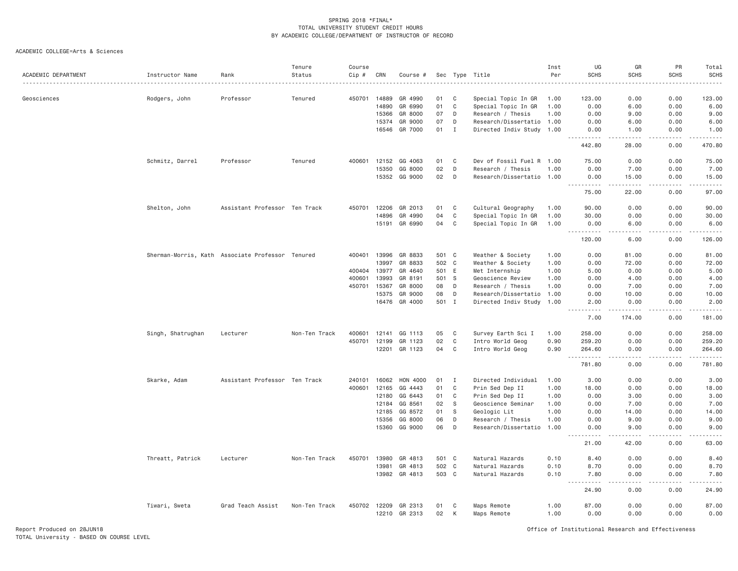| ACADEMIC DEPARTMENT | Instructor Name                                  | Rank                          | Tenure<br>Status | Course<br>Cip # | CRN   | Course #      |       |              | Sec Type Title            | Inst<br>Per | UG<br><b>SCHS</b>                                                                                                                                                                                                                                                                                                                                                                                                                                                                                                                                                                                                | GR<br><b>SCHS</b>                                                                                                                                             | PR<br><b>SCHS</b> | Total<br><b>SCHS</b><br>. |
|---------------------|--------------------------------------------------|-------------------------------|------------------|-----------------|-------|---------------|-------|--------------|---------------------------|-------------|------------------------------------------------------------------------------------------------------------------------------------------------------------------------------------------------------------------------------------------------------------------------------------------------------------------------------------------------------------------------------------------------------------------------------------------------------------------------------------------------------------------------------------------------------------------------------------------------------------------|---------------------------------------------------------------------------------------------------------------------------------------------------------------|-------------------|---------------------------|
| Geosciences         | Rodgers, John                                    | Professor                     | Tenured          | 450701          | 14889 | GR 4990       | 01    | C            | Special Topic In GR       | 1.00        | 123.00                                                                                                                                                                                                                                                                                                                                                                                                                                                                                                                                                                                                           | 0.00                                                                                                                                                          | 0.00              | 123.00                    |
|                     |                                                  |                               |                  |                 | 14890 | GR 6990       | 01    | C            | Special Topic In GR       | 1.00        | 0.00                                                                                                                                                                                                                                                                                                                                                                                                                                                                                                                                                                                                             | 6.00                                                                                                                                                          | 0.00              | 6.00                      |
|                     |                                                  |                               |                  |                 | 15366 | GR 8000       | 07    | D            | Research / Thesis         | 1.00        | 0.00                                                                                                                                                                                                                                                                                                                                                                                                                                                                                                                                                                                                             | 9.00                                                                                                                                                          | 0.00              | 9.00                      |
|                     |                                                  |                               |                  |                 | 15374 | GR 9000       | 07    | D            | Research/Dissertatio 1.00 |             | 0.00                                                                                                                                                                                                                                                                                                                                                                                                                                                                                                                                                                                                             | 6.00                                                                                                                                                          | 0.00              | 6.00                      |
|                     |                                                  |                               |                  |                 | 16546 | GR 7000       | 01    | $\mathbf{I}$ | Directed Indiv Study 1.00 |             | 0.00                                                                                                                                                                                                                                                                                                                                                                                                                                                                                                                                                                                                             | 1.00                                                                                                                                                          | 0.00              | 1.00                      |
|                     |                                                  |                               |                  |                 |       |               |       |              |                           |             | $\frac{1}{2} \left( \frac{1}{2} \right) \left( \frac{1}{2} \right) \left( \frac{1}{2} \right) \left( \frac{1}{2} \right) \left( \frac{1}{2} \right)$<br>$\frac{1}{2} \left( \frac{1}{2} \right) + \frac{1}{2} \left( \frac{1}{2} \right) + \frac{1}{2} \left( \frac{1}{2} \right) + \frac{1}{2} \left( \frac{1}{2} \right) + \frac{1}{2} \left( \frac{1}{2} \right) + \frac{1}{2} \left( \frac{1}{2} \right) + \frac{1}{2} \left( \frac{1}{2} \right) + \frac{1}{2} \left( \frac{1}{2} \right) + \frac{1}{2} \left( \frac{1}{2} \right) + \frac{1}{2} \left( \frac{1}{2} \right) + \frac{1}{2} \left($<br>442.80 | -----<br>28.00                                                                                                                                                | .<br>0.00         | .<br>470.80               |
|                     | Schmitz, Darrel                                  | Professor                     | Tenured          | 400601          | 12152 | GG 4063       | 01    | C            | Dev of Fossil Fuel R 1.00 |             | 75.00                                                                                                                                                                                                                                                                                                                                                                                                                                                                                                                                                                                                            | 0.00                                                                                                                                                          | 0.00              | 75.00                     |
|                     |                                                  |                               |                  |                 | 15350 | GG 8000       | 02    | D            | Research / Thesis         | 1.00        | 0.00                                                                                                                                                                                                                                                                                                                                                                                                                                                                                                                                                                                                             | 7.00                                                                                                                                                          | 0.00              | 7.00                      |
|                     |                                                  |                               |                  |                 |       | 15352 GG 9000 | 02    | D            | Research/Dissertatio 1.00 |             | 0.00<br>.                                                                                                                                                                                                                                                                                                                                                                                                                                                                                                                                                                                                        | 15.00<br>$\frac{1}{2} \left( \frac{1}{2} \right) \left( \frac{1}{2} \right) \left( \frac{1}{2} \right) \left( \frac{1}{2} \right) \left( \frac{1}{2} \right)$ | 0.00<br>.         | 15.00<br>.                |
|                     |                                                  |                               |                  |                 |       |               |       |              |                           |             | 75.00                                                                                                                                                                                                                                                                                                                                                                                                                                                                                                                                                                                                            | 22.00                                                                                                                                                         | 0.00              | 97.00                     |
|                     | Shelton, John                                    | Assistant Professor Ten Track |                  | 450701          | 12206 | GR 2013       | 01    | C            | Cultural Geography        | 1.00        | 90.00                                                                                                                                                                                                                                                                                                                                                                                                                                                                                                                                                                                                            | 0.00                                                                                                                                                          | 0.00              | 90.00                     |
|                     |                                                  |                               |                  |                 | 14896 | GR 4990       | 04    | $\mathbf C$  | Special Topic In GR       | 1.00        | 30.00                                                                                                                                                                                                                                                                                                                                                                                                                                                                                                                                                                                                            | 0.00                                                                                                                                                          | 0.00              | 30.00                     |
|                     |                                                  |                               |                  |                 | 15191 | GR 6990       | 04    | C            | Special Topic In GR       | 1.00        | 0.00<br>$\sim$ $\sim$ $\sim$<br>.                                                                                                                                                                                                                                                                                                                                                                                                                                                                                                                                                                                | 6.00<br>$   -$                                                                                                                                                | 0.00<br>.         | 6.00<br>.                 |
|                     |                                                  |                               |                  |                 |       |               |       |              |                           |             | 120.00                                                                                                                                                                                                                                                                                                                                                                                                                                                                                                                                                                                                           | 6.00                                                                                                                                                          | 0.00              | 126.00                    |
|                     | Sherman-Morris, Kath Associate Professor Tenured |                               |                  | 400401          | 13996 | GR 8833       | 501 C |              | Weather & Society         | 1.00        | 0.00                                                                                                                                                                                                                                                                                                                                                                                                                                                                                                                                                                                                             | 81.00                                                                                                                                                         | 0.00              | 81.00                     |
|                     |                                                  |                               |                  |                 | 13997 | GR 8833       | 502 C |              | Weather & Society         | 1.00        | 0.00                                                                                                                                                                                                                                                                                                                                                                                                                                                                                                                                                                                                             | 72.00                                                                                                                                                         | 0.00              | 72.00                     |
|                     |                                                  |                               |                  | 400404          | 13977 | GR 4640       | 501 E |              | Met Internship            | 1.00        | 5.00                                                                                                                                                                                                                                                                                                                                                                                                                                                                                                                                                                                                             | 0.00                                                                                                                                                          | 0.00              | 5.00                      |
|                     |                                                  |                               |                  | 400601          | 13993 | GR 8191       | 501 S |              | Geoscience Review         | 1.00        | 0.00                                                                                                                                                                                                                                                                                                                                                                                                                                                                                                                                                                                                             | 4.00                                                                                                                                                          | 0.00              | 4.00                      |
|                     |                                                  |                               |                  | 450701          | 15367 | GR 8000       | 08    | D            | Research / Thesis         | 1.00        | 0.00                                                                                                                                                                                                                                                                                                                                                                                                                                                                                                                                                                                                             | 7.00                                                                                                                                                          | 0.00              | 7.00                      |
|                     |                                                  |                               |                  |                 | 15375 | GR 9000       | 08    | D            | Research/Dissertatio      | 1.00        | 0.00                                                                                                                                                                                                                                                                                                                                                                                                                                                                                                                                                                                                             | 10.00                                                                                                                                                         | 0.00              | 10.00                     |
|                     |                                                  |                               |                  |                 |       | 16476 GR 4000 | 501 I |              | Directed Indiv Study 1.00 |             | 2.00                                                                                                                                                                                                                                                                                                                                                                                                                                                                                                                                                                                                             | 0.00                                                                                                                                                          | 0.00              | 2.00                      |
|                     |                                                  |                               |                  |                 |       |               |       |              |                           |             | <u>.</u><br>7.00                                                                                                                                                                                                                                                                                                                                                                                                                                                                                                                                                                                                 | .<br>174.00                                                                                                                                                   | .<br>0.00         | .<br>181.00               |
|                     | Singh, Shatrughan                                | Lecturer                      | Non-Ten Track    | 400601          | 12141 | GG 1113       | 05    | C            | Survey Earth Sci I        | 1,00        | 258.00                                                                                                                                                                                                                                                                                                                                                                                                                                                                                                                                                                                                           | 0.00                                                                                                                                                          | 0.00              | 258.00                    |
|                     |                                                  |                               |                  | 450701          | 12199 | GR 1123       | 02    | $\mathbf C$  | Intro World Geog          | 0.90        | 259.20                                                                                                                                                                                                                                                                                                                                                                                                                                                                                                                                                                                                           | 0.00                                                                                                                                                          | 0.00              | 259.20                    |
|                     |                                                  |                               |                  |                 | 12201 | GR 1123       | 04    | C            | Intro World Geog          | 0.90        | 264.60                                                                                                                                                                                                                                                                                                                                                                                                                                                                                                                                                                                                           | 0.00                                                                                                                                                          | 0.00              | 264.60                    |
|                     |                                                  |                               |                  |                 |       |               |       |              |                           |             | .<br>$\sim$ $\sim$ $\sim$<br>781.80                                                                                                                                                                                                                                                                                                                                                                                                                                                                                                                                                                              | $\frac{1}{2} \frac{1}{2} \frac{1}{2} \frac{1}{2} \frac{1}{2} \frac{1}{2} \frac{1}{2}$<br>0.00                                                                 | .<br>0.00         | .<br>781.80               |
|                     | Skarke, Adam                                     | Assistant Professor Ten Track |                  | 240101          | 16062 | HON 4000      | 01    | I            | Directed Individual       | 1.00        | 3.00                                                                                                                                                                                                                                                                                                                                                                                                                                                                                                                                                                                                             | 0.00                                                                                                                                                          | 0.00              | 3.00                      |
|                     |                                                  |                               |                  | 400601          | 12165 | GG 4443       | 01    | C            | Prin Sed Dep II           | 1.00        | 18.00                                                                                                                                                                                                                                                                                                                                                                                                                                                                                                                                                                                                            | 0.00                                                                                                                                                          | 0.00              | 18.00                     |
|                     |                                                  |                               |                  |                 | 12180 | GG 6443       | 01    | $\mathbf C$  | Prin Sed Dep II           | 1.00        | 0.00                                                                                                                                                                                                                                                                                                                                                                                                                                                                                                                                                                                                             | 3.00                                                                                                                                                          | 0.00              | 3.00                      |
|                     |                                                  |                               |                  |                 | 12184 | GG 8561       | 02    | - S          | Geoscience Seminar        | 1.00        | 0.00                                                                                                                                                                                                                                                                                                                                                                                                                                                                                                                                                                                                             | 7.00                                                                                                                                                          | 0.00              | 7.00                      |
|                     |                                                  |                               |                  |                 | 12185 | GG 8572       | 01    | S.           | Geologic Lit              | 1.00        | 0.00                                                                                                                                                                                                                                                                                                                                                                                                                                                                                                                                                                                                             | 14.00                                                                                                                                                         | 0.00              | 14.00                     |
|                     |                                                  |                               |                  |                 | 15356 | GG 8000       | 06    | D            | Research / Thesis         | 1.00        | 0.00                                                                                                                                                                                                                                                                                                                                                                                                                                                                                                                                                                                                             | 9.00                                                                                                                                                          | 0.00              | 9.00                      |
|                     |                                                  |                               |                  |                 | 15360 | GG 9000       | 06    | D            | Research/Dissertatio 1.00 |             | 0.00<br>$  -$<br>.                                                                                                                                                                                                                                                                                                                                                                                                                                                                                                                                                                                               | 9.00<br>-----                                                                                                                                                 | 0.00<br>.         | 9.00<br>.                 |
|                     |                                                  |                               |                  |                 |       |               |       |              |                           |             | 21.00                                                                                                                                                                                                                                                                                                                                                                                                                                                                                                                                                                                                            | 42.00                                                                                                                                                         | 0.00              | 63.00                     |
|                     | Threatt, Patrick                                 | Lecturer                      | Non-Ten Track    | 450701          | 13980 | GR 4813       | 501 C |              | Natural Hazards           | 0.10        | 8,40                                                                                                                                                                                                                                                                                                                                                                                                                                                                                                                                                                                                             | 0.00                                                                                                                                                          | 0.00              | 8,40                      |
|                     |                                                  |                               |                  |                 | 13981 | GR 4813       | 502 C |              | Natural Hazards           | 0.10        | 8.70                                                                                                                                                                                                                                                                                                                                                                                                                                                                                                                                                                                                             | 0.00                                                                                                                                                          | 0.00              | 8.70                      |
|                     |                                                  |                               |                  |                 |       | 13982 GR 4813 | 503 C |              | Natural Hazards           | 0.10        | 7.80<br>.<br>$  -$                                                                                                                                                                                                                                                                                                                                                                                                                                                                                                                                                                                               | 0.00<br>-----                                                                                                                                                 | 0.00<br>.         | 7.80<br>.                 |
|                     |                                                  |                               |                  |                 |       |               |       |              |                           |             | 24.90                                                                                                                                                                                                                                                                                                                                                                                                                                                                                                                                                                                                            | 0.00                                                                                                                                                          | 0.00              | 24.90                     |
|                     | Tiwari, Sweta                                    | Grad Teach Assist             | Non-Ten Track    | 450702          | 12209 | GR 2313       | 01    | C            | Maps Remote               | 1.00        | 87.00                                                                                                                                                                                                                                                                                                                                                                                                                                                                                                                                                                                                            | 0.00                                                                                                                                                          | 0.00              | 87.00                     |
|                     |                                                  |                               |                  |                 |       | 12210 GR 2313 | 02    | К            | Maps Remote               | 1.00        | 0.00                                                                                                                                                                                                                                                                                                                                                                                                                                                                                                                                                                                                             | 0.00                                                                                                                                                          | 0.00              | 0.00                      |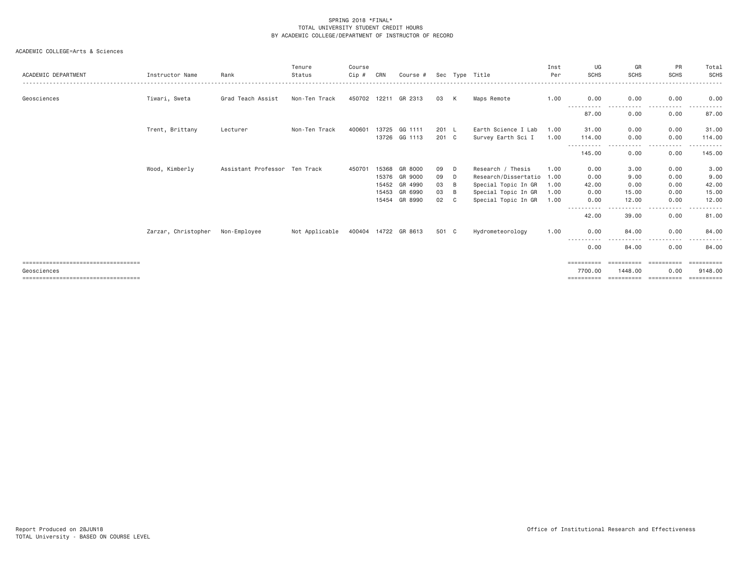| ACADEMIC DEPARTMENT                    | Instructor Name     | Rank                          | Tenure<br>Status | Course<br>Cip # | CRN   | Course #                 |                |     | Sec Type Title                            | Inst<br>Per  | UG<br><b>SCHS</b>    | GR<br><b>SCHS</b> | PR<br><b>SCHS</b>    | Total<br>SCHS     |
|----------------------------------------|---------------------|-------------------------------|------------------|-----------------|-------|--------------------------|----------------|-----|-------------------------------------------|--------------|----------------------|-------------------|----------------------|-------------------|
| Geosciences                            | Tiwari, Sweta       | Grad Teach Assist             | Non-Ten Track    |                 |       | 450702 12211 GR 2313     | 03 K           |     | Maps Remote                               | 1.00         | 0.00                 | 0.00              | 0.00                 | 0.00              |
|                                        |                     |                               |                  |                 |       |                          |                |     |                                           |              | -----------<br>87.00 | .<br>0.00         | .<br>0.00            | 87.00             |
|                                        | Trent, Brittany     | Lecturer                      | Non-Ten Track    | 400601          | 13725 | GG 1111<br>13726 GG 1113 | 201 L<br>201 C |     | Earth Science I Lab<br>Survey Earth Sci I | 1.00<br>1.00 | 31.00<br>114.00      | 0.00<br>0.00      | 0.00<br>0.00         | 31.00<br>114.00   |
|                                        |                     |                               |                  |                 |       |                          |                |     |                                           |              | 145.00               | - - - -<br>0.00   | . <u>. .</u><br>0.00 | -------<br>145.00 |
|                                        | Wood, Kimberly      | Assistant Professor Ten Track |                  | 450701          | 15368 | GR 8000                  | 09             | D   | Research / Thesis                         | 1.00         | 0.00                 | 3.00              | 0.00                 | 3.00              |
|                                        |                     |                               |                  |                 |       | 15376 GR 9000            | 09             | D   | Research/Dissertatio 1.00                 |              | 0.00                 | 9.00              | 0.00                 | 9.00              |
|                                        |                     |                               |                  |                 | 15452 | GR 4990                  | 03             | - B | Special Topic In GR                       | 1.00         | 42.00                | 0.00              | 0.00                 | 42.00             |
|                                        |                     |                               |                  |                 | 15453 | GR 6990                  | 03             | B   | Special Topic In GR                       | 1.00         | 0.00                 | 15.00             | 0.00                 | 15.00             |
|                                        |                     |                               |                  |                 | 15454 | GR 8990                  | 02             | C.  | Special Topic In GR                       | 1.00         | 0.00                 | 12,00             | 0.00                 | 12,00             |
|                                        |                     |                               |                  |                 |       |                          |                |     |                                           |              | -----------<br>42.00 | $\cdots$<br>39.00 | .<br>0.00            | .<br>81.00        |
|                                        | Zarzar, Christopher | Non-Employee                  | Not Applicable   |                 |       | 400404 14722 GR 8613     | 501 C          |     | Hydrometeorology                          | 1.00         | 0.00                 | 84.00             | 0.00                 | 84.00             |
|                                        |                     |                               |                  |                 |       |                          |                |     |                                           |              | .<br>$  -$<br>0.00   | 84.00             | 0.00                 | 84,00             |
| =====================================  |                     |                               |                  |                 |       |                          |                |     |                                           |              |                      | ==========        | ==========           | ==========        |
| Geosciences                            |                     |                               |                  |                 |       |                          |                |     |                                           |              | 7700.00              | 1448.00           | 0.00                 | 9148.00           |
| ====================================== |                     |                               |                  |                 |       |                          |                |     |                                           |              |                      | ==========        | ==========           | ==========        |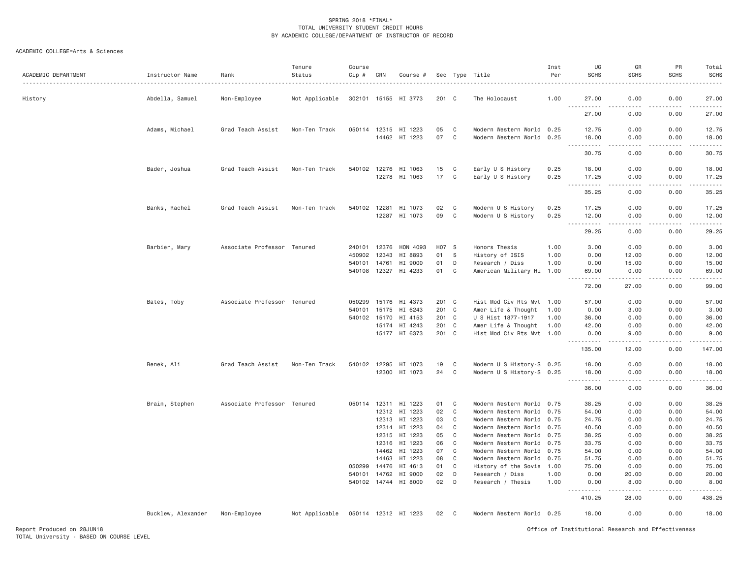| ACADEMIC DEPARTMENT | Instructor Name    | Rank                        | Tenure<br>Status | Course<br>Cip # | CRN                   | Course #                              |               |              | Sec Type Title                                         | Inst<br>Per  | UG<br><b>SCHS</b>                           | GR<br><b>SCHS</b>            | PR<br><b>SCHS</b>                                                                                                                                                                    | Total<br><b>SCHS</b><br>.                                                                                                                                                                |
|---------------------|--------------------|-----------------------------|------------------|-----------------|-----------------------|---------------------------------------|---------------|--------------|--------------------------------------------------------|--------------|---------------------------------------------|------------------------------|--------------------------------------------------------------------------------------------------------------------------------------------------------------------------------------|------------------------------------------------------------------------------------------------------------------------------------------------------------------------------------------|
| History             | Abdella, Samuel    | Non-Employee                | Not Applicable   |                 |                       | 302101 15155 HI 3773                  | $201 \quad C$ |              | The Holocaust                                          | 1.00         | 27.00<br>$\frac{1}{2}$<br>.                 | 0.00                         | 0.00                                                                                                                                                                                 | 27,00<br>.                                                                                                                                                                               |
|                     |                    |                             |                  |                 |                       |                                       |               |              |                                                        |              | 27,00                                       | 0.00                         | 0.00                                                                                                                                                                                 | 27.00                                                                                                                                                                                    |
|                     | Adams, Michael     | Grad Teach Assist           | Non-Ten Track    |                 |                       | 050114 12315 HI 1223                  | 05            | $\mathtt{C}$ | Modern Western World 0.25                              |              | 12.75                                       | 0.00                         | 0.00                                                                                                                                                                                 | 12.75                                                                                                                                                                                    |
|                     |                    |                             |                  |                 |                       | 14462 HI 1223                         | 07            | $\mathbf C$  | Modern Western World 0.25                              |              | 18.00<br>$\sim$ $\sim$ $\sim$<br>. <b>.</b> | 0.00<br>.                    | 0.00<br>$\frac{1}{2}$                                                                                                                                                                | 18.00<br>.                                                                                                                                                                               |
|                     |                    |                             |                  |                 |                       |                                       |               |              |                                                        |              | 30.75                                       | 0.00                         | 0.00                                                                                                                                                                                 | 30.75                                                                                                                                                                                    |
|                     | Bader, Joshua      | Grad Teach Assist           | Non-Ten Track    |                 |                       | 540102 12276 HI 1063                  | 15            | C            | Early U S History                                      | 0.25         | 18,00                                       | 0.00                         | 0.00                                                                                                                                                                                 | 18.00                                                                                                                                                                                    |
|                     |                    |                             |                  |                 | 12278                 | HI 1063                               | 17            | C            | Early U S History                                      | 0.25         | 17.25<br><b></b>                            | 0.00<br>22222                | 0.00<br>. <b>.</b>                                                                                                                                                                   | 17.25<br>.                                                                                                                                                                               |
|                     |                    |                             |                  |                 |                       |                                       |               |              |                                                        |              | 35.25                                       | 0.00                         | 0.00                                                                                                                                                                                 | 35.25                                                                                                                                                                                    |
|                     | Banks, Rachel      | Grad Teach Assist           | Non-Ten Track    | 540102          | 12281                 | HI 1073                               | 02            | C            | Modern U S History                                     | 0.25         | 17.25                                       | 0.00                         | 0.00                                                                                                                                                                                 | 17.25                                                                                                                                                                                    |
|                     |                    |                             |                  |                 |                       | 12287 HI 1073                         | 09            | $\mathbf C$  | Modern U S History                                     | 0.25         | 12.00<br><u>.</u>                           | 0.00<br>$\omega$ is a set of | 0.00<br>$\mathcal{L}^{\mathcal{L}}\left( \mathcal{L}^{\mathcal{L}}\left( \mathcal{L}^{\mathcal{L}}\right) \right) =\mathcal{L}^{\mathcal{L}}\left( \mathcal{L}^{\mathcal{L}}\right)$ | 12.00<br>$\frac{1}{2} \left( \frac{1}{2} \right) \left( \frac{1}{2} \right) \left( \frac{1}{2} \right) \left( \frac{1}{2} \right) \left( \frac{1}{2} \right) \left( \frac{1}{2} \right)$ |
|                     |                    |                             |                  |                 |                       |                                       |               |              |                                                        |              | 29.25                                       | 0.00                         | 0.00                                                                                                                                                                                 | 29.25                                                                                                                                                                                    |
|                     | Barbier, Mary      | Associate Professor Tenured |                  | 240101          | 12376                 | HON 4093                              | H07           | <b>S</b>     | Honors Thesis                                          | 1,00         | 3,00                                        | 0.00                         | 0.00                                                                                                                                                                                 | 3.00                                                                                                                                                                                     |
|                     |                    |                             |                  | 450902          | 12343                 | HI 8893                               | 01            | - S          | History of ISIS                                        | 1.00         | 0.00                                        | 12.00                        | 0.00                                                                                                                                                                                 | 12.00                                                                                                                                                                                    |
|                     |                    |                             |                  | 540101          | 14761<br>540108 12327 | HI 9000<br>HI 4233                    | 01<br>01      | D<br>C       | Research / Diss<br>American Military Hi 1.00           | 1.00         | 0.00<br>69.00                               | 15.00<br>0.00                | 0.00<br>0.00                                                                                                                                                                         | 15.00<br>69.00                                                                                                                                                                           |
|                     |                    |                             |                  |                 |                       |                                       |               |              |                                                        |              | .<br>72.00                                  | .<br>27.00                   | .<br>0.00                                                                                                                                                                            | .<br>99.00                                                                                                                                                                               |
|                     | Bates, Toby        | Associate Professor Tenured |                  | 050299          | 15176                 | HI 4373                               | 201 C         |              | Hist Mod Civ Rts Mvt 1.00                              |              | 57.00                                       | 0.00                         | 0.00                                                                                                                                                                                 | 57.00                                                                                                                                                                                    |
|                     |                    |                             |                  | 540101          | 15175                 | HI 6243                               | 201 C         |              | Amer Life & Thought                                    | 1.00         | 0.00                                        | 3.00                         | 0.00                                                                                                                                                                                 | 3.00                                                                                                                                                                                     |
|                     |                    |                             |                  | 540102          | 15170                 | HI 4153                               | 201           | $\mathbf{C}$ | U S Hist 1877-1917                                     | 1,00         | 36.00                                       | 0.00                         | 0.00                                                                                                                                                                                 | 36.00                                                                                                                                                                                    |
|                     |                    |                             |                  |                 |                       | 15174 HI 4243<br>15177 HI 6373        | 201<br>201 C  | $\mathbf{C}$ | Amer Life & Thought<br>Hist Mod Civ Rts Mvt 1.00       | 1.00         | 42.00<br>0.00                               | 0.00<br>9.00                 | 0.00<br>0.00                                                                                                                                                                         | 42.00<br>9.00                                                                                                                                                                            |
|                     |                    |                             |                  |                 |                       |                                       |               |              |                                                        |              | .                                           | $\frac{1}{2}$                | .                                                                                                                                                                                    | .                                                                                                                                                                                        |
|                     |                    |                             |                  |                 |                       |                                       |               |              |                                                        |              | 135.00                                      | 12.00                        | 0.00                                                                                                                                                                                 | 147.00                                                                                                                                                                                   |
|                     | Benek, Ali         | Grad Teach Assist           | Non-Ten Track    |                 |                       | 540102 12295 HI 1073<br>12300 HI 1073 | 19<br>24      | C<br>C       | Modern U S History-S 0.25<br>Modern U S History-S 0.25 |              | 18.00<br>18.00                              | 0.00<br>0.00                 | 0.00<br>0.00                                                                                                                                                                         | 18.00<br>18.00                                                                                                                                                                           |
|                     |                    |                             |                  |                 |                       |                                       |               |              |                                                        |              | <b>.</b><br>36.00                           | .<br>0.00                    | .<br>0.00                                                                                                                                                                            | .<br>36.00                                                                                                                                                                               |
|                     |                    |                             |                  |                 |                       |                                       |               |              |                                                        |              |                                             |                              |                                                                                                                                                                                      |                                                                                                                                                                                          |
|                     | Brain, Stephen     | Associate Professor Tenured |                  |                 |                       | 050114 12311 HI 1223<br>12312 HI 1223 | 01<br>02      | C<br>C       | Modern Western World 0.75<br>Modern Western World 0.75 |              | 38.25<br>54.00                              | 0.00<br>0.00                 | 0.00<br>0.00                                                                                                                                                                         | 38.25<br>54.00                                                                                                                                                                           |
|                     |                    |                             |                  |                 |                       | 12313 HI 1223                         | 03            | C            | Modern Western World 0.75                              |              | 24.75                                       | 0.00                         | 0.00                                                                                                                                                                                 | 24.75                                                                                                                                                                                    |
|                     |                    |                             |                  |                 |                       | 12314 HI 1223                         | 04            | C            | Modern Western World 0.75                              |              | 40.50                                       | 0.00                         | 0.00                                                                                                                                                                                 | 40.50                                                                                                                                                                                    |
|                     |                    |                             |                  |                 | 12315                 | HI 1223                               | 05            | C            | Modern Western World 0.75                              |              | 38.25                                       | 0.00                         | 0.00                                                                                                                                                                                 | 38.25                                                                                                                                                                                    |
|                     |                    |                             |                  |                 | 12316                 | HI 1223                               | 06            | C            | Modern Western World 0.75                              |              | 33.75                                       | 0.00                         | 0.00                                                                                                                                                                                 | 33.75                                                                                                                                                                                    |
|                     |                    |                             |                  |                 | 14462                 | HI 1223                               | 07            | $\mathsf{C}$ | Modern Western World 0.75                              |              | 54.00                                       | 0.00                         | 0.00                                                                                                                                                                                 | 54.00                                                                                                                                                                                    |
|                     |                    |                             |                  |                 | 14463                 | HI 1223                               | 08            | C            | Modern Western World 0.75                              |              | 51.75                                       | 0.00                         | 0.00                                                                                                                                                                                 | 51.75                                                                                                                                                                                    |
|                     |                    |                             |                  | 050299          | 14476                 | HI 4613                               | 01            | C            | History of the Sovie 1.00                              |              | 75.00                                       | 0.00                         | 0.00                                                                                                                                                                                 | 75.00                                                                                                                                                                                    |
|                     |                    |                             |                  | 540101          | 14762                 | HI 9000<br>540102 14744 HI 8000       | 02<br>02      | D<br>D       | Research / Diss<br>Research / Thesis                   | 1.00<br>1.00 | 0.00<br>0.00                                | 20.00<br>8,00                | 0.00<br>0.00                                                                                                                                                                         | 20.00<br>8.00                                                                                                                                                                            |
|                     |                    |                             |                  |                 |                       |                                       |               |              |                                                        |              | .                                           | -----                        | .                                                                                                                                                                                    | .                                                                                                                                                                                        |
|                     |                    |                             |                  |                 |                       |                                       |               |              |                                                        |              | 410.25                                      | 28.00                        | 0.00                                                                                                                                                                                 | 438.25                                                                                                                                                                                   |
|                     | Bucklew, Alexander | Non-Employee                | Not Applicable   |                 |                       | 050114 12312 HI 1223                  | 02            | C            | Modern Western World 0.25                              |              | 18.00                                       | 0.00                         | 0.00                                                                                                                                                                                 | 18.00                                                                                                                                                                                    |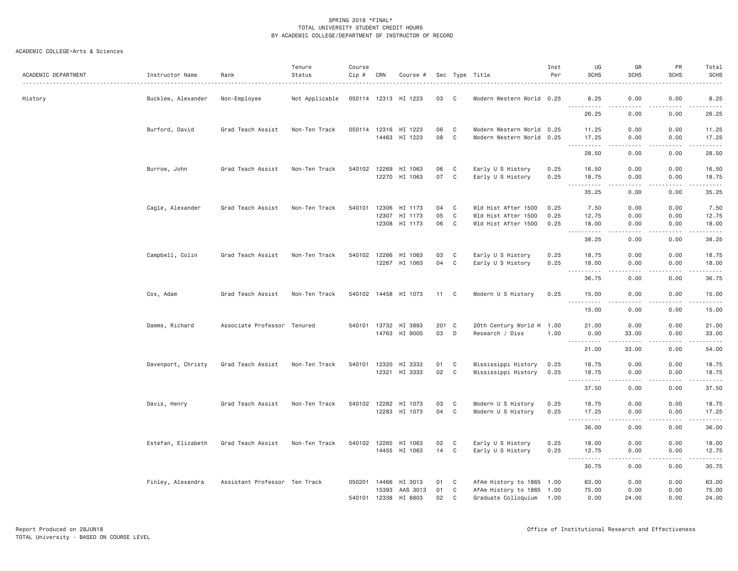| ACADEMIC DEPARTMENT | Instructor Name    | Rank                          | Tenure<br>Status | Course<br>Cip # | CRN            | Course #                              |           |                             | Sec Type Title                                         | Inst<br>Per  | UG<br><b>SCHS</b>                                       | GR<br><b>SCHS</b>                                                                                                                 | PR<br><b>SCHS</b>                                                                                                                            | Total<br><b>SCHS</b> |
|---------------------|--------------------|-------------------------------|------------------|-----------------|----------------|---------------------------------------|-----------|-----------------------------|--------------------------------------------------------|--------------|---------------------------------------------------------|-----------------------------------------------------------------------------------------------------------------------------------|----------------------------------------------------------------------------------------------------------------------------------------------|----------------------|
| History             | Bucklew, Alexander | Non-Employee                  | Not Applicable   |                 |                | 050114 12313 HI 1223                  | 03        | C.                          | Modern Western World 0.25                              |              | 8.25                                                    | 0.00<br>$\frac{1}{2}$                                                                                                             | 0.00<br>.                                                                                                                                    | 8.25                 |
|                     |                    |                               |                  |                 |                |                                       |           |                             |                                                        |              | <b></b><br>26.25                                        | 0.00                                                                                                                              | 0.00                                                                                                                                         | .<br>26.25           |
|                     | Burford, David     | Grad Teach Assist             | Non-Ten Track    |                 |                | 050114 12316 HI 1223<br>14463 HI 1223 | 06<br>08  | C<br>$\mathbf C$            | Modern Western World 0.25<br>Modern Western World 0.25 |              | 11.25<br>17.25                                          | 0.00<br>0.00                                                                                                                      | 0.00<br>0.00                                                                                                                                 | 11.25<br>17.25       |
|                     |                    |                               |                  |                 |                |                                       |           |                             |                                                        |              | $\sim$ $\sim$ $\sim$<br>.<br>28.50                      | .<br>0.00                                                                                                                         | .<br>0.00                                                                                                                                    | .<br>28.50           |
|                     | Burrow, John       | Grad Teach Assist             | Non-Ten Track    |                 | 540102 12269   | HI 1063<br>12270 HI 1063              | 06<br>07  | C<br>$\mathbf C$            | Early U S History<br>Early U S History                 | 0.25<br>0.25 | 16.50<br>18.75                                          | 0.00<br>0.00                                                                                                                      | 0.00<br>0.00                                                                                                                                 | 16.50<br>18.75       |
|                     |                    |                               |                  |                 |                |                                       |           |                             |                                                        |              | .<br>35.25                                              | $\sim$ $\sim$ $\sim$<br>0.00                                                                                                      | .<br>0.00                                                                                                                                    | .<br>35.25           |
|                     | Cagle, Alexander   | Grad Teach Assist             | Non-Ten Track    | 540101          | 12306<br>12307 | HI 1173<br>HI 1173                    | 04<br>05  | C<br>$\mathbf C$            | Wld Hist After 1500<br>Wld Hist After 1500             | 0.25<br>0.25 | 7.50<br>12.75                                           | 0.00<br>0.00                                                                                                                      | 0.00<br>0.00                                                                                                                                 | 7.50<br>12.75        |
|                     |                    |                               |                  |                 |                | 12308 HI 1173                         | 06        | $\mathbf C$                 | Wld Hist After 1500                                    | 0.25         | 18.00<br>.                                              | 0.00<br>$\frac{1}{2} \left( \frac{1}{2} \right) \left( \frac{1}{2} \right) \left( \frac{1}{2} \right) \left( \frac{1}{2} \right)$ | 0.00<br>.                                                                                                                                    | 18.00<br>.           |
|                     |                    |                               |                  |                 |                |                                       |           |                             |                                                        |              | 38.25                                                   | 0.00                                                                                                                              | 0.00                                                                                                                                         | 38.25                |
|                     | Campbell, Colin    | Grad Teach Assist             | Non-Ten Track    | 540102          | 12266          | HI 1063<br>12267 HI 1063              | 03<br>04  | C<br>C                      | Early U S History<br>Early U S History                 | 0.25<br>0.25 | 18.75<br>18.00                                          | 0.00<br>0.00                                                                                                                      | 0.00<br>0.00                                                                                                                                 | 18.75<br>18.00       |
|                     |                    |                               |                  |                 |                |                                       |           |                             |                                                        |              | $\sim$ $\sim$ $\sim$<br><b><i><u>.</u></i></b><br>36.75 | .<br>0.00                                                                                                                         | .<br>0.00                                                                                                                                    | .<br>36.75           |
|                     | Cox, Adam          | Grad Teach Assist             | Non-Ten Track    |                 |                | 540102 14458 HI 1073                  | 11 C      |                             | Modern U S History                                     | 0.25         | 15.00                                                   | 0.00                                                                                                                              | 0.00                                                                                                                                         | 15.00                |
|                     |                    |                               |                  |                 |                |                                       |           |                             |                                                        |              | <u>.</u><br>15.00                                       | $\sim$ $\sim$ $\sim$<br>0.00                                                                                                      | $\mathcal{L}^{\mathcal{A}}\left( \mathcal{A}^{\mathcal{A}}\right) =\mathcal{L}^{\mathcal{A}}\left( \mathcal{A}^{\mathcal{A}}\right)$<br>0.00 | ------<br>15.00      |
|                     | Damms, Richard     | Associate Professor Tenured   |                  |                 | 540101 13732   | HI 3893<br>14763 HI 9000              | 201<br>03 | $\mathbf{C}$<br>D           | 20th Century World H 1.00<br>Research / Diss           | 1.00         | 21.00<br>0.00                                           | 0.00<br>33.00                                                                                                                     | 0.00<br>0.00                                                                                                                                 | 21.00<br>33.00       |
|                     |                    |                               |                  |                 |                |                                       |           |                             |                                                        |              | <b><i><u>AAAAAAAAAA</u></i></b><br>21.00                | .<br>33.00                                                                                                                        | .<br>0.00                                                                                                                                    | .<br>54.00           |
|                     | Davenport, Christy | Grad Teach Assist             | Non-Ten Track    |                 |                | 540101 12320 HI 3333                  | 01        | C                           | Mississippi History                                    | 0.25         | 18.75                                                   | 0.00                                                                                                                              | 0.00                                                                                                                                         | 18.75                |
|                     |                    |                               |                  |                 | 12321          | HI 3333                               | 02        | $\mathbf C$                 | Mississippi History                                    | 0.25         | 18.75<br>$\sim$ $\sim$ $\sim$<br>.                      | 0.00<br>$\sim$ $\sim$ $\sim$ $\sim$                                                                                               | 0.00<br>.                                                                                                                                    | 18.75<br>.           |
|                     |                    |                               |                  |                 |                |                                       |           |                             |                                                        |              | 37.50                                                   | 0.00                                                                                                                              | 0.00                                                                                                                                         | 37.50                |
|                     | Davis, Henry       | Grad Teach Assist             | Non-Ten Track    |                 | 540102 12282   | HI 1073<br>12283 HI 1073              | 03<br>04  | C<br>$\mathbf C$            | Modern U S History<br>Modern U S History               | 0.25<br>0.25 | 18.75<br>17.25                                          | 0.00<br>0.00                                                                                                                      | 0.00<br>0.00                                                                                                                                 | 18.75<br>17.25       |
|                     |                    |                               |                  |                 |                |                                       |           |                             |                                                        |              | <u>.</u><br>36.00                                       | $   -$<br>0.00                                                                                                                    | .<br>0.00                                                                                                                                    | .<br>36.00           |
|                     | Estefan, Elizabeth | Grad Teach Assist             | Non-Ten Track    | 540102          | 12265          | HI 1063<br>14455 HI 1063              | 02<br>14  | C<br>C                      | Early U S History<br>Early U S History                 | 0.25<br>0.25 | 18.00<br>12.75                                          | 0.00<br>0.00                                                                                                                      | 0.00<br>0.00                                                                                                                                 | 18.00<br>12.75       |
|                     |                    |                               |                  |                 |                |                                       |           |                             |                                                        |              | $\sim$ $\sim$ .<br>.<br>30.75                           | .<br>0.00                                                                                                                         | 0.00                                                                                                                                         | .<br>30.75           |
|                     | Finley, Alexandra  | Assistant Professor Ten Track |                  |                 | 050201 14466   | HI 3013                               | 01        | $\mathbf{C}$                | AfAm History to 1865 1.00                              |              | 63.00                                                   | 0.00                                                                                                                              | 0.00                                                                                                                                         | 63.00                |
|                     |                    |                               |                  |                 | 15393          | AAS 3013<br>540101 12338 HI 8803      | 01<br>02  | $\mathbf C$<br>$\mathsf{C}$ | AfAm History to 1865 1.00<br>Graduate Colloquium       | 1.00         | 75.00<br>0.00                                           | 0.00<br>24.00                                                                                                                     | 0.00<br>0.00                                                                                                                                 | 75.00<br>24.00       |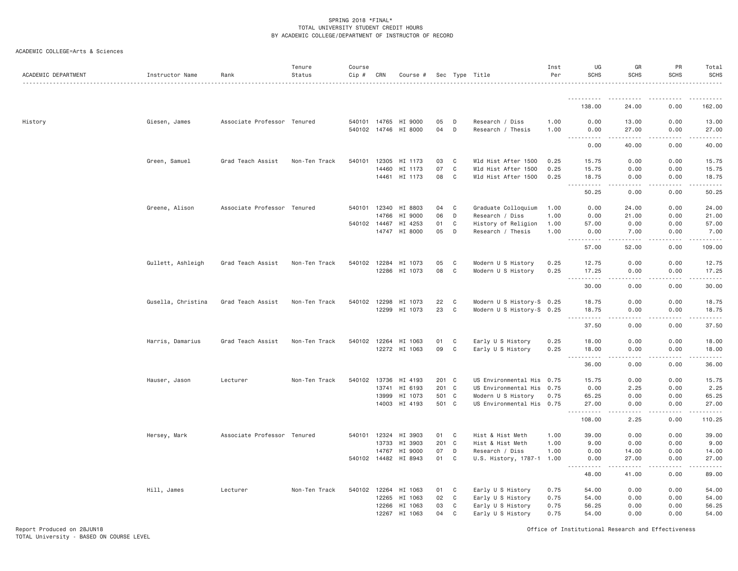| ACADEMIC DEPARTMENT | Instructor Name    | Rank                        | Tenure<br>Status | Course<br>Cip # | CRN   | Course #                                     |                |              | Sec Type Title                                  | Inst<br>Per  | UG<br><b>SCHS</b>                                                                                                                                          | GR<br><b>SCHS</b>                                                                                                                                                      | PR<br>SCHS          | Total<br><b>SCHS</b> |
|---------------------|--------------------|-----------------------------|------------------|-----------------|-------|----------------------------------------------|----------------|--------------|-------------------------------------------------|--------------|------------------------------------------------------------------------------------------------------------------------------------------------------------|------------------------------------------------------------------------------------------------------------------------------------------------------------------------|---------------------|----------------------|
|                     |                    |                             |                  |                 |       |                                              |                |              |                                                 |              | <b></b>                                                                                                                                                    |                                                                                                                                                                        |                     |                      |
|                     |                    |                             |                  |                 |       |                                              |                |              |                                                 |              | 138.00                                                                                                                                                     | 24.00                                                                                                                                                                  | 0.00                | 162.00               |
| History             | Giesen, James      | Associate Professor Tenured |                  |                 |       | 540101 14765 HI 9000<br>540102 14746 HI 8000 | 05<br>04       | D<br>D       | Research / Diss<br>Research / Thesis            | 1.00<br>1.00 | 0.00<br>0.00<br>.                                                                                                                                          | 13.00<br>27.00<br>$\frac{1}{2} \left( \frac{1}{2} \right) \left( \frac{1}{2} \right) \left( \frac{1}{2} \right) \left( \frac{1}{2} \right) \left( \frac{1}{2} \right)$ | 0.00<br>0.00<br>.   | 13.00<br>27.00<br>.  |
|                     |                    |                             |                  |                 |       |                                              |                |              |                                                 |              | 0.00                                                                                                                                                       | 40.00                                                                                                                                                                  | 0.00                | 40.00                |
|                     | Green, Samuel      | Grad Teach Assist           | Non-Ten Track    | 540101 12305    |       | HI 1173                                      | 03             | C            | Wld Hist After 1500                             | 0.25         | 15.75                                                                                                                                                      | 0.00                                                                                                                                                                   | 0.00                | 15.75                |
|                     |                    |                             |                  |                 | 14460 | HI 1173                                      | 07             | $\mathtt{C}$ | Wld Hist After 1500                             | 0.25         | 15.75                                                                                                                                                      | 0.00                                                                                                                                                                   | 0.00                | 15.75                |
|                     |                    |                             |                  |                 |       | 14461 HI 1173                                | 08             | C            | Wld Hist After 1500                             | 0.25         | 18.75<br><u>.</u>                                                                                                                                          | 0.00<br>.<br>$- - - -$                                                                                                                                                 | 0.00<br>.           | 18.75<br>.           |
|                     |                    |                             |                  |                 |       |                                              |                |              |                                                 |              | 50.25                                                                                                                                                      | 0.00                                                                                                                                                                   | 0.00                | 50.25                |
|                     | Greene, Alison     | Associate Professor Tenured |                  |                 |       | 540101 12340 HI 8803                         | 04             | C            | Graduate Colloquium                             | 1.00         | 0.00                                                                                                                                                       | 24.00                                                                                                                                                                  | 0.00                | 24.00                |
|                     |                    |                             |                  |                 | 14766 | HI 9000                                      | 06             | D            | Research / Diss                                 | 1.00         | 0.00                                                                                                                                                       | 21.00                                                                                                                                                                  | 0.00                | 21.00                |
|                     |                    |                             |                  | 540102 14467    |       | HI 4253<br>14747 HI 8000                     | 01<br>05       | C<br>D       | History of Religion<br>Research / Thesis        | 1.00<br>1.00 | 57.00<br>0.00                                                                                                                                              | 0.00<br>7.00                                                                                                                                                           | 0.00<br>0.00        | 57.00<br>7.00        |
|                     |                    |                             |                  |                 |       |                                              |                |              |                                                 |              | <u>.</u><br>57.00                                                                                                                                          | $\frac{1}{2} \left( \frac{1}{2} \right) \left( \frac{1}{2} \right) \left( \frac{1}{2} \right) \left( \frac{1}{2} \right) \left( \frac{1}{2} \right)$<br>52.00          | $- - - - -$<br>0.00 | .<br>109.00          |
|                     | Gullett, Ashleigh  | Grad Teach Assist           | Non-Ten Track    |                 |       | 540102 12284 HI 1073                         | 05             | C            | Modern U S History                              | 0.25         | 12.75                                                                                                                                                      | 0.00                                                                                                                                                                   | 0.00                | 12.75                |
|                     |                    |                             |                  |                 |       | 12286 HI 1073                                | 08             | C            | Modern U S History                              | 0.25         | 17.25                                                                                                                                                      | 0.00                                                                                                                                                                   | 0.00                | 17.25                |
|                     |                    |                             |                  |                 |       |                                              |                |              |                                                 |              | $\begin{array}{cccccccccccccc} \bullet & \bullet & \bullet & \bullet & \bullet & \bullet & \bullet & \bullet \end{array}$<br>$\sim$ $\sim$ $\sim$<br>30.00 | .<br>0.00                                                                                                                                                              | .<br>0.00           | .<br>30.00           |
|                     | Gusella, Christina | Grad Teach Assist           | Non-Ten Track    |                 |       | 540102 12298 HI 1073                         | 22             | C            | Modern U S History-S 0.25                       |              | 18.75                                                                                                                                                      | 0.00                                                                                                                                                                   | 0.00                | 18.75                |
|                     |                    |                             |                  |                 | 12299 | HI 1073                                      | 23             | C            | Modern U S History-S 0.25                       |              | 18.75<br>.                                                                                                                                                 | 0.00<br>.                                                                                                                                                              | 0.00<br>.           | 18.75<br>.           |
|                     |                    |                             |                  |                 |       |                                              |                |              |                                                 |              | 37.50                                                                                                                                                      | 0.00                                                                                                                                                                   | 0.00                | 37.50                |
|                     | Harris, Damarius   | Grad Teach Assist           | Non-Ten Track    |                 |       | 540102 12264 HI 1063                         | 01             | C            | Early U S History                               | 0.25         | 18.00                                                                                                                                                      | 0.00                                                                                                                                                                   | 0.00                | 18.00                |
|                     |                    |                             |                  |                 |       | 12272 HI 1063                                | 09             | C            | Early U S History                               | 0.25         | 18.00<br>.                                                                                                                                                 | 0.00<br>.<br>$\frac{1}{2}$                                                                                                                                             | 0.00<br>2.2.2.2.2   | 18.00<br>1.1.1.1.1   |
|                     |                    |                             |                  |                 |       |                                              |                |              |                                                 |              | 36.00                                                                                                                                                      | 0.00                                                                                                                                                                   | 0.00                | 36.00                |
|                     | Hauser, Jason      | Lecturer                    | Non-Ten Track    |                 |       | 540102 13736 HI 4193                         | 201 C          |              | US Environmental His 0.75                       |              | 15.75                                                                                                                                                      | 0.00                                                                                                                                                                   | 0.00                | 15.75                |
|                     |                    |                             |                  |                 |       | 13741 HI 6193                                | 201 C          |              | US Environmental His 0.75                       |              | 0.00                                                                                                                                                       | 2.25                                                                                                                                                                   | 0.00                | 2.25                 |
|                     |                    |                             |                  |                 | 13999 | HI 1073<br>14003 HI 4193                     | 501 C<br>501 C |              | Modern U S History<br>US Environmental His 0.75 | 0.75         | 65.25<br>27.00                                                                                                                                             | 0.00<br>0.00                                                                                                                                                           | 0.00<br>0.00        | 65.25<br>27.00       |
|                     |                    |                             |                  |                 |       |                                              |                |              |                                                 |              | .<br>108.00                                                                                                                                                | 2.25                                                                                                                                                                   | 0.00                | .<br>110.25          |
|                     |                    |                             |                  |                 |       |                                              |                |              |                                                 |              |                                                                                                                                                            |                                                                                                                                                                        |                     |                      |
|                     | Hersey, Mark       | Associate Professor Tenured |                  |                 | 13733 | 540101 12324 HI 3903<br>HI 3903              | 01<br>201 C    | C            | Hist & Hist Meth<br>Hist & Hist Meth            | 1.00<br>1.00 | 39.00<br>9.00                                                                                                                                              | 0.00<br>0.00                                                                                                                                                           | 0.00<br>0.00        | 39.00<br>9.00        |
|                     |                    |                             |                  |                 | 14767 | HI 9000                                      | 07             | D            | Research / Diss                                 | 1.00         | 0.00                                                                                                                                                       | 14.00                                                                                                                                                                  | 0.00                | 14.00                |
|                     |                    |                             |                  |                 |       | 540102 14482 HI 8943                         | 01             | C            | U.S. History, 1787-1 1.00                       |              | 0.00                                                                                                                                                       | 27.00                                                                                                                                                                  | 0.00                | 27.00                |
|                     |                    |                             |                  |                 |       |                                              |                |              |                                                 |              | .<br>48.00                                                                                                                                                 | .<br>41.00                                                                                                                                                             | 0.00                | .<br>89.00           |
|                     | Hill, James        | Lecturer                    | Non-Ten Track    |                 |       | 540102 12264 HI 1063                         | 01             | C            | Early U S History                               | 0.75         | 54.00                                                                                                                                                      | 0.00                                                                                                                                                                   | 0.00                | 54.00                |
|                     |                    |                             |                  |                 | 12265 | HI 1063                                      | 02             | C            | Early U S History                               | 0.75         | 54.00                                                                                                                                                      | 0.00                                                                                                                                                                   | 0.00                | 54.00                |
|                     |                    |                             |                  |                 | 12266 | HI 1063                                      | 03             | C            | Early U S History                               | 0.75         | 56.25                                                                                                                                                      | 0.00                                                                                                                                                                   | 0.00                | 56.25                |
|                     |                    |                             |                  |                 |       | 12267 HI 1063                                | 04             | $\mathsf{C}$ | Early U S History                               | 0.75         | 54.00                                                                                                                                                      | 0.00                                                                                                                                                                   | 0.00                | 54.00                |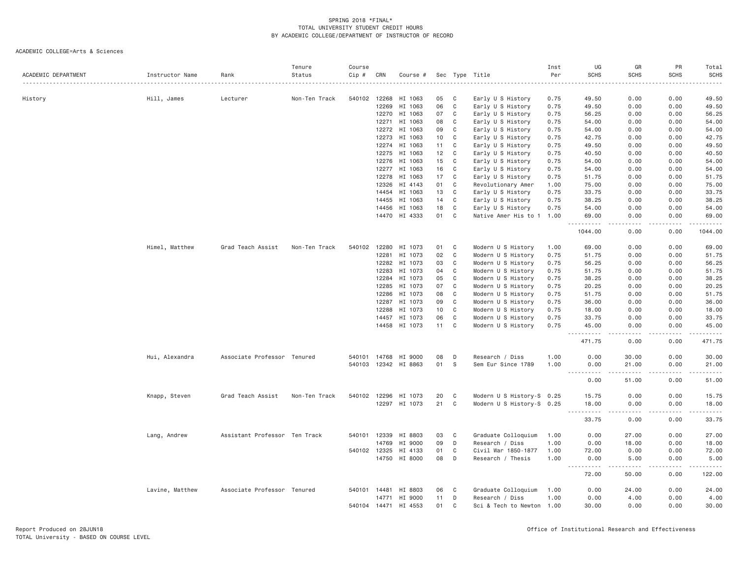| ACADEMIC DEPARTMENT | Instructor Name | Rank                          | Tenure<br>Status | Course<br>Cip # | CRN          | Course #             |    |   | Sec Type Title            | Inst<br>Per | UG<br><b>SCHS</b>           | GR<br><b>SCHS</b>                   | PR<br><b>SCHS</b>                                                                                                                                            | Total<br><b>SCHS</b>                                                                                                                                                                     |
|---------------------|-----------------|-------------------------------|------------------|-----------------|--------------|----------------------|----|---|---------------------------|-------------|-----------------------------|-------------------------------------|--------------------------------------------------------------------------------------------------------------------------------------------------------------|------------------------------------------------------------------------------------------------------------------------------------------------------------------------------------------|
| History             | Hill, James     | Lecturer                      | Non-Ten Track    | 540102          | 12268        | HI 1063              | 05 | C | Early U S History         | 0.75        | 49.50                       | 0.00                                | 0.00                                                                                                                                                         | 49.50                                                                                                                                                                                    |
|                     |                 |                               |                  |                 | 12269        | HI 1063              | 06 | C | Early U S History         | 0.75        | 49.50                       | 0.00                                | 0.00                                                                                                                                                         | 49.50                                                                                                                                                                                    |
|                     |                 |                               |                  |                 | 12270        | HI 1063              | 07 | C | Early U S History         | 0.75        | 56.25                       | 0.00                                | 0.00                                                                                                                                                         | 56.25                                                                                                                                                                                    |
|                     |                 |                               |                  |                 | 12271        | HI 1063              | 08 | C | Early U S History         | 0.75        | 54.00                       | 0.00                                | 0.00                                                                                                                                                         | 54.00                                                                                                                                                                                    |
|                     |                 |                               |                  |                 | 12272        | HI 1063              | 09 | C | Early U S History         | 0.75        | 54.00                       | 0.00                                | 0.00                                                                                                                                                         | 54.00                                                                                                                                                                                    |
|                     |                 |                               |                  |                 | 12273        | HI 1063              | 10 | C | Early U S History         | 0.75        | 42.75                       | 0.00                                | 0.00                                                                                                                                                         | 42.75                                                                                                                                                                                    |
|                     |                 |                               |                  |                 |              | 12274 HI 1063        | 11 | C | Early U S History         | 0.75        | 49.50                       | 0.00                                | 0.00                                                                                                                                                         | 49.50                                                                                                                                                                                    |
|                     |                 |                               |                  |                 | 12275        | HI 1063              | 12 | C | Early U S History         | 0.75        | 40.50                       | 0.00                                | 0.00                                                                                                                                                         | 40.50                                                                                                                                                                                    |
|                     |                 |                               |                  |                 | 12276        | HI 1063              | 15 | C | Early U S History         | 0.75        | 54.00                       | 0.00                                | 0.00                                                                                                                                                         | 54.00                                                                                                                                                                                    |
|                     |                 |                               |                  |                 | 12277        | HI 1063              | 16 | C | Early U S History         | 0.75        | 54.00                       | 0.00                                | 0.00                                                                                                                                                         | 54.00                                                                                                                                                                                    |
|                     |                 |                               |                  |                 | 12278        | HI 1063              | 17 | C | Early U S History         | 0.75        | 51.75                       | 0.00                                | 0.00                                                                                                                                                         | 51.75                                                                                                                                                                                    |
|                     |                 |                               |                  |                 | 12326        | HI 4143              | 01 | C | Revolutionary Amer        | 1.00        | 75.00                       | 0.00                                | 0.00                                                                                                                                                         | 75.00                                                                                                                                                                                    |
|                     |                 |                               |                  |                 | 14454        | HI 1063              | 13 | C | Early U S History         | 0.75        | 33.75                       | 0.00                                | 0.00                                                                                                                                                         | 33.75                                                                                                                                                                                    |
|                     |                 |                               |                  |                 | 14455        | HI 1063              | 14 | C | Early U S History         | 0.75        | 38.25                       | 0.00                                | 0.00                                                                                                                                                         | 38.25                                                                                                                                                                                    |
|                     |                 |                               |                  |                 | 14456        | HI 1063              | 18 | C | Early U S History         | 0.75        | 54.00                       | 0.00                                | 0.00                                                                                                                                                         | 54.00                                                                                                                                                                                    |
|                     |                 |                               |                  |                 | 14470        | HI 4333              | 01 | C | Native Amer His to 1 1.00 |             | 69.00<br><u>.</u>           | 0.00<br>$\sim$ $\sim$ $\sim$ $\sim$ | 0.00<br>.                                                                                                                                                    | 69.00<br>$\frac{1}{2} \left( \frac{1}{2} \right) \left( \frac{1}{2} \right) \left( \frac{1}{2} \right) \left( \frac{1}{2} \right) \left( \frac{1}{2} \right)$                            |
|                     |                 |                               |                  |                 |              |                      |    |   |                           |             | 1044.00                     | 0.00                                | 0.00                                                                                                                                                         | 1044.00                                                                                                                                                                                  |
|                     | Himel, Matthew  | Grad Teach Assist             | Non-Ten Track    | 540102          | 12280        | HI 1073              | 01 | C | Modern U S History        | 1.00        | 69.00                       | 0.00                                | 0.00                                                                                                                                                         | 69.00                                                                                                                                                                                    |
|                     |                 |                               |                  |                 | 12281        | HI 1073              | 02 | C | Modern U S History        | 0.75        | 51.75                       | 0.00                                | 0.00                                                                                                                                                         | 51.75                                                                                                                                                                                    |
|                     |                 |                               |                  |                 | 12282        | HI 1073              | 03 | C | Modern U S History        | 0.75        | 56.25                       | 0.00                                | 0.00                                                                                                                                                         | 56.25                                                                                                                                                                                    |
|                     |                 |                               |                  |                 | 12283        | HI 1073              | 04 | C | Modern U S History        | 0.75        | 51.75                       | 0.00                                | 0.00                                                                                                                                                         | 51.75                                                                                                                                                                                    |
|                     |                 |                               |                  |                 | 12284        | HI 1073              | 05 | C | Modern U S History        | 0.75        | 38.25                       | 0.00                                | 0.00                                                                                                                                                         | 38.25                                                                                                                                                                                    |
|                     |                 |                               |                  |                 | 12285        | HI 1073              | 07 | C | Modern U S History        | 0.75        | 20.25                       | 0.00                                | 0.00                                                                                                                                                         | 20.25                                                                                                                                                                                    |
|                     |                 |                               |                  |                 | 12286        | HI 1073              | 08 | C | Modern U S History        | 0.75        | 51.75                       | 0.00                                | 0.00                                                                                                                                                         | 51.75                                                                                                                                                                                    |
|                     |                 |                               |                  |                 | 12287        | HI 1073              | 09 | C | Modern U S History        | 0.75        | 36.00                       | 0.00                                | 0.00                                                                                                                                                         | 36.00                                                                                                                                                                                    |
|                     |                 |                               |                  |                 | 12288        | HI 1073              | 10 | C | Modern U S History        | 0.75        | 18.00                       | 0.00                                | 0.00                                                                                                                                                         | 18.00                                                                                                                                                                                    |
|                     |                 |                               |                  |                 | 14457        | HI 1073              | 06 | C | Modern U S History        | 0.75        | 33.75                       | 0.00                                | 0.00                                                                                                                                                         | 33.75                                                                                                                                                                                    |
|                     |                 |                               |                  |                 |              | 14458 HI 1073        | 11 | C | Modern U S History        | 0.75        | 45.00<br><u>.</u>           | 0.00<br>.                           | 0.00<br>$- - - - -$                                                                                                                                          | 45.00<br>$\frac{1}{2} \left( \frac{1}{2} \right) \left( \frac{1}{2} \right) \left( \frac{1}{2} \right) \left( \frac{1}{2} \right) \left( \frac{1}{2} \right) \left( \frac{1}{2} \right)$ |
|                     |                 |                               |                  |                 |              |                      |    |   |                           |             | 471.75                      | 0.00                                | 0.00                                                                                                                                                         | 471.75                                                                                                                                                                                   |
|                     | Hui, Alexandra  | Associate Professor Tenured   |                  | 540101          | 14768        | HI 9000              | 08 | D | Research / Diss           | 1.00        | 0.00                        | 30.00                               | 0.00                                                                                                                                                         | 30.00                                                                                                                                                                                    |
|                     |                 |                               |                  |                 |              | 540103 12342 HI 8863 | 01 | S | Sem Eur Since 1789        | 1.00        | 0.00<br>.                   | 21.00<br>.                          | 0.00<br>$\frac{1}{2} \left( \frac{1}{2} \right) \left( \frac{1}{2} \right) \left( \frac{1}{2} \right) \left( \frac{1}{2} \right) \left( \frac{1}{2} \right)$ | 21.00<br>.                                                                                                                                                                               |
|                     |                 |                               |                  |                 |              |                      |    |   |                           |             | 0.00                        | 51.00                               | 0.00                                                                                                                                                         | 51.00                                                                                                                                                                                    |
|                     | Knapp, Steven   | Grad Teach Assist             | Non-Ten Track    | 540102          | 12296        | HI 1073              | 20 | C | Modern U S History-S 0.25 |             | 15.75                       | 0.00                                | 0.00                                                                                                                                                         | 15.75                                                                                                                                                                                    |
|                     |                 |                               |                  |                 |              | 12297 HI 1073        | 21 | C | Modern U S History-S 0.25 |             | 18.00                       | 0.00                                | 0.00                                                                                                                                                         | 18.00                                                                                                                                                                                    |
|                     |                 |                               |                  |                 |              |                      |    |   |                           |             | .<br>33.75                  | .<br>0.00                           | 0.00                                                                                                                                                         | .<br>33.75                                                                                                                                                                               |
|                     | Lang, Andrew    | Assistant Professor Ten Track |                  | 540101          | 12339        | HI 8803              | 03 | C | Graduate Colloquium       | 1.00        | 0.00                        | 27.00                               | 0.00                                                                                                                                                         | 27.00                                                                                                                                                                                    |
|                     |                 |                               |                  |                 | 14769        | HI 9000              | 09 | D | Research / Diss           | 1.00        | 0.00                        | 18.00                               | 0.00                                                                                                                                                         | 18.00                                                                                                                                                                                    |
|                     |                 |                               |                  |                 | 540102 12325 | HI 4133              | 01 | C | Civil War 1850-1877       | 1.00        | 72.00                       | 0.00                                | 0.00                                                                                                                                                         | 72.00                                                                                                                                                                                    |
|                     |                 |                               |                  |                 |              | 14750 HI 8000        | 08 | D | Research / Thesis         | 1.00        | 0.00                        | 5.00                                | 0.00                                                                                                                                                         | 5.00                                                                                                                                                                                     |
|                     |                 |                               |                  |                 |              |                      |    |   |                           |             | $\sim$ $\sim$<br>.<br>72.00 | 50.00                               | .<br>0.00                                                                                                                                                    | .<br>122.00                                                                                                                                                                              |
|                     | Lavine, Matthew | Associate Professor Tenured   |                  |                 |              | 540101 14481 HI 8803 | 06 | C | Graduate Colloquium       | 1.00        | 0.00                        | 24.00                               | 0.00                                                                                                                                                         | 24.00                                                                                                                                                                                    |
|                     |                 |                               |                  |                 | 14771        | HI 9000              | 11 | D | Research / Diss           | 1.00        | 0.00                        | 4.00                                | 0.00                                                                                                                                                         | 4.00                                                                                                                                                                                     |
|                     |                 |                               |                  |                 | 540104 14471 | HI 4553              | 01 | C | Sci & Tech to Newton 1.00 |             | 30.00                       | 0.00                                | 0.00                                                                                                                                                         | 30.00                                                                                                                                                                                    |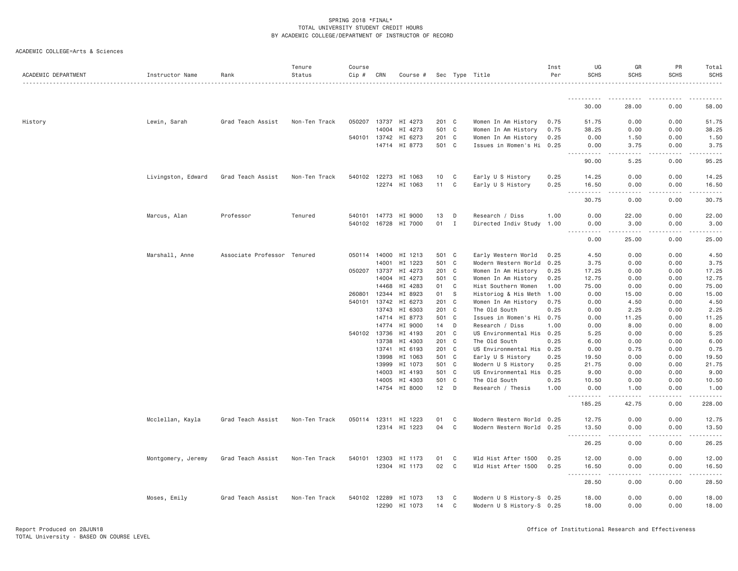| ACADEMIC COLLEGE=Arts & Sciences |  |
|----------------------------------|--|
|                                  |  |

| ACADEMIC DEPARTMENT | Instructor Name    | Rank                        | Tenure<br>Status<br>. <u>.</u> . | Course<br>Cip # | CRN          | Course #             |       |   | Sec Type Title            | Inst<br>Per | UG<br><b>SCHS</b>          | GR<br>SCHS | PR<br><b>SCHS</b>                                                                        | Total<br><b>SCHS</b><br>. |
|---------------------|--------------------|-----------------------------|----------------------------------|-----------------|--------------|----------------------|-------|---|---------------------------|-------------|----------------------------|------------|------------------------------------------------------------------------------------------|---------------------------|
|                     |                    |                             |                                  |                 |              |                      |       |   |                           |             |                            |            |                                                                                          |                           |
|                     |                    |                             |                                  |                 |              |                      |       |   |                           |             | 30.00                      | 28.00      | 0.00                                                                                     | 58.00                     |
| History             | Lewin, Sarah       | Grad Teach Assist           | Non-Ten Track                    |                 | 050207 13737 | HI 4273              | 201 C |   | Women In Am History       | 0.75        | 51.75                      | 0.00       | 0.00                                                                                     | 51.75                     |
|                     |                    |                             |                                  |                 | 14004        | HI 4273              | 501 C |   | Women In Am History       | 0.75        | 38.25                      | 0.00       | 0.00                                                                                     | 38.25                     |
|                     |                    |                             |                                  |                 | 540101 13742 | HI 6273              | 201 C |   | Women In Am History       | 0.25        | 0.00                       | 1.50       | 0.00                                                                                     | 1.50                      |
|                     |                    |                             |                                  |                 |              | 14714 HI 8773        | 501 C |   | Issues in Women's Hi 0.25 |             | 0.00<br>.                  | 3.75<br>.  | 0.00<br>.                                                                                | 3.75<br>.                 |
|                     |                    |                             |                                  |                 |              |                      |       |   |                           |             | 90.00                      | 5.25       | 0.00                                                                                     | 95.25                     |
|                     | Livingston, Edward | Grad Teach Assist           | Non-Ten Track                    | 540102 12273    |              | HI 1063              | 10    | C | Early U S History         | 0.25        | 14.25                      | 0.00       | 0.00                                                                                     | 14.25                     |
|                     |                    |                             |                                  |                 |              | 12274 HI 1063        | 11    | C | Early U S History         | 0.25        | 16.50<br><b></b>           | 0.00<br>.  | 0.00<br>$\mathbf{1} \cdot \mathbf{1} \cdot \mathbf{1} \cdot \mathbf{1} \cdot \mathbf{1}$ | 16.50<br>.                |
|                     |                    |                             |                                  |                 |              |                      |       |   |                           |             | 30.75                      | 0.00       | 0.00                                                                                     | 30.75                     |
|                     | Marcus, Alan       | Professor                   | Tenured                          | 540101 14773    |              | HI 9000              | 13    | D | Research / Diss           | 1.00        | 0.00                       | 22.00      | 0.00                                                                                     | 22.00                     |
|                     |                    |                             |                                  |                 |              | 540102 16728 HI 7000 | 01    | I | Directed Indiv Study 1.00 |             | 0.00<br>.                  | 3,00<br>.  | 0.00<br>.                                                                                | 3.00<br>.                 |
|                     |                    |                             |                                  |                 |              |                      |       |   |                           |             | 0.00                       | 25.00      | 0.00                                                                                     | 25.00                     |
|                     | Marshall, Anne     | Associate Professor Tenured |                                  | 050114 14000    |              | HI 1213              | 501 C |   | Early Western World       | 0.25        | 4.50                       | 0.00       | 0.00                                                                                     | 4.50                      |
|                     |                    |                             |                                  |                 | 14001        | HI 1223              | 501 C |   | Modern Western World      | 0.25        | 3.75                       | 0.00       | 0.00                                                                                     | 3.75                      |
|                     |                    |                             |                                  | 050207          | 13737        | HI 4273              | 201 C |   | Women In Am History       | 0.25        | 17.25                      | 0.00       | 0.00                                                                                     | 17.25                     |
|                     |                    |                             |                                  |                 | 14004        | HI 4273              | 501 C |   | Women In Am History       | 0.25        | 12.75                      | 0.00       | 0.00                                                                                     | 12.75                     |
|                     |                    |                             |                                  |                 | 14468        | HI 4283              | 01    | C | Hist Southern Women       | 1.00        | 75.00                      | 0.00       | 0.00                                                                                     | 75.00                     |
|                     |                    |                             |                                  | 260801          | 12344        | HI 8923              | 01    | S | Historiog & His Meth      | 1.00        | 0.00                       | 15.00      | 0.00                                                                                     | 15.00                     |
|                     |                    |                             |                                  | 540101          | 13742        | HI 6273              | 201 C |   | Women In Am History       | 0.75        | 0.00                       | 4.50       | 0.00                                                                                     | 4.50                      |
|                     |                    |                             |                                  |                 | 13743        | HI 6303              | 201 C |   | The Old South             | 0.25        | 0.00                       | 2.25       | 0.00                                                                                     | 2.25                      |
|                     |                    |                             |                                  |                 | 14714        | HI 8773              | 501 C |   | Issues in Women's Hi      | 0.75        | 0.00                       | 11.25      | 0.00                                                                                     | 11.25                     |
|                     |                    |                             |                                  |                 | 14774        | HI 9000              | 14    | D | Research / Diss           | 1.00        | 0.00                       | 8.00       | 0.00                                                                                     | 8.00                      |
|                     |                    |                             |                                  | 540102 13736    |              | HI 4193              | 201 C |   | US Environmental His 0.25 |             | 5.25                       | 0.00       | 0.00                                                                                     | 5.25                      |
|                     |                    |                             |                                  |                 | 13738        | HI 4303              | 201 C |   | The Old South             | 0.25        | 6.00                       | 0.00       | 0.00                                                                                     | 6.00                      |
|                     |                    |                             |                                  |                 | 13741        | HI 6193              | 201 C |   | US Environmental His      | 0.25        | 0.00                       | 0.75       | 0.00                                                                                     | 0.75                      |
|                     |                    |                             |                                  |                 | 13998        | HI 1063              | 501 C |   | Early U S History         | 0.25        | 19.50                      | 0.00       | 0.00                                                                                     | 19.50                     |
|                     |                    |                             |                                  |                 |              | 13999 HI 1073        | 501 C |   | Modern U S History        | 0.25        | 21.75                      | 0.00       | 0.00                                                                                     | 21.75                     |
|                     |                    |                             |                                  |                 | 14003        | HI 4193              | 501 C |   | US Environmental His      | 0.25        | 9.00                       | 0.00       | 0.00                                                                                     | 9.00                      |
|                     |                    |                             |                                  |                 | 14005        | HI 4303              | 501 C |   | The Old South             | 0.25        | 10.50                      | 0.00       | 0.00                                                                                     | 10.50                     |
|                     |                    |                             |                                  |                 |              | 14754 HI 8000        | 12    | D | Research / Thesis         | 1.00        | 0.00<br>.<br>$\frac{1}{2}$ | 1.00<br>.  | 0.00<br>.                                                                                | 1.00                      |
|                     |                    |                             |                                  |                 |              |                      |       |   |                           |             | 185.25                     | 42.75      | 0.00                                                                                     | 228.00                    |
|                     | Mcclellan, Kayla   | Grad Teach Assist           | Non-Ten Track                    | 050114 12311    |              | HI 1223              | 01    | C | Modern Western World 0.25 |             | 12.75                      | 0.00       | 0.00                                                                                     | 12.75                     |
|                     |                    |                             |                                  |                 |              | 12314 HI 1223        | 04    | C | Modern Western World 0.25 |             | 13.50<br>.<br>$\cdots$     | 0.00<br>.  | 0.00                                                                                     | 13.50                     |
|                     |                    |                             |                                  |                 |              |                      |       |   |                           |             | 26.25                      | 0.00       | 0.00                                                                                     | 26.25                     |
|                     | Montgomery, Jeremy | Grad Teach Assist           | Non-Ten Track                    | 540101 12303    |              | HI 1173              | 01    | C | Wld Hist After 1500       | 0.25        | 12.00                      | 0.00       | 0.00                                                                                     | 12.00                     |
|                     |                    |                             |                                  |                 |              | 12304 HI 1173        | 02    | C | Wld Hist After 1500       | 0.25        | 16.50<br><b></b>           | 0.00<br>.  | 0.00<br>-----                                                                            | 16.50<br>.                |
|                     |                    |                             |                                  |                 |              |                      |       |   |                           |             | 28.50                      | 0.00       | 0.00                                                                                     | 28.50                     |
|                     | Moses, Emily       | Grad Teach Assist           | Non-Ten Track                    | 540102 12289    |              | HI 1073              | 13    | C | Modern U S History-S 0.25 |             | 18.00                      | 0.00       | 0.00                                                                                     | 18.00                     |
|                     |                    |                             |                                  |                 |              | 12290 HI 1073        | 14    | C | Modern U S History-S 0.25 |             | 18.00                      | 0.00       | 0.00                                                                                     | 18.00                     |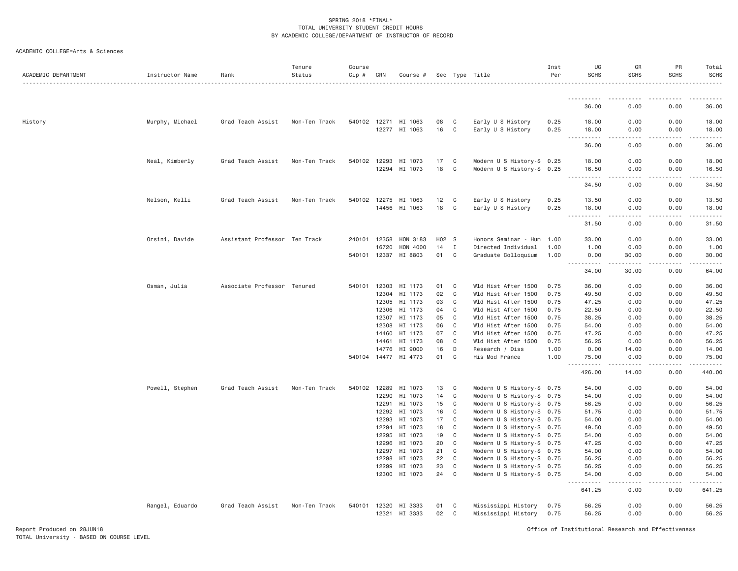| ACADEMIC DEPARTMENT | Instructor Name | Rank                          | Tenure<br>Status | Course<br>Cip # | CRN            | Course #                              |          |                   | Sec Type Title                                         | Inst<br>Per  | UG<br><b>SCHS</b>                                                                                                                                              | GR<br><b>SCHS</b>                                                                                                                                                             | PR<br><b>SCHS</b>   | Total<br>SCHS                                                                                                                      |
|---------------------|-----------------|-------------------------------|------------------|-----------------|----------------|---------------------------------------|----------|-------------------|--------------------------------------------------------|--------------|----------------------------------------------------------------------------------------------------------------------------------------------------------------|-------------------------------------------------------------------------------------------------------------------------------------------------------------------------------|---------------------|------------------------------------------------------------------------------------------------------------------------------------|
|                     |                 |                               |                  |                 |                |                                       |          |                   |                                                        |              | <u>.</u>                                                                                                                                                       |                                                                                                                                                                               |                     |                                                                                                                                    |
|                     |                 |                               |                  |                 |                |                                       |          |                   |                                                        |              | 36.00                                                                                                                                                          | 0.00                                                                                                                                                                          | 0.00                | 36.00                                                                                                                              |
| History             | Murphy, Michael | Grad Teach Assist             | Non-Ten Track    |                 |                | 540102 12271 HI 1063<br>12277 HI 1063 | 08<br>16 | $\mathbf{C}$<br>C | Early U S History<br>Early U S History                 | 0.25<br>0.25 | 18.00<br>18.00                                                                                                                                                 | 0.00<br>0.00                                                                                                                                                                  | 0.00<br>0.00        | 18.00<br>18.00                                                                                                                     |
|                     |                 |                               |                  |                 |                |                                       |          |                   |                                                        |              | <u>.</u><br>36.00                                                                                                                                              | $\frac{1}{2} \left( \frac{1}{2} \right) \left( \frac{1}{2} \right) \left( \frac{1}{2} \right) \left( \frac{1}{2} \right) \left( \frac{1}{2} \right)$<br>$\frac{1}{2}$<br>0.00 | $- - - - -$<br>0.00 | .<br>36.00                                                                                                                         |
|                     | Neal, Kimberly  | Grad Teach Assist             | Non-Ten Track    | 540102          | 12293<br>12294 | HI 1073<br>HI 1073                    | 17<br>18 | C<br>C            | Modern U S History-S 0.25<br>Modern U S History-S 0.25 |              | 18.00<br>16.50                                                                                                                                                 | 0.00<br>0.00                                                                                                                                                                  | 0.00<br>0.00        | 18.00<br>16.50                                                                                                                     |
|                     |                 |                               |                  |                 |                |                                       |          |                   |                                                        |              | .<br>34.50                                                                                                                                                     | .<br>$\frac{1}{2} \left( \frac{1}{2} \right) \left( \frac{1}{2} \right) \left( \frac{1}{2} \right) \left( \frac{1}{2} \right)$<br>0.00                                        | 2.2.2.2.2<br>0.00   | .<br>34.50                                                                                                                         |
|                     | Nelson, Kelli   | Grad Teach Assist             | Non-Ten Track    | 540102          | 12275<br>14456 | HI 1063<br>HI 1063                    | 12<br>18 | C<br>C            | Early U S History<br>Early U S History                 | 0.25<br>0.25 | 13.50<br>18.00                                                                                                                                                 | 0.00<br>0.00                                                                                                                                                                  | 0.00<br>0.00        | 13.50<br>18.00                                                                                                                     |
|                     |                 |                               |                  |                 |                |                                       |          |                   |                                                        |              | .<br>$\sim$ $\sim$ $\sim$<br>31.50                                                                                                                             | 0.00                                                                                                                                                                          | 0.00                | 31.50                                                                                                                              |
|                     | Orsini, Davide  | Assistant Professor Ten Track |                  | 240101          | 12358          | HON 3183                              | H02 S    |                   | Honors Seminar - Hum                                   | 1.00         | 33.00                                                                                                                                                          | 0.00                                                                                                                                                                          | 0.00                | 33.00                                                                                                                              |
|                     |                 |                               |                  | 540101 12337    | 16720          | HON 4000<br>HI 8803                   | 14<br>01 | I<br>C            | Directed Individual<br>Graduate Colloquium             | 1.00<br>1.00 | 1.00<br>0.00                                                                                                                                                   | 0.00<br>30.00                                                                                                                                                                 | 0.00<br>0.00        | 1.00<br>30.00                                                                                                                      |
|                     |                 |                               |                  |                 |                |                                       |          |                   |                                                        |              | <u>.</u><br>34.00                                                                                                                                              | .<br>30.00                                                                                                                                                                    | .<br>0.00           | .<br>64.00                                                                                                                         |
|                     | Osman, Julia    | Associate Professor Tenured   |                  | 540101          | 12303          | HI 1173                               | 01       | C                 | Wld Hist After 1500                                    | 0.75         | 36.00                                                                                                                                                          | 0.00                                                                                                                                                                          | 0.00                | 36.00                                                                                                                              |
|                     |                 |                               |                  |                 | 12304          | HI 1173                               | 02       | C                 | Wld Hist After 1500                                    | 0.75         | 49.50                                                                                                                                                          | 0.00                                                                                                                                                                          | 0.00                | 49.50                                                                                                                              |
|                     |                 |                               |                  |                 | 12305          | HI 1173                               | 03       | C                 | Wld Hist After 1500                                    | 0.75         | 47.25                                                                                                                                                          | 0.00                                                                                                                                                                          | 0.00                | 47.25                                                                                                                              |
|                     |                 |                               |                  |                 | 12306          | HI 1173                               | 04       | C                 | Wld Hist After 1500                                    | 0.75         | 22.50                                                                                                                                                          | 0.00                                                                                                                                                                          | 0.00                | 22.50                                                                                                                              |
|                     |                 |                               |                  |                 | 12307          | HI 1173                               | 05       | C                 | Wld Hist After 1500                                    | 0.75         | 38.25                                                                                                                                                          | 0.00                                                                                                                                                                          | 0.00                | 38.25                                                                                                                              |
|                     |                 |                               |                  |                 | 12308          | HI 1173<br>HI 1173                    | 06       | C                 | Wld Hist After 1500                                    | 0.75         | 54.00                                                                                                                                                          | 0.00                                                                                                                                                                          | 0.00                | 54.00                                                                                                                              |
|                     |                 |                               |                  |                 | 14460<br>14461 | HI 1173                               | 07<br>08 | C<br>C            | Wld Hist After 1500<br>Wld Hist After 1500             | 0.75<br>0.75 | 47.25<br>56.25                                                                                                                                                 | 0.00<br>0.00                                                                                                                                                                  | 0.00<br>0.00        | 47.25<br>56.25                                                                                                                     |
|                     |                 |                               |                  |                 | 14776          | HI 9000                               | 16       | D                 | Research / Diss                                        | 1.00         | 0.00                                                                                                                                                           | 14.00                                                                                                                                                                         | 0.00                | 14.00                                                                                                                              |
|                     |                 |                               |                  |                 |                | 540104 14477 HI 4773                  | 01       | C <sub>1</sub>    | His Mod France                                         | 1.00         | 75.00                                                                                                                                                          | 0.00                                                                                                                                                                          | 0.00                | 75.00                                                                                                                              |
|                     |                 |                               |                  |                 |                |                                       |          |                   |                                                        |              | $\frac{1}{2} \left( \frac{1}{2} \right) \left( \frac{1}{2} \right) \left( \frac{1}{2} \right) \left( \frac{1}{2} \right) \left( \frac{1}{2} \right)$<br>426.00 | 14.00                                                                                                                                                                         | 0.00                | 440.00                                                                                                                             |
|                     | Powell, Stephen | Grad Teach Assist             | Non-Ten Track    | 540102 12289    |                | HI 1073                               | 13 C     |                   | Modern U S History-S 0.75                              |              | 54.00                                                                                                                                                          | 0.00                                                                                                                                                                          | 0.00                | 54.00                                                                                                                              |
|                     |                 |                               |                  |                 | 12290          | HI 1073                               | 14       | C                 | Modern U S History-S 0.75                              |              | 54.00                                                                                                                                                          | 0.00                                                                                                                                                                          | 0.00                | 54.00                                                                                                                              |
|                     |                 |                               |                  |                 | 12291          | HI 1073                               | 15       | C                 | Modern U S History-S 0.75                              |              | 56.25                                                                                                                                                          | 0.00                                                                                                                                                                          | 0.00                | 56.25                                                                                                                              |
|                     |                 |                               |                  |                 | 12292          | HI 1073                               | 16       | C                 | Modern U S History-S 0.75                              |              | 51.75                                                                                                                                                          | 0.00                                                                                                                                                                          | 0.00                | 51.75                                                                                                                              |
|                     |                 |                               |                  |                 | 12293<br>12294 | HI 1073<br>HI 1073                    | 17<br>18 | C<br>C            | Modern U S History-S 0.75<br>Modern U S History-S 0.75 |              | 54.00<br>49.50                                                                                                                                                 | 0.00<br>0.00                                                                                                                                                                  | 0.00<br>0.00        | 54.00<br>49.50                                                                                                                     |
|                     |                 |                               |                  |                 | 12295          | HI 1073                               | 19       | C                 | Modern U S History-S 0.75                              |              | 54.00                                                                                                                                                          | 0.00                                                                                                                                                                          | 0.00                | 54.00                                                                                                                              |
|                     |                 |                               |                  |                 | 12296          | HI 1073                               | 20       | C                 | Modern U S History-S 0.75                              |              | 47.25                                                                                                                                                          | 0.00                                                                                                                                                                          | 0.00                | 47.25                                                                                                                              |
|                     |                 |                               |                  |                 | 12297          | HI 1073                               | 21       | $\mathbf C$       | Modern U S History-S 0.75                              |              | 54.00                                                                                                                                                          | 0.00                                                                                                                                                                          | 0.00                | 54.00                                                                                                                              |
|                     |                 |                               |                  |                 | 12298          | HI 1073                               | 22       | C                 | Modern U S History-S 0.75                              |              | 56.25                                                                                                                                                          | 0.00                                                                                                                                                                          | 0.00                | 56.25                                                                                                                              |
|                     |                 |                               |                  |                 | 12299          | HI 1073                               | 23       | $\mathbf C$       | Modern U S History-S 0.75                              |              | 56.25                                                                                                                                                          | 0.00                                                                                                                                                                          | 0.00                | 56.25                                                                                                                              |
|                     |                 |                               |                  |                 | 12300          | HI 1073                               | 24       | C                 | Modern U S History-S 0.75                              |              | 54.00<br>.                                                                                                                                                     | 0.00<br>$\frac{1}{2} \left( \frac{1}{2} \right) \left( \frac{1}{2} \right) \left( \frac{1}{2} \right) \left( \frac{1}{2} \right) \left( \frac{1}{2} \right)$                  | 0.00<br>وودود       | 54.00<br>$\begin{array}{cccccccccccccc} \bullet & \bullet & \bullet & \bullet & \bullet & \bullet & \bullet & \bullet \end{array}$ |
|                     |                 |                               |                  |                 |                |                                       |          |                   |                                                        |              | 641.25                                                                                                                                                         | 0.00                                                                                                                                                                          | 0.00                | 641.25                                                                                                                             |
|                     | Rangel, Eduardo | Grad Teach Assist             | Non-Ten Track    | 540101          | 12320<br>12321 | HI 3333<br>HI 3333                    | 01<br>02 | C<br>$\mathbf{C}$ | Mississippi History<br>Mississippi History             | 0.75<br>0.75 | 56.25<br>56.25                                                                                                                                                 | 0.00<br>0.00                                                                                                                                                                  | 0.00<br>0.00        | 56.25<br>56.25                                                                                                                     |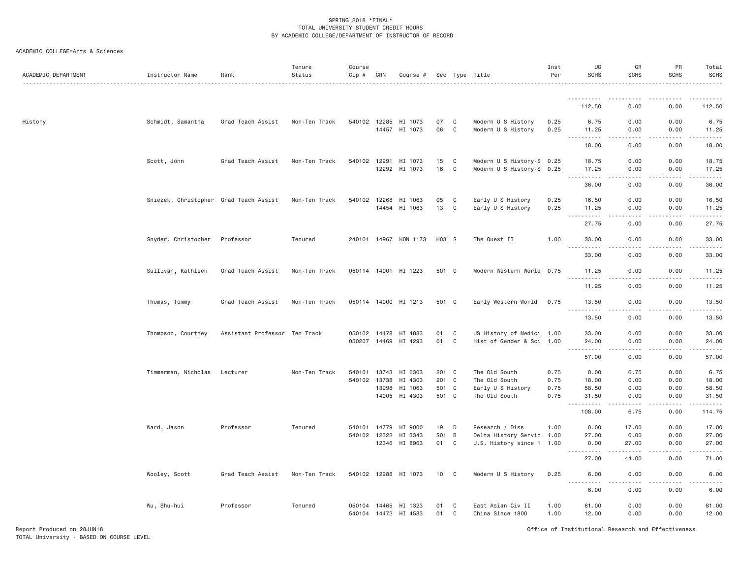| ACADEMIC DEPARTMENT | Instructor Name                        | Rank                          | Tenure<br>Status | Course<br>$Cip \#$           | CRN            | Course #                                 |                                  |        | Sec Type Title                                                       | Inst<br>Per                  | UG<br><b>SCHS</b>                                                                                                                                             | GR<br><b>SCHS</b>            | PR<br><b>SCHS</b>            | Total<br><b>SCHS</b>            |
|---------------------|----------------------------------------|-------------------------------|------------------|------------------------------|----------------|------------------------------------------|----------------------------------|--------|----------------------------------------------------------------------|------------------------------|---------------------------------------------------------------------------------------------------------------------------------------------------------------|------------------------------|------------------------------|---------------------------------|
|                     |                                        |                               |                  |                              |                |                                          |                                  |        |                                                                      |                              | ----------                                                                                                                                                    |                              |                              |                                 |
|                     |                                        |                               |                  |                              |                |                                          |                                  |        |                                                                      |                              | 112.50                                                                                                                                                        | 0.00                         | 0.00                         | 112.50                          |
| History             | Schmidt, Samantha                      | Grad Teach Assist             | Non-Ten Track    |                              |                | 540102 12285 HI 1073<br>14457 HI 1073    | 07<br>06                         | C<br>C | Modern U S History<br>Modern U S History                             | 0.25<br>0.25                 | 6.75<br>11.25                                                                                                                                                 | 0.00<br>0.00                 | 0.00<br>0.00                 | 6.75<br>11.25                   |
|                     |                                        |                               |                  |                              |                |                                          |                                  |        |                                                                      |                              | .<br>$\sim$ $\sim$ $\sim$ $\sim$<br>18.00                                                                                                                     | .<br>0.00                    | $\frac{1}{2}$<br>0.00        | 18.00                           |
|                     | Scott, John                            | Grad Teach Assist             | Non-Ten Track    | 540102 12291                 | 12292          | HI 1073<br>HI 1073                       | 15<br>16                         | C<br>C | Modern U S History-S 0.25<br>Modern U S History-S 0.25               |                              | 18.75<br>17.25                                                                                                                                                | 0.00<br>0.00                 | 0.00<br>0.00                 | 18.75<br>17.25                  |
|                     |                                        |                               |                  |                              |                |                                          |                                  |        |                                                                      |                              | <b></b><br>36.00                                                                                                                                              | .<br>0.00                    | .<br>0.00                    | .<br>36.00                      |
|                     | Sniezek, Christopher Grad Teach Assist |                               | Non-Ten Track    | 540102                       | 12268          | HI 1063<br>14454 HI 1063                 | 05<br>13                         | C<br>C | Early U S History<br>Early U S History                               | 0.25<br>0.25                 | 16.50<br>11.25<br>$\sim$ $\sim$ $\sim$ $\sim$                                                                                                                 | 0.00<br>0.00                 | 0.00<br>0.00                 | 16.50<br>11.25                  |
|                     |                                        |                               |                  |                              |                |                                          |                                  |        |                                                                      |                              | 27.75                                                                                                                                                         | 0.00                         | 0.00                         | 27.75                           |
|                     | Snyder, Christopher                    | Professor                     | Tenured          |                              |                | 240101 14967 HON 1173                    | H03 S                            |        | The Quest II                                                         | 1.00                         | 33.00<br>.                                                                                                                                                    | 0.00<br>.                    | 0.00                         | 33.00<br>.                      |
|                     |                                        |                               |                  |                              |                |                                          |                                  |        |                                                                      |                              | 33.00                                                                                                                                                         | 0.00                         | 0.00                         | 33.00                           |
|                     | Sullivan, Kathleen                     | Grad Teach Assist             | Non-Ten Track    |                              |                | 050114 14001 HI 1223                     | 501 C                            |        | Modern Western World 0.75                                            |                              | 11.25<br><u>.</u>                                                                                                                                             | 0.00                         | 0.00                         | 11.25                           |
|                     |                                        |                               |                  |                              |                |                                          |                                  |        |                                                                      |                              | 11.25                                                                                                                                                         | 0.00                         | 0.00                         | 11.25                           |
|                     | Thomas, Tommy                          | Grad Teach Assist             | Non-Ten Track    |                              |                | 050114 14000 HI 1213                     | 501 C                            |        | Early Western World                                                  | 0.75                         | 13.50<br>$   -$                                                                                                                                               | 0.00                         | 0.00                         | 13.50                           |
|                     |                                        |                               |                  |                              |                |                                          |                                  |        |                                                                      |                              | 13.50                                                                                                                                                         | 0.00                         | 0.00                         | 13.50                           |
|                     | Thompson, Courtney                     | Assistant Professor Ten Track |                  | 050102 14478<br>050207 14469 |                | HI 4883<br>HI 4293                       | 01<br>01                         | C<br>C | US History of Medici 1.00<br>Hist of Gender & Sci 1.00               |                              | 33.00<br>24.00                                                                                                                                                | 0.00<br>0.00<br>.            | 0.00<br>0.00<br>. <u>.</u> . | 33.00<br>24.00                  |
|                     |                                        |                               |                  |                              |                |                                          |                                  |        |                                                                      |                              | 57.00                                                                                                                                                         | 0.00                         | 0.00                         | 57.00                           |
|                     | Timmerman, Nicholas                    | Lecturer                      | Non-Ten Track    | 540101 13743<br>540102 13738 | 13998<br>14005 | HI 6303<br>HI 4303<br>HI 1063<br>HI 4303 | 201 C<br>201 C<br>501 C<br>501 C |        | The Old South<br>The Old South<br>Early U S History<br>The Old South | 0.75<br>0.75<br>0.75<br>0.75 | 0.00<br>18.00<br>58.50<br>31.50                                                                                                                               | 6.75<br>0.00<br>0.00<br>0.00 | 0.00<br>0.00<br>0.00<br>0.00 | 6.75<br>18.00<br>58.50<br>31.50 |
|                     |                                        |                               |                  |                              |                |                                          |                                  |        |                                                                      |                              | .<br>$\cdots$<br>108.00                                                                                                                                       | .<br>6.75                    | -----<br>0.00                | .<br>114.75                     |
|                     | Ward, Jason                            | Professor                     | Tenured          | 540101<br>540102 12322       | 14779          | HI 9000<br>HI 3343<br>12346 HI 8963      | 19<br>S01 B<br>01 C              | D      | Research / Diss<br>Delta History Servic<br>U.S. History since 1 1.00 | 1.00<br>1.00                 | 0.00<br>27.00<br>0.00                                                                                                                                         | 17.00<br>0.00<br>27.00       | 0.00<br>0.00<br>0.00         | 17.00<br>27.00<br>27.00         |
|                     |                                        |                               |                  |                              |                |                                          |                                  |        |                                                                      |                              | $\frac{1}{2} \left( \frac{1}{2} \right) \left( \frac{1}{2} \right) \left( \frac{1}{2} \right) \left( \frac{1}{2} \right) \left( \frac{1}{2} \right)$<br>27.00 | 44.00                        | 0.00                         | 71.00                           |
|                     | Wooley, Scott                          | Grad Teach Assist             | Non-Ten Track    |                              |                | 540102 12288 HI 1073                     | 10                               | C      | Modern U S History                                                   | 0.25                         | 6.00                                                                                                                                                          | 0.00                         | 0.00                         | 6.00                            |
|                     |                                        |                               |                  |                              |                |                                          |                                  |        |                                                                      |                              | $\frac{1}{2}$<br>$- - - - -$<br>6.00                                                                                                                          | .<br>0.00                    | .<br>0.00                    | $- - - - -$<br>6.00             |
|                     | Wu, Shu-hui                            | Professor                     | Tenured          | 050104 14465                 |                | HI 1323<br>540104 14472 HI 4583          | 01<br>01                         | C<br>C | East Asian Civ II<br>China Since 1800                                | 1.00<br>1.00                 | 81.00<br>12.00                                                                                                                                                | 0.00<br>0.00                 | 0.00<br>0.00                 | 81.00<br>12.00                  |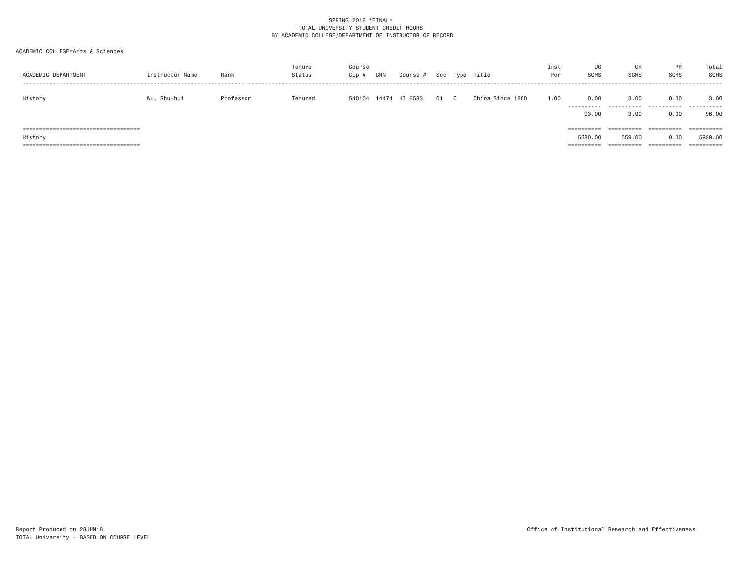| ACADEMIC DEPARTMENT                                                                        | Instructor Name | Rank      | Tenure<br>Status | Course<br>Cip # | CRN   | Course # | Sec | Type | Title               | Inst<br>Per | UG<br><b>SCHS</b>     | GR<br><b>SCHS</b>                  | <b>PR</b><br><b>SCHS</b>         | Total<br>SCHS                       |
|--------------------------------------------------------------------------------------------|-----------------|-----------|------------------|-----------------|-------|----------|-----|------|---------------------|-------------|-----------------------|------------------------------------|----------------------------------|-------------------------------------|
| History                                                                                    | Wu, Shu-hui     | Professor | Tenured          | 540104          | 14474 | HI 6583  | 01  | C.   | China Since<br>1800 | 1.00        | 0.00<br>.<br>93,00    | 3.00<br>3.00                       | 0.00<br>0.00                     | 3,00<br>96.00                       |
| =====================================<br>History<br>====================================== |                 |           |                  |                 |       |          |     |      |                     |             | ==========<br>5380.00 | ==========<br>559,00<br>========== | ==========<br>0.00<br>========== | ==========<br>5939.00<br>========== |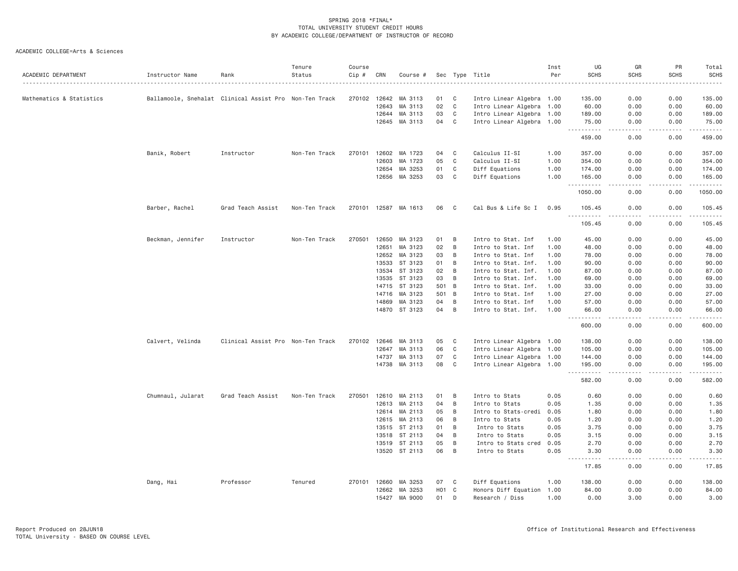| ACADEMIC DEPARTMENT      | Instructor Name   | Rank                                                   | Tenure<br>Status | Course<br>Cip # | CRN          | Course #      |                  |                | Sec Type Title            | Inst<br>Per | UG<br><b>SCHS</b>                  | GR<br><b>SCHS</b> | PR<br><b>SCHS</b> | Total<br><b>SCHS</b><br>. |
|--------------------------|-------------------|--------------------------------------------------------|------------------|-----------------|--------------|---------------|------------------|----------------|---------------------------|-------------|------------------------------------|-------------------|-------------------|---------------------------|
| Mathematics & Statistics |                   | Ballamoole, Snehalat Clinical Assist Pro Non-Ten Track |                  |                 | 270102 12642 | MA 3113       | 01               | C              | Intro Linear Algebra 1.00 |             | 135.00                             | 0.00              | 0.00              | 135.00                    |
|                          |                   |                                                        |                  |                 | 12643        | MA 3113       | 02               | C              | Intro Linear Algebra 1.00 |             | 60.00                              | 0.00              | 0.00              | 60.00                     |
|                          |                   |                                                        |                  |                 | 12644        | MA 3113       | 03               | C              | Intro Linear Algebra 1.00 |             | 189.00                             | 0.00              | 0.00              | 189.00                    |
|                          |                   |                                                        |                  |                 | 12645        | MA 3113       | 04               | C              | Intro Linear Algebra 1.00 |             | 75.00<br>$\sim$ $\sim$ $\sim$<br>. | 0.00<br>.         | 0.00<br>.         | 75.00<br>.                |
|                          |                   |                                                        |                  |                 |              |               |                  |                |                           |             | 459.00                             | 0.00              | 0.00              | 459.00                    |
|                          | Banik, Robert     | Instructor                                             | Non-Ten Track    |                 | 270101 12602 | MA 1723       | 04               | C              | Calculus II-SI            | 1.00        | 357.00                             | 0.00              | 0.00              | 357.00                    |
|                          |                   |                                                        |                  |                 | 12603        | MA 1723       | 05               | C              | Calculus II-SI            | 1.00        | 354.00                             | 0.00              | 0.00              | 354.00                    |
|                          |                   |                                                        |                  |                 | 12654        | MA 3253       | 01               | C              | Diff Equations            | 1.00        | 174.00                             | 0.00              | 0.00              | 174.00                    |
|                          |                   |                                                        |                  |                 | 12656        | MA 3253       | 03               | C              | Diff Equations            | 1.00        | 165.00<br>.                        | 0.00<br>.         | 0.00<br>.         | 165.00<br>.               |
|                          |                   |                                                        |                  |                 |              |               |                  |                |                           |             | 1050.00                            | 0.00              | 0.00              | 1050.00                   |
|                          | Barber, Rachel    | Grad Teach Assist                                      | Non-Ten Track    |                 | 270101 12587 | MA 1613       | 06               | C <sub>1</sub> | Cal Bus & Life Sc I       | 0.95        | 105.45<br>.                        | 0.00<br>.         | 0.00<br>.         | 105.45<br>.               |
|                          |                   |                                                        |                  |                 |              |               |                  |                |                           |             | 105.45                             | 0.00              | 0.00              | 105.45                    |
|                          | Beckman, Jennifer | Instructor                                             | Non-Ten Track    | 270501          | 12650        | MA 3123       | 01               | B              | Intro to Stat. Inf        | 1.00        | 45.00                              | 0.00              | 0.00              | 45.00                     |
|                          |                   |                                                        |                  |                 | 12651        | MA 3123       | 02               | B              | Intro to Stat. Inf        | 1.00        | 48.00                              | 0.00              | 0.00              | 48.00                     |
|                          |                   |                                                        |                  |                 | 12652        | MA 3123       | 03               | B              | Intro to Stat. Inf        | 1.00        | 78.00                              | 0.00              | 0.00              | 78.00                     |
|                          |                   |                                                        |                  |                 | 13533        | ST 3123       | 01               | B              | Intro to Stat. Inf.       | 1.00        | 90.00                              | 0.00              | 0.00              | 90.00                     |
|                          |                   |                                                        |                  |                 | 13534        | ST 3123       | 02               | B              | Intro to Stat. Inf.       | 1.00        | 87.00                              | 0.00              | 0.00              | 87.00                     |
|                          |                   |                                                        |                  |                 | 13535        | ST 3123       | 03               | B              | Intro to Stat. Inf.       | 1.00        | 69.00                              | 0.00              | 0.00              | 69.00                     |
|                          |                   |                                                        |                  |                 | 14715        | ST 3123       | 501              | $\overline{B}$ | Intro to Stat. Inf.       | 1.00        | 33.00                              | 0.00              | 0.00              | 33.00                     |
|                          |                   |                                                        |                  |                 | 14716        | MA 3123       | 501 B            |                | Intro to Stat. Inf        | 1.00        | 27.00                              | 0.00              | 0.00              | 27.00                     |
|                          |                   |                                                        |                  |                 | 14869        | MA 3123       | 04               | B              | Intro to Stat. Inf        | 1.00        | 57.00                              | 0.00              | 0.00              | 57.00                     |
|                          |                   |                                                        |                  |                 |              | 14870 ST 3123 | 04               | B              | Intro to Stat. Inf.       | 1.00        | 66.00<br>.                         | 0.00              | 0.00              | 66.00<br>.                |
|                          |                   |                                                        |                  |                 |              |               |                  |                |                           |             | 600.00                             | 0.00              | 0.00              | 600.00                    |
|                          | Calvert, Velinda  | Clinical Assist Pro Non-Ten Track                      |                  | 270102          | 12646        | MA 3113       | 05               | C              | Intro Linear Algebra 1.00 |             | 138.00                             | 0.00              | 0.00              | 138.00                    |
|                          |                   |                                                        |                  |                 | 12647        | MA 3113       | 06               | C              | Intro Linear Algebra 1.00 |             | 105.00                             | 0.00              | 0.00              | 105.00                    |
|                          |                   |                                                        |                  |                 | 14737        | MA 3113       | 07               | C              | Intro Linear Algebra 1.00 |             | 144.00                             | 0.00              | 0.00              | 144.00                    |
|                          |                   |                                                        |                  |                 | 14738        | MA 3113       | 08               | C              | Intro Linear Algebra 1.00 |             | 195.00                             | 0.00              | 0.00              | 195.00                    |
|                          |                   |                                                        |                  |                 |              |               |                  |                |                           |             | 582.00                             | 0.00              | 0.00              | 582.00                    |
|                          | Chumnaul, Jularat | Grad Teach Assist                                      | Non-Ten Track    | 270501          | 12610        | MA 2113       | 01               | B              | Intro to Stats            | 0.05        | 0.60                               | 0.00              | 0.00              | 0.60                      |
|                          |                   |                                                        |                  |                 | 12613        | MA 2113       | 04               | B              | Intro to Stats            | 0.05        | 1.35                               | 0.00              | 0.00              | 1.35                      |
|                          |                   |                                                        |                  |                 | 12614        | MA 2113       | 05               | B              | Intro to Stats-credi      | 0.05        | 1.80                               | 0.00              | 0.00              | 1.80                      |
|                          |                   |                                                        |                  |                 | 12615        | MA 2113       | 06               | B              | Intro to Stats            | 0.05        | 1.20                               | 0.00              | 0.00              | 1.20                      |
|                          |                   |                                                        |                  |                 |              | 13515 ST 2113 | 01               | B              | Intro to Stats            | 0.05        | 3.75                               | 0.00              | 0.00              | 3.75                      |
|                          |                   |                                                        |                  |                 | 13518        | ST 2113       | 04               | B              | Intro to Stats            | 0.05        | 3.15                               | 0.00              | 0.00              | 3.15                      |
|                          |                   |                                                        |                  |                 | 13519        | ST 2113       | 05               | B              | Intro to Stats cred       | 0.05        | 2.70                               | 0.00              | 0.00              | 2.70                      |
|                          |                   |                                                        |                  |                 |              | 13520 ST 2113 | 06               | B              | Intro to Stats            | 0.05        | 3.30<br>.                          | 0.00              | 0.00              | 3.30                      |
|                          |                   |                                                        |                  |                 |              |               |                  |                |                           |             | 17.85                              | 0.00              | 0.00              | 17.85                     |
|                          | Dang, Hai         | Professor                                              | Tenured          |                 | 270101 12660 | MA 3253       | 07               | $\mathbf{C}$   | Diff Equations            | 1.00        | 138.00                             | 0.00              | 0.00              | 138.00                    |
|                          |                   |                                                        |                  |                 | 12662        | MA 3253       | H <sub>0</sub> 1 | $\mathbf{C}$   | Honors Diff Equation 1.00 |             | 84.00                              | 0.00              | 0.00              | 84.00                     |
|                          |                   |                                                        |                  |                 | 15427        | MA 9000       | 01               | D              | Research / Diss           | 1.00        | 0.00                               | 3.00              | 0.00              | 3.00                      |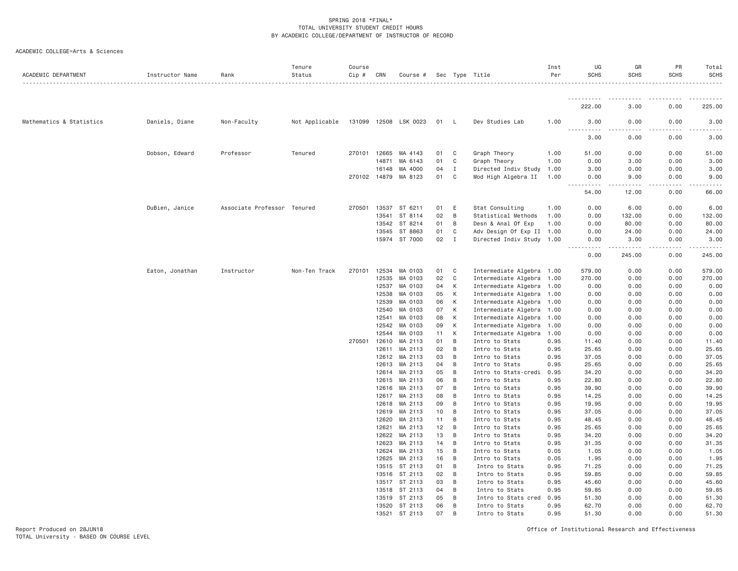| ACADEMIC DEPARTMENT      | Instructor Name | Rank                        | Tenure<br>Status | Course<br>Cip # | CRN            | Course #              |          |                | Sec Type Title                         | Inst<br>Per  | UG<br><b>SCHS</b>      | GR<br><b>SCHS</b>   | PR<br><b>SCHS</b> | Total<br><b>SCHS</b> |
|--------------------------|-----------------|-----------------------------|------------------|-----------------|----------------|-----------------------|----------|----------------|----------------------------------------|--------------|------------------------|---------------------|-------------------|----------------------|
|                          |                 |                             |                  |                 |                |                       |          |                |                                        |              |                        |                     |                   |                      |
|                          |                 |                             |                  |                 |                |                       |          |                |                                        |              | 222.00                 | 3.00                | 0.00              | 225.00               |
| Mathematics & Statistics | Daniels, Diane  | Non-Faculty                 | Not Applicable   |                 |                | 131099 12508 LSK 0023 | 01       | - L            | Dev Studies Lab                        | 1.00         | 3.00<br>.              | 0.00                | 0.00              | 3.00                 |
|                          |                 |                             |                  |                 |                |                       |          |                |                                        |              | -----<br>3.00          | 0.00                | 0.00              | 3.00                 |
|                          | Dobson, Edward  | Professor                   | Tenured          | 270101          | 12665          | MA 4143               | 01       | C              | Graph Theory                           | 1.00         | 51.00                  | 0.00                | 0.00              | 51.00                |
|                          |                 |                             |                  |                 | 14871          | MA 6143               | 01       | $\mathbf C$    | Graph Theory                           | 1.00         | 0.00                   | 3.00                | 0.00              | 3.00                 |
|                          |                 |                             |                  |                 | 16148          | MA 4000               | 04       | $\mathbf{I}$   | Directed Indiv Study                   | 1.00         | 3.00                   | 0.00                | 0.00              | 3.00                 |
|                          |                 |                             |                  | 270102 14879    |                | MA 8123               | 01       | C              | Mod High Algebra II                    | 1.00         | 0.00<br>.<br>$- - - -$ | 9.00<br>$- - - - -$ | 0.00              | 9.00                 |
|                          |                 |                             |                  |                 |                |                       |          |                |                                        |              | 54.00                  | 12.00               | 0.00              | 66.00                |
|                          | DuBien, Janice  | Associate Professor Tenured |                  | 270501          | 13537          | ST 6211               | 01       | E              | Stat Consulting                        | 1.00         | 0.00                   | 6.00                | 0.00              | 6.00                 |
|                          |                 |                             |                  |                 | 13541          | ST 8114               | 02       | B              | Statistical Methods                    | 1.00         | 0.00                   | 132.00              | 0.00              | 132.00               |
|                          |                 |                             |                  |                 | 13542          | ST 8214               | 01       | B              | Desn & Anal Of Exp                     | 1.00         | 0.00                   | 80.00               | 0.00              | 80.00                |
|                          |                 |                             |                  |                 | 13545          | ST 8863               | 01       | C              | Adv Design Of Exp II 1.00              |              | 0.00                   | 24.00               | 0.00              | 24.00                |
|                          |                 |                             |                  |                 |                | 15974 ST 7000         | 02       | $\mathbf{I}$   | Directed Indiv Study 1.00              |              | 0.00<br>$\frac{1}{2}$  | 3.00                | 0.00<br>.         | 3.00                 |
|                          |                 |                             |                  |                 |                |                       |          |                |                                        |              | 0.00                   | 245.00              | 0.00              | 245.00               |
|                          | Eaton, Jonathan | Instructor                  | Non-Ten Track    | 270101          | 12534          | MA 0103               | 01       | C              | Intermediate Algebra 1.00              |              | 579.00                 | 0.00                | 0.00              | 579.00               |
|                          |                 |                             |                  |                 | 12535          | MA 0103               | 02       | C              | Intermediate Algebra 1.00              |              | 270.00                 | 0.00                | 0.00              | 270.00               |
|                          |                 |                             |                  |                 | 12537          | MA 0103               | 04       | К              | Intermediate Algebra 1.00              |              | 0.00                   | 0.00                | 0.00              | 0.00                 |
|                          |                 |                             |                  |                 | 12538          | MA 0103               | 05       | К              | Intermediate Algebra 1.00              |              | 0.00                   | 0.00                | 0.00              | 0.00                 |
|                          |                 |                             |                  |                 | 12539          | MA 0103               | 06       | K              | Intermediate Algebra 1.00              |              | 0.00                   | 0.00                | 0.00              | 0.00                 |
|                          |                 |                             |                  |                 | 12540          | MA 0103               | 07       | К              | Intermediate Algebra 1.00              |              | 0.00                   | 0.00                | 0.00              | 0.00                 |
|                          |                 |                             |                  |                 | 12541          | MA 0103               | 08       | К              | Intermediate Algebra                   | 1.00         | 0.00                   | 0.00                | 0.00              | 0.00                 |
|                          |                 |                             |                  |                 | 12542          | MA 0103               | 09       | К              | Intermediate Algebra                   | 1.00         | 0.00                   | 0.00                | 0.00              | 0.00                 |
|                          |                 |                             |                  |                 | 12544          | MA 0103               | 11       | K              | Intermediate Algebra 1.00              |              | 0.00                   | 0.00                | 0.00              | 0.00                 |
|                          |                 |                             |                  | 270501          | 12610          | MA 2113               | 01       | B              | Intro to Stats                         | 0.95         | 11.40                  | 0.00                | 0.00              | 11.40                |
|                          |                 |                             |                  |                 | 12611          | MA 2113               | 02       | B              | Intro to Stats                         | 0.95         | 25.65                  | 0.00                | 0.00              | 25.65                |
|                          |                 |                             |                  |                 | 12612          | MA 2113               | 03       | $\overline{B}$ | Intro to Stats                         | 0.95         | 37.05                  | 0.00                | 0.00              | 37.05                |
|                          |                 |                             |                  |                 | 12613<br>12614 | MA 2113<br>MA 2113    | 04<br>05 | B<br>B         | Intro to Stats<br>Intro to Stats-credi | 0.95<br>0.95 | 25.65<br>34.20         | 0.00<br>0.00        | 0.00<br>0.00      | 25.65<br>34.20       |
|                          |                 |                             |                  |                 | 12615          | MA 2113               | 06       | B              | Intro to Stats                         | 0.95         | 22.80                  | 0.00                | 0.00              | 22.80                |
|                          |                 |                             |                  |                 | 12616          | MA 2113               | 07       | B              | Intro to Stats                         | 0.95         | 39.90                  | 0.00                | 0.00              | 39.90                |
|                          |                 |                             |                  |                 | 12617          | MA 2113               | 08       | B              | Intro to Stats                         | 0.95         | 14.25                  | 0.00                | 0.00              | 14.25                |
|                          |                 |                             |                  |                 | 12618          | MA 2113               | 09       | B              | Intro to Stats                         | 0.95         | 19.95                  | 0.00                | 0.00              | 19.95                |
|                          |                 |                             |                  |                 |                | 12619 MA 2113         | 10       | B              | Intro to Stats                         | 0.95         | 37.05                  | 0.00                | 0.00              | 37.05                |
|                          |                 |                             |                  |                 | 12620          | MA 2113               | 11       | B              | Intro to Stats                         | 0.95         | 48.45                  | 0.00                | 0.00              | 48.45                |
|                          |                 |                             |                  |                 | 12621          | MA 2113               | 12       | B              | Intro to Stats                         | 0.95         | 25.65                  | 0.00                | 0.00              | 25.65                |
|                          |                 |                             |                  |                 | 12622          | MA 2113               | 13       | B              | Intro to Stats                         | 0.95         | 34.20                  | 0.00                | 0.00              | 34.20                |
|                          |                 |                             |                  |                 | 12623          | MA 2113               | 14       | B              | Intro to Stats                         | 0.95         | 31.35                  | 0.00                | 0.00              | 31.35                |
|                          |                 |                             |                  |                 | 12624          | MA 2113               | 15       | B              | Intro to Stats                         | 0.05         | 1.05                   | 0.00                | 0.00              | 1.05                 |
|                          |                 |                             |                  |                 | 12625          | MA 2113               | 16       | B              | Intro to Stats                         | 0.05         | 1.95                   | 0.00                | 0.00              | 1.95                 |
|                          |                 |                             |                  |                 | 13515          | ST 2113               | 01       | B              | Intro to Stats                         | 0.95         | 71.25                  | 0.00                | 0.00              | 71.25                |
|                          |                 |                             |                  |                 | 13516          | ST 2113               | 02       | $\,$ B         | Intro to Stats                         | 0.95         | 59.85                  | 0.00                | 0.00              | 59.85                |
|                          |                 |                             |                  |                 | 13517          | ST 2113               | 03       | B              | Intro to Stats                         | 0.95         | 45.60                  | 0.00                | 0.00              | 45.60                |
|                          |                 |                             |                  |                 | 13518          | ST 2113               | 04       | B              | Intro to Stats                         | 0.95         | 59.85                  | 0.00                | 0.00              | 59.85                |
|                          |                 |                             |                  |                 | 13519          | ST 2113               | 05       | B              | Intro to Stats cred                    | 0.95         | 51.30                  | 0.00                | 0.00              | 51.30                |
|                          |                 |                             |                  |                 | 13520          | ST 2113               | 06       | B              | Intro to Stats                         | 0.95         | 62.70                  | 0.00                | 0.00              | 62.70                |
|                          |                 |                             |                  |                 | 13521          | ST 2113               | 07       | B              | Intro to Stats                         | 0.95         | 51.30                  | 0.00                | 0.00              | 51.30                |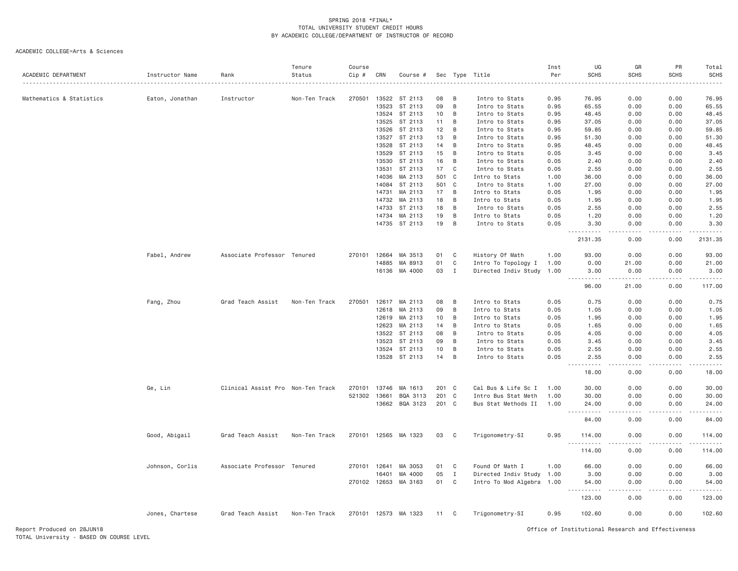| ACADEMIC DEPARTMENT      | Instructor Name | Rank                              | Tenure<br>Status | Course<br>Cip # | CRN          | Course #             | Sec   |              | Type Title                | Inst<br>Per | UG<br><b>SCHS</b>              | GR<br><b>SCHS</b>                   | PR<br><b>SCHS</b> | Total<br><b>SCHS</b> |
|--------------------------|-----------------|-----------------------------------|------------------|-----------------|--------------|----------------------|-------|--------------|---------------------------|-------------|--------------------------------|-------------------------------------|-------------------|----------------------|
|                          |                 |                                   |                  |                 |              |                      |       |              |                           |             |                                |                                     |                   |                      |
| Mathematics & Statistics | Eaton, Jonathan | Instructor                        | Non-Ten Track    | 270501          | 13522        | ST 2113              | 08    | B            | Intro to Stats            | 0.95        | 76.95                          | 0.00                                | 0.00              | 76.95                |
|                          |                 |                                   |                  |                 | 13523        | ST 2113              | 09    | B            | Intro to Stats            | 0.95        | 65.55                          | 0.00                                | 0.00              | 65.55                |
|                          |                 |                                   |                  |                 | 13524        | ST 2113              | 10    | B            | Intro to Stats            | 0.95        | 48.45                          | 0.00                                | 0.00              | 48.45                |
|                          |                 |                                   |                  |                 | 13525        | ST 2113              | 11    | B            | Intro to Stats            | 0.95        | 37.05                          | 0.00                                | 0.00              | 37.05                |
|                          |                 |                                   |                  |                 | 13526        | ST 2113              | 12    | B            | Intro to Stats            | 0.95        | 59.85                          | 0.00                                | 0.00              | 59.85                |
|                          |                 |                                   |                  |                 | 13527        | ST 2113              | 13    | B            | Intro to Stats            | 0.95        | 51.30                          | 0.00                                | 0.00              | 51.30                |
|                          |                 |                                   |                  |                 | 13528        | ST 2113              | 14    | B            | Intro to Stats            | 0.95        | 48.45                          | 0.00                                | 0.00              | 48.45                |
|                          |                 |                                   |                  |                 | 13529        | ST 2113              | 15    | B            | Intro to Stats            | 0.05        | 3.45                           | 0.00                                | 0.00              | 3.45                 |
|                          |                 |                                   |                  |                 | 13530        | ST 2113              | 16    | B            | Intro to Stats            | 0.05        | 2.40                           | 0.00                                | 0.00              | 2.40                 |
|                          |                 |                                   |                  |                 | 13531        | ST 2113              | 17    | $\mathbf{C}$ | Intro to Stats            | 0.05        | 2.55                           | 0.00                                | 0.00              | 2.55                 |
|                          |                 |                                   |                  |                 | 14036        | MA 2113              | 501 C |              | Intro to Stats            | 1.00        | 36.00                          | 0.00                                | 0.00              | 36.00                |
|                          |                 |                                   |                  |                 | 14084        | ST 2113              | 501   | C            | Intro to Stats            | 1.00        | 27.00                          | 0.00                                | 0.00              | 27.00                |
|                          |                 |                                   |                  |                 | 14731        | MA 2113              | 17    | B            | Intro to Stats            | 0.05        | 1.95                           | 0.00                                | 0.00              | 1.95                 |
|                          |                 |                                   |                  |                 | 14732        | MA 2113              | 18    | B            | Intro to Stats            | 0.05        | 1.95                           | 0.00                                | 0.00              | 1.95                 |
|                          |                 |                                   |                  |                 | 14733        | ST 2113              | 18    | B            | Intro to Stats            | 0.05        | 2.55                           | 0.00                                | 0.00              | 2.55                 |
|                          |                 |                                   |                  |                 | 14734        | MA 2113              | 19    | B            | Intro to Stats            | 0.05        | 1.20                           | 0.00                                | 0.00              | 1.20                 |
|                          |                 |                                   |                  |                 |              | 14735 ST 2113        | 19    | B            | Intro to Stats            | 0.05        | 3.30                           | 0.00                                | 0.00              | 3.30                 |
|                          |                 |                                   |                  |                 |              |                      |       |              |                           |             | .<br>2131.35                   | .<br>0.00                           | 0.00              | 2131.35              |
|                          | Fabel, Andrew   | Associate Professor Tenured       |                  | 270101          | 12664        | MA 3513              | 01    | C            | History Of Math           | 1.00        | 93.00                          | 0.00                                | 0.00              | 93.00                |
|                          |                 |                                   |                  |                 | 14885        | MA 8913              | 01    | $\mathsf{C}$ | Intro To Topology I       | 1.00        | 0.00                           | 21.00                               | 0.00              | 21.00                |
|                          |                 |                                   |                  |                 | 16136        | MA 4000              | 03    | Ι.           | Directed Indiv Study 1.00 |             | 3.00                           | 0.00                                | 0.00              | 3.00                 |
|                          |                 |                                   |                  |                 |              |                      |       |              |                           |             | <u>.</u><br>96.00              | .<br>21.00                          | .<br>0.00         | .<br>117.00          |
|                          | Fang, Zhou      | Grad Teach Assist                 | Non-Ten Track    | 270501          | 12617        | MA 2113              | 08    | B            | Intro to Stats            | 0.05        | 0.75                           | 0.00                                | 0.00              | 0.75                 |
|                          |                 |                                   |                  |                 | 12618        | MA 2113              | 09    | B            | Intro to Stats            | 0.05        | 1.05                           | 0.00                                | 0.00              | 1.05                 |
|                          |                 |                                   |                  |                 | 12619        | MA 2113              | 10    | B            | Intro to Stats            | 0.05        | 1.95                           | 0.00                                | 0.00              | 1.95                 |
|                          |                 |                                   |                  |                 | 12623        | MA 2113              | 14    | B            | Intro to Stats            | 0.05        | 1.65                           | 0.00                                | 0.00              | 1.65                 |
|                          |                 |                                   |                  |                 | 13522        | ST 2113              | 08    | B            | Intro to Stats            | 0.05        | 4.05                           | 0.00                                | 0.00              | 4.05                 |
|                          |                 |                                   |                  |                 | 13523        | ST 2113              | 09    | B            | Intro to Stats            | 0.05        | 3.45                           | 0.00                                | 0.00              | 3.45                 |
|                          |                 |                                   |                  |                 | 13524        | ST 2113              | 10    | B            | Intro to Stats            | 0.05        | 2.55                           | 0.00                                | 0.00              | 2.55                 |
|                          |                 |                                   |                  |                 | 13528        | ST 2113              | 14    | B            | Intro to Stats            | 0.05        | 2.55                           | 0.00                                | 0.00              | 2.55                 |
|                          |                 |                                   |                  |                 |              |                      |       |              |                           |             | .<br>18.00                     | $\sim$ $\sim$ $\sim$ $\sim$<br>0.00 | .<br>0.00         | .<br>18.00           |
|                          | Ge, Lin         | Clinical Assist Pro Non-Ten Track |                  | 270101          | 13746        | MA 1613              | 201 C |              | Cal Bus & Life Sc I       | 1.00        | 30.00                          | 0.00                                | 0.00              | 30.00                |
|                          |                 |                                   |                  |                 | 521302 13661 | BQA 3113             | 201   | $\mathbf{C}$ | Intro Bus Stat Meth       | 1.00        | 30.00                          | 0.00                                | 0.00              | 30.00                |
|                          |                 |                                   |                  |                 | 13662        | BQA 3123             | 201 C |              | Bus Stat Methods II       | 1.00        | 24.00                          | 0.00                                | 0.00              | 24.00                |
|                          |                 |                                   |                  |                 |              |                      |       |              |                           |             | <u>.</u><br>84.00              | .<br>0.00                           | -----<br>0.00     | .<br>84.00           |
|                          | Good, Abigail   | Grad Teach Assist                 | Non-Ten Track    | 270101 12565    |              | MA 1323              | 03    | C            | Trigonometry-SI           | 0.95        | 114.00<br>$\sim$ $\sim$ .<br>. | 0.00                                | 0.00              | 114.00               |
|                          |                 |                                   |                  |                 |              |                      |       |              |                           |             | 114.00                         | 0.00                                | 0.00              | 114.00               |
|                          | Johnson, Corlis | Associate Professor Tenured       |                  |                 | 270101 12641 | MA 3053              | 01    | C            | Found Of Math I           | 1.00        | 66.00                          | 0.00                                | 0.00              | 66.00                |
|                          |                 |                                   |                  |                 | 16401        | MA 4000              | 05    | $\mathbf{I}$ | Directed Indiv Study 1.00 |             | 3.00                           | 0.00                                | 0.00              | 3.00                 |
|                          |                 |                                   |                  |                 | 270102 12653 | MA 3163              | 01    | C            | Intro To Mod Algebra 1.00 |             | 54.00                          | 0.00                                | 0.00              | 54.00                |
|                          |                 |                                   |                  |                 |              |                      |       |              |                           |             | 123.00                         | 0.00                                | 0.00              | 123.00               |
|                          | Jones, Chartese | Grad Teach Assist                 | Non-Ten Track    |                 |              | 270101 12573 MA 1323 | 11 C  |              | Trigonometry-SI           | 0.95        | 102.60                         | 0.00                                | 0.00              | 102.60               |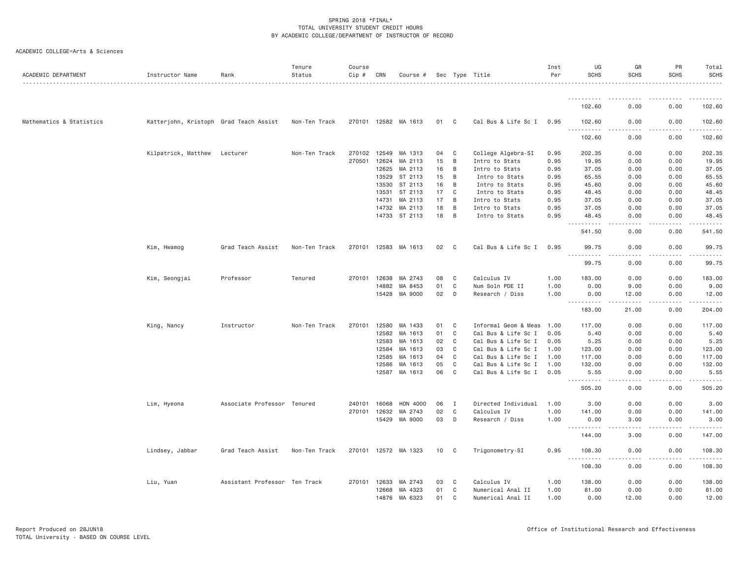| ACADEMIC DEPARTMENT      | Instructor Name                        | Rank                          | Tenure<br>Status | Course<br>Cip # | CRN   | Course #             |                 |              | Sec Type Title       | Inst<br>Per | UG<br><b>SCHS</b>                                                                                                                                           | GR<br><b>SCHS</b> | PR<br><b>SCHS</b> | Total<br><b>SCHS</b> |
|--------------------------|----------------------------------------|-------------------------------|------------------|-----------------|-------|----------------------|-----------------|--------------|----------------------|-------------|-------------------------------------------------------------------------------------------------------------------------------------------------------------|-------------------|-------------------|----------------------|
|                          |                                        |                               |                  |                 |       |                      |                 |              |                      |             |                                                                                                                                                             |                   |                   |                      |
|                          |                                        |                               |                  |                 |       |                      |                 |              |                      |             | 102.60                                                                                                                                                      | 0.00              | 0.00              | 102.60               |
| Mathematics & Statistics | Katterjohn, Kristoph Grad Teach Assist |                               | Non-Ten Track    |                 |       | 270101 12582 MA 1613 | 01              | C            | Cal Bus & Life Sc I  | 0.95        | 102.60                                                                                                                                                      | 0.00              | 0.00              | 102.60               |
|                          |                                        |                               |                  |                 |       |                      |                 |              |                      |             | $\sim$ $\sim$ $\sim$<br>$\begin{array}{cccccccccccccc} \bullet & \bullet & \bullet & \bullet & \bullet & \bullet & \bullet & \bullet \end{array}$<br>102.60 | 0.00              | 0.00              | 102.60               |
|                          | Kilpatrick, Matthew                    | Lecturer                      | Non-Ten Track    | 270102          | 12549 | MA 1313              | 04              | C            | College Algebra-SI   | 0.95        | 202.35                                                                                                                                                      | 0.00              | 0.00              | 202.35               |
|                          |                                        |                               |                  | 270501          | 12624 | MA 2113              | 15              | B            | Intro to Stats       | 0.95        | 19.95                                                                                                                                                       | 0.00              | 0.00              | 19.95                |
|                          |                                        |                               |                  |                 | 12625 | MA 2113              | 16              | B            | Intro to Stats       | 0.95        | 37.05                                                                                                                                                       | 0.00              | 0.00              | 37.05                |
|                          |                                        |                               |                  |                 | 13529 | ST 2113              | 15              | B            | Intro to Stats       | 0.95        | 65.55                                                                                                                                                       | 0.00              | 0.00              | 65.55                |
|                          |                                        |                               |                  |                 | 13530 | ST 2113              | 16              | B            | Intro to Stats       | 0.95        | 45.60                                                                                                                                                       | 0.00              | 0.00              | 45.60                |
|                          |                                        |                               |                  |                 | 13531 | ST 2113              | 17              | $\mathbf{C}$ | Intro to Stats       | 0.95        | 48.45                                                                                                                                                       | 0.00              | 0.00              | 48.45                |
|                          |                                        |                               |                  |                 | 14731 | MA 2113              | 17              | B            | Intro to Stats       | 0.95        | 37.05                                                                                                                                                       | 0.00              | 0.00              | 37.05                |
|                          |                                        |                               |                  |                 | 14732 | MA 2113              | 18              | B            | Intro to Stats       | 0.95        | 37.05                                                                                                                                                       | 0.00              | 0.00              | 37.05                |
|                          |                                        |                               |                  |                 |       | 14733 ST 2113        | 18              | B            | Intro to Stats       | 0.95        | 48.45<br>$\sim$ $\sim$<br>$- - - - -$                                                                                                                       | 0.00<br>$- - -$   | 0.00<br>----      | 48.45<br>.           |
|                          |                                        |                               |                  |                 |       |                      |                 |              |                      |             | 541.50                                                                                                                                                      | 0.00              | 0.00              | 541.50               |
|                          | Kim, Hwamog                            | Grad Teach Assist             | Non-Ten Track    | 270101 12583    |       | MA 1613              | 02              | C            | Cal Bus & Life Sc I  | 0.95        | 99.75<br>.                                                                                                                                                  | 0.00<br>.         | 0.00<br>.         | 99.75<br>.           |
|                          |                                        |                               |                  |                 |       |                      |                 |              |                      |             | 99.75                                                                                                                                                       | 0.00              | 0.00              | 99.75                |
|                          | Kim, Seongjai                          | Professor                     | Tenured          | 270101          | 12638 | MA 2743              | 08              | C            | Calculus IV          | 1.00        | 183.00                                                                                                                                                      | 0.00              | 0.00              | 183.00               |
|                          |                                        |                               |                  |                 | 14882 | MA 8453              | 01              | C            | Num Soln PDE II      | 1.00        | 0.00                                                                                                                                                        | 9.00              | 0.00              | 9.00                 |
|                          |                                        |                               |                  |                 | 15428 | MA 9000              | 02              | D            | Research / Diss      | 1.00        | 0.00<br><u>.</u>                                                                                                                                            | 12.00<br>-----    | 0.00<br>.         | 12.00                |
|                          |                                        |                               |                  |                 |       |                      |                 |              |                      |             | 183.00                                                                                                                                                      | 21.00             | 0.00              | 204.00               |
|                          | King, Nancy                            | Instructor                    | Non-Ten Track    | 270101          | 12580 | MA 1433              | 01              | C            | Informal Geom & Meas | 1.00        | 117.00                                                                                                                                                      | 0.00              | 0.00              | 117.00               |
|                          |                                        |                               |                  |                 | 12582 | MA 1613              | 01              | C            | Cal Bus & Life Sc I  | 0.05        | 5.40                                                                                                                                                        | 0.00              | 0.00              | 5.40                 |
|                          |                                        |                               |                  |                 | 12583 | MA 1613              | 02              | C            | Cal Bus & Life Sc I  | 0.05        | 5.25                                                                                                                                                        | 0.00              | 0.00              | 5.25                 |
|                          |                                        |                               |                  |                 | 12584 | MA 1613              | 03              | C            | Cal Bus & Life Sc I  | 1.00        | 123.00                                                                                                                                                      | 0.00              | 0.00              | 123.00               |
|                          |                                        |                               |                  |                 | 12585 | MA 1613              | 04              | C            | Cal Bus & Life Sc I  | 1.00        | 117.00                                                                                                                                                      | 0.00              | 0.00              | 117.00               |
|                          |                                        |                               |                  |                 | 12586 | MA 1613              | 05              | C            | Cal Bus & Life Sc I  | 1.00        | 132.00                                                                                                                                                      | 0.00              | 0.00              | 132.00               |
|                          |                                        |                               |                  |                 | 12587 | MA 1613              | 06              | $\mathbf{C}$ | Cal Bus & Life Sc I  | 0.05        | 5.55<br><u>.</u>                                                                                                                                            | 0.00<br>.         | 0.00<br>.         | 5.55<br>.            |
|                          |                                        |                               |                  |                 |       |                      |                 |              |                      |             | 505.20                                                                                                                                                      | 0.00              | 0.00              | 505.20               |
|                          | Lim, Hyeona                            | Associate Professor Tenured   |                  | 240101          | 16068 | HON 4000             | 06              | I            | Directed Individual  | 1.00        | 3.00                                                                                                                                                        | 0.00              | 0.00              | 3.00                 |
|                          |                                        |                               |                  | 270101 12632    |       | MA 2743              | 02              | C            | Calculus IV          | 1.00        | 141.00                                                                                                                                                      | 0.00              | 0.00              | 141.00               |
|                          |                                        |                               |                  |                 | 15429 | MA 9000              | 03              | D            | Research / Diss      | 1.00        | 0.00                                                                                                                                                        | 3.00              | 0.00              | 3.00                 |
|                          |                                        |                               |                  |                 |       |                      |                 |              |                      |             | ----------<br>144.00                                                                                                                                        | .<br>3.00         | -----<br>0.00     | . <u>.</u><br>147.00 |
|                          | Lindsey, Jabbar                        | Grad Teach Assist             | Non-Ten Track    |                 |       | 270101 12572 MA 1323 | 10 <sub>1</sub> | C            | Trigonometry-SI      | 0.95        | 108.30                                                                                                                                                      | 0.00              | 0.00              | 108.30               |
|                          |                                        |                               |                  |                 |       |                      |                 |              |                      |             | $\sim$ $\sim$ .<br>.<br>108.30                                                                                                                              | 0.00              | 0.00              | 108.30               |
|                          | Liu, Yuan                              | Assistant Professor Ten Track |                  | 270101 12633    |       | MA 2743              | 03              | C            | Calculus IV          | 1.00        | 138.00                                                                                                                                                      | 0.00              | 0.00              | 138.00               |
|                          |                                        |                               |                  |                 | 12668 | MA 4323              | 01              | C            | Numerical Anal II    | 1.00        | 81.00                                                                                                                                                       | 0.00              | 0.00              | 81.00                |
|                          |                                        |                               |                  |                 | 14876 | MA 6323              | 01              | $\mathbf{C}$ | Numerical Anal II    | 1.00        | 0.00                                                                                                                                                        | 12.00             | 0.00              | 12.00                |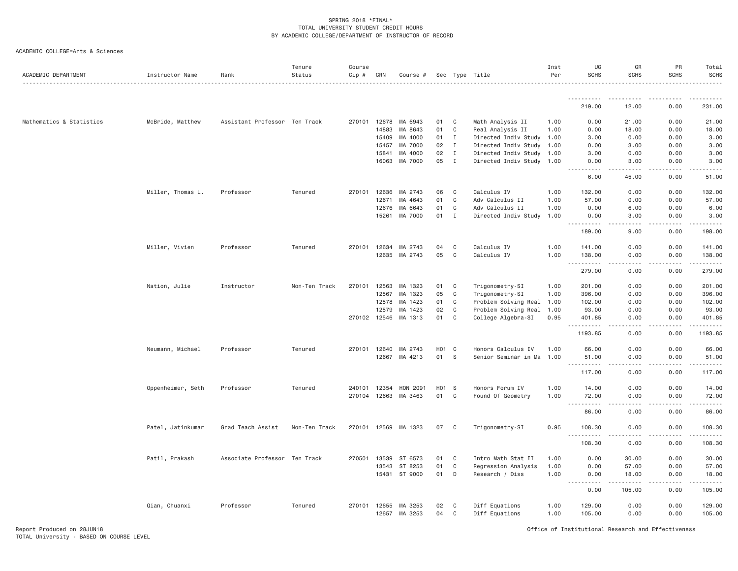| ACADEMIC DEPARTMENT      | Instructor Name   | Rank                          | Tenure<br>Status | Course<br>$Cip$ # | CRN          | Course # |                   |              | Sec Type Title            | Inst<br>Per | UG<br><b>SCHS</b>                                                                                                                                                                                                                                                                           | GR<br><b>SCHS</b>  | PR<br><b>SCHS</b>     | Total<br><b>SCHS</b> |
|--------------------------|-------------------|-------------------------------|------------------|-------------------|--------------|----------|-------------------|--------------|---------------------------|-------------|---------------------------------------------------------------------------------------------------------------------------------------------------------------------------------------------------------------------------------------------------------------------------------------------|--------------------|-----------------------|----------------------|
|                          |                   |                               |                  |                   |              |          |                   |              |                           |             |                                                                                                                                                                                                                                                                                             |                    |                       |                      |
|                          |                   |                               |                  |                   |              |          |                   |              |                           |             | 219.00                                                                                                                                                                                                                                                                                      | 12.00              | 0.00                  | 231.00               |
| Mathematics & Statistics | McBride, Matthew  | Assistant Professor Ten Track |                  |                   | 270101 12678 | MA 6943  | 01                | C            | Math Analysis II          | 1.00        | 0.00                                                                                                                                                                                                                                                                                        | 21.00              | 0.00                  | 21.00                |
|                          |                   |                               |                  |                   | 14883        | MA 8643  | 01                | C            | Real Analysis II          | 1.00        | 0.00                                                                                                                                                                                                                                                                                        | 18.00              | 0.00                  | 18.00                |
|                          |                   |                               |                  |                   | 15409        | MA 4000  | 01                | $\mathbf{I}$ | Directed Indiv Study 1.00 |             | 3.00                                                                                                                                                                                                                                                                                        | 0.00               | 0.00                  | 3.00                 |
|                          |                   |                               |                  |                   | 15457        | MA 7000  | 02                | $\mathbf{I}$ | Directed Indiv Study      | 1.00        | 0.00                                                                                                                                                                                                                                                                                        | 3.00               | 0.00                  | 3.00                 |
|                          |                   |                               |                  |                   | 15841        | MA 4000  | 02                | $\mathbf{I}$ | Directed Indiv Study 1.00 |             | 3.00                                                                                                                                                                                                                                                                                        | 0.00               | 0.00                  | 3.00                 |
|                          |                   |                               |                  |                   | 16063        | MA 7000  | 05                | $\mathbf{I}$ | Directed Indiv Study 1.00 |             | 0.00                                                                                                                                                                                                                                                                                        | 3.00               | 0.00                  | 3.00                 |
|                          |                   |                               |                  |                   |              |          |                   |              |                           |             | 6.00                                                                                                                                                                                                                                                                                        | 45.00              | 0.00                  | 51.00                |
|                          | Miller, Thomas L. | Professor                     | Tenured          |                   | 270101 12636 | MA 2743  | 06                | $\mathbf{C}$ | Calculus IV               | 1.00        | 132.00                                                                                                                                                                                                                                                                                      | 0.00               | 0.00                  | 132.00               |
|                          |                   |                               |                  |                   | 12671        | MA 4643  | 01                | C            | Adv Calculus II           | 1.00        | 57.00                                                                                                                                                                                                                                                                                       | 0.00               | 0.00                  | 57.00                |
|                          |                   |                               |                  |                   | 12676        | MA 6643  | 01                | $\mathsf{C}$ | Adv Calculus II           | 1.00        | 0.00                                                                                                                                                                                                                                                                                        | 6.00               | 0.00                  | 6.00                 |
|                          |                   |                               |                  |                   | 15261        | MA 7000  | 01                | $\mathbf{I}$ | Directed Indiv Study 1.00 |             | 0.00                                                                                                                                                                                                                                                                                        | 3.00               | 0.00                  | 3.00                 |
|                          |                   |                               |                  |                   |              |          |                   |              |                           |             | $\frac{1}{2} \left( \frac{1}{2} \right) \left( \frac{1}{2} \right) \left( \frac{1}{2} \right) \left( \frac{1}{2} \right) \left( \frac{1}{2} \right)$<br>$\frac{1}{2} \left( \frac{1}{2} \right) \left( \frac{1}{2} \right) \left( \frac{1}{2} \right) \left( \frac{1}{2} \right)$<br>189.00 | .<br>9.00          | $\frac{1}{2}$<br>0.00 | 198.00               |
|                          | Miller, Vivien    | Professor                     | Tenured          | 270101            | 12634        | MA 2743  | 04                | C            | Calculus IV               | 1.00        | 141.00                                                                                                                                                                                                                                                                                      | 0.00               | 0.00                  | 141.00               |
|                          |                   |                               |                  |                   | 12635        | MA 2743  | 05                | $\mathbb C$  | Calculus IV               | 1.00        | 138.00                                                                                                                                                                                                                                                                                      | 0.00               | 0.00                  | 138.00               |
|                          |                   |                               |                  |                   |              |          |                   |              |                           |             | .<br>279.00                                                                                                                                                                                                                                                                                 | .<br>0.00          | .<br>0.00             | <u>.</u><br>279.00   |
|                          | Nation, Julie     | Instructor                    | Non-Ten Track    | 270101            | 12563        | MA 1323  | 01                | C            | Trigonometry-SI           | 1.00        | 201.00                                                                                                                                                                                                                                                                                      | 0.00               | 0.00                  | 201.00               |
|                          |                   |                               |                  |                   | 12567        | MA 1323  | 05                | C            | Trigonometry-SI           | 1.00        | 396.00                                                                                                                                                                                                                                                                                      | 0.00               | 0.00                  | 396.00               |
|                          |                   |                               |                  |                   | 12578        | MA 1423  | 01                | C            | Problem Solving Real 1.00 |             | 102.00                                                                                                                                                                                                                                                                                      | 0.00               | 0.00                  | 102.00               |
|                          |                   |                               |                  |                   | 12579        | MA 1423  | 02                | C            | Problem Solving Real      | 1.00        | 93.00                                                                                                                                                                                                                                                                                       | 0.00               | 0.00                  | 93.00                |
|                          |                   |                               |                  |                   | 270102 12546 | MA 1313  | 01                | C            | College Algebra-SI        | 0.95        | 401.85                                                                                                                                                                                                                                                                                      | 0.00               | 0.00                  | 401.85               |
|                          |                   |                               |                  |                   |              |          |                   |              |                           |             | 1193.85                                                                                                                                                                                                                                                                                     | 0.00               | 0.00                  | 1193.85              |
|                          | Neumann, Michael  | Professor                     | Tenured          |                   | 270101 12640 | MA 2743  | H <sub>01</sub> C |              | Honors Calculus IV        | 1.00        | 66.00                                                                                                                                                                                                                                                                                       | 0.00               | 0.00                  | 66.00                |
|                          |                   |                               |                  |                   | 12667        | MA 4213  | 01                | <sub>S</sub> | Senior Seminar in Ma      | 1.00        | 51.00                                                                                                                                                                                                                                                                                       | 0.00               | 0.00                  | 51.00                |
|                          |                   |                               |                  |                   |              |          |                   |              |                           |             | .<br>117.00                                                                                                                                                                                                                                                                                 | .<br>0.00          | $\frac{1}{2}$<br>0.00 | 117.00               |
|                          | Oppenheimer, Seth | Professor                     | Tenured          | 240101            | 12354        | HON 2091 | H01 S             |              | Honors Forum IV           | 1.00        | 14.00                                                                                                                                                                                                                                                                                       | 0.00               | 0.00                  | 14.00                |
|                          |                   |                               |                  |                   | 270104 12663 | MA 3463  | 01                | C            | Found Of Geometry         | 1.00        | 72.00                                                                                                                                                                                                                                                                                       | 0.00               | 0.00                  | 72.00                |
|                          |                   |                               |                  |                   |              |          |                   |              |                           |             | $\frac{1}{2} \left( \frac{1}{2} \right) \left( \frac{1}{2} \right) \left( \frac{1}{2} \right) \left( \frac{1}{2} \right) \left( \frac{1}{2} \right)$<br>86.00                                                                                                                               | 0.00               | .<br>0.00             | 86.00                |
|                          | Patel, Jatinkumar | Grad Teach Assist             | Non-Ten Track    | 270101            | 12569        | MA 1323  | 07                | C            | Trigonometry-SI           | 0.95        | 108,30                                                                                                                                                                                                                                                                                      | 0.00               | 0.00                  | 108.30               |
|                          |                   |                               |                  |                   |              |          |                   |              |                           |             | <u>.</u><br>108.30                                                                                                                                                                                                                                                                          | .<br>$  -$<br>0.00 | .<br>0.00             | . <b>.</b><br>108.30 |
|                          | Patil, Prakash    | Associate Professor Ten Track |                  | 270501            | 13539        | ST 6573  | 01                | C            | Intro Math Stat II        | 1.00        | 0.00                                                                                                                                                                                                                                                                                        | 30.00              | 0.00                  | 30.00                |
|                          |                   |                               |                  |                   | 13543        | ST 8253  | 01                | C            | Regression Analysis       | 1.00        | 0.00                                                                                                                                                                                                                                                                                        | 57.00              | 0.00                  | 57.00                |
|                          |                   |                               |                  |                   | 15431        | ST 9000  | 01                | D            | Research / Diss           | 1,00        | 0.00                                                                                                                                                                                                                                                                                        | 18.00              | 0.00                  | 18.00                |
|                          |                   |                               |                  |                   |              |          |                   |              |                           |             | .<br>0.00                                                                                                                                                                                                                                                                                   | 105.00             | 0.00                  | 105.00               |
|                          | Qian, Chuanxi     | Professor                     | Tenured          |                   | 270101 12655 | MA 3253  | 02                | C            | Diff Equations            | 1.00        | 129.00                                                                                                                                                                                                                                                                                      | 0.00               | 0.00                  | 129.00               |
|                          |                   |                               |                  |                   | 12657        | MA 3253  | 04                | C            | Diff Equations            | 1.00        | 105.00                                                                                                                                                                                                                                                                                      | 0.00               | 0.00                  | 105.00               |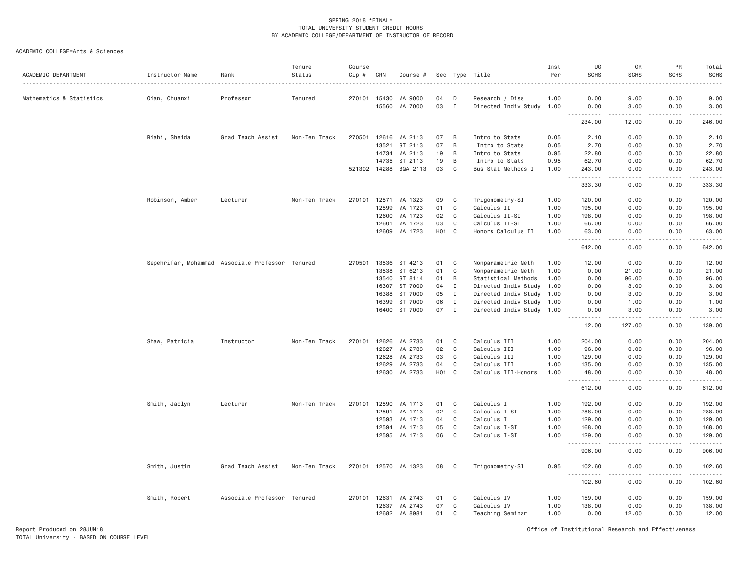| ACADEMIC DEPARTMENT      | Instructor Name                                  | Rank                        | Tenure<br>Status | Course<br>Cip # | CRN          | Course #             | Sec |              | Type Title                | Inst<br>Per | UG<br><b>SCHS</b>                   | GR<br><b>SCHS</b>                   | PR<br><b>SCHS</b> | Total<br><b>SCHS</b>                                                                                                                                          |
|--------------------------|--------------------------------------------------|-----------------------------|------------------|-----------------|--------------|----------------------|-----|--------------|---------------------------|-------------|-------------------------------------|-------------------------------------|-------------------|---------------------------------------------------------------------------------------------------------------------------------------------------------------|
| Mathematics & Statistics | Qian, Chuanxi                                    | Professor                   | Tenured          | 270101          | 15430        | MA 9000              | 04  | D            | Research / Diss           | 1.00        | 0.00                                | 9.00                                | 0.00              | 9.00                                                                                                                                                          |
|                          |                                                  |                             |                  |                 | 15560        | MA 7000              | 03  | $\mathbf{I}$ | Directed Indiv Study 1.00 |             | 0.00<br>د د د د                     | 3.00<br>د د د د د                   | 0.00              | 3.00                                                                                                                                                          |
|                          |                                                  |                             |                  |                 |              |                      |     |              |                           |             | 234.00                              | 12.00                               | 0.00              | 246.00                                                                                                                                                        |
|                          | Riahi, Sheida                                    | Grad Teach Assist           | Non-Ten Track    | 270501          | 12616        | MA 2113              | 07  | B            | Intro to Stats            | 0.05        | 2.10                                | 0.00                                | 0.00              | 2.10                                                                                                                                                          |
|                          |                                                  |                             |                  |                 | 13521        | ST 2113              | 07  | B            | Intro to Stats            | 0.05        | 2.70                                | 0.00                                | 0.00              | 2.70                                                                                                                                                          |
|                          |                                                  |                             |                  |                 | 14734        | MA 2113              | 19  | B            | Intro to Stats            | 0.95        | 22.80                               | 0.00                                | 0.00              | 22.80                                                                                                                                                         |
|                          |                                                  |                             |                  |                 | 14735        | ST 2113              | 19  | B            | Intro to Stats            | 0.95        | 62.70                               | 0.00                                | 0.00              | 62.70                                                                                                                                                         |
|                          |                                                  |                             |                  |                 | 521302 14288 | BQA 2113             | 03  | C            | Bus Stat Methods I        | 1.00        | 243.00                              | 0.00                                | 0.00              | 243.00                                                                                                                                                        |
|                          |                                                  |                             |                  |                 |              |                      |     |              |                           |             | .<br>333.30                         | .<br>0.00                           | .<br>0.00         | .<br>333.30                                                                                                                                                   |
|                          | Robinson, Amber                                  | Lecturer                    | Non-Ten Track    | 270101          | 12571        | MA 1323              | 09  | C            | Trigonometry-SI           | 1.00        | 120.00                              | 0.00                                | 0.00              | 120.00                                                                                                                                                        |
|                          |                                                  |                             |                  |                 | 12599        | MA 1723              | 01  | C            | Calculus II               | 1.00        | 195.00                              | 0.00                                | 0.00              | 195.00                                                                                                                                                        |
|                          |                                                  |                             |                  |                 | 12600        | MA 1723              | 02  | C            | Calculus II-SI            | 1.00        | 198.00                              | 0.00                                | 0.00              | 198.00                                                                                                                                                        |
|                          |                                                  |                             |                  |                 | 12601        | MA 1723              | 03  | C            | Calculus II-SI            | 1.00        | 66.00                               | 0.00                                | 0.00              | 66.00                                                                                                                                                         |
|                          |                                                  |                             |                  |                 | 12609        | MA 1723              | H01 | $\mathbf{C}$ | Honors Calculus II        | 1.00        | 63.00<br>. <b>.</b>                 | 0.00<br>.                           | 0.00<br>.         | 63.00<br>.                                                                                                                                                    |
|                          |                                                  |                             |                  |                 |              |                      |     |              |                           |             | 642.00                              | 0.00                                | 0.00              | 642.00                                                                                                                                                        |
|                          | Sepehrifar, Mohammad Associate Professor Tenured |                             |                  | 270501          | 13536        | ST 4213              | 01  | C            | Nonparametric Meth        | 1.00        | 12.00                               | 0.00                                | 0.00              | 12.00                                                                                                                                                         |
|                          |                                                  |                             |                  |                 | 13538        | ST 6213              | 01  | C            | Nonparametric Meth        | 1.00        | 0.00                                | 21.00                               | 0.00              | 21.00                                                                                                                                                         |
|                          |                                                  |                             |                  |                 | 13540        | ST 8114              | 01  | B            | Statistical Methods       | 1.00        | 0.00                                | 96.00                               | 0.00              | 96.00                                                                                                                                                         |
|                          |                                                  |                             |                  |                 | 16307        | ST 7000              | 04  | $\mathbf{I}$ | Directed Indiv Study      | 1.00        | 0.00                                | 3.00                                | 0.00              | 3.00                                                                                                                                                          |
|                          |                                                  |                             |                  |                 | 16388        | ST 7000              | 05  | $\mathbf I$  | Directed Indiv Study 1.00 |             | 0.00                                | 3.00                                | 0.00              | 3.00                                                                                                                                                          |
|                          |                                                  |                             |                  |                 | 16399        | ST 7000              | 06  | $\mathbf I$  | Directed Indiv Study 1.00 |             | 0.00                                | 1.00                                | 0.00              | 1.00                                                                                                                                                          |
|                          |                                                  |                             |                  |                 | 16400        | ST 7000              | 07  | $\mathbf I$  | Directed Indiv Study 1.00 |             | 0.00<br>-----                       | 3.00<br>-----                       | 0.00<br>.         | 3.00<br>.                                                                                                                                                     |
|                          |                                                  |                             |                  |                 |              |                      |     |              |                           |             | 12.00                               | 127.00                              | 0.00              | 139.00                                                                                                                                                        |
|                          | Shaw, Patricia                                   | Instructor                  | Non-Ten Track    | 270101          | 12626        | MA 2733              | 01  | C            | Calculus III              | 1.00        | 204.00                              | 0.00                                | 0.00              | 204.00                                                                                                                                                        |
|                          |                                                  |                             |                  |                 | 12627        | MA 2733              | 02  | C            | Calculus III              | 1.00        | 96.00                               | 0.00                                | 0.00              | 96.00                                                                                                                                                         |
|                          |                                                  |                             |                  |                 | 12628        | MA 2733              | 03  | C            | Calculus III              | 1.00        | 129.00                              | 0.00                                | 0.00              | 129.00                                                                                                                                                        |
|                          |                                                  |                             |                  |                 | 12629        | MA 2733              | 04  | C            | Calculus III              | 1.00        | 135.00                              | 0.00                                | 0.00              | 135.00                                                                                                                                                        |
|                          |                                                  |                             |                  |                 | 12630        | MA 2733              | H01 | $\mathbf{C}$ | Calculus III-Honors       | 1.00        | 48.00<br>$\sim$ $\sim$ $\sim$<br>.  | 0.00<br>$\sim$ $\sim$ $\sim$ $\sim$ | 0.00              | 48.00<br>$\frac{1}{2} \left( \frac{1}{2} \right) \left( \frac{1}{2} \right) \left( \frac{1}{2} \right) \left( \frac{1}{2} \right) \left( \frac{1}{2} \right)$ |
|                          |                                                  |                             |                  |                 |              |                      |     |              |                           |             | 612.00                              | 0.00                                | 0.00              | 612.00                                                                                                                                                        |
|                          | Smith, Jaclyn                                    | Lecturer                    | Non-Ten Track    | 270101          | 12590        | MA 1713              | 01  | C            | Calculus I                | 1.00        | 192.00                              | 0.00                                | 0.00              | 192.00                                                                                                                                                        |
|                          |                                                  |                             |                  |                 | 12591        | MA 1713              | 02  | C            | Calculus I-SI             | 1.00        | 288.00                              | 0.00                                | 0.00              | 288.00                                                                                                                                                        |
|                          |                                                  |                             |                  |                 | 12593        | MA 1713              | 04  | C            | Calculus I                | 1.00        | 129.00                              | 0.00                                | 0.00              | 129.00                                                                                                                                                        |
|                          |                                                  |                             |                  |                 | 12594        | MA 1713              | 05  | C            | Calculus I-SI             | 1.00        | 168.00                              | 0.00                                | 0.00              | 168.00                                                                                                                                                        |
|                          |                                                  |                             |                  |                 |              | 12595 MA 1713        | 06  | C            | Calculus I-SI             | 1.00        | 129.00<br>.                         | 0.00<br>.                           | 0.00<br>.         | 129.00<br>والمالم المالية                                                                                                                                     |
|                          |                                                  |                             |                  |                 |              |                      |     |              |                           |             | 906.00                              | 0.00                                | 0.00              | 906.00                                                                                                                                                        |
|                          | Smith, Justin                                    | Grad Teach Assist           | Non-Ten Track    |                 |              | 270101 12570 MA 1323 | 08  | C            | Trigonometry-SI           | 0.95        | 102.60<br>$\sim$ $\sim$ $\sim$<br>. | 0.00                                | 0.00              | 102.60<br>.                                                                                                                                                   |
|                          |                                                  |                             |                  |                 |              |                      |     |              |                           |             | 102.60                              | 0.00                                | 0.00              | 102.60                                                                                                                                                        |
|                          | Smith, Robert                                    | Associate Professor Tenured |                  | 270101          | 12631        | MA 2743              | 01  | C            | Calculus IV               | 1.00        | 159.00                              | 0.00                                | 0.00              | 159.00                                                                                                                                                        |
|                          |                                                  |                             |                  |                 | 12637        | MA 2743              | 07  | C            | Calculus IV               | 1.00        | 138.00                              | 0.00                                | 0.00              | 138.00                                                                                                                                                        |
|                          |                                                  |                             |                  |                 | 12682        | MA 8981              | 01  | C            | Teaching Seminar          | 1.00        | 0.00                                | 12.00                               | 0.00              | 12.00                                                                                                                                                         |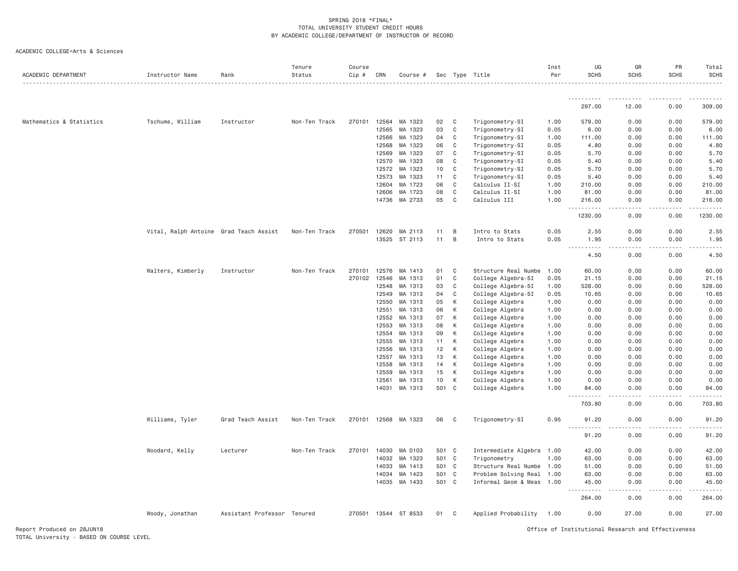| ACADEMIC DEPARTMENT      | Instructor Name                        | Rank                        | Tenure<br>Status | Course<br>Cip # | CRN   | Course #      |       |              | Sec Type Title            | Inst<br>Per | UG<br><b>SCHS</b>                                        | GR<br><b>SCHS</b>                   | PR<br><b>SCHS</b> | Total<br><b>SCHS</b><br>. |
|--------------------------|----------------------------------------|-----------------------------|------------------|-----------------|-------|---------------|-------|--------------|---------------------------|-------------|----------------------------------------------------------|-------------------------------------|-------------------|---------------------------|
|                          |                                        |                             |                  |                 |       |               |       |              |                           |             | .                                                        | .                                   | $- - - - -$       | $- - - - - -$             |
|                          |                                        |                             |                  |                 |       |               |       |              |                           |             | 297.00                                                   | 12.00                               | 0.00              | 309.00                    |
| Mathematics & Statistics | Tschume, William                       | Instructor                  | Non-Ten Track    | 270101          | 12564 | MA 1323       | 02    | C            | Trigonometry-SI           | 1.00        | 579.00                                                   | 0.00                                | 0.00              | 579.00                    |
|                          |                                        |                             |                  |                 | 12565 | MA 1323       | 03    | C            | Trigonometry-SI           | 0.05        | 6.00                                                     | 0.00                                | 0.00              | 6.00                      |
|                          |                                        |                             |                  |                 | 12566 | MA 1323       | 04    | C            | Trigonometry-SI           | 1.00        | 111.00                                                   | 0.00                                | 0.00              | 111.00                    |
|                          |                                        |                             |                  |                 | 12568 | MA 1323       | 06    | C            | Trigonometry-SI           | 0.05        | 4.80                                                     | 0.00                                | 0.00              | 4.80                      |
|                          |                                        |                             |                  |                 | 12569 | MA 1323       | 07    | C            | Trigonometry-SI           | 0.05        | 5.70                                                     | 0.00                                | 0.00              | 5.70                      |
|                          |                                        |                             |                  |                 | 12570 | MA 1323       | 08    | C            | Trigonometry-SI           | 0.05        | 5.40                                                     | 0.00                                | 0.00              | 5.40                      |
|                          |                                        |                             |                  |                 | 12572 | MA 1323       | 10    | C            | Trigonometry-SI           | 0.05        | 5.70                                                     | 0.00                                | 0.00              | 5.70                      |
|                          |                                        |                             |                  |                 | 12573 | MA 1323       | 11    | C            | Trigonometry-SI           | 0.05        | 5.40                                                     | 0.00                                | 0.00              | 5.40                      |
|                          |                                        |                             |                  |                 | 12604 | MA 1723       | 06    | $\mathbb C$  | Calculus II-SI            | 1.00        | 210.00                                                   | 0.00                                | 0.00              | 210.00                    |
|                          |                                        |                             |                  |                 | 12606 | MA 1723       | 08    | $\mathbb C$  | Calculus II-SI            | 1.00        | 81.00                                                    | 0.00                                | 0.00              | 81.00                     |
|                          |                                        |                             |                  |                 | 14736 | MA 2733       | 05    | C            | Calculus III              | 1.00        | 216.00<br><b>.</b><br>$\sim$ $\sim$                      | 0.00<br>$\sim$ $\sim$ $\sim$ $\sim$ | 0.00<br>.         | 216.00<br>.               |
|                          |                                        |                             |                  |                 |       |               |       |              |                           |             | 1230.00                                                  | 0.00                                | 0.00              | 1230.00                   |
|                          | Vital, Ralph Antoine Grad Teach Assist |                             | Non-Ten Track    | 270501          | 12620 | MA 2113       | 11    | B            | Intro to Stats            | 0.05        | 2.55                                                     | 0.00                                | 0.00              | 2.55                      |
|                          |                                        |                             |                  |                 |       | 13525 ST 2113 | 11    | B            | Intro to Stats            | 0.05        | 1.95                                                     | 0.00                                | 0.00              | 1.95                      |
|                          |                                        |                             |                  |                 |       |               |       |              |                           |             | $\omega$ is a $\omega$<br>$\omega$ is a $\omega$<br>4.50 | $\sim$ $\sim$ $\sim$ $\sim$<br>0.00 | 0.00              | 4.50                      |
|                          | Walters, Kimberly                      | Instructor                  | Non-Ten Track    | 270101          | 12576 | MA 1413       | 01    | C            | Structure Real Numbe      | 1.00        | 60.00                                                    | 0.00                                | 0.00              | 60.00                     |
|                          |                                        |                             |                  | 270102          | 12546 | MA 1313       | 01    | C            | College Algebra-SI        | 0.05        | 21.15                                                    | 0.00                                | 0.00              | 21.15                     |
|                          |                                        |                             |                  |                 | 12548 | MA 1313       | 03    | C            | College Algebra-SI        | 1.00        | 528.00                                                   | 0.00                                | 0.00              | 528.00                    |
|                          |                                        |                             |                  |                 | 12549 | MA 1313       | 04    | C            | College Algebra-SI        | 0.05        | 10.65                                                    | 0.00                                | 0.00              | 10.65                     |
|                          |                                        |                             |                  |                 | 12550 | MA 1313       | 05    | К            | College Algebra           | 1.00        | 0.00                                                     | 0.00                                | 0.00              | 0.00                      |
|                          |                                        |                             |                  |                 | 12551 | MA 1313       | 06    | К            | College Algebra           | 1.00        | 0.00                                                     | 0.00                                | 0.00              | 0.00                      |
|                          |                                        |                             |                  |                 | 12552 | MA 1313       | 07    | К            | College Algebra           | 1.00        | 0.00                                                     | 0.00                                | 0.00              | 0.00                      |
|                          |                                        |                             |                  |                 | 12553 | MA 1313       | 08    | К            | College Algebra           | 1.00        | 0.00                                                     | 0.00                                | 0.00              | 0.00                      |
|                          |                                        |                             |                  |                 | 12554 | MA 1313       | 09    | K            | College Algebra           | 1.00        | 0.00                                                     | 0.00                                | 0.00              | 0.00                      |
|                          |                                        |                             |                  |                 | 12555 | MA 1313       | 11    | К            | College Algebra           | 1.00        | 0.00                                                     | 0.00                                | 0.00              | 0.00                      |
|                          |                                        |                             |                  |                 | 12556 | MA 1313       | 12    | К            | College Algebra           | 1.00        | 0.00                                                     | 0.00                                | 0.00              | 0.00                      |
|                          |                                        |                             |                  |                 | 12557 | MA 1313       | 13    | К            | College Algebra           | 1.00        | 0.00                                                     | 0.00                                | 0.00              | 0.00                      |
|                          |                                        |                             |                  |                 | 12558 | MA 1313       | 14    | K            | College Algebra           | 1.00        | 0.00                                                     | 0.00                                | 0.00              | 0.00                      |
|                          |                                        |                             |                  |                 | 12559 | MA 1313       | 15    | К            | College Algebra           | 1.00        | 0.00                                                     | 0.00                                | 0.00              | 0.00                      |
|                          |                                        |                             |                  |                 | 12561 | MA 1313       | 10    | К            | College Algebra           | 1.00        | 0.00                                                     | 0.00                                | 0.00              | 0.00                      |
|                          |                                        |                             |                  |                 | 14031 | MA 1313       | 501   | C            | College Algebra           | 1.00        | 84.00<br>$\sim$ $\sim$ $\sim$<br>.                       | 0.00<br>$\sim$ $\sim$ $\sim$ $\sim$ | 0.00<br>-----     | 84.00<br>.                |
|                          |                                        |                             |                  |                 |       |               |       |              |                           |             | 703.80                                                   | 0.00                                | 0.00              | 703.80                    |
|                          | Williams, Tyler                        | Grad Teach Assist           | Non-Ten Track    | 270101          | 12568 | MA 1323       | 06    | C            | Trigonometry-SI           | 0.95        | 91.20<br>$\sim$ $\sim$ $\sim$                            | 0.00                                | 0.00              | 91.20                     |
|                          |                                        |                             |                  |                 |       |               |       |              |                           |             | 91.20                                                    | 0.00                                | 0.00              | 91.20                     |
|                          | Woodard, Kelly                         | Lecturer                    | Non-Ten Track    | 270101          | 14030 | MA 0103       | 501 C |              | Intermediate Algebra 1.00 |             | 42.00                                                    | 0.00                                | 0.00              | 42.00                     |
|                          |                                        |                             |                  |                 | 14032 | MA 1323       | 501 C |              | Trigonometry              | 1.00        | 63.00                                                    | 0.00                                | 0.00              | 63.00                     |
|                          |                                        |                             |                  |                 | 14033 | MA 1413       | 501   | $\mathbf{C}$ | Structure Real Numbe 1.00 |             | 51.00                                                    | 0.00                                | 0.00              | 51.00                     |
|                          |                                        |                             |                  |                 | 14034 | MA 1423       | 501   | $\mathbf{C}$ | Problem Solving Real 1.00 |             | 63.00                                                    | 0.00                                | 0.00              | 63.00                     |
|                          |                                        |                             |                  |                 | 14035 | MA 1433       | 501 C |              | Informal Geom & Meas 1.00 |             | 45.00                                                    | 0.00                                | 0.00              | 45.00                     |
|                          |                                        |                             |                  |                 |       |               |       |              |                           |             | 264.00                                                   | 0.00                                | 0.00              | 264.00                    |
|                          | Woody, Jonathan                        | Assistant Professor Tenured |                  | 270501          |       | 13544 ST 8533 | 01    | C            | Applied Probability 1.00  |             | 0.00                                                     | 27.00                               | 0.00              | 27.00                     |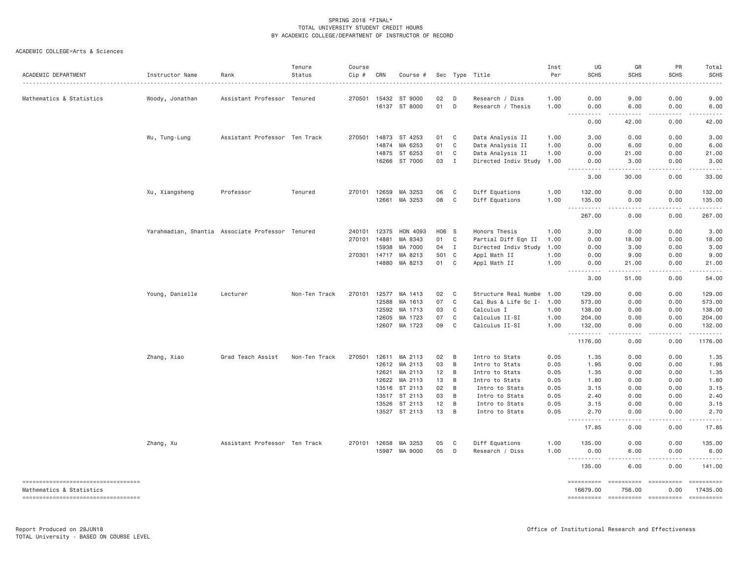| ACADEMIC DEPARTMENT                                            | Instructor Name | Rank                                             | Tenure<br>Status | Course<br>Cip # | CRN          | Course #                 |          |              | Sec Type Title                    | Inst<br>Per  | UG<br><b>SCHS</b>                                                                                                                                                                      | GR<br>SCHS                                                                                                                                                    | PR<br>SCHS                                                                                                                                                                              | Total<br><b>SCHS</b>                                                                                                                                                                                                                                                                                                                                                                                                                             |
|----------------------------------------------------------------|-----------------|--------------------------------------------------|------------------|-----------------|--------------|--------------------------|----------|--------------|-----------------------------------|--------------|----------------------------------------------------------------------------------------------------------------------------------------------------------------------------------------|---------------------------------------------------------------------------------------------------------------------------------------------------------------|-----------------------------------------------------------------------------------------------------------------------------------------------------------------------------------------|--------------------------------------------------------------------------------------------------------------------------------------------------------------------------------------------------------------------------------------------------------------------------------------------------------------------------------------------------------------------------------------------------------------------------------------------------|
| Mathematics & Statistics                                       | Woody, Jonathan | Assistant Professor Tenured                      |                  |                 | 270501 15432 | ST 9000                  | 02       | D            | Research / Diss                   | 1.00         | 0.00                                                                                                                                                                                   | 9.00                                                                                                                                                          | 0.00                                                                                                                                                                                    | 9.00                                                                                                                                                                                                                                                                                                                                                                                                                                             |
|                                                                |                 |                                                  |                  |                 |              | 16137 ST 8000            | 01       | D            | Research / Thesis                 | 1.00         | 0.00<br>$\frac{1}{2}$<br>$\frac{1}{2} \left( \frac{1}{2} \right) \left( \frac{1}{2} \right) \left( \frac{1}{2} \right) \left( \frac{1}{2} \right)$                                     | 6.00<br>$\frac{1}{2} \left( \frac{1}{2} \right) \left( \frac{1}{2} \right) \left( \frac{1}{2} \right) \left( \frac{1}{2} \right) \left( \frac{1}{2} \right)$  | 0.00<br>-----                                                                                                                                                                           | 6.00<br>.                                                                                                                                                                                                                                                                                                                                                                                                                                        |
|                                                                |                 |                                                  |                  |                 |              |                          |          |              |                                   |              | 0.00                                                                                                                                                                                   | 42.00                                                                                                                                                         | 0.00                                                                                                                                                                                    | 42.00                                                                                                                                                                                                                                                                                                                                                                                                                                            |
|                                                                | Wu, Tung-Lung   | Assistant Professor                              | Ten Track        | 270501          | 14873        | ST 4253                  | 01       | C            | Data Analysis II                  | 1.00         | 3.00                                                                                                                                                                                   | 0.00                                                                                                                                                          | 0.00                                                                                                                                                                                    | 3.00                                                                                                                                                                                                                                                                                                                                                                                                                                             |
|                                                                |                 |                                                  |                  |                 | 14874        | MA 6253                  | 01       | C            | Data Analysis II                  | 1.00         | 0.00                                                                                                                                                                                   | 6.00                                                                                                                                                          | 0.00                                                                                                                                                                                    | 6.00                                                                                                                                                                                                                                                                                                                                                                                                                                             |
|                                                                |                 |                                                  |                  |                 | 14875        | ST 6253                  | 01       | C            | Data Analysis II                  | 1.00         | 0.00                                                                                                                                                                                   | 21.00                                                                                                                                                         | 0.00                                                                                                                                                                                    | 21.00                                                                                                                                                                                                                                                                                                                                                                                                                                            |
|                                                                |                 |                                                  |                  |                 | 16266        | ST 7000                  | 03       | $\mathbf{I}$ | Directed Indiv Study              | 1,00         | 0.00                                                                                                                                                                                   | 3.00                                                                                                                                                          | 0.00                                                                                                                                                                                    | 3.00                                                                                                                                                                                                                                                                                                                                                                                                                                             |
|                                                                |                 |                                                  |                  |                 |              |                          |          |              |                                   |              | <b></b><br>3.00                                                                                                                                                                        | $\frac{1}{2} \left( \frac{1}{2} \right) \left( \frac{1}{2} \right) \left( \frac{1}{2} \right) \left( \frac{1}{2} \right) \left( \frac{1}{2} \right)$<br>30.00 | $\frac{1}{2} \left( \frac{1}{2} \right) \left( \frac{1}{2} \right) \left( \frac{1}{2} \right) \left( \frac{1}{2} \right) \left( \frac{1}{2} \right) \left( \frac{1}{2} \right)$<br>0.00 | .<br>33.00                                                                                                                                                                                                                                                                                                                                                                                                                                       |
|                                                                | Xu, Xiangsheng  | Professor                                        | Tenured          |                 | 270101 12659 | MA 3253                  | 06       | C            | Diff Equations                    | 1.00         | 132.00                                                                                                                                                                                 | 0.00                                                                                                                                                          | 0.00                                                                                                                                                                                    | 132.00                                                                                                                                                                                                                                                                                                                                                                                                                                           |
|                                                                |                 |                                                  |                  |                 | 12661        | MA 3253                  | 08       | C            | Diff Equations                    | 1.00         | 135.00                                                                                                                                                                                 | 0.00                                                                                                                                                          | 0.00                                                                                                                                                                                    | 135.00                                                                                                                                                                                                                                                                                                                                                                                                                                           |
|                                                                |                 |                                                  |                  |                 |              |                          |          |              |                                   |              | $\frac{1}{2} \left( \frac{1}{2} \right) \left( \frac{1}{2} \right) \left( \frac{1}{2} \right) \left( \frac{1}{2} \right) \left( \frac{1}{2} \right)$<br>$\sim$ $\sim$ $\sim$<br>267.00 | .<br>0.00                                                                                                                                                     | .<br>0.00                                                                                                                                                                               | .<br>267.00                                                                                                                                                                                                                                                                                                                                                                                                                                      |
|                                                                |                 | Yarahmadian, Shantia Associate Professor Tenured |                  |                 | 240101 12375 | HON 4093                 | H06 S    |              | Honors Thesis                     | 1.00         | 3.00                                                                                                                                                                                   | 0.00                                                                                                                                                          | 0.00                                                                                                                                                                                    | 3.00                                                                                                                                                                                                                                                                                                                                                                                                                                             |
|                                                                |                 |                                                  |                  | 270101          | 14881        | MA 8343                  | 01       | C            | Partial Diff Eqn II               | 1.00         | 0.00                                                                                                                                                                                   | 18.00                                                                                                                                                         | 0.00                                                                                                                                                                                    | 18.00                                                                                                                                                                                                                                                                                                                                                                                                                                            |
|                                                                |                 |                                                  |                  |                 | 15938        | MA 7000                  | 04       | $\mathbf I$  | Directed Indiv Study              | 1.00         | 0.00                                                                                                                                                                                   | 3.00                                                                                                                                                          | 0.00                                                                                                                                                                                    | 3.00                                                                                                                                                                                                                                                                                                                                                                                                                                             |
|                                                                |                 |                                                  |                  |                 | 270301 14717 | MA 8213                  | 501 C    |              | Appl Math II                      | 1.00         | 0.00                                                                                                                                                                                   | 9.00                                                                                                                                                          | 0.00                                                                                                                                                                                    | 9.00                                                                                                                                                                                                                                                                                                                                                                                                                                             |
|                                                                |                 |                                                  |                  |                 | 14880        | MA 8213                  | 01       | C            | Appl Math II                      | 1.00         | 0.00<br>.                                                                                                                                                                              | 21.00                                                                                                                                                         | 0.00                                                                                                                                                                                    | 21.00                                                                                                                                                                                                                                                                                                                                                                                                                                            |
|                                                                |                 |                                                  |                  |                 |              |                          |          |              |                                   |              | 3,00                                                                                                                                                                                   | 51.00                                                                                                                                                         | 0.00                                                                                                                                                                                    | 54.00                                                                                                                                                                                                                                                                                                                                                                                                                                            |
|                                                                | Young, Danielle | Lecturer                                         | Non-Ten Track    | 270101          | 12577        | MA 1413                  | 02       | C            | Structure Real Numbe              | 1.00         | 129.00                                                                                                                                                                                 | 0.00                                                                                                                                                          | 0.00                                                                                                                                                                                    | 129.00                                                                                                                                                                                                                                                                                                                                                                                                                                           |
|                                                                |                 |                                                  |                  |                 | 12588        | MA 1613                  | 07       | C            | Cal Bus & Life Sc I- 1.00         |              | 573.00                                                                                                                                                                                 | 0.00                                                                                                                                                          | 0.00                                                                                                                                                                                    | 573.00                                                                                                                                                                                                                                                                                                                                                                                                                                           |
|                                                                |                 |                                                  |                  |                 | 12592        | MA 1713                  | 03       | C            | Calculus I                        | 1.00         | 138.00                                                                                                                                                                                 | 0.00                                                                                                                                                          | 0.00                                                                                                                                                                                    | 138.00                                                                                                                                                                                                                                                                                                                                                                                                                                           |
|                                                                |                 |                                                  |                  |                 | 12605        | MA 1723                  | 07       | C            | Calculus II-SI                    | 1.00         | 204.00                                                                                                                                                                                 | 0.00                                                                                                                                                          | 0.00                                                                                                                                                                                    | 204.00                                                                                                                                                                                                                                                                                                                                                                                                                                           |
|                                                                |                 |                                                  |                  |                 | 12607        | MA 1723                  | 09       | C            | Calculus II-SI                    | 1.00         | 132.00                                                                                                                                                                                 | 0.00                                                                                                                                                          | 0.00                                                                                                                                                                                    | 132.00                                                                                                                                                                                                                                                                                                                                                                                                                                           |
|                                                                |                 |                                                  |                  |                 |              |                          |          |              |                                   |              | 1176.00                                                                                                                                                                                | 0.00                                                                                                                                                          | 0.00                                                                                                                                                                                    | 1176.00                                                                                                                                                                                                                                                                                                                                                                                                                                          |
|                                                                | Zhang, Xiao     | Grad Teach Assist                                | Non-Ten Track    | 270501          | 12611        | MA 2113                  | 02       | B            | Intro to Stats                    | 0.05         | 1.35                                                                                                                                                                                   | 0.00                                                                                                                                                          | 0.00                                                                                                                                                                                    | 1.35                                                                                                                                                                                                                                                                                                                                                                                                                                             |
|                                                                |                 |                                                  |                  |                 | 12612        | MA 2113                  | 03       | B            | Intro to Stats                    | 0.05         | 1.95                                                                                                                                                                                   | 0.00                                                                                                                                                          | 0.00                                                                                                                                                                                    | 1.95                                                                                                                                                                                                                                                                                                                                                                                                                                             |
|                                                                |                 |                                                  |                  |                 | 12621        | MA 2113                  | 12       | B            | Intro to Stats                    | 0.05         | 1.35                                                                                                                                                                                   | 0.00                                                                                                                                                          | 0.00                                                                                                                                                                                    | 1.35                                                                                                                                                                                                                                                                                                                                                                                                                                             |
|                                                                |                 |                                                  |                  |                 | 12622        | MA 2113                  | 13       | B            | Intro to Stats                    | 0.05         | 1.80                                                                                                                                                                                   | 0.00                                                                                                                                                          | 0.00                                                                                                                                                                                    | 1.80                                                                                                                                                                                                                                                                                                                                                                                                                                             |
|                                                                |                 |                                                  |                  |                 |              | 13516 ST 2113            | 02       | B            | Intro to Stats                    | 0.05         | 3.15                                                                                                                                                                                   | 0.00                                                                                                                                                          | 0.00                                                                                                                                                                                    | 3.15                                                                                                                                                                                                                                                                                                                                                                                                                                             |
|                                                                |                 |                                                  |                  |                 | 13517        | ST 2113                  | 03       | B            | Intro to Stats                    | 0.05         | 2.40                                                                                                                                                                                   | 0.00                                                                                                                                                          | 0.00                                                                                                                                                                                    | 2.40                                                                                                                                                                                                                                                                                                                                                                                                                                             |
|                                                                |                 |                                                  |                  |                 | 13526        | ST 2113<br>13527 ST 2113 | 12<br>13 | B<br>B       | Intro to Stats<br>Intro to Stats  | 0.05<br>0.05 | 3.15<br>2.70                                                                                                                                                                           | 0.00<br>0.00                                                                                                                                                  | 0.00<br>0.00                                                                                                                                                                            | 3.15<br>2.70                                                                                                                                                                                                                                                                                                                                                                                                                                     |
|                                                                |                 |                                                  |                  |                 |              |                          |          |              |                                   |              | .<br>$\frac{1}{2} \left( \frac{1}{2} \right) \left( \frac{1}{2} \right) \left( \frac{1}{2} \right) \left( \frac{1}{2} \right)$<br>17.85                                                | .<br>0.00                                                                                                                                                     | 0.00                                                                                                                                                                                    | 17.85                                                                                                                                                                                                                                                                                                                                                                                                                                            |
|                                                                |                 |                                                  |                  |                 |              |                          |          |              |                                   |              |                                                                                                                                                                                        |                                                                                                                                                               |                                                                                                                                                                                         |                                                                                                                                                                                                                                                                                                                                                                                                                                                  |
|                                                                | Zhang, Xu       | Assistant Professor Ten Track                    |                  |                 | 270101 12658 | MA 3253<br>15987 MA 9000 | 05<br>05 | C<br>D       | Diff Equations<br>Research / Diss | 1.00<br>1.00 | 135.00<br>0.00                                                                                                                                                                         | 0.00<br>6.00                                                                                                                                                  | 0.00                                                                                                                                                                                    | 135.00<br>6.00                                                                                                                                                                                                                                                                                                                                                                                                                                   |
|                                                                |                 |                                                  |                  |                 |              |                          |          |              |                                   |              | <u>.</u>                                                                                                                                                                               | .                                                                                                                                                             | 0.00<br>$- - - - -$                                                                                                                                                                     | . <u>.</u>                                                                                                                                                                                                                                                                                                                                                                                                                                       |
|                                                                |                 |                                                  |                  |                 |              |                          |          |              |                                   |              | 135.00                                                                                                                                                                                 | 6.00                                                                                                                                                          | 0.00                                                                                                                                                                                    | 141.00                                                                                                                                                                                                                                                                                                                                                                                                                                           |
| ----------------------------------<br>Mathematics & Statistics |                 |                                                  |                  |                 |              |                          |          |              |                                   |              | 16679.00                                                                                                                                                                               | $=$ ==========<br>756.00                                                                                                                                      | 0.00                                                                                                                                                                                    | $\begin{minipage}{0.9\linewidth} \hspace*{-0.2cm} \textbf{1} & \textbf{2} & \textbf{3} & \textbf{5} & \textbf{6} & \textbf{7} \\ \textbf{5} & \textbf{6} & \textbf{7} & \textbf{8} & \textbf{8} & \textbf{8} & \textbf{9} \\ \textbf{6} & \textbf{7} & \textbf{8} & \textbf{8} & \textbf{8} & \textbf{9} & \textbf{9} \\ \textbf{7} & \textbf{8} & \textbf{8} & \textbf{8} & \textbf{9} & \textbf{9} & \textbf{9} \\ \textbf{8} & \$<br>17435.00 |
| -----------------------------------                            |                 |                                                  |                  |                 |              |                          |          |              |                                   |              |                                                                                                                                                                                        | ---------- ---------- ----------                                                                                                                              |                                                                                                                                                                                         | $= 222222222222$                                                                                                                                                                                                                                                                                                                                                                                                                                 |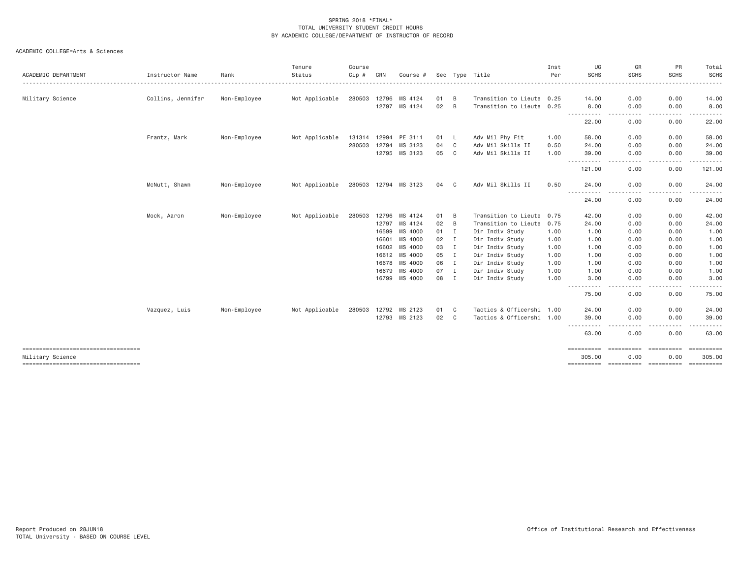|                                                        |                   |              | Tenure         | Course |       |                      |    |                          |                                                         | Inst | UG                                                                                                                                                                                                                                                                                                                                                                                                                 | GR                 | PR                 | Total                                                                                                                                                                                                                                                                                                                                                                                                                                                                                          |
|--------------------------------------------------------|-------------------|--------------|----------------|--------|-------|----------------------|----|--------------------------|---------------------------------------------------------|------|--------------------------------------------------------------------------------------------------------------------------------------------------------------------------------------------------------------------------------------------------------------------------------------------------------------------------------------------------------------------------------------------------------------------|--------------------|--------------------|------------------------------------------------------------------------------------------------------------------------------------------------------------------------------------------------------------------------------------------------------------------------------------------------------------------------------------------------------------------------------------------------------------------------------------------------------------------------------------------------|
| ACADEMIC DEPARTMENT                                    | Instructor Name   | Rank         | Status<br>.    | Cip #  | CRN   | Course #             |    |                          | Sec Type Title<br>------------------------------------- | Per  | <b>SCHS</b>                                                                                                                                                                                                                                                                                                                                                                                                        | <b>SCHS</b><br>.   | <b>SCHS</b>        | SCHS<br>$\begin{array}{cccccccccccccc} \multicolumn{2}{c}{} & \multicolumn{2}{c}{} & \multicolumn{2}{c}{} & \multicolumn{2}{c}{} & \multicolumn{2}{c}{} & \multicolumn{2}{c}{} & \multicolumn{2}{c}{} & \multicolumn{2}{c}{} & \multicolumn{2}{c}{} & \multicolumn{2}{c}{} & \multicolumn{2}{c}{} & \multicolumn{2}{c}{} & \multicolumn{2}{c}{} & \multicolumn{2}{c}{} & \multicolumn{2}{c}{} & \multicolumn{2}{c}{} & \multicolumn{2}{c}{} & \multicolumn{2}{c}{} & \multicolumn{2}{c}{} & \$ |
| Military Science                                       | Collins, Jennifer | Non-Employee | Not Applicable | 280503 | 12796 | MS 4124              | 01 | B                        | Transition to Lieute 0.25                               |      | 14.00                                                                                                                                                                                                                                                                                                                                                                                                              | 0.00               | 0.00               | 14.00                                                                                                                                                                                                                                                                                                                                                                                                                                                                                          |
|                                                        |                   |              |                |        |       | 12797 MS 4124        | 02 | B                        | Transition to Lieute 0.25                               |      | 8.00                                                                                                                                                                                                                                                                                                                                                                                                               | 0.00               | 0.00               | 8.00                                                                                                                                                                                                                                                                                                                                                                                                                                                                                           |
|                                                        |                   |              |                |        |       |                      |    |                          |                                                         |      | -----<br>-----                                                                                                                                                                                                                                                                                                                                                                                                     | ----               | .                  | .                                                                                                                                                                                                                                                                                                                                                                                                                                                                                              |
|                                                        |                   |              |                |        |       |                      |    |                          |                                                         |      | 22.00                                                                                                                                                                                                                                                                                                                                                                                                              | 0.00               | 0.00               | 22.00                                                                                                                                                                                                                                                                                                                                                                                                                                                                                          |
|                                                        | Frantz, Mark      | Non-Employee | Not Applicable |        |       | 131314 12994 PE 3111 | 01 | $\overline{\phantom{a}}$ | Adv Mil Phy Fit                                         | 1.00 | 58.00                                                                                                                                                                                                                                                                                                                                                                                                              | 0.00               | 0.00               | 58.00                                                                                                                                                                                                                                                                                                                                                                                                                                                                                          |
|                                                        |                   |              |                | 280503 | 12794 | MS 3123              | 04 | C                        | Adv Mil Skills II                                       | 0.50 | 24.00                                                                                                                                                                                                                                                                                                                                                                                                              | 0.00               | 0.00               | 24.00                                                                                                                                                                                                                                                                                                                                                                                                                                                                                          |
|                                                        |                   |              |                |        |       | 12795 MS 3123        | 05 | $\mathbf{C}$             | Adv Mil Skills II                                       | 1.00 | 39.00                                                                                                                                                                                                                                                                                                                                                                                                              | 0.00               | 0.00               | 39.00                                                                                                                                                                                                                                                                                                                                                                                                                                                                                          |
|                                                        |                   |              |                |        |       |                      |    |                          |                                                         |      | $\frac{1}{2} \frac{1}{2} \frac{1}{2} \frac{1}{2} \frac{1}{2} \frac{1}{2} \frac{1}{2} \frac{1}{2} \frac{1}{2} \frac{1}{2} \frac{1}{2} \frac{1}{2} \frac{1}{2} \frac{1}{2} \frac{1}{2} \frac{1}{2} \frac{1}{2} \frac{1}{2} \frac{1}{2} \frac{1}{2} \frac{1}{2} \frac{1}{2} \frac{1}{2} \frac{1}{2} \frac{1}{2} \frac{1}{2} \frac{1}{2} \frac{1}{2} \frac{1}{2} \frac{1}{2} \frac{1}{2} \frac{$<br>$\cdots$<br>121.00 | ----<br>0.00       | - - - - -<br>0.00  | 121.00                                                                                                                                                                                                                                                                                                                                                                                                                                                                                         |
|                                                        | McNutt, Shawn     | Non-Employee | Not Applicable |        |       | 280503 12794 MS 3123 | 04 | C <sub>1</sub>           | Adv Mil Skills II                                       | 0.50 | 24.00                                                                                                                                                                                                                                                                                                                                                                                                              | 0.00               | 0.00               | 24.00                                                                                                                                                                                                                                                                                                                                                                                                                                                                                          |
|                                                        |                   |              |                |        |       |                      |    |                          |                                                         |      | $\frac{1}{2}$<br>24.00                                                                                                                                                                                                                                                                                                                                                                                             | 0.00               | 0.00               | 24.00                                                                                                                                                                                                                                                                                                                                                                                                                                                                                          |
|                                                        | Mock, Aaron       | Non-Employee | Not Applicable | 280503 | 12796 | MS 4124              | 01 | B                        | Transition to Lieute 0.75                               |      | 42.00                                                                                                                                                                                                                                                                                                                                                                                                              | 0.00               | 0.00               | 42.00                                                                                                                                                                                                                                                                                                                                                                                                                                                                                          |
|                                                        |                   |              |                |        | 12797 | MS 4124              | 02 | B                        | Transition to Lieute 0.75                               |      | 24.00                                                                                                                                                                                                                                                                                                                                                                                                              | 0.00               | 0.00               | 24.00                                                                                                                                                                                                                                                                                                                                                                                                                                                                                          |
|                                                        |                   |              |                |        | 16599 | MS 4000              | 01 | I                        | Dir Indiv Study                                         | 1.00 | 1.00                                                                                                                                                                                                                                                                                                                                                                                                               | 0.00               | 0.00               | 1.00                                                                                                                                                                                                                                                                                                                                                                                                                                                                                           |
|                                                        |                   |              |                |        | 16601 | MS 4000              | 02 | I                        | Dir Indiv Study                                         | 1.00 | 1.00                                                                                                                                                                                                                                                                                                                                                                                                               | 0.00               | 0.00               | 1.00                                                                                                                                                                                                                                                                                                                                                                                                                                                                                           |
|                                                        |                   |              |                |        | 16602 | MS 4000              | 03 | $\mathbf{I}$             | Dir Indiv Study                                         | 1.00 | 1.00                                                                                                                                                                                                                                                                                                                                                                                                               | 0.00               | 0.00               | 1.00                                                                                                                                                                                                                                                                                                                                                                                                                                                                                           |
|                                                        |                   |              |                |        |       | 16612 MS 4000        | 05 | $\mathbf{I}$             | Dir Indiv Study                                         | 1.00 | 1.00                                                                                                                                                                                                                                                                                                                                                                                                               | 0.00               | 0.00               | 1.00                                                                                                                                                                                                                                                                                                                                                                                                                                                                                           |
|                                                        |                   |              |                |        |       | 16678 MS 4000        | 06 | $\blacksquare$           | Dir Indiv Study                                         | 1.00 | 1.00                                                                                                                                                                                                                                                                                                                                                                                                               | 0.00               | 0.00               | 1.00                                                                                                                                                                                                                                                                                                                                                                                                                                                                                           |
|                                                        |                   |              |                |        | 16679 | MS 4000              | 07 | $\mathbf I$              | Dir Indiv Study                                         | 1.00 | 1.00                                                                                                                                                                                                                                                                                                                                                                                                               | 0.00               | 0.00               | 1.00                                                                                                                                                                                                                                                                                                                                                                                                                                                                                           |
|                                                        |                   |              |                |        |       | 16799 MS 4000        | 08 | I                        | Dir Indiv Study                                         | 1.00 | 3.00                                                                                                                                                                                                                                                                                                                                                                                                               | 0.00               | 0.00               | 3.00                                                                                                                                                                                                                                                                                                                                                                                                                                                                                           |
|                                                        |                   |              |                |        |       |                      |    |                          |                                                         |      | $\cdots$<br>$  -$<br>75.00                                                                                                                                                                                                                                                                                                                                                                                         | 0.00               | 0.00               | 75.00                                                                                                                                                                                                                                                                                                                                                                                                                                                                                          |
|                                                        | Vazquez, Luis     | Non-Employee | Not Applicable | 280503 | 12792 | MS 2123              | 01 | $\mathbf{C}$             | Tactics & Officershi 1.00                               |      | 24.00                                                                                                                                                                                                                                                                                                                                                                                                              | 0.00               | 0.00               | 24.00                                                                                                                                                                                                                                                                                                                                                                                                                                                                                          |
|                                                        |                   |              |                |        | 12793 | MS 2123              | 02 | $\mathbf{C}$             | Tactics & Officershi 1.00                               |      | 39,00                                                                                                                                                                                                                                                                                                                                                                                                              | 0.00               | 0.00               | 39.00                                                                                                                                                                                                                                                                                                                                                                                                                                                                                          |
|                                                        |                   |              |                |        |       |                      |    |                          |                                                         |      | .<br>63.00                                                                                                                                                                                                                                                                                                                                                                                                         | .<br>0.00          | .<br>0.00          | .<br>63.00                                                                                                                                                                                                                                                                                                                                                                                                                                                                                     |
| ----------------------------------<br>Military Science |                   |              |                |        |       |                      |    |                          |                                                         |      | ==========<br>305.00                                                                                                                                                                                                                                                                                                                                                                                               | ==========<br>0.00 | ==========<br>0.00 | ==========<br>305.00                                                                                                                                                                                                                                                                                                                                                                                                                                                                           |
| ======================================                 |                   |              |                |        |       |                      |    |                          |                                                         |      |                                                                                                                                                                                                                                                                                                                                                                                                                    |                    |                    |                                                                                                                                                                                                                                                                                                                                                                                                                                                                                                |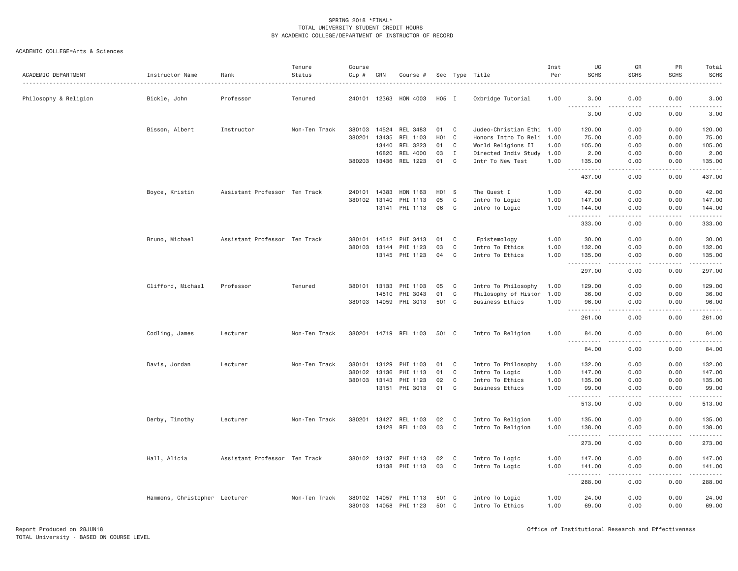| ACADEMIC DEPARTMENT   | Instructor Name               | Rank                          | Tenure<br>Status | Course<br>Cip # | CRN          | Course #              |                  |              | Sec Type Title            | Inst<br>Per | UG<br><b>SCHS</b>                   | GR<br><b>SCHS</b>            | PR<br><b>SCHS</b> | Total<br><b>SCHS</b>                                                                                                                                           |
|-----------------------|-------------------------------|-------------------------------|------------------|-----------------|--------------|-----------------------|------------------|--------------|---------------------------|-------------|-------------------------------------|------------------------------|-------------------|----------------------------------------------------------------------------------------------------------------------------------------------------------------|
| Philosophy & Religion | Bickle, John                  | Professor                     | Tenured          |                 |              | 240101 12363 HON 4003 | H05 I            |              | Oxbridge Tutorial         | 1.00        | 3.00                                | 0.00<br>.<br>.               | 0.00              | 3.00<br>$2 - 2 - 2 - 2$                                                                                                                                        |
|                       |                               |                               |                  |                 |              |                       |                  |              |                           |             | .<br>3.00                           | 0.00                         | 0.00              | 3.00                                                                                                                                                           |
|                       | Bisson, Albert                | Instructor                    | Non-Ten Track    | 380103          | 14524        | REL 3483              | 01               | $\mathbf{C}$ | Judeo-Christian Ethi 1.00 |             | 120.00                              | 0.00                         | 0.00              | 120.00                                                                                                                                                         |
|                       |                               |                               |                  | 380201 13435    |              | REL 1103              | H <sub>0</sub> 1 | $\mathbf{C}$ | Honors Intro To Reli 1.00 |             | 75.00                               | 0.00                         | 0.00              | 75.00                                                                                                                                                          |
|                       |                               |                               |                  |                 | 13440        | REL 3223              | 01               | C            | World Religions II        | 1.00        | 105.00                              | 0.00                         | 0.00              | 105.00                                                                                                                                                         |
|                       |                               |                               |                  |                 | 16820        | REL 4000              | 03               | $\mathbf{I}$ | Directed Indiv Study 1.00 |             | 2.00                                | 0.00                         | 0.00              | 2.00                                                                                                                                                           |
|                       |                               |                               |                  |                 |              | 380203 13436 REL 1223 | 01               | $\mathbf C$  | Intr To New Test          | 1.00        | 135.00<br>н.,                       | 0.00<br>د د د د              | 0.00<br>-----     | 135.00<br>$\frac{1}{2} \left( \frac{1}{2} \right) \left( \frac{1}{2} \right) \left( \frac{1}{2} \right) \left( \frac{1}{2} \right) \left( \frac{1}{2} \right)$ |
|                       |                               |                               |                  |                 |              |                       |                  |              |                           |             | 437.00                              | 0.00                         | 0.00              | 437.00                                                                                                                                                         |
|                       | Boyce, Kristin                | Assistant Professor Ten Track |                  | 240101 14383    |              | HON 1163              | H01 S            |              | The Quest I               | 1.00        | 42.00                               | 0.00                         | 0.00              | 42.00                                                                                                                                                          |
|                       |                               |                               |                  |                 | 380102 13140 | PHI 1113              | 05               | $\mathbf C$  | Intro To Logic            | 1.00        | 147.00                              | 0.00                         | 0.00              | 147.00                                                                                                                                                         |
|                       |                               |                               |                  |                 |              | 13141 PHI 1113        | 06               | $\mathbf{C}$ | Intro To Logic            | 1.00        | 144.00<br>$\sim$ $\sim$ .<br>.      | 0.00<br>.                    | 0.00<br>.         | 144.00<br>$\frac{1}{2} \left( \frac{1}{2} \right) \left( \frac{1}{2} \right) \left( \frac{1}{2} \right) \left( \frac{1}{2} \right) \left( \frac{1}{2} \right)$ |
|                       |                               |                               |                  |                 |              |                       |                  |              |                           |             | 333.00                              | 0.00                         | 0.00              | 333.00                                                                                                                                                         |
|                       | Bruno, Michael                | Assistant Professor Ten Track |                  |                 |              | 380101 14512 PHI 3413 | 01               | C            | Epistemology              | 1.00        | 30.00                               | 0.00                         | 0.00              | 30.00                                                                                                                                                          |
|                       |                               |                               |                  | 380103          | 13144        | PHI 1123              | 03               | $\mathbf{C}$ | Intro To Ethics           | 1.00        | 132.00                              | 0.00                         | 0.00              | 132.00                                                                                                                                                         |
|                       |                               |                               |                  |                 |              | 13145 PHI 1123        | 04               | $\mathbf{C}$ | Intro To Ethics           | 1.00        | 135.00                              | 0.00                         | 0.00              | 135.00                                                                                                                                                         |
|                       |                               |                               |                  |                 |              |                       |                  |              |                           |             | $\sim$ $\sim$ $\sim$<br>.<br>297.00 | $- - - -$<br>0.00            | .<br>0.00         | <u>.</u><br>297.00                                                                                                                                             |
|                       | Clifford, Michael             | Professor                     | Tenured          |                 |              | 380101 13133 PHI 1103 | 05               | C            | Intro To Philosophy       | 1.00        | 129.00                              | 0.00                         | 0.00              | 129.00                                                                                                                                                         |
|                       |                               |                               |                  |                 | 14510        | PHI 3043              | 01               | C            | Philosophy of Histor      | 1.00        | 36.00                               | 0.00                         | 0.00              | 36.00                                                                                                                                                          |
|                       |                               |                               |                  |                 | 380103 14059 | PHI 3013              | 501 C            |              | <b>Business Ethics</b>    | 1.00        | 96.00                               | 0.00                         | 0.00              | 96.00                                                                                                                                                          |
|                       |                               |                               |                  |                 |              |                       |                  |              |                           |             | $\sim$ $\sim$ $\sim$ $\sim$<br>.    |                              |                   | -----                                                                                                                                                          |
|                       |                               |                               |                  |                 |              |                       |                  |              |                           |             | 261.00                              | 0.00                         | 0.00              | 261.00                                                                                                                                                         |
|                       | Codling, James                | Lecturer                      | Non-Ten Track    |                 |              | 380201 14719 REL 1103 | 501 C            |              | Intro To Religion         | 1.00        | 84.00<br>$  -$                      | 0.00<br>$\sim$ $\sim$ $\sim$ | 0.00              | 84.00                                                                                                                                                          |
|                       |                               |                               |                  |                 |              |                       |                  |              |                           |             | 84.00                               | 0.00                         | 0.00              | 84.00                                                                                                                                                          |
|                       | Davis, Jordan                 | Lecturer                      | Non-Ten Track    | 380101 13129    |              | PHI 1103              | 01               | C            | Intro To Philosophy       | 1.00        | 132.00                              | 0.00                         | 0.00              | 132.00                                                                                                                                                         |
|                       |                               |                               |                  | 380102          | 13136        | PHI 1113              | 01               | C            | Intro To Logic            | 1.00        | 147.00                              | 0.00                         | 0.00              | 147.00                                                                                                                                                         |
|                       |                               |                               |                  |                 | 380103 13143 | PHI 1123              | 02               | $\mathbf C$  | Intro To Ethics           | 1.00        | 135.00                              | 0.00                         | 0.00              | 135.00                                                                                                                                                         |
|                       |                               |                               |                  |                 |              | 13151 PHI 3013        | 01               | $\mathbf{C}$ | <b>Business Ethics</b>    | 1.00        | 99.00<br>.<br>$\sim$ $\sim$ $\sim$  | 0.00<br>د د د د              | 0.00<br>.         | 99.00<br>$\frac{1}{2} \left( \frac{1}{2} \right) \left( \frac{1}{2} \right) \left( \frac{1}{2} \right) \left( \frac{1}{2} \right) \left( \frac{1}{2} \right)$  |
|                       |                               |                               |                  |                 |              |                       |                  |              |                           |             | 513.00                              | 0.00                         | 0.00              | 513.00                                                                                                                                                         |
|                       | Derby, Timothy                | Lecturer                      | Non-Ten Track    |                 |              | 380201 13427 REL 1103 | 02               | C            | Intro To Religion         | 1.00        | 135.00                              | 0.00                         | 0.00              | 135.00                                                                                                                                                         |
|                       |                               |                               |                  |                 |              | 13428 REL 1103        | 03               | $\mathbf{C}$ | Intro To Religion         | 1.00        | 138.00                              | 0.00                         | 0.00              | 138.00                                                                                                                                                         |
|                       |                               |                               |                  |                 |              |                       |                  |              |                           |             | .<br>273.00                         | .<br>0.00                    | .<br>0.00         | .<br>273.00                                                                                                                                                    |
|                       | Hall, Alicia                  | Assistant Professor Ten Track |                  |                 | 380102 13137 | PHI 1113              | 02               | C            | Intro To Logic            | 1.00        | 147.00                              | 0.00                         | 0.00              | 147.00                                                                                                                                                         |
|                       |                               |                               |                  |                 |              | 13138 PHI 1113        | 03               | $\mathbf C$  | Intro To Logic            | 1.00        | 141.00                              | 0.00                         | 0.00              | 141.00                                                                                                                                                         |
|                       |                               |                               |                  |                 |              |                       |                  |              |                           |             | .<br>$\sim$ $\sim$ $\sim$<br>288.00 | .<br>0.00                    | .<br>0.00         | .<br>288.00                                                                                                                                                    |
|                       | Hammons, Christopher Lecturer |                               | Non-Ten Track    | 380102 14057    |              | PHI 1113              | 501 C            |              | Intro To Logic            | 1.00        | 24.00                               | 0.00                         | 0.00              | 24.00                                                                                                                                                          |
|                       |                               |                               |                  |                 |              | 380103 14058 PHI 1123 | 501 C            |              | Intro To Ethics           | 1.00        | 69.00                               | 0.00                         | 0.00              | 69.00                                                                                                                                                          |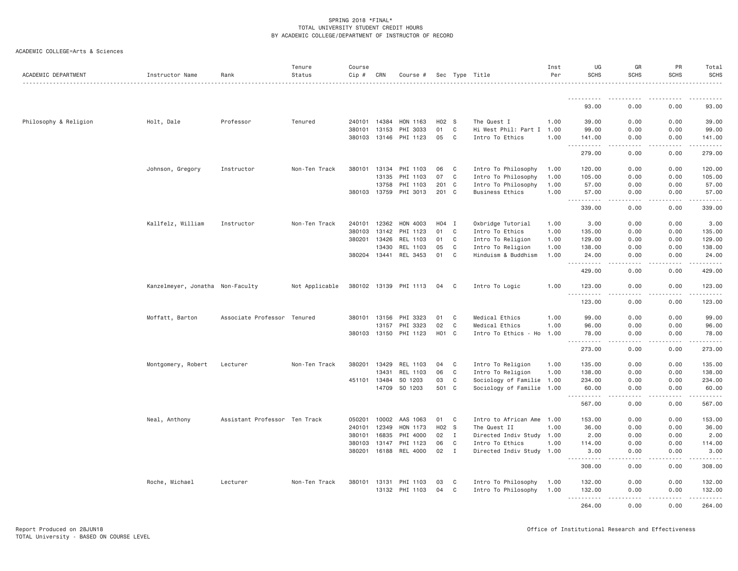| ACADEMIC DEPARTMENT   | Instructor Name                  | Rank                          | Tenure<br>Status | Course<br>Cip # | CRN   | Course #              |         |                | Sec Type Title            | Inst<br>Per | UG<br><b>SCHS</b>      | GR<br><b>SCHS</b>            | PR<br><b>SCHS</b> | Total<br><b>SCHS</b>                                                                                                               |
|-----------------------|----------------------------------|-------------------------------|------------------|-----------------|-------|-----------------------|---------|----------------|---------------------------|-------------|------------------------|------------------------------|-------------------|------------------------------------------------------------------------------------------------------------------------------------|
|                       |                                  |                               |                  |                 |       |                       |         |                |                           |             |                        |                              |                   |                                                                                                                                    |
|                       |                                  |                               |                  |                 |       |                       |         |                |                           |             | 93.00                  | 0.00                         | 0.00              | 93.00                                                                                                                              |
| Philosophy & Religion | Holt, Dale                       | Professor                     | Tenured          | 240101          | 14384 | HON 1163              | $H02$ S |                | The Quest I               | 1.00        | 39,00                  | 0.00                         | 0.00              | 39,00                                                                                                                              |
|                       |                                  |                               |                  | 380101          | 13153 | PHI 3033              | 01      | C              | Hi West Phil: Part I 1.00 |             | 99.00                  | 0.00                         | 0.00              | 99.00                                                                                                                              |
|                       |                                  |                               |                  | 380103          | 13146 | PHI 1123              | 05      | C              | Intro To Ethics           | 1.00        | 141.00<br>.<br>$  -$   | 0.00<br>.                    | 0.00<br>.         | 141.00<br>$- - - - - -$                                                                                                            |
|                       |                                  |                               |                  |                 |       |                       |         |                |                           |             | 279.00                 | 0.00                         | 0.00              | 279.00                                                                                                                             |
|                       | Johnson, Gregory                 | Instructor                    | Non-Ten Track    | 380101          | 13134 | PHI 1103              | 06      | C <sub>1</sub> | Intro To Philosophy       | 1.00        | 120.00                 | 0.00                         | 0.00              | 120.00                                                                                                                             |
|                       |                                  |                               |                  |                 | 13135 | PHI 1103              | 07      | C              | Intro To Philosophy       | 1.00        | 105.00                 | 0.00                         | 0.00              | 105.00                                                                                                                             |
|                       |                                  |                               |                  |                 | 13758 | PHI 1103              | 201 C   |                | Intro To Philosophy       | 1.00        | 57.00                  | 0.00                         | 0.00              | 57.00                                                                                                                              |
|                       |                                  |                               |                  | 380103          | 13759 | PHI 3013              | 201 C   |                | <b>Business Ethics</b>    | 1.00        | 57.00<br><u>.</u>      | 0.00<br>.                    | 0.00<br><u>.</u>  | 57.00<br>.                                                                                                                         |
|                       |                                  |                               |                  |                 |       |                       |         |                |                           |             | 339.00                 | 0.00                         | 0.00              | 339.00                                                                                                                             |
|                       | Kallfelz, William                | Instructor                    | Non-Ten Track    | 240101          | 12362 | HON 4003              | H04     | I              | Oxbridge Tutorial         | 1,00        | 3,00                   | 0.00                         | 0.00              | 3.00                                                                                                                               |
|                       |                                  |                               |                  | 380103          | 13142 | PHI 1123              | 01      | C              | Intro To Ethics           | 1.00        | 135.00                 | 0.00                         | 0.00              | 135.00                                                                                                                             |
|                       |                                  |                               |                  | 380201          | 13426 | REL 1103              | 01      | C              | Intro To Religion         | 1.00        | 129.00                 | 0.00                         | 0.00              | 129.00                                                                                                                             |
|                       |                                  |                               |                  |                 | 13430 | REL 1103              | 05      | C              | Intro To Religion         | 1.00        | 138.00                 | 0.00                         | 0.00              | 138.00                                                                                                                             |
|                       |                                  |                               |                  | 380204          | 13441 | REL 3453              | 01      | C              | Hinduism & Buddhism       | 1.00        | 24.00<br><u>.</u>      | 0.00<br>د د د د              | 0.00<br>-----     | 24.00<br>-----                                                                                                                     |
|                       |                                  |                               |                  |                 |       |                       |         |                |                           |             | 429.00                 | 0.00                         | 0.00              | 429.00                                                                                                                             |
|                       | Kanzelmeyer, Jonatha Non-Faculty |                               | Not Applicable   |                 |       | 380102 13139 PHI 1113 | 04      | C              | Intro To Logic            | 1.00        | 123.00<br>.            | 0.00<br>$\sim$ $\sim$ $\sim$ | 0.00<br>.         | 123.00<br>$\alpha$ , $\alpha$ , $\alpha$ , $\alpha$ , $\alpha$                                                                     |
|                       |                                  |                               |                  |                 |       |                       |         |                |                           |             | 123.00                 | 0.00                         | 0.00              | 123.00                                                                                                                             |
|                       | Moffatt, Barton                  | Associate Professor Tenured   |                  | 380101          | 13156 | PHI 3323              | 01      | C              | Medical Ethics            | 1.00        | 99.00                  | 0.00                         | 0.00              | 99.00                                                                                                                              |
|                       |                                  |                               |                  |                 | 13157 | PHI 3323              | 02      | C              | Medical Ethics            | 1,00        | 96.00                  | 0.00                         | 0.00              | 96.00                                                                                                                              |
|                       |                                  |                               |                  |                 |       | 380103 13150 PHI 1123 | H01 C   |                | Intro To Ethics - Ho 1.00 |             | 78.00<br>. <b>.</b>    | 0.00<br>.                    | 0.00<br>.         | 78.00<br><u>.</u>                                                                                                                  |
|                       |                                  |                               |                  |                 |       |                       |         |                |                           |             | 273.00                 | 0.00                         | 0.00              | 273.00                                                                                                                             |
|                       | Montgomery, Robert               | Lecturer                      | Non-Ten Track    | 380201          | 13429 | REL 1103              | 04      | $\mathbf{C}$   | Intro To Religion         | 1.00        | 135.00                 | 0.00                         | 0.00              | 135.00                                                                                                                             |
|                       |                                  |                               |                  |                 | 13431 | REL 1103              | 06      | C              | Intro To Religion         | 1.00        | 138.00                 | 0.00                         | 0.00              | 138.00                                                                                                                             |
|                       |                                  |                               |                  | 451101          | 13484 | SO 1203               | 03      | C              | Sociology of Familie 1.00 |             | 234.00                 | 0.00                         | 0.00              | 234.00                                                                                                                             |
|                       |                                  |                               |                  |                 | 14709 | SO 1203               | 501 C   |                | Sociology of Familie 1.00 |             | 60.00<br>.             | 0.00<br>د د د د              | 0.00<br>-----     | 60.00<br>$\begin{array}{cccccccccccccc} \bullet & \bullet & \bullet & \bullet & \bullet & \bullet & \bullet & \bullet \end{array}$ |
|                       |                                  |                               |                  |                 |       |                       |         |                |                           |             | 567.00                 | 0.00                         | 0.00              | 567.00                                                                                                                             |
|                       | Neal, Anthony                    | Assistant Professor Ten Track |                  | 050201          | 10002 | AAS 1063              | 01      | C              | Intro to African Ame      | 1.00        | 153.00                 | 0.00                         | 0.00              | 153.00                                                                                                                             |
|                       |                                  |                               |                  | 240101          | 12349 | HON 1173              | H02 S   |                | The Quest II              | 1.00        | 36.00                  | 0.00                         | 0.00              | 36.00                                                                                                                              |
|                       |                                  |                               |                  | 380101          | 16835 | PHI 4000              | 02      | $\mathbf{I}$   | Directed Indiv Study 1.00 |             | 2.00                   | 0.00                         | 0.00              | 2.00                                                                                                                               |
|                       |                                  |                               |                  | 380103          | 13147 | PHI 1123              | 06      | C              | Intro To Ethics           | 1.00        | 114.00                 | 0.00                         | 0.00              | 114.00                                                                                                                             |
|                       |                                  |                               |                  | 380201          | 16188 | REL 4000              | 02      | $\mathbf{I}$   | Directed Indiv Study 1.00 |             | 3.00<br>.              | 0.00                         | 0.00              | 3.00<br>$\alpha$ , $\alpha$ , $\alpha$ , $\alpha$ , $\alpha$                                                                       |
|                       |                                  |                               |                  |                 |       |                       |         |                |                           |             | 308.00                 | 0.00                         | 0.00              | 308.00                                                                                                                             |
|                       | Roche, Michael                   | Lecturer                      | Non-Ten Track    | 380101          | 13131 | PHI 1103              | 03      | C              | Intro To Philosophy       | 1.00        | 132.00                 | 0.00                         | 0.00              | 132.00                                                                                                                             |
|                       |                                  |                               |                  |                 | 13132 | PHI 1103              | 04      | C              | Intro To Philosophy       | 1.00        | 132.00                 | 0.00                         | 0.00              | 132.00                                                                                                                             |
|                       |                                  |                               |                  |                 |       |                       |         |                |                           |             | .<br>$- - -$<br>264.00 | د د د د<br>0.00              | -----<br>0.00     | .<br>264.00                                                                                                                        |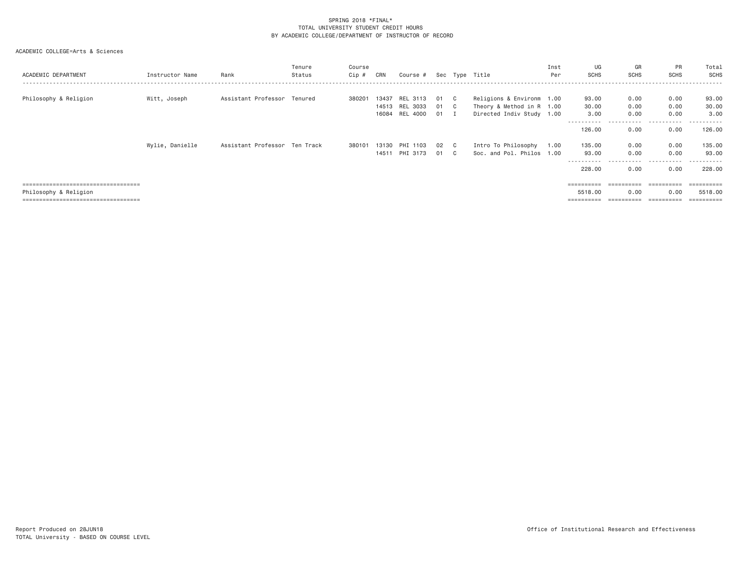| ACADEMIC DEPARTMENT                   | Instructor Name | Rank                          | Tenure<br>Status | Course<br>Cip # | CRN   | Course #            |      | Sec Type Title            | Inst<br>Per | UG<br><b>SCHS</b> | GR<br><b>SCHS</b>     | PR<br>SCHS | Total<br><b>SCHS</b> |
|---------------------------------------|-----------------|-------------------------------|------------------|-----------------|-------|---------------------|------|---------------------------|-------------|-------------------|-----------------------|------------|----------------------|
| Philosophy & Religion                 | Witt, Joseph    | Assistant Professor Tenured   |                  | 380201          | 13437 | REL 3113            | 01 C | Religions & Environm 1.00 |             | 93.00             | 0.00                  | 0.00       | 93.00                |
|                                       |                 |                               |                  |                 |       | 14513 REL 3033      | 01 C | Theory & Method in R 1.00 |             | 30.00             | 0.00                  | 0.00       | 30.00                |
|                                       |                 |                               |                  |                 |       | 16084 REL 4000 01 I |      | Directed Indiv Study 1.00 |             | 3.00              | 0.00                  | 0.00       | 3.00                 |
|                                       |                 |                               |                  |                 |       |                     |      |                           |             | 126.00            | 0.00                  | 0.00       | 126.00               |
|                                       | Wylie, Danielle | Assistant Professor Ten Track |                  | 380101          | 13130 | PHI 1103            | 02 C | Intro To Philosophy       | 1.00        | 135.00            | 0.00                  | 0.00       | 135.00               |
|                                       |                 |                               |                  |                 | 14511 | PHI 3173            | 01 C | Soc. and Pol. Philos 1.00 |             | 93.00             | 0.00                  | 0.00       | 93.00                |
|                                       |                 |                               |                  |                 |       |                     |      |                           |             | 228.00            | -----<br>0.00         | .<br>0.00  | .<br>228.00          |
| ===================================== |                 |                               |                  |                 |       |                     |      |                           |             | ----------        | $=$ = = = = = = = = = |            | ----------           |
| Philosophy & Religion                 |                 |                               |                  |                 |       |                     |      |                           |             | 5518.00           | 0.00                  | 0.00       | 5518,00              |
| ===================================== |                 |                               |                  |                 |       |                     |      |                           |             | ==========        |                       | ========== | ==========           |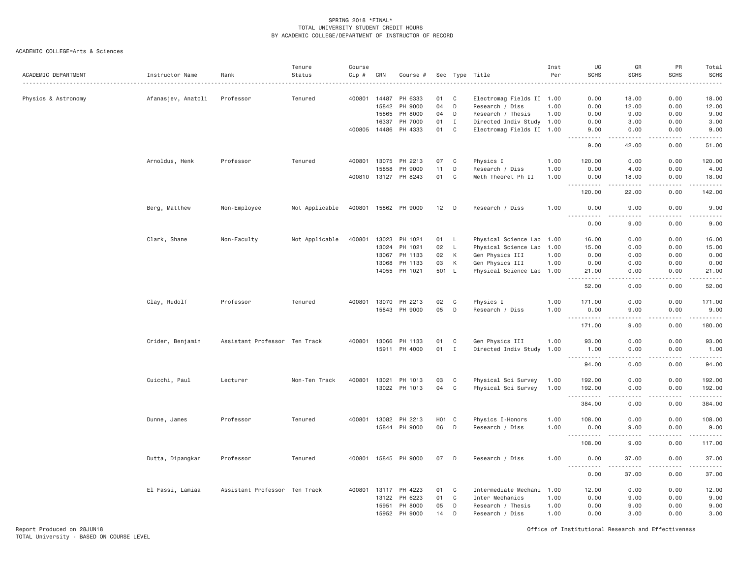ACADEMIC COLLEGE=Arts & Sciences

| Electromag Fields II 1.00<br>0.00<br>18.00<br>Physics & Astronomy<br>Afanasjev, Anatoli<br>Professor<br>Tenured<br>400801<br>14487<br>PH 6333<br>01<br>C<br>0.00<br>18.00<br>04<br>D<br>0.00<br>15842<br>PH 9000<br>Research / Diss<br>1.00<br>0.00<br>12.00<br>12.00<br>15865<br>PH 8000<br>04<br>D<br>Research / Thesis<br>1,00<br>0.00<br>9.00<br>0.00<br>9.00<br>16337<br>PH 7000<br>01<br>$\mathbf{I}$<br>Directed Indiv Study 1.00<br>0.00<br>3.00<br>0.00<br>3.00<br>400805<br>14486<br>PH 4333<br>01<br>C<br>Electromag Fields II 1.00<br>9.00<br>0.00<br>0.00<br>9.00<br>.<br>-----<br>.<br>.<br>51.00<br>9.00<br>42.00<br>0.00<br>Arnoldus, Henk<br>Professor<br>Tenured<br>400801<br>13075<br>PH 2213<br>07<br>C<br>Physics I<br>1.00<br>120.00<br>0.00<br>0.00<br>120.00<br>15858<br>PH 9000<br>11<br>D<br>Research / Diss<br>1,00<br>0.00<br>4.00<br>0.00<br>4.00<br>400810 13127 PH 8243<br>01<br>C<br>Meth Theoret Ph II<br>1.00<br>0.00<br>18.00<br>0.00<br>18.00<br>$- - - - -$<br>.<br>.<br>.<br>120.00<br>0.00<br>142.00<br>22.00<br>Berg, Matthew<br>Non-Employee<br>Not Applicable<br>400801<br>15862<br>PH 9000<br>12<br>D<br>Research / Diss<br>1.00<br>0.00<br>9.00<br>0.00<br>9.00<br>.<br>$- - - -$<br>$\sim$ $\sim$ $\sim$ $\sim$<br>$- - - -$<br>0.00<br>9.00<br>0.00<br>9.00<br>Clark, Shane<br>Non-Faculty<br>Not Applicable<br>400801<br>13023<br>PH 1021<br>01<br>$\mathsf{L}$<br>Physical Science Lab 1.00<br>16.00<br>0.00<br>0.00<br>16.00<br>13024<br>PH 1021<br>02<br>$\mathsf{L}$<br>Physical Science Lab 1.00<br>15.00<br>0.00<br>0.00<br>15.00<br>13067<br>PH 1133<br>02<br>К<br>Gen Physics III<br>1.00<br>0.00<br>0.00<br>0.00<br>0.00<br>13068<br>PH 1133<br>03<br>К<br>Gen Physics III<br>0.00<br>0.00<br>0.00<br>0.00<br>1.00<br>PH 1021<br>501<br>0.00<br>14055<br>L.<br>Physical Science Lab 1.00<br>21.00<br>0.00<br>21.00<br>$\frac{1}{2} \left( \frac{1}{2} \right) \left( \frac{1}{2} \right) \left( \frac{1}{2} \right) \left( \frac{1}{2} \right) \left( \frac{1}{2} \right)$<br>.<br>دعاعات<br>52.00<br>0.00<br>0.00<br>52.00<br>Clay, Rudolf<br>Professor<br>Tenured<br>400801<br>13070<br>PH 2213<br>02<br>C<br>Physics I<br>1.00<br>171.00<br>0.00<br>0.00<br>171.00<br>15843 PH 9000<br>05<br>D<br>Research / Diss<br>1.00<br>0.00<br>9.00<br>0.00<br>9.00<br>.<br>.<br>.<br><u>.</u><br>$\sim$ $\sim$ $\sim$<br>9.00<br>0.00<br>180.00<br>171.00<br>Crider, Benjamin<br>Assistant Professor Ten Track<br>400801<br>13066<br>PH 1133<br>01<br>C<br>Gen Physics III<br>1.00<br>93.00<br>0.00<br>0.00<br>93.00<br>15911 PH 4000<br>01<br>$\mathbf I$<br>Directed Indiv Study<br>1.00<br>1.00<br>0.00<br>0.00<br>1.00<br>.<br><b></b><br>.<br><u>.</u><br>0.00<br>0.00<br>94.00<br>94.00<br>400801<br>13021<br>03<br>C<br>Physical Sci Survey<br>0.00<br>0.00<br>192.00<br>Cuicchi, Paul<br>Lecturer<br>Non-Ten Track<br>PH 1013<br>1.00<br>192.00<br>13022<br>PH 1013<br>04<br>C<br>Physical Sci Survey<br>1.00<br>192.00<br>0.00<br>0.00<br>192.00<br>$\sim$ $\sim$ $\sim$<br>.<br>$\sim$ $\sim$ $\sim$<br>.<br>$\frac{1}{2} \left( \frac{1}{2} \right) \left( \frac{1}{2} \right) \left( \frac{1}{2} \right) \left( \frac{1}{2} \right) \left( \frac{1}{2} \right)$<br>384.00<br>0.00<br>0.00<br>384.00<br><b>H01</b><br>Dunne, James<br>Professor<br>Tenured<br>400801<br>13082<br>PH 2213<br>$\mathbf{C}$<br>Physics I-Honors<br>1.00<br>108.00<br>0.00<br>0.00<br>108.00<br>15844<br>PH 9000<br>06<br>D<br>Research / Diss<br>1.00<br>0.00<br>9.00<br>0.00<br>9.00<br><u>.</u><br>$\sim$ $\sim$ $\sim$ $\sim$<br>.<br>.<br>108.00<br>9.00<br>0.00<br>117.00<br>Dutta, Dipangkar<br>Professor<br>Tenured<br>400801<br>15845 PH 9000<br>07<br>D<br>Research / Diss<br>1.00<br>0.00<br>37.00<br>0.00<br>37.00<br>0.00<br>37.00<br>0.00<br>37.00<br>Assistant Professor Ten Track<br>13117<br>PH 4223<br>01<br>C<br>Intermediate Mechani<br>0.00<br>0.00<br>12.00<br>El Fassi, Lamiaa<br>400801<br>1.00<br>12.00<br>01<br>$\mathbf C$<br>9.00<br>0.00<br>9.00<br>13122<br>PH 6223<br>Inter Mechanics<br>1.00<br>0.00<br>15951<br>PH 8000<br>05<br>D<br>1.00<br>0.00<br>9.00<br>0.00<br>9.00<br>Research / Thesis<br>PH 9000<br>15952<br>14<br>D<br>Research / Diss<br>1.00<br>0.00<br>3.00<br>0.00<br>3.00 | ACADEMIC DEPARTMENT | Instructor Name | Rank | Tenure<br>Status | Course<br>Cip # | CRN | Course # |  | Sec Type Title<br>. | Inst<br>Per | UG<br><b>SCHS</b> | GR<br><b>SCHS</b> | PR<br>SCHS | Total<br><b>SCHS</b><br>. |
|---------------------------------------------------------------------------------------------------------------------------------------------------------------------------------------------------------------------------------------------------------------------------------------------------------------------------------------------------------------------------------------------------------------------------------------------------------------------------------------------------------------------------------------------------------------------------------------------------------------------------------------------------------------------------------------------------------------------------------------------------------------------------------------------------------------------------------------------------------------------------------------------------------------------------------------------------------------------------------------------------------------------------------------------------------------------------------------------------------------------------------------------------------------------------------------------------------------------------------------------------------------------------------------------------------------------------------------------------------------------------------------------------------------------------------------------------------------------------------------------------------------------------------------------------------------------------------------------------------------------------------------------------------------------------------------------------------------------------------------------------------------------------------------------------------------------------------------------------------------------------------------------------------------------------------------------------------------------------------------------------------------------------------------------------------------------------------------------------------------------------------------------------------------------------------------------------------------------------------------------------------------------------------------------------------------------------------------------------------------------------------------------------------------------------------------------------------------------------------------------------------------------------------------------------------------------------------------------------------------------------------------------------------------------------------------------------------------------------------------------------------------------------------------------------------------------------------------------------------------------------------------------------------------------------------------------------------------------------------------------------------------------------------------------------------------------------------------------------------------------------------------------------------------------------------------------------------------------------------------------------------------------------------------------------------------------------------------------------------------------------------------------------------------------------------------------------------------------------------------------------------------------------------------------------------------------------------------------------------------------------------------------------------------------------------------------------------------------------------------------------------------------------------------------------------------------------------------------------------------------------------------------------------------------------------------------------------------------------------------------------------------------------------------------------------------------------------------------------------------------------------------------------------------------------------------------------------------------------------------------------------------------|---------------------|-----------------|------|------------------|-----------------|-----|----------|--|---------------------|-------------|-------------------|-------------------|------------|---------------------------|
|                                                                                                                                                                                                                                                                                                                                                                                                                                                                                                                                                                                                                                                                                                                                                                                                                                                                                                                                                                                                                                                                                                                                                                                                                                                                                                                                                                                                                                                                                                                                                                                                                                                                                                                                                                                                                                                                                                                                                                                                                                                                                                                                                                                                                                                                                                                                                                                                                                                                                                                                                                                                                                                                                                                                                                                                                                                                                                                                                                                                                                                                                                                                                                                                                                                                                                                                                                                                                                                                                                                                                                                                                                                                                                                                                                                                                                                                                                                                                                                                                                                                                                                                                                                                                                                                     |                     |                 |      |                  |                 |     |          |  |                     |             |                   |                   |            |                           |
|                                                                                                                                                                                                                                                                                                                                                                                                                                                                                                                                                                                                                                                                                                                                                                                                                                                                                                                                                                                                                                                                                                                                                                                                                                                                                                                                                                                                                                                                                                                                                                                                                                                                                                                                                                                                                                                                                                                                                                                                                                                                                                                                                                                                                                                                                                                                                                                                                                                                                                                                                                                                                                                                                                                                                                                                                                                                                                                                                                                                                                                                                                                                                                                                                                                                                                                                                                                                                                                                                                                                                                                                                                                                                                                                                                                                                                                                                                                                                                                                                                                                                                                                                                                                                                                                     |                     |                 |      |                  |                 |     |          |  |                     |             |                   |                   |            |                           |
|                                                                                                                                                                                                                                                                                                                                                                                                                                                                                                                                                                                                                                                                                                                                                                                                                                                                                                                                                                                                                                                                                                                                                                                                                                                                                                                                                                                                                                                                                                                                                                                                                                                                                                                                                                                                                                                                                                                                                                                                                                                                                                                                                                                                                                                                                                                                                                                                                                                                                                                                                                                                                                                                                                                                                                                                                                                                                                                                                                                                                                                                                                                                                                                                                                                                                                                                                                                                                                                                                                                                                                                                                                                                                                                                                                                                                                                                                                                                                                                                                                                                                                                                                                                                                                                                     |                     |                 |      |                  |                 |     |          |  |                     |             |                   |                   |            |                           |
|                                                                                                                                                                                                                                                                                                                                                                                                                                                                                                                                                                                                                                                                                                                                                                                                                                                                                                                                                                                                                                                                                                                                                                                                                                                                                                                                                                                                                                                                                                                                                                                                                                                                                                                                                                                                                                                                                                                                                                                                                                                                                                                                                                                                                                                                                                                                                                                                                                                                                                                                                                                                                                                                                                                                                                                                                                                                                                                                                                                                                                                                                                                                                                                                                                                                                                                                                                                                                                                                                                                                                                                                                                                                                                                                                                                                                                                                                                                                                                                                                                                                                                                                                                                                                                                                     |                     |                 |      |                  |                 |     |          |  |                     |             |                   |                   |            |                           |
|                                                                                                                                                                                                                                                                                                                                                                                                                                                                                                                                                                                                                                                                                                                                                                                                                                                                                                                                                                                                                                                                                                                                                                                                                                                                                                                                                                                                                                                                                                                                                                                                                                                                                                                                                                                                                                                                                                                                                                                                                                                                                                                                                                                                                                                                                                                                                                                                                                                                                                                                                                                                                                                                                                                                                                                                                                                                                                                                                                                                                                                                                                                                                                                                                                                                                                                                                                                                                                                                                                                                                                                                                                                                                                                                                                                                                                                                                                                                                                                                                                                                                                                                                                                                                                                                     |                     |                 |      |                  |                 |     |          |  |                     |             |                   |                   |            |                           |
|                                                                                                                                                                                                                                                                                                                                                                                                                                                                                                                                                                                                                                                                                                                                                                                                                                                                                                                                                                                                                                                                                                                                                                                                                                                                                                                                                                                                                                                                                                                                                                                                                                                                                                                                                                                                                                                                                                                                                                                                                                                                                                                                                                                                                                                                                                                                                                                                                                                                                                                                                                                                                                                                                                                                                                                                                                                                                                                                                                                                                                                                                                                                                                                                                                                                                                                                                                                                                                                                                                                                                                                                                                                                                                                                                                                                                                                                                                                                                                                                                                                                                                                                                                                                                                                                     |                     |                 |      |                  |                 |     |          |  |                     |             |                   |                   |            |                           |
|                                                                                                                                                                                                                                                                                                                                                                                                                                                                                                                                                                                                                                                                                                                                                                                                                                                                                                                                                                                                                                                                                                                                                                                                                                                                                                                                                                                                                                                                                                                                                                                                                                                                                                                                                                                                                                                                                                                                                                                                                                                                                                                                                                                                                                                                                                                                                                                                                                                                                                                                                                                                                                                                                                                                                                                                                                                                                                                                                                                                                                                                                                                                                                                                                                                                                                                                                                                                                                                                                                                                                                                                                                                                                                                                                                                                                                                                                                                                                                                                                                                                                                                                                                                                                                                                     |                     |                 |      |                  |                 |     |          |  |                     |             |                   |                   |            |                           |
|                                                                                                                                                                                                                                                                                                                                                                                                                                                                                                                                                                                                                                                                                                                                                                                                                                                                                                                                                                                                                                                                                                                                                                                                                                                                                                                                                                                                                                                                                                                                                                                                                                                                                                                                                                                                                                                                                                                                                                                                                                                                                                                                                                                                                                                                                                                                                                                                                                                                                                                                                                                                                                                                                                                                                                                                                                                                                                                                                                                                                                                                                                                                                                                                                                                                                                                                                                                                                                                                                                                                                                                                                                                                                                                                                                                                                                                                                                                                                                                                                                                                                                                                                                                                                                                                     |                     |                 |      |                  |                 |     |          |  |                     |             |                   |                   |            |                           |
|                                                                                                                                                                                                                                                                                                                                                                                                                                                                                                                                                                                                                                                                                                                                                                                                                                                                                                                                                                                                                                                                                                                                                                                                                                                                                                                                                                                                                                                                                                                                                                                                                                                                                                                                                                                                                                                                                                                                                                                                                                                                                                                                                                                                                                                                                                                                                                                                                                                                                                                                                                                                                                                                                                                                                                                                                                                                                                                                                                                                                                                                                                                                                                                                                                                                                                                                                                                                                                                                                                                                                                                                                                                                                                                                                                                                                                                                                                                                                                                                                                                                                                                                                                                                                                                                     |                     |                 |      |                  |                 |     |          |  |                     |             |                   |                   |            |                           |
|                                                                                                                                                                                                                                                                                                                                                                                                                                                                                                                                                                                                                                                                                                                                                                                                                                                                                                                                                                                                                                                                                                                                                                                                                                                                                                                                                                                                                                                                                                                                                                                                                                                                                                                                                                                                                                                                                                                                                                                                                                                                                                                                                                                                                                                                                                                                                                                                                                                                                                                                                                                                                                                                                                                                                                                                                                                                                                                                                                                                                                                                                                                                                                                                                                                                                                                                                                                                                                                                                                                                                                                                                                                                                                                                                                                                                                                                                                                                                                                                                                                                                                                                                                                                                                                                     |                     |                 |      |                  |                 |     |          |  |                     |             |                   |                   |            |                           |
|                                                                                                                                                                                                                                                                                                                                                                                                                                                                                                                                                                                                                                                                                                                                                                                                                                                                                                                                                                                                                                                                                                                                                                                                                                                                                                                                                                                                                                                                                                                                                                                                                                                                                                                                                                                                                                                                                                                                                                                                                                                                                                                                                                                                                                                                                                                                                                                                                                                                                                                                                                                                                                                                                                                                                                                                                                                                                                                                                                                                                                                                                                                                                                                                                                                                                                                                                                                                                                                                                                                                                                                                                                                                                                                                                                                                                                                                                                                                                                                                                                                                                                                                                                                                                                                                     |                     |                 |      |                  |                 |     |          |  |                     |             |                   |                   |            |                           |
|                                                                                                                                                                                                                                                                                                                                                                                                                                                                                                                                                                                                                                                                                                                                                                                                                                                                                                                                                                                                                                                                                                                                                                                                                                                                                                                                                                                                                                                                                                                                                                                                                                                                                                                                                                                                                                                                                                                                                                                                                                                                                                                                                                                                                                                                                                                                                                                                                                                                                                                                                                                                                                                                                                                                                                                                                                                                                                                                                                                                                                                                                                                                                                                                                                                                                                                                                                                                                                                                                                                                                                                                                                                                                                                                                                                                                                                                                                                                                                                                                                                                                                                                                                                                                                                                     |                     |                 |      |                  |                 |     |          |  |                     |             |                   |                   |            |                           |
|                                                                                                                                                                                                                                                                                                                                                                                                                                                                                                                                                                                                                                                                                                                                                                                                                                                                                                                                                                                                                                                                                                                                                                                                                                                                                                                                                                                                                                                                                                                                                                                                                                                                                                                                                                                                                                                                                                                                                                                                                                                                                                                                                                                                                                                                                                                                                                                                                                                                                                                                                                                                                                                                                                                                                                                                                                                                                                                                                                                                                                                                                                                                                                                                                                                                                                                                                                                                                                                                                                                                                                                                                                                                                                                                                                                                                                                                                                                                                                                                                                                                                                                                                                                                                                                                     |                     |                 |      |                  |                 |     |          |  |                     |             |                   |                   |            |                           |
|                                                                                                                                                                                                                                                                                                                                                                                                                                                                                                                                                                                                                                                                                                                                                                                                                                                                                                                                                                                                                                                                                                                                                                                                                                                                                                                                                                                                                                                                                                                                                                                                                                                                                                                                                                                                                                                                                                                                                                                                                                                                                                                                                                                                                                                                                                                                                                                                                                                                                                                                                                                                                                                                                                                                                                                                                                                                                                                                                                                                                                                                                                                                                                                                                                                                                                                                                                                                                                                                                                                                                                                                                                                                                                                                                                                                                                                                                                                                                                                                                                                                                                                                                                                                                                                                     |                     |                 |      |                  |                 |     |          |  |                     |             |                   |                   |            |                           |
|                                                                                                                                                                                                                                                                                                                                                                                                                                                                                                                                                                                                                                                                                                                                                                                                                                                                                                                                                                                                                                                                                                                                                                                                                                                                                                                                                                                                                                                                                                                                                                                                                                                                                                                                                                                                                                                                                                                                                                                                                                                                                                                                                                                                                                                                                                                                                                                                                                                                                                                                                                                                                                                                                                                                                                                                                                                                                                                                                                                                                                                                                                                                                                                                                                                                                                                                                                                                                                                                                                                                                                                                                                                                                                                                                                                                                                                                                                                                                                                                                                                                                                                                                                                                                                                                     |                     |                 |      |                  |                 |     |          |  |                     |             |                   |                   |            |                           |
|                                                                                                                                                                                                                                                                                                                                                                                                                                                                                                                                                                                                                                                                                                                                                                                                                                                                                                                                                                                                                                                                                                                                                                                                                                                                                                                                                                                                                                                                                                                                                                                                                                                                                                                                                                                                                                                                                                                                                                                                                                                                                                                                                                                                                                                                                                                                                                                                                                                                                                                                                                                                                                                                                                                                                                                                                                                                                                                                                                                                                                                                                                                                                                                                                                                                                                                                                                                                                                                                                                                                                                                                                                                                                                                                                                                                                                                                                                                                                                                                                                                                                                                                                                                                                                                                     |                     |                 |      |                  |                 |     |          |  |                     |             |                   |                   |            |                           |
|                                                                                                                                                                                                                                                                                                                                                                                                                                                                                                                                                                                                                                                                                                                                                                                                                                                                                                                                                                                                                                                                                                                                                                                                                                                                                                                                                                                                                                                                                                                                                                                                                                                                                                                                                                                                                                                                                                                                                                                                                                                                                                                                                                                                                                                                                                                                                                                                                                                                                                                                                                                                                                                                                                                                                                                                                                                                                                                                                                                                                                                                                                                                                                                                                                                                                                                                                                                                                                                                                                                                                                                                                                                                                                                                                                                                                                                                                                                                                                                                                                                                                                                                                                                                                                                                     |                     |                 |      |                  |                 |     |          |  |                     |             |                   |                   |            |                           |
|                                                                                                                                                                                                                                                                                                                                                                                                                                                                                                                                                                                                                                                                                                                                                                                                                                                                                                                                                                                                                                                                                                                                                                                                                                                                                                                                                                                                                                                                                                                                                                                                                                                                                                                                                                                                                                                                                                                                                                                                                                                                                                                                                                                                                                                                                                                                                                                                                                                                                                                                                                                                                                                                                                                                                                                                                                                                                                                                                                                                                                                                                                                                                                                                                                                                                                                                                                                                                                                                                                                                                                                                                                                                                                                                                                                                                                                                                                                                                                                                                                                                                                                                                                                                                                                                     |                     |                 |      |                  |                 |     |          |  |                     |             |                   |                   |            |                           |
|                                                                                                                                                                                                                                                                                                                                                                                                                                                                                                                                                                                                                                                                                                                                                                                                                                                                                                                                                                                                                                                                                                                                                                                                                                                                                                                                                                                                                                                                                                                                                                                                                                                                                                                                                                                                                                                                                                                                                                                                                                                                                                                                                                                                                                                                                                                                                                                                                                                                                                                                                                                                                                                                                                                                                                                                                                                                                                                                                                                                                                                                                                                                                                                                                                                                                                                                                                                                                                                                                                                                                                                                                                                                                                                                                                                                                                                                                                                                                                                                                                                                                                                                                                                                                                                                     |                     |                 |      |                  |                 |     |          |  |                     |             |                   |                   |            |                           |
|                                                                                                                                                                                                                                                                                                                                                                                                                                                                                                                                                                                                                                                                                                                                                                                                                                                                                                                                                                                                                                                                                                                                                                                                                                                                                                                                                                                                                                                                                                                                                                                                                                                                                                                                                                                                                                                                                                                                                                                                                                                                                                                                                                                                                                                                                                                                                                                                                                                                                                                                                                                                                                                                                                                                                                                                                                                                                                                                                                                                                                                                                                                                                                                                                                                                                                                                                                                                                                                                                                                                                                                                                                                                                                                                                                                                                                                                                                                                                                                                                                                                                                                                                                                                                                                                     |                     |                 |      |                  |                 |     |          |  |                     |             |                   |                   |            |                           |
|                                                                                                                                                                                                                                                                                                                                                                                                                                                                                                                                                                                                                                                                                                                                                                                                                                                                                                                                                                                                                                                                                                                                                                                                                                                                                                                                                                                                                                                                                                                                                                                                                                                                                                                                                                                                                                                                                                                                                                                                                                                                                                                                                                                                                                                                                                                                                                                                                                                                                                                                                                                                                                                                                                                                                                                                                                                                                                                                                                                                                                                                                                                                                                                                                                                                                                                                                                                                                                                                                                                                                                                                                                                                                                                                                                                                                                                                                                                                                                                                                                                                                                                                                                                                                                                                     |                     |                 |      |                  |                 |     |          |  |                     |             |                   |                   |            |                           |
|                                                                                                                                                                                                                                                                                                                                                                                                                                                                                                                                                                                                                                                                                                                                                                                                                                                                                                                                                                                                                                                                                                                                                                                                                                                                                                                                                                                                                                                                                                                                                                                                                                                                                                                                                                                                                                                                                                                                                                                                                                                                                                                                                                                                                                                                                                                                                                                                                                                                                                                                                                                                                                                                                                                                                                                                                                                                                                                                                                                                                                                                                                                                                                                                                                                                                                                                                                                                                                                                                                                                                                                                                                                                                                                                                                                                                                                                                                                                                                                                                                                                                                                                                                                                                                                                     |                     |                 |      |                  |                 |     |          |  |                     |             |                   |                   |            |                           |
|                                                                                                                                                                                                                                                                                                                                                                                                                                                                                                                                                                                                                                                                                                                                                                                                                                                                                                                                                                                                                                                                                                                                                                                                                                                                                                                                                                                                                                                                                                                                                                                                                                                                                                                                                                                                                                                                                                                                                                                                                                                                                                                                                                                                                                                                                                                                                                                                                                                                                                                                                                                                                                                                                                                                                                                                                                                                                                                                                                                                                                                                                                                                                                                                                                                                                                                                                                                                                                                                                                                                                                                                                                                                                                                                                                                                                                                                                                                                                                                                                                                                                                                                                                                                                                                                     |                     |                 |      |                  |                 |     |          |  |                     |             |                   |                   |            |                           |
|                                                                                                                                                                                                                                                                                                                                                                                                                                                                                                                                                                                                                                                                                                                                                                                                                                                                                                                                                                                                                                                                                                                                                                                                                                                                                                                                                                                                                                                                                                                                                                                                                                                                                                                                                                                                                                                                                                                                                                                                                                                                                                                                                                                                                                                                                                                                                                                                                                                                                                                                                                                                                                                                                                                                                                                                                                                                                                                                                                                                                                                                                                                                                                                                                                                                                                                                                                                                                                                                                                                                                                                                                                                                                                                                                                                                                                                                                                                                                                                                                                                                                                                                                                                                                                                                     |                     |                 |      |                  |                 |     |          |  |                     |             |                   |                   |            |                           |
|                                                                                                                                                                                                                                                                                                                                                                                                                                                                                                                                                                                                                                                                                                                                                                                                                                                                                                                                                                                                                                                                                                                                                                                                                                                                                                                                                                                                                                                                                                                                                                                                                                                                                                                                                                                                                                                                                                                                                                                                                                                                                                                                                                                                                                                                                                                                                                                                                                                                                                                                                                                                                                                                                                                                                                                                                                                                                                                                                                                                                                                                                                                                                                                                                                                                                                                                                                                                                                                                                                                                                                                                                                                                                                                                                                                                                                                                                                                                                                                                                                                                                                                                                                                                                                                                     |                     |                 |      |                  |                 |     |          |  |                     |             |                   |                   |            |                           |
|                                                                                                                                                                                                                                                                                                                                                                                                                                                                                                                                                                                                                                                                                                                                                                                                                                                                                                                                                                                                                                                                                                                                                                                                                                                                                                                                                                                                                                                                                                                                                                                                                                                                                                                                                                                                                                                                                                                                                                                                                                                                                                                                                                                                                                                                                                                                                                                                                                                                                                                                                                                                                                                                                                                                                                                                                                                                                                                                                                                                                                                                                                                                                                                                                                                                                                                                                                                                                                                                                                                                                                                                                                                                                                                                                                                                                                                                                                                                                                                                                                                                                                                                                                                                                                                                     |                     |                 |      |                  |                 |     |          |  |                     |             |                   |                   |            |                           |
|                                                                                                                                                                                                                                                                                                                                                                                                                                                                                                                                                                                                                                                                                                                                                                                                                                                                                                                                                                                                                                                                                                                                                                                                                                                                                                                                                                                                                                                                                                                                                                                                                                                                                                                                                                                                                                                                                                                                                                                                                                                                                                                                                                                                                                                                                                                                                                                                                                                                                                                                                                                                                                                                                                                                                                                                                                                                                                                                                                                                                                                                                                                                                                                                                                                                                                                                                                                                                                                                                                                                                                                                                                                                                                                                                                                                                                                                                                                                                                                                                                                                                                                                                                                                                                                                     |                     |                 |      |                  |                 |     |          |  |                     |             |                   |                   |            |                           |
|                                                                                                                                                                                                                                                                                                                                                                                                                                                                                                                                                                                                                                                                                                                                                                                                                                                                                                                                                                                                                                                                                                                                                                                                                                                                                                                                                                                                                                                                                                                                                                                                                                                                                                                                                                                                                                                                                                                                                                                                                                                                                                                                                                                                                                                                                                                                                                                                                                                                                                                                                                                                                                                                                                                                                                                                                                                                                                                                                                                                                                                                                                                                                                                                                                                                                                                                                                                                                                                                                                                                                                                                                                                                                                                                                                                                                                                                                                                                                                                                                                                                                                                                                                                                                                                                     |                     |                 |      |                  |                 |     |          |  |                     |             |                   |                   |            |                           |
|                                                                                                                                                                                                                                                                                                                                                                                                                                                                                                                                                                                                                                                                                                                                                                                                                                                                                                                                                                                                                                                                                                                                                                                                                                                                                                                                                                                                                                                                                                                                                                                                                                                                                                                                                                                                                                                                                                                                                                                                                                                                                                                                                                                                                                                                                                                                                                                                                                                                                                                                                                                                                                                                                                                                                                                                                                                                                                                                                                                                                                                                                                                                                                                                                                                                                                                                                                                                                                                                                                                                                                                                                                                                                                                                                                                                                                                                                                                                                                                                                                                                                                                                                                                                                                                                     |                     |                 |      |                  |                 |     |          |  |                     |             |                   |                   |            |                           |
|                                                                                                                                                                                                                                                                                                                                                                                                                                                                                                                                                                                                                                                                                                                                                                                                                                                                                                                                                                                                                                                                                                                                                                                                                                                                                                                                                                                                                                                                                                                                                                                                                                                                                                                                                                                                                                                                                                                                                                                                                                                                                                                                                                                                                                                                                                                                                                                                                                                                                                                                                                                                                                                                                                                                                                                                                                                                                                                                                                                                                                                                                                                                                                                                                                                                                                                                                                                                                                                                                                                                                                                                                                                                                                                                                                                                                                                                                                                                                                                                                                                                                                                                                                                                                                                                     |                     |                 |      |                  |                 |     |          |  |                     |             |                   |                   |            |                           |
|                                                                                                                                                                                                                                                                                                                                                                                                                                                                                                                                                                                                                                                                                                                                                                                                                                                                                                                                                                                                                                                                                                                                                                                                                                                                                                                                                                                                                                                                                                                                                                                                                                                                                                                                                                                                                                                                                                                                                                                                                                                                                                                                                                                                                                                                                                                                                                                                                                                                                                                                                                                                                                                                                                                                                                                                                                                                                                                                                                                                                                                                                                                                                                                                                                                                                                                                                                                                                                                                                                                                                                                                                                                                                                                                                                                                                                                                                                                                                                                                                                                                                                                                                                                                                                                                     |                     |                 |      |                  |                 |     |          |  |                     |             |                   |                   |            |                           |
|                                                                                                                                                                                                                                                                                                                                                                                                                                                                                                                                                                                                                                                                                                                                                                                                                                                                                                                                                                                                                                                                                                                                                                                                                                                                                                                                                                                                                                                                                                                                                                                                                                                                                                                                                                                                                                                                                                                                                                                                                                                                                                                                                                                                                                                                                                                                                                                                                                                                                                                                                                                                                                                                                                                                                                                                                                                                                                                                                                                                                                                                                                                                                                                                                                                                                                                                                                                                                                                                                                                                                                                                                                                                                                                                                                                                                                                                                                                                                                                                                                                                                                                                                                                                                                                                     |                     |                 |      |                  |                 |     |          |  |                     |             |                   |                   |            |                           |
|                                                                                                                                                                                                                                                                                                                                                                                                                                                                                                                                                                                                                                                                                                                                                                                                                                                                                                                                                                                                                                                                                                                                                                                                                                                                                                                                                                                                                                                                                                                                                                                                                                                                                                                                                                                                                                                                                                                                                                                                                                                                                                                                                                                                                                                                                                                                                                                                                                                                                                                                                                                                                                                                                                                                                                                                                                                                                                                                                                                                                                                                                                                                                                                                                                                                                                                                                                                                                                                                                                                                                                                                                                                                                                                                                                                                                                                                                                                                                                                                                                                                                                                                                                                                                                                                     |                     |                 |      |                  |                 |     |          |  |                     |             |                   |                   |            |                           |
|                                                                                                                                                                                                                                                                                                                                                                                                                                                                                                                                                                                                                                                                                                                                                                                                                                                                                                                                                                                                                                                                                                                                                                                                                                                                                                                                                                                                                                                                                                                                                                                                                                                                                                                                                                                                                                                                                                                                                                                                                                                                                                                                                                                                                                                                                                                                                                                                                                                                                                                                                                                                                                                                                                                                                                                                                                                                                                                                                                                                                                                                                                                                                                                                                                                                                                                                                                                                                                                                                                                                                                                                                                                                                                                                                                                                                                                                                                                                                                                                                                                                                                                                                                                                                                                                     |                     |                 |      |                  |                 |     |          |  |                     |             |                   |                   |            |                           |
|                                                                                                                                                                                                                                                                                                                                                                                                                                                                                                                                                                                                                                                                                                                                                                                                                                                                                                                                                                                                                                                                                                                                                                                                                                                                                                                                                                                                                                                                                                                                                                                                                                                                                                                                                                                                                                                                                                                                                                                                                                                                                                                                                                                                                                                                                                                                                                                                                                                                                                                                                                                                                                                                                                                                                                                                                                                                                                                                                                                                                                                                                                                                                                                                                                                                                                                                                                                                                                                                                                                                                                                                                                                                                                                                                                                                                                                                                                                                                                                                                                                                                                                                                                                                                                                                     |                     |                 |      |                  |                 |     |          |  |                     |             |                   |                   |            |                           |
|                                                                                                                                                                                                                                                                                                                                                                                                                                                                                                                                                                                                                                                                                                                                                                                                                                                                                                                                                                                                                                                                                                                                                                                                                                                                                                                                                                                                                                                                                                                                                                                                                                                                                                                                                                                                                                                                                                                                                                                                                                                                                                                                                                                                                                                                                                                                                                                                                                                                                                                                                                                                                                                                                                                                                                                                                                                                                                                                                                                                                                                                                                                                                                                                                                                                                                                                                                                                                                                                                                                                                                                                                                                                                                                                                                                                                                                                                                                                                                                                                                                                                                                                                                                                                                                                     |                     |                 |      |                  |                 |     |          |  |                     |             |                   |                   |            |                           |

Report Produced on 28JUN18 Office of Institutional Research and Effectiveness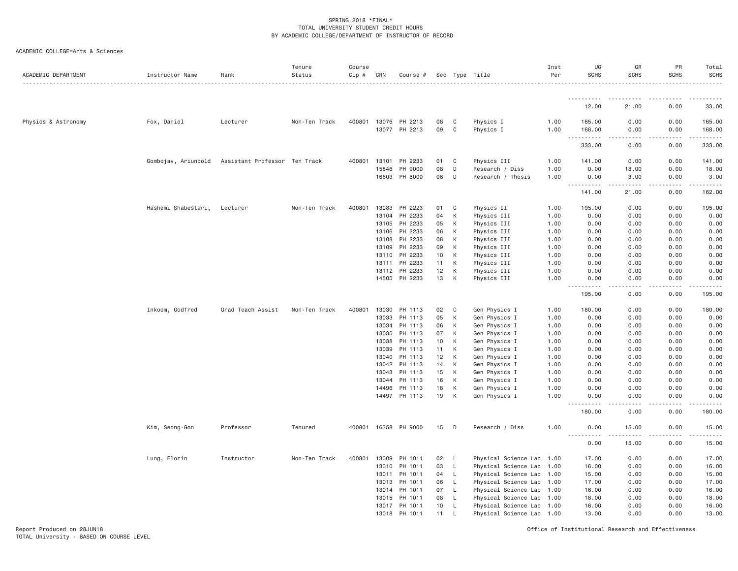| ACADEMIC COLLEGE=Arts & Sciences |  |
|----------------------------------|--|
|                                  |  |

| ACADEMIC DEPARTMENT | Instructor Name     | Rank                          | Tenure<br>Status | Course<br>$Cip \#$ | CRN            | Course #             |          |             | Sec Type Title                 | Inst<br>Per  | UG<br><b>SCHS</b>                   | GR<br><b>SCHS</b>            | PR<br><b>SCHS</b> | Total<br><b>SCHS</b>    |
|---------------------|---------------------|-------------------------------|------------------|--------------------|----------------|----------------------|----------|-------------|--------------------------------|--------------|-------------------------------------|------------------------------|-------------------|-------------------------|
|                     |                     |                               |                  |                    |                |                      |          |             |                                |              | .                                   |                              |                   |                         |
|                     |                     |                               |                  |                    |                |                      |          |             |                                |              | 12.00                               | 21.00                        | 0.00              | 33.00                   |
| Physics & Astronomy | Fox, Daniel         | Lecturer                      | Non-Ten Track    |                    |                | 400801 13076 PH 2213 | 08       | C           | Physics I                      | 1.00         | 165.00                              | 0.00                         | 0.00              | 165.00                  |
|                     |                     |                               |                  |                    |                | 13077 PH 2213        | 09       | C           | Physics I                      | 1.00         | 168.00<br>$\sim$ $\sim$<br>.        | 0.00<br>$\sim$ $\sim$ $\sim$ | 0.00<br>.         | 168.00<br>.             |
|                     |                     |                               |                  |                    |                |                      |          |             |                                |              | 333.00                              | 0.00                         | 0.00              | 333.00                  |
|                     | Gombojav, Ariunbold | Assistant Professor Ten Track |                  | 400801             | 13101          | PH 2233              | 01       | $\mathbf C$ | Physics III                    | 1.00         | 141.00                              | 0.00                         | 0.00              | 141.00                  |
|                     |                     |                               |                  |                    | 15846          | PH 9000              | 08       | D           | Research / Diss                | 1.00         | 0.00                                | 18.00                        | 0.00              | 18.00                   |
|                     |                     |                               |                  |                    |                | 16603 PH 8000        | 06       | D           | Research / Thesis              | 1.00         | 0.00<br><u>.</u>                    | 3.00<br>.                    | 0.00<br>.         | 3.00<br>.               |
|                     |                     |                               |                  |                    |                |                      |          |             |                                |              | 141.00                              | 21.00                        | 0.00              | 162.00                  |
|                     | Hashemi Shabestari, | Lecturer                      | Non-Ten Track    | 400801             | 13083          | PH 2223              | 01       | C           | Physics II                     | 1.00         | 195.00                              | 0.00                         | 0.00              | 195.00                  |
|                     |                     |                               |                  |                    | 13104          | PH 2233              | 04       | K           | Physics III                    | 1.00         | 0.00                                | 0.00                         | 0.00              | 0.00                    |
|                     |                     |                               |                  |                    | 13105          | PH 2233              | 05       | K           | Physics III                    | 1.00         | 0.00                                | 0.00                         | 0.00              | 0.00                    |
|                     |                     |                               |                  |                    | 13106          | PH 2233<br>PH 2233   | 06<br>08 | K<br>К      | Physics III<br>Physics III     | 1.00         | 0.00                                | 0.00                         | 0.00<br>0.00      | 0.00                    |
|                     |                     |                               |                  |                    | 13108<br>13109 | PH 2233              | 09       | К           | Physics III                    | 1.00<br>1.00 | 0.00<br>0.00                        | 0.00<br>0.00                 | 0.00              | 0.00<br>0.00            |
|                     |                     |                               |                  |                    | 13110          | PH 2233              | 10       | К           | Physics III                    | 1.00         | 0.00                                | 0.00                         | 0.00              | 0.00                    |
|                     |                     |                               |                  |                    | 13111          | PH 2233              | 11       | К           | Physics III                    | 1.00         | 0.00                                | 0.00                         | 0.00              | 0.00                    |
|                     |                     |                               |                  |                    | 13112          | PH 2233              | 12       | K           | Physics III                    | 1.00         | 0.00                                | 0.00                         | 0.00              | 0.00                    |
|                     |                     |                               |                  |                    | 14505          | PH 2233              | 13       | K           | Physics III                    | 1.00         | 0.00<br>2.2.2.2.2                   | 0.00<br>.                    | 0.00<br>.         | 0.00<br>$2 - 2 - 2 - 2$ |
|                     |                     |                               |                  |                    |                |                      |          |             |                                |              | 195.00                              | 0.00                         | 0.00              | 195.00                  |
|                     | Inkoom, Godfred     | Grad Teach Assist             | Non-Ten Track    | 400801             | 13030          | PH 1113              | 02       | C           | Gen Physics I                  | 1.00         | 180.00                              | 0.00                         | 0.00              | 180.00                  |
|                     |                     |                               |                  |                    | 13033          | PH 1113              | 05       | К           | Gen Physics I                  | 1.00         | 0.00                                | 0.00                         | 0.00              | 0.00                    |
|                     |                     |                               |                  |                    | 13034          | PH 1113              | 06       | K           | Gen Physics I                  | 1.00         | 0.00                                | 0.00                         | 0.00              | 0.00                    |
|                     |                     |                               |                  |                    | 13035          | PH 1113              | 07       | К           | Gen Physics I                  | 1.00         | 0.00                                | 0.00                         | 0.00              | 0.00                    |
|                     |                     |                               |                  |                    | 13038          | PH 1113              | 10       | K           | Gen Physics I                  | 1.00         | 0.00                                | 0.00                         | 0.00              | 0.00                    |
|                     |                     |                               |                  |                    | 13039          | PH 1113              | 11       | K           | Gen Physics I                  | 1.00         | 0.00                                | 0.00                         | 0.00              | 0.00                    |
|                     |                     |                               |                  |                    | 13040          | PH 1113              | 12       | K           | Gen Physics I                  | 1.00         | 0.00                                | 0.00                         | 0.00              | 0.00                    |
|                     |                     |                               |                  |                    | 13042          | PH 1113              | 14       | K           | Gen Physics I                  | 1.00         | 0.00                                | 0.00                         | 0.00              | 0.00                    |
|                     |                     |                               |                  |                    | 13043          | PH 1113              | 15<br>16 | K<br>К      | Gen Physics I                  | 1.00         | 0.00                                | 0.00<br>0.00                 | 0.00<br>0.00      | 0.00<br>0.00            |
|                     |                     |                               |                  |                    | 13044<br>14496 | PH 1113<br>PH 1113   | 18       | К           | Gen Physics I<br>Gen Physics I | 1.00<br>1.00 | 0.00<br>0.00                        | 0.00                         | 0.00              | 0.00                    |
|                     |                     |                               |                  |                    |                | 14497 PH 1113        | 19       | К           | Gen Physics I                  | 1.00         | 0.00                                | 0.00                         | 0.00              | 0.00                    |
|                     |                     |                               |                  |                    |                |                      |          |             |                                |              | $\sim$ $\sim$ $\sim$<br>.<br>180.00 | ----<br>0.00                 | .<br>0.00         | $\frac{1}{2}$<br>180.00 |
|                     | Kim, Seong-Gon      | Professor                     | Tenured          |                    |                | 400801 16358 PH 9000 | 15       | D           | Research / Diss                | 1.00         | 0.00                                | 15.00                        | 0.00              | 15.00                   |
|                     |                     |                               |                  |                    |                |                      |          |             |                                |              | <u>.</u><br>0.00                    | 15.00                        | 0.00              | .<br>15.00              |
|                     | Lung, Florin        | Instructor                    | Non-Ten Track    | 400801             | 13009          | PH 1011              | 02       | - L         | Physical Science Lab 1.00      |              | 17.00                               | 0.00                         | 0.00              | 17.00                   |
|                     |                     |                               |                  |                    | 13010          | PH 1011              | 03       | L.          | Physical Science Lab 1.00      |              | 16.00                               | 0.00                         | 0.00              | 16.00                   |
|                     |                     |                               |                  |                    | 13011          | PH 1011              | 04       | L.          | Physical Science Lab 1.00      |              | 15.00                               | 0.00                         | 0.00              | 15.00                   |
|                     |                     |                               |                  |                    | 13013          | PH 1011              | 06       | L.          | Physical Science Lab 1.00      |              | 17.00                               | 0.00                         | 0.00              | 17.00                   |
|                     |                     |                               |                  |                    | 13014          | PH 1011              | 07       | L           | Physical Science Lab 1.00      |              | 16.00                               | 0.00                         | 0.00              | 16.00                   |
|                     |                     |                               |                  |                    | 13015          | PH 1011              | 08       | L           | Physical Science Lab 1.00      |              | 18.00                               | 0.00                         | 0.00              | 18.00                   |
|                     |                     |                               |                  |                    | 13017          | PH 1011              | 10       | L.          | Physical Science Lab 1.00      |              | 16.00                               | 0.00                         | 0.00              | 16.00                   |
|                     |                     |                               |                  |                    | 13018          | PH 1011              | 11       | L           | Physical Science Lab 1.00      |              | 13.00                               | 0.00                         | 0.00              | 13.00                   |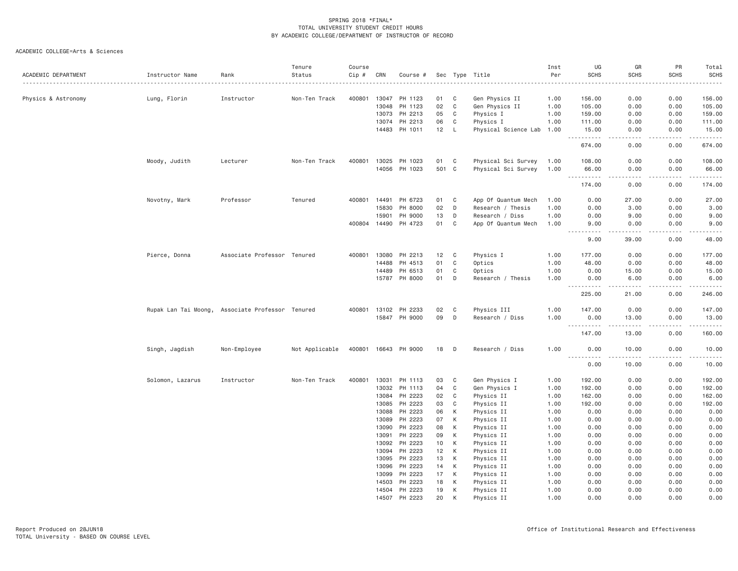| ACADEMIC DEPARTMENT | Instructor Name                                  | Rank                        | Tenure<br>Status | Course<br>Cip # | CRN          | Course #                 |          |              | Sec Type Title            | Inst<br>Per  | UG<br><b>SCHS</b>                   | GR<br><b>SCHS</b>                                                                                                                                             | PR<br><b>SCHS</b> | Total<br><b>SCHS</b><br>.                                                                                                                                      |
|---------------------|--------------------------------------------------|-----------------------------|------------------|-----------------|--------------|--------------------------|----------|--------------|---------------------------|--------------|-------------------------------------|---------------------------------------------------------------------------------------------------------------------------------------------------------------|-------------------|----------------------------------------------------------------------------------------------------------------------------------------------------------------|
| Physics & Astronomy | Lung, Florin                                     | Instructor                  | Non-Ten Track    | 400801          | 13047        | PH 1123                  | 01       | C            | Gen Physics II            | 1.00         | 156.00                              | 0.00                                                                                                                                                          | 0.00              | 156.00                                                                                                                                                         |
|                     |                                                  |                             |                  |                 | 13048        | PH 1123                  | 02       | $\mathbf C$  | Gen Physics II            | 1.00         | 105.00                              | 0.00                                                                                                                                                          | 0.00              | 105.00                                                                                                                                                         |
|                     |                                                  |                             |                  |                 | 13073        | PH 2213                  | 05       | C            | Physics I                 | 1.00         | 159.00                              | 0.00                                                                                                                                                          | 0.00              | 159.00                                                                                                                                                         |
|                     |                                                  |                             |                  |                 | 13074        | PH 2213                  | 06       | C            | Physics I                 | 1.00         | 111.00                              | 0.00                                                                                                                                                          | 0.00              | 111.00                                                                                                                                                         |
|                     |                                                  |                             |                  |                 |              | 14483 PH 1011            | 12       | $\mathsf{L}$ | Physical Science Lab 1.00 |              | 15.00                               | 0.00                                                                                                                                                          | 0.00              | 15.00                                                                                                                                                          |
|                     |                                                  |                             |                  |                 |              |                          |          |              |                           |              | .<br>674.00                         | $\sim$ $\sim$ $\sim$ $\sim$<br>0.00                                                                                                                           | .<br>0.00         | $\frac{1}{2} \left( \frac{1}{2} \right) \left( \frac{1}{2} \right) \left( \frac{1}{2} \right) \left( \frac{1}{2} \right) \left( \frac{1}{2} \right)$<br>674.00 |
|                     | Moody, Judith                                    | Lecturer                    | Non-Ten Track    | 400801          | 13025        | PH 1023                  | 01       | C            | Physical Sci Survey       | 1.00         | 108.00                              | 0.00                                                                                                                                                          | 0.00              | 108.00                                                                                                                                                         |
|                     |                                                  |                             |                  |                 |              | 14056 PH 1023            | 501 C    |              | Physical Sci Survey       | 1.00         | 66.00                               | 0.00                                                                                                                                                          | 0.00              | 66.00                                                                                                                                                          |
|                     |                                                  |                             |                  |                 |              |                          |          |              |                           |              | .                                   | .                                                                                                                                                             | .                 | .                                                                                                                                                              |
|                     |                                                  |                             |                  |                 |              |                          |          |              |                           |              | 174.00                              | 0.00                                                                                                                                                          | 0.00              | 174.00                                                                                                                                                         |
|                     | Novotny, Mark                                    | Professor                   | Tenured          | 400801          | 14491        | PH 6723                  | 01       | $\mathbf C$  | App Of Quantum Mech       | 1.00         | 0.00                                | 27.00                                                                                                                                                         | 0.00              | 27.00                                                                                                                                                          |
|                     |                                                  |                             |                  |                 | 15830        | PH 8000                  | 02       | D            | Research / Thesis         | 1.00         | 0.00                                | 3.00                                                                                                                                                          | 0.00              | 3.00                                                                                                                                                           |
|                     |                                                  |                             |                  |                 | 15901        | PH 9000                  | 13       | D            | Research / Diss           | 1.00         | 0.00                                | 9.00                                                                                                                                                          | 0.00              | 9.00                                                                                                                                                           |
|                     |                                                  |                             |                  |                 | 400804 14490 | PH 4723                  | 01       | $\mathbb C$  | App Of Quantum Mech       | 1.00         | 9.00<br>$\sim$ $\sim$ $\sim$ $\sim$ | 0.00<br>.                                                                                                                                                     | 0.00<br>.         | 9.00<br>.                                                                                                                                                      |
|                     |                                                  |                             |                  |                 |              |                          |          |              |                           |              | 9.00                                | 39.00                                                                                                                                                         | 0.00              | 48.00                                                                                                                                                          |
|                     | Pierce, Donna                                    | Associate Professor Tenured |                  | 400801          | 13080        | PH 2213                  | 12       | C            | Physics I                 | 1.00         | 177.00                              | 0.00                                                                                                                                                          | 0.00              | 177.00                                                                                                                                                         |
|                     |                                                  |                             |                  |                 | 14488        | PH 4513                  | 01       | C            | Optics                    | 1.00         | 48.00                               | 0.00                                                                                                                                                          | 0.00              | 48.00                                                                                                                                                          |
|                     |                                                  |                             |                  |                 | 14489        | PH 6513                  | 01       | C            | Optics                    | 1.00         | 0.00                                | 15.00                                                                                                                                                         | 0.00              | 15.00                                                                                                                                                          |
|                     |                                                  |                             |                  |                 | 15787        | PH 8000                  | 01       | D            | Research / Thesis         | 1.00         | 0.00                                | 6.00                                                                                                                                                          | 0.00              | 6.00                                                                                                                                                           |
|                     |                                                  |                             |                  |                 |              |                          |          |              |                           |              | $  -$<br>.                          |                                                                                                                                                               | .                 | .                                                                                                                                                              |
|                     |                                                  |                             |                  |                 |              |                          |          |              |                           |              | 225.00                              | 21.00                                                                                                                                                         | 0.00              | 246.00                                                                                                                                                         |
|                     | Rupak Lan Tai Moong, Associate Professor Tenured |                             |                  | 400801          | 13102        | PH 2233                  | 02       | C            | Physics III               | 1.00         | 147.00                              | 0.00                                                                                                                                                          | 0.00              | 147.00                                                                                                                                                         |
|                     |                                                  |                             |                  |                 | 15847        | PH 9000                  | 09       | D            | Research / Diss           | 1.00         | 0.00<br>.                           | 13.00<br>$\frac{1}{2} \left( \frac{1}{2} \right) \left( \frac{1}{2} \right) \left( \frac{1}{2} \right) \left( \frac{1}{2} \right) \left( \frac{1}{2} \right)$ | 0.00<br>.         | 13.00<br>.                                                                                                                                                     |
|                     |                                                  |                             |                  |                 |              |                          |          |              |                           |              | 147.00                              | 13.00                                                                                                                                                         | 0.00              | 160.00                                                                                                                                                         |
|                     | Singh, Jagdish                                   | Non-Employee                | Not Applicable   |                 |              | 400801 16643 PH 9000     | 18 D     |              | Research / Diss           | 1,00         | 0.00<br>$- - - - -$<br>.            | 10.00                                                                                                                                                         | 0.00              | 10.00<br>.                                                                                                                                                     |
|                     |                                                  |                             |                  |                 |              |                          |          |              |                           |              | 0.00                                | .<br>10.00                                                                                                                                                    | -----<br>0.00     | 10.00                                                                                                                                                          |
|                     | Solomon, Lazarus                                 | Instructor                  | Non-Ten Track    | 400801          | 13031        | PH 1113                  | 03       | C            | Gen Physics I             | 1.00         | 192.00                              | 0.00                                                                                                                                                          | 0.00              | 192.00                                                                                                                                                         |
|                     |                                                  |                             |                  |                 | 13032        | PH 1113                  | 04       | $\mathbb C$  | Gen Physics I             | 1.00         | 192.00                              | 0.00                                                                                                                                                          | 0.00              | 192.00                                                                                                                                                         |
|                     |                                                  |                             |                  |                 | 13084        | PH 2223                  | 02       | C            | Physics II                | 1.00         | 162.00                              | 0.00                                                                                                                                                          | 0.00              | 162.00                                                                                                                                                         |
|                     |                                                  |                             |                  |                 | 13085        | PH 2223                  | 03       | C            | Physics II                | 1.00         | 192.00                              | 0.00                                                                                                                                                          | 0.00              | 192.00                                                                                                                                                         |
|                     |                                                  |                             |                  |                 | 13088        | PH 2223                  | 06       | К            | Physics II                | 1.00         | 0.00                                | 0.00                                                                                                                                                          | 0.00              | 0.00                                                                                                                                                           |
|                     |                                                  |                             |                  |                 | 13089        | PH 2223                  | 07       | К            | Physics II                | 1.00         | 0.00                                | 0.00                                                                                                                                                          | 0.00              | 0.00                                                                                                                                                           |
|                     |                                                  |                             |                  |                 | 13090        | PH 2223                  | 08       | К            | Physics II                | 1.00         | 0.00                                | 0.00                                                                                                                                                          | 0.00              | 0.00                                                                                                                                                           |
|                     |                                                  |                             |                  |                 | 13091        | PH 2223                  | 09       | К            | Physics II                | 1.00         | 0.00                                | 0.00                                                                                                                                                          | 0.00              | 0.00                                                                                                                                                           |
|                     |                                                  |                             |                  |                 | 13092        | PH 2223                  | 10       | К            | Physics II                | 1.00         | 0.00                                | 0.00                                                                                                                                                          | 0.00              | 0.00                                                                                                                                                           |
|                     |                                                  |                             |                  |                 | 13094        | PH 2223                  | 12       | К            | Physics II                | 1.00         | 0.00                                | 0.00                                                                                                                                                          | 0.00              | 0.00                                                                                                                                                           |
|                     |                                                  |                             |                  |                 | 13095        | PH 2223                  | 13       | К            | Physics II                | 1.00         | 0.00                                | 0.00                                                                                                                                                          | 0.00              | 0.00                                                                                                                                                           |
|                     |                                                  |                             |                  |                 | 13096        | PH 2223                  | 14       | К            | Physics II                | 1.00         | 0.00                                | 0.00                                                                                                                                                          | 0.00              | 0.00                                                                                                                                                           |
|                     |                                                  |                             |                  |                 | 13099        | PH 2223                  | 17       | К            | Physics II                | 1.00         | 0.00                                | 0.00                                                                                                                                                          | 0.00              | 0.00                                                                                                                                                           |
|                     |                                                  |                             |                  |                 | 14503        | PH 2223<br>14504 PH 2223 | 18<br>19 | К<br>К       | Physics II<br>Physics II  | 1.00<br>1.00 | 0.00<br>0.00                        | 0.00<br>0.00                                                                                                                                                  | 0.00<br>0.00      | 0.00<br>0.00                                                                                                                                                   |
|                     |                                                  |                             |                  |                 | 14507        | PH 2223                  | 20       |              | Physics II                | 1.00         | 0.00                                | 0.00                                                                                                                                                          | 0.00              | 0.00                                                                                                                                                           |
|                     |                                                  |                             |                  |                 |              |                          |          |              |                           |              |                                     |                                                                                                                                                               |                   |                                                                                                                                                                |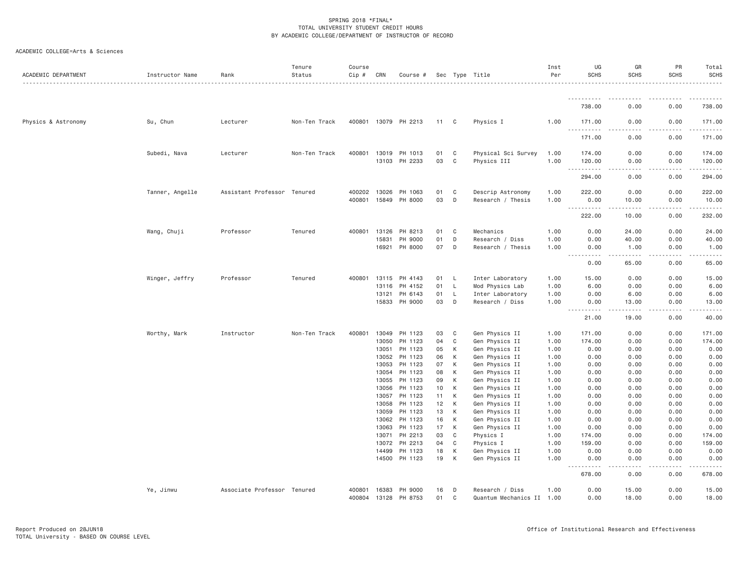| ACADEMIC DEPARTMENT | Instructor Name | Rank                        | Tenure<br>Status | Course<br>Cip # | CRN            | Course #             |          |              | Sec Type Title                   | Inst<br>Per  | UG<br><b>SCHS</b>                                                                                                                                                         | GR<br><b>SCHS</b>                                                                                                                                             | PR<br><b>SCHS</b>                                                                                                                                            | Total<br><b>SCHS</b>    |
|---------------------|-----------------|-----------------------------|------------------|-----------------|----------------|----------------------|----------|--------------|----------------------------------|--------------|---------------------------------------------------------------------------------------------------------------------------------------------------------------------------|---------------------------------------------------------------------------------------------------------------------------------------------------------------|--------------------------------------------------------------------------------------------------------------------------------------------------------------|-------------------------|
|                     |                 |                             |                  |                 |                |                      |          |              |                                  |              | .                                                                                                                                                                         |                                                                                                                                                               |                                                                                                                                                              |                         |
|                     |                 |                             |                  |                 |                |                      |          |              |                                  |              | 738.00                                                                                                                                                                    | 0.00                                                                                                                                                          | 0.00                                                                                                                                                         | 738.00                  |
| Physics & Astronomy | Su, Chun        | Lecturer                    | Non-Ten Track    |                 |                | 400801 13079 PH 2213 | 11 C     |              | Physics I                        | 1.00         | 171.00<br><b></b>                                                                                                                                                         | 0.00<br>$- - -$<br>. <u>. .</u>                                                                                                                               | 0.00<br>.                                                                                                                                                    | 171.00<br>$- - - - - -$ |
|                     |                 |                             |                  |                 |                |                      |          |              |                                  |              | 171.00                                                                                                                                                                    | 0.00                                                                                                                                                          | 0.00                                                                                                                                                         | 171.00                  |
|                     | Subedi, Nava    | Lecturer                    | Non-Ten Track    | 400801          | 13019          | PH 1013              | 01       | C            | Physical Sci Survey              | 1.00         | 174.00                                                                                                                                                                    | 0.00                                                                                                                                                          | 0.00                                                                                                                                                         | 174.00                  |
|                     |                 |                             |                  |                 | 13103          | PH 2233              | 03       | C            | Physics III                      | 1.00         | 120.00<br>$\sim$ $\sim$ $\sim$<br>.                                                                                                                                       | 0.00                                                                                                                                                          | 0.00                                                                                                                                                         | 120.00<br>.             |
|                     |                 |                             |                  |                 |                |                      |          |              |                                  |              | 294.00                                                                                                                                                                    | 0.00                                                                                                                                                          | 0.00                                                                                                                                                         | 294.00                  |
|                     | Tanner, Angelle | Assistant Professor Tenured |                  | 400202          | 13026          | PH 1063              | 01       | C            | Descrip Astronomy                | 1.00         | 222.00                                                                                                                                                                    | 0.00                                                                                                                                                          | 0.00                                                                                                                                                         | 222.00                  |
|                     |                 |                             |                  | 400801          | 15849          | PH 8000              | 03       | D            | Research / Thesis                | 1.00         | 0.00                                                                                                                                                                      | 10.00                                                                                                                                                         | 0.00                                                                                                                                                         | 10.00                   |
|                     |                 |                             |                  |                 |                |                      |          |              |                                  |              | <u>.</u><br>222.00                                                                                                                                                        | .<br>10.00                                                                                                                                                    | .<br>0.00                                                                                                                                                    | .<br>232.00             |
|                     | Wang, Chuji     | Professor                   | Tenured          | 400801          | 13126          | PH 8213              | 01       | C            | Mechanics                        | 1.00         | 0.00                                                                                                                                                                      | 24.00                                                                                                                                                         | 0.00                                                                                                                                                         | 24.00                   |
|                     |                 |                             |                  |                 | 15831          | PH 9000              | 01       | D            | Research / Diss                  | 1.00         | 0.00                                                                                                                                                                      | 40.00                                                                                                                                                         | 0.00                                                                                                                                                         | 40.00                   |
|                     |                 |                             |                  |                 | 16921          | PH 8000              | 07       | D            | Research / Thesis                | 1.00         | 0.00<br>$\frac{1}{2} \left( \frac{1}{2} \right) \left( \frac{1}{2} \right) \left( \frac{1}{2} \right) \left( \frac{1}{2} \right) \left( \frac{1}{2} \right)$<br>د د د د د | 1.00<br>$\sim$ $\sim$ $\sim$ $\sim$ $\sim$                                                                                                                    | 0.00<br>-----                                                                                                                                                | 1.00<br>.               |
|                     |                 |                             |                  |                 |                |                      |          |              |                                  |              | 0.00                                                                                                                                                                      | 65.00                                                                                                                                                         | 0.00                                                                                                                                                         | 65.00                   |
|                     | Winger, Jeffry  | Professor                   | Tenured          | 400801          | 13115          | PH 4143              | 01       | L.           | Inter Laboratory                 | 1.00         | 15.00                                                                                                                                                                     | 0.00                                                                                                                                                          | 0.00                                                                                                                                                         | 15.00                   |
|                     |                 |                             |                  |                 | 13116          | PH 4152              | 01       | $\mathsf{L}$ | Mod Physics Lab                  | 1.00         | 6.00                                                                                                                                                                      | 0.00                                                                                                                                                          | 0.00                                                                                                                                                         | 6.00                    |
|                     |                 |                             |                  |                 | 13121          | PH 6143              | 01       | $\mathsf{L}$ | Inter Laboratory                 | 1.00         | 0.00                                                                                                                                                                      | 6.00                                                                                                                                                          | 0.00                                                                                                                                                         | 6.00                    |
|                     |                 |                             |                  |                 | 15833          | PH 9000              | 03       | D            | Research / Diss                  | 1.00         | 0.00<br>.                                                                                                                                                                 | 13.00<br>$\frac{1}{2} \left( \frac{1}{2} \right) \left( \frac{1}{2} \right) \left( \frac{1}{2} \right) \left( \frac{1}{2} \right) \left( \frac{1}{2} \right)$ | 0.00<br>$\frac{1}{2} \left( \frac{1}{2} \right) \left( \frac{1}{2} \right) \left( \frac{1}{2} \right) \left( \frac{1}{2} \right) \left( \frac{1}{2} \right)$ | 13.00<br><u>.</u> .     |
|                     |                 |                             |                  |                 |                |                      |          |              |                                  |              | 21.00                                                                                                                                                                     | 19.00                                                                                                                                                         | 0.00                                                                                                                                                         | 40.00                   |
|                     | Worthy, Mark    | Instructor                  | Non-Ten Track    | 400801          | 13049          | PH 1123              | 03       | C            | Gen Physics II                   | 1.00         | 171.00                                                                                                                                                                    | 0.00                                                                                                                                                          | 0.00                                                                                                                                                         | 171.00                  |
|                     |                 |                             |                  |                 | 13050          | PH 1123              | 04       | C            | Gen Physics II                   | 1.00         | 174.00                                                                                                                                                                    | 0.00                                                                                                                                                          | 0.00                                                                                                                                                         | 174.00                  |
|                     |                 |                             |                  |                 | 13051          | PH 1123              | 05       | К            | Gen Physics II                   | 1.00         | 0.00                                                                                                                                                                      | 0.00                                                                                                                                                          | 0.00                                                                                                                                                         | 0.00                    |
|                     |                 |                             |                  |                 | 13052          | PH 1123              | 06       | К            | Gen Physics II                   | 1.00         | 0.00                                                                                                                                                                      | 0.00                                                                                                                                                          | 0.00                                                                                                                                                         | 0.00                    |
|                     |                 |                             |                  |                 | 13053          | PH 1123              | 07       | К            | Gen Physics II                   | 1.00         | 0.00                                                                                                                                                                      | 0.00                                                                                                                                                          | 0.00                                                                                                                                                         | 0.00                    |
|                     |                 |                             |                  |                 | 13054          | PH 1123              | 08<br>09 | К<br>К       | Gen Physics II                   | 1.00         | 0.00<br>0.00                                                                                                                                                              | 0.00                                                                                                                                                          | 0.00<br>0.00                                                                                                                                                 | 0.00                    |
|                     |                 |                             |                  |                 | 13055<br>13056 | PH 1123<br>PH 1123   | 10       | К            | Gen Physics II<br>Gen Physics II | 1.00<br>1.00 | 0.00                                                                                                                                                                      | 0.00<br>0.00                                                                                                                                                  | 0.00                                                                                                                                                         | 0.00<br>0.00            |
|                     |                 |                             |                  |                 | 13057          | PH 1123              | 11       | К            | Gen Physics II                   | 1.00         | 0.00                                                                                                                                                                      | 0.00                                                                                                                                                          | 0.00                                                                                                                                                         | 0.00                    |
|                     |                 |                             |                  |                 | 13058          | PH 1123              | 12       | К            | Gen Physics II                   | 1.00         | 0.00                                                                                                                                                                      | 0.00                                                                                                                                                          | 0.00                                                                                                                                                         | 0.00                    |
|                     |                 |                             |                  |                 | 13059          | PH 1123              | 13       | К            | Gen Physics II                   | 1.00         | 0.00                                                                                                                                                                      | 0.00                                                                                                                                                          | 0.00                                                                                                                                                         | 0.00                    |
|                     |                 |                             |                  |                 | 13062          | PH 1123              | 16       | К            | Gen Physics II                   | 1.00         | 0.00                                                                                                                                                                      | 0.00                                                                                                                                                          | 0.00                                                                                                                                                         | 0.00                    |
|                     |                 |                             |                  |                 | 13063          | PH 1123              | 17       | К            | Gen Physics II                   | 1.00         | 0.00                                                                                                                                                                      | 0.00                                                                                                                                                          | 0.00                                                                                                                                                         | 0.00                    |
|                     |                 |                             |                  |                 | 13071          | PH 2213              | 03       | C            | Physics I                        | 1.00         | 174.00                                                                                                                                                                    | 0.00                                                                                                                                                          | 0.00                                                                                                                                                         | 174.00                  |
|                     |                 |                             |                  |                 | 13072          | PH 2213              | 04       | C            | Physics I                        | 1.00         | 159.00                                                                                                                                                                    | 0.00                                                                                                                                                          | 0.00                                                                                                                                                         | 159.00                  |
|                     |                 |                             |                  |                 | 14499          | PH 1123              | 18       | К            | Gen Physics II                   | 1.00         | 0.00                                                                                                                                                                      | 0.00                                                                                                                                                          | 0.00                                                                                                                                                         | 0.00                    |
|                     |                 |                             |                  |                 | 14500          | PH 1123              | 19       | К            | Gen Physics II                   | 1.00         | 0.00<br>.                                                                                                                                                                 | 0.00<br>.                                                                                                                                                     | 0.00<br>.                                                                                                                                                    | 0.00<br>وعاملت مالك     |
|                     |                 |                             |                  |                 |                |                      |          |              |                                  |              | 678.00                                                                                                                                                                    | 0.00                                                                                                                                                          | 0.00                                                                                                                                                         | 678.00                  |
|                     | Ye, Jinwu       | Associate Professor Tenured |                  | 400801          | 16383          | PH 9000              | 16       | D            | Research / Diss                  | 1.00         | 0.00                                                                                                                                                                      | 15.00                                                                                                                                                         | 0.00                                                                                                                                                         | 15.00                   |
|                     |                 |                             |                  | 400804          | 13128          | PH 8753              | 01       | C            | Quantum Mechanics II 1.00        |              | 0.00                                                                                                                                                                      | 18,00                                                                                                                                                         | 0.00                                                                                                                                                         | 18.00                   |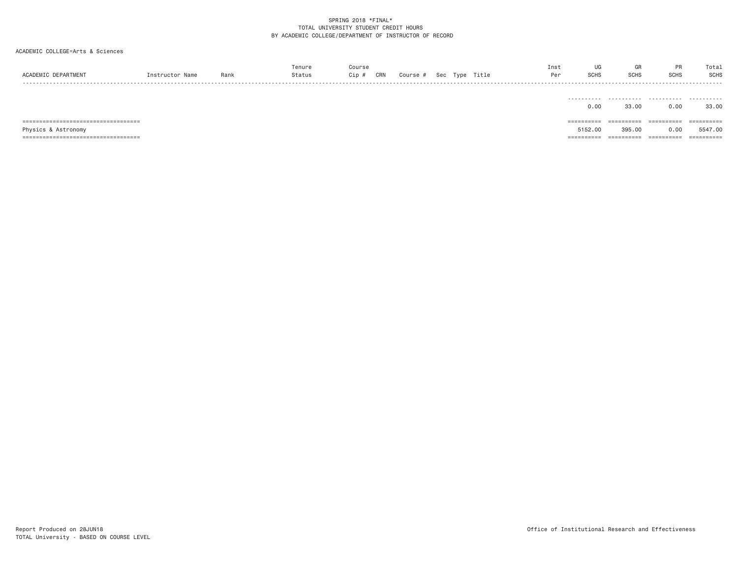| <b>ACADEMT</b><br>DEDADTMEN | Rank | Tenure<br>Status | Course<br>Cip ; | CRN | Course # |  | Sec Type Title | Inst<br>Per | <b>SCHS</b> | <b>SCHS</b> | <b>SCHS</b> | otal<br><b>SCHS</b> |
|-----------------------------|------|------------------|-----------------|-----|----------|--|----------------|-------------|-------------|-------------|-------------|---------------------|
| - - - - -                   |      |                  |                 |     |          |  |                |             | .           | .           | .           | -------<br>.        |

|                                                                             | 0.00                    | 33.00                   | 0.00                   | 33.00       |
|-----------------------------------------------------------------------------|-------------------------|-------------------------|------------------------|-------------|
|                                                                             |                         |                         |                        |             |
|                                                                             |                         |                         |                        |             |
| ------------------------------------<br>----------------------------------- | ----------<br>--------- | __________<br>--------- | _________<br>--------- | ==========  |
| Physics & Astronomy                                                         | 5152.00                 | 395.00                  | 0.00                   | 5547.00     |
| -------------------------------------                                       | ==========              | ------------            | ==========             | ___________ |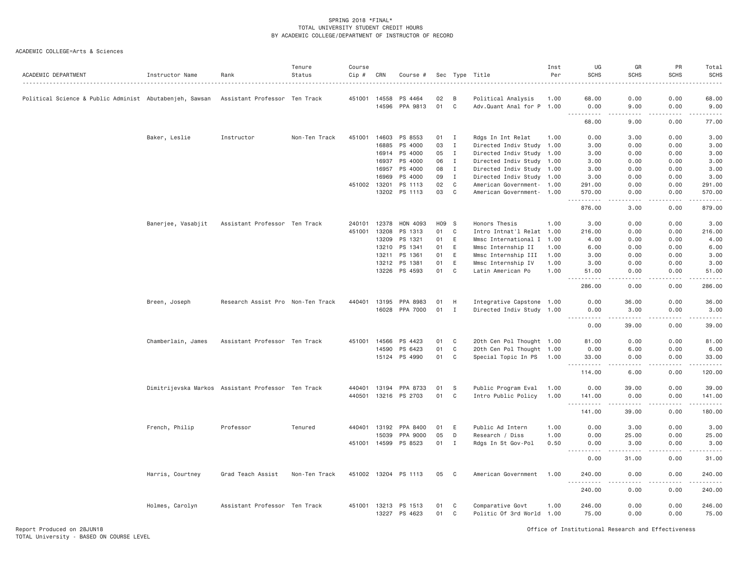| ACADEMIC DEPARTMENT                                     | Instructor Name                                    | Rank                              | Tenure<br>Status | Course<br>Cip # | CRN          | Course #              |       |                | Sec Type Title            | Inst<br>Per | UG<br><b>SCHS</b>            | GR<br><b>SCHS</b>    | PR<br><b>SCHS</b>                                                                                                                                            | Total<br><b>SCHS</b>                                                                                                                                                                     |
|---------------------------------------------------------|----------------------------------------------------|-----------------------------------|------------------|-----------------|--------------|-----------------------|-------|----------------|---------------------------|-------------|------------------------------|----------------------|--------------------------------------------------------------------------------------------------------------------------------------------------------------|------------------------------------------------------------------------------------------------------------------------------------------------------------------------------------------|
| Political Science & Public Administ Abutabenjeh, Sawsan |                                                    | Assistant Professor Ten Track     |                  | 451001 14558    |              | PS 4464               | 02    | B              | Political Analysis        | 1.00        | 68.00                        | 0.00                 | 0.00                                                                                                                                                         | 68.00                                                                                                                                                                                    |
|                                                         |                                                    |                                   |                  |                 | 14596        | PPA 9813              | 01    | C <sub>1</sub> | Adv.Quant Anal for P 1.00 |             | 0.00                         | 9.00                 | 0.00                                                                                                                                                         | 9.00                                                                                                                                                                                     |
|                                                         |                                                    |                                   |                  |                 |              |                       |       |                |                           |             | .<br>68.00                   | .<br>9.00            | $\frac{1}{2} \left( \frac{1}{2} \right) \left( \frac{1}{2} \right) \left( \frac{1}{2} \right) \left( \frac{1}{2} \right) \left( \frac{1}{2} \right)$<br>0.00 | $\frac{1}{2} \left( \frac{1}{2} \right) \left( \frac{1}{2} \right) \left( \frac{1}{2} \right) \left( \frac{1}{2} \right) \left( \frac{1}{2} \right) \left( \frac{1}{2} \right)$<br>77.00 |
|                                                         | Baker, Leslie                                      | Instructor                        | Non-Ten Track    | 451001          | 14603        | PS 8553               | 01    | <b>I</b>       | Rdgs In Int Relat         | 1.00        | 0.00                         | 3.00                 | 0.00                                                                                                                                                         | 3.00                                                                                                                                                                                     |
|                                                         |                                                    |                                   |                  |                 | 16885        | PS 4000               | 03    | $\mathbf{I}$   | Directed Indiv Study 1.00 |             | 3.00                         | 0.00                 | 0.00                                                                                                                                                         | 3.00                                                                                                                                                                                     |
|                                                         |                                                    |                                   |                  |                 |              | 16914 PS 4000         | 05    | $\mathbf I$    | Directed Indiv Study 1.00 |             | 3.00                         | 0.00                 | 0.00                                                                                                                                                         | 3.00                                                                                                                                                                                     |
|                                                         |                                                    |                                   |                  |                 | 16937        | PS 4000               | 06    | $\mathbf{I}$   | Directed Indiv Study 1.00 |             | 3.00                         | 0.00                 | 0.00                                                                                                                                                         | 3.00                                                                                                                                                                                     |
|                                                         |                                                    |                                   |                  |                 | 16957        | PS 4000               | 08    | $\mathbf{I}$   | Directed Indiv Study 1.00 |             | 3.00                         | 0.00                 | 0.00                                                                                                                                                         | 3.00                                                                                                                                                                                     |
|                                                         |                                                    |                                   |                  |                 | 16969        | PS 4000               | 09    | $\mathbf{I}$   | Directed Indiv Study 1.00 |             | 3.00                         | 0.00                 | 0.00                                                                                                                                                         | 3.00                                                                                                                                                                                     |
|                                                         |                                                    |                                   |                  | 451002          | 13201        | PS 1113               | 02    | C              | American Government- 1.00 |             | 291.00                       | 0.00                 | 0.00                                                                                                                                                         | 291.00                                                                                                                                                                                   |
|                                                         |                                                    |                                   |                  |                 |              | 13202 PS 1113         | 03    | $\mathbf C$    | American Government- 1.00 |             | 570.00                       | 0.00                 | 0.00                                                                                                                                                         | 570.00                                                                                                                                                                                   |
|                                                         |                                                    |                                   |                  |                 |              |                       |       |                |                           |             | .<br>876.00                  | 3,00                 | 0.00                                                                                                                                                         | 879.00                                                                                                                                                                                   |
|                                                         |                                                    |                                   |                  |                 | 240101 12378 |                       | H09 S |                |                           | 1.00        |                              |                      |                                                                                                                                                              |                                                                                                                                                                                          |
|                                                         | Banerjee, Vasabjit                                 | Assistant Professor Ten Track     |                  | 451001          | 13208        | HON 4093<br>PS 1313   |       |                | Honors Thesis             |             | 3.00                         | 0.00                 | 0.00                                                                                                                                                         | 3.00                                                                                                                                                                                     |
|                                                         |                                                    |                                   |                  |                 |              |                       | 01    | C              | Intro Intnat'l Relat 1.00 |             | 216.00                       | 0.00                 | 0.00                                                                                                                                                         | 216.00                                                                                                                                                                                   |
|                                                         |                                                    |                                   |                  |                 | 13209        | PS 1321               | 01    | Ε              | Mmsc International I      | 1.00        | 4.00                         | 0.00                 | 0.00                                                                                                                                                         | 4.00                                                                                                                                                                                     |
|                                                         |                                                    |                                   |                  |                 | 13210        | PS 1341               | 01    | E              | Mmsc Internship II        | 1.00        | 6.00                         | 0.00                 | 0.00                                                                                                                                                         | 6.00                                                                                                                                                                                     |
|                                                         |                                                    |                                   |                  |                 | 13211        | PS 1361               | 01    | E              | Mmsc Internship III       | 1.00        | 3.00                         | 0.00                 | 0.00                                                                                                                                                         | 3.00                                                                                                                                                                                     |
|                                                         |                                                    |                                   |                  |                 | 13212        | PS 1381               | 01    | E              | Mmsc Internship IV        | 1.00        | 3,00                         | 0.00                 | 0.00                                                                                                                                                         | 3.00                                                                                                                                                                                     |
|                                                         |                                                    |                                   |                  |                 |              | 13226 PS 4593         | 01    | C              | Latin American Po         | 1.00        | 51.00<br><u>.</u>            | 0.00<br>.            | 0.00<br>.                                                                                                                                                    | 51.00<br>.                                                                                                                                                                               |
|                                                         |                                                    |                                   |                  |                 |              |                       |       |                |                           |             | 286.00                       | 0.00                 | 0.00                                                                                                                                                         | 286.00                                                                                                                                                                                   |
|                                                         | Breen, Joseph                                      | Research Assist Pro Non-Ten Track |                  |                 | 440401 13195 | PPA 8983              | 01    | H              | Integrative Capstone 1.00 |             | 0.00                         | 36.00                | 0.00                                                                                                                                                         | 36.00                                                                                                                                                                                    |
|                                                         |                                                    |                                   |                  |                 | 16028        | PPA 7000              | 01    | Ι.             | Directed Indiv Study 1.00 |             | 0.00                         | 3.00                 | 0.00                                                                                                                                                         | 3.00                                                                                                                                                                                     |
|                                                         |                                                    |                                   |                  |                 |              |                       |       |                |                           |             | .<br>0.00                    | $- - - - -$<br>39.00 | .<br>0.00                                                                                                                                                    | .<br>39.00                                                                                                                                                                               |
|                                                         | Chamberlain, James                                 | Assistant Professor Ten Track     |                  | 451001          | 14566        | PS 4423               | 01    | C              | 20th Cen Pol Thought 1.00 |             | 81.00                        | 0.00                 | 0.00                                                                                                                                                         | 81.00                                                                                                                                                                                    |
|                                                         |                                                    |                                   |                  |                 | 14590        | PS 6423               | 01    | C              | 20th Cen Pol Thought 1.00 |             | 0.00                         | 6.00                 | 0.00                                                                                                                                                         | 6.00                                                                                                                                                                                     |
|                                                         |                                                    |                                   |                  |                 |              | 15124 PS 4990         | 01    | C              | Special Topic In PS 1.00  |             | 33.00                        | 0.00                 | 0.00                                                                                                                                                         | 33.00                                                                                                                                                                                    |
|                                                         |                                                    |                                   |                  |                 |              |                       |       |                |                           |             | 114.00                       | 6.00                 | 0.00                                                                                                                                                         | 120.00                                                                                                                                                                                   |
|                                                         | Dimitrijevska Markos Assistant Professor Ten Track |                                   |                  |                 |              | 440401 13194 PPA 8733 | 01    | <b>S</b>       | Public Program Eval       | 1.00        | 0.00                         | 39.00                | 0.00                                                                                                                                                         | 39.00                                                                                                                                                                                    |
|                                                         |                                                    |                                   |                  |                 | 440501 13216 | PS 2703               | 01    | C              | Intro Public Policy       | 1.00        | 141.00                       | 0.00                 | 0.00                                                                                                                                                         | 141.00                                                                                                                                                                                   |
|                                                         |                                                    |                                   |                  |                 |              |                       |       |                |                           |             | <u>.</u> .<br>141.00         | $- - - - -$<br>39.00 | $- - - - -$<br>0.00                                                                                                                                          | .<br>180.00                                                                                                                                                                              |
|                                                         |                                                    |                                   |                  |                 |              |                       |       |                |                           |             |                              |                      |                                                                                                                                                              |                                                                                                                                                                                          |
|                                                         | French, Philip                                     | Professor                         | Tenured          | 440401          | 13192        | PPA 8400              | 01    | Ε              | Public Ad Intern          | 1.00        | 0.00                         | 3.00                 | 0.00                                                                                                                                                         | 3.00                                                                                                                                                                                     |
|                                                         |                                                    |                                   |                  |                 | 15039        | PPA 9000              | 05    | D              | Research / Diss           | 1.00        | 0.00                         | 25.00                | 0.00                                                                                                                                                         | 25.00                                                                                                                                                                                    |
|                                                         |                                                    |                                   |                  |                 |              | 451001 14599 PS 8523  | 01    | $\mathbf I$    | Rdgs In St Gov-Pol        | 0.50        | 0.00<br>$  -$<br>$- - - - -$ | 3.00<br><u>.</u>     | 0.00<br>.                                                                                                                                                    | 3.00<br>.                                                                                                                                                                                |
|                                                         |                                                    |                                   |                  |                 |              |                       |       |                |                           |             | 0.00                         | 31.00                | 0.00                                                                                                                                                         | 31.00                                                                                                                                                                                    |
|                                                         | Harris, Courtney                                   | Grad Teach Assist                 | Non-Ten Track    | 451002          | 13204        | PS 1113               | 05    | C              | American Government       | 1.00        | 240.00<br>.                  | 0.00<br>.            | 0.00<br>.                                                                                                                                                    | 240.00<br>.                                                                                                                                                                              |
|                                                         |                                                    |                                   |                  |                 |              |                       |       |                |                           |             | 240.00                       | 0.00                 | 0.00                                                                                                                                                         | 240.00                                                                                                                                                                                   |
|                                                         | Holmes, Carolyn                                    | Assistant Professor Ten Track     |                  |                 | 451001 13213 | PS 1513               | 01    | C              | Comparative Govt          | 1.00        | 246.00                       | 0.00                 | 0.00                                                                                                                                                         | 246.00                                                                                                                                                                                   |
|                                                         |                                                    |                                   |                  |                 | 13227        | PS 4623               | 01    | C              | Politic Of 3rd World 1.00 |             | 75.00                        | 0.00                 | 0.00                                                                                                                                                         | 75.00                                                                                                                                                                                    |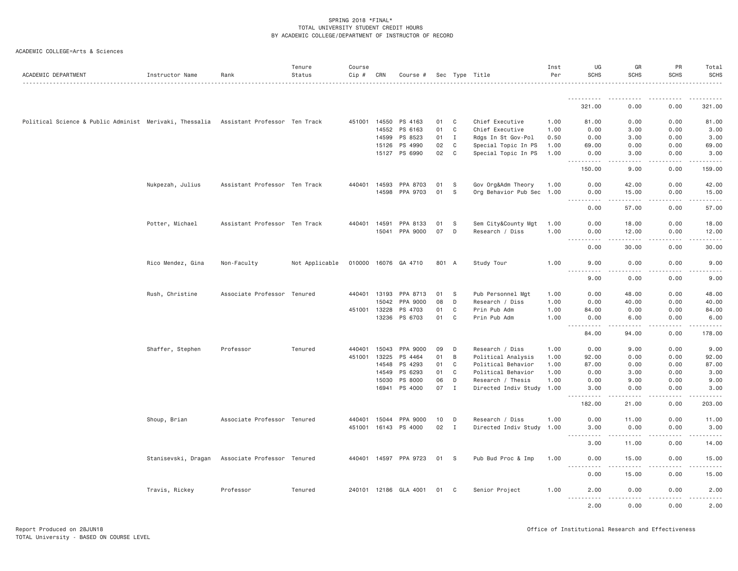| ACADEMIC DEPARTMENT                                                                   | Instructor Name     | Rank                          | Tenure<br>Status | Course<br>$Cip$ # | CRN   | Course #              |       |              | Sec Type Title            | Inst<br>Per | UG<br><b>SCHS</b>                                                                                                                      | GR<br><b>SCHS</b>    | <b>PR</b><br><b>SCHS</b>                                                                                                                                     | Total<br><b>SCHS</b> |
|---------------------------------------------------------------------------------------|---------------------|-------------------------------|------------------|-------------------|-------|-----------------------|-------|--------------|---------------------------|-------------|----------------------------------------------------------------------------------------------------------------------------------------|----------------------|--------------------------------------------------------------------------------------------------------------------------------------------------------------|----------------------|
|                                                                                       |                     |                               |                  |                   |       |                       |       |              |                           |             | .                                                                                                                                      |                      |                                                                                                                                                              | .                    |
|                                                                                       |                     |                               |                  |                   |       |                       |       |              |                           |             | 321.00                                                                                                                                 | 0.00                 | 0.00                                                                                                                                                         | 321.00               |
| Political Science & Public Administ Merivaki, Thessalia Assistant Professor Ten Track |                     |                               |                  |                   |       | 451001 14550 PS 4163  | 01    | C            | Chief Executive           | 1.00        | 81.00                                                                                                                                  | 0.00                 | 0.00                                                                                                                                                         | 81.00                |
|                                                                                       |                     |                               |                  |                   | 14552 | PS 6163               | 01    | C            | Chief Executive           | 1.00        | 0.00                                                                                                                                   | 3.00                 | 0.00                                                                                                                                                         | 3.00                 |
|                                                                                       |                     |                               |                  |                   | 14599 | PS 8523               | 01    | $\mathbf{I}$ | Rdgs In St Gov-Pol        | 0.50        | 0.00                                                                                                                                   | 3.00                 | 0.00                                                                                                                                                         | 3.00                 |
|                                                                                       |                     |                               |                  |                   | 15126 | PS 4990               | 02    | C            | Special Topic In PS       | 1.00        | 69.00                                                                                                                                  | 0.00                 | 0.00                                                                                                                                                         | 69.00                |
|                                                                                       |                     |                               |                  |                   |       | 15127 PS 6990         | 02    | C            | Special Topic In PS       | 1.00        | 0.00<br><u>.</u>                                                                                                                       | 3.00<br>.            | 0.00<br>$\frac{1}{2} \left( \frac{1}{2} \right) \left( \frac{1}{2} \right) \left( \frac{1}{2} \right) \left( \frac{1}{2} \right) \left( \frac{1}{2} \right)$ | 3.00<br>.            |
|                                                                                       |                     |                               |                  |                   |       |                       |       |              |                           |             | 150.00                                                                                                                                 | 9.00                 | 0.00                                                                                                                                                         | 159.00               |
|                                                                                       | Nukpezah, Julius    | Assistant Professor Ten Track |                  | 440401            | 14593 | PPA 8703              | 01    | -S           | Gov Org&Adm Theory        | 1.00        | 0.00                                                                                                                                   | 42.00                | 0.00                                                                                                                                                         | 42.00                |
|                                                                                       |                     |                               |                  |                   |       | 14598 PPA 9703        | 01    | -S           | Org Behavior Pub Sec      | 1.00        | 0.00<br>.<br>$\frac{1}{2}$                                                                                                             | 15.00                | 0.00                                                                                                                                                         | 15.00                |
|                                                                                       |                     |                               |                  |                   |       |                       |       |              |                           |             | 0.00                                                                                                                                   | 57.00                | 0.00                                                                                                                                                         | 57.00                |
|                                                                                       | Potter, Michael     | Assistant Professor Ten Track |                  | 440401 14591      |       | PPA 8133              | 01    | -S           | Sem City&County Mgt       | 1.00        | 0.00                                                                                                                                   | 18.00                | 0.00                                                                                                                                                         | 18.00                |
|                                                                                       |                     |                               |                  |                   |       | 15041 PPA 9000        | 07    | D            | Research / Diss           | 1.00        | 0.00<br>.<br>$\frac{1}{2} \left( \frac{1}{2} \right) \left( \frac{1}{2} \right) \left( \frac{1}{2} \right) \left( \frac{1}{2} \right)$ | 12.00<br>.           | 0.00<br>$- - - - -$                                                                                                                                          | 12.00<br>.           |
|                                                                                       |                     |                               |                  |                   |       |                       |       |              |                           |             | 0.00                                                                                                                                   | 30.00                | 0.00                                                                                                                                                         | 30.00                |
|                                                                                       | Rico Mendez, Gina   | Non-Faculty                   | Not Applicable   |                   |       | 010000 16076 GA 4710  | 801 A |              | Study Tour                | 1.00        | 9.00<br>.                                                                                                                              | 0.00<br>.            | 0.00<br>.                                                                                                                                                    | 9.00<br>$- - - - -$  |
|                                                                                       |                     |                               |                  |                   |       |                       |       |              |                           |             | 9.00                                                                                                                                   | 0.00                 | 0.00                                                                                                                                                         | 9.00                 |
|                                                                                       | Rush, Christine     | Associate Professor Tenured   |                  | 440401            | 13193 | PPA 8713              | 01    | -S           | Pub Personnel Mgt         | 1.00        | 0.00                                                                                                                                   | 48.00                | 0.00                                                                                                                                                         | 48.00                |
|                                                                                       |                     |                               |                  |                   | 15042 | PPA 9000              | 08    | D            | Research / Diss           | 1.00        | 0.00                                                                                                                                   | 40.00                | 0.00                                                                                                                                                         | 40.00                |
|                                                                                       |                     |                               |                  | 451001 13228      |       | PS 4703               | 01    | C            | Prin Pub Adm              | 1.00        | 84.00                                                                                                                                  | 0.00                 | 0.00                                                                                                                                                         | 84.00                |
|                                                                                       |                     |                               |                  |                   | 13236 | PS 6703               | 01    | C            | Prin Pub Adm              | 1.00        | 0.00<br>$\sim$ $\sim$ $\sim$ $\sim$                                                                                                    | 6.00                 | 0.00                                                                                                                                                         | 6.00                 |
|                                                                                       |                     |                               |                  |                   |       |                       |       |              |                           |             | 84.00                                                                                                                                  | 94.00                | 0.00                                                                                                                                                         | 178.00               |
|                                                                                       | Shaffer, Stephen    | Professor                     | Tenured          | 440401 15043      |       | PPA 9000              | 09    | D            | Research / Diss           | 1.00        | 0.00                                                                                                                                   | 9.00                 | 0.00                                                                                                                                                         | 9.00                 |
|                                                                                       |                     |                               |                  | 451001 13225      |       | PS 4464               | 01    | B            | Political Analysis        | 1.00        | 92.00                                                                                                                                  | 0.00                 | 0.00                                                                                                                                                         | 92.00                |
|                                                                                       |                     |                               |                  |                   | 14548 | PS 4293               | 01    | C            | Political Behavior        | 1.00        | 87.00                                                                                                                                  | 0.00                 | 0.00                                                                                                                                                         | 87.00                |
|                                                                                       |                     |                               |                  |                   | 14549 | PS 6293               | 01    | C            | Political Behavior        | 1.00        | 0.00                                                                                                                                   | 3.00                 | 0.00                                                                                                                                                         | 3.00                 |
|                                                                                       |                     |                               |                  |                   | 15030 | PS 8000               | 06    | D            | Research / Thesis         | 1.00        | 0.00                                                                                                                                   | 9.00                 | 0.00                                                                                                                                                         | 9.00                 |
|                                                                                       |                     |                               |                  |                   | 16941 | PS 4000               | 07    | $\mathbf{I}$ | Directed Indiv Study 1.00 |             | 3.00<br>.                                                                                                                              | 0.00<br>.            | 0.00<br>$\frac{1}{2} \left( \frac{1}{2} \right) \left( \frac{1}{2} \right) \left( \frac{1}{2} \right) \left( \frac{1}{2} \right) \left( \frac{1}{2} \right)$ | 3.00<br>.            |
|                                                                                       |                     |                               |                  |                   |       |                       |       |              |                           |             | 182.00                                                                                                                                 | 21.00                | 0.00                                                                                                                                                         | 203.00               |
|                                                                                       | Shoup, Brian        | Associate Professor Tenured   |                  | 440401            | 15044 | PPA 9000              | 10    | D            | Research / Diss           | 1.00        | 0.00                                                                                                                                   | 11.00                | 0.00                                                                                                                                                         | 11.00                |
|                                                                                       |                     |                               |                  |                   |       | 451001 16143 PS 4000  | 02    | $\mathbf{I}$ | Directed Indiv Study      | 1.00        | 3.00<br>$\sim$ $\sim$ $\sim$ $\sim$<br>.                                                                                               | 0.00<br>.            | 0.00                                                                                                                                                         | 3.00                 |
|                                                                                       |                     |                               |                  |                   |       |                       |       |              |                           |             | 3.00                                                                                                                                   | 11.00                | 0.00                                                                                                                                                         | 14.00                |
|                                                                                       | Stanisevski, Dragan | Associate Professor Tenured   |                  |                   |       | 440401 14597 PPA 9723 | 01    | - S          | Pub Bud Proc & Imp        | 1.00        | 0.00<br>$\frac{1}{2}$<br>.                                                                                                             | 15.00                | 0.00                                                                                                                                                         | 15.00                |
|                                                                                       |                     |                               |                  |                   |       |                       |       |              |                           |             | 0.00                                                                                                                                   | $- - - - -$<br>15.00 | 0.00                                                                                                                                                         | 15.00                |
|                                                                                       | Travis, Rickey      | Professor                     | Tenured          |                   |       | 240101 12186 GLA 4001 | 01 C  |              | Senior Project            | 1.00        | 2.00                                                                                                                                   | 0.00                 | 0.00                                                                                                                                                         | 2.00                 |
|                                                                                       |                     |                               |                  |                   |       |                       |       |              |                           |             | $- - - - -$<br>$- - - - -$<br>2.00                                                                                                     | . <u>.</u><br>0.00   | $- - - - -$<br>0.00                                                                                                                                          | .<br>2.00            |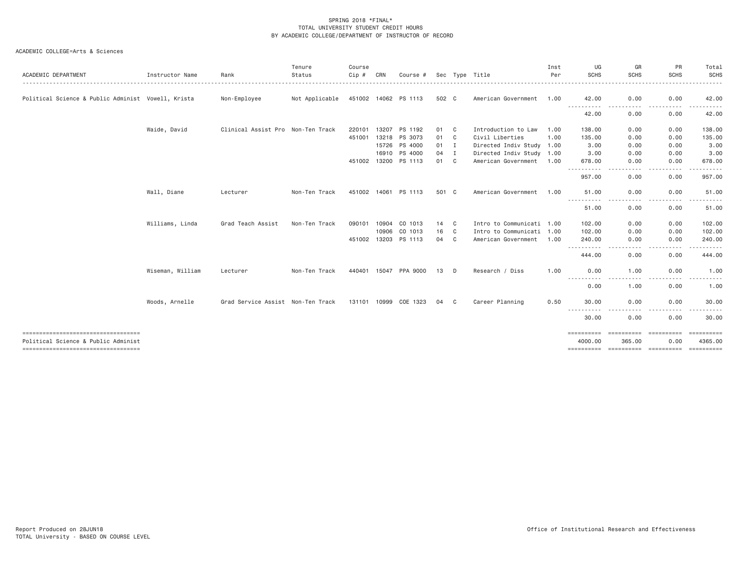| ACADEMIC DEPARTMENT                                | Instructor Name  | Rank                              | Tenure<br>Status | Course<br>Cip # | CRN   | Course #              |        |              | Sec Type Title            | Inst<br>Per | UG<br><b>SCHS</b>                                                                                                                                            | GR<br>SCHS<br>.                                                                                                                                   | PR<br><b>SCHS</b> | Total<br><b>SCHS</b><br>. |
|----------------------------------------------------|------------------|-----------------------------------|------------------|-----------------|-------|-----------------------|--------|--------------|---------------------------|-------------|--------------------------------------------------------------------------------------------------------------------------------------------------------------|---------------------------------------------------------------------------------------------------------------------------------------------------|-------------------|---------------------------|
| Political Science & Public Administ Vowell, Krista |                  | Non-Employee                      | Not Applicable   |                 |       | 451002 14062 PS 1113  | 502 C  |              | American Government 1.00  |             | 42.00                                                                                                                                                        | 0.00                                                                                                                                              | 0.00              | 42.00                     |
|                                                    |                  |                                   |                  |                 |       |                       |        |              |                           |             | -----------<br>42.00                                                                                                                                         | $\frac{1}{2} \left( \frac{1}{2} \right) \left( \frac{1}{2} \right) \left( \frac{1}{2} \right) \left( \frac{1}{2} \right)$<br>. <b>.</b> .<br>0.00 | 0.00              | 42.00                     |
|                                                    | Waide, David     | Clinical Assist Pro Non-Ten Track |                  | 220101          | 13207 | PS 1192               | 01 C   |              | Introduction to Law       | 1.00        | 138.00                                                                                                                                                       | 0.00                                                                                                                                              | 0.00              | 138.00                    |
|                                                    |                  |                                   |                  |                 |       | 451001 13218 PS 3073  | 01 C   |              | Civil Liberties           | 1.00        | 135.00                                                                                                                                                       | 0.00                                                                                                                                              | 0.00              | 135.00                    |
|                                                    |                  |                                   |                  |                 |       | 15726 PS 4000         | $01$ I |              | Directed Indiv Study 1.00 |             | 3,00                                                                                                                                                         | 0.00                                                                                                                                              | 0.00              | 3.00                      |
|                                                    |                  |                                   |                  |                 | 16910 | PS 4000               | 04     | $\mathbf{I}$ | Directed Indiv Study 1.00 |             | 3.00                                                                                                                                                         | 0.00                                                                                                                                              | 0.00              | 3.00                      |
|                                                    |                  |                                   |                  |                 |       | 451002 13200 PS 1113  | 01 C   |              | American Government 1.00  |             | 678.00                                                                                                                                                       | 0.00                                                                                                                                              | 0.00              | 678.00                    |
|                                                    |                  |                                   |                  |                 |       |                       |        |              |                           |             | .<br>957.00                                                                                                                                                  | $\sim$ $\sim$ $\sim$ $\sim$<br>0.00                                                                                                               | .<br>0.00         | 957.00                    |
|                                                    | Wall, Diane      | Lecturer                          | Non-Ten Track    | 451002 14061    |       | PS 1113               | 501 C  |              | American Government       | 1.00        | 51.00                                                                                                                                                        | 0.00                                                                                                                                              | 0.00              | 51.00                     |
|                                                    |                  |                                   |                  |                 |       |                       |        |              |                           |             | $\frac{1}{2} \left( \frac{1}{2} \right) \left( \frac{1}{2} \right) \left( \frac{1}{2} \right) \left( \frac{1}{2} \right)$<br>51.00                           | 0.00                                                                                                                                              | 0.00              | 51.00                     |
|                                                    | Williams, Linda  | Grad Teach Assist                 | Non-Ten Track    | 090101          | 10904 | CO 1013               | 14 C   |              | Intro to Communicati 1.00 |             | 102.00                                                                                                                                                       | 0.00                                                                                                                                              | 0.00              | 102.00                    |
|                                                    |                  |                                   |                  |                 | 10906 | CO 1013               | 16     | $\mathbf{C}$ | Intro to Communicati 1.00 |             | 102,00                                                                                                                                                       | 0.00                                                                                                                                              | 0.00              | 102.00                    |
|                                                    |                  |                                   |                  |                 |       | 451002 13203 PS 1113  | 04     | C            | American Government       | 1.00        | 240.00                                                                                                                                                       | 0.00                                                                                                                                              | 0.00              | 240.00                    |
|                                                    |                  |                                   |                  |                 |       |                       |        |              |                           |             | .<br>444.00                                                                                                                                                  | $\sim$ $\sim$ $\sim$ $\sim$<br>0.00                                                                                                               | -----<br>0.00     | 444.00                    |
|                                                    | Wiseman, William | Lecturer                          | Non-Ten Track    |                 |       | 440401 15047 PPA 9000 | 13     | D            | Research / Diss           | 1.00        | 0.00                                                                                                                                                         | 1.00                                                                                                                                              | 0.00              | 1.00                      |
|                                                    |                  |                                   |                  |                 |       |                       |        |              |                           |             | $\frac{1}{2} \left( \frac{1}{2} \right) \left( \frac{1}{2} \right) \left( \frac{1}{2} \right) \left( \frac{1}{2} \right) \left( \frac{1}{2} \right)$<br>0.00 | 1.00                                                                                                                                              | 0.00              | 1.00                      |
|                                                    | Woods, Arnelle   | Grad Service Assist Non-Ten Track |                  |                 |       | 131101 10999 COE 1323 | 04     | C.           | Career Planning           | 0.50        | 30.00                                                                                                                                                        | 0.00                                                                                                                                              | 0.00              | 30.00                     |
|                                                    |                  |                                   |                  |                 |       |                       |        |              |                           |             | -----------<br>30.00                                                                                                                                         | 0.00                                                                                                                                              | 0.00              | 30.00                     |
| ----------------------------------                 |                  |                                   |                  |                 |       |                       |        |              |                           |             | ==========                                                                                                                                                   |                                                                                                                                                   |                   |                           |
| Political Science & Public Administ                |                  |                                   |                  |                 |       |                       |        |              |                           |             | 4000.00                                                                                                                                                      | 365.00<br>---------- ---------- ---------                                                                                                         | 0.00              | 4365.00<br>==========     |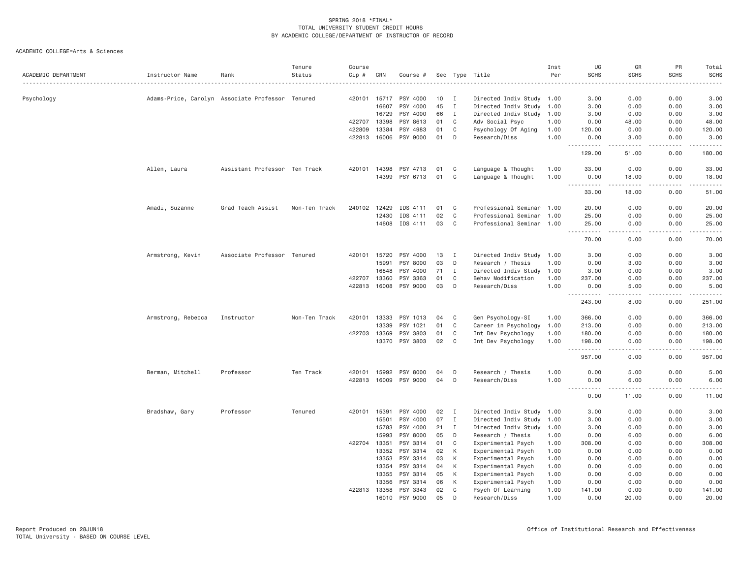| ACADEMIC DEPARTMENT | Instructor Name    | Rank                                             | Tenure<br>Status | Course<br>$Cip$ # | CRN          | Course # |    |              | Sec Type Title            | Inst<br>Per | UG<br><b>SCHS</b>                           | GR<br><b>SCHS</b>     | PR<br><b>SCHS</b> | Total<br><b>SCHS</b>                                                                                                                                                                      |
|---------------------|--------------------|--------------------------------------------------|------------------|-------------------|--------------|----------|----|--------------|---------------------------|-------------|---------------------------------------------|-----------------------|-------------------|-------------------------------------------------------------------------------------------------------------------------------------------------------------------------------------------|
|                     |                    |                                                  |                  |                   |              |          |    |              |                           |             |                                             | .                     |                   | $\frac{1}{2}$                                                                                                                                                                             |
| Psychology          |                    | Adams-Price, Carolyn Associate Professor Tenured |                  |                   | 420101 15717 | PSY 4000 | 10 | $\mathbf{I}$ | Directed Indiv Study 1.00 |             | 3.00                                        | 0.00                  | 0.00              | 3.00                                                                                                                                                                                      |
|                     |                    |                                                  |                  |                   | 16607        | PSY 4000 | 45 | $\mathbf{I}$ | Directed Indiv Study 1.00 |             | 3.00                                        | 0.00                  | 0.00              | 3.00                                                                                                                                                                                      |
|                     |                    |                                                  |                  |                   | 16729        | PSY 4000 | 66 | Ι.           | Directed Indiv Study 1.00 |             | 3.00                                        | 0.00                  | 0.00              | 3.00                                                                                                                                                                                      |
|                     |                    |                                                  |                  | 422707            | 13398        | PSY 8613 | 01 | C            | Adv Social Psyc           | 1.00        | 0.00                                        | 48.00                 | 0.00              | 48.00                                                                                                                                                                                     |
|                     |                    |                                                  |                  | 422809            | 13384        | PSY 4983 | 01 | C            | Psychology Of Aging       | 1.00        | 120.00                                      | 0.00                  | 0.00              | 120.00                                                                                                                                                                                    |
|                     |                    |                                                  |                  |                   | 422813 16006 | PSY 9000 | 01 | D            | Research/Diss             | 1.00        | 0.00                                        | 3.00                  | 0.00              | 3.00                                                                                                                                                                                      |
|                     |                    |                                                  |                  |                   |              |          |    |              |                           |             | $  -$<br>.<br>129.00                        | .<br>51.00            | .<br>0.00         | $\frac{1}{2} \left( \frac{1}{2} \right) \left( \frac{1}{2} \right) \left( \frac{1}{2} \right) \left( \frac{1}{2} \right) \left( \frac{1}{2} \right) \left( \frac{1}{2} \right)$<br>180.00 |
|                     | Allen, Laura       | Assistant Professor Ten Track                    |                  |                   | 420101 14398 | PSY 4713 | 01 | C            | Language & Thought        | 1.00        | 33.00                                       | 0.00                  | 0.00              | 33.00                                                                                                                                                                                     |
|                     |                    |                                                  |                  |                   | 14399        | PSY 6713 | 01 | $\mathsf{C}$ | Language & Thought        | 1.00        | 0.00<br><u>.</u>                            | 18.00<br>المتمالين    | 0.00<br>.         | 18.00<br>.                                                                                                                                                                                |
|                     |                    |                                                  |                  |                   |              |          |    |              |                           |             | 33.00                                       | 18.00                 | 0.00              | 51.00                                                                                                                                                                                     |
|                     | Amadi, Suzanne     | Grad Teach Assist                                | Non-Ten Track    | 240102            | 12429        | IDS 4111 | 01 | C            | Professional Seminar 1.00 |             | 20.00                                       | 0.00                  | 0.00              | 20.00                                                                                                                                                                                     |
|                     |                    |                                                  |                  |                   | 12430        | IDS 4111 | 02 | C            | Professional Seminar      | 1.00        | 25.00                                       | 0.00                  | 0.00              | 25.00                                                                                                                                                                                     |
|                     |                    |                                                  |                  |                   | 14608        | IDS 4111 | 03 | C            | Professional Seminar 1.00 |             | 25.00<br>.                                  | 0.00<br>د د د د       | 0.00<br>.         | 25.00<br>المتمام                                                                                                                                                                          |
|                     |                    |                                                  |                  |                   |              |          |    |              |                           |             | 70.00                                       | 0.00                  | 0.00              | 70.00                                                                                                                                                                                     |
|                     | Armstrong, Kevin   | Associate Professor Tenured                      |                  | 420101            | 15720        | PSY 4000 | 13 | $\mathbf{I}$ | Directed Indiv Study 1.00 |             | 3.00                                        | 0.00                  | 0.00              | 3.00                                                                                                                                                                                      |
|                     |                    |                                                  |                  |                   | 15991        | PSY 8000 | 03 | D            | Research / Thesis         | 1.00        | 0.00                                        | 3.00                  | 0.00              | 3.00                                                                                                                                                                                      |
|                     |                    |                                                  |                  |                   | 16848        | PSY 4000 | 71 | I            | Directed Indiv Study      | 1.00        | 3.00                                        | 0.00                  | 0.00              | 3.00                                                                                                                                                                                      |
|                     |                    |                                                  |                  | 422707            | 13360        | PSY 3363 | 01 | C            | Behav Modification        | 1.00        | 237.00                                      | 0.00                  | 0.00              | 237.00                                                                                                                                                                                    |
|                     |                    |                                                  |                  | 422813            | 16008        | PSY 9000 | 03 | D            | Research/Diss             | 1.00        | 0.00<br>$\sim$ $\sim$ $\sim$<br>$- - - - -$ | 5.00<br>$\frac{1}{2}$ | 0.00              | 5.00<br>.                                                                                                                                                                                 |
|                     |                    |                                                  |                  |                   |              |          |    |              |                           |             | 243.00                                      | 8.00                  | 0.00              | 251.00                                                                                                                                                                                    |
|                     | Armstrong, Rebecca | Instructor                                       | Non-Ten Track    |                   | 420101 13333 | PSY 1013 | 04 | C            | Gen Psychology-SI         | 1.00        | 366.00                                      | 0.00                  | 0.00              | 366.00                                                                                                                                                                                    |
|                     |                    |                                                  |                  |                   | 13339        | PSY 1021 | 01 | $\mathbf C$  | Career in Psychology      | 1.00        | 213.00                                      | 0.00                  | 0.00              | 213.00                                                                                                                                                                                    |
|                     |                    |                                                  |                  |                   | 422703 13369 | PSY 3803 | 01 | C            | Int Dev Psychology        | 1.00        | 180.00                                      | 0.00                  | 0.00              | 180.00                                                                                                                                                                                    |
|                     |                    |                                                  |                  |                   | 13370        | PSY 3803 | 02 | C            | Int Dev Psychology        | 1.00        | 198.00<br>.<br>444                          | 0.00<br>.             | 0.00<br>.         | 198.00<br>.                                                                                                                                                                               |
|                     |                    |                                                  |                  |                   |              |          |    |              |                           |             | 957.00                                      | 0.00                  | 0.00              | 957.00                                                                                                                                                                                    |
|                     | Berman, Mitchell   | Professor                                        | Ten Track        | 420101            | 15992        | PSY 8000 | 04 | D            | Research / Thesis         | 1.00        | 0.00                                        | 5.00                  | 0.00              | 5.00                                                                                                                                                                                      |
|                     |                    |                                                  |                  |                   | 422813 16009 | PSY 9000 | 04 | D            | Research/Diss             | 1.00        | 0.00<br>$\sim$ $\sim$ .                     | 6.00                  | 0.00              | 6.00                                                                                                                                                                                      |
|                     |                    |                                                  |                  |                   |              |          |    |              |                           |             | 0.00                                        | 11.00                 | 0.00              | 11.00                                                                                                                                                                                     |
|                     | Bradshaw, Gary     | Professor                                        | Tenured          |                   | 420101 15391 | PSY 4000 | 02 | I            | Directed Indiv Study 1.00 |             | 3.00                                        | 0.00                  | 0.00              | 3.00                                                                                                                                                                                      |
|                     |                    |                                                  |                  |                   | 15501        | PSY 4000 | 07 | $\mathbf{I}$ | Directed Indiv Study 1.00 |             | 3.00                                        | 0.00                  | 0.00              | 3.00                                                                                                                                                                                      |
|                     |                    |                                                  |                  |                   | 15783        | PSY 4000 | 21 | $\mathbf{I}$ | Directed Indiv Study 1.00 |             | 3.00                                        | 0.00                  | 0.00              | 3.00                                                                                                                                                                                      |
|                     |                    |                                                  |                  |                   | 15993        | PSY 8000 | 05 | D            | Research / Thesis         | 1.00        | 0.00                                        | 6.00                  | 0.00              | 6.00                                                                                                                                                                                      |
|                     |                    |                                                  |                  |                   | 422704 13351 | PSY 3314 | 01 | C            | Experimental Psych        | 1.00        | 308.00                                      | 0.00                  | 0.00              | 308.00                                                                                                                                                                                    |
|                     |                    |                                                  |                  |                   | 13352        | PSY 3314 | 02 | К            | Experimental Psych        | 1.00        | 0.00                                        | 0.00                  | 0.00              | 0.00                                                                                                                                                                                      |
|                     |                    |                                                  |                  |                   | 13353        | PSY 3314 | 03 | K            | Experimental Psych        | 1.00        | 0.00                                        | 0.00                  | 0.00              | 0.00                                                                                                                                                                                      |
|                     |                    |                                                  |                  |                   | 13354        | PSY 3314 | 04 | K            | Experimental Psych        | 1.00        | 0.00                                        | 0.00                  | 0.00              | 0.00                                                                                                                                                                                      |
|                     |                    |                                                  |                  |                   | 13355        | PSY 3314 | 05 | К            | Experimental Psych        | 1.00        | 0.00                                        | 0.00                  | 0.00              | 0.00                                                                                                                                                                                      |
|                     |                    |                                                  |                  |                   | 13356        | PSY 3314 | 06 | К            | Experimental Psych        | 1.00        | 0.00                                        | 0.00                  | 0.00              | 0.00                                                                                                                                                                                      |
|                     |                    |                                                  |                  |                   | 422813 13358 | PSY 3343 | 02 | C            | Psych Of Learning         | 1.00        | 141.00                                      | 0.00                  | 0.00              | 141.00                                                                                                                                                                                    |
|                     |                    |                                                  |                  |                   | 16010        | PSY 9000 | 05 | D            | Research/Diss             | 1.00        | 0.00                                        | 20.00                 | 0.00              | 20.00                                                                                                                                                                                     |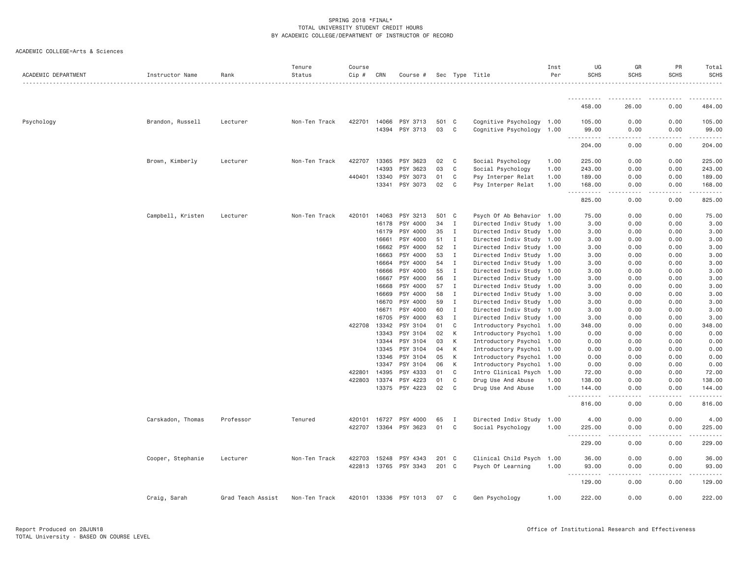| ACADEMIC COLLEGE=Arts & Sciences |  |
|----------------------------------|--|
|                                  |  |

| ACADEMIC DEPARTMENT | Instructor Name   | Rank              | Tenure<br>Status | Course<br>Cip # | CRN   | Course #                   |          |              | Sec Type Title                           | Inst<br>Per  | UG<br><b>SCHS</b>  | GR<br><b>SCHS</b>                   | PR<br><b>SCHS</b>   | Total<br><b>SCHS</b> |
|---------------------|-------------------|-------------------|------------------|-----------------|-------|----------------------------|----------|--------------|------------------------------------------|--------------|--------------------|-------------------------------------|---------------------|----------------------|
|                     |                   |                   |                  |                 |       |                            |          |              |                                          |              | ----------         |                                     |                     |                      |
|                     |                   |                   |                  |                 |       |                            |          |              |                                          |              | 458.00             | 26.00                               | 0.00                | 484.00               |
| Psychology          | Brandon, Russell  | Lecturer          | Non-Ten Track    | 422701 14066    |       | PSY 3713                   | 501      | $\mathbf{C}$ | Cognitive Psychology 1.00                |              | 105.00             | 0.00                                | 0.00                | 105.00               |
|                     |                   |                   |                  |                 | 14394 | PSY 3713                   | 03       | C            | Cognitive Psychology 1.00                |              | 99.00<br>.         | 0.00<br>$\sim$ $\sim$ $\sim$ $\sim$ | 0.00                | 99.00<br>.           |
|                     |                   |                   |                  |                 |       |                            |          |              |                                          |              | 204.00             | 0.00                                | 0.00                | 204.00               |
|                     | Brown, Kimberly   | Lecturer          | Non-Ten Track    | 422707          | 13365 | PSY 3623                   | 02       | C            | Social Psychology                        | 1.00         | 225.00             | 0.00                                | 0.00                | 225.00               |
|                     |                   |                   |                  |                 | 14393 | PSY 3623                   | 03       | C            | Social Psychology                        | 1.00         | 243.00             | 0.00                                | 0.00                | 243.00               |
|                     |                   |                   |                  | 440401 13340    |       | PSY 3073                   | 01       | C            | Psy Interper Relat                       | 1.00         | 189.00             | 0.00                                | 0.00                | 189.00               |
|                     |                   |                   |                  |                 | 13341 | PSY 3073                   | 02       | C            | Psy Interper Relat                       | 1.00         | 168.00<br>.        | 0.00<br>$   -$                      | 0.00<br>.           | 168.00<br><u>.</u>   |
|                     |                   |                   |                  |                 |       |                            |          |              |                                          |              | 825.00             | 0.00                                | 0.00                | 825.00               |
|                     | Campbell, Kristen | Lecturer          | Non-Ten Track    | 420101          | 14063 | PSY 3213                   | 501      | $\mathbf{C}$ | Psych Of Ab Behavior 1.00                |              | 75.00              | 0.00                                | 0.00                | 75.00                |
|                     |                   |                   |                  |                 | 16178 | PSY 4000                   | 34       | $\mathbf{I}$ | Directed Indiv Study 1.00                |              | 3.00               | 0.00                                | 0.00                | 3.00                 |
|                     |                   |                   |                  |                 | 16179 | PSY 4000                   | 35       | I            | Directed Indiv Study 1.00                |              | 3.00               | 0.00                                | 0.00                | 3.00                 |
|                     |                   |                   |                  |                 | 16661 | PSY 4000                   | 51       | I            | Directed Indiv Study 1.00                |              | 3.00               | 0.00                                | 0.00                | 3.00                 |
|                     |                   |                   |                  |                 | 16662 | PSY 4000                   | 52       | I            | Directed Indiv Study 1.00                |              | 3.00               | 0.00                                | 0.00                | 3.00                 |
|                     |                   |                   |                  |                 | 16663 | PSY 4000                   | 53       | I            | Directed Indiv Study 1.00                |              | 3.00               | 0.00                                | 0.00                | 3.00                 |
|                     |                   |                   |                  |                 | 16664 | PSY 4000                   | 54       | Ι.           | Directed Indiv Study 1.00                |              | 3.00               | 0.00                                | 0.00                | 3.00                 |
|                     |                   |                   |                  |                 | 16666 | PSY 4000                   | 55       | $\mathbf I$  | Directed Indiv Study 1.00                |              | 3.00               | 0.00                                | 0.00                | 3.00                 |
|                     |                   |                   |                  |                 | 16667 | PSY 4000                   | 56       | I            | Directed Indiv Study 1.00                |              | 3.00               | 0.00                                | 0.00                | 3.00                 |
|                     |                   |                   |                  |                 | 16668 | PSY 4000                   | 57       | I            | Directed Indiv Study 1.00                |              | 3.00               | 0.00                                | 0.00                | 3.00                 |
|                     |                   |                   |                  |                 | 16669 | PSY 4000                   | 58       | $\mathbf I$  | Directed Indiv Study 1.00                |              | 3.00               | 0.00                                | 0.00                | 3.00                 |
|                     |                   |                   |                  |                 | 16670 | PSY 4000                   | 59       | $\mathbf I$  | Directed Indiv Study 1.00                |              | 3.00               | 0.00                                | 0.00                | 3.00                 |
|                     |                   |                   |                  |                 | 16671 | PSY 4000                   | 60       | I            | Directed Indiv Study 1.00                |              | 3.00               | 0.00                                | 0.00                | 3.00                 |
|                     |                   |                   |                  |                 | 16705 | PSY 4000                   | 63       | I            | Directed Indiv Study 1.00                |              | 3,00               | 0.00                                | 0.00                | 3.00                 |
|                     |                   |                   |                  | 422708 13342    |       | PSY 3104                   | 01       | C            | Introductory Psychol 1.00                |              | 348.00             | 0.00                                | 0.00                | 348.00               |
|                     |                   |                   |                  |                 | 13343 | PSY 3104                   | 02       | К            | Introductory Psychol 1.00                |              | 0.00               | 0.00                                | 0.00                | 0.00                 |
|                     |                   |                   |                  |                 | 13344 | PSY 3104                   | 03       | К            | Introductory Psychol 1.00                |              | 0.00               | 0.00                                | 0.00                | 0.00                 |
|                     |                   |                   |                  |                 | 13345 | PSY 3104                   | 04       | К            | Introductory Psychol 1.00                |              | 0.00               | 0.00                                | 0.00                | 0.00                 |
|                     |                   |                   |                  |                 | 13346 | PSY 3104                   | 05       | К            | Introductory Psychol 1.00                |              | 0.00               | 0.00                                | 0.00                | 0.00                 |
|                     |                   |                   |                  |                 | 13347 | PSY 3104                   | 06       | К            | Introductory Psychol 1.00                |              | 0.00               | 0.00                                | 0.00                | 0.00                 |
|                     |                   |                   |                  | 422801          | 14395 | PSY 4333                   | 01       | C            | Intro Clinical Psych                     | 1.00         | 72.00              | 0.00                                | 0.00                | 72.00                |
|                     |                   |                   |                  | 422803          | 13374 | PSY 4223<br>13375 PSY 4223 | 01<br>02 | C<br>C       | Drug Use And Abuse<br>Drug Use And Abuse | 1,00<br>1.00 | 138.00<br>144.00   | 0.00<br>0.00                        | 0.00<br>0.00        | 138.00<br>144.00     |
|                     |                   |                   |                  |                 |       |                            |          |              |                                          |              | <u>.</u><br>816.00 | .<br>0.00                           | $- - - - -$<br>0.00 | .<br>816.00          |
|                     |                   |                   |                  |                 |       |                            |          |              |                                          |              |                    |                                     |                     |                      |
|                     | Carskadon, Thomas | Professor         | Tenured          | 420101          | 16727 | PSY 4000                   | 65       | Ι            | Directed Indiv Study 1.00                |              | 4.00               | 0.00                                | 0.00                | 4.00                 |
|                     |                   |                   |                  | 422707 13364    |       | PSY 3623                   | 01       | $\mathsf{C}$ | Social Psychology                        | 1.00         | 225.00<br>.        | 0.00<br>$\sim$ $\sim$ $\sim$ $\sim$ | 0.00                | 225.00<br>.          |
|                     |                   |                   |                  |                 |       |                            |          |              |                                          |              | 229.00             | 0.00                                | 0.00                | 229.00               |
|                     | Cooper, Stephanie | Lecturer          | Non-Ten Track    | 422703          | 15248 | PSY 4343                   | 201      | C            | Clinical Child Psych                     | 1.00         | 36.00              | 0.00                                | 0.00                | 36.00                |
|                     |                   |                   |                  |                 |       | 422813 13765 PSY 3343      | 201 C    |              | Psych Of Learning                        | 1.00         | 93.00              | 0.00                                | 0.00                | 93.00                |
|                     |                   |                   |                  |                 |       |                            |          |              |                                          |              | <u>.</u><br>129.00 | . <b>.</b> .<br>0.00                | 0.00                | <u>.</u><br>129.00   |
|                     | Craig, Sarah      | Grad Teach Assist | Non-Ten Track    |                 |       | 420101 13336 PSY 1013      | 07       | C            | Gen Psychology                           | 1.00         | 222.00             | 0.00                                | 0.00                | 222,00               |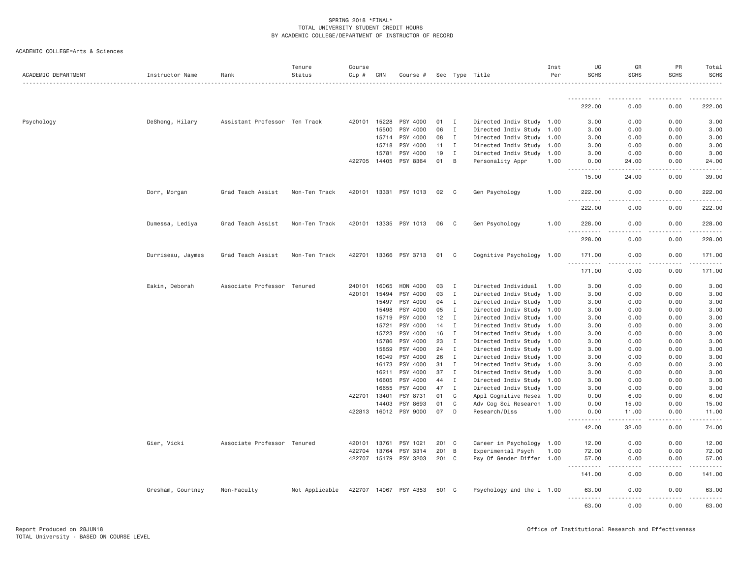| ACADEMIC COLLEGE=Arts & Sciences |  |
|----------------------------------|--|
|                                  |  |

| ACADEMIC DEPARTMENT | Instructor Name   | Rank                          | Tenure<br>Status | Course<br>Cip # | CRN   | Course #                          |          |                | Sec Type Title                        | Inst<br>Per  | UG<br><b>SCHS</b>                           | GR<br><b>SCHS</b>    | PR<br><b>SCHS</b> | Total<br>SCHS  |
|---------------------|-------------------|-------------------------------|------------------|-----------------|-------|-----------------------------------|----------|----------------|---------------------------------------|--------------|---------------------------------------------|----------------------|-------------------|----------------|
|                     |                   |                               |                  |                 |       |                                   |          |                |                                       |              | <u>.</u>                                    |                      |                   |                |
|                     |                   |                               |                  |                 |       |                                   |          |                |                                       |              | 222.00                                      | 0.00                 | 0.00              | 222.00         |
| Psychology          | DeShong, Hilary   | Assistant Professor Ten Track |                  | 420101          | 15228 | PSY 4000                          | 01       | I              | Directed Indiv Study 1.00             |              | 3.00                                        | 0.00                 | 0.00              | 3.00           |
|                     |                   |                               |                  |                 | 15500 | PSY 4000                          | 06       | $\mathbf I$    | Directed Indiv Study 1.00             |              | 3.00                                        | 0.00                 | 0.00              | 3.00           |
|                     |                   |                               |                  |                 | 15714 | PSY 4000                          | 08       | $\mathbf{I}$   | Directed Indiv Study 1.00             |              | 3.00                                        | 0.00                 | 0.00              | 3.00           |
|                     |                   |                               |                  |                 | 15718 | PSY 4000                          | 11       | I              | Directed Indiv Study                  | 1.00         | 3.00                                        | 0.00                 | 0.00              | 3.00           |
|                     |                   |                               |                  |                 | 15781 | PSY 4000                          | 19       | I              | Directed Indiv Study 1.00             |              | 3.00                                        | 0.00                 | 0.00              | 3.00           |
|                     |                   |                               |                  | 422705 14405    |       | PSY 8364                          | 01       | $\overline{B}$ | Personality Appr                      | 1.00         | 0.00<br>$\frac{1}{2}$<br>$- - - - -$        | 24.00<br>.           | 0.00              | 24.00          |
|                     |                   |                               |                  |                 |       |                                   |          |                |                                       |              | 15.00                                       | 24.00                | 0.00              | 39.00          |
|                     | Dorr, Morgan      | Grad Teach Assist             | Non-Ten Track    | 420101          | 13331 | PSY 1013                          | 02       | - C            | Gen Psychology                        | 1.00         | 222,00                                      | 0.00                 | 0.00              | 222.00         |
|                     |                   |                               |                  |                 |       |                                   |          |                |                                       |              | .<br>222.00                                 | .<br>0.00            | .<br>0.00         | .<br>222.00    |
|                     | Dumessa, Lediya   | Grad Teach Assist             | Non-Ten Track    | 420101          |       | 13335 PSY 1013                    | 06       | C              | Gen Psychology                        | 1.00         | 228.00                                      | 0.00                 | 0.00              | 228.00         |
|                     |                   |                               |                  |                 |       |                                   |          |                |                                       |              | 228.00                                      | 0.00                 | 0.00              | 228.00         |
|                     | Durriseau, Jaymes | Grad Teach Assist             | Non-Ten Track    | 422701          |       | 13366 PSY 3713                    | 01       | C              | Cognitive Psychology 1.00             |              | 171.00<br>.                                 | 0.00                 | 0.00              | 171.00         |
|                     |                   |                               |                  |                 |       |                                   |          |                |                                       |              | 171.00                                      | 0.00                 | 0.00              | 171.00         |
|                     | Eakin, Deborah    | Associate Professor Tenured   |                  | 240101          | 16065 | HON 4000                          | 03       | I              | Directed Individual                   | 1.00         | 3.00                                        | 0.00                 | 0.00              | 3.00           |
|                     |                   |                               |                  | 420101          | 15494 | PSY 4000                          | 03       | $\mathbf I$    | Directed Indiv Study                  | 1.00         | 3.00                                        | 0.00                 | 0.00              | 3.00           |
|                     |                   |                               |                  |                 | 15497 | PSY 4000                          | 04       | $\mathbf I$    | Directed Indiv Study                  | 1.00         | 3.00                                        | 0.00                 | 0.00              | 3.00           |
|                     |                   |                               |                  |                 | 15498 | PSY 4000                          | 05       | I              | Directed Indiv Study 1.00             |              | 3.00                                        | 0.00                 | 0.00              | 3.00           |
|                     |                   |                               |                  |                 | 15719 | PSY 4000                          | 12       | $\mathbf{I}$   | Directed Indiv Study 1.00             |              | 3.00                                        | 0.00                 | 0.00              | 3.00           |
|                     |                   |                               |                  |                 | 15721 | PSY 4000                          | 14       | $\mathbf{I}$   | Directed Indiv Study                  | 1.00         | 3.00                                        | 0.00                 | 0.00              | 3.00           |
|                     |                   |                               |                  |                 | 15723 | PSY 4000                          | 16       | I              | Directed Indiv Study 1.00             |              | 3.00                                        | 0.00                 | 0.00              | 3.00           |
|                     |                   |                               |                  |                 | 15786 | PSY 4000                          | 23       | I              | Directed Indiv Study 1.00             |              | 3.00                                        | 0.00                 | 0.00              | 3.00           |
|                     |                   |                               |                  |                 | 15859 | PSY 4000                          | 24       | $\mathbf{I}$   | Directed Indiv Study                  | 1.00         | 3.00                                        | 0.00                 | 0.00              | 3.00           |
|                     |                   |                               |                  |                 | 16049 | PSY 4000                          | 26       | I              | Directed Indiv Study 1.00             |              | 3.00                                        | 0.00                 | 0.00              | 3.00           |
|                     |                   |                               |                  |                 | 16173 | PSY 4000                          | 31       | $\mathbf I$    | Directed Indiv Study                  | 1.00         | 3.00                                        | 0.00                 | 0.00              | 3.00           |
|                     |                   |                               |                  |                 | 16211 | PSY 4000                          | 37       | $\mathbf{I}$   | Directed Indiv Study 1.00             |              | 3.00                                        | 0.00                 | 0.00              | 3.00           |
|                     |                   |                               |                  |                 | 16605 | PSY 4000                          | 44       | $\mathbf I$    | Directed Indiv Study 1.00             |              | 3.00                                        | 0.00                 | 0.00              | 3.00           |
|                     |                   |                               |                  |                 | 16655 | PSY 4000                          | 47       | $\mathbf{I}$   | Directed Indiv Study 1.00             |              | 3.00                                        | 0.00                 | 0.00              | 3.00           |
|                     |                   |                               |                  | 422701          | 13401 | PSY 8731                          | 01       | C              | Appl Cognitive Resea                  | 1.00         | 0.00                                        | 6.00                 | 0.00              | 6.00           |
|                     |                   |                               |                  |                 | 14403 | PSY 8693<br>422813 16012 PSY 9000 | 01<br>07 | C<br>D         | Adv Cog Sci Research<br>Research/Diss | 1.00<br>1.00 | 0.00<br>0.00                                | 15.00<br>11.00       | 0.00<br>0.00      | 15.00<br>11.00 |
|                     |                   |                               |                  |                 |       |                                   |          |                |                                       |              | <u>.</u><br>42.00                           | $- - - - -$<br>32.00 | .<br>0.00         | 74.00          |
|                     | Gier, Vicki       | Associate Professor Tenured   |                  | 420101          | 13761 | PSY 1021                          | 201 C    |                | Career in Psychology 1.00             |              | 12.00                                       | 0.00                 | 0.00              | 12.00          |
|                     |                   |                               |                  | 422704          | 13764 | PSY 3314                          | 201 B    |                | Experimental Psych                    | 1.00         | 72.00                                       | 0.00                 | 0.00              | 72.00          |
|                     |                   |                               |                  | 422707 15179    |       | PSY 3203                          | 201 C    |                | Psy Of Gender Differ 1.00             |              | 57.00                                       | 0.00                 | 0.00              | 57.00          |
|                     |                   |                               |                  |                 |       |                                   |          |                |                                       |              | $- - - -$<br>$\sim$ $\sim$ $\sim$<br>141.00 | 0.00                 | 0.00              | 141.00         |
|                     | Gresham, Courtney | Non-Faculty                   | Not Applicable   |                 |       | 422707 14067 PSY 4353             | 501 C    |                | Psychology and the L 1.00             |              | 63.00<br>$\frac{1}{2}$                      | 0.00                 | 0.00              | 63.00          |
|                     |                   |                               |                  |                 |       |                                   |          |                |                                       |              | 63.00                                       | 0.00                 | 0.00              | 63.00          |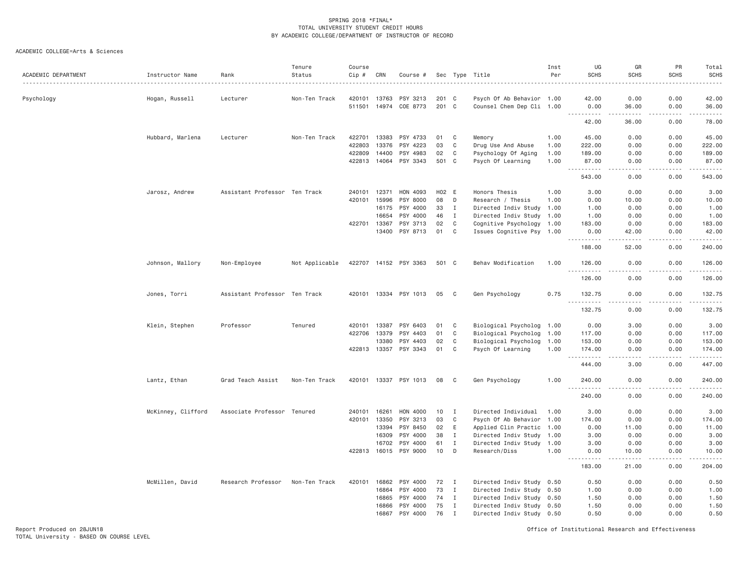| ACADEMIC DEPARTMENT | Instructor Name    | Rank                          | Tenure<br>Status | Course<br>$Cip \#$ | CRN   | Course #              |       |              | Sec Type Title            | Inst<br>Per | UG<br><b>SCHS</b>      | GR<br><b>SCHS</b>    | PR<br><b>SCHS</b> | Total<br><b>SCHS</b><br>.                                                                                                                                      |
|---------------------|--------------------|-------------------------------|------------------|--------------------|-------|-----------------------|-------|--------------|---------------------------|-------------|------------------------|----------------------|-------------------|----------------------------------------------------------------------------------------------------------------------------------------------------------------|
| Psychology          | Hogan, Russell     | Lecturer                      | Non-Ten Track    | 420101             | 13763 | PSY 3213              | 201 C |              | Psych Of Ab Behavior 1.00 |             | 42.00                  | 0.00                 | 0.00              | 42.00                                                                                                                                                          |
|                     |                    |                               |                  | 511501             |       | 14974 COE 8773        | 201 C |              | Counsel Chem Dep Cli 1.00 |             | 0.00<br>.              | 36.00<br>.           | 0.00<br>.         | 36.00<br>.                                                                                                                                                     |
|                     |                    |                               |                  |                    |       |                       |       |              |                           |             | 42.00                  | 36.00                | 0.00              | 78.00                                                                                                                                                          |
|                     | Hubbard, Marlena   | Lecturer                      | Non-Ten Track    | 422701             | 13383 | PSY 4733              | 01    | C            | Memory                    | 1.00        | 45.00                  | 0.00                 | 0.00              | 45.00                                                                                                                                                          |
|                     |                    |                               |                  | 422803             | 13376 | PSY 4223              | 03    | C            | Drug Use And Abuse        | 1.00        | 222.00                 | 0.00                 | 0.00              | 222.00                                                                                                                                                         |
|                     |                    |                               |                  | 422809             | 14400 | PSY 4983              | 02    | C            | Psychology Of Aging       | 1.00        | 189.00                 | 0.00                 | 0.00              | 189.00                                                                                                                                                         |
|                     |                    |                               |                  | 422813             | 14064 | PSY 3343              | 501 C |              | Psych Of Learning         | 1.00        | 87.00<br>$ -$<br>.     | 0.00<br>.            | 0.00<br>.         | 87.00<br>.                                                                                                                                                     |
|                     |                    |                               |                  |                    |       |                       |       |              |                           |             | 543.00                 | 0.00                 | 0.00              | 543.00                                                                                                                                                         |
|                     | Jarosz, Andrew     | Assistant Professor Ten Track |                  | 240101             | 12371 | HON 4093              | H02 E |              | Honors Thesis             | 1.00        | 3.00                   | 0.00                 | 0.00              | 3.00                                                                                                                                                           |
|                     |                    |                               |                  | 420101             | 15996 | PSY 8000              | 08    | D            | Research / Thesis         | 1.00        | 0.00                   | 10.00                | 0.00              | 10.00                                                                                                                                                          |
|                     |                    |                               |                  |                    | 16175 | PSY 4000              | 33    | $\mathbf{I}$ | Directed Indiv Study 1.00 |             | 1.00                   | 0.00                 | 0.00              | 1.00                                                                                                                                                           |
|                     |                    |                               |                  |                    | 16654 | PSY 4000              | 46    | $\mathbf I$  | Directed Indiv Study 1.00 |             | 1.00                   | 0.00                 | 0.00              | 1.00                                                                                                                                                           |
|                     |                    |                               |                  | 422701 13367       |       | PSY 3713              | 02    | C            | Cognitive Psychology 1.00 |             | 183.00                 | 0.00                 | 0.00              | 183.00                                                                                                                                                         |
|                     |                    |                               |                  |                    | 13400 | PSY 8713              | 01    | $\mathbf c$  | Issues Cognitive Psy 1.00 |             | 0.00<br>$- - - - -$    | 42.00<br>----        | 0.00<br>.         | 42.00<br>$\frac{1}{2}$                                                                                                                                         |
|                     |                    |                               |                  |                    |       |                       |       |              |                           |             | 188.00                 | 52.00                | 0.00              | 240.00                                                                                                                                                         |
|                     | Johnson, Mallory   | Non-Employee                  | Not Applicable   |                    |       | 422707 14152 PSY 3363 | 501 C |              | Behav Modification        | 1,00        | 126.00<br>$- - -$<br>. | 0.00                 | 0.00              | 126.00                                                                                                                                                         |
|                     |                    |                               |                  |                    |       |                       |       |              |                           |             | 126.00                 | 0.00                 | 0.00              | 126.00                                                                                                                                                         |
|                     | Jones, Torri       | Assistant Professor Ten Track |                  |                    |       | 420101 13334 PSY 1013 | 05    | C            | Gen Psychology            | 0.75        | 132.75<br><u>.</u>     | 0.00                 | 0.00              | 132.75                                                                                                                                                         |
|                     |                    |                               |                  |                    |       |                       |       |              |                           |             | 132.75                 | 0.00                 | 0.00              | 132.75                                                                                                                                                         |
|                     | Klein, Stephen     | Professor                     | Tenured          | 420101             | 13387 | PSY 6403              | 01    | C            | Biological Psycholog 1.00 |             | 0.00                   | 3.00                 | 0.00              | 3.00                                                                                                                                                           |
|                     |                    |                               |                  | 422706             | 13379 | PSY 4403              | 01    | C            | Biological Psycholog 1.00 |             | 117.00                 | 0.00                 | 0.00              | 117.00                                                                                                                                                         |
|                     |                    |                               |                  |                    | 13380 | PSY 4403              | 02    | C            | Biological Psycholog 1.00 |             | 153.00                 | 0.00                 | 0.00              | 153.00                                                                                                                                                         |
|                     |                    |                               |                  |                    |       | 422813 13357 PSY 3343 | 01    | $\mathbf c$  | Psych Of Learning         | 1.00        | 174.00<br>1.1.1.1.1    | 0.00<br>.            | 0.00<br>-----     | 174.00<br>$\frac{1}{2} \left( \frac{1}{2} \right) \left( \frac{1}{2} \right) \left( \frac{1}{2} \right) \left( \frac{1}{2} \right) \left( \frac{1}{2} \right)$ |
|                     |                    |                               |                  |                    |       |                       |       |              |                           |             | 444.00                 | 3.00                 | 0.00              | 447.00                                                                                                                                                         |
|                     | Lantz, Ethan       | Grad Teach Assist             | Non-Ten Track    |                    |       | 420101 13337 PSY 1013 | 08    | C            | Gen Psychology            | 1.00        | 240.00<br>.            | 0.00<br>.            | 0.00<br>.         | 240.00<br>.                                                                                                                                                    |
|                     |                    |                               |                  |                    |       |                       |       |              |                           |             | 240.00                 | 0.00                 | 0.00              | 240.00                                                                                                                                                         |
|                     | McKinney, Clifford | Associate Professor Tenured   |                  | 240101             | 16261 | HON 4000              | 10    | $\mathbf{I}$ | Directed Individual       | 1.00        | 3.00                   | 0.00                 | 0.00              | 3.00                                                                                                                                                           |
|                     |                    |                               |                  | 420101             | 13350 | PSY 3213              | 03    | C            | Psych Of Ab Behavior 1.00 |             | 174.00                 | 0.00                 | 0.00              | 174.00                                                                                                                                                         |
|                     |                    |                               |                  |                    | 13394 | PSY 8450              | 02    | E            | Applied Clin Practic 1.00 |             | 0.00                   | 11.00                | 0.00              | 11.00                                                                                                                                                          |
|                     |                    |                               |                  |                    | 16309 | PSY 4000              | 38    | Ι.           | Directed Indiv Study 1.00 |             | 3.00                   | 0.00                 | 0.00              | 3.00                                                                                                                                                           |
|                     |                    |                               |                  |                    | 16702 | PSY 4000              | 61    | Ι.           | Directed Indiv Study 1.00 |             | 3.00                   | 0.00                 | 0.00              | 3.00                                                                                                                                                           |
|                     |                    |                               |                  | 422813             | 16015 | PSY 9000              | 10    | D            | Research/Diss             | 1.00        | 0.00<br>.              | 10.00<br>$- - - - -$ | 0.00<br>.         | 10.00<br>.                                                                                                                                                     |
|                     |                    |                               |                  |                    |       |                       |       |              |                           |             | 183.00                 | 21.00                | 0.00              | 204.00                                                                                                                                                         |
|                     | McMillen, David    | Research Professor            | Non-Ten Track    | 420101             | 16862 | PSY 4000              | 72    | $\mathbf{I}$ | Directed Indiv Study 0.50 |             | 0.50                   | 0.00                 | 0.00              | 0.50                                                                                                                                                           |
|                     |                    |                               |                  |                    | 16864 | PSY 4000              | 73    | I            | Directed Indiv Study 0.50 |             | 1.00                   | 0.00                 | 0.00              | 1.00                                                                                                                                                           |
|                     |                    |                               |                  |                    | 16865 | PSY 4000              | 74    | Ι.           | Directed Indiv Study 0.50 |             | 1.50                   | 0.00                 | 0.00              | 1.50                                                                                                                                                           |
|                     |                    |                               |                  |                    | 16866 | PSY 4000              | 75    | $\mathbf{I}$ | Directed Indiv Study 0.50 |             | 1.50                   | 0.00                 | 0.00              | 1.50                                                                                                                                                           |
|                     |                    |                               |                  |                    | 16867 | PSY 4000              | 76    | $\mathbf I$  | Directed Indiv Study 0.50 |             | 0.50                   | 0.00                 | 0.00              | 0.50                                                                                                                                                           |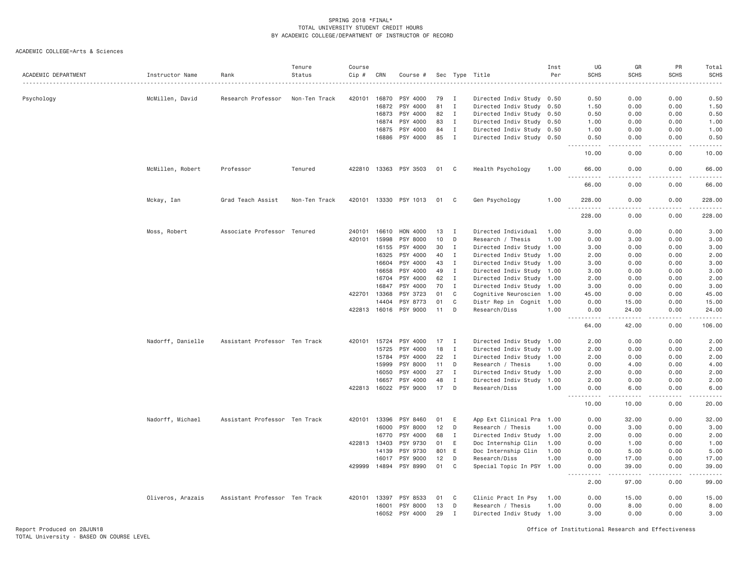| ACADEMIC DEPARTMENT | Instructor Name   | Rank                          | Tenure<br>Status | Course<br>Cip # | CRN            | Course #              |          |                              | Sec Type Title                                    | Inst<br>Per | UG<br><b>SCHS</b>                         | GR<br><b>SCHS</b>     | PR<br><b>SCHS</b> | Total<br><b>SCHS</b> |
|---------------------|-------------------|-------------------------------|------------------|-----------------|----------------|-----------------------|----------|------------------------------|---------------------------------------------------|-------------|-------------------------------------------|-----------------------|-------------------|----------------------|
|                     |                   |                               |                  |                 |                |                       |          |                              |                                                   |             |                                           |                       |                   |                      |
| Psychology          | McMillen, David   | Research Professor            | Non-Ten Track    | 420101          | 16870          | PSY 4000              | 79       | Ι.                           | Directed Indiv Study                              | 0.50        | 0.50                                      | 0.00                  | 0.00              | 0.50                 |
|                     |                   |                               |                  |                 | 16872<br>16873 | PSY 4000<br>PSY 4000  | 81<br>82 | $\mathbf I$<br>$\mathbf{I}$  | Directed Indiv Study 0.50                         |             | 1.50<br>0.50                              | 0.00<br>0.00          | 0.00<br>0.00      | 1.50<br>0.50         |
|                     |                   |                               |                  |                 |                |                       |          |                              | Directed Indiv Study 0.50                         |             |                                           |                       |                   |                      |
|                     |                   |                               |                  |                 | 16874          | PSY 4000<br>PSY 4000  | 83<br>84 | $\mathbf{I}$<br>$\mathbf{I}$ | Directed Indiv Study<br>Directed Indiv Study 0.50 | 0.50        | 1.00<br>1.00                              | 0.00<br>0.00          | 0.00              | 1.00<br>1.00         |
|                     |                   |                               |                  |                 | 16875<br>16886 | PSY 4000              | 85       | $\mathbf{I}$                 | Directed Indiv Study 0.50                         |             | 0.50                                      | 0.00                  | 0.00<br>0.00      | 0.50                 |
|                     |                   |                               |                  |                 |                |                       |          |                              |                                                   |             | .<br>10.00                                | $\frac{1}{2}$<br>0.00 | 0.00              | 10.00                |
|                     | McMillen, Robert  | Professor                     | Tenured          |                 |                | 422810 13363 PSY 3503 |          | 01 C                         | Health Psychology                                 | 1.00        | 66.00                                     | 0.00                  | 0.00              | 66.00                |
|                     |                   |                               |                  |                 |                |                       |          |                              |                                                   |             | 66.00                                     | 0.00                  | 0.00              | 66.00                |
|                     | Mckay, Ian        | Grad Teach Assist             | Non-Ten Track    | 420101          | 13330          | PSY 1013              | 01       | C                            | Gen Psychology                                    | 1.00        | 228.00<br>.                               | 0.00<br>.             | 0.00<br>.         | 228.00<br><b>.</b>   |
|                     |                   |                               |                  |                 |                |                       |          |                              |                                                   |             | 228.00                                    | 0.00                  | 0.00              | 228.00               |
|                     | Moss, Robert      | Associate Professor Tenured   |                  | 240101          | 16610          | HON 4000              | 13       | $\mathbf{I}$                 | Directed Individual                               | 1.00        | 3.00                                      | 0.00                  | 0.00              | 3.00                 |
|                     |                   |                               |                  | 420101          | 15998          | PSY 8000              | 10       | D                            | Research / Thesis                                 | 1.00        | 0.00                                      | 3.00                  | 0.00              | 3.00                 |
|                     |                   |                               |                  |                 | 16155          | PSY 4000              | 30       | Ι.                           | Directed Indiv Study 1.00                         |             | 3.00                                      | 0.00                  | 0.00              | 3.00                 |
|                     |                   |                               |                  |                 | 16325          | PSY 4000              | 40       | Ι.                           | Directed Indiv Study                              | 1.00        | 2.00                                      | 0.00                  | 0.00              | 2.00                 |
|                     |                   |                               |                  |                 | 16604          | PSY 4000              | 43       | $\mathbf I$                  | Directed Indiv Study                              | 1.00        | 3.00                                      | 0.00                  | 0.00              | 3.00                 |
|                     |                   |                               |                  |                 | 16658          | PSY 4000              | 49       | Ι.                           | Directed Indiv Study 1.00                         |             | 3.00                                      | 0.00                  | 0.00              | 3.00                 |
|                     |                   |                               |                  |                 | 16704          | PSY 4000              | 62       | $\mathbf{I}$                 | Directed Indiv Study 1.00                         |             | 2.00                                      | 0.00                  | 0.00              | 2.00                 |
|                     |                   |                               |                  |                 | 16847          | PSY 4000              | 70       | $\mathbf{I}$                 | Directed Indiv Study 1.00                         |             | 3.00                                      | 0.00                  | 0.00              | 3.00                 |
|                     |                   |                               |                  | 422701          | 13368          | PSY 3723              | 01       | C                            | Cognitive Neuroscien 1.00                         |             | 45.00                                     | 0.00                  | 0.00              | 45.00                |
|                     |                   |                               |                  |                 | 14404          | PSY 8773              | 01       | C                            | Distr Rep in Cognit 1.00                          |             | 0.00                                      | 15.00                 | 0.00              | 15.00                |
|                     |                   |                               |                  |                 | 422813 16016   | PSY 9000              | 11       | D                            | Research/Diss                                     | 1.00        | 0.00<br>-----                             | 24.00<br>.            | 0.00<br>.         | 24.00<br>.           |
|                     |                   |                               |                  |                 |                |                       |          |                              |                                                   |             | 64.00                                     | 42.00                 | 0.00              | 106.00               |
|                     | Nadorff, Danielle | Assistant Professor Ten Track |                  | 420101          | 15724          | PSY 4000              | 17       | $\mathbf{I}$                 | Directed Indiv Study 1.00                         |             | 2.00                                      | 0.00                  | 0.00              | 2.00                 |
|                     |                   |                               |                  |                 | 15725          | PSY 4000              | 18       | $\mathbf I$                  | Directed Indiv Study 1.00                         |             | 2.00                                      | 0.00                  | 0.00              | 2.00                 |
|                     |                   |                               |                  |                 | 15784          | PSY 4000              | 22       | I                            | Directed Indiv Study 1.00                         |             | 2.00                                      | 0.00                  | 0.00              | 2.00                 |
|                     |                   |                               |                  |                 | 15999          | PSY 8000              | 11       | D                            | Research / Thesis                                 | 1.00        | 0.00                                      | 4.00                  | 0.00              | 4.00                 |
|                     |                   |                               |                  |                 | 16050          | PSY 4000              | 27       | Ι.                           | Directed Indiv Study                              | 1.00        | 2.00                                      | 0.00                  | 0.00              | 2.00                 |
|                     |                   |                               |                  |                 | 16657          | PSY 4000              | 48       | I                            | Directed Indiv Study                              | 1.00        | 2.00                                      | 0.00                  | 0.00              | 2.00                 |
|                     |                   |                               |                  | 422813          | 16022          | PSY 9000              | 17       | D                            | Research/Diss                                     | 1.00        | 0.00<br>.                                 | 6.00<br>.             | 0.00<br>.         | 6,00<br>.            |
|                     |                   |                               |                  |                 |                |                       |          |                              |                                                   |             | 10.00                                     | 10.00                 | 0.00              | 20.00                |
|                     | Nadorff, Michael  | Assistant Professor Ten Track |                  | 420101          | 13396          | PSY 8460              | 01       | E                            | App Ext Clinical Pra 1.00                         |             | 0.00                                      | 32.00                 | 0.00              | 32.00                |
|                     |                   |                               |                  |                 | 16000          | PSY 8000              | 12       | D                            | Research / Thesis                                 | 1.00        | 0.00                                      | 3.00                  | 0.00              | 3.00                 |
|                     |                   |                               |                  |                 | 16770          | PSY 4000              | 68       | Ι.                           | Directed Indiv Study                              | 1.00        | 2.00                                      | 0.00                  | 0.00              | 2.00                 |
|                     |                   |                               |                  | 422813          | 13403          | PSY 9730              | 01       | E                            | Doc Internship Clin                               | 1.00        | 0.00                                      | 1.00                  | 0.00              | 1.00                 |
|                     |                   |                               |                  |                 | 14139          | PSY 9730              | 801      | E                            | Doc Internship Clin                               | 1.00        | 0.00                                      | 5.00                  | 0.00              | 5.00                 |
|                     |                   |                               |                  |                 | 16017          | PSY 9000              | 12       | D                            | Research/Diss                                     | 1.00        | 0.00                                      | 17.00                 | 0.00              | 17.00                |
|                     |                   |                               |                  | 429999          | 14894          | PSY 8990              | 01       | C                            | Special Topic In PSY 1.00                         |             | 0.00<br>$- - - -$<br>$\sim$ $\sim$ $\sim$ | 39.00<br>.            | 0.00              | 39.00                |
|                     |                   |                               |                  |                 |                |                       |          |                              |                                                   |             | 2.00                                      | 97.00                 | 0.00              | 99.00                |
|                     | Oliveros, Arazais | Assistant Professor Ten Track |                  | 420101          | 13397          | PSY 8533              | 01       | C                            | Clinic Pract In Psy                               | 1.00        | 0.00                                      | 15.00                 | 0.00              | 15.00                |
|                     |                   |                               |                  |                 | 16001          | PSY 8000              | 13       | D                            | Research / Thesis                                 | 1.00        | 0.00                                      | 8.00                  | 0.00              | 8.00                 |
|                     |                   |                               |                  |                 | 16052          | PSY 4000              | 29       | Ι.                           | Directed Indiv Study 1.00                         |             | 3.00                                      | 0.00                  | 0.00              | 3.00                 |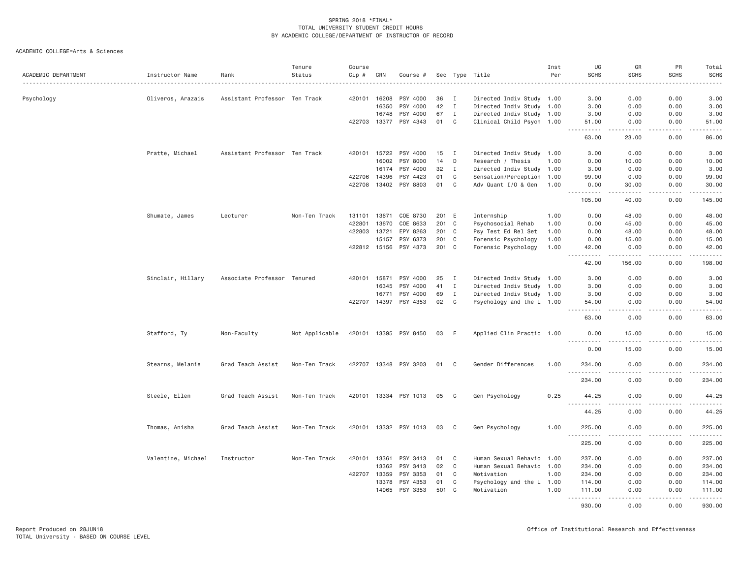| ACADEMIC DEPARTMENT | Instructor Name    | Rank                          | Tenure<br>Status | Course<br>Cip # | CRN          | Course #              |       |              | Sec Type Title            | Inst<br>Per | UG<br><b>SCHS</b>                  | GR<br><b>SCHS</b>     | PR<br><b>SCHS</b> | Total<br><b>SCHS</b>                        |
|---------------------|--------------------|-------------------------------|------------------|-----------------|--------------|-----------------------|-------|--------------|---------------------------|-------------|------------------------------------|-----------------------|-------------------|---------------------------------------------|
| Psychology          | Oliveros, Arazais  | Assistant Professor Ten Track |                  | 420101 16208    |              | PSY 4000              | 36    | I            | Directed Indiv Study 1.00 |             | 3.00                               | 0.00                  | 0.00              | 3.00                                        |
|                     |                    |                               |                  |                 | 16350        | PSY 4000              | 42    | $\mathbf{I}$ | Directed Indiv Study 1.00 |             | 3.00                               | 0.00                  | 0.00              | 3.00                                        |
|                     |                    |                               |                  |                 | 16748        | PSY 4000              | 67    | $\mathbf{I}$ | Directed Indiv Study 1.00 |             | 3.00                               | 0.00                  | 0.00              | 3.00                                        |
|                     |                    |                               |                  | 422703 13377    |              | PSY 4343              | 01    | $\mathbf{C}$ | Clinical Child Psych 1.00 |             | 51.00                              | 0.00                  | 0.00              | 51.00                                       |
|                     |                    |                               |                  |                 |              |                       |       |              |                           |             | 63.00                              | 23.00                 | 0.00              | 86.00                                       |
|                     | Pratte, Michael    | Assistant Professor Ten Track |                  |                 | 420101 15722 | PSY 4000              | 15    | $\mathbf{I}$ | Directed Indiv Study 1.00 |             | 3.00                               | 0.00                  | 0.00              | 3.00                                        |
|                     |                    |                               |                  |                 | 16002        | PSY 8000              | 14    | D            | Research / Thesis         | 1.00        | 0.00                               | 10.00                 | 0.00              | 10.00                                       |
|                     |                    |                               |                  |                 | 16174        | PSY 4000              | 32    | $\mathbf{I}$ | Directed Indiv Study 1.00 |             | 3.00                               | 0.00                  | 0.00              | 3.00                                        |
|                     |                    |                               |                  | 422706          | 14396        | PSY 4423              | 01    | C            | Sensation/Perception 1.00 |             | 99.00                              | 0.00                  | 0.00              | 99.00                                       |
|                     |                    |                               |                  |                 | 422708 13402 | PSY 8803              | 01    | $\mathbf c$  | Adv Quant I/O & Gen 1.00  |             | 0.00<br>$- - - - -$                | 30.00<br>$- - - - -$  | 0.00<br>.         | 30.00<br>.                                  |
|                     |                    |                               |                  |                 |              |                       |       |              |                           |             | 105.00                             | 40.00                 | 0.00              | 145.00                                      |
|                     | Shumate, James     | Lecturer                      | Non-Ten Track    | 131101          | 13671        | COE 8730              | 201 E |              | Internship                | 1.00        | 0.00                               | 48.00                 | 0.00              | 48.00                                       |
|                     |                    |                               |                  | 422801          | 13670        | COE 8633              | 201 C |              | Psychosocial Rehab        | 1.00        | 0.00                               | 45.00                 | 0.00              | 45.00                                       |
|                     |                    |                               |                  | 422803          | 13721        | EPY 8263              | 201 C |              | Psy Test Ed Rel Set       | 1.00        | 0.00                               | 48.00                 | 0.00              | 48.00                                       |
|                     |                    |                               |                  |                 | 15157        | PSY 6373              | 201   | $\mathbf{C}$ | Forensic Psychology       | 1.00        | 0.00                               | 15.00                 | 0.00              | 15.00                                       |
|                     |                    |                               |                  |                 |              | 422812 15156 PSY 4373 | 201 C |              | Forensic Psychology       | 1.00        | 42.00<br>$- - -$                   | 0.00<br>$- - - - -$   | 0.00<br>.         | 42.00<br>.                                  |
|                     |                    |                               |                  |                 |              |                       |       |              |                           |             | 42.00                              | 156.00                | 0.00              | 198.00                                      |
|                     | Sinclair, Hillary  | Associate Professor Tenured   |                  | 420101          | 15871        | PSY 4000              | 25    | Ι.           | Directed Indiv Study 1.00 |             | 3.00                               | 0.00                  | 0.00              | 3.00                                        |
|                     |                    |                               |                  |                 | 16345        | PSY 4000              | 41    | $\mathbf{I}$ | Directed Indiv Study 1.00 |             | 3.00                               | 0.00                  | 0.00              | 3.00                                        |
|                     |                    |                               |                  |                 | 16771        | PSY 4000              | 69    | $\mathbf{I}$ | Directed Indiv Study 1.00 |             | 3.00                               | 0.00                  | 0.00              | 3.00                                        |
|                     |                    |                               |                  | 422707          | 14397        | PSY 4353              | 02    | $\mathbf C$  | Psychology and the L 1.00 |             | 54.00<br>.<br>$\sim$ $\sim$ $\sim$ | 0.00<br>$\frac{1}{2}$ | 0.00<br>.         | 54.00<br>$\sim$ $\sim$ $\sim$ $\sim$ $\sim$ |
|                     |                    |                               |                  |                 |              |                       |       |              |                           |             | 63.00                              | 0.00                  | 0.00              | 63.00                                       |
|                     | Stafford, Ty       | Non-Faculty                   | Not Applicable   |                 |              | 420101 13395 PSY 8450 | 03    | E            | Applied Clin Practic 1.00 |             | 0.00<br>.                          | 15.00<br>.            | 0.00<br>.         | 15.00<br>.                                  |
|                     |                    |                               |                  |                 |              |                       |       |              |                           |             | 0.00                               | 15.00                 | 0.00              | 15.00                                       |
|                     | Stearns, Melanie   | Grad Teach Assist             | Non-Ten Track    | 422707          |              | 13348 PSY 3203        | 01    | $\mathbf{C}$ | Gender Differences        | 1.00        | 234.00                             | 0.00                  | 0.00              | 234.00                                      |
|                     |                    |                               |                  |                 |              |                       |       |              |                           |             | <b></b><br>234.00                  | - - - -<br>0.00       | .<br>0.00         | .<br>234.00                                 |
|                     | Steele, Ellen      | Grad Teach Assist             | Non-Ten Track    |                 |              | 420101 13334 PSY 1013 | 05    | C            | Gen Psychology            | 0.25        | 44.25<br>.                         | 0.00                  | 0.00              | 44.25                                       |
|                     |                    |                               |                  |                 |              |                       |       |              |                           |             | 44.25                              | 0.00                  | 0.00              | .<br>44.25                                  |
|                     | Thomas, Anisha     | Grad Teach Assist             | Non-Ten Track    |                 |              | 420101 13332 PSY 1013 | 03    | C            | Gen Psychology            | 1.00        | 225.00                             | 0.00                  | 0.00              | 225.00                                      |
|                     |                    |                               |                  |                 |              |                       |       |              |                           |             | 225.00                             | 0.00                  | 0.00              | .<br>225.00                                 |
|                     | Valentine, Michael | Instructor                    | Non-Ten Track    | 420101          | 13361        | PSY 3413              | 01    | C            | Human Sexual Behavio 1.00 |             | 237.00                             | 0.00                  | 0.00              | 237.00                                      |
|                     |                    |                               |                  |                 | 13362        | PSY 3413              | 02    | C            | Human Sexual Behavio 1.00 |             | 234.00                             | 0.00                  | 0.00              | 234.00                                      |
|                     |                    |                               |                  | 422707 13359    |              | PSY 3353              | 01    | $\mathbf C$  | Motivation                | 1.00        | 234.00                             | 0.00                  | 0.00              | 234.00                                      |
|                     |                    |                               |                  |                 | 13378        | PSY 4353              | 01    | $\mathbf C$  | Psychology and the L 1.00 |             | 114.00                             | 0.00                  | 0.00              | 114.00                                      |
|                     |                    |                               |                  |                 | 14065        | PSY 3353              | 501   | C            | Motivation                | 1.00        | 111.00<br>.                        | 0.00                  | 0.00              | 111.00<br>.                                 |
|                     |                    |                               |                  |                 |              |                       |       |              |                           |             | 930.00                             | 0.00                  | 0.00              | 930.00                                      |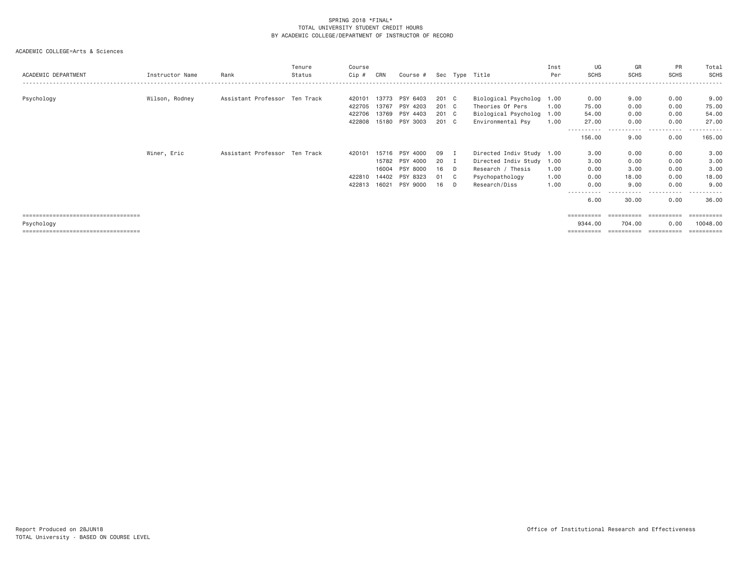| ACADEMIC DEPARTMENT                   | Instructor Name | Rank                          | Tenure<br>Status | Course<br>Cip # | CRN   | Course #       |       |              | Sec Type Title            | Inst<br>Per | UG<br><b>SCHS</b>    | GR<br><b>SCHS</b> | PR<br><b>SCHS</b>          | Total<br>SCHS   |
|---------------------------------------|-----------------|-------------------------------|------------------|-----------------|-------|----------------|-------|--------------|---------------------------|-------------|----------------------|-------------------|----------------------------|-----------------|
|                                       |                 |                               |                  |                 |       |                |       |              |                           |             |                      |                   |                            |                 |
| Psychology                            | Wilson, Rodney  | Assistant Professor Ten Track |                  | 420101          | 13773 | PSY 6403       | 201 C |              | Biological Psycholog 1.00 |             | 0.00                 | 9.00              | 0.00                       | 9.00            |
|                                       |                 |                               |                  | 422705          | 13767 | PSY 4203       | 201 C |              | Theories Of Pers          | 1.00        | 75.00                | 0.00              | 0.00                       | 75.00           |
|                                       |                 |                               |                  | 422706          | 13769 | PSY 4403       | 201 C |              | Biological Psycholog 1.00 |             | 54.00                | 0.00              | 0.00                       | 54.00           |
|                                       |                 |                               |                  | 422808          | 15180 | PSY 3003       | 201 C |              | Environmental Psy         | 1.00        | 27.00                | 0.00<br>----      | 0.00<br>$- - - -$<br>----- | 27.00<br>------ |
|                                       |                 |                               |                  |                 |       |                |       |              |                           |             | ----------<br>156.00 | 9.00              | 0.00                       | 165.00          |
|                                       | Winer, Eric     | Assistant Professor Ten Track |                  | 420101          | 15716 | PSY 4000       | 09    | п.           | Directed Indiv Study 1.00 |             | 3.00                 | 0.00              | 0.00                       | 3.00            |
|                                       |                 |                               |                  |                 |       | 15782 PSY 4000 | 20    | $\mathbf{I}$ | Directed Indiv Study 1.00 |             | 3.00                 | 0.00              | 0.00                       | 3.00            |
|                                       |                 |                               |                  |                 | 16004 | PSY 8000       | 16    | $\Box$       | Research / Thesis         | 1.00        | 0.00                 | 3.00              | 0.00                       | 3.00            |
|                                       |                 |                               |                  | 422810          | 14402 | PSY 8323       | 01    | $\mathbf{C}$ | Psychopathology           | 1.00        | 0.00                 | 18.00             | 0.00                       | 18.00           |
|                                       |                 |                               |                  | 422813          |       | 16021 PSY 9000 | 16    | D.           | Research/Diss             | 1.00        | 0.00                 | 9.00              | 0.00                       | 9,00            |
|                                       |                 |                               |                  |                 |       |                |       |              |                           |             | 6,00                 | 30.00             | 0.00                       | 36.00           |
| ====================================  |                 |                               |                  |                 |       |                |       |              |                           |             | ----------           | ==========        | $=$ = = = = = = = = =      | ==========      |
| Psychology                            |                 |                               |                  |                 |       |                |       |              |                           |             | 9344.00              | 704.00            | 0.00                       | 10048,00        |
| ===================================== |                 |                               |                  |                 |       |                |       |              |                           |             | =========            | ==========        | ==========                 | ==========      |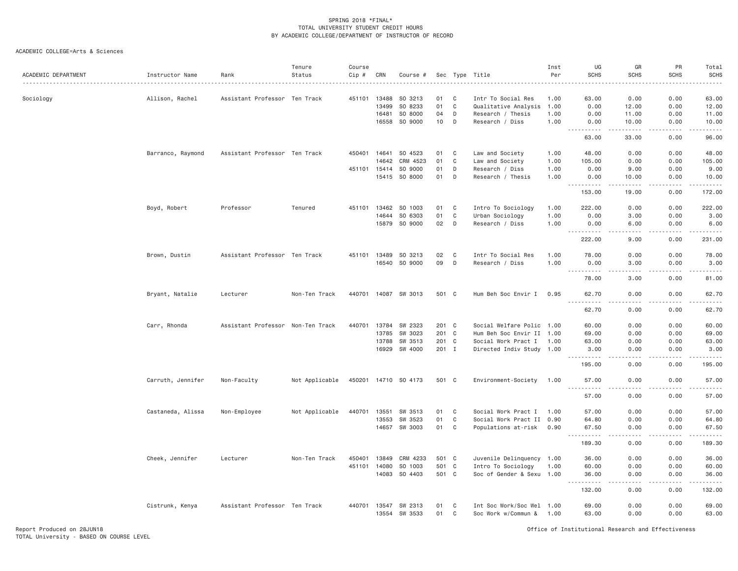| ACADEMIC DEPARTMENT | Instructor Name   | Rank                              | Tenure<br>Status | Course<br>Cip # | CRN   | Course #             | Sec   |              | Type Title                | Inst<br>Per | UG<br><b>SCHS</b>                           | GR<br><b>SCHS</b>                                                                                                                                             | PR<br><b>SCHS</b> | Total<br><b>SCHS</b> |
|---------------------|-------------------|-----------------------------------|------------------|-----------------|-------|----------------------|-------|--------------|---------------------------|-------------|---------------------------------------------|---------------------------------------------------------------------------------------------------------------------------------------------------------------|-------------------|----------------------|
| Sociology           | Allison, Rachel   | Assistant Professor Ten Track     |                  | 451101          | 13488 | SO 3213              | 01    | C            | Intr To Social Res        | 1.00        | 63.00                                       | 0.00                                                                                                                                                          | 0.00              | 63.00                |
|                     |                   |                                   |                  |                 | 13499 | SO 8233              | 01    | $\mathbf C$  | Qualitative Analysis      | 1.00        | 0.00                                        | 12.00                                                                                                                                                         | 0.00              | 12.00                |
|                     |                   |                                   |                  |                 | 16481 | SO 8000              | 04    | D            | Research / Thesis         | 1.00        | 0.00                                        | 11.00                                                                                                                                                         | 0.00              | 11.00                |
|                     |                   |                                   |                  |                 | 16558 | SO 9000              | 10    | D            | Research / Diss           | 1.00        | 0.00<br>.<br>$- - -$                        | 10.00<br>.                                                                                                                                                    | 0.00<br>.         | 10.00<br>.           |
|                     |                   |                                   |                  |                 |       |                      |       |              |                           |             | 63.00                                       | 33.00                                                                                                                                                         | 0.00              | 96.00                |
|                     | Barranco, Raymond | Assistant Professor Ten Track     |                  | 450401          | 14641 | SO 4523              | 01    | C            | Law and Society           | 1.00        | 48.00                                       | 0.00                                                                                                                                                          | 0.00              | 48.00                |
|                     |                   |                                   |                  |                 | 14642 | CRM 4523             | 01    | C            | Law and Society           | 1.00        | 105.00                                      | 0.00                                                                                                                                                          | 0.00              | 105.00               |
|                     |                   |                                   |                  | 451101 15414    |       | SO 9000              | 01    | D            | Research / Diss           | 1.00        | 0.00                                        | 9.00                                                                                                                                                          | 0.00              | 9.00                 |
|                     |                   |                                   |                  |                 | 15415 | SO 8000              | 01    | D            | Research / Thesis         | 1.00        | 0.00<br>.                                   | 10.00<br>$\frac{1}{2} \left( \frac{1}{2} \right) \left( \frac{1}{2} \right) \left( \frac{1}{2} \right) \left( \frac{1}{2} \right) \left( \frac{1}{2} \right)$ | 0.00<br>.         | 10.00<br>.           |
|                     |                   |                                   |                  |                 |       |                      |       |              |                           |             | 153.00                                      | 19.00                                                                                                                                                         | 0.00              | 172.00               |
|                     | Boyd, Robert      | Professor                         | Tenured          | 451101          | 13462 | SO 1003              | 01    | C            | Intro To Sociology        | 1.00        | 222.00                                      | 0.00                                                                                                                                                          | 0.00              | 222.00               |
|                     |                   |                                   |                  |                 | 14644 | SO 6303              | 01    | $\mathsf{C}$ | Urban Sociology           | 1.00        | 0.00                                        | 3.00                                                                                                                                                          | 0.00              | 3.00                 |
|                     |                   |                                   |                  |                 |       | 15879 SO 9000        | 02    | D            | Research / Diss           | 1.00        | 0.00<br>$\sim$ $\sim$ $\sim$<br>$- - - - -$ | 6.00<br>$\sim$ $\sim$ $\sim$                                                                                                                                  | 0.00              | 6.00<br>.            |
|                     |                   |                                   |                  |                 |       |                      |       |              |                           |             | 222.00                                      | 9,00                                                                                                                                                          | 0.00              | 231.00               |
|                     | Brown, Dustin     | Assistant Professor Ten Track     |                  |                 |       | 451101 13489 SO 3213 | 02    | $\mathbf{C}$ | Intr To Social Res        | 1.00        | 78.00                                       | 0.00                                                                                                                                                          | 0.00              | 78.00                |
|                     |                   |                                   |                  |                 | 16540 | SO 9000              | 09    | D            | Research / Diss           | 1.00        | 0.00<br><u>.</u>                            | 3.00<br>$\sim$ $\sim$ $\sim$ $\sim$                                                                                                                           | 0.00<br>.         | 3.00<br>.            |
|                     |                   |                                   |                  |                 |       |                      |       |              |                           |             | 78.00                                       | 3.00                                                                                                                                                          | 0.00              | 81.00                |
|                     | Bryant, Natalie   | Lecturer                          | Non-Ten Track    | 440701 14087    |       | SW 3013              | 501 C |              | Hum Beh Soc Envir I       | 0.95        | 62.70                                       | 0.00                                                                                                                                                          | 0.00              | 62.70                |
|                     |                   |                                   |                  |                 |       |                      |       |              |                           |             | 62.70                                       | 0.00                                                                                                                                                          | 0.00              | 62.70                |
|                     | Carr, Rhonda      | Assistant Professor Non-Ten Track |                  | 440701          | 13784 | SW 2323              | 201 C |              | Social Welfare Polic 1.00 |             | 60.00                                       | 0.00                                                                                                                                                          | 0.00              | 60.00                |
|                     |                   |                                   |                  |                 | 13785 | SW 3023              | 201 C |              | Hum Beh Soc Envir II 1.00 |             | 69.00                                       | 0.00                                                                                                                                                          | 0.00              | 69.00                |
|                     |                   |                                   |                  |                 | 13788 | SW 3513              | 201 C |              | Social Work Pract I       | 1.00        | 63.00                                       | 0.00                                                                                                                                                          | 0.00              | 63.00                |
|                     |                   |                                   |                  |                 | 16929 | SW 4000              | 201 I |              | Directed Indiv Study 1.00 |             | 3.00<br>-----                               | 0.00<br>$- - -$                                                                                                                                               | 0.00<br>.         | 3.00<br>.            |
|                     |                   |                                   |                  |                 |       |                      |       |              |                           |             | 195.00                                      | 0.00                                                                                                                                                          | 0.00              | 195.00               |
|                     | Carruth, Jennifer | Non-Faculty                       | Not Applicable   |                 |       | 450201 14710 SO 4173 | 501 C |              | Environment-Society       | 1.00        | 57.00<br>$  -$<br>.                         | 0.00                                                                                                                                                          | 0.00              | 57.00                |
|                     |                   |                                   |                  |                 |       |                      |       |              |                           |             | 57.00                                       | 0.00                                                                                                                                                          | 0.00              | 57.00                |
|                     | Castaneda, Alissa | Non-Employee                      | Not Applicable   | 440701          | 13551 | SW 3513              | 01    | $\mathbf{C}$ | Social Work Pract I       | 1.00        | 57.00                                       | 0.00                                                                                                                                                          | 0.00              | 57.00                |
|                     |                   |                                   |                  |                 | 13553 | SW 3523              | 01    | $\mathbf{C}$ | Social Work Pract II 0.90 |             | 64.80                                       | 0.00                                                                                                                                                          | 0.00              | 64.80                |
|                     |                   |                                   |                  |                 | 14657 | SW 3003              | 01    | C            | Populations at-risk       | 0.90        | 67.50<br>. <b>.</b><br>$  -$                | 0.00<br>د د د د                                                                                                                                               | 0.00<br>.         | 67.50<br>.           |
|                     |                   |                                   |                  |                 |       |                      |       |              |                           |             | 189.30                                      | 0.00                                                                                                                                                          | 0.00              | 189.30               |
|                     | Cheek, Jennifer   | Lecturer                          | Non-Ten Track    | 450401          | 13849 | CRM 4233             | 501 C |              | Juvenile Delinquency 1.00 |             | 36.00                                       | 0.00                                                                                                                                                          | 0.00              | 36.00                |
|                     |                   |                                   |                  | 451101          | 14080 | SO 1003              | 501 C |              | Intro To Sociology        | 1.00        | 60.00                                       | 0.00                                                                                                                                                          | 0.00              | 60.00                |
|                     |                   |                                   |                  |                 |       | 14083 SO 4403        | 501 C |              | Soc of Gender & Sexu 1.00 |             | 36.00<br>.                                  | 0.00<br>$\sim$ $\sim$ $\sim$                                                                                                                                  | 0.00<br>بالمحاد   | 36.00<br>.           |
|                     |                   |                                   |                  |                 |       |                      |       |              |                           |             | 132.00                                      | 0.00                                                                                                                                                          | 0.00              | 132.00               |
|                     | Cistrunk, Kenya   | Assistant Professor Ten Track     |                  | 440701 13547    |       | SW 2313              | 01    | C            | Int Soc Work/Soc Wel 1.00 |             | 69.00                                       | 0.00                                                                                                                                                          | 0.00              | 69.00                |
|                     |                   |                                   |                  |                 | 13554 | SW 3533              | 01    | C            | Soc Work w/Commun &       | 1.00        | 63.00                                       | 0.00                                                                                                                                                          | 0.00              | 63.00                |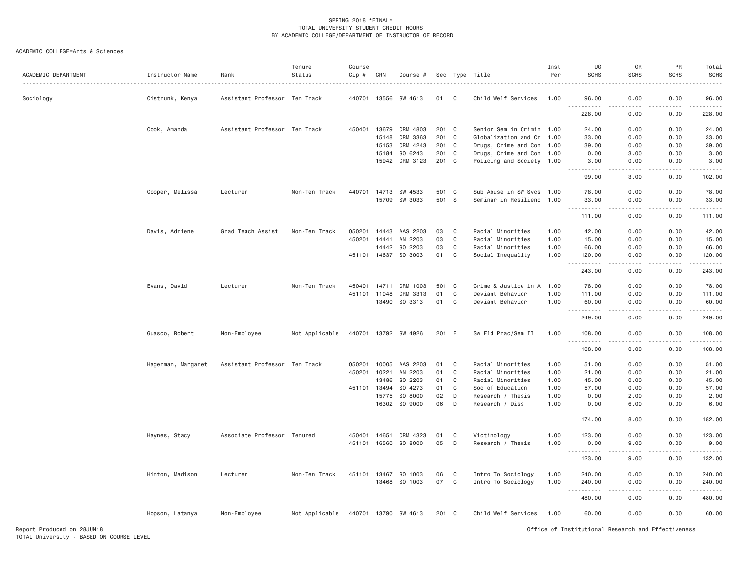| ACADEMIC DEPARTMENT | Instructor Name    | Rank                          | Tenure<br>Status | Course<br>Cip # | CRN          | Course #             |       | Sec Type     | Title                     | Inst<br>Per | UG<br><b>SCHS</b>                  | GR<br><b>SCHS</b>                   | PR<br><b>SCHS</b> | Total<br><b>SCHS</b>                                                                                                                                         |
|---------------------|--------------------|-------------------------------|------------------|-----------------|--------------|----------------------|-------|--------------|---------------------------|-------------|------------------------------------|-------------------------------------|-------------------|--------------------------------------------------------------------------------------------------------------------------------------------------------------|
| Sociology           | Cistrunk, Kenya    | Assistant Professor Ten Track |                  | 440701          | 13556        | SW 4613              | 01    | C            | Child Welf Services       | 1.00        | 96.00                              | 0.00<br>.                           | 0.00              | 96.00                                                                                                                                                        |
|                     |                    |                               |                  |                 |              |                      |       |              |                           |             | 228.00                             | 0.00                                | 0.00              | 228.00                                                                                                                                                       |
|                     | Cook, Amanda       | Assistant Professor Ten Track |                  | 450401          | 13679        | CRM 4803             | 201 C |              | Senior Sem in Crimin 1.00 |             | 24.00                              | 0.00                                | 0.00              | 24.00                                                                                                                                                        |
|                     |                    |                               |                  |                 | 15148        | CRM 3363             | 201 C |              | Globalization and Cr 1.00 |             | 33,00                              | 0.00                                | 0.00              | 33.00                                                                                                                                                        |
|                     |                    |                               |                  |                 | 15153        | CRM 4243             | 201 C |              | Drugs, Crime and Con 1.00 |             | 39.00                              | 0.00                                | 0.00              | 39.00                                                                                                                                                        |
|                     |                    |                               |                  |                 | 15184        | SO 6243              | 201 C |              | Drugs, Crime and Con 1.00 |             | 0.00                               | 3.00                                | 0.00              | 3.00                                                                                                                                                         |
|                     |                    |                               |                  |                 | 15942        | CRM 3123             | 201 C |              | Policing and Society 1.00 |             | 3.00<br>.                          | 0.00                                | 0.00              | 3.00<br>$\frac{1}{2} \left( \frac{1}{2} \right) \left( \frac{1}{2} \right) \left( \frac{1}{2} \right) \left( \frac{1}{2} \right)$                            |
|                     |                    |                               |                  |                 |              |                      |       |              |                           |             | 99.00                              | 3.00                                | 0.00              | 102.00                                                                                                                                                       |
|                     | Cooper, Melissa    | Lecturer                      | Non-Ten Track    |                 |              | 440701 14713 SW 4533 | 501 C |              | Sub Abuse in SW Svcs 1.00 |             | 78.00                              | 0.00                                | 0.00              | 78.00                                                                                                                                                        |
|                     |                    |                               |                  |                 |              | 15709 SW 3033        | 501 S |              | Seminar in Resilienc 1.00 |             | 33.00                              | 0.00<br>$\sim$ $\sim$ $\sim$ $\sim$ | 0.00              | 33.00<br>.                                                                                                                                                   |
|                     |                    |                               |                  |                 |              |                      |       |              |                           |             | 111,00                             | 0.00                                | 0.00              | 111.00                                                                                                                                                       |
|                     | Davis, Adriene     | Grad Teach Assist             | Non-Ten Track    | 050201          | 14443        | AAS 2203             | 03    | $\mathbf{C}$ | Racial Minorities         | 1.00        | 42.00                              | 0.00                                | 0.00              | 42.00                                                                                                                                                        |
|                     |                    |                               |                  | 450201          | 14441        | AN 2203              | 03    | $\mathbf C$  | Racial Minorities         | 1.00        | 15.00                              | 0.00                                | 0.00              | 15.00                                                                                                                                                        |
|                     |                    |                               |                  |                 | 14442        | SO 2203              | 03    | $\mathbf C$  | Racial Minorities         | 1.00        | 66.00                              | 0.00                                | 0.00              | 66.00                                                                                                                                                        |
|                     |                    |                               |                  |                 | 451101 14637 | SO 3003              | 01    | $\mathbf{C}$ | Social Inequality         | 1.00        | 120.00                             | 0.00                                | 0.00              | 120.00                                                                                                                                                       |
|                     |                    |                               |                  |                 |              |                      |       |              |                           |             | 243.00                             | 0.00                                | 0.00              | .<br>243.00                                                                                                                                                  |
|                     | Evans, David       | Lecturer                      | Non-Ten Track    | 450401          | 14711        | CRM 1003             | 501   | C            | Crime & Justice in A      | 1.00        | 78.00                              | 0.00                                | 0.00              | 78.00                                                                                                                                                        |
|                     |                    |                               |                  |                 | 451101 11048 | CRM 3313             | 01    | C            | Deviant Behavior          | 1.00        | 111.00                             | 0.00                                | 0.00              | 111.00                                                                                                                                                       |
|                     |                    |                               |                  |                 |              | 13490 SO 3313        | 01    | $\mathbf C$  | Deviant Behavior          | 1.00        | 60.00<br>$\sim$ $\sim$ $\sim$<br>. | 0.00                                | 0.00              | 60.00<br>.                                                                                                                                                   |
|                     |                    |                               |                  |                 |              |                      |       |              |                           |             | 249.00                             | 0.00                                | 0.00              | 249.00                                                                                                                                                       |
|                     | Guasco, Robert     | Non-Employee                  | Not Applicable   |                 |              | 440701 13792 SW 4926 | 201 E |              | Sw Fld Prac/Sem II        | 1.00        | 108.00<br>.                        | 0.00                                | 0.00              | 108.00<br>.                                                                                                                                                  |
|                     |                    |                               |                  |                 |              |                      |       |              |                           |             | 108.00                             | 0.00                                | 0.00              | 108.00                                                                                                                                                       |
|                     | Hagerman, Margaret | Assistant Professor Ten Track |                  | 050201          | 10005        | AAS 2203             | 01    | C            | Racial Minorities         | 1.00        | 51.00                              | 0.00                                | 0.00              | 51.00                                                                                                                                                        |
|                     |                    |                               |                  | 450201          | 10221        | AN 2203              | 01    | $\mathbf C$  | Racial Minorities         | 1.00        | 21.00                              | 0.00                                | 0.00              | 21.00                                                                                                                                                        |
|                     |                    |                               |                  |                 | 13486        | SO 2203              | 01    | $\mathbf C$  | Racial Minorities         | 1.00        | 45.00                              | 0.00                                | 0.00              | 45.00                                                                                                                                                        |
|                     |                    |                               |                  |                 | 451101 13494 | SO 4273              | 01    | $\mathbf C$  | Soc of Education          | 1.00        | 57.00                              | 0.00                                | 0.00              | 57.00                                                                                                                                                        |
|                     |                    |                               |                  |                 | 15775        | SO 8000              | 02    | D            | Research / Thesis         | 1.00        | 0.00                               | 2.00                                | 0.00              | 2.00                                                                                                                                                         |
|                     |                    |                               |                  |                 | 16302        | SO 9000              | 06    | D            | Research / Diss           | 1.00        | 0.00<br>.<br>$- - -$               | 6.00<br>.                           | 0.00<br>.         | 6.00<br>$\frac{1}{2} \left( \frac{1}{2} \right) \left( \frac{1}{2} \right) \left( \frac{1}{2} \right) \left( \frac{1}{2} \right) \left( \frac{1}{2} \right)$ |
|                     |                    |                               |                  |                 |              |                      |       |              |                           |             | 174.00                             | 8.00                                | 0.00              | 182.00                                                                                                                                                       |
|                     | Haynes, Stacy      | Associate Professor Tenured   |                  | 450401          | 14651        | CRM 4323             | 01    | C            | Victimology               | 1.00        | 123.00                             | 0.00                                | 0.00              | 123.00                                                                                                                                                       |
|                     |                    |                               |                  |                 | 451101 16560 | SO 8000              | 05    | D            | Research / Thesis         | 1.00        | 0.00                               | 9.00                                | 0.00              | 9.00                                                                                                                                                         |
|                     |                    |                               |                  |                 |              |                      |       |              |                           |             | <u>.</u>                           | $   -$                              |                   | <b><i><u>.</u></i></b>                                                                                                                                       |
|                     |                    |                               |                  |                 |              |                      |       |              |                           |             | 123.00                             | 9.00                                | 0.00              | 132.00                                                                                                                                                       |
|                     | Hinton, Madison    | Lecturer                      | Non-Ten Track    |                 | 451101 13467 | SO 1003              | 06    | C            | Intro To Sociology        | 1.00        | 240.00                             | 0.00                                | 0.00              | 240.00                                                                                                                                                       |
|                     |                    |                               |                  |                 |              | 13468 SO 1003        | 07    | $\mathbf{C}$ | Intro To Sociology        | 1.00        | 240.00<br>$\sim$ $\sim$<br>.       | 0.00<br>$- - -$                     | 0.00<br>.         | 240.00<br>.                                                                                                                                                  |
|                     |                    |                               |                  |                 |              |                      |       |              |                           |             | 480.00                             | 0.00                                | 0.00              | 480.00                                                                                                                                                       |
|                     | Hopson, Latanya    | Non-Employee                  | Not Applicable   |                 |              | 440701 13790 SW 4613 | 201 C |              | Child Welf Services       | 1.00        | 60.00                              | 0.00                                | 0.00              | 60.00                                                                                                                                                        |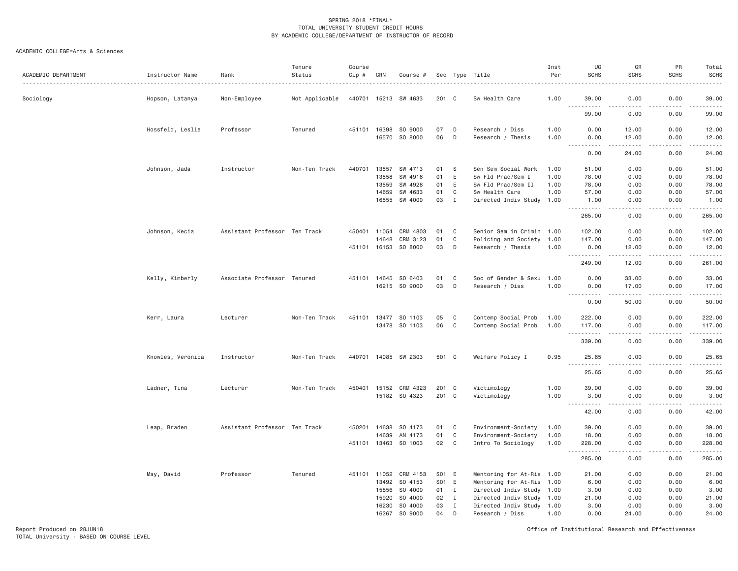| ACADEMIC DEPARTMENT | Instructor Name   | Rank                          | Tenure<br>Status | Course<br>Cip # | CRN          | Course #                 |            |              | Sec Type Title                       | Inst<br>Per  | UG<br><b>SCHS</b>                                                                                                                                                     | GR<br><b>SCHS</b>            | PR<br><b>SCHS</b>                   | Total<br><b>SCHS</b><br>$\frac{1}{2}$ |
|---------------------|-------------------|-------------------------------|------------------|-----------------|--------------|--------------------------|------------|--------------|--------------------------------------|--------------|-----------------------------------------------------------------------------------------------------------------------------------------------------------------------|------------------------------|-------------------------------------|---------------------------------------|
| Sociology           | Hopson, Latanya   | Non-Employee                  | Not Applicable   |                 |              | 440701 15213 SW 4633     | 201 C      |              | Sw Health Care                       | 1.00         | 39.00                                                                                                                                                                 | 0.00                         | 0.00                                | 39.00                                 |
|                     |                   |                               |                  |                 |              |                          |            |              |                                      |              | <u>.</u><br>99.00                                                                                                                                                     | .<br>0.00                    | 0.00                                | .<br>99.00                            |
|                     | Hossfeld, Leslie  | Professor                     | Tenured          |                 | 451101 16398 | SO 9000<br>16570 SO 8000 | 07<br>06   | D<br>D       | Research / Diss<br>Research / Thesis | 1.00<br>1.00 | 0.00<br>0.00                                                                                                                                                          | 12.00<br>12.00               | 0.00<br>0.00                        | 12.00<br>12.00                        |
|                     |                   |                               |                  |                 |              |                          |            |              |                                      |              | $  -$<br>$\frac{1}{2} \left( \frac{1}{2} \right) \left( \frac{1}{2} \right) \left( \frac{1}{2} \right) \left( \frac{1}{2} \right) \left( \frac{1}{2} \right)$<br>0.00 | .<br>24.00                   | .<br>0.00                           | .<br>24.00                            |
|                     | Johnson, Jada     | Instructor                    | Non-Ten Track    | 440701          | 13557        | SW 4713                  | 01         | -S           | Sen Sem Social Work                  | 1.00         | 51.00                                                                                                                                                                 | 0.00                         | 0.00                                | 51.00                                 |
|                     |                   |                               |                  |                 | 13558        | SW 4916                  | 01         | E            | Sw Fld Prac/Sem I                    | 1.00         | 78.00                                                                                                                                                                 | 0.00                         | 0.00                                | 78.00                                 |
|                     |                   |                               |                  |                 | 13559        | SW 4926                  | 01         | E            | Sw Fld Prac/Sem II                   | 1.00         | 78.00                                                                                                                                                                 | 0.00                         | 0.00                                | 78.00                                 |
|                     |                   |                               |                  |                 | 14659        | SW 4633                  | 01         | $\mathsf{C}$ | Sw Health Care                       | 1.00         | 57.00                                                                                                                                                                 | 0.00                         | 0.00                                | 57.00                                 |
|                     |                   |                               |                  |                 | 16555        | SW 4000                  | 03         | $\mathbf I$  | Directed Indiv Study 1.00            |              | 1.00<br>.                                                                                                                                                             | 0.00<br>$\frac{1}{2}$        | 0.00<br>.                           | 1.00<br>.                             |
|                     |                   |                               |                  |                 |              |                          |            |              |                                      |              | 265.00                                                                                                                                                                | 0.00                         | 0.00                                | 265.00                                |
|                     | Johnson, Kecia    | Assistant Professor Ten Track |                  | 450401          | 11054        | CRM 4803                 | 01         | C            | Senior Sem in Crimin 1.00            |              | 102.00                                                                                                                                                                | 0.00                         | 0.00                                | 102.00                                |
|                     |                   |                               |                  |                 | 14648        | CRM 3123                 | 01         | $\mathsf{C}$ | Policing and Society 1.00            |              | 147.00                                                                                                                                                                | 0.00                         | 0.00                                | 147.00                                |
|                     |                   |                               |                  |                 |              | 451101 16153 SO 8000     | 03         | D            | Research / Thesis                    | 1.00         | 0.00<br><u>.</u>                                                                                                                                                      | 12.00<br>.                   | 0.00<br>.                           | 12.00<br>.                            |
|                     |                   |                               |                  |                 |              |                          |            |              |                                      |              | 249.00                                                                                                                                                                | 12.00                        | 0.00                                | 261.00                                |
|                     | Kelly, Kimberly   | Associate Professor Tenured   |                  |                 |              | 451101 14645 SO 6403     | 01         | C            | Soc of Gender & Sexu                 | 1.00         | 0.00                                                                                                                                                                  | 33.00                        | 0.00                                | 33.00                                 |
|                     |                   |                               |                  |                 |              | 16215 SO 9000            | 03         | D            | Research / Diss                      | 1.00         | 0.00                                                                                                                                                                  | 17.00                        | 0.00                                | 17.00                                 |
|                     |                   |                               |                  |                 |              |                          |            |              |                                      |              | $\sim$ $\sim$ $\sim$ $\sim$<br>-----<br>0.00                                                                                                                          | 50.00                        | .<br>0.00                           | .<br>50.00                            |
|                     | Kerr, Laura       | Lecturer                      | Non-Ten Track    | 451101          | 13477        | SO 1103                  | 05         | C            | Contemp Social Prob                  | 1.00         | 222.00                                                                                                                                                                | 0.00                         | 0.00                                | 222.00                                |
|                     |                   |                               |                  |                 |              | 13478 SO 1103            | 06         | $\mathbf C$  | Contemp Social Prob                  | 1.00         | 117.00                                                                                                                                                                | 0.00                         | 0.00                                | 117.00                                |
|                     |                   |                               |                  |                 |              |                          |            |              |                                      |              | $\frac{1}{2} \left( \frac{1}{2} \right) \left( \frac{1}{2} \right) \left( \frac{1}{2} \right) \left( \frac{1}{2} \right) \left( \frac{1}{2} \right)$<br>339.00        | .<br>0.00                    | $\sim$ $\sim$ $\sim$ $\sim$<br>0.00 | .<br>339.00                           |
|                     | Knowles, Veronica | Instructor                    | Non-Ten Track    |                 |              | 440701 14085 SW 2303     | 501 C      |              | Welfare Policy I                     | 0.95         | 25.65                                                                                                                                                                 | 0.00                         | 0.00                                | 25.65                                 |
|                     |                   |                               |                  |                 |              |                          |            |              |                                      |              | . <u>.</u> .<br>25.65                                                                                                                                                 | $- - - -$<br>0.00            | .<br>0.00                           | .<br>25.65                            |
|                     |                   | Lecturer                      | Non-Ten Track    | 450401          |              | 15152 CRM 4323           | 201 C      |              |                                      |              | 39.00                                                                                                                                                                 | 0.00                         | 0.00                                | 39.00                                 |
|                     | Ladner, Tina      |                               |                  |                 |              | 15182 SO 4323            | 201 C      |              | Victimology<br>Victimology           | 1.00<br>1.00 | 3.00                                                                                                                                                                  | 0.00                         | 0.00                                | 3.00                                  |
|                     |                   |                               |                  |                 |              |                          |            |              |                                      |              | $- -$<br>42.00                                                                                                                                                        | 0.00                         | 0.00                                | $- - - - -$<br>42.00                  |
|                     |                   |                               |                  |                 |              |                          |            |              |                                      |              |                                                                                                                                                                       |                              |                                     |                                       |
|                     | Leap, Braden      | Assistant Professor Ten Track |                  | 450201          | 14638        | SO 4173                  | 01         | C            | Environment-Society                  | 1.00         | 39.00                                                                                                                                                                 | 0.00                         | 0.00                                | 39.00                                 |
|                     |                   |                               |                  |                 | 14639        | AN 4173                  | 01         | C            | Environment-Society                  | 1.00         | 18.00                                                                                                                                                                 | 0.00                         | 0.00                                | 18.00                                 |
|                     |                   |                               |                  |                 |              | 451101 13463 SO 1003     | 02         | C            | Intro To Sociology                   | 1.00         | 228.00<br>.                                                                                                                                                           | 0.00<br>$\sim$ $\sim$ $\sim$ | 0.00<br>.                           | 228.00<br>.                           |
|                     |                   |                               |                  |                 |              |                          |            |              |                                      |              | 285.00                                                                                                                                                                | 0.00                         | 0.00                                | 285.00                                |
|                     | May, David        | Professor                     | Tenured          | 451101          | 11052        | CRM 4153                 | S01 E      |              | Mentoring for At-Ris 1.00            |              | 21.00                                                                                                                                                                 | 0.00                         | 0.00                                | 21.00                                 |
|                     |                   |                               |                  |                 | 13492        | SO 4153                  | <b>S01</b> | E            | Mentoring for At-Ris 1.00            |              | 6.00                                                                                                                                                                  | 0.00                         | 0.00                                | 6.00                                  |
|                     |                   |                               |                  |                 | 15856        | SO 4000                  | 01         | $\mathbf{I}$ | Directed Indiv Study 1.00            |              | 3.00                                                                                                                                                                  | 0.00                         | 0.00                                | 3.00                                  |
|                     |                   |                               |                  |                 | 15920        | SO 4000                  | 02         | $\mathbf I$  | Directed Indiv Study 1.00            |              | 21.00                                                                                                                                                                 | 0.00                         | 0.00                                | 21.00                                 |
|                     |                   |                               |                  |                 | 16230        | SO 4000                  | 03         | $\mathbf I$  | Directed Indiv Study 1.00            |              | 3.00                                                                                                                                                                  | 0.00                         | 0.00                                | 3.00                                  |
|                     |                   |                               |                  |                 | 16267        | SO 9000                  | 04         | D            | Research / Diss                      | 1.00         | 0.00                                                                                                                                                                  | 24.00                        | 0.00                                | 24.00                                 |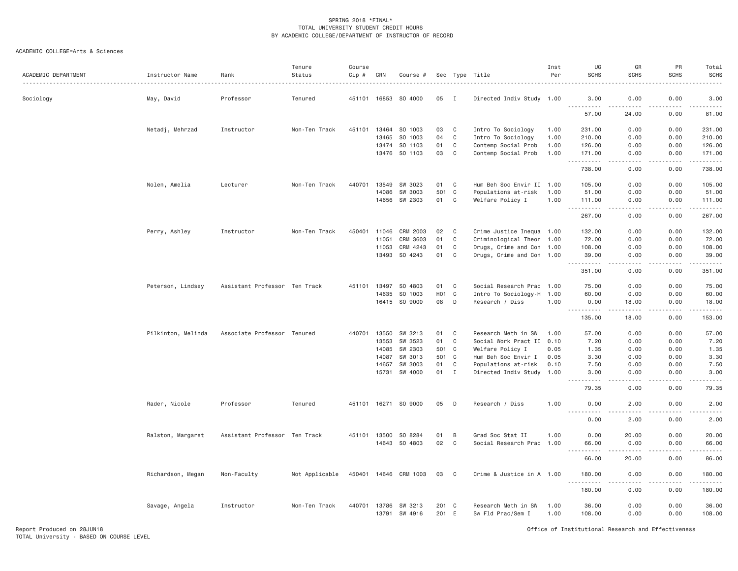| ACADEMIC DEPARTMENT | Instructor Name    | Rank                          | Tenure<br>Status | Course<br>$Cip$ # | CRN            | Course #           |                  |              | Sec Type Title                           | Inst<br>Per  | UG<br><b>SCHS</b>                                                | GR<br><b>SCHS</b>    | PR<br><b>SCHS</b>     | Total<br><b>SCHS</b>                                                                                                  |
|---------------------|--------------------|-------------------------------|------------------|-------------------|----------------|--------------------|------------------|--------------|------------------------------------------|--------------|------------------------------------------------------------------|----------------------|-----------------------|-----------------------------------------------------------------------------------------------------------------------|
| Sociology           | May, David         | Professor                     | Tenured          | 451101 16853      |                | SO 4000            | 05               | I            | Directed Indiv Study 1.00                |              | 3,00<br>.                                                        | 0.00<br>.            | 0.00                  | 3.00<br>.                                                                                                             |
|                     |                    |                               |                  |                   |                |                    |                  |              |                                          |              | 57.00                                                            | 24.00                | 0.00                  | 81.00                                                                                                                 |
|                     | Netadj, Mehrzad    | Instructor                    | Non-Ten Track    | 451101            | 13464          | SO 1003            | 03               | $\mathbf C$  | Intro To Sociology                       | 1.00         | 231.00                                                           | 0.00                 | 0.00                  | 231.00                                                                                                                |
|                     |                    |                               |                  |                   | 13465          | SO 1003            | 04               | $\mathsf{C}$ | Intro To Sociology                       | 1.00         | 210.00                                                           | 0.00                 | 0.00                  | 210.00                                                                                                                |
|                     |                    |                               |                  |                   | 13474          | SO 1103            | 01               | C            | Contemp Social Prob                      | 1.00         | 126.00                                                           | 0.00                 | 0.00                  | 126.00                                                                                                                |
|                     |                    |                               |                  |                   | 13476          | SO 1103            | 03               | C            | Contemp Social Prob                      | 1.00         | 171.00<br>- - - - -                                              | 0.00                 | 0.00<br>.             | 171.00<br>.                                                                                                           |
|                     |                    |                               |                  |                   |                |                    |                  |              |                                          |              | 738.00                                                           | 0.00                 | 0.00                  | 738.00                                                                                                                |
|                     | Nolen, Amelia      | Lecturer                      | Non-Ten Track    | 440701            | 13549          | SW 3023            | 01               | C            | Hum Beh Soc Envir II 1.00                |              | 105.00                                                           | 0.00                 | 0.00                  | 105.00                                                                                                                |
|                     |                    |                               |                  |                   | 14086          | SW 3003            | 501              | C            | Populations at-risk                      | 1.00         | 51.00                                                            | 0.00                 | 0.00                  | 51.00                                                                                                                 |
|                     |                    |                               |                  |                   | 14656          | SW 2303            | 01               | C            | Welfare Policy I                         | 1.00         | 111.00<br><u>.</u>                                               | 0.00<br>.            | 0.00<br>.             | 111.00<br>$\begin{array}{cccccccccc} \bullet & \bullet & \bullet & \bullet & \bullet & \bullet & \bullet \end{array}$ |
|                     |                    |                               |                  |                   |                |                    |                  |              |                                          |              | 267.00                                                           | 0.00                 | 0.00                  | 267.00                                                                                                                |
|                     | Perry, Ashley      | Instructor                    | Non-Ten Track    | 450401            | 11046          | CRM 2003           | 02               | C            | Crime Justice Inequa 1.00                |              | 132.00                                                           | 0.00                 | 0.00                  | 132.00                                                                                                                |
|                     |                    |                               |                  |                   | 11051          | CRM 3603           | 01               | $\mathsf{C}$ | Criminological Theor 1.00                |              | 72.00                                                            | 0.00                 | 0.00                  | 72.00                                                                                                                 |
|                     |                    |                               |                  |                   | 11053          | CRM 4243           | 01               | C            | Drugs, Crime and Con 1.00                |              | 108.00                                                           | 0.00                 | 0.00                  | 108.00                                                                                                                |
|                     |                    |                               |                  |                   | 13493          | SO 4243            | 01               | C            | Drugs, Crime and Con 1.00                |              | 39.00<br><u>.</u>                                                | 0.00<br>.            | 0.00<br>.             | 39.00<br>.                                                                                                            |
|                     |                    |                               |                  |                   |                |                    |                  |              |                                          |              | 351.00                                                           | 0.00                 | 0.00                  | 351.00                                                                                                                |
|                     | Peterson, Lindsey  | Assistant Professor Ten Track |                  | 451101            | 13497          | SO 4803            | 01               | C            | Social Research Prac 1.00                |              | 75.00                                                            | 0.00                 | 0.00                  | 75.00                                                                                                                 |
|                     |                    |                               |                  |                   | 14635          | SO 1003            | H <sub>0</sub> 1 | $\mathbf{C}$ | Intro To Sociology-H 1.00                |              | 60.00                                                            | 0.00                 | 0.00                  | 60.00                                                                                                                 |
|                     |                    |                               |                  |                   |                | 16415 SO 9000      | 08               | D            | Research / Diss                          | 1.00         | 0.00<br>$  -$<br>.                                               | 18.00<br>$- - - - -$ | 0.00<br>.             | 18.00<br>.                                                                                                            |
|                     |                    |                               |                  |                   |                |                    |                  |              |                                          |              | 135.00                                                           | 18.00                | 0.00                  | 153.00                                                                                                                |
|                     | Pilkinton, Melinda | Associate Professor Tenured   |                  | 440701            | 13550          | SW 3213            | 01               | C            | Research Meth in SW                      | 1.00         | 57.00                                                            | 0.00                 | 0.00                  | 57.00                                                                                                                 |
|                     |                    |                               |                  |                   | 13553          | SW 3523            | 01               | C            | Social Work Pract II 0.10                |              | 7.20                                                             | 0.00                 | 0.00                  | 7.20                                                                                                                  |
|                     |                    |                               |                  |                   | 14085          | SW 2303            | 501 C            |              | Welfare Policy I                         | 0.05         | 1.35                                                             | 0.00                 | 0.00                  | 1.35                                                                                                                  |
|                     |                    |                               |                  |                   | 14087          | SW 3013            | 501 C            |              | Hum Beh Soc Envir I                      | 0.05         | 3.30                                                             | 0.00                 | 0.00                  | 3.30                                                                                                                  |
|                     |                    |                               |                  |                   | 14657          | SW 3003            | 01               | C            | Populations at-risk                      | 0.10         | 7.50                                                             | 0.00                 | 0.00                  | 7.50                                                                                                                  |
|                     |                    |                               |                  |                   | 15731          | SW 4000            | 01               | $\mathbf I$  | Directed Indiv Study 1.00                |              | 3.00<br>$- - - -$                                                | 0.00<br>----         | 0.00<br>.             | 3.00<br>$\frac{1}{2}$                                                                                                 |
|                     |                    |                               |                  |                   |                |                    |                  |              |                                          |              | 79.35                                                            | 0.00                 | 0.00                  | 79.35                                                                                                                 |
|                     | Rader, Nicole      | Professor                     | Tenured          | 451101 16271      |                | SO 9000            | 05               | D            | Research / Diss                          | 1.00         | 0.00<br>.                                                        | 2.00                 | 0.00                  | 2.00<br>.                                                                                                             |
|                     |                    |                               |                  |                   |                |                    |                  |              |                                          |              | 0.00                                                             | 2.00                 | 0.00                  | 2.00                                                                                                                  |
|                     | Ralston, Margaret  | Assistant Professor Ten Track |                  |                   | 451101 13500   | SO 8284            | 01               | B            | Grad Soc Stat II                         | 1.00         | 0.00                                                             | 20.00                | 0.00                  | 20.00                                                                                                                 |
|                     |                    |                               |                  |                   | 14643          | SO 4803            | 02               | $\mathsf{C}$ | Social Research Prac 1.00                |              | 66.00                                                            | 0.00                 | 0.00                  | 66.00                                                                                                                 |
|                     |                    |                               |                  |                   |                |                    |                  |              |                                          |              | -----<br>$\sim$ $\sim$ $\sim$<br>66.00                           | 20.00                | .<br>0.00             | ووودوه<br>86.00                                                                                                       |
|                     | Richardson, Megan  | Non-Faculty                   | Not Applicable   | 450401            | 14646          | CRM 1003           | 03               | C            | Crime & Justice in A 1.00                |              | 180.00<br><u>.</u>                                               | 0.00                 | 0.00<br>$\frac{1}{2}$ | 180.00<br>.                                                                                                           |
|                     |                    |                               |                  |                   |                |                    |                  |              |                                          |              | $\frac{1}{2} \left( \frac{1}{2} \right) = \frac{1}{2}$<br>180.00 | 0.00                 | 0.00                  | 180.00                                                                                                                |
|                     | Savage, Angela     | Instructor                    | Non-Ten Track    | 440701            | 13786<br>13791 | SW 3213<br>SW 4916 | 201 C<br>201     | E            | Research Meth in SW<br>Sw Fld Prac/Sem I | 1,00<br>1.00 | 36.00<br>108.00                                                  | 0.00<br>0.00         | 0.00<br>0.00          | 36.00<br>108.00                                                                                                       |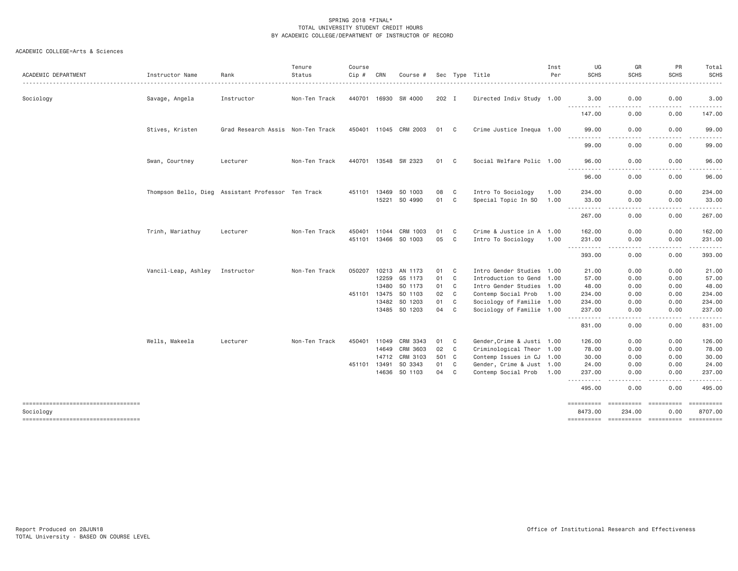| ACADEMIC DEPARTMENT                  | Instructor Name                                    | Rank                              | Tenure<br>Status | Course<br>Cip # | CRN   | Course #              |          |                | Sec Type Title             | Inst<br>Per | UG<br><b>SCHS</b>                  | GR<br><b>SCHS</b>                                                                                                                 | PR<br><b>SCHS</b> | Total<br><b>SCHS</b>                                                                                                                                          |
|--------------------------------------|----------------------------------------------------|-----------------------------------|------------------|-----------------|-------|-----------------------|----------|----------------|----------------------------|-------------|------------------------------------|-----------------------------------------------------------------------------------------------------------------------------------|-------------------|---------------------------------------------------------------------------------------------------------------------------------------------------------------|
| Sociology                            | Savage, Angela                                     | Instructor                        | Non-Ten Track    | 440701 16930    |       | SW 4000               | 202 I    |                | Directed Indiv Study 1.00  |             | 3.00<br>$- - - -$<br>$- - - - - -$ | 0.00                                                                                                                              | 0.00              | 3.00                                                                                                                                                          |
|                                      |                                                    |                                   |                  |                 |       |                       |          |                |                            |             | 147.00                             | $\frac{1}{2} \left( \frac{1}{2} \right) \left( \frac{1}{2} \right) \left( \frac{1}{2} \right) \left( \frac{1}{2} \right)$<br>0.00 | 0.00              | .<br>147.00                                                                                                                                                   |
|                                      | Stives, Kristen                                    | Grad Research Assis Non-Ten Track |                  |                 |       | 450401 11045 CRM 2003 | 01       | C.             | Crime Justice Inequa 1.00  |             | 99.00<br>----------                | 0.00                                                                                                                              | 0.00              | 99.00<br>$\frac{1}{2} \left( \frac{1}{2} \right) \left( \frac{1}{2} \right) \left( \frac{1}{2} \right) \left( \frac{1}{2} \right) \left( \frac{1}{2} \right)$ |
|                                      |                                                    |                                   |                  |                 |       |                       |          |                |                            |             | 99.00                              | 0.00                                                                                                                              | 0.00              | 99.00                                                                                                                                                         |
|                                      | Swan, Courtney                                     | Lecturer                          | Non-Ten Track    |                 |       | 440701 13548 SW 2323  | 01       | C <sub>1</sub> | Social Welfare Polic 1.00  |             | 96.00<br>.                         | 0.00<br>$\cdots$                                                                                                                  | 0.00<br>-----     | 96.00<br>.                                                                                                                                                    |
|                                      |                                                    |                                   |                  |                 |       |                       |          |                |                            |             | 96.00                              | 0.00                                                                                                                              | 0.00              | 96.00                                                                                                                                                         |
|                                      | Thompson Bello, Dieg Assistant Professor Ten Track |                                   |                  | 451101          | 13469 | SO 1003               | 08       | C              | Intro To Sociology         | 1.00        | 234.00                             | 0.00                                                                                                                              | 0.00              | 234.00                                                                                                                                                        |
|                                      |                                                    |                                   |                  |                 |       | 15221 SO 4990         | 01       | $\mathbf{C}$   | Special Topic In SO        | 1.00        | 33.00                              | 0.00                                                                                                                              | 0.00              | 33.00                                                                                                                                                         |
|                                      |                                                    |                                   |                  |                 |       |                       |          |                |                            |             | $- - -$<br>. <b>.</b><br>267.00    | $\cdots$<br>0.00                                                                                                                  | .<br>0.00         | .<br>267.00                                                                                                                                                   |
|                                      |                                                    |                                   |                  | 450401          | 11044 | CRM 1003              |          | C              | Crime & Justice in A 1.00  |             |                                    | 0.00                                                                                                                              |                   |                                                                                                                                                               |
|                                      | Trinh, Mariathuy                                   | Lecturer                          | Non-Ten Track    |                 |       |                       | 01<br>05 | C <sub>1</sub> |                            |             | 162.00                             |                                                                                                                                   | 0.00              | 162.00                                                                                                                                                        |
|                                      |                                                    |                                   |                  | 451101 13466    |       | SO 1003               |          |                | Intro To Sociology         | 1.00        | 231.00<br>$- - - - - -$            | 0.00<br>$- - -$                                                                                                                   | 0.00<br>.         | 231.00<br><u>.</u>                                                                                                                                            |
|                                      |                                                    |                                   |                  |                 |       |                       |          |                |                            |             | 393.00                             | 0.00                                                                                                                              | 0.00              | 393.00                                                                                                                                                        |
|                                      | Vancil-Leap, Ashley                                | Instructor                        | Non-Ten Track    | 050207          | 10213 | AN 1173               | 01       | C              | Intro Gender Studies 1.00  |             | 21.00                              | 0.00                                                                                                                              | 0.00              | 21.00                                                                                                                                                         |
|                                      |                                                    |                                   |                  |                 | 12259 | GS 1173               | 01       | $\mathbf{C}$   | Introduction to Gend 1.00  |             | 57.00                              | 0.00                                                                                                                              | 0.00              | 57.00                                                                                                                                                         |
|                                      |                                                    |                                   |                  |                 | 13480 | SO 1173               | 01       | $\mathbf{C}$   | Intro Gender Studies 1.00  |             | 48.00                              | 0.00                                                                                                                              | 0.00              | 48.00                                                                                                                                                         |
|                                      |                                                    |                                   |                  | 451101 13475    |       | SO 1103               | 02       | C              | Contemp Social Prob        | 1.00        | 234.00                             | 0.00                                                                                                                              | 0.00              | 234.00                                                                                                                                                        |
|                                      |                                                    |                                   |                  |                 | 13482 | SO 1203               | 01       | C              | Sociology of Familie 1.00  |             | 234.00                             | 0.00                                                                                                                              | 0.00              | 234.00                                                                                                                                                        |
|                                      |                                                    |                                   |                  |                 |       | 13485 SO 1203         | 04       | C              | Sociology of Familie 1.00  |             | 237.00                             | 0.00                                                                                                                              | 0.00              | 237.00                                                                                                                                                        |
|                                      |                                                    |                                   |                  |                 |       |                       |          |                |                            |             | - - -<br>-------<br>831.00         | $\frac{1}{2} \left( \frac{1}{2} \right) \left( \frac{1}{2} \right) \left( \frac{1}{2} \right) \left( \frac{1}{2} \right)$<br>0.00 | .<br>0.00         | ------<br>831.00                                                                                                                                              |
|                                      | Wells, Makeela                                     | Lecturer                          | Non-Ten Track    | 450401 11049    |       | CRM 3343              | 01       | C <sub>1</sub> | Gender, Crime & Justi 1.00 |             | 126.00                             | 0.00                                                                                                                              | 0.00              | 126.00                                                                                                                                                        |
|                                      |                                                    |                                   |                  |                 | 14649 | CRM 3603              | 02       | $\mathbf{C}$   | Criminological Theor 1.00  |             | 78.00                              | 0.00                                                                                                                              | 0.00              | 78.00                                                                                                                                                         |
|                                      |                                                    |                                   |                  |                 |       | 14712 CRM 3103        | 501 C    |                | Contemp Issues in CJ 1.00  |             | 30.00                              | 0.00                                                                                                                              | 0.00              | 30.00                                                                                                                                                         |
|                                      |                                                    |                                   |                  | 451101 13491    |       | SO 3343               | 01       | C              | Gender, Crime & Just 1.00  |             | 24.00                              | 0.00                                                                                                                              | 0.00              | 24.00                                                                                                                                                         |
|                                      |                                                    |                                   |                  |                 | 14636 | SO 1103               | 04       | C              | Contemp Social Prob        | 1.00        | 237.00                             | 0.00                                                                                                                              | 0.00              | 237.00                                                                                                                                                        |
|                                      |                                                    |                                   |                  |                 |       |                       |          |                |                            |             | ----------                         |                                                                                                                                   |                   | .                                                                                                                                                             |
|                                      |                                                    |                                   |                  |                 |       |                       |          |                |                            |             | 495.00                             | 0.00                                                                                                                              | 0.00              | 495.00                                                                                                                                                        |
| ==================================== |                                                    |                                   |                  |                 |       |                       |          |                |                            |             | ==========                         |                                                                                                                                   |                   | <b>ESSESSES</b>                                                                                                                                               |
| Sociology                            |                                                    |                                   |                  |                 |       |                       |          |                |                            |             | 8473.00                            | 234.00                                                                                                                            | 0.00              | 8707.00                                                                                                                                                       |
| ----------------------------------   |                                                    |                                   |                  |                 |       |                       |          |                |                            |             |                                    |                                                                                                                                   |                   |                                                                                                                                                               |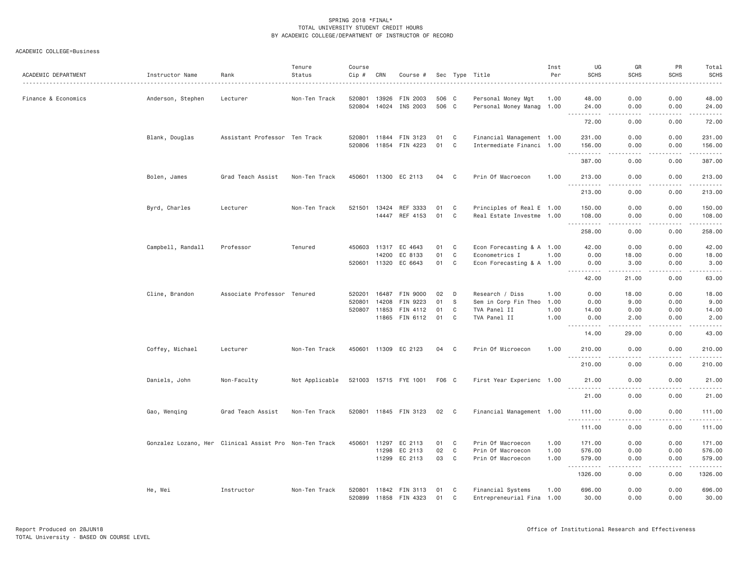| ACADEMIC DEPARTMENT | Instructor Name                                        | Rank                          | Tenure<br>Status | Course<br>Cip #            | CRN                     | Course #                                           |                      |                                     | Sec Type Title                                                           | Inst<br>Per                  | UG<br><b>SCHS</b>                      | GR<br><b>SCHS</b>                  | PR<br><b>SCHS</b>                     | Total<br><b>SCHS</b>                                                                                                                                           |
|---------------------|--------------------------------------------------------|-------------------------------|------------------|----------------------------|-------------------------|----------------------------------------------------|----------------------|-------------------------------------|--------------------------------------------------------------------------|------------------------------|----------------------------------------|------------------------------------|---------------------------------------|----------------------------------------------------------------------------------------------------------------------------------------------------------------|
| Finance & Economics | Anderson, Stephen                                      | Lecturer                      | Non-Ten Track    | 520801<br>520804           | 13926<br>14024          | FIN 2003<br>INS 2003                               | 506 C<br>506 C       |                                     | Personal Money Mgt<br>Personal Money Manag 1.00                          | 1.00                         | 48.00<br>24.00<br>.                    | 0.00<br>0.00<br>.                  | 0.00<br>0.00<br>.                     | 48.00<br>24.00<br>.                                                                                                                                            |
|                     |                                                        |                               |                  |                            |                         |                                                    |                      |                                     |                                                                          |                              | 72.00                                  | 0.00                               | 0.00                                  | 72.00                                                                                                                                                          |
|                     | Blank, Douglas                                         | Assistant Professor Ten Track |                  | 520801<br>520806           | 11844<br>11854          | FIN 3123<br>FIN 4223                               | 01<br>01             | C<br>C                              | Financial Management 1.00<br>Intermediate Financi 1.00                   |                              | 231.00<br>156.00                       | 0.00<br>0.00                       | 0.00<br>0.00                          | 231.00<br>156.00                                                                                                                                               |
|                     |                                                        |                               |                  |                            |                         |                                                    |                      |                                     |                                                                          |                              | .<br>387.00                            | 0.00                               | د د د د<br>0.00                       | 387.00                                                                                                                                                         |
|                     | Bolen, James                                           | Grad Teach Assist             | Non-Ten Track    | 450601                     | 11300                   | EC 2113                                            | 04                   | C                                   | Prin Of Macroecon                                                        | 1.00                         | 213.00                                 | 0.00                               | 0.00                                  | 213.00                                                                                                                                                         |
|                     |                                                        |                               |                  |                            |                         |                                                    |                      |                                     |                                                                          |                              | $- - - - - - -$<br>213.00              | .<br>0.00                          | . <b>.</b><br>0.00                    | $- - - - - -$<br>213.00                                                                                                                                        |
|                     | Byrd, Charles                                          | Lecturer                      | Non-Ten Track    | 521501                     | 13424<br>14447          | REF 3333<br>REF 4153                               | 01<br>01             | C<br>C                              | Principles of Real E 1.00<br>Real Estate Investme 1.00                   |                              | 150.00<br>108.00<br><u>.</u>           | 0.00<br>0.00<br>.                  | 0.00<br>0.00<br>.                     | 150.00<br>108.00<br>.                                                                                                                                          |
|                     |                                                        |                               |                  |                            |                         |                                                    |                      |                                     |                                                                          |                              | 258.00                                 | 0.00                               | 0.00                                  | 258.00                                                                                                                                                         |
|                     | Campbell, Randall                                      | Professor                     | Tenured          | 520601 11320               | 14200                   | 450603 11317 EC 4643<br>EC 8133<br>EC 6643         | 01<br>01<br>01       | $\mathbf{C}$<br>C<br>C              | Econ Forecasting & A 1.00<br>Econometrics I<br>Econ Forecasting & A 1.00 | 1.00                         | 42.00<br>0.00<br>0.00                  | 0.00<br>18.00<br>3.00              | 0.00<br>0.00<br>0.00                  | 42.00<br>18.00<br>3.00                                                                                                                                         |
|                     |                                                        |                               |                  |                            |                         |                                                    |                      |                                     |                                                                          |                              | .<br>42.00                             | 21.00                              | -----<br>0.00                         | .<br>63.00                                                                                                                                                     |
|                     | Cline, Brandon                                         | Associate Professor Tenured   |                  | 520201<br>520801<br>520807 | 16487<br>14208<br>11853 | FIN 9000<br>FIN 9223<br>FIN 4112<br>11865 FIN 6112 | 02<br>01<br>01<br>01 | D<br>S<br>C<br>C                    | Research / Diss<br>Sem in Corp Fin Theo<br>TVA Panel II<br>TVA Panel II  | 1.00<br>1.00<br>1.00<br>1.00 | 0.00<br>0.00<br>14.00<br>0.00<br>.     | 18.00<br>9.00<br>0.00<br>2.00<br>. | 0.00<br>0.00<br>0.00<br>0.00<br>----- | 18.00<br>9.00<br>14.00<br>2.00<br>.                                                                                                                            |
|                     |                                                        |                               |                  |                            |                         |                                                    |                      |                                     |                                                                          |                              | 14.00                                  | 29.00                              | 0.00                                  | 43.00                                                                                                                                                          |
|                     | Coffey, Michael                                        | Lecturer                      | Non-Ten Track    |                            |                         | 450601 11309 EC 2123                               | 04 C                 |                                     | Prin Of Microecon                                                        | 1.00                         | 210.00<br>.                            | 0.00<br>$  -$                      | 0.00<br>.                             | 210.00<br><u>.</u>                                                                                                                                             |
|                     |                                                        |                               |                  |                            |                         |                                                    |                      |                                     |                                                                          |                              | 210.00                                 | 0.00                               | 0.00                                  | 210.00                                                                                                                                                         |
|                     | Daniels, John                                          | Non-Faculty                   | Not Applicable   |                            |                         | 521003 15715 FYE 1001                              | F06 C                |                                     | First Year Experienc 1.00                                                |                              | 21.00<br><u>.</u>                      | 0.00                               | 0.00                                  | 21.00                                                                                                                                                          |
|                     |                                                        |                               |                  |                            |                         |                                                    |                      |                                     |                                                                          |                              | 21.00                                  | 0.00                               | 0.00                                  | 21.00                                                                                                                                                          |
|                     | Gao, Wenqing                                           | Grad Teach Assist             | Non-Ten Track    |                            |                         | 520801 11845 FIN 3123                              | 02                   | $\mathbf{C}$                        | Financial Management 1.00                                                |                              | 111.00<br>$\sim$ $\sim$ $\sim$<br>.    | 0.00                               | 0.00                                  | 111.00<br>$\frac{1}{2} \left( \frac{1}{2} \right) \left( \frac{1}{2} \right) \left( \frac{1}{2} \right) \left( \frac{1}{2} \right) \left( \frac{1}{2} \right)$ |
|                     |                                                        |                               |                  |                            |                         |                                                    |                      |                                     |                                                                          |                              | 111.00                                 | 0.00                               | 0.00                                  | 111.00                                                                                                                                                         |
|                     | Gonzalez Lozano, Her Clinical Assist Pro Non-Ten Track |                               |                  | 450601                     | 11297<br>11298<br>11299 | EC 2113<br>EC 2113<br>EC 2113                      | 01<br>02<br>03       | C<br>C <sub>1</sub><br>$\mathbf{C}$ | Prin Of Macroecon<br>Prin Of Macroecon<br>Prin Of Macroecon              | 1.00<br>1,00<br>1.00         | 171.00<br>576.00<br>579.00<br><u>.</u> | 0.00<br>0.00<br>0.00<br>د د د د    | 0.00<br>0.00<br>0.00<br>.             | 171.00<br>576.00<br>579.00<br>.                                                                                                                                |
|                     |                                                        |                               |                  |                            |                         |                                                    |                      |                                     |                                                                          |                              | 1326.00                                | 0.00                               | 0.00                                  | 1326.00                                                                                                                                                        |
|                     | He, Wei                                                | Instructor                    | Non-Ten Track    | 520801<br>520899           | 11842<br>11858          | FIN 3113<br>FIN 4323                               | 01<br>01             | C<br>C                              | Financial Systems<br>Entrepreneurial Fina 1.00                           | 1.00                         | 696.00<br>30.00                        | 0.00<br>0.00                       | 0.00<br>0.00                          | 696.00<br>30.00                                                                                                                                                |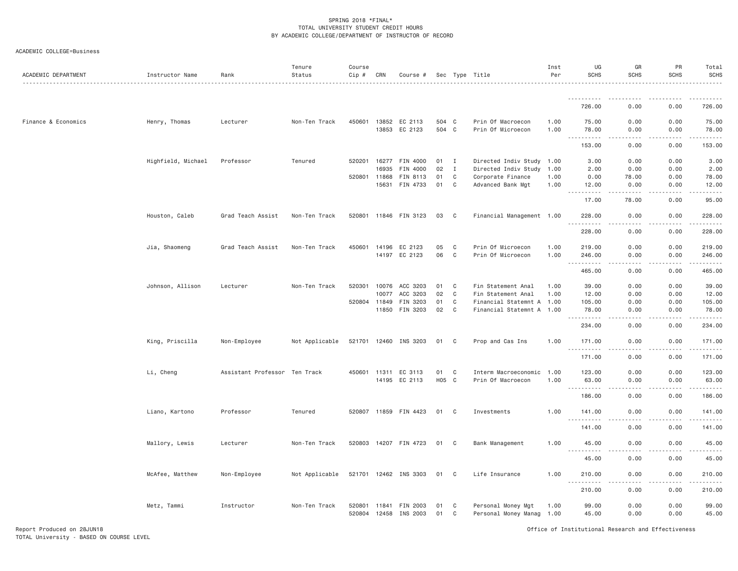| ACADEMIC DEPARTMENT | Instructor Name    | Rank                          | Tenure<br>Status | Course<br>Cip # | CRN                   | Course #                        |                |                              | Sec Type Title                                         | Inst<br>Per  | UG<br><b>SCHS</b>            | GR<br>SCHS              | PR<br>SCHS    | Total<br><b>SCHS</b>            |
|---------------------|--------------------|-------------------------------|------------------|-----------------|-----------------------|---------------------------------|----------------|------------------------------|--------------------------------------------------------|--------------|------------------------------|-------------------------|---------------|---------------------------------|
|                     |                    |                               |                  |                 |                       |                                 |                |                              |                                                        |              | ----------                   |                         |               |                                 |
|                     |                    |                               |                  |                 |                       |                                 |                |                              |                                                        |              | 726.00                       | 0.00                    | 0.00          | 726.00                          |
| Finance & Economics | Henry, Thomas      | Lecturer                      | Non-Ten Track    |                 | 13853                 | 450601 13852 EC 2113<br>EC 2123 | 504 C<br>504 C |                              | Prin Of Macroecon<br>Prin Of Microecon                 | 1.00<br>1.00 | 75.00<br>78.00<br>.          | 0.00<br>0.00<br>$- - -$ | 0.00<br>0.00  | 75.00<br>78.00                  |
|                     |                    |                               |                  |                 |                       |                                 |                |                              |                                                        |              | 153.00                       | 0.00                    | 0.00          | 153.00                          |
|                     | Highfield, Michael | Professor                     | Tenured          |                 | 520201 16277<br>16935 | FIN 4000<br>FIN 4000            | 01<br>02       | $\mathbf{I}$<br>$\mathbf{I}$ | Directed Indiv Study 1.00<br>Directed Indiv Study      | 1.00         | 3.00<br>2.00                 | 0.00<br>0.00            | 0.00<br>0.00  | 3.00<br>2.00                    |
|                     |                    |                               |                  |                 | 520801 11868          | FIN 8113                        | 01             | C                            | Corporate Finance                                      | 1.00         | 0.00                         | 78.00                   | 0.00          | 78.00                           |
|                     |                    |                               |                  |                 | 15631                 | FIN 4733                        | 01             | C                            | Advanced Bank Mgt                                      | 1.00         | 12.00<br><b></b>             | 0.00<br>-----           | 0.00<br>.     | 12.00<br>.                      |
|                     |                    |                               |                  |                 |                       |                                 |                |                              |                                                        |              | 17.00                        | 78.00                   | 0.00          | 95.00                           |
|                     | Houston, Caleb     | Grad Teach Assist             | Non-Ten Track    |                 |                       | 520801 11846 FIN 3123           | 03             | $\mathbf{C}$                 | Financial Management 1.00                              |              | 228.00                       | 0.00                    | 0.00          | 228.00                          |
|                     |                    |                               |                  |                 |                       |                                 |                |                              |                                                        |              | 228.00                       | 0.00                    | 0.00          | 228.00                          |
|                     | Jia, Shaomeng      | Grad Teach Assist             | Non-Ten Track    |                 | 450601 14196          | EC 2123                         | 05             | C                            | Prin Of Microecon                                      | 1.00         | 219.00                       | 0.00                    | 0.00          | 219.00                          |
|                     |                    |                               |                  |                 | 14197                 | EC 2123                         | 06             | $\mathbb C$                  | Prin Of Microecon                                      | 1.00         | 246.00<br>.<br>$\frac{1}{2}$ | 0.00<br>$\frac{1}{2}$   | 0.00<br>.     | 246.00<br>.                     |
|                     |                    |                               |                  |                 |                       |                                 |                |                              |                                                        |              | 465.00                       | 0.00                    | 0.00          | 465.00                          |
|                     | Johnson, Allison   | Lecturer                      | Non-Ten Track    | 520301          | 10076                 | ACC 3203                        | 01             | C                            | Fin Statement Anal                                     | 1.00         | 39.00                        | 0.00                    | 0.00          | 39.00                           |
|                     |                    |                               |                  |                 | 10077                 | ACC 3203                        | 02             | C                            | Fin Statement Anal                                     | 1.00         | 12.00                        | 0.00                    | 0.00          | 12.00                           |
|                     |                    |                               |                  |                 | 520804 11849          | FIN 3203<br>11850 FIN 3203      | 01<br>02       | C<br>C                       | Financial Statemnt A 1.00<br>Financial Statemnt A 1.00 |              | 105.00<br>78.00              | 0.00<br>0.00            | 0.00<br>0.00  | 105.00<br>78.00                 |
|                     |                    |                               |                  |                 |                       |                                 |                |                              |                                                        |              | .<br>$\frac{1}{2}$<br>234.00 | .<br>0.00               | -----<br>0.00 | ------<br>234.00                |
|                     | King, Priscilla    | Non-Employee                  | Not Applicable   |                 |                       | 521701 12460 INS 3203           | 01             | C                            | Prop and Cas Ins                                       | 1.00         | 171.00                       | 0.00                    | 0.00          | 171.00                          |
|                     |                    |                               |                  |                 |                       |                                 |                |                              |                                                        |              | .<br>171.00                  | $- - - -$<br>0.00       | .<br>0.00     | .<br>171.00                     |
|                     |                    |                               |                  |                 |                       |                                 |                |                              |                                                        |              |                              |                         |               |                                 |
|                     | Li, Cheng          | Assistant Professor Ten Track |                  |                 | 450601 11311          | EC 3113<br>14195 EC 2113        | 01<br>H05 C    | C                            | Interm Macroeconomic<br>Prin Of Macroecon              | 1.00<br>1.00 | 123.00<br>63.00              | 0.00<br>0.00            | 0.00<br>0.00  | 123.00<br>63.00                 |
|                     |                    |                               |                  |                 |                       |                                 |                |                              |                                                        |              | . <b>.</b><br>186.00         | 0.00                    | 0.00          | <b><i><u></u></i></b><br>186.00 |
|                     | Liano, Kartono     | Professor                     | Tenured          |                 |                       | 520807 11859 FIN 4423           | 01             | C                            | Investments                                            | 1.00         | 141.00                       | 0.00                    | 0.00          | 141.00                          |
|                     |                    |                               |                  |                 |                       |                                 |                |                              |                                                        |              | $- - - - - - -$<br>141.00    | 0.00                    | 0.00          | 141.00                          |
|                     | Mallory, Lewis     | Lecturer                      | Non-Ten Track    |                 |                       | 520803 14207 FIN 4723           | 01             | C                            | Bank Management                                        | 1.00         | 45.00                        | 0.00                    | 0.00          | 45.00                           |
|                     |                    |                               |                  |                 |                       |                                 |                |                              |                                                        |              | .<br>45.00                   | 0.00                    | 0.00          | 45.00                           |
|                     | McAfee, Matthew    | Non-Employee                  | Not Applicable   |                 |                       | 521701 12462 INS 3303           | 01 C           |                              | Life Insurance                                         | 1.00         | 210.00                       | 0.00                    | 0.00          | 210.00                          |
|                     |                    |                               |                  |                 |                       |                                 |                |                              |                                                        |              | .<br>210.00                  | 0.00                    | 0.00          | 210.00                          |
|                     |                    |                               |                  |                 |                       |                                 |                |                              |                                                        |              |                              |                         |               |                                 |
|                     | Metz, Tammi        | Instructor                    | Non-Ten Track    | 520801          | 11841<br>520804 12458 | FIN 2003<br>INS 2003            | 01<br>01       | C<br>C                       | Personal Money Mgt<br>Personal Money Manag 1.00        | 1.00         | 99.00<br>45.00               | 0.00<br>0.00            | 0.00<br>0.00  | 99.00<br>45.00                  |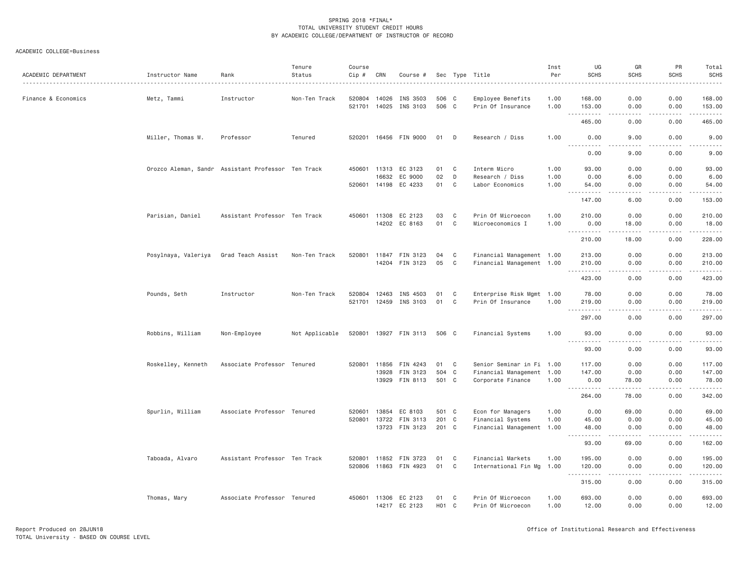| ACADEMIC DEPARTMENT | Instructor Name     | Rank                                               | Tenure<br>Status | Course<br>Cip #  | CRN            | Course #                 |                         |              | Sec Type Title                         | Inst<br>Per  | UG<br><b>SCHS</b>                   | GR<br><b>SCHS</b>                   | <b>PR</b><br><b>SCHS</b>                                                                                                                                     | Total<br><b>SCHS</b><br>.                                                                                                                                                                 |
|---------------------|---------------------|----------------------------------------------------|------------------|------------------|----------------|--------------------------|-------------------------|--------------|----------------------------------------|--------------|-------------------------------------|-------------------------------------|--------------------------------------------------------------------------------------------------------------------------------------------------------------|-------------------------------------------------------------------------------------------------------------------------------------------------------------------------------------------|
| Finance & Economics | Metz, Tammi         | Instructor                                         | Non-Ten Track    | 520804<br>521701 | 14026<br>14025 | INS 3503<br>INS 3103     | 506 C<br>506 C          |              | Employee Benefits<br>Prin Of Insurance | 1.00<br>1.00 | 168.00<br>153.00                    | 0.00<br>0.00                        | 0.00<br>0.00                                                                                                                                                 | 168.00<br>153.00                                                                                                                                                                          |
|                     |                     |                                                    |                  |                  |                |                          |                         |              |                                        |              | $  -$<br>465.00                     | $\sim$ $\sim$ $\sim$<br>0.00        | .<br>0.00                                                                                                                                                    | $\frac{1}{2} \left( \frac{1}{2} \right) \left( \frac{1}{2} \right) \left( \frac{1}{2} \right) \left( \frac{1}{2} \right) \left( \frac{1}{2} \right)$<br>465.00                            |
|                     | Miller, Thomas W.   | Professor                                          | Tenured          | 520201           |                | 16456 FIN 9000           | 01                      | D            | Research / Diss                        | 1.00         | 0.00                                | 9.00                                | 0.00                                                                                                                                                         | 9.00                                                                                                                                                                                      |
|                     |                     |                                                    |                  |                  |                |                          |                         |              |                                        |              | -----<br>.<br>0.00                  | 9.00                                | 0.00                                                                                                                                                         | 9.00                                                                                                                                                                                      |
|                     |                     | Orozco Aleman, Sandr Assistant Professor Ten Track |                  | 450601           | 11313          | EC 3123                  | 01                      | C            | Interm Micro                           | 1.00         | 93.00                               | 0.00                                | 0.00                                                                                                                                                         | 93.00                                                                                                                                                                                     |
|                     |                     |                                                    |                  |                  | 16632          | EC 9000                  | 02                      | D            | Research / Diss                        | 1.00         | 0.00                                | 6.00                                | 0.00                                                                                                                                                         | 6.00                                                                                                                                                                                      |
|                     |                     |                                                    |                  |                  | 520601 14198   | EC 4233                  | 01                      | C            | Labor Economics                        | 1.00         | 54.00<br><b></b>                    | 0.00<br>.                           | 0.00<br>-----                                                                                                                                                | 54.00<br>.                                                                                                                                                                                |
|                     |                     |                                                    |                  |                  |                |                          |                         |              |                                        |              | 147.00                              | 6.00                                | 0.00                                                                                                                                                         | 153.00                                                                                                                                                                                    |
|                     | Parisian, Daniel    | Assistant Professor Ten Track                      |                  | 450601           | 11308          | EC 2123                  | 03                      | C            | Prin Of Microecon                      | 1.00         | 210.00                              | 0.00                                | 0.00                                                                                                                                                         | 210.00                                                                                                                                                                                    |
|                     |                     |                                                    |                  |                  |                | 14202 EC 8163            | 01                      | C            | Microeconomics I                       | 1.00         | 0.00<br><u>.</u>                    | 18.00<br>.                          | 0.00<br>.                                                                                                                                                    | 18.00<br>.                                                                                                                                                                                |
|                     |                     |                                                    |                  |                  |                |                          |                         |              |                                        |              | 210.00                              | 18.00                               | 0.00                                                                                                                                                         | 228.00                                                                                                                                                                                    |
|                     | Posylnaya, Valeriya | Grad Teach Assist                                  | Non-Ten Track    | 520801           | 11847          | FIN 3123                 | 04                      | C            | Financial Management 1.00              |              | 213.00                              | 0.00                                | 0.00                                                                                                                                                         | 213.00                                                                                                                                                                                    |
|                     |                     |                                                    |                  |                  | 14204          | FIN 3123                 | 05                      | C            | Financial Management 1.00              |              | 210.00                              | 0.00                                | 0.00                                                                                                                                                         | 210.00                                                                                                                                                                                    |
|                     |                     |                                                    |                  |                  |                |                          |                         |              |                                        |              | .<br>423.00                         | .<br>0.00                           | .<br>0.00                                                                                                                                                    | .<br>423.00                                                                                                                                                                               |
|                     | Pounds, Seth        | Instructor                                         | Non-Ten Track    | 520804           | 12463          | INS 4503                 | 01                      | C            | Enterprise Risk Mgmt 1.00              |              | 78.00                               | 0.00                                | 0.00                                                                                                                                                         | 78.00                                                                                                                                                                                     |
|                     |                     |                                                    |                  | 521701           | 12459          | INS 3103                 | 01                      | C            | Prin Of Insurance                      | 1.00         | 219.00<br>$\sim$ $\sim$ $\sim$<br>. | 0.00                                | 0.00                                                                                                                                                         | 219.00<br>$\begin{array}{cccccccccc} \bullet & \bullet & \bullet & \bullet & \bullet & \bullet & \bullet \end{array}$                                                                     |
|                     |                     |                                                    |                  |                  |                |                          |                         |              |                                        |              | 297.00                              | .<br>0.00                           | .<br>0.00                                                                                                                                                    | 297.00                                                                                                                                                                                    |
|                     | Robbins, William    | Non-Employee                                       | Not Applicable   | 520801           |                | 13927 FIN 3113           | 506 C                   |              | Financial Systems                      | 1.00         | 93.00                               | 0.00                                | 0.00                                                                                                                                                         | 93.00                                                                                                                                                                                     |
|                     |                     |                                                    |                  |                  |                |                          |                         |              |                                        |              | <u>.</u><br>93.00                   | .<br>0.00                           | -----<br>0.00                                                                                                                                                | .<br>93.00                                                                                                                                                                                |
|                     | Roskelley, Kenneth  | Associate Professor Tenured                        |                  | 520801           | 11856          | FIN 4243                 | 01                      | $\mathbf{C}$ | Senior Seminar in Fi 1.00              |              | 117.00                              | 0.00                                | 0.00                                                                                                                                                         | 117.00                                                                                                                                                                                    |
|                     |                     |                                                    |                  |                  | 13928          | FIN 3123                 | 504 C                   |              | Financial Management 1.00              |              | 147.00                              | 0.00                                | 0.00                                                                                                                                                         | 147.00                                                                                                                                                                                    |
|                     |                     |                                                    |                  |                  |                | 13929 FIN 8113           | 501 C                   |              | Corporate Finance                      | 1.00         | 0.00<br>.                           | 78.00<br>.                          | 0.00<br>.                                                                                                                                                    | 78.00<br>$- - - - - - -$                                                                                                                                                                  |
|                     |                     |                                                    |                  |                  |                |                          |                         |              |                                        |              | 264.00                              | 78.00                               | 0.00                                                                                                                                                         | 342.00                                                                                                                                                                                    |
|                     | Spurlin, William    | Associate Professor Tenured                        |                  | 520601           | 13854          | EC 8103                  | 501 C                   |              | Econ for Managers                      | 1.00         | 0.00                                | 69.00                               | 0.00                                                                                                                                                         | 69.00                                                                                                                                                                                     |
|                     |                     |                                                    |                  | 520801           | 13722          | FIN 3113                 | 201 C                   |              | Financial Systems                      | 1.00         | 45.00                               | 0.00                                | 0.00                                                                                                                                                         | 45.00                                                                                                                                                                                     |
|                     |                     |                                                    |                  |                  |                | 13723 FIN 3123           | 201 C                   |              | Financial Management 1.00              |              | 48.00<br>.                          | 0.00<br>.                           | 0.00<br>$\frac{1}{2} \left( \frac{1}{2} \right) \left( \frac{1}{2} \right) \left( \frac{1}{2} \right) \left( \frac{1}{2} \right) \left( \frac{1}{2} \right)$ | 48.00<br>------                                                                                                                                                                           |
|                     |                     |                                                    |                  |                  |                |                          |                         |              |                                        |              | 93.00                               | 69.00                               | 0.00                                                                                                                                                         | 162.00                                                                                                                                                                                    |
|                     | Taboada, Alvaro     | Assistant Professor Ten Track                      |                  | 520801           | 11852          | FIN 3723                 | 01                      | C            | Financial Markets                      | 1.00         | 195.00                              | 0.00                                | 0.00                                                                                                                                                         | 195.00                                                                                                                                                                                    |
|                     |                     |                                                    |                  |                  | 520806 11863   | FIN 4923                 | 01                      | C            | International Fin Mg 1.00              |              | 120.00                              | 0.00<br>$\sim$ $\sim$ $\sim$ $\sim$ | 0.00<br>.                                                                                                                                                    | 120.00<br>$\frac{1}{2} \left( \frac{1}{2} \right) \left( \frac{1}{2} \right) \left( \frac{1}{2} \right) \left( \frac{1}{2} \right) \left( \frac{1}{2} \right) \left( \frac{1}{2} \right)$ |
|                     |                     |                                                    |                  |                  |                |                          |                         |              |                                        |              | 315.00                              | 0.00                                | 0.00                                                                                                                                                         | 315.00                                                                                                                                                                                    |
|                     | Thomas, Mary        | Associate Professor Tenured                        |                  | 450601           | 11306          | EC 2123<br>14217 EC 2123 | 01<br>H <sub>01</sub> C | C            | Prin Of Microecon<br>Prin Of Microecon | 1.00<br>1.00 | 693.00<br>12.00                     | 0.00<br>0.00                        | 0.00<br>0.00                                                                                                                                                 | 693.00<br>12.00                                                                                                                                                                           |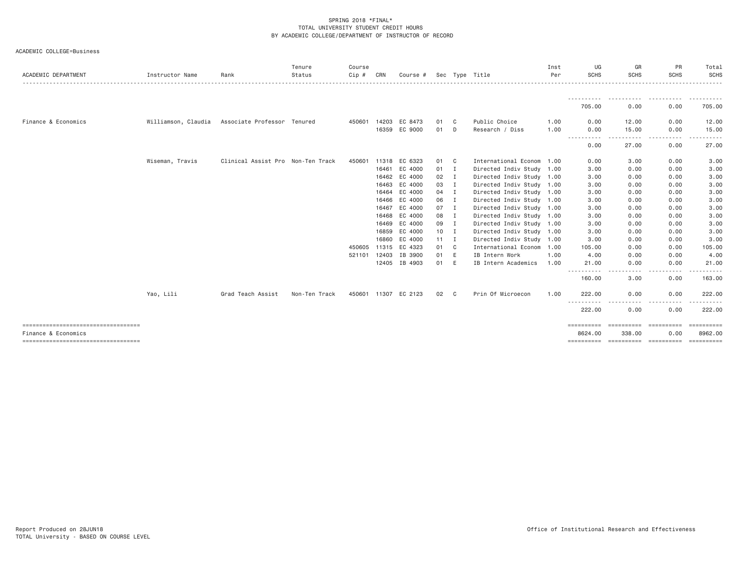| ACADEMIC DEPARTMENT                                          | Instructor Name     | Rank                              | Tenure<br>Status | Course<br>Cip # | CRN   | Course #             |              |              | Sec Type Title            | Inst<br>Per | UG<br><b>SCHS</b>     | GR<br><b>SCHS</b>                 | <b>PR</b><br><b>SCHS</b> | Total<br><b>SCHS</b><br>. <u>.</u> . |
|--------------------------------------------------------------|---------------------|-----------------------------------|------------------|-----------------|-------|----------------------|--------------|--------------|---------------------------|-------------|-----------------------|-----------------------------------|--------------------------|--------------------------------------|
|                                                              |                     |                                   |                  |                 |       |                      |              |              |                           |             | -----------           | .                                 | .                        | .                                    |
|                                                              |                     |                                   |                  |                 |       |                      |              |              |                           |             | 705.00                | 0.00                              | 0.00                     | 705.00                               |
| Finance & Economics                                          | Williamson, Claudia | Associate Professor Tenured       |                  | 450601 14203    |       | EC 8473              | 01           | - C          | Public Choice             | 1.00        | 0.00                  | 12.00                             | 0.00                     | 12.00                                |
|                                                              |                     |                                   |                  |                 |       | 16359 EC 9000        | 01           | D            | Research / Diss           | 1.00        | 0.00                  | 15.00                             | 0.00                     | 15.00                                |
|                                                              |                     |                                   |                  |                 |       |                      |              |              |                           |             | . <b>.</b><br>0.00    | .<br>27.00                        | $- - -$<br>-----<br>0.00 | 27.00                                |
|                                                              | Wiseman, Travis     | Clinical Assist Pro Non-Ten Track |                  | 450601          |       | 11318 EC 6323        | 01 C         |              | International Econom 1.00 |             | 0.00                  | 3.00                              | 0.00                     | 3.00                                 |
|                                                              |                     |                                   |                  |                 |       | 16461 EC 4000        | $01$ I       |              | Directed Indiv Study 1.00 |             | 3,00                  | 0.00                              | 0.00                     | 3.00                                 |
|                                                              |                     |                                   |                  |                 |       | 16462 EC 4000        | 02           | $\mathbf{I}$ | Directed Indiv Study 1.00 |             | 3.00                  | 0.00                              | 0.00                     | 3.00                                 |
|                                                              |                     |                                   |                  |                 | 16463 | EC 4000              | 03           | $\mathbf{I}$ | Directed Indiv Study 1.00 |             | 3.00                  | 0.00                              | 0.00                     | 3.00                                 |
|                                                              |                     |                                   |                  |                 | 16464 | EC 4000              | 04           | I            | Directed Indiv Study 1.00 |             | 3,00                  | 0.00                              | 0.00                     | 3.00                                 |
|                                                              |                     |                                   |                  |                 | 16466 | EC 4000              | 06           | $\mathbf{I}$ | Directed Indiv Study 1.00 |             | 3.00                  | 0.00                              | 0.00                     | 3.00                                 |
|                                                              |                     |                                   |                  |                 | 16467 | EC 4000              | 07           | $\mathbf{I}$ | Directed Indiv Study 1.00 |             | 3.00                  | 0.00                              | 0.00                     | 3.00                                 |
|                                                              |                     |                                   |                  |                 |       | 16468 EC 4000        | 08           | $\mathbf{I}$ | Directed Indiv Study 1.00 |             | 3.00                  | 0.00                              | 0.00                     | 3.00                                 |
|                                                              |                     |                                   |                  |                 |       | 16469 EC 4000        | 09           | I            | Directed Indiv Study 1.00 |             | 3.00                  | 0.00                              | 0.00                     | 3.00                                 |
|                                                              |                     |                                   |                  |                 | 16859 | EC 4000              | 10           | I            | Directed Indiv Study 1.00 |             | 3,00                  | 0.00                              | 0.00                     | 3.00                                 |
|                                                              |                     |                                   |                  |                 | 16860 | EC 4000              | $11 \quad I$ |              | Directed Indiv Study 1.00 |             | 3,00                  | 0.00                              | 0.00                     | 3.00                                 |
|                                                              |                     |                                   |                  | 450605 11315    |       | EC 4323              | 01           | $\mathbf{C}$ | International Econom 1.00 |             | 105.00                | 0.00                              | 0.00                     | 105.00                               |
|                                                              |                     |                                   |                  | 521101          | 12403 | IB 3900              | 01           | E            | IB Intern Work            | 1.00        | 4.00                  | 0.00                              | 0.00                     | 4.00                                 |
|                                                              |                     |                                   |                  |                 |       | 12405 IB 4903        | 01           | E            | IB Intern Academics       | 1.00        | 21.00<br>-----------  | 0.00<br>. <b>.</b> .              | 0.00                     | 21.00                                |
|                                                              |                     |                                   |                  |                 |       |                      |              |              |                           |             | 160.00                | 3.00                              | 0.00                     | 163.00                               |
|                                                              | Yao, Lili           | Grad Teach Assist                 | Non-Ten Track    |                 |       | 450601 11307 EC 2123 | 02           | C            | Prin Of Microecon         | 1.00        | 222,00                | 0.00                              | 0.00                     | 222.00                               |
|                                                              |                     |                                   |                  |                 |       |                      |              |              |                           |             | .<br>222.00           | 0.00                              | .<br>0.00                | 222.00                               |
|                                                              |                     |                                   |                  |                 |       |                      |              |              |                           |             | ==========            |                                   | ==========               | ==========                           |
| Finance & Economics<br>===================================== |                     |                                   |                  |                 |       |                      |              |              |                           |             | 8624.00<br>========== | 338.00<br>----------------------- | 0.00                     | 8962.00<br>$=$ = = = = = = = = = =   |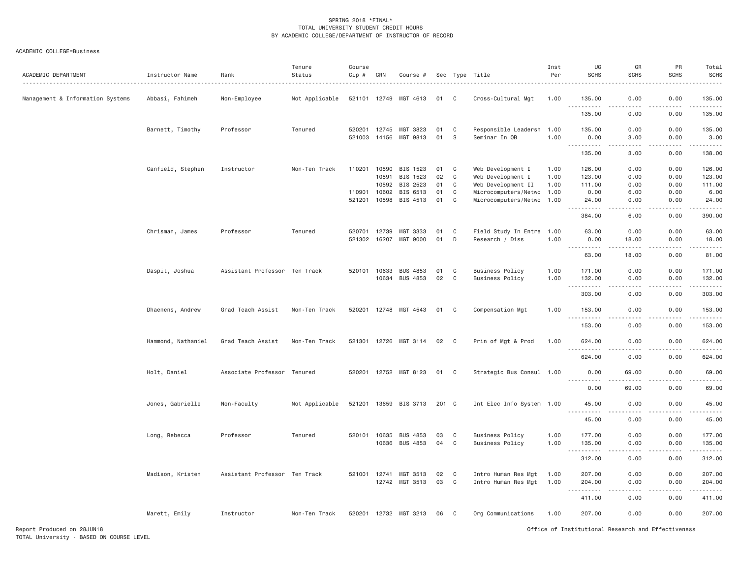| ACADEMIC DEPARTMENT              | Instructor Name    | Rank                          | Tenure<br>Status | Course<br>Cip #  | CRN            | Course #              |          |                | Sec Type Title                        | Inst<br>Per  | UG<br><b>SCHS</b>                   | GR<br><b>SCHS</b> | PR<br><b>SCHS</b> | Total<br><b>SCHS</b>         |
|----------------------------------|--------------------|-------------------------------|------------------|------------------|----------------|-----------------------|----------|----------------|---------------------------------------|--------------|-------------------------------------|-------------------|-------------------|------------------------------|
| Management & Information Systems | Abbasi, Fahimeh    | Non-Employee                  | Not Applicable   | 521101           | 12749          | MGT 4613              | 01       | C              | Cross-Cultural Mgt                    | 1.00         | 135.00                              | 0.00              | 0.00              | 135.00                       |
|                                  |                    |                               |                  |                  |                |                       |          |                |                                       |              | .<br>135.00                         | .<br>0.00         | 0.00              | المستبدات<br>135.00          |
|                                  | Barnett, Timothy   | Professor                     | Tenured          | 520201<br>521003 | 12745<br>14156 | MGT 3823<br>MGT 9813  | 01<br>01 | C<br>S         | Responsible Leadersh<br>Seminar In OB | 1.00<br>1.00 | 135.00<br>0.00                      | 0.00<br>3.00      | 0.00<br>0.00      | 135.00<br>3.00               |
|                                  |                    |                               |                  |                  |                |                       |          |                |                                       |              | . <b>.</b><br>$- - -$<br>135.00     | .<br>3.00         | .<br>0.00         | -----<br>138.00              |
|                                  | Canfield, Stephen  | Instructor                    | Non-Ten Track    | 110201           | 10590          | BIS 1523              | 01       | C              | Web Development I                     | 1.00         | 126.00                              | 0.00              | 0.00              | 126.00                       |
|                                  |                    |                               |                  |                  | 10591          | BIS 1523              | 02       | C              | Web Development I                     | 1.00         | 123.00                              | 0.00              | 0.00              | 123.00                       |
|                                  |                    |                               |                  |                  | 10592          | BIS 2523              | 01       | C              | Web Development II                    | 1.00         | 111.00                              | 0.00              | 0.00              | 111.00                       |
|                                  |                    |                               |                  | 110901           | 10602          | BIS 6513              | 01       | C              | Microcomputers/Netwo                  | 1.00         | 0.00                                | 6.00              | 0.00              | 6.00                         |
|                                  |                    |                               |                  | 521201           | 10598          | BIS 4513              | 01       | $\mathbb C$    | Microcomputers/Netwo 1.00             |              | 24.00<br>.                          | 0.00<br>.         | 0.00<br>.         | 24.00<br>.                   |
|                                  |                    |                               |                  |                  |                |                       |          |                |                                       |              | 384.00                              | 6.00              | 0.00              | 390.00                       |
|                                  | Chrisman, James    | Professor                     | Tenured          | 520701           | 12739          | MGT 3333              | 01       | C              | Field Study In Entre 1.00             |              | 63.00                               | 0.00              | 0.00              | 63.00                        |
|                                  |                    |                               |                  | 521302           | 16207          | MGT 9000              | 01       | D              | Research / Diss                       | 1.00         | 0.00                                | 18.00             | 0.00              | 18.00                        |
|                                  |                    |                               |                  |                  |                |                       |          |                |                                       |              | 63.00                               | 18.00             | 0.00              | 81.00                        |
|                                  | Daspit, Joshua     | Assistant Professor Ten Track |                  | 520101           | 10633          | <b>BUS 4853</b>       | 01       | C              | <b>Business Policy</b>                | 1.00         | 171.00                              | 0.00              | 0.00              | 171.00                       |
|                                  |                    |                               |                  |                  | 10634          | <b>BUS 4853</b>       | 02       | $\mathbf{C}$   | <b>Business Policy</b>                | 1.00         | 132.00<br><u>.</u>                  | 0.00<br>.         | 0.00<br>.         | 132.00<br>.                  |
|                                  |                    |                               |                  |                  |                |                       |          |                |                                       |              | 303.00                              | 0.00              | 0.00              | 303.00                       |
|                                  | Dhaenens, Andrew   | Grad Teach Assist             | Non-Ten Track    | 520201           |                | 12748 MGT 4543        | 01       | C              | Compensation Mgt                      | 1.00         | 153.00<br>.                         | 0.00<br>$- - - -$ | 0.00<br>.         | 153.00<br>2.22222            |
|                                  |                    |                               |                  |                  |                |                       |          |                |                                       |              | 153.00                              | 0.00              | 0.00              | 153.00                       |
|                                  | Hammond, Nathaniel | Grad Teach Assist             | Non-Ten Track    | 521301           | 12726          | MGT 3114              | 02       | C <sub>c</sub> | Prin of Mgt & Prod                    | 1.00         | 624.00                              | 0.00              | 0.00              | 624.00                       |
|                                  |                    |                               |                  |                  |                |                       |          |                |                                       |              | $\sim$ $\sim$ $\sim$<br>.<br>624.00 | - - -<br>0.00     | .<br>0.00         | .<br>624.00                  |
|                                  | Holt, Daniel       | Associate Professor Tenured   |                  | 520201           |                | 12752 MGT 8123        | 01       | $\mathbf{C}$   | Strategic Bus Consul 1.00             |              | 0.00                                | 69.00             | 0.00              | 69.00                        |
|                                  |                    |                               |                  |                  |                |                       |          |                |                                       |              | .<br>0.00                           | 69.00             | .<br>0.00         | 69.00                        |
|                                  | Jones, Gabrielle   | Non-Faculty                   | Not Applicable   |                  |                | 521201 13659 BIS 3713 | 201 C    |                | Int Elec Info System 1.00             |              | 45.00                               | 0.00              | 0.00              | 45.00                        |
|                                  |                    |                               |                  |                  |                |                       |          |                |                                       |              | .<br>45.00                          | $\cdots$<br>0.00  | .<br>0.00         | .<br>45.00                   |
|                                  | Long, Rebecca      | Professor                     | Tenured          | 520101           | 10635          | <b>BUS 4853</b>       | 03       | C              | <b>Business Policy</b>                | 1.00         | 177.00                              | 0.00              | 0.00              | 177.00                       |
|                                  |                    |                               |                  |                  | 10636          | <b>BUS 4853</b>       | 04       | C              | <b>Business Policy</b>                | 1.00         | 135.00                              | 0.00              | 0.00              | 135.00                       |
|                                  |                    |                               |                  |                  |                |                       |          |                |                                       |              | <u>.</u><br>312.00                  | .<br>0.00         | .<br>0.00         | والمستحدث والمنافذ<br>312.00 |
|                                  | Madison, Kristen   | Assistant Professor Ten Track |                  | 521001           | 12741          | MGT 3513              | 02       | C              | Intro Human Res Mgt                   | 1.00         | 207.00                              | 0.00              | 0.00              | 207.00                       |
|                                  |                    |                               |                  |                  |                | 12742 MGT 3513        | 03       | C              | Intro Human Res Mgt                   | 1.00         | 204.00                              | 0.00              | 0.00              | 204.00                       |
|                                  |                    |                               |                  |                  |                |                       |          |                |                                       |              | 411.00                              | 0.00              | 0.00              | 411.00                       |
|                                  | Marett, Emily      | Instructor                    | Non-Ten Track    | 520201           |                | 12732 MGT 3213        | 06       | C <sub>1</sub> | Org Communications                    | 1.00         | 207.00                              | 0.00              | 0.00              | 207.00                       |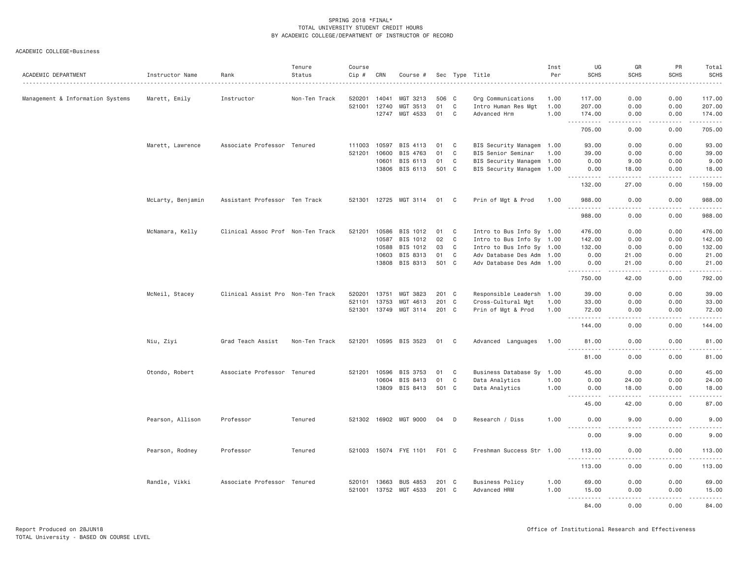| ACADEMIC DEPARTMENT              | Instructor Name   | Rank                              | Tenure<br>Status | Course<br>Cip # | CRN   | Course #              |       |              | Sec Type Title            | Inst<br>Per | UG<br><b>SCHS</b>                   | GR<br><b>SCHS</b>                                                                                                                                             | PR<br><b>SCHS</b>                                                                                                                                                                       | Total<br><b>SCHS</b>                                                                                                                                          |
|----------------------------------|-------------------|-----------------------------------|------------------|-----------------|-------|-----------------------|-------|--------------|---------------------------|-------------|-------------------------------------|---------------------------------------------------------------------------------------------------------------------------------------------------------------|-----------------------------------------------------------------------------------------------------------------------------------------------------------------------------------------|---------------------------------------------------------------------------------------------------------------------------------------------------------------|
| Management & Information Systems | Marett, Emily     | Instructor                        | Non-Ten Track    | 520201          | 14041 | MGT 3213              | 506 C |              | Org Communications        | 1.00        | 117.00                              | 0.00                                                                                                                                                          | 0.00                                                                                                                                                                                    | 117.00                                                                                                                                                        |
|                                  |                   |                                   |                  | 521001          | 12740 | MGT 3513              | 01    | $\mathbf C$  | Intro Human Res Mgt       | 1.00        | 207.00                              | 0.00                                                                                                                                                          | 0.00                                                                                                                                                                                    | 207.00                                                                                                                                                        |
|                                  |                   |                                   |                  |                 | 12747 | MGT 4533              | 01    | C            | Advanced Hrm              | 1.00        | 174.00                              | 0.00                                                                                                                                                          | 0.00                                                                                                                                                                                    | 174.00                                                                                                                                                        |
|                                  |                   |                                   |                  |                 |       |                       |       |              |                           |             | .<br>$\sim$ $\sim$ $\sim$<br>705.00 | .<br>0.00                                                                                                                                                     | $2 - 2 - 2 - 2$<br>0.00                                                                                                                                                                 | .<br>705.00                                                                                                                                                   |
|                                  | Marett, Lawrence  | Associate Professor Tenured       |                  | 111003          | 10597 | BIS 4113              | 01    | C            | BIS Security Managem 1.00 |             | 93.00                               | 0.00                                                                                                                                                          | 0.00                                                                                                                                                                                    | 93.00                                                                                                                                                         |
|                                  |                   |                                   |                  | 521201          | 10600 | BIS 4763              | 01    | C            | BIS Senior Seminar        | 1.00        | 39.00                               | 0.00                                                                                                                                                          | 0.00                                                                                                                                                                                    | 39.00                                                                                                                                                         |
|                                  |                   |                                   |                  |                 | 10601 | BIS 6113              | 01    | C            | BIS Security Managem 1.00 |             | 0.00                                | 9.00                                                                                                                                                          | 0.00                                                                                                                                                                                    | 9.00                                                                                                                                                          |
|                                  |                   |                                   |                  |                 |       | 13806 BIS 6113        | 501 C |              | BIS Security Managem 1.00 |             | 0.00<br><u>.</u>                    | 18.00<br>$- - - -$                                                                                                                                            | 0.00                                                                                                                                                                                    | 18.00<br>.                                                                                                                                                    |
|                                  |                   |                                   |                  |                 |       |                       |       |              |                           |             | 132.00                              | 27.00                                                                                                                                                         | 0.00                                                                                                                                                                                    | 159.00                                                                                                                                                        |
|                                  | McLarty, Benjamin | Assistant Professor Ten Track     |                  |                 |       | 521301 12725 MGT 3114 | 01    | $\mathbf{C}$ | Prin of Mgt & Prod        | 1.00        | 988.00<br>$- - - - - - -$           | 0.00<br>$- - - -$                                                                                                                                             | 0.00<br>.                                                                                                                                                                               | 988.00<br>$- - - - - -$                                                                                                                                       |
|                                  |                   |                                   |                  |                 |       |                       |       |              |                           |             | 988.00                              | 0.00                                                                                                                                                          | 0.00                                                                                                                                                                                    | 988.00                                                                                                                                                        |
|                                  | McNamara, Kelly   | Clinical Assoc Prof Non-Ten Track |                  | 521201          | 10586 | BIS 1012              | 01    | C            | Intro to Bus Info Sy 1.00 |             | 476.00                              | 0.00                                                                                                                                                          | 0.00                                                                                                                                                                                    | 476.00                                                                                                                                                        |
|                                  |                   |                                   |                  |                 | 10587 | BIS 1012              | 02    | C            | Intro to Bus Info Sy 1.00 |             | 142.00                              | 0.00                                                                                                                                                          | 0.00                                                                                                                                                                                    | 142.00                                                                                                                                                        |
|                                  |                   |                                   |                  |                 | 10588 | BIS 1012              | 03    | C            | Intro to Bus Info Sy 1.00 |             | 132.00                              | 0.00                                                                                                                                                          | 0.00                                                                                                                                                                                    | 132.00                                                                                                                                                        |
|                                  |                   |                                   |                  |                 | 10603 | BIS 8313              | 01    | $\mathbf C$  | Adv Database Des Adm 1.00 |             | 0.00                                | 21.00                                                                                                                                                         | 0.00                                                                                                                                                                                    | 21.00                                                                                                                                                         |
|                                  |                   |                                   |                  |                 |       | 13808 BIS 8313        | 501 C |              | Adv Database Des Adm 1.00 |             | 0.00<br>.                           | 21.00<br>$\frac{1}{2} \left( \frac{1}{2} \right) \left( \frac{1}{2} \right) \left( \frac{1}{2} \right) \left( \frac{1}{2} \right) \left( \frac{1}{2} \right)$ | 0.00<br>.                                                                                                                                                                               | 21.00<br>$\frac{1}{2} \left( \frac{1}{2} \right) \left( \frac{1}{2} \right) \left( \frac{1}{2} \right) \left( \frac{1}{2} \right) \left( \frac{1}{2} \right)$ |
|                                  |                   |                                   |                  |                 |       |                       |       |              |                           |             | 750.00                              | 42.00                                                                                                                                                         | 0.00                                                                                                                                                                                    | 792.00                                                                                                                                                        |
|                                  | McNeil, Stacey    | Clinical Assist Pro Non-Ten Track |                  | 520201          | 13751 | MGT 3823              | 201 C |              | Responsible Leadersh 1.00 |             | 39.00                               | 0.00                                                                                                                                                          | 0.00                                                                                                                                                                                    | 39.00                                                                                                                                                         |
|                                  |                   |                                   |                  | 521101          | 13753 | MGT 4613              | 201 C |              | Cross-Cultural Mgt        | 1.00        | 33.00                               | 0.00                                                                                                                                                          | 0.00                                                                                                                                                                                    | 33.00                                                                                                                                                         |
|                                  |                   |                                   |                  |                 |       | 521301 13749 MGT 3114 | 201 C |              | Prin of Mgt & Prod        | 1.00        | 72.00<br>$\sim$ $\sim$ $\sim$       | 0.00<br>.                                                                                                                                                     | 0.00<br>$\frac{1}{2} \left( \frac{1}{2} \right) \left( \frac{1}{2} \right) \left( \frac{1}{2} \right) \left( \frac{1}{2} \right) \left( \frac{1}{2} \right) \left( \frac{1}{2} \right)$ | 72.00                                                                                                                                                         |
|                                  |                   |                                   |                  |                 |       |                       |       |              |                           |             | 144.00                              | 0.00                                                                                                                                                          | 0.00                                                                                                                                                                                    | 144.00                                                                                                                                                        |
|                                  | Niu, Ziyi         | Grad Teach Assist                 | Non-Ten Track    |                 |       | 521201 10595 BIS 3523 | 01    | C.           | Advanced Languages        | 1.00        | 81.00<br>.                          | 0.00<br>$\sim$ $\sim$ $\sim$ $\sim$                                                                                                                           | 0.00<br>.                                                                                                                                                                               | 81.00<br>.                                                                                                                                                    |
|                                  |                   |                                   |                  |                 |       |                       |       |              |                           |             | 81.00                               | 0.00                                                                                                                                                          | 0.00                                                                                                                                                                                    | 81.00                                                                                                                                                         |
|                                  | Otondo, Robert    | Associate Professor Tenured       |                  | 521201          | 10596 | BIS 3753              | 01    | C            | Business Database Sy      | 1.00        | 45.00                               | 0.00                                                                                                                                                          | 0.00                                                                                                                                                                                    | 45.00                                                                                                                                                         |
|                                  |                   |                                   |                  |                 |       | 10604 BIS 8413        | 01    | C            | Data Analytics            | 1.00        | 0.00                                | 24.00                                                                                                                                                         | 0.00                                                                                                                                                                                    | 24.00                                                                                                                                                         |
|                                  |                   |                                   |                  |                 |       | 13809 BIS 8413        | 501 C |              | Data Analytics            | 1.00        | 0.00<br>.                           | 18.00<br><u>.</u>                                                                                                                                             | 0.00<br>.                                                                                                                                                                               | 18.00<br>.                                                                                                                                                    |
|                                  |                   |                                   |                  |                 |       |                       |       |              |                           |             | 45.00                               | 42.00                                                                                                                                                         | 0.00                                                                                                                                                                                    | 87.00                                                                                                                                                         |
|                                  | Pearson, Allison  | Professor                         | Tenured          |                 |       | 521302 16902 MGT 9000 | 04    | D            | Research / Diss           | 1.00        | 0.00<br>.                           | 9.00<br>.                                                                                                                                                     | 0.00<br>$- - - - -$                                                                                                                                                                     | 9.00<br>.                                                                                                                                                     |
|                                  |                   |                                   |                  |                 |       |                       |       |              |                           |             | 0.00                                | 9.00                                                                                                                                                          | 0.00                                                                                                                                                                                    | 9.00                                                                                                                                                          |
|                                  | Pearson, Rodney   | Professor                         | Tenured          |                 |       | 521003 15074 FYE 1101 | F01 C |              | Freshman Success Str 1.00 |             | 113.00                              | 0.00                                                                                                                                                          | 0.00                                                                                                                                                                                    | 113.00                                                                                                                                                        |
|                                  |                   |                                   |                  |                 |       |                       |       |              |                           |             | .<br>$- - -$<br>113.00              | 0.00                                                                                                                                                          | .<br>0.00                                                                                                                                                                               | 113.00                                                                                                                                                        |
|                                  | Randle, Vikki     | Associate Professor Tenured       |                  | 520101          | 13663 | <b>BUS 4853</b>       | 201 C |              | <b>Business Policy</b>    | 1.00        | 69.00                               | 0.00                                                                                                                                                          | 0.00                                                                                                                                                                                    | 69.00                                                                                                                                                         |
|                                  |                   |                                   |                  |                 |       | 521001 13752 MGT 4533 | 201 C |              | Advanced HRM              | 1.00        | 15.00                               | 0.00                                                                                                                                                          | 0.00                                                                                                                                                                                    | 15.00                                                                                                                                                         |
|                                  |                   |                                   |                  |                 |       |                       |       |              |                           |             | .<br>84.00                          | $\frac{1}{2} \left( \frac{1}{2} \right) \left( \frac{1}{2} \right) \left( \frac{1}{2} \right) \left( \frac{1}{2} \right)$<br>0.00                             | .<br>0.00                                                                                                                                                                               | .<br>84.00                                                                                                                                                    |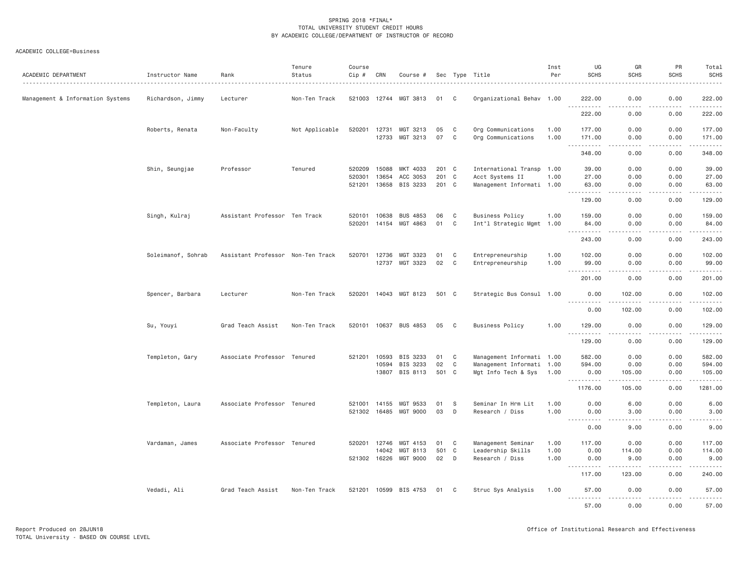| ACADEMIC DEPARTMENT              | Instructor Name    | Rank                              | Tenure<br>Status | Course<br>Cip #              | CRN            | Course #                          |              |         | Sec Type Title<br>.                                    | Inst<br>Per  | UG<br><b>SCHS</b>                          | GR<br><b>SCHS</b>                   | PR<br><b>SCHS</b>                   | Total<br><b>SCHS</b>                                                                                                                                                                      |
|----------------------------------|--------------------|-----------------------------------|------------------|------------------------------|----------------|-----------------------------------|--------------|---------|--------------------------------------------------------|--------------|--------------------------------------------|-------------------------------------|-------------------------------------|-------------------------------------------------------------------------------------------------------------------------------------------------------------------------------------------|
| Management & Information Systems | Richardson, Jimmy  | Lecturer                          | Non-Ten Track    |                              |                | 521003 12744 MGT 3813             | 01           | C       | Organizational Behav 1.00                              |              | 222.00                                     | 0.00                                | 0.00                                | 222.00                                                                                                                                                                                    |
|                                  |                    |                                   |                  |                              |                |                                   |              |         |                                                        |              | <u>.</u><br>222.00                         | .<br>0.00                           | .<br>0.00                           | .<br>222.00                                                                                                                                                                               |
|                                  | Roberts, Renata    | Non-Faculty                       | Not Applicable   | 520201 12731                 | 12733          | MGT 3213<br>MGT 3213              | 05<br>07     | C.<br>C | Org Communications<br>Org Communications               | 1.00<br>1.00 | 177.00<br>171.00                           | 0.00<br>0.00                        | 0.00<br>0.00                        | 177.00<br>171.00                                                                                                                                                                          |
|                                  |                    |                                   |                  |                              |                |                                   |              |         |                                                        |              | .<br>$\sim$ $\sim$ $\sim$<br>348.00        | $\sim$ $\sim$ $\sim$<br>0.00        | .<br>0.00                           | 2.2.2.2.2.4<br>348.00                                                                                                                                                                     |
|                                  | Shin, Seungjae     | Professor                         | Tenured          | 520209<br>520301             | 15088<br>13654 | MKT 4033<br>ACC 3053              | 201 C<br>201 | C       | International Transp 1.00<br>Acct Systems II           | 1.00         | 39.00<br>27.00                             | 0.00<br>0.00                        | 0.00<br>0.00                        | 39.00<br>27.00                                                                                                                                                                            |
|                                  |                    |                                   |                  | 521201                       | 13658          | BIS 3233                          | 201 C        |         | Management Informati 1.00                              |              | 63.00<br>.<br>$\sim$ $\sim$ $\sim$         | 0.00<br>.                           | 0.00<br>. <b>.</b>                  | 63.00<br>------                                                                                                                                                                           |
|                                  |                    |                                   |                  |                              |                |                                   |              |         |                                                        |              | 129.00                                     | 0.00                                | 0.00                                | 129.00                                                                                                                                                                                    |
|                                  | Singh, Kulraj      | Assistant Professor Ten Track     |                  | 520101<br>520201             | 10638          | <b>BUS 4853</b><br>14154 MGT 4863 | 06<br>01     | C<br>C  | <b>Business Policy</b><br>Int"l Strategic Mgmt 1.00    | 1.00         | 159.00<br>84.00                            | 0.00<br>0.00                        | 0.00<br>0.00                        | 159.00<br>84.00                                                                                                                                                                           |
|                                  |                    |                                   |                  |                              |                |                                   |              |         |                                                        |              | $\sim$ $\sim$ $\sim$ $\sim$<br>.<br>243.00 | .<br>0.00                           | .<br>0.00                           | .<br>243.00                                                                                                                                                                               |
|                                  | Soleimanof, Sohrab | Assistant Professor Non-Ten Track |                  | 520701                       | 12736<br>12737 | MGT 3323<br>MGT 3323              | 01<br>02     | C<br>C  | Entrepreneurship<br>Entrepreneurship                   | 1.00<br>1.00 | 102.00<br>99.00                            | 0.00<br>0.00                        | 0.00<br>0.00                        | 102.00<br>99.00                                                                                                                                                                           |
|                                  |                    |                                   |                  |                              |                |                                   |              |         |                                                        |              | .<br>$\sim$ $\sim$ $\sim$ $\sim$<br>201.00 | $\sim$ $\sim$ $\sim$ $\sim$<br>0.00 | .<br>0.00                           | $\frac{1}{2} \left( \frac{1}{2} \right) \left( \frac{1}{2} \right) \left( \frac{1}{2} \right) \left( \frac{1}{2} \right) \left( \frac{1}{2} \right) \left( \frac{1}{2} \right)$<br>201.00 |
|                                  | Spencer, Barbara   | Lecturer                          | Non-Ten Track    |                              |                | 520201 14043 MGT 8123             | 501 C        |         | Strategic Bus Consul 1.00                              |              | 0.00                                       | 102.00                              | 0.00                                | 102.00                                                                                                                                                                                    |
|                                  |                    |                                   |                  |                              |                |                                   |              |         |                                                        |              | .<br>0.00                                  | .<br>102.00                         | .<br>0.00                           | . <u>.</u><br>102.00                                                                                                                                                                      |
|                                  | Su, Youyi          | Grad Teach Assist                 | Non-Ten Track    |                              |                | 520101 10637 BUS 4853             | 05           | C       | <b>Business Policy</b>                                 | 1.00         | 129.00<br>.                                | 0.00<br>.                           | 0.00<br>.                           | 129.00<br>.                                                                                                                                                                               |
|                                  |                    |                                   |                  |                              |                |                                   |              |         |                                                        |              | 129.00                                     | 0.00                                | 0.00                                | 129.00                                                                                                                                                                                    |
|                                  | Templeton, Gary    | Associate Professor Tenured       |                  | 521201                       | 10593<br>10594 | BIS 3233<br>BIS 3233              | 01<br>02     | C<br>C  | Management Informati 1.00<br>Management Informati 1.00 |              | 582.00<br>594.00                           | 0.00<br>0.00                        | 0.00<br>0.00                        | 582.00<br>594.00                                                                                                                                                                          |
|                                  |                    |                                   |                  |                              |                | 13807 BIS 8113                    | 501 C        |         | Mgt Info Tech & Sys 1.00                               |              | 0.00<br>.                                  | 105.00<br>.                         | 0.00                                | 105.00<br>.                                                                                                                                                                               |
|                                  |                    |                                   |                  |                              |                |                                   |              |         |                                                        |              | 1176.00                                    | 105.00                              | 0.00                                | 1281.00                                                                                                                                                                                   |
|                                  | Templeton, Laura   | Associate Professor Tenured       |                  | 521001 14155<br>521302 16485 |                | MGT 9533<br>MGT 9000              | 01<br>03     | -S<br>D | Seminar In Hrm Lit<br>Research / Diss                  | 1.00<br>1,00 | 0.00<br>0.00                               | 6.00<br>3,00                        | 0.00<br>0.00                        | 6.00<br>3.00                                                                                                                                                                              |
|                                  |                    |                                   |                  |                              |                |                                   |              |         |                                                        |              | <b><i><u>AAAAAAAAA</u></i></b><br>0.00     | .<br>9.00                           | .<br>0.00                           | $\sim$ $\sim$ $\sim$ $\sim$ $\sim$<br>9.00                                                                                                                                                |
|                                  | Vardaman, James    | Associate Professor Tenured       |                  | 520201                       | 12746          | MGT 4153                          | 01           | C       | Management Seminar                                     | 1.00         | 117.00                                     | 0.00                                | 0.00                                | 117.00                                                                                                                                                                                    |
|                                  |                    |                                   |                  | 521302 16226                 | 14042          | MGT 8113<br>MGT 9000              | 501<br>02    | C<br>D  | Leadership Skills<br>Research / Diss                   | 1.00<br>1.00 | 0.00<br>0.00                               | 114.00<br>9.00                      | 0.00<br>0.00                        | 114.00<br>9.00                                                                                                                                                                            |
|                                  |                    |                                   |                  |                              |                |                                   |              |         |                                                        |              | $\frac{1}{2}$<br>117.00                    | -----<br>123.00                     | .<br>0.00                           | .<br>240.00                                                                                                                                                                               |
|                                  | Vedadi, Ali        | Grad Teach Assist                 | Non-Ten Track    | 521201 10599                 |                | BIS 4753                          | 01           | C       | Struc Sys Analysis                                     | 1.00         | 57.00                                      | 0.00                                | 0.00                                | 57.00                                                                                                                                                                                     |
|                                  |                    |                                   |                  |                              |                |                                   |              |         |                                                        |              | .<br><u>.</u><br>57.00                     | .<br>0.00                           | $\sim$ $\sim$ $\sim$ $\sim$<br>0.00 | .<br>57.00                                                                                                                                                                                |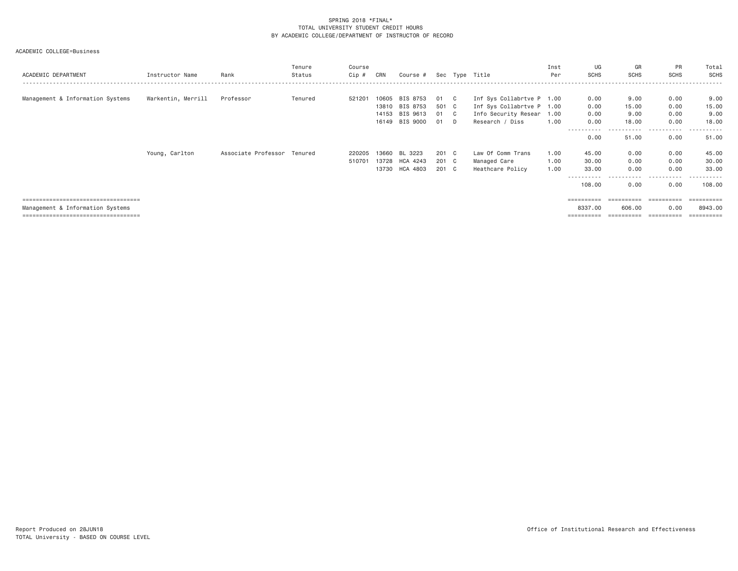ACADEMIC COLLEGE=Business

| ACADEMIC DEPARTMENT                                                                                               | Instructor Name    | Rank                        | Tenure<br>Status | Course<br>$Cip$ # | CRN                              | Course #                                     |                             |   | Sec Type Title                                                                                    | Inst<br>Per  | UG<br><b>SCHS</b>                              | GR<br><b>SCHS</b>                   | PR<br><b>SCHS</b>                                 | Total<br>SCHS                       |
|-------------------------------------------------------------------------------------------------------------------|--------------------|-----------------------------|------------------|-------------------|----------------------------------|----------------------------------------------|-----------------------------|---|---------------------------------------------------------------------------------------------------|--------------|------------------------------------------------|-------------------------------------|---------------------------------------------------|-------------------------------------|
| Management & Information Systems                                                                                  | Warkentin, Merrill | Professor                   | Tenured          | 521201            | 10605<br>13810<br>14153<br>16149 | BIS 8753<br>BIS 8753<br>BIS 9613<br>BIS 9000 | 01 C<br>501 C<br>01 C<br>01 | D | Inf Sys Collabrtve P 1.00<br>Inf Sys Collabrtve P 1.00<br>Info Security Resear<br>Research / Diss | 1.00<br>1,00 | 0.00<br>0.00<br>0.00<br>0.00<br>.              | 9.00<br>15.00<br>9.00<br>18.00<br>. | 0.00<br>0.00<br>0.00<br>0.00<br>$- - -$<br>------ | 9.00<br>15.00<br>9.00<br>18.00<br>. |
|                                                                                                                   | Young, Carlton     | Associate Professor Tenured |                  | 220205<br>510701  | 13660<br>13728                   | BL 3223<br>HCA 4243                          | 201 C<br>201 C              |   | Law Of Comm Trans<br>Managed Care                                                                 | 1,00<br>1.00 | 0.00<br>45.00<br>30.00                         | 51.00<br>0.00<br>0.00               | 0.00<br>0.00<br>0.00                              | 51.00<br>45.00<br>30.00             |
|                                                                                                                   |                    |                             |                  |                   |                                  | 13730 HCA 4803                               | 201 C                       |   | Heathcare Policy                                                                                  | 1.00         | 33.00<br>108.00                                | 0.00<br>- - - - -<br>0.00           | 0.00<br>-----<br>------<br>0.00                   | 33.00<br>108.00                     |
| ====================================<br>Management & Information Systems<br>===================================== |                    |                             |                  |                   |                                  |                                              |                             |   |                                                                                                   |              | $=$ = = = = = = = = =<br>8337.00<br>========== | ==========<br>606.00<br>==========  | ==========<br>0.00<br>==========                  | =======<br>8943,00                  |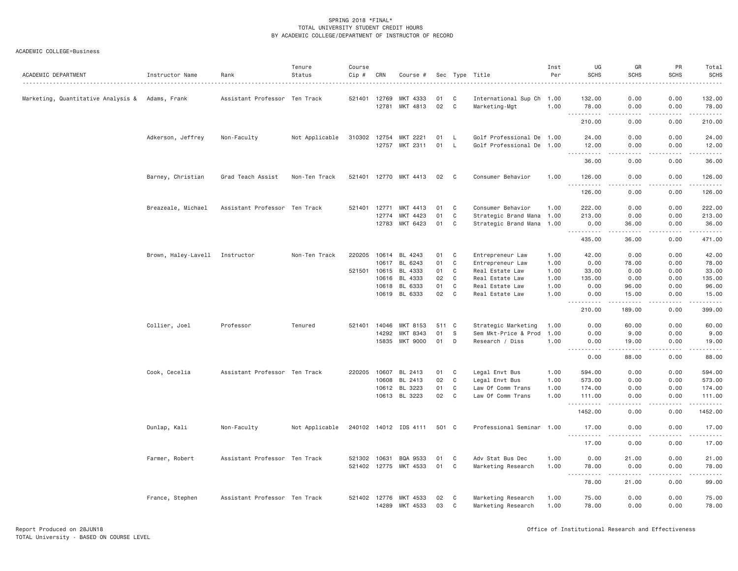ACADEMIC COLLEGE=Business

| ACADEMIC DEPARTMENT                | Instructor Name                | Rank                          | Tenure<br>Status | Course<br>Cip # | CRN   | Course #              |          |        | Sec Type Title                           | Inst<br>Per  | UG<br><b>SCHS</b>                            | GR<br><b>SCHS</b>                                                                                                                                              | PR<br><b>SCHS</b>              | Total<br><b>SCHS</b>                                                                                                 |
|------------------------------------|--------------------------------|-------------------------------|------------------|-----------------|-------|-----------------------|----------|--------|------------------------------------------|--------------|----------------------------------------------|----------------------------------------------------------------------------------------------------------------------------------------------------------------|--------------------------------|----------------------------------------------------------------------------------------------------------------------|
| Marketing, Quantitative Analysis & | Adams, Frank                   | Assistant Professor Ten Track |                  | 521401          | 12769 | MKT 4333              | 01       | C      | International Sup Ch 1.00                |              | 132.00                                       | 0.00                                                                                                                                                           | 0.00                           | 132.00                                                                                                               |
|                                    |                                |                               |                  |                 | 12781 | MKT 4813              | 02       | C      | Marketing-Mgt                            | 1.00         | 78.00<br>$\sim$ $\sim$ $\sim$<br>.           | 0.00<br>$\sim$ $\sim$ $\sim$ $\sim$                                                                                                                            | 0.00<br><b><i><u>.</u></i></b> | 78.00<br>$\begin{array}{cccccccccc} \bullet & \bullet & \bullet & \bullet & \bullet & \bullet & \bullet \end{array}$ |
|                                    |                                |                               |                  |                 |       |                       |          |        |                                          |              | 210.00                                       | 0.00                                                                                                                                                           | 0.00                           | 210.00                                                                                                               |
|                                    | Adkerson, Jeffrey              | Non-Faculty                   | Not Applicable   | 310302          | 12754 | MKT 2221              | 01       | L.     | Golf Professional De 1.00                |              | 24.00                                        | 0.00                                                                                                                                                           | 0.00                           | 24.00                                                                                                                |
|                                    |                                |                               |                  |                 | 12757 | MKT 2311              | 01       | L      | Golf Professional De 1.00                |              | 12.00<br>.                                   | 0.00                                                                                                                                                           | 0.00                           | 12.00<br>.                                                                                                           |
|                                    |                                |                               |                  |                 |       |                       |          |        |                                          |              | 36.00                                        | 0.00                                                                                                                                                           | 0.00                           | 36.00                                                                                                                |
|                                    | Barney, Christian              | Grad Teach Assist             | Non-Ten Track    | 521401 12770    |       | MKT 4413              | 02       | C      | Consumer Behavior                        | 1.00         | 126.00                                       | 0.00                                                                                                                                                           | 0.00                           | 126.00                                                                                                               |
|                                    |                                |                               |                  |                 |       |                       |          |        |                                          |              | 126.00                                       | 0.00                                                                                                                                                           | 0.00                           | 126.00                                                                                                               |
|                                    | Breazeale, Michael             | Assistant Professor Ten Track |                  | 521401          | 12771 | MKT 4413              | 01       | C      | Consumer Behavior                        | 1.00         | 222.00                                       | 0.00                                                                                                                                                           | 0.00                           | 222.00                                                                                                               |
|                                    |                                |                               |                  |                 | 12774 | MKT 4423              | 01       | C      | Strategic Brand Mana 1.00                |              | 213.00                                       | 0.00                                                                                                                                                           | 0.00                           | 213.00                                                                                                               |
|                                    |                                |                               |                  |                 | 12783 | MKT 6423              | 01       | C      | Strategic Brand Mana 1.00                |              | 0.00<br><u>.</u>                             | 36.00<br>.                                                                                                                                                     | 0.00<br>$- - - - -$            | 36.00<br>.                                                                                                           |
|                                    |                                |                               |                  |                 |       |                       |          |        |                                          |              | 435.00                                       | 36.00                                                                                                                                                          | 0.00                           | 471.00                                                                                                               |
|                                    | Brown, Haley-Lavell Instructor |                               | Non-Ten Track    | 220205          | 10614 | BL 4243               | 01       | C      | Entrepreneur Law                         | 1.00         | 42.00                                        | 0.00                                                                                                                                                           | 0.00                           | 42.00                                                                                                                |
|                                    |                                |                               |                  |                 | 10617 | BL 6243               | 01       | C      | Entrepreneur Law                         | 1.00         | 0.00                                         | 78.00                                                                                                                                                          | 0.00                           | 78.00                                                                                                                |
|                                    |                                |                               |                  | 521501          |       | 10615 BL 4333         | 01       | C      | Real Estate Law                          | 1.00         | 33.00                                        | 0.00                                                                                                                                                           | 0.00                           | 33.00                                                                                                                |
|                                    |                                |                               |                  |                 | 10616 | BL 4333               | 02       | C      | Real Estate Law                          | 1.00         | 135.00                                       | 0.00                                                                                                                                                           | 0.00                           | 135.00                                                                                                               |
|                                    |                                |                               |                  |                 | 10618 | BL 6333               | 01       | C      | Real Estate Law                          | 1.00         | 0.00                                         | 96.00                                                                                                                                                          | 0.00                           | 96.00                                                                                                                |
|                                    |                                |                               |                  |                 |       | 10619 BL 6333         | 02       | C      | Real Estate Law                          | 1.00         | 0.00                                         | 15.00                                                                                                                                                          | 0.00                           | 15.00                                                                                                                |
|                                    |                                |                               |                  |                 |       |                       |          |        |                                          |              | $- - -$<br>.<br>210.00                       | $\frac{1}{2} \left( \frac{1}{2} \right) \left( \frac{1}{2} \right) \left( \frac{1}{2} \right) \left( \frac{1}{2} \right) \left( \frac{1}{2} \right)$<br>189.00 | .<br>0.00                      | .<br>399.00                                                                                                          |
|                                    | Collier, Joel                  | Professor                     | Tenured          | 521401          | 14046 | MKT 8153              | 511      | C      | Strategic Marketing                      | 1.00         | 0.00                                         | 60.00                                                                                                                                                          | 0.00                           | 60.00                                                                                                                |
|                                    |                                |                               |                  |                 | 14292 | MKT 8343              | 01       | S      | Sem Mkt-Price & Prod                     | 1.00         | 0.00                                         | 9.00                                                                                                                                                           | 0.00                           | 9.00                                                                                                                 |
|                                    |                                |                               |                  |                 | 15835 | MKT 9000              | 01       | D      | Research / Diss                          | 1.00         | 0.00<br>$- - - - - -$<br>-----               | 19.00<br>$- - - - - -$                                                                                                                                         | 0.00<br>.                      | 19.00<br>.                                                                                                           |
|                                    |                                |                               |                  |                 |       |                       |          |        |                                          |              | 0.00                                         | 88.00                                                                                                                                                          | 0.00                           | 88.00                                                                                                                |
|                                    | Cook, Cecelia                  | Assistant Professor Ten Track |                  | 220205          | 10607 | BL 2413               | 01       | C      | Legal Envt Bus                           | 1.00         | 594.00                                       | 0.00                                                                                                                                                           | 0.00                           | 594.00                                                                                                               |
|                                    |                                |                               |                  |                 | 10608 | BL 2413               | 02       | C      | Legal Envt Bus                           | 1.00         | 573.00                                       | 0.00                                                                                                                                                           | 0.00                           | 573.00                                                                                                               |
|                                    |                                |                               |                  |                 |       | 10612 BL 3223         | 01       | C      | Law Of Comm Trans                        | 1.00         | 174.00                                       | 0.00                                                                                                                                                           | 0.00                           | 174.00                                                                                                               |
|                                    |                                |                               |                  |                 |       | 10613 BL 3223         | 02       | C      | Law Of Comm Trans                        | 1.00         | 111.00                                       | 0.00                                                                                                                                                           | 0.00                           | 111.00                                                                                                               |
|                                    |                                |                               |                  |                 |       |                       |          |        |                                          |              | 1452.00                                      | 0.00                                                                                                                                                           | 0.00                           | 1452.00                                                                                                              |
|                                    | Dunlap, Kali                   | Non-Faculty                   | Not Applicable   |                 |       | 240102 14012 IDS 4111 | 501 C    |        | Professional Seminar 1.00                |              | 17.00<br>.                                   | 0.00                                                                                                                                                           | 0.00                           | 17.00<br>.                                                                                                           |
|                                    |                                |                               |                  |                 |       |                       |          |        |                                          |              | 17.00                                        | 0.00                                                                                                                                                           | 0.00                           | 17.00                                                                                                                |
|                                    | Farmer, Robert                 | Assistant Professor Ten Track |                  | 521302          | 10631 | BQA 9533              | 01       | C      | Adv Stat Bus Dec                         | 1.00         | 0.00                                         | 21.00                                                                                                                                                          | 0.00                           | 21.00                                                                                                                |
|                                    |                                |                               |                  | 521402 12775    |       | MKT 4533              | 01       | C      | Marketing Research                       | 1.00         | 78.00<br>1.1.1.1.1.1<br>$\sim$ $\sim$ $\sim$ | 0.00<br>.                                                                                                                                                      | 0.00<br>2.2.2.2.2              | 78.00<br>.                                                                                                           |
|                                    |                                |                               |                  |                 |       |                       |          |        |                                          |              | 78.00                                        | 21.00                                                                                                                                                          | 0.00                           | 99.00                                                                                                                |
|                                    | France, Stephen                | Assistant Professor Ten Track |                  | 521402 12776    | 14289 | MKT 4533<br>MKT 4533  | 02<br>03 | C<br>C | Marketing Research<br>Marketing Research | 1.00<br>1.00 | 75.00<br>78.00                               | 0.00<br>0.00                                                                                                                                                   | 0.00<br>0.00                   | 75.00<br>78.00                                                                                                       |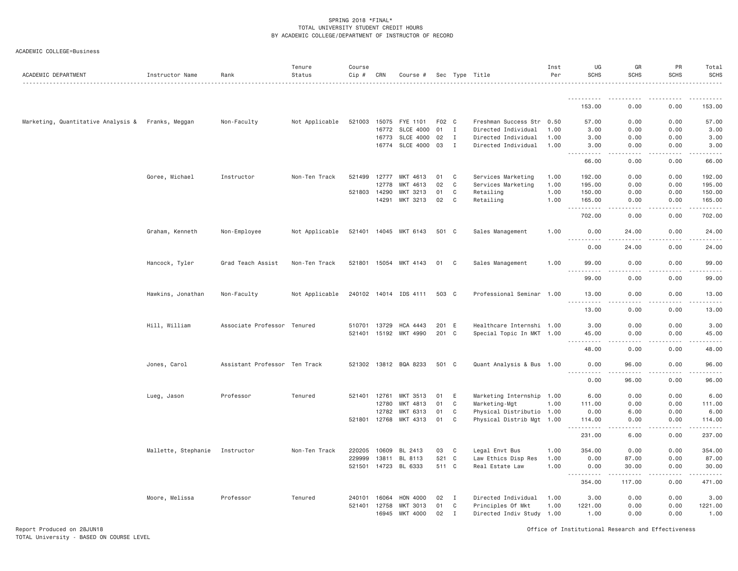|  | ACADEMIC COLLEGE=Business |
|--|---------------------------|
|--|---------------------------|

| ACADEMIC DEPARTMENT                               | Instructor Name     | Rank                          | Tenure<br>Status | Course<br>Cip # | CRN   | Course #              |       |              | Sec Type Title            | Inst<br>Per | UG<br><b>SCHS</b>                     | GR<br><b>SCHS</b>            | PR<br><b>SCHS</b> | Total<br><b>SCHS</b>                                                                                                                                           |
|---------------------------------------------------|---------------------|-------------------------------|------------------|-----------------|-------|-----------------------|-------|--------------|---------------------------|-------------|---------------------------------------|------------------------------|-------------------|----------------------------------------------------------------------------------------------------------------------------------------------------------------|
|                                                   |                     |                               |                  |                 |       |                       |       |              |                           |             |                                       |                              |                   |                                                                                                                                                                |
|                                                   |                     |                               |                  |                 |       |                       |       |              |                           |             | 153.00                                | 0.00                         | 0.00              | 153.00                                                                                                                                                         |
| Marketing, Quantitative Analysis & Franks, Meggan |                     | Non-Faculty                   | Not Applicable   | 521003          | 15075 | FYE 1101              | F02 C |              | Freshman Success Str 0.50 |             | 57.00                                 | 0.00                         | 0.00              | 57.00                                                                                                                                                          |
|                                                   |                     |                               |                  |                 | 16772 | <b>SLCE 4000</b>      | 01    | $\mathbf{I}$ | Directed Individual       | 1,00        | 3.00                                  | 0.00                         | 0.00              | 3.00                                                                                                                                                           |
|                                                   |                     |                               |                  |                 | 16773 | <b>SLCE 4000</b>      | 02    | $\mathbf{I}$ | Directed Individual       | 1.00        | 3.00                                  | 0.00                         | 0.00              | 3.00                                                                                                                                                           |
|                                                   |                     |                               |                  |                 | 16774 | <b>SLCE 4000</b>      | 03    | $\mathbf I$  | Directed Individual       | 1.00        | 3.00<br>الدامات بال                   | 0.00<br>.                    | 0.00              | 3.00                                                                                                                                                           |
|                                                   |                     |                               |                  |                 |       |                       |       |              |                           |             | 66.00                                 | 0.00                         | 0.00              | 66.00                                                                                                                                                          |
|                                                   | Goree, Michael      | Instructor                    | Non-Ten Track    | 521499          | 12777 | MKT 4613              | 01    | C            | Services Marketing        | 1.00        | 192.00                                | 0.00                         | 0.00              | 192.00                                                                                                                                                         |
|                                                   |                     |                               |                  |                 | 12778 | MKT 4613              | 02    | C            | Services Marketing        | 1.00        | 195.00                                | 0.00                         | 0.00              | 195.00                                                                                                                                                         |
|                                                   |                     |                               |                  | 521803 14290    |       | MKT 3213              | 01    | C            | Retailing                 | 1.00        | 150.00                                | 0.00                         | 0.00              | 150.00                                                                                                                                                         |
|                                                   |                     |                               |                  |                 | 14291 | MKT 3213              | 02    | C            | Retailing                 | 1.00        | 165.00<br>$\sim$ $\sim$ $\sim$<br>.   | 0.00<br>$- - -$              | 0.00<br>.         | 165.00<br>.                                                                                                                                                    |
|                                                   |                     |                               |                  |                 |       |                       |       |              |                           |             | 702.00                                | 0.00                         | 0.00              | 702.00                                                                                                                                                         |
|                                                   | Graham, Kenneth     | Non-Employee                  | Not Applicable   |                 |       | 521401 14045 MKT 6143 | 501 C |              | Sales Management          | 1,00        | 0.00<br><u>.</u>                      | 24,00                        | 0.00              | 24.00                                                                                                                                                          |
|                                                   |                     |                               |                  |                 |       |                       |       |              |                           |             | 0.00                                  | 24.00                        | 0.00              | 24.00                                                                                                                                                          |
|                                                   | Hancock, Tyler      | Grad Teach Assist             | Non-Ten Track    | 521801          |       | 15054 MKT 4143        | 01    | $\mathbf{C}$ | Sales Management          | 1.00        | 99.00                                 | 0.00                         | 0.00              | 99.00                                                                                                                                                          |
|                                                   |                     |                               |                  |                 |       |                       |       |              |                           |             | .<br>$- - - -$<br>99.00               | 0.00                         | 0.00              | 99.00                                                                                                                                                          |
|                                                   | Hawkins, Jonathan   | Non-Faculty                   | Not Applicable   |                 |       | 240102 14014 IDS 4111 | 503 C |              | Professional Seminar 1.00 |             | 13.00                                 | 0.00                         | 0.00              | 13.00                                                                                                                                                          |
|                                                   |                     |                               |                  |                 |       |                       |       |              |                           |             | $- - - - - - -$<br>13.00              | 0.00                         | 0.00              | $- - - - -$<br>13.00                                                                                                                                           |
|                                                   | Hill, William       | Associate Professor Tenured   |                  | 510701          | 13729 | HCA 4443              | 201 E |              | Healthcare Internshi 1.00 |             | 3.00                                  | 0.00                         | 0.00              | 3.00                                                                                                                                                           |
|                                                   |                     |                               |                  |                 |       | 521401 15192 MKT 4990 | 201 C |              | Special Topic In MKT 1.00 |             | 45.00                                 | 0.00                         | 0.00              | 45.00                                                                                                                                                          |
|                                                   |                     |                               |                  |                 |       |                       |       |              |                           |             | .                                     | .                            | .                 | .                                                                                                                                                              |
|                                                   |                     |                               |                  |                 |       |                       |       |              |                           |             | 48.00                                 | 0.00                         | 0.00              | 48.00                                                                                                                                                          |
|                                                   | Jones, Carol        | Assistant Professor Ten Track |                  |                 |       | 521302 13812 BQA 8233 | 501 C |              | Quant Analysis & Bus 1.00 |             | 0.00<br>.                             | 96.00<br>-----               | 0.00<br>.         | 96.00<br>.                                                                                                                                                     |
|                                                   |                     |                               |                  |                 |       |                       |       |              |                           |             | 0.00                                  | 96.00                        | 0.00              | 96.00                                                                                                                                                          |
|                                                   | Lueg, Jason         | Professor                     | Tenured          | 521401          | 12761 | MKT 3513              | 01    | E            | Marketing Internship 1.00 |             | 6.00                                  | 0.00                         | 0.00              | 6.00                                                                                                                                                           |
|                                                   |                     |                               |                  |                 | 12780 | MKT 4813              | 01    | C            | Marketing-Mgt             | 1.00        | 111.00                                | 0.00                         | 0.00              | 111.00                                                                                                                                                         |
|                                                   |                     |                               |                  |                 | 12782 | MKT 6313              | 01    | C            | Physical Distributio 1.00 |             | 0.00                                  | 6.00                         | 0.00              | 6.00                                                                                                                                                           |
|                                                   |                     |                               |                  | 521801 12768    |       | MKT 4313              | 01    | C            | Physical Distrib Mgt 1.00 |             | 114.00<br>.<br>$\sim$                 | 0.00<br>$\sim$ $\sim$ $\sim$ | 0.00<br>.         | 114.00<br>$\frac{1}{2} \left( \frac{1}{2} \right) \left( \frac{1}{2} \right) \left( \frac{1}{2} \right) \left( \frac{1}{2} \right) \left( \frac{1}{2} \right)$ |
|                                                   |                     |                               |                  |                 |       |                       |       |              |                           |             | 231.00                                | 6.00                         | 0.00              | 237.00                                                                                                                                                         |
|                                                   | Mallette, Stephanie | Instructor                    | Non-Ten Track    | 220205          | 10609 | BL 2413               | 03    | C            | Legal Envt Bus            | 1.00        | 354.00                                | 0.00                         | 0.00              | 354.00                                                                                                                                                         |
|                                                   |                     |                               |                  | 229999          | 13811 | BL 8113               | 521 C |              | Law Ethics Disp Res       | 1.00        | 0.00                                  | 87.00                        | 0.00              | 87.00                                                                                                                                                          |
|                                                   |                     |                               |                  | 521501          |       | 14723 BL 6333         | 511 C |              | Real Estate Law           | 1.00        | 0.00<br>$\sim$ $\sim$ $\sim$<br>----- | 30.00<br>.                   | 0.00              | 30.00                                                                                                                                                          |
|                                                   |                     |                               |                  |                 |       |                       |       |              |                           |             | 354.00                                | 117.00                       | 0.00              | 471.00                                                                                                                                                         |
|                                                   | Moore, Melissa      | Professor                     | Tenured          | 240101          | 16064 | HON 4000              | 02    | $\mathbf I$  | Directed Individual       | 1.00        | 3.00                                  | 0.00                         | 0.00              | 3.00                                                                                                                                                           |
|                                                   |                     |                               |                  | 521401          | 12758 | MKT 3013              | 01    | C            | Principles Of Mkt         | 1.00        | 1221.00                               | 0.00                         | 0.00              | 1221.00                                                                                                                                                        |
|                                                   |                     |                               |                  |                 | 16945 | MKT 4000              | 02    | $\mathbf{I}$ | Directed Indiv Study 1.00 |             | 1.00                                  | 0.00                         | 0.00              | 1.00                                                                                                                                                           |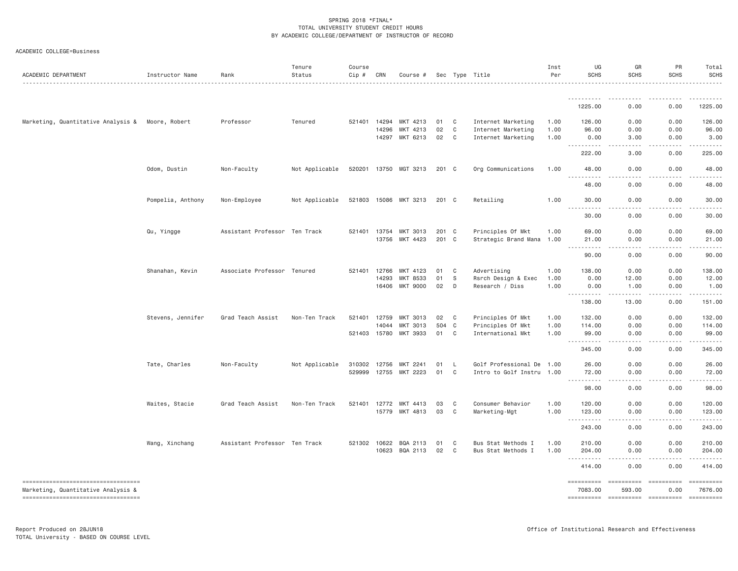|  | ACADEMIC COLLEGE=Business |
|--|---------------------------|
|--|---------------------------|

| ACADEMIC DEPARTMENT                                                      | Instructor Name   | Rank                          | Tenure<br>Status | Course<br>Cip # | CRN   | Course #              |           |              | Sec Type Title                         | Inst<br>Per  | UG<br><b>SCHS</b>                    | GR<br>SCHS               | PR<br><b>SCHS</b>     | Total<br>SCHS                                                                                                                                                                                                                                                                                                                                                                                                                                                                          |
|--------------------------------------------------------------------------|-------------------|-------------------------------|------------------|-----------------|-------|-----------------------|-----------|--------------|----------------------------------------|--------------|--------------------------------------|--------------------------|-----------------------|----------------------------------------------------------------------------------------------------------------------------------------------------------------------------------------------------------------------------------------------------------------------------------------------------------------------------------------------------------------------------------------------------------------------------------------------------------------------------------------|
|                                                                          |                   |                               |                  |                 |       |                       |           |              |                                        |              |                                      |                          |                       |                                                                                                                                                                                                                                                                                                                                                                                                                                                                                        |
|                                                                          |                   |                               |                  |                 |       |                       |           |              |                                        |              | 1225.00                              | 0.00                     | 0.00                  | 1225.00                                                                                                                                                                                                                                                                                                                                                                                                                                                                                |
| Marketing, Quantitative Analysis &                                       | Moore, Robert     | Professor                     | Tenured          | 521401          | 14294 | MKT 4213              | 01        | C            | Internet Marketing                     | 1.00         | 126.00                               | 0.00                     | 0.00                  | 126.00                                                                                                                                                                                                                                                                                                                                                                                                                                                                                 |
|                                                                          |                   |                               |                  |                 | 14296 | MKT 4213              | 02        | C            | Internet Marketing                     | 1.00         | 96.00                                | 0.00                     | 0.00                  | 96.00                                                                                                                                                                                                                                                                                                                                                                                                                                                                                  |
|                                                                          |                   |                               |                  |                 |       | 14297 MKT 6213        | 02        | $\mathbf{C}$ | Internet Marketing                     | 1.00         | 0.00<br>$\frac{1}{2}$<br>$- - - - -$ | 3.00                     | 0.00                  | 3.00                                                                                                                                                                                                                                                                                                                                                                                                                                                                                   |
|                                                                          |                   |                               |                  |                 |       |                       |           |              |                                        |              | 222.00                               | 3.00                     | 0.00                  | 225.00                                                                                                                                                                                                                                                                                                                                                                                                                                                                                 |
|                                                                          | Odom, Dustin      | Non-Faculty                   | Not Applicable   |                 |       | 520201 13750 MGT 3213 | $201$ C   |              | Org Communications                     | 1.00         | 48.00                                | 0.00                     | 0.00                  | 48.00                                                                                                                                                                                                                                                                                                                                                                                                                                                                                  |
|                                                                          |                   |                               |                  |                 |       |                       |           |              |                                        |              | .<br>48.00                           | 0.00                     | 0.00                  | 48.00                                                                                                                                                                                                                                                                                                                                                                                                                                                                                  |
|                                                                          | Pompelia, Anthony | Non-Employee                  | Not Applicable   |                 |       | 521803 15086 MKT 3213 | 201 C     |              | Retailing                              | 1.00         | 30,00                                | 0.00                     | 0.00                  | 30.00                                                                                                                                                                                                                                                                                                                                                                                                                                                                                  |
|                                                                          |                   |                               |                  |                 |       |                       |           |              |                                        |              | .<br>30.00                           | 0.00                     | 0.00                  | 30.00                                                                                                                                                                                                                                                                                                                                                                                                                                                                                  |
|                                                                          | Qu, Yingge        | Assistant Professor Ten Track |                  | 521401          | 13754 | MKT 3013              | 201 C     |              | Principles Of Mkt                      | 1.00         | 69.00                                | 0.00                     | 0.00                  | 69.00                                                                                                                                                                                                                                                                                                                                                                                                                                                                                  |
|                                                                          |                   |                               |                  |                 | 13756 | MKT 4423              | 201 C     |              | Strategic Brand Mana                   | 1.00         | 21.00<br><u>.</u>                    | 0.00                     | 0.00                  | 21.00                                                                                                                                                                                                                                                                                                                                                                                                                                                                                  |
|                                                                          |                   |                               |                  |                 |       |                       |           |              |                                        |              | 90.00                                | 0.00                     | 0.00                  | 90.00                                                                                                                                                                                                                                                                                                                                                                                                                                                                                  |
|                                                                          | Shanahan, Kevin   | Associate Professor Tenured   |                  | 521401          | 12766 | MKT 4123              | 01        | C.           | Advertising                            | 1.00         | 138.00                               | 0.00                     | 0.00                  | 138.00                                                                                                                                                                                                                                                                                                                                                                                                                                                                                 |
|                                                                          |                   |                               |                  |                 | 14293 | MKT 8533              | 01        | <sub>S</sub> | Rsrch Design & Exec                    | 1.00         | 0.00                                 | 12.00                    | 0.00                  | 12.00                                                                                                                                                                                                                                                                                                                                                                                                                                                                                  |
|                                                                          |                   |                               |                  |                 | 16406 | <b>MKT 9000</b>       | 02        | D            | Research / Diss                        | 1.00         | 0.00<br><u>.</u>                     | 1.00<br>.                | 0.00<br>$\frac{1}{2}$ | 1.00                                                                                                                                                                                                                                                                                                                                                                                                                                                                                   |
|                                                                          |                   |                               |                  |                 |       |                       |           |              |                                        |              | 138.00                               | 13.00                    | 0.00                  | 151.00                                                                                                                                                                                                                                                                                                                                                                                                                                                                                 |
|                                                                          | Stevens, Jennifer | Grad Teach Assist             | Non-Ten Track    | 521401          | 12759 | MKT 3013              | 02        | $\mathbf{C}$ | Principles Of Mkt                      | 1.00         | 132.00                               | 0.00                     | 0.00                  | 132.00                                                                                                                                                                                                                                                                                                                                                                                                                                                                                 |
|                                                                          |                   |                               |                  | 521403 15780    | 14044 | MKT 3013<br>MKT 3933  | 504<br>01 | C<br>C       | Principles Of Mkt<br>International Mkt | 1.00<br>1.00 | 114.00<br>99.00                      | 0.00<br>0.00             | 0.00<br>0.00          | 114.00<br>99.00                                                                                                                                                                                                                                                                                                                                                                                                                                                                        |
|                                                                          |                   |                               |                  |                 |       |                       |           |              |                                        |              | <b></b>                              | .                        | .                     | .                                                                                                                                                                                                                                                                                                                                                                                                                                                                                      |
|                                                                          |                   |                               |                  |                 |       |                       |           |              |                                        |              | 345.00                               | 0.00                     | 0.00                  | 345.00                                                                                                                                                                                                                                                                                                                                                                                                                                                                                 |
|                                                                          | Tate, Charles     | Non-Faculty                   | Not Applicable   | 310302          | 12756 | MKT 2241              | 01        | L.           | Golf Professional De 1.00              |              | 26.00                                | 0.00                     | 0.00                  | 26.00                                                                                                                                                                                                                                                                                                                                                                                                                                                                                  |
|                                                                          |                   |                               |                  | 529999          | 12755 | MKT 2223              | 01        | C            | Intro to Golf Instru 1.00              |              | 72.00<br><u>.</u>                    | 0.00<br>.                | 0.00                  | 72.00<br>. <b>.</b> .                                                                                                                                                                                                                                                                                                                                                                                                                                                                  |
|                                                                          |                   |                               |                  |                 |       |                       |           |              |                                        |              | 98.00                                | 0.00                     | 0.00                  | 98.00                                                                                                                                                                                                                                                                                                                                                                                                                                                                                  |
|                                                                          | Waites, Stacie    | Grad Teach Assist             | Non-Ten Track    | 521401 12772    |       | MKT 4413              | 03        | C            | Consumer Behavior                      | 1.00         | 120.00                               | 0.00                     | 0.00                  | 120.00                                                                                                                                                                                                                                                                                                                                                                                                                                                                                 |
|                                                                          |                   |                               |                  |                 | 15779 | MKT 4813              | 03        | $\mathbf C$  | Marketing-Mgt                          | 1.00         | 123.00<br>.<br>$  -$                 | 0.00<br>.                | 0.00<br>.             | 123.00<br>$- - - - - - -$                                                                                                                                                                                                                                                                                                                                                                                                                                                              |
|                                                                          |                   |                               |                  |                 |       |                       |           |              |                                        |              | 243.00                               | 0.00                     | 0.00                  | 243.00                                                                                                                                                                                                                                                                                                                                                                                                                                                                                 |
|                                                                          | Wang, Xinchang    | Assistant Professor Ten Track |                  | 521302 10622    |       | BQA 2113              | 01        | C            | Bus Stat Methods I                     | 1.00         | 210.00                               | 0.00                     | 0.00                  | 210.00                                                                                                                                                                                                                                                                                                                                                                                                                                                                                 |
|                                                                          |                   |                               |                  |                 | 10623 | BQA 2113              | 02        | $\mathbf{C}$ | Bus Stat Methods I                     | 1.00         | 204.00                               | 0.00                     | 0.00                  | 204.00                                                                                                                                                                                                                                                                                                                                                                                                                                                                                 |
|                                                                          |                   |                               |                  |                 |       |                       |           |              |                                        |              | <u>.</u><br>414.00                   | $- - -$<br>.<br>0.00     | $\frac{1}{2}$<br>0.00 | <u>.</u><br>414.00                                                                                                                                                                                                                                                                                                                                                                                                                                                                     |
| ----------------------------------<br>Marketing, Quantitative Analysis & |                   |                               |                  |                 |       |                       |           |              |                                        |              | 7083.00                              | $=$ ==========<br>593.00 | 0.00                  | $\begin{minipage}{0.9\linewidth} \hspace*{-0.2cm} \textbf{m} = \textbf{m} = \textbf{m} = \textbf{m} = \textbf{m} \end{minipage}$<br>7676.00                                                                                                                                                                                                                                                                                                                                            |
| ----------------------------------                                       |                   |                               |                  |                 |       |                       |           |              |                                        |              |                                      | =====================    |                       | $\begin{array}{cccccccccc} \multicolumn{2}{c}{} & \multicolumn{2}{c}{} & \multicolumn{2}{c}{} & \multicolumn{2}{c}{} & \multicolumn{2}{c}{} & \multicolumn{2}{c}{} & \multicolumn{2}{c}{} & \multicolumn{2}{c}{} & \multicolumn{2}{c}{} & \multicolumn{2}{c}{} & \multicolumn{2}{c}{} & \multicolumn{2}{c}{} & \multicolumn{2}{c}{} & \multicolumn{2}{c}{} & \multicolumn{2}{c}{} & \multicolumn{2}{c}{} & \multicolumn{2}{c}{} & \multicolumn{2}{c}{} & \multicolumn{2}{c}{} & \mult$ |
|                                                                          |                   |                               |                  |                 |       |                       |           |              |                                        |              |                                      |                          |                       |                                                                                                                                                                                                                                                                                                                                                                                                                                                                                        |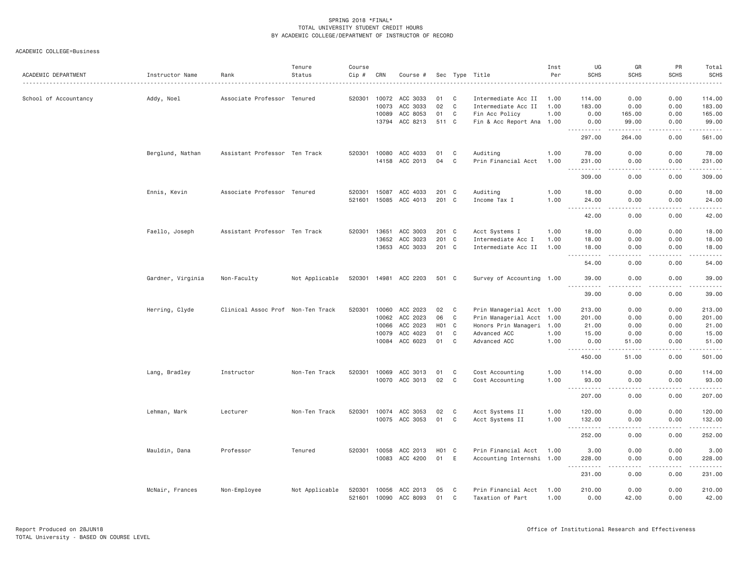ACADEMIC COLLEGE=Business

| ACADEMIC DEPARTMENT   | Instructor Name   | Rank                              | Tenure<br>Status | Course<br>Cip #  | CRN            | Course #             |          |                | Sec Type Title                          | Inst<br>Per  | UG<br><b>SCHS</b>                                                                                                                                             | GR<br><b>SCHS</b>                                                                                                                 | PR<br><b>SCHS</b>                                                                                                                                            | Total<br><b>SCHS</b><br>$\frac{1}{2} \left( \frac{1}{2} \right) \left( \frac{1}{2} \right) \left( \frac{1}{2} \right) \left( \frac{1}{2} \right) \left( \frac{1}{2} \right)$ |
|-----------------------|-------------------|-----------------------------------|------------------|------------------|----------------|----------------------|----------|----------------|-----------------------------------------|--------------|---------------------------------------------------------------------------------------------------------------------------------------------------------------|-----------------------------------------------------------------------------------------------------------------------------------|--------------------------------------------------------------------------------------------------------------------------------------------------------------|------------------------------------------------------------------------------------------------------------------------------------------------------------------------------|
| School of Accountancy | Addy, Noel        | Associate Professor Tenured       |                  | 520301           | 10072          | ACC 3033             | 01       | C              | Intermediate Acc II                     | 1.00         | 114.00                                                                                                                                                        | 0.00                                                                                                                              | 0.00                                                                                                                                                         | 114.00                                                                                                                                                                       |
|                       |                   |                                   |                  |                  | 10073          | ACC 3033             | 02       | C              | Intermediate Acc II                     | 1.00         | 183.00                                                                                                                                                        | 0.00                                                                                                                              | 0.00                                                                                                                                                         | 183.00                                                                                                                                                                       |
|                       |                   |                                   |                  |                  | 10089          | ACC 8053             | 01       | C              | Fin Acc Policy                          | 1.00         | 0.00                                                                                                                                                          | 165.00                                                                                                                            | 0.00                                                                                                                                                         | 165.00                                                                                                                                                                       |
|                       |                   |                                   |                  |                  |                | 13794 ACC 8213       | 511 C    |                | Fin & Acc Report Ana 1.00               |              | 0.00                                                                                                                                                          | 99.00                                                                                                                             | 0.00                                                                                                                                                         | 99.00                                                                                                                                                                        |
|                       |                   |                                   |                  |                  |                |                      |          |                |                                         |              | $\sim$ $\sim$ .<br>297.00                                                                                                                                     | $\omega$ is $\omega$ in .<br>264.00                                                                                               | .<br>0.00                                                                                                                                                    | .<br>561.00                                                                                                                                                                  |
|                       | Berglund, Nathan  | Assistant Professor Ten Track     |                  | 520301           | 10080          | ACC 4033             | 01       | C              | Auditing                                | 1.00         | 78.00                                                                                                                                                         | 0.00                                                                                                                              | 0.00                                                                                                                                                         | 78.00                                                                                                                                                                        |
|                       |                   |                                   |                  |                  |                | 14158 ACC 2013       | 04       | C              | Prin Financial Acct                     | 1.00         | 231.00<br>$\sim$ $\sim$<br>$- - - - - -$                                                                                                                      | 0.00                                                                                                                              | 0.00<br>-----                                                                                                                                                | 231.00<br>$- - - - - -$                                                                                                                                                      |
|                       |                   |                                   |                  |                  |                |                      |          |                |                                         |              | 309.00                                                                                                                                                        | 0.00                                                                                                                              | 0.00                                                                                                                                                         | 309.00                                                                                                                                                                       |
|                       | Ennis, Kevin      | Associate Professor Tenured       |                  | 520301           | 15087          | ACC 4033             | 201 C    |                | Auditing                                | 1.00         | 18.00                                                                                                                                                         | 0.00                                                                                                                              | 0.00                                                                                                                                                         | 18.00                                                                                                                                                                        |
|                       |                   |                                   |                  | 521601           | 15085          | ACC 4013             | 201      | C <sub>1</sub> | Income Tax I                            | 1.00         | 24.00<br>$\frac{1}{2} \left( \frac{1}{2} \right) \left( \frac{1}{2} \right) \left( \frac{1}{2} \right) \left( \frac{1}{2} \right) \left( \frac{1}{2} \right)$ | 0.00<br>.                                                                                                                         | 0.00<br>.                                                                                                                                                    | 24.00<br>المالم عامل                                                                                                                                                         |
|                       |                   |                                   |                  |                  |                |                      |          |                |                                         |              | 42.00                                                                                                                                                         | 0.00                                                                                                                              | 0.00                                                                                                                                                         | 42.00                                                                                                                                                                        |
|                       | Faello, Joseph    | Assistant Professor Ten Track     |                  | 520301           | 13651          | ACC 3003             | 201 C    |                | Acct Systems I                          | 1.00         | 18.00                                                                                                                                                         | 0.00                                                                                                                              | 0.00                                                                                                                                                         | 18.00                                                                                                                                                                        |
|                       |                   |                                   |                  |                  | 13652          | ACC 3023             | 201 C    |                | Intermediate Acc I                      | 1.00         | 18.00                                                                                                                                                         | 0.00                                                                                                                              | 0.00                                                                                                                                                         | 18.00                                                                                                                                                                        |
|                       |                   |                                   |                  |                  | 13653          | ACC 3033             | 201 C    |                | Intermediate Acc II                     | 1.00         | 18.00                                                                                                                                                         | 0.00<br>$\sim$ $\sim$ $\sim$                                                                                                      | 0.00<br>$\frac{1}{2} \left( \frac{1}{2} \right) \left( \frac{1}{2} \right) \left( \frac{1}{2} \right) \left( \frac{1}{2} \right) \left( \frac{1}{2} \right)$ | 18.00                                                                                                                                                                        |
|                       |                   |                                   |                  |                  |                |                      |          |                |                                         |              | .<br>н.,<br>54.00                                                                                                                                             | 0.00                                                                                                                              | 0.00                                                                                                                                                         | .<br>54.00                                                                                                                                                                   |
|                       | Gardner, Virginia | Non-Faculty                       | Not Applicable   | 520301           | 14981          | ACC 2203             | 501 C    |                | Survey of Accounting 1.00               |              | 39.00                                                                                                                                                         | 0.00                                                                                                                              | 0.00                                                                                                                                                         | 39.00                                                                                                                                                                        |
|                       |                   |                                   |                  |                  |                |                      |          |                |                                         |              | .<br>39.00                                                                                                                                                    | 0.00                                                                                                                              | 0.00                                                                                                                                                         | 39.00                                                                                                                                                                        |
|                       | Herring, Clyde    | Clinical Assoc Prof Non-Ten Track |                  | 520301           | 10060          | ACC 2023             | 02       | C              | Prin Managerial Acct 1.00               |              | 213.00                                                                                                                                                        | 0.00                                                                                                                              | 0.00                                                                                                                                                         | 213.00                                                                                                                                                                       |
|                       |                   |                                   |                  |                  | 10062          | ACC 2023             | 06       | C              | Prin Managerial Acct 1.00               |              | 201.00                                                                                                                                                        | 0.00                                                                                                                              | 0.00                                                                                                                                                         | 201.00                                                                                                                                                                       |
|                       |                   |                                   |                  |                  | 10066          | ACC 2023             | H01      | $\mathbf C$    | Honors Prin Manageri 1.00               |              | 21.00                                                                                                                                                         | 0.00                                                                                                                              | 0.00                                                                                                                                                         | 21.00                                                                                                                                                                        |
|                       |                   |                                   |                  |                  | 10079          | ACC 4023             | 01       | C              | Advanced ACC                            | 1.00         | 15.00                                                                                                                                                         | 0.00                                                                                                                              | 0.00                                                                                                                                                         | 15.00                                                                                                                                                                        |
|                       |                   |                                   |                  |                  |                | 10084 ACC 6023       | 01       | C              | Advanced ACC                            | 1.00         | 0.00                                                                                                                                                          | 51.00                                                                                                                             | 0.00                                                                                                                                                         | 51.00                                                                                                                                                                        |
|                       |                   |                                   |                  |                  |                |                      |          |                |                                         |              | -----------<br>450.00                                                                                                                                         | -----<br>51.00                                                                                                                    | $\cdots \cdots \cdots$<br>0.00                                                                                                                               | ------<br>501.00                                                                                                                                                             |
|                       | Lang, Bradley     | Instructor                        | Non-Ten Track    | 520301           | 10069          | ACC 3013             | 01       | C              | Cost Accounting                         | 1.00         | 114.00                                                                                                                                                        | 0.00                                                                                                                              | 0.00                                                                                                                                                         | 114.00                                                                                                                                                                       |
|                       |                   |                                   |                  |                  | 10070          | ACC 3013             | 02       | C              | Cost Accounting                         | 1.00         | 93.00                                                                                                                                                         | 0.00<br>.                                                                                                                         | 0.00<br>$- - - - -$                                                                                                                                          | 93.00<br>.                                                                                                                                                                   |
|                       |                   |                                   |                  |                  |                |                      |          |                |                                         |              | 207.00                                                                                                                                                        | 0.00                                                                                                                              | 0.00                                                                                                                                                         | 207.00                                                                                                                                                                       |
|                       | Lehman, Mark      | Lecturer                          | Non-Ten Track    | 520301           | 10074          | ACC 3053             | 02       | C              | Acct Systems II                         | 1.00         | 120.00                                                                                                                                                        | 0.00                                                                                                                              | 0.00                                                                                                                                                         | 120.00                                                                                                                                                                       |
|                       |                   |                                   |                  |                  | 10075          | ACC 3053             | 01       | C              | Acct Systems II                         | 1,00         | 132.00<br>$- - -$                                                                                                                                             | 0.00<br>$\frac{1}{2} \left( \frac{1}{2} \right) \left( \frac{1}{2} \right) \left( \frac{1}{2} \right) \left( \frac{1}{2} \right)$ | 0.00<br>$- - - - -$                                                                                                                                          | 132.00<br>.                                                                                                                                                                  |
|                       |                   |                                   |                  |                  |                |                      |          |                |                                         |              | 252.00                                                                                                                                                        | 0.00                                                                                                                              | 0.00                                                                                                                                                         | 252.00                                                                                                                                                                       |
|                       | Mauldin, Dana     | Professor                         | Tenured          | 520301           | 10058          | ACC 2013             | H01      | $\mathbf{C}$   | Prin Financial Acct                     | 1.00         | 3.00                                                                                                                                                          | 0.00                                                                                                                              | 0.00                                                                                                                                                         | 3.00                                                                                                                                                                         |
|                       |                   |                                   |                  |                  | 10083          | ACC 4200             | 01       | E              | Accounting Internshi 1.00               |              | 228.00<br>-----                                                                                                                                               | 0.00                                                                                                                              | 0.00                                                                                                                                                         | 228.00<br>.                                                                                                                                                                  |
|                       |                   |                                   |                  |                  |                |                      |          |                |                                         |              | 231.00                                                                                                                                                        | 0.00                                                                                                                              | 0.00                                                                                                                                                         | 231.00                                                                                                                                                                       |
|                       | McNair, Frances   | Non-Employee                      | Not Applicable   | 520301<br>521601 | 10056<br>10090 | ACC 2013<br>ACC 8093 | 05<br>01 | C<br>C         | Prin Financial Acct<br>Taxation of Part | 1.00<br>1.00 | 210.00<br>0.00                                                                                                                                                | 0.00<br>42.00                                                                                                                     | 0.00<br>0.00                                                                                                                                                 | 210.00<br>42.00                                                                                                                                                              |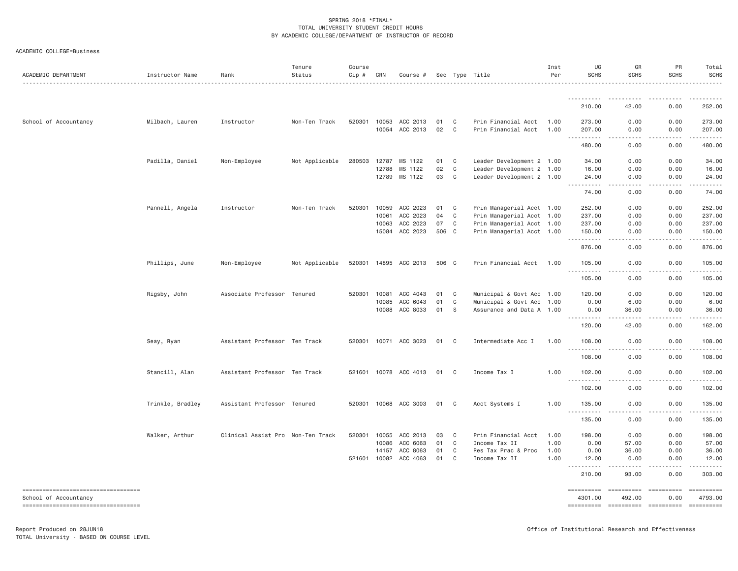ACADEMIC COLLEGE=Business

| ACADEMIC DEPARTMENT                                             | Instructor Name  | Rank                              | Tenure<br>Status | Course<br>Cip# | CRN            | Course #              |          |                | Sec Type Title                             | Inst<br>Per  | UG<br><b>SCHS</b>    | GR<br><b>SCHS</b>                   | PR<br>SCHS                      | Total<br><b>SCHS</b>                                                                                                                                                                                                                                                                                                                                                                                                                                                                   |
|-----------------------------------------------------------------|------------------|-----------------------------------|------------------|----------------|----------------|-----------------------|----------|----------------|--------------------------------------------|--------------|----------------------|-------------------------------------|---------------------------------|----------------------------------------------------------------------------------------------------------------------------------------------------------------------------------------------------------------------------------------------------------------------------------------------------------------------------------------------------------------------------------------------------------------------------------------------------------------------------------------|
|                                                                 |                  |                                   |                  |                |                |                       |          |                |                                            |              | -----------          |                                     |                                 |                                                                                                                                                                                                                                                                                                                                                                                                                                                                                        |
|                                                                 |                  |                                   |                  |                |                |                       |          |                |                                            |              | 210.00               | 42.00                               | 0.00                            | 252.00                                                                                                                                                                                                                                                                                                                                                                                                                                                                                 |
| School of Accountancy                                           | Milbach, Lauren  | Instructor                        | Non-Ten Track    | 520301         | 10053<br>10054 | ACC 2013<br>ACC 2013  | 01<br>02 | C<br>C         | Prin Financial Acct<br>Prin Financial Acct | 1.00<br>1.00 | 273.00<br>207.00     | 0.00<br>0.00                        | 0.00<br>0.00                    | 273.00<br>207.00                                                                                                                                                                                                                                                                                                                                                                                                                                                                       |
|                                                                 |                  |                                   |                  |                |                |                       |          |                |                                            |              | 480.00               | $\sim$ $\sim$ $\sim$ $\sim$<br>0.00 | .<br>0.00                       | .<br>480.00                                                                                                                                                                                                                                                                                                                                                                                                                                                                            |
|                                                                 | Padilla, Daniel  | Non-Employee                      | Not Applicable   | 280503         | 12787          | MS 1122               | 01       | C              | Leader Development 2 1.00                  |              | 34.00                | 0.00                                | 0.00                            | 34.00                                                                                                                                                                                                                                                                                                                                                                                                                                                                                  |
|                                                                 |                  |                                   |                  |                | 12788          | MS 1122               | 02       | C              | Leader Development 2 1.00                  |              | 16.00                | 0.00                                | 0.00                            | 16.00                                                                                                                                                                                                                                                                                                                                                                                                                                                                                  |
|                                                                 |                  |                                   |                  |                | 12789          | MS 1122               | 03       | $\mathbf C$    | Leader Development 2 1.00                  |              | 24.00<br>.           | 0.00<br>$- - - -$                   | 0.00<br>.                       | 24.00<br>$\frac{1}{2}$                                                                                                                                                                                                                                                                                                                                                                                                                                                                 |
|                                                                 |                  |                                   |                  |                |                |                       |          |                |                                            |              | 74.00                | 0.00                                | 0.00                            | 74.00                                                                                                                                                                                                                                                                                                                                                                                                                                                                                  |
|                                                                 | Pannell, Angela  | Instructor                        | Non-Ten Track    | 520301         | 10059          | ACC 2023              | 01       | C              | Prin Managerial Acct 1.00                  |              | 252.00               | 0.00                                | 0.00                            | 252.00                                                                                                                                                                                                                                                                                                                                                                                                                                                                                 |
|                                                                 |                  |                                   |                  |                | 10061          | ACC 2023              | 04       | C              | Prin Managerial Acct 1.00                  |              | 237.00               | 0.00                                | 0.00                            | 237.00                                                                                                                                                                                                                                                                                                                                                                                                                                                                                 |
|                                                                 |                  |                                   |                  |                | 10063          | ACC 2023              | 07       | $\mathbb C$    | Prin Managerial Acct 1.00                  |              | 237.00               | 0.00                                | 0.00                            | 237.00                                                                                                                                                                                                                                                                                                                                                                                                                                                                                 |
|                                                                 |                  |                                   |                  |                | 15084          | ACC 2023              | 506 C    |                | Prin Managerial Acct 1.00                  |              | 150.00               | 0.00                                | 0.00                            | 150.00<br>، د د د د .                                                                                                                                                                                                                                                                                                                                                                                                                                                                  |
|                                                                 |                  |                                   |                  |                |                |                       |          |                |                                            |              | 876.00               | 0.00                                | 0.00                            | 876.00                                                                                                                                                                                                                                                                                                                                                                                                                                                                                 |
|                                                                 | Phillips, June   | Non-Employee                      | Not Applicable   |                |                | 520301 14895 ACC 2013 | 506 C    |                | Prin Financial Acct 1.00                   |              | 105.00<br>.          | 0.00<br>----                        | 0.00<br>.                       | 105.00<br>. <u>.</u>                                                                                                                                                                                                                                                                                                                                                                                                                                                                   |
|                                                                 |                  |                                   |                  |                |                |                       |          |                |                                            |              | 105.00               | 0.00                                | 0.00                            | 105.00                                                                                                                                                                                                                                                                                                                                                                                                                                                                                 |
|                                                                 | Rigsby, John     | Associate Professor               | Tenured          | 520301         | 10081          | ACC 4043              | 01       | C              | Municipal & Govt Acc 1.00                  |              | 120.00               | 0.00                                | 0.00                            | 120.00                                                                                                                                                                                                                                                                                                                                                                                                                                                                                 |
|                                                                 |                  |                                   |                  |                | 10085          | ACC 6043              | 01       | C              | Municipal & Govt Acc 1.00                  |              | 0.00                 | 6.00                                | 0.00                            | 6.00                                                                                                                                                                                                                                                                                                                                                                                                                                                                                   |
|                                                                 |                  |                                   |                  |                | 10088          | ACC 8033              | 01       | S              | Assurance and Data A 1.00                  |              | 0.00                 | 36.00                               | 0.00                            | 36.00                                                                                                                                                                                                                                                                                                                                                                                                                                                                                  |
|                                                                 |                  |                                   |                  |                |                |                       |          |                |                                            |              | 120.00               | .<br>42.00                          | $- - - -$<br>0.00               | .<br>162.00                                                                                                                                                                                                                                                                                                                                                                                                                                                                            |
|                                                                 | Seay, Ryan       | Assistant Professor Ten Track     |                  |                |                | 520301 10071 ACC 3023 | 01       | C <sub>c</sub> | Intermediate Acc I                         | 1.00         | 108.00               | 0.00                                | 0.00                            | 108.00                                                                                                                                                                                                                                                                                                                                                                                                                                                                                 |
|                                                                 |                  |                                   |                  |                |                |                       |          |                |                                            |              | .<br>108.00          | $\frac{1}{2}$<br>0.00               | .<br>0.00                       | $- - - - - - -$<br>108.00                                                                                                                                                                                                                                                                                                                                                                                                                                                              |
|                                                                 | Stancill, Alan   | Assistant Professor Ten Track     |                  |                |                | 521601 10078 ACC 4013 | 01       | C              | Income Tax I                               | 1.00         | 102.00               | 0.00                                | 0.00                            | 102.00                                                                                                                                                                                                                                                                                                                                                                                                                                                                                 |
|                                                                 |                  |                                   |                  |                |                |                       |          |                |                                            |              | .<br>102.00          | $\sim$ $\sim$ $\sim$ $\sim$<br>0.00 | .<br>0.00                       | .<br>102.00                                                                                                                                                                                                                                                                                                                                                                                                                                                                            |
|                                                                 | Trinkle, Bradley | Assistant Professor Tenured       |                  | 520301         | 10068          | ACC 3003              | 01       | C              | Acct Systems I                             | 1.00         | 135.00               | 0.00                                | 0.00                            | 135.00                                                                                                                                                                                                                                                                                                                                                                                                                                                                                 |
|                                                                 |                  |                                   |                  |                |                |                       |          |                |                                            |              | .<br>$  -$<br>135.00 | .<br>0.00                           | .<br>0.00                       | $- - - - - - -$<br>135.00                                                                                                                                                                                                                                                                                                                                                                                                                                                              |
|                                                                 | Walker, Arthur   | Clinical Assist Pro Non-Ten Track |                  | 520301         | 10055          | ACC 2013              | 03       | C              | Prin Financial Acct                        | 1.00         | 198.00               | 0.00                                | 0.00                            | 198.00                                                                                                                                                                                                                                                                                                                                                                                                                                                                                 |
|                                                                 |                  |                                   |                  |                | 10086          | ACC 6063              | 01       | C              | Income Tax II                              | 1.00         | 0.00                 | 57.00                               | 0.00                            | 57.00                                                                                                                                                                                                                                                                                                                                                                                                                                                                                  |
|                                                                 |                  |                                   |                  |                | 14157          | ACC 8063              | 01       | $\mathbb C$    | Res Tax Prac & Proc                        | 1.00         | 0.00                 | 36.00                               | 0.00                            | 36.00                                                                                                                                                                                                                                                                                                                                                                                                                                                                                  |
|                                                                 |                  |                                   |                  | 521601         | 10082          | ACC 4063              | 01       | C              | Income Tax II                              | 1.00         | 12.00                | 0.00                                | 0.00                            | 12.00                                                                                                                                                                                                                                                                                                                                                                                                                                                                                  |
|                                                                 |                  |                                   |                  |                |                |                       |          |                |                                            |              | 210.00               | 93.00                               | 0.00                            | 303.00                                                                                                                                                                                                                                                                                                                                                                                                                                                                                 |
| ----------------------------------                              |                  |                                   |                  |                |                |                       |          |                |                                            |              |                      | $=$ =========                       | ==========                      | $\begin{array}{cccccccccc} \multicolumn{3}{c}{} & \multicolumn{3}{c}{} & \multicolumn{3}{c}{} & \multicolumn{3}{c}{} & \multicolumn{3}{c}{} & \multicolumn{3}{c}{} & \multicolumn{3}{c}{} & \multicolumn{3}{c}{} & \multicolumn{3}{c}{} & \multicolumn{3}{c}{} & \multicolumn{3}{c}{} & \multicolumn{3}{c}{} & \multicolumn{3}{c}{} & \multicolumn{3}{c}{} & \multicolumn{3}{c}{} & \multicolumn{3}{c}{} & \multicolumn{3}{c}{} & \multicolumn{3}{c}{} & \multicolumn{3}{c}{} & \mult$ |
| School of Accountancy<br>====================================== |                  |                                   |                  |                |                |                       |          |                |                                            |              | 4301.00              | 492.00<br>======================    | 0.00<br>----------------------- | 4793.00                                                                                                                                                                                                                                                                                                                                                                                                                                                                                |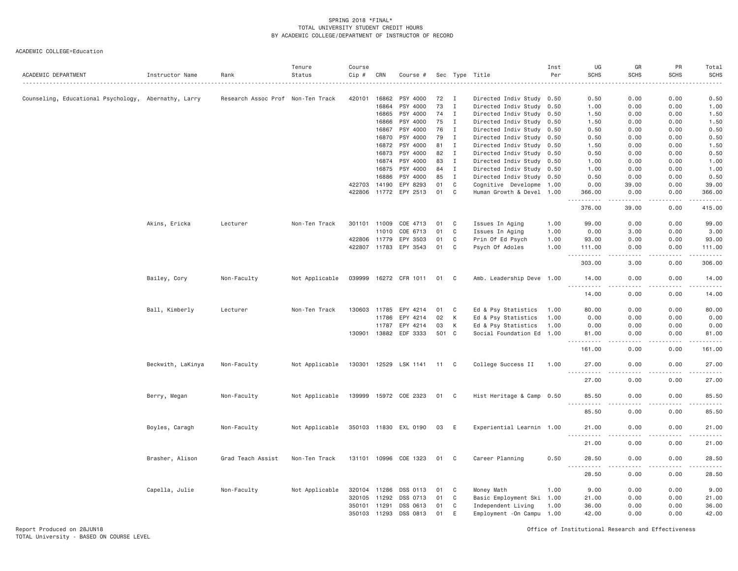| ACADEMIC DEPARTMENT                                  | Instructor Name   | Rank                              | Tenure<br>Status | Course<br>Cip # | CRN            | Course #              |          |              | Sec Type Title                                    | Inst<br>Per | UG<br><b>SCHS</b>     | GR<br><b>SCHS</b> | PR<br><b>SCHS</b> | Total<br><b>SCHS</b>                                                                                                      |
|------------------------------------------------------|-------------------|-----------------------------------|------------------|-----------------|----------------|-----------------------|----------|--------------|---------------------------------------------------|-------------|-----------------------|-------------------|-------------------|---------------------------------------------------------------------------------------------------------------------------|
|                                                      |                   |                                   |                  |                 |                |                       |          |              |                                                   |             |                       |                   |                   |                                                                                                                           |
| Counseling, Educational Psychology, Abernathy, Larry |                   | Research Assoc Prof Non-Ten Track |                  | 420101          | 16862          | PSY 4000              | 72       | Ι.           | Directed Indiv Study 0.50                         |             | 0.50                  | 0.00              | 0.00              | 0.50                                                                                                                      |
|                                                      |                   |                                   |                  |                 | 16864          | PSY 4000              | 73       | $\mathbf I$  | Directed Indiv Study 0.50                         |             | 1.00                  | 0.00              | 0.00              | 1.00                                                                                                                      |
|                                                      |                   |                                   |                  |                 | 16865          | PSY 4000              | 74       | $\mathbf{I}$ | Directed Indiv Study                              | 0.50        | 1.50                  | 0.00              | 0.00              | 1.50                                                                                                                      |
|                                                      |                   |                                   |                  |                 | 16866          | PSY 4000              | 75       | $\mathbf I$  | Directed Indiv Study 0.50                         |             | 1.50                  | 0.00              | 0.00              | 1.50                                                                                                                      |
|                                                      |                   |                                   |                  |                 | 16867          | PSY 4000<br>PSY 4000  | 76<br>79 | Ι.<br>Ι.     | Directed Indiv Study                              | 0.50        | 0.50<br>0.50          | 0.00<br>0.00      | 0.00<br>0.00      | 0.50<br>0.50                                                                                                              |
|                                                      |                   |                                   |                  |                 | 16870<br>16872 | PSY 4000              | 81       | $\mathbf I$  | Directed Indiv Study 0.50<br>Directed Indiv Study | 0.50        | 1.50                  | 0.00              | 0.00              | 1.50                                                                                                                      |
|                                                      |                   |                                   |                  |                 | 16873          | PSY 4000              | 82       | $\mathbf I$  | Directed Indiv Study 0.50                         |             | 0.50                  | 0.00              | 0.00              | 0.50                                                                                                                      |
|                                                      |                   |                                   |                  |                 | 16874          | PSY 4000              | 83       | $\mathbf I$  | Directed Indiv Study 0.50                         |             | 1.00                  | 0.00              | 0.00              | 1.00                                                                                                                      |
|                                                      |                   |                                   |                  |                 | 16875          | PSY 4000              | 84       | $\mathbf{I}$ | Directed Indiv Study                              | 0.50        | 1.00                  | 0.00              | 0.00              | 1.00                                                                                                                      |
|                                                      |                   |                                   |                  |                 | 16886          | PSY 4000              | 85       | $\mathbf I$  | Directed Indiv Study 0.50                         |             | 0.50                  | 0.00              | 0.00              | 0.50                                                                                                                      |
|                                                      |                   |                                   |                  | 422703          | 14190          | EPY 8293              | 01       | C            | Cognitive Developme 1.00                          |             | 0.00                  | 39.00             | 0.00              | 39.00                                                                                                                     |
|                                                      |                   |                                   |                  | 422806          | 11772          | EPY 2513              | 01       | C            | Human Growth & Devel 1.00                         |             | 366.00                | 0.00              | 0.00              | 366.00                                                                                                                    |
|                                                      |                   |                                   |                  |                 |                |                       |          |              |                                                   |             | .                     | .                 | .                 | .                                                                                                                         |
|                                                      |                   |                                   |                  |                 |                |                       |          |              |                                                   |             | 376.00                | 39.00             | 0.00              | 415.00                                                                                                                    |
|                                                      | Akins, Ericka     | Lecturer                          | Non-Ten Track    | 301101          | 11009          | COE 4713              | 01       | C            | Issues In Aging                                   | 1.00        | 99.00                 | 0.00              | 0.00              | 99.00                                                                                                                     |
|                                                      |                   |                                   |                  |                 | 11010          | COE 6713              | 01       | C            | Issues In Aging                                   | 1.00        | 0.00                  | 3.00              | 0.00              | 3.00                                                                                                                      |
|                                                      |                   |                                   |                  | 422806          | 11779          | EPY 3503              | 01       | C            | Prin Of Ed Psych                                  | 1.00        | 93.00                 | 0.00              | 0.00              | 93.00                                                                                                                     |
|                                                      |                   |                                   |                  | 422807          | 11783          | EPY 3543              | 01       | C            | Psych Of Adoles                                   | 1.00        | 111.00                | 0.00              | 0.00              | 111.00                                                                                                                    |
|                                                      |                   |                                   |                  |                 |                |                       |          |              |                                                   |             | $- - - - -$<br>303.00 | .<br>3.00         | .<br>0.00         | 2.22222<br>306.00                                                                                                         |
|                                                      |                   |                                   |                  |                 |                |                       |          |              |                                                   |             |                       |                   |                   |                                                                                                                           |
|                                                      | Bailey, Cory      | Non-Faculty                       | Not Applicable   | 039999          |                | 16272 CFR 1011        | 01       | $\mathbf{C}$ | Amb. Leadership Deve 1.00                         |             | 14.00<br>.            | 0.00<br>.         | 0.00<br>.         | 14.00<br>.                                                                                                                |
|                                                      |                   |                                   |                  |                 |                |                       |          |              |                                                   |             | 14.00                 | 0.00              | 0.00              | 14.00                                                                                                                     |
|                                                      | Ball, Kimberly    | Lecturer                          | Non-Ten Track    | 130603          | 11785          | EPY 4214              | 01       | C            | Ed & Psy Statistics                               | 1.00        | 80.00                 | 0.00              | 0.00              | 80.00                                                                                                                     |
|                                                      |                   |                                   |                  |                 | 11786          | EPY 4214              | 02       | К            | Ed & Psy Statistics                               | 1.00        | 0.00                  | 0.00              | 0.00              | 0.00                                                                                                                      |
|                                                      |                   |                                   |                  |                 | 11787          | EPY 4214              | 03       | К            | Ed & Psy Statistics                               | 1.00        | 0.00                  | 0.00              | 0.00              | 0.00                                                                                                                      |
|                                                      |                   |                                   |                  | 130901          | 13882          | EDF 3333              | 501 C    |              | Social Foundation Ed 1.00                         |             | 81.00                 | 0.00              | 0.00              | 81.00                                                                                                                     |
|                                                      |                   |                                   |                  |                 |                |                       |          |              |                                                   |             | .<br>161.00           | .<br>0.00         | .<br>0.00         | .<br>161.00                                                                                                               |
|                                                      | Beckwith, LaKinya | Non-Faculty                       | Not Applicable   | 130301          | 12529          | LSK 1141              | 11 C     |              | College Success II                                | 1.00        | 27.00                 | 0.00              | 0.00              | 27.00                                                                                                                     |
|                                                      |                   |                                   |                  |                 |                |                       |          |              |                                                   |             | .                     | $- - - -$         |                   | $\frac{1}{2}$                                                                                                             |
|                                                      |                   |                                   |                  |                 |                |                       |          |              |                                                   |             | 27.00                 | 0.00              | 0.00              | 27.00                                                                                                                     |
|                                                      | Berry, Megan      | Non-Faculty                       | Not Applicable   |                 |                | 139999 15972 COE 2323 | 01 C     |              | Hist Heritage & Camp 0.50                         |             | 85.50                 | 0.00              | 0.00              | 85.50                                                                                                                     |
|                                                      |                   |                                   |                  |                 |                |                       |          |              |                                                   |             | 85.50                 | 0.00              | 0.00              | 85.50                                                                                                                     |
|                                                      | Boyles, Caragh    | Non-Faculty                       | Not Applicable   |                 |                | 350103 11830 EXL 0190 | 03       | E            | Experiential Learnin 1.00                         |             | 21.00                 | 0.00              | 0.00              | 21.00                                                                                                                     |
|                                                      |                   |                                   |                  |                 |                |                       |          |              |                                                   |             | 21.00                 | 0.00              | 0.00              | 21.00                                                                                                                     |
|                                                      | Brasher, Alison   | Grad Teach Assist                 | Non-Ten Track    |                 |                | 131101 10996 COE 1323 | 01       | C            | Career Planning                                   | 0.50        | 28.50                 | 0.00              | 0.00              | 28.50                                                                                                                     |
|                                                      |                   |                                   |                  |                 |                |                       |          |              |                                                   |             |                       |                   |                   | $\frac{1}{2} \left( \frac{1}{2} \right) \left( \frac{1}{2} \right) \left( \frac{1}{2} \right) \left( \frac{1}{2} \right)$ |
|                                                      |                   |                                   |                  |                 |                |                       |          |              |                                                   |             | 28.50                 | 0.00              | 0.00              | 28.50                                                                                                                     |
|                                                      | Capella, Julie    | Non-Faculty                       | Not Applicable   | 320104          | 11286          | DSS 0113              | 01       | C            | Money Math                                        | 1.00        | 9.00                  | 0.00              | 0.00              | 9.00                                                                                                                      |
|                                                      |                   |                                   |                  | 320105          | 11292          | DSS 0713              | 01       | C            | Basic Employment Ski 1.00                         |             | 21.00                 | 0.00              | 0.00              | 21.00                                                                                                                     |
|                                                      |                   |                                   |                  | 350101          | 11291          | DSS 0613              | 01       | C            | Independent Living                                | 1.00        | 36.00                 | 0.00              | 0.00              | 36.00                                                                                                                     |
|                                                      |                   |                                   |                  | 350103          | 11293          | DSS 0813              | 01       | E            | Employment - On Campu 1.00                        |             | 42.00                 | 0.00              | 0.00              | 42.00                                                                                                                     |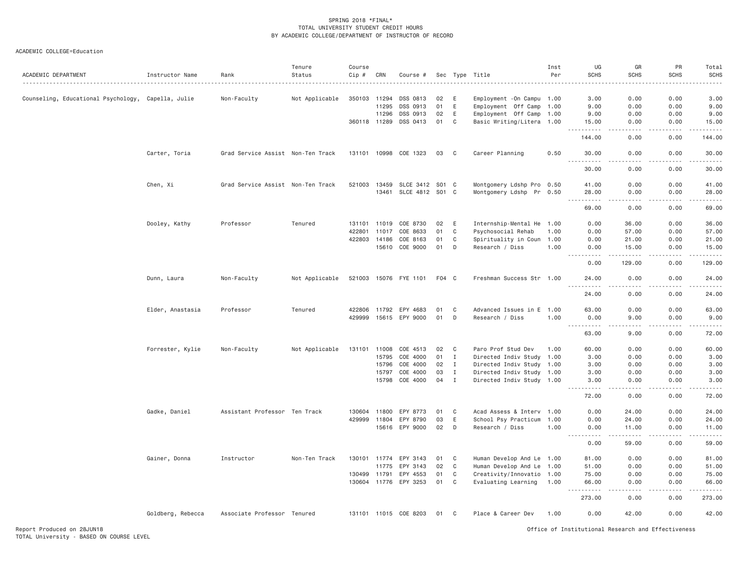| ACADEMIC DEPARTMENT                                | Instructor Name   | Rank                              | Tenure<br>Status | Course<br>Cip # | CRN          | Course #              |       |              | Sec Type Title             | Inst<br>Per | UG<br><b>SCHS</b>                                                                                                                                                                         | GR<br><b>SCHS</b>                   | PR<br><b>SCHS</b> | Total<br>SCHS<br>$- - - -$ |
|----------------------------------------------------|-------------------|-----------------------------------|------------------|-----------------|--------------|-----------------------|-------|--------------|----------------------------|-------------|-------------------------------------------------------------------------------------------------------------------------------------------------------------------------------------------|-------------------------------------|-------------------|----------------------------|
| Counseling, Educational Psychology, Capella, Julie |                   | Non-Faculty                       | Not Applicable   | 350103          | 11294        | DSS 0813              | 02    | E            | Employment - On Campu 1.00 |             | 3.00                                                                                                                                                                                      | 0.00                                | 0.00              | 3.00                       |
|                                                    |                   |                                   |                  |                 | 11295        | DSS 0913              | 01    | E            | Employment Off Camp 1.00   |             | 9.00                                                                                                                                                                                      | 0.00                                | 0.00              | 9.00                       |
|                                                    |                   |                                   |                  |                 | 11296        | DSS 0913              | 02    | Ε            | Employment Off Camp 1.00   |             | 9.00                                                                                                                                                                                      | 0.00                                | 0.00              | 9.00                       |
|                                                    |                   |                                   |                  |                 | 360118 11289 | DSS 0413              | 01    | C            | Basic Writing/Litera 1.00  |             | 15.00                                                                                                                                                                                     | 0.00                                | 0.00              | 15.00                      |
|                                                    |                   |                                   |                  |                 |              |                       |       |              |                            |             | .                                                                                                                                                                                         |                                     |                   |                            |
|                                                    |                   |                                   |                  |                 |              |                       |       |              |                            |             | 144.00                                                                                                                                                                                    | 0.00                                | 0.00              | 144.00                     |
|                                                    | Carter, Toria     | Grad Service Assist Non-Ten Track |                  |                 |              | 131101 10998 COE 1323 | 03    | $\mathbf{C}$ | Career Planning            | 0.50        | 30.00<br>.                                                                                                                                                                                | 0.00                                | 0.00              | 30.00                      |
|                                                    |                   |                                   |                  |                 |              |                       |       |              |                            |             | 30.00                                                                                                                                                                                     | 0.00                                | 0.00              | 30.00                      |
|                                                    | Chen, Xi          | Grad Service Assist Non-Ten Track |                  | 521003          | 13459        | SLCE 3412 S01 C       |       |              | Montgomery Ldshp Pro 0.50  |             | 41.00                                                                                                                                                                                     | 0.00                                | 0.00              | 41.00                      |
|                                                    |                   |                                   |                  |                 | 13461        | SLCE 4812 S01 C       |       |              | Montgomery Ldshp Pr 0.50   |             | 28.00                                                                                                                                                                                     | 0.00                                | 0.00              | 28.00                      |
|                                                    |                   |                                   |                  |                 |              |                       |       |              |                            |             | -----<br>69.00                                                                                                                                                                            | $\sim$ $\sim$ $\sim$ $\sim$<br>0.00 | د د د د<br>0.00   | 69.00                      |
|                                                    | Dooley, Kathy     | Professor                         | Tenured          | 131101          | 11019        | COE 8730              | 02    | E            | Internship-Mental He       | 1.00        | 0.00                                                                                                                                                                                      | 36.00                               | 0.00              | 36.00                      |
|                                                    |                   |                                   |                  | 422801          | 11017        | COE 8633              | 01    | C            | Psychosocial Rehab         | 1.00        | 0.00                                                                                                                                                                                      | 57.00                               | 0.00              | 57.00                      |
|                                                    |                   |                                   |                  | 422803          | 14186        | COE 8163              | 01    | C            | Spirituality in Coun       | 1.00        | 0.00                                                                                                                                                                                      | 21.00                               | 0.00              | 21.00                      |
|                                                    |                   |                                   |                  |                 | 15610        | COE 9000              | 01    | D            | Research / Diss            | 1.00        | 0.00                                                                                                                                                                                      | 15.00                               | 0.00              | 15.00                      |
|                                                    |                   |                                   |                  |                 |              |                       |       |              |                            |             | .<br>0.00                                                                                                                                                                                 | 2.2.2.2.2.2<br>129.00               | -----<br>0.00     | <u>.</u><br>129.00         |
|                                                    | Dunn, Laura       | Non-Faculty                       | Not Applicable   |                 |              | 521003 15076 FYE 1101 | F04 C |              | Freshman Success Str 1.00  |             | 24.00                                                                                                                                                                                     | 0.00                                | 0.00              | 24.00                      |
|                                                    |                   |                                   |                  |                 |              |                       |       |              |                            |             | 24.00                                                                                                                                                                                     | 0.00                                | 0.00              | 24.00                      |
|                                                    | Elder, Anastasia  | Professor                         | Tenured          | 422806          | 11792        | EPY 4683              | 01    | C            | Advanced Issues in E 1.00  |             | 63,00                                                                                                                                                                                     | 0.00                                | 0.00              | 63.00                      |
|                                                    |                   |                                   |                  | 429999          | 15615        | EPY 9000              | 01    | D            | Research / Diss            | 1.00        | 0.00                                                                                                                                                                                      | 9.00                                | 0.00              | 9.00                       |
|                                                    |                   |                                   |                  |                 |              |                       |       |              |                            |             | .<br>63.00                                                                                                                                                                                | د د د د<br>9.00                     | .<br>0.00         | .<br>72.00                 |
|                                                    | Forrester, Kylie  | Non-Faculty                       | Not Applicable   | 131101          | 11008        | COE 4513              | 02    | $\mathbf{C}$ | Paro Prof Stud Dev         | 1.00        | 60.00                                                                                                                                                                                     | 0.00                                | 0.00              | 60.00                      |
|                                                    |                   |                                   |                  |                 | 15795        | COE 4000              | 01    | $\mathbf I$  | Directed Indiv Study 1.00  |             | 3.00                                                                                                                                                                                      | 0.00                                | 0.00              | 3.00                       |
|                                                    |                   |                                   |                  |                 | 15796        | COE 4000              | 02    | $\mathbf I$  | Directed Indiv Study 1.00  |             | 3.00                                                                                                                                                                                      | 0.00                                | 0.00              | 3.00                       |
|                                                    |                   |                                   |                  |                 | 15797        | COE 4000              | 03    | $\mathbf{I}$ | Directed Indiv Study 1.00  |             | 3.00                                                                                                                                                                                      | 0.00                                | 0.00              | 3.00                       |
|                                                    |                   |                                   |                  |                 | 15798        | COE 4000              | 04    | $\mathbf I$  | Directed Indiv Study 1.00  |             | 3.00                                                                                                                                                                                      | 0.00                                | 0.00              | 3.00                       |
|                                                    |                   |                                   |                  |                 |              |                       |       |              |                            |             | 72.00                                                                                                                                                                                     | 0.00                                | 0.00              | 72.00                      |
|                                                    | Gadke, Daniel     | Assistant Professor Ten Track     |                  | 130604          | 11800        | EPY 8773              | 01    | C            | Acad Assess & Interv 1.00  |             | 0.00                                                                                                                                                                                      | 24.00                               | 0.00              | 24.00                      |
|                                                    |                   |                                   |                  | 429999          | 11804        | EPY 8790              | 03    | Ε            | School Psy Practicum 1.00  |             | 0.00                                                                                                                                                                                      | 24.00                               | 0.00              | 24.00                      |
|                                                    |                   |                                   |                  |                 | 15616        | EPY 9000              | 02    | D            | Research / Diss            | 1.00        | 0.00                                                                                                                                                                                      | 11.00                               | 0.00              | 11.00                      |
|                                                    |                   |                                   |                  |                 |              |                       |       |              |                            |             | .<br>0.00                                                                                                                                                                                 | $- - - - -$<br>59.00                | .<br>0.00         | .<br>59.00                 |
|                                                    | Gainer, Donna     | Instructor                        | Non-Ten Track    | 130101          | 11774        | EPY 3143              | 01    | C            | Human Develop And Le 1.00  |             | 81.00                                                                                                                                                                                     | 0.00                                | 0.00              | 81.00                      |
|                                                    |                   |                                   |                  |                 | 11775        | EPY 3143              | 02    | C            | Human Develop And Le       | 1.00        | 51.00                                                                                                                                                                                     | 0.00                                | 0.00              | 51.00                      |
|                                                    |                   |                                   |                  | 130499          | 11791        | EPY 4553              | 01    | C            | Creativity/Innovatio 1.00  |             | 75.00                                                                                                                                                                                     | 0.00                                | 0.00              | 75.00                      |
|                                                    |                   |                                   |                  |                 |              | 130604 11776 EPY 3253 | 01    | C            | Evaluating Learning 1.00   |             | 66.00                                                                                                                                                                                     | 0.00                                | 0.00              | 66.00                      |
|                                                    |                   |                                   |                  |                 |              |                       |       |              |                            |             | $\frac{1}{2} \left( \frac{1}{2} \right) \left( \frac{1}{2} \right) \left( \frac{1}{2} \right) \left( \frac{1}{2} \right) \left( \frac{1}{2} \right) \left( \frac{1}{2} \right)$<br>273.00 | .<br>0.00                           | .<br>0.00         | .<br>273.00                |
|                                                    | Goldberg, Rebecca | Associate Professor Tenured       |                  |                 |              | 131101 11015 COE 8203 | 01    | C            | Place & Career Dev         | 1.00        | 0.00                                                                                                                                                                                      | 42.00                               | 0.00              | 42.00                      |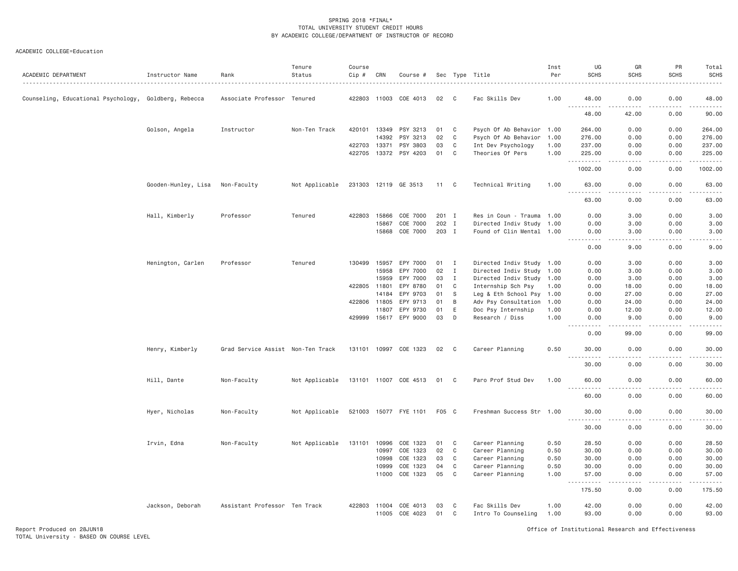## ACADEMIC COLLEGE=Education

| ACADEMIC DEPARTMENT                                   | Instructor Name     | Rank                              | Tenure<br>Status | Course<br>Cip # | CRN   | Course #              |       |              | Sec Type Title<br>.       | Inst<br>Per | UG<br><b>SCHS</b>                                                                                                                                                                        | GR<br><b>SCHS</b>                                                                                                                 | <b>PR</b><br>SCHS     | Total<br><b>SCHS</b>                        |
|-------------------------------------------------------|---------------------|-----------------------------------|------------------|-----------------|-------|-----------------------|-------|--------------|---------------------------|-------------|------------------------------------------------------------------------------------------------------------------------------------------------------------------------------------------|-----------------------------------------------------------------------------------------------------------------------------------|-----------------------|---------------------------------------------|
| Counseling, Educational Psychology, Goldberg, Rebecca |                     | Associate Professor Tenured       |                  |                 |       | 422803 11003 COE 4013 | 02    | - C          | Fac Skills Dev            | 1.00        | 48.00                                                                                                                                                                                    | 0.00                                                                                                                              | 0.00                  | 48.00                                       |
|                                                       |                     |                                   |                  |                 |       |                       |       |              |                           |             | .<br>48.00                                                                                                                                                                               | 42.00                                                                                                                             | 0.00                  | .<br>90.00                                  |
|                                                       | Golson, Angela      | Instructor                        | Non-Ten Track    | 420101          | 13349 | PSY 3213              | 01    | C            | Psych Of Ab Behavior 1.00 |             | 264.00                                                                                                                                                                                   | 0.00                                                                                                                              | 0.00                  | 264.00                                      |
|                                                       |                     |                                   |                  |                 | 14392 | PSY 3213              | 02    | C            | Psych Of Ab Behavior 1.00 |             | 276.00                                                                                                                                                                                   | 0.00                                                                                                                              | 0.00                  | 276.00                                      |
|                                                       |                     |                                   |                  | 422703          | 13371 | PSY 3803              | 03    | C            | Int Dev Psychology        | 1.00        | 237.00                                                                                                                                                                                   | 0.00                                                                                                                              | 0.00                  | 237.00                                      |
|                                                       |                     |                                   |                  | 422705          | 13372 | PSY 4203              | 01    | C            | Theories Of Pers          | 1.00        | 225.00<br>$- - - -$                                                                                                                                                                      | 0.00                                                                                                                              | 0.00                  | 225.00<br>وعاعاته عاملت                     |
|                                                       |                     |                                   |                  |                 |       |                       |       |              |                           |             | 1002.00                                                                                                                                                                                  | 0.00                                                                                                                              | 0.00                  | 1002.00                                     |
|                                                       | Gooden-Hunley, Lisa | Non-Faculty                       | Not Applicable   |                 |       | 231303 12119 GE 3513  | 11 C  |              | Technical Writing         | 1.00        | 63.00                                                                                                                                                                                    | 0.00                                                                                                                              | 0.00                  | 63.00                                       |
|                                                       |                     |                                   |                  |                 |       |                       |       |              |                           |             | 63.00                                                                                                                                                                                    | 0.00                                                                                                                              | 0.00                  | د د د د د<br>63.00                          |
|                                                       | Hall, Kimberly      | Professor                         | Tenured          | 422803          | 15866 | COE 7000              | 201 I |              | Res in Coun - Trauma 1.00 |             | 0.00                                                                                                                                                                                     | 3.00                                                                                                                              | 0.00                  | 3.00                                        |
|                                                       |                     |                                   |                  |                 | 15867 | COE 7000              | 202 I |              | Directed Indiv Study 1.00 |             | 0.00                                                                                                                                                                                     | 3.00                                                                                                                              | 0.00                  | 3.00                                        |
|                                                       |                     |                                   |                  |                 | 15868 | COE 7000              | 203 I |              | Found of Clin Mental 1.00 |             | 0.00                                                                                                                                                                                     | 3.00                                                                                                                              | 0.00                  | 3.00                                        |
|                                                       |                     |                                   |                  |                 |       |                       |       |              |                           |             | $\omega$ is a $\omega$<br>$\sim$ $\sim$ $\sim$ $\sim$<br>0.00                                                                                                                            | .<br>9.00                                                                                                                         | 0.00                  | .<br>9.00                                   |
|                                                       | Henington, Carlen   | Professor                         | Tenured          | 130499          | 15957 | EPY 7000              | 01    | $\mathbf{I}$ | Directed Indiv Study 1.00 |             | 0.00                                                                                                                                                                                     | 3.00                                                                                                                              | 0.00                  | 3.00                                        |
|                                                       |                     |                                   |                  |                 | 15958 | EPY 7000              | 02    | $\mathbf{I}$ | Directed Indiv Study 1.00 |             | 0.00                                                                                                                                                                                     | 3.00                                                                                                                              | 0.00                  | 3.00                                        |
|                                                       |                     |                                   |                  |                 | 15959 | EPY 7000              | 03    | $\mathbf{I}$ | Directed Indiv Study 1.00 |             | 0.00                                                                                                                                                                                     | 3.00                                                                                                                              | 0.00                  | 3.00                                        |
|                                                       |                     |                                   |                  | 422805          | 11801 | EPY 8780              | 01    | C            | Internship Sch Psy        | 1.00        | 0.00                                                                                                                                                                                     | 18.00                                                                                                                             | 0.00                  | 18.00                                       |
|                                                       |                     |                                   |                  |                 | 14184 | EPY 9703              | 01    | <sub>S</sub> | Leg & Eth School Psy 1.00 |             | 0.00                                                                                                                                                                                     | 27.00                                                                                                                             | 0.00                  | 27.00                                       |
|                                                       |                     |                                   |                  | 422806 11805    |       | EPY 9713              | 01    | B            | Adv Psy Consultation 1.00 |             | 0.00                                                                                                                                                                                     | 24.00                                                                                                                             | 0.00                  | 24.00                                       |
|                                                       |                     |                                   |                  |                 | 11807 | EPY 9730              | 01    | E            | Doc Psy Internship        | 1.00        | 0.00                                                                                                                                                                                     | 12.00                                                                                                                             | 0.00                  | 12.00                                       |
|                                                       |                     |                                   |                  | 429999          | 15617 | EPY 9000              | 03    | D            | Research / Diss           | 1.00        | 0.00<br>.                                                                                                                                                                                | 9.00                                                                                                                              | 0.00                  | 9.00<br>.                                   |
|                                                       |                     |                                   |                  |                 |       |                       |       |              |                           |             | 0.00                                                                                                                                                                                     | 99.00                                                                                                                             | 0.00                  | 99.00                                       |
|                                                       | Henry, Kimberly     | Grad Service Assist Non-Ten Track |                  |                 |       | 131101 10997 COE 1323 | 02    | C            | Career Planning           | 0.50        | 30.00                                                                                                                                                                                    | 0.00                                                                                                                              | 0.00                  | 30.00                                       |
|                                                       |                     |                                   |                  |                 |       |                       |       |              |                           |             | $\frac{1}{2} \left( \frac{1}{2} \right) \left( \frac{1}{2} \right) \left( \frac{1}{2} \right) \left( \frac{1}{2} \right) \left( \frac{1}{2} \right) \left( \frac{1}{2} \right)$<br>30.00 | 0.00                                                                                                                              | 0.00                  | $\sim$ $\sim$ $\sim$ $\sim$ $\sim$<br>30.00 |
|                                                       | Hill, Dante         | Non-Faculty                       | Not Applicable   |                 |       | 131101 11007 COE 4513 | 01 C  |              | Paro Prof Stud Dev        | 1.00        | 60.00                                                                                                                                                                                    | 0.00                                                                                                                              | 0.00                  | 60.00                                       |
|                                                       |                     |                                   |                  |                 |       |                       |       |              |                           |             | $\sim$ $\sim$ $\sim$<br>$- - - - -$<br>60.00                                                                                                                                             | $- - - -$<br>0.00                                                                                                                 | $\frac{1}{2}$<br>0.00 | .<br>60.00                                  |
|                                                       | Hyer, Nicholas      | Non-Faculty                       | Not Applicable   |                 |       | 521003 15077 FYE 1101 | F05 C |              | Freshman Success Str 1.00 |             | 30.00                                                                                                                                                                                    | 0.00                                                                                                                              | 0.00                  | 30.00                                       |
|                                                       |                     |                                   |                  |                 |       |                       |       |              |                           |             | $  -$<br>.<br>30.00                                                                                                                                                                      | $\frac{1}{2} \left( \frac{1}{2} \right) \left( \frac{1}{2} \right) \left( \frac{1}{2} \right) \left( \frac{1}{2} \right)$<br>0.00 | .<br>0.00             | .<br>30.00                                  |
|                                                       | Irvin, Edna         | Non-Faculty                       | Not Applicable   | 131101          | 10996 | COE 1323              | 01    | C            | Career Planning           | 0.50        | 28.50                                                                                                                                                                                    | 0.00                                                                                                                              | 0.00                  | 28.50                                       |
|                                                       |                     |                                   |                  |                 | 10997 | COE 1323              | 02    | C            | Career Planning           | 0.50        | 30.00                                                                                                                                                                                    | 0.00                                                                                                                              | 0.00                  | 30.00                                       |
|                                                       |                     |                                   |                  |                 | 10998 | COE 1323              | 03    | C            | Career Planning           | 0.50        | 30.00                                                                                                                                                                                    | 0.00                                                                                                                              | 0.00                  | 30.00                                       |
|                                                       |                     |                                   |                  |                 | 10999 | COE 1323              | 04    | C            | Career Planning           | 0.50        | 30.00                                                                                                                                                                                    | 0.00                                                                                                                              | 0.00                  | 30.00                                       |
|                                                       |                     |                                   |                  |                 | 11000 | COE 1323              | 05    | C            | Career Planning           | 1.00        | 57.00<br>$\frac{1}{2} \left( \frac{1}{2} \right) \left( \frac{1}{2} \right) \left( \frac{1}{2} \right) \left( \frac{1}{2} \right) \left( \frac{1}{2} \right)$                            | 0.00<br>.                                                                                                                         | 0.00<br>.             | 57.00<br>.                                  |
|                                                       |                     |                                   |                  |                 |       |                       |       |              |                           |             | 175.50                                                                                                                                                                                   | 0.00                                                                                                                              | 0.00                  | 175.50                                      |
|                                                       | Jackson, Deborah    | Assistant Professor Ten Track     |                  | 422803          | 11004 | COE 4013              | 03    | C            | Fac Skills Dev            | 1.00        | 42.00                                                                                                                                                                                    | 0.00                                                                                                                              | 0.00                  | 42.00                                       |
|                                                       |                     |                                   |                  |                 | 11005 | COE 4023              | 01    | C            | Intro To Counseling       | 1.00        | 93.00                                                                                                                                                                                    | 0.00                                                                                                                              | 0.00                  | 93.00                                       |

Report Produced on 28JUN18 Office of Institutional Research and Effectiveness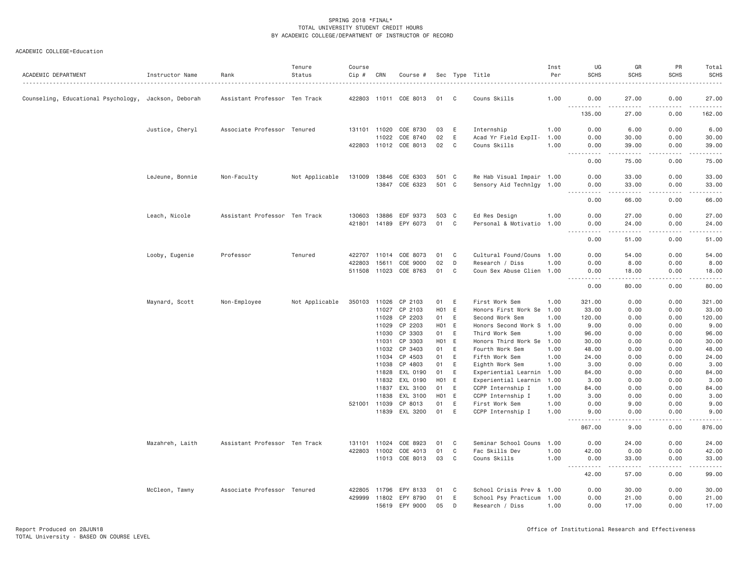| ACADEMIC DEPARTMENT                                  | Instructor Name | Rank                          | Tenure<br>Status | Course<br>Cip # | CRN            | Course #              |                  |   | Sec Type Title                               | Inst<br>Per | UG<br><b>SCHS</b>                                                                                                                                                                    | GR<br><b>SCHS</b>                                                                                                                                                                        | PR<br><b>SCHS</b>                                                                                                                                            | Total<br><b>SCHS</b><br>.                                                                                                                                      |
|------------------------------------------------------|-----------------|-------------------------------|------------------|-----------------|----------------|-----------------------|------------------|---|----------------------------------------------|-------------|--------------------------------------------------------------------------------------------------------------------------------------------------------------------------------------|------------------------------------------------------------------------------------------------------------------------------------------------------------------------------------------|--------------------------------------------------------------------------------------------------------------------------------------------------------------|----------------------------------------------------------------------------------------------------------------------------------------------------------------|
| Counseling, Educational Psychology, Jackson, Deborah |                 | Assistant Professor Ten Track |                  |                 |                | 422803 11011 COE 8013 | 01               | C | Couns Skills                                 | 1.00        | 0.00                                                                                                                                                                                 | 27.00                                                                                                                                                                                    | 0.00                                                                                                                                                         | 27.00                                                                                                                                                          |
|                                                      |                 |                               |                  |                 |                |                       |                  |   |                                              |             | .<br>135.00                                                                                                                                                                          | $\frac{1}{2} \left( \frac{1}{2} \right) \left( \frac{1}{2} \right) \left( \frac{1}{2} \right) \left( \frac{1}{2} \right) \left( \frac{1}{2} \right) \left( \frac{1}{2} \right)$<br>27.00 | 0.00                                                                                                                                                         | $\frac{1}{2} \left( \frac{1}{2} \right) \left( \frac{1}{2} \right) \left( \frac{1}{2} \right) \left( \frac{1}{2} \right) \left( \frac{1}{2} \right)$<br>162.00 |
|                                                      | Justice, Cheryl | Associate Professor Tenured   |                  |                 | 131101 11020   | COE 8730              | 03               | E | Internship                                   | 1.00        | 0.00                                                                                                                                                                                 | 6.00                                                                                                                                                                                     | 0.00                                                                                                                                                         | 6.00                                                                                                                                                           |
|                                                      |                 |                               |                  |                 | 11022          | COE 8740              | 02               | E | Acad Yr Field ExpII-                         | 1.00        | 0.00                                                                                                                                                                                 | 30.00                                                                                                                                                                                    | 0.00                                                                                                                                                         | 30.00                                                                                                                                                          |
|                                                      |                 |                               |                  |                 |                | 422803 11012 COE 8013 | 02               | C | Couns Skills                                 | 1.00        | 0.00<br>.                                                                                                                                                                            | 39.00<br>.                                                                                                                                                                               | 0.00<br>$- - - - -$                                                                                                                                          | 39.00<br>.                                                                                                                                                     |
|                                                      |                 |                               |                  |                 |                |                       |                  |   |                                              |             | 0.00                                                                                                                                                                                 | 75.00                                                                                                                                                                                    | 0.00                                                                                                                                                         | 75.00                                                                                                                                                          |
|                                                      | LeJeune, Bonnie | Non-Faculty                   | Not Applicable   | 131009          | 13846          | COE 6303              | 501 C            |   | Re Hab Visual Impair 1.00                    |             | 0.00                                                                                                                                                                                 | 33.00                                                                                                                                                                                    | 0.00                                                                                                                                                         | 33.00                                                                                                                                                          |
|                                                      |                 |                               |                  |                 |                | 13847 COE 6323        | 501 C            |   | Sensory Aid Technlgy 1.00                    |             | 0.00<br>.                                                                                                                                                                            | 33.00<br>.                                                                                                                                                                               | 0.00<br><b>.</b>                                                                                                                                             | 33.00<br>.                                                                                                                                                     |
|                                                      |                 |                               |                  |                 |                |                       |                  |   |                                              |             | 0.00                                                                                                                                                                                 | 66.00                                                                                                                                                                                    | 0.00                                                                                                                                                         | 66.00                                                                                                                                                          |
|                                                      | Leach, Nicole   | Assistant Professor Ten Track |                  | 130603          | 13886          | EDF 9373              | 503 C            |   | Ed Res Design                                | 1.00        | 0.00                                                                                                                                                                                 | 27.00                                                                                                                                                                                    | 0.00                                                                                                                                                         | 27.00                                                                                                                                                          |
|                                                      |                 |                               |                  |                 | 421801 14189   | EPY 6073              | 01               | C | Personal & Motivatio 1.00                    |             | 0.00<br>.                                                                                                                                                                            | 24.00<br>.                                                                                                                                                                               | 0.00                                                                                                                                                         | 24.00                                                                                                                                                          |
|                                                      |                 |                               |                  |                 |                |                       |                  |   |                                              |             | 0.00                                                                                                                                                                                 | 51.00                                                                                                                                                                                    | 0.00                                                                                                                                                         | 51.00                                                                                                                                                          |
|                                                      | Looby, Eugenie  | Professor                     | Tenured          | 422707          | 11014          | COE 8073              | 01               | C | Cultural Found/Couns 1.00                    |             | 0.00                                                                                                                                                                                 | 54.00                                                                                                                                                                                    | 0.00                                                                                                                                                         | 54.00                                                                                                                                                          |
|                                                      |                 |                               |                  | 422803          | 15611          | COE 9000              | 02               | D | Research / Diss                              | 1.00        | 0.00                                                                                                                                                                                 | 8.00                                                                                                                                                                                     | 0.00                                                                                                                                                         | 8.00                                                                                                                                                           |
|                                                      |                 |                               |                  |                 | 511508 11023   | COE 8763              | 01               | C | Coun Sex Abuse Clien 1.00                    |             | 0.00                                                                                                                                                                                 | 18.00                                                                                                                                                                                    | 0.00<br>-----                                                                                                                                                | 18.00                                                                                                                                                          |
|                                                      |                 |                               |                  |                 |                |                       |                  |   |                                              |             | .<br>0.00                                                                                                                                                                            | -----<br>80.00                                                                                                                                                                           | 0.00                                                                                                                                                         | .<br>80.00                                                                                                                                                     |
|                                                      | Maynard, Scott  | Non-Employee                  | Not Applicable   | 350103          | 11026          | CP 2103               | 01               | E | First Work Sem                               | 1.00        | 321.00                                                                                                                                                                               | 0.00                                                                                                                                                                                     | 0.00                                                                                                                                                         | 321.00                                                                                                                                                         |
|                                                      |                 |                               |                  |                 |                | 11027 CP 2103         | H01 E            |   | Honors First Work Se 1.00                    |             | 33.00                                                                                                                                                                                | 0.00                                                                                                                                                                                     | 0.00                                                                                                                                                         | 33.00                                                                                                                                                          |
|                                                      |                 |                               |                  |                 | 11028          | CP 2203               | 01               | E | Second Work Sem                              | 1.00        | 120.00                                                                                                                                                                               | 0.00                                                                                                                                                                                     | 0.00                                                                                                                                                         | 120.00                                                                                                                                                         |
|                                                      |                 |                               |                  |                 | 11029          | CP 2203               | H01 E            |   | Honors Second Work S 1.00                    |             | 9.00                                                                                                                                                                                 | 0.00                                                                                                                                                                                     | 0.00                                                                                                                                                         | 9.00                                                                                                                                                           |
|                                                      |                 |                               |                  |                 | 11030          | CP 3303               | 01               | E | Third Work Sem                               | 1.00        | 96.00                                                                                                                                                                                | 0.00                                                                                                                                                                                     | 0.00                                                                                                                                                         | 96.00                                                                                                                                                          |
|                                                      |                 |                               |                  |                 | 11031<br>11032 | CP 3303<br>CP 3403    | H01 E<br>01      | Ε | Honors Third Work Se 1.00<br>Fourth Work Sem | 1.00        | 30.00<br>48.00                                                                                                                                                                       | 0.00<br>0.00                                                                                                                                                                             | 0.00<br>0.00                                                                                                                                                 | 30.00<br>48.00                                                                                                                                                 |
|                                                      |                 |                               |                  |                 | 11034          | CP 4503               | 01               | Ε | Fifth Work Sem                               | 1.00        | 24.00                                                                                                                                                                                | 0.00                                                                                                                                                                                     | 0.00                                                                                                                                                         | 24.00                                                                                                                                                          |
|                                                      |                 |                               |                  |                 | 11038          | CP 4803               | 01               | E | Eighth Work Sem                              | 1.00        | 3,00                                                                                                                                                                                 | 0.00                                                                                                                                                                                     | 0.00                                                                                                                                                         | 3.00                                                                                                                                                           |
|                                                      |                 |                               |                  |                 | 11828          | EXL 0190              | 01               | E | Experiential Learnin                         | 1.00        | 84.00                                                                                                                                                                                | 0.00                                                                                                                                                                                     | 0.00                                                                                                                                                         | 84.00                                                                                                                                                          |
|                                                      |                 |                               |                  |                 | 11832          | EXL 0190              | H <sub>0</sub> 1 | E | Experiential Learnin                         | 1.00        | 3.00                                                                                                                                                                                 | 0.00                                                                                                                                                                                     | 0.00                                                                                                                                                         | 3.00                                                                                                                                                           |
|                                                      |                 |                               |                  |                 | 11837          | EXL 3100              | 01               | Ε | CCPP Internship I                            | 1.00        | 84.00                                                                                                                                                                                | 0.00                                                                                                                                                                                     | 0.00                                                                                                                                                         | 84.00                                                                                                                                                          |
|                                                      |                 |                               |                  |                 | 11838          | EXL 3100              | H <sub>0</sub> 1 | E | CCPP Internship I                            | 1.00        | 3,00                                                                                                                                                                                 | 0.00                                                                                                                                                                                     | 0.00                                                                                                                                                         | 3.00                                                                                                                                                           |
|                                                      |                 |                               |                  |                 | 521001 11039   | CP 8013               | 01               | E | First Work Sem                               | 1.00        | 0.00                                                                                                                                                                                 | 9.00                                                                                                                                                                                     | 0.00                                                                                                                                                         | 9.00                                                                                                                                                           |
|                                                      |                 |                               |                  |                 |                | 11839 EXL 3200        | 01               | E | CCPP Internship I                            | 1.00        | 9.00<br>.                                                                                                                                                                            | 0.00<br>.                                                                                                                                                                                | 0.00<br>$\frac{1}{2} \left( \frac{1}{2} \right) \left( \frac{1}{2} \right) \left( \frac{1}{2} \right) \left( \frac{1}{2} \right) \left( \frac{1}{2} \right)$ | 9.00<br>.                                                                                                                                                      |
|                                                      |                 |                               |                  |                 |                |                       |                  |   |                                              |             | 867.00                                                                                                                                                                               | 9.00                                                                                                                                                                                     | 0.00                                                                                                                                                         | 876.00                                                                                                                                                         |
|                                                      | Mazahreh, Laith | Assistant Professor Ten Track |                  | 131101          | 11024          | COE 8923              | 01               | C | Seminar School Couns 1.00                    |             | 0.00                                                                                                                                                                                 | 24.00                                                                                                                                                                                    | 0.00                                                                                                                                                         | 24.00                                                                                                                                                          |
|                                                      |                 |                               |                  |                 | 422803 11002   | COE 4013              | 01               | C | Fac Skills Dev                               | 1.00        | 42.00                                                                                                                                                                                | 0.00                                                                                                                                                                                     | 0.00                                                                                                                                                         | 42.00                                                                                                                                                          |
|                                                      |                 |                               |                  |                 |                | 11013 COE 8013        | 03               | C | Couns Skills                                 | 1.00        | 0.00<br>$\sim$ $\sim$ $\sim$<br>$\frac{1}{2} \left( \frac{1}{2} \right) \left( \frac{1}{2} \right) \left( \frac{1}{2} \right) \left( \frac{1}{2} \right) \left( \frac{1}{2} \right)$ | 33.00<br>-----                                                                                                                                                                           | 0.00<br>.                                                                                                                                                    | 33.00                                                                                                                                                          |
|                                                      |                 |                               |                  |                 |                |                       |                  |   |                                              |             | 42.00                                                                                                                                                                                | 57.00                                                                                                                                                                                    | 0.00                                                                                                                                                         | 99.00                                                                                                                                                          |
|                                                      | McCleon, Tawny  | Associate Professor Tenured   |                  | 422805          | 11796          | EPY 8133              | 01               | C | School Crisis Prev & 1.00                    |             | 0.00                                                                                                                                                                                 | 30.00                                                                                                                                                                                    | 0.00                                                                                                                                                         | 30.00                                                                                                                                                          |
|                                                      |                 |                               |                  | 429999          | 11802          | EPY 8790              | 01               | E | School Psy Practicum 1.00                    |             | 0.00                                                                                                                                                                                 | 21.00                                                                                                                                                                                    | 0.00                                                                                                                                                         | 21.00                                                                                                                                                          |
|                                                      |                 |                               |                  |                 | 15619          | EPY 9000              | 05               | D | Research / Diss                              | 1.00        | 0.00                                                                                                                                                                                 | 17.00                                                                                                                                                                                    | 0.00                                                                                                                                                         | 17.00                                                                                                                                                          |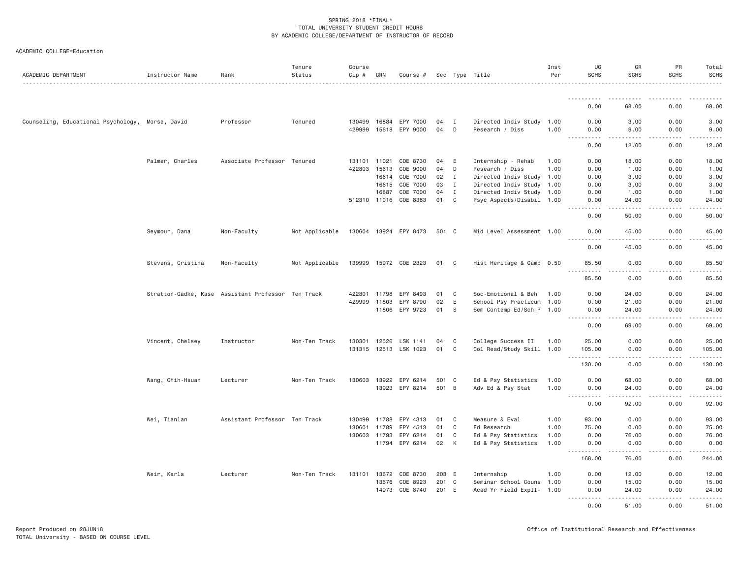| ACADEMIC DEPARTMENT                              | Instructor Name                                    | Rank                          | Tenure<br>Status | Course<br>Cip # | CRN   | Course #              |       |                | Sec Type Title            | Inst<br>Per | UG<br><b>SCHS</b>                                                                                                                                                                    | GR<br><b>SCHS</b>                                                                                                                                             | PR<br><b>SCHS</b>                                                                                                                                            | Total<br><b>SCHS</b>                                                                                                                                                                      |
|--------------------------------------------------|----------------------------------------------------|-------------------------------|------------------|-----------------|-------|-----------------------|-------|----------------|---------------------------|-------------|--------------------------------------------------------------------------------------------------------------------------------------------------------------------------------------|---------------------------------------------------------------------------------------------------------------------------------------------------------------|--------------------------------------------------------------------------------------------------------------------------------------------------------------|-------------------------------------------------------------------------------------------------------------------------------------------------------------------------------------------|
|                                                  |                                                    |                               |                  |                 |       |                       |       |                |                           |             |                                                                                                                                                                                      |                                                                                                                                                               |                                                                                                                                                              |                                                                                                                                                                                           |
|                                                  |                                                    |                               |                  |                 |       |                       |       |                |                           |             | 0.00                                                                                                                                                                                 | 68.00                                                                                                                                                         | 0.00                                                                                                                                                         | 68.00                                                                                                                                                                                     |
| Counseling, Educational Psychology, Morse, David |                                                    | Professor                     | Tenured          | 130499          | 16884 | EPY 7000              | 04    | I              | Directed Indiv Study 1.00 |             | 0.00                                                                                                                                                                                 | 3.00                                                                                                                                                          | 0.00                                                                                                                                                         | 3.00                                                                                                                                                                                      |
|                                                  |                                                    |                               |                  | 429999          | 15618 | EPY 9000              | 04    | D              | Research / Diss           | 1.00        | 0.00<br>$\sim$ $\sim$ .<br>$\sim$ $\sim$ $\sim$ $\sim$                                                                                                                               | 9.00<br>.                                                                                                                                                     | 0.00<br>$\frac{1}{2} \left( \frac{1}{2} \right) \left( \frac{1}{2} \right) \left( \frac{1}{2} \right) \left( \frac{1}{2} \right) \left( \frac{1}{2} \right)$ | 9.00<br>د د د د                                                                                                                                                                           |
|                                                  |                                                    |                               |                  |                 |       |                       |       |                |                           |             | 0.00                                                                                                                                                                                 | 12.00                                                                                                                                                         | 0.00                                                                                                                                                         | 12.00                                                                                                                                                                                     |
|                                                  | Palmer, Charles                                    | Associate Professor Tenured   |                  | 131101          | 11021 | COE 8730              | 04    | E              | Internship - Rehab        | 1.00        | 0.00                                                                                                                                                                                 | 18,00                                                                                                                                                         | 0.00                                                                                                                                                         | 18.00                                                                                                                                                                                     |
|                                                  |                                                    |                               |                  | 422803          | 15613 | COE 9000              | 04    | D              | Research / Diss           | 1.00        | 0.00                                                                                                                                                                                 | 1.00                                                                                                                                                          | 0.00                                                                                                                                                         | 1.00                                                                                                                                                                                      |
|                                                  |                                                    |                               |                  |                 | 16614 | COE 7000              | 02    | $\mathbf{I}$   | Directed Indiv Study 1.00 |             | 0.00                                                                                                                                                                                 | 3.00                                                                                                                                                          | 0.00                                                                                                                                                         | 3.00                                                                                                                                                                                      |
|                                                  |                                                    |                               |                  |                 | 16615 | COE 7000              | 03    | $\mathbf{I}$   | Directed Indiv Study 1.00 |             | 0.00                                                                                                                                                                                 | 3.00                                                                                                                                                          | 0.00                                                                                                                                                         | 3.00                                                                                                                                                                                      |
|                                                  |                                                    |                               |                  |                 | 16887 | COE 7000              | 04    | $\mathbf{I}$   | Directed Indiv Study 1.00 |             | 0.00                                                                                                                                                                                 | 1.00                                                                                                                                                          | 0.00                                                                                                                                                         | 1.00                                                                                                                                                                                      |
|                                                  |                                                    |                               |                  |                 |       | 512310 11016 COE 8363 | 01    | C              | Psyc Aspects/Disabil 1.00 |             | 0.00<br>.                                                                                                                                                                            | 24.00<br>$- - - - -$                                                                                                                                          | 0.00<br>.                                                                                                                                                    | 24.00<br>.                                                                                                                                                                                |
|                                                  |                                                    |                               |                  |                 |       |                       |       |                |                           |             | 0.00                                                                                                                                                                                 | 50.00                                                                                                                                                         | 0.00                                                                                                                                                         | 50.00                                                                                                                                                                                     |
|                                                  | Seymour, Dana                                      | Non-Faculty                   | Not Applicable   |                 |       | 130604 13924 EPY 8473 | 501 C |                | Mid Level Assessment 1.00 |             | 0.00<br>-----<br><u>.</u>                                                                                                                                                            | 45.00<br><u>.</u>                                                                                                                                             | 0.00<br>$- - - - -$                                                                                                                                          | 45.00<br>.                                                                                                                                                                                |
|                                                  |                                                    |                               |                  |                 |       |                       |       |                |                           |             | 0.00                                                                                                                                                                                 | 45.00                                                                                                                                                         | 0.00                                                                                                                                                         | 45.00                                                                                                                                                                                     |
|                                                  | Stevens, Cristina                                  | Non-Faculty                   | Not Applicable   |                 |       | 139999 15972 COE 2323 | 01    | C <sub>1</sub> | Hist Heritage & Camp 0.50 |             | 85.50                                                                                                                                                                                | 0.00                                                                                                                                                          | 0.00                                                                                                                                                         | 85.50                                                                                                                                                                                     |
|                                                  |                                                    |                               |                  |                 |       |                       |       |                |                           |             | .<br>85.50                                                                                                                                                                           | .<br>0.00                                                                                                                                                     | .<br>0.00                                                                                                                                                    | .<br>85.50                                                                                                                                                                                |
|                                                  | Stratton-Gadke, Kase Assistant Professor Ten Track |                               |                  | 422801          | 11798 | EPY 8493              | 01    | C              | Soc-Emotional & Beh       | 1.00        | 0.00                                                                                                                                                                                 | 24.00                                                                                                                                                         | 0.00                                                                                                                                                         | 24.00                                                                                                                                                                                     |
|                                                  |                                                    |                               |                  | 429999          | 11803 | EPY 8790              | 02    | E              | School Psy Practicum 1.00 |             | 0.00                                                                                                                                                                                 | 21.00                                                                                                                                                         | 0.00                                                                                                                                                         | 21.00                                                                                                                                                                                     |
|                                                  |                                                    |                               |                  |                 |       | 11806 EPY 9723        | 01    | S              | Sem Contemp Ed/Sch P 1.00 |             | 0.00<br><u>.</u>                                                                                                                                                                     | 24.00<br>.                                                                                                                                                    | 0.00<br>$\frac{1}{2} \left( \frac{1}{2} \right) \left( \frac{1}{2} \right) \left( \frac{1}{2} \right) \left( \frac{1}{2} \right) \left( \frac{1}{2} \right)$ | 24.00<br>.                                                                                                                                                                                |
|                                                  |                                                    |                               |                  |                 |       |                       |       |                |                           |             | 0.00                                                                                                                                                                                 | 69.00                                                                                                                                                         | 0.00                                                                                                                                                         | 69.00                                                                                                                                                                                     |
|                                                  | Vincent, Chelsey                                   | Instructor                    | Non-Ten Track    | 130301          | 12526 | LSK 1141              | 04    | C              | College Success II        | 1.00        | 25.00                                                                                                                                                                                | 0.00                                                                                                                                                          | 0.00                                                                                                                                                         | 25.00                                                                                                                                                                                     |
|                                                  |                                                    |                               |                  | 131315          | 12513 | LSK 1023              | 01    | C              | Col Read/Study Skill 1.00 |             | 105.00<br><u>.</u>                                                                                                                                                                   | 0.00<br>.                                                                                                                                                     | 0.00<br>-----                                                                                                                                                | 105.00                                                                                                                                                                                    |
|                                                  |                                                    |                               |                  |                 |       |                       |       |                |                           |             | 130.00                                                                                                                                                                               | 0.00                                                                                                                                                          | 0.00                                                                                                                                                         | $\frac{1}{2} \left( \frac{1}{2} \right) \left( \frac{1}{2} \right) \left( \frac{1}{2} \right) \left( \frac{1}{2} \right) \left( \frac{1}{2} \right) \left( \frac{1}{2} \right)$<br>130.00 |
|                                                  | Wang, Chih-Hsuan                                   | Lecturer                      | Non-Ten Track    | 130603 13922    |       | EPY 6214              | 501 C |                | Ed & Psy Statistics       | 1.00        | 0.00                                                                                                                                                                                 | 68.00                                                                                                                                                         | 0.00                                                                                                                                                         | 68.00                                                                                                                                                                                     |
|                                                  |                                                    |                               |                  |                 | 13923 | EPY 8214              | 501 B |                | Adv Ed & Psy Stat         | 1.00        | 0.00<br>$\omega$ is a set of<br>$\frac{1}{2} \left( \frac{1}{2} \right) \left( \frac{1}{2} \right) \left( \frac{1}{2} \right) \left( \frac{1}{2} \right) \left( \frac{1}{2} \right)$ | 24.00<br>$\frac{1}{2} \left( \frac{1}{2} \right) \left( \frac{1}{2} \right) \left( \frac{1}{2} \right) \left( \frac{1}{2} \right) \left( \frac{1}{2} \right)$ | 0.00<br>$2 - 2 - 2 - 2$                                                                                                                                      | 24.00<br>.                                                                                                                                                                                |
|                                                  |                                                    |                               |                  |                 |       |                       |       |                |                           |             | 0.00                                                                                                                                                                                 | 92.00                                                                                                                                                         | 0.00                                                                                                                                                         | 92.00                                                                                                                                                                                     |
|                                                  | Wei, Tianlan                                       | Assistant Professor Ten Track |                  | 130499          | 11788 | EPY 4313              | 01    | C              | Measure & Eval            | 1.00        | 93.00                                                                                                                                                                                | 0.00                                                                                                                                                          | 0.00                                                                                                                                                         | 93.00                                                                                                                                                                                     |
|                                                  |                                                    |                               |                  | 130601          | 11789 | EPY 4513              | 01    | C              | Ed Research               | 1.00        | 75.00                                                                                                                                                                                | 0.00                                                                                                                                                          | 0.00                                                                                                                                                         | 75.00                                                                                                                                                                                     |
|                                                  |                                                    |                               |                  | 130603 11793    |       | EPY 6214              | 01    | C              | Ed & Psy Statistics       | 1.00        | 0.00                                                                                                                                                                                 | 76.00                                                                                                                                                         | 0.00                                                                                                                                                         | 76.00                                                                                                                                                                                     |
|                                                  |                                                    |                               |                  |                 | 11794 | EPY 6214              | 02    | К              | Ed & Psy Statistics       | 1.00        | 0.00<br><u>.</u>                                                                                                                                                                     | 0.00<br>$\frac{1}{2} \left( \frac{1}{2} \right) \left( \frac{1}{2} \right) \left( \frac{1}{2} \right) \left( \frac{1}{2} \right) \left( \frac{1}{2} \right)$  | 0.00<br><b><i><u>.</u></i></b>                                                                                                                               | 0.00<br>$\frac{1}{2} \left( \frac{1}{2} \right) \left( \frac{1}{2} \right) \left( \frac{1}{2} \right) \left( \frac{1}{2} \right) \left( \frac{1}{2} \right)$                              |
|                                                  |                                                    |                               |                  |                 |       |                       |       |                |                           |             | 168.00                                                                                                                                                                               | 76.00                                                                                                                                                         | 0.00                                                                                                                                                         | 244.00                                                                                                                                                                                    |
|                                                  | Weir, Karla                                        | Lecturer                      | Non-Ten Track    | 131101          | 13672 | COE 8730              | 203 E |                | Internship                | 1.00        | 0.00                                                                                                                                                                                 | 12.00                                                                                                                                                         | 0.00                                                                                                                                                         | 12.00                                                                                                                                                                                     |
|                                                  |                                                    |                               |                  |                 | 13676 | COE 8923              | 201   | $\mathbf{C}$   | Seminar School Couns 1.00 |             | 0.00                                                                                                                                                                                 | 15.00                                                                                                                                                         | 0.00                                                                                                                                                         | 15.00                                                                                                                                                                                     |
|                                                  |                                                    |                               |                  |                 | 14973 | COE 8740              | 201 E |                | Acad Yr Field ExpII- 1.00 |             | 0.00<br>.                                                                                                                                                                            | 24.00<br>.                                                                                                                                                    | 0.00<br>$2 - 2 - 2 - 2$                                                                                                                                      | 24.00<br>.                                                                                                                                                                                |
|                                                  |                                                    |                               |                  |                 |       |                       |       |                |                           |             | 0.00                                                                                                                                                                                 | 51.00                                                                                                                                                         | 0.00                                                                                                                                                         | 51.00                                                                                                                                                                                     |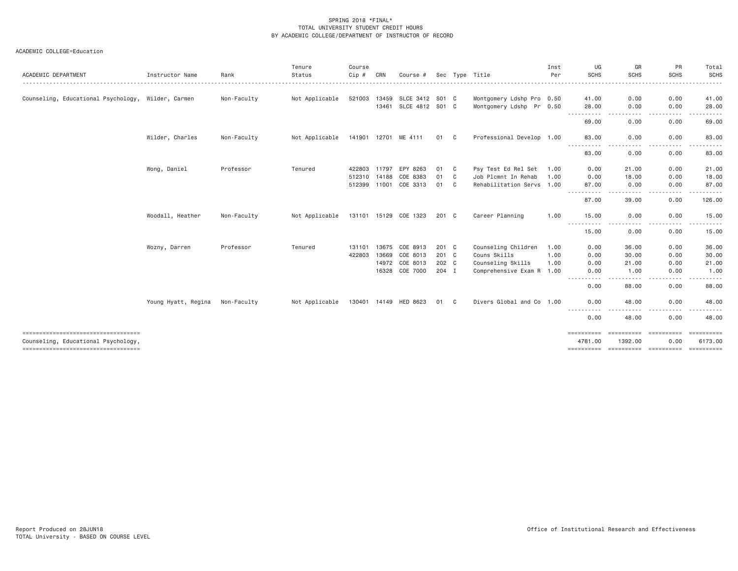| Instructor Name                                    | Rank        | Tenure<br>Status | Course<br>Cip# | CRN   | Course #                                              |                                                                                   |                |                                                                               | Inst<br>Per    | UG<br><b>SCHS</b>                                                                                                                                                         | GR<br><b>SCHS</b>                    | PR<br><b>SCHS</b>                                                                  | Total<br><b>SCHS</b>                                 |
|----------------------------------------------------|-------------|------------------|----------------|-------|-------------------------------------------------------|-----------------------------------------------------------------------------------|----------------|-------------------------------------------------------------------------------|----------------|---------------------------------------------------------------------------------------------------------------------------------------------------------------------------|--------------------------------------|------------------------------------------------------------------------------------|------------------------------------------------------|
|                                                    |             |                  |                |       |                                                       |                                                                                   |                |                                                                               |                |                                                                                                                                                                           |                                      |                                                                                    |                                                      |
| Counseling, Educational Psychology, Wilder, Carmen | Non-Faculty | Not Applicable   | 521003         | 13459 |                                                       |                                                                                   |                |                                                                               |                | 41.00                                                                                                                                                                     | 0.00                                 | 0.00                                                                               | 41.00                                                |
|                                                    |             |                  |                | 13461 |                                                       |                                                                                   |                |                                                                               |                | 28.00                                                                                                                                                                     | 0.00                                 | 0.00                                                                               | 28.00                                                |
|                                                    |             |                  |                |       |                                                       |                                                                                   |                |                                                                               |                | 69.00                                                                                                                                                                     | 0.00                                 | 0.00                                                                               | . <u>.</u><br>69.00                                  |
| Wilder, Charles                                    | Non-Faculty | Not Applicable   |                |       |                                                       |                                                                                   |                |                                                                               |                | 83.00                                                                                                                                                                     | 0.00                                 | 0.00                                                                               | 83.00                                                |
|                                                    |             |                  |                |       |                                                       |                                                                                   |                |                                                                               |                | 83.00                                                                                                                                                                     | 0.00                                 | 0.00                                                                               | $- - - - -$<br>83.00                                 |
| Wong, Daniel                                       | Professor   | Tenured          | 422803         |       |                                                       | 01                                                                                | C              | Psy Test Ed Rel Set                                                           | 1.00           | 0.00                                                                                                                                                                      | 21.00                                | 0.00                                                                               | 21.00                                                |
|                                                    |             |                  |                |       | COE 8383                                              | 01                                                                                | C              | Job Plcmnt In Rehab                                                           | 1.00           | 0.00                                                                                                                                                                      | 18.00                                | 0.00                                                                               | 18.00                                                |
|                                                    |             |                  |                |       | COE 3313                                              | 01                                                                                | C              |                                                                               |                | 87.00                                                                                                                                                                     | 0.00                                 | 0.00                                                                               | 87.00                                                |
|                                                    |             |                  |                |       |                                                       |                                                                                   |                |                                                                               |                | 87.00                                                                                                                                                                     | 39,00                                | 0.00                                                                               | .<br>126.00                                          |
| Woodall, Heather                                   | Non-Faculty | Not Applicable   |                |       |                                                       |                                                                                   |                | Career Planning                                                               | 1.00           | 15.00                                                                                                                                                                     | 0.00                                 | 0.00                                                                               | 15.00                                                |
|                                                    |             |                  |                |       |                                                       |                                                                                   |                |                                                                               |                | 15.00                                                                                                                                                                     | 0.00                                 | 0.00                                                                               | .<br>15.00                                           |
| Wozny, Darren                                      | Professor   | Tenured          | 131101         | 13675 | COE 8913                                              |                                                                                   |                | Counseling Children                                                           | 1.00           | 0.00                                                                                                                                                                      | 36.00                                | 0.00                                                                               | 36.00                                                |
|                                                    |             |                  | 422803         | 13669 | COE 8013                                              |                                                                                   |                | Couns Skills                                                                  | 1.00           | 0.00                                                                                                                                                                      | 30.00                                | 0.00                                                                               | 30.00                                                |
|                                                    |             |                  |                | 14972 |                                                       |                                                                                   |                | Counseling Skills                                                             | 1.00           | 0.00                                                                                                                                                                      | 21.00                                | 0.00                                                                               | 21.00                                                |
|                                                    |             |                  |                | 16328 | COE 7000                                              |                                                                                   |                |                                                                               |                | 0.00                                                                                                                                                                      | 1.00                                 | 0.00                                                                               | 1,00                                                 |
|                                                    |             |                  |                |       |                                                       |                                                                                   |                |                                                                               |                | 0.00                                                                                                                                                                      | 88.00                                | 0.00                                                                               | . <u>.</u> .<br>88.00                                |
| Young Hyatt, Regina                                | Non-Faculty | Not Applicable   |                |       |                                                       | 01                                                                                | C <sub>1</sub> |                                                                               |                | 0.00                                                                                                                                                                      | 48.00                                | 0.00                                                                               | 48.00                                                |
|                                                    |             |                  |                |       |                                                       |                                                                                   |                |                                                                               |                | 0.00                                                                                                                                                                      | 48.00                                | 0.00                                                                               | 48.00                                                |
|                                                    |             |                  |                |       |                                                       |                                                                                   |                |                                                                               |                | ==========                                                                                                                                                                |                                      |                                                                                    | ESSESSESS                                            |
|                                                    |             |                  |                |       |                                                       |                                                                                   |                |                                                                               |                | 4781.00                                                                                                                                                                   | 1392.00                              | 0.00                                                                               | 6173.00                                              |
|                                                    |             |                  |                |       | 141901 12701<br>11797<br>512310 14188<br>512399 11001 | ME 4111<br>EPY 8263<br>131101 15129 COE 1323<br>COE 8013<br>130401 14149 HED 8623 | SLCE 3412      | S01 C<br>SLCE 4812 S01 C<br>01 C<br>201 C<br>201 C<br>201 C<br>202 C<br>204 I | Sec Type Title | Montgomery Ldshp Pro 0.50<br>Montgomery Ldshp Pr 0.50<br>Professional Develop 1.00<br>Rehabilitation Servs 1.00<br>Comprehensive Exam R 1.00<br>Divers Global and Co 1.00 | .<br>$- - -$<br>-----<br>.<br>.<br>. | . <b>.</b> .<br><u>.</u><br>.<br>.<br>==========<br>==========<br><b>ESSESSEES</b> | .<br>.<br><u>.</u><br>.<br>-----------<br>========== |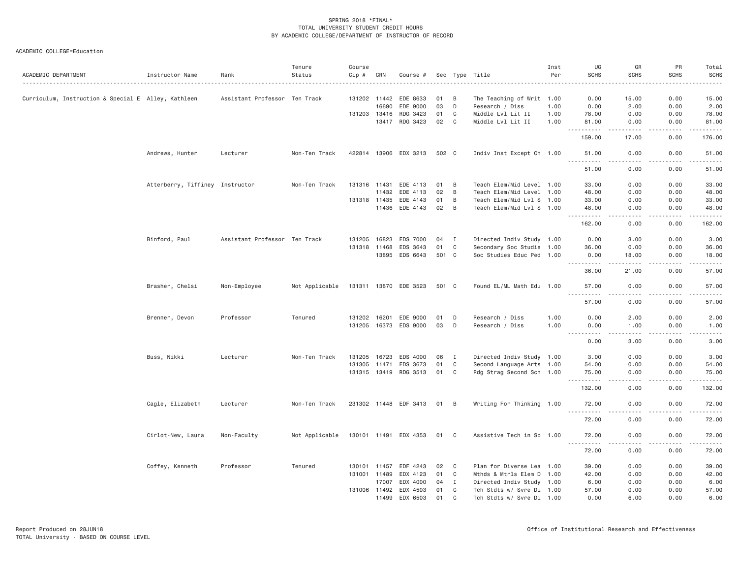| ACADEMIC DEPARTMENT                                 | Instructor Name                 | Rank                          | Tenure<br>Status | Course<br>Cip # | CRN          | Course #              |       |                | Sec Type Title            | Inst<br>Per | UG<br><b>SCHS</b>                                                                                                                                                                                                                                                                                                                             | GR<br><b>SCHS</b>                   | PR<br><b>SCHS</b> | Total<br><b>SCHS</b> |
|-----------------------------------------------------|---------------------------------|-------------------------------|------------------|-----------------|--------------|-----------------------|-------|----------------|---------------------------|-------------|-----------------------------------------------------------------------------------------------------------------------------------------------------------------------------------------------------------------------------------------------------------------------------------------------------------------------------------------------|-------------------------------------|-------------------|----------------------|
|                                                     |                                 |                               |                  |                 |              |                       |       |                |                           |             |                                                                                                                                                                                                                                                                                                                                               |                                     |                   |                      |
| Curriculum, Instruction & Special E Alley, Kathleen |                                 | Assistant Professor Ten Track |                  |                 | 131202 11442 | EDE 8633              | 01    | $\overline{B}$ | The Teaching of Writ 1.00 |             | 0.00                                                                                                                                                                                                                                                                                                                                          | 15.00                               | 0.00              | 15.00                |
|                                                     |                                 |                               |                  |                 | 16690        | EDE 9000              | 03    | D              | Research / Diss           | 1.00        | 0.00                                                                                                                                                                                                                                                                                                                                          | 2.00                                | 0.00              | 2.00                 |
|                                                     |                                 |                               |                  |                 |              | 131203 13416 RDG 3423 | 01    | C              | Middle Lvl Lit II         | 1.00        | 78.00                                                                                                                                                                                                                                                                                                                                         | 0.00                                | 0.00              | 78.00                |
|                                                     |                                 |                               |                  |                 |              | 13417 RDG 3423        | 02    | $\mathbf{C}$   | Middle Lvl Lit II         | 1.00        | 81.00                                                                                                                                                                                                                                                                                                                                         | 0.00<br>.                           | 0.00              | 81.00                |
|                                                     |                                 |                               |                  |                 |              |                       |       |                |                           |             | 159.00                                                                                                                                                                                                                                                                                                                                        | 17.00                               | 0.00              | 176.00               |
|                                                     | Andrews, Hunter                 | Lecturer                      | Non-Ten Track    |                 |              | 422814 13906 EDX 3213 | 502 C |                | Indiv Inst Except Ch 1.00 |             | 51.00<br>.                                                                                                                                                                                                                                                                                                                                    | 0.00<br>$- - - -$                   | 0.00<br>.         | 51.00<br>.           |
|                                                     |                                 |                               |                  |                 |              |                       |       |                |                           |             | 51.00                                                                                                                                                                                                                                                                                                                                         | 0.00                                | 0.00              | 51.00                |
|                                                     | Atterberry, Tiffiney Instructor |                               | Non-Ten Track    |                 | 131316 11431 | EDE 4113              | 01    | B              | Teach Elem/Mid Level 1.00 |             | 33.00                                                                                                                                                                                                                                                                                                                                         | 0.00                                | 0.00              | 33.00                |
|                                                     |                                 |                               |                  |                 | 11432        | EDE 4113              | 02    | B              | Teach Elem/Mid Level 1.00 |             | 48.00                                                                                                                                                                                                                                                                                                                                         | 0.00                                | 0.00              | 48.00                |
|                                                     |                                 |                               |                  |                 | 131318 11435 | EDE 4143              | 01    | B              | Teach Elem/Mid Lvl S 1.00 |             | 33.00                                                                                                                                                                                                                                                                                                                                         | 0.00                                | 0.00              | 33.00                |
|                                                     |                                 |                               |                  |                 |              | 11436 EDE 4143        | 02    | B              | Teach Elem/Mid Lvl S 1.00 |             | 48.00<br>$\frac{1}{2} \left( \begin{array}{ccc} 1 & 0 & 0 & 0 \\ 0 & 0 & 0 & 0 \\ 0 & 0 & 0 & 0 \\ 0 & 0 & 0 & 0 \\ 0 & 0 & 0 & 0 \\ 0 & 0 & 0 & 0 \\ 0 & 0 & 0 & 0 \\ 0 & 0 & 0 & 0 \\ 0 & 0 & 0 & 0 \\ 0 & 0 & 0 & 0 \\ 0 & 0 & 0 & 0 & 0 \\ 0 & 0 & 0 & 0 & 0 \\ 0 & 0 & 0 & 0 & 0 \\ 0 & 0 & 0 & 0 & 0 \\ 0 & 0 & 0 & 0 & 0 \\ 0 & 0 & 0$ | 0.00<br>د د د د                     | 0.00<br>.         | 48.00<br>.           |
|                                                     |                                 |                               |                  |                 |              |                       |       |                |                           |             | 162.00                                                                                                                                                                                                                                                                                                                                        | 0.00                                | 0.00              | 162.00               |
|                                                     | Binford, Paul                   | Assistant Professor Ten Track |                  | 131205          | 16823        | EDS 7000              | 04    | $\mathbf{I}$   | Directed Indiv Study 1.00 |             | 0.00                                                                                                                                                                                                                                                                                                                                          | 3.00                                | 0.00              | 3.00                 |
|                                                     |                                 |                               |                  |                 | 131318 11468 | EDS 3643              | 01    | C              | Secondary Soc Studie 1.00 |             | 36.00                                                                                                                                                                                                                                                                                                                                         | 0.00                                | 0.00              | 36.00                |
|                                                     |                                 |                               |                  |                 |              | 13895 EDS 6643        | 501 C |                | Soc Studies Educ Ped 1.00 |             | 0.00                                                                                                                                                                                                                                                                                                                                          | 18.00                               | 0.00              | 18.00                |
|                                                     |                                 |                               |                  |                 |              |                       |       |                |                           |             | .<br>36.00                                                                                                                                                                                                                                                                                                                                    | $\cdots$<br>21.00                   | 0.00              | .<br>57.00           |
|                                                     | Brasher, Chelsi                 | Non-Employee                  | Not Applicable   |                 |              | 131311 13870 EDE 3523 | 501 C |                | Found EL/ML Math Edu 1.00 |             | 57.00                                                                                                                                                                                                                                                                                                                                         | 0.00                                | 0.00              | 57.00                |
|                                                     |                                 |                               |                  |                 |              |                       |       |                |                           |             | $\sim$ $\sim$ $\sim$<br>57.00                                                                                                                                                                                                                                                                                                                 | 0.00                                | 0.00              | 57.00                |
|                                                     | Brenner, Devon                  | Professor                     | Tenured          |                 |              | 131202 16201 EDE 9000 | 01    | D              | Research / Diss           | 1.00        | 0.00                                                                                                                                                                                                                                                                                                                                          | 2.00                                | 0.00              | 2.00                 |
|                                                     |                                 |                               |                  |                 |              | 131205 16373 EDS 9000 | 03    | D              | Research / Diss           | 1.00        | 0.00                                                                                                                                                                                                                                                                                                                                          | 1.00                                | 0.00              | 1.00                 |
|                                                     |                                 |                               |                  |                 |              |                       |       |                |                           |             | $- - - -$<br>0.00                                                                                                                                                                                                                                                                                                                             | $\sim$ $\sim$ $\sim$ $\sim$<br>3.00 | 0.00              | 3.00                 |
|                                                     |                                 |                               |                  |                 |              |                       |       |                |                           |             |                                                                                                                                                                                                                                                                                                                                               |                                     |                   |                      |
|                                                     | Buss, Nikki                     | Lecturer                      | Non-Ten Track    | 131205 16723    |              | EDS 4000              | 06    | $\mathbf{I}$   | Directed Indiv Study 1.00 |             | 3.00                                                                                                                                                                                                                                                                                                                                          | 0.00                                | 0.00              | 3.00                 |
|                                                     |                                 |                               |                  | 131305 11471    |              | EDS 3673              | 01    | C              | Second Language Arts 1.00 |             | 54.00                                                                                                                                                                                                                                                                                                                                         | 0.00                                | 0.00              | 54.00                |
|                                                     |                                 |                               |                  |                 |              | 131315 13419 RDG 3513 | 01    | C              | Rdg Strag Second Sch 1.00 |             | 75.00<br>- - - -                                                                                                                                                                                                                                                                                                                              | 0.00<br>$\cdots$                    | 0.00              | 75.00<br>.           |
|                                                     |                                 |                               |                  |                 |              |                       |       |                |                           |             | 132.00                                                                                                                                                                                                                                                                                                                                        | 0.00                                | 0.00              | 132.00               |
|                                                     | Cagle, Elizabeth                | Lecturer                      | Non-Ten Track    |                 |              | 231302 11448 EDF 3413 | 01 B  |                | Writing For Thinking 1.00 |             | 72.00<br>$\sim 100$<br>.                                                                                                                                                                                                                                                                                                                      | 0.00<br>$\sim$ $\sim$ $\sim$ $\sim$ | 0.00              | 72.00<br>.           |
|                                                     |                                 |                               |                  |                 |              |                       |       |                |                           |             | 72.00                                                                                                                                                                                                                                                                                                                                         | 0.00                                | 0.00              | 72.00                |
|                                                     | Cirlot-New, Laura               | Non-Faculty                   | Not Applicable   |                 |              | 130101 11491 EDX 4353 | 01    | $\mathbf{C}$   | Assistive Tech in Sp 1.00 |             | 72.00                                                                                                                                                                                                                                                                                                                                         | 0.00                                | 0.00              | 72.00                |
|                                                     |                                 |                               |                  |                 |              |                       |       |                |                           |             | . <b>.</b><br>72.00                                                                                                                                                                                                                                                                                                                           | د د د د<br>0.00                     | .<br>0.00         | .<br>72.00           |
|                                                     | Coffey, Kenneth                 | Professor                     | Tenured          |                 |              | 130101 11457 EDF 4243 | 02    | $\mathbf{C}$   | Plan for Diverse Lea 1.00 |             | 39.00                                                                                                                                                                                                                                                                                                                                         | 0.00                                | 0.00              | 39.00                |
|                                                     |                                 |                               |                  |                 | 131001 11489 | EDX 4123              | 01    | C              | Mthds & Mtrls Elem D 1.00 |             | 42.00                                                                                                                                                                                                                                                                                                                                         | 0.00                                | 0.00              | 42.00                |
|                                                     |                                 |                               |                  |                 | 17007        | EDX 4000              | 04    | $\mathbf{I}$   | Directed Indiv Study 1.00 |             | 6.00                                                                                                                                                                                                                                                                                                                                          | 0.00                                | 0.00              | 6.00                 |
|                                                     |                                 |                               |                  |                 |              | 131006 11492 EDX 4503 | 01    | C              | Tch Stdts w/ Svre Di 1.00 |             | 57.00                                                                                                                                                                                                                                                                                                                                         | 0.00                                | 0.00              | 57.00                |
|                                                     |                                 |                               |                  |                 | 11499        | EDX 6503              | 01    | C              | Tch Stdts w/ Svre Di 1.00 |             | 0.00                                                                                                                                                                                                                                                                                                                                          | 6.00                                | 0.00              | 6.00                 |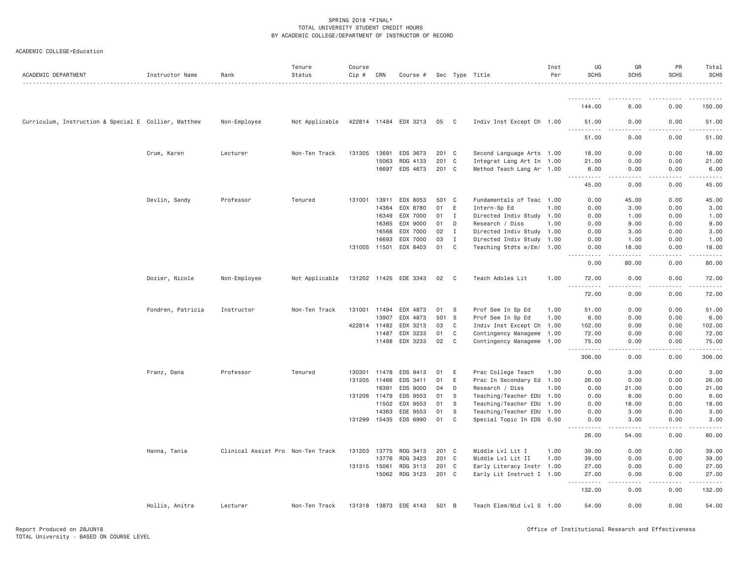| ACADEMIC DEPARTMENT                                  | Instructor Name   | Rank                              | Tenure<br>Status | Course<br>$Cip \#$ | CRN   | Course #              |       |                | Sec Type Title            | Inst<br>Per | UG<br><b>SCHS</b>                                            | GR<br><b>SCHS</b> | PR<br><b>SCHS</b> | Total<br><b>SCHS</b> |
|------------------------------------------------------|-------------------|-----------------------------------|------------------|--------------------|-------|-----------------------|-------|----------------|---------------------------|-------------|--------------------------------------------------------------|-------------------|-------------------|----------------------|
|                                                      |                   |                                   |                  |                    |       |                       |       |                |                           |             |                                                              |                   |                   |                      |
|                                                      |                   |                                   |                  |                    |       |                       |       |                |                           |             | 144.00                                                       | 6.00              | 0.00              | 150.00               |
| Curriculum, Instruction & Special E Collier, Matthew |                   | Non-Employee                      | Not Applicable   |                    |       | 422814 11484 EDX 3213 | 05    | $\mathbf{C}$   | Indiv Inst Except Ch 1.00 |             | 51.00<br>$\sim$ $\sim$ $\sim$<br>$\sim$ $\sim$ $\sim$ $\sim$ | 0.00              | 0.00              | 51.00                |
|                                                      |                   |                                   |                  |                    |       |                       |       |                |                           |             | 51.00                                                        | 0.00              | 0.00              | 51.00                |
|                                                      | Crum, Karen       | Lecturer                          | Non-Ten Track    | 131305 13691       |       | EDS 3673              | 201 C |                | Second Language Arts 1.00 |             | 18.00                                                        | 0.00              | 0.00              | 18.00                |
|                                                      |                   |                                   |                  |                    | 15063 | RDG 4133              | 201 C |                | Integrat Lang Art In 1.00 |             | 21.00                                                        | 0.00              | 0.00              | 21.00                |
|                                                      |                   |                                   |                  |                    | 16697 | EDS 4673              | 201 C |                | Method Teach Lang Ar 1.00 |             | 6.00<br><u>.</u>                                             | 0.00<br>.         | 0.00<br>.         | 6.00<br>.            |
|                                                      |                   |                                   |                  |                    |       |                       |       |                |                           |             | 45.00                                                        | 0.00              | 0.00              | 45.00                |
|                                                      | Devlin, Sandy     | Professor                         | Tenured          | 131001             | 13911 | EDX 8053              | 501 C |                | Fundamentals of Teac 1.00 |             | 0.00                                                         | 45.00             | 0.00              | 45.00                |
|                                                      |                   |                                   |                  |                    | 14364 | EDX 8780              | 01    | Ε              | Intern-Sp Ed              | 1.00        | 0.00                                                         | 3.00              | 0.00              | 3.00                 |
|                                                      |                   |                                   |                  |                    | 16349 | EDX 7000              | 01    | I              | Directed Indiv Study 1.00 |             | 0.00                                                         | 1.00              | 0.00              | 1.00                 |
|                                                      |                   |                                   |                  |                    | 16365 | EDX 9000              | 01    | D              | Research / Diss           | 1.00        | 0.00                                                         | 9.00              | 0.00              | 9.00                 |
|                                                      |                   |                                   |                  |                    | 16568 | EDX 7000              | 02    | I              | Directed Indiv Study 1.00 |             | 0.00                                                         | 3.00              | 0.00              | 3.00                 |
|                                                      |                   |                                   |                  |                    | 16693 | EDX 7000              | 03    | $\mathbf I$    | Directed Indiv Study 1.00 |             | 0.00                                                         | 1.00              | 0.00              | 1.00                 |
|                                                      |                   |                                   |                  | 131005 11501       |       | EDX 8403              | 01    | C              | Teaching Stdts w/Em/      | 1.00        | 0.00<br>.                                                    | 18.00<br><u>.</u> | 0.00<br>.         | 18.00<br>.           |
|                                                      |                   |                                   |                  |                    |       |                       |       |                |                           |             | 0.00                                                         | 80.00             | 0.00              | 80.00                |
|                                                      | Dozier, Nicole    | Non-Employee                      | Not Applicable   |                    |       | 131202 11425 EDE 3343 | 02    | $\mathbf{C}$   | Teach Adoles Lit          | 1.00        | 72.00<br>$\sim$ $\sim$ $\sim$ $\sim$                         | 0.00              | 0.00              | 72.00                |
|                                                      |                   |                                   |                  |                    |       |                       |       |                |                           |             | 72.00                                                        | 0.00              | 0.00              | 72.00                |
|                                                      | Fondren, Patricia | Instructor                        | Non-Ten Track    | 131001 11494       |       | EDX 4873              | 01    | - S            | Prof Sem In Sp Ed         | 1.00        | 51.00                                                        | 0.00              | 0.00              | 51.00                |
|                                                      |                   |                                   |                  |                    | 13907 | EDX 4873              | 501 S |                | Prof Sem In Sp Ed         | 1.00        | 6.00                                                         | 0.00              | 0.00              | 6.00                 |
|                                                      |                   |                                   |                  | 422814 11482       |       | EDX 3213              | 03    | C              | Indiv Inst Except Ch 1.00 |             | 102.00                                                       | 0.00              | 0.00              | 102.00               |
|                                                      |                   |                                   |                  |                    | 11487 | EDX 3233              | 01    | C              | Contingency Manageme 1.00 |             | 72.00                                                        | 0.00              | 0.00              | 72.00                |
|                                                      |                   |                                   |                  |                    | 11488 | EDX 3233              | 02    | C <sub>1</sub> | Contingency Manageme 1.00 |             | 75.00<br>.                                                   | 0.00<br>.         | 0.00<br>.         | 75.00<br>.           |
|                                                      |                   |                                   |                  |                    |       |                       |       |                |                           |             | 306.00                                                       | 0.00              | 0.00              | 306.00               |
|                                                      | Franz, Dana       | Professor                         | Tenured          | 130301 11478       |       | EDS 9413              | 01    | Ε              | Prac College Teach        | 1.00        | 0.00                                                         | 3.00              | 0.00              | 3.00                 |
|                                                      |                   |                                   |                  | 131205 11466       |       | EDS 3411              | 01    | Ε              | Prac In Secondary Ed 1.00 |             | 26.00                                                        | 0.00              | 0.00              | 26.00                |
|                                                      |                   |                                   |                  |                    | 16391 | EDS 9000              | 04    | D              | Research / Diss           | 1.00        | 0.00                                                         | 21.00             | 0.00              | 21.00                |
|                                                      |                   |                                   |                  | 131206 11479       |       | EDS 9553              | 01    | S              | Teaching/Teacher EDU 1.00 |             | 0.00                                                         | 6.00              | 0.00              | 6.00                 |
|                                                      |                   |                                   |                  |                    | 11502 | EDX 9553              | 01    | S              | Teaching/Teacher EDU      | 1.00        | 0.00                                                         | 18.00             | 0.00              | 18.00                |
|                                                      |                   |                                   |                  |                    | 14363 | EDE 9553              | 01    | S              | Teaching/Teacher EDU      | 1.00        | 0.00                                                         | 3.00              | 0.00              | 3.00                 |
|                                                      |                   |                                   |                  | 131299 15435       |       | EDS 6990              | 01    | C              | Special Topic In EDS 0.50 |             | 0.00<br>.                                                    | 3.00              | 0.00              | 3.00                 |
|                                                      |                   |                                   |                  |                    |       |                       |       |                |                           |             | 26.00                                                        | 54.00             | 0.00              | 80.00                |
|                                                      | Hanna, Tania      | Clinical Assist Pro Non-Ten Track |                  | 131203             | 13775 | RDG 3413              | 201 C |                | Middle Lvl Lit I          | 1,00        | 39.00                                                        | 0.00              | 0.00              | 39.00                |
|                                                      |                   |                                   |                  |                    | 13776 | RDG 3423              | 201 C |                | Middle Lvl Lit II         | 1.00        | 39.00                                                        | 0.00              | 0.00              | 39.00                |
|                                                      |                   |                                   |                  | 131315 15061       |       | RDG 3113              | 201 C |                | Early Literacy Instr 1.00 |             | 27.00                                                        | 0.00              | 0.00              | 27.00                |
|                                                      |                   |                                   |                  |                    | 15062 | RDG 3123              | 201 C |                | Early Lit Instruct I 1.00 |             | 27.00                                                        | 0.00              | 0.00              | 27.00                |
|                                                      |                   |                                   |                  |                    |       |                       |       |                |                           |             | 132.00                                                       | 0.00              | 0.00              | 132.00               |
|                                                      | Hollis, Anitra    | Lecturer                          | Non-Ten Track    |                    |       | 131318 13873 EDE 4143 | 501 B |                | Teach Elem/Mid Lvl S 1.00 |             | 54.00                                                        | 0.00              | 0.00              | 54.00                |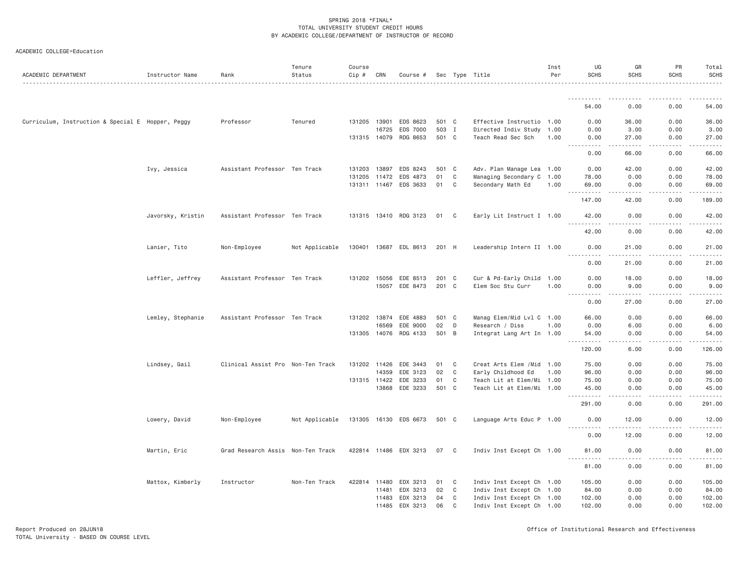| ACADEMIC DEPARTMENT                               | Instructor Name   | Rank                              | Tenure<br>Status | Course<br>Cip # | CRN          | Course #              |       |              | Sec Type Title             | Inst<br>Per | UG<br><b>SCHS</b>                            | GR<br><b>SCHS</b>                                                                                                                                            | PR<br><b>SCHS</b>                 | Total<br><b>SCHS</b>                                                                                                                                                                     |
|---------------------------------------------------|-------------------|-----------------------------------|------------------|-----------------|--------------|-----------------------|-------|--------------|----------------------------|-------------|----------------------------------------------|--------------------------------------------------------------------------------------------------------------------------------------------------------------|-----------------------------------|------------------------------------------------------------------------------------------------------------------------------------------------------------------------------------------|
|                                                   |                   |                                   |                  |                 |              |                       |       |              |                            |             | .                                            |                                                                                                                                                              |                                   |                                                                                                                                                                                          |
|                                                   |                   |                                   |                  |                 |              |                       |       |              |                            |             | 54.00                                        | 0.00                                                                                                                                                         | 0.00                              | 54.00                                                                                                                                                                                    |
| Curriculum, Instruction & Special E Hopper, Peggy |                   | Professor                         | Tenured          |                 | 131205 13901 | EDS 8623              | 501 C |              | Effective Instructio 1.00  |             | 0.00                                         | 36.00                                                                                                                                                        | 0.00                              | 36.00                                                                                                                                                                                    |
|                                                   |                   |                                   |                  |                 | 16725        | EDS 7000              | 503 I |              | Directed Indiv Study 1.00  |             | 0.00                                         | 3.00                                                                                                                                                         | 0.00                              | 3.00                                                                                                                                                                                     |
|                                                   |                   |                                   |                  | 131315 14079    |              | RDG 8653              | 501 C |              | Teach Read Sec Sch         | 1.00        | 0.00<br>$\frac{1}{2}$                        | 27.00<br>.                                                                                                                                                   | 0.00                              | 27.00<br>$- - - - -$                                                                                                                                                                     |
|                                                   |                   |                                   |                  |                 |              |                       |       |              |                            |             | 0.00                                         | 66,00                                                                                                                                                        | 0.00                              | 66.00                                                                                                                                                                                    |
|                                                   | Ivy, Jessica      | Assistant Professor Ten Track     |                  | 131203 13897    |              | EDS 8243              | 501 C |              | Adv. Plan Manage Lea 1.00  |             | 0.00                                         | 42.00                                                                                                                                                        | 0.00                              | 42.00                                                                                                                                                                                    |
|                                                   |                   |                                   |                  | 131205 11472    |              | EDS 4873              | 01    | $\mathbf C$  | Managing Secondary C 1.00  |             | 78.00                                        | 0.00                                                                                                                                                         | 0.00                              | 78.00                                                                                                                                                                                    |
|                                                   |                   |                                   |                  |                 |              | 131311 11467 EDS 3633 | 01    | C            | Secondary Math Ed          | 1.00        | 69.00<br>2.2.2.2.2.2<br>$\sim$ $\sim$ $\sim$ | 0.00<br>$\frac{1}{2} \left( \frac{1}{2} \right) \left( \frac{1}{2} \right) \left( \frac{1}{2} \right) \left( \frac{1}{2} \right) \left( \frac{1}{2} \right)$ | 0.00<br>.                         | 69.00<br>.                                                                                                                                                                               |
|                                                   |                   |                                   |                  |                 |              |                       |       |              |                            |             | 147.00                                       | 42.00                                                                                                                                                        | 0.00                              | 189.00                                                                                                                                                                                   |
|                                                   | Javorsky, Kristin | Assistant Professor Ten Track     |                  |                 |              | 131315 13410 RDG 3123 | 01    | C C          | Early Lit Instruct I 1.00  |             | 42.00<br>.                                   | 0.00<br>.                                                                                                                                                    | 0.00                              | 42.00<br>.                                                                                                                                                                               |
|                                                   |                   |                                   |                  |                 |              |                       |       |              |                            |             | 42.00                                        | 0.00                                                                                                                                                         | 0.00                              | 42.00                                                                                                                                                                                    |
|                                                   | Lanier, Tito      | Non-Employee                      | Not Applicable   |                 |              | 130401 13687 EDL 8613 | 201 H |              | Leadership Intern II 1.00  |             | 0.00                                         | 21.00                                                                                                                                                        | 0.00                              | 21.00                                                                                                                                                                                    |
|                                                   |                   |                                   |                  |                 |              |                       |       |              |                            |             | 0.00                                         | 21.00                                                                                                                                                        | 0.00                              | 21.00                                                                                                                                                                                    |
|                                                   | Leffler, Jeffrey  | Assistant Professor Ten Track     |                  | 131202 15056    |              | EDE 8513              | 201 C |              | Cur & Pd-Early Child 1.00  |             | 0.00                                         | 18.00                                                                                                                                                        | 0.00                              | 18.00                                                                                                                                                                                    |
|                                                   |                   |                                   |                  |                 | 15057        | EDE 8473              | 201 C |              | Elem Soc Stu Curr          | 1.00        | 0.00<br>.                                    | 9.00<br>.                                                                                                                                                    | 0.00<br>.<br>$\sim$ $\sim$ $\sim$ | 9.00<br>.                                                                                                                                                                                |
|                                                   |                   |                                   |                  |                 |              |                       |       |              |                            |             | 0.00                                         | 27.00                                                                                                                                                        | 0.00                              | 27.00                                                                                                                                                                                    |
|                                                   | Lemley, Stephanie | Assistant Professor Ten Track     |                  |                 | 131202 13874 | EDE 4883              | 501 C |              | Manag Elem/Mid Lvl C 1.00  |             | 66.00                                        | 0.00                                                                                                                                                         | 0.00                              | 66.00                                                                                                                                                                                    |
|                                                   |                   |                                   |                  |                 | 16569        | EDE 9000              | 02    | D            | Research / Diss            | 1.00        | 0.00                                         | 6.00                                                                                                                                                         | 0.00                              | 6.00                                                                                                                                                                                     |
|                                                   |                   |                                   |                  |                 |              | 131305 14076 RDG 4133 | 501 B |              | Integrat Lang Art In 1.00  |             | 54.00<br>.                                   | 0.00<br>.                                                                                                                                                    | 0.00<br><b><i><u>.</u></i></b>    | 54.00<br>$\frac{1}{2} \left( \frac{1}{2} \right) \left( \frac{1}{2} \right) \left( \frac{1}{2} \right) \left( \frac{1}{2} \right) \left( \frac{1}{2} \right) \left( \frac{1}{2} \right)$ |
|                                                   |                   |                                   |                  |                 |              |                       |       |              |                            |             | 120.00                                       | 6.00                                                                                                                                                         | 0.00                              | 126.00                                                                                                                                                                                   |
|                                                   | Lindsey, Gail     | Clinical Assist Pro Non-Ten Track |                  | 131202 11426    |              | EDE 3443              | 01    | C            | Creat Arts Elem / Mid 1.00 |             | 75.00                                        | 0.00                                                                                                                                                         | 0.00                              | 75.00                                                                                                                                                                                    |
|                                                   |                   |                                   |                  |                 | 14359        | EDE 3123              | 02    | $\mathbf{C}$ | Early Childhood Ed         | 1.00        | 96.00                                        | 0.00                                                                                                                                                         | 0.00                              | 96.00                                                                                                                                                                                    |
|                                                   |                   |                                   |                  | 131315 11422    |              | EDE 3233              | 01    | $\mathbf{C}$ | Teach Lit at Elem/Mi 1.00  |             | 75.00                                        | 0.00                                                                                                                                                         | 0.00                              | 75.00                                                                                                                                                                                    |
|                                                   |                   |                                   |                  |                 |              | 13868 EDE 3233        | 501 C |              | Teach Lit at Elem/Mi 1.00  |             | 45.00<br>.                                   | 0.00<br>.                                                                                                                                                    | 0.00<br>.                         | 45.00<br>.                                                                                                                                                                               |
|                                                   |                   |                                   |                  |                 |              |                       |       |              |                            |             | 291.00                                       | 0.00                                                                                                                                                         | 0.00                              | 291.00                                                                                                                                                                                   |
|                                                   | Lowery, David     | Non-Employee                      | Not Applicable   |                 |              | 131305 16130 EDS 6673 | 501 C |              | Language Arts Educ P 1.00  |             | 0.00                                         | 12.00                                                                                                                                                        | 0.00                              | 12.00                                                                                                                                                                                    |
|                                                   |                   |                                   |                  |                 |              |                       |       |              |                            |             | 0.00                                         | 12.00                                                                                                                                                        | 0.00                              | 12.00                                                                                                                                                                                    |
|                                                   | Martin, Eric      | Grad Research Assis Non-Ten Track |                  |                 |              | 422814 11486 EDX 3213 | 07    | $\mathbf{C}$ | Indiv Inst Except Ch 1.00  |             | 81.00                                        | 0.00                                                                                                                                                         | 0.00                              | 81.00<br>.                                                                                                                                                                               |
|                                                   |                   |                                   |                  |                 |              |                       |       |              |                            |             | 81.00                                        | 0.00                                                                                                                                                         | 0.00                              | 81.00                                                                                                                                                                                    |
|                                                   | Mattox, Kimberly  | Instructor                        | Non-Ten Track    | 422814 11480    |              | EDX 3213              | 01    | C            | Indiv Inst Except Ch 1.00  |             | 105.00                                       | 0.00                                                                                                                                                         | 0.00                              | 105.00                                                                                                                                                                                   |
|                                                   |                   |                                   |                  |                 | 11481        | EDX 3213              | 02    | C            | Indiv Inst Except Ch 1.00  |             | 84.00                                        | 0.00                                                                                                                                                         | 0.00                              | 84.00                                                                                                                                                                                    |
|                                                   |                   |                                   |                  |                 | 11483        | EDX 3213              | 04    | C            | Indiv Inst Except Ch 1.00  |             | 102.00                                       | 0.00                                                                                                                                                         | 0.00                              | 102.00                                                                                                                                                                                   |
|                                                   |                   |                                   |                  |                 | 11485        | EDX 3213              | 06    | $\mathbf{C}$ | Indiv Inst Except Ch 1.00  |             | 102.00                                       | 0.00                                                                                                                                                         | 0.00                              | 102.00                                                                                                                                                                                   |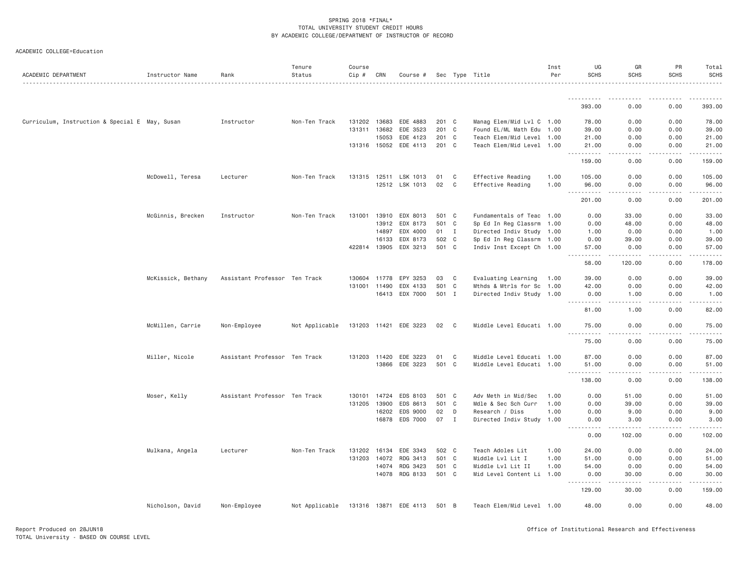| ACADEMIC DEPARTMENT                            | Instructor Name    | Rank                          | Tenure<br>Status | Course<br>Cip # | CRN   | Course #              |       |                | Sec Type Title            | Inst<br>Per | UG<br><b>SCHS</b>                  | GR<br><b>SCHS</b> | PR<br>SCHS        | Total<br><b>SCHS</b> |
|------------------------------------------------|--------------------|-------------------------------|------------------|-----------------|-------|-----------------------|-------|----------------|---------------------------|-------------|------------------------------------|-------------------|-------------------|----------------------|
|                                                |                    |                               |                  |                 |       |                       |       |                |                           |             | .                                  |                   | .                 | .                    |
|                                                |                    |                               |                  |                 |       |                       |       |                |                           |             | 393.00                             | 0.00              | 0.00              | 393.00               |
| Curriculum, Instruction & Special E May, Susan |                    | Instructor                    | Non-Ten Track    | 131202 13683    |       | EDE 4883              | 201 C |                | Manag Elem/Mid Lvl C 1.00 |             | 78.00                              | 0.00              | 0.00              | 78.00                |
|                                                |                    |                               |                  | 131311 13682    |       | EDE 3523              | 201 C |                | Found EL/ML Math Edu 1.00 |             | 39.00                              | 0.00              | 0.00              | 39.00                |
|                                                |                    |                               |                  |                 | 15053 | EDE 4123              | 201 C |                | Teach Elem/Mid Level 1.00 |             | 21.00                              | 0.00              | 0.00              | 21.00                |
|                                                |                    |                               |                  | 131316 15052    |       | EDE 4113              | 201 C |                | Teach Elem/Mid Level 1.00 |             | 21.00<br>.                         | 0.00              | 0.00              | 21.00                |
|                                                |                    |                               |                  |                 |       |                       |       |                |                           |             | 159.00                             | 0.00              | 0.00              | 159.00               |
|                                                | McDowell, Teresa   | Lecturer                      | Non-Ten Track    |                 |       | 131315 12511 LSK 1013 | 01    | C <sub>1</sub> | Effective Reading         | 1.00        | 105.00                             | 0.00              | 0.00              | 105.00               |
|                                                |                    |                               |                  |                 |       | 12512 LSK 1013        | 02    | C              | Effective Reading         | 1.00        | 96.00<br>$\sim$ $\sim$ $\sim$<br>. | 0.00<br>.         | 0.00<br>.         | 96.00<br>.           |
|                                                |                    |                               |                  |                 |       |                       |       |                |                           |             | 201.00                             | 0.00              | 0.00              | 201.00               |
|                                                | McGinnis, Brecken  | Instructor                    | Non-Ten Track    |                 |       | 131001 13910 EDX 8013 | 501 C |                | Fundamentals of Teac 1.00 |             | 0.00                               | 33.00             | 0.00              | 33.00                |
|                                                |                    |                               |                  |                 | 13912 | EDX 8173              | 501 C |                | Sp Ed In Reg Classrm 1.00 |             | 0.00                               | 48.00             | 0.00              | 48.00                |
|                                                |                    |                               |                  |                 | 14897 | EDX 4000              | 01    | $\mathbf{I}$   | Directed Indiv Study 1.00 |             | 1.00                               | 0.00              | 0.00              | 1.00                 |
|                                                |                    |                               |                  |                 | 16133 | EDX 8173              | 502 C |                | Sp Ed In Reg Classrm 1.00 |             | 0.00                               | 39.00             | 0.00              | 39.00                |
|                                                |                    |                               |                  | 422814 13905    |       | EDX 3213              | 501 C |                | Indiv Inst Except Ch 1.00 |             | 57.00<br>.                         | 0.00<br>.         | 0.00<br>.         | 57.00<br>.           |
|                                                |                    |                               |                  |                 |       |                       |       |                |                           |             | 58.00                              | 120.00            | 0.00              | 178.00               |
|                                                | McKissick, Bethany | Assistant Professor Ten Track |                  | 130604 11778    |       | EPY 3253              | 03    | C              | Evaluating Learning 1.00  |             | 39.00                              | 0.00              | 0.00              | 39.00                |
|                                                |                    |                               |                  | 131001 11490    |       | EDX 4133              | S01   | $\mathbf{C}$   | Mthds & Mtrls for Sc 1.00 |             | 42.00                              | 0.00              | 0.00              | 42.00                |
|                                                |                    |                               |                  |                 |       | 16413 EDX 7000        | 501 I |                | Directed Indiv Study 1.00 |             | 0.00<br>.                          | 1.00<br>.         | 0.00<br>.         | 1.00<br>.            |
|                                                |                    |                               |                  |                 |       |                       |       |                |                           |             | 81.00                              | 1.00              | 0.00              | 82.00                |
|                                                | McMillen, Carrie   | Non-Employee                  | Not Applicable   | 131203 11421    |       | EDE 3223              | 02 C  |                | Middle Level Educati 1.00 |             | 75.00<br>.                         | 0.00              | 0.00              | 75.00                |
|                                                |                    |                               |                  |                 |       |                       |       |                |                           |             | 75.00                              | 0.00              | 0.00              | 75.00                |
|                                                | Miller, Nicole     | Assistant Professor Ten Track |                  | 131203 11420    |       | EDE 3223              | 01    | C              | Middle Level Educati 1.00 |             | 87.00                              | 0.00              | 0.00              | 87.00                |
|                                                |                    |                               |                  |                 |       | 13866 EDE 3223        | 501 C |                | Middle Level Educati 1.00 |             | 51.00<br>$\sim$ $\sim$ $\sim$<br>. | 0.00<br>.         | 0.00<br>.         | 51.00<br>.           |
|                                                |                    |                               |                  |                 |       |                       |       |                |                           |             | 138.00                             | 0.00              | 0.00              | 138.00               |
|                                                | Moser, Kelly       | Assistant Professor Ten Track |                  | 130101          | 14724 | EDS 8103              | 501 C |                | Adv Meth in Mid/Sec       | 1.00        | 0.00                               | 51.00             | 0.00              | 51.00                |
|                                                |                    |                               |                  | 131205          | 13900 | EDS 8613              | 501 C |                | Mdle & Sec Sch Curr       | 1.00        | 0.00                               | 39.00             | 0.00              | 39.00                |
|                                                |                    |                               |                  |                 | 16202 | EDS 9000              | 02    | D              | Research / Diss           | 1,00        | 0.00                               | 9.00              | 0.00              | 9.00                 |
|                                                |                    |                               |                  |                 |       | 16878 EDS 7000        | 07 I  |                | Directed Indiv Study 1.00 |             | 0.00<br>.                          | 3.00<br><u>.</u>  | 0.00<br>.         | 3.00<br>.            |
|                                                |                    |                               |                  |                 |       |                       |       |                |                           |             | 0.00                               | 102.00            | 0.00              | 102.00               |
|                                                | Mulkana, Angela    | Lecturer                      | Non-Ten Track    | 131202          | 16134 | EDE 3343              | 502 C |                | Teach Adoles Lit          | 1.00        | 24.00                              | 0.00              | 0.00              | 24.00                |
|                                                |                    |                               |                  | 131203          | 14072 | RDG 3413              | 501 C |                | Middle Lvl Lit I          | 1.00        | 51.00                              | 0.00              | 0.00              | 51.00                |
|                                                |                    |                               |                  |                 | 14074 | RDG 3423              | 501 C |                | Middle Lvl Lit II         | 1.00        | 54.00                              | 0.00              | 0.00              | 54.00                |
|                                                |                    |                               |                  |                 |       | 14078 RDG 8133        | 501 C |                | Mid Level Content Li 1.00 |             | 0.00<br>.                          | 30.00<br>.        | 0.00<br>2.2.2.2.2 | 30.00<br>.           |
|                                                |                    |                               |                  |                 |       |                       |       |                |                           |             | 129.00                             | 30.00             | 0.00              | 159.00               |
|                                                | Nicholson, David   | Non-Employee                  | Not Applicable   |                 |       | 131316 13871 EDE 4113 | 501 B |                | Teach Elem/Mid Level 1.00 |             | 48.00                              | 0.00              | 0.00              | 48.00                |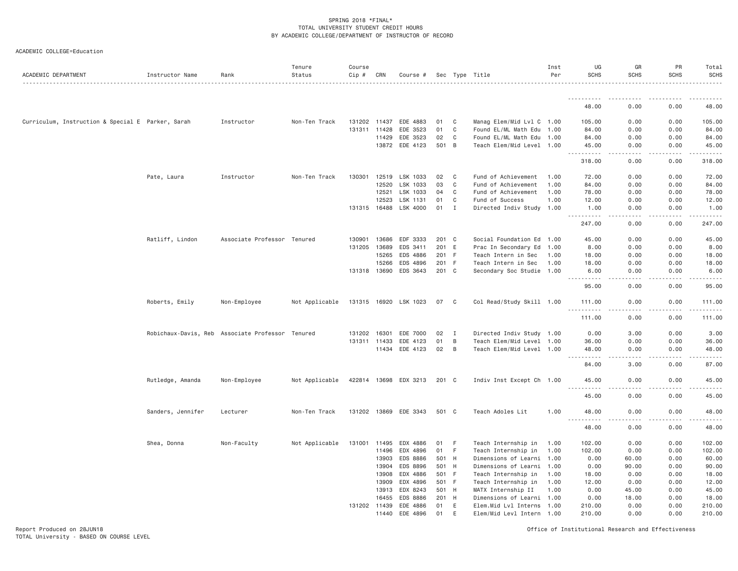| ACADEMIC COLLEGE=Education |  |  |
|----------------------------|--|--|
|----------------------------|--|--|

| ACADEMIC DEPARTMENT                               | Instructor Name                                  | Rank                        | Tenure<br>Status | Course<br>$Cip \#$ | CRN   | Course #              |                |                         | Sec Type Title                                         | Inst<br>Per  | UG<br><b>SCHS</b>     | GR<br><b>SCHS</b>                   | PR<br><b>SCHS</b> | Total<br><b>SCHS</b>                                                                                                                                          |
|---------------------------------------------------|--------------------------------------------------|-----------------------------|------------------|--------------------|-------|-----------------------|----------------|-------------------------|--------------------------------------------------------|--------------|-----------------------|-------------------------------------|-------------------|---------------------------------------------------------------------------------------------------------------------------------------------------------------|
|                                                   |                                                  |                             |                  |                    |       |                       |                |                         |                                                        |              | .                     |                                     |                   |                                                                                                                                                               |
|                                                   |                                                  |                             |                  |                    |       |                       |                |                         |                                                        |              | 48.00                 | 0.00                                | 0.00              | 48.00                                                                                                                                                         |
| Curriculum, Instruction & Special E Parker, Sarah |                                                  | Instructor                  | Non-Ten Track    | 131202 11437       |       | EDE 4883              | 01             | C                       | Manag Elem/Mid Lvl C 1.00                              |              | 105.00                | 0.00                                | 0.00              | 105.00                                                                                                                                                        |
|                                                   |                                                  |                             |                  | 131311 11428       |       | EDE 3523              | 01             | $\mathbf C$             | Found EL/ML Math Edu 1.00                              |              | 84.00                 | 0.00                                | 0.00              | 84.00                                                                                                                                                         |
|                                                   |                                                  |                             |                  |                    | 11429 | EDE 3523              | 02             | C                       | Found EL/ML Math Edu 1.00                              |              | 84.00                 | 0.00                                | 0.00              | 84.00                                                                                                                                                         |
|                                                   |                                                  |                             |                  |                    |       | 13872 EDE 4123        | 501 B          |                         | Teach Elem/Mid Level 1.00                              |              | 45.00                 | 0.00                                | 0.00              | 45.00                                                                                                                                                         |
|                                                   |                                                  |                             |                  |                    |       |                       |                |                         |                                                        |              | 318.00                | 0.00                                | 0.00              | 318.00                                                                                                                                                        |
|                                                   | Pate, Laura                                      | Instructor                  | Non-Ten Track    | 130301             | 12519 | LSK 1033              | 02             | $\mathbf{C}$            | Fund of Achievement                                    | 1.00         | 72.00                 | 0.00                                | 0.00              | 72.00                                                                                                                                                         |
|                                                   |                                                  |                             |                  |                    | 12520 | LSK 1033              | 03             | C                       | Fund of Achievement                                    | 1.00         | 84.00                 | 0.00                                | 0.00              | 84.00                                                                                                                                                         |
|                                                   |                                                  |                             |                  |                    | 12521 | LSK 1033              | 04             | C                       | Fund of Achievement                                    | 1.00         | 78.00                 | 0.00                                | 0.00              | 78.00                                                                                                                                                         |
|                                                   |                                                  |                             |                  |                    | 12523 | LSK 1131              | 01             | C                       | Fund of Success                                        | 1.00         | 12.00                 | 0.00                                | 0.00              | 12.00                                                                                                                                                         |
|                                                   |                                                  |                             |                  |                    |       | 131315 16488 LSK 4000 | 01             | $\mathbf I$             | Directed Indiv Study 1.00                              |              | 1.00<br>$- - - - -$   | 0.00                                | 0.00              | 1.00<br>.                                                                                                                                                     |
|                                                   |                                                  |                             |                  |                    |       |                       |                |                         |                                                        |              | 247.00                | 0.00                                | 0.00              | 247.00                                                                                                                                                        |
|                                                   | Ratliff, Lindon                                  | Associate Professor Tenured |                  | 130901             | 13686 | EDF 3333              | 201 C          |                         | Social Foundation Ed 1.00                              |              | 45.00                 | 0.00                                | 0.00              | 45.00                                                                                                                                                         |
|                                                   |                                                  |                             |                  | 131205             | 13689 | EDS 3411              | 201            | E                       | Prac In Secondary Ed                                   | 1.00         | 8.00                  | 0.00                                | 0.00              | 8.00                                                                                                                                                          |
|                                                   |                                                  |                             |                  |                    | 15265 | EDS 4886              | 201            | F.                      | Teach Intern in Sec                                    | 1.00         | 18.00                 | 0.00                                | 0.00              | 18.00                                                                                                                                                         |
|                                                   |                                                  |                             |                  |                    | 15266 | EDS 4896              | 201 F          |                         | Teach Intern in Sec                                    | 1.00         | 18.00                 | 0.00                                | 0.00              | 18.00                                                                                                                                                         |
|                                                   |                                                  |                             |                  | 131318 13690       |       | EDS 3643              | 201 C          |                         | Secondary Soc Studie 1.00                              |              | 6.00                  | 0.00                                | 0.00              | 6.00                                                                                                                                                          |
|                                                   |                                                  |                             |                  |                    |       |                       |                |                         |                                                        |              | 444<br>95.00          | $\sim$ $\sim$ $\sim$ $\sim$<br>0.00 | .<br>0.00         | .<br>95.00                                                                                                                                                    |
|                                                   | Roberts, Emily                                   | Non-Employee                | Not Applicable   |                    |       | 131315 16920 LSK 1023 | 07             | $\overline{\mathbf{C}}$ | Col Read/Study Skill 1.00                              |              | 111.00                | 0.00                                | 0.00              | 111.00                                                                                                                                                        |
|                                                   |                                                  |                             |                  |                    |       |                       |                |                         |                                                        |              | <u>.</u><br>111.00    | د د د د<br>0.00                     | .<br>0.00         | . <u>.</u> .<br>111.00                                                                                                                                        |
|                                                   | Robichaux-Davis, Reb Associate Professor Tenured |                             |                  | 131202             | 16301 | EDE 7000              | 02             | $\mathbf{I}$            | Directed Indiv Study 1.00                              |              | 0.00                  | 3.00                                | 0.00              | 3.00                                                                                                                                                          |
|                                                   |                                                  |                             |                  | 131311 11433       |       | EDE 4123              | 01             | B                       | Teach Elem/Mid Level 1.00                              |              | 36.00                 | 0.00                                | 0.00              | 36.00                                                                                                                                                         |
|                                                   |                                                  |                             |                  |                    |       | 11434 EDE 4123        | 02             | $\overline{B}$          | Teach Elem/Mid Level 1.00                              |              | 48.00                 | 0.00                                | 0.00              | 48.00                                                                                                                                                         |
|                                                   |                                                  |                             |                  |                    |       |                       |                |                         |                                                        |              | .<br>84.00            | .<br>3.00                           | .<br>0.00         | .<br>87.00                                                                                                                                                    |
|                                                   | Rutledge, Amanda                                 | Non-Employee                | Not Applicable   |                    |       | 422814 13698 EDX 3213 | 201 C          |                         | Indiv Inst Except Ch 1.00                              |              | 45.00                 | 0.00                                | 0.00              | 45.00                                                                                                                                                         |
|                                                   |                                                  |                             |                  |                    |       |                       |                |                         |                                                        |              | .<br>.<br>45.00       | $\frac{1}{2}$<br>0.00               | .<br>0.00         | $\frac{1}{2} \left( \frac{1}{2} \right) \left( \frac{1}{2} \right) \left( \frac{1}{2} \right) \left( \frac{1}{2} \right) \left( \frac{1}{2} \right)$<br>45.00 |
|                                                   | Sanders, Jennifer                                | Lecturer                    | Non-Ten Track    |                    |       | 131202 13869 EDE 3343 | 501 C          |                         | Teach Adoles Lit                                       | 1.00         | 48.00                 | 0.00                                | 0.00              | 48.00                                                                                                                                                         |
|                                                   |                                                  |                             |                  |                    |       |                       |                |                         |                                                        |              | $- - -$<br>.<br>48.00 | . <b>.</b> .<br>0.00                | .<br>0.00         | .<br>48.00                                                                                                                                                    |
|                                                   |                                                  |                             |                  |                    |       |                       |                |                         |                                                        |              |                       |                                     |                   |                                                                                                                                                               |
|                                                   | Shea, Donna                                      | Non-Faculty                 | Not Applicable   | 131001 11495       |       | EDX 4886              | 01             | F                       | Teach Internship in                                    | 1.00         | 102.00                | 0.00                                | 0.00              | 102.00                                                                                                                                                        |
|                                                   |                                                  |                             |                  |                    | 11496 | EDX 4896              | 01             | F.                      | Teach Internship in                                    | 1.00         | 102.00                | 0.00                                | 0.00              | 102.00                                                                                                                                                        |
|                                                   |                                                  |                             |                  |                    | 13903 | EDS 8886              | 501 H          |                         | Dimensions of Learni 1.00                              |              | 0.00                  | 60.00                               | 0.00              | 60.00                                                                                                                                                         |
|                                                   |                                                  |                             |                  |                    | 13904 | EDS 8896              | 501 H          |                         | Dimensions of Learni 1.00                              |              | 0.00                  | 90.00                               | 0.00              | 90.00                                                                                                                                                         |
|                                                   |                                                  |                             |                  |                    | 13908 | EDX 4886              | 501 F          |                         | Teach Internship in                                    | 1.00         | 18.00                 | 0.00                                | 0.00              | 18.00                                                                                                                                                         |
|                                                   |                                                  |                             |                  |                    | 13909 | EDX 4896<br>EDX 8243  | 501 F<br>501 H |                         | Teach Internship in                                    | 1.00<br>1.00 | 12.00                 | 0.00                                | 0.00<br>0.00      | 12.00                                                                                                                                                         |
|                                                   |                                                  |                             |                  |                    | 13913 |                       | 201 H          |                         | MATX Internship II                                     |              | 0.00<br>0.00          | 45.00                               | 0.00              | 45.00                                                                                                                                                         |
|                                                   |                                                  |                             |                  | 131202 11439       | 16455 | EDS 8886<br>EDE 4886  | 01             | E                       | Dimensions of Learni 1.00<br>Elem.Mid Lvl Interns 1.00 |              | 210.00                | 18.00<br>0.00                       | 0.00              | 18.00<br>210.00                                                                                                                                               |
|                                                   |                                                  |                             |                  |                    | 11440 | EDE 4896              | 01             | Ε                       | Elem/Mid Levl Intern 1.00                              |              | 210.00                | 0.00                                | 0.00              | 210.00                                                                                                                                                        |
|                                                   |                                                  |                             |                  |                    |       |                       |                |                         |                                                        |              |                       |                                     |                   |                                                                                                                                                               |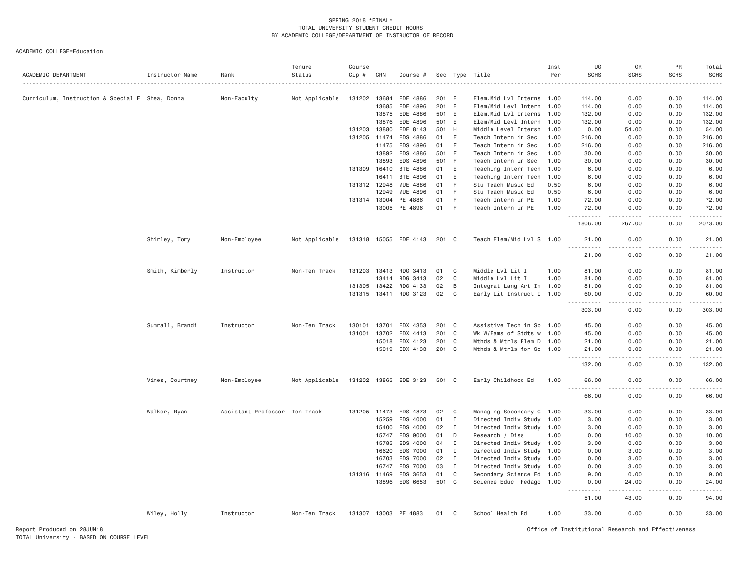| ACADEMIC DEPARTMENT                             | Instructor Name | Rank                          | Tenure<br>Status | Course<br>Cip # | CRN   | Course #              |       |              | Sec Type Title            | Inst<br>Per | UG<br><b>SCHS</b> | GR<br><b>SCHS</b> | PR<br><b>SCHS</b>   | Total<br><b>SCHS</b> |
|-------------------------------------------------|-----------------|-------------------------------|------------------|-----------------|-------|-----------------------|-------|--------------|---------------------------|-------------|-------------------|-------------------|---------------------|----------------------|
| Curriculum, Instruction & Special E Shea, Donna |                 | Non-Faculty                   | Not Applicable   | 131202 13684    |       | EDE 4886              | 201 E |              | Elem.Mid Lvl Interns      | 1.00        | 114.00            | 0.00              | 0.00                | 114,00               |
|                                                 |                 |                               |                  |                 | 13685 | EDE 4896              | 201   | E            | Elem/Mid Levl Intern      | 1.00        | 114.00            | 0.00              | 0.00                | 114.00               |
|                                                 |                 |                               |                  |                 | 13875 | EDE 4886              | 501 E |              | Elem.Mid Lvl Interns      | 1.00        | 132.00            | 0.00              | 0.00                | 132.00               |
|                                                 |                 |                               |                  |                 | 13876 | EDE 4896              | 501 E |              | Elem/Mid Levl Intern      | 1.00        | 132.00            | 0.00              | 0.00                | 132.00               |
|                                                 |                 |                               |                  | 131203 13880    |       | EDE 8143              | 501   | H            | Middle Level Intersh      | 1.00        | 0.00              | 54.00             | 0.00                | 54.00                |
|                                                 |                 |                               |                  | 131205 11474    |       | EDS 4886              | 01    | F.           | Teach Intern in Sec       | 1.00        | 216.00            | 0.00              | 0.00                | 216.00               |
|                                                 |                 |                               |                  |                 | 11475 | EDS 4896              | 01    | F.           | Teach Intern in Sec       | 1.00        | 216.00            | 0.00              | 0.00                | 216.00               |
|                                                 |                 |                               |                  |                 | 13892 | EDS 4886              | 501   | - F          | Teach Intern in Sec       | 1.00        | 30.00             | 0.00              | 0.00                | 30.00                |
|                                                 |                 |                               |                  |                 | 13893 | EDS 4896              | 501 F |              | Teach Intern in Sec       | 1,00        | 30,00             | 0.00              | 0.00                | 30.00                |
|                                                 |                 |                               |                  | 131309 16410    |       | BTE 4886              | 01    | E            | Teaching Intern Tech      | 1.00        | 6.00              | 0.00              | 0.00                | 6.00                 |
|                                                 |                 |                               |                  |                 | 16411 | BTE 4896              | 01    | Ε            | Teaching Intern Tech      | 1.00        | 6.00              | 0.00              | 0.00                | 6.00                 |
|                                                 |                 |                               |                  | 131312 12948    |       | MUE 4886              | 01    | F            | Stu Teach Music Ed        | 0.50        | 6.00              | 0.00              | 0.00                | 6.00                 |
|                                                 |                 |                               |                  |                 | 12949 | MUE 4896              | 01    | F            | Stu Teach Music Ed        | 0.50        | 6.00              | 0.00              | 0.00                | 6.00                 |
|                                                 |                 |                               |                  | 131314 13004    |       | PE 4886               | 01    | F            | Teach Intern in PE        | 1.00        | 72.00             | 0.00              | 0.00                | 72.00                |
|                                                 |                 |                               |                  |                 | 13005 | PE 4896               | 01    | F            | Teach Intern in PE        | 1.00        | 72.00<br>.        | 0.00              | 0.00                | 72.00                |
|                                                 |                 |                               |                  |                 |       |                       |       |              |                           |             | 1806.00           | 267.00            | 0.00                | 2073.00              |
|                                                 | Shirley, Tory   | Non-Employee                  | Not Applicable   |                 |       | 131318 15055 EDE 4143 | 201 C |              | Teach Elem/Mid Lvl S 1.00 |             | 21.00<br>.        | 0.00              | 0.00                | 21.00                |
|                                                 |                 |                               |                  |                 |       |                       |       |              |                           |             | 21.00             | 0.00              | 0.00                | 21.00                |
|                                                 | Smith, Kimberly | Instructor                    | Non-Ten Track    | 131203 13413    |       | RDG 3413              | 01    | C            | Middle Lvl Lit I          | 1.00        | 81.00             | 0.00              | 0.00                | 81.00                |
|                                                 |                 |                               |                  |                 | 13414 | RDG 3413              | 02    | C            | Middle Lvl Lit I          | 1.00        | 81.00             | 0.00              | 0.00                | 81.00                |
|                                                 |                 |                               |                  | 131305 13422    |       | RDG 4133              | 02    | B            | Integrat Lang Art In 1.00 |             | 81.00             | 0.00              | 0.00                | 81.00                |
|                                                 |                 |                               |                  | 131315 13411    |       | RDG 3123              | 02    | C            | Early Lit Instruct I 1.00 |             | 60.00<br>.        | 0.00              | 0.00                | 60.00                |
|                                                 |                 |                               |                  |                 |       |                       |       |              |                           |             | 303.00            | 0.00              | 0.00                | 303.00               |
|                                                 | Sumrall, Brandi | Instructor                    | Non-Ten Track    | 130101          | 13701 | EDX 4353              | 201 C |              | Assistive Tech in Sp 1.00 |             | 45.00             | 0.00              | 0.00                | 45.00                |
|                                                 |                 |                               |                  | 131001          | 13702 | EDX 4413              | 201 C |              | Wk W/Fams of Stdts w 1.00 |             | 45.00             | 0.00              | 0.00                | 45.00                |
|                                                 |                 |                               |                  |                 | 15018 | EDX 4123              | 201 C |              | Mthds & Mtrls Elem D 1.00 |             | 21.00             | 0.00              | 0.00                | 21.00                |
|                                                 |                 |                               |                  |                 |       | 15019 EDX 4133        | 201 C |              | Mthds & Mtrls for Sc      | 1.00        | 21.00<br>.        | 0.00              | 0.00                | 21.00                |
|                                                 |                 |                               |                  |                 |       |                       |       |              |                           |             | 132.00            | 0.00              | 0.00                | 132.00               |
|                                                 | Vines, Courtney | Non-Employee                  | Not Applicable   |                 |       | 131202 13865 EDE 3123 | 501 C |              | Early Childhood Ed        | 1.00        | 66.00<br><u>.</u> | 0.00              | 0.00                | 66.00                |
|                                                 |                 |                               |                  |                 |       |                       |       |              |                           |             | 66.00             | 0.00              | 0.00                | 66.00                |
|                                                 | Walker, Ryan    | Assistant Professor Ten Track |                  | 131205 11473    |       | EDS 4873              | 02    | C            | Managing Secondary C 1.00 |             | 33.00             | 0.00              | 0.00                | 33.00                |
|                                                 |                 |                               |                  |                 | 15259 | EDS 4000              | 01    | $\mathbf I$  | Directed Indiv Study      | 1.00        | 3,00              | 0.00              | 0.00                | 3.00                 |
|                                                 |                 |                               |                  |                 | 15400 | EDS 4000              | 02    | $\mathbf{I}$ | Directed Indiv Study 1.00 |             | 3,00              | 0.00              | 0.00                | 3.00                 |
|                                                 |                 |                               |                  |                 | 15747 | EDS 9000              | 01    | D            | Research / Diss           | 1.00        | 0.00              | 10.00             | 0.00                | 10.00                |
|                                                 |                 |                               |                  |                 | 15785 | EDS 4000              | 04    | $\mathbf I$  | Directed Indiv Study 1.00 |             | 3,00              | 0.00              | 0.00                | 3.00                 |
|                                                 |                 |                               |                  |                 | 16620 | EDS 7000              | 01    | $\mathbf{I}$ | Directed Indiv Study 1.00 |             | 0.00              | 3.00              | 0.00                | 3.00                 |
|                                                 |                 |                               |                  |                 | 16703 | EDS 7000              | 02    | $\mathbf{I}$ | Directed Indiv Study 1.00 |             | 0.00              | 3.00              | 0.00                | 3.00                 |
|                                                 |                 |                               |                  |                 | 16747 | EDS 7000              | 03    | $\mathbf{I}$ | Directed Indiv Study 1.00 |             | 0.00              | 3.00              | 0.00                | 3.00                 |
|                                                 |                 |                               |                  | 131316 11469    |       | EDS 3653              | 01    | C            | Secondary Science Ed 1.00 |             | 9.00              | 0.00              | 0.00                | 9.00                 |
|                                                 |                 |                               |                  |                 |       | 13896 EDS 6653        | 501 C |              | Science Educ Pedago 1.00  |             | 0.00<br>.         | 24.00<br>.        | 0.00<br>$- - - - -$ | 24.00<br>.           |
|                                                 |                 |                               |                  |                 |       |                       |       |              |                           |             | 51.00             | 43.00             | 0.00                | 94.00                |
|                                                 | Wiley, Holly    | Instructor                    | Non-Ten Track    |                 |       | 131307 13003 PE 4883  | 01    | C            | School Health Ed          | 1.00        | 33,00             | 0.00              | 0.00                | 33.00                |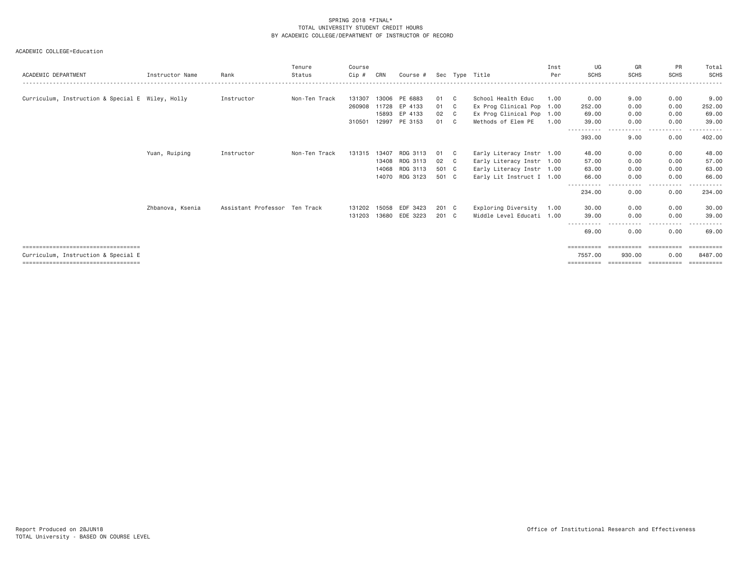| ACADEMIC DEPARTMENT                              | Instructor Name  | Rank                          | Tenure<br>Status | Course<br>Cip # | CRN   | Course # |       |    | Sec Type Title            | Inst<br>Per | UG<br><b>SCHS</b>               | GR<br><b>SCHS</b>    | PR<br><b>SCHS</b>          | Total<br>SCHS         |
|--------------------------------------------------|------------------|-------------------------------|------------------|-----------------|-------|----------|-------|----|---------------------------|-------------|---------------------------------|----------------------|----------------------------|-----------------------|
|                                                  |                  |                               |                  |                 |       |          |       |    |                           |             |                                 |                      |                            |                       |
| Curriculum, Instruction & Special E Wiley, Holly |                  | Instructor                    | Non-Ten Track    | 131307          | 13006 | PE 6883  | 01    | C  | School Health Educ        | 1,00        | 0.00                            | 9.00                 | 0.00                       | 9.00                  |
|                                                  |                  |                               |                  | 260908          | 11728 | EP 4133  | 01    | C  | Ex Prog Clinical Pop 1.00 |             | 252.00                          | 0.00                 | 0.00                       | 252.00                |
|                                                  |                  |                               |                  |                 | 15893 | EP 4133  | 02    | C. | Ex Prog Clinical Pop 1.00 |             | 69.00                           | 0.00                 | 0.00                       | 69.00                 |
|                                                  |                  |                               |                  | 310501          | 12997 | PE 3153  | 01    | C  | Methods of Elem PE        | 1,00        | 39.00                           | 0.00                 | 0.00                       | 39.00                 |
|                                                  |                  |                               |                  |                 |       |          |       |    |                           |             | - - - - - - - - - - -<br>393.00 | . <u>. .</u><br>9.00 | . <u>.</u> .<br>0.00       | 402.00                |
|                                                  | Yuan, Ruiping    | Instructor                    | Non-Ten Track    | 131315          | 13407 | RDG 3113 | 01    | C. | Early Literacy Instr 1.00 |             | 48.00                           | 0.00                 | 0.00                       | 48.00                 |
|                                                  |                  |                               |                  |                 | 13408 | RDG 3113 | 02    | C. | Early Literacy Instr 1.00 |             | 57.00                           | 0.00                 | 0.00                       | 57.00                 |
|                                                  |                  |                               |                  |                 | 14068 | RDG 3113 | 501 C |    | Early Literacy Instr 1.00 |             | 63.00                           | 0.00                 | 0.00                       | 63.00                 |
|                                                  |                  |                               |                  |                 | 14070 | RDG 3123 | 501 C |    | Early Lit Instruct I 1.00 |             | 66.00                           | 0.00                 | 0.00                       | 66.00                 |
|                                                  |                  |                               |                  |                 |       |          |       |    |                           |             | .<br>234.00                     | - - - - -<br>0.00    | $\cdots$<br>------<br>0.00 | .<br>234.00           |
|                                                  | Zhbanova, Ksenia | Assistant Professor Ten Track |                  | 131202          | 15058 | EDF 3423 | 201 C |    | Exploring Diversity       | 1.00        | 30.00                           | 0.00                 | 0.00                       | 30.00                 |
|                                                  |                  |                               |                  | 131203          | 13680 | EDE 3223 | 201 C |    | Middle Level Educati      | 1.00        | 39,00                           | 0.00                 | 0.00                       | 39.00                 |
|                                                  |                  |                               |                  |                 |       |          |       |    |                           |             | 69.00                           | 0.00                 | 0.00                       | 69.00                 |
| =====================================            |                  |                               |                  |                 |       |          |       |    |                           |             | ==========                      | ==========           | ==========                 | $=$ = = = = = = = = = |
| Curriculum, Instruction & Special E              |                  |                               |                  |                 |       |          |       |    |                           |             | 7557.00                         | 930.00               | 0.00                       | 8487,00               |
| ====================================             |                  |                               |                  |                 |       |          |       |    |                           |             | ==========                      | ==========           | ==========                 | $=$ = = = = = = = = = |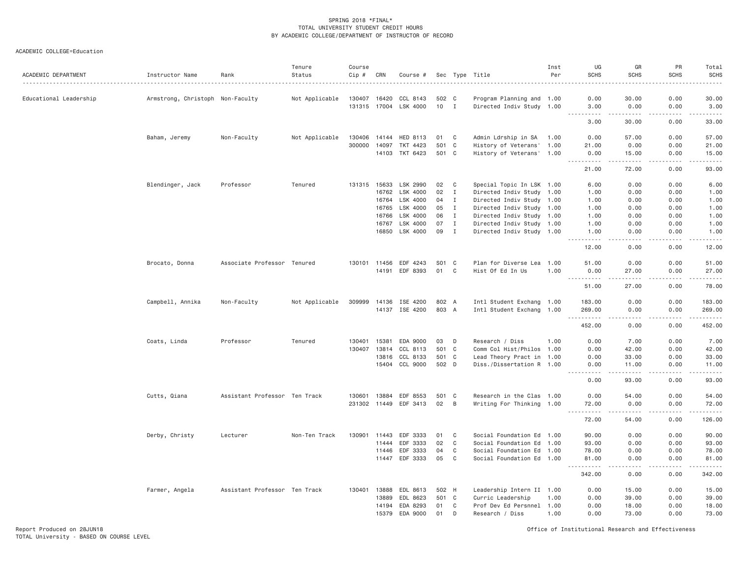| ACADEMIC DEPARTMENT    | Instructor Name                  | Rank                          | Tenure<br>Status | Course<br>Cip # | CRN   | Course #              |        |              | Sec Type Title            | Inst<br>Per | UG<br><b>SCHS</b>                  | GR<br><b>SCHS</b> | PR<br>SCHS                                                                                                                                                   | Total<br><b>SCHS</b>                                                                                                                |
|------------------------|----------------------------------|-------------------------------|------------------|-----------------|-------|-----------------------|--------|--------------|---------------------------|-------------|------------------------------------|-------------------|--------------------------------------------------------------------------------------------------------------------------------------------------------------|-------------------------------------------------------------------------------------------------------------------------------------|
| Educational Leadership | Armstrong, Christoph Non-Faculty |                               | Not Applicable   | 130407          | 16420 | CCL 8143              | 502 C  |              | Program Planning and 1.00 |             | 0.00                               | 30.00             | 0.00                                                                                                                                                         | 30.00                                                                                                                               |
|                        |                                  |                               |                  |                 |       | 131315 17004 LSK 4000 | $10$ I |              | Directed Indiv Study 1.00 |             | 3.00                               | 0.00              | 0.00                                                                                                                                                         | 3,00                                                                                                                                |
|                        |                                  |                               |                  |                 |       |                       |        |              |                           |             | 3.00                               | 30.00             | .<br>0.00                                                                                                                                                    | .<br>33.00                                                                                                                          |
|                        | Baham, Jeremy                    | Non-Faculty                   | Not Applicable   | 130406          | 14144 | HED 8113              | 01 C   |              | Admin Ldrship in SA       | 1.00        | 0.00                               | 57.00             | 0.00                                                                                                                                                         | 57.00                                                                                                                               |
|                        |                                  |                               |                  | 300000          | 14097 | TKT 4423              | 501    | $\mathbf{C}$ | History of Veterans' 1.00 |             | 21.00                              | 0.00              | 0.00                                                                                                                                                         | 21.00                                                                                                                               |
|                        |                                  |                               |                  |                 |       | 14103 TKT 6423        | 501 C  |              | History of Veterans' 1.00 |             | 0.00                               | 15.00             | 0.00                                                                                                                                                         | 15.00                                                                                                                               |
|                        |                                  |                               |                  |                 |       |                       |        |              |                           |             | 2.2.2.2.2<br>21.00                 | .<br>72.00        | 0.00                                                                                                                                                         | .<br>93.00                                                                                                                          |
|                        | Blendinger, Jack                 | Professor                     | Tenured          | 131315 15633    |       | LSK 2990              | 02     | C            | Special Topic In LSK 1.00 |             | 6.00                               | 0.00              | 0.00                                                                                                                                                         | 6.00                                                                                                                                |
|                        |                                  |                               |                  |                 | 16762 | LSK 4000              | 02     | $\mathbf{I}$ | Directed Indiv Study 1.00 |             | 1.00                               | 0.00              | 0.00                                                                                                                                                         | 1.00                                                                                                                                |
|                        |                                  |                               |                  |                 | 16764 | LSK 4000              | 04     | $\mathbf{I}$ | Directed Indiv Study 1.00 |             | 1.00                               | 0.00              | 0.00                                                                                                                                                         | 1.00                                                                                                                                |
|                        |                                  |                               |                  |                 | 16765 | LSK 4000              | 05     | $\mathbf{I}$ | Directed Indiv Study 1.00 |             | 1.00                               | 0.00              | 0.00                                                                                                                                                         | 1.00                                                                                                                                |
|                        |                                  |                               |                  |                 | 16766 | LSK 4000              | 06     | I            | Directed Indiv Study 1.00 |             | 1.00                               | 0.00              | 0.00                                                                                                                                                         | 1.00                                                                                                                                |
|                        |                                  |                               |                  |                 | 16767 | LSK 4000              | 07     | $\mathbf{I}$ | Directed Indiv Study 1.00 |             | 1.00                               | 0.00              | 0.00                                                                                                                                                         | 1.00                                                                                                                                |
|                        |                                  |                               |                  |                 | 16850 | LSK 4000              | 09     | $\mathbf I$  | Directed Indiv Study 1.00 |             | 1.00                               | 0.00              | 0.00                                                                                                                                                         | 1,00                                                                                                                                |
|                        |                                  |                               |                  |                 |       |                       |        |              |                           |             | .<br>12.00                         | .<br>0.00         | .<br>0.00                                                                                                                                                    | .<br>12.00                                                                                                                          |
|                        | Brocato, Donna                   | Associate Professor Tenured   |                  | 130101 11456    |       | EDF 4243              | S01 C  |              | Plan for Diverse Lea 1.00 |             | 51.00                              | 0.00              | 0.00                                                                                                                                                         | 51.00                                                                                                                               |
|                        |                                  |                               |                  |                 | 14191 | EDF 8393              | 01     | C            | Hist Of Ed In Us          | 1.00        | 0.00                               | 27.00             | 0.00                                                                                                                                                         | 27.00                                                                                                                               |
|                        |                                  |                               |                  |                 |       |                       |        |              |                           |             | $\sim$ $\sim$ $\sim$<br>.<br>51.00 | $- - -$<br>27.00  | 0.00                                                                                                                                                         | 78.00                                                                                                                               |
|                        | Campbell, Annika                 | Non-Faculty                   | Not Applicable   |                 |       | 309999 14136 ISE 4200 | 802 A  |              | Intl Student Exchang 1.00 |             | 183.00                             | 0.00              | 0.00                                                                                                                                                         | 183.00                                                                                                                              |
|                        |                                  |                               |                  |                 |       | 14137 ISE 4200        | 803 A  |              | Intl Student Exchang 1.00 |             | 269.00                             | 0.00              | 0.00                                                                                                                                                         | 269.00                                                                                                                              |
|                        |                                  |                               |                  |                 |       |                       |        |              |                           |             | .<br>452.00                        | .<br>0.00         | <u>.</u><br>0.00                                                                                                                                             | .<br>452.00                                                                                                                         |
|                        | Coats, Linda                     | Professor                     | Tenured          | 130401          | 15381 | EDA 9000              | 03     | D            | Research / Diss           | 1.00        | 0.00                               | 7.00              | 0.00                                                                                                                                                         | 7.00                                                                                                                                |
|                        |                                  |                               |                  | 130407          | 13814 | CCL 8113              | 501 C  |              | Comm Col Hist/Philos 1.00 |             | 0.00                               | 42.00             | 0.00                                                                                                                                                         | 42.00                                                                                                                               |
|                        |                                  |                               |                  |                 | 13816 | CCL 8133              | 501 C  |              | Lead Theory Pract in 1.00 |             | 0.00                               | 33.00             | 0.00                                                                                                                                                         | 33.00                                                                                                                               |
|                        |                                  |                               |                  |                 | 15404 | CCL 9000              | 502 D  |              | Diss./Dissertation R 1.00 |             | 0.00                               | 11.00             | 0.00                                                                                                                                                         | 11.00                                                                                                                               |
|                        |                                  |                               |                  |                 |       |                       |        |              |                           |             | .<br>0.00                          | .<br>93.00        | .<br>0.00                                                                                                                                                    | .<br>93.00                                                                                                                          |
|                        | Cutts, Qiana                     | Assistant Professor Ten Track |                  | 130601          | 13884 | EDF 8553              | 501 C  |              | Research in the Clas 1.00 |             | 0.00                               | 54.00             | 0.00                                                                                                                                                         | 54.00                                                                                                                               |
|                        |                                  |                               |                  | 231302 11449    |       | EDF 3413              | 02     | B            | Writing For Thinking 1.00 |             | 72.00                              | 0.00              | 0.00                                                                                                                                                         | 72.00                                                                                                                               |
|                        |                                  |                               |                  |                 |       |                       |        |              |                           |             | .<br>72.00                         | .<br>54.00        | .<br>0.00                                                                                                                                                    | .<br>126.00                                                                                                                         |
|                        | Derby, Christy                   | Lecturer                      | Non-Ten Track    | 130901          | 11443 | EDF 3333              | 01     | C            | Social Foundation Ed 1.00 |             | 90.00                              | 0.00              | 0.00                                                                                                                                                         | 90.00                                                                                                                               |
|                        |                                  |                               |                  |                 | 11444 | EDF 3333              | 02     | C            | Social Foundation Ed 1.00 |             | 93.00                              | 0.00              | 0.00                                                                                                                                                         | 93.00                                                                                                                               |
|                        |                                  |                               |                  |                 | 11446 | EDF 3333              | 04     | C            | Social Foundation Ed 1.00 |             | 78.00                              | 0.00              | 0.00                                                                                                                                                         | 78.00                                                                                                                               |
|                        |                                  |                               |                  |                 | 11447 | EDF 3333              | 05     | $\mathbf C$  | Social Foundation Ed 1.00 |             | 81.00                              | 0.00              | 0.00                                                                                                                                                         | 81.00                                                                                                                               |
|                        |                                  |                               |                  |                 |       |                       |        |              |                           |             | .<br>342.00                        | .<br>0.00         | $\frac{1}{2} \left( \frac{1}{2} \right) \left( \frac{1}{2} \right) \left( \frac{1}{2} \right) \left( \frac{1}{2} \right) \left( \frac{1}{2} \right)$<br>0.00 | $\begin{array}{cccccccccccccc} \bullet & \bullet & \bullet & \bullet & \bullet & \bullet & \bullet & \bullet \end{array}$<br>342.00 |
|                        | Farmer, Angela                   | Assistant Professor Ten Track |                  | 130401          | 13888 | EDL 8613              | 502 H  |              | Leadership Intern II 1.00 |             | 0.00                               | 15.00             | 0.00                                                                                                                                                         | 15.00                                                                                                                               |
|                        |                                  |                               |                  |                 | 13889 | EDL 8623              | 501 C  |              | Curric Leadership         | 1.00        | 0.00                               | 39.00             | 0.00                                                                                                                                                         | 39.00                                                                                                                               |
|                        |                                  |                               |                  |                 | 14194 | EDA 8293              | 01     | C            | Prof Dev Ed Persnnel 1.00 |             | 0.00                               | 18.00             | 0.00                                                                                                                                                         | 18.00                                                                                                                               |
|                        |                                  |                               |                  |                 | 15379 | EDA 9000              | 01     | D            | Research / Diss           | 1.00        | 0.00                               | 73.00             | 0.00                                                                                                                                                         | 73.00                                                                                                                               |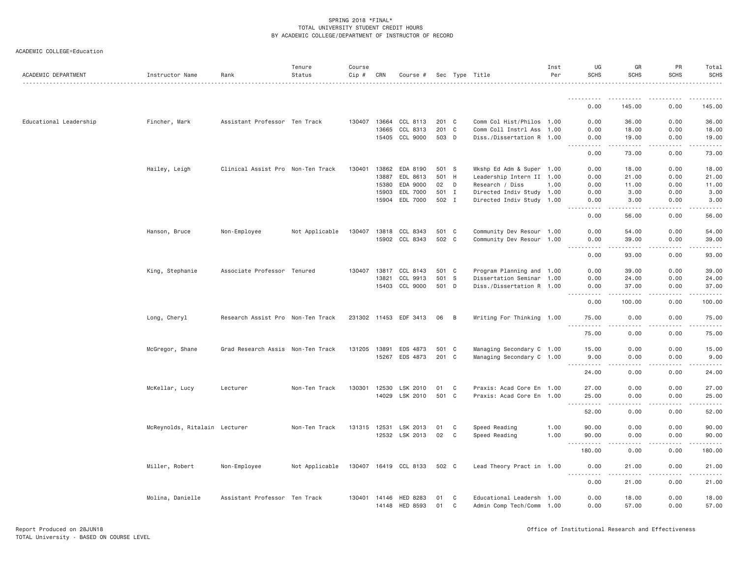|  |  | ACADEMIC COLLEGE=Education |
|--|--|----------------------------|
|--|--|----------------------------|

| ACADEMIC DEPARTMENT    | Instructor Name               | Rank                              | Tenure<br>Status | Course<br>Cip # | CRN   | Course #              |          |        | Sec Type Title                                         | Inst<br>Per | UG<br><b>SCHS</b>   | GR<br><b>SCHS</b>                                                                                                                                             | PR<br><b>SCHS</b> | Total<br><b>SCHS</b> |
|------------------------|-------------------------------|-----------------------------------|------------------|-----------------|-------|-----------------------|----------|--------|--------------------------------------------------------|-------------|---------------------|---------------------------------------------------------------------------------------------------------------------------------------------------------------|-------------------|----------------------|
|                        |                               |                                   |                  |                 |       |                       |          |        |                                                        |             |                     |                                                                                                                                                               |                   |                      |
|                        |                               |                                   |                  |                 |       |                       |          |        |                                                        |             | 0.00                | 145.00                                                                                                                                                        | 0.00              | 145.00               |
| Educational Leadership | Fincher, Mark                 | Assistant Professor Ten Track     |                  | 130407          | 13664 | CCL 8113              | 201 C    |        | Comm Col Hist/Philos 1.00                              |             | 0.00                | 36.00                                                                                                                                                         | 0.00              | 36.00                |
|                        |                               |                                   |                  |                 | 13665 | CCL 8313              | 201 C    |        | Comm Coll Instrl Ass 1.00                              |             | 0.00                | 18.00                                                                                                                                                         | 0.00              | 18.00                |
|                        |                               |                                   |                  |                 |       | 15405 CCL 9000        | 503 D    |        | Diss./Dissertation R 1.00                              |             | 0.00                | 19.00<br>$\frac{1}{2} \left( \frac{1}{2} \right) \left( \frac{1}{2} \right) \left( \frac{1}{2} \right) \left( \frac{1}{2} \right) \left( \frac{1}{2} \right)$ | 0.00<br>-----     | 19.00                |
|                        |                               |                                   |                  |                 |       |                       |          |        |                                                        |             | .<br>0.00           | 73.00                                                                                                                                                         | 0.00              | 73.00                |
|                        | Hailey, Leigh                 | Clinical Assist Pro Non-Ten Track |                  | 130401          | 13862 | EDA 8190              | 501 S    |        | Wkshp Ed Adm & Super 1.00                              |             | 0.00                | 18.00                                                                                                                                                         | 0.00              | 18.00                |
|                        |                               |                                   |                  |                 | 13887 | EDL 8613              | 501 H    |        | Leadership Intern II 1.00                              |             | 0.00                | 21.00                                                                                                                                                         | 0.00              | 21.00                |
|                        |                               |                                   |                  |                 | 15380 | EDA 9000              | 02       | D      | Research / Diss                                        | 1.00        | 0.00                | 11.00                                                                                                                                                         | 0.00              | 11.00                |
|                        |                               |                                   |                  |                 | 15903 | EDL 7000              | 501 I    |        | Directed Indiv Study 1.00                              |             | 0.00                | 3.00                                                                                                                                                          | 0.00              | 3.00                 |
|                        |                               |                                   |                  |                 | 15904 | EDL 7000              | 502 I    |        | Directed Indiv Study 1.00                              |             | 0.00<br>.           | 3.00<br>. <u>. .</u>                                                                                                                                          | 0.00<br>.         | 3.00<br>.            |
|                        |                               |                                   |                  |                 |       |                       |          |        |                                                        |             | 0.00                | 56.00                                                                                                                                                         | 0.00              | 56.00                |
|                        | Hanson, Bruce                 | Non-Employee                      | Not Applicable   | 130407          | 13818 | CCL 8343              | 501 C    |        | Community Dev Resour 1.00                              |             | 0.00                | 54.00                                                                                                                                                         | 0.00              | 54.00                |
|                        |                               |                                   |                  |                 | 15902 | CCL 8343              | 502 C    |        | Community Dev Resour 1.00                              |             | 0.00                | 39.00                                                                                                                                                         | 0.00              | 39.00                |
|                        |                               |                                   |                  |                 |       |                       |          |        |                                                        |             | .<br>0.00           | .<br>93.00                                                                                                                                                    | .<br>0.00         | .<br>93.00           |
|                        |                               |                                   |                  |                 |       |                       |          |        |                                                        |             |                     |                                                                                                                                                               |                   |                      |
|                        | King, Stephanie               | Associate Professor Tenured       |                  | 130407          | 13817 | CCL 8143              | 501 C    |        | Program Planning and 1.00                              |             | 0.00                | 39.00                                                                                                                                                         | 0.00              | 39.00                |
|                        |                               |                                   |                  |                 | 13821 | CCL 9913              | 501 S    |        | Dissertation Seminar 1.00                              |             | 0.00                | 24.00                                                                                                                                                         | 0.00              | 24.00                |
|                        |                               |                                   |                  |                 | 15403 | CCL 9000              | 501 D    |        | Diss./Dissertation R 1.00                              |             | 0.00<br>.           | 37.00<br>.                                                                                                                                                    | 0.00<br>.         | 37.00<br>.           |
|                        |                               |                                   |                  |                 |       |                       |          |        |                                                        |             | 0.00                | 100.00                                                                                                                                                        | 0.00              | 100.00               |
|                        | Long, Cheryl                  | Research Assist Pro Non-Ten Track |                  |                 |       | 231302 11453 EDF 3413 | 06 B     |        | Writing For Thinking 1.00                              |             | 75.00<br>.          | 0.00<br>.                                                                                                                                                     | 0.00<br>.         | 75.00<br>.           |
|                        |                               |                                   |                  |                 |       |                       |          |        |                                                        |             | 75.00               | 0.00                                                                                                                                                          | 0.00              | 75.00                |
|                        | McGregor, Shane               | Grad Research Assis Non-Ten Track |                  | 131205          | 13891 | EDS 4873              | 501 C    |        | Managing Secondary C 1.00                              |             | 15.00               | 0.00                                                                                                                                                          | 0.00              | 15.00                |
|                        |                               |                                   |                  |                 | 15267 | EDS 4873              | 201 C    |        | Managing Secondary C 1.00                              |             | 9.00                | 0.00                                                                                                                                                          | 0.00              | 9.00                 |
|                        |                               |                                   |                  |                 |       |                       |          |        |                                                        |             | .                   | .                                                                                                                                                             | .                 | .                    |
|                        |                               |                                   |                  |                 |       |                       |          |        |                                                        |             | 24.00               | 0.00                                                                                                                                                          | 0.00              | 24.00                |
|                        | McKellar, Lucy                | Lecturer                          | Non-Ten Track    | 130301          | 12530 | LSK 2010              | 01       | C      | Praxis: Acad Core En 1.00                              |             | 27.00               | 0.00                                                                                                                                                          | 0.00              | 27.00                |
|                        |                               |                                   |                  |                 | 14029 | LSK 2010              | 501 C    |        | Praxis: Acad Core En 1.00                              |             | 25.00<br>. <b>.</b> | 0.00<br>د د د د                                                                                                                                               | 0.00<br>.         | 25.00<br>.           |
|                        |                               |                                   |                  |                 |       |                       |          |        |                                                        |             | 52.00               | 0.00                                                                                                                                                          | 0.00              | 52.00                |
|                        | McReynolds, Ritalain Lecturer |                                   | Non-Ten Track    | 131315 12531    |       | LSK 2013              | 01       | C      | Speed Reading                                          | 1.00        | 90.00               | 0.00                                                                                                                                                          | 0.00              | 90.00                |
|                        |                               |                                   |                  |                 |       | 12532 LSK 2013        | 02       | C      | Speed Reading                                          | 1.00        | 90.00               | 0.00                                                                                                                                                          | 0.00              | 90.00                |
|                        |                               |                                   |                  |                 |       |                       |          |        |                                                        |             | <u>.</u>            | .                                                                                                                                                             | .                 | .                    |
|                        |                               |                                   |                  |                 |       |                       |          |        |                                                        |             | 180.00              | 0.00                                                                                                                                                          | 0.00              | 180.00               |
|                        | Miller, Robert                | Non-Employee                      | Not Applicable   |                 |       | 130407 16419 CCL 8133 | 502 C    |        | Lead Theory Pract in 1.00                              |             | 0.00<br><u>.</u>    | 21.00<br>.                                                                                                                                                    | 0.00<br>.         | 21.00                |
|                        |                               |                                   |                  |                 |       |                       |          |        |                                                        |             | 0.00                | 21.00                                                                                                                                                         | 0.00              | 21.00                |
|                        |                               |                                   |                  |                 |       |                       |          |        |                                                        |             |                     |                                                                                                                                                               |                   |                      |
|                        | Molina, Danielle              | Assistant Professor Ten Track     |                  | 130401 14146    | 14148 | HED 8283<br>HED 8593  | 01<br>01 | C<br>C | Educational Leadersh 1.00<br>Admin Comp Tech/Comm 1.00 |             | 0.00<br>0.00        | 18.00<br>57.00                                                                                                                                                | 0.00<br>0.00      | 18.00<br>57.00       |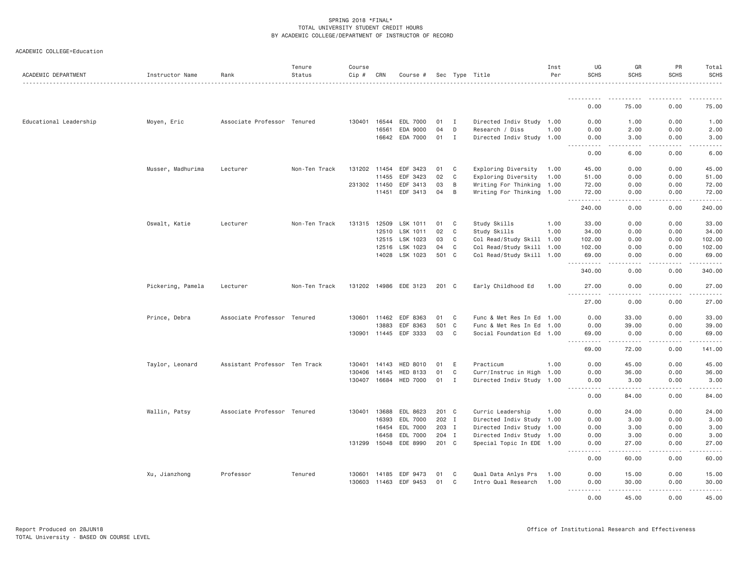| ACADEMIC DEPARTMENT    | Instructor Name   | Rank                          | Tenure<br>Status | Course<br>Cip # | CRN          | Course #              |       |              | Sec Type Title            | Inst<br>Per | UG<br><b>SCHS</b>                              | GR<br><b>SCHS</b> | PR<br><b>SCHS</b>                                                                                                                                            | Total<br><b>SCHS</b> |
|------------------------|-------------------|-------------------------------|------------------|-----------------|--------------|-----------------------|-------|--------------|---------------------------|-------------|------------------------------------------------|-------------------|--------------------------------------------------------------------------------------------------------------------------------------------------------------|----------------------|
|                        |                   |                               |                  |                 |              |                       |       |              |                           |             |                                                |                   |                                                                                                                                                              |                      |
|                        |                   |                               |                  |                 |              |                       |       |              |                           |             | 0.00                                           | 75.00             | 0.00                                                                                                                                                         | 75.00                |
| Educational Leadership | Moyen, Eric       | Associate Professor Tenured   |                  |                 | 130401 16544 | EDL 7000              | 01    | I            | Directed Indiv Study 1.00 |             | 0.00                                           | 1.00              | 0.00                                                                                                                                                         | 1.00                 |
|                        |                   |                               |                  |                 | 16561        | EDA 9000              | 04    | D            | Research / Diss           | 1.00        | 0.00                                           | 2.00              | 0.00                                                                                                                                                         | 2.00                 |
|                        |                   |                               |                  |                 |              | 16642 EDA 7000        | 01    | I            | Directed Indiv Study 1.00 |             | 0.00                                           | 3.00              | 0.00                                                                                                                                                         | 3.00                 |
|                        |                   |                               |                  |                 |              |                       |       |              |                           |             | .<br>0.00                                      | .<br>6.00         | 0.00                                                                                                                                                         | 6.00                 |
|                        | Musser, Madhurima | Lecturer                      | Non-Ten Track    |                 | 131202 11454 | EDF 3423              | 01    | C            | Exploring Diversity       | 1.00        | 45.00                                          | 0.00              | 0.00                                                                                                                                                         | 45.00                |
|                        |                   |                               |                  |                 | 11455        | EDF 3423              | 02    | C            | Exploring Diversity       | 1.00        | 51.00                                          | 0.00              | 0.00                                                                                                                                                         | 51.00                |
|                        |                   |                               |                  |                 | 231302 11450 | EDF 3413              | 03    | B            | Writing For Thinking 1.00 |             | 72.00                                          | 0.00              | 0.00                                                                                                                                                         | 72.00                |
|                        |                   |                               |                  |                 | 11451        | EDF 3413              | 04    | B            | Writing For Thinking 1.00 |             | 72.00<br>.                                     | 0.00<br>.         | 0.00<br>.                                                                                                                                                    | 72.00<br>.           |
|                        |                   |                               |                  |                 |              |                       |       |              |                           |             | 240.00                                         | 0.00              | 0.00                                                                                                                                                         | 240.00               |
|                        | Oswalt, Katie     | Lecturer                      | Non-Ten Track    | 131315          | 12509        | LSK 1011              | 01    | C            | Study Skills              | 1.00        | 33.00                                          | 0.00              | 0.00                                                                                                                                                         | 33.00                |
|                        |                   |                               |                  |                 | 12510        | LSK 1011              | 02    | C            | Study Skills              | 1.00        | 34.00                                          | 0.00              | 0.00                                                                                                                                                         | 34.00                |
|                        |                   |                               |                  |                 | 12515        | LSK 1023              | 03    | C            | Col Read/Study Skill 1.00 |             | 102.00                                         | 0.00              | 0.00                                                                                                                                                         | 102.00               |
|                        |                   |                               |                  |                 | 12516        | LSK 1023              | 04    | C            | Col Read/Study Skill 1.00 |             | 102.00                                         | 0.00              | 0.00                                                                                                                                                         | 102.00               |
|                        |                   |                               |                  |                 |              | 14028 LSK 1023        | 501 C |              | Col Read/Study Skill 1.00 |             | 69.00                                          | 0.00              | 0.00                                                                                                                                                         | 69.00                |
|                        |                   |                               |                  |                 |              |                       |       |              |                           |             | . <u>.</u><br>340.00                           | .<br>0.00         | $- - - - -$<br>0.00                                                                                                                                          | .<br>340.00          |
|                        | Pickering, Pamela | Lecturer                      | Non-Ten Track    |                 |              | 131202 14986 EDE 3123 | 201 C |              | Early Childhood Ed        | 1.00        | 27.00                                          | 0.00<br>.         | 0.00                                                                                                                                                         | 27.00<br>.           |
|                        |                   |                               |                  |                 |              |                       |       |              |                           |             | <u>.</u><br>27.00                              | 0.00              | .<br>0.00                                                                                                                                                    | 27.00                |
|                        | Prince, Debra     | Associate Professor Tenured   |                  |                 | 130601 11462 | EDF 8363              | 01    | C            | Func & Met Res In Ed 1.00 |             | 0.00                                           | 33.00             | 0.00                                                                                                                                                         | 33.00                |
|                        |                   |                               |                  |                 | 13883        | EDF 8363              | 501   | $\mathbf{C}$ | Func & Met Res In Ed      | 1.00        | 0.00                                           | 39.00             | 0.00                                                                                                                                                         | 39.00                |
|                        |                   |                               |                  |                 | 130901 11445 | EDF 3333              | 03    | C            | Social Foundation Ed 1.00 |             | 69.00                                          | 0.00              | 0.00                                                                                                                                                         | 69.00                |
|                        |                   |                               |                  |                 |              |                       |       |              |                           |             | $- - - - - -$<br>$\sim$ $\sim$ $\sim$<br>69.00 | .<br>72.00        | .<br>0.00                                                                                                                                                    | .<br>141.00          |
|                        | Taylor, Leonard   | Assistant Professor Ten Track |                  |                 | 130401 14143 | HED 8010              | 01    | E            | Practicum                 | 1.00        | 0.00                                           | 45.00             | 0.00                                                                                                                                                         | 45.00                |
|                        |                   |                               |                  | 130406          | 14145        | HED 8133              | 01    | C            | Curr/Instruc in High      | 1.00        | 0.00                                           | 36.00             | 0.00                                                                                                                                                         | 36.00                |
|                        |                   |                               |                  |                 | 130407 16684 | <b>HED 7000</b>       | 01    | Ι.           | Directed Indiv Study 1.00 |             | 0.00                                           | 3.00              | 0.00                                                                                                                                                         | 3.00                 |
|                        |                   |                               |                  |                 |              |                       |       |              |                           |             | <u>.</u><br>0.00                               | .<br>84.00        | .<br>0.00                                                                                                                                                    | .<br>84.00           |
|                        | Wallin, Patsy     | Associate Professor Tenured   |                  |                 | 130401 13688 | EDL 8623              | 201 C |              | Curric Leadership         | 1.00        | 0.00                                           | 24.00             | 0.00                                                                                                                                                         | 24.00                |
|                        |                   |                               |                  |                 | 16393        | EDL 7000              | 202 I |              | Directed Indiv Study 1.00 |             | 0.00                                           | 3.00              | 0.00                                                                                                                                                         | 3.00                 |
|                        |                   |                               |                  |                 | 16454        | EDL 7000              | 203 I |              | Directed Indiv Study 1.00 |             | 0.00                                           | 3.00              | 0.00                                                                                                                                                         | 3.00                 |
|                        |                   |                               |                  |                 | 16458        | EDL 7000              | 204 I |              | Directed Indiv Study 1.00 |             | 0.00                                           | 3.00              | 0.00                                                                                                                                                         | 3.00                 |
|                        |                   |                               |                  |                 | 131299 15048 | EDE 8990              | 201 C |              | Special Topic In EDE 1.00 |             | 0.00                                           | 27.00             | 0.00                                                                                                                                                         | 27.00                |
|                        |                   |                               |                  |                 |              |                       |       |              |                           |             | .<br>0.00                                      | .<br>60.00        | .<br>0.00                                                                                                                                                    | 60.00                |
|                        | Xu, Jianzhong     | Professor                     | Tenured          |                 | 130601 14185 | EDF 9473              | 01    | C            | Qual Data Anlys Prs       | 1.00        | 0.00                                           | 15.00             | 0.00                                                                                                                                                         | 15.00                |
|                        |                   |                               |                  |                 | 130603 11463 | EDF 9453              | 01    | C            | Intro Qual Research       | 1.00        | 0.00                                           | 30.00             | 0.00                                                                                                                                                         | 30.00                |
|                        |                   |                               |                  |                 |              |                       |       |              |                           |             | .<br>0.00                                      | .<br>45.00        | $\frac{1}{2} \left( \frac{1}{2} \right) \left( \frac{1}{2} \right) \left( \frac{1}{2} \right) \left( \frac{1}{2} \right) \left( \frac{1}{2} \right)$<br>0.00 | .<br>45.00           |
|                        |                   |                               |                  |                 |              |                       |       |              |                           |             |                                                |                   |                                                                                                                                                              |                      |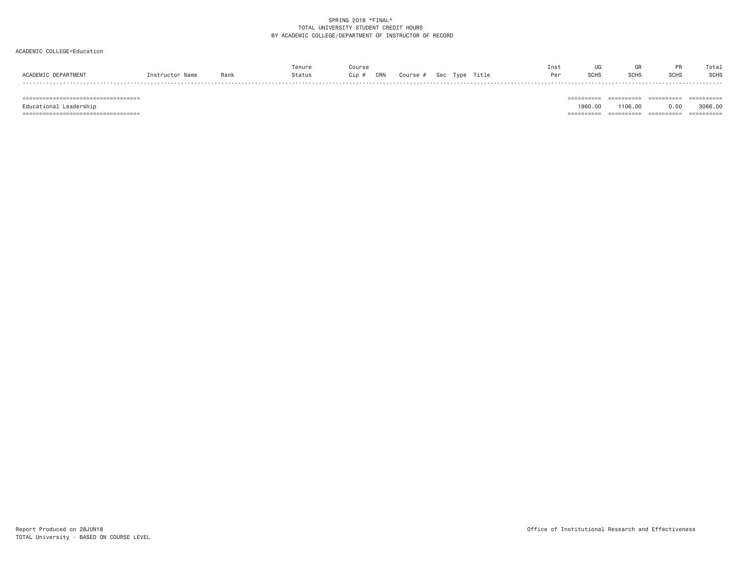## ACADEMIC COLLEGE=Education

|                                     |                   |      | Tenure | Cours)       |                                  | Inst |              |             | <b>DD</b> | Tota. |
|-------------------------------------|-------------------|------|--------|--------------|----------------------------------|------|--------------|-------------|-----------|-------|
| <b>ACADEMTC</b><br><b>DEPARTMEN</b> | Name<br>nstructor | Rank | Status | CRN<br>Cip # | Title<br>Tvpe<br>Sec<br>Course # |      | <b>COLIC</b> | <b>SCHS</b> | SCHS      | SCHS  |
|                                     |                   |      |        |              |                                  |      |              |             |           |       |

 =================================== ========== ========== ========== ========== Educational Leadership 1960.00 1106.00 0.00 3066.00 =================================== ========== ========== ========== ==========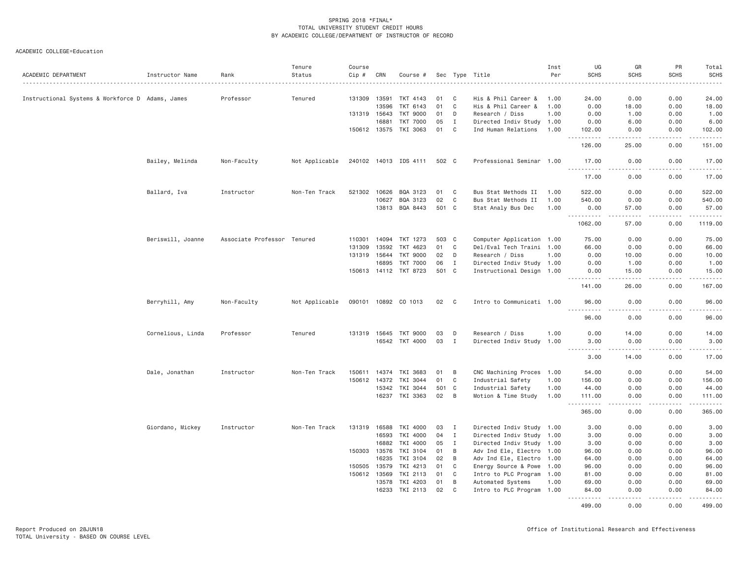| ACADEMIC DEPARTMENT                              | Instructor Name   | Rank                        | Tenure<br>Status | Course<br>Cip # | CRN                          | Course #              |          |                  | Sec Type Title                         | Inst<br>Per  | UG<br><b>SCHS</b>                                                                                                                      | GR<br><b>SCHS</b>    | PR<br><b>SCHS</b> | Total<br><b>SCHS</b>                                                                                                                                           |
|--------------------------------------------------|-------------------|-----------------------------|------------------|-----------------|------------------------------|-----------------------|----------|------------------|----------------------------------------|--------------|----------------------------------------------------------------------------------------------------------------------------------------|----------------------|-------------------|----------------------------------------------------------------------------------------------------------------------------------------------------------------|
|                                                  |                   |                             |                  |                 |                              |                       |          |                  |                                        |              |                                                                                                                                        |                      |                   | $\frac{1}{2} \left( \frac{1}{2} \right) \left( \frac{1}{2} \right) \left( \frac{1}{2} \right) \left( \frac{1}{2} \right) \left( \frac{1}{2} \right)$           |
| Instructional Systems & Workforce D Adams, James |                   | Professor                   | Tenured          | 131309          | 13591                        | TKT 4143              | 01       | C                | His & Phil Career &                    | 1.00         | 24.00                                                                                                                                  | 0.00                 | 0.00              | 24.00                                                                                                                                                          |
|                                                  |                   |                             |                  |                 | 13596                        | TKT 6143              | 01       | $\mathbf{C}$     | His & Phil Career &                    | 1.00         | 0.00                                                                                                                                   | 18.00                | 0.00              | 18.00                                                                                                                                                          |
|                                                  |                   |                             |                  |                 | 131319 15643                 | <b>TKT 9000</b>       | 01       | D                | Research / Diss                        | 1.00         | 0.00                                                                                                                                   | 1.00                 | 0.00              | 1.00                                                                                                                                                           |
|                                                  |                   |                             |                  |                 | 16881                        | <b>TKT 7000</b>       | 05       | I                | Directed Indiv Study 1.00              |              | 0.00                                                                                                                                   | 6.00                 | 0.00              | 6.00                                                                                                                                                           |
|                                                  |                   |                             |                  |                 | 150612 13575                 | TKI 3063              | 01       | $\mathbf{C}$     | Ind Human Relations                    | 1.00         | 102.00                                                                                                                                 | 0.00                 | 0.00              | 102.00                                                                                                                                                         |
|                                                  |                   |                             |                  |                 |                              |                       |          |                  |                                        |              | 126.00                                                                                                                                 | 25.00                | 0.00              | 151.00                                                                                                                                                         |
|                                                  | Bailey, Melinda   | Non-Faculty                 | Not Applicable   |                 |                              | 240102 14013 IDS 4111 | 502 C    |                  | Professional Seminar 1.00              |              | 17.00                                                                                                                                  | 0.00                 | 0.00              | 17.00                                                                                                                                                          |
|                                                  |                   |                             |                  |                 |                              |                       |          |                  |                                        |              | .<br>17.00                                                                                                                             | .<br>0.00            | .<br>0.00         | .<br>17.00                                                                                                                                                     |
|                                                  | Ballard, Iva      | Instructor                  | Non-Ten Track    | 521302          | 10626                        | BQA 3123              | 01       | C                | Bus Stat Methods II                    | 1.00         | 522.00                                                                                                                                 | 0.00                 | 0.00              | 522.00                                                                                                                                                         |
|                                                  |                   |                             |                  |                 | 10627                        | BQA 3123              | 02       | $\mathbf C$      | Bus Stat Methods II                    | 1.00         | 540.00                                                                                                                                 | 0.00                 | 0.00              | 540.00                                                                                                                                                         |
|                                                  |                   |                             |                  |                 |                              | 13813 BQA 8443        | 501 C    |                  | Stat Analy Bus Dec                     | 1.00         | 0.00                                                                                                                                   | 57.00                | 0.00              | 57.00                                                                                                                                                          |
|                                                  |                   |                             |                  |                 |                              |                       |          |                  |                                        |              | <u>.</u><br>1062.00                                                                                                                    | <u>.</u><br>57.00    | <u>.</u><br>0.00  | .<br>1119.00                                                                                                                                                   |
|                                                  | Beriswill, Joanne | Associate Professor Tenured |                  | 110301          | 14094                        | TKT 1273              | 503      | $\mathbf{C}$     | Computer Application 1.00              |              | 75.00                                                                                                                                  | 0.00                 | 0.00              | 75.00                                                                                                                                                          |
|                                                  |                   |                             |                  | 131309          | 13592                        | TKT 4623              | 01       | $\mathbf C$      | Del/Eval Tech Traini 1.00              |              | 66.00                                                                                                                                  | 0.00                 | 0.00              | 66.00                                                                                                                                                          |
|                                                  |                   |                             |                  | 131319          | 15644                        | <b>TKT 9000</b>       | 02       | D                | Research / Diss                        | 1.00         | 0.00                                                                                                                                   | 10.00                | 0.00              | 10.00                                                                                                                                                          |
|                                                  |                   |                             |                  |                 | 16895                        | <b>TKT 7000</b>       | 06       | $\mathbf{I}$     | Directed Indiv Study 1.00              |              | 0.00                                                                                                                                   | 1.00                 | 0.00              | 1.00                                                                                                                                                           |
|                                                  |                   |                             |                  |                 |                              | 150613 14112 TKT 8723 | 501 C    |                  | Instructional Design 1.00              |              | 0.00                                                                                                                                   | 15.00                | 0.00              | 15.00                                                                                                                                                          |
|                                                  |                   |                             |                  |                 |                              |                       |          |                  |                                        |              | الدامات بال<br>141.00                                                                                                                  | .<br>26.00           | .<br>0.00         | .<br>167.00                                                                                                                                                    |
|                                                  | Berryhill, Amy    | Non-Faculty                 | Not Applicable   |                 |                              | 090101 10892 CO 1013  | 02       | $\mathbf{C}$     | Intro to Communicati 1.00              |              | 96.00                                                                                                                                  | 0.00                 | 0.00              | 96.00                                                                                                                                                          |
|                                                  |                   |                             |                  |                 |                              |                       |          |                  |                                        |              | <u>.</u><br>96.00                                                                                                                      | . <u>. .</u><br>0.00 | .<br>0.00         | .<br>96.00                                                                                                                                                     |
|                                                  | Cornelious, Linda | Professor                   | Tenured          |                 | 131319 15645                 | TKT 9000              | 03       | D                | Research / Diss                        | 1.00         | 0.00                                                                                                                                   | 14.00                | 0.00              | 14.00                                                                                                                                                          |
|                                                  |                   |                             |                  |                 | 16542                        | TKT 4000              | 03       | $\mathbf{I}$     | Directed Indiv Study                   | 1.00         | 3.00                                                                                                                                   | 0.00                 | 0.00              | 3.00                                                                                                                                                           |
|                                                  |                   |                             |                  |                 |                              |                       |          |                  |                                        |              | $\frac{1}{2} \left( \frac{1}{2} \right) \left( \frac{1}{2} \right) \left( \frac{1}{2} \right) \left( \frac{1}{2} \right)$<br>.<br>3.00 | .<br>14.00           | .<br>0.00         | .<br>17.00                                                                                                                                                     |
|                                                  |                   |                             |                  |                 |                              |                       |          |                  |                                        |              |                                                                                                                                        |                      |                   |                                                                                                                                                                |
|                                                  | Dale, Jonathan    | Instructor                  | Non-Ten Track    |                 | 150611 14374<br>150612 14372 | TKI 3683              | 01<br>01 | B<br>$\mathbf C$ | CNC Machining Proces 1.00              |              | 54.00                                                                                                                                  | 0.00<br>0.00         | 0.00<br>0.00      | 54.00<br>156.00                                                                                                                                                |
|                                                  |                   |                             |                  |                 | 15342                        | TKI 3044<br>TKI 3044  |          | 501 C            | Industrial Safety<br>Industrial Safety | 1.00<br>1.00 | 156.00<br>44.00                                                                                                                        | 0.00                 | 0.00              | 44.00                                                                                                                                                          |
|                                                  |                   |                             |                  |                 | 16237                        | TKI 3363              | 02       | B                | Motion & Time Study                    | 1.00         | 111.00                                                                                                                                 | 0.00                 | 0.00              | 111.00                                                                                                                                                         |
|                                                  |                   |                             |                  |                 |                              |                       |          |                  |                                        |              | $\sim$ $\sim$ $\sim$<br>365.00                                                                                                         | .<br>0.00            | 0.00              | $\frac{1}{2} \left( \frac{1}{2} \right) \left( \frac{1}{2} \right) \left( \frac{1}{2} \right) \left( \frac{1}{2} \right) \left( \frac{1}{2} \right)$<br>365.00 |
|                                                  | Giordano, Mickey  | Instructor                  | Non-Ten Track    |                 | 131319 16588                 | TKI 4000              | 03       | I                | Directed Indiv Study 1.00              |              | 3.00                                                                                                                                   | 0.00                 | 0.00              | 3.00                                                                                                                                                           |
|                                                  |                   |                             |                  |                 | 16593                        | TKI 4000              | 04       | $\mathbf{I}$     | Directed Indiv Study 1.00              |              | 3.00                                                                                                                                   | 0.00                 | 0.00              | 3.00                                                                                                                                                           |
|                                                  |                   |                             |                  |                 | 16882                        | TKI 4000              | 05       | $\mathbf{I}$     | Directed Indiv Study 1.00              |              | 3.00                                                                                                                                   | 0.00                 | 0.00              | 3.00                                                                                                                                                           |
|                                                  |                   |                             |                  |                 | 150303 13576                 | TKI 3104              | 01       | B                | Adv Ind Ele, Electro 1.00              |              | 96.00                                                                                                                                  | 0.00                 | 0.00              | 96.00                                                                                                                                                          |
|                                                  |                   |                             |                  |                 | 16235                        | TKI 3104              | 02       | B                | Adv Ind Ele, Electro 1.00              |              | 64.00                                                                                                                                  | 0.00                 | 0.00              | 64.00                                                                                                                                                          |
|                                                  |                   |                             |                  | 150505          | 13579                        | TKI 4213              | 01       | C                | Energy Source & Powe 1.00              |              | 96.00                                                                                                                                  | 0.00                 | 0.00              | 96.00                                                                                                                                                          |
|                                                  |                   |                             |                  |                 | 150612 13569                 | TKI 2113              | 01       | C                | Intro to PLC Program 1.00              |              | 81.00                                                                                                                                  | 0.00                 | 0.00              | 81.00                                                                                                                                                          |
|                                                  |                   |                             |                  |                 | 13578                        | TKI 4203              | 01       | B                | Automated Systems                      | 1.00         | 69.00                                                                                                                                  | 0.00                 | 0.00              | 69.00                                                                                                                                                          |
|                                                  |                   |                             |                  |                 | 16233                        | TKI 2113              | 02       | C                | Intro to PLC Program 1.00              |              | 84.00                                                                                                                                  | 0.00                 | 0.00              | 84.00                                                                                                                                                          |
|                                                  |                   |                             |                  |                 |                              |                       |          |                  |                                        |              | .<br>499.00                                                                                                                            | .<br>0.00            | .<br>0.00         | <u>.</u><br>499.00                                                                                                                                             |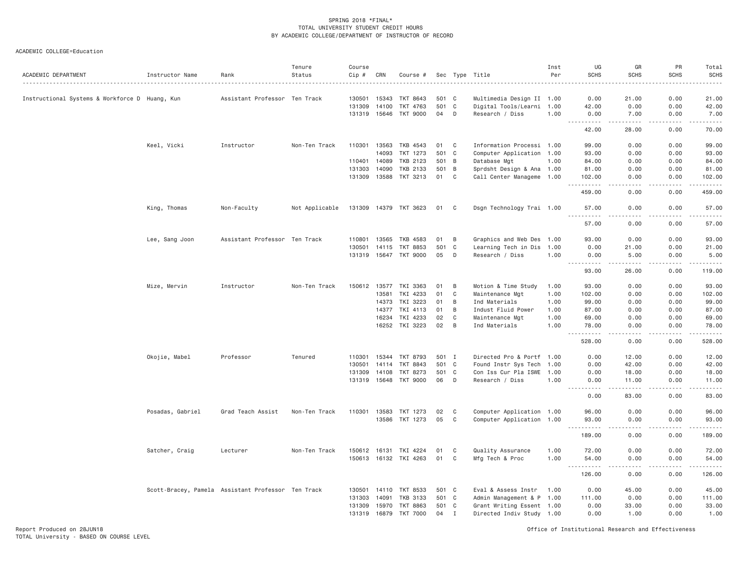| ACADEMIC DEPARTMENT                            | Instructor Name                                    | Rank                          | Tenure<br>Status | Course<br>Cip # | CRN   | Course #              |       |              | Sec Type Title            | Inst<br>Per | UG<br><b>SCHS</b>         | GR<br><b>SCHS</b>    | PR<br><b>SCHS</b>                                                                                                                                            | Total<br><b>SCHS</b>                                                                                                                                 |
|------------------------------------------------|----------------------------------------------------|-------------------------------|------------------|-----------------|-------|-----------------------|-------|--------------|---------------------------|-------------|---------------------------|----------------------|--------------------------------------------------------------------------------------------------------------------------------------------------------------|------------------------------------------------------------------------------------------------------------------------------------------------------|
|                                                |                                                    |                               |                  |                 |       |                       |       |              |                           |             |                           |                      |                                                                                                                                                              | $\frac{1}{2} \left( \frac{1}{2} \right) \left( \frac{1}{2} \right) \left( \frac{1}{2} \right) \left( \frac{1}{2} \right) \left( \frac{1}{2} \right)$ |
| Instructional Systems & Workforce D Huang, Kun |                                                    | Assistant Professor Ten Track |                  | 130501          | 15343 | TKT 8643              | 501 C |              | Multimedia Design II 1.00 |             | 0.00                      | 21.00                | 0.00                                                                                                                                                         | 21.00                                                                                                                                                |
|                                                |                                                    |                               |                  | 131309          | 14100 | TKT 4763              | 501 C |              | Digital Tools/Learni      | 1.00        | 42.00                     | 0.00                 | 0.00                                                                                                                                                         | 42.00                                                                                                                                                |
|                                                |                                                    |                               |                  | 131319 15646    |       | <b>TKT 9000</b>       | 04    | D            | Research / Diss           | 1.00        | 0.00<br>.                 | 7.00<br>$- - - - -$  | 0.00                                                                                                                                                         | 7.00                                                                                                                                                 |
|                                                |                                                    |                               |                  |                 |       |                       |       |              |                           |             | 42.00                     | 28.00                | .<br>0.00                                                                                                                                                    | .<br>70.00                                                                                                                                           |
|                                                | Keel, Vicki                                        | Instructor                    | Non-Ten Track    | 110301          | 13563 | TKB 4543              | 01    | $\mathbf{C}$ | Information Processi 1.00 |             | 99.00                     | 0.00                 | 0.00                                                                                                                                                         | 99.00                                                                                                                                                |
|                                                |                                                    |                               |                  |                 | 14093 | TKT 1273              | 501 C |              | Computer Application 1.00 |             | 93.00                     | 0.00                 | 0.00                                                                                                                                                         | 93.00                                                                                                                                                |
|                                                |                                                    |                               |                  | 110401 14089    |       | TKB 2123              | 501 B |              | Database Mgt              | 1.00        | 84.00                     | 0.00                 | 0.00                                                                                                                                                         | 84.00                                                                                                                                                |
|                                                |                                                    |                               |                  | 131303          | 14090 | TKB 2133              | 501 B |              | Sprdsht Design & Ana 1.00 |             | 81.00                     | 0.00                 | 0.00                                                                                                                                                         | 81.00                                                                                                                                                |
|                                                |                                                    |                               |                  | 131309 13588    |       | TKT 3213              | 01    | $\mathbf{C}$ | Call Center Manageme 1.00 |             | 102.00<br>$- - - - -$     | 0.00<br>$\cdots$     | 0.00<br>.                                                                                                                                                    | 102.00<br>------                                                                                                                                     |
|                                                |                                                    |                               |                  |                 |       |                       |       |              |                           |             | 459.00                    | 0.00                 | 0.00                                                                                                                                                         | 459.00                                                                                                                                               |
|                                                | King, Thomas                                       | Non-Faculty                   | Not Applicable   |                 |       | 131309 14379 TKT 3623 | 01    | C            | Dsgn Technology Trai 1.00 |             | 57.00<br>.                | 0.00<br>-----        | 0.00<br><b>.</b>                                                                                                                                             | 57.00<br>.                                                                                                                                           |
|                                                |                                                    |                               |                  |                 |       |                       |       |              |                           |             | 57.00                     | 0.00                 | 0.00                                                                                                                                                         | 57.00                                                                                                                                                |
|                                                | Lee, Sang Joon                                     | Assistant Professor Ten Track |                  | 110801          | 13565 | TKB 4583              | 01    | B            | Graphics and Web Des 1.00 |             | 93.00                     | 0.00                 | 0.00                                                                                                                                                         | 93.00                                                                                                                                                |
|                                                |                                                    |                               |                  | 130501          | 14115 | TKT 8853              | 501   | $\mathbf C$  | Learning Tech in Dis 1.00 |             | 0.00                      | 21.00                | 0.00                                                                                                                                                         | 21.00                                                                                                                                                |
|                                                |                                                    |                               |                  | 131319          | 15647 | <b>TKT 9000</b>       | 05    | D            | Research / Diss           | 1.00        | 0.00                      | 5.00                 | 0.00                                                                                                                                                         | 5.00                                                                                                                                                 |
|                                                |                                                    |                               |                  |                 |       |                       |       |              |                           |             | .<br>93.00                | .<br>26.00           | .<br>0.00                                                                                                                                                    | .<br>119.00                                                                                                                                          |
|                                                | Mize, Mervin                                       | Instructor                    | Non-Ten Track    | 150612          | 13577 | TKI 3363              | 01    | B            | Motion & Time Study       | 1.00        | 93.00                     | 0.00                 | 0.00                                                                                                                                                         | 93.00                                                                                                                                                |
|                                                |                                                    |                               |                  |                 | 13581 | TKI 4233              | 01    | C            | Maintenance Mgt           | 1.00        | 102.00                    | 0.00                 | 0.00                                                                                                                                                         | 102.00                                                                                                                                               |
|                                                |                                                    |                               |                  |                 | 14373 | TKI 3223              | 01    | B            | Ind Materials             | 1.00        | 99.00                     | 0.00                 | 0.00                                                                                                                                                         | 99.00                                                                                                                                                |
|                                                |                                                    |                               |                  |                 | 14377 | TKI 4113              | 01    | B            | Indust Fluid Power        | 1.00        | 87.00                     | 0.00                 | 0.00                                                                                                                                                         | 87.00                                                                                                                                                |
|                                                |                                                    |                               |                  |                 | 16234 | TKI 4233              | 02    | C            | Maintenance Mgt           | 1.00        | 69.00                     | 0.00                 | 0.00                                                                                                                                                         | 69.00                                                                                                                                                |
|                                                |                                                    |                               |                  |                 | 16252 | TKI 3223              | 02    | B            | Ind Materials             | 1.00        | 78.00                     | 0.00                 | 0.00                                                                                                                                                         | 78.00                                                                                                                                                |
|                                                |                                                    |                               |                  |                 |       |                       |       |              |                           |             | 528.00                    | 0.00                 | 0.00                                                                                                                                                         | 528.00                                                                                                                                               |
|                                                | Okojie, Mabel                                      | Professor                     | Tenured          | 110301          | 15344 | TKT 8793              | 501 I |              | Directed Pro & Portf 1.00 |             | 0.00                      | 12.00                | 0.00                                                                                                                                                         | 12.00                                                                                                                                                |
|                                                |                                                    |                               |                  | 130501          | 14114 | TKT 8843              | 501   | $\mathbf{C}$ | Found Instr Sys Tech      | 1.00        | 0.00                      | 42.00                | 0.00                                                                                                                                                         | 42.00                                                                                                                                                |
|                                                |                                                    |                               |                  | 131309          | 14108 | TKT 8273              | 501 C |              | Con Iss Cur Pla ISWE 1.00 |             | 0.00                      | 18.00                | 0.00                                                                                                                                                         | 18.00                                                                                                                                                |
|                                                |                                                    |                               |                  | 131319 15648    |       | TKT 9000              | 06    | $\mathsf{D}$ | Research / Diss           | 1.00        | 0.00                      | 11.00                | 0.00                                                                                                                                                         | 11.00                                                                                                                                                |
|                                                |                                                    |                               |                  |                 |       |                       |       |              |                           |             | 0.00                      | 83.00                | 0.00                                                                                                                                                         | 83.00                                                                                                                                                |
|                                                | Posadas, Gabriel                                   | Grad Teach Assist             | Non-Ten Track    | 110301 13583    |       | TKT 1273              | 02    | $\mathbf{C}$ | Computer Application 1.00 |             | 96.00                     | 0.00                 | 0.00                                                                                                                                                         | 96.00                                                                                                                                                |
|                                                |                                                    |                               |                  |                 | 13586 | TKT 1273              | 05    | $\mathbf C$  | Computer Application 1.00 |             | 93.00                     | 0.00                 | 0.00                                                                                                                                                         | 93.00                                                                                                                                                |
|                                                |                                                    |                               |                  |                 |       |                       |       |              |                           |             | $\sim$ $\sim$ $\sim$<br>. | $\sim$ $\sim$ $\sim$ | .                                                                                                                                                            | .                                                                                                                                                    |
|                                                |                                                    |                               |                  |                 |       |                       |       |              |                           |             | 189.00                    | 0.00                 | 0.00                                                                                                                                                         | 189.00                                                                                                                                               |
|                                                | Satcher, Craig                                     | Lecturer                      | Non-Ten Track    | 150612 16131    |       | TKI 4224              | 01    | C            | Quality Assurance         | 1.00        | 72.00                     | 0.00                 | 0.00                                                                                                                                                         | 72.00                                                                                                                                                |
|                                                |                                                    |                               |                  |                 |       | 150613 16132 TKI 4263 | 01    | C            | Mfg Tech & Proc           | 1.00        | 54.00<br>.<br>$- - -$     | 0.00<br>-----        | 0.00<br>$\frac{1}{2} \left( \frac{1}{2} \right) \left( \frac{1}{2} \right) \left( \frac{1}{2} \right) \left( \frac{1}{2} \right) \left( \frac{1}{2} \right)$ | 54.00<br>.                                                                                                                                           |
|                                                |                                                    |                               |                  |                 |       |                       |       |              |                           |             | 126.00                    | 0.00                 | 0.00                                                                                                                                                         | 126.00                                                                                                                                               |
|                                                | Scott-Bracey, Pamela Assistant Professor Ten Track |                               |                  | 130501 14110    |       | TKT 8533              | 501 C |              | Eval & Assess Instr       | 1.00        | 0.00                      | 45.00                | 0.00                                                                                                                                                         | 45.00                                                                                                                                                |
|                                                |                                                    |                               |                  | 131303          | 14091 | <b>TKB 3133</b>       | 501 C |              | Admin Management & P 1.00 |             | 111.00                    | 0.00                 | 0.00                                                                                                                                                         | 111.00                                                                                                                                               |
|                                                |                                                    |                               |                  | 131309          | 15970 | TKT 8863              | 501 C |              | Grant Writing Essent 1.00 |             | 0.00                      | 33.00                | 0.00                                                                                                                                                         | 33.00                                                                                                                                                |
|                                                |                                                    |                               |                  | 131319 16879    |       | <b>TKT 7000</b>       | 04    | $\mathbf{I}$ | Directed Indiv Study 1.00 |             | 0.00                      | 1.00                 | 0.00                                                                                                                                                         | 1.00                                                                                                                                                 |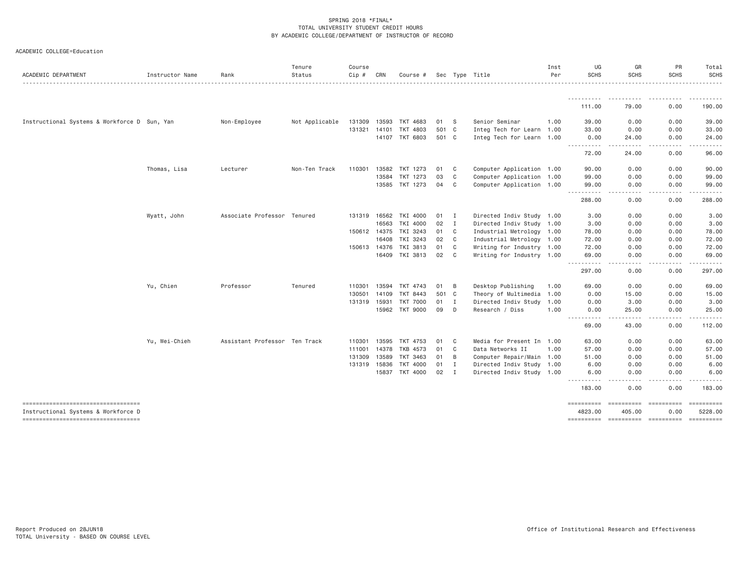| ACADEMIC DEPARTMENT                                                       | Instructor Name | Rank                          | Tenure<br>Status | Course<br>Cip # | CRN   | Course #        |       |                | Sec Type Title            | Inst<br>Per | UG<br><b>SCHS</b>                   | GR<br><b>SCHS</b>       | PR<br><b>SCHS</b>       | Total<br><b>SCHS</b>  |
|---------------------------------------------------------------------------|-----------------|-------------------------------|------------------|-----------------|-------|-----------------|-------|----------------|---------------------------|-------------|-------------------------------------|-------------------------|-------------------------|-----------------------|
|                                                                           |                 |                               |                  |                 |       |                 |       |                |                           |             |                                     |                         |                         |                       |
|                                                                           |                 |                               |                  |                 |       |                 |       |                |                           |             | 111.00                              | 79.00                   | 0.00                    | 190.00                |
| Instructional Systems & Workforce D Sun, Yan                              |                 | Non-Employee                  | Not Applicable   | 131309          | 13593 | TKT 4683        | 01    | - S            | Senior Seminar            | 1.00        | 39.00                               | 0.00                    | 0.00                    | 39.00                 |
|                                                                           |                 |                               |                  | 131321          | 14101 | TKT 4803        | 501 C |                | Integ Tech for Learn 1.00 |             | 33.00                               | 0.00                    | 0.00                    | 33.00                 |
|                                                                           |                 |                               |                  |                 | 14107 | TKT 6803        | 501 C |                | Integ Tech for Learn 1.00 |             | 0.00<br><b></b>                     | 24.00<br>.              | 0.00<br>$\frac{1}{2}$   | 24.00<br>.            |
|                                                                           |                 |                               |                  |                 |       |                 |       |                |                           |             | 72.00                               | 24,00                   | 0.00                    | 96.00                 |
|                                                                           | Thomas, Lisa    | Lecturer                      | Non-Ten Track    | 110301          | 13582 | TKT 1273        | 01    | C              | Computer Application 1.00 |             | 90.00                               | 0.00                    | 0.00                    | 90.00                 |
|                                                                           |                 |                               |                  |                 | 13584 | TKT 1273        | 03    | $\mathsf{C}$   | Computer Application 1.00 |             | 99.00                               | 0.00                    | 0.00                    | 99.00                 |
|                                                                           |                 |                               |                  |                 |       | 13585 TKT 1273  | 04    | C              | Computer Application 1.00 |             | 99.00<br>.                          | 0.00<br>----            | 0.00<br>. <b>.</b>      | 99.00<br>. <b>.</b> . |
|                                                                           |                 |                               |                  |                 |       |                 |       |                |                           |             | 288.00                              | 0.00                    | 0.00                    | 288.00                |
|                                                                           | Wyatt, John     | Associate Professor Tenured   |                  | 131319          |       | 16562 TKI 4000  | 01    | $\blacksquare$ | Directed Indiv Study 1.00 |             | 3.00                                | 0.00                    | 0.00                    | 3.00                  |
|                                                                           |                 |                               |                  |                 | 16563 | TKI 4000        | 02    | $\mathbf{I}$   | Directed Indiv Study 1.00 |             | 3.00                                | 0.00                    | 0.00                    | 3.00                  |
|                                                                           |                 |                               |                  | 150612 14375    |       | TKI 3243        | 01    | C              | Industrial Metrology 1.00 |             | 78.00                               | 0.00                    | 0.00                    | 78.00                 |
|                                                                           |                 |                               |                  |                 | 16408 | TKI 3243        | 02    | C              | Industrial Metrology 1.00 |             | 72.00                               | 0.00                    | 0.00                    | 72.00                 |
|                                                                           |                 |                               |                  | 150613 14376    |       | TKI 3813        | 01    | C              | Writing for Industry 1.00 |             | 72.00                               | 0.00                    | 0.00                    | 72.00                 |
|                                                                           |                 |                               |                  |                 | 16409 | TKI 3813        | 02    | C              | Writing for Industry 1.00 |             | 69.00<br>$- -$                      | 0.00                    | 0.00                    | 69.00<br>.            |
|                                                                           |                 |                               |                  |                 |       |                 |       |                |                           |             | 297.00                              | 0.00                    | 0.00                    | 297.00                |
|                                                                           | Yu, Chien       | Professor                     | Tenured          | 110301          | 13594 | TKT 4743        | 01    | B              | Desktop Publishing        | 1.00        | 69.00                               | 0.00                    | 0.00                    | 69.00                 |
|                                                                           |                 |                               |                  | 130501          | 14109 | <b>TKT 8443</b> | 501 C |                | Theory of Multimedia      | 1.00        | 0.00                                | 15.00                   | 0.00                    | 15.00                 |
|                                                                           |                 |                               |                  | 131319          | 15931 | <b>TKT 7000</b> | 01    | $\mathbf{I}$   | Directed Indiv Study 1.00 |             | 0.00                                | 3.00                    | 0.00                    | 3.00                  |
|                                                                           |                 |                               |                  |                 | 15962 | TKT 9000        | 09    | D              | Research / Diss           | 1,00        | 0.00<br>.<br>$\cdots$               | 25.00<br>.              | 0.00<br>.               | 25,00<br>.            |
|                                                                           |                 |                               |                  |                 |       |                 |       |                |                           |             | 69.00                               | 43.00                   | 0.00                    | 112.00                |
|                                                                           | Yu, Wei-Chieh   | Assistant Professor Ten Track |                  | 110301          | 13595 | TKT 4753        | 01    | C              | Media for Present In 1.00 |             | 63,00                               | 0.00                    | 0.00                    | 63,00                 |
|                                                                           |                 |                               |                  | 111001          | 14378 | TKB 4573        | 01    | $\mathsf{C}$   | Data Networks II          | 1,00        | 57.00                               | 0.00                    | 0.00                    | 57.00                 |
|                                                                           |                 |                               |                  | 131309          | 13589 | TKT 3463        | 01    | B              | Computer Repair/Main 1.00 |             | 51.00                               | 0.00                    | 0.00                    | 51.00                 |
|                                                                           |                 |                               |                  | 131319          | 15836 | TKT 4000        | 01    | I              | Directed Indiv Study 1.00 |             | 6.00                                | 0.00                    | 0.00                    | 6.00                  |
|                                                                           |                 |                               |                  |                 | 15837 | TKT 4000        | 02    | $\mathbf{I}$   | Directed Indiv Study 1.00 |             | 6.00<br>$\sim$ $\sim$ $\sim$ $\sim$ | 0.00                    | 0.00                    | 6.00                  |
|                                                                           |                 |                               |                  |                 |       |                 |       |                |                           |             | 183.00                              | 0.00                    | 0.00                    | 183.00                |
| ----------------------------------                                        |                 |                               |                  |                 |       |                 |       |                |                           |             | ==========                          | $=$ = = = = = = = = = = | $=$ = = = = = = = = = = |                       |
| Instructional Systems & Workforce D<br>---------------------------------- |                 |                               |                  |                 |       |                 |       |                |                           |             | 4823.00                             | 405.00                  | 0.00                    | 5228.00               |
|                                                                           |                 |                               |                  |                 |       |                 |       |                |                           |             |                                     |                         |                         |                       |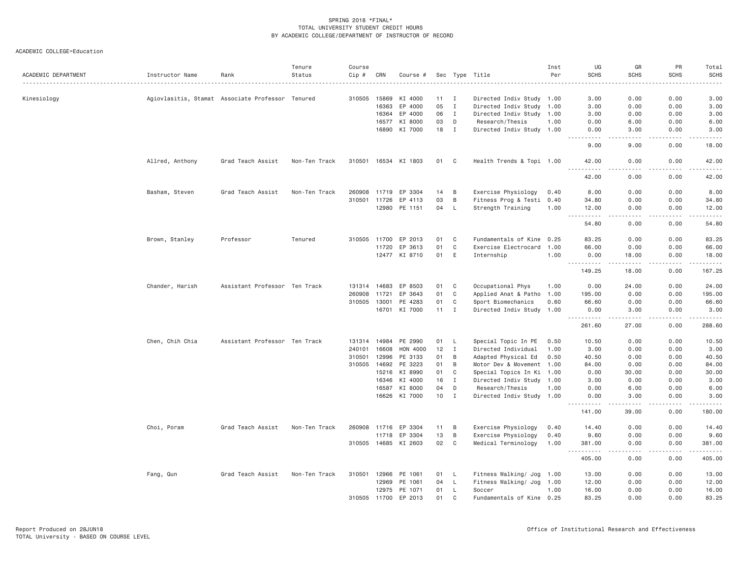| ACADEMIC DEPARTMENT | Instructor Name                                  | Rank                          | Tenure<br>Status | Course<br>Cip # | CRN          | Course #             |              |              | Sec Type Title            | Inst<br>Per | UG<br><b>SCHS</b>                                                                                                                                              | GR<br><b>SCHS</b> | PR<br><b>SCHS</b> | Total<br><b>SCHS</b>      |
|---------------------|--------------------------------------------------|-------------------------------|------------------|-----------------|--------------|----------------------|--------------|--------------|---------------------------|-------------|----------------------------------------------------------------------------------------------------------------------------------------------------------------|-------------------|-------------------|---------------------------|
|                     |                                                  |                               |                  |                 |              |                      |              |              |                           |             |                                                                                                                                                                |                   |                   |                           |
| Kinesiology         | Agiovlasitis, Stamat Associate Professor Tenured |                               |                  |                 | 310505 15869 | KI 4000              | $11 \quad I$ |              | Directed Indiv Study 1.00 |             | 3.00                                                                                                                                                           | 0.00              | 0.00              | 3.00                      |
|                     |                                                  |                               |                  |                 | 16363        | EP 4000              | 05           | $\mathbf{I}$ | Directed Indiv Study 1.00 |             | 3.00                                                                                                                                                           | 0.00              | 0.00              | 3.00                      |
|                     |                                                  |                               |                  |                 | 16364        | EP 4000              | 06           | I            | Directed Indiv Study 1.00 |             | 3.00                                                                                                                                                           | 0.00              | 0.00              | 3.00                      |
|                     |                                                  |                               |                  |                 | 16577        | KI 8000              | 03           | D            | Research/Thesis           | 1.00        | 0.00                                                                                                                                                           | 6.00              | 0.00              | 6.00                      |
|                     |                                                  |                               |                  |                 | 16890        | KI 7000              | 18           | $\mathbf{I}$ | Directed Indiv Study 1.00 |             | 0.00                                                                                                                                                           | 3.00              | 0.00              | 3.00                      |
|                     |                                                  |                               |                  |                 |              |                      |              |              |                           |             | .<br>9.00                                                                                                                                                      | .<br>9.00         | .<br>0.00         | .<br>18.00                |
|                     | Allred, Anthony                                  | Grad Teach Assist             | Non-Ten Track    |                 |              | 310501 16534 KI 1803 | 01           | $\mathbf{C}$ | Health Trends & Topi 1.00 |             | 42.00                                                                                                                                                          | 0.00              | 0.00              | 42.00                     |
|                     |                                                  |                               |                  |                 |              |                      |              |              |                           |             | 42.00                                                                                                                                                          | 0.00              | 0.00              | 42.00                     |
|                     | Basham, Steven                                   | Grad Teach Assist             | Non-Ten Track    | 260908          | 11719        | EP 3304              | 14           | B            | Exercise Physiology       | 0.40        | 8.00                                                                                                                                                           | 0.00              | 0.00              | 8.00                      |
|                     |                                                  |                               |                  |                 | 310501 11726 | EP 4113              | 03           | B            | Fitness Prog & Testi 0.40 |             | 34.80                                                                                                                                                          | 0.00              | 0.00              | 34.80                     |
|                     |                                                  |                               |                  |                 | 12980        | PE 1151              | 04           | L            | Strength Training         | 1.00        | 12.00<br>د د د د                                                                                                                                               | 0.00              | 0.00              | 12.00                     |
|                     |                                                  |                               |                  |                 |              |                      |              |              |                           |             | 54.80                                                                                                                                                          | 0.00              | 0.00              | 54.80                     |
|                     | Brown, Stanley                                   | Professor                     | Tenured          |                 | 310505 11700 | EP 2013              | 01           | C            | Fundamentals of Kine 0.25 |             | 83.25                                                                                                                                                          | 0.00              | 0.00              | 83.25                     |
|                     |                                                  |                               |                  |                 | 11720        | EP 3613              | 01           | C            | Exercise Electrocard 1.00 |             | 66.00                                                                                                                                                          | 0.00              | 0.00              | 66.00                     |
|                     |                                                  |                               |                  |                 |              | 12477 KI 8710        | 01           | E            | Internship                | 1.00        | 0.00<br><u>.</u>                                                                                                                                               | 18.00             | 0.00              | 18.00                     |
|                     |                                                  |                               |                  |                 |              |                      |              |              |                           |             | 149.25                                                                                                                                                         | 18.00             | 0.00              | 167.25                    |
|                     | Chander, Harish                                  | Assistant Professor Ten Track |                  |                 | 131314 14683 | EP 8503              | 01           | C            | Occupational Phys         | 1.00        | 0.00                                                                                                                                                           | 24.00             | 0.00              | 24.00                     |
|                     |                                                  |                               |                  |                 | 260908 11721 | EP 3643              | 01           | $\mathbf{C}$ | Applied Anat & Patho 1.00 |             | 195.00                                                                                                                                                         | 0.00              | 0.00              | 195.00                    |
|                     |                                                  |                               |                  |                 | 310505 13001 | PE 4283              | 01           | C            | Sport Biomechanics        | 0.60        | 66.60                                                                                                                                                          | 0.00              | 0.00              | 66.60                     |
|                     |                                                  |                               |                  |                 | 16701        | KI 7000              | 11           | I            | Directed Indiv Study 1.00 |             | 0.00<br>.                                                                                                                                                      | 3.00<br>.         | 0.00<br>.         | 3.00<br><u>.</u>          |
|                     |                                                  |                               |                  |                 |              |                      |              |              |                           |             | 261.60                                                                                                                                                         | 27.00             | 0.00              | 288.60                    |
|                     | Chen, Chih Chia                                  | Assistant Professor Ten Track |                  |                 | 131314 14984 | PE 2990              | 01           | - L          | Special Topic In PE       | 0.50        | 10.50                                                                                                                                                          | 0.00              | 0.00              | 10.50                     |
|                     |                                                  |                               |                  | 240101          | 16608        | HON 4000             | 12           | $\mathbf{I}$ | Directed Individual       | 1.00        | 3.00                                                                                                                                                           | 0.00              | 0.00              | 3.00                      |
|                     |                                                  |                               |                  | 310501          | 12996        | PE 3133              | 01           | B            | Adapted Physical Ed       | 0.50        | 40.50                                                                                                                                                          | 0.00              | 0.00              | 40.50                     |
|                     |                                                  |                               |                  |                 | 310505 14692 | PE 3223              | 01           | B            | Motor Dev & Movement 1.00 |             | 84.00                                                                                                                                                          | 0.00              | 0.00              | 84.00                     |
|                     |                                                  |                               |                  |                 | 15216        | KI 8990              | 01           | C            | Special Topics In Ki 1.00 |             | 0.00                                                                                                                                                           | 30.00             | 0.00              | 30.00                     |
|                     |                                                  |                               |                  |                 | 16346        | KI 4000              | 16           | Ι.           | Directed Indiv Study 1.00 |             | 3.00                                                                                                                                                           | 0.00              | 0.00              | 3.00                      |
|                     |                                                  |                               |                  |                 | 16587        | KI 8000              | 04           | D            | Research/Thesis           | 1.00        | 0.00                                                                                                                                                           | 6.00              | 0.00              | 6.00                      |
|                     |                                                  |                               |                  |                 | 16626        | KI 7000              | 10           | $\mathbf{I}$ | Directed Indiv Study 1.00 |             | 0.00<br>$\sim$ $\sim$ $\sim$                                                                                                                                   | 3.00              | 0.00              | 3.00                      |
|                     |                                                  |                               |                  |                 |              |                      |              |              |                           |             | 141.00                                                                                                                                                         | 39.00             | 0.00              | 180.00                    |
|                     | Choi, Poram                                      | Grad Teach Assist             | Non-Ten Track    | 260908          | 11716        | EP 3304              | 11           | B            | Exercise Physiology       | 0.40        | 14.40                                                                                                                                                          | 0.00              | 0.00              | 14.40                     |
|                     |                                                  |                               |                  |                 | 11718        | EP 3304              | 13           | B            | Exercise Physiology       | 0.40        | 9.60                                                                                                                                                           | 0.00              | 0.00              | 9.60                      |
|                     |                                                  |                               |                  |                 | 310505 14685 | KI 2603              | 02           | C            | Medical Terminology       | 1.00        | 381.00<br>$\frac{1}{2} \left( \frac{1}{2} \right) \left( \frac{1}{2} \right) \left( \frac{1}{2} \right) \left( \frac{1}{2} \right) \left( \frac{1}{2} \right)$ | 0.00<br>$- - - -$ | 0.00<br>.         | 381.00<br>$- - - - - - -$ |
|                     |                                                  |                               |                  |                 |              |                      |              |              |                           |             | 405.00                                                                                                                                                         | 0.00              | 0.00              | 405.00                    |
|                     | Fang, Qun                                        | Grad Teach Assist             | Non-Ten Track    | 310501          | 12966        | PE 1061              | 01           | L.           | Fitness Walking/ Jog 1.00 |             | 13.00                                                                                                                                                          | 0.00              | 0.00              | 13.00                     |
|                     |                                                  |                               |                  |                 | 12969        | PE 1061              | 04           | L.           | Fitness Walking/ Jog      | 1.00        | 12.00                                                                                                                                                          | 0.00              | 0.00              | 12.00                     |
|                     |                                                  |                               |                  |                 | 12975        | PE 1071              | 01           | $\mathsf{L}$ | Soccer                    | 1.00        | 16.00                                                                                                                                                          | 0.00              | 0.00              | 16.00                     |
|                     |                                                  |                               |                  |                 | 310505 11700 | EP 2013              | 01           | C            | Fundamentals of Kine 0.25 |             | 83.25                                                                                                                                                          | 0.00              | 0.00              | 83.25                     |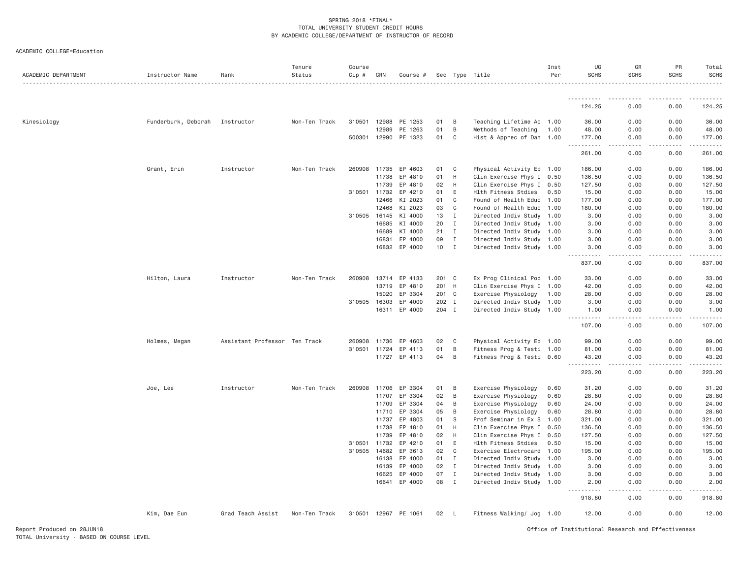| ACADEMIC DEPARTMENT | Instructor Name     | Rank                          | Tenure<br>Status | Course<br>$Cip \#$ | CRN   | Course #             |       |              | Sec Type Title            | Inst<br>Per | UG<br><b>SCHS</b>                   | GR<br><b>SCHS</b>                                                                                                                                            | PR<br><b>SCHS</b>   | Total<br>SCHS        |
|---------------------|---------------------|-------------------------------|------------------|--------------------|-------|----------------------|-------|--------------|---------------------------|-------------|-------------------------------------|--------------------------------------------------------------------------------------------------------------------------------------------------------------|---------------------|----------------------|
|                     |                     |                               |                  |                    |       |                      |       |              |                           |             |                                     |                                                                                                                                                              |                     |                      |
|                     |                     |                               |                  |                    |       |                      |       |              |                           |             | 124.25                              | 0.00                                                                                                                                                         | 0.00                | 124.25               |
| Kinesiology         | Funderburk, Deborah | Instructor                    | Non-Ten Track    | 310501             | 12988 | PE 1253              | 01    | B            | Teaching Lifetime Ac 1.00 |             | 36.00                               | 0.00                                                                                                                                                         | 0.00                | 36.00                |
|                     |                     |                               |                  |                    | 12989 | PE 1263              | 01    | B            | Methods of Teaching       | 1.00        | 48.00                               | 0.00                                                                                                                                                         | 0.00                | 48.00                |
|                     |                     |                               |                  |                    |       | 500301 12990 PE 1323 | 01    | C            | Hist & Apprec of Dan 1.00 |             | 177.00                              | 0.00                                                                                                                                                         | 0.00                | 177.00               |
|                     |                     |                               |                  |                    |       |                      |       |              |                           |             | .<br>261.00                         | .<br>0.00                                                                                                                                                    | $- - - - -$<br>0.00 | . <b>.</b><br>261.00 |
|                     | Grant, Erin         | Instructor                    | Non-Ten Track    | 260908 11735       |       | EP 4603              | 01    | C            | Physical Activity Ep 1.00 |             | 186.00                              | 0.00                                                                                                                                                         | 0.00                | 186.00               |
|                     |                     |                               |                  |                    | 11738 | EP 4810              | 01    | H            | Clin Exercise Phys I 0.50 |             | 136.50                              | 0.00                                                                                                                                                         | 0.00                | 136.50               |
|                     |                     |                               |                  |                    | 11739 | EP 4810              | 02    | H            | Clin Exercise Phys I 0.50 |             | 127.50                              | 0.00                                                                                                                                                         | 0.00                | 127.50               |
|                     |                     |                               |                  | 310501 11732       |       | EP 4210              | 01    | E            | Hlth Fitness Stdies       | 0.50        | 15.00                               | 0.00                                                                                                                                                         | 0.00                | 15.00                |
|                     |                     |                               |                  |                    | 12466 | KI 2023              | 01    | C            | Found of Health Educ 1.00 |             | 177.00                              | 0.00                                                                                                                                                         | 0.00                | 177.00               |
|                     |                     |                               |                  |                    | 12468 | KI 2023              | 03    | C            | Found of Health Educ      | 1.00        | 180.00                              | 0.00                                                                                                                                                         | 0.00                | 180.00               |
|                     |                     |                               |                  | 310505 16145       |       | KI 4000              | 13    | $\mathbf{I}$ | Directed Indiv Study 1.00 |             | 3.00                                | 0.00                                                                                                                                                         | 0.00                | 3.00                 |
|                     |                     |                               |                  |                    | 16685 | KI 4000              | 20    | $\mathbf I$  | Directed Indiv Study 1.00 |             | 3.00                                | 0.00                                                                                                                                                         | 0.00                | 3.00                 |
|                     |                     |                               |                  |                    | 16689 | KI 4000              | 21    | $\mathbf{I}$ | Directed Indiv Study 1.00 |             | 3.00                                | 0.00                                                                                                                                                         | 0.00                | 3.00                 |
|                     |                     |                               |                  |                    | 16831 | EP 4000              | 09    | $\mathbf{I}$ | Directed Indiv Study 1.00 |             | 3.00                                | 0.00                                                                                                                                                         | 0.00                | 3.00                 |
|                     |                     |                               |                  |                    | 16832 | EP 4000              | 10    | $\mathbf{I}$ | Directed Indiv Study 1.00 |             | 3.00<br>.                           | 0.00<br>$\frac{1}{2} \left( \frac{1}{2} \right) \left( \frac{1}{2} \right) \left( \frac{1}{2} \right) \left( \frac{1}{2} \right) \left( \frac{1}{2} \right)$ | 0.00<br>.           | 3.00<br>.            |
|                     |                     |                               |                  |                    |       |                      |       |              |                           |             | 837.00                              | 0.00                                                                                                                                                         | 0.00                | 837.00               |
|                     | Hilton, Laura       | Instructor                    | Non-Ten Track    | 260908             | 13714 | EP 4133              | 201 C |              | Ex Prog Clinical Pop 1.00 |             | 33.00                               | 0.00                                                                                                                                                         | 0.00                | 33.00                |
|                     |                     |                               |                  |                    | 13719 | EP 4810              | 201 H |              | Clin Exercise Phys I 1.00 |             | 42.00                               | 0.00                                                                                                                                                         | 0.00                | 42.00                |
|                     |                     |                               |                  |                    | 15020 | EP 3304              | 201 C |              | Exercise Physiology       | 1.00        | 28.00                               | 0.00                                                                                                                                                         | 0.00                | 28.00                |
|                     |                     |                               |                  | 310505             | 16303 | EP 4000              | 202 I |              | Directed Indiv Study 1.00 |             | 3.00                                | 0.00                                                                                                                                                         | 0.00                | 3.00                 |
|                     |                     |                               |                  |                    | 16311 | EP 4000              | 204 I |              | Directed Indiv Study 1.00 |             | 1.00<br>.                           | 0.00                                                                                                                                                         | 0.00                | 1.00                 |
|                     |                     |                               |                  |                    |       |                      |       |              |                           |             | 107.00                              | .<br>0.00                                                                                                                                                    | .<br>0.00           | 107.00               |
|                     | Holmes, Megan       | Assistant Professor Ten Track |                  | 260908 11736       |       | EP 4603              | 02    | C            | Physical Activity Ep 1.00 |             | 99.00                               | 0.00                                                                                                                                                         | 0.00                | 99.00                |
|                     |                     |                               |                  | 310501             | 11724 | EP 4113              | 01    | B            | Fitness Prog & Testi 1.00 |             | 81.00                               | 0.00                                                                                                                                                         | 0.00                | 81.00                |
|                     |                     |                               |                  |                    |       | 11727 EP 4113        | 04    | B            | Fitness Prog & Testi 0.60 |             | 43.20<br>$\sim$ $\sim$ $\sim$       | 0.00                                                                                                                                                         | 0.00                | 43.20                |
|                     |                     |                               |                  |                    |       |                      |       |              |                           |             | 223.20                              | 0.00                                                                                                                                                         | 0.00                | 223.20               |
|                     | Joe, Lee            | Instructor                    | Non-Ten Track    | 260908 11706       |       | EP 3304              | 01    | B            | Exercise Physiology       | 0.60        | 31.20                               | 0.00                                                                                                                                                         | 0.00                | 31.20                |
|                     |                     |                               |                  |                    | 11707 | EP 3304              | 02    | B            | Exercise Physiology       | 0.60        | 28.80                               | 0.00                                                                                                                                                         | 0.00                | 28.80                |
|                     |                     |                               |                  |                    | 11709 | EP 3304              | 04    | B            | Exercise Physiology       | 0.60        | 24.00                               | 0.00                                                                                                                                                         | 0.00                | 24.00                |
|                     |                     |                               |                  |                    | 11710 | EP 3304              | 05    | B            | Exercise Physiology       | 0.60        | 28.80                               | 0.00                                                                                                                                                         | 0.00                | 28.80                |
|                     |                     |                               |                  |                    | 11737 | EP 4803              | 01    | S            | Prof Seminar in Ex S 1.00 |             | 321.00                              | 0.00                                                                                                                                                         | 0.00                | 321.00               |
|                     |                     |                               |                  |                    | 11738 | EP 4810              | 01    | H            | Clin Exercise Phys I 0.50 |             | 136.50                              | 0.00                                                                                                                                                         | 0.00                | 136.50               |
|                     |                     |                               |                  |                    | 11739 | EP 4810              | 02    | H            | Clin Exercise Phys I 0.50 |             | 127.50                              | 0.00                                                                                                                                                         | 0.00                | 127.50               |
|                     |                     |                               |                  | 310501             | 11732 | EP 4210              | 01    | E            | Hlth Fitness Stdies       | 0.50        | 15.00                               | 0.00                                                                                                                                                         | 0.00                | 15.00                |
|                     |                     |                               |                  | 310505 14682       |       | EP 3613              | 02    | C            | Exercise Electrocard 1.00 |             | 195.00                              | 0.00                                                                                                                                                         | 0.00                | 195.00               |
|                     |                     |                               |                  |                    | 16138 | EP 4000              | 01    | $\mathbf{I}$ | Directed Indiv Study 1.00 |             | 3.00                                | 0.00                                                                                                                                                         | 0.00                | 3.00                 |
|                     |                     |                               |                  |                    | 16139 | EP 4000              | 02    | $\mathbf{I}$ | Directed Indiv Study 1.00 |             | 3.00                                | 0.00                                                                                                                                                         | 0.00                | 3.00                 |
|                     |                     |                               |                  |                    | 16625 | EP 4000              | 07    | $\mathbf{I}$ | Directed Indiv Study 1.00 |             | 3.00                                | 0.00                                                                                                                                                         | 0.00                | 3.00                 |
|                     |                     |                               |                  |                    | 16641 | EP 4000              | 08    | $\mathbf{I}$ | Directed Indiv Study 1.00 |             | 2.00<br><u> - - - - - - - - - -</u> | 0.00<br>.                                                                                                                                                    | 0.00<br><u>.</u>    | 2.00                 |
|                     |                     |                               |                  |                    |       |                      |       |              |                           |             | 918.80                              | 0.00                                                                                                                                                         | 0.00                | 918.80               |
|                     | Kim, Dae Eun        | Grad Teach Assist             | Non-Ten Track    |                    |       | 310501 12967 PE 1061 | 02    | $\mathsf{L}$ | Fitness Walking/ Jog 1.00 |             | 12.00                               | 0.00                                                                                                                                                         | 0.00                | 12.00                |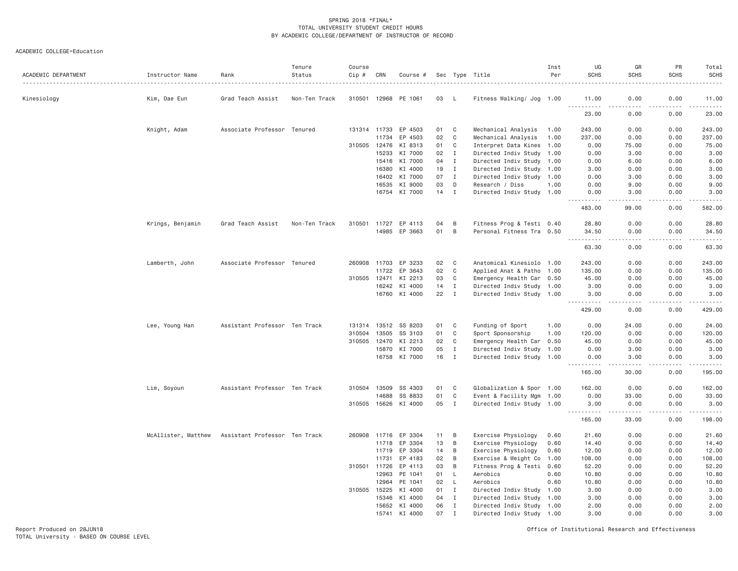ACADEMIC COLLEGE=Education

| ACADEMIC DEPARTMENT | Instructor Name     | Rank                          | Tenure<br>Status | Course<br>Cip # | CRN          | Course #             |    |              | Sec Type Title            | Inst<br>Per | UG<br><b>SCHS</b>                                                                                                                                            | GR<br><b>SCHS</b> | PR<br><b>SCHS</b>                                                                                                                                            | Total<br><b>SCHS</b>                                                                                                                                                                                                                                                                                                                           |
|---------------------|---------------------|-------------------------------|------------------|-----------------|--------------|----------------------|----|--------------|---------------------------|-------------|--------------------------------------------------------------------------------------------------------------------------------------------------------------|-------------------|--------------------------------------------------------------------------------------------------------------------------------------------------------------|------------------------------------------------------------------------------------------------------------------------------------------------------------------------------------------------------------------------------------------------------------------------------------------------------------------------------------------------|
| Kinesiology         | Kim, Dae Eun        | Grad Teach Assist             | Non-Ten Track    | 310501          | 12968        | PE 1061              | 03 | L            | Fitness Walking/ Jog 1.00 |             | 11.00                                                                                                                                                        | 0.00              | 0.00                                                                                                                                                         | 11.00                                                                                                                                                                                                                                                                                                                                          |
|                     |                     |                               |                  |                 |              |                      |    |              |                           |             | .<br>23,00                                                                                                                                                   | $\cdots$<br>0.00  | 0.00                                                                                                                                                         | .<br>23.00                                                                                                                                                                                                                                                                                                                                     |
|                     | Knight, Adam        | Associate Professor Tenured   |                  |                 | 131314 11733 | EP 4503              | 01 | C            | Mechanical Analysis       | 1.00        | 243.00                                                                                                                                                       | 0.00              | 0.00                                                                                                                                                         | 243.00                                                                                                                                                                                                                                                                                                                                         |
|                     |                     |                               |                  |                 | 11734        | EP 4503              | 02 | C            | Mechanical Analysis       | 1.00        | 237.00                                                                                                                                                       | 0.00              | 0.00                                                                                                                                                         | 237.00                                                                                                                                                                                                                                                                                                                                         |
|                     |                     |                               |                  | 310505          | 12476        | KI 8313              | 01 | C            | Interpret Data Kines 1.00 |             | 0.00                                                                                                                                                         | 75.00             | 0.00                                                                                                                                                         | 75.00                                                                                                                                                                                                                                                                                                                                          |
|                     |                     |                               |                  |                 | 15233        | KI 7000              | 02 | I            | Directed Indiv Study 1.00 |             | 0.00                                                                                                                                                         | 3.00              | 0.00                                                                                                                                                         | 3.00                                                                                                                                                                                                                                                                                                                                           |
|                     |                     |                               |                  |                 | 15416        | KI 7000              | 04 | $\mathbf{I}$ | Directed Indiv Study 1.00 |             | 0.00                                                                                                                                                         | 6.00              | 0.00                                                                                                                                                         | 6.00                                                                                                                                                                                                                                                                                                                                           |
|                     |                     |                               |                  |                 | 16380        | KI 4000              | 19 | $\mathbf{I}$ | Directed Indiv Study 1.00 |             | 3.00                                                                                                                                                         | 0.00              | 0.00                                                                                                                                                         | 3.00                                                                                                                                                                                                                                                                                                                                           |
|                     |                     |                               |                  |                 | 16402        | KI 7000              | 07 | $\mathbf{I}$ | Directed Indiv Study 1.00 |             | 0.00                                                                                                                                                         | 3.00              | 0.00                                                                                                                                                         | 3.00                                                                                                                                                                                                                                                                                                                                           |
|                     |                     |                               |                  |                 | 16535        | KI 9000              | 03 | D            | Research / Diss           | 1.00        | 0.00                                                                                                                                                         | 9.00              | 0.00                                                                                                                                                         | 9.00                                                                                                                                                                                                                                                                                                                                           |
|                     |                     |                               |                  |                 |              | 16754 KI 7000        | 14 | $\mathbf{I}$ | Directed Indiv Study 1.00 |             | 0.00<br>$\frac{1}{2} \left( \frac{1}{2} \right) \left( \frac{1}{2} \right) \left( \frac{1}{2} \right) \left( \frac{1}{2} \right) \left( \frac{1}{2} \right)$ | 3.00<br>.         | 0.00<br>.                                                                                                                                                    | 3.00<br>.                                                                                                                                                                                                                                                                                                                                      |
|                     |                     |                               |                  |                 |              |                      |    |              |                           |             | 483.00                                                                                                                                                       | 99.00             | 0.00                                                                                                                                                         | 582.00                                                                                                                                                                                                                                                                                                                                         |
|                     | Krings, Benjamin    | Grad Teach Assist             | Non-Ten Track    | 310501          | 11727        | EP 4113              | 04 | B            | Fitness Prog & Testi 0.40 |             | 28.80                                                                                                                                                        | 0.00              | 0.00                                                                                                                                                         | 28.80                                                                                                                                                                                                                                                                                                                                          |
|                     |                     |                               |                  |                 |              | 14985 EP 3663        | 01 | B            | Personal Fitness Tra 0.50 |             | 34.50                                                                                                                                                        | 0.00              | 0.00                                                                                                                                                         | 34.50                                                                                                                                                                                                                                                                                                                                          |
|                     |                     |                               |                  |                 |              |                      |    |              |                           |             | 63.30                                                                                                                                                        | 0.00              | 0.00                                                                                                                                                         | 63.30                                                                                                                                                                                                                                                                                                                                          |
|                     | Lamberth, John      | Associate Professor Tenured   |                  | 260908          | 11703        | EP 3233              | 02 | C            | Anatomical Kinesiolo 1.00 |             | 243.00                                                                                                                                                       | 0.00              | 0.00                                                                                                                                                         | 243.00                                                                                                                                                                                                                                                                                                                                         |
|                     |                     |                               |                  |                 | 11722        | EP 3643              | 02 | C            | Applied Anat & Patho 1.00 |             | 135.00                                                                                                                                                       | 0.00              | 0.00                                                                                                                                                         | 135.00                                                                                                                                                                                                                                                                                                                                         |
|                     |                     |                               |                  |                 | 310505 12471 | KI 2213              | 03 | C            | Emergency Health Car 0.50 |             | 45.00                                                                                                                                                        | 0.00              | 0.00                                                                                                                                                         | 45.00                                                                                                                                                                                                                                                                                                                                          |
|                     |                     |                               |                  |                 | 16242        | KI 4000              | 14 | $\mathbf{I}$ | Directed Indiv Study 1.00 |             | 3.00                                                                                                                                                         | 0.00              | 0.00                                                                                                                                                         | 3.00                                                                                                                                                                                                                                                                                                                                           |
|                     |                     |                               |                  |                 |              | 16760 KI 4000        | 22 | $\mathbf{I}$ | Directed Indiv Study 1.00 |             | 3.00                                                                                                                                                         | 0.00              | 0.00                                                                                                                                                         | 3.00                                                                                                                                                                                                                                                                                                                                           |
|                     |                     |                               |                  |                 |              |                      |    |              |                           |             | 429.00                                                                                                                                                       | 0.00              | 0.00                                                                                                                                                         | 429.00                                                                                                                                                                                                                                                                                                                                         |
|                     | Lee, Young Han      | Assistant Professor Ten Track |                  |                 |              | 131314 13512 SS 8203 | 01 | C            | Funding of Sport          | 1.00        | 0.00                                                                                                                                                         | 24.00             | 0.00                                                                                                                                                         | 24.00                                                                                                                                                                                                                                                                                                                                          |
|                     |                     |                               |                  | 310504          | 13505        | SS 3103              | 01 | C            | Sport Sponsorship         | 1.00        | 120.00                                                                                                                                                       | 0.00              | 0.00                                                                                                                                                         | 120.00                                                                                                                                                                                                                                                                                                                                         |
|                     |                     |                               |                  | 310505          | 12470        | KI 2213              | 02 | C            | Emergency Health Car 0.50 |             | 45.00                                                                                                                                                        | 0.00              | 0.00                                                                                                                                                         | 45.00                                                                                                                                                                                                                                                                                                                                          |
|                     |                     |                               |                  |                 | 15870        | KI 7000              | 05 | $\mathbf{I}$ | Directed Indiv Study 1.00 |             | 0.00                                                                                                                                                         | 3.00              | 0.00                                                                                                                                                         | 3.00                                                                                                                                                                                                                                                                                                                                           |
|                     |                     |                               |                  |                 |              | 16758 KI 7000        | 16 | $\mathbf{I}$ | Directed Indiv Study 1.00 |             | 0.00                                                                                                                                                         | 3.00              | 0.00                                                                                                                                                         | 3.00                                                                                                                                                                                                                                                                                                                                           |
|                     |                     |                               |                  |                 |              |                      |    |              |                           |             | .<br>165.00                                                                                                                                                  | .<br>30.00        | $\frac{1}{2} \left( \frac{1}{2} \right) \left( \frac{1}{2} \right) \left( \frac{1}{2} \right) \left( \frac{1}{2} \right) \left( \frac{1}{2} \right)$<br>0.00 | $\frac{1}{2} \left( \begin{array}{ccc} 1 & 0 & 0 & 0 \\ 0 & 0 & 0 & 0 \\ 0 & 0 & 0 & 0 \\ 0 & 0 & 0 & 0 \\ 0 & 0 & 0 & 0 \\ 0 & 0 & 0 & 0 \\ 0 & 0 & 0 & 0 \\ 0 & 0 & 0 & 0 \\ 0 & 0 & 0 & 0 \\ 0 & 0 & 0 & 0 \\ 0 & 0 & 0 & 0 & 0 \\ 0 & 0 & 0 & 0 & 0 \\ 0 & 0 & 0 & 0 & 0 \\ 0 & 0 & 0 & 0 & 0 \\ 0 & 0 & 0 & 0 & 0 \\ 0 & 0 & 0$<br>195.00 |
|                     | Lim, Soyoun         | Assistant Professor Ten Track |                  | 310504          | 13509        | SS 4303              | 01 | C            | Globalization & Spor 1.00 |             | 162.00                                                                                                                                                       | 0.00              | 0.00                                                                                                                                                         | 162.00                                                                                                                                                                                                                                                                                                                                         |
|                     |                     |                               |                  |                 | 14688        | SS 8833              | 01 | $\mathbb C$  | Event & Facility Mgm 1.00 |             | 0.00                                                                                                                                                         | 33.00             | 0.00                                                                                                                                                         | 33.00                                                                                                                                                                                                                                                                                                                                          |
|                     |                     |                               |                  |                 |              | 310505 15626 KI 4000 | 05 | $\mathbf{I}$ | Directed Indiv Study 1.00 |             | 3.00<br>.                                                                                                                                                    | 0.00              | 0.00                                                                                                                                                         | 3.00<br>.                                                                                                                                                                                                                                                                                                                                      |
|                     |                     |                               |                  |                 |              |                      |    |              |                           |             | 165.00                                                                                                                                                       | 33.00             | 0.00                                                                                                                                                         | 198.00                                                                                                                                                                                                                                                                                                                                         |
|                     | McAllister, Matthew | Assistant Professor Ten Track |                  |                 |              | 260908 11716 EP 3304 | 11 | B            | Exercise Physiology       | 0.60        | 21.60                                                                                                                                                        | 0.00              | 0.00                                                                                                                                                         | 21.60                                                                                                                                                                                                                                                                                                                                          |
|                     |                     |                               |                  |                 | 11718        | EP 3304              | 13 | В            | Exercise Physiology       | 0.60        | 14.40                                                                                                                                                        | 0.00              | 0.00                                                                                                                                                         | 14.40                                                                                                                                                                                                                                                                                                                                          |
|                     |                     |                               |                  |                 | 11719        | EP 3304              | 14 | В            | Exercise Physiology       | 0.60        | 12.00                                                                                                                                                        | 0.00              | 0.00                                                                                                                                                         | 12.00                                                                                                                                                                                                                                                                                                                                          |
|                     |                     |                               |                  |                 | 11731        | EP 4183              | 02 | B            | Exercise & Weight Co      | 1.00        | 108.00                                                                                                                                                       | 0.00              | 0.00                                                                                                                                                         | 108.00                                                                                                                                                                                                                                                                                                                                         |
|                     |                     |                               |                  | 310501          | 11726        | EP 4113              | 03 | B            | Fitness Prog & Testi 0.60 |             | 52.20                                                                                                                                                        | 0.00              | 0.00                                                                                                                                                         | 52.20                                                                                                                                                                                                                                                                                                                                          |
|                     |                     |                               |                  |                 | 12963        | PE 1041              | 01 | L            | Aerobics                  | 0.60        | 10.80                                                                                                                                                        | 0.00              | 0.00                                                                                                                                                         | 10.80                                                                                                                                                                                                                                                                                                                                          |
|                     |                     |                               |                  |                 | 12964        | PE 1041              | 02 | L            | Aerobics                  | 0.60        | 10.80                                                                                                                                                        | 0.00              | 0.00                                                                                                                                                         | 10.80                                                                                                                                                                                                                                                                                                                                          |
|                     |                     |                               |                  |                 | 310505 15225 | KI 4000              | 01 | $\mathbf{I}$ | Directed Indiv Study 1.00 |             | 3.00                                                                                                                                                         | 0.00              | 0.00                                                                                                                                                         | 3.00                                                                                                                                                                                                                                                                                                                                           |
|                     |                     |                               |                  |                 | 15346        | KI 4000              | 04 | $\mathbf{I}$ | Directed Indiv Study 1.00 |             | 3.00                                                                                                                                                         | 0.00              | 0.00                                                                                                                                                         | 3.00                                                                                                                                                                                                                                                                                                                                           |
|                     |                     |                               |                  |                 |              | 15652 KI 4000        | 06 | $\mathbf{I}$ | Directed Indiv Study 1.00 |             | 2.00                                                                                                                                                         | 0.00              | 0.00                                                                                                                                                         | 2.00                                                                                                                                                                                                                                                                                                                                           |
|                     |                     |                               |                  |                 | 15741        | KI 4000              | 07 | $\mathbf I$  | Directed Indiv Study 1.00 |             | 3.00                                                                                                                                                         | 0.00              | 0.00                                                                                                                                                         | 3.00                                                                                                                                                                                                                                                                                                                                           |

Report Produced on 28JUN18 Office of Institutional Research and Effectiveness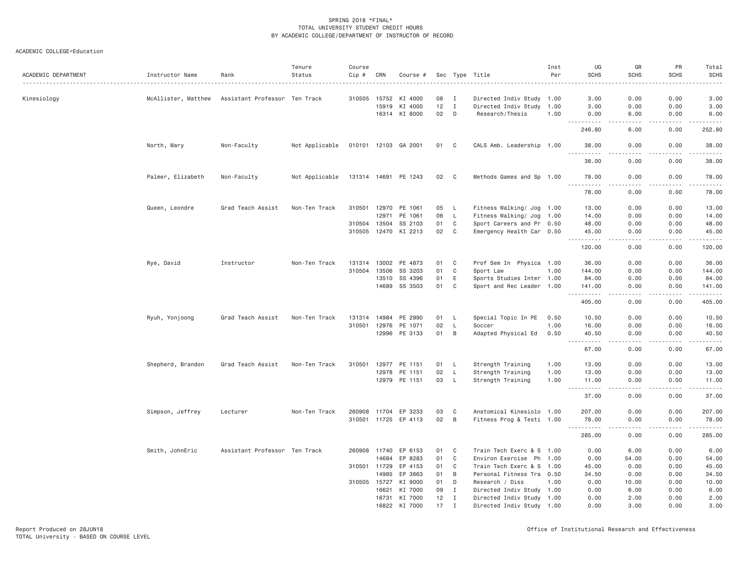| ACADEMIC DEPARTMENT | Instructor Name     | Rank                          | Tenure<br>Status | Course<br>Cip # | CRN          | Course #             |      |                | Sec Type Title            | Inst<br>Per | UG<br><b>SCHS</b>                    | GR<br><b>SCHS</b>            | PR<br><b>SCHS</b> | Total<br><b>SCHS</b> |
|---------------------|---------------------|-------------------------------|------------------|-----------------|--------------|----------------------|------|----------------|---------------------------|-------------|--------------------------------------|------------------------------|-------------------|----------------------|
| Kinesiology         | McAllister, Matthew | Assistant Professor Ten Track |                  |                 | 310505 15752 | KI 4000              | 08   | I              | Directed Indiv Study 1.00 |             | 3.00                                 | 0.00                         | 0.00              | 3.00                 |
|                     |                     |                               |                  |                 | 15919        | KI 4000              | 12   | $\mathbf{I}$   |                           |             | 3.00                                 |                              | 0.00              |                      |
|                     |                     |                               |                  |                 |              |                      |      |                | Directed Indiv Study 1.00 |             |                                      | 0.00                         |                   | 3.00                 |
|                     |                     |                               |                  |                 |              | 16314 KI 8000        | 02   | D              | Research/Thesis           | 1.00        | 0.00                                 | 6.00                         | 0.00              | 6.00                 |
|                     |                     |                               |                  |                 |              |                      |      |                |                           |             | 246.80                               | 6.00                         | 0.00              | 252.80               |
|                     | North, Mary         | Non-Faculty                   | Not Applicable   |                 |              | 010101 12103 GA 2001 | 01 C |                | CALS Amb. Leadership 1.00 |             | 38.00                                | 0.00                         | 0.00              | 38.00                |
|                     |                     |                               |                  |                 |              |                      |      |                |                           |             | 38.00                                | 0.00                         | 0.00              | 38.00                |
|                     | Palmer, Elizabeth   | Non-Faculty                   | Not Applicable   |                 |              | 131314 14691 PE 1243 | 02   | $\overline{C}$ | Methods Games and Sp 1.00 |             | 78.00                                | 0.00                         | 0.00              | 78.00                |
|                     |                     |                               |                  |                 |              |                      |      |                |                           |             | 78.00                                | 0.00                         | 0.00              | 78.00                |
|                     | Queen, Leondre      | Grad Teach Assist             | Non-Ten Track    |                 |              | 310501 12970 PE 1061 | 05   | - L            | Fitness Walking/ Jog 1.00 |             | 13.00                                | 0.00                         | 0.00              | 13.00                |
|                     |                     |                               |                  |                 | 12971        | PE 1061              | 06   | L              | Fitness Walking/ Jog 1.00 |             | 14.00                                | 0.00                         | 0.00              | 14.00                |
|                     |                     |                               |                  |                 | 310504 13504 | SS 2103              | 01   | $\mathbf C$    | Sport Careers and Pr 0.50 |             | 48.00                                | 0.00                         | 0.00              | 48.00                |
|                     |                     |                               |                  |                 |              | 310505 12470 KI 2213 | 02   | C              | Emergency Health Car 0.50 |             | 45.00<br>.                           | 0.00<br>.                    | 0.00<br>.         | 45.00<br>.           |
|                     |                     |                               |                  |                 |              |                      |      |                |                           |             | 120.00                               | 0.00                         | 0.00              | 120.00               |
|                     | Rye, David          | Instructor                    | Non-Ten Track    |                 |              | 131314 13002 PE 4873 | 01   | $\mathbf C$    | Prof Sem In Physica 1.00  |             | 36.00                                | 0.00                         | 0.00              | 36.00                |
|                     |                     |                               |                  | 310504          | 13506        | SS 3203              | 01   | C              | Sport Law                 | 1.00        | 144.00                               | 0.00                         | 0.00              | 144.00               |
|                     |                     |                               |                  |                 | 13510        | SS 4396              | 01   | E              | Sports Studies Inter 1.00 |             | 84.00                                | 0.00                         | 0.00              | 84.00                |
|                     |                     |                               |                  |                 | 14689        | SS 3503              | 01   | C              | Sport and Rec Leader 1.00 |             | 141.00<br>.                          | 0.00<br>.                    | 0.00<br>.         | 141.00<br>.          |
|                     |                     |                               |                  |                 |              |                      |      |                |                           |             | 405.00                               | 0.00                         | 0.00              | 405.00               |
|                     | Ryuh, Yonjoong      | Grad Teach Assist             | Non-Ten Track    | 131314 14984    |              | PE 2990              | 01   | L.             | Special Topic In PE       | 0.50        | 10.50                                | 0.00                         | 0.00              | 10.50                |
|                     |                     |                               |                  |                 | 310501 12976 | PE 1071              | 02   | L              | Soccer                    | 1.00        | 16.00                                | 0.00                         | 0.00              | 16.00                |
|                     |                     |                               |                  |                 |              | 12996 PE 3133        | 01   | B              | Adapted Physical Ed       | 0.50        | 40.50<br>.                           | 0.00<br>$\sim$ $\sim$ $\sim$ | 0.00<br>.         | 40.50<br>.           |
|                     |                     |                               |                  |                 |              |                      |      |                |                           |             | 67.00                                | 0.00                         | 0.00              | 67.00                |
|                     | Shepherd, Brandon   | Grad Teach Assist             | Non-Ten Track    | 310501          | 12977        | PE 1151              | 01   | $\mathsf{L}$   | Strength Training         | 1.00        | 13.00                                | 0.00                         | 0.00              | 13.00                |
|                     |                     |                               |                  |                 | 12978        | PE 1151              | 02   | L              | Strength Training         | 1.00        | 13.00                                | 0.00                         | 0.00              | 13.00                |
|                     |                     |                               |                  |                 |              | 12979 PE 1151        | 03   | $\mathsf{L}$   | Strength Training         | 1.00        | 11.00<br>$\cdots$<br>------          | 0.00<br>.                    | 0.00<br>-----     | 11.00<br>.           |
|                     |                     |                               |                  |                 |              |                      |      |                |                           |             | 37.00                                | 0.00                         | 0.00              | 37.00                |
|                     | Simpson, Jeffrey    | Lecturer                      | Non-Ten Track    |                 |              | 260908 11704 EP 3233 | 03   | C              | Anatomical Kinesiolo 1.00 |             | 207.00                               | 0.00                         | 0.00              | 207.00               |
|                     |                     |                               |                  |                 |              | 310501 11725 EP 4113 | 02   | B              | Fitness Prog & Testi 1.00 |             | 78.00<br>$\frac{1}{2}$<br>. <b>.</b> | 0.00<br>. <u>. .</u>         | 0.00<br>.         | 78.00<br>.           |
|                     |                     |                               |                  |                 |              |                      |      |                |                           |             | 285.00                               | 0.00                         | 0.00              | 285.00               |
|                     | Smith, JohnEric     | Assistant Professor Ten Track |                  |                 | 260908 11740 | EP 6153              | 01   | $\mathbf{C}$   | Train Tech Exerc & S 1.00 |             | 0.00                                 | 6.00                         | 0.00              | 6.00                 |
|                     |                     |                               |                  |                 | 14684        | EP 8283              | 01   | $\mathbf C$    | Environ Exercise Ph 1.00  |             | 0.00                                 | 54.00                        | 0.00              | 54.00                |
|                     |                     |                               |                  |                 | 310501 11729 | EP 4153              | 01   | C              | Train Tech Exerc & S 1.00 |             | 45.00                                | 0.00                         | 0.00              | 45.00                |
|                     |                     |                               |                  |                 | 14985        | EP 3663              | 01   | B              | Personal Fitness Tra 0.50 |             | 34.50                                | 0.00                         | 0.00              | 34.50                |
|                     |                     |                               |                  |                 | 310505 15727 | KI 9000              | 01   | D              | Research / Diss           | 1.00        | 0.00                                 | 10.00                        | 0.00              | 10.00                |
|                     |                     |                               |                  |                 | 16621        | KI 7000              | 09   | $\mathbf{I}$   | Directed Indiv Study 1.00 |             | 0.00                                 | 6.00                         | 0.00              | 6.00                 |
|                     |                     |                               |                  |                 |              | 16731 KI 7000        | 12   | $\mathbf I$    | Directed Indiv Study 1.00 |             | 0.00                                 | 2.00                         | 0.00              | 2.00                 |
|                     |                     |                               |                  |                 | 16822        | KI 7000              | 17   | $\mathsf{T}$   | Directed Indiv Study 1.00 |             | 0.00                                 | 3,00                         | 0.00              | 3.00                 |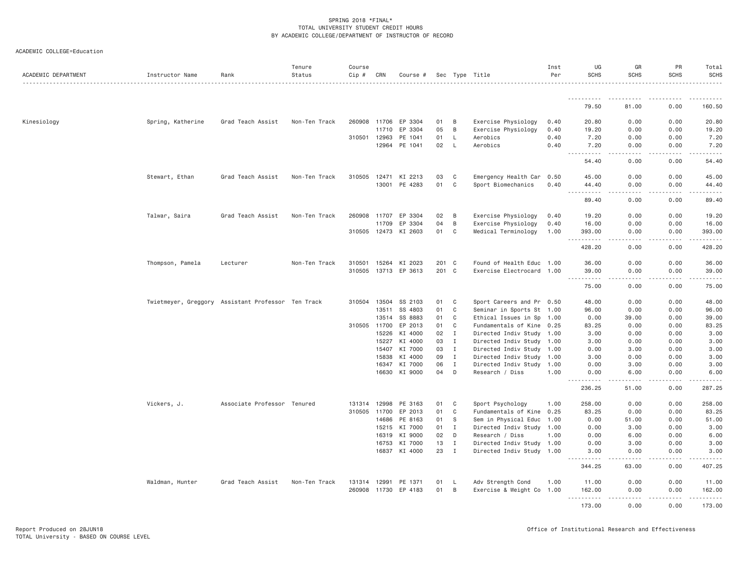| ACADEMIC COLLEGE=Education |  |  |
|----------------------------|--|--|
|----------------------------|--|--|

| ACADEMIC DEPARTMENT | Instructor Name                                    | Rank                        | Tenure<br>Status | Course<br>Cip # | CRN            | Course #             |          |                            | Sec Type Title                                         | Inst<br>Per | UG<br><b>SCHS</b>                           | GR<br><b>SCHS</b>        | PR<br><b>SCHS</b>         | Total<br><b>SCHS</b><br>.                                                                                                                                                               |
|---------------------|----------------------------------------------------|-----------------------------|------------------|-----------------|----------------|----------------------|----------|----------------------------|--------------------------------------------------------|-------------|---------------------------------------------|--------------------------|---------------------------|-----------------------------------------------------------------------------------------------------------------------------------------------------------------------------------------|
|                     |                                                    |                             |                  |                 |                |                      |          |                            |                                                        |             |                                             |                          |                           |                                                                                                                                                                                         |
|                     |                                                    |                             |                  |                 |                |                      |          |                            |                                                        |             | 79.50                                       | 81.00                    | 0.00                      | 160.50                                                                                                                                                                                  |
| Kinesiology         | Spring, Katherine                                  | Grad Teach Assist           | Non-Ten Track    | 260908          | 11706          | EP 3304              | 01       | B                          | Exercise Physiology                                    | 0.40        | 20.80                                       | 0.00                     | 0.00                      | 20.80                                                                                                                                                                                   |
|                     |                                                    |                             |                  |                 | 11710          | EP 3304              | 05       | B                          | Exercise Physiology                                    | 0.40        | 19.20                                       | 0.00                     | 0.00                      | 19.20                                                                                                                                                                                   |
|                     |                                                    |                             |                  | 310501 12963    |                | PE 1041              | 01       | L.                         | Aerobics                                               | 0.40        | 7.20                                        | 0.00                     | 0.00                      | 7.20                                                                                                                                                                                    |
|                     |                                                    |                             |                  |                 | 12964          | PE 1041              | 02       | $\mathsf{L}$               | Aerobics                                               | 0.40        | 7.20<br>.                                   | 0.00<br>.                | 0.00<br>.                 | 7.20<br>.                                                                                                                                                                               |
|                     |                                                    |                             |                  |                 |                |                      |          |                            |                                                        |             | 54.40                                       | 0.00                     | 0.00                      | 54.40                                                                                                                                                                                   |
|                     | Stewart, Ethan                                     | Grad Teach Assist           | Non-Ten Track    |                 |                | 310505 12471 KI 2213 | 03       | C                          | Emergency Health Car 0.50                              |             | 45.00                                       | 0.00                     | 0.00                      | 45.00                                                                                                                                                                                   |
|                     |                                                    |                             |                  |                 | 13001          | PE 4283              | 01       | C                          | Sport Biomechanics                                     | 0.40        | 44.40<br>$\sim$ $\sim$ $\sim$<br>. <b>.</b> | 0.00<br>.                | 0.00<br>-----             | 44.40<br>.                                                                                                                                                                              |
|                     |                                                    |                             |                  |                 |                |                      |          |                            |                                                        |             | 89.40                                       | 0.00                     | 0.00                      | 89.40                                                                                                                                                                                   |
|                     | Talwar, Saira                                      | Grad Teach Assist           | Non-Ten Track    | 260908          | 11707          | EP 3304              | 02       | B                          | Exercise Physiology                                    | 0.40        | 19.20                                       | 0.00                     | 0.00                      | 19.20                                                                                                                                                                                   |
|                     |                                                    |                             |                  |                 | 11709          | EP 3304              | 04       | B                          | Exercise Physiology                                    | 0.40        | 16.00                                       | 0.00                     | 0.00                      | 16.00                                                                                                                                                                                   |
|                     |                                                    |                             |                  | 310505 12473    |                | KI 2603              | 01       | C                          | Medical Terminology                                    | 1.00        | 393.00<br>.<br>$\sim$ $\sim$ $\sim$         | 0.00<br>.                | 0.00<br>$- - - - -$       | 393.00<br>$- - - - - -$                                                                                                                                                                 |
|                     |                                                    |                             |                  |                 |                |                      |          |                            |                                                        |             | 428.20                                      | 0.00                     | 0.00                      | 428.20                                                                                                                                                                                  |
|                     | Thompson, Pamela                                   | Lecturer                    | Non-Ten Track    | 310501 15264    |                | KI 2023              | 201 C    |                            | Found of Health Educ 1.00                              |             | 36.00                                       | 0.00                     | 0.00                      | 36.00                                                                                                                                                                                   |
|                     |                                                    |                             |                  |                 |                | 310505 13713 EP 3613 | 201 C    |                            | Exercise Electrocard 1.00                              |             | 39.00                                       | 0.00<br>22222<br>$- - -$ | 0.00<br>$\omega$ is a set | 39.00<br>.                                                                                                                                                                              |
|                     |                                                    |                             |                  |                 |                |                      |          |                            |                                                        |             | .<br>75.00                                  | 0.00                     | 0.00                      | 75.00                                                                                                                                                                                   |
|                     | Twietmeyer, Greggory Assistant Professor Ten Track |                             |                  | 310504 13504    |                | SS 2103              | 01       | C                          | Sport Careers and Pr 0.50                              |             | 48.00                                       | 0.00                     | 0.00                      | 48.00                                                                                                                                                                                   |
|                     |                                                    |                             |                  |                 | 13511          | SS 4803              | 01       | $\mathbb C$                | Seminar in Sports St 1.00                              |             | 96.00                                       | 0.00                     | 0.00                      | 96.00                                                                                                                                                                                   |
|                     |                                                    |                             |                  |                 | 13514          | SS 8883              | 01       | C                          | Ethical Issues in Sp                                   | 1.00        | 0.00                                        | 39.00                    | 0.00                      | 39.00                                                                                                                                                                                   |
|                     |                                                    |                             |                  | 310505          | 11700          | EP 2013              | 01       | C                          | Fundamentals of Kine 0.25                              |             | 83.25                                       | 0.00                     | 0.00                      | 83.25                                                                                                                                                                                   |
|                     |                                                    |                             |                  |                 | 15226          | KI 4000              | 02       | $\mathbf I$                | Directed Indiv Study 1.00                              |             | 3,00                                        | 0.00                     | 0.00                      | 3.00                                                                                                                                                                                    |
|                     |                                                    |                             |                  |                 | 15227          | KI 4000              | 03       | $\mathbf{I}$               | Directed Indiv Study 1.00                              |             | 3.00                                        | 0.00                     | 0.00                      | 3.00                                                                                                                                                                                    |
|                     |                                                    |                             |                  |                 | 15407<br>15838 | KI 7000<br>KI 4000   | 03<br>09 | $\mathbf I$<br>$\mathbf I$ | Directed Indiv Study 1.00<br>Directed Indiv Study 1.00 |             | 0.00<br>3.00                                | 3.00<br>0.00             | 0.00<br>0.00              | 3.00<br>3.00                                                                                                                                                                            |
|                     |                                                    |                             |                  |                 | 16347          | KI 7000              | 06       | I                          | Directed Indiv Study 1.00                              |             | 0.00                                        | 3.00                     | 0.00                      | 3.00                                                                                                                                                                                    |
|                     |                                                    |                             |                  |                 | 16630          | KI 9000              | 04       | D                          | Research / Diss                                        | 1,00        | 0.00                                        | 6.00                     | 0.00                      | 6.00                                                                                                                                                                                    |
|                     |                                                    |                             |                  |                 |                |                      |          |                            |                                                        |             | . <u>.</u><br>236.25                        | .<br>51.00               | - - - - -<br>0.00         | .<br>287.25                                                                                                                                                                             |
|                     | Vickers, J.                                        | Associate Professor Tenured |                  | 131314 12998    |                | PE 3163              | 01       | C                          | Sport Psychology                                       | 1.00        | 258,00                                      | 0.00                     | 0.00                      | 258.00                                                                                                                                                                                  |
|                     |                                                    |                             |                  | 310505 11700    |                | EP 2013              | 01       | C                          | Fundamentals of Kine 0.25                              |             | 83.25                                       | 0.00                     | 0.00                      | 83.25                                                                                                                                                                                   |
|                     |                                                    |                             |                  |                 | 14686          | PE 8163              | 01       | S                          | Sem in Physical Educ 1.00                              |             | 0.00                                        | 51.00                    | 0.00                      | 51.00                                                                                                                                                                                   |
|                     |                                                    |                             |                  |                 |                | 15215 KI 7000        | 01       | $\mathbf{I}$               | Directed Indiv Study 1.00                              |             | 0.00                                        | 3.00                     | 0.00                      | 3.00                                                                                                                                                                                    |
|                     |                                                    |                             |                  |                 | 16319          | KI 9000              | 02       | D                          | Research / Diss                                        | 1.00        | 0.00                                        | 6.00                     | 0.00                      | 6.00                                                                                                                                                                                    |
|                     |                                                    |                             |                  |                 | 16753          | KI 7000              | 13       | $\mathbf I$                | Directed Indiv Study 1.00                              |             | 0.00                                        | 3,00                     | 0.00                      | 3.00                                                                                                                                                                                    |
|                     |                                                    |                             |                  |                 | 16837          | KI 4000              | 23       | $\mathbf{I}$               | Directed Indiv Study 1.00                              |             | 3.00<br>.<br>$  -$                          | 0.00<br>.                | 0.00<br>.                 | 3.00<br>$\frac{1}{2} \left( \frac{1}{2} \right) \left( \frac{1}{2} \right) \left( \frac{1}{2} \right) \left( \frac{1}{2} \right) \left( \frac{1}{2} \right) \left( \frac{1}{2} \right)$ |
|                     |                                                    |                             |                  |                 |                |                      |          |                            |                                                        |             | 344.25                                      | 63.00                    | 0.00                      | 407.25                                                                                                                                                                                  |
|                     | Waldman, Hunter                                    | Grad Teach Assist           | Non-Ten Track    | 131314 12991    |                | PE 1371              | 01       | L.                         | Adv Strength Cond                                      | 1.00        | 11.00                                       | 0.00                     | 0.00                      | 11.00                                                                                                                                                                                   |
|                     |                                                    |                             |                  |                 |                | 260908 11730 EP 4183 | 01       | B                          | Exercise & Weight Co 1.00                              |             | 162.00<br>.                                 | 0.00<br>-----            | 0.00<br>$- - - - -$       | 162.00<br>.                                                                                                                                                                             |
|                     |                                                    |                             |                  |                 |                |                      |          |                            |                                                        |             | 173.00                                      | 0.00                     | 0.00                      | 173.00                                                                                                                                                                                  |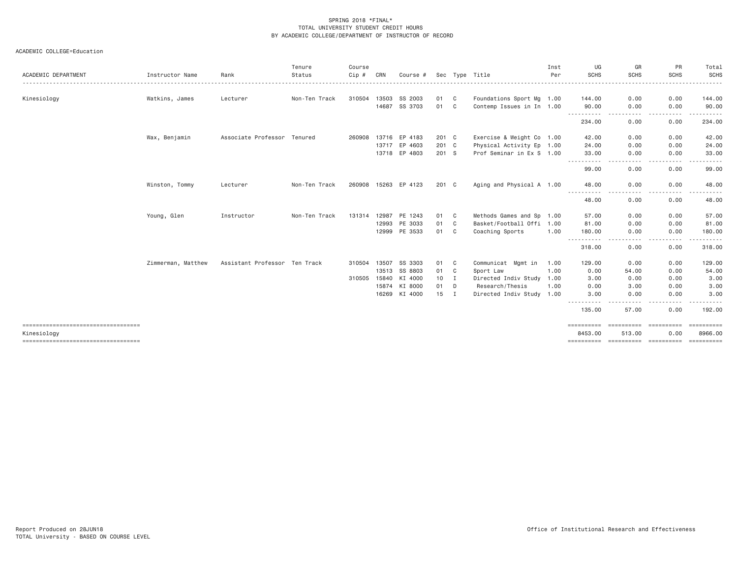| ACADEMIC DEPARTMENT                                 | Instructor Name    | Rank                          | Tenure<br>Status | Course<br>Cip # | CRN            | Course #             | Sec        |                | Type Title                                             | Inst<br>Per | UG<br><b>SCHS</b>            | GR<br>SCHS<br>$\frac{1}{2} \left( \frac{1}{2} \right) \left( \frac{1}{2} \right) \left( \frac{1}{2} \right) \left( \frac{1}{2} \right) \left( \frac{1}{2} \right)$                                                                                                                                                                                                                                                                                                                                                                                                         | PR<br><b>SCHS</b> | Total<br><b>SCHS</b><br>. |
|-----------------------------------------------------|--------------------|-------------------------------|------------------|-----------------|----------------|----------------------|------------|----------------|--------------------------------------------------------|-------------|------------------------------|----------------------------------------------------------------------------------------------------------------------------------------------------------------------------------------------------------------------------------------------------------------------------------------------------------------------------------------------------------------------------------------------------------------------------------------------------------------------------------------------------------------------------------------------------------------------------|-------------------|---------------------------|
|                                                     |                    |                               |                  |                 |                |                      |            |                |                                                        |             |                              |                                                                                                                                                                                                                                                                                                                                                                                                                                                                                                                                                                            |                   |                           |
| Kinesiology                                         | Watkins, James     | Lecturer                      | Non-Ten Track    | 310504          | 13503<br>14687 | SS 2003<br>SS 3703   | 01 C<br>01 | $\mathbf{C}$   | Foundations Sport Mg 1.00<br>Contemp Issues in In 1.00 |             | 144.00<br>90.00              | 0.00<br>0.00                                                                                                                                                                                                                                                                                                                                                                                                                                                                                                                                                               | 0.00<br>0.00      | 144.00<br>90.00           |
|                                                     |                    |                               |                  |                 |                |                      |            |                |                                                        |             | .                            | . <u>.</u> .                                                                                                                                                                                                                                                                                                                                                                                                                                                                                                                                                               | -----             |                           |
|                                                     |                    |                               |                  |                 |                |                      |            |                |                                                        |             | 234.00                       | 0.00                                                                                                                                                                                                                                                                                                                                                                                                                                                                                                                                                                       | 0.00              | 234.00                    |
|                                                     | Wax, Benjamin      | Associate Professor Tenured   |                  |                 |                | 260908 13716 EP 4183 | 201 C      |                | Exercise & Weight Co 1.00                              |             | 42.00                        | 0.00                                                                                                                                                                                                                                                                                                                                                                                                                                                                                                                                                                       | 0.00              | 42.00                     |
|                                                     |                    |                               |                  |                 |                | 13717 EP 4603        | 201 C      |                | Physical Activity Ep 1.00                              |             | 24.00                        | 0.00                                                                                                                                                                                                                                                                                                                                                                                                                                                                                                                                                                       | 0.00              | 24.00                     |
|                                                     |                    |                               |                  |                 |                | 13718 EP 4803        | 201 S      |                | Prof Seminar in Ex S 1.00                              |             | 33.00                        | 0.00                                                                                                                                                                                                                                                                                                                                                                                                                                                                                                                                                                       | 0.00              | 33.00                     |
|                                                     |                    |                               |                  |                 |                |                      |            |                |                                                        |             | .<br>99.00                   | 0.00                                                                                                                                                                                                                                                                                                                                                                                                                                                                                                                                                                       | 0.00              | 99.00                     |
|                                                     | Winston, Tommy     | Lecturer                      | Non-Ten Track    |                 |                | 260908 15263 EP 4123 | 201 C      |                | Aging and Physical A 1.00                              |             | 48.00                        | 0.00                                                                                                                                                                                                                                                                                                                                                                                                                                                                                                                                                                       | 0.00              | 48.00                     |
|                                                     |                    |                               |                  |                 |                |                      |            |                |                                                        |             | $\cdots$<br>48.00            | 0.00                                                                                                                                                                                                                                                                                                                                                                                                                                                                                                                                                                       | 0.00              | 48.00                     |
|                                                     | Young, Glen        | Instructor                    | Non-Ten Track    | 131314 12987    |                | PE 1243              | 01 C       |                | Methods Games and Sp 1.00                              |             | 57.00                        | 0.00                                                                                                                                                                                                                                                                                                                                                                                                                                                                                                                                                                       | 0.00              | 57.00                     |
|                                                     |                    |                               |                  |                 | 12993          | PE 3033              | 01         | $\mathbf{C}$   | Basket/Football Offi 1.00                              |             | 81,00                        | 0.00                                                                                                                                                                                                                                                                                                                                                                                                                                                                                                                                                                       | 0.00              | 81.00                     |
|                                                     |                    |                               |                  |                 |                | 12999 PE 3533        | 01 C       |                | Coaching Sports                                        | 1.00        | 180.00                       | 0.00                                                                                                                                                                                                                                                                                                                                                                                                                                                                                                                                                                       | 0.00              | 180.00                    |
|                                                     |                    |                               |                  |                 |                |                      |            |                |                                                        |             | 318.00                       | 0.00                                                                                                                                                                                                                                                                                                                                                                                                                                                                                                                                                                       | 0.00              | 318.00                    |
|                                                     | Zimmerman, Matthew | Assistant Professor Ten Track |                  | 310504 13507    |                | SS 3303              | 01         | $\mathbf{C}$   | Communicat Mgmt in                                     | 1.00        | 129.00                       | 0.00                                                                                                                                                                                                                                                                                                                                                                                                                                                                                                                                                                       | 0.00              | 129.00                    |
|                                                     |                    |                               |                  |                 | 13513          | SS 8803              | 01         | $\mathbf{C}$   | Sport Law                                              | 1.00        | 0.00                         | 54.00                                                                                                                                                                                                                                                                                                                                                                                                                                                                                                                                                                      | 0.00              | 54.00                     |
|                                                     |                    |                               |                  | 310505 15840    |                | KI 4000              | 10         | I.             | Directed Indiv Study                                   | 1.00        | 3.00                         | 0.00                                                                                                                                                                                                                                                                                                                                                                                                                                                                                                                                                                       | 0.00              | 3.00                      |
|                                                     |                    |                               |                  |                 | 15874          | KI 8000              | 01         | D              | Research/Thesis                                        | 1.00        | 0.00                         | 3.00                                                                                                                                                                                                                                                                                                                                                                                                                                                                                                                                                                       | 0.00              | 3.00                      |
|                                                     |                    |                               |                  |                 |                | 16269 KI 4000        | 15         | $\blacksquare$ | Directed Indiv Study 1.00                              |             | 3.00<br>$\cdots$<br>$\cdots$ | 0.00                                                                                                                                                                                                                                                                                                                                                                                                                                                                                                                                                                       | 0.00              | 3.00                      |
|                                                     |                    |                               |                  |                 |                |                      |            |                |                                                        |             | 135.00                       | 57.00                                                                                                                                                                                                                                                                                                                                                                                                                                                                                                                                                                      | 0.00              | 192.00                    |
| ====================================<br>Kinesiology |                    |                               |                  |                 |                |                      |            |                |                                                        |             | ==========<br>8453.00        | $\begin{minipage}{0.03\textwidth} \centering \begin{minipage}{0.03\textwidth} \centering \centering \end{minipage} \begin{minipage}{0.03\textwidth} \centering \centering \end{minipage} \begin{minipage}{0.03\textwidth} \centering \begin{minipage}{0.03\textwidth} \centering \centering \end{minipage} \end{minipage} \begin{minipage}{0.03\textwidth} \centering \begin{minipage}{0.03\textwidth} \centering \centering \end{minipage} \end{minipage} \begin{minipage}{0.03\textwidth} \centering \begin{minipage}{0.03\textwidth} \centering \centering \$<br>513.00 | 0.00              | ==========<br>8966.00     |
| ====================================                |                    |                               |                  |                 |                |                      |            |                |                                                        |             | ==========                   | esessesses esessesses                                                                                                                                                                                                                                                                                                                                                                                                                                                                                                                                                      |                   |                           |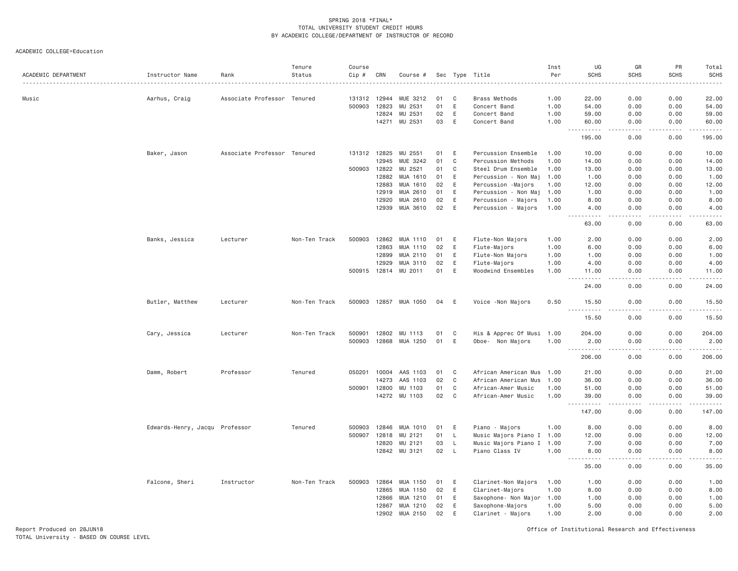ACADEMIC COLLEGE=Education

| ACADEMIC DEPARTMENT | Instructor Name                | Rank                        | Tenure<br>Status | Course<br>$Cip \#$<br>. | CRN            | Course #             |          |             | Sec Type Title                             | Inst<br>Per  | UG<br><b>SCHS</b>                  | GR<br><b>SCHS</b> | PR<br><b>SCHS</b>  | Total<br><b>SCHS</b><br>. |
|---------------------|--------------------------------|-----------------------------|------------------|-------------------------|----------------|----------------------|----------|-------------|--------------------------------------------|--------------|------------------------------------|-------------------|--------------------|---------------------------|
| Music               | Aarhus, Craig                  | Associate Professor Tenured |                  | 131312 12944            |                | MUE 3212             | 01       | C           | Brass Methods                              | 1.00         | 22.00                              | 0.00              | 0.00               | 22.00                     |
|                     |                                |                             |                  | 500903                  | 12823          | MU 2531              | 01       | E           | Concert Band                               | 1.00         | 54.00                              | 0.00              | 0.00               | 54.00                     |
|                     |                                |                             |                  |                         | 12824          | MU 2531              | 02       | Ε           | Concert Band                               | 1.00         | 59.00                              | 0.00              | 0.00               | 59.00                     |
|                     |                                |                             |                  |                         | 14271          | MU 2531              | 03       | E           | Concert Band                               | 1.00         | 60.00                              | 0.00<br>- - - -   | 0.00               | 60.00                     |
|                     |                                |                             |                  |                         |                |                      |          |             |                                            |              | 195.00                             | 0.00              | 0.00               | 195.00                    |
|                     | Baker, Jason                   | Associate Professor Tenured |                  | 131312 12825            |                | MU 2551              | 01       | E           | Percussion Ensemble                        | 1.00         | 10.00                              | 0.00              | 0.00               | 10.00                     |
|                     |                                |                             |                  |                         | 12945          | MUE 3242             | 01       | C           | Percussion Methods                         | 1.00         | 14.00                              | 0.00              | 0.00               | 14.00                     |
|                     |                                |                             |                  | 500903 12822            |                | MU 2521              | 01       | $\mathbb C$ | Steel Drum Ensemble                        | 1.00         | 13.00                              | 0.00              | 0.00               | 13.00                     |
|                     |                                |                             |                  |                         | 12882          | MUA 1610             | 01       | E           | Percussion - Non Maj                       | 1.00         | 1.00                               | 0.00              | 0.00               | 1.00                      |
|                     |                                |                             |                  |                         | 12883<br>12919 | MUA 1610<br>MUA 2610 | 02<br>01 | E<br>E      | Percussion -Majors                         | 1.00<br>1.00 | 12.00<br>1.00                      | 0.00<br>0.00      | 0.00<br>0.00       | 12.00<br>1.00             |
|                     |                                |                             |                  |                         | 12920          | MUA 2610             | 02       | E           | Percussion - Non Maj                       | 1.00         | 8.00                               | 0.00              | 0.00               | 8.00                      |
|                     |                                |                             |                  |                         | 12939          | MUA 3610             | 02       | E           | Percussion - Majors<br>Percussion - Majors | 1.00         | 4.00                               | 0.00              | 0.00               | 4.00                      |
|                     |                                |                             |                  |                         |                |                      |          |             |                                            |              | <u>.</u><br>63.00                  | .<br>0.00         | 0.00               | 63.00                     |
|                     | Banks, Jessica                 | Lecturer                    | Non-Ten Track    | 500903                  | 12862          | MUA 1110             | 01       | E           | Flute-Non Majors                           | 1.00         | 2.00                               | 0.00              | 0.00               | 2.00                      |
|                     |                                |                             |                  |                         | 12863          | MUA 1110             | 02       | E           | Flute-Majors                               | 1.00         | 6.00                               | 0.00              | 0.00               | 6.00                      |
|                     |                                |                             |                  |                         | 12899          | MUA 2110             | 01       | E           | Flute-Non Majors                           | 1.00         | 1.00                               | 0.00              | 0.00               | 1.00                      |
|                     |                                |                             |                  |                         | 12929          | MUA 3110             | 02       | E           | Flute-Majors                               | 1.00         | 4.00                               | 0.00              | 0.00               | 4.00                      |
|                     |                                |                             |                  |                         | 500915 12814   | MU 2011              | 01       | E           | Woodwind Ensembles                         | 1.00         | 11.00<br>.<br>$\sim$ $\sim$ $\sim$ | 0.00<br>.         | 0.00<br>.          | 11.00<br>.                |
|                     |                                |                             |                  |                         |                |                      |          |             |                                            |              | 24.00                              | 0.00              | 0.00               | 24.00                     |
|                     | Butler, Matthew                | Lecturer                    | Non-Ten Track    | 500903                  |                | 12857 MUA 1050       | 04       | E           | Voice - Non Majors                         | 0.50         | 15.50                              | 0.00              | 0.00               | 15.50                     |
|                     |                                |                             |                  |                         |                |                      |          |             |                                            |              | 15.50                              | 0.00              | 0.00               | 15.50                     |
|                     | Cary, Jessica                  | Lecturer                    | Non-Ten Track    | 500901                  | 12802          | MU 1113              | 01       | C           | His & Apprec Of Musi 1.00                  |              | 204.00                             | 0.00              | 0.00               | 204.00                    |
|                     |                                |                             |                  | 500903                  | 12868          | MUA 1250             | 01       | Ε           | Oboe- Non Majors                           | 1.00         | 2.00                               | 0.00              | 0.00               | 2.00                      |
|                     |                                |                             |                  |                         |                |                      |          |             |                                            |              | .<br>206.00                        | .<br>0.00         | .<br>0.00          | .<br>206.00               |
|                     | Damm, Robert                   | Professor                   | Tenured          | 050201                  | 10004          | AAS 1103             | 01       | C           | African American Mus                       | 1.00         | 21.00                              | 0.00              | 0.00               | 21.00                     |
|                     |                                |                             |                  |                         | 14273          | AAS 1103             | 02       | C           | African American Mus                       | 1.00         | 36.00                              | 0.00              | 0.00               | 36.00                     |
|                     |                                |                             |                  | 500901                  | 12800          | MU 1103              | 01       | C           | African-Amer Music                         | 1.00         | 51.00                              | 0.00              | 0.00               | 51.00                     |
|                     |                                |                             |                  |                         | 14272          | MU 1103              | 02       | C           | African-Amer Music                         | 1.00         | 39.00<br>$- - - - - -$             | 0.00<br>.         | 0.00<br>. <b>.</b> | 39.00<br>.                |
|                     |                                |                             |                  |                         |                |                      |          |             |                                            |              | 147.00                             | 0.00              | 0.00               | 147.00                    |
|                     | Edwards-Henry, Jacqu Professor |                             | Tenured          | 500903                  | 12846          | MUA 1010             | 01       | E           | Piano - Majors                             | 1.00         | 8.00                               | 0.00              | 0.00               | 8.00                      |
|                     |                                |                             |                  | 500907                  | 12818          | MU 2121              | 01       | <b>L</b>    | Music Majors Piano I 1.00                  |              | 12.00                              | 0.00              | 0.00               | 12.00                     |
|                     |                                |                             |                  |                         | 12820          | MU 2121              | 03       | L.          | Music Majors Piano I 1.00                  |              | 7.00                               | 0.00              | 0.00               | 7.00                      |
|                     |                                |                             |                  |                         | 12842          | MU 3121              | 02       | L.          | Piano Class IV                             | 1.00         | 8.00<br>$- - - - - -$<br>$- - -$   | 0.00<br>.         | 0.00<br>.          | 8.00<br>.                 |
|                     |                                |                             |                  |                         |                |                      |          |             |                                            |              | 35.00                              | 0.00              | 0.00               | 35.00                     |
|                     | Falcone, Sheri                 | Instructor                  | Non-Ten Track    | 500903                  | 12864          | MUA 1150             | 01       | E           | Clarinet-Non Majors                        | 1.00         | 1.00                               | 0.00              | 0.00               | 1.00                      |
|                     |                                |                             |                  |                         | 12865          | MUA 1150             | 02       | E           | Clarinet-Majors                            | 1.00         | 8.00                               | 0.00              | 0.00               | 8.00                      |
|                     |                                |                             |                  |                         | 12866          | MUA 1210             | 01       | E           | Saxophone- Non Major 1.00                  |              | 1.00                               | 0.00              | 0.00               | 1.00                      |
|                     |                                |                             |                  |                         | 12867          | MUA 1210             | 02       | E           | Saxophone-Majors                           | 1.00         | 5.00                               | 0.00              | 0.00               | 5.00                      |
|                     |                                |                             |                  |                         | 12902          | MUA 2150             | 02       | E           | Clarinet - Majors                          | 1.00         | 2.00                               | 0.00              | 0.00               | 2.00                      |

Report Produced on 28JUN18 Office of Institutional Research and Effectiveness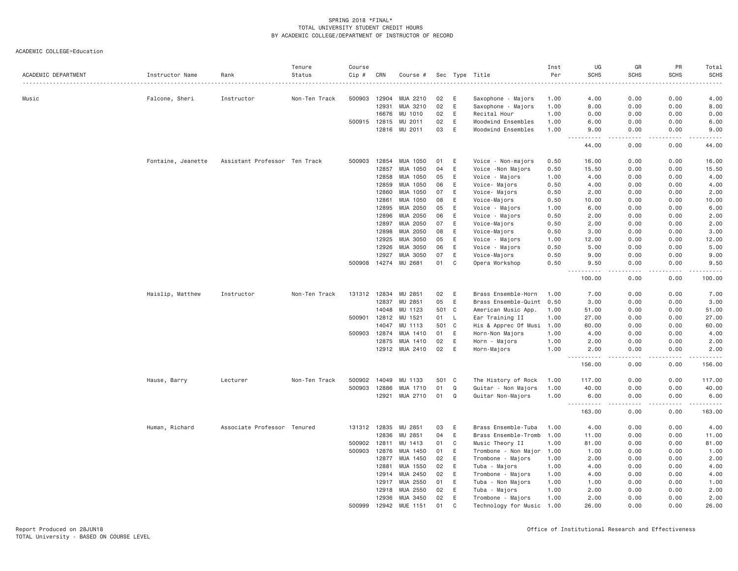|                     |                    |                               | Tenure        | Course<br>Cip # |              |                 |     |              |                           | Inst | UG<br><b>SCHS</b>                   | GR<br><b>SCHS</b> | PR<br><b>SCHS</b> | Total                                                                                                                                                        |
|---------------------|--------------------|-------------------------------|---------------|-----------------|--------------|-----------------|-----|--------------|---------------------------|------|-------------------------------------|-------------------|-------------------|--------------------------------------------------------------------------------------------------------------------------------------------------------------|
| ACADEMIC DEPARTMENT | Instructor Name    | Rank                          | Status        |                 | CRN          | Course #        |     |              | Sec Type Title            | Per  |                                     |                   |                   | <b>SCHS</b>                                                                                                                                                  |
| Music               | Falcone, Sheri     | Instructor                    | Non-Ten Track | 500903          | 12904        | MUA 2210        | 02  | E            | Saxophone - Majors        | 1.00 | 4.00                                | 0.00              | 0.00              | 4.00                                                                                                                                                         |
|                     |                    |                               |               |                 | 12931        | MUA 3210        | 02  | E            | Saxophone - Majors        | 1.00 | 8.00                                | 0.00              | 0.00              | 8.00                                                                                                                                                         |
|                     |                    |                               |               |                 | 16676        | MU 1010         | 02  | E            | Recital Hour              | 1.00 | 0.00                                | 0.00              | 0.00              | 0.00                                                                                                                                                         |
|                     |                    |                               |               |                 | 500915 12815 | MU 2011         | 02  | E            | Woodwind Ensembles        | 1.00 | 6.00                                | 0.00              | 0.00              | 6.00                                                                                                                                                         |
|                     |                    |                               |               |                 | 12816        | MU 2011         | 03  | E            | Woodwind Ensembles        | 1.00 | 9.00                                | 0.00              | 0.00              | 9.00                                                                                                                                                         |
|                     |                    |                               |               |                 |              |                 |     |              |                           |      | .<br>- - -<br>44.00                 | د د د د<br>0.00   | .<br>0.00         | .<br>44.00                                                                                                                                                   |
|                     | Fontaine, Jeanette | Assistant Professor Ten Track |               | 500903          | 12854        | MUA 1050        | 01  | E            | Voice - Non-majors        | 0.50 | 16.00                               | 0.00              | 0.00              | 16.00                                                                                                                                                        |
|                     |                    |                               |               |                 | 12857        | MUA 1050        | 04  | E            | Voice - Non Majors        | 0.50 | 15.50                               | 0.00              | 0.00              | 15.50                                                                                                                                                        |
|                     |                    |                               |               |                 | 12858        | MUA 1050        | 05  | E            | Voice - Majors            | 1.00 | 4.00                                | 0.00              | 0.00              | 4.00                                                                                                                                                         |
|                     |                    |                               |               |                 | 12859        | MUA 1050        | 06  | E            | Voice- Majors             | 0.50 | 4.00                                | 0.00              | 0.00              | 4.00                                                                                                                                                         |
|                     |                    |                               |               |                 | 12860        | MUA 1050        | 07  | E            | Voice- Majors             | 0.50 | 2.00                                | 0.00              | 0.00              | 2.00                                                                                                                                                         |
|                     |                    |                               |               |                 | 12861        | MUA 1050        | 08  | E            | Voice-Majors              | 0.50 | 10.00                               | 0.00              | 0.00              | 10.00                                                                                                                                                        |
|                     |                    |                               |               |                 | 12895        | MUA 2050        | 05  | E            | Voice - Majors            | 1.00 | 6.00                                | 0.00              | 0.00              | 6.00                                                                                                                                                         |
|                     |                    |                               |               |                 | 12896        | MUA 2050        | 06  | E            | Voice - Majors            | 0.50 | 2.00                                | 0.00              | 0.00              | 2.00                                                                                                                                                         |
|                     |                    |                               |               |                 | 12897        | MUA 2050        | 07  | E            | Voice-Majors              | 0.50 | 2.00                                | 0.00              | 0.00              | 2.00                                                                                                                                                         |
|                     |                    |                               |               |                 | 12898        | MUA 2050        | 08  | E            | Voice-Majors              | 0.50 | 3.00                                | 0.00              | 0.00              | 3.00                                                                                                                                                         |
|                     |                    |                               |               |                 | 12925        | MUA 3050        | 05  | E            | Voice - Majors            | 1.00 | 12.00                               | 0.00              | 0.00              | 12.00                                                                                                                                                        |
|                     |                    |                               |               |                 | 12926        | MUA 3050        | 06  | E            | Voice - Majors            | 0.50 | 5.00                                | 0.00              | 0.00              | 5.00                                                                                                                                                         |
|                     |                    |                               |               |                 | 12927        | MUA 3050        | 07  | E            | Voice-Majors              | 0.50 | 9.00                                | 0.00              | 0.00              | 9.00                                                                                                                                                         |
|                     |                    |                               |               | 500908          | 14274        | MU 2681         | 01  | C            | Opera Workshop            | 0.50 | 9.50<br>.<br>----                   | 0.00<br>----      | 0.00              | 9.50<br>$\frac{1}{2}$                                                                                                                                        |
|                     |                    |                               |               |                 |              |                 |     |              |                           |      | 100.00                              | 0.00              | 0.00              | 100.00                                                                                                                                                       |
|                     | Haislip, Matthew   | Instructor                    | Non-Ten Track | 131312 12834    |              | MU 2851         | 02  | E            | Brass Ensemble-Horn       | 1.00 | 7.00                                | 0.00              | 0.00              | 7.00                                                                                                                                                         |
|                     |                    |                               |               |                 | 12837        | MU 2851         | 05  | $\mathsf E$  | Brass Ensemble-Quint      | 0.50 | 3.00                                | 0.00              | 0.00              | 3.00                                                                                                                                                         |
|                     |                    |                               |               |                 | 14048        | MU 1123         |     | 501 C        | American Music App.       | 1.00 | 51.00                               | 0.00              | 0.00              | 51.00                                                                                                                                                        |
|                     |                    |                               |               |                 | 500901 12812 | MU 1521         | 01  | $\mathsf{L}$ | Ear Training II           | 1.00 | 27.00                               | 0.00              | 0.00              | 27.00                                                                                                                                                        |
|                     |                    |                               |               |                 | 14047        | MU 1113         | 501 | $\mathbf{C}$ | His & Apprec Of Musi      | 1.00 | 60.00                               | 0.00              | 0.00              | 60.00                                                                                                                                                        |
|                     |                    |                               |               | 500903 12874    |              | MUA 1410        | 01  | E            | Horn-Non Majors           | 1.00 | 4.00                                | 0.00              | 0.00              | 4.00                                                                                                                                                         |
|                     |                    |                               |               |                 | 12875        | MUA 1410        | 02  | E            | Horn - Majors             | 1.00 | 2.00                                | 0.00              | 0.00              | 2.00                                                                                                                                                         |
|                     |                    |                               |               |                 |              | 12912 MUA 2410  | 02  | E            | Horn-Majors               | 1.00 | 2.00                                | 0.00              | 0.00              | 2.00                                                                                                                                                         |
|                     |                    |                               |               |                 |              |                 |     |              |                           |      | $\sim$ $\sim$ $\sim$<br>.<br>156.00 | $- - - -$<br>0.00 | .<br>0.00         | .<br>156.00                                                                                                                                                  |
|                     | Hause, Barry       | Lecturer                      | Non-Ten Track | 500902          | 14049        | MU 1133         |     | 501 C        | The History of Rock       | 1.00 | 117.00                              | 0.00              | 0.00              | 117.00                                                                                                                                                       |
|                     |                    |                               |               | 500903          | 12886        | MUA 1710        | 01  | Q            | Guitar - Non Majors       | 1.00 | 40.00                               | 0.00              | 0.00              | 40.00                                                                                                                                                        |
|                     |                    |                               |               |                 | 12921        | MUA 2710        | 01  | Q            | Guitar Non-Majors         | 1.00 | 6.00<br><u>.</u>                    | 0.00              | 0.00              | 6.00<br>$\frac{1}{2} \left( \frac{1}{2} \right) \left( \frac{1}{2} \right) \left( \frac{1}{2} \right) \left( \frac{1}{2} \right) \left( \frac{1}{2} \right)$ |
|                     |                    |                               |               |                 |              |                 |     |              |                           |      | 163.00                              | 0.00              | 0.00              | 163.00                                                                                                                                                       |
|                     | Human, Richard     | Associate Professor Tenured   |               |                 | 131312 12835 | MU 2851         | 03  | E            | Brass Ensemble-Tuba       | 1.00 | 4.00                                | 0.00              | 0.00              | 4.00                                                                                                                                                         |
|                     |                    |                               |               |                 | 12836        | MU 2851         | 04  | E            | Brass Ensemble-Tromb      | 1.00 | 11.00                               | 0.00              | 0.00              | 11.00                                                                                                                                                        |
|                     |                    |                               |               | 500902          | 12811        | MU 1413         | 01  | $\mathbf C$  | Music Theory II           | 1.00 | 81.00                               | 0.00              | 0.00              | 81.00                                                                                                                                                        |
|                     |                    |                               |               | 500903          | 12876        | MUA 1450        | 01  | E            | Trombone - Non Major 1.00 |      | 1.00                                | 0.00              | 0.00              | 1.00                                                                                                                                                         |
|                     |                    |                               |               |                 | 12877        | MUA 1450        | 02  | E            | Trombone - Majors         | 1.00 | 2.00                                | 0.00              | 0.00              | 2.00                                                                                                                                                         |
|                     |                    |                               |               |                 | 12881        | MUA 1550        | 02  | E            | Tuba - Majors             | 1.00 | 4.00                                | 0.00              | 0.00              | 4.00                                                                                                                                                         |
|                     |                    |                               |               |                 | 12914        | MUA 2450        | 02  | E            | Trombone - Majors         | 1.00 | 4.00                                | 0.00              | 0.00              | 4.00                                                                                                                                                         |
|                     |                    |                               |               |                 | 12917        | MUA 2550        | 01  | E            | Tuba - Non Majors         | 1.00 | 1.00                                | 0.00              | 0.00              | 1.00                                                                                                                                                         |
|                     |                    |                               |               |                 | 12918        | MUA 2550        | 02  | E            | Tuba - Majors             | 1.00 | 2.00                                | 0.00              | 0.00              | 2.00                                                                                                                                                         |
|                     |                    |                               |               |                 | 12936        | MUA 3450        | 02  | Ε            | Trombone - Majors         | 1.00 | 2.00                                | 0.00              | 0.00              | 2.00                                                                                                                                                         |
|                     |                    |                               |               | 500999          | 12942        | <b>MUE 1151</b> | 01  | C            | Technology for Music      | 1.00 | 26,00                               | 0.00              | 0.00              | 26,00                                                                                                                                                        |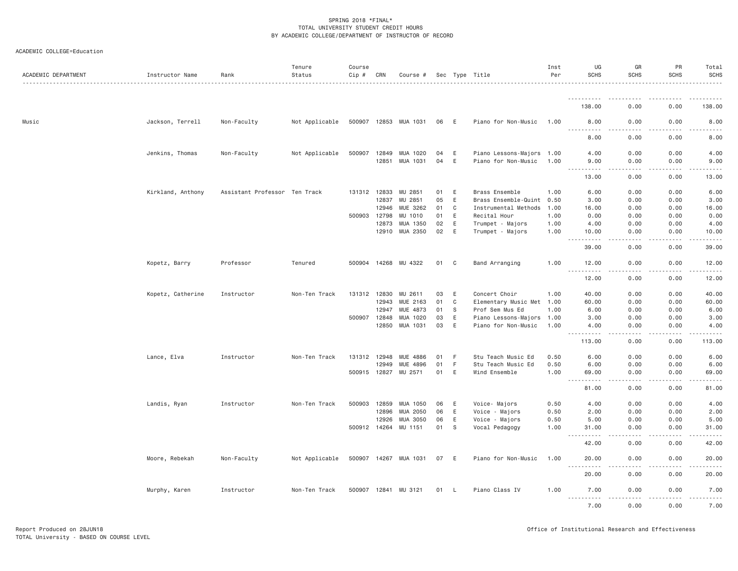| ACADEMIC DEPARTMENT | Instructor Name   | Rank                          | Tenure<br>Status | Course<br>Cip # | CRN          | Course #              |      |                | Sec Type Title            | Inst<br>Per | UG<br><b>SCHS</b>                 | GR<br><b>SCHS</b> | PR<br>SCHS                                                                                                                                                       | Total<br><b>SCHS</b>                       |
|---------------------|-------------------|-------------------------------|------------------|-----------------|--------------|-----------------------|------|----------------|---------------------------|-------------|-----------------------------------|-------------------|------------------------------------------------------------------------------------------------------------------------------------------------------------------|--------------------------------------------|
|                     |                   |                               |                  |                 |              |                       |      |                |                           |             |                                   |                   |                                                                                                                                                                  |                                            |
|                     |                   |                               |                  |                 |              |                       |      |                |                           |             | 138.00                            | 0.00              | 0.00                                                                                                                                                             | 138.00                                     |
| Music               | Jackson, Terrell  | Non-Faculty                   | Not Applicable   |                 |              | 500907 12853 MUA 1031 | 06 E |                | Piano for Non-Music       | 1.00        | 8.00<br>.                         | 0.00<br>.         | 0.00<br>.                                                                                                                                                        | 8.00<br>$\sim$ $\sim$ $\sim$ $\sim$ $\sim$ |
|                     |                   |                               |                  |                 |              |                       |      |                |                           |             | 8.00                              | 0.00              | 0.00                                                                                                                                                             | 8.00                                       |
|                     | Jenkins, Thomas   | Non-Faculty                   | Not Applicable   | 500907          | 12849        | MUA 1020              | 04   | E              | Piano Lessons-Majors 1.00 |             | 4.00                              | 0.00              | 0.00                                                                                                                                                             | 4.00                                       |
|                     |                   |                               |                  |                 | 12851        | MUA 1031              | 04   | E              | Piano for Non-Music       | 1,00        | 9.00<br>.<br>$- - -$              | 0.00<br>.         | 0.00<br>.                                                                                                                                                        | 9.00<br>.                                  |
|                     |                   |                               |                  |                 |              |                       |      |                |                           |             | 13.00                             | 0.00              | 0.00                                                                                                                                                             | 13.00                                      |
|                     | Kirkland, Anthony | Assistant Professor Ten Track |                  | 131312          | 12833        | MU 2851               | 01   | E              | Brass Ensemble            | 1.00        | 6.00                              | 0.00              | 0.00                                                                                                                                                             | 6.00                                       |
|                     |                   |                               |                  |                 | 12837        | MU 2851               | 05   | E              | Brass Ensemble-Quint 0.50 |             | 3,00                              | 0.00              | 0.00                                                                                                                                                             | 3.00                                       |
|                     |                   |                               |                  |                 | 12946        | MUE 3262              | 01   | C              | Instrumental Methods      | 1.00        | 16.00                             | 0.00              | 0.00                                                                                                                                                             | 16.00                                      |
|                     |                   |                               |                  | 500903          | 12798        | MU 1010               | 01   | E              | Recital Hour              | 1.00        | 0.00                              | 0.00              | 0.00                                                                                                                                                             | 0.00                                       |
|                     |                   |                               |                  |                 | 12873        | MUA 1350              | 02   | E              | Trumpet - Majors          | 1.00        | 4.00                              | 0.00              | 0.00                                                                                                                                                             | 4.00                                       |
|                     |                   |                               |                  |                 |              | 12910 MUA 2350        | 02   | E              | Trumpet - Majors          | 1.00        | 10.00<br>$- - -$<br>.             | 0.00<br>.         | 0.00<br>.                                                                                                                                                        | 10.00<br>.                                 |
|                     |                   |                               |                  |                 |              |                       |      |                |                           |             | 39.00                             | 0.00              | 0.00                                                                                                                                                             | 39.00                                      |
|                     | Kopetz, Barry     | Professor                     | Tenured          |                 |              | 500904 14268 MU 4322  | 01   | C <sub>1</sub> | Band Arranging            | 1.00        | 12.00<br>.                        | 0.00<br>.         | 0.00<br>.                                                                                                                                                        | 12.00<br>.                                 |
|                     |                   |                               |                  |                 |              |                       |      |                |                           |             | 12.00                             | 0.00              | 0.00                                                                                                                                                             | 12.00                                      |
|                     | Kopetz, Catherine | Instructor                    | Non-Ten Track    | 131312          | 12830        | MU 2611               | 03   | E              | Concert Choir             | 1.00        | 40.00                             | 0.00              | 0.00                                                                                                                                                             | 40.00                                      |
|                     |                   |                               |                  |                 | 12943        | MUE 2163              | 01   | C              | Elementary Music Met 1.00 |             | 60.00                             | 0.00              | 0.00                                                                                                                                                             | 60.00                                      |
|                     |                   |                               |                  |                 | 12947        | MUE 4873              | 01   | - S            | Prof Sem Mus Ed           | 1.00        | 6.00                              | 0.00              | 0.00                                                                                                                                                             | 6.00                                       |
|                     |                   |                               |                  | 500907          | 12848        | MUA 1020              | 03   | E              | Piano Lessons-Majors 1.00 |             | 3.00                              | 0.00              | 0.00                                                                                                                                                             | 3.00                                       |
|                     |                   |                               |                  |                 | 12850        | MUA 1031              | 03   | E              | Piano for Non-Music       | 1.00        | 4.00<br>.                         | 0.00<br>د د د د   | 0.00<br>.                                                                                                                                                        | 4.00<br>.                                  |
|                     |                   |                               |                  |                 |              |                       |      |                |                           |             | 113.00                            | 0.00              | 0.00                                                                                                                                                             | 113.00                                     |
|                     | Lance, Elva       | Instructor                    | Non-Ten Track    |                 | 131312 12948 | MUE 4886              | 01   | - F            | Stu Teach Music Ed        | 0.50        | 6.00                              | 0.00              | 0.00                                                                                                                                                             | 6.00                                       |
|                     |                   |                               |                  |                 | 12949        | MUE 4896              | 01   | F.             | Stu Teach Music Ed        | 0.50        | 6.00                              | 0.00              | 0.00                                                                                                                                                             | 6.00                                       |
|                     |                   |                               |                  |                 | 500915 12827 | MU 2571               | 01   | E              | Wind Ensemble             | 1.00        | 69.00<br>----                     | 0.00              | 0.00                                                                                                                                                             | 69.00                                      |
|                     |                   |                               |                  |                 |              |                       |      |                |                           |             | 81.00                             | 0.00              | 0.00                                                                                                                                                             | 81.00                                      |
|                     | Landis, Ryan      | Instructor                    | Non-Ten Track    | 500903          | 12859        | MUA 1050              | 06   | E              | Voice- Majors             | 0.50        | 4.00                              | 0.00              | 0.00                                                                                                                                                             | 4.00                                       |
|                     |                   |                               |                  |                 | 12896        | MUA 2050              | 06   | E              | Voice - Majors            | 0.50        | 2.00                              | 0.00              | 0.00                                                                                                                                                             | 2.00                                       |
|                     |                   |                               |                  |                 | 12926        | MUA 3050              | 06   | E              | Voice - Majors            | 0.50        | 5.00                              | 0.00              | 0.00                                                                                                                                                             | 5.00                                       |
|                     |                   |                               |                  |                 |              | 500912 14264 MU 1151  | 01   | S.             | Vocal Pedagogy            | 1.00        | 31.00<br>$- - - - - -$<br>$- - -$ | 0.00<br>.         | 0.00<br>.                                                                                                                                                        | 31.00<br>.                                 |
|                     |                   |                               |                  |                 |              |                       |      |                |                           |             | 42.00                             | 0.00              | 0.00                                                                                                                                                             | 42.00                                      |
|                     | Moore, Rebekah    | Non-Faculty                   | Not Applicable   |                 |              | 500907 14267 MUA 1031 | 07 E |                | Piano for Non-Music       | 1.00        | 20.00                             | 0.00              | 0.00                                                                                                                                                             | 20.00                                      |
|                     |                   |                               |                  |                 |              |                       |      |                |                           |             | <u>.</u><br>20.00                 | .<br>0.00         | $\mathcal{L}^{\mathcal{L}}\mathcal{L}^{\mathcal{L}}\mathcal{L}^{\mathcal{L}}\mathcal{L}^{\mathcal{L}}\mathcal{L}^{\mathcal{L}}\mathcal{L}^{\mathcal{L}}$<br>0.00 | .<br>20.00                                 |
|                     | Murphy, Karen     | Instructor                    | Non-Ten Track    |                 | 500907 12841 | MU 3121               | 01   | - L            | Piano Class IV            | 1.00        | 7.00                              | 0.00              | 0.00                                                                                                                                                             | 7.00                                       |
|                     |                   |                               |                  |                 |              |                       |      |                |                           |             | <u>.</u><br>7.00                  | .<br>0.00         | 2.2.2.2.2<br>0.00                                                                                                                                                | .<br>7.00                                  |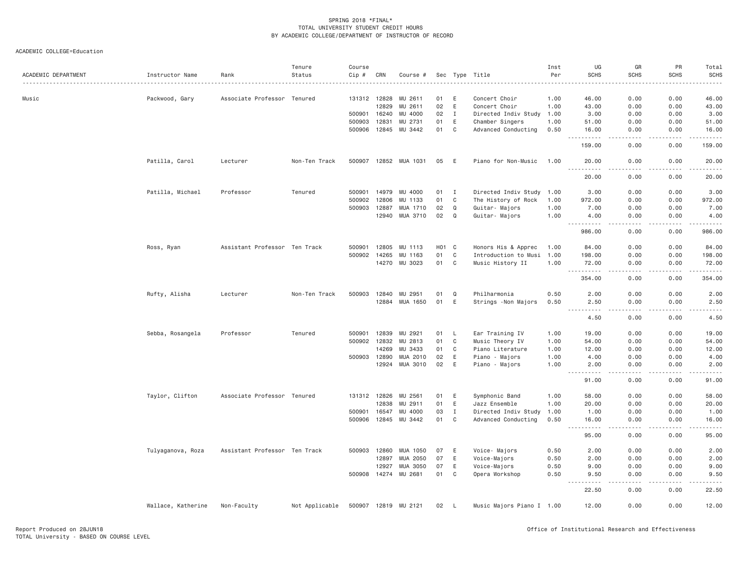| ACADEMIC DEPARTMENT | Instructor Name    | Rank                          | Tenure<br>Status | Course<br>Cip #<br>. | CRN          | Course #              |            |              | Sec Type Title            | Inst<br>Per | UG<br><b>SCHS</b>                                                                                                                                             | GR<br><b>SCHS</b><br>$\cdots$ | PR<br><b>SCHS</b> | Total<br><b>SCHS</b><br>. <b>.</b> . |
|---------------------|--------------------|-------------------------------|------------------|----------------------|--------------|-----------------------|------------|--------------|---------------------------|-------------|---------------------------------------------------------------------------------------------------------------------------------------------------------------|-------------------------------|-------------------|--------------------------------------|
| Music               | Packwood, Gary     | Associate Professor Tenured   |                  |                      | 131312 12828 | MU 2611               | 01         | E            | Concert Choir             | 1.00        | 46.00                                                                                                                                                         | 0.00                          | 0.00              | 46.00                                |
|                     |                    |                               |                  |                      | 12829        | MU 2611               | 02         | E            | Concert Choir             | 1.00        | 43.00                                                                                                                                                         | 0.00                          | 0.00              | 43.00                                |
|                     |                    |                               |                  | 500901               | 16240        | MU 4000               | 02         | $\mathbf{I}$ | Directed Indiv Study      | 1.00        | 3.00                                                                                                                                                          | 0.00                          | 0.00              | 3.00                                 |
|                     |                    |                               |                  | 500903               | 12831        | MU 2731               | 01         | E            | Chamber Singers           | 1.00        | 51.00                                                                                                                                                         | 0.00                          | 0.00              | 51.00                                |
|                     |                    |                               |                  |                      | 500906 12845 | MU 3442               | 01         | C            | Advanced Conducting       | 0.50        | 16.00<br>$\frac{1}{2} \left( \frac{1}{2} \right) \left( \frac{1}{2} \right) \left( \frac{1}{2} \right) \left( \frac{1}{2} \right) \left( \frac{1}{2} \right)$ | 0.00<br>.                     | 0.00<br>.         | 16.00<br>-----                       |
|                     |                    |                               |                  |                      |              |                       |            |              |                           |             | 159.00                                                                                                                                                        | 0.00                          | 0.00              | 159.00                               |
|                     | Patilla, Carol     | Lecturer                      | Non-Ten Track    |                      |              | 500907 12852 MUA 1031 | 05         | E            | Piano for Non-Music       | 1.00        | 20.00<br><u>.</u>                                                                                                                                             | 0.00<br>.                     | 0.00<br><u>.</u>  | 20.00<br>.                           |
|                     |                    |                               |                  |                      |              |                       |            |              |                           |             | 20.00                                                                                                                                                         | 0.00                          | 0.00              | 20.00                                |
|                     | Patilla, Michael   | Professor                     | Tenured          | 500901               | 14979        | MU 4000               | 01         | $\mathbf{I}$ | Directed Indiv Study 1.00 |             | 3.00                                                                                                                                                          | 0.00                          | 0.00              | 3.00                                 |
|                     |                    |                               |                  | 500902               | 12806        | MU 1133               | 01         | C            | The History of Rock       | 1.00        | 972.00                                                                                                                                                        | 0.00                          | 0.00              | 972.00                               |
|                     |                    |                               |                  | 500903 12887         |              | MUA 1710              | 02         | Q            | Guitar- Majors            | 1.00        | 7.00                                                                                                                                                          | 0.00                          | 0.00              | 7.00                                 |
|                     |                    |                               |                  |                      | 12940        | MUA 3710              | 02         | $\Omega$     | Guitar- Majors            | 1.00        | 4.00<br>.<br>$\frac{1}{2} \left( \frac{1}{2} \right) \left( \frac{1}{2} \right) \left( \frac{1}{2} \right) \left( \frac{1}{2} \right)$                        | 0.00<br>والأمام               | 0.00<br>.         | 4.00                                 |
|                     |                    |                               |                  |                      |              |                       |            |              |                           |             | 986.00                                                                                                                                                        | 0.00                          | 0.00              | 986.00                               |
|                     | Ross, Ryan         | Assistant Professor Ten Track |                  | 500901               | 12805        | MU 1113               | <b>H01</b> | C            | Honors His & Apprec       | 1.00        | 84.00                                                                                                                                                         | 0.00                          | 0.00              | 84.00                                |
|                     |                    |                               |                  | 500902               | 14265        | MU 1163               | 01         | C            | Introduction to Musi      | 1.00        | 198.00                                                                                                                                                        | 0.00                          | 0.00              | 198.00                               |
|                     |                    |                               |                  |                      | 14270        | MU 3023               | 01         | C            | Music History II          | 1.00        | 72.00                                                                                                                                                         | 0.00                          | 0.00              | 72.00                                |
|                     |                    |                               |                  |                      |              |                       |            |              |                           |             | .<br>354.00                                                                                                                                                   | .<br>0.00                     | .<br>0.00         | 354.00                               |
|                     | Rufty, Alisha      | Lecturer                      | Non-Ten Track    | 500903               | 12840        | MU 2951               | 01         | Q            | Philharmonia              | 0.50        | 2.00                                                                                                                                                          | 0.00                          | 0.00              | 2.00                                 |
|                     |                    |                               |                  |                      | 12884        | MUA 1650              | 01         | E            | Strings - Non Majors      | 0.50        | 2.50                                                                                                                                                          | 0.00                          | 0.00              | 2.50                                 |
|                     |                    |                               |                  |                      |              |                       |            |              |                           |             | 4.50                                                                                                                                                          | 0.00                          | 0.00              | 4.50                                 |
|                     | Sebba, Rosangela   | Professor                     | Tenured          | 500901               | 12839        | MU 2921               | 01         | L            | Ear Training IV           | 1.00        | 19.00                                                                                                                                                         | 0.00                          | 0.00              | 19.00                                |
|                     |                    |                               |                  |                      | 500902 12832 | MU 2813               | 01         | $\mathbf{C}$ | Music Theory IV           | 1.00        | 54.00                                                                                                                                                         | 0.00                          | 0.00              | 54.00                                |
|                     |                    |                               |                  |                      | 14269        | MU 3433               | 01         | C            | Piano Literature          | 1.00        | 12.00                                                                                                                                                         | 0.00                          | 0.00              | 12.00                                |
|                     |                    |                               |                  |                      | 500903 12890 | MUA 2010              | 02         | E            | Piano - Majors            | 1.00        | 4.00                                                                                                                                                          | 0.00                          | 0.00              | 4.00                                 |
|                     |                    |                               |                  |                      | 12924        | MUA 3010              | 02         | E            | Piano - Majors            | 1.00        | 2.00                                                                                                                                                          | 0.00                          | 0.00              | 2.00                                 |
|                     |                    |                               |                  |                      |              |                       |            |              |                           |             | .<br>$\sim$ $\sim$ $\sim$<br>91.00                                                                                                                            | $- - -$<br>0.00               | 0.00              | .<br>91.00                           |
|                     | Taylor, Clifton    | Associate Professor Tenured   |                  |                      | 131312 12826 | MU 2561               | 01         | E            | Symphonic Band            | 1.00        | 58.00                                                                                                                                                         | 0.00                          | 0.00              | 58.00                                |
|                     |                    |                               |                  |                      | 12838        | MU 2911               | 01         | E            | Jazz Ensemble             | 1.00        | 20.00                                                                                                                                                         | 0.00                          | 0.00              | 20.00                                |
|                     |                    |                               |                  | 500901               | 16547        | MU 4000               | 03         | $\mathbf{I}$ | Directed Indiv Study      | 1.00        | 1.00                                                                                                                                                          | 0.00                          | 0.00              | 1.00                                 |
|                     |                    |                               |                  |                      | 500906 12845 | MU 3442               | 01         | C            | Advanced Conducting       | 0.50        | 16.00                                                                                                                                                         | 0.00                          | 0.00              | 16.00                                |
|                     |                    |                               |                  |                      |              |                       |            |              |                           |             | -----<br>95.00                                                                                                                                                | .<br>0.00                     | .<br>0.00         | . <u>.</u> .<br>95.00                |
|                     | Tulyaganova, Roza  | Assistant Professor Ten Track |                  | 500903 12860         |              | MUA 1050              | 07         | Ε            | Voice- Majors             | 0.50        | 2.00                                                                                                                                                          | 0.00                          | 0.00              | 2.00                                 |
|                     |                    |                               |                  |                      | 12897        | MUA 2050              | 07         | E            | Voice-Majors              | 0.50        | 2.00                                                                                                                                                          | 0.00                          | 0.00              | 2.00                                 |
|                     |                    |                               |                  |                      | 12927        | MUA 3050              | 07         | E            | Voice-Majors              | 0.50        | 9.00                                                                                                                                                          | 0.00                          | 0.00              | 9.00                                 |
|                     |                    |                               |                  |                      | 500908 14274 | MU 2681               | 01         | $\mathsf{C}$ | Opera Workshop            | 0.50        | 9.50                                                                                                                                                          | 0.00                          | 0.00              | 9.50                                 |
|                     |                    |                               |                  |                      |              |                       |            |              |                           |             | $\frac{1}{2} \left( \frac{1}{2} \right) \left( \frac{1}{2} \right) \left( \frac{1}{2} \right)$<br>.<br>22.50                                                  | .<br>0.00                     | -----<br>0.00     | .<br>22.50                           |
|                     | Wallace, Katherine | Non-Faculty                   | Not Applicable   |                      |              | 500907 12819 MU 2121  | 02         | $\mathsf{L}$ | Music Majors Piano I 1.00 |             | 12.00                                                                                                                                                         | 0.00                          | 0.00              | 12.00                                |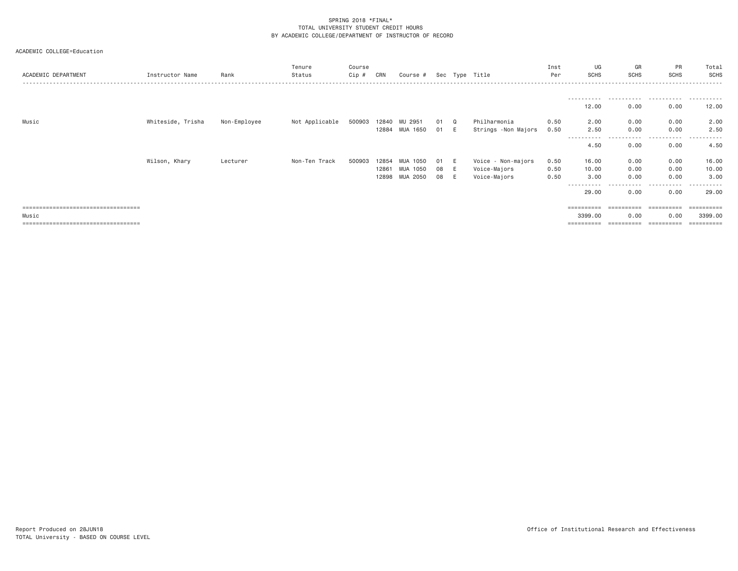# ACADEMIC COLLEGE=Education

| ACADEMIC DEPARTMENT                   | Instructor Name   | Rank         | Tenure<br>Status | Course<br>Cip # | CRN   | Course #           |      |   | Sec Type Title      | Inst<br>Per | UG<br><b>SCHS</b>    | GR<br>SCHS    | PR<br>SCHS             | Total<br>SCHS    |
|---------------------------------------|-------------------|--------------|------------------|-----------------|-------|--------------------|------|---|---------------------|-------------|----------------------|---------------|------------------------|------------------|
|                                       |                   |              |                  |                 |       |                    |      |   |                     |             |                      |               |                        |                  |
|                                       |                   |              |                  |                 |       |                    |      |   |                     |             | 12.00                | 0.00          | 0.00                   | 12.00            |
| Music                                 | Whiteside, Trisha | Non-Employee | Not Applicable   | 500903          | 12840 | MU 2951            | 01 Q |   | Philharmonia        | 0.50        | 2.00                 | 0.00          | 0.00                   | 2.00             |
|                                       |                   |              |                  |                 | 12884 | MUA 1650           | 01 E |   | Strings -Non Majors | 0.50        | 2.50<br>.            | 0.00<br>.     | 0.00<br>.              | 2.50<br>.        |
|                                       |                   |              |                  |                 |       |                    |      |   |                     |             | 4.50                 | 0.00          | 0.00                   | 4.50             |
|                                       | Wilson, Khary     | Lecturer     | Non-Ten Track    | 500903          | 12854 | <b>MUA</b><br>1050 | 01   | E | Voice - Non-majors  | 0.50        | 16.00                | 0.00          | 0.00                   | 16.00            |
|                                       |                   |              |                  |                 | 12861 | MUA 1050           | 08   | E | Voice-Majors        | 0.50        | 10.00                | 0.00          | 0.00                   | 10.00            |
|                                       |                   |              |                  |                 | 12898 | MUA 2050           | 08   | E | Voice-Majors        | 0.50        | 3.00                 | 0.00          | 0.00                   | 3.00             |
|                                       |                   |              |                  |                 |       |                    |      |   |                     |             | -----------<br>29.00 | -----<br>0.00 | $  -$<br>-----<br>0.00 | -------<br>29.00 |
| ====================================  |                   |              |                  |                 |       |                    |      |   |                     |             |                      |               |                        |                  |
| Music                                 |                   |              |                  |                 |       |                    |      |   |                     |             | 3399.00              | 0.00          | 0.00                   | 3399.00          |
| ===================================== |                   |              |                  |                 |       |                    |      |   |                     |             | ==========           | ==========    | -----------            | ==========       |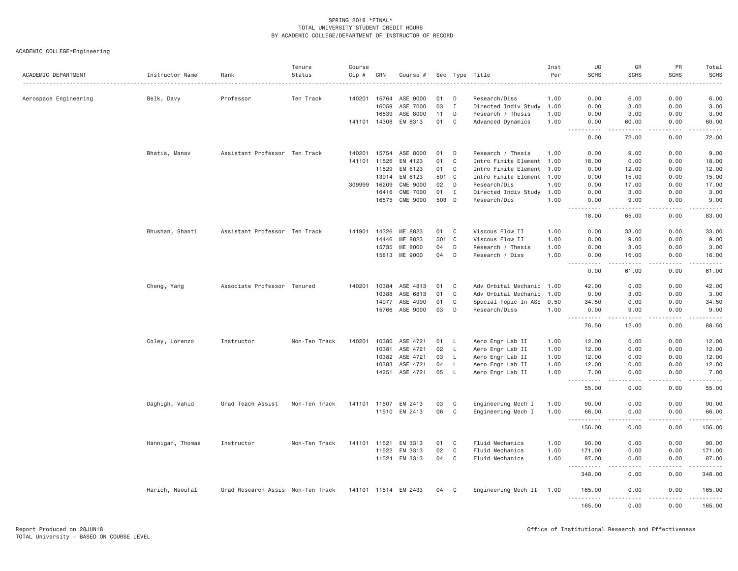| ACADEMIC DEPARTMENT   | Instructor Name  | Rank                              | Tenure<br>Status | Course<br>Cip # | CRN          | Course #             |       |                | Sec Type Title            | Inst<br>Per | UG<br><b>SCHS</b>                                                                                                                                                   | GR<br><b>SCHS</b>                   | PR<br><b>SCHS</b> | Total<br><b>SCHS</b>   |
|-----------------------|------------------|-----------------------------------|------------------|-----------------|--------------|----------------------|-------|----------------|---------------------------|-------------|---------------------------------------------------------------------------------------------------------------------------------------------------------------------|-------------------------------------|-------------------|------------------------|
| Aerospace Engineering | Belk, Davy       | Professor                         | Ten Track        |                 | 140201 15764 | ASE 9000             | 01    | D              | Research/Diss             | 1.00        | 0.00                                                                                                                                                                | 6.00                                | 0.00              | 6.00                   |
|                       |                  |                                   |                  |                 | 16059        | ASE 7000             | 03    | $\mathbf{I}$   | Directed Indiv Study      | 1.00        | 0.00                                                                                                                                                                | 3.00                                | 0.00              | 3.00                   |
|                       |                  |                                   |                  |                 | 16539        | ASE 8000             | 11    | D              | Research / Thesis         | 1.00        | 0.00                                                                                                                                                                | 3.00                                | 0.00              | 3.00                   |
|                       |                  |                                   |                  |                 | 141101 14308 | EM 8313              | 01    | $\mathbf C$    | Advanced Dynamics         | 1.00        | 0.00<br>$\frac{1}{2}$                                                                                                                                               | 60.00                               | 0.00              | 60.00<br>$\frac{1}{2}$ |
|                       |                  |                                   |                  |                 |              |                      |       |                |                           |             | 0.00                                                                                                                                                                | 72.00                               | 0.00              | 72.00                  |
|                       | Bhatia, Manav    | Assistant Professor Ten Track     |                  |                 | 140201 15754 | ASE 8000             | 01    | D              | Research / Thesis         | 1.00        | 0.00                                                                                                                                                                | 9.00                                | 0.00              | 9.00                   |
|                       |                  |                                   |                  |                 | 141101 11526 | EM 4123              | 01    | $\mathbf C$    | Intro Finite Element 1.00 |             | 18.00                                                                                                                                                               | 0.00                                | 0.00              | 18.00                  |
|                       |                  |                                   |                  |                 | 11529        | EM 6123              | 01    | $\mathbf C$    | Intro Finite Element      | 1.00        | 0.00                                                                                                                                                                | 12.00                               | 0.00              | 12.00                  |
|                       |                  |                                   |                  |                 | 13914        | EM 6123              | 501   | $\mathbf{C}$   | Intro Finite Element 1.00 |             | 0.00                                                                                                                                                                | 15.00                               | 0.00              | 15.00                  |
|                       |                  |                                   |                  | 309999          | 16209        | CME 9000             | 02    | D              | Research/Dis              | 1.00        | 0.00                                                                                                                                                                | 17.00                               | 0.00              | 17.00                  |
|                       |                  |                                   |                  |                 | 16416        | <b>CME 7000</b>      | 01    | $\mathbf{I}$   | Directed Indiv Study      | 1.00        | 0.00                                                                                                                                                                | 3.00                                | 0.00              | 3.00                   |
|                       |                  |                                   |                  |                 |              | 16575 CME 9000       | 503 D |                | Research/Dis              | 1.00        | 0.00<br>$\frac{1}{2} \left( \frac{1}{2} \right) \left( \frac{1}{2} \right) \left( \frac{1}{2} \right) \left( \frac{1}{2} \right) \left( \frac{1}{2} \right)$<br>444 | 9.00<br>د د د د د                   | 0.00<br>.         | 9.00<br>.              |
|                       |                  |                                   |                  |                 |              |                      |       |                |                           |             | 18.00                                                                                                                                                               | 65.00                               | 0.00              | 83.00                  |
|                       | Bhushan, Shanti  | Assistant Professor Ten Track     |                  | 141901          | 14326        | ME 8823              | 01    | C              | Viscous Flow II           | 1.00        | 0.00                                                                                                                                                                | 33.00                               | 0.00              | 33.00                  |
|                       |                  |                                   |                  |                 | 14446        | ME 8823              | 501   | $\mathbf{C}$   | Viscous Flow II           | 1.00        | 0.00                                                                                                                                                                | 9.00                                | 0.00              | 9.00                   |
|                       |                  |                                   |                  |                 | 15735        | ME 8000              | 04    | D              | Research / Thesis         | 1.00        | 0.00                                                                                                                                                                | 3.00                                | 0.00              | 3.00                   |
|                       |                  |                                   |                  |                 | 15813        | ME 9000              | 04    | D              | Research / Diss           | 1.00        | 0.00                                                                                                                                                                | 16.00                               | 0.00              | 16.00                  |
|                       |                  |                                   |                  |                 |              |                      |       |                |                           |             | $\sim$ $\sim$ $\sim$<br>$\frac{1}{2}$<br>0.00                                                                                                                       | .<br>61.00                          | .<br>0.00         | $- - - - -$<br>61.00   |
|                       | Cheng, Yang      | Associate Professor Tenured       |                  |                 | 140201 10384 | ASE 4813             | 01    | $\mathbf{C}$   | Adv Orbital Mechanic 1.00 |             | 42.00                                                                                                                                                               | 0.00                                | 0.00              | 42.00                  |
|                       |                  |                                   |                  |                 | 10388        | ASE 6813             | 01    | $\mathbf C$    | Adv Orbital Mechanic      | 1.00        | 0.00                                                                                                                                                                | 3.00                                | 0.00              | 3.00                   |
|                       |                  |                                   |                  |                 | 14977        | ASE 4990             | 01    | C              | Special Topic In ASE 0.50 |             | 34.50                                                                                                                                                               | 0.00                                | 0.00              | 34.50                  |
|                       |                  |                                   |                  |                 |              | 15766 ASE 9000       | 03    | D              | Research/Diss             | 1.00        | 0.00                                                                                                                                                                | 9.00                                | 0.00              | 9.00                   |
|                       |                  |                                   |                  |                 |              |                      |       |                |                           |             | .                                                                                                                                                                   | .                                   | .                 | .                      |
|                       |                  |                                   |                  |                 |              |                      |       |                |                           |             | 76.50                                                                                                                                                               | 12.00                               | 0.00              | 88.50                  |
|                       | Coley, Lorenzo   | Instructor                        | Non-Ten Track    | 140201          | 10380        | ASE 4721             | 01    | <b>L</b>       | Aero Engr Lab II          | 1.00        | 12.00                                                                                                                                                               | 0.00                                | 0.00              | 12.00                  |
|                       |                  |                                   |                  |                 | 10381        | ASE 4721             | 02    | L              | Aero Engr Lab II          | 1.00        | 12.00                                                                                                                                                               | 0.00                                | 0.00              | 12.00                  |
|                       |                  |                                   |                  |                 | 10382        | ASE 4721             | 03    | L              | Aero Engr Lab II          | 1.00        | 12.00                                                                                                                                                               | 0.00                                | 0.00              | 12.00                  |
|                       |                  |                                   |                  |                 | 10383        | ASE 4721             | 04    | L              | Aero Engr Lab II          | 1.00        | 12.00                                                                                                                                                               | 0.00                                | 0.00              | 12.00                  |
|                       |                  |                                   |                  |                 | 14251        | ASE 4721             | 05    | $\mathsf{L}$   | Aero Engr Lab II          | 1.00        | 7.00<br>$\sim$ $\sim$ $\sim$<br>.                                                                                                                                   | 0.00<br>د د د د                     | 0.00              | 7.00<br>.              |
|                       |                  |                                   |                  |                 |              |                      |       |                |                           |             | 55.00                                                                                                                                                               | 0.00                                | 0.00              | 55.00                  |
|                       | Daghigh, Vahid   | Grad Teach Assist                 | Non-Ten Track    |                 |              | 141101 11507 EM 2413 | 03    | C              | Engineering Mech I        | 1.00        | 90.00                                                                                                                                                               | 0.00                                | 0.00              | 90.00                  |
|                       |                  |                                   |                  |                 |              | 11510 EM 2413        | 06    | $\mathbf C$    | Engineering Mech I        | 1.00        | 66.00                                                                                                                                                               | 0.00                                | 0.00              | 66.00                  |
|                       |                  |                                   |                  |                 |              |                      |       |                |                           |             | .<br>$  -$<br>156.00                                                                                                                                                | .<br>0.00                           | <u>.</u><br>0.00  | .<br>156.00            |
|                       | Hannigan, Thomas | Instructor                        | Non-Ten Track    | 141101          | 11521        | EM 3313              | 01    | $\mathbb C$    | Fluid Mechanics           | 1.00        | 90.00                                                                                                                                                               | 0.00                                | 0.00              | 90.00                  |
|                       |                  |                                   |                  |                 | 11522        | EM 3313              | 02    | $\mathbf C$    | Fluid Mechanics           | 1.00        | 171.00                                                                                                                                                              | 0.00                                | 0.00              | 171.00                 |
|                       |                  |                                   |                  |                 |              | 11524 EM 3313        | 04    | $\mathbf{C}$   | Fluid Mechanics           | 1.00        | 87.00                                                                                                                                                               | 0.00<br>$\sim$ $\sim$ $\sim$ $\sim$ | 0.00              | 87.00<br>.             |
|                       |                  |                                   |                  |                 |              |                      |       |                |                           |             | 348.00                                                                                                                                                              | 0.00                                | 0.00              | 348.00                 |
|                       | Harich, Naoufal  | Grad Research Assis Non-Ten Track |                  |                 |              | 141101 11514 EM 2433 | 04    | C <sub>1</sub> | Engineering Mech II       | 1.00        | 165.00<br>.                                                                                                                                                         | 0.00<br>.                           | 0.00<br>.         | 165.00<br>.            |
|                       |                  |                                   |                  |                 |              |                      |       |                |                           |             | 165.00                                                                                                                                                              | 0.00                                | 0.00              | 165.00                 |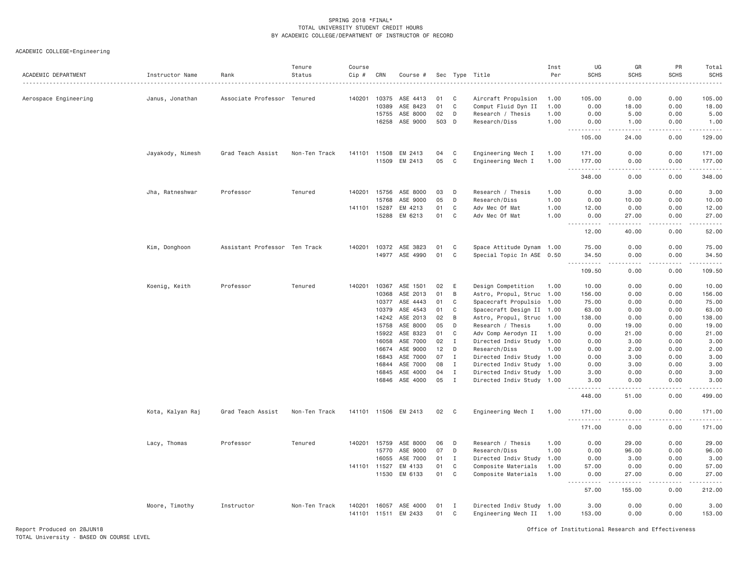| ACADEMIC DEPARTMENT   | Instructor Name  | Rank                          | Tenure<br>Status | Course<br>Cip # | CRN            | Course #             | Sec      |                             | Type Title                                             | Inst<br>Per | UG<br><b>SCHS</b>                 | GR<br><b>SCHS</b>                   | PR<br><b>SCHS</b> | Total<br><b>SCHS</b><br>.                                                                                                                                                                |
|-----------------------|------------------|-------------------------------|------------------|-----------------|----------------|----------------------|----------|-----------------------------|--------------------------------------------------------|-------------|-----------------------------------|-------------------------------------|-------------------|------------------------------------------------------------------------------------------------------------------------------------------------------------------------------------------|
| Aerospace Engineering | Janus, Jonathan  | Associate Professor Tenured   |                  | 140201          | 10375          | ASE 4413             | 01       | C                           | Aircraft Propulsion                                    | 1.00        | 105.00                            | 0.00                                | 0.00              | 105.00                                                                                                                                                                                   |
|                       |                  |                               |                  |                 | 10389          | ASE 8423             | 01       | C                           | Comput Fluid Dyn II                                    | 1.00        | 0.00                              | 18.00                               | 0.00              | 18.00                                                                                                                                                                                    |
|                       |                  |                               |                  |                 | 15755          | ASE 8000             | 02       | D                           | Research / Thesis                                      | 1.00        | 0.00                              | 5.00                                | 0.00              | 5.00                                                                                                                                                                                     |
|                       |                  |                               |                  |                 | 16258          | ASE 9000             | 503      | D                           | Research/Diss                                          | 1.00        | 0.00<br>.<br>-----                | 1.00                                | 0.00              | 1.00                                                                                                                                                                                     |
|                       |                  |                               |                  |                 |                |                      |          |                             |                                                        |             | 105.00                            | 24.00                               | 0.00              | 129.00                                                                                                                                                                                   |
|                       | Jayakody, Nimesh | Grad Teach Assist             | Non-Ten Track    | 141101          | 11508          | EM 2413              | 04       | C                           | Engineering Mech I                                     | 1.00        | 171.00                            | 0.00                                | 0.00              | 171.00                                                                                                                                                                                   |
|                       |                  |                               |                  |                 | 11509          | EM 2413              | 05       | $\mathbb C$                 | Engineering Mech I                                     | 1.00        | 177.00<br><u>.</u>                | 0.00<br>$\sim$ $\sim$ $\sim$ $\sim$ | 0.00<br>.         | 177.00<br>.                                                                                                                                                                              |
|                       |                  |                               |                  |                 |                |                      |          |                             |                                                        |             | 348.00                            | 0.00                                | 0.00              | 348.00                                                                                                                                                                                   |
|                       | Jha, Ratneshwar  | Professor                     | Tenured          | 140201          | 15756          | ASE 8000             | 03       | D                           | Research / Thesis                                      | 1.00        | 0.00                              | 3.00                                | 0.00              | 3.00                                                                                                                                                                                     |
|                       |                  |                               |                  |                 | 15768          | ASE 9000             | 05       | D                           | Research/Diss                                          | 1,00        | 0.00                              | 10.00                               | 0.00              | 10.00                                                                                                                                                                                    |
|                       |                  |                               |                  | 141101          | 15287          | EM 4213              | 01       | C                           | Adv Mec Of Mat                                         | 1.00        | 12.00                             | 0.00                                | 0.00              | 12.00                                                                                                                                                                                    |
|                       |                  |                               |                  |                 | 15288          | EM 6213              | 01       | C                           | Adv Mec Of Mat                                         | 1.00        | 0.00<br>.                         | 27.00<br>-----                      | 0.00<br>-----     | 27.00<br>.                                                                                                                                                                               |
|                       |                  |                               |                  |                 |                |                      |          |                             |                                                        |             | 12.00                             | 40.00                               | 0.00              | 52.00                                                                                                                                                                                    |
|                       | Kim, Donghoon    | Assistant Professor Ten Track |                  | 140201          | 10372          | ASE 3823             | 01       | C                           | Space Attitude Dynam 1.00                              |             | 75.00                             | 0.00                                | 0.00              | 75.00                                                                                                                                                                                    |
|                       |                  |                               |                  |                 | 14977          | ASE 4990             | 01       | C                           | Special Topic In ASE 0.50                              |             | 34.50<br>.<br>$\sim$ $\sim$       | 0.00<br>$\sim$ $\sim$ $\sim$ $\sim$ | 0.00<br>.         | 34.50<br>.                                                                                                                                                                               |
|                       |                  |                               |                  |                 |                |                      |          |                             |                                                        |             | 109.50                            | 0.00                                | 0.00              | 109.50                                                                                                                                                                                   |
|                       | Koenig, Keith    | Professor                     | Tenured          | 140201          | 10367          | ASE 1501             | 02       | Ε                           | Design Competition                                     | 1.00        | 10.00                             | 0.00                                | 0.00              | 10.00                                                                                                                                                                                    |
|                       |                  |                               |                  |                 | 10368          | ASE 2013             | 01       | В                           | Astro, Propul, Struc 1.00                              |             | 156.00                            | 0.00                                | 0.00              | 156.00                                                                                                                                                                                   |
|                       |                  |                               |                  |                 | 10377          | ASE 4443             | 01       | C                           | Spacecraft Propulsio 1.00                              |             | 75.00                             | 0.00                                | 0.00              | 75.00                                                                                                                                                                                    |
|                       |                  |                               |                  |                 | 10379          | ASE 4543             | 01       | C                           | Spacecraft Design II 1.00                              |             | 63.00                             | 0.00                                | 0.00              | 63.00                                                                                                                                                                                    |
|                       |                  |                               |                  |                 | 14242          | ASE 2013             | 02       | B                           | Astro, Propul, Struc 1.00                              |             | 138.00                            | 0.00                                | 0.00              | 138.00                                                                                                                                                                                   |
|                       |                  |                               |                  |                 | 15758          | ASE 8000             | 05       | D                           | Research / Thesis                                      | 1.00        | 0.00                              | 19.00                               | 0.00              | 19.00                                                                                                                                                                                    |
|                       |                  |                               |                  |                 | 15922          | ASE 8323             | 01       | C                           | Adv Comp Aerodyn II                                    | 1.00        | 0.00                              | 21.00                               | 0.00              | 21.00                                                                                                                                                                                    |
|                       |                  |                               |                  |                 | 16058          | ASE 7000             | 02       | $\mathbf I$                 | Directed Indiv Study 1.00                              |             | 0.00                              | 3.00                                | 0.00              | 3.00                                                                                                                                                                                     |
|                       |                  |                               |                  |                 | 16674          | ASE 9000<br>ASE 7000 | 12       | D                           | Research/Diss                                          | 1.00        | 0.00                              | 2.00                                | 0.00              | 2.00                                                                                                                                                                                     |
|                       |                  |                               |                  |                 | 16843<br>16844 | ASE 7000             | 07<br>08 | $\mathbf{I}$<br>$\mathbf I$ | Directed Indiv Study 1.00<br>Directed Indiv Study 1.00 |             | 0.00<br>0.00                      | 3.00<br>3.00                        | 0.00<br>0.00      | 3.00<br>3.00                                                                                                                                                                             |
|                       |                  |                               |                  |                 | 16845          | ASE 4000             | 04       | $\mathbf{I}$                | Directed Indiv Study 1.00                              |             | 3.00                              | 0.00                                | 0.00              | 3.00                                                                                                                                                                                     |
|                       |                  |                               |                  |                 | 16846          | ASE 4000             | 05       | $\mathbf{I}$                | Directed Indiv Study 1.00                              |             | 3.00                              | 0.00                                | 0.00              | 3.00                                                                                                                                                                                     |
|                       |                  |                               |                  |                 |                |                      |          |                             |                                                        |             | .<br>.<br>448.00                  | 51.00                               | 0.00              | 499.00                                                                                                                                                                                   |
|                       | Kota, Kalyan Raj | Grad Teach Assist             | Non-Ten Track    |                 |                | 141101 11506 EM 2413 | 02       | C                           | Engineering Mech I                                     | 1.00        | 171.00                            | 0.00                                | 0.00              | 171.00                                                                                                                                                                                   |
|                       |                  |                               |                  |                 |                |                      |          |                             |                                                        |             | <u>.</u><br>171.00                | $\frac{1}{2}$<br>0.00               | .<br>0.00         | .<br>171.00                                                                                                                                                                              |
|                       | Lacy, Thomas     | Professor                     | Tenured          | 140201          | 15759          | ASE 8000             | 06       | D                           | Research / Thesis                                      | 1.00        | 0.00                              | 29.00                               | 0.00              | 29.00                                                                                                                                                                                    |
|                       |                  |                               |                  |                 | 15770          | ASE 9000             | 07       | D                           | Research/Diss                                          | 1.00        | 0.00                              | 96.00                               | 0.00              | 96.00                                                                                                                                                                                    |
|                       |                  |                               |                  |                 | 16055          | ASE 7000             | 01       | $\mathbf{I}$                | Directed Indiv Study                                   | 1.00        | 0.00                              | 3.00                                | 0.00              | 3.00                                                                                                                                                                                     |
|                       |                  |                               |                  |                 | 141101 11527   | EM 4133              | 01       | C                           | Composite Materials                                    | 1.00        | 57.00                             | 0.00                                | 0.00              | 57.00                                                                                                                                                                                    |
|                       |                  |                               |                  |                 | 11530          | EM 6133              | 01       | C                           | Composite Materials                                    | 1.00        | 0.00<br>$\sim$ $\sim$ $\sim$<br>. | 27.00<br>.                          | 0.00<br>-----     | 27.00<br>$\frac{1}{2} \left( \frac{1}{2} \right) \left( \frac{1}{2} \right) \left( \frac{1}{2} \right) \left( \frac{1}{2} \right) \left( \frac{1}{2} \right) \left( \frac{1}{2} \right)$ |
|                       |                  |                               |                  |                 |                |                      |          |                             |                                                        |             | 57.00                             | 155.00                              | 0.00              | 212.00                                                                                                                                                                                   |
|                       | Moore, Timothy   | Instructor                    | Non-Ten Track    | 140201          | 16057          | ASE 4000             | 01       | I                           | Directed Indiv Study 1.00                              |             | 3.00                              | 0.00                                | 0.00              | 3.00                                                                                                                                                                                     |
|                       |                  |                               |                  |                 | 141101 11511   | EM 2433              | 01       | C                           | Engineering Mech II 1.00                               |             | 153.00                            | 0.00                                | 0.00              | 153.00                                                                                                                                                                                   |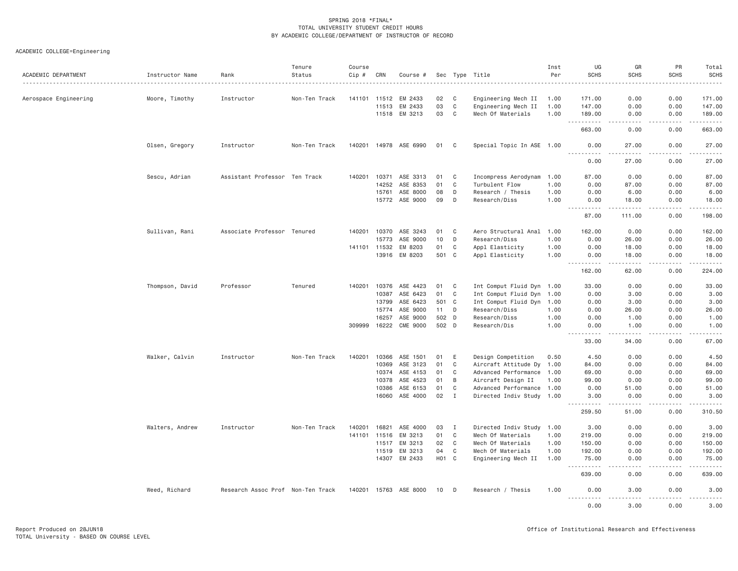| ACADEMIC DEPARTMENT   | Instructor Name | Rank                              | Tenure<br>Status | Course<br>Cip #        | CRN            | Course #                 |                   |                   | Sec Type Title                                         | Inst<br>Per | UG<br><b>SCHS</b>                                                                  | GR<br><b>SCHS</b>                          | PR<br><b>SCHS</b> | Total<br><b>SCHS</b><br>. |
|-----------------------|-----------------|-----------------------------------|------------------|------------------------|----------------|--------------------------|-------------------|-------------------|--------------------------------------------------------|-------------|------------------------------------------------------------------------------------|--------------------------------------------|-------------------|---------------------------|
| Aerospace Engineering | Moore, Timothy  | Instructor                        | Non-Ten Track    |                        |                | 141101 11512 EM 2433     | 02                | C                 | Engineering Mech II                                    | 1.00        | 171.00                                                                             | 0.00                                       | 0.00              | 171.00                    |
|                       |                 |                                   |                  |                        | 11513          | EM 2433                  | 03                | $\mathbf C$       | Engineering Mech II                                    | 1.00        | 147.00                                                                             | 0.00                                       | 0.00              | 147.00                    |
|                       |                 |                                   |                  |                        |                | 11518 EM 3213            | 03                | C                 | Mech Of Materials                                      | 1.00        | 189.00                                                                             | 0.00                                       | 0.00              | 189.00                    |
|                       |                 |                                   |                  |                        |                |                          |                   |                   |                                                        |             | <b><i><u>.</u></i></b><br>$\sim$ $\sim$ $\sim$<br>663.00                           | .<br>0.00                                  | .<br>0.00         | .<br>663.00               |
|                       | Olsen, Gregory  | Instructor                        | Non-Ten Track    |                        |                | 140201  14978  ASE  6990 | 01                | C <sub>1</sub>    | Special Topic In ASE 1.00                              |             | 0.00<br>.                                                                          | 27.00                                      | 0.00              | 27.00                     |
|                       |                 |                                   |                  |                        |                |                          |                   |                   |                                                        |             | 0.00                                                                               | 27.00                                      | 0.00              | 27.00                     |
|                       | Sescu, Adrian   | Assistant Professor Ten Track     |                  |                        | 140201 10371   | ASE 3313                 | 01                | C                 | Incompress Aerodynam                                   | 1.00        | 87.00                                                                              | 0.00                                       | 0.00              | 87.00                     |
|                       |                 |                                   |                  |                        | 14252          | ASE 8353                 | 01                | $\mathbf C$       | Turbulent Flow                                         | 1.00        | 0.00                                                                               | 87.00                                      | 0.00              | 87.00                     |
|                       |                 |                                   |                  |                        | 15761          | ASE 8000                 | 08                | D                 | Research / Thesis                                      | 1.00        | 0.00                                                                               | 6.00                                       | 0.00              | 6.00                      |
|                       |                 |                                   |                  |                        |                | 15772 ASE 9000           | 09                | D                 | Research/Diss                                          | 1.00        | 0.00<br>2.2.2.2.2                                                                  | 18.00<br>.                                 | 0.00<br>.         | 18.00<br>2.2.2.2.2.4      |
|                       |                 |                                   |                  |                        |                |                          |                   |                   |                                                        |             | 87.00                                                                              | 111.00                                     | 0.00              | 198.00                    |
|                       | Sullivan, Rani  | Associate Professor Tenured       |                  | 140201                 | 10370          | ASE 3243                 | 01                | C                 | Aero Structural Anal                                   | 1.00        | 162.00                                                                             | 0.00                                       | 0.00              | 162.00                    |
|                       |                 |                                   |                  |                        | 15773          | ASE 9000                 | 10                | D                 | Research/Diss                                          | 1.00        | 0.00                                                                               | 26.00                                      | 0.00              | 26.00                     |
|                       |                 |                                   |                  | 141101 11532           |                | EM 8203                  | 01                | $\mathbf C$       | Appl Elasticity                                        | 1.00        | 0.00                                                                               | 18.00                                      | 0.00              | 18.00                     |
|                       |                 |                                   |                  |                        | 13916          | EM 8203                  | 501 C             |                   | Appl Elasticity                                        | 1.00        | 0.00<br>$\omega_{\rm c}$ and $\omega_{\rm c}$<br>$\omega = \omega \omega + \omega$ | 18.00<br>.                                 | 0.00<br>.         | 18.00<br>.                |
|                       |                 |                                   |                  |                        |                |                          |                   |                   |                                                        |             | 162.00                                                                             | 62.00                                      | 0.00              | 224.00                    |
|                       | Thompson, David | Professor                         | Tenured          |                        |                | 140201 10376 ASE 4423    | 01                | $\mathbf{C}$      | Int Comput Fluid Dyn 1.00                              |             | 33.00                                                                              | 0.00                                       | 0.00              | 33.00                     |
|                       |                 |                                   |                  |                        | 10387          | ASE 6423                 | 01                | C                 | Int Comput Fluid Dyn                                   | 1.00        | 0.00                                                                               | 3.00                                       | 0.00              | 3.00                      |
|                       |                 |                                   |                  |                        | 13799          | ASE 6423                 | 501 C             |                   | Int Comput Fluid Dyn 1.00                              |             | 0.00                                                                               | 3.00                                       | 0.00              | 3.00                      |
|                       |                 |                                   |                  |                        | 15774          | ASE 9000                 | 11                | D                 | Research/Diss                                          | 1.00        | 0.00                                                                               | 26.00                                      | 0.00              | 26.00                     |
|                       |                 |                                   |                  |                        | 16257          | ASE 9000                 | 502               | D                 | Research/Diss                                          | 1.00        | 0.00                                                                               | 1.00                                       | 0.00              | 1.00                      |
|                       |                 |                                   |                  | 309999                 | 16222          | CME 9000                 | 502 D             |                   | Research/Dis                                           | 1.00        | 0.00<br>.<br>.                                                                     | 1.00<br>$\sim$ $\sim$ $\sim$ $\sim$ $\sim$ | 0.00              | 1.00<br>المتمام           |
|                       |                 |                                   |                  |                        |                |                          |                   |                   |                                                        |             | 33.00                                                                              | 34.00                                      | 0.00              | 67.00                     |
|                       | Walker, Calvin  | Instructor                        | Non-Ten Track    | 140201                 | 10366          | ASE 1501                 | 01                | E                 | Design Competition                                     | 0.50        | 4.50                                                                               | 0.00                                       | 0.00              | 4.50                      |
|                       |                 |                                   |                  |                        | 10369          | ASE 3123                 | 01                | $\mathbf C$       | Aircraft Attitude Dy 1.00                              |             | 84.00                                                                              | 0.00                                       | 0.00              | 84.00                     |
|                       |                 |                                   |                  |                        |                | 10374 ASE 4153           | 01                | C                 | Advanced Performance 1.00                              |             | 69.00                                                                              | 0.00                                       | 0.00              | 69.00                     |
|                       |                 |                                   |                  |                        | 10378          | ASE 4523                 | 01                | B                 | Aircraft Design II                                     | 1.00        | 99.00                                                                              | 0.00                                       | 0.00              | 99.00                     |
|                       |                 |                                   |                  |                        | 10386<br>16060 | ASE 6153<br>ASE 4000     | 01<br>02          | C<br>$\mathbf{I}$ | Advanced Performance 1.00<br>Directed Indiv Study 1.00 |             | 0.00<br>3,00                                                                       | 51.00<br>0.00                              | 0.00<br>0.00      | 51.00<br>3.00             |
|                       |                 |                                   |                  |                        |                |                          |                   |                   |                                                        |             | $- - - - -$<br>259.50                                                              | 51.00                                      | 0.00              | 310.50                    |
|                       |                 |                                   | Non-Ten Track    |                        |                | ASE 4000                 |                   | $\mathbf I$       |                                                        |             |                                                                                    |                                            |                   |                           |
|                       | Walters, Andrew | Instructor                        |                  | 140201<br>141101 11516 | 16821          | EM 3213                  | 03<br>01          | $\mathbf C$       | Directed Indiv Study 1.00<br>Mech Of Materials         | 1.00        | 3.00<br>219.00                                                                     | 0.00<br>0.00                               | 0.00<br>0.00      | 3.00<br>219.00            |
|                       |                 |                                   |                  |                        | 11517          | EM 3213                  | 02                | $\mathbf C$       | Mech Of Materials                                      | 1.00        | 150.00                                                                             | 0.00                                       | 0.00              | 150.00                    |
|                       |                 |                                   |                  |                        | 11519          | EM 3213                  | 04                | C                 | Mech Of Materials                                      | 1.00        | 192.00                                                                             | 0.00                                       | 0.00              | 192.00                    |
|                       |                 |                                   |                  |                        |                | 14307 EM 2433            | H <sub>01</sub> C |                   | Engineering Mech II                                    | 1.00        | 75.00                                                                              | 0.00                                       | 0.00              | 75.00                     |
|                       |                 |                                   |                  |                        |                |                          |                   |                   |                                                        |             | $- - - - -$<br>639.00                                                              | .<br>0.00                                  | .<br>0.00         | $- - - - - -$<br>639.00   |
|                       | Weed, Richard   | Research Assoc Prof Non-Ten Track |                  |                        |                | 140201 15763 ASE 8000    | 10 <sup>1</sup>   | D                 | Research / Thesis                                      | 1.00        | 0.00<br>.                                                                          | 3,00<br>.                                  | 0.00<br>.         | 3.00<br>.                 |
|                       |                 |                                   |                  |                        |                |                          |                   |                   |                                                        |             | 0.00                                                                               | 3,00                                       | 0.00              | 3.00                      |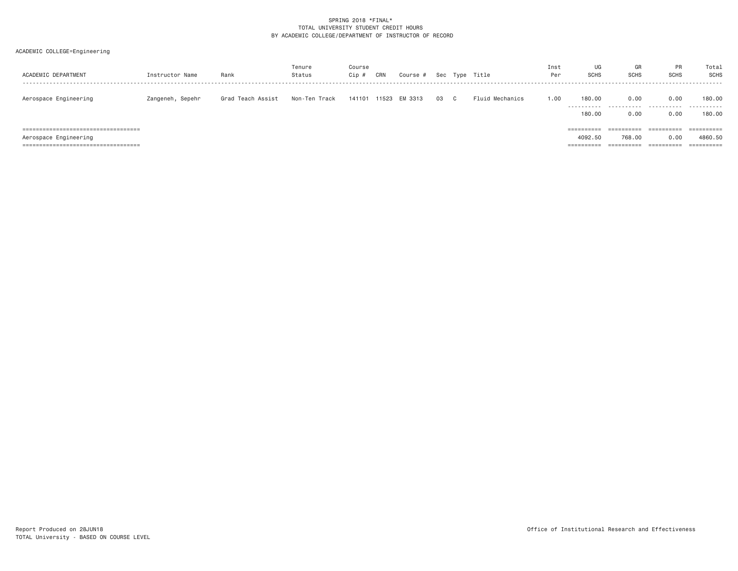| ACADEMIC DEPARTMENT                                             | Instructor Name  | Rank              | Tenure<br>Status | Course<br>$Cip$ # | CRN   | Course # | Sec | Type Title      | Inst<br>Per | UG<br>SCHS            | GR<br>SCHS           | PR<br><b>SCHS</b>             | Total<br>SCHS |
|-----------------------------------------------------------------|------------------|-------------------|------------------|-------------------|-------|----------|-----|-----------------|-------------|-----------------------|----------------------|-------------------------------|---------------|
| Aerospace Engineering                                           | Zangeneh, Sepehr | Grad Teach Assist | Non-Ten Track    | 141101            | 11523 | EM 3313  | 03  | Fluid Mechanics | 1.00        | 180.00<br>----------- | 0.00<br>.            | 0.00<br>.                     | 180.00<br>.   |
| ======================================                          |                  |                   |                  |                   |       |          |     |                 |             | 180.00                | 0.00<br>==========   | 0.00<br>==========            | 180,00        |
| Aerospace Engineering<br>====================================== |                  |                   |                  |                   |       |          |     |                 |             | 4092.50               | 768.00<br>========== | 0.00<br>$=$ = = = = = = = = = | 4860.50       |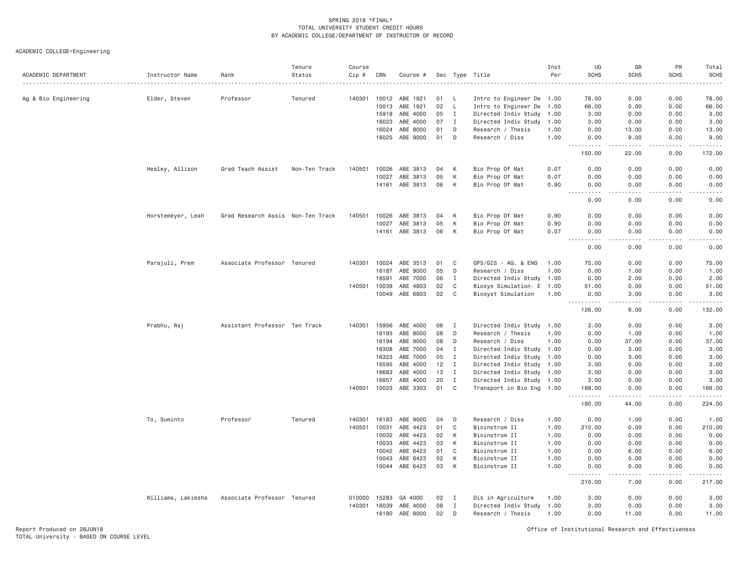| ACADEMIC DEPARTMENT  | Instructor Name    | Rank                              | Tenure<br>Status | Course<br>Cip # | CRN            | Course #             |          |                              | Sec Type Title                                         | Inst<br>Per | UG<br><b>SCHS</b>                                                                                                                                                                                                                                                                                                                                                                                                         | GR<br><b>SCHS</b><br>.                                                                                                                                        | PR<br>SCHS    | Total<br><b>SCHS</b><br>.                                                                                                                                                                 |
|----------------------|--------------------|-----------------------------------|------------------|-----------------|----------------|----------------------|----------|------------------------------|--------------------------------------------------------|-------------|---------------------------------------------------------------------------------------------------------------------------------------------------------------------------------------------------------------------------------------------------------------------------------------------------------------------------------------------------------------------------------------------------------------------------|---------------------------------------------------------------------------------------------------------------------------------------------------------------|---------------|-------------------------------------------------------------------------------------------------------------------------------------------------------------------------------------------|
| Ag & Bio Engineering | Elder, Steven      | Professor                         | Tenured          | 140301          | 10012          | ABE 1921             | 01       | L.                           | Intro to Engineer De 1.00                              |             | 78.00                                                                                                                                                                                                                                                                                                                                                                                                                     | 0.00                                                                                                                                                          | 0.00          | 78.00                                                                                                                                                                                     |
|                      |                    |                                   |                  |                 | 10013          | ABE 1921             | 02       | L.                           | Intro to Engineer De 1.00                              |             | 66.00                                                                                                                                                                                                                                                                                                                                                                                                                     | 0.00                                                                                                                                                          | 0.00          | 66.00                                                                                                                                                                                     |
|                      |                    |                                   |                  |                 | 15918          | ABE 4000             | 05       | $\mathbf{I}$                 | Directed Indiv Study 1.00                              |             | 3.00                                                                                                                                                                                                                                                                                                                                                                                                                      | 0.00                                                                                                                                                          | 0.00          | 3.00                                                                                                                                                                                      |
|                      |                    |                                   |                  |                 | 16023          | ABE 4000             | 07       | $\mathbf{I}$                 | Directed Indiv Study                                   | 1.00        | 3.00                                                                                                                                                                                                                                                                                                                                                                                                                      | 0.00                                                                                                                                                          | 0.00          | 3.00                                                                                                                                                                                      |
|                      |                    |                                   |                  |                 | 16024          | ABE 8000             | 01       | D                            | Research / Thesis                                      | 1.00        | 0.00                                                                                                                                                                                                                                                                                                                                                                                                                      | 13.00                                                                                                                                                         | 0.00          | 13.00                                                                                                                                                                                     |
|                      |                    |                                   |                  |                 |                | 16025 ABE 9000       | 01       | D                            | Research / Diss                                        | 1.00        | 0.00                                                                                                                                                                                                                                                                                                                                                                                                                      | 9.00                                                                                                                                                          | 0.00          | 9.00                                                                                                                                                                                      |
|                      |                    |                                   |                  |                 |                |                      |          |                              |                                                        |             | $- - - - - - -$<br>$\frac{1}{2} \frac{1}{2} \frac{1}{2} \frac{1}{2} \frac{1}{2} \frac{1}{2} \frac{1}{2} \frac{1}{2} \frac{1}{2} \frac{1}{2} \frac{1}{2} \frac{1}{2} \frac{1}{2} \frac{1}{2} \frac{1}{2} \frac{1}{2} \frac{1}{2} \frac{1}{2} \frac{1}{2} \frac{1}{2} \frac{1}{2} \frac{1}{2} \frac{1}{2} \frac{1}{2} \frac{1}{2} \frac{1}{2} \frac{1}{2} \frac{1}{2} \frac{1}{2} \frac{1}{2} \frac{1}{2} \frac{$<br>150.00 | $- - - - -$<br>22.00                                                                                                                                          | .<br>0.00     | .<br>172.00                                                                                                                                                                               |
|                      | Healey, Allison    | Grad Teach Assist                 | Non-Ten Track    | 140501          | 10026          | ABE 3813             | 04       | К                            | Bio Prop Of Mat                                        | 0.07        | 0.00                                                                                                                                                                                                                                                                                                                                                                                                                      | 0.00                                                                                                                                                          | 0.00          | 0.00                                                                                                                                                                                      |
|                      |                    |                                   |                  |                 | 10027          | ABE 3813             | 05       | K                            | Bio Prop Of Mat                                        | 0.07        | 0.00                                                                                                                                                                                                                                                                                                                                                                                                                      | 0.00                                                                                                                                                          | 0.00          | 0.00                                                                                                                                                                                      |
|                      |                    |                                   |                  |                 | 14161          | ABE 3813             | 06       | K                            | Bio Prop Of Mat                                        | 0.90        | 0.00<br>$\sim$ $\sim$ $\sim$<br>.                                                                                                                                                                                                                                                                                                                                                                                         | 0.00<br>.                                                                                                                                                     | 0.00<br>.     | 0.00<br>-----                                                                                                                                                                             |
|                      |                    |                                   |                  |                 |                |                      |          |                              |                                                        |             | 0.00                                                                                                                                                                                                                                                                                                                                                                                                                      | 0.00                                                                                                                                                          | 0.00          | 0.00                                                                                                                                                                                      |
|                      | Horstemeyer, Leah  | Grad Research Assis Non-Ten Track |                  | 140501          | 10026          | ABE 3813             | 04       | К                            | Bio Prop Of Mat                                        | 0.90        | 0.00                                                                                                                                                                                                                                                                                                                                                                                                                      | 0.00                                                                                                                                                          | 0.00          | 0.00                                                                                                                                                                                      |
|                      |                    |                                   |                  |                 | 10027          | ABE 3813             | 05       | K                            | Bio Prop Of Mat                                        | 0.90        | 0.00                                                                                                                                                                                                                                                                                                                                                                                                                      | 0.00                                                                                                                                                          | 0.00          | 0.00                                                                                                                                                                                      |
|                      |                    |                                   |                  |                 | 14161          | ABE 3813             | 06       | K                            | Bio Prop Of Mat                                        | 0.07        | 0.00                                                                                                                                                                                                                                                                                                                                                                                                                      | 0.00                                                                                                                                                          | 0.00          | 0.00<br>----                                                                                                                                                                              |
|                      |                    |                                   |                  |                 |                |                      |          |                              |                                                        |             | 0.00                                                                                                                                                                                                                                                                                                                                                                                                                      | 0.00                                                                                                                                                          | 0.00          | 0.00                                                                                                                                                                                      |
|                      | Parajuli, Prem     | Associate Professor Tenured       |                  | 140301          | 10024          | ABE 3513             | 01       | C                            | GPS/GIS - AG. & ENG                                    | 1.00        | 75.00                                                                                                                                                                                                                                                                                                                                                                                                                     | 0.00                                                                                                                                                          | 0.00          | 75.00                                                                                                                                                                                     |
|                      |                    |                                   |                  |                 | 16187          | ABE 9000             | 05       | D                            | Research / Diss                                        | 1.00        | 0.00                                                                                                                                                                                                                                                                                                                                                                                                                      | 1.00                                                                                                                                                          | 0.00          | 1.00                                                                                                                                                                                      |
|                      |                    |                                   |                  | 140501          | 16591<br>10038 | ABE 7000<br>ABE 4803 | 06<br>02 | $\mathbf{I}$<br>C            | Directed Indiv Study 1.00<br>Biosys Simulation- E 1.00 |             | 0.00<br>51.00                                                                                                                                                                                                                                                                                                                                                                                                             | 2.00<br>0.00                                                                                                                                                  | 0.00<br>0.00  | 2.00<br>51.00                                                                                                                                                                             |
|                      |                    |                                   |                  |                 | 10049          | ABE 6803             | 02       | C                            | Biosyst Simulation                                     | 1.00        | 0.00                                                                                                                                                                                                                                                                                                                                                                                                                      | 3,00                                                                                                                                                          | 0.00          | 3.00                                                                                                                                                                                      |
|                      |                    |                                   |                  |                 |                |                      |          |                              |                                                        |             | .<br>126.00                                                                                                                                                                                                                                                                                                                                                                                                               | .<br>6.00                                                                                                                                                     | .<br>0.00     | $\frac{1}{2} \left( \frac{1}{2} \right) \left( \frac{1}{2} \right) \left( \frac{1}{2} \right) \left( \frac{1}{2} \right) \left( \frac{1}{2} \right) \left( \frac{1}{2} \right)$<br>132.00 |
|                      | Prabhu, Raj        | Assistant Professor Ten Track     |                  | 140301          | 15956          | ABE 4000             | 06       | I                            | Directed Indiv Study                                   | 1.00        | 3.00                                                                                                                                                                                                                                                                                                                                                                                                                      | 0.00                                                                                                                                                          | 0.00          | 3.00                                                                                                                                                                                      |
|                      |                    |                                   |                  |                 | 16193          | ABE 8000             | 08       | D                            | Research / Thesis                                      | 1.00        | 0.00                                                                                                                                                                                                                                                                                                                                                                                                                      | 1.00                                                                                                                                                          | 0.00          | 1.00                                                                                                                                                                                      |
|                      |                    |                                   |                  |                 | 16194          | ABE 9000             | 08       | D                            | Research / Diss                                        | 1,00        | 0.00                                                                                                                                                                                                                                                                                                                                                                                                                      | 37.00                                                                                                                                                         | 0.00          | 37.00                                                                                                                                                                                     |
|                      |                    |                                   |                  |                 | 16308          | ABE 7000             | 04       | $\mathbf{I}$                 | Directed Indiv Study 1.00                              |             | 0.00                                                                                                                                                                                                                                                                                                                                                                                                                      | 3.00                                                                                                                                                          | 0.00          | 3.00                                                                                                                                                                                      |
|                      |                    |                                   |                  |                 | 16323          | ABE 7000             | 05       | $\mathbf{I}$                 | Directed Indiv Study 1.00                              |             | 0.00                                                                                                                                                                                                                                                                                                                                                                                                                      | 3.00                                                                                                                                                          | 0.00          | 3.00                                                                                                                                                                                      |
|                      |                    |                                   |                  |                 | 16595          | ABE 4000             | 12       | $\mathbf{I}$                 | Directed Indiv Study 1.00                              |             | 3.00                                                                                                                                                                                                                                                                                                                                                                                                                      | 0.00                                                                                                                                                          | 0.00          | 3.00                                                                                                                                                                                      |
|                      |                    |                                   |                  |                 | 16683          | ABE 4000             | 13       | I                            | Directed Indiv Study 1.00                              |             | 3.00                                                                                                                                                                                                                                                                                                                                                                                                                      | 0.00                                                                                                                                                          | 0.00          | 3.00                                                                                                                                                                                      |
|                      |                    |                                   |                  | 140501          | 16857<br>10023 | ABE 4000<br>ABE 3303 | 20<br>01 | $\mathbf{I}$<br>$\mathsf{C}$ | Directed Indiv Study 1.00<br>Transport in Bio Eng 1.00 |             | 3.00<br>168.00                                                                                                                                                                                                                                                                                                                                                                                                            | 0.00<br>0.00                                                                                                                                                  | 0.00<br>0.00  | 3.00<br>168.00                                                                                                                                                                            |
|                      |                    |                                   |                  |                 |                |                      |          |                              |                                                        |             | .<br>180.00                                                                                                                                                                                                                                                                                                                                                                                                               | $\frac{1}{2} \left( \frac{1}{2} \right) \left( \frac{1}{2} \right) \left( \frac{1}{2} \right) \left( \frac{1}{2} \right) \left( \frac{1}{2} \right)$<br>44.00 | .<br>0.00     | .<br>224.00                                                                                                                                                                               |
|                      | To, Suminto        | Professor                         | Tenured          | 140301          | 16183          | ABE 9000             | 04       | D                            | Research / Diss                                        | 1.00        | 0.00                                                                                                                                                                                                                                                                                                                                                                                                                      | 1.00                                                                                                                                                          | 0.00          | 1.00                                                                                                                                                                                      |
|                      |                    |                                   |                  | 140501          | 10031          | ABE 4423             | 01       | $\mathtt{C}$                 | Bioinstrum II                                          | 1.00        | 210.00                                                                                                                                                                                                                                                                                                                                                                                                                    | 0.00                                                                                                                                                          | 0.00          | 210.00                                                                                                                                                                                    |
|                      |                    |                                   |                  |                 | 10032          | ABE 4423             | 02       | К                            | Bioinstrum II                                          | 1.00        | 0.00                                                                                                                                                                                                                                                                                                                                                                                                                      | 0.00                                                                                                                                                          | 0.00          | 0.00                                                                                                                                                                                      |
|                      |                    |                                   |                  |                 | 10033          | ABE 4423             | 03       | К                            | Bioinstrum II                                          | 1.00        | 0.00                                                                                                                                                                                                                                                                                                                                                                                                                      | 0.00                                                                                                                                                          | 0.00          | 0.00                                                                                                                                                                                      |
|                      |                    |                                   |                  |                 | 10042          | ABE 6423             | 01       | C                            | Bioinstrum II                                          | 1.00        | 0.00                                                                                                                                                                                                                                                                                                                                                                                                                      | 6.00                                                                                                                                                          | 0.00          | 6.00                                                                                                                                                                                      |
|                      |                    |                                   |                  |                 | 10043          | ABE 6423             | 02       | K                            | Bioinstrum II                                          | 1.00        | 0.00                                                                                                                                                                                                                                                                                                                                                                                                                      | 0.00                                                                                                                                                          | 0.00          | 0.00                                                                                                                                                                                      |
|                      |                    |                                   |                  |                 |                | 10044 ABE 6423       | 03       | K                            | Bioinstrum II                                          | 1,00        | 0.00<br>-----<br>$  -$                                                                                                                                                                                                                                                                                                                                                                                                    | 0.00<br>.                                                                                                                                                     | 0.00<br>----- | 0.00<br>.                                                                                                                                                                                 |
|                      |                    |                                   |                  |                 |                |                      |          |                              |                                                        |             | 210.00                                                                                                                                                                                                                                                                                                                                                                                                                    | 7.00                                                                                                                                                          | 0.00          | 217.00                                                                                                                                                                                    |
|                      | Williams, Lakiesha | Associate Professor Tenured       |                  | 010000          | 15283          | GA 4000              | 02       | I                            | Dis in Agriculture                                     | 1.00        | 3.00                                                                                                                                                                                                                                                                                                                                                                                                                      | 0.00                                                                                                                                                          | 0.00          | 3.00                                                                                                                                                                                      |
|                      |                    |                                   |                  | 140301          | 16039          | ABE 4000             | 08       | Ι.                           | Directed Indiv Study                                   | 1.00        | 3.00                                                                                                                                                                                                                                                                                                                                                                                                                      | 0.00                                                                                                                                                          | 0.00          | 3.00                                                                                                                                                                                      |
|                      |                    |                                   |                  |                 | 16180          | ABE 8000             | 02       | D                            | Research / Thesis                                      | 1,00        | 0.00                                                                                                                                                                                                                                                                                                                                                                                                                      | 11.00                                                                                                                                                         | 0.00          | 11.00                                                                                                                                                                                     |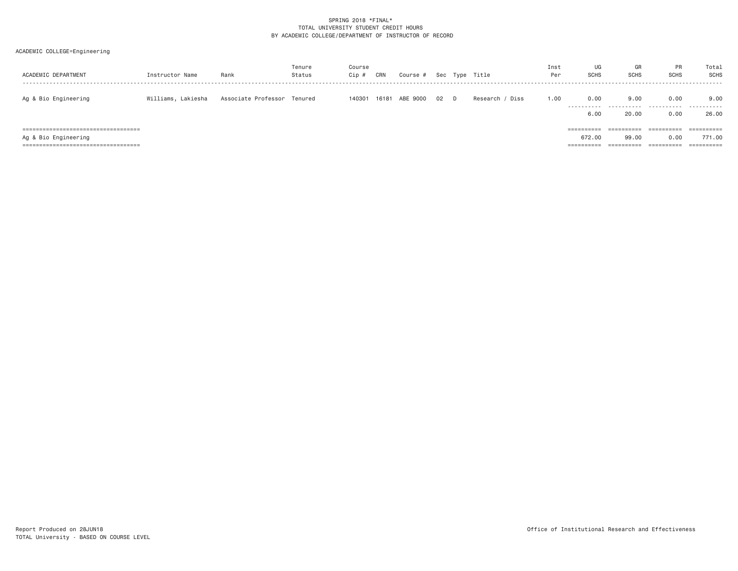| ACADEMIC DEPARTMENT                                                                                      | Instructor Name    | Rank                        | Tenure<br>Status | Course<br>Cip # | CRN   | Course # |    | Sec Type Title  | Inst<br>Per | UG<br><b>SCHS</b>    | GR<br><b>SCHS</b>                 | PR<br><b>SCHS</b>                | Total<br><b>SCHS</b><br>------ |
|----------------------------------------------------------------------------------------------------------|--------------------|-----------------------------|------------------|-----------------|-------|----------|----|-----------------|-------------|----------------------|-----------------------------------|----------------------------------|--------------------------------|
| Ag & Bio Engineering                                                                                     | Williams, Lakiesha | Associate Professor Tenured |                  | 140301          | 16181 | ABE 9000 | 02 | Research / Diss | 1,00        | 0.00<br>.<br>6.00    | 9.00<br>.<br>20.00                | 0.00<br>.<br>0.00                | 9,00<br>.<br>26.00             |
| ======================================<br>Ag & Bio Engineering<br>====================================== |                    |                             |                  |                 |       |          |    |                 |             | 672.00<br>========== | ==========<br>99,00<br>========== | ==========<br>0.00<br>========== | 771.00<br>==========           |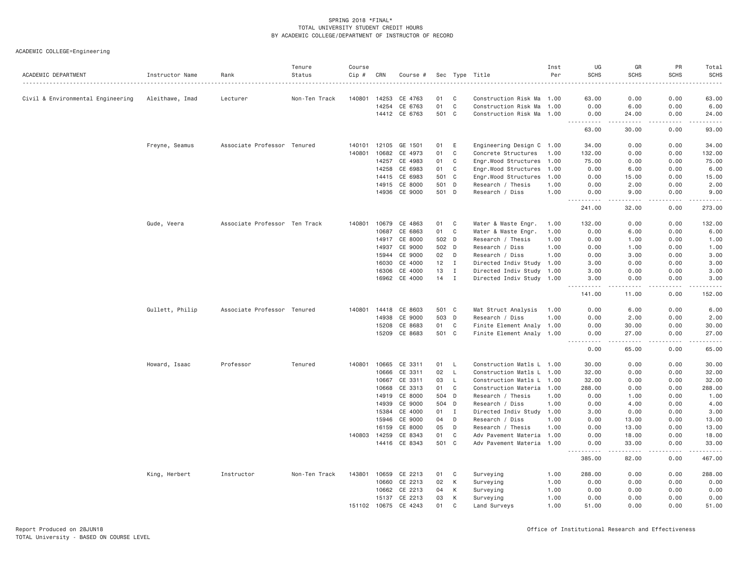| ACADEMIC DEPARTMENT               | Instructor Name | Rank                          | Tenure<br>Status | Course<br>Cip # | CRN          | Course #             |       |              | Sec Type Title            | Inst<br>Per | UG<br><b>SCHS</b>                                           | GR<br><b>SCHS</b>  | PR<br><b>SCHS</b> | Total<br><b>SCHS</b><br>. |
|-----------------------------------|-----------------|-------------------------------|------------------|-----------------|--------------|----------------------|-------|--------------|---------------------------|-------------|-------------------------------------------------------------|--------------------|-------------------|---------------------------|
| Civil & Environmental Engineering | Aleithawe, Imad | Lecturer                      | Non-Ten Track    | 140801          | 14253        | CE 4763              | 01    | C            | Construction Risk Ma 1.00 |             | 63.00                                                       | 0.00               | 0.00              | 63.00                     |
|                                   |                 |                               |                  |                 | 14254        | CE 6763              | 01    | $\mathbf C$  | Construction Risk Ma      | 1.00        | 0.00                                                        | 6.00               | 0.00              | 6.00                      |
|                                   |                 |                               |                  |                 |              | 14412 CE 6763        | 501   | $\mathbf{C}$ | Construction Risk Ma      | 1.00        | 0.00                                                        | 24.00              | 0.00              | 24.00                     |
|                                   |                 |                               |                  |                 |              |                      |       |              |                           |             | .<br>63.00                                                  | .<br>30.00         | .<br>0.00         | .<br>93.00                |
|                                   | Freyne, Seamus  | Associate Professor Tenured   |                  | 140101          | 12105        | GE 1501              | 01    | E            | Engineering Design C 1.00 |             | 34.00                                                       | 0.00               | 0.00              | 34.00                     |
|                                   |                 |                               |                  | 140801          | 10682        | CE 4973              | 01    | $\mathbf C$  | Concrete Structures       | 1.00        | 132.00                                                      | 0.00               | 0.00              | 132.00                    |
|                                   |                 |                               |                  |                 | 14257        | CE 4983              | 01    | $\mathbf C$  | Engr.Wood Structures 1.00 |             | 75.00                                                       | 0.00               | 0.00              | 75.00                     |
|                                   |                 |                               |                  |                 | 14258        | CE 6983              | 01    | C            | Engr.Wood Structures      | 1.00        | 0.00                                                        | 6.00               | 0.00              | 6.00                      |
|                                   |                 |                               |                  |                 | 14415        | CE 6983              | 501   | $\mathbf{C}$ | Engr.Wood Structures      | 1.00        | 0.00                                                        | 15.00              | 0.00              | 15.00                     |
|                                   |                 |                               |                  |                 | 14915        | CE 8000              | 501 D |              | Research / Thesis         | 1.00        | 0.00                                                        | 2.00               | 0.00              | 2.00                      |
|                                   |                 |                               |                  |                 | 14936        | CE 9000              | 501 D |              | Research / Diss           | 1.00        | 0.00<br>. <b>.</b>                                          | 9.00<br><u>.</u>   | 0.00<br>.         | 9.00<br>.                 |
|                                   |                 |                               |                  |                 |              |                      |       |              |                           |             | 241.00                                                      | 32.00              | 0.00              | 273.00                    |
|                                   | Gude, Veera     | Associate Professor Ten Track |                  | 140801          | 10679        | CE 4863              | 01    | C            | Water & Waste Engr.       | 1.00        | 132.00                                                      | 0.00               | 0.00              | 132.00                    |
|                                   |                 |                               |                  |                 | 10687        | CE 6863              | 01    | C            | Water & Waste Engr.       | 1.00        | 0.00                                                        | 6.00               | 0.00              | 6.00                      |
|                                   |                 |                               |                  |                 | 14917        | CE 8000              | 502 D |              | Research / Thesis         | 1.00        | 0.00                                                        | 1.00               | 0.00              | 1.00                      |
|                                   |                 |                               |                  |                 | 14937        | CE 9000              | 502   | D            | Research / Diss           | 1.00        | 0.00                                                        | 1.00               | 0.00              | 1.00                      |
|                                   |                 |                               |                  |                 | 15944        | CE 9000              | 02    | D            | Research / Diss           | 1,00        | 0.00                                                        | 3.00               | 0.00              | 3.00                      |
|                                   |                 |                               |                  |                 | 16030        | CE 4000              | 12    | $\mathbf{I}$ | Directed Indiv Study 1.00 |             | 3,00                                                        | 0.00               | 0.00              | 3.00                      |
|                                   |                 |                               |                  |                 | 16306        | CE 4000              | 13    | $\mathbf{I}$ | Directed Indiv Study 1.00 |             | 3.00                                                        | 0.00               | 0.00              | 3.00                      |
|                                   |                 |                               |                  |                 | 16962        | CE 4000              | 14    | $\mathbf{I}$ | Directed Indiv Study 1.00 |             | 3.00<br>$\sim$ $\sim$ $\sim$ $\sim$<br>$\sim$ $\sim$ $\sim$ | 0.00<br>.          | 0.00              | 3.00<br>.                 |
|                                   |                 |                               |                  |                 |              |                      |       |              |                           |             | 141.00                                                      | 11.00              | 0.00              | 152.00                    |
|                                   | Gullett, Philip | Associate Professor Tenured   |                  |                 |              | 140801 14418 CE 8603 | 501 C |              | Mat Struct Analysis       | 1.00        | 0.00                                                        | 6.00               | 0.00              | 6.00                      |
|                                   |                 |                               |                  |                 | 14938        | CE 9000              | 503 D |              | Research / Diss           | 1.00        | 0.00                                                        | 2.00               | 0.00              | 2.00                      |
|                                   |                 |                               |                  |                 | 15208        | CE 8683              | 01    | C            | Finite Element Analy 1.00 |             | 0.00                                                        | 30.00              | 0.00              | 30.00                     |
|                                   |                 |                               |                  |                 |              | 15209 CE 8683        | 501 C |              | Finite Element Analy 1.00 |             | 0.00<br>.                                                   | 27.00<br>د د د د د | 0.00              | 27.00<br>.                |
|                                   |                 |                               |                  |                 |              |                      |       |              |                           |             | 0.00                                                        | 65.00              | 0.00              | 65.00                     |
|                                   | Howard, Isaac   | Professor                     | Tenured          | 140801          | 10665        | CE 3311              | 01    | - L          | Construction Matls L 1.00 |             | 30.00                                                       | 0.00               | 0.00              | 30.00                     |
|                                   |                 |                               |                  |                 | 10666        | CE 3311              | 02    | $\mathsf{L}$ | Construction Matls L 1.00 |             | 32.00                                                       | 0.00               | 0.00              | 32.00                     |
|                                   |                 |                               |                  |                 | 10667        | CE 3311              | 03    | L.           | Construction Matls L 1.00 |             | 32.00                                                       | 0.00               | 0.00              | 32.00                     |
|                                   |                 |                               |                  |                 | 10668        | CE 3313              | 01    | C            | Construction Materia 1.00 |             | 288.00                                                      | 0.00               | 0.00              | 288.00                    |
|                                   |                 |                               |                  |                 | 14919        | CE 8000              | 504 D |              | Research / Thesis         | 1.00        | 0.00                                                        | 1.00               | 0.00              | 1.00                      |
|                                   |                 |                               |                  |                 | 14939        | CE 9000              | 504   | D            | Research / Diss           | 1.00        | 0.00                                                        | 4.00               | 0.00              | 4.00                      |
|                                   |                 |                               |                  |                 | 15384        | CE 4000              | 01    | $\mathbf I$  | Directed Indiv Study 1.00 |             | 3.00                                                        | 0.00               | 0.00              | 3.00                      |
|                                   |                 |                               |                  |                 | 15946        | CE 9000              | 04    | D            | Research / Diss           | 1,00        | 0.00                                                        | 13.00              | 0.00              | 13.00                     |
|                                   |                 |                               |                  |                 | 16159        | CE 8000              | 05    | D            | Research / Thesis         | 1.00        | 0.00                                                        | 13.00              | 0.00              | 13.00                     |
|                                   |                 |                               |                  | 140803          | 14259        | CE 8343              | 01    | $\mathbf C$  | Adv Pavement Materia 1.00 |             | 0.00                                                        | 18.00              | 0.00              | 18.00                     |
|                                   |                 |                               |                  |                 |              | 14416 CE 8343        | 501 C |              | Adv Pavement Materia 1.00 |             | 0.00<br>الدامات بال                                         | 33.00<br>.         | 0.00<br>.         | 33.00<br>.                |
|                                   |                 |                               |                  |                 |              |                      |       |              |                           |             | 385.00                                                      | 82.00              | 0.00              | 467.00                    |
|                                   | King, Herbert   | Instructor                    | Non-Ten Track    | 143801          | 10659        | CE 2213              | 01    | C            | Surveying                 | 1.00        | 288.00                                                      | 0.00               | 0.00              | 288.00                    |
|                                   |                 |                               |                  |                 | 10660        | CE 2213              | 02    | К            | Surveying                 | 1.00        | 0.00                                                        | 0.00               | 0.00              | 0.00                      |
|                                   |                 |                               |                  |                 | 10662        | CE 2213              | 04    | К            | Surveying                 | 1.00        | 0.00                                                        | 0.00               | 0.00              | 0.00                      |
|                                   |                 |                               |                  |                 | 15137        | CE 2213              | 03    | K            | Surveying                 | 1.00        | 0.00                                                        | 0.00               | 0.00              | 0.00                      |
|                                   |                 |                               |                  |                 | 151102 10675 | CE 4243              | 01    | C            | Land Surveys              | 1.00        | 51.00                                                       | 0.00               | 0.00              | 51.00                     |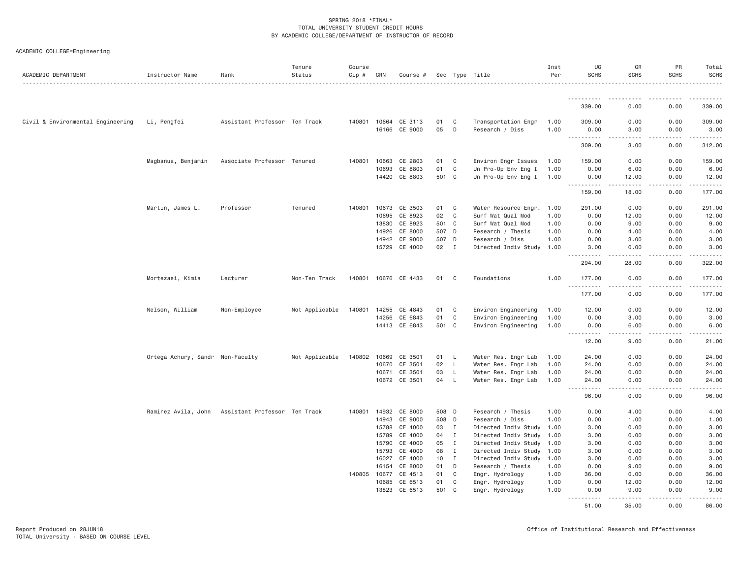| ACADEMIC DEPARTMENT               | Instructor Name                  | Rank                          | Tenure<br>Status | Course<br>Cip # | CRN            | Course #                 |               |                   | Sec Type Title                                 | Inst<br>Per  | UG<br><b>SCHS</b>            | GR<br><b>SCHS</b>                                                                                                                                             | PR<br><b>SCHS</b>                                                                                                                                            | Total<br><b>SCHS</b>  |
|-----------------------------------|----------------------------------|-------------------------------|------------------|-----------------|----------------|--------------------------|---------------|-------------------|------------------------------------------------|--------------|------------------------------|---------------------------------------------------------------------------------------------------------------------------------------------------------------|--------------------------------------------------------------------------------------------------------------------------------------------------------------|-----------------------|
|                                   |                                  |                               |                  |                 |                |                          |               |                   |                                                |              |                              |                                                                                                                                                               |                                                                                                                                                              |                       |
|                                   |                                  |                               |                  |                 |                |                          |               |                   |                                                |              | 339.00                       | .<br>0.00                                                                                                                                                     | 0.00                                                                                                                                                         | .<br>339.00           |
| Civil & Environmental Engineering | Li, Pengfei                      | Assistant Professor Ten Track |                  |                 | 140801 10664   | CE 3113                  | 01            | C                 | Transportation Engr                            | 1.00         | 309.00                       | 0.00                                                                                                                                                          | 0.00                                                                                                                                                         | 309.00                |
|                                   |                                  |                               |                  |                 | 16166          | CE 9000                  | 05            | D                 | Research / Diss                                | 1.00         | 0.00                         | 3.00                                                                                                                                                          | 0.00                                                                                                                                                         | 3.00                  |
|                                   |                                  |                               |                  |                 |                |                          |               |                   |                                                |              | .<br>309.00                  | .<br>3.00                                                                                                                                                     | .<br>0.00                                                                                                                                                    | .<br>312.00           |
|                                   | Magbanua, Benjamin               | Associate Professor Tenured   |                  | 140801          | 10663          | CE 2803                  | 01            | C                 | Environ Engr Issues                            | 1.00         | 159.00                       | 0.00                                                                                                                                                          | 0.00                                                                                                                                                         | 159.00                |
|                                   |                                  |                               |                  |                 | 10693          | CE 8803                  | 01            | C                 | Un Pro-Op Env Eng I                            | 1.00         | 0.00                         | 6.00                                                                                                                                                          | 0.00                                                                                                                                                         | 6.00                  |
|                                   |                                  |                               |                  |                 | 14420          | CE 8803                  | 501 C         |                   | Un Pro-Op Env Eng I                            | 1.00         | 0.00                         | 12.00                                                                                                                                                         | 0.00                                                                                                                                                         | 12.00                 |
|                                   |                                  |                               |                  |                 |                |                          |               |                   |                                                |              | .<br>159.00                  | $\frac{1}{2} \left( \frac{1}{2} \right) \left( \frac{1}{2} \right) \left( \frac{1}{2} \right) \left( \frac{1}{2} \right) \left( \frac{1}{2} \right)$<br>18.00 | .<br>0.00                                                                                                                                                    | 2.2.2.2.2.4<br>177.00 |
|                                   |                                  |                               |                  |                 |                |                          |               |                   |                                                |              |                              |                                                                                                                                                               |                                                                                                                                                              |                       |
|                                   | Martin, James L.                 | Professor                     | Tenured          | 140801          | 10673          | CE 3503                  | 01            | C                 | Water Resource Engr.                           | 1.00         | 291.00                       | 0.00                                                                                                                                                          | 0.00                                                                                                                                                         | 291.00                |
|                                   |                                  |                               |                  |                 | 10695          | CE 8923                  | 02            | C                 | Surf Wat Qual Mod                              | 1.00         | 0.00                         | 12.00                                                                                                                                                         | 0.00                                                                                                                                                         | 12.00                 |
|                                   |                                  |                               |                  |                 | 13830          | CE 8923                  | 501 C         |                   | Surf Wat Qual Mod                              | 1.00         | 0.00                         | 9.00                                                                                                                                                          | 0.00                                                                                                                                                         | 9.00                  |
|                                   |                                  |                               |                  |                 | 14926          | CE 8000                  | 507 D         |                   | Research / Thesis                              | 1.00         | 0.00                         | 4.00                                                                                                                                                          | 0.00                                                                                                                                                         | 4.00                  |
|                                   |                                  |                               |                  |                 | 14942          | CE 9000<br>15729 CE 4000 | 507 D<br>02 I |                   | Research / Diss<br>Directed Indiv Study 1.00   | 1.00         | 0.00<br>3.00                 | 3.00<br>0.00                                                                                                                                                  | 0.00<br>0.00                                                                                                                                                 | 3.00<br>3.00          |
|                                   |                                  |                               |                  |                 |                |                          |               |                   |                                                |              |                              |                                                                                                                                                               |                                                                                                                                                              |                       |
|                                   |                                  |                               |                  |                 |                |                          |               |                   |                                                |              | 294.00                       | 28.00                                                                                                                                                         | 0.00                                                                                                                                                         | 322.00                |
|                                   | Mortezaei, Kimia                 | Lecturer                      | Non-Ten Track    | 140801          |                | 10676 CE 4433            | 01            | C                 | Foundations                                    | 1.00         | 177.00<br>.                  | 0.00<br>.                                                                                                                                                     | 0.00<br>$\frac{1}{2} \left( \frac{1}{2} \right) \left( \frac{1}{2} \right) \left( \frac{1}{2} \right) \left( \frac{1}{2} \right) \left( \frac{1}{2} \right)$ | 177.00<br>.           |
|                                   |                                  |                               |                  |                 |                |                          |               |                   |                                                |              | 177.00                       | 0.00                                                                                                                                                          | 0.00                                                                                                                                                         | 177.00                |
|                                   | Nelson, William                  | Non-Employee                  | Not Applicable   | 140801          | 14255          | CE 4843                  | 01            | C                 | Environ Engineering                            | 1.00         | 12.00                        | 0.00                                                                                                                                                          | 0.00                                                                                                                                                         | 12.00                 |
|                                   |                                  |                               |                  |                 | 14256          | CE 6843                  | 01            | C                 | Environ Engineering                            | 1.00         | 0.00                         | 3.00                                                                                                                                                          | 0.00                                                                                                                                                         | 3.00                  |
|                                   |                                  |                               |                  |                 |                | 14413 CE 6843            | 501 C         |                   | Environ Engineering                            | 1.00         | 0.00                         | 6.00                                                                                                                                                          | 0.00                                                                                                                                                         | 6.00                  |
|                                   |                                  |                               |                  |                 |                |                          |               |                   |                                                |              | . <u>.</u><br>$  -$<br>12.00 | .<br>9.00                                                                                                                                                     | .<br>0.00                                                                                                                                                    | .<br>21.00            |
|                                   |                                  |                               |                  |                 |                |                          |               |                   |                                                |              |                              |                                                                                                                                                               |                                                                                                                                                              |                       |
|                                   | Ortega Achury, Sandr Non-Faculty |                               | Not Applicable   | 140802          | 10669<br>10670 | CE 3501<br>CE 3501       | 01<br>02      | L.<br>L.          | Water Res. Engr Lab                            | 1.00<br>1.00 | 24.00<br>24.00               | 0.00<br>0.00                                                                                                                                                  | 0.00<br>0.00                                                                                                                                                 | 24.00<br>24.00        |
|                                   |                                  |                               |                  |                 | 10671          | CE 3501                  | 03            | L                 | Water Res. Engr Lab<br>Water Res. Engr Lab     | 1.00         | 24.00                        | 0.00                                                                                                                                                          | 0.00                                                                                                                                                         | 24.00                 |
|                                   |                                  |                               |                  |                 |                | 10672 CE 3501            | 04            | L.                | Water Res. Engr Lab                            | 1.00         | 24,00                        | 0.00                                                                                                                                                          | 0.00                                                                                                                                                         | 24.00                 |
|                                   |                                  |                               |                  |                 |                |                          |               |                   |                                                |              | .<br>96.00                   | د د د د<br>0.00                                                                                                                                               | .<br>0.00                                                                                                                                                    | .<br>96.00            |
|                                   |                                  |                               |                  |                 |                |                          |               |                   |                                                |              |                              |                                                                                                                                                               |                                                                                                                                                              |                       |
|                                   | Ramirez Avila, John              | Assistant Professor Ten Track |                  | 140801          | 14932          | CE 8000                  | 508 D         |                   | Research / Thesis                              | 1.00         | 0.00                         | 4.00                                                                                                                                                          | 0.00                                                                                                                                                         | 4.00                  |
|                                   |                                  |                               |                  |                 | 14943          | CE 9000                  | 508 D         |                   | Research / Diss                                | 1.00         | 0.00                         | 1.00                                                                                                                                                          | 0.00                                                                                                                                                         | 1.00                  |
|                                   |                                  |                               |                  |                 | 15788          | CE 4000                  | 03            | $\mathbf{I}$      | Directed Indiv Study 1.00                      |              | 3.00                         | 0.00                                                                                                                                                          | 0.00                                                                                                                                                         | 3.00                  |
|                                   |                                  |                               |                  |                 | 15789          | CE 4000<br>CE 4000       | 04<br>05      | I<br>$\mathbf{I}$ | Directed Indiv Study                           | 1.00         | 3.00                         | 0.00                                                                                                                                                          | 0.00                                                                                                                                                         | 3.00                  |
|                                   |                                  |                               |                  |                 | 15790<br>15793 | CE 4000                  | 08            | Ι.                | Directed Indiv Study 1.00                      |              | 3.00<br>3.00                 | 0.00<br>0.00                                                                                                                                                  | 0.00<br>0.00                                                                                                                                                 | 3.00<br>3.00          |
|                                   |                                  |                               |                  |                 |                |                          |               | $\mathbf{I}$      | Directed Indiv Study 1.00                      |              |                              |                                                                                                                                                               |                                                                                                                                                              |                       |
|                                   |                                  |                               |                  |                 | 16027<br>16154 | CE 4000<br>CE 8000       | 10<br>01      | D                 | Directed Indiv Study 1.00<br>Research / Thesis | 1.00         | 3.00<br>0.00                 | 0.00<br>9.00                                                                                                                                                  | 0.00<br>0.00                                                                                                                                                 | 3.00<br>9.00          |
|                                   |                                  |                               |                  |                 |                |                          | 01            | C                 |                                                | 1.00         | 36.00                        | 0.00                                                                                                                                                          | 0.00                                                                                                                                                         | 36.00                 |
|                                   |                                  |                               |                  | 140805          | 10677<br>10685 | CE 4513<br>CE 6513       | 01            | C                 | Engr. Hydrology<br>Engr. Hydrology             | 1.00         | 0.00                         | 12.00                                                                                                                                                         | 0.00                                                                                                                                                         | 12.00                 |
|                                   |                                  |                               |                  |                 | 13823          | CE 6513                  | 501 C         |                   | Engr. Hydrology                                | 1.00         | 0.00                         | 9.00                                                                                                                                                          | 0.00                                                                                                                                                         | 9.00                  |
|                                   |                                  |                               |                  |                 |                |                          |               |                   |                                                |              | .                            |                                                                                                                                                               |                                                                                                                                                              |                       |
|                                   |                                  |                               |                  |                 |                |                          |               |                   |                                                |              | 51.00                        | 35.00                                                                                                                                                         | 0.00                                                                                                                                                         | 86.00                 |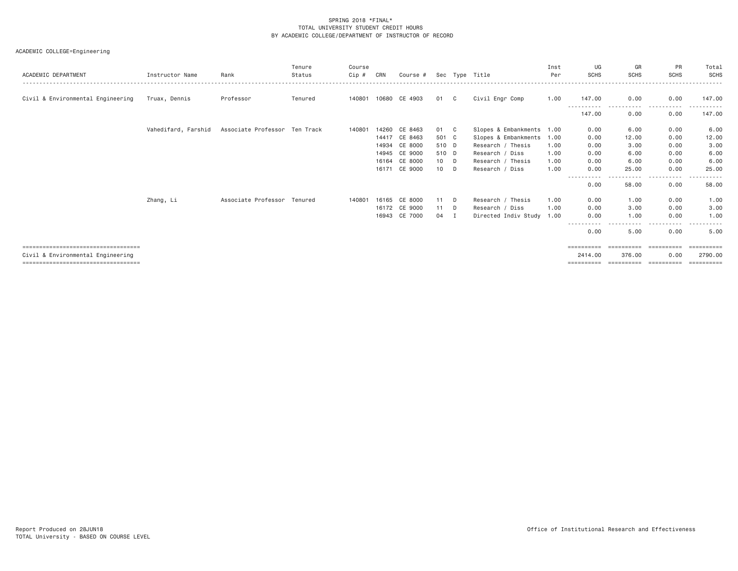| ACADEMIC DEPARTMENT                   | Instructor Name     | Rank                          | Tenure<br>Status | Course<br>Cip# | CRN   | Course #      |        |              | Sec Type Title       | Inst<br>Per | UG<br><b>SCHS</b>   | GR<br><b>SCHS</b> | PR<br><b>SCHS</b>               | Total<br>SCHS         |
|---------------------------------------|---------------------|-------------------------------|------------------|----------------|-------|---------------|--------|--------------|----------------------|-------------|---------------------|-------------------|---------------------------------|-----------------------|
| Civil & Environmental Engineering     | Truax, Dennis       | Professor                     | Tenured          | 140801         |       | 10680 CE 4903 | 01     | $\mathbf{C}$ | Civil Engr Comp      | 1.00        | 147.00              | 0.00              | 0.00                            | 147.00                |
|                                       |                     |                               |                  |                |       |               |        |              |                      |             | 147.00              | 0.00              | 0.00                            | 147.00                |
|                                       | Vahedifard, Farshid | Associate Professor Ten Track |                  | 140801         | 14260 | CE 8463       | 01 C   |              | Slopes & Embankments | 1.00        | 0.00                | 6.00              | 0.00                            | 6.00                  |
|                                       |                     |                               |                  |                | 14417 | CE 8463       | 501 C  |              | Slopes & Embankments | 1.00        | 0.00                | 12.00             | 0.00                            | 12.00                 |
|                                       |                     |                               |                  |                | 14934 | CE 8000       | 510 D  |              | Research / Thesis    | 1.00        | 0.00                | 3.00              | 0.00                            | 3.00                  |
|                                       |                     |                               |                  |                |       | 14945 CE 9000 | 510 D  |              | Research / Diss      | 1.00        | 0.00                | 6.00              | 0.00                            | 6.00                  |
|                                       |                     |                               |                  |                | 16164 | CE 8000       | 10 D   |              | Research / Thesis    | 1.00        | 0.00                | 6.00              | 0.00                            | 6.00                  |
|                                       |                     |                               |                  |                | 16171 | CE 9000       | $10$ D |              | Research / Diss      | 1.00        | 0.00                | 25.00             | 0.00                            | 25.00                 |
|                                       |                     |                               |                  |                |       |               |        |              |                      |             | .<br>0.00           | .<br>58.00        | $- - - -$<br>. <b>.</b><br>0.00 | 58.00                 |
|                                       | Zhang, Li           | Associate Professor Tenured   |                  | 140801         |       | 16165 CE 8000 | 11 D   |              | Research / Thesis    | 1,00        | 0.00                | 1.00              | 0.00                            | 1.00                  |
|                                       |                     |                               |                  |                |       | 16172 CE 9000 | 11 D   |              | Research / Diss      | 1.00        | 0.00                | 3.00              | 0.00                            | 3.00                  |
|                                       |                     |                               |                  |                | 16943 | CE 7000       | 04 I   |              | Directed Indiv Study | 1.00        | 0.00                | 1.00              | 0.00                            | 1.00                  |
|                                       |                     |                               |                  |                |       |               |        |              |                      |             | -----------<br>0.00 | 5.00              | 0.00                            | 5.00                  |
| ===================================== |                     |                               |                  |                |       |               |        |              |                      |             | ==========          | ==========        | -----------                     | $=$ = = = = = = = = = |
| Civil & Environmental Engineering     |                     |                               |                  |                |       |               |        |              |                      |             | 2414.00             | 376.00            | 0.00                            | 2790.00               |
| ===================================== |                     |                               |                  |                |       |               |        |              |                      |             | ==========          | ==========        | -----------                     | ==========            |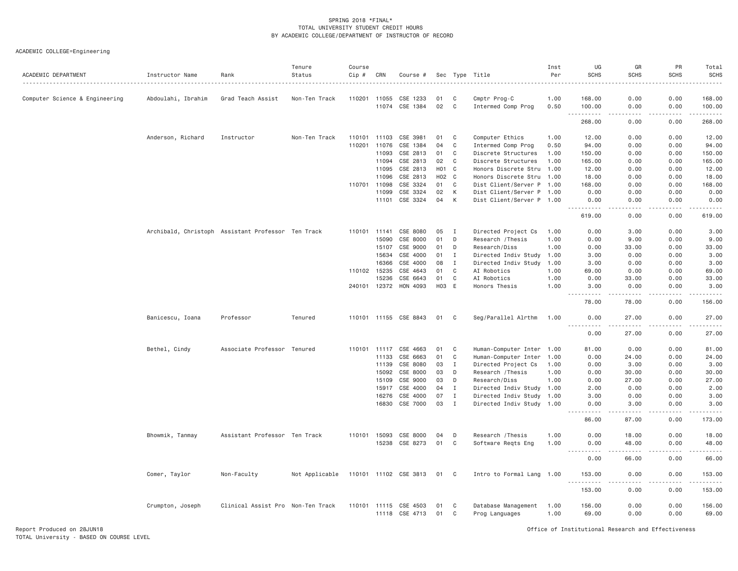| ACADEMIC DEPARTMENT            | Instructor Name    | Rank                                               | Tenure<br>Status | Course<br>Cip # | CRN          | Course #                                |          |                | Sec Type Title<br>.                   | Inst<br>Per  | UG<br><b>SCHS</b>          | GR<br><b>SCHS</b>            | PR<br><b>SCHS</b> | Total<br><b>SCHS</b>    |
|--------------------------------|--------------------|----------------------------------------------------|------------------|-----------------|--------------|-----------------------------------------|----------|----------------|---------------------------------------|--------------|----------------------------|------------------------------|-------------------|-------------------------|
| Computer Science & Engineering | Abdoulahi, Ibrahim | Grad Teach Assist                                  | Non-Ten Track    | 110201          | 11055        | CSE 1233                                | 01       | - C            | Cmptr Prog-C                          | 1.00         | 168.00                     | 0.00                         | 0.00              | 168.00                  |
|                                |                    |                                                    |                  |                 |              | 11074 CSE 1384                          | 02       | C              | Intermed Comp Prog                    | 0.50         | 100.00                     | 0.00                         | 0.00              | 100.00                  |
|                                |                    |                                                    |                  |                 |              |                                         |          |                |                                       |              | .<br>268.00                | .<br>0.00                    | .<br>0.00         | .<br>268.00             |
|                                | Anderson, Richard  | Instructor                                         | Non-Ten Track    |                 | 110101 11103 | CSE 3981                                | 01       | C              | Computer Ethics                       | 1.00         | 12.00                      | 0.00                         | 0.00              | 12.00                   |
|                                |                    |                                                    |                  | 110201          | 11076        | CSE 1384                                | 04       | C              | Intermed Comp Prog                    | 0.50         | 94.00                      | 0.00                         | 0.00              | 94.00                   |
|                                |                    |                                                    |                  |                 | 11093        | CSE 2813                                | 01       | C              | Discrete Structures                   | 1.00         | 150.00                     | 0.00                         | 0.00              | 150.00                  |
|                                |                    |                                                    |                  |                 | 11094        | CSE 2813                                | 02       | C              | Discrete Structures                   | 1.00         | 165.00                     | 0.00                         | 0.00              | 165.00                  |
|                                |                    |                                                    |                  |                 | 11095        | CSE 2813                                | H01      | $\mathbf{C}$   | Honors Discrete Stru                  | 1.00         | 12.00                      | 0.00                         | 0.00              | 12.00                   |
|                                |                    |                                                    |                  |                 | 11096        | CSE 2813                                | H02      | C <sub>1</sub> | Honors Discrete Stru                  | 1.00         | 18.00                      | 0.00                         | 0.00              | 18.00                   |
|                                |                    |                                                    |                  |                 | 110701 11098 | CSE 3324                                | 01       | C              | Dist Client/Server P 1.00             |              | 168.00                     | 0.00                         | 0.00              | 168.00                  |
|                                |                    |                                                    |                  |                 | 11099        | CSE 3324                                | 02       | К              | Dist Client/Server P 1.00             |              | 0.00                       | 0.00                         | 0.00              | 0.00                    |
|                                |                    |                                                    |                  |                 | 11101        | CSE 3324                                | 04       | К              | Dist Client/Server P 1.00             |              | 0.00                       | 0.00                         | 0.00              | 0.00                    |
|                                |                    |                                                    |                  |                 |              |                                         |          |                |                                       |              | <u>.</u><br>619.00         | د د د د<br>0.00              | .<br>0.00         | $- - - - - -$<br>619.00 |
|                                |                    | Archibald, Christoph Assistant Professor Ten Track |                  |                 | 110101 11141 | CSE 8080                                | 05       | Ι.             | Directed Project Cs                   | 1.00         | 0.00                       | 3.00                         | 0.00              | 3.00                    |
|                                |                    |                                                    |                  |                 | 15090        | CSE 8000                                | 01       | D              | Research / Thesis                     | 1.00         | 0.00                       | 9.00                         | 0.00              | 9.00                    |
|                                |                    |                                                    |                  |                 | 15107        | CSE 9000                                | 01       | D              | Research/Diss                         | 1.00         | 0.00                       | 33.00                        | 0.00              | 33.00                   |
|                                |                    |                                                    |                  |                 | 15634        | CSE 4000                                | 01       | Ι.             | Directed Indiv Study 1.00             |              | 3.00                       | 0.00                         | 0.00              | 3.00                    |
|                                |                    |                                                    |                  |                 | 16366        | CSE 4000                                | 08       | I              | Directed Indiv Study 1.00             |              | 3.00                       | 0.00                         | 0.00              | 3.00                    |
|                                |                    |                                                    |                  |                 | 110102 15235 | CSE 4643                                | 01       | C              | AI Robotics                           | 1.00         | 69.00                      | 0.00                         | 0.00              | 69.00                   |
|                                |                    |                                                    |                  |                 | 15236        | CSE 6643                                | 01       | C              | AI Robotics                           | 1.00         | 0.00                       | 33.00                        | 0.00              | 33.00                   |
|                                |                    |                                                    |                  |                 |              | 240101 12372 HON 4093                   | H03      | E              | Honors Thesis                         | 1.00         | 3.00                       | 0.00                         | 0.00              | 3.00                    |
|                                |                    |                                                    |                  |                 |              |                                         |          |                |                                       |              | .<br>78.00                 | 78.00                        | 0.00              | 156.00                  |
|                                | Banicescu, Ioana   | Professor                                          | Tenured          |                 |              | 110101 11155 CSE 8843                   | 01       | C              | Seg/Parallel Alrthm                   | 1.00         | 0.00<br>$\frac{1}{2}$<br>. | 27.00                        | 0.00              | 27.00                   |
|                                |                    |                                                    |                  |                 |              |                                         |          |                |                                       |              | 0.00                       | 27.00                        | 0.00              | 27.00                   |
|                                | Bethel, Cindy      | Associate Professor Tenured                        |                  |                 | 110101 11117 | CSE 4663                                | 01       | C              | Human-Computer Inter 1.00             |              | 81.00                      | 0.00                         | 0.00              | 81.00                   |
|                                |                    |                                                    |                  |                 | 11133        | CSE 6663                                | 01       | $\mathbf{C}$   | Human-Computer Inter                  | 1.00         | 0.00                       | 24.00                        | 0.00              | 24.00                   |
|                                |                    |                                                    |                  |                 | 11139        | CSE 8080                                | 03       | $\mathbf{I}$   | Directed Project Cs                   | 1.00         | 0.00                       | 3.00                         | 0.00              | 3.00                    |
|                                |                    |                                                    |                  |                 | 15092        | CSE 8000                                | 03       | D              | Research / Thesis                     | 1.00         | 0.00                       | 30.00                        | 0.00              | 30.00                   |
|                                |                    |                                                    |                  |                 | 15109        | CSE 9000                                | 03       | D              | Research/Diss                         | 1.00         | 0.00                       | 27.00                        | 0.00              | 27.00                   |
|                                |                    |                                                    |                  |                 | 15917        | CSE 4000                                | 04       | $\mathbf{I}$   | Directed Indiv Study 1.00             |              | 2.00                       | 0.00                         | 0.00              | 2.00                    |
|                                |                    |                                                    |                  |                 | 16276        | CSE 4000                                | 07       | Ι.             | Directed Indiv Study 1.00             |              | 3.00                       | 0.00                         | 0.00              | 3.00                    |
|                                |                    |                                                    |                  |                 |              | 16830 CSE 7000                          | 03       | I              | Directed Indiv Study 1.00             |              | 0.00<br>. <b>.</b>         | 3.00                         | 0.00              | 3.00<br>.               |
|                                |                    |                                                    |                  |                 |              |                                         |          |                |                                       |              | 86.00                      | 87.00                        | 0.00              | 173.00                  |
|                                | Bhowmik, Tanmay    | Assistant Professor Ten Track                      |                  |                 | 110101 15093 | CSE 8000                                | 04       | D              | Research / Thesis                     | 1.00         | 0.00                       | 18.00                        | 0.00              | 18.00                   |
|                                |                    |                                                    |                  |                 |              | 15238 CSE 8273                          | 01       | C              | Software Reqts Eng                    | 1.00         | 0.00<br><u>.</u>           | 48.00<br>.                   | 0.00<br>-----     | 48.00<br>.              |
|                                |                    |                                                    |                  |                 |              |                                         |          |                |                                       |              | 0.00                       | 66.00                        | 0.00              | 66.00                   |
|                                | Comer, Taylor      | Non-Faculty                                        | Not Applicable   |                 |              | 110101 11102 CSE 3813                   | 01       | C              | Intro to Formal Lang 1.00             |              | 153.00<br>.                | 0.00<br>$\sim$ $\sim$ $\sim$ | 0.00<br>.         | 153.00                  |
|                                |                    |                                                    |                  |                 |              |                                         |          |                |                                       |              | 153.00                     | 0.00                         | 0.00              | 153.00                  |
|                                | Crumpton, Joseph   | Clinical Assist Pro Non-Ten Track                  |                  |                 |              | 110101 11115 CSE 4503<br>11118 CSE 4713 | 01<br>01 | C<br>C         | Database Management<br>Prog Languages | 1.00<br>1.00 | 156.00<br>69.00            | 0.00<br>0.00                 | 0.00<br>0.00      | 156.00<br>69.00         |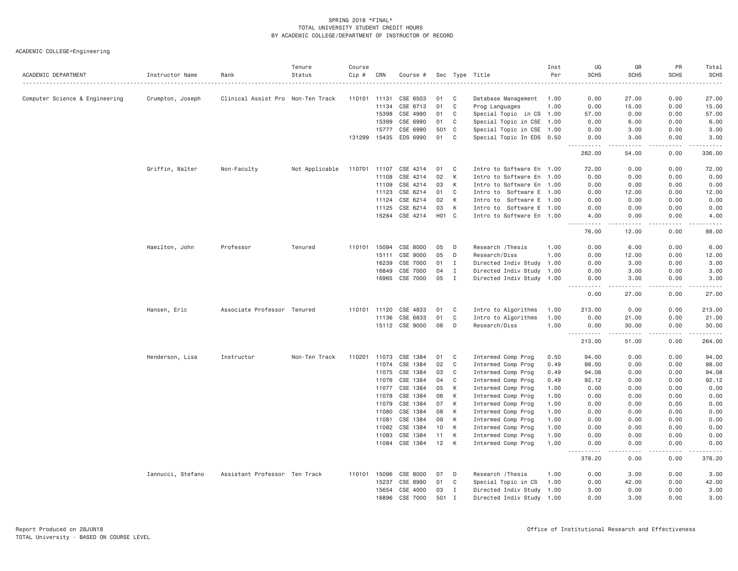| ACADEMIC DEPARTMENT            | Instructor Name   | Rank                              | Tenure<br>Status | Course<br>Cip # | CRN          | Course #                   |          |                   | Sec Type Title                           | Inst<br>Per  | UG<br><b>SCHS</b>                                                                                                                  | GR<br><b>SCHS</b> | PR<br><b>SCHS</b> | Total<br><b>SCHS</b>                                                                                                              |
|--------------------------------|-------------------|-----------------------------------|------------------|-----------------|--------------|----------------------------|----------|-------------------|------------------------------------------|--------------|------------------------------------------------------------------------------------------------------------------------------------|-------------------|-------------------|-----------------------------------------------------------------------------------------------------------------------------------|
|                                |                   |                                   |                  |                 |              |                            |          |                   |                                          |              |                                                                                                                                    |                   |                   | .                                                                                                                                 |
| Computer Science & Engineering | Crumpton, Joseph  | Clinical Assist Pro Non-Ten Track |                  | 110101 11131    |              | CSE 6503                   | 01       | C                 | Database Management                      | 1.00         | 0.00                                                                                                                               | 27.00             | 0.00              | 27.00                                                                                                                             |
|                                |                   |                                   |                  |                 | 11134        | CSE 6713                   | 01       | $\mathbf C$       | Prog Languages                           | 1.00         | 0.00                                                                                                                               | 15.00             | 0.00              | 15.00                                                                                                                             |
|                                |                   |                                   |                  |                 | 15398        | CSE 4990                   | 01       | $\mathbf C$       | Special Topic in CS 1.00                 |              | 57.00                                                                                                                              | 0.00              | 0.00              | 57.00                                                                                                                             |
|                                |                   |                                   |                  |                 | 15399        | CSE 6990                   | 01       | C                 | Special Topic in CSE 1.00                |              | 0.00                                                                                                                               | 6.00              | 0.00              | 6.00                                                                                                                              |
|                                |                   |                                   |                  |                 | 15777        | CSE 6990                   | 501      | C <sub>1</sub>    | Special Topic in CSE 1.00                |              | 0.00                                                                                                                               | 3,00              | 0.00              | 3.00                                                                                                                              |
|                                |                   |                                   |                  | 131299          |              | 15435 EDS 6990             | 01       | C                 | Special Topic In EDS 0.50                |              | 0.00<br>.                                                                                                                          | 3.00<br>.         | 0.00<br>.         | 3.00<br>.                                                                                                                         |
|                                |                   |                                   |                  |                 |              |                            |          |                   |                                          |              | 282.00                                                                                                                             | 54.00             | 0.00              | 336.00                                                                                                                            |
|                                | Griffin, Walter   | Non-Faculty                       | Not Applicable   | 110701 11107    |              | CSE 4214                   | 01       | C                 | Intro to Software En 1.00                |              | 72.00                                                                                                                              | 0.00              | 0.00              | 72.00                                                                                                                             |
|                                |                   |                                   |                  |                 | 11108        | CSE 4214                   | 02       | K                 | Intro to Software En 1.00                |              | 0.00                                                                                                                               | 0.00              | 0.00              | 0.00                                                                                                                              |
|                                |                   |                                   |                  |                 | 11109        | CSE 4214                   | 03       | K                 | Intro to Software En 1.00                |              | 0.00                                                                                                                               | 0.00              | 0.00              | 0.00                                                                                                                              |
|                                |                   |                                   |                  |                 | 11123        | CSE 6214                   | 01       | $\mathbf C$       | Intro to Software E 1.00                 |              | 0.00                                                                                                                               | 12.00             | 0.00              | 12.00                                                                                                                             |
|                                |                   |                                   |                  |                 | 11124        | CSE 6214                   | 02       | K                 | Intro to Software E 1.00                 |              | 0.00                                                                                                                               | 0.00              | 0.00              | 0.00                                                                                                                              |
|                                |                   |                                   |                  |                 | 11125        | CSE 6214                   | 03       | K                 | Intro to Software E 1.00                 |              | 0.00                                                                                                                               | 0.00              | 0.00              | 0.00                                                                                                                              |
|                                |                   |                                   |                  |                 | 15284        | CSE 4214                   |          | H <sub>01</sub> C | Intro to Software En 1.00                |              | 4.00<br>$- - -$<br><u>.</u>                                                                                                        | 0.00<br>.         | 0.00<br>.         | 4.00<br>$\frac{1}{2} \left( \frac{1}{2} \right) \left( \frac{1}{2} \right) \left( \frac{1}{2} \right) \left( \frac{1}{2} \right)$ |
|                                |                   |                                   |                  |                 |              |                            |          |                   |                                          |              | 76.00                                                                                                                              | 12.00             | 0.00              | 88.00                                                                                                                             |
|                                | Hamilton, John    | Professor                         | Tenured          |                 | 110101 15094 | CSE 8000                   | 05       | D                 | Research / Thesis                        | 1.00         | 0.00                                                                                                                               | 6.00              | 0.00              | 6.00                                                                                                                              |
|                                |                   |                                   |                  |                 | 15111        | CSE 9000                   | 05       | D                 | Research/Diss                            | 1.00         | 0.00                                                                                                                               | 12.00             | 0.00              | 12.00                                                                                                                             |
|                                |                   |                                   |                  |                 | 16239        | CSE 7000                   | 01       | $\mathbf I$       | Directed Indiv Study 1.00                |              | 0.00                                                                                                                               | 3.00              | 0.00              | 3.00                                                                                                                              |
|                                |                   |                                   |                  |                 | 16849        | CSE 7000                   | 04       | $\mathbf{I}$      | Directed Indiv Study 1.00                |              | 0.00                                                                                                                               | 3.00              | 0.00              | 3.00                                                                                                                              |
|                                |                   |                                   |                  |                 | 16965        | CSE 7000                   | 05       | I                 | Directed Indiv Study 1.00                |              | 0.00<br>$\sim$ $\sim$ $\sim$ $\sim$                                                                                                | 3.00<br>.         | 0.00<br>.         | 3.00                                                                                                                              |
|                                |                   |                                   |                  |                 |              |                            |          |                   |                                          |              | 0.00                                                                                                                               | 27.00             | 0.00              | 27.00                                                                                                                             |
|                                | Hansen, Eric      | Associate Professor Tenured       |                  |                 | 110101 11120 | CSE 4833                   | 01       | C                 | Intro to Algorithms                      | 1.00         | 213.00                                                                                                                             | 0.00              | 0.00              | 213.00                                                                                                                            |
|                                |                   |                                   |                  |                 | 11136        | CSE 6833                   | 01       | $\mathbf{C}$      | Intro to Algorithms                      | 1.00         | 0.00                                                                                                                               | 21.00             | 0.00              | 21.00                                                                                                                             |
|                                |                   |                                   |                  |                 |              | 15112 CSE 9000             | 06       | D                 | Research/Diss                            | 1.00         | 0.00<br>$- - - - -$<br>$ -$                                                                                                        | 30.00<br>.        | 0.00<br>.         | 30.00<br>.                                                                                                                        |
|                                |                   |                                   |                  |                 |              |                            |          |                   |                                          |              | 213.00                                                                                                                             | 51.00             | 0.00              | 264.00                                                                                                                            |
|                                | Henderson, Lisa   | Instructor                        | Non-Ten Track    | 110201          | 11073        | CSE 1384                   | 01       | C                 | Intermed Comp Prog                       | 0.50         | 94.00                                                                                                                              | 0.00              | 0.00              | 94.00                                                                                                                             |
|                                |                   |                                   |                  |                 | 11074        | CSE 1384                   | 02       | $\mathbf C$       | Intermed Comp Prog                       | 0.49         | 98.00                                                                                                                              | 0.00              | 0.00              | 98.00                                                                                                                             |
|                                |                   |                                   |                  |                 | 11075        | CSE 1384                   | 03       | C                 | Intermed Comp Prog                       | 0.49         | 94.08                                                                                                                              | 0.00              | 0.00              | 94.08                                                                                                                             |
|                                |                   |                                   |                  |                 | 11076        | CSE 1384                   | 04       | $\mathbf C$       | Intermed Comp Prog                       | 0.49         | 92.12                                                                                                                              | 0.00              | 0.00              | 92.12                                                                                                                             |
|                                |                   |                                   |                  |                 | 11077        | CSE 1384                   | 05       | К                 | Intermed Comp Prog                       | 1.00         | 0.00                                                                                                                               | 0.00              | 0.00              | 0.00                                                                                                                              |
|                                |                   |                                   |                  |                 | 11078        | CSE 1384                   | 06       | K                 | Intermed Comp Prog                       | 1.00         | 0.00                                                                                                                               | 0.00              | 0.00              | 0.00                                                                                                                              |
|                                |                   |                                   |                  |                 | 11079        | CSE 1384                   | 07       | К                 | Intermed Comp Prog                       | 1.00         | 0.00                                                                                                                               | 0.00              | 0.00              | 0.00                                                                                                                              |
|                                |                   |                                   |                  |                 | 11080        | CSE 1384                   | 08       | К                 | Intermed Comp Prog                       | 1.00         | 0.00                                                                                                                               | 0.00              | 0.00              | 0.00                                                                                                                              |
|                                |                   |                                   |                  |                 | 11081        | CSE 1384                   | 09       | K                 | Intermed Comp Prog                       | 1.00         | 0.00                                                                                                                               | 0.00              | 0.00              | 0.00                                                                                                                              |
|                                |                   |                                   |                  |                 | 11082        | CSE 1384                   | 10       | K                 | Intermed Comp Prog                       | 1.00         | 0.00                                                                                                                               | 0.00              | 0.00              | 0.00                                                                                                                              |
|                                |                   |                                   |                  |                 | 11083        | CSE 1384<br>11084 CSE 1384 | 11<br>12 | К<br>К            | Intermed Comp Prog<br>Intermed Comp Prog | 1.00<br>1.00 | 0.00<br>0.00                                                                                                                       | 0.00<br>0.00      | 0.00<br>0.00      | 0.00<br>0.00                                                                                                                      |
|                                |                   |                                   |                  |                 |              |                            |          |                   |                                          |              | <b><i><u>.</u></i></b><br>$\frac{1}{2} \left( \frac{1}{2} \right) \left( \frac{1}{2} \right) \left( \frac{1}{2} \right)$<br>378.20 | د د د د<br>0.00   | 2.2.2.2.2<br>0.00 | وعاملت مالك<br>378.20                                                                                                             |
|                                | Iannucci, Stefano | Assistant Professor Ten Track     |                  | 110101          | 15096        | CSE 8000                   | 07       | D                 | Research / Thesis                        | 1.00         | 0.00                                                                                                                               | 3.00              | 0.00              | 3.00                                                                                                                              |
|                                |                   |                                   |                  |                 | 15237        | CSE 8990                   | 01       | C                 | Special Topic in CS                      | 1.00         | 0.00                                                                                                                               | 42.00             | 0.00              | 42.00                                                                                                                             |
|                                |                   |                                   |                  |                 | 15654        | CSE 4000                   | 03       | I                 | Directed Indiv Study 1.00                |              | 3.00                                                                                                                               | 0.00              | 0.00              | 3.00                                                                                                                              |
|                                |                   |                                   |                  |                 | 16896        | CSE 7000                   | 501      | I                 | Directed Indiv Study 1.00                |              | 0.00                                                                                                                               | 3.00              | 0.00              | 3.00                                                                                                                              |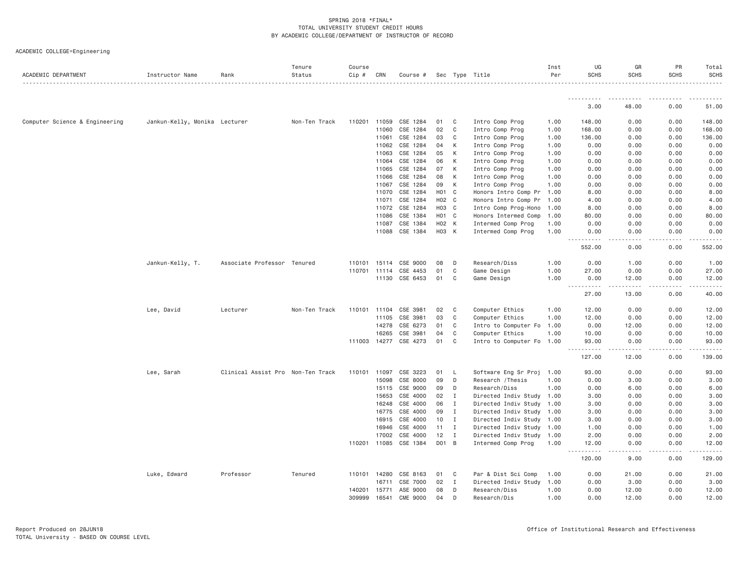| ACADEMIC DEPARTMENT            | Instructor Name               | Rank                              | Tenure<br>Status | Course<br>Cip # | CRN   | Course # |       |              | Sec Type Title            | Inst<br>Per | UG<br><b>SCHS</b>                                                                                                                                             | GR<br><b>SCHS</b>                                                                                                                                            | PR<br><b>SCHS</b>                                                                                                                                                                       | Total<br>SCHS<br>. |
|--------------------------------|-------------------------------|-----------------------------------|------------------|-----------------|-------|----------|-------|--------------|---------------------------|-------------|---------------------------------------------------------------------------------------------------------------------------------------------------------------|--------------------------------------------------------------------------------------------------------------------------------------------------------------|-----------------------------------------------------------------------------------------------------------------------------------------------------------------------------------------|--------------------|
|                                |                               |                                   |                  |                 |       |          |       |              |                           |             | <u>.</u>                                                                                                                                                      | ----------                                                                                                                                                   | .                                                                                                                                                                                       | ------             |
|                                |                               |                                   |                  |                 |       |          |       |              |                           |             | 3.00                                                                                                                                                          | 48.00                                                                                                                                                        | 0.00                                                                                                                                                                                    | 51.00              |
| Computer Science & Engineering | Jankun-Kelly, Monika Lecturer |                                   | Non-Ten Track    | 110201          | 11059 | CSE 1284 | 01    | C.           | Intro Comp Prog           | 1.00        | 148.00                                                                                                                                                        | 0.00                                                                                                                                                         | 0.00                                                                                                                                                                                    | 148.00             |
|                                |                               |                                   |                  |                 | 11060 | CSE 1284 | 02    | C            | Intro Comp Prog           | 1.00        | 168.00                                                                                                                                                        | 0.00                                                                                                                                                         | 0.00                                                                                                                                                                                    | 168.00             |
|                                |                               |                                   |                  |                 | 11061 | CSE 1284 | 03    | C            | Intro Comp Prog           | 1.00        | 136.00                                                                                                                                                        | 0.00                                                                                                                                                         | 0.00                                                                                                                                                                                    | 136.00             |
|                                |                               |                                   |                  |                 | 11062 | CSE 1284 | 04    | К            | Intro Comp Prog           | 1.00        | 0.00                                                                                                                                                          | 0.00                                                                                                                                                         | 0.00                                                                                                                                                                                    | 0.00               |
|                                |                               |                                   |                  |                 | 11063 | CSE 1284 | 05    | K            | Intro Comp Prog           | 1.00        | 0.00                                                                                                                                                          | 0.00                                                                                                                                                         | 0.00                                                                                                                                                                                    | 0.00               |
|                                |                               |                                   |                  |                 | 11064 | CSE 1284 | 06    | K            | Intro Comp Prog           | 1.00        | 0.00                                                                                                                                                          | 0.00                                                                                                                                                         | 0.00                                                                                                                                                                                    | 0.00               |
|                                |                               |                                   |                  |                 | 11065 | CSE 1284 | 07    | К            | Intro Comp Prog           | 1.00        | 0.00                                                                                                                                                          | 0.00                                                                                                                                                         | 0.00                                                                                                                                                                                    | 0.00               |
|                                |                               |                                   |                  |                 | 11066 | CSE 1284 | 08    | K            | Intro Comp Prog           | 1.00        | 0.00                                                                                                                                                          | 0.00                                                                                                                                                         | 0.00                                                                                                                                                                                    | 0.00               |
|                                |                               |                                   |                  |                 | 11067 | CSE 1284 | 09    | K            | Intro Comp Prog           | 1.00        | 0.00                                                                                                                                                          | 0.00                                                                                                                                                         | 0.00                                                                                                                                                                                    | 0.00               |
|                                |                               |                                   |                  |                 | 11070 | CSE 1284 | H01 C |              | Honors Intro Comp Pr      | 1.00        | 8.00                                                                                                                                                          | 0.00                                                                                                                                                         | 0.00                                                                                                                                                                                    | 8.00               |
|                                |                               |                                   |                  |                 | 11071 | CSE 1284 | H02 C |              | Honors Intro Comp Pr      | 1.00        | 4.00                                                                                                                                                          | 0.00                                                                                                                                                         | 0.00                                                                                                                                                                                    | 4.00               |
|                                |                               |                                   |                  |                 | 11072 | CSE 1284 | H03 C |              | Intro Comp Prog-Hono      | 1.00        | 8.00                                                                                                                                                          | 0.00                                                                                                                                                         | 0.00                                                                                                                                                                                    | 8.00               |
|                                |                               |                                   |                  |                 | 11086 | CSE 1384 | H01 C |              | Honors Intermed Comp      | 1.00        | 80.00                                                                                                                                                         | 0.00                                                                                                                                                         | 0.00                                                                                                                                                                                    | 80.00              |
|                                |                               |                                   |                  |                 | 11087 | CSE 1384 | H02 K |              | Intermed Comp Prog        | 1.00        | 0.00                                                                                                                                                          | 0.00                                                                                                                                                         | 0.00                                                                                                                                                                                    | 0.00               |
|                                |                               |                                   |                  |                 | 11088 | CSE 1384 | H03 K |              | Intermed Comp Prog        | 1.00        | 0.00<br>----<br>.                                                                                                                                             | 0.00<br>$- - - - -$                                                                                                                                          | 0.00<br>$- - - - -$                                                                                                                                                                     | 0.00               |
|                                |                               |                                   |                  |                 |       |          |       |              |                           |             | 552.00                                                                                                                                                        | 0.00                                                                                                                                                         | 0.00                                                                                                                                                                                    | 552.00             |
|                                | Jankun-Kelly, T.              | Associate Professor Tenured       |                  | 110101          | 15114 | CSE 9000 | 08    | D            | Research/Diss             | 1.00        | 0.00                                                                                                                                                          | 1.00                                                                                                                                                         | 0.00                                                                                                                                                                                    | 1.00               |
|                                |                               |                                   |                  | 110701          | 11114 | CSE 4453 | 01    | C            | Game Design               | 1.00        | 27.00                                                                                                                                                         | 0.00                                                                                                                                                         | 0.00                                                                                                                                                                                    | 27.00              |
|                                |                               |                                   |                  |                 | 11130 | CSE 6453 | 01    | C            | Game Design               | 1.00        | 0.00<br>$\frac{1}{2}$<br><u>.</u>                                                                                                                             | 12.00                                                                                                                                                        | 0.00                                                                                                                                                                                    | 12.00              |
|                                |                               |                                   |                  |                 |       |          |       |              |                           |             | 27.00                                                                                                                                                         | 13.00                                                                                                                                                        | 0.00                                                                                                                                                                                    | 40.00              |
|                                | Lee, David                    | Lecturer                          | Non-Ten Track    | 110101          | 11104 | CSE 3981 | 02    | C            | Computer Ethics           | 1.00        | 12.00                                                                                                                                                         | 0.00                                                                                                                                                         | 0.00                                                                                                                                                                                    | 12.00              |
|                                |                               |                                   |                  |                 | 11105 | CSE 3981 | 03    | C            | Computer Ethics           | 1,00        | 12.00                                                                                                                                                         | 0.00                                                                                                                                                         | 0.00                                                                                                                                                                                    | 12.00              |
|                                |                               |                                   |                  |                 | 14278 | CSE 6273 | 01    | C            | Intro to Computer Fo      | 1.00        | 0.00                                                                                                                                                          | 12.00                                                                                                                                                        | 0.00                                                                                                                                                                                    | 12.00              |
|                                |                               |                                   |                  |                 | 16265 | CSE 3981 | 04    | C            | Computer Ethics           | 1.00        | 10.00                                                                                                                                                         | 0.00                                                                                                                                                         | 0.00                                                                                                                                                                                    | 10.00              |
|                                |                               |                                   |                  | 111003 14277    |       | CSE 4273 | 01    | C            | Intro to Computer Fo 1.00 |             | 93.00<br>.                                                                                                                                                    | 0.00<br>$\frac{1}{2} \left( \frac{1}{2} \right) \left( \frac{1}{2} \right) \left( \frac{1}{2} \right) \left( \frac{1}{2} \right) \left( \frac{1}{2} \right)$ | 0.00<br>$\frac{1}{2} \left( \frac{1}{2} \right) \left( \frac{1}{2} \right) \left( \frac{1}{2} \right) \left( \frac{1}{2} \right) \left( \frac{1}{2} \right) \left( \frac{1}{2} \right)$ | 93.00<br>.         |
|                                |                               |                                   |                  |                 |       |          |       |              |                           |             | 127.00                                                                                                                                                        | 12.00                                                                                                                                                        | 0.00                                                                                                                                                                                    | 139.00             |
|                                | Lee, Sarah                    | Clinical Assist Pro Non-Ten Track |                  | 110101          | 11097 | CSE 3223 | 01    | L,           | Software Eng Sr Proj      | 1.00        | 93.00                                                                                                                                                         | 0.00                                                                                                                                                         | 0.00                                                                                                                                                                                    | 93.00              |
|                                |                               |                                   |                  |                 | 15098 | CSE 8000 | 09    | D            | Research / Thesis         | 1,00        | 0.00                                                                                                                                                          | 3.00                                                                                                                                                         | 0.00                                                                                                                                                                                    | 3.00               |
|                                |                               |                                   |                  |                 | 15115 | CSE 9000 | 09    | D            | Research/Diss             | 1.00        | 0.00                                                                                                                                                          | 6.00                                                                                                                                                         | 0.00                                                                                                                                                                                    | 6.00               |
|                                |                               |                                   |                  |                 | 15653 | CSE 4000 | 02    | $\mathbf{I}$ | Directed Indiv Study      | 1.00        | 3.00                                                                                                                                                          | 0.00                                                                                                                                                         | 0.00                                                                                                                                                                                    | 3.00               |
|                                |                               |                                   |                  |                 | 16248 | CSE 4000 | 06    | I            | Directed Indiv Study      | 1.00        | 3.00                                                                                                                                                          | 0.00                                                                                                                                                         | 0.00                                                                                                                                                                                    | 3.00               |
|                                |                               |                                   |                  |                 | 16775 | CSE 4000 | 09    | I            | Directed Indiv Study 1.00 |             | 3.00                                                                                                                                                          | 0.00                                                                                                                                                         | 0.00                                                                                                                                                                                    | 3.00               |
|                                |                               |                                   |                  |                 | 16915 | CSE 4000 | 10    | $\mathbf{I}$ | Directed Indiv Study      | 1.00        | 3.00                                                                                                                                                          | 0.00                                                                                                                                                         | 0.00                                                                                                                                                                                    | 3.00               |
|                                |                               |                                   |                  |                 | 16946 | CSE 4000 | 11    | I            | Directed Indiv Study 1.00 |             | 1.00                                                                                                                                                          | 0.00                                                                                                                                                         | 0.00                                                                                                                                                                                    | 1.00               |
|                                |                               |                                   |                  |                 | 17002 | CSE 4000 | 12    | Ι            | Directed Indiv Study 1.00 |             | 2.00                                                                                                                                                          | 0.00                                                                                                                                                         | 0.00                                                                                                                                                                                    | 2.00               |
|                                |                               |                                   |                  | 110201          | 11085 | CSE 1384 | D01 B |              | Intermed Comp Prog        | 1.00        | 12.00<br>$\frac{1}{2} \left( \frac{1}{2} \right) \left( \frac{1}{2} \right) \left( \frac{1}{2} \right) \left( \frac{1}{2} \right) \left( \frac{1}{2} \right)$ | 0.00<br>.                                                                                                                                                    | 0.00<br>.                                                                                                                                                                               | 12.00              |
|                                |                               |                                   |                  |                 |       |          |       |              |                           |             | 120.00                                                                                                                                                        | 9.00                                                                                                                                                         | 0.00                                                                                                                                                                                    | 129.00             |
|                                | Luke, Edward                  | Professor                         | Tenured          | 110101          | 14280 | CSE 8163 | 01    | C            | Par & Dist Sci Comp       | 1.00        | 0.00                                                                                                                                                          | 21.00                                                                                                                                                        | 0.00                                                                                                                                                                                    | 21.00              |
|                                |                               |                                   |                  |                 | 16711 | CSE 7000 | 02    | Ι.           | Directed Indiv Study      | 1.00        | 0.00                                                                                                                                                          | 3.00                                                                                                                                                         | 0.00                                                                                                                                                                                    | 3.00               |
|                                |                               |                                   |                  | 140201          | 15771 | ASE 9000 | 08    | D            | Research/Diss             | 1.00        | 0.00                                                                                                                                                          | 12.00                                                                                                                                                        | 0.00                                                                                                                                                                                    | 12.00              |
|                                |                               |                                   |                  | 309999          | 16541 | CME 9000 | 04    | D            | Research/Dis              | 1.00        | 0.00                                                                                                                                                          | 12.00                                                                                                                                                        | 0.00                                                                                                                                                                                    | 12.00              |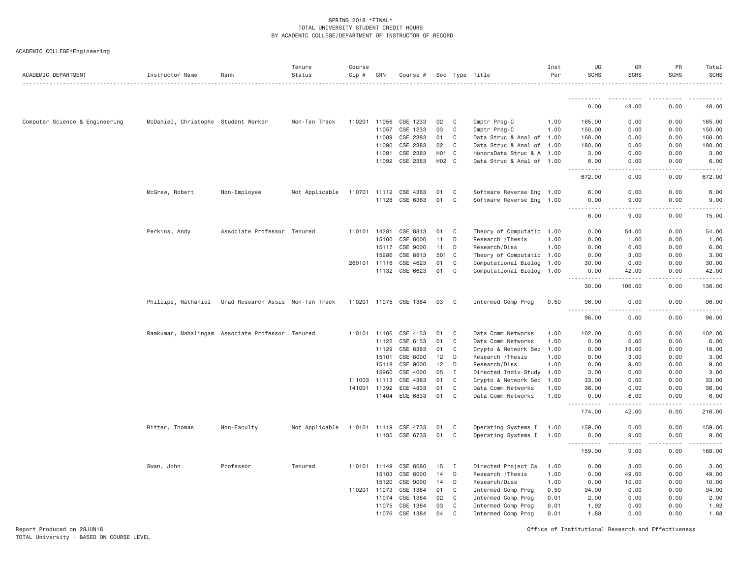|  | ACADEMIC COLLEGE=Engineering |  |
|--|------------------------------|--|
|--|------------------------------|--|

| ACADEMIC DEPARTMENT            | Instructor Name                                  | Rank                              | Tenure<br>Status<br>. | Course<br>Cip # | CRN          | Course #              |       |              | Sec Type Title            | Inst<br>Per | UG<br><b>SCHS</b>                                | GR<br><b>SCHS</b>                   | PR<br><b>SCHS</b> | Total<br><b>SCHS</b>                                                                                                                                          |
|--------------------------------|--------------------------------------------------|-----------------------------------|-----------------------|-----------------|--------------|-----------------------|-------|--------------|---------------------------|-------------|--------------------------------------------------|-------------------------------------|-------------------|---------------------------------------------------------------------------------------------------------------------------------------------------------------|
|                                |                                                  |                                   |                       |                 |              |                       |       |              |                           |             |                                                  |                                     |                   |                                                                                                                                                               |
|                                |                                                  |                                   |                       |                 |              |                       |       |              |                           |             | 0.00                                             | 48.00                               | 0.00              | 48,00                                                                                                                                                         |
| Computer Science & Engineering | McDaniel, Christophe Student Worker              |                                   | Non-Ten Track         |                 | 110201 11056 | CSE 1233              | 02    | C            | Cmptr Prog-C              | 1.00        | 165.00                                           | 0.00                                | 0.00              | 165.00                                                                                                                                                        |
|                                |                                                  |                                   |                       |                 | 11057        | CSE 1233              | 03    | C            | Cmptr Prog-C              | 1.00        | 150.00                                           | 0.00                                | 0.00              | 150.00                                                                                                                                                        |
|                                |                                                  |                                   |                       |                 | 11089        | CSE 2383              | 01    | C            | Data Struc & Anal of 1.00 |             | 168.00                                           | 0.00                                | 0.00              | 168.00                                                                                                                                                        |
|                                |                                                  |                                   |                       |                 | 11090        | CSE 2383              | 02    | C            | Data Struc & Anal of 1.00 |             | 180.00                                           | 0.00                                | 0.00              | 180.00                                                                                                                                                        |
|                                |                                                  |                                   |                       |                 | 11091        | CSE 2383              | H01 C |              | HonorsData Struc & A 1.00 |             | 3.00                                             | 0.00                                | 0.00              | 3.00                                                                                                                                                          |
|                                |                                                  |                                   |                       |                 | 11092        | CSE 2383              | H02 C |              | Data Struc & Anal of 1.00 |             | 6.00<br>.                                        | 0.00<br>د د د د                     | 0.00<br>.         | 6.00<br><b><i><u>.</u></i></b>                                                                                                                                |
|                                |                                                  |                                   |                       |                 |              |                       |       |              |                           |             | 672.00                                           | 0.00                                | 0.00              | 672.00                                                                                                                                                        |
|                                | McGrew, Robert                                   | Non-Employee                      | Not Applicable        |                 |              | 110701 11112 CSE 4363 | 01    | C            | Software Reverse Eng 1.00 |             | 6.00                                             | 0.00                                | 0.00              | 6.00                                                                                                                                                          |
|                                |                                                  |                                   |                       |                 | 11128        | CSE 6363              | 01    | C            | Software Reverse Eng 1.00 |             | 0.00<br>.                                        | 9.00<br>.                           | 0.00<br>-----     | 9.00                                                                                                                                                          |
|                                |                                                  |                                   |                       |                 |              |                       |       |              |                           |             | 6.00                                             | 9.00                                | 0.00              | 15.00                                                                                                                                                         |
|                                | Perkins, Andy                                    | Associate Professor Tenured       |                       | 110101          | 14281        | CSE 8813              | 01    | C            | Theory of Computatio 1.00 |             | 0.00                                             | 54.00                               | 0.00              | 54.00                                                                                                                                                         |
|                                |                                                  |                                   |                       |                 | 15100        | CSE 8000              | 11    | D            | Research / Thesis         | 1.00        | 0.00                                             | 1.00                                | 0.00              | 1.00                                                                                                                                                          |
|                                |                                                  |                                   |                       |                 | 15117        | CSE 9000              | 11    | D            | Research/Diss             | 1.00        | 0.00                                             | 6.00                                | 0.00              | 6.00                                                                                                                                                          |
|                                |                                                  |                                   |                       |                 | 15286        | CSE 8813              | 501   | C            | Theory of Computatio 1.00 |             | 0.00                                             | 3.00                                | 0.00              | 3.00                                                                                                                                                          |
|                                |                                                  |                                   |                       |                 | 260101 11116 | CSE 4623              | 01    | C            | Computational Biolog 1.00 |             | 30.00                                            | 0.00                                | 0.00              | 30.00                                                                                                                                                         |
|                                |                                                  |                                   |                       |                 |              | 11132 CSE 6623        | 01    | C            | Computational Biolog 1.00 |             | 0.00<br><u>.</u>                                 | 42.00<br>.                          | 0.00<br>.         | 42.00<br>.                                                                                                                                                    |
|                                |                                                  |                                   |                       |                 |              |                       |       |              |                           |             | 30.00                                            | 106.00                              | 0.00              | 136.00                                                                                                                                                        |
|                                | Phillips, Nathaniel                              | Grad Research Assis Non-Ten Track |                       |                 |              | 110201 11075 CSE 1384 | 03    | C            | Intermed Comp Prog        | 0.50        | 96.00<br>$\sim$ $\sim$ $\sim$<br>$- - - - - - -$ | 0.00<br>.                           | 0.00<br><b>.</b>  | 96.00<br>$\frac{1}{2} \left( \frac{1}{2} \right) \left( \frac{1}{2} \right) \left( \frac{1}{2} \right) \left( \frac{1}{2} \right) \left( \frac{1}{2} \right)$ |
|                                |                                                  |                                   |                       |                 |              |                       |       |              |                           |             | 96.00                                            | 0.00                                | 0.00              | 96,00                                                                                                                                                         |
|                                | Ramkumar, Mahalingam Associate Professor Tenured |                                   |                       | 110101          | 11106        | CSE 4153              | 01    | C            | Data Comm Networks        | 1,00        | 102.00                                           | 0.00                                | 0.00              | 102.00                                                                                                                                                        |
|                                |                                                  |                                   |                       |                 | 11122        | CSE 6153              | 01    | C            | Data Comm Networks        | 1.00        | 0.00                                             | 6.00                                | 0.00              | 6.00                                                                                                                                                          |
|                                |                                                  |                                   |                       |                 | 11129        | CSE 6383              | 01    | C            | Crypto & Network Sec      | 1.00        | 0.00                                             | 18.00                               | 0.00              | 18.00                                                                                                                                                         |
|                                |                                                  |                                   |                       |                 | 15101        | CSE 8000              | 12    | D            | Research / Thesis         | 1.00        | 0.00                                             | 3.00                                | 0.00              | 3.00                                                                                                                                                          |
|                                |                                                  |                                   |                       |                 | 15118        | CSE 9000              | 12    | D            | Research/Diss             | 1.00        | 0.00                                             | 9.00                                | 0.00              | 9.00                                                                                                                                                          |
|                                |                                                  |                                   |                       |                 | 15960        | CSE 4000              | 05    | I            | Directed Indiv Study 1.00 |             | 3.00                                             | 0.00                                | 0.00              | 3.00                                                                                                                                                          |
|                                |                                                  |                                   |                       | 111003          | 11113        | CSE 4383              | 01    | C            | Crypto & Network Sec      | 1.00        | 33,00                                            | 0.00                                | 0.00              | 33.00                                                                                                                                                         |
|                                |                                                  |                                   |                       | 141001          | 11392        | ECE 4833              | 01    | C            | Data Comm Networks        | 1.00        | 36.00                                            | 0.00                                | 0.00              | 36.00                                                                                                                                                         |
|                                |                                                  |                                   |                       |                 |              | 11404 ECE 6833        | 01    | C            | Data Comm Networks        | 1.00        | 0.00<br>.                                        | 6.00<br>$\sim$ $\sim$ $\sim$ $\sim$ | 0.00<br>.         | 6,00                                                                                                                                                          |
|                                |                                                  |                                   |                       |                 |              |                       |       |              |                           |             | 174.00                                           | 42.00                               | 0.00              | 216,00                                                                                                                                                        |
|                                | Ritter, Thomas                                   | Non-Faculty                       | Not Applicable        |                 | 110101 11119 | CSE 4733              | 01    | C            | Operating Systems I       | 1.00        | 159.00                                           | 0.00                                | 0.00              | 159.00                                                                                                                                                        |
|                                |                                                  |                                   |                       |                 | 11135        | CSE 6733              | 01    | C            | Operating Systems I       | 1.00        | 0.00<br>.                                        | 9.00<br>.                           | 0.00<br>.         | 9.00<br>.                                                                                                                                                     |
|                                |                                                  |                                   |                       |                 |              |                       |       |              |                           |             | 159.00                                           | 9.00                                | 0.00              | 168.00                                                                                                                                                        |
|                                | Swan, John                                       | Professor                         | Tenured               |                 | 110101 11149 | CSE 8080              | 15    | $\mathbf{I}$ | Directed Project Cs       | 1.00        | 0.00                                             | 3.00                                | 0.00              | 3.00                                                                                                                                                          |
|                                |                                                  |                                   |                       |                 | 15103        | CSE 8000              | 14    | D            | Research / Thesis         | 1.00        | 0.00                                             | 49.00                               | 0.00              | 49.00                                                                                                                                                         |
|                                |                                                  |                                   |                       |                 | 15120        | CSE 9000              | 14    | D            | Research/Diss             | 1.00        | 0.00                                             | 10.00                               | 0.00              | 10.00                                                                                                                                                         |
|                                |                                                  |                                   |                       | 110201          | 11073        | CSE 1384              | 01    | C            | Intermed Comp Prog        | 0.50        | 94.00                                            | 0.00                                | 0.00              | 94.00                                                                                                                                                         |
|                                |                                                  |                                   |                       |                 | 11074        | CSE 1384              | 02    | C            | Intermed Comp Prog        | 0.01        | 2.00                                             | 0.00                                | 0.00              | 2.00                                                                                                                                                          |
|                                |                                                  |                                   |                       |                 | 11075        | CSE 1384              | 03    | C            | Intermed Comp Prog        | 0.01        | 1.92                                             | 0.00                                | 0.00              | 1.92                                                                                                                                                          |
|                                |                                                  |                                   |                       |                 | 11076        | CSE 1384              | 04    | C            | Intermed Comp Prog        | 0.01        | 1.88                                             | 0.00                                | 0.00              | 1.88                                                                                                                                                          |

Report Produced on 28JUN18 Office of Institutional Research and Effectiveness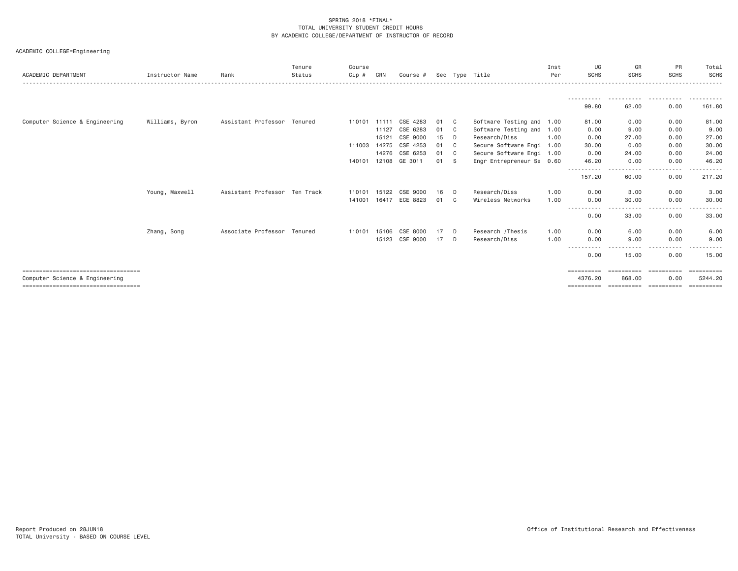| ACADEMIC DEPARTMENT                                                      | Instructor Name | Rank                          | Tenure<br>Status | Course<br>Cip # | CRN   | Course #              |    |                | Sec Type Title            | Inst<br>Per | UG<br><b>SCHS</b>     | GR<br><b>SCHS</b>                                                                                                                          | PR<br><b>SCHS</b>                                                                                                                                                                                  | Total<br>SCHS         |
|--------------------------------------------------------------------------|-----------------|-------------------------------|------------------|-----------------|-------|-----------------------|----|----------------|---------------------------|-------------|-----------------------|--------------------------------------------------------------------------------------------------------------------------------------------|----------------------------------------------------------------------------------------------------------------------------------------------------------------------------------------------------|-----------------------|
|                                                                          |                 |                               |                  |                 |       |                       |    |                |                           |             |                       |                                                                                                                                            |                                                                                                                                                                                                    |                       |
|                                                                          |                 |                               |                  |                 |       |                       |    |                |                           |             |                       |                                                                                                                                            |                                                                                                                                                                                                    |                       |
|                                                                          |                 |                               |                  |                 |       |                       |    |                |                           |             | 99.80                 | 62.00                                                                                                                                      | 0.00                                                                                                                                                                                               | 161.80                |
| Computer Science & Engineering                                           | Williams, Byron | Assistant Professor Tenured   |                  | 110101 11111    |       | CSE 4283              | 01 | C.             | Software Testing and 1.00 |             | 81.00                 | 0.00                                                                                                                                       | 0.00                                                                                                                                                                                               | 81.00                 |
|                                                                          |                 |                               |                  |                 | 11127 | CSE 6283              | 01 | C              | Software Testing and 1.00 |             | 0.00                  | 9.00                                                                                                                                       | 0.00                                                                                                                                                                                               | 9.00                  |
|                                                                          |                 |                               |                  |                 | 15121 | CSE 9000              | 15 | D              | Research/Diss             | 1.00        | 0.00                  | 27.00                                                                                                                                      | 0.00                                                                                                                                                                                               | 27.00                 |
|                                                                          |                 |                               |                  | 111003          | 14275 | CSE 4253              | 01 | C              | Secure Software Engi 1.00 |             | 30.00                 | 0.00                                                                                                                                       | 0.00                                                                                                                                                                                               | 30.00                 |
|                                                                          |                 |                               |                  |                 | 14276 | CSE 6253              | 01 | C.             | Secure Software Engi 1.00 |             | 0.00                  | 24.00                                                                                                                                      | 0.00                                                                                                                                                                                               | 24.00                 |
|                                                                          |                 |                               |                  | 140101 12108    |       | GE 3011               | 01 | - S            | Engr Entrepreneur Se 0.60 |             | 46.20<br>.            | 0.00<br>$  -$<br>$\frac{1}{2} \left( \frac{1}{2} \right) \left( \frac{1}{2} \right) \left( \frac{1}{2} \right) \left( \frac{1}{2} \right)$ | 0.00<br>$- - -$<br>$\frac{1}{2} \left( \frac{1}{2} \right) \left( \frac{1}{2} \right) \left( \frac{1}{2} \right) \left( \frac{1}{2} \right) \left( \frac{1}{2} \right) \left( \frac{1}{2} \right)$ | 46.20<br>.            |
|                                                                          |                 |                               |                  |                 |       |                       |    |                |                           |             | 157.20                | 60.00                                                                                                                                      | 0.00                                                                                                                                                                                               | 217.20                |
|                                                                          | Young, Maxwell  | Assistant Professor Ten Track |                  |                 |       | 110101 15122 CSE 9000 | 16 | <b>D</b>       | Research/Diss             | 1,00        | 0.00                  | 3.00                                                                                                                                       | 0.00                                                                                                                                                                                               | 3.00                  |
|                                                                          |                 |                               |                  | 141001          |       | 16417 ECE 8823        | 01 | C <sub>c</sub> | Wireless Networks         | 1,00        | 0.00                  | 30,00                                                                                                                                      | 0.00                                                                                                                                                                                               | 30.00                 |
|                                                                          |                 |                               |                  |                 |       |                       |    |                |                           |             | 0.00                  | 33,00                                                                                                                                      | .<br>0.00                                                                                                                                                                                          | 33.00                 |
|                                                                          | Zhang, Song     | Associate Professor Tenured   |                  | 110101          |       | 15106 CSE 8000        | 17 | <b>D</b>       | Research / Thesis         | 1.00        | 0.00                  | 6.00                                                                                                                                       | 0.00                                                                                                                                                                                               | 6.00                  |
|                                                                          |                 |                               |                  |                 |       | 15123 CSE 9000        | 17 | $\mathsf{D}$   | Research/Diss             | 1.00        | 0.00                  | 9.00                                                                                                                                       | 0.00                                                                                                                                                                                               | 9.00                  |
|                                                                          |                 |                               |                  |                 |       |                       |    |                |                           |             | 0.00                  | 15.00                                                                                                                                      | 0.00                                                                                                                                                                                               | 15.00                 |
| ====================================                                     |                 |                               |                  |                 |       |                       |    |                |                           |             | ==========            |                                                                                                                                            |                                                                                                                                                                                                    | ==========            |
| Computer Science & Engineering<br>====================================== |                 |                               |                  |                 |       |                       |    |                |                           |             | 4376.20<br>========== | 868,00<br>==========                                                                                                                       | 0.00<br>-----------                                                                                                                                                                                | 5244.20<br>========== |
|                                                                          |                 |                               |                  |                 |       |                       |    |                |                           |             |                       |                                                                                                                                            |                                                                                                                                                                                                    |                       |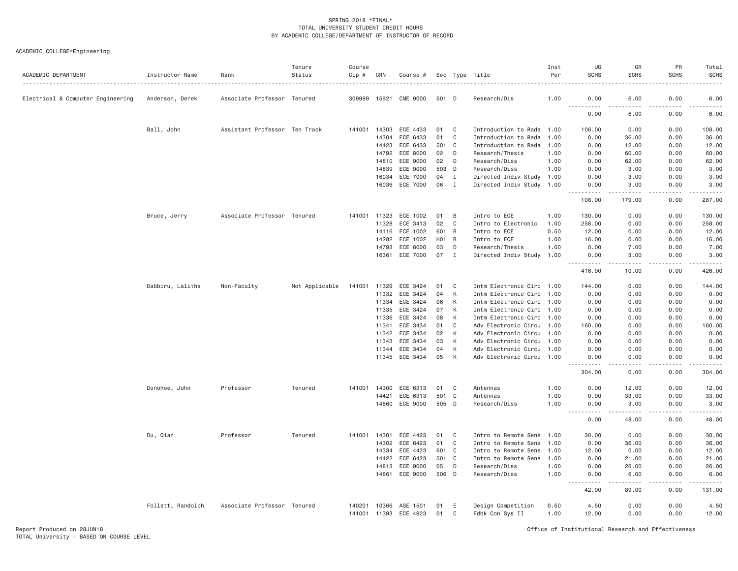| CME 9000<br>6.00<br>0.00<br>Electrical & Computer Engineering<br>Associate Professor Tenured<br>309999 15921<br>501 D<br>1.00<br>0.00<br>Anderson, Derek<br>Research/Dis<br>.<br>.<br>0.00<br>6.00<br>0.00<br>Ball, John<br>Assistant Professor Ten Track<br>141001<br>14303<br>ECE 4433<br>01<br>C<br>Introduction to Rada 1.00<br>108.00<br>0.00<br>0.00<br>14304<br>ECE 6433<br>01<br>C<br>Introduction to Rada<br>0.00<br>36.00<br>0.00<br>1.00<br>14423<br>ECE 6433<br>501<br>C<br>Introduction to Rada<br>0.00<br>12.00<br>0.00<br>1.00<br>ECE 8000<br>14792<br>02<br>D<br>Research/Thesis<br>0.00<br>60.00<br>0.00<br>1.00<br>ECE 9000<br>02<br>0.00<br>62.00<br>14810<br>D<br>Research/Diss<br>1.00<br>0.00<br>62.00<br>ECE 9000<br>503<br>14839<br>D<br>Research/Diss<br>1.00<br>0.00<br>3.00<br>0.00<br>3.00<br>ECE 7000<br>16034<br>04<br>I<br>Directed Indiv Study<br>3.00<br>0.00<br>1.00<br>0.00<br>3.00<br>06<br>16036<br>ECE 7000<br>I<br>Directed Indiv Study 1.00<br>0.00<br>3.00<br>0.00<br>3.00<br>108.00<br>179.00<br>0.00<br>Bruce, Jerry<br>Associate Professor Tenured<br>141001 11323<br>ECE 1002<br>1.00<br>130.00<br>0.00<br>0.00<br>01<br>B<br>Intro to ECE<br>11328<br>ECE 3413<br>02<br>C<br>Intro to Electronic<br>258.00<br>0.00<br>0.00<br>1.00<br>ECE 1002<br>601<br>14116<br>B<br>Intro to ECE<br>0.50<br>12.00<br>0.00<br>0.00<br>ECE 1002<br>14282<br>H01<br>B<br>Intro to ECE<br>1.00<br>16.00<br>0.00<br>0.00<br>03<br>14793<br>ECE 8000<br>D<br>Research/Thesis<br>1.00<br>0.00<br>7.00<br>0.00<br>16361<br>ECE 7000<br>07<br>$\mathbf{I}$<br>Directed Indiv Study 1.00<br>3.00<br>0.00<br>3.00<br>0.00<br>.<br>$\frac{1}{2} \left( \frac{1}{2} \right) \left( \frac{1}{2} \right) \left( \frac{1}{2} \right) \left( \frac{1}{2} \right) \left( \frac{1}{2} \right)$<br>.<br>416.00<br>10.00<br>0.00 | ACADEMIC DEPARTMENT | Instructor Name | Rank | Tenure<br>Status | Course<br>Cip # | CRN | Course # |  | Sec Type Title | Inst<br>Per | UG<br><b>SCHS</b> | GR<br><b>SCHS</b> | PR<br><b>SCHS</b> | Total<br><b>SCHS</b> |
|----------------------------------------------------------------------------------------------------------------------------------------------------------------------------------------------------------------------------------------------------------------------------------------------------------------------------------------------------------------------------------------------------------------------------------------------------------------------------------------------------------------------------------------------------------------------------------------------------------------------------------------------------------------------------------------------------------------------------------------------------------------------------------------------------------------------------------------------------------------------------------------------------------------------------------------------------------------------------------------------------------------------------------------------------------------------------------------------------------------------------------------------------------------------------------------------------------------------------------------------------------------------------------------------------------------------------------------------------------------------------------------------------------------------------------------------------------------------------------------------------------------------------------------------------------------------------------------------------------------------------------------------------------------------------------------------------------------------------------------------------------------------------------------------------------------------------------------------|---------------------|-----------------|------|------------------|-----------------|-----|----------|--|----------------|-------------|-------------------|-------------------|-------------------|----------------------|
|                                                                                                                                                                                                                                                                                                                                                                                                                                                                                                                                                                                                                                                                                                                                                                                                                                                                                                                                                                                                                                                                                                                                                                                                                                                                                                                                                                                                                                                                                                                                                                                                                                                                                                                                                                                                                                              |                     |                 |      |                  |                 |     |          |  |                |             |                   |                   |                   | 6.00                 |
|                                                                                                                                                                                                                                                                                                                                                                                                                                                                                                                                                                                                                                                                                                                                                                                                                                                                                                                                                                                                                                                                                                                                                                                                                                                                                                                                                                                                                                                                                                                                                                                                                                                                                                                                                                                                                                              |                     |                 |      |                  |                 |     |          |  |                |             |                   |                   |                   | 6.00                 |
|                                                                                                                                                                                                                                                                                                                                                                                                                                                                                                                                                                                                                                                                                                                                                                                                                                                                                                                                                                                                                                                                                                                                                                                                                                                                                                                                                                                                                                                                                                                                                                                                                                                                                                                                                                                                                                              |                     |                 |      |                  |                 |     |          |  |                |             |                   |                   |                   | 108.00               |
|                                                                                                                                                                                                                                                                                                                                                                                                                                                                                                                                                                                                                                                                                                                                                                                                                                                                                                                                                                                                                                                                                                                                                                                                                                                                                                                                                                                                                                                                                                                                                                                                                                                                                                                                                                                                                                              |                     |                 |      |                  |                 |     |          |  |                |             |                   |                   |                   | 36.00                |
|                                                                                                                                                                                                                                                                                                                                                                                                                                                                                                                                                                                                                                                                                                                                                                                                                                                                                                                                                                                                                                                                                                                                                                                                                                                                                                                                                                                                                                                                                                                                                                                                                                                                                                                                                                                                                                              |                     |                 |      |                  |                 |     |          |  |                |             |                   |                   |                   | 12.00                |
|                                                                                                                                                                                                                                                                                                                                                                                                                                                                                                                                                                                                                                                                                                                                                                                                                                                                                                                                                                                                                                                                                                                                                                                                                                                                                                                                                                                                                                                                                                                                                                                                                                                                                                                                                                                                                                              |                     |                 |      |                  |                 |     |          |  |                |             |                   |                   |                   | 60.00                |
|                                                                                                                                                                                                                                                                                                                                                                                                                                                                                                                                                                                                                                                                                                                                                                                                                                                                                                                                                                                                                                                                                                                                                                                                                                                                                                                                                                                                                                                                                                                                                                                                                                                                                                                                                                                                                                              |                     |                 |      |                  |                 |     |          |  |                |             |                   |                   |                   |                      |
|                                                                                                                                                                                                                                                                                                                                                                                                                                                                                                                                                                                                                                                                                                                                                                                                                                                                                                                                                                                                                                                                                                                                                                                                                                                                                                                                                                                                                                                                                                                                                                                                                                                                                                                                                                                                                                              |                     |                 |      |                  |                 |     |          |  |                |             |                   |                   |                   |                      |
|                                                                                                                                                                                                                                                                                                                                                                                                                                                                                                                                                                                                                                                                                                                                                                                                                                                                                                                                                                                                                                                                                                                                                                                                                                                                                                                                                                                                                                                                                                                                                                                                                                                                                                                                                                                                                                              |                     |                 |      |                  |                 |     |          |  |                |             |                   |                   |                   |                      |
|                                                                                                                                                                                                                                                                                                                                                                                                                                                                                                                                                                                                                                                                                                                                                                                                                                                                                                                                                                                                                                                                                                                                                                                                                                                                                                                                                                                                                                                                                                                                                                                                                                                                                                                                                                                                                                              |                     |                 |      |                  |                 |     |          |  |                |             |                   |                   |                   |                      |
|                                                                                                                                                                                                                                                                                                                                                                                                                                                                                                                                                                                                                                                                                                                                                                                                                                                                                                                                                                                                                                                                                                                                                                                                                                                                                                                                                                                                                                                                                                                                                                                                                                                                                                                                                                                                                                              |                     |                 |      |                  |                 |     |          |  |                |             |                   |                   |                   | 287.00               |
|                                                                                                                                                                                                                                                                                                                                                                                                                                                                                                                                                                                                                                                                                                                                                                                                                                                                                                                                                                                                                                                                                                                                                                                                                                                                                                                                                                                                                                                                                                                                                                                                                                                                                                                                                                                                                                              |                     |                 |      |                  |                 |     |          |  |                |             |                   |                   |                   | 130.00               |
|                                                                                                                                                                                                                                                                                                                                                                                                                                                                                                                                                                                                                                                                                                                                                                                                                                                                                                                                                                                                                                                                                                                                                                                                                                                                                                                                                                                                                                                                                                                                                                                                                                                                                                                                                                                                                                              |                     |                 |      |                  |                 |     |          |  |                |             |                   |                   |                   | 258.00               |
|                                                                                                                                                                                                                                                                                                                                                                                                                                                                                                                                                                                                                                                                                                                                                                                                                                                                                                                                                                                                                                                                                                                                                                                                                                                                                                                                                                                                                                                                                                                                                                                                                                                                                                                                                                                                                                              |                     |                 |      |                  |                 |     |          |  |                |             |                   |                   |                   | 12.00                |
|                                                                                                                                                                                                                                                                                                                                                                                                                                                                                                                                                                                                                                                                                                                                                                                                                                                                                                                                                                                                                                                                                                                                                                                                                                                                                                                                                                                                                                                                                                                                                                                                                                                                                                                                                                                                                                              |                     |                 |      |                  |                 |     |          |  |                |             |                   |                   |                   | 16.00                |
|                                                                                                                                                                                                                                                                                                                                                                                                                                                                                                                                                                                                                                                                                                                                                                                                                                                                                                                                                                                                                                                                                                                                                                                                                                                                                                                                                                                                                                                                                                                                                                                                                                                                                                                                                                                                                                              |                     |                 |      |                  |                 |     |          |  |                |             |                   |                   |                   | 7.00                 |
|                                                                                                                                                                                                                                                                                                                                                                                                                                                                                                                                                                                                                                                                                                                                                                                                                                                                                                                                                                                                                                                                                                                                                                                                                                                                                                                                                                                                                                                                                                                                                                                                                                                                                                                                                                                                                                              |                     |                 |      |                  |                 |     |          |  |                |             |                   |                   |                   | .                    |
|                                                                                                                                                                                                                                                                                                                                                                                                                                                                                                                                                                                                                                                                                                                                                                                                                                                                                                                                                                                                                                                                                                                                                                                                                                                                                                                                                                                                                                                                                                                                                                                                                                                                                                                                                                                                                                              |                     |                 |      |                  |                 |     |          |  |                |             |                   |                   |                   | 426.00               |
| Dabbiru, Lalitha<br>11329<br>ECE 3424<br>C<br>Intm Electronic Circ 1.00<br>0.00<br>0.00<br>Non-Faculty<br>Not Applicable<br>141001<br>01<br>144.00                                                                                                                                                                                                                                                                                                                                                                                                                                                                                                                                                                                                                                                                                                                                                                                                                                                                                                                                                                                                                                                                                                                                                                                                                                                                                                                                                                                                                                                                                                                                                                                                                                                                                           |                     |                 |      |                  |                 |     |          |  |                |             |                   |                   |                   | 144.00               |
| ECE 3424<br>К<br>Intm Electronic Circ 1.00<br>0.00<br>0.00<br>11332<br>04<br>0.00                                                                                                                                                                                                                                                                                                                                                                                                                                                                                                                                                                                                                                                                                                                                                                                                                                                                                                                                                                                                                                                                                                                                                                                                                                                                                                                                                                                                                                                                                                                                                                                                                                                                                                                                                            |                     |                 |      |                  |                 |     |          |  |                |             |                   |                   |                   | 0.00                 |
| K<br>11334<br>ECE 3424<br>06<br>Intm Electronic Circ 1.00<br>0.00<br>0.00<br>0.00                                                                                                                                                                                                                                                                                                                                                                                                                                                                                                                                                                                                                                                                                                                                                                                                                                                                                                                                                                                                                                                                                                                                                                                                                                                                                                                                                                                                                                                                                                                                                                                                                                                                                                                                                            |                     |                 |      |                  |                 |     |          |  |                |             |                   |                   |                   | 0.00                 |
| 11335<br>ECE 3424<br>07<br>K<br>Intm Electronic Circ 1.00<br>0.00<br>0.00<br>0.00                                                                                                                                                                                                                                                                                                                                                                                                                                                                                                                                                                                                                                                                                                                                                                                                                                                                                                                                                                                                                                                                                                                                                                                                                                                                                                                                                                                                                                                                                                                                                                                                                                                                                                                                                            |                     |                 |      |                  |                 |     |          |  |                |             |                   |                   |                   | 0.00                 |
| 11336<br>ECE 3424<br>08<br>К<br>Intm Electronic Circ 1.00<br>0.00<br>0.00<br>0.00                                                                                                                                                                                                                                                                                                                                                                                                                                                                                                                                                                                                                                                                                                                                                                                                                                                                                                                                                                                                                                                                                                                                                                                                                                                                                                                                                                                                                                                                                                                                                                                                                                                                                                                                                            |                     |                 |      |                  |                 |     |          |  |                |             |                   |                   |                   | 0.00                 |
| ECE 3434<br>11341<br>01<br>C<br>Adv Electronic Circu 1.00<br>160.00<br>0.00<br>0.00                                                                                                                                                                                                                                                                                                                                                                                                                                                                                                                                                                                                                                                                                                                                                                                                                                                                                                                                                                                                                                                                                                                                                                                                                                                                                                                                                                                                                                                                                                                                                                                                                                                                                                                                                          |                     |                 |      |                  |                 |     |          |  |                |             |                   |                   |                   | 160.00               |
| ECE 3434<br>11342<br>02<br>K<br>Adv Electronic Circu 1.00<br>0.00<br>0.00<br>0.00                                                                                                                                                                                                                                                                                                                                                                                                                                                                                                                                                                                                                                                                                                                                                                                                                                                                                                                                                                                                                                                                                                                                                                                                                                                                                                                                                                                                                                                                                                                                                                                                                                                                                                                                                            |                     |                 |      |                  |                 |     |          |  |                |             |                   |                   |                   | 0.00                 |
| ECE 3434<br>К<br>11343<br>03<br>Adv Electronic Circu<br>0.00<br>0.00<br>0.00<br>1.00                                                                                                                                                                                                                                                                                                                                                                                                                                                                                                                                                                                                                                                                                                                                                                                                                                                                                                                                                                                                                                                                                                                                                                                                                                                                                                                                                                                                                                                                                                                                                                                                                                                                                                                                                         |                     |                 |      |                  |                 |     |          |  |                |             |                   |                   |                   | 0.00                 |
| К<br>ECE 3434<br>04<br>Adv Electronic Circu 1.00<br>0.00<br>0.00<br>11344<br>0.00                                                                                                                                                                                                                                                                                                                                                                                                                                                                                                                                                                                                                                                                                                                                                                                                                                                                                                                                                                                                                                                                                                                                                                                                                                                                                                                                                                                                                                                                                                                                                                                                                                                                                                                                                            |                     |                 |      |                  |                 |     |          |  |                |             |                   |                   |                   | 0.00                 |
| 11345 ECE 3434<br>05<br>K<br>0.00<br>Adv Electronic Circu 1.00<br>0.00<br>0.00                                                                                                                                                                                                                                                                                                                                                                                                                                                                                                                                                                                                                                                                                                                                                                                                                                                                                                                                                                                                                                                                                                                                                                                                                                                                                                                                                                                                                                                                                                                                                                                                                                                                                                                                                               |                     |                 |      |                  |                 |     |          |  |                |             |                   |                   |                   | 0.00                 |
| 304.00<br>0.00<br>0.00                                                                                                                                                                                                                                                                                                                                                                                                                                                                                                                                                                                                                                                                                                                                                                                                                                                                                                                                                                                                                                                                                                                                                                                                                                                                                                                                                                                                                                                                                                                                                                                                                                                                                                                                                                                                                       |                     |                 |      |                  |                 |     |          |  |                |             |                   |                   |                   | 304.00               |
| Professor<br>Tenured<br>141001 14300<br>Donohoe, John<br>ECE 6313<br>01<br>C<br>Antennas<br>1.00<br>0.00<br>12.00<br>0.00                                                                                                                                                                                                                                                                                                                                                                                                                                                                                                                                                                                                                                                                                                                                                                                                                                                                                                                                                                                                                                                                                                                                                                                                                                                                                                                                                                                                                                                                                                                                                                                                                                                                                                                    |                     |                 |      |                  |                 |     |          |  |                |             |                   |                   |                   | 12.00                |
| 501<br>$\mathsf{C}$<br>0.00<br>14421<br>ECE 6313<br>1.00<br>0.00<br>33.00<br>Antennas                                                                                                                                                                                                                                                                                                                                                                                                                                                                                                                                                                                                                                                                                                                                                                                                                                                                                                                                                                                                                                                                                                                                                                                                                                                                                                                                                                                                                                                                                                                                                                                                                                                                                                                                                        |                     |                 |      |                  |                 |     |          |  |                |             |                   |                   |                   | 33.00                |
| 14860<br>ECE 9000<br>505<br>D<br>1.00<br>3.00<br>0.00<br>Research/Diss<br>0.00<br><b></b><br>$- - - - -$<br>.                                                                                                                                                                                                                                                                                                                                                                                                                                                                                                                                                                                                                                                                                                                                                                                                                                                                                                                                                                                                                                                                                                                                                                                                                                                                                                                                                                                                                                                                                                                                                                                                                                                                                                                                |                     |                 |      |                  |                 |     |          |  |                |             |                   |                   |                   | 3.00<br>.            |
| 0.00<br>48.00<br>0.00                                                                                                                                                                                                                                                                                                                                                                                                                                                                                                                                                                                                                                                                                                                                                                                                                                                                                                                                                                                                                                                                                                                                                                                                                                                                                                                                                                                                                                                                                                                                                                                                                                                                                                                                                                                                                        |                     |                 |      |                  |                 |     |          |  |                |             |                   |                   |                   | 48.00                |
| Du, Qian<br>Professor<br>Tenured<br>141001 14301<br>ECE 4423<br>Intro to Remote Sens 1.00<br>0.00<br>01<br>C<br>30.00<br>0.00                                                                                                                                                                                                                                                                                                                                                                                                                                                                                                                                                                                                                                                                                                                                                                                                                                                                                                                                                                                                                                                                                                                                                                                                                                                                                                                                                                                                                                                                                                                                                                                                                                                                                                                |                     |                 |      |                  |                 |     |          |  |                |             |                   |                   |                   | 30.00                |
| ECE 6423<br>14302<br>01<br>C<br>Intro to Remote Sens 1.00<br>0.00<br>36.00<br>0.00                                                                                                                                                                                                                                                                                                                                                                                                                                                                                                                                                                                                                                                                                                                                                                                                                                                                                                                                                                                                                                                                                                                                                                                                                                                                                                                                                                                                                                                                                                                                                                                                                                                                                                                                                           |                     |                 |      |                  |                 |     |          |  |                |             |                   |                   |                   | 36.00                |
| ECE 4423<br>14334<br>601<br>$\mathbf{C}$<br>Intro to Remote Sens<br>12.00<br>0.00<br>0.00<br>1.00                                                                                                                                                                                                                                                                                                                                                                                                                                                                                                                                                                                                                                                                                                                                                                                                                                                                                                                                                                                                                                                                                                                                                                                                                                                                                                                                                                                                                                                                                                                                                                                                                                                                                                                                            |                     |                 |      |                  |                 |     |          |  |                |             |                   |                   |                   | 12.00                |
| ECE 6423<br>14422<br>501<br>C<br>Intro to Remote Sens<br>0.00<br>21.00<br>0.00<br>1.00                                                                                                                                                                                                                                                                                                                                                                                                                                                                                                                                                                                                                                                                                                                                                                                                                                                                                                                                                                                                                                                                                                                                                                                                                                                                                                                                                                                                                                                                                                                                                                                                                                                                                                                                                       |                     |                 |      |                  |                 |     |          |  |                |             |                   |                   |                   | 21.00                |
| 14813<br>ECE 9000<br>05<br>D<br>Research/Diss<br>0.00<br>26.00<br>0.00<br>1.00                                                                                                                                                                                                                                                                                                                                                                                                                                                                                                                                                                                                                                                                                                                                                                                                                                                                                                                                                                                                                                                                                                                                                                                                                                                                                                                                                                                                                                                                                                                                                                                                                                                                                                                                                               |                     |                 |      |                  |                 |     |          |  |                |             |                   |                   |                   | 26.00                |
| ECE 9000<br>506<br>D<br>14861<br>Research/Diss<br>1.00<br>0.00<br>6.00<br>0.00<br>.<br>-----<br>.<br>.                                                                                                                                                                                                                                                                                                                                                                                                                                                                                                                                                                                                                                                                                                                                                                                                                                                                                                                                                                                                                                                                                                                                                                                                                                                                                                                                                                                                                                                                                                                                                                                                                                                                                                                                       |                     |                 |      |                  |                 |     |          |  |                |             |                   |                   |                   | 6.00                 |
| 42.00<br>89.00<br>0.00                                                                                                                                                                                                                                                                                                                                                                                                                                                                                                                                                                                                                                                                                                                                                                                                                                                                                                                                                                                                                                                                                                                                                                                                                                                                                                                                                                                                                                                                                                                                                                                                                                                                                                                                                                                                                       |                     |                 |      |                  |                 |     |          |  |                |             |                   |                   |                   | 131.00               |
| Follett, Randolph<br>Associate Professor Tenured<br>140201<br>10366<br>ASE 1501<br>01<br>E<br>Design Competition<br>0.50<br>4.50<br>0.00<br>0.00<br>141001 11393 ECE 4923<br>01<br>C<br>Fdbk Con Sys II<br>1.00<br>0.00<br>0.00<br>12.00                                                                                                                                                                                                                                                                                                                                                                                                                                                                                                                                                                                                                                                                                                                                                                                                                                                                                                                                                                                                                                                                                                                                                                                                                                                                                                                                                                                                                                                                                                                                                                                                     |                     |                 |      |                  |                 |     |          |  |                |             |                   |                   |                   | 4.50<br>12.00        |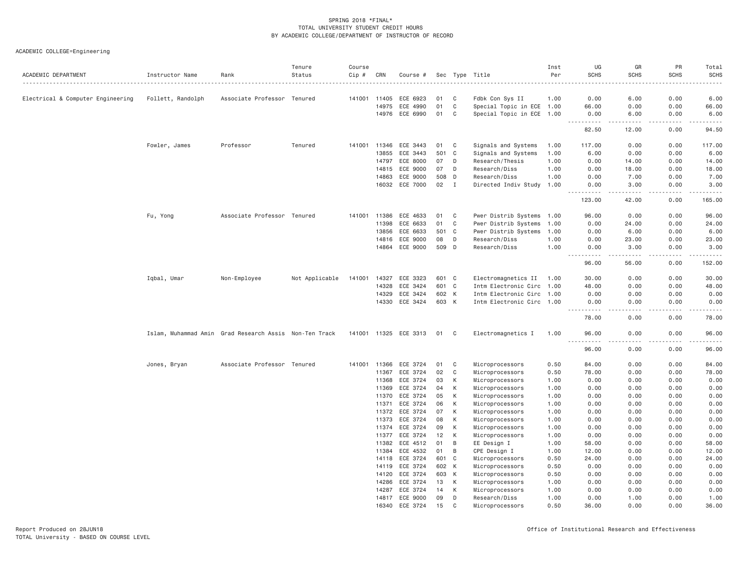| ACADEMIC DEPARTMENT               | Instructor Name                                        | Rank                        | Tenure<br>Status | Course<br>Cip # | CRN   | Course #              |       |                | Sec Type Title                                         | Inst<br>Per | UG<br><b>SCHS</b>     | GR<br><b>SCHS</b> | PR<br><b>SCHS</b> | Total<br><b>SCHS</b>  |
|-----------------------------------|--------------------------------------------------------|-----------------------------|------------------|-----------------|-------|-----------------------|-------|----------------|--------------------------------------------------------|-------------|-----------------------|-------------------|-------------------|-----------------------|
|                                   |                                                        |                             |                  | 141001          | 11405 | ECE 6923              | 01    | C              |                                                        | 1.00        | 0.00                  | 6.00              | 0.00              | 6.00                  |
| Electrical & Computer Engineering | Follett, Randolph                                      | Associate Professor Tenured |                  |                 | 14975 | ECE 4990              | 01    | C              | Fdbk Con Sys II                                        |             | 66.00                 | 0.00              | 0.00              |                       |
|                                   |                                                        |                             |                  |                 | 14976 | ECE 6990              | 01    | C              | Special Topic in ECE 1.00<br>Special Topic in ECE 1.00 |             | 0.00                  | 6.00              | 0.00              | 66.00<br>6.00         |
|                                   |                                                        |                             |                  |                 |       |                       |       |                |                                                        |             | .                     | .                 | <u>.</u>          | .                     |
|                                   |                                                        |                             |                  |                 |       |                       |       |                |                                                        |             | 82.50                 | 12.00             | 0.00              | 94.50                 |
|                                   | Fowler, James                                          | Professor                   | Tenured          | 141001          | 11346 | ECE 3443              | 01    | C              | Signals and Systems                                    | 1.00        | 117.00                | 0.00              | 0.00              | 117.00                |
|                                   |                                                        |                             |                  |                 | 13855 | ECE 3443              | 501   | $\mathbf{C}$   | Signals and Systems                                    | 1.00        | 6.00                  | 0.00              | 0.00              | 6.00                  |
|                                   |                                                        |                             |                  |                 | 14797 | ECE 8000              | 07    | D              | Research/Thesis                                        | 1.00        | 0.00                  | 14.00             | 0.00              | 14.00                 |
|                                   |                                                        |                             |                  |                 | 14815 | ECE 9000              | 07    | D              | Research/Diss                                          | 1.00        | 0.00                  | 18.00             | 0.00              | 18.00                 |
|                                   |                                                        |                             |                  |                 | 14863 | ECE 9000              | 508   | D              | Research/Diss                                          | 1.00        | 0.00                  | 7.00              | 0.00              | 7.00                  |
|                                   |                                                        |                             |                  |                 | 16032 | ECE 7000              | 02    | $\mathbf{I}$   | Directed Indiv Study 1.00                              |             | 0.00<br>.             | 3,00<br>.         | 0.00<br>.         | 3.00<br>$- - - - - -$ |
|                                   |                                                        |                             |                  |                 |       |                       |       |                |                                                        |             | 123.00                | 42.00             | 0.00              | 165.00                |
|                                   | Fu, Yong                                               | Associate Professor Tenured |                  | 141001          | 11386 | ECE 4633              | 01    | C              | Pwer Distrib Systems                                   | 1.00        | 96.00                 | 0.00              | 0.00              | 96.00                 |
|                                   |                                                        |                             |                  |                 | 11398 | ECE 6633              | 01    | C              | Pwer Distrib Systems                                   | 1.00        | 0.00                  | 24.00             | 0.00              | 24.00                 |
|                                   |                                                        |                             |                  |                 | 13856 | ECE 6633              | 501 C |                | Pwer Distrib Systems                                   | 1.00        | 0.00                  | 6.00              | 0.00              | 6.00                  |
|                                   |                                                        |                             |                  |                 | 14816 | ECE 9000              | 08    | D              | Research/Diss                                          | 1.00        | 0.00                  | 23.00             | 0.00              | 23.00                 |
|                                   |                                                        |                             |                  |                 | 14864 | ECE 9000              | 509 D |                | Research/Diss                                          | 1.00        | 0.00                  | 3.00              | 0.00              | 3.00                  |
|                                   |                                                        |                             |                  |                 |       |                       |       |                |                                                        |             | .<br>$- - -$<br>96.00 | .<br>56.00        | .<br>0.00         | وعاملت مالك<br>152.00 |
|                                   | Iqbal, Umar                                            | Non-Employee                | Not Applicable   | 141001          | 14327 | ECE 3323              | 601 C |                | Electromagnetics II                                    | 1.00        | 30.00                 | 0.00              | 0.00              | 30.00                 |
|                                   |                                                        |                             |                  |                 | 14328 | ECE 3424              | 601 C |                | Intm Electronic Circ 1.00                              |             | 48.00                 | 0.00              | 0.00              | 48.00                 |
|                                   |                                                        |                             |                  |                 | 14329 | ECE 3424              | 602 K |                | Intm Electronic Circ                                   | 1.00        | 0.00                  | 0.00              | 0.00              | 0.00                  |
|                                   |                                                        |                             |                  |                 | 14330 | ECE 3424              | 603 K |                | Intm Electronic Circ 1.00                              |             | 0.00<br>.<br>.        | 0.00<br>----      | 0.00<br>.         | 0.00<br>$- - - -$     |
|                                   |                                                        |                             |                  |                 |       |                       |       |                |                                                        |             | 78.00                 | 0.00              | 0.00              | 78,00                 |
|                                   | Islam, Muhammad Amin Grad Research Assis Non-Ten Track |                             |                  |                 |       | 141001 11325 ECE 3313 | 01    | C <sub>1</sub> | Electromagnetics I                                     | 1.00        | 96.00                 | 0.00              | 0.00              | 96.00                 |
|                                   |                                                        |                             |                  |                 |       |                       |       |                |                                                        |             | <u>.</u><br>96.00     | $- - -$<br>0.00   | .<br>0.00         | .<br>96.00            |
|                                   | Jones, Bryan                                           | Associate Professor Tenured |                  | 141001          | 11366 | ECE 3724              | 01    | C              | Microprocessors                                        | 0.50        | 84.00                 | 0.00              | 0.00              | 84.00                 |
|                                   |                                                        |                             |                  |                 | 11367 | ECE 3724              | 02    | C              | Microprocessors                                        | 0.50        | 78.00                 | 0.00              | 0.00              | 78.00                 |
|                                   |                                                        |                             |                  |                 | 11368 | ECE 3724              | 03    | К              | Microprocessors                                        | 1.00        | 0.00                  | 0.00              | 0.00              | 0.00                  |
|                                   |                                                        |                             |                  |                 | 11369 | ECE 3724              | 04    | К              | Microprocessors                                        | 1.00        | 0.00                  | 0.00              | 0.00              | 0.00                  |
|                                   |                                                        |                             |                  |                 | 11370 | ECE 3724              | 05    | К              | Microprocessors                                        | 1.00        | 0.00                  | 0.00              | 0.00              | 0.00                  |
|                                   |                                                        |                             |                  |                 | 11371 | ECE 3724              | 06    | К              | Microprocessors                                        | 1.00        | 0.00                  | 0.00              | 0.00              | 0.00                  |
|                                   |                                                        |                             |                  |                 | 11372 | ECE 3724              | 07    | К              | Microprocessors                                        | 1.00        | 0.00                  | 0.00              | 0.00              | 0.00                  |
|                                   |                                                        |                             |                  |                 | 11373 | ECE 3724              | 08    | K              | Microprocessors                                        | 1.00        | 0.00                  | 0.00              | 0.00              | 0.00                  |
|                                   |                                                        |                             |                  |                 | 11374 | ECE 3724              | 09    | К              | Microprocessors                                        | 1.00        | 0.00                  | 0.00              | 0.00              | 0.00                  |
|                                   |                                                        |                             |                  |                 | 11377 | ECE 3724              | 12    | К              | Microprocessors                                        | 1.00        | 0.00                  | 0.00              | 0.00              | 0.00                  |
|                                   |                                                        |                             |                  |                 | 11382 | ECE 4512              | 01    | B              | EE Design I                                            | 1.00        | 58.00                 | 0.00              | 0.00              | 58.00                 |
|                                   |                                                        |                             |                  |                 | 11384 | ECE 4532              | 01    | B              | CPE Design I                                           | 1.00        | 12.00                 | 0.00              | 0.00              | 12.00                 |
|                                   |                                                        |                             |                  |                 | 14118 | ECE 3724              | 601 C |                | Microprocessors                                        | 0.50        | 24,00                 | 0.00              | 0.00              | 24.00                 |
|                                   |                                                        |                             |                  |                 | 14119 | ECE 3724              | 602 K |                | Microprocessors                                        | 0.50        | 0.00                  | 0.00              | 0.00              | 0.00                  |
|                                   |                                                        |                             |                  |                 | 14120 | ECE 3724              | 603   | K              | Microprocessors                                        | 0.50        | 0.00                  | 0.00              | 0.00              | 0.00                  |
|                                   |                                                        |                             |                  |                 | 14286 | ECE 3724              | 13    | К              | Microprocessors                                        | 1.00        | 0.00                  | 0.00              | 0.00              | 0.00                  |
|                                   |                                                        |                             |                  |                 | 14287 | ECE 3724              | 14    | K              | Microprocessors                                        | 1.00        | 0.00                  | 0.00              | 0.00              | 0.00                  |
|                                   |                                                        |                             |                  |                 | 14817 | ECE 9000              | 09    | D              | Research/Diss                                          | 1.00        | 0.00                  | 1.00              | 0.00              | 1.00                  |
|                                   |                                                        |                             |                  |                 | 16340 | ECE 3724              | 15    | C              | Microprocessors                                        | 0.50        | 36.00                 | 0.00              | 0.00              | 36.00                 |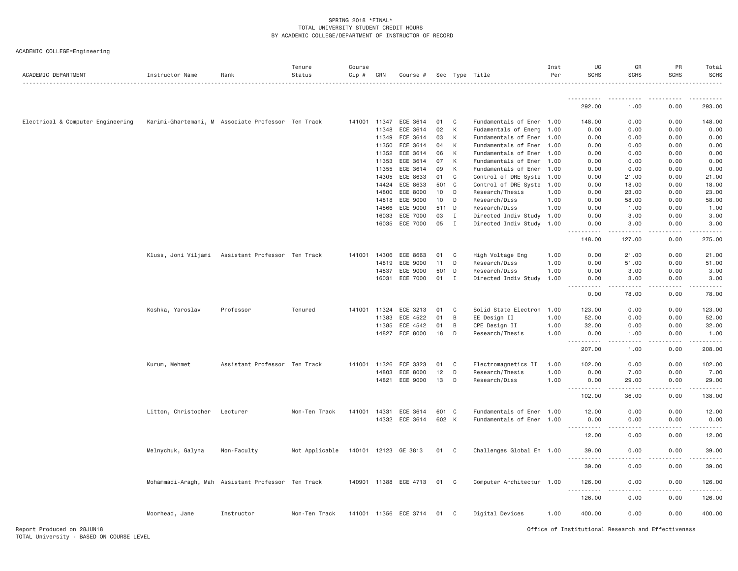| ACADEMIC DEPARTMENT               | Instructor Name                                    | Rank                          | Tenure<br>Status | Course<br>$Cip \#$ | CRN   | Course #              |       |                | Sec Type Title            | Inst<br>Per | UG<br><b>SCHS</b>                                                                                                                                | GR<br><b>SCHS</b>                                                                                                                                            | PR<br><b>SCHS</b> | Total<br>SCHS |
|-----------------------------------|----------------------------------------------------|-------------------------------|------------------|--------------------|-------|-----------------------|-------|----------------|---------------------------|-------------|--------------------------------------------------------------------------------------------------------------------------------------------------|--------------------------------------------------------------------------------------------------------------------------------------------------------------|-------------------|---------------|
|                                   |                                                    |                               |                  |                    |       |                       |       |                |                           |             |                                                                                                                                                  |                                                                                                                                                              |                   |               |
|                                   |                                                    |                               |                  |                    |       |                       |       |                |                           |             | 292.00                                                                                                                                           | 1.00                                                                                                                                                         | 0.00              | 293.00        |
| Electrical & Computer Engineering | Karimi-Ghartemani, M Associate Professor Ten Track |                               |                  | 141001 11347       |       | ECE 3614              | 01    | C              | Fundamentals of Ener 1.00 |             | 148.00                                                                                                                                           | 0.00                                                                                                                                                         | 0.00              | 148.00        |
|                                   |                                                    |                               |                  |                    | 11348 | ECE 3614              | 02    | К              | Fudamentals of Energ      | 1.00        | 0.00                                                                                                                                             | 0.00                                                                                                                                                         | 0.00              | 0.00          |
|                                   |                                                    |                               |                  |                    | 11349 | ECE 3614              | 03    | К              | Fundamentals of Ener      | 1.00        | 0.00                                                                                                                                             | 0.00                                                                                                                                                         | 0.00              | 0.00          |
|                                   |                                                    |                               |                  |                    | 11350 | ECE 3614              | 04    | K              | Fundamentals of Ener      | 1.00        | 0.00                                                                                                                                             | 0.00                                                                                                                                                         | 0.00              | 0.00          |
|                                   |                                                    |                               |                  |                    | 11352 | ECE 3614              | 06    | К              | Fundamentals of Ener      | 1.00        | 0.00                                                                                                                                             | 0.00                                                                                                                                                         | 0.00              | 0.00          |
|                                   |                                                    |                               |                  |                    | 11353 | ECE 3614              | 07    | К              | Fundamentals of Ener      | 1.00        | 0.00                                                                                                                                             | 0.00                                                                                                                                                         | 0.00              | 0.00          |
|                                   |                                                    |                               |                  |                    | 11355 | ECE 3614              | 09    | K              | Fundamentals of Ener      | 1.00        | 0.00                                                                                                                                             | 0.00                                                                                                                                                         | 0.00              | 0.00          |
|                                   |                                                    |                               |                  |                    | 14305 | ECE 8633              | 01    | $\mathbf C$    | Control of DRE Syste      | 1.00        | 0.00                                                                                                                                             | 21.00                                                                                                                                                        | 0.00              | 21.00         |
|                                   |                                                    |                               |                  |                    | 14424 | ECE 8633              | 501   | $\mathbf{C}$   | Control of DRE Syste      | 1.00        | 0.00                                                                                                                                             | 18.00                                                                                                                                                        | 0.00              | 18.00         |
|                                   |                                                    |                               |                  |                    | 14800 | ECE 8000              | 10    | D              | Research/Thesis           | 1.00        | 0.00                                                                                                                                             | 23.00                                                                                                                                                        | 0.00              | 23.00         |
|                                   |                                                    |                               |                  |                    | 14818 | ECE 9000              | 10    | D              | Research/Diss             | 1.00        | 0.00                                                                                                                                             | 58.00                                                                                                                                                        | 0.00              | 58.00         |
|                                   |                                                    |                               |                  |                    | 14866 | ECE 9000              | 511   | D              | Research/Diss             | 1.00        | 0.00                                                                                                                                             | 1.00                                                                                                                                                         | 0.00              | 1.00          |
|                                   |                                                    |                               |                  |                    | 16033 | ECE 7000              | 03    | $\mathbf{I}$   | Directed Indiv Study      | 1.00        | 0.00                                                                                                                                             | 3.00                                                                                                                                                         | 0.00              | 3.00          |
|                                   |                                                    |                               |                  |                    |       | 16035 ECE 7000        | 05    | $\mathbf{I}$   | Directed Indiv Study      | 1.00        | 0.00                                                                                                                                             | 3.00                                                                                                                                                         | 0.00              | 3.00          |
|                                   |                                                    |                               |                  |                    |       |                       |       |                |                           |             | 148.00                                                                                                                                           | 127.00                                                                                                                                                       | 0.00              | 275.00        |
|                                   | Kluss, Joni Viljami Assistant Professor Ten Track  |                               |                  | 141001 14306       |       | ECE 8663              | 01    | C.             | High Voltage Eng          | 1.00        | 0.00                                                                                                                                             | 21.00                                                                                                                                                        | 0.00              | 21.00         |
|                                   |                                                    |                               |                  |                    | 14819 | ECE 9000              | 11    | D              | Research/Diss             | 1.00        | 0.00                                                                                                                                             | 51.00                                                                                                                                                        | 0.00              | 51.00         |
|                                   |                                                    |                               |                  |                    | 14837 | ECE 9000              | 501   | $\mathsf{D}$   | Research/Diss             | 1.00        | 0.00                                                                                                                                             | 3.00                                                                                                                                                         | 0.00              | 3.00          |
|                                   |                                                    |                               |                  |                    | 16031 | ECE 7000              | 01    | $\mathbf{I}$   | Directed Indiv Study      | 1.00        | 0.00                                                                                                                                             | 3.00                                                                                                                                                         | 0.00              | 3.00          |
|                                   |                                                    |                               |                  |                    |       |                       |       |                |                           |             | $- - - - -$<br>$\frac{1}{2} \left( \frac{1}{2} \right) \left( \frac{1}{2} \right) \left( \frac{1}{2} \right) \left( \frac{1}{2} \right)$<br>0.00 | .<br>78.00                                                                                                                                                   | .<br>0.00         | .<br>78.00    |
|                                   | Koshka, Yaroslav                                   | Professor                     | Tenured          | 141001 11324       |       | ECE 3213              | 01    | C              | Solid State Electron      | 1.00        | 123.00                                                                                                                                           | 0.00                                                                                                                                                         | 0.00              | 123.00        |
|                                   |                                                    |                               |                  |                    | 11383 | ECE 4522              | 01    | B              | EE Design II              | 1.00        | 52.00                                                                                                                                            | 0.00                                                                                                                                                         | 0.00              | 52.00         |
|                                   |                                                    |                               |                  |                    | 11385 | ECE 4542              | 01    | B              | CPE Design II             | 1.00        | 32.00                                                                                                                                            | 0.00                                                                                                                                                         | 0.00              | 32.00         |
|                                   |                                                    |                               |                  |                    | 14827 | ECE 8000              | 18    | D              | Research/Thesis           | 1.00        | 0.00                                                                                                                                             | 1.00<br>$\frac{1}{2} \left( \frac{1}{2} \right) \left( \frac{1}{2} \right) \left( \frac{1}{2} \right) \left( \frac{1}{2} \right) \left( \frac{1}{2} \right)$ | 0.00              | 1.00<br>.     |
|                                   |                                                    |                               |                  |                    |       |                       |       |                |                           |             | 207.00                                                                                                                                           | 1.00                                                                                                                                                         | 0.00              | 208.00        |
|                                   | Kurum, Mehmet                                      | Assistant Professor Ten Track |                  | 141001             | 11326 | ECE 3323              | 01    | C              | Electromagnetics II       | 1.00        | 102.00                                                                                                                                           | 0.00                                                                                                                                                         | 0.00              | 102.00        |
|                                   |                                                    |                               |                  |                    | 14803 | ECE 8000              | 12    | D              | Research/Thesis           | 1.00        | 0.00                                                                                                                                             | 7.00                                                                                                                                                         | 0.00              | 7.00          |
|                                   |                                                    |                               |                  |                    | 14821 | ECE 9000              | 13    | D              | Research/Diss             | 1.00        | 0.00<br>.                                                                                                                                        | 29,00<br>$- - - - -$                                                                                                                                         | 0.00<br>.         | 29.00<br>.    |
|                                   |                                                    |                               |                  |                    |       |                       |       |                |                           |             | 102.00                                                                                                                                           | 36.00                                                                                                                                                        | 0.00              | 138.00        |
|                                   | Litton, Christopher                                | Lecturer                      | Non-Ten Track    | 141001             | 14331 | ECE 3614              | 601 C |                | Fundamentals of Ener 1.00 |             | 12.00                                                                                                                                            | 0.00                                                                                                                                                         | 0.00              | 12.00         |
|                                   |                                                    |                               |                  |                    | 14332 | ECE 3614              | 602 K |                | Fundamentals of Ener      | 1.00        | 0.00                                                                                                                                             | 0.00                                                                                                                                                         | 0.00              | 0.00          |
|                                   |                                                    |                               |                  |                    |       |                       |       |                |                           |             | <u>.</u><br>12.00                                                                                                                                | 0.00                                                                                                                                                         | 0.00              | 12.00         |
|                                   | Melnychuk, Galyna                                  | Non-Faculty                   | Not Applicable   |                    |       | 140101 12123 GE 3813  | 01 C  |                | Challenges Global En 1.00 |             | 39.00                                                                                                                                            | 0.00                                                                                                                                                         | 0.00              | 39.00         |
|                                   |                                                    |                               |                  |                    |       |                       |       |                |                           |             | 39.00                                                                                                                                            | 0.00                                                                                                                                                         | 0.00              | 39.00         |
|                                   |                                                    |                               |                  |                    |       |                       |       |                |                           |             |                                                                                                                                                  |                                                                                                                                                              |                   |               |
|                                   | Mohammadi-Aragh, Mah Assistant Professor Ten Track |                               |                  |                    |       | 140901 11388 ECE 4713 | 01    | C <sub>1</sub> | Computer Architectur 1.00 |             | 126.00<br>.                                                                                                                                      | 0.00                                                                                                                                                         | 0.00              | 126.00        |
|                                   |                                                    |                               |                  |                    |       |                       |       |                |                           |             | 126.00                                                                                                                                           | 0.00                                                                                                                                                         | 0.00              | 126.00        |
|                                   | Moorhead, Jane                                     | Instructor                    | Non-Ten Track    |                    |       | 141001 11356 ECE 3714 | 01    | C <sub>1</sub> | Digital Devices           | 1.00        | 400.00                                                                                                                                           | 0.00                                                                                                                                                         | 0.00              | 400.00        |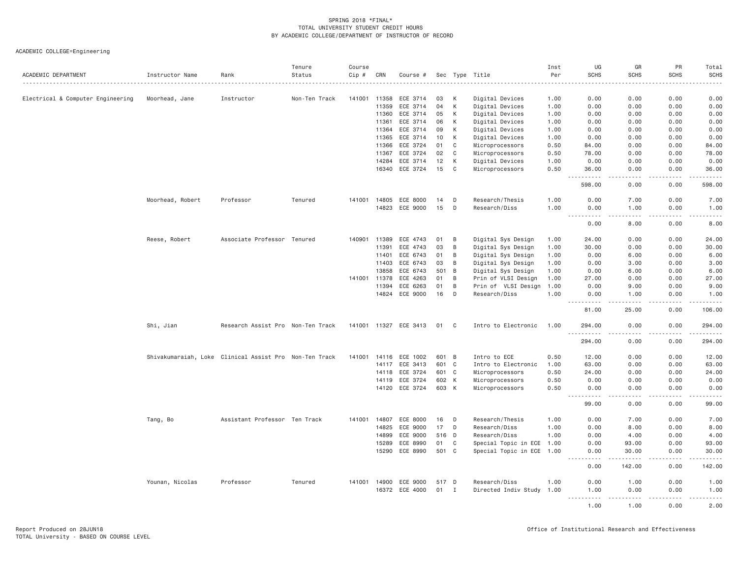| ACADEMIC DEPARTMENT               | Instructor Name  | Rank                                                   | Tenure<br>Status | Course<br>Cip # | CRN   | Course #              |       |                | Sec Type Title            | Inst<br>Per | UG<br><b>SCHS</b>                                                                                                                                                                     | GR<br><b>SCHS</b>  | PR<br><b>SCHS</b> | Total<br><b>SCHS</b>    |
|-----------------------------------|------------------|--------------------------------------------------------|------------------|-----------------|-------|-----------------------|-------|----------------|---------------------------|-------------|---------------------------------------------------------------------------------------------------------------------------------------------------------------------------------------|--------------------|-------------------|-------------------------|
|                                   |                  | .                                                      |                  |                 |       |                       |       |                | .                         |             |                                                                                                                                                                                       |                    |                   | .                       |
| Electrical & Computer Engineering | Moorhead, Jane   | Instructor                                             | Non-Ten Track    | 141001          | 11358 | ECE 3714              | 03    | К              | Digital Devices           | 1.00        | 0.00                                                                                                                                                                                  | 0.00               | 0.00              | 0.00                    |
|                                   |                  |                                                        |                  |                 | 11359 | ECE 3714              | 04    | К              | Digital Devices           | 1.00        | 0.00                                                                                                                                                                                  | 0.00               | 0.00              | 0.00                    |
|                                   |                  |                                                        |                  |                 | 11360 | ECE 3714              | 05    | К              | Digital Devices           | 1.00        | 0.00                                                                                                                                                                                  | 0.00               | 0.00              | 0.00                    |
|                                   |                  |                                                        |                  |                 | 11361 | ECE 3714              | 06    | K              | Digital Devices           | 1.00        | 0.00                                                                                                                                                                                  | 0.00               | 0.00              | 0.00                    |
|                                   |                  |                                                        |                  |                 | 11364 | ECE 3714              | 09    | К              | Digital Devices           | 1.00        | 0.00                                                                                                                                                                                  | 0.00               | 0.00              | 0.00                    |
|                                   |                  |                                                        |                  |                 | 11365 | ECE 3714              | 10    | К              | Digital Devices           | 1.00        | 0.00                                                                                                                                                                                  | 0.00               | 0.00              | 0.00                    |
|                                   |                  |                                                        |                  |                 | 11366 | ECE 3724              | 01    | C              | Microprocessors           | 0.50        | 84.00                                                                                                                                                                                 | 0.00               | 0.00              | 84.00                   |
|                                   |                  |                                                        |                  |                 | 11367 | ECE 3724              | 02    | C              | Microprocessors           | 0.50        | 78.00                                                                                                                                                                                 | 0.00               | 0.00              | 78.00                   |
|                                   |                  |                                                        |                  |                 | 14284 | ECE 3714              | 12    | K              | Digital Devices           | 1.00        | 0.00                                                                                                                                                                                  | 0.00               | 0.00              | 0.00                    |
|                                   |                  |                                                        |                  |                 | 16340 | ECE 3724              | 15    | $\mathsf{C}$   | Microprocessors           | 0.50        | 36.00                                                                                                                                                                                 | 0.00               | 0.00              | 36.00                   |
|                                   |                  |                                                        |                  |                 |       |                       |       |                |                           |             | 598.00                                                                                                                                                                                | 0.00               | 0.00              | .<br>598.00             |
|                                   | Moorhead, Robert | Professor                                              | Tenured          | 141001 14805    |       | ECE 8000              | 14    | D              | Research/Thesis           | 1.00        | 0.00                                                                                                                                                                                  | 7.00               | 0.00              | 7.00                    |
|                                   |                  |                                                        |                  |                 | 14823 | ECE 9000              | 15    | D              | Research/Diss             | 1.00        | 0.00                                                                                                                                                                                  | 1.00               | 0.00              | 1.00                    |
|                                   |                  |                                                        |                  |                 |       |                       |       |                |                           |             | .                                                                                                                                                                                     | .                  | .                 | .                       |
|                                   |                  |                                                        |                  |                 |       |                       |       |                |                           |             | 0.00                                                                                                                                                                                  | 8,00               | 0.00              | 8.00                    |
|                                   | Reese, Robert    | Associate Professor Tenured                            |                  | 140901          | 11389 | ECE 4743              | 01    | B              | Digital Sys Design        | 1.00        | 24.00                                                                                                                                                                                 | 0.00               | 0.00              | 24.00                   |
|                                   |                  |                                                        |                  |                 | 11391 | ECE 4743              | 03    | B              | Digital Sys Design        | 1.00        | 30.00                                                                                                                                                                                 | 0.00               | 0.00              | 30.00                   |
|                                   |                  |                                                        |                  |                 | 11401 | ECE 6743              | 01    | B              | Digital Sys Design        | 1.00        | 0.00                                                                                                                                                                                  | 6.00               | 0.00              | 6.00                    |
|                                   |                  |                                                        |                  |                 | 11403 | ECE 6743              | 03    | B              | Digital Sys Design        | 1.00        | 0.00                                                                                                                                                                                  | 3.00               | 0.00              | 3.00                    |
|                                   |                  |                                                        |                  |                 | 13858 | ECE 6743              | 501   | B              | Digital Sys Design        | 1.00        | 0.00                                                                                                                                                                                  | 6.00               | 0.00              | 6.00                    |
|                                   |                  |                                                        |                  | 141001          | 11378 | ECE 4263              | 01    | B              | Prin of VLSI Design       | 1.00        | 27.00                                                                                                                                                                                 | 0.00               | 0.00              | 27.00                   |
|                                   |                  |                                                        |                  |                 | 11394 | ECE 6263              | 01    | B              | Prin of VLSI Design       | 1.00        | 0.00                                                                                                                                                                                  | 9.00               | 0.00              | 9.00                    |
|                                   |                  |                                                        |                  |                 | 14824 | ECE 9000              | 16    | D              | Research/Diss             | 1.00        | 0.00                                                                                                                                                                                  | 1.00               | 0.00              | 1.00                    |
|                                   |                  |                                                        |                  |                 |       |                       |       |                |                           |             | $  -$<br>.<br>81.00                                                                                                                                                                   | $- - - -$<br>25.00 | .<br>0.00         | .<br>106.00             |
|                                   | Shi, Jian        | Research Assist Pro Non-Ten Track                      |                  |                 |       | 141001 11327 ECE 3413 | 01    | C              | Intro to Electronic       | 1.00        | 294.00                                                                                                                                                                                | 0.00               | 0.00              | 294.00                  |
|                                   |                  |                                                        |                  |                 |       |                       |       |                |                           |             | $\omega \sim \omega$<br>.<br>294.00                                                                                                                                                   | 0.00               | 0.00              | $- - - - - -$<br>294.00 |
|                                   |                  | Shivakumaraiah, Loke Clinical Assist Pro Non-Ten Track |                  | 141001          | 14116 | ECE 1002              | 601 B |                | Intro to ECE              | 0.50        | 12.00                                                                                                                                                                                 | 0.00               | 0.00              | 12.00                   |
|                                   |                  |                                                        |                  |                 | 14117 | ECE 3413              | 601   | C              | Intro to Electronic       | 1.00        | 63.00                                                                                                                                                                                 | 0.00               | 0.00              | 63.00                   |
|                                   |                  |                                                        |                  |                 | 14118 | ECE 3724              | 601 C |                | Microprocessors           | 0.50        | 24.00                                                                                                                                                                                 | 0.00               | 0.00              | 24.00                   |
|                                   |                  |                                                        |                  |                 | 14119 | ECE 3724              |       | 602 K          | Microprocessors           | 0.50        | 0.00                                                                                                                                                                                  | 0.00               | 0.00              | 0.00                    |
|                                   |                  |                                                        |                  |                 | 14120 | ECE 3724              | 603 K |                | Microprocessors           | 0.50        | 0.00                                                                                                                                                                                  | 0.00               | 0.00              | 0.00                    |
|                                   |                  |                                                        |                  |                 |       |                       |       |                |                           |             | $\frac{1}{2} \left( \frac{1}{2} \right) \left( \frac{1}{2} \right) \left( \frac{1}{2} \right) \left( \frac{1}{2} \right) \left( \frac{1}{2} \right)$<br>$\sim$ $\sim$ $\sim$<br>99.00 | .<br>0.00          | .<br>0.00         | .<br>99.00              |
|                                   | Tang, Bo         | Assistant Professor Ten Track                          |                  | 141001          | 14807 | ECE 8000              | 16    | D              | Research/Thesis           | 1.00        | 0.00                                                                                                                                                                                  | 7.00               | 0.00              | 7.00                    |
|                                   |                  |                                                        |                  |                 | 14825 | ECE 9000              | 17    | D              | Research/Diss             | 1.00        | 0.00                                                                                                                                                                                  | 8.00               | 0.00              | 8.00                    |
|                                   |                  |                                                        |                  |                 | 14899 | ECE 9000              | 516 D |                | Research/Diss             | 1.00        | 0.00                                                                                                                                                                                  | 4.00               | 0.00              | 4.00                    |
|                                   |                  |                                                        |                  |                 | 15289 | ECE 8990              | 01    | C              | Special Topic in ECE      | 1.00        | 0.00                                                                                                                                                                                  | 93.00              | 0.00              | 93.00                   |
|                                   |                  |                                                        |                  |                 | 15290 | ECE 8990              | 501 C |                | Special Topic in ECE 1.00 |             | 0.00                                                                                                                                                                                  | 30.00              | 0.00              | 30.00                   |
|                                   |                  |                                                        |                  |                 |       |                       |       |                |                           |             | $\frac{1}{2} \left( \frac{1}{2} \right) \left( \frac{1}{2} \right) \left( \frac{1}{2} \right) \left( \frac{1}{2} \right) \left( \frac{1}{2} \right)$<br>0.00                          | .<br>142.00        | .<br>0.00         | .<br>142.00             |
|                                   | Younan, Nicolas  | Professor                                              | Tenured          | 141001          | 14900 | ECE 9000              | 517 D |                | Research/Diss             | 1.00        | 0.00                                                                                                                                                                                  | 1.00               | 0.00              | 1.00                    |
|                                   |                  |                                                        |                  |                 |       | 16372 ECE 4000        | 01    | $\blacksquare$ | Directed Indiv Study 1.00 |             | 1.00<br><u>.</u>                                                                                                                                                                      | 0.00<br>.          | 0.00<br>.         | 1.00<br>$- - - - -$     |
|                                   |                  |                                                        |                  |                 |       |                       |       |                |                           |             | 1.00                                                                                                                                                                                  | 1.00               | 0.00              | 2.00                    |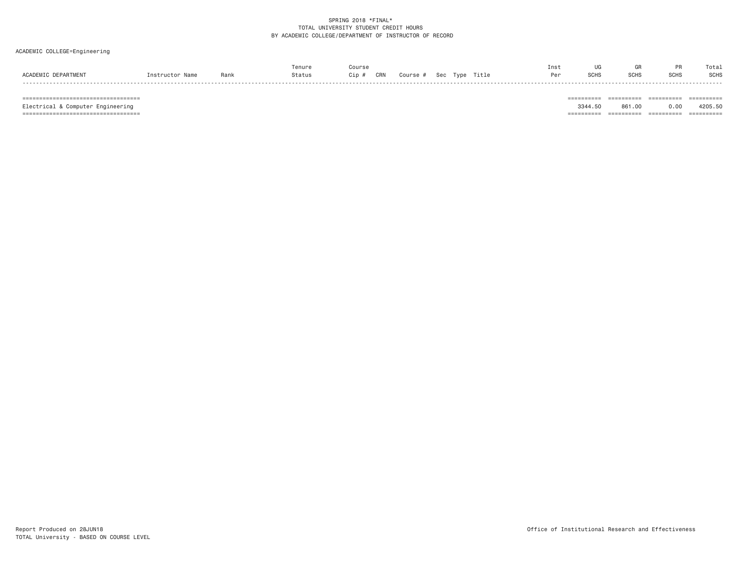# ACADEMIC COLLEGE=Engineering

|                     |                 |      |        | Course          |                         | Inst |             |             |             | Total |
|---------------------|-----------------|------|--------|-----------------|-------------------------|------|-------------|-------------|-------------|-------|
| ACADEMIC DEPARTMENT | Instructor Name | Rank | Status | CRN<br>$C$ ip # | Course # Sec Type Title |      | <b>SCHS</b> | <b>SCHS</b> | <b>SCHS</b> | SCHS  |
|                     |                 |      |        |                 |                         |      |             |             |             |       |

=================================== ========== ========== ========== ==========

 =================================== ========== ========== ========== ==========Electrical & Computer Engineering 3344.50 861.00 0.00 4205.50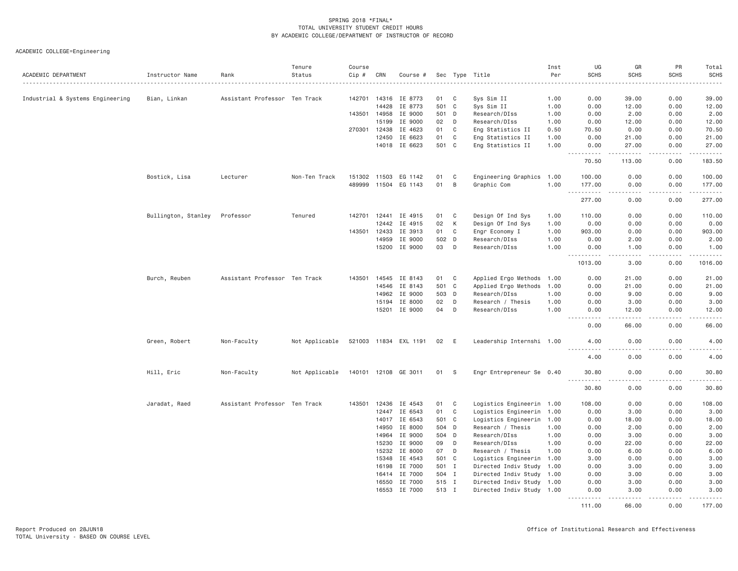| ACADEMIC DEPARTMENT              | Instructor Name     | Rank                          | Tenure<br>Status | Course<br>$Cip$ # | CRN          | Course #              |        |              | Sec Type Title            | Inst<br>Per | UG<br><b>SCHS</b>                 | GR<br><b>SCHS</b>  | PR<br><b>SCHS</b>  | Total<br><b>SCHS</b> |
|----------------------------------|---------------------|-------------------------------|------------------|-------------------|--------------|-----------------------|--------|--------------|---------------------------|-------------|-----------------------------------|--------------------|--------------------|----------------------|
|                                  |                     |                               |                  |                   |              |                       |        |              | .                         |             |                                   |                    |                    |                      |
| Industrial & Systems Engineering | Bian, Linkan        | Assistant Professor Ten Track |                  | 142701            | 14316        | IE 8773               | 01     | C            | Sys Sim II                | 1.00        | 0.00                              | 39.00              | 0.00               | 39.00                |
|                                  |                     |                               |                  |                   | 14428        | IE 8773               | 501    | $\mathbf C$  | Sys Sim II                | 1.00        | 0.00                              | 12.00              | 0.00               | 12.00                |
|                                  |                     |                               |                  | 143501            | 14958        | IE 9000               | 501    | D            | Research/DIss             | 1.00        | 0.00                              | 2.00               | 0.00               | 2.00                 |
|                                  |                     |                               |                  |                   | 15199        | IE 9000               | 02     | D            | Research/DIss             | 1.00        | 0.00                              | 12.00              | 0.00               | 12.00                |
|                                  |                     |                               |                  | 270301            | 12438        | IE 4623               | 01     | C            | Eng Statistics II         | 0.50        | 70.50                             | 0.00               | 0.00               | 70.50                |
|                                  |                     |                               |                  |                   | 12450        | IE 6623               | 01     | C            | Eng Statistics II         | 1.00        | 0.00                              | 21.00              | 0.00               | 21.00                |
|                                  |                     |                               |                  |                   | 14018        | IE 6623               | 501    | $\mathbf{C}$ | Eng Statistics II         | 1.00        | 0.00<br>.                         | 27.00<br>.         | 0.00               | 27.00<br>.           |
|                                  |                     |                               |                  |                   |              |                       |        |              |                           |             | 70.50                             | 113.00             | 0.00               | 183.50               |
|                                  | Bostick, Lisa       | Lecturer                      | Non-Ten Track    |                   | 151302 11503 | EG 1142               | 01     | $\mathsf{C}$ | Engineering Graphics 1.00 |             | 100.00                            | 0.00               | 0.00               | 100.00               |
|                                  |                     |                               |                  | 489999            | 11504        | EG 1143               | 01     | B            | Graphic Com               | 1.00        | 177.00<br><u>.</u>                | 0.00<br>.          | 0.00<br>. <b>.</b> | 177.00<br>.          |
|                                  |                     |                               |                  |                   |              |                       |        |              |                           |             | 277.00                            | 0.00               | 0.00               | 277.00               |
|                                  | Bullington, Stanley | Professor                     | Tenured          | 142701            | 12441        | IE 4915               | 01     | C            | Design Of Ind Sys         | 1.00        | 110.00                            | 0.00               | 0.00               | 110.00               |
|                                  |                     |                               |                  |                   | 12442        | IE 4915               | $02\,$ | К            | Design Of Ind Sys         | 1.00        | 0.00                              | 0.00               | 0.00               | 0.00                 |
|                                  |                     |                               |                  | 143501            | 12433        | IE 3913               | 01     | C            | Engr Economy I            | 1.00        | 903.00                            | 0.00               | 0.00               | 903.00               |
|                                  |                     |                               |                  |                   | 14959        | IE 9000               | 502    | D            | Research/DIss             | 1.00        | 0.00                              | 2.00               | 0.00               | 2.00                 |
|                                  |                     |                               |                  |                   | 15200        | IE 9000               | 03     | D            | Research/DIss             | 1.00        | 0.00<br>د د د د                   | 1.00<br>.          | 0.00<br>.          | 1.00<br>.            |
|                                  |                     |                               |                  |                   |              |                       |        |              |                           |             | 1013.00                           | 3.00               | 0.00               | 1016.00              |
|                                  | Burch, Reuben       | Assistant Professor Ten Track |                  | 143501            | 14545        | IE 8143               | 01     | C            | Applied Ergo Methods      | 1.00        | 0.00                              | 21.00              | 0.00               | 21.00                |
|                                  |                     |                               |                  |                   | 14546        | IE 8143               | 501    | $\mathbf{C}$ | Applied Ergo Methods      | 1.00        | 0.00                              | 21.00              | 0.00               | 21.00                |
|                                  |                     |                               |                  |                   | 14962        | IE 9000               | 503 D  |              | Research/DIss             | 1.00        | 0.00                              | 9.00               | 0.00               | 9.00                 |
|                                  |                     |                               |                  |                   | 15194        | IE 8000               | 02     | D            | Research / Thesis         | 1.00        | 0.00                              | 3.00               | 0.00               | 3.00                 |
|                                  |                     |                               |                  |                   | 15201        | IE 9000               | 04     | D            | Research/DIss             | 1.00        | 0.00<br>.<br>$\sim$ $\sim$ $\sim$ | 12.00<br>د د د د د | 0.00<br>.          | 12.00<br>.           |
|                                  |                     |                               |                  |                   |              |                       |        |              |                           |             | 0.00                              | 66.00              | 0.00               | 66.00                |
|                                  | Green, Robert       | Non-Faculty                   | Not Applicable   |                   |              | 521003 11834 EXL 1191 | 02     | E            | Leadership Internshi 1.00 |             | 4.00                              | 0.00               | 0.00               | 4.00                 |
|                                  |                     |                               |                  |                   |              |                       |        |              |                           |             | 4.00                              | 0.00               | 0.00               | 4.00                 |
|                                  | Hill, Eric          | Non-Faculty                   | Not Applicable   |                   |              | 140101 12108 GE 3011  | 01     | -S           | Engr Entrepreneur Se 0.40 |             | 30.80<br><u>.</u>                 | 0.00               | 0.00               | 30.80<br>دعاعات      |
|                                  |                     |                               |                  |                   |              |                       |        |              |                           |             | 30.80                             | 0.00               | 0.00               | 30.80                |
|                                  | Jaradat, Raed       | Assistant Professor Ten Track |                  | 143501            | 12436        | IE 4543               | 01     | $\mathbf C$  | Logistics Engineerin 1.00 |             | 108.00                            | 0.00               | 0.00               | 108.00               |
|                                  |                     |                               |                  |                   | 12447        | IE 6543               | 01     | C            | Logistics Engineerin 1.00 |             | 0.00                              | 3.00               | 0.00               | 3.00                 |
|                                  |                     |                               |                  |                   |              | 14017 IE 6543         | 501    | $\mathbf C$  | Logistics Engineerin 1.00 |             | 0.00                              | 18.00              | 0.00               | 18.00                |
|                                  |                     |                               |                  |                   | 14950        | IE 8000               | 504 D  |              | Research / Thesis         | 1.00        | 0.00                              | 2.00               | 0.00               | 2.00                 |
|                                  |                     |                               |                  |                   | 14964        | IE 9000               | 504 D  |              | Research/DIss             | 1.00        | 0.00                              | 3,00               | 0.00               | 3.00                 |
|                                  |                     |                               |                  |                   | 15230        | IE 9000               | 09     | D            | Research/DIss             | 1.00        | 0.00                              | 22.00              | 0.00               | 22.00                |
|                                  |                     |                               |                  |                   | 15232        | IE 8000               | 07     | D            | Research / Thesis         | 1.00        | 0.00                              | 6.00               | 0.00               | 6.00                 |
|                                  |                     |                               |                  |                   | 15348        | IE 4543               | 501 C  |              | Logistics Engineerin 1.00 |             | 3.00                              | 0.00               | 0.00               | 3.00                 |
|                                  |                     |                               |                  |                   | 16198        | IE 7000               | 501    | $\mathbf{I}$ | Directed Indiv Study 1.00 |             | 0.00                              | 3.00               | 0.00               | 3.00                 |
|                                  |                     |                               |                  |                   | 16414        | IE 7000               | 504 I  |              | Directed Indiv Study 1.00 |             | 0.00                              | 3.00               | 0.00               | 3.00                 |
|                                  |                     |                               |                  |                   | 16550        | IE 7000               | 515 I  |              | Directed Indiv Study 1.00 |             | 0.00                              | 3.00               | 0.00               | 3.00                 |
|                                  |                     |                               |                  |                   | 16553        | IE 7000               | 513 I  |              | Directed Indiv Study 1.00 |             | 0.00<br>.                         | 3,00<br>.          | 0.00<br>.          | 3.00<br>.            |
|                                  |                     |                               |                  |                   |              |                       |        |              |                           |             | 111.00                            | 66,00              | 0.00               | 177.00               |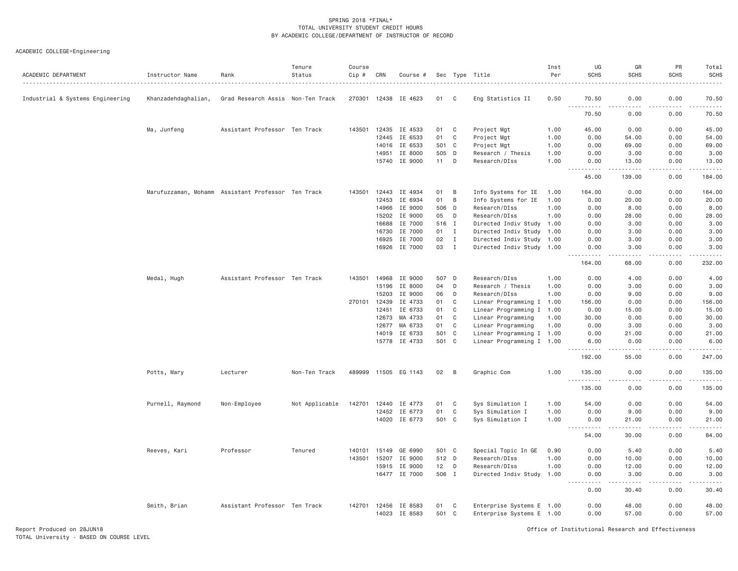| ACADEMIC DEPARTMENT              | Instructor Name     | Rank                                               | Tenure<br>Status | Course<br>Cip # | CRN            | Course #           |                |                | Sec Type Title                                         | Inst<br>Per | UG<br><b>SCHS</b>    | GR<br><b>SCHS</b>                                                                                                                                            | PR<br>SCHS    | Total<br><b>SCHS</b>   |
|----------------------------------|---------------------|----------------------------------------------------|------------------|-----------------|----------------|--------------------|----------------|----------------|--------------------------------------------------------|-------------|----------------------|--------------------------------------------------------------------------------------------------------------------------------------------------------------|---------------|------------------------|
| Industrial & Systems Engineering | Khanzadehdaghalian, | Grad Research Assis Non-Ten Track                  |                  |                 | 270301 12438   | IE 4623            | 01             | C              | Eng Statistics II                                      | 0.50        | 70.50                | 0.00                                                                                                                                                         | 0.00          | 70.50                  |
|                                  |                     |                                                    |                  |                 |                |                    |                |                |                                                        |             | 2.2.2.2.2<br>70.50   | 0.00                                                                                                                                                         | 0.00          | 70.50                  |
|                                  | Ma, Junfeng         | Assistant Professor Ten Track                      |                  | 143501          |                | 12435 IE 4533      | 01             | $\mathbb C$    | Project Mgt                                            | 1.00        | 45.00                | 0.00                                                                                                                                                         | 0.00          | 45.00                  |
|                                  |                     |                                                    |                  |                 |                | 12445 IE 6533      | 01             | C              | Project Mgt                                            | 1.00        | 0.00                 | 54.00                                                                                                                                                        | 0.00          | 54.00                  |
|                                  |                     |                                                    |                  |                 | 14016          | IE 6533            | 501            | $\mathbf{C}$   | Project Mgt                                            | 1.00        | 0.00                 | 69.00                                                                                                                                                        | 0.00          | 69.00                  |
|                                  |                     |                                                    |                  |                 | 14951          | IE 8000            | 505 D          |                | Research / Thesis                                      | 1.00        | 0.00                 | 3.00                                                                                                                                                         | 0.00          | 3.00                   |
|                                  |                     |                                                    |                  |                 |                | 15740 IE 9000      | 11             | D              | Research/DIss                                          | 1.00        | 0.00<br>الدامات بال  | 13.00                                                                                                                                                        | 0.00          | 13.00                  |
|                                  |                     |                                                    |                  |                 |                |                    |                |                |                                                        |             | 45.00                | 139,00                                                                                                                                                       | 0.00          | 184,00                 |
|                                  |                     | Marufuzzaman, Mohamm Assistant Professor Ten Track |                  | 143501          |                | 12443 IE 4934      | 01             | $\overline{B}$ | Info Systems for IE                                    | 1.00        | 164.00               | 0.00                                                                                                                                                         | 0.00          | 164.00                 |
|                                  |                     |                                                    |                  |                 | 12453          | IE 6934            | 01             | B              | Info Systems for IE                                    | 1.00        | 0.00                 | 20.00                                                                                                                                                        | 0.00          | 20.00                  |
|                                  |                     |                                                    |                  |                 | 14966          | IE 9000            | 506            | D              | Research/DIss                                          | 1.00        | 0.00                 | 8.00                                                                                                                                                         | 0.00          | 8.00                   |
|                                  |                     |                                                    |                  |                 | 15202          | IE 9000            | 05             | D              | Research/DIss                                          | 1.00        | 0.00                 | 28.00                                                                                                                                                        | 0.00          | 28.00                  |
|                                  |                     |                                                    |                  |                 | 16688          | IE 7000            | 516 I          |                | Directed Indiv Study 1.00                              |             | 0.00                 | 3.00                                                                                                                                                         | 0.00          | 3.00                   |
|                                  |                     |                                                    |                  |                 | 16730          | IE 7000            | 01             | I              | Directed Indiv Study 1.00                              |             | 0.00                 | 3.00                                                                                                                                                         | 0.00          | 3.00                   |
|                                  |                     |                                                    |                  |                 | 16925          | IE 7000            | 02             | $\mathbf{I}$   | Directed Indiv Study 1.00                              |             | 0.00                 | 3.00                                                                                                                                                         | 0.00          | 3.00                   |
|                                  |                     |                                                    |                  |                 |                | 16926 IE 7000      | 03             | $\mathbf{I}$   | Directed Indiv Study 1.00                              |             | 0.00<br>.<br>$- - -$ | 3.00<br>.                                                                                                                                                    | 0.00<br>.     | 3.00<br>.              |
|                                  |                     |                                                    |                  |                 |                |                    |                |                |                                                        |             | 164.00               | 68.00                                                                                                                                                        | 0.00          | 232.00                 |
|                                  | Medal, Hugh         | Assistant Professor Ten Track                      |                  | 143501          | 14968          | IE 9000            | 507 D          |                | Research/DIss                                          | 1.00        | 0.00                 | 4.00                                                                                                                                                         | 0.00          | 4.00                   |
|                                  |                     |                                                    |                  |                 | 15196          | IE 8000            | 04             | D              | Research / Thesis                                      | 1.00        | 0.00                 | 3.00                                                                                                                                                         | 0.00          | 3.00                   |
|                                  |                     |                                                    |                  |                 | 15203          | IE 9000            | 06             | D              | Research/DIss                                          | 1.00        | 0.00                 | 9.00                                                                                                                                                         | 0.00          | 9.00                   |
|                                  |                     |                                                    |                  | 270101          | 12439          | IE 4733            | 01             | C              | Linear Programming I 1.00                              |             | 156.00               | 0.00                                                                                                                                                         | 0.00          | 156.00                 |
|                                  |                     |                                                    |                  |                 | 12451          | IE 6733            | 01             | C              | Linear Programming I 1.00                              |             | 0.00                 | 15.00                                                                                                                                                        | 0.00          | 15.00                  |
|                                  |                     |                                                    |                  |                 | 12673          | MA 4733            | 01             | C              | Linear Programming                                     | 1.00        | 30.00                | 0.00                                                                                                                                                         | 0.00          | 30.00                  |
|                                  |                     |                                                    |                  |                 | 12677          | MA 6733            | 01             | C              | Linear Programming                                     | 1.00        | 0.00<br>0.00         | 3.00                                                                                                                                                         | 0.00          | 3.00                   |
|                                  |                     |                                                    |                  |                 | 14019<br>15778 | IE 6733<br>IE 4733 | 501 C<br>501 C |                | Linear Programming I 1.00<br>Linear Programming I 1.00 |             | 6.00                 | 21.00<br>0.00                                                                                                                                                | 0.00<br>0.00  | 21.00<br>6.00          |
|                                  |                     |                                                    |                  |                 |                |                    |                |                |                                                        |             | <u>.</u><br>192.00   | .<br>55.00                                                                                                                                                   | .<br>0.00     | .<br>247.00            |
|                                  | Potts, Mary         | Lecturer                                           | Non-Ten Track    | 489999          |                | 11505 EG 1143      | 02             | $\overline{B}$ | Graphic Com                                            | 1.00        | 135.00               | 0.00                                                                                                                                                         | 0.00          | 135,00                 |
|                                  |                     |                                                    |                  |                 |                |                    |                |                |                                                        |             | <u>.</u><br>135.00   | .<br>0.00                                                                                                                                                    | -----<br>0.00 | . <u>.</u> .<br>135.00 |
|                                  |                     |                                                    |                  |                 |                |                    |                |                |                                                        |             |                      |                                                                                                                                                              |               |                        |
|                                  | Purnell, Raymond    | Non-Employee                                       | Not Applicable   | 142701          | 12440          | IE 4773            | 01<br>01       | C<br>C         | Sys Simulation I                                       | 1.00        | 54.00                | 0.00                                                                                                                                                         | 0.00          | 54.00                  |
|                                  |                     |                                                    |                  |                 | 12452          | IE 6773            |                |                | Sys Simulation I                                       | 1.00        | 0.00                 | 9.00                                                                                                                                                         | 0.00          | 9.00                   |
|                                  |                     |                                                    |                  |                 |                | 14020 IE 6773      | 501 C          |                | Sys Simulation I                                       | 1.00        | 0.00<br>.            | 21.00<br>.                                                                                                                                                   | 0.00<br>.     | 21.00<br>المتمام       |
|                                  |                     |                                                    |                  |                 |                |                    |                |                |                                                        |             | 54.00                | 30.00                                                                                                                                                        | 0.00          | 84.00                  |
|                                  | Reeves, Kari        | Professor                                          | Tenured          | 140101          | 15149          | GE 6990            | 501 C          |                | Special Topic In GE                                    | 0.90        | 0.00                 | 5.40                                                                                                                                                         | 0.00          | 5.40                   |
|                                  |                     |                                                    |                  | 143501          | 15207          | IE 9000            | 512 D          |                | Research/DIss                                          | 1.00        | 0.00                 | 10.00                                                                                                                                                        | 0.00          | 10.00                  |
|                                  |                     |                                                    |                  |                 | 15915          | IE 9000            | 12             | D              | Research/DIss                                          | 1.00        | 0.00                 | 12.00                                                                                                                                                        | 0.00          | 12.00                  |
|                                  |                     |                                                    |                  |                 | 16477          | IE 7000            | 506 I          |                | Directed Indiv Study 1.00                              |             | 0.00<br>.            | 3.00<br>$\frac{1}{2} \left( \frac{1}{2} \right) \left( \frac{1}{2} \right) \left( \frac{1}{2} \right) \left( \frac{1}{2} \right) \left( \frac{1}{2} \right)$ | 0.00<br>.     | 3.00<br>.              |
|                                  |                     |                                                    |                  |                 |                |                    |                |                |                                                        |             | 0.00                 | 30.40                                                                                                                                                        | 0.00          | 30.40                  |
|                                  | Smith, Brian        | Assistant Professor Ten Track                      |                  | 142701          | 12456          | IE 8583            | 01             | $\mathbf{C}$   | Enterprise Systems E 1.00                              |             | 0.00                 | 48.00                                                                                                                                                        | 0.00          | 48.00                  |
|                                  |                     |                                                    |                  |                 |                | 14023 IE 8583      | 501 C          |                | Enterprise Systems E 1.00                              |             | 0.00                 | 57.00                                                                                                                                                        | 0.00          | 57.00                  |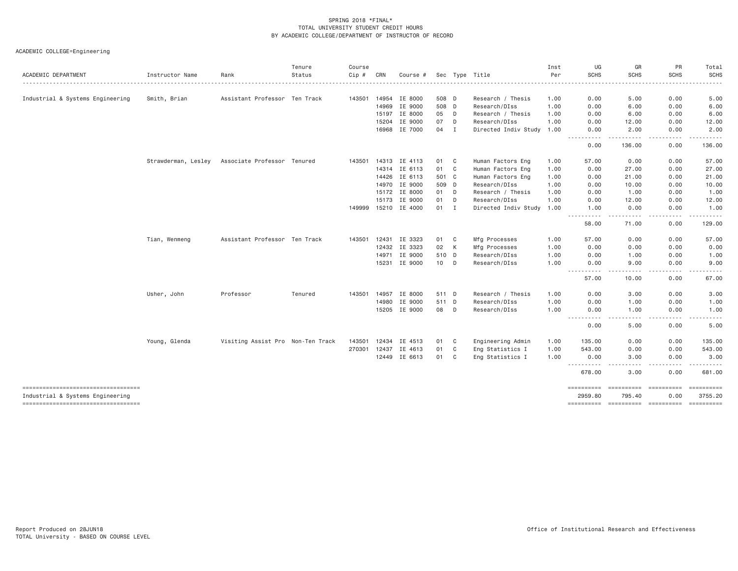| Instructor Name     | Rank         | Status  | Cip #                                                                                                                              | CRN   | Course #                                                           |                                                                                                                                                           |                | Sec Type Title                                                                                | Inst<br>Per                                                              | UG<br><b>SCHS</b>                                                                      | GR<br><b>SCHS</b>                                                                                                                                                                                                                                                                                                                                                                                                                                                                                                                                                                                                                            | PR<br>SCHS                                                       | Total<br><b>SCHS</b>                      |
|---------------------|--------------|---------|------------------------------------------------------------------------------------------------------------------------------------|-------|--------------------------------------------------------------------|-----------------------------------------------------------------------------------------------------------------------------------------------------------|----------------|-----------------------------------------------------------------------------------------------|--------------------------------------------------------------------------|----------------------------------------------------------------------------------------|----------------------------------------------------------------------------------------------------------------------------------------------------------------------------------------------------------------------------------------------------------------------------------------------------------------------------------------------------------------------------------------------------------------------------------------------------------------------------------------------------------------------------------------------------------------------------------------------------------------------------------------------|------------------------------------------------------------------|-------------------------------------------|
|                     |              |         |                                                                                                                                    |       |                                                                    |                                                                                                                                                           |                |                                                                                               |                                                                          |                                                                                        |                                                                                                                                                                                                                                                                                                                                                                                                                                                                                                                                                                                                                                              |                                                                  |                                           |
|                     |              |         |                                                                                                                                    |       |                                                                    |                                                                                                                                                           |                |                                                                                               |                                                                          |                                                                                        |                                                                                                                                                                                                                                                                                                                                                                                                                                                                                                                                                                                                                                              |                                                                  | 5.00                                      |
|                     |              |         |                                                                                                                                    |       |                                                                    |                                                                                                                                                           |                |                                                                                               |                                                                          |                                                                                        |                                                                                                                                                                                                                                                                                                                                                                                                                                                                                                                                                                                                                                              |                                                                  | 6.00                                      |
|                     |              |         |                                                                                                                                    |       |                                                                    |                                                                                                                                                           |                |                                                                                               |                                                                          |                                                                                        |                                                                                                                                                                                                                                                                                                                                                                                                                                                                                                                                                                                                                                              |                                                                  | 6.00                                      |
|                     |              |         |                                                                                                                                    |       |                                                                    |                                                                                                                                                           |                |                                                                                               |                                                                          |                                                                                        |                                                                                                                                                                                                                                                                                                                                                                                                                                                                                                                                                                                                                                              |                                                                  | 12.00                                     |
|                     |              |         |                                                                                                                                    |       |                                                                    |                                                                                                                                                           |                |                                                                                               |                                                                          |                                                                                        |                                                                                                                                                                                                                                                                                                                                                                                                                                                                                                                                                                                                                                              | .                                                                | 2.00                                      |
|                     |              |         |                                                                                                                                    |       |                                                                    |                                                                                                                                                           |                |                                                                                               |                                                                          | 0.00                                                                                   | 136.00                                                                                                                                                                                                                                                                                                                                                                                                                                                                                                                                                                                                                                       | 0.00                                                             | 136.00                                    |
| Strawderman, Lesley |              |         | 143501                                                                                                                             |       |                                                                    | 01                                                                                                                                                        | - C            | Human Factors Eng                                                                             | 1.00                                                                     | 57.00                                                                                  | 0.00                                                                                                                                                                                                                                                                                                                                                                                                                                                                                                                                                                                                                                         | 0.00                                                             | 57.00                                     |
|                     |              |         |                                                                                                                                    | 14314 | IE 6113                                                            | 01                                                                                                                                                        | C              | Human Factors Eng                                                                             | 1.00                                                                     | 0.00                                                                                   | 27.00                                                                                                                                                                                                                                                                                                                                                                                                                                                                                                                                                                                                                                        | 0.00                                                             | 27.00                                     |
|                     |              |         |                                                                                                                                    |       |                                                                    |                                                                                                                                                           |                | Human Factors Eng                                                                             | 1.00                                                                     | 0.00                                                                                   | 21.00                                                                                                                                                                                                                                                                                                                                                                                                                                                                                                                                                                                                                                        | 0.00                                                             | 21.00                                     |
|                     |              |         |                                                                                                                                    | 14970 |                                                                    |                                                                                                                                                           |                | Research/DIss                                                                                 | 1.00                                                                     | 0.00                                                                                   | 10.00                                                                                                                                                                                                                                                                                                                                                                                                                                                                                                                                                                                                                                        | 0.00                                                             | 10.00                                     |
|                     |              |         |                                                                                                                                    | 15172 | IE 8000                                                            | 01                                                                                                                                                        | D              | Research / Thesis                                                                             | 1.00                                                                     | 0.00                                                                                   | 1.00                                                                                                                                                                                                                                                                                                                                                                                                                                                                                                                                                                                                                                         | 0.00                                                             | 1.00                                      |
|                     |              |         |                                                                                                                                    | 15173 | IE 9000                                                            | 01                                                                                                                                                        | D              | Research/DIss                                                                                 | 1.00                                                                     | 0.00                                                                                   | 12.00                                                                                                                                                                                                                                                                                                                                                                                                                                                                                                                                                                                                                                        | 0.00                                                             | 12.00                                     |
|                     |              |         |                                                                                                                                    |       |                                                                    | 01                                                                                                                                                        | I              |                                                                                               |                                                                          | 1.00                                                                                   | 0.00                                                                                                                                                                                                                                                                                                                                                                                                                                                                                                                                                                                                                                         | 0.00                                                             | 1.00<br>------                            |
|                     |              |         |                                                                                                                                    |       |                                                                    |                                                                                                                                                           |                |                                                                                               |                                                                          | 58.00                                                                                  | 71.00                                                                                                                                                                                                                                                                                                                                                                                                                                                                                                                                                                                                                                        | 0.00                                                             | 129.00                                    |
| Tian, Wenmeng       |              |         | 143501                                                                                                                             | 12431 | IE 3323                                                            | 01                                                                                                                                                        | C <sub>1</sub> | Mfg Processes                                                                                 | 1.00                                                                     | 57.00                                                                                  | 0.00                                                                                                                                                                                                                                                                                                                                                                                                                                                                                                                                                                                                                                         | 0.00                                                             | 57.00                                     |
|                     |              |         |                                                                                                                                    | 12432 | IE 3323                                                            | 02                                                                                                                                                        | К              | Mfg Processes                                                                                 | 1.00                                                                     | 0.00                                                                                   | 0.00                                                                                                                                                                                                                                                                                                                                                                                                                                                                                                                                                                                                                                         | 0.00                                                             | 0.00                                      |
|                     |              |         |                                                                                                                                    | 14971 | IE 9000                                                            |                                                                                                                                                           |                | Research/DIss                                                                                 | 1.00                                                                     | 0.00                                                                                   | 1.00                                                                                                                                                                                                                                                                                                                                                                                                                                                                                                                                                                                                                                         | 0.00                                                             | 1.00                                      |
|                     |              |         |                                                                                                                                    | 15231 |                                                                    | 10 <sub>1</sub>                                                                                                                                           | D              | Research/DIss                                                                                 | 1.00                                                                     | 0.00                                                                                   | 9.00                                                                                                                                                                                                                                                                                                                                                                                                                                                                                                                                                                                                                                         | 0.00                                                             | 9.00                                      |
|                     |              |         |                                                                                                                                    |       |                                                                    |                                                                                                                                                           |                |                                                                                               |                                                                          | 57.00                                                                                  | 10.00                                                                                                                                                                                                                                                                                                                                                                                                                                                                                                                                                                                                                                        | 0.00                                                             | 67.00                                     |
| Usher, John         | Professor    | Tenured | 143501                                                                                                                             |       | IE 8000                                                            |                                                                                                                                                           |                | Research / Thesis                                                                             | 1.00                                                                     | 0.00                                                                                   | 3.00                                                                                                                                                                                                                                                                                                                                                                                                                                                                                                                                                                                                                                         | 0.00                                                             | 3.00                                      |
|                     |              |         |                                                                                                                                    | 14980 | IE 9000                                                            |                                                                                                                                                           |                | Research/DIss                                                                                 | 1.00                                                                     | 0.00                                                                                   | 1.00                                                                                                                                                                                                                                                                                                                                                                                                                                                                                                                                                                                                                                         | 0.00                                                             | 1.00                                      |
|                     |              |         |                                                                                                                                    | 15205 |                                                                    | 08                                                                                                                                                        | D              | Research/DIss                                                                                 | 1.00                                                                     | 0.00                                                                                   | 1.00                                                                                                                                                                                                                                                                                                                                                                                                                                                                                                                                                                                                                                         | 0.00                                                             | 1.00                                      |
|                     |              |         |                                                                                                                                    |       |                                                                    |                                                                                                                                                           |                |                                                                                               |                                                                          | 0.00                                                                                   | 5.00                                                                                                                                                                                                                                                                                                                                                                                                                                                                                                                                                                                                                                         | 0.00                                                             | 5.00                                      |
| Young, Glenda       |              |         | 143501                                                                                                                             | 12434 | IE 4513                                                            | 01                                                                                                                                                        | C              | Engineering Admin                                                                             | 1.00                                                                     | 135.00                                                                                 | 0.00                                                                                                                                                                                                                                                                                                                                                                                                                                                                                                                                                                                                                                         | 0.00                                                             | 135.00                                    |
|                     |              |         | 270301                                                                                                                             | 12437 | IE 4613                                                            | 01                                                                                                                                                        | C              | Eng Statistics I                                                                              | 1.00                                                                     | 543.00                                                                                 | 0.00                                                                                                                                                                                                                                                                                                                                                                                                                                                                                                                                                                                                                                         | 0.00                                                             | 543.00                                    |
|                     |              |         |                                                                                                                                    |       |                                                                    |                                                                                                                                                           |                | Eng Statistics I                                                                              | 1.00                                                                     | 0.00                                                                                   | 3.00                                                                                                                                                                                                                                                                                                                                                                                                                                                                                                                                                                                                                                         | 0.00                                                             | 3.00                                      |
|                     |              |         |                                                                                                                                    |       |                                                                    |                                                                                                                                                           |                |                                                                                               |                                                                          | 678.00                                                                                 | 3.00                                                                                                                                                                                                                                                                                                                                                                                                                                                                                                                                                                                                                                         | 0.00                                                             | 681.00                                    |
|                     |              |         |                                                                                                                                    |       |                                                                    |                                                                                                                                                           |                |                                                                                               |                                                                          | 2959.80                                                                                | 795.40                                                                                                                                                                                                                                                                                                                                                                                                                                                                                                                                                                                                                                       | 0.00                                                             | 3755.20                                   |
|                     | Smith, Brian |         | Assistant Professor Ten Track<br>Associate Professor Tenured<br>Assistant Professor Ten Track<br>Visiting Assist Pro Non-Ten Track |       | 143501 14954<br>14969<br>15197<br>15204<br>16968<br>14313<br>14957 | IE 8000<br>IE 9000<br>IE 8000<br>IE 9000<br>IE 7000<br>IE 4113<br>14426 IE 6113<br>IE 9000<br>149999 15210 IE 4000<br>IE 9000<br>IE 9000<br>12449 IE 6613 | 05<br>07<br>04 | 508 D<br>508 D<br>D<br>D<br>$\mathbf{I}$<br>501 C<br>509 D<br>510 D<br>511 D<br>511 D<br>01 C | Research / Thesis<br>Research/DIss<br>Research / Thesis<br>Research/DIss | 1.00<br>1.00<br>1.00<br>1.00<br>Directed Indiv Study 1.00<br>Directed Indiv Study 1.00 | 0.00<br>0.00<br>0.00<br>0.00<br>0.00<br>-----------<br>$\cdots$<br>$\cdots$<br>$\frac{1}{2} \left( \frac{1}{2} \right) \left( \frac{1}{2} \right) \left( \frac{1}{2} \right) \left( \frac{1}{2} \right)$<br>$\frac{1}{2} \frac{1}{2} \frac{1}{2} \frac{1}{2} \frac{1}{2} \frac{1}{2} \frac{1}{2} \frac{1}{2} \frac{1}{2} \frac{1}{2} \frac{1}{2} \frac{1}{2} \frac{1}{2} \frac{1}{2} \frac{1}{2} \frac{1}{2} \frac{1}{2} \frac{1}{2} \frac{1}{2} \frac{1}{2} \frac{1}{2} \frac{1}{2} \frac{1}{2} \frac{1}{2} \frac{1}{2} \frac{1}{2} \frac{1}{2} \frac{1}{2} \frac{1}{2} \frac{1}{2} \frac{1}{2} \frac{$<br>.<br>$\cdots$<br>.<br>========== | 5.00<br>6.00<br>6.00<br>12.00<br>2.00<br>- - - - -<br>========== | 0.00<br>0.00<br>0.00<br>0.00<br>0.00<br>. |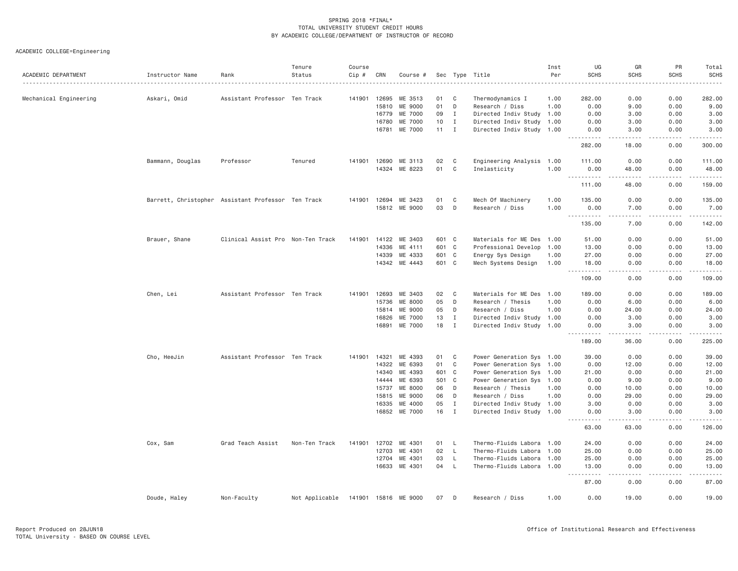| ACADEMIC DEPARTMENT    | Instructor Name                                    | Rank                              | Tenure<br>Status | Course<br>Cip # | CRN            | Course #             |              |                   | Sec Type Title                               | Inst<br>Per | UG<br><b>SCHS</b>                           | GR<br><b>SCHS</b>                                                                                                                                    | PR<br><b>SCHS</b>    | Total<br><b>SCHS</b> |
|------------------------|----------------------------------------------------|-----------------------------------|------------------|-----------------|----------------|----------------------|--------------|-------------------|----------------------------------------------|-------------|---------------------------------------------|------------------------------------------------------------------------------------------------------------------------------------------------------|----------------------|----------------------|
| Mechanical Engineering | Askari, Omid                                       | Assistant Professor Ten Track     |                  | 141901          | 12695          | ME 3513              | 01           | C                 | Thermodynamics I                             | 1.00        | 282.00                                      | 0.00                                                                                                                                                 | 0.00                 | 282.00               |
|                        |                                                    |                                   |                  |                 | 15810          | ME 9000              | 01           | D                 | Research / Diss                              | 1.00        | 0.00                                        | 9.00                                                                                                                                                 | 0.00                 | 9.00                 |
|                        |                                                    |                                   |                  |                 | 16779          | ME 7000              | 09           | <b>I</b>          | Directed Indiv Study 1.00                    |             | 0.00                                        | 3.00                                                                                                                                                 | 0.00                 | 3.00                 |
|                        |                                                    |                                   |                  |                 | 16780          | ME 7000              | 10           | $\mathbf{I}$      | Directed Indiv Study 1.00                    |             | 0.00                                        | 3.00                                                                                                                                                 | 0.00                 | 3.00                 |
|                        |                                                    |                                   |                  |                 | 16781          | ME 7000              | $11 \quad I$ |                   | Directed Indiv Study 1.00                    |             | 0.00<br>.                                   | 3.00<br>.                                                                                                                                            | 0.00<br>.            | 3.00<br>$- - - - -$  |
|                        |                                                    |                                   |                  |                 |                |                      |              |                   |                                              |             | 282.00                                      | 18,00                                                                                                                                                | 0.00                 | 300,00               |
|                        | Bammann, Douglas                                   | Professor                         | Tenured          | 141901          | 12690          | ME 3113              | 02           | C                 | Engineering Analysis                         | 1.00        | 111.00                                      | 0.00                                                                                                                                                 | 0.00                 | 111.00               |
|                        |                                                    |                                   |                  |                 | 14324          | ME 8223              | 01           | C                 | Inelasticity                                 | 1.00        | 0.00                                        | 48.00                                                                                                                                                | 0.00                 | 48.00                |
|                        |                                                    |                                   |                  |                 |                |                      |              |                   |                                              |             | .                                           | $\frac{1}{2} \left( \frac{1}{2} \right) \left( \frac{1}{2} \right) \left( \frac{1}{2} \right) \left( \frac{1}{2} \right) \left( \frac{1}{2} \right)$ | .                    |                      |
|                        |                                                    |                                   |                  |                 |                |                      |              |                   |                                              |             | 111.00                                      | 48.00                                                                                                                                                | 0.00                 | 159.00               |
|                        | Barrett, Christopher Assistant Professor Ten Track |                                   |                  | 141901 12694    |                | ME 3423              | 01           | C                 | Mech Of Machinery                            | 1.00        | 135.00                                      | 0.00                                                                                                                                                 | 0.00                 | 135.00               |
|                        |                                                    |                                   |                  |                 |                | 15812 ME 9000        | 03           | D                 | Research / Diss                              | 1.00        | 0.00<br>.                                   | 7.00<br><b>.</b>                                                                                                                                     | 0.00<br>.<br>$- - -$ | 7.00<br>.            |
|                        |                                                    |                                   |                  |                 |                |                      |              |                   |                                              |             | 135.00                                      | 7.00                                                                                                                                                 | 0.00                 | 142.00               |
|                        | Brauer, Shane                                      | Clinical Assist Pro Non-Ten Track |                  | 141901          |                | 14122 ME 3403        | 601 C        |                   | Materials for ME Des 1.00                    |             | 51.00                                       | 0.00                                                                                                                                                 | 0.00                 | 51.00                |
|                        |                                                    |                                   |                  |                 | 14336          | ME 4111              |              | 601 C             | Professional Develop                         | 1.00        | 13.00                                       | 0.00                                                                                                                                                 | 0.00                 | 13.00                |
|                        |                                                    |                                   |                  |                 | 14339          | ME 4333              | 601 C        |                   | Energy Sys Design                            | 1.00        | 27.00                                       | 0.00                                                                                                                                                 | 0.00                 | 27.00                |
|                        |                                                    |                                   |                  |                 |                | 14342 ME 4443        | 601 C        |                   | Mech Systems Design                          | 1.00        | 18.00<br>$\sim$ $\sim$ $\sim$<br>. <b>.</b> | 0.00<br>.                                                                                                                                            | 0.00<br>.            | 18.00<br>.           |
|                        |                                                    |                                   |                  |                 |                |                      |              |                   |                                              |             | 109.00                                      | 0.00                                                                                                                                                 | 0.00                 | 109.00               |
|                        | Chen, Lei                                          | Assistant Professor Ten Track     |                  | 141901          | 12693          | ME 3403              | 02           | C                 | Materials for ME Des 1.00                    |             | 189.00                                      | 0.00                                                                                                                                                 | 0.00                 | 189.00               |
|                        |                                                    |                                   |                  |                 | 15736          | ME 8000              | 05           | D                 | Research / Thesis                            | 1.00        | 0.00                                        | 6.00                                                                                                                                                 | 0.00                 | 6.00                 |
|                        |                                                    |                                   |                  |                 | 15814          | ME 9000              | 05           | D                 | Research / Diss                              | 1.00        | 0.00                                        | 24.00                                                                                                                                                | 0.00                 | 24.00                |
|                        |                                                    |                                   |                  |                 | 16826          | ME 7000              | 13           | $\mathbf{I}$      | Directed Indiv Study 1.00                    |             | 0.00                                        | 3.00                                                                                                                                                 | 0.00                 | 3.00                 |
|                        |                                                    |                                   |                  |                 | 16891          | ME 7000              | 18           | $\mathbf{I}$      | Directed Indiv Study 1.00                    |             | 0.00<br><u>.</u>                            | 3.00<br>.                                                                                                                                            | 0.00<br>.            | 3.00<br>.            |
|                        |                                                    |                                   |                  |                 |                |                      |              |                   |                                              |             | 189.00                                      | 36.00                                                                                                                                                | 0.00                 | 225.00               |
|                        | Cho, HeeJin                                        | Assistant Professor Ten Track     |                  | 141901          | 14321          | ME 4393              | 01           | C                 | Power Generation Sys 1.00                    |             | 39.00                                       | 0.00                                                                                                                                                 | 0.00                 | 39.00                |
|                        |                                                    |                                   |                  |                 | 14322          | ME 6393              | 01           | C                 | Power Generation Sys 1.00                    |             | 0.00                                        | 12.00                                                                                                                                                | 0.00                 | 12.00                |
|                        |                                                    |                                   |                  |                 | 14340          | ME 4393              | 601          | $\mathbf{C}$      | Power Generation Sys 1.00                    |             | 21.00                                       | 0.00                                                                                                                                                 | 0.00                 | 21.00                |
|                        |                                                    |                                   |                  |                 | 14444          | ME 6393              | 501          | $\mathbf C$       | Power Generation Sys 1.00                    |             | 0.00                                        | 9.00                                                                                                                                                 | 0.00                 | 9.00                 |
|                        |                                                    |                                   |                  |                 | 15737          | ME 8000              | 06           | D                 | Research / Thesis                            | 1.00        | 0.00                                        | 10.00                                                                                                                                                | 0.00                 | 10.00                |
|                        |                                                    |                                   |                  |                 | 15815<br>16335 | ME 9000<br>ME 4000   | 06<br>05     | D<br>$\mathbf{I}$ | Research / Diss<br>Directed Indiv Study 1.00 | 1.00        | 0.00<br>3.00                                | 29.00<br>0.00                                                                                                                                        | 0.00<br>0.00         | 29.00<br>3.00        |
|                        |                                                    |                                   |                  |                 |                | 16852 ME 7000        | 16           | I                 | Directed Indiv Study 1.00                    |             | 0.00                                        | 3.00                                                                                                                                                 | 0.00                 | 3.00                 |
|                        |                                                    |                                   |                  |                 |                |                      |              |                   |                                              |             | 63.00                                       | .<br>63.00                                                                                                                                           | 0.00                 | .<br>126.00          |
|                        | Cox, Sam                                           | Grad Teach Assist                 | Non-Ten Track    | 141901          | 12702          | ME 4301              | 01           | L.                | Thermo-Fluids Labora 1.00                    |             | 24.00                                       | 0.00                                                                                                                                                 | 0.00                 | 24.00                |
|                        |                                                    |                                   |                  |                 | 12703          | ME 4301              | 02           | $\mathsf{L}$      | Thermo-Fluids Labora 1.00                    |             | 25.00                                       | 0.00                                                                                                                                                 | 0.00                 | 25.00                |
|                        |                                                    |                                   |                  |                 | 12704          | ME 4301              | 03           | L.                | Thermo-Fluids Labora 1.00                    |             | 25.00                                       | 0.00                                                                                                                                                 | 0.00                 | 25.00                |
|                        |                                                    |                                   |                  |                 | 16633          | ME 4301              | 04           | $\mathsf{L}$      | Thermo-Fluids Labora 1.00                    |             | 13.00                                       | 0.00                                                                                                                                                 | 0.00                 | 13.00                |
|                        |                                                    |                                   |                  |                 |                |                      |              |                   |                                              |             | 87.00                                       | $\sim$ $\sim$ $\sim$ $\sim$<br>0.00                                                                                                                  | .<br>0.00            | $   -$<br>87.00      |
|                        | Doude, Haley                                       | Non-Faculty                       | Not Applicable   |                 |                | 141901 15816 ME 9000 | 07           | D                 | Research / Diss                              | 1.00        | 0.00                                        | 19.00                                                                                                                                                | 0.00                 | 19.00                |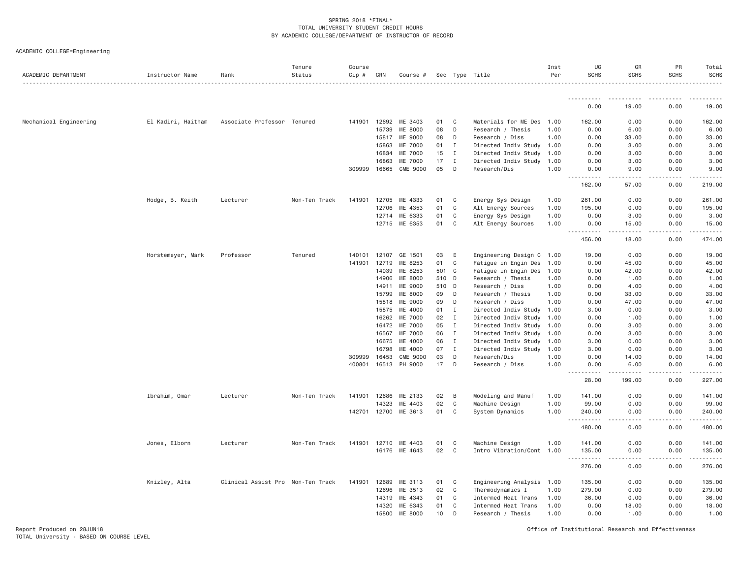| ACADEMIC DEPARTMENT    | Instructor Name    | Rank                              | Tenure<br>Status | Course<br>$Cip \#$ | CRN   | Course #             |       |              | Sec Type Title            | Inst<br>Per | UG<br><b>SCHS</b>                    | GR<br><b>SCHS</b>    | PR<br><b>SCHS</b>   | Total<br><b>SCHS</b>    |
|------------------------|--------------------|-----------------------------------|------------------|--------------------|-------|----------------------|-------|--------------|---------------------------|-------------|--------------------------------------|----------------------|---------------------|-------------------------|
|                        |                    |                                   |                  |                    |       |                      |       |              |                           |             |                                      |                      |                     |                         |
|                        |                    |                                   |                  |                    |       |                      |       |              |                           |             | .<br>0.00                            | 19.00                | 0.00                | 19.00                   |
| Mechanical Engineering | El Kadiri, Haitham | Associate Professor Tenured       |                  | 141901             | 12692 | ME 3403              | 01    | C            | Materials for ME Des      | 1,00        | 162.00                               | 0.00                 | 0.00                | 162.00                  |
|                        |                    |                                   |                  |                    | 15739 | ME 8000              | 08    | D            | Research / Thesis         | 1.00        | 0.00                                 | 6.00                 | 0.00                | 6.00                    |
|                        |                    |                                   |                  |                    | 15817 | ME 9000              | 08    | D            | Research / Diss           | 1.00        | 0.00                                 | 33.00                | 0.00                | 33.00                   |
|                        |                    |                                   |                  |                    | 15863 | ME 7000              | 01    | $\mathbf{I}$ | Directed Indiv Study      | 1.00        | 0.00                                 | 3.00                 | 0.00                | 3.00                    |
|                        |                    |                                   |                  |                    | 16834 | ME 7000              | 15    | $\mathbf{I}$ | Directed Indiv Study      | 1.00        | 0.00                                 | 3.00                 | 0.00                | 3.00                    |
|                        |                    |                                   |                  |                    | 16863 | ME 7000              | 17    | $\;$ I       | Directed Indiv Study      | 1.00        | 0.00                                 | 3.00                 | 0.00                | 3.00                    |
|                        |                    |                                   |                  | 309999             | 16665 | CME 9000             | 05    | D            | Research/Dis              | 1.00        | 0.00<br>$- - - - -$<br>$\frac{1}{2}$ | 9.00<br>.            | 0.00<br>.           | 9.00<br>$- - - - - - -$ |
|                        |                    |                                   |                  |                    |       |                      |       |              |                           |             | 162.00                               | 57.00                | 0.00                | 219.00                  |
|                        | Hodge, B. Keith    | Lecturer                          | Non-Ten Track    | 141901             | 12705 | ME 4333              | 01    | C            | Energy Sys Design         | 1.00        | 261.00                               | 0.00                 | 0.00                | 261.00                  |
|                        |                    |                                   |                  |                    | 12706 | ME 4353              | 01    | C            | Alt Energy Sources        | 1.00        | 195.00                               | 0.00                 | 0.00                | 195.00                  |
|                        |                    |                                   |                  |                    | 12714 | ME 6333              | 01    | C            | Energy Sys Design         | 1.00        | 0.00                                 | 3.00                 | 0.00                | 3.00                    |
|                        |                    |                                   |                  |                    | 12715 | ME 6353              | 01    | C            | Alt Energy Sources        | 1.00        | 0.00<br><u>.</u>                     | 15.00<br>$- - - - -$ | 0.00<br>$- - - - -$ | 15.00<br><u>.</u>       |
|                        |                    |                                   |                  |                    |       |                      |       |              |                           |             | 456.00                               | 18.00                | 0.00                | 474.00                  |
|                        | Horstemeyer, Mark  | Professor                         | Tenured          | 140101             | 12107 | GE 1501              | 03    | E            | Engineering Design C 1.00 |             | 19.00                                | 0.00                 | 0.00                | 19.00                   |
|                        |                    |                                   |                  | 141901             | 12719 | ME 8253              | 01    | C            | Fatigue in Engin Des      | 1,00        | 0.00                                 | 45.00                | 0.00                | 45.00                   |
|                        |                    |                                   |                  |                    | 14039 | ME 8253              | 501 C |              | Fatigue in Engin Des      | 1.00        | 0.00                                 | 42.00                | 0.00                | 42.00                   |
|                        |                    |                                   |                  |                    | 14906 | ME 8000              | 510 D |              | Research / Thesis         | 1.00        | 0.00                                 | 1.00                 | 0.00                | 1.00                    |
|                        |                    |                                   |                  |                    | 14911 | ME 9000              | 510 D |              | Research / Diss           | 1.00        | 0.00                                 | 4.00                 | 0.00                | 4.00                    |
|                        |                    |                                   |                  |                    | 15799 | ME 8000              | 09    | D            | Research / Thesis         | 1.00        | 0.00                                 | 33.00                | 0.00                | 33.00                   |
|                        |                    |                                   |                  |                    | 15818 | ME 9000              | 09    | D            | Research / Diss           | 1.00        | 0.00                                 | 47.00                | 0.00                | 47.00                   |
|                        |                    |                                   |                  |                    | 15875 | ME 4000              | 01    | $\mathbf{I}$ | Directed Indiv Study      | 1.00        | 3.00                                 | 0.00                 | 0.00                | 3.00                    |
|                        |                    |                                   |                  |                    | 16262 | ME 7000              | 02    | $\mathbf I$  | Directed Indiv Study      | 1.00        | 0.00                                 | 1.00                 | 0.00                | 1.00                    |
|                        |                    |                                   |                  |                    | 16472 | ME 7000              | 05    | $\mathbf I$  | Directed Indiv Study      | 1.00        | 0.00                                 | 3.00                 | 0.00                | 3.00                    |
|                        |                    |                                   |                  |                    | 16567 | ME 7000              | 06    | $\mathbf{I}$ | Directed Indiv Study      | 1.00        | 0.00                                 | 3.00                 | 0.00                | 3.00                    |
|                        |                    |                                   |                  |                    | 16675 | ME 4000              | 06    | $\mathbf{I}$ | Directed Indiv Study      | 1.00        | 3.00                                 | 0.00                 | 0.00                | 3.00                    |
|                        |                    |                                   |                  |                    | 16798 | ME 4000              | 07    | $\mathbf{I}$ | Directed Indiv Study 1.00 |             | 3.00                                 | 0.00                 | 0.00                | 3.00                    |
|                        |                    |                                   |                  | 309999             | 16453 | CME 9000             | 03    | D            | Research/Dis              | 1.00        | 0.00                                 | 14.00                | 0.00                | 14.00                   |
|                        |                    |                                   |                  | 400801             | 16513 | PH 9000              | 17    | D            | Research / Diss           | 1.00        | 0.00<br>$  -$                        | 6.00                 | 0.00                | 6.00                    |
|                        |                    |                                   |                  |                    |       |                      |       |              |                           |             | 28.00                                | 199.00               | 0.00                | 227.00                  |
|                        | Ibrahim, Omar      | Lecturer                          | Non-Ten Track    | 141901             | 12686 | ME 2133              | 02    | B            | Modeling and Manuf        | 1.00        | 141.00                               | 0.00                 | 0.00                | 141.00                  |
|                        |                    |                                   |                  |                    | 14323 | ME 4403              | 02    | C            | Machine Design            | 1.00        | 99.00                                | 0.00                 | 0.00                | 99.00                   |
|                        |                    |                                   |                  |                    |       | 142701 12700 ME 3613 | 01    | C            | System Dynamics           | 1.00        | 240.00<br>.                          | 0.00<br>.            | 0.00<br>.           | 240.00                  |
|                        |                    |                                   |                  |                    |       |                      |       |              |                           |             | 480.00                               | 0.00                 | 0.00                | 480.00                  |
|                        | Jones, Elborn      | Lecturer                          | Non-Ten Track    | 141901             | 12710 | ME 4403              | 01    | C            | Machine Design            | 1.00        | 141.00                               | 0.00                 | 0.00                | 141.00                  |
|                        |                    |                                   |                  |                    | 16176 | ME 4643              | 02    | C            | Intro Vibration/Cont 1.00 |             | 135.00<br>.                          | 0.00                 | 0.00                | 135.00                  |
|                        |                    |                                   |                  |                    |       |                      |       |              |                           |             | 276.00                               | 0.00                 | 0.00                | 276.00                  |
|                        | Knizley, Alta      | Clinical Assist Pro Non-Ten Track |                  | 141901             | 12689 | ME 3113              | 01    | C            | Engineering Analysis      | 1.00        | 135.00                               | 0.00                 | 0.00                | 135.00                  |
|                        |                    |                                   |                  |                    | 12696 | ME 3513              | 02    | C            | Thermodynamics I          | 1.00        | 279.00                               | 0.00                 | 0.00                | 279.00                  |
|                        |                    |                                   |                  |                    | 14319 | ME 4343              | 01    | C            | Intermed Heat Trans       | 1.00        | 36.00                                | 0.00                 | 0.00                | 36.00                   |
|                        |                    |                                   |                  |                    | 14320 | ME 6343              | 01    | C            | Intermed Heat Trans       | 1.00        | 0.00                                 | 18.00                | 0.00                | 18.00                   |
|                        |                    |                                   |                  |                    | 15800 | ME 8000              | 10    | D            | Research / Thesis         | 1.00        | 0.00                                 | 1.00                 | 0.00                | 1.00                    |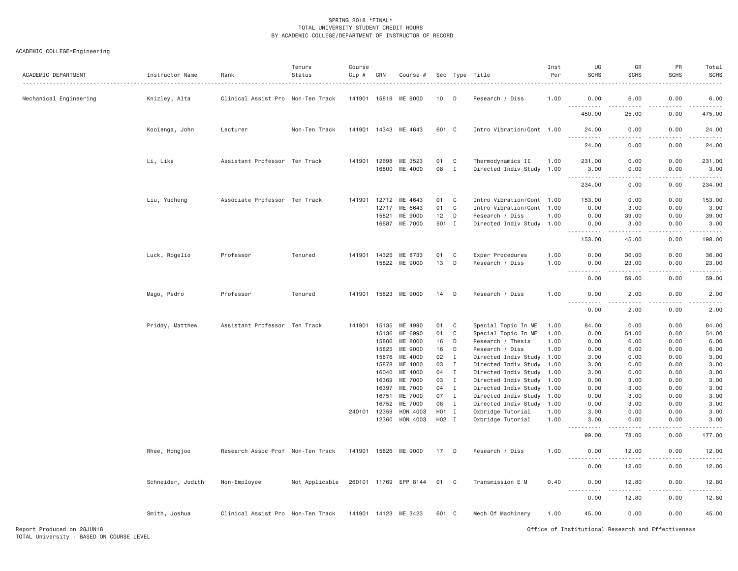| ACADEMIC DEPARTMENT    | Instructor Name   | Rank                              | Tenure<br>Status | Course<br>$Cip$ # | CRN                   | Course #              |           |                              | Sec Type Title                                 | Inst<br>Per  | UG<br><b>SCHS</b>            | GR<br><b>SCHS</b> | PR<br><b>SCHS</b> | Total<br><b>SCHS</b> |
|------------------------|-------------------|-----------------------------------|------------------|-------------------|-----------------------|-----------------------|-----------|------------------------------|------------------------------------------------|--------------|------------------------------|-------------------|-------------------|----------------------|
| Mechanical Engineering | Knizley, Alta     | Clinical Assist Pro Non-Ten Track |                  |                   | 141901 15819          | ME 9000               | 10        | - D                          | Research / Diss                                | 1.00         | 0.00                         | 6.00              | 0.00              | 6.00                 |
|                        |                   |                                   |                  |                   |                       |                       |           |                              |                                                |              | .<br>450.00                  | 25.00             | 0.00              | 475.00               |
|                        | Kooienga, John    | Lecturer                          | Non-Ten Track    |                   |                       | 141901 14343 ME 4643  | 601 C     |                              | Intro Vibration/Cont 1.00                      |              | 24.00<br>.                   | 0.00<br>.         | 0.00              | 24.00<br>.           |
|                        |                   |                                   |                  |                   |                       |                       |           |                              |                                                |              | 24.00                        | 0.00              | 0.00              | 24.00                |
|                        | Li, Like          | Assistant Professor Ten Track     |                  |                   | 141901 12698<br>16800 | ME 3523<br>ME 4000    | 01<br>08  | C<br>$\mathbf{I}$            | Thermodynamics II<br>Directed Indiv Study 1.00 | 1.00         | 231.00<br>3.00               | 0.00<br>0.00      | 0.00<br>0.00      | 231.00<br>3.00       |
|                        |                   |                                   |                  |                   |                       |                       |           |                              |                                                |              | .<br>234.00                  | .<br>0.00         | -----<br>0.00     | .<br>234.00          |
|                        | Liu, Yucheng      | Associate Professor Ten Track     |                  |                   | 141901 12712          | ME 4643               | 01        | C                            | Intro Vibration/Cont 1.00                      |              | 153.00                       | 0.00              | 0.00              | 153.00               |
|                        |                   |                                   |                  |                   | 12717                 | ME 6643               | 01        | C                            | Intro Vibration/Cont 1.00                      |              | 0.00                         | 3.00              | 0.00              | 3.00                 |
|                        |                   |                                   |                  |                   | 15821                 | ME 9000               | 12        | D                            | Research / Diss                                | 1.00         | 0.00                         | 39.00             | 0.00              | 39.00                |
|                        |                   |                                   |                  |                   |                       | 16687 ME 7000         | 501 I     |                              | Directed Indiv Study 1.00                      |              | 0.00<br>.,<br>.              | 3.00<br>-----     | 0.00<br>.         | 3.00<br>.            |
|                        |                   |                                   |                  |                   |                       |                       |           |                              |                                                |              | 153.00                       | 45.00             | 0.00              | 198.00               |
|                        | Luck, Rogelio     | Professor                         | Tenured          |                   | 141901 14325          | ME 8733               | 01        | C                            | Exper Procedures                               | 1.00         | 0.00                         | 36.00             | 0.00              | 36.00                |
|                        |                   |                                   |                  |                   | 15822                 | ME 9000               | 13        | D                            | Research / Diss                                | 1.00         | 0.00<br>.                    | 23.00<br><u>.</u> | 0.00<br>.         | 23.00<br>.           |
|                        |                   |                                   |                  |                   |                       |                       |           |                              |                                                |              | 0.00                         | 59.00             | 0.00              | 59.00                |
|                        | Mago, Pedro       | Professor                         | Tenured          |                   | 141901 15823          | ME 9000               | 14        | D                            | Research / Diss                                | 1.00         | 0.00                         | 2.00              | 0.00              | 2.00                 |
|                        |                   |                                   |                  |                   |                       |                       |           |                              |                                                |              | 0.00                         | 2.00              | 0.00              | 2.00                 |
|                        | Priddy, Matthew   | Assistant Professor Ten Track     |                  | 141901            | 15135                 | ME 4990               | 01        | C                            | Special Topic In ME                            | 1.00         | 84.00                        | 0.00              | 0.00              | 84.00                |
|                        |                   |                                   |                  |                   | 15136                 | ME 6990               | 01        | C                            | Special Topic In ME                            | 1.00         | 0.00                         | 54.00             | 0.00              | 54.00                |
|                        |                   |                                   |                  |                   | 15806                 | ME 8000               | 16        | D                            | Research / Thesis                              | 1.00         | 0.00                         | 6.00              | 0.00              | 6.00                 |
|                        |                   |                                   |                  |                   | 15825                 | ME 9000               | 16        | D                            | Research / Diss                                | 1.00         | 0.00                         | 6.00              | 0.00              | 6.00                 |
|                        |                   |                                   |                  |                   | 15876                 | ME 4000               | 02        | $\mathbf I$                  | Directed Indiv Study 1.00                      |              | 3.00                         | 0.00              | 0.00              | 3.00                 |
|                        |                   |                                   |                  |                   | 15878                 | ME 4000               | 03        | $\mathbf{I}$                 | Directed Indiv Study                           | 1.00         | 3.00                         | 0.00              | 0.00              | 3.00                 |
|                        |                   |                                   |                  |                   | 16040                 | ME 4000               | 04        | $\mathbf{I}$                 | Directed Indiv Study 1.00                      |              | 3.00                         | 0.00              | 0.00              | 3.00                 |
|                        |                   |                                   |                  |                   | 16369                 | ME 7000               | 03        | $\mathbf{I}$                 | Directed Indiv Study                           | 1.00         | 0.00                         | 3.00              | 0.00              | 3.00                 |
|                        |                   |                                   |                  |                   | 16397                 | ME 7000               | 04        | $\mathbf I$                  | Directed Indiv Study 1.00                      |              | 0.00                         | 3.00              | 0.00              | 3.00                 |
|                        |                   |                                   |                  |                   | 16751                 | ME 7000               | 07        | $\mathbf{I}$                 | Directed Indiv Study                           | 1.00         | 0.00                         | 3.00              | 0.00              | 3.00                 |
|                        |                   |                                   |                  |                   | 16752<br>240101 12359 | ME 7000<br>HON 4003   | 08<br>H01 | $\mathbf{I}$<br>$\mathbf{I}$ | Directed Indiv Study<br>Oxbridge Tutorial      | 1.00<br>1.00 | 0.00<br>3.00                 | 3.00<br>0.00      | 0.00<br>0.00      | 3.00<br>3.00         |
|                        |                   |                                   |                  |                   | 12360                 | HON 4003              | H02 I     |                              | Oxbridge Tutorial                              | 1.00         | 3.00                         | 0.00              | 0.00              | 3.00                 |
|                        |                   |                                   |                  |                   |                       |                       |           |                              |                                                |              | .<br>99.00                   | 78.00             | 0.00              | .<br>177.00          |
|                        | Rhee, Hongjoo     | Research Assoc Prof Non-Ten Track |                  |                   | 141901 15826          | ME 9000               | 17 D      |                              | Research / Diss                                | 1.00         | 0.00                         | 12.00             | 0.00              | 12.00                |
|                        |                   |                                   |                  |                   |                       |                       |           |                              |                                                |              | .<br>----<br>0.00            | .<br>12.00        | .<br>0.00         | .<br>12.00           |
|                        | Schneider, Judith | Non-Employee                      | Not Applicable   |                   |                       | 260101 11769 EPP 8144 | 01 C      |                              | Transmission E M                               | 0.40         | 0.00<br>$\sim$ $\sim$ $\sim$ | 12.80             | 0.00              | 12.80                |
|                        |                   |                                   |                  |                   |                       |                       |           |                              |                                                |              | 0.00                         | 12.80             | 0.00              | 12.80                |
|                        | Smith, Joshua     | Clinical Assist Pro Non-Ten Track |                  |                   |                       | 141901 14123 ME 3423  | 601 C     |                              | Mech Of Machinery                              | 1.00         | 45.00                        | 0.00              | 0.00              | 45.00                |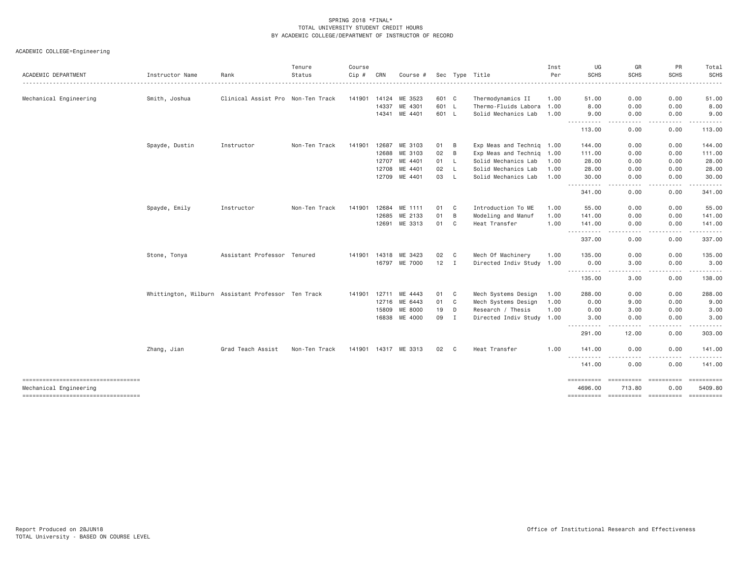| ACADEMIC DEPARTMENT                                          | Instructor Name | Rank                                               | Tenure<br>Status | Course<br>Cip # | CRN   | Course #               |              |                | Sec Type Title            | Inst<br>Per | UG<br><b>SCHS</b>                                                                                                                      | GR<br><b>SCHS</b>                                                                                           | PR<br><b>SCHS</b>              | Total<br>SCHS         |
|--------------------------------------------------------------|-----------------|----------------------------------------------------|------------------|-----------------|-------|------------------------|--------------|----------------|---------------------------|-------------|----------------------------------------------------------------------------------------------------------------------------------------|-------------------------------------------------------------------------------------------------------------|--------------------------------|-----------------------|
| .                                                            |                 |                                                    |                  |                 |       |                        |              |                |                           |             |                                                                                                                                        |                                                                                                             |                                |                       |
| Mechanical Engineering                                       | Smith, Joshua   | Clinical Assist Pro Non-Ten Track                  |                  | 141901          | 14124 | ME 3523                | 601 C        |                | Thermodynamics II         | 1.00        | 51.00                                                                                                                                  | 0.00                                                                                                        | 0.00                           | 51.00                 |
|                                                              |                 |                                                    |                  |                 | 14337 | ME 4301                | 601 L        |                | Thermo-Fluids Labora      | 1.00        | 8.00                                                                                                                                   | 0.00                                                                                                        | 0.00                           | 8.00                  |
|                                                              |                 |                                                    |                  |                 | 14341 | ME 4401                | 601 L        |                | Solid Mechanics Lab       | 1.00        | 9.00<br>.                                                                                                                              | 0.00                                                                                                        | 0.00                           | 9.00                  |
|                                                              |                 |                                                    |                  |                 |       |                        |              |                |                           |             | 113.00                                                                                                                                 | 0.00                                                                                                        | 0.00                           | 113.00                |
|                                                              | Spayde, Dustin  | Instructor                                         | Non-Ten Track    | 141901          | 12687 | ME 3103                | 01           | B              | Exp Meas and Techniq 1.00 |             | 144.00                                                                                                                                 | 0.00                                                                                                        | 0.00                           | 144.00                |
|                                                              |                 |                                                    |                  |                 | 12688 | ME 3103                | 02           | B              | Exp Meas and Techniq 1.00 |             | 111.00                                                                                                                                 | 0.00                                                                                                        | 0.00                           | 111.00                |
|                                                              |                 |                                                    |                  |                 | 12707 | ME 4401                | 01 L         |                | Solid Mechanics Lab       | 1.00        | 28.00                                                                                                                                  | 0.00                                                                                                        | 0.00                           | 28.00                 |
|                                                              |                 |                                                    |                  |                 | 12708 | ME 4401                | 02           | $\mathsf{L}$   | Solid Mechanics Lab       | 1.00        | 28.00                                                                                                                                  | 0.00                                                                                                        | 0.00                           | 28.00                 |
|                                                              |                 |                                                    |                  |                 |       | 12709 ME 4401          | 03           | - L            | Solid Mechanics Lab       | 1.00        | 30.00                                                                                                                                  | 0.00<br>$\frac{1}{2} \left( \frac{1}{2} \right) \left( \frac{1}{2} \right) \left( \frac{1}{2} \right)$<br>. | 0.00<br>$\cdots \cdots \cdots$ | 30.00<br>.            |
|                                                              |                 |                                                    |                  |                 |       |                        |              |                |                           |             | 341.00                                                                                                                                 | 0.00                                                                                                        | 0.00                           | 341.00                |
|                                                              | Spayde, Emily   | Instructor                                         | Non-Ten Track    | 141901          | 12684 | ME 1111                | 01           | - C            | Introduction To ME        | 1.00        | 55.00                                                                                                                                  | 0.00                                                                                                        | 0.00                           | 55.00                 |
|                                                              |                 |                                                    |                  |                 | 12685 | ME 2133                | 01           | B              | Modeling and Manuf        | 1.00        | 141.00                                                                                                                                 | 0.00                                                                                                        | 0.00                           | 141.00                |
|                                                              |                 |                                                    |                  |                 | 12691 | ME 3313                | 01 C         |                | Heat Transfer             | 1.00        | 141.00<br>-----                                                                                                                        | 0.00                                                                                                        | 0.00                           | 141.00                |
|                                                              |                 |                                                    |                  |                 |       |                        |              |                |                           |             | 337.00                                                                                                                                 | 0.00                                                                                                        | 0.00                           | 337.00                |
|                                                              | Stone, Tonya    | Assistant Professor Tenured                        |                  | 141901          | 14318 | ME 3423                | 02           | C <sub>c</sub> | Mech Of Machinery         | 1.00        | 135.00                                                                                                                                 | 0.00                                                                                                        | 0.00                           | 135.00                |
|                                                              |                 |                                                    |                  |                 | 16797 | ME 7000                | $12 \quad I$ |                | Directed Indiv Study 1.00 |             | 0.00                                                                                                                                   | 3.00                                                                                                        | 0.00                           | 3.00                  |
|                                                              |                 |                                                    |                  |                 |       |                        |              |                |                           |             | .<br>135.00                                                                                                                            | .<br>3.00                                                                                                   | .<br>0.00                      | 138.00                |
|                                                              |                 | Whittington, Wilburn Assistant Professor Ten Track |                  | 141901          | 12711 | ME 4443                | 01           | C <sub>c</sub> | Mech Systems Design       | 1.00        | 288.00                                                                                                                                 | 0.00                                                                                                        | 0.00                           | 288.00                |
|                                                              |                 |                                                    |                  |                 | 12716 | ME 6443                | 01           | $\mathbf{C}$   | Mech Systems Design       | 1.00        | 0.00                                                                                                                                   | 9.00                                                                                                        | 0.00                           | 9.00                  |
|                                                              |                 |                                                    |                  |                 | 15809 | ME 8000                | 19           | D              | Research / Thesis         | 1.00        | 0.00                                                                                                                                   | 3.00                                                                                                        | 0.00                           | 3.00                  |
|                                                              |                 |                                                    |                  |                 | 16838 | ME 4000                | 09           | $\mathbb T$    | Directed Indiv Study 1.00 |             | 3.00<br>$\frac{1}{2} \left( \frac{1}{2} \right) \left( \frac{1}{2} \right) \left( \frac{1}{2} \right) \left( \frac{1}{2} \right)$<br>. | 0.00                                                                                                        | 0.00<br>.                      | 3.00                  |
|                                                              |                 |                                                    |                  |                 |       |                        |              |                |                           |             | 291.00                                                                                                                                 | 12.00                                                                                                       | 0.00                           | 303.00                |
|                                                              | Zhang, Jian     | Grad Teach Assist                                  | Non-Ten Track    |                 |       | 141901  14317 ME  3313 | 02 C         |                | Heat Transfer             | 1.00        | 141.00                                                                                                                                 | 0.00                                                                                                        | 0.00                           | 141.00                |
|                                                              |                 |                                                    |                  |                 |       |                        |              |                |                           |             | .<br>141.00                                                                                                                            | 0.00                                                                                                        | 0.00                           | 141.00                |
| ----------------------------------<br>Mechanical Engineering |                 |                                                    |                  |                 |       |                        |              |                |                           |             | 4696.00                                                                                                                                | 713.80                                                                                                      | 0.00                           | ==========<br>5409.80 |
| ----------------------------------                           |                 |                                                    |                  |                 |       |                        |              |                |                           |             |                                                                                                                                        |                                                                                                             |                                |                       |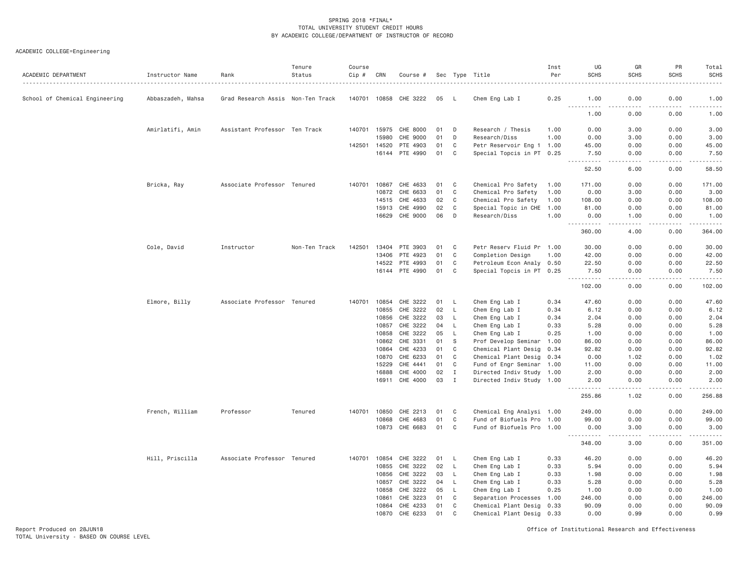| ACADEMIC DEPARTMENT            | Instructor Name   | Rank                              | Tenure<br>Status | Course<br>Cip # | CRN            | Course #              |          |                   | Sec Type Title                                         | Inst<br>Per | UG<br><b>SCHS</b>                                                                                                                                            | GR<br><b>SCHS</b>                                                                                                                 | PR<br><b>SCHS</b> | Total<br><b>SCHS</b>                                                                                                                                         |
|--------------------------------|-------------------|-----------------------------------|------------------|-----------------|----------------|-----------------------|----------|-------------------|--------------------------------------------------------|-------------|--------------------------------------------------------------------------------------------------------------------------------------------------------------|-----------------------------------------------------------------------------------------------------------------------------------|-------------------|--------------------------------------------------------------------------------------------------------------------------------------------------------------|
| School of Chemical Engineering | Abbaszadeh, Mahsa | Grad Research Assis Non-Ten Track |                  |                 |                | 140701 10858 CHE 3222 | 05       | <b>L</b>          | Chem Eng Lab I                                         | 0.25        | 1.00<br>.                                                                                                                                                    | 0.00<br>.                                                                                                                         | 0.00<br>.         | 1.00<br>$\omega$ is $\omega$ in .                                                                                                                            |
|                                |                   |                                   |                  |                 |                |                       |          |                   |                                                        |             | 1.00                                                                                                                                                         | 0.00                                                                                                                              | 0.00              | 1.00                                                                                                                                                         |
|                                | Amirlatifi, Amin  | Assistant Professor Ten Track     |                  | 140701          | 15975          | CHE 8000              | 01       | D                 | Research / Thesis                                      | 1.00        | 0.00                                                                                                                                                         | 3.00                                                                                                                              | 0.00              | 3.00                                                                                                                                                         |
|                                |                   |                                   |                  |                 | 15980          | CHE 9000              | 01       | D                 | Research/Diss                                          | 1.00        | 0.00                                                                                                                                                         | 3.00                                                                                                                              | 0.00              | 3.00                                                                                                                                                         |
|                                |                   |                                   |                  | 142501          | 14520          | PTE 4903              | 01       | C                 | Petr Reservoir Eng 1 1.00                              |             | 45.00                                                                                                                                                        | 0.00                                                                                                                              | 0.00              | 45.00                                                                                                                                                        |
|                                |                   |                                   |                  |                 |                | 16144 PTE 4990        | 01       | C                 | Special Topcis in PT 0.25                              |             | 7.50<br>$\frac{1}{2} \left( \frac{1}{2} \right) \left( \frac{1}{2} \right) \left( \frac{1}{2} \right) \left( \frac{1}{2} \right) \left( \frac{1}{2} \right)$ | 0.00<br>.                                                                                                                         | 0.00<br>.         | 7.50<br>.                                                                                                                                                    |
|                                |                   |                                   |                  |                 |                |                       |          |                   |                                                        |             | 52.50                                                                                                                                                        | 6.00                                                                                                                              | 0.00              | 58.50                                                                                                                                                        |
|                                | Bricka, Ray       | Associate Professor Tenured       |                  | 140701          | 10867          | CHE 4633              | 01       | C                 | Chemical Pro Safety                                    | 1.00        | 171.00                                                                                                                                                       | 0.00                                                                                                                              | 0.00              | 171.00                                                                                                                                                       |
|                                |                   |                                   |                  |                 |                | 10872 CHE 6633        | 01       | $\mathsf{C}$      | Chemical Pro Safety                                    | 1.00        | 0.00                                                                                                                                                         | 3.00                                                                                                                              | 0.00              | 3.00                                                                                                                                                         |
|                                |                   |                                   |                  |                 | 14515          | CHE 4633              | 02       | C                 | Chemical Pro Safety                                    | 1.00        | 108.00                                                                                                                                                       | 0.00                                                                                                                              | 0.00              | 108.00                                                                                                                                                       |
|                                |                   |                                   |                  |                 | 15913          | CHE 4990              | 02       | C                 | Special Topic in CHE 1.00                              |             | 81.00                                                                                                                                                        | 0.00                                                                                                                              | 0.00              | 81.00                                                                                                                                                        |
|                                |                   |                                   |                  |                 | 16629          | CHE 9000              | 06       | D                 | Research/Diss                                          | 1.00        | 0.00<br>$\frac{1}{2} \left( \frac{1}{2} \right) \left( \frac{1}{2} \right) \left( \frac{1}{2} \right) \left( \frac{1}{2} \right) \left( \frac{1}{2} \right)$ | 1.00<br>$\frac{1}{2} \left( \frac{1}{2} \right) \left( \frac{1}{2} \right) \left( \frac{1}{2} \right) \left( \frac{1}{2} \right)$ | 0.00<br>.         | 1.00<br>$\frac{1}{2} \left( \frac{1}{2} \right) \left( \frac{1}{2} \right) \left( \frac{1}{2} \right) \left( \frac{1}{2} \right) \left( \frac{1}{2} \right)$ |
|                                |                   |                                   |                  |                 |                |                       |          |                   |                                                        |             | 360.00                                                                                                                                                       | 4.00                                                                                                                              | 0.00              | 364.00                                                                                                                                                       |
|                                | Cole, David       | Instructor                        | Non-Ten Track    | 142501          | 13404          | PTE 3903              | 01       | C                 | Petr Reserv Fluid Pr 1.00                              |             | 30.00                                                                                                                                                        | 0.00                                                                                                                              | 0.00              | 30.00                                                                                                                                                        |
|                                |                   |                                   |                  |                 | 13406          | PTE 4923              | 01       | C                 | Completion Design                                      | 1.00        | 42.00                                                                                                                                                        | 0.00                                                                                                                              | 0.00              | 42.00                                                                                                                                                        |
|                                |                   |                                   |                  |                 | 14522          | PTE 4993              | 01       | C                 | Petroleum Econ Analy 0.50                              |             | 22.50                                                                                                                                                        | 0.00                                                                                                                              | 0.00              | 22.50                                                                                                                                                        |
|                                |                   |                                   |                  |                 |                | 16144 PTE 4990        | 01       | C                 | Special Topcis in PT 0.25                              |             | 7.50<br>.                                                                                                                                                    | 0.00<br>$\frac{1}{2} \left( \frac{1}{2} \right) \left( \frac{1}{2} \right) \left( \frac{1}{2} \right) \left( \frac{1}{2} \right)$ | 0.00<br>د د د د   | 7.50<br>.                                                                                                                                                    |
|                                |                   |                                   |                  |                 |                |                       |          |                   |                                                        |             | 102.00                                                                                                                                                       | 0.00                                                                                                                              | 0.00              | 102.00                                                                                                                                                       |
|                                | Elmore, Billy     | Associate Professor Tenured       |                  | 140701          |                | 10854 CHE 3222        | 01       | L.                | Chem Eng Lab I                                         | 0.34        | 47.60                                                                                                                                                        | 0.00                                                                                                                              | 0.00              | 47.60                                                                                                                                                        |
|                                |                   |                                   |                  |                 | 10855          | CHE 3222              | 02       | L                 | Chem Eng Lab I                                         | 0.34        | 6.12                                                                                                                                                         | 0.00                                                                                                                              | 0.00              | 6.12                                                                                                                                                         |
|                                |                   |                                   |                  |                 | 10856          | CHE 3222              | 03       | L.                | Chem Eng Lab I                                         | 0.34        | 2.04                                                                                                                                                         | 0.00                                                                                                                              | 0.00              | 2.04                                                                                                                                                         |
|                                |                   |                                   |                  |                 | 10857          | CHE 3222              | 04       | L.                | Chem Eng Lab I                                         | 0.33        | 5.28                                                                                                                                                         | 0.00                                                                                                                              | 0.00              | 5.28                                                                                                                                                         |
|                                |                   |                                   |                  |                 | 10858          | CHE 3222              | 05       | L.                | Chem Eng Lab I                                         | 0.25        | 1.00                                                                                                                                                         | 0.00                                                                                                                              | 0.00              | 1.00                                                                                                                                                         |
|                                |                   |                                   |                  |                 | 10862          | CHE 3331              | 01       | - S               | Prof Develop Seminar                                   | 1.00        | 86.00                                                                                                                                                        | 0.00                                                                                                                              | 0.00              | 86.00                                                                                                                                                        |
|                                |                   |                                   |                  |                 | 10864          | CHE 4233              | 01       | C                 | Chemical Plant Desig                                   | 0.34        | 92.82                                                                                                                                                        | 0.00                                                                                                                              | 0.00              | 92.82                                                                                                                                                        |
|                                |                   |                                   |                  |                 | 10870          | CHE 6233              | 01       | $\mathbf C$       | Chemical Plant Desig 0.34                              |             | 0.00                                                                                                                                                         | 1.02                                                                                                                              | 0.00              | 1.02                                                                                                                                                         |
|                                |                   |                                   |                  |                 | 15229          | CHE 4441              | 01       | C                 | Fund of Engr Seminar 1.00                              |             | 11.00                                                                                                                                                        | 0.00                                                                                                                              | 0.00              | 11.00                                                                                                                                                        |
|                                |                   |                                   |                  |                 | 16888<br>16911 | CHE 4000<br>CHE 4000  | 02<br>03 | I<br>$\mathbf{I}$ | Directed Indiv Study 1.00<br>Directed Indiv Study 1.00 |             | 2.00<br>2.00                                                                                                                                                 | 0.00<br>0.00                                                                                                                      | 0.00<br>0.00      | 2.00<br>2.00                                                                                                                                                 |
|                                |                   |                                   |                  |                 |                |                       |          |                   |                                                        |             | .                                                                                                                                                            | $\sim$ $\sim$ $\sim$ $\sim$                                                                                                       | .                 | .                                                                                                                                                            |
|                                |                   |                                   |                  |                 |                |                       |          |                   |                                                        |             | 255.86                                                                                                                                                       | 1.02                                                                                                                              | 0.00              | 256.88                                                                                                                                                       |
|                                | French, William   | Professor                         | Tenured          | 140701          | 10850          | CHE 2213              | 01       | C                 | Chemical Eng Analysi 1.00                              |             | 249.00                                                                                                                                                       | 0.00                                                                                                                              | 0.00              | 249.00                                                                                                                                                       |
|                                |                   |                                   |                  |                 | 10868          | CHE 4683              | 01       | C                 | Fund of Biofuels Pro 1.00                              |             | 99.00                                                                                                                                                        | 0.00                                                                                                                              | 0.00              | 99.00                                                                                                                                                        |
|                                |                   |                                   |                  |                 | 10873          | CHE 6683              | 01       | C                 | Fund of Biofuels Pro 1.00                              |             | 0.00<br>$\sim$ $\sim$ $\sim$<br>.                                                                                                                            | 3.00                                                                                                                              | 0.00              | 3.00<br>.                                                                                                                                                    |
|                                |                   |                                   |                  |                 |                |                       |          |                   |                                                        |             | 348.00                                                                                                                                                       | 3.00                                                                                                                              | 0.00              | 351.00                                                                                                                                                       |
|                                | Hill, Priscilla   | Associate Professor Tenured       |                  | 140701          | 10854          | CHE 3222              | 01       | - L               | Chem Eng Lab I                                         | 0.33        | 46.20                                                                                                                                                        | 0.00                                                                                                                              | 0.00              | 46.20                                                                                                                                                        |
|                                |                   |                                   |                  |                 | 10855          | CHE 3222              | 02       | L.                | Chem Eng Lab I                                         | 0.33        | 5.94                                                                                                                                                         | 0.00                                                                                                                              | 0.00              | 5.94                                                                                                                                                         |
|                                |                   |                                   |                  |                 | 10856          | CHE 3222              | 03       | L.                | Chem Eng Lab I                                         | 0.33        | 1.98                                                                                                                                                         | 0.00                                                                                                                              | 0.00              | 1.98                                                                                                                                                         |
|                                |                   |                                   |                  |                 | 10857          | CHE 3222              | 04       | L.                | Chem Eng Lab I                                         | 0.33        | 5.28                                                                                                                                                         | 0.00                                                                                                                              | 0.00              | 5.28                                                                                                                                                         |
|                                |                   |                                   |                  |                 | 10858          | CHE 3222              | 05       | L.                | Chem Eng Lab I                                         | 0.25        | 1.00                                                                                                                                                         | 0.00                                                                                                                              | 0.00              | 1.00                                                                                                                                                         |
|                                |                   |                                   |                  |                 | 10861          | CHE 3223              | 01       | C                 | Separation Processes 1.00                              |             | 246.00                                                                                                                                                       | 0.00                                                                                                                              | 0.00              | 246.00                                                                                                                                                       |
|                                |                   |                                   |                  |                 | 10864          | CHE 4233              | 01       | C                 | Chemical Plant Desig                                   | 0.33        | 90.09                                                                                                                                                        | 0.00                                                                                                                              | 0.00              | 90.09                                                                                                                                                        |
|                                |                   |                                   |                  |                 | 10870          | CHE 6233              | 01       | C                 | Chemical Plant Desig 0.33                              |             | 0.00                                                                                                                                                         | 0.99                                                                                                                              | 0.00              | 0.99                                                                                                                                                         |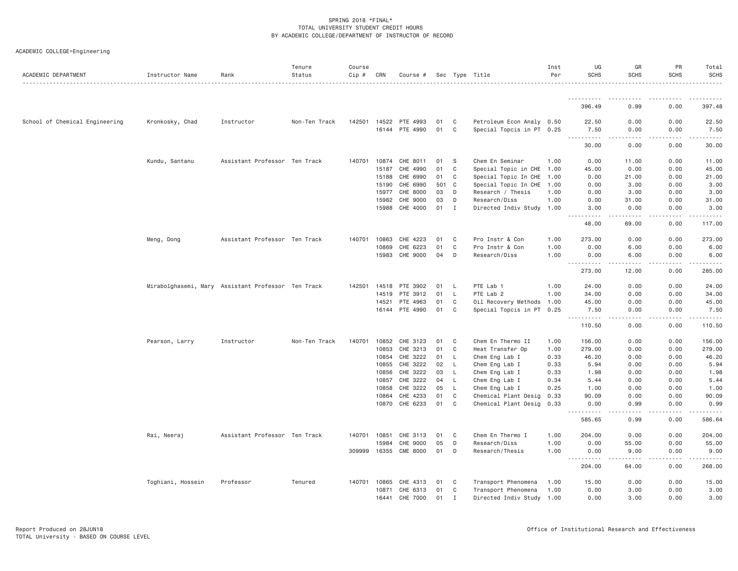|  | ACADEMIC COLLEGE=Engineering |  |
|--|------------------------------|--|
|--|------------------------------|--|

| ACADEMIC DEPARTMENT            | Instructor Name                                    | Rank                          | Tenure<br>Status | Course<br>$Cip \#$ | CRN   | Course #        |     |                | Sec Type Title            | Inst<br>Per | UG<br><b>SCHS</b>                                                                                                                                                                                                                                                                                                                                                                                           | GR<br><b>SCHS</b>      | PR<br><b>SCHS</b>  | Total<br><b>SCHS</b>                                                                                                                                         |
|--------------------------------|----------------------------------------------------|-------------------------------|------------------|--------------------|-------|-----------------|-----|----------------|---------------------------|-------------|-------------------------------------------------------------------------------------------------------------------------------------------------------------------------------------------------------------------------------------------------------------------------------------------------------------------------------------------------------------------------------------------------------------|------------------------|--------------------|--------------------------------------------------------------------------------------------------------------------------------------------------------------|
|                                |                                                    |                               |                  |                    |       |                 |     |                |                           |             |                                                                                                                                                                                                                                                                                                                                                                                                             |                        |                    |                                                                                                                                                              |
|                                |                                                    |                               |                  |                    |       |                 |     |                |                           |             | 396.49                                                                                                                                                                                                                                                                                                                                                                                                      | 0.99                   | 0.00               | 397.48                                                                                                                                                       |
| School of Chemical Engineering | Kronkosky, Chad                                    | Instructor                    | Non-Ten Track    | 142501             | 14522 | PTE 4993        | 01  | C              | Petroleum Econ Analy 0.50 |             | 22.50                                                                                                                                                                                                                                                                                                                                                                                                       | 0.00                   | 0.00               | 22.50                                                                                                                                                        |
|                                |                                                    |                               |                  |                    | 16144 | PTE 4990        | 01  | C              | Special Topcis in PT 0.25 |             | 7.50<br>. <b>.</b><br>$- - -$                                                                                                                                                                                                                                                                                                                                                                               | 0.00<br>.              | 0.00<br>.          | 7.50<br>.                                                                                                                                                    |
|                                |                                                    |                               |                  |                    |       |                 |     |                |                           |             | 30.00                                                                                                                                                                                                                                                                                                                                                                                                       | 0.00                   | 0.00               | 30.00                                                                                                                                                        |
|                                | Kundu, Santanu                                     | Assistant Professor Ten Track |                  | 140701             | 10874 | CHE 8011        | 01  | - S            | Chem En Seminar           | 1,00        | 0.00                                                                                                                                                                                                                                                                                                                                                                                                        | 11.00                  | 0.00               | 11.00                                                                                                                                                        |
|                                |                                                    |                               |                  |                    | 15187 | CHE 4990        | 01  | C              | Special Topic in CHE      | 1.00        | 45.00                                                                                                                                                                                                                                                                                                                                                                                                       | 0.00                   | 0.00               | 45.00                                                                                                                                                        |
|                                |                                                    |                               |                  |                    | 15188 | CHE 6990        | 01  | C              | Special Topic In CHE      | 1.00        | 0.00                                                                                                                                                                                                                                                                                                                                                                                                        | 21.00                  | 0.00               | 21.00                                                                                                                                                        |
|                                |                                                    |                               |                  |                    | 15190 | CHE 6990        | 501 | C <sub>1</sub> | Special Topic In CHE      | 1.00        | 0.00                                                                                                                                                                                                                                                                                                                                                                                                        | 3.00                   | 0.00               | 3,00                                                                                                                                                         |
|                                |                                                    |                               |                  |                    | 15977 | CHE 8000        | 03  | D              | Research / Thesis         | 1.00        | 0.00                                                                                                                                                                                                                                                                                                                                                                                                        | 3.00                   | 0.00               | 3.00                                                                                                                                                         |
|                                |                                                    |                               |                  |                    | 15982 | CHE 9000        | 03  | D              | Research/Diss             | 1.00        | 0.00                                                                                                                                                                                                                                                                                                                                                                                                        | 31.00                  | 0.00               | 31.00                                                                                                                                                        |
|                                |                                                    |                               |                  |                    | 15988 | CHE 4000        | 01  | $\mathbf I$    | Directed Indiv Study      | 1.00        | 3.00<br>الدامات بال                                                                                                                                                                                                                                                                                                                                                                                         | 0.00<br>.              | 0.00<br>.          | 3.00<br>$\frac{1}{2} \left( \frac{1}{2} \right) \left( \frac{1}{2} \right) \left( \frac{1}{2} \right) \left( \frac{1}{2} \right) \left( \frac{1}{2} \right)$ |
|                                |                                                    |                               |                  |                    |       |                 |     |                |                           |             | 48.00                                                                                                                                                                                                                                                                                                                                                                                                       | 69.00                  | 0.00               | 117.00                                                                                                                                                       |
|                                | Meng, Dong                                         | Assistant Professor Ten Track |                  | 140701             | 10863 | CHE 4223        | 01  | C              | Pro Instr & Con           | 1.00        | 273.00                                                                                                                                                                                                                                                                                                                                                                                                      | 0.00                   | 0.00               | 273.00                                                                                                                                                       |
|                                |                                                    |                               |                  |                    | 10869 | CHE 6223        | 01  | C              | Pro Instr & Con           | 1.00        | 0.00                                                                                                                                                                                                                                                                                                                                                                                                        | 6.00                   | 0.00               | 6.00                                                                                                                                                         |
|                                |                                                    |                               |                  |                    | 15983 | CHE 9000        | 04  | D              | Research/Diss             | 1.00        | 0.00                                                                                                                                                                                                                                                                                                                                                                                                        | 6.00                   | 0.00               | 6.00                                                                                                                                                         |
|                                |                                                    |                               |                  |                    |       |                 |     |                |                           |             | .<br>273.00                                                                                                                                                                                                                                                                                                                                                                                                 | .<br>12.00             | . <b>.</b><br>0.00 | $\frac{1}{2}$<br>285.00                                                                                                                                      |
|                                | Mirabolghasemi, Mary Assistant Professor Ten Track |                               |                  | 142501             | 14518 | PTE 3902        | 01  | -L             | PTE Lab 1                 | 1.00        | 24.00                                                                                                                                                                                                                                                                                                                                                                                                       | 0.00                   | 0.00               | 24.00                                                                                                                                                        |
|                                |                                                    |                               |                  |                    | 14519 | PTE 3912        | 01  | <b>L</b>       | PTE Lab 2                 | 1.00        | 34.00                                                                                                                                                                                                                                                                                                                                                                                                       | 0.00                   | 0.00               | 34.00                                                                                                                                                        |
|                                |                                                    |                               |                  |                    | 14521 | PTE 4963        | 01  | C              | Oil Recovery Methods 1.00 |             | 45.00                                                                                                                                                                                                                                                                                                                                                                                                       | 0.00                   | 0.00               | 45.00                                                                                                                                                        |
|                                |                                                    |                               |                  |                    | 16144 | PTE 4990        | 01  | C              | Special Topcis in PT 0.25 |             | 7.50                                                                                                                                                                                                                                                                                                                                                                                                        | 0.00                   | 0.00               | 7.50                                                                                                                                                         |
|                                |                                                    |                               |                  |                    |       |                 |     |                |                           |             | .<br>110.50                                                                                                                                                                                                                                                                                                                                                                                                 | .<br>0.00              | -----<br>0.00      | وبالمحامي<br>110.50                                                                                                                                          |
|                                | Pearson, Larry                                     | Instructor                    | Non-Ten Track    | 140701             | 10852 | CHE 3123        | 01  | C              | Chem En Thermo II         | 1.00        | 156.00                                                                                                                                                                                                                                                                                                                                                                                                      | 0.00                   | 0.00               | 156.00                                                                                                                                                       |
|                                |                                                    |                               |                  |                    | 10853 | CHE 3213        | 01  | C              | Heat Transfer Op          | 1.00        | 279.00                                                                                                                                                                                                                                                                                                                                                                                                      | 0.00                   | 0.00               | 279.00                                                                                                                                                       |
|                                |                                                    |                               |                  |                    | 10854 | CHE 3222        | 01  | L.             | Chem Eng Lab I            | 0.33        | 46.20                                                                                                                                                                                                                                                                                                                                                                                                       | 0.00                   | 0.00               | 46.20                                                                                                                                                        |
|                                |                                                    |                               |                  |                    | 10855 | CHE 3222        | 02  | L.             | Chem Eng Lab I            | 0.33        | 5.94                                                                                                                                                                                                                                                                                                                                                                                                        | 0.00                   | 0.00               | 5.94                                                                                                                                                         |
|                                |                                                    |                               |                  |                    | 10856 | CHE 3222        | 03  | $\mathsf{L}$   | Chem Eng Lab I            | 0.33        | 1.98                                                                                                                                                                                                                                                                                                                                                                                                        | 0.00                   | 0.00               | 1.98                                                                                                                                                         |
|                                |                                                    |                               |                  |                    | 10857 | CHE 3222        | 04  | L.             | Chem Eng Lab I            | 0.34        | 5.44                                                                                                                                                                                                                                                                                                                                                                                                        | 0.00                   | 0.00               | 5.44                                                                                                                                                         |
|                                |                                                    |                               |                  |                    | 10858 | CHE 3222        | 05  | L.             | Chem Eng Lab I            | 0.25        | 1.00                                                                                                                                                                                                                                                                                                                                                                                                        | 0.00                   | 0.00               | 1.00                                                                                                                                                         |
|                                |                                                    |                               |                  |                    | 10864 | CHE 4233        | 01  | $\mathbb C$    | Chemical Plant Desig      | 0.33        | 90.09                                                                                                                                                                                                                                                                                                                                                                                                       | 0.00                   | 0.00               | 90.09                                                                                                                                                        |
|                                |                                                    |                               |                  |                    | 10870 | CHE 6233        | 01  | C              | Chemical Plant Desig      | 0.33        | 0.00                                                                                                                                                                                                                                                                                                                                                                                                        | 0.99                   | 0.00               | 0.99                                                                                                                                                         |
|                                |                                                    |                               |                  |                    |       |                 |     |                |                           |             | 585.65                                                                                                                                                                                                                                                                                                                                                                                                      | 0.99                   | 0.00               | 586.64                                                                                                                                                       |
|                                | Rai, Neeraj                                        | Assistant Professor Ten Track |                  | 140701             | 10851 | CHE 3113        | 01  | C              | Chem En Thermo I          | 1,00        | 204,00                                                                                                                                                                                                                                                                                                                                                                                                      | 0.00                   | 0.00               | 204.00                                                                                                                                                       |
|                                |                                                    |                               |                  |                    | 15984 | CHE 9000        | 05  | D              | Research/Diss             | 1.00        | 0.00                                                                                                                                                                                                                                                                                                                                                                                                        | 55.00                  | 0.00               | 55.00                                                                                                                                                        |
|                                |                                                    |                               |                  | 309999             | 16355 | <b>CME 8000</b> | 01  | D              | Research/Thesis           | 1.00        | 0.00                                                                                                                                                                                                                                                                                                                                                                                                        | 9.00                   | 0.00               | 9.00                                                                                                                                                         |
|                                |                                                    |                               |                  |                    |       |                 |     |                |                           |             | $\frac{1}{2} \frac{1}{2} \frac{1}{2} \frac{1}{2} \frac{1}{2} \frac{1}{2} \frac{1}{2} \frac{1}{2} \frac{1}{2} \frac{1}{2} \frac{1}{2} \frac{1}{2} \frac{1}{2} \frac{1}{2} \frac{1}{2} \frac{1}{2} \frac{1}{2} \frac{1}{2} \frac{1}{2} \frac{1}{2} \frac{1}{2} \frac{1}{2} \frac{1}{2} \frac{1}{2} \frac{1}{2} \frac{1}{2} \frac{1}{2} \frac{1}{2} \frac{1}{2} \frac{1}{2} \frac{1}{2} \frac{$<br>.<br>204.00 | $\frac{1}{2}$<br>64.00 | .<br>0.00          | .<br>268.00                                                                                                                                                  |
|                                | Toghiani, Hossein                                  | Professor                     | Tenured          | 140701             | 10865 | CHE 4313        | 01  | C              | Transport Phenomena       | 1.00        | 15.00                                                                                                                                                                                                                                                                                                                                                                                                       | 0.00                   | 0.00               | 15.00                                                                                                                                                        |
|                                |                                                    |                               |                  |                    | 10871 | CHE 6313        | 01  | C              | Transport Phenomena       | 1.00        | 0.00                                                                                                                                                                                                                                                                                                                                                                                                        | 3.00                   | 0.00               | 3.00                                                                                                                                                         |
|                                |                                                    |                               |                  |                    | 16441 | CHE 7000        | 01  | $\mathbf{I}$   | Directed Indiv Study 1.00 |             | 0.00                                                                                                                                                                                                                                                                                                                                                                                                        | 3.00                   | 0.00               | 3.00                                                                                                                                                         |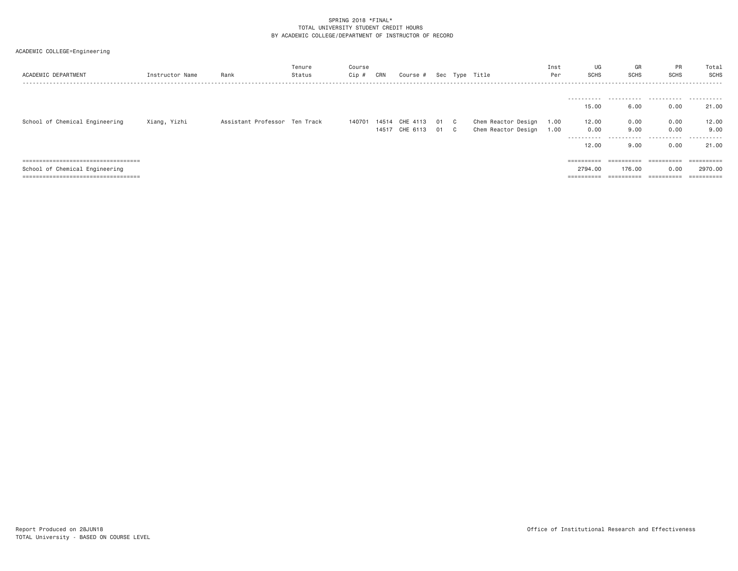| ACADEMIC DEPARTMENT                                                                                             | Instructor Name | Rank                          | Tenure<br>Status | Course<br>Cip # | CRN | Course #                                          |  | Sec Type Title                             | Inst<br>Per  | UG<br><b>SCHS</b>                                                                                                                                                                                                                                                                                                                                                                                                                                                                                                        | GR<br>SCHS                                    | PR<br>SCHS                    | Total<br><b>SCHS</b>        |
|-----------------------------------------------------------------------------------------------------------------|-----------------|-------------------------------|------------------|-----------------|-----|---------------------------------------------------|--|--------------------------------------------|--------------|--------------------------------------------------------------------------------------------------------------------------------------------------------------------------------------------------------------------------------------------------------------------------------------------------------------------------------------------------------------------------------------------------------------------------------------------------------------------------------------------------------------------------|-----------------------------------------------|-------------------------------|-----------------------------|
|                                                                                                                 |                 |                               |                  |                 |     |                                                   |  |                                            |              | -----------<br>15.00                                                                                                                                                                                                                                                                                                                                                                                                                                                                                                     | 6,00                                          | 0.00                          | 21.00                       |
| School of Chemical Engineering                                                                                  | Xiang, Yizhi    | Assistant Professor Ten Track |                  |                 |     | 140701 14514 CHE 4113 01 C<br>14517 CHE 6113 01 C |  | Chem Reactor Design<br>Chem Reactor Design | 1.00<br>1.00 | 12.00<br>0.00<br>----------<br>12.00                                                                                                                                                                                                                                                                                                                                                                                                                                                                                     | 0.00<br>9,00<br>.<br>9.00                     | 0.00<br>0.00<br>.<br>0.00     | 12.00<br>9.00<br>.<br>21.00 |
| =====================================<br>School of Chemical Engineering<br>==================================== |                 |                               |                  |                 |     |                                                   |  |                                            |              | $\begin{array}{cccccccccc} \multicolumn{2}{c}{} & \multicolumn{2}{c}{} & \multicolumn{2}{c}{} & \multicolumn{2}{c}{} & \multicolumn{2}{c}{} & \multicolumn{2}{c}{} & \multicolumn{2}{c}{} & \multicolumn{2}{c}{} & \multicolumn{2}{c}{} & \multicolumn{2}{c}{} & \multicolumn{2}{c}{} & \multicolumn{2}{c}{} & \multicolumn{2}{c}{} & \multicolumn{2}{c}{} & \multicolumn{2}{c}{} & \multicolumn{2}{c}{} & \multicolumn{2}{c}{} & \multicolumn{2}{c}{} & \multicolumn{2}{c}{} & \mult$<br>2794.00<br>$=$ = = = = = = = = | $=$ = = = = = = = = =<br>176.00<br>========== | 0.00<br>$=$ = = = = = = = = = | 2970.00                     |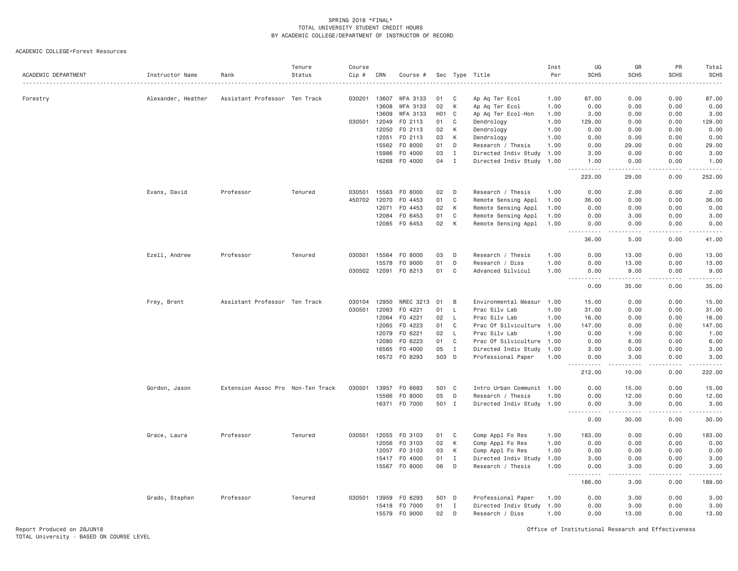| ACADEMIC DEPARTMENT | Instructor Name    | Rank                              | Tenure<br>Status | Course<br>Cip # | CRN   | Course #        | Sec              |              | Type Title                | Inst<br>Per | UG<br><b>SCHS</b>                 | GR<br><b>SCHS</b> | PR<br><b>SCHS</b>  | Total<br>SCHS   |
|---------------------|--------------------|-----------------------------------|------------------|-----------------|-------|-----------------|------------------|--------------|---------------------------|-------------|-----------------------------------|-------------------|--------------------|-----------------|
| Forestry            | Alexander, Heather | Assistant Professor Ten Track     |                  | 030201          | 13607 | <b>WFA 3133</b> | 01               | C            | Ap Aq Ter Ecol            | 1.00        | 87.00                             | 0.00              | 0.00               | 87.00           |
|                     |                    |                                   |                  |                 | 13608 | WFA 3133        | 02               | К            | Ap Aq Ter Ecol            | 1.00        | 0.00                              | 0.00              | 0.00               | 0.00            |
|                     |                    |                                   |                  |                 | 13609 | WFA 3133        | H <sub>0</sub> 1 | C            | Ap Aq Ter Ecol-Hon        | 1.00        | 3.00                              | 0.00              | 0.00               | 3.00            |
|                     |                    |                                   |                  | 030501          | 12049 | F0 2113         | 01               | C            | Dendrology                | 1.00        | 129.00                            | 0.00              | 0.00               | 129.00          |
|                     |                    |                                   |                  |                 | 12050 | F0 2113         | 02               | К            | Dendrology                | 1.00        | 0.00                              | 0.00              | 0.00               | 0.00            |
|                     |                    |                                   |                  |                 | 12051 | F0 2113         | 03               | К            | Dendrology                | 1.00        | 0.00                              | 0.00              | 0.00               | 0.00            |
|                     |                    |                                   |                  |                 | 15562 | F0 8000         | 01               | D            | Research / Thesis         | 1.00        | 0.00                              | 29.00             | 0.00               | 29.00           |
|                     |                    |                                   |                  |                 | 15986 | F0 4000         | 03               | Ι.           | Directed Indiv Study      | 1.00        | 3.00                              | 0.00              | 0.00               | 3.00            |
|                     |                    |                                   |                  |                 | 16268 | F0 4000         | 04               | $\mathbf{I}$ | Directed Indiv Study 1.00 |             | 1.00<br>.                         | 0.00<br>.         | 0.00<br>. <b>.</b> | 1.00<br>2.22222 |
|                     |                    |                                   |                  |                 |       |                 |                  |              |                           |             | 223.00                            | 29.00             | 0.00               | 252.00          |
|                     | Evans, David       | Professor                         | Tenured          | 030501          | 15563 | F0 8000         | 02               | D            | Research / Thesis         | 1.00        | 0.00                              | 2.00              | 0.00               | 2.00            |
|                     |                    |                                   |                  | 450702          | 12070 | F0 4453         | 01               | C            | Remote Sensing Appl       | 1.00        | 36.00                             | 0.00              | 0.00               | 36.00           |
|                     |                    |                                   |                  |                 | 12071 | F0 4453         | 02               | K            | Remote Sensing Appl       | 1.00        | 0.00                              | 0.00              | 0.00               | 0.00            |
|                     |                    |                                   |                  |                 | 12084 | F0 6453         | 01               | C            | Remote Sensing Appl       | 1.00        | 0.00                              | 3.00              | 0.00               | 3.00            |
|                     |                    |                                   |                  |                 |       | 12085 FO 6453   | 02               | K            | Remote Sensing Appl       | 1.00        | 0.00<br><u>.</u>                  | 0.00<br>.         | 0.00<br>.          | 0.00<br>.       |
|                     |                    |                                   |                  |                 |       |                 |                  |              |                           |             | 36.00                             | 5.00              | 0.00               | 41.00           |
|                     | Ezell, Andrew      | Professor                         | Tenured          | 030501          | 15564 | F0 8000         | 03               | D            | Research / Thesis         | 1.00        | 0.00                              | 13.00             | 0.00               | 13.00           |
|                     |                    |                                   |                  |                 | 15578 | F0 9000         | 01               | D            | Research / Diss           | 1.00        | 0.00                              | 13.00             | 0.00               | 13.00           |
|                     |                    |                                   |                  | 030502          | 12091 | F0 8213         | 01               | C            | Advanced Silvicul         | 1.00        | 0.00<br><u>.</u>                  | 9,00<br>.         | 0.00<br>.          | 9.00<br>.       |
|                     |                    |                                   |                  |                 |       |                 |                  |              |                           |             | 0.00                              | 35.00             | 0.00               | 35.00           |
|                     | Frey, Brent        | Assistant Professor Ten Track     |                  | 030104          | 12950 | NREC 3213       | 01               | B            | Environmental Measur 1.00 |             | 15.00                             | 0.00              | 0.00               | 15.00           |
|                     |                    |                                   |                  | 030501          | 12063 | F0 4221         | 01               | L            | Prac Silv Lab             | 1.00        | 31.00                             | 0.00              | 0.00               | 31.00           |
|                     |                    |                                   |                  |                 | 12064 | F0 4221         | 02               | $\mathsf{L}$ | Prac Silv Lab             | 1.00        | 16.00                             | 0.00              | 0.00               | 16.00           |
|                     |                    |                                   |                  |                 | 12065 | F0 4223         | 01               | C            | Prac Of Silviculture 1.00 |             | 147.00                            | 0.00              | 0.00               | 147.00          |
|                     |                    |                                   |                  |                 | 12079 | F0 6221         | 02               | $\mathsf{L}$ | Prac Silv Lab             | 1.00        | 0.00                              | 1.00              | 0.00               | 1.00            |
|                     |                    |                                   |                  |                 | 12080 | F0 6223         | 01               | C            | Prac Of Silviculture 1.00 |             | 0.00                              | 6.00              | 0.00               | 6.00            |
|                     |                    |                                   |                  |                 | 16565 | F0 4000         | 05               | $\mathbf{I}$ | Directed Indiv Study      | 1.00        | 3.00                              | 0.00              | 0.00               | 3.00            |
|                     |                    |                                   |                  |                 | 16572 | F0 8293         | 503 D            |              | Professional Paper        | 1.00        | 0.00<br>----                      | 3.00              | 0.00               | 3.00            |
|                     |                    |                                   |                  |                 |       |                 |                  |              |                           |             | 212.00                            | 10.00             | 0.00               | 222.00          |
|                     | Gordon, Jason      | Extension Assoc Pro Non-Ten Track |                  | 030501          | 13957 | F0 6683         | 501 C            |              | Intro Urban Communit 1.00 |             | 0.00                              | 15.00             | 0.00               | 15.00           |
|                     |                    |                                   |                  |                 | 15566 | F0 8000         | 05               | D            | Research / Thesis         | 1.00        | 0.00                              | 12.00             | 0.00               | 12.00           |
|                     |                    |                                   |                  |                 | 16371 | F0 7000         | 501 I            |              | Directed Indiv Study 1.00 |             | 0.00<br>-----<br>.                | 3.00              | 0.00               | 3.00            |
|                     |                    |                                   |                  |                 |       |                 |                  |              |                           |             | 0.00                              | 30.00             | 0.00               | 30.00           |
|                     | Grace, Laura       | Professor                         | Tenured          | 030501          | 12055 | F0 3103         | 01               | C            | Comp Appl Fo Res          | 1.00        | 183,00                            | 0.00              | 0.00               | 183.00          |
|                     |                    |                                   |                  |                 | 12056 | F0 3103         | 02               | K            | Comp Appl Fo Res          | 1.00        | 0.00                              | 0.00              | 0.00               | 0.00            |
|                     |                    |                                   |                  |                 | 12057 | F0 3103         | 03               | К            | Comp Appl Fo Res          | 1.00        | 0.00                              | 0.00              | 0.00               | 0.00            |
|                     |                    |                                   |                  |                 | 15417 | F0 4000         | 01               | $\mathbf{I}$ | Directed Indiv Study      | 1.00        | 3.00                              | 0.00              | 0.00               | 3.00            |
|                     |                    |                                   |                  |                 |       | 15567 F0 8000   | 06               | D            | Research / Thesis         | 1.00        | 0.00<br>.<br>$\sim$ $\sim$ $\sim$ | 3.00<br>$- - -$   | 0.00               | 3.00            |
|                     |                    |                                   |                  |                 |       |                 |                  |              |                           |             | 186.00                            | 3.00              | 0.00               | 189.00          |
|                     | Grado, Stephen     | Professor                         | Tenured          | 030501          | 13959 | F0 8293         | 501 D            |              | Professional Paper        | 1.00        | 0.00                              | 3.00              | 0.00               | 3.00            |
|                     |                    |                                   |                  |                 | 15418 | F0 7000         | 01               | I            | Directed Indiv Study      | 1.00        | 0.00                              | 3.00              | 0.00               | 3.00            |
|                     |                    |                                   |                  |                 | 15579 | F0 9000         | 02               | D            | Research / Diss           | 1.00        | 0.00                              | 13.00             | 0.00               | 13.00           |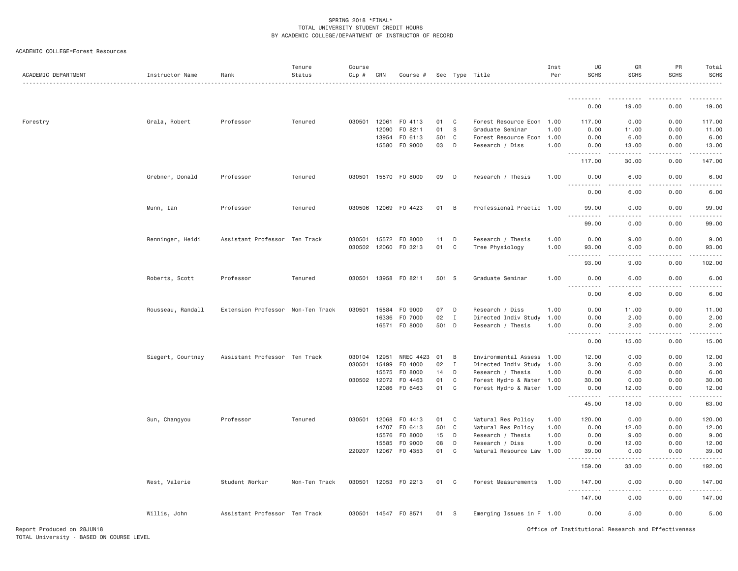| ACADEMIC COLLEGE=Forest Resources |  |
|-----------------------------------|--|
|                                   |  |

| ACADEMIC DEPARTMENT | Instructor Name   | Rank                              | Tenure<br>Status | Course<br>$Cip \#$ | CRN   | Course # Sec Type Title |       |              |                           | Inst<br>Per | UG<br><b>SCHS</b>                                                                                                                 | GR<br>SCHS         | PR<br>SCHS       | Total<br><b>SCHS</b> |
|---------------------|-------------------|-----------------------------------|------------------|--------------------|-------|-------------------------|-------|--------------|---------------------------|-------------|-----------------------------------------------------------------------------------------------------------------------------------|--------------------|------------------|----------------------|
|                     |                   |                                   |                  |                    |       |                         |       |              |                           |             | <u>.</u>                                                                                                                          |                    |                  |                      |
|                     |                   |                                   |                  |                    |       |                         |       |              |                           |             | 0.00                                                                                                                              | 19,00              | 0.00             | 19.00                |
| Forestry            | Grala, Robert     | Professor                         | Tenured          | 030501 12061       |       | FO 4113                 | 01    | C.           | Forest Resource Econ 1.00 |             | 117.00                                                                                                                            | 0.00               | 0.00             | 117.00               |
|                     |                   |                                   |                  |                    | 12090 | FO 8211                 | 01    | S            | Graduate Seminar          | 1.00        | 0.00                                                                                                                              | 11.00              | 0.00             | 11.00                |
|                     |                   |                                   |                  |                    | 13954 | F0 6113                 | 501   | C            | Forest Resource Econ 1.00 |             | 0.00                                                                                                                              | 6.00               | 0.00             | 6.00                 |
|                     |                   |                                   |                  |                    | 15580 | F0 9000                 | 03    | D            | Research / Diss           | 1.00        | 0.00<br><u>.</u>                                                                                                                  | 13.00<br>المتمالين | 0.00<br>.        | 13.00<br>1.1.1.1.1   |
|                     |                   |                                   |                  |                    |       |                         |       |              |                           |             | 117.00                                                                                                                            | 30.00              | 0.00             | 147.00               |
|                     | Grebner, Donald   | Professor                         | Tenured          | 030501 15570       |       | F0 8000                 | 09    | D            | Research / Thesis         | 1.00        | 0.00<br>.                                                                                                                         | 6.00<br>د د د د    | 0.00<br>.        | 6.00                 |
|                     |                   |                                   |                  |                    |       |                         |       |              |                           |             | 0.00                                                                                                                              | 6.00               | 0.00             | 6.00                 |
|                     | Munn, Ian         | Professor                         | Tenured          | 030506 12069       |       | F0 4423                 | 01    | B            | Professional Practic 1.00 |             | 99.00<br>.                                                                                                                        | 0.00<br>د د د د    | 0.00<br>.        | 99.00                |
|                     |                   |                                   |                  |                    |       |                         |       |              |                           |             | 99.00                                                                                                                             | 0.00               | 0.00             | 99.00                |
|                     | Renninger, Heidi  | Assistant Professor Ten Track     |                  | 030501 15572       |       | F0 8000                 | 11    | D            | Research / Thesis         | 1.00        | 0.00                                                                                                                              | 9,00               | 0.00             | 9.00                 |
|                     |                   |                                   |                  | 030502 12060       |       | F0 3213                 | 01    | C            | Tree Physiology           | 1.00        | 93.00                                                                                                                             | 0.00               | 0.00             | 93.00                |
|                     |                   |                                   |                  |                    |       |                         |       |              |                           |             | <u>.</u><br>93.00                                                                                                                 | 9.00               | 0.00             | 102.00               |
|                     | Roberts, Scott    | Professor                         | Tenured          |                    |       | 030501 13958 FO 8211    | 501 S |              | Graduate Seminar          | 1.00        | 0.00<br>.                                                                                                                         | 6.00               | 0.00             | 6.00                 |
|                     |                   |                                   |                  |                    |       |                         |       |              |                           |             | $\frac{1}{2} \left( \frac{1}{2} \right) \left( \frac{1}{2} \right) \left( \frac{1}{2} \right) \left( \frac{1}{2} \right)$<br>0.00 | .<br>6.00          | .<br>0.00        | . <b>.</b> .<br>6.00 |
|                     | Rousseau, Randall | Extension Professor Non-Ten Track |                  | 030501             | 15584 | F0 9000                 | 07    | D            | Research / Diss           | 1.00        | 0.00                                                                                                                              | 11.00              | 0.00             | 11.00                |
|                     |                   |                                   |                  |                    | 16336 | F0 7000                 | 02    | $\mathbf{I}$ | Directed Indiv Study 1.00 |             | 0.00                                                                                                                              | 2.00               | 0.00             | 2.00                 |
|                     |                   |                                   |                  |                    | 16571 | F0 8000                 | 501   | D            | Research / Thesis         | 1.00        | 0.00                                                                                                                              | 2.00               | 0.00             | 2.00                 |
|                     |                   |                                   |                  |                    |       |                         |       |              |                           |             | .<br>0.00                                                                                                                         | .<br>15.00         | .<br>0.00        | <u>.</u><br>15.00    |
|                     | Siegert, Courtney | Assistant Professor Ten Track     |                  | 030104             | 12951 | NREC 4423               | 01    | B            | Environmental Assess 1.00 |             | 12.00                                                                                                                             | 0.00               | 0.00             | 12.00                |
|                     |                   |                                   |                  | 030501             | 15499 | F0 4000                 | 02    | Ι.           | Directed Indiv Study 1.00 |             | 3.00                                                                                                                              | 0.00               | 0.00             | 3.00                 |
|                     |                   |                                   |                  |                    | 15575 | F0 8000                 | 14    | D            | Research / Thesis         | 1.00        | 0.00                                                                                                                              | 6.00               | 0.00             | 6.00                 |
|                     |                   |                                   |                  | 030502 12072       |       | F0 4463                 | 01    | C            | Forest Hydro & Water 1.00 |             | 30.00                                                                                                                             | 0.00               | 0.00             | 30.00                |
|                     |                   |                                   |                  |                    | 12086 | F0 6463                 | 01    | C            | Forest Hydro & Water 1.00 |             | 0.00                                                                                                                              | 12.00              | 0.00             | 12.00                |
|                     |                   |                                   |                  |                    |       |                         |       |              |                           |             | .<br>45.00                                                                                                                        | .<br>18.00         | .<br>0.00        | 63.00                |
|                     | Sun, Changyou     | Professor                         | Tenured          | 030501 12068       |       | F0 4413                 | 01    | $\mathbf{C}$ | Natural Res Policy        | 1.00        | 120.00                                                                                                                            | 0.00               | 0.00             | 120.00               |
|                     |                   |                                   |                  |                    | 14707 | F0 6413                 | 501   | $\mathbf{C}$ | Natural Res Policy        | 1.00        | 0.00                                                                                                                              | 12.00              | 0.00             | 12.00                |
|                     |                   |                                   |                  |                    | 15576 | F0 8000                 | 15    | D            | Research / Thesis         | 1.00        | 0.00                                                                                                                              | 9.00               | 0.00             | 9.00                 |
|                     |                   |                                   |                  |                    | 15585 | F0 9000                 | 08    | D            | Research / Diss           | 1.00        | 0.00                                                                                                                              | 12.00              | 0.00             | 12.00                |
|                     |                   |                                   |                  |                    |       | 220207 12067 FO 4353    | 01    | C            | Natural Resource Law 1.00 |             | 39,00<br>$- - - - -$                                                                                                              | 0.00<br>.          | 0.00<br><u>.</u> | 39.00<br>.           |
|                     |                   |                                   |                  |                    |       |                         |       |              |                           |             | 159.00                                                                                                                            | 33.00              | 0.00             | 192.00               |
|                     | West, Valerie     | Student Worker                    | Non-Ten Track    | 030501 12053       |       | F0 2213                 | 01    | C            | Forest Measurements       | 1.00        | 147.00<br>$\sim$ $\sim$ $\sim$<br>$- - - - -$                                                                                     | 0.00               | 0.00             | 147.00               |
|                     |                   |                                   |                  |                    |       |                         |       |              |                           |             | 147.00                                                                                                                            | 0.00               | 0.00             | 147.00               |
|                     | Willis, John      | Assistant Professor Ten Track     |                  |                    |       | 030501 14547 F0 8571    | 01    | - S          | Emerging Issues in F 1.00 |             | 0.00                                                                                                                              | 5.00               | 0.00             | 5.00                 |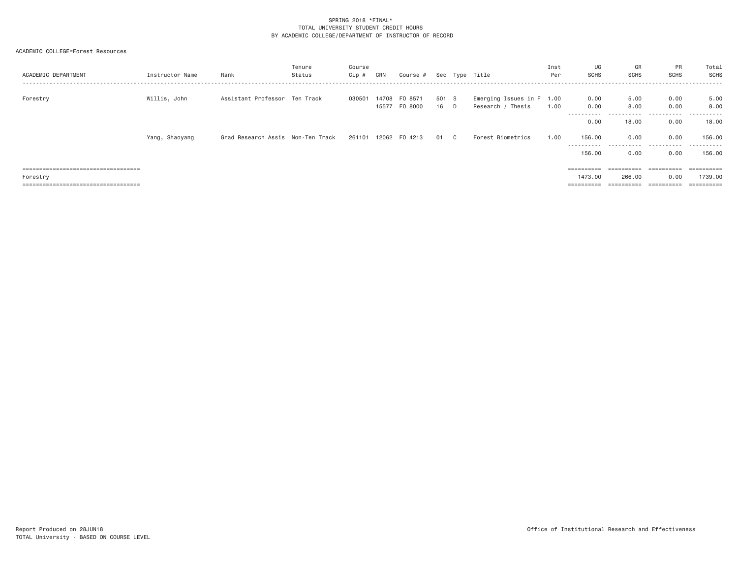| ACADEMIC DEPARTMENT                   | Instructor Name | Rank                              | Tenure<br>Status | Course<br>Cip # | CRN            | Course #           |               | Sec Type Title                                 | Inst<br>Per | UG<br><b>SCHS</b>     | GR<br>SCHS   | PR<br><b>SCHS</b> | Total<br>SCHS<br>. |
|---------------------------------------|-----------------|-----------------------------------|------------------|-----------------|----------------|--------------------|---------------|------------------------------------------------|-------------|-----------------------|--------------|-------------------|--------------------|
| Forestry                              | Willis, John    | Assistant Professor Ten Track     |                  | 030501          | 14708<br>15577 | FO 8571<br>FO 8000 | 501 S<br>16 D | Emerging Issues in F 1.00<br>Research / Thesis | 1.00        | 0.00<br>0.00          | 5,00<br>8,00 | 0.00<br>0.00      | 5.00<br>8,00       |
|                                       |                 |                                   |                  |                 |                |                    |               |                                                |             | -----------<br>0.00   | .<br>18,00   | .<br>0.00         | .<br>18,00         |
|                                       | Yang, Shaoyang  | Grad Research Assis Non-Ten Track |                  | 261101          |                | 12062 FO 4213      | 01 C          | Forest Biometrics                              | 1.00        | 156.00<br>----------- | 0.00<br>.    | 0.00<br>.         | 156,00<br>.        |
|                                       |                 |                                   |                  |                 |                |                    |               |                                                |             | 156.00                | 0.00         | 0.00              | 156,00             |
| ===================================== |                 |                                   |                  |                 |                |                    |               |                                                |             | $=$ = = = = = = = = = | ==========   |                   | ==========         |
| Forestry                              |                 |                                   |                  |                 |                |                    |               |                                                |             | 1473.00               | 266,00       | 0.00              | 1739.00            |
| ===================================== |                 |                                   |                  |                 |                |                    |               |                                                |             | $=$ = = = = = = = = = | ==========   |                   | ==========         |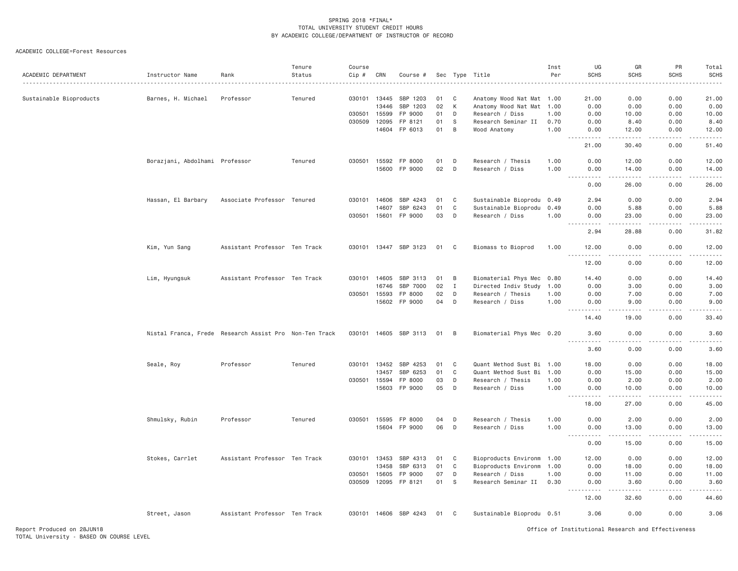| ACADEMIC DEPARTMENT     | Instructor Name                                        | Rank                          | Tenure<br>Status | Course<br>Cip # | CRN            | Course #                 |          |              | Sec Type Title                                         | Inst<br>Per  | UG<br><b>SCHS</b>   | GR<br><b>SCHS</b><br>. | <b>PR</b><br>SCHS<br>.                | Total<br><b>SCHS</b><br>. |
|-------------------------|--------------------------------------------------------|-------------------------------|------------------|-----------------|----------------|--------------------------|----------|--------------|--------------------------------------------------------|--------------|---------------------|------------------------|---------------------------------------|---------------------------|
| Sustainable Bioproducts | Barnes, H. Michael                                     | Professor                     | Tenured          | 030101 13445    |                | SBP 1203                 | 01       | C            | Anatomy Wood Nat Mat 1.00                              |              | 21.00               | 0.00                   | 0.00                                  | 21.00                     |
|                         |                                                        |                               |                  |                 | 13446          | SBP 1203                 | 02       | K            | Anatomy Wood Nat Mat 1.00                              |              | 0.00                | 0.00                   | 0.00                                  | 0.00                      |
|                         |                                                        |                               |                  | 030501          | 15599          | FP 9000                  | 01       | D            | Research / Diss                                        | 1.00         | 0.00                | 10.00                  | 0.00                                  | 10.00                     |
|                         |                                                        |                               |                  | 030509          | 12095          | FP 8121                  | 01       | S            | Research Seminar II                                    | 0.70         | 0.00                | 8.40                   | 0.00                                  | 8.40                      |
|                         |                                                        |                               |                  |                 | 14604          | FP 6013                  | 01       | B            | Wood Anatomy                                           | 1.00         | 0.00<br><b>.</b> .  | 12.00<br>.             | 0.00<br>. <b>.</b>                    | 12.00<br>.                |
|                         |                                                        |                               |                  |                 |                |                          |          |              |                                                        |              | 21.00               | 30.40                  | 0.00                                  | 51.40                     |
|                         | Borazjani, Abdolhami Professor                         |                               | Tenured          | 030501 15592    |                | FP 8000                  | 01       | D            | Research / Thesis                                      | 1,00         | 0.00                | 12.00                  | 0.00                                  | 12.00                     |
|                         |                                                        |                               |                  |                 |                | 15600 FP 9000            | 02       | D            | Research / Diss                                        | 1.00         | 0.00                | 14.00                  | 0.00                                  | 14.00                     |
|                         |                                                        |                               |                  |                 |                |                          |          |              |                                                        |              | 0.00                | 26.00                  | 0.00                                  | 26.00                     |
|                         | Hassan, El Barbary                                     | Associate Professor Tenured   |                  | 030101 14606    |                | SBP 4243                 | 01       | C            | Sustainable Bioprodu 0.49                              |              | 2.94                | 0.00                   | 0.00                                  | 2.94                      |
|                         |                                                        |                               |                  |                 | 14607          | SBP 6243                 | 01       | C            | Sustainable Bioprodu 0.49                              |              | 0.00                | 5.88                   | 0.00                                  | 5.88                      |
|                         |                                                        |                               |                  |                 |                | 030501 15601 FP 9000     | 03       | D            | Research / Diss                                        | 1.00         | 0.00<br>.           | 23.00<br>$- - - - -$   | 0.00<br>$- - - - - -$                 | 23,00<br><u>.</u>         |
|                         |                                                        |                               |                  |                 |                |                          |          |              |                                                        |              | 2.94                | 28.88                  | 0.00                                  | 31.82                     |
|                         | Kim, Yun Sang                                          | Assistant Professor Ten Track |                  |                 |                | 030101 13447 SBP 3123    | 01       | C            | Biomass to Bioprod                                     | 1.00         | 12.00<br>.          | 0.00<br>.              | 0.00<br>$- - - - -$                   | 12.00<br>.                |
|                         |                                                        |                               |                  |                 |                |                          |          |              |                                                        |              | 12.00               | 0.00                   | 0.00                                  | 12.00                     |
|                         | Lim, Hyungsuk                                          | Assistant Professor Ten Track |                  | 030101 14605    |                | SBP 3113                 | 01       | B            | Biomaterial Phys Mec 0.80                              |              | 14,40               | 0.00                   | 0.00                                  | 14.40                     |
|                         |                                                        |                               |                  |                 | 16746          | SBP 7000                 | 02       | $\mathbf{I}$ | Directed Indiv Study                                   | 1.00         | 0.00                | 3,00                   | 0.00                                  | 3.00                      |
|                         |                                                        |                               |                  | 030501          | 15593          | FP 8000                  | 02       | D            | Research / Thesis                                      | 1.00         | 0.00                | 7.00                   | 0.00                                  | 7.00                      |
|                         |                                                        |                               |                  |                 |                | 15602 FP 9000            | 04       | D            | Research / Diss                                        | 1.00         | 0.00<br>.           | 9,00<br>.              | 0.00<br>.                             | 9.00<br>دعاعات            |
|                         |                                                        |                               |                  |                 |                |                          |          |              |                                                        |              | 14.40               | 19.00                  | 0.00                                  | 33.40                     |
|                         | Nistal Franca, Frede Research Assist Pro Non-Ten Track |                               |                  |                 |                | 030101 14605 SBP 3113    | 01       | B            | Biomaterial Phys Mec 0.20                              |              | 3.60<br>.           | 0.00<br>$- - - - -$    | 0.00<br><u>.</u>                      | 3.60<br>.                 |
|                         |                                                        |                               |                  |                 |                |                          |          |              |                                                        |              | 3.60                | 0.00                   | 0.00                                  | 3.60                      |
|                         | Seale, Roy                                             | Professor                     | Tenured          | 030101 13452    |                | SBP 4253                 | 01       | C            | Quant Method Sust Bi 1.00                              |              | 18.00               | 0.00                   | 0.00                                  | 18.00                     |
|                         |                                                        |                               |                  |                 | 13457          | SBP 6253                 | 01       | C            | Quant Method Sust Bi                                   | 1.00         | 0.00                | 15.00                  | 0.00                                  | 15.00                     |
|                         |                                                        |                               |                  | 030501          | 15594<br>15603 | FP 8000<br>FP 9000       | 03<br>05 | D<br>D       | Research / Thesis<br>Research / Diss                   | 1.00<br>1.00 | 0.00<br>0.00        | 2.00<br>10.00          | 0.00<br>0.00                          | 2.00<br>10.00             |
|                         |                                                        |                               |                  |                 |                |                          |          |              |                                                        |              | .<br>18,00          | -----<br>27,00         | .<br>0.00                             | المالم عامل<br>45.00      |
|                         |                                                        |                               |                  |                 |                |                          |          |              |                                                        |              |                     |                        |                                       |                           |
|                         | Shmulsky, Rubin                                        | Professor                     | Tenured          | 030501 15595    |                | FP 8000<br>15604 FP 9000 | 04<br>06 | D<br>D       | Research / Thesis<br>Research / Diss                   | 1.00<br>1.00 | 0.00<br>0.00        | 2.00<br>13.00          | 0.00<br>0.00                          | 2.00<br>13.00             |
|                         |                                                        |                               |                  |                 |                |                          |          |              |                                                        |              | -----------<br>0.00 | .<br>15.00             | <b><i><u>Property</u></i></b><br>0.00 | .<br>15.00                |
|                         |                                                        |                               |                  |                 |                |                          |          |              |                                                        |              |                     |                        |                                       |                           |
|                         | Stokes, Carrlet                                        | Assistant Professor Ten Track |                  | 030101 13453    | 13458          | SBP 4313<br>SBP 6313     | 01<br>01 | C<br>C       | Bioproducts Environm 1.00<br>Bioproducts Environm 1.00 |              | 12.00<br>0.00       | 0.00<br>18.00          | 0.00<br>0.00                          | 12.00<br>18.00            |
|                         |                                                        |                               |                  | 030501          | 15605          | FP 9000                  | 07       | D            | Research / Diss                                        | 1.00         | 0.00                | 11.00                  | 0.00                                  | 11.00                     |
|                         |                                                        |                               |                  | 030509          | 12095          | FP 8121                  | 01       | S            | Research Seminar II                                    | 0.30         | 0.00                | 3.60                   | 0.00                                  | 3.60                      |
|                         |                                                        |                               |                  |                 |                |                          |          |              |                                                        |              | .<br>12.00          | .<br>32.60             | 0.00                                  | 44.60                     |
|                         | Street, Jason                                          | Assistant Professor Ten Track |                  |                 |                | 030101 14606 SBP 4243    | 01       | C.           | Sustainable Bioprodu 0.51                              |              | 3.06                | 0.00                   | 0.00                                  | 3.06                      |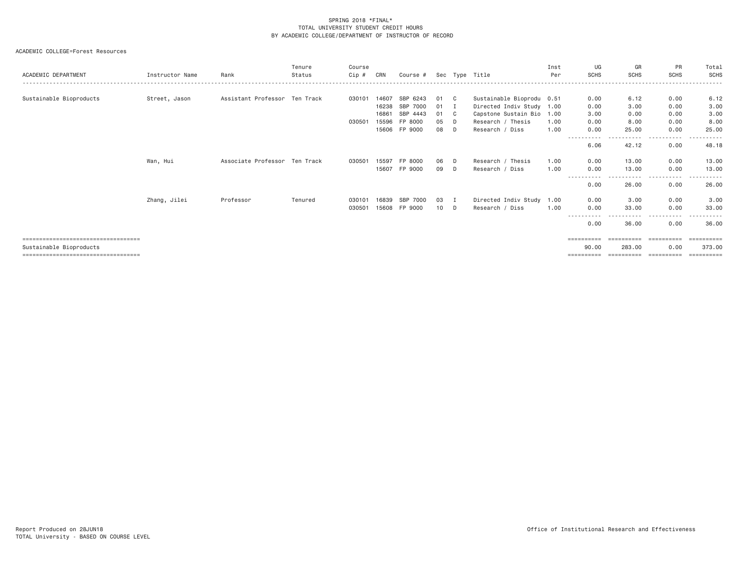| ACADEMIC DEPARTMENT                   | Instructor Name | Rank                          | Tenure<br>Status | Course<br>Cip # | CRN   | Course #    |    |   | Sec Type Title            | Inst<br>Per | UG<br><b>SCHS</b>  | GR<br><b>SCHS</b> | PR<br><b>SCHS</b>    | Total<br>SCHS |
|---------------------------------------|-----------------|-------------------------------|------------------|-----------------|-------|-------------|----|---|---------------------------|-------------|--------------------|-------------------|----------------------|---------------|
|                                       |                 |                               |                  |                 |       |             |    |   |                           |             |                    |                   |                      |               |
| Sustainable Bioproducts               | Street, Jason   | Assistant Professor Ten Track |                  | 030101          | 14607 | SBP<br>6243 | 01 | C | Sustainable Bioprodu 0.51 |             | 0.00               | 6.12              | 0.00                 | 6.12          |
|                                       |                 |                               |                  |                 | 16238 | SBP 7000    | 01 |   | Directed Indiv Study 1.00 |             | 0.00               | 3,00              | 0.00                 | 3.00          |
|                                       |                 |                               |                  |                 | 16861 | SBP 4443    | 01 | C | Capstone Sustain Bio 1.00 |             | 3.00               | 0.00              | 0.00                 | 3.00          |
|                                       |                 |                               |                  | 030501          | 15596 | FP 8000     | 05 | D | Research / Thesis         | 1.00        | 0.00               | 8,00              | 0.00                 | 8.00          |
|                                       |                 |                               |                  |                 | 15606 | FP 9000     | 08 | D | Research / Diss           | 1.00        | 0.00               | 25,00             | 0.00                 | 25.00         |
|                                       |                 |                               |                  |                 |       |             |    |   |                           |             | 6.06               | 42.12             | $\cdots$<br>0.00     | 48.18         |
|                                       | Wan, Hui        | Associate Professor Ten Track |                  | 030501          | 15597 | FP 8000     | 06 | D | Research / Thesis         | 1.00        | 0.00               | 13,00             | 0.00                 | 13.00         |
|                                       |                 |                               |                  |                 | 15607 | FP 9000     | 09 | D | Research / Diss           | 1.00        | 0.00               | 13,00             | 0.00                 | 13.00         |
|                                       |                 |                               |                  |                 |       |             |    |   |                           |             | ----------<br>0.00 | -----<br>26.00    | .<br>$- - -$<br>0.00 | 26.00         |
|                                       | Zhang, Jilei    | Professor                     | Tenured          | 030101          | 16839 | SBP 7000    | 03 |   | Directed Indiv Study      | 1.00        | 0.00               | 3,00              | 0.00                 | 3.00          |
|                                       |                 |                               |                  | 030501          | 15608 | FP 9000     | 10 | D | Research / Diss           | 1.00        | 0.00               | 33,00             | 0.00                 | 33.00         |
|                                       |                 |                               |                  |                 |       |             |    |   |                           |             |                    |                   | - - - -              |               |
|                                       |                 |                               |                  |                 |       |             |    |   |                           |             | 0.00               | 36,00             | 0.00                 | 36,00         |
| ------------------------------------  |                 |                               |                  |                 |       |             |    |   |                           |             | ==========         |                   |                      | :=======      |
| Sustainable Bioproducts               |                 |                               |                  |                 |       |             |    |   |                           |             | 90.00              | 283.00            | 0.00                 | 373,00        |
| ===================================== |                 |                               |                  |                 |       |             |    |   |                           |             | ==========         | ==========        | ==========           | ========      |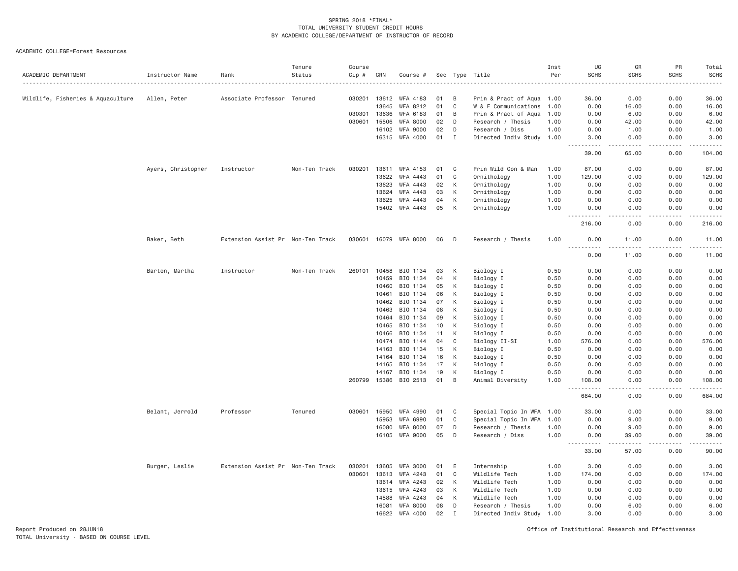ACADEMIC COLLEGE=Forest Resources

| ACADEMIC DEPARTMENT               | Instructor Name    | Rank                              | Tenure<br>Status | Course<br>Cip # | CRN            | Course #              |          |              | Sec Type Title            | Inst<br>Per  | UG<br><b>SCHS</b>              | GR<br><b>SCHS</b>      | PR<br><b>SCHS</b> | Total<br><b>SCHS</b><br>. |
|-----------------------------------|--------------------|-----------------------------------|------------------|-----------------|----------------|-----------------------|----------|--------------|---------------------------|--------------|--------------------------------|------------------------|-------------------|---------------------------|
| Wildlife, Fisheries & Aquaculture | Allen, Peter       | Associate Professor Tenured       |                  |                 | 030201 13612   | WFA 4183              | 01       | B            | Prin & Pract of Aqua 1.00 |              | 36.00                          | 0.00                   | 0.00              | 36.00                     |
|                                   |                    |                                   |                  |                 | 13645          | WFA 8212              | 01       | C            | W & F Communications      | 1.00         | 0.00                           | 16.00                  | 0.00              | 16.00                     |
|                                   |                    |                                   |                  | 030301          | 13636          | WFA 6183              | 01       | B            | Prin & Pract of Aqua      | 1.00         | 0.00                           | 6.00                   | 0.00              | 6.00                      |
|                                   |                    |                                   |                  | 030601          | 15506          | <b>WFA 8000</b>       | 02       | D            | Research / Thesis         | 1.00         | 0.00                           | 42.00                  | 0.00              | 42.00                     |
|                                   |                    |                                   |                  |                 | 16102          | <b>WFA 9000</b>       | 02       | D            | Research / Diss           | 1.00         | 0.00                           | 1.00                   | 0.00              | 1.00                      |
|                                   |                    |                                   |                  |                 |                | 16315 WFA 4000        | 01       | I            | Directed Indiv Study 1.00 |              | 3.00<br>$- - - - -$            | 0.00<br>.              | 0.00<br>.         | 3.00<br>.                 |
|                                   |                    |                                   |                  |                 |                |                       |          |              |                           |              | 39.00                          | 65.00                  | 0.00              | 104.00                    |
|                                   | Ayers, Christopher | Instructor                        | Non-Ten Track    | 030201          | 13611          | WFA 4153              | 01       | C            | Prin Wild Con & Man       | 1.00         | 87.00                          | 0.00                   | 0.00              | 87.00                     |
|                                   |                    |                                   |                  |                 | 13622          | WFA 4443              | 01       | C            | Ornithology               | 1.00         | 129.00                         | 0.00                   | 0.00              | 129.00                    |
|                                   |                    |                                   |                  |                 | 13623          | WFA 4443              | 02       | K            | Ornithology               | 1.00         | 0.00                           | 0.00                   | 0.00              | 0.00                      |
|                                   |                    |                                   |                  |                 | 13624          | WFA 4443              | 03       | К            | Ornithology               | 1.00         | 0.00                           | 0.00                   | 0.00              | 0.00                      |
|                                   |                    |                                   |                  |                 | 13625          | WFA 4443              | 04       | K            | Ornithology               | 1.00         | 0.00                           | 0.00                   | 0.00              | 0.00                      |
|                                   |                    |                                   |                  |                 | 15402          | WFA 4443              | 05       | К            | Ornithology               | 1.00         | 0.00<br>$\frac{1}{2}$<br>$  -$ | 0.00                   | 0.00              | 0.00                      |
|                                   |                    |                                   |                  |                 |                |                       |          |              |                           |              | 216.00                         | 0.00                   | 0.00              | 216.00                    |
|                                   | Baker, Beth        | Extension Assist Pr Non-Ten Track |                  |                 |                | 030601 16079 WFA 8000 | 06       | D            | Research / Thesis         | 1.00         | 0.00<br>$\frac{1}{2}$          | 11.00<br>$\frac{1}{2}$ | 0.00<br>.         | 11.00<br>.                |
|                                   |                    |                                   |                  |                 |                |                       |          |              |                           |              | 0.00                           | 11.00                  | 0.00              | 11.00                     |
|                                   | Barton, Martha     | Instructor                        | Non-Ten Track    | 260101          | 10458          | BIO 1134              | 03       | К            | Biology I                 | 0.50         | 0.00                           | 0.00                   | 0.00              | 0.00                      |
|                                   |                    |                                   |                  |                 | 10459          | BIO 1134              | 04       | K            | Biology I                 | 0.50         | 0.00                           | 0.00                   | 0.00              | 0.00                      |
|                                   |                    |                                   |                  |                 | 10460          | BIO 1134              | 05       | К            | Biology I                 | 0.50         | 0.00                           | 0.00                   | 0.00              | 0.00                      |
|                                   |                    |                                   |                  |                 | 10461          | BIO 1134              | 06       | К            | Biology I                 | 0.50         | 0.00                           | 0.00                   | 0.00              | 0.00                      |
|                                   |                    |                                   |                  |                 | 10462          | BIO 1134              | 07       | К            | Biology I                 | 0.50         | 0.00                           | 0.00                   | 0.00              | 0.00                      |
|                                   |                    |                                   |                  |                 | 10463          | BIO 1134              | 08       | К            | Biology I                 | 0.50         | 0.00                           | 0.00                   | 0.00              | 0.00                      |
|                                   |                    |                                   |                  |                 | 10464          | BIO 1134              | 09       | К            | Biology I                 | 0.50         | 0.00                           | 0.00                   | 0.00              | 0.00                      |
|                                   |                    |                                   |                  |                 | 10465          | BIO 1134              | 10       | К            | Biology I                 | 0.50         | 0.00                           | 0.00                   | 0.00              | 0.00                      |
|                                   |                    |                                   |                  |                 | 10466          | BIO 1134              | 11       | K            | Biology I                 | 0.50         | 0.00                           | 0.00                   | 0.00              | 0.00                      |
|                                   |                    |                                   |                  |                 | 10474          | BIO 1144              | 04       | C            | Biology II-SI             | 1.00         | 576.00                         | 0.00                   | 0.00              | 576.00                    |
|                                   |                    |                                   |                  |                 | 14163          | BIO 1134              | 15       | К            | Biology I                 | 0.50         | 0.00                           | 0.00                   | 0.00              | 0.00                      |
|                                   |                    |                                   |                  |                 | 14164<br>14165 | BIO 1134<br>BIO 1134  | 16<br>17 | К<br>К       | Biology I<br>Biology I    | 0.50<br>0.50 | 0.00<br>0.00                   | 0.00<br>0.00           | 0.00<br>0.00      | 0.00<br>0.00              |
|                                   |                    |                                   |                  |                 | 14167          | BIO 1134              | 19       | К            | Biology I                 | 0.50         | 0.00                           | 0.00                   | 0.00              | 0.00                      |
|                                   |                    |                                   |                  | 260799          |                | 15386 BIO 2513        | 01       | B            | Animal Diversity          | 1.00         | 108.00                         | 0.00                   | 0.00              | 108.00                    |
|                                   |                    |                                   |                  |                 |                |                       |          |              |                           |              | 684.00                         | 0.00                   | 0.00              | 684.00                    |
|                                   | Belant, Jerrold    | Professor                         | Tenured          |                 | 030601 15950   | WFA 4990              | 01       | $\mathbf C$  | Special Topic In WFA 1.00 |              | 33.00                          | 0.00                   | 0.00              | 33.00                     |
|                                   |                    |                                   |                  |                 | 15953          | WFA 6990              | 01       | C            | Special Topic In WFA      | 1.00         | 0.00                           | 9.00                   | 0.00              | 9.00                      |
|                                   |                    |                                   |                  |                 | 16080          | WFA 8000              | 07       | D            | Research / Thesis         | 1.00         | 0.00                           | 9.00                   | 0.00              | 9.00                      |
|                                   |                    |                                   |                  |                 |                | 16105 WFA 9000        | 05       | D            | Research / Diss           | 1.00         | 0.00                           | 39.00                  | 0.00              | 39.00                     |
|                                   |                    |                                   |                  |                 |                |                       |          |              |                           |              | 33.00                          | 57.00                  | 0.00              | 90.00                     |
|                                   | Burger, Leslie     | Extension Assist Pr Non-Ten Track |                  | 030201          | 13605          | WFA 3000              | 01       | E            | Internship                | 1.00         | 3.00                           | 0.00                   | 0.00              | 3.00                      |
|                                   |                    |                                   |                  | 030601          | 13613          | WFA 4243              | 01       | $\mathbf C$  | Wildlife Tech             | 1.00         | 174.00                         | 0.00                   | 0.00              | 174.00                    |
|                                   |                    |                                   |                  |                 | 13614          | WFA 4243              | 02       | К            | Wildlife Tech             | 1.00         | 0.00                           | 0.00                   | 0.00              | 0.00                      |
|                                   |                    |                                   |                  |                 | 13615          | WFA 4243              | 03       | К            | Wildlife Tech             | 1.00         | 0.00                           | 0.00                   | 0.00              | 0.00                      |
|                                   |                    |                                   |                  |                 | 14588          | WFA 4243              | 04       | K            | Wildlife Tech             | 1.00         | 0.00                           | 0.00                   | 0.00              | 0.00                      |
|                                   |                    |                                   |                  |                 | 16081          | <b>WFA 8000</b>       | 08       | D            | Research / Thesis         | 1.00         | 0.00                           | 6,00                   | 0.00              | 6.00                      |
|                                   |                    |                                   |                  |                 | 16622          | WFA 4000              | 02       | $\mathbf{I}$ | Directed Indiv Study      | 1.00         | 3,00                           | 0.00                   | 0.00              | 3.00                      |

Report Produced on 28JUN18 Office of Institutional Research and Effectiveness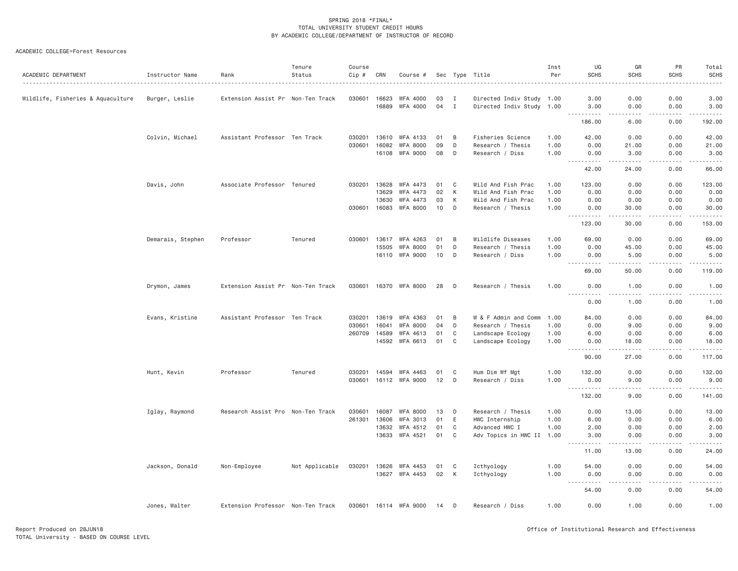# ACADEMIC COLLEGE=Forest Resources

| ACADEMIC DEPARTMENT               | Instructor Name   | Rank                              | Tenure<br>Status | Course<br>Cip # | CRN            | Course #              |          |              | Sec Type Title                           | Inst<br>Per | UG<br><b>SCHS</b>                                                                                                                                                                                                                                            | GR<br><b>SCHS</b>                                                                                                         | PR<br><b>SCHS</b> | Total<br><b>SCHS</b>                |
|-----------------------------------|-------------------|-----------------------------------|------------------|-----------------|----------------|-----------------------|----------|--------------|------------------------------------------|-------------|--------------------------------------------------------------------------------------------------------------------------------------------------------------------------------------------------------------------------------------------------------------|---------------------------------------------------------------------------------------------------------------------------|-------------------|-------------------------------------|
|                                   |                   |                                   |                  |                 |                |                       |          |              |                                          |             |                                                                                                                                                                                                                                                              |                                                                                                                           |                   |                                     |
| Wildlife, Fisheries & Aquaculture | Burger, Leslie    | Extension Assist Pr Non-Ten Track |                  | 030601          | 16623          | WFA 4000              | 03       | I            | Directed Indiv Study 1.00                |             | 3.00                                                                                                                                                                                                                                                         | 0.00                                                                                                                      | 0.00              | 3.00                                |
|                                   |                   |                                   |                  |                 | 16889          | WFA 4000              | 04       | $\mathbf{I}$ | Directed Indiv Study 1.00                |             | 3.00<br><u>.</u><br>$\sim$ $\sim$ $\sim$                                                                                                                                                                                                                     | 0.00<br>$\sim$ $\sim$ $\sim$ $\sim$                                                                                       | 0.00<br>.         | 3.00<br>.                           |
|                                   |                   |                                   |                  |                 |                |                       |          |              |                                          |             | 186.00                                                                                                                                                                                                                                                       | 6.00                                                                                                                      | 0.00              | 192.00                              |
|                                   | Colvin, Michael   | Assistant Professor Ten Track     |                  | 030201          | 13610          | WFA 4133              | 01       | B            | Fisheries Science                        | 1.00        | 42.00                                                                                                                                                                                                                                                        | 0.00                                                                                                                      | 0.00              | 42.00                               |
|                                   |                   |                                   |                  | 030601          | 16082          | <b>WFA 8000</b>       | 09       | D            | Research / Thesis                        | 1.00        | 0.00                                                                                                                                                                                                                                                         | 21.00                                                                                                                     | 0.00              | 21.00                               |
|                                   |                   |                                   |                  |                 | 16108          | WFA 9000              | 08       | D            | Research / Diss                          | 1.00        | 0.00                                                                                                                                                                                                                                                         | 3.00                                                                                                                      | 0.00              | 3.00                                |
|                                   |                   |                                   |                  |                 |                |                       |          |              |                                          |             | 42.00                                                                                                                                                                                                                                                        | -----<br>24.00                                                                                                            | .<br>0.00         | المالم عامل<br>66.00                |
|                                   |                   |                                   |                  |                 |                |                       |          | C            |                                          | 1.00        |                                                                                                                                                                                                                                                              |                                                                                                                           |                   |                                     |
|                                   | Davis, John       | Associate Professor Tenured       |                  | 030201          | 13628<br>13629 | WFA 4473<br>WFA 4473  | 01<br>02 | К            | Wild And Fish Prac<br>Wild And Fish Prac | 1.00        | 123.00<br>0.00                                                                                                                                                                                                                                               | 0.00<br>0.00                                                                                                              | 0.00<br>0.00      | 123.00<br>0.00                      |
|                                   |                   |                                   |                  |                 | 13630          | WFA 4473              | 03       | К            | Wild And Fish Prac                       | 1.00        | 0.00                                                                                                                                                                                                                                                         | 0.00                                                                                                                      | 0.00              | 0.00                                |
|                                   |                   |                                   |                  |                 | 030601 16083   | WFA 8000              | 10       | D            | Research / Thesis                        | 1.00        | 0.00                                                                                                                                                                                                                                                         | 30.00                                                                                                                     | 0.00              | 30.00                               |
|                                   |                   |                                   |                  |                 |                |                       |          |              |                                          |             | $- - -$<br>.                                                                                                                                                                                                                                                 | -----                                                                                                                     | .                 | .                                   |
|                                   |                   |                                   |                  |                 |                |                       |          |              |                                          |             | 123.00                                                                                                                                                                                                                                                       | 30.00                                                                                                                     | 0.00              | 153.00                              |
|                                   | Demarais, Stephen | Professor                         | Tenured          | 030601          |                | 13617 WFA 4263        | 01       | B            | Wildlife Diseases                        | 1.00        | 69.00                                                                                                                                                                                                                                                        | 0.00                                                                                                                      | 0.00              | 69.00                               |
|                                   |                   |                                   |                  |                 | 15505          | WFA 8000              | 01       | D            | Research / Thesis                        | 1.00        | 0.00                                                                                                                                                                                                                                                         | 45.00                                                                                                                     | 0.00              | 45.00                               |
|                                   |                   |                                   |                  |                 |                | 16110 WFA 9000        | 10       | D            | Research / Diss                          | 1.00        | 0.00                                                                                                                                                                                                                                                         | 5.00                                                                                                                      | 0.00              | 5.00                                |
|                                   |                   |                                   |                  |                 |                |                       |          |              |                                          |             | 69.00                                                                                                                                                                                                                                                        | 50.00                                                                                                                     | 0.00              | 119.00                              |
|                                   | Drymon, James     | Extension Assist Pr Non-Ten Track |                  |                 |                | 030601 16370 WFA 8000 | 28       | D            | Research / Thesis                        | 1.00        | 0.00                                                                                                                                                                                                                                                         | 1.00                                                                                                                      | 0.00              | 1.00                                |
|                                   |                   |                                   |                  |                 |                |                       |          |              |                                          |             | <u>.</u><br>0.00                                                                                                                                                                                                                                             | .<br>1.00                                                                                                                 | .<br>0.00         | .<br>1.00                           |
|                                   |                   | Assistant Professor Ten Track     |                  | 030201          | 13619          | WFA 4363              | 01       | B            | W & F Admin and Comm                     | 1.00        | 84.00                                                                                                                                                                                                                                                        | 0.00                                                                                                                      | 0.00              | 84.00                               |
|                                   | Evans, Kristine   |                                   |                  | 030601          | 16041          | <b>WFA 8000</b>       | 04       | D            | Research / Thesis                        | 1.00        | 0.00                                                                                                                                                                                                                                                         | 9.00                                                                                                                      | 0.00              | 9.00                                |
|                                   |                   |                                   |                  | 260709          | 14589          | WFA 4613              | 01       | C            | Landscape Ecology                        | 1.00        | 6.00                                                                                                                                                                                                                                                         | 0.00                                                                                                                      | 0.00              | 6.00                                |
|                                   |                   |                                   |                  |                 |                | 14592 WFA 6613        | 01       | C            | Landscape Ecology                        | 1.00        | 0.00                                                                                                                                                                                                                                                         | 18.00                                                                                                                     | 0.00              | 18.00                               |
|                                   |                   |                                   |                  |                 |                |                       |          |              |                                          |             | <b></b><br>90.00                                                                                                                                                                                                                                             | $\sim$ $\sim$ $\sim$ $\sim$ $\sim$<br>27.00                                                                               | .<br>0.00         | 117.00                              |
|                                   |                   |                                   |                  |                 |                |                       |          |              |                                          |             |                                                                                                                                                                                                                                                              |                                                                                                                           |                   |                                     |
|                                   | Hunt, Kevin       | Professor                         | Tenured          | 030201          | 14594          | WFA 4463              | 01       | C            | Hum Dim Wf Mgt                           | 1.00        | 132.00                                                                                                                                                                                                                                                       | 0.00                                                                                                                      | 0.00              | 132.00                              |
|                                   |                   |                                   |                  |                 |                | 030601 16112 WFA 9000 | 12       | D            | Research / Diss                          | 1.00        | 0.00<br>.                                                                                                                                                                                                                                                    | 9.00<br>-----                                                                                                             | 0.00<br>.         | 9.00<br>.                           |
|                                   |                   |                                   |                  |                 |                |                       |          |              |                                          |             | 132.00                                                                                                                                                                                                                                                       | 9.00                                                                                                                      | 0.00              | 141.00                              |
|                                   | Iglay, Raymond    | Research Assist Pro Non-Ten Track |                  | 030601          | 16087          | <b>WFA 8000</b>       | 13       | D            | Research / Thesis                        | 1.00        | 0.00                                                                                                                                                                                                                                                         | 13.00                                                                                                                     | 0.00              | 13.00                               |
|                                   |                   |                                   |                  | 261301          | 13606          | WFA 3013              | 01       | E            | HWC Internship                           | 1.00        | 6.00                                                                                                                                                                                                                                                         | 0.00                                                                                                                      | 0.00              | 6.00                                |
|                                   |                   |                                   |                  |                 | 13632          | WFA 4512              | 01       | $\mathbf C$  | Advanced HWC I                           | 1.00        | 2.00                                                                                                                                                                                                                                                         | 0.00                                                                                                                      | 0.00              | 2.00                                |
|                                   |                   |                                   |                  |                 |                | 13633 WFA 4521        | 01       | C            | Adv Topics in HWC II 1.00                |             | 3.00<br>$\sim$ $\sim$<br>-----                                                                                                                                                                                                                               | 0.00<br>.                                                                                                                 | 0.00<br>.         | 3.00<br>$\sim$ $\sim$ $\sim$ $\sim$ |
|                                   |                   |                                   |                  |                 |                |                       |          |              |                                          |             | 11.00                                                                                                                                                                                                                                                        | 13.00                                                                                                                     | 0.00              | 24.00                               |
|                                   | Jackson, Donald   | Non-Employee                      | Not Applicable   | 030201          | 13626          | WFA 4453              | 01       | C            | Icthyology                               | 1.00        | 54.00                                                                                                                                                                                                                                                        | 0.00                                                                                                                      | 0.00              | 54.00                               |
|                                   |                   |                                   |                  |                 |                | 13627 WFA 4453        | 02       | K            | Icthyology                               | 1.00        | 0.00                                                                                                                                                                                                                                                         | 0.00                                                                                                                      | 0.00              | 0.00                                |
|                                   |                   |                                   |                  |                 |                |                       |          |              |                                          |             | $\frac{1}{2} \frac{1}{2} \frac{1}{2} \frac{1}{2} \frac{1}{2} \frac{1}{2}$<br>$\frac{1}{2} \left( \frac{1}{2} \right) \left( \frac{1}{2} \right) \left( \frac{1}{2} \right) \left( \frac{1}{2} \right) \left( \frac{1}{2} \right) \left( \frac{1}{2} \right)$ | $\frac{1}{2} \left( \frac{1}{2} \right) \left( \frac{1}{2} \right) \left( \frac{1}{2} \right) \left( \frac{1}{2} \right)$ | .                 | .                                   |
|                                   |                   |                                   |                  |                 |                |                       |          |              |                                          |             | 54.00                                                                                                                                                                                                                                                        | 0.00                                                                                                                      | 0.00              | 54.00                               |
|                                   | Jones, Walter     | Extension Professor Non-Ten Track |                  |                 |                | 030601 16114 WFA 9000 | 14       | D            | Research / Diss                          | 1.00        | 0.00                                                                                                                                                                                                                                                         | 1.00                                                                                                                      | 0.00              | 1.00                                |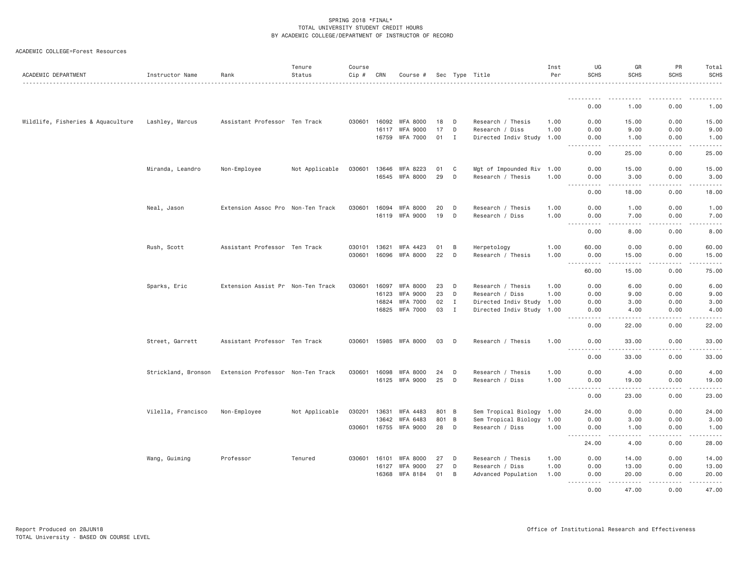| ACADEMIC COLLEGE=Forest Resources |  |
|-----------------------------------|--|
|                                   |  |

| ACADEMIC DEPARTMENT               | Instructor Name     | Rank                              | Tenure<br>Status | Course<br>$Cip \#$ | CRN   | Course #        |       |    | Sec Type Title            | Inst<br>Per | UG<br><b>SCHS</b>                                                                                                                                                                    | GR<br><b>SCHS</b>                                                                                                                                             | PR<br><b>SCHS</b> | Total<br><b>SCHS</b>                                                                                                                                         |
|-----------------------------------|---------------------|-----------------------------------|------------------|--------------------|-------|-----------------|-------|----|---------------------------|-------------|--------------------------------------------------------------------------------------------------------------------------------------------------------------------------------------|---------------------------------------------------------------------------------------------------------------------------------------------------------------|-------------------|--------------------------------------------------------------------------------------------------------------------------------------------------------------|
|                                   |                     |                                   |                  |                    |       |                 |       |    |                           |             |                                                                                                                                                                                      |                                                                                                                                                               |                   |                                                                                                                                                              |
|                                   |                     |                                   |                  |                    |       |                 |       |    |                           |             | 0.00                                                                                                                                                                                 | 1.00                                                                                                                                                          | 0.00              | 1.00                                                                                                                                                         |
| Wildlife, Fisheries & Aquaculture | Lashley, Marcus     | Assistant Professor Ten Track     |                  | 030601             | 16092 | <b>WFA 8000</b> | 18    | D  | Research / Thesis         | 1.00        | 0.00                                                                                                                                                                                 | 15.00                                                                                                                                                         | 0.00              | 15.00                                                                                                                                                        |
|                                   |                     |                                   |                  |                    | 16117 | <b>WFA 9000</b> | 17    | D  | Research / Diss           | 1.00        | 0.00                                                                                                                                                                                 | 9.00                                                                                                                                                          | 0.00              | 9.00                                                                                                                                                         |
|                                   |                     |                                   |                  |                    | 16759 | <b>WFA 7000</b> | 01    | Ι. | Directed Indiv Study 1.00 |             | 0.00<br>$- - -$<br>$\cdots \cdots \cdots$                                                                                                                                            | 1.00<br>.                                                                                                                                                     | 0.00<br>.         | 1.00<br>.                                                                                                                                                    |
|                                   |                     |                                   |                  |                    |       |                 |       |    |                           |             | 0.00                                                                                                                                                                                 | 25.00                                                                                                                                                         | 0.00              | 25.00                                                                                                                                                        |
|                                   | Miranda, Leandro    | Non-Employee                      | Not Applicable   | 030601             | 13646 | WFA 8223        | 01    | C  | Mgt of Impounded Riv 1.00 |             | 0.00                                                                                                                                                                                 | 15.00                                                                                                                                                         | 0.00              | 15.00                                                                                                                                                        |
|                                   |                     |                                   |                  |                    | 16545 | <b>WFA 8000</b> | 29    | D  | Research / Thesis         | 1.00        | 0.00                                                                                                                                                                                 | 3.00                                                                                                                                                          | 0.00              | 3.00                                                                                                                                                         |
|                                   |                     |                                   |                  |                    |       |                 |       |    |                           |             | .<br>0.00                                                                                                                                                                            | .<br>18.00                                                                                                                                                    | .<br>0.00         | المستملة<br>18.00                                                                                                                                            |
|                                   | Neal, Jason         | Extension Assoc Pro Non-Ten Track |                  | 030601             | 16094 | <b>WFA 8000</b> | 20    | D  | Research / Thesis         | 1.00        | 0.00                                                                                                                                                                                 | 1.00                                                                                                                                                          | 0.00              | 1.00                                                                                                                                                         |
|                                   |                     |                                   |                  |                    | 16119 | <b>WFA 9000</b> | 19    | D  | Research / Diss           | 1.00        | 0.00                                                                                                                                                                                 | 7.00                                                                                                                                                          | 0.00              | 7.00                                                                                                                                                         |
|                                   |                     |                                   |                  |                    |       |                 |       |    |                           |             | $\sim$ $\sim$ $\sim$<br>$\frac{1}{2} \left( \frac{1}{2} \right) \left( \frac{1}{2} \right) \left( \frac{1}{2} \right) \left( \frac{1}{2} \right)$<br>0.00                            | $\sim$ $\sim$ $\sim$ $\sim$<br>8.00                                                                                                                           | .<br>0.00         | $- - - - -$<br>8.00                                                                                                                                          |
|                                   | Rush, Scott         | Assistant Professor Ten Track     |                  | 030101             | 13621 | WFA 4423        | 01    | B  | Herpetology               | 1.00        | 60.00                                                                                                                                                                                | 0.00                                                                                                                                                          | 0.00              | 60.00                                                                                                                                                        |
|                                   |                     |                                   |                  | 030601             | 16096 | WFA 8000        | 22    | D  | Research / Thesis         | 1.00        | 0.00                                                                                                                                                                                 | 15.00                                                                                                                                                         | 0.00              | 15.00                                                                                                                                                        |
|                                   |                     |                                   |                  |                    |       |                 |       |    |                           |             | .<br>$\sim$ $\sim$ $\sim$<br>60.00                                                                                                                                                   | .<br>15.00                                                                                                                                                    | .<br>0.00         | .<br>75.00                                                                                                                                                   |
|                                   | Sparks, Eric        | Extension Assist Pr Non-Ten Track |                  | 030601             | 16097 | <b>WFA 8000</b> | 23    | D  | Research / Thesis         | 1.00        | 0.00                                                                                                                                                                                 | 6.00                                                                                                                                                          | 0.00              | 6.00                                                                                                                                                         |
|                                   |                     |                                   |                  |                    | 16123 | WFA 9000        | 23    | D  | Research / Diss           | 1.00        | 0.00                                                                                                                                                                                 | 9.00                                                                                                                                                          | 0.00              | 9.00                                                                                                                                                         |
|                                   |                     |                                   |                  |                    | 16824 | <b>WFA 7000</b> | 02    | Ι. | Directed Indiv Study      | 1.00        | 0.00                                                                                                                                                                                 | 3.00                                                                                                                                                          | 0.00              | 3.00                                                                                                                                                         |
|                                   |                     |                                   |                  |                    | 16825 | WFA 7000        | 03    | I  | Directed Indiv Study 1.00 |             | 0.00                                                                                                                                                                                 | 4.00<br>$- - - -$                                                                                                                                             | 0.00<br>.         | 4.00<br>$\frac{1}{2} \left( \frac{1}{2} \right) \left( \frac{1}{2} \right) \left( \frac{1}{2} \right) \left( \frac{1}{2} \right) \left( \frac{1}{2} \right)$ |
|                                   |                     |                                   |                  |                    |       |                 |       |    |                           |             | $\frac{1}{2} \left( \frac{1}{2} \right) \left( \frac{1}{2} \right) \left( \frac{1}{2} \right) \left( \frac{1}{2} \right)$<br>0.00                                                    | 22.00                                                                                                                                                         | 0.00              | 22.00                                                                                                                                                        |
|                                   | Street, Garrett     | Assistant Professor Ten Track     |                  | 030601             | 15985 | WFA 8000        | 03    | D  | Research / Thesis         | 1.00        | 0.00<br>$\sim$ $\sim$ $\sim$<br>$\frac{1}{2} \left( \frac{1}{2} \right) \left( \frac{1}{2} \right) \left( \frac{1}{2} \right) \left( \frac{1}{2} \right) \left( \frac{1}{2} \right)$ | 33.00<br>$\frac{1}{2} \left( \frac{1}{2} \right) \left( \frac{1}{2} \right) \left( \frac{1}{2} \right) \left( \frac{1}{2} \right) \left( \frac{1}{2} \right)$ | 0.00<br>.         | 33.00<br>.                                                                                                                                                   |
|                                   |                     |                                   |                  |                    |       |                 |       |    |                           |             | 0.00                                                                                                                                                                                 | 33.00                                                                                                                                                         | 0.00              | 33.00                                                                                                                                                        |
|                                   | Strickland, Bronson | Extension Professor Non-Ten Track |                  | 030601             | 16098 | <b>WFA 8000</b> | 24    | D  | Research / Thesis         | 1.00        | 0.00                                                                                                                                                                                 | 4.00                                                                                                                                                          | 0.00              | 4.00                                                                                                                                                         |
|                                   |                     |                                   |                  |                    | 16125 | WFA 9000        | 25    | D  | Research / Diss           | 1.00        | 0.00                                                                                                                                                                                 | 19.00                                                                                                                                                         | 0.00              | 19.00                                                                                                                                                        |
|                                   |                     |                                   |                  |                    |       |                 |       |    |                           |             | .<br>0.00                                                                                                                                                                            | $\frac{1}{2} \left( \frac{1}{2} \right) \left( \frac{1}{2} \right) \left( \frac{1}{2} \right) \left( \frac{1}{2} \right) \left( \frac{1}{2} \right)$<br>23.00 | .<br>0.00         | .<br>23.00                                                                                                                                                   |
|                                   | Vilella, Francisco  | Non-Employee                      | Not Applicable   | 030201             | 13631 | WFA 4483        | 801 B |    | Sem Tropical Biology 1.00 |             | 24.00                                                                                                                                                                                | 0.00                                                                                                                                                          | 0.00              | 24.00                                                                                                                                                        |
|                                   |                     |                                   |                  |                    | 13642 | <b>WFA 6483</b> | 801   | B  | Sem Tropical Biology      | 1.00        | 0.00                                                                                                                                                                                 | 3.00                                                                                                                                                          | 0.00              | 3.00                                                                                                                                                         |
|                                   |                     |                                   |                  | 030601             | 16755 | WFA 9000        | 28    | D  | Research / Diss           | 1.00        | 0.00                                                                                                                                                                                 | 1.00                                                                                                                                                          | 0.00              | 1.00                                                                                                                                                         |
|                                   |                     |                                   |                  |                    |       |                 |       |    |                           |             | $\frac{1}{2} \left( \frac{1}{2} \right) \left( \frac{1}{2} \right) \left( \frac{1}{2} \right) \left( \frac{1}{2} \right) \left( \frac{1}{2} \right)$<br>$- - -$<br>24.00             | .<br>4.00                                                                                                                                                     | .<br>0.00         | .<br>28.00                                                                                                                                                   |
|                                   | Wang, Guiming       | Professor                         | Tenured          | 030601             | 16101 | <b>WFA 8000</b> | 27    | D  | Research / Thesis         | 1.00        | 0.00                                                                                                                                                                                 | 14.00                                                                                                                                                         | 0.00              | 14.00                                                                                                                                                        |
|                                   |                     |                                   |                  |                    | 16127 | <b>WFA 9000</b> | 27    | D  | Research / Diss           | 1.00        | 0.00                                                                                                                                                                                 | 13.00                                                                                                                                                         | 0.00              | 13.00                                                                                                                                                        |
|                                   |                     |                                   |                  |                    | 16368 | <b>WFA 8184</b> | 01    | B  | Advanced Population       | 1.00        | 0.00                                                                                                                                                                                 | 20.00                                                                                                                                                         | 0.00              | 20.00                                                                                                                                                        |
|                                   |                     |                                   |                  |                    |       |                 |       |    |                           |             | .<br>0.00                                                                                                                                                                            | $- - - - -$<br>47.00                                                                                                                                          | .<br>0.00         | .<br>47.00                                                                                                                                                   |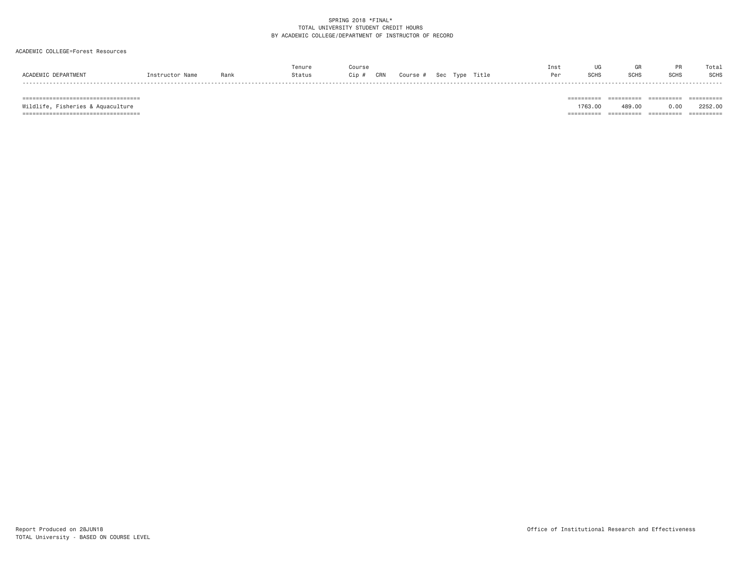#### ACADEMIC COLLEGE=Forest Resources

|                     |                 |      | Tenure | Course    |                             | Inst | UG          | GR   |             | Total |
|---------------------|-----------------|------|--------|-----------|-----------------------------|------|-------------|------|-------------|-------|
| ACADEMIC DEPARTMENT | Instructor Name | Rank | Status | Cip # CRN | Course #   Sec  Type  Title |      | <b>SCHS</b> | SCHS | <b>SCHS</b> | SCHS  |
|                     |                 |      |        |           |                             |      |             |      |             |       |

=================================== ========== ========== ========== ==========

 =================================== ========== ========== ========== ==========Wildlife, Fisheries & Aquaculture 1763.00 489.00 0.00 2252.00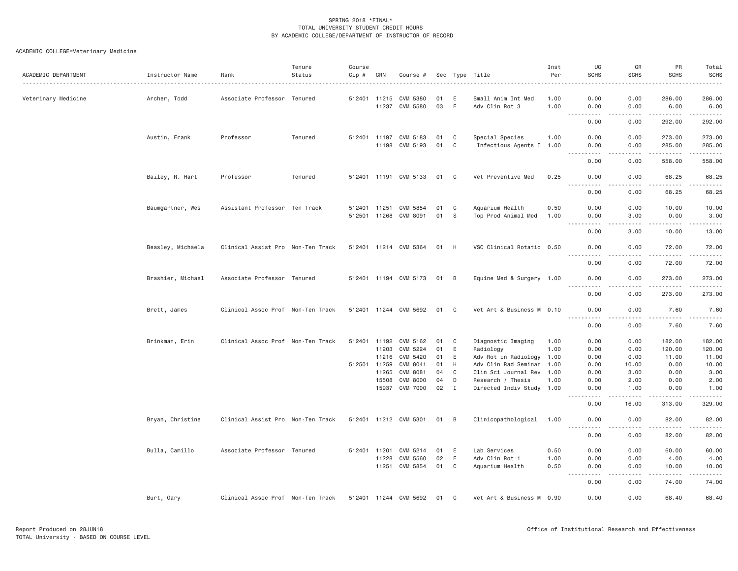| ACADEMIC DEPARTMENT | Instructor Name   | Rank                              | Tenure<br>Status | Course<br>Cip # | CRN            | Course #              |          |              | Sec Type Title                                 | Inst<br>Per | UG<br><b>SCHS</b>                 | GR<br><b>SCHS</b> | PR<br><b>SCHS</b>                                                                                                                                             | Total<br><b>SCHS</b>   |
|---------------------|-------------------|-----------------------------------|------------------|-----------------|----------------|-----------------------|----------|--------------|------------------------------------------------|-------------|-----------------------------------|-------------------|---------------------------------------------------------------------------------------------------------------------------------------------------------------|------------------------|
| Veterinary Medicine | Archer, Todd      | Associate Professor Tenured       |                  |                 | 512401 11215   | CVM 5380              | 01       | E            | Small Anim Int Med                             | 1.00        | 0.00                              | 0.00              | 286.00                                                                                                                                                        | 286.00                 |
|                     |                   |                                   |                  |                 |                | 11237 CVM 5580        | 03       | E            | Adv Clin Rot 3                                 | 1.00        | 0.00                              | 0.00              | 6.00                                                                                                                                                          | 6.00                   |
|                     |                   |                                   |                  |                 |                |                       |          |              |                                                |             | $\sim$ $\sim$ $\sim$<br>.<br>0.00 | .<br>0.00         | .<br>292.00                                                                                                                                                   | . <u>.</u> .<br>292.00 |
|                     | Austin, Frank     | Professor                         | Tenured          |                 |                | 512401 11197 CVM 5183 | 01       | $\mathbf{C}$ | Special Species                                | 1.00        | 0.00                              | 0.00              | 273.00                                                                                                                                                        | 273.00                 |
|                     |                   |                                   |                  |                 |                | 11198 CVM 5193        | 01       | C            | Infectious Agents I 1.00                       |             | 0.00<br>$\omega$ is a set of      | 0.00<br>.         | 285.00<br>.                                                                                                                                                   | 285.00<br>.            |
|                     |                   |                                   |                  |                 |                |                       |          |              |                                                |             | 0.00                              | 0.00              | 558.00                                                                                                                                                        | 558.00                 |
|                     | Bailey, R. Hart   | Professor                         | Tenured          |                 |                | 512401 11191 CVM 5133 | 01       | C            | Vet Preventive Med                             | 0.25        | 0.00<br>.                         | 0.00<br>.         | 68.25<br>. <u>.</u>                                                                                                                                           | 68.25<br>.             |
|                     |                   |                                   |                  |                 |                |                       |          |              |                                                |             | 0.00                              | 0.00              | 68.25                                                                                                                                                         | 68.25                  |
|                     | Baumgartner, Wes  | Assistant Professor Ten Track     |                  | 512401 11251    |                | CVM 5854              | 01       | C            | Aquarium Health                                | 0.50        | 0.00                              | 0.00              | 10.00                                                                                                                                                         | 10.00                  |
|                     |                   |                                   |                  |                 | 512501 11268   | CVM 8091              | 01       | - S          | Top Prod Animal Med                            | 1.00        | 0.00                              | 3.00<br>.         | 0.00                                                                                                                                                          | 3.00<br>المالم عامل    |
|                     |                   |                                   |                  |                 |                |                       |          |              |                                                |             | 0.00                              | 3.00              | 10.00                                                                                                                                                         | 13.00                  |
|                     | Beasley, Michaela | Clinical Assist Pro Non-Ten Track |                  |                 |                | 512401 11214 CVM 5364 | 01       | H            | VSC Clinical Rotatio 0.50                      |             | 0.00                              | 0.00<br>$   -$    | 72.00<br>$\frac{1}{2} \left( \frac{1}{2} \right) \left( \frac{1}{2} \right) \left( \frac{1}{2} \right) \left( \frac{1}{2} \right) \left( \frac{1}{2} \right)$ | 72.00<br>.             |
|                     |                   |                                   |                  |                 |                |                       |          |              |                                                |             | 0.00                              | 0.00              | 72.00                                                                                                                                                         | 72.00                  |
|                     | Brashier, Michael | Associate Professor Tenured       |                  |                 |                | 512401 11194 CVM 5173 | 01 B     |              | Equine Med & Surgery 1.00                      |             | 0.00<br>$- - - - -$               | 0.00<br>$   -$    | 273.00<br>.                                                                                                                                                   | 273.00<br>.            |
|                     |                   |                                   |                  |                 |                |                       |          |              |                                                |             | 0.00                              | 0.00              | 273.00                                                                                                                                                        | 273.00                 |
|                     | Brett, James      | Clinical Assoc Prof Non-Ten Track |                  |                 |                | 512401 11244 CVM 5692 | 01       | C            | Vet Art & Business M 0.10                      |             | 0.00<br>.                         | 0.00<br>.         | 7.60<br>.                                                                                                                                                     | 7.60<br>.              |
|                     |                   |                                   |                  |                 |                |                       |          |              |                                                |             | 0.00                              | 0.00              | 7.60                                                                                                                                                          | 7.60                   |
|                     | Brinkman, Erin    | Clinical Assoc Prof Non-Ten Track |                  |                 |                | 512401 11192 CVM 5162 | 01       | C            | Diagnostic Imaging                             | 1.00        | 0.00                              | 0.00              | 182.00                                                                                                                                                        | 182.00                 |
|                     |                   |                                   |                  |                 | 11203          | CVM 5224              | 01       | E            | Radiology                                      | 1.00        | 0.00                              | 0.00              | 120.00                                                                                                                                                        | 120.00                 |
|                     |                   |                                   |                  |                 | 11216          | CVM 5420              | 01       | E            | Adv Rot in Radiology 1.00                      |             | 0.00                              | 0.00              | 11.00                                                                                                                                                         | 11.00                  |
|                     |                   |                                   |                  |                 | 512501 11259   | CVM 8041              | 01<br>04 | H<br>C       | Adv Clin Rad Seminar 1.00                      |             | 0.00                              | 10.00             | 0.00                                                                                                                                                          | 10.00                  |
|                     |                   |                                   |                  |                 | 11265<br>15508 | CVM 8081<br>CVM 8000  | 04       | D            | Clin Sci Journal Rev 1.00<br>Research / Thesis | 1.00        | 0.00<br>0.00                      | 3.00<br>2.00      | 0.00<br>0.00                                                                                                                                                  | 3.00<br>2.00           |
|                     |                   |                                   |                  |                 | 15937          | CVM 7000              | 02       | $\mathbf{I}$ | Directed Indiv Study 1.00                      |             | 0.00                              | 1.00              | 0.00                                                                                                                                                          | 1.00                   |
|                     |                   |                                   |                  |                 |                |                       |          |              |                                                |             | ----<br>0.00                      | .<br>16.00        | 313.00                                                                                                                                                        | .<br>329.00            |
|                     | Bryan, Christine  | Clinical Assist Pro Non-Ten Track |                  |                 |                | 512401 11212 CVM 5301 | 01       | B            | Clinicopathological                            | 1.00        | 0.00                              | 0.00              | 82.00                                                                                                                                                         | 82.00                  |
|                     |                   |                                   |                  |                 |                |                       |          |              |                                                |             | .<br>0.00                         | .<br>0.00         | .<br>82.00                                                                                                                                                    | .<br>82.00             |
|                     | Bulla, Camillo    | Associate Professor Tenured       |                  | 512401          | 11201          | CVM 5214              | 01       | E            | Lab Services                                   | 0.50        | 0.00                              | 0.00              | 60.00                                                                                                                                                         | 60.00                  |
|                     |                   |                                   |                  |                 | 11228          | CVM 5560              | 02       | E            | Adv Clin Rot 1                                 | 1.00        | 0.00                              | 0.00              | 4.00                                                                                                                                                          | 4.00                   |
|                     |                   |                                   |                  |                 | 11251          | CVM 5854              | 01       | C            | Aquarium Health                                | 0.50        | 0.00<br>.                         | 0.00<br>.         | 10.00<br>.                                                                                                                                                    | 10.00<br>.             |
|                     |                   |                                   |                  |                 |                |                       |          |              |                                                |             | 0.00                              | 0.00              | 74.00                                                                                                                                                         | 74.00                  |
|                     | Burt, Gary        | Clinical Assoc Prof Non-Ten Track |                  |                 |                | 512401 11244 CVM 5692 | 01       | C            | Vet Art & Business M 0.90                      |             | 0.00                              | 0.00              | 68,40                                                                                                                                                         | 68.40                  |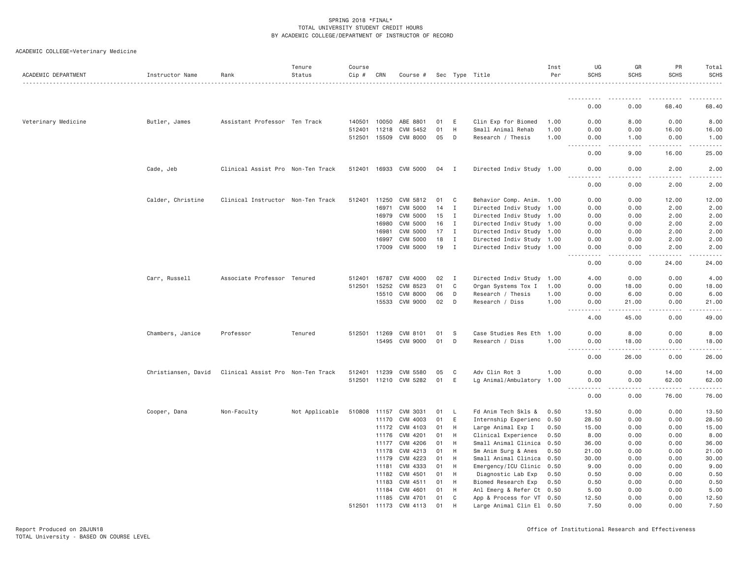| ACADEMIC DEPARTMENT | Instructor Name     | Rank                              | Tenure<br>Status | Course<br>$Cip \#$ | CRN          | Course #              |    |              | Sec Type Title            | Inst<br>Per | UG<br><b>SCHS</b>                                                                                                                      | GR<br>SCHS | PR<br><b>SCHS</b>                                                                                                                                             | Total<br><b>SCHS</b> |
|---------------------|---------------------|-----------------------------------|------------------|--------------------|--------------|-----------------------|----|--------------|---------------------------|-------------|----------------------------------------------------------------------------------------------------------------------------------------|------------|---------------------------------------------------------------------------------------------------------------------------------------------------------------|----------------------|
|                     |                     |                                   |                  |                    |              |                       |    |              |                           |             |                                                                                                                                        |            |                                                                                                                                                               |                      |
|                     |                     |                                   |                  |                    |              |                       |    |              |                           |             | 0.00                                                                                                                                   | 0.00       | 68.40                                                                                                                                                         | 68.40                |
| Veterinary Medicine | Butler, James       | Assistant Professor Ten Track     |                  | 140501             | 10050        | ABE 8801              | 01 | E            | Clin Exp for Biomed       | 1.00        | 0.00                                                                                                                                   | 8.00       | 0.00                                                                                                                                                          | 8.00                 |
|                     |                     |                                   |                  | 512401             | 11218        | CVM 5452              | 01 | H            | Small Animal Rehab        | 1.00        | 0.00                                                                                                                                   | 0.00       | 16.00                                                                                                                                                         | 16.00                |
|                     |                     |                                   |                  |                    | 512501 15509 | CVM 8000              | 05 | D            | Research / Thesis         | 1.00        | 0.00                                                                                                                                   | 1.00       | 0.00                                                                                                                                                          | 1.00                 |
|                     |                     |                                   |                  |                    |              |                       |    |              |                           |             | 0.00                                                                                                                                   | 9.00       | 16.00                                                                                                                                                         | 25.00                |
|                     | Cade, Jeb           | Clinical Assist Pro Non-Ten Track |                  |                    |              | 512401 16933 CVM 5000 | 04 | $\mathbf{I}$ | Directed Indiv Study 1.00 |             | 0.00<br>$\frac{1}{2} \left( \frac{1}{2} \right) \left( \frac{1}{2} \right) \left( \frac{1}{2} \right) \left( \frac{1}{2} \right)$<br>. | 0.00       | 2.00                                                                                                                                                          | 2.00                 |
|                     |                     |                                   |                  |                    |              |                       |    |              |                           |             | 0.00                                                                                                                                   | 0.00       | 2.00                                                                                                                                                          | 2.00                 |
|                     | Calder, Christine   | Clinical Instructor Non-Ten Track |                  |                    | 512401 11250 | CVM 5812              | 01 | C            | Behavior Comp. Anim. 1.00 |             | 0.00                                                                                                                                   | 0.00       | 12.00                                                                                                                                                         | 12.00                |
|                     |                     |                                   |                  |                    | 16971        | CVM 5000              | 14 | I            | Directed Indiv Study      | 1.00        | 0.00                                                                                                                                   | 0.00       | 2.00                                                                                                                                                          | 2.00                 |
|                     |                     |                                   |                  |                    | 16979        | CVM 5000              | 15 | I            | Directed Indiv Study 1.00 |             | 0.00                                                                                                                                   | 0.00       | 2.00                                                                                                                                                          | 2.00                 |
|                     |                     |                                   |                  |                    | 16980        | <b>CVM 5000</b>       | 16 | I            | Directed Indiv Study 1.00 |             | 0.00                                                                                                                                   | 0.00       | 2.00                                                                                                                                                          | 2.00                 |
|                     |                     |                                   |                  |                    | 16981        | CVM 5000              | 17 | I            | Directed Indiv Study 1.00 |             | 0.00                                                                                                                                   | 0.00       | 2.00                                                                                                                                                          | 2.00                 |
|                     |                     |                                   |                  |                    | 16997        | CVM 5000              | 18 | Ι.           | Directed Indiv Study 1.00 |             | 0.00                                                                                                                                   | 0.00       | 2.00                                                                                                                                                          | 2.00                 |
|                     |                     |                                   |                  |                    |              | 17009 CVM 5000        | 19 | $\mathbf{I}$ | Directed Indiv Study 1.00 |             | 0.00<br>.                                                                                                                              | 0.00<br>.  | 2.00<br>$\frac{1}{2} \left( \frac{1}{2} \right) \left( \frac{1}{2} \right) \left( \frac{1}{2} \right) \left( \frac{1}{2} \right) \left( \frac{1}{2} \right)$  | 2.00                 |
|                     |                     |                                   |                  |                    |              |                       |    |              |                           |             | 0.00                                                                                                                                   | 0.00       | 24.00                                                                                                                                                         | 24.00                |
|                     | Carr, Russell       | Associate Professor Tenured       |                  | 512401             | 16787        | CVM 4000              | 02 | Ι.           | Directed Indiv Study      | 1.00        | 4.00                                                                                                                                   | 0.00       | 0.00                                                                                                                                                          | 4.00                 |
|                     |                     |                                   |                  | 512501             | 15252        | CVM 8523              | 01 | C            | Organ Systems Tox I       | 1.00        | 0.00                                                                                                                                   | 18.00      | 0.00                                                                                                                                                          | 18.00                |
|                     |                     |                                   |                  |                    | 15510        | <b>CVM 8000</b>       | 06 | D            | Research / Thesis         | 1.00        | 0.00                                                                                                                                   | 6.00       | 0.00                                                                                                                                                          | 6.00                 |
|                     |                     |                                   |                  |                    | 15533        | CVM 9000              | 02 | D            | Research / Diss           | 1.00        | 0.00<br>$\sim$ $\sim$ $\sim$<br>.                                                                                                      | 21.00      | 0.00                                                                                                                                                          | 21.00                |
|                     |                     |                                   |                  |                    |              |                       |    |              |                           |             | 4.00                                                                                                                                   | 45.00      | 0.00                                                                                                                                                          | 49.00                |
|                     | Chambers, Janice    | Professor                         | Tenured          |                    | 512501 11269 | CVM 8101              | 01 | S            | Case Studies Res Eth      | 1.00        | 0.00                                                                                                                                   | 8.00       | 0.00                                                                                                                                                          | 8.00                 |
|                     |                     |                                   |                  |                    | 15495        | CVM 9000              | 01 | D            | Research / Diss           | 1.00        | 0.00                                                                                                                                   | 18.00      | 0.00                                                                                                                                                          | 18.00                |
|                     |                     |                                   |                  |                    |              |                       |    |              |                           |             | 0.00                                                                                                                                   | 26.00      | 0.00                                                                                                                                                          | 26.00                |
|                     | Christiansen, David | Clinical Assist Pro Non-Ten Track |                  | 512401             | 11239        | CVM 5580              | 05 | C            | Adv Clin Rot 3            | 1.00        | 0.00                                                                                                                                   | 0.00       | 14.00                                                                                                                                                         | 14.00                |
|                     |                     |                                   |                  |                    |              | 512501 11210 CVM 5282 | 01 | E            | Lg Animal/Ambulatory 1.00 |             | 0.00                                                                                                                                   | 0.00       | 62.00                                                                                                                                                         | 62.00                |
|                     |                     |                                   |                  |                    |              |                       |    |              |                           |             | $- - - -$<br>0.00                                                                                                                      | 0.00       | $\frac{1}{2} \left( \frac{1}{2} \right) \left( \frac{1}{2} \right) \left( \frac{1}{2} \right) \left( \frac{1}{2} \right) \left( \frac{1}{2} \right)$<br>76.00 | 76.00                |
|                     | Cooper, Dana        | Non-Faculty                       | Not Applicable   |                    | 510808 11157 | CVM 3031              | 01 | L,           | Fd Anim Tech Skls &       | 0.50        | 13.50                                                                                                                                  | 0.00       | 0.00                                                                                                                                                          | 13.50                |
|                     |                     |                                   |                  |                    | 11170        | CVM 4003              | 01 | E            | Internship Experienc      | 0.50        | 28.50                                                                                                                                  | 0.00       | 0.00                                                                                                                                                          | 28.50                |
|                     |                     |                                   |                  |                    | 11172        | CVM 4103              | 01 | H            | Large Animal Exp I        | 0.50        | 15.00                                                                                                                                  | 0.00       | 0.00                                                                                                                                                          | 15.00                |
|                     |                     |                                   |                  |                    | 11176        | CVM 4201              | 01 | H            | Clinical Experience       | 0.50        | 8.00                                                                                                                                   | 0.00       | 0.00                                                                                                                                                          | 8.00                 |
|                     |                     |                                   |                  |                    | 11177        | CVM 4206              | 01 | H            | Small Animal Clinica      | 0.50        | 36.00                                                                                                                                  | 0.00       | 0.00                                                                                                                                                          | 36.00                |
|                     |                     |                                   |                  |                    | 11178        | CVM 4213              | 01 | Н            | Sm Anim Surg & Anes       | 0.50        | 21.00                                                                                                                                  | 0.00       | 0.00                                                                                                                                                          | 21.00                |
|                     |                     |                                   |                  |                    | 11179        | CVM 4223              | 01 | H            | Small Animal Clinica      | 0.50        | 30.00                                                                                                                                  | 0.00       | 0.00                                                                                                                                                          | 30.00                |
|                     |                     |                                   |                  |                    | 11181        | CVM 4333              | 01 | Н            | Emergency/ICU Clinic      | 0.50        | 9.00                                                                                                                                   | 0.00       | 0.00                                                                                                                                                          | 9.00                 |
|                     |                     |                                   |                  |                    | 11182        | CVM 4501              | 01 | H            | Diagnostic Lab Exp        | 0.50        | 0.50                                                                                                                                   | 0.00       | 0.00                                                                                                                                                          | 0.50                 |
|                     |                     |                                   |                  |                    | 11183        | CVM 4511              | 01 | Н            | Biomed Research Exp       | 0.50        | 0.50                                                                                                                                   | 0.00       | 0.00                                                                                                                                                          | 0.50                 |
|                     |                     |                                   |                  |                    | 11184        | CVM 4601              | 01 | H            | Anl Emerg & Refer Ct 0.50 |             | 5.00                                                                                                                                   | 0.00       | 0.00                                                                                                                                                          | 5.00                 |
|                     |                     |                                   |                  |                    |              | 11185 CVM 4701        | 01 | C            | App & Process for VT 0.50 |             | 12.50                                                                                                                                  | 0.00       | 0.00                                                                                                                                                          | 12.50                |
|                     |                     |                                   |                  |                    | 512501 11173 | CVM 4113              | 01 | H            | Large Animal Clin El 0.50 |             | 7.50                                                                                                                                   | 0.00       | 0.00                                                                                                                                                          | 7.50                 |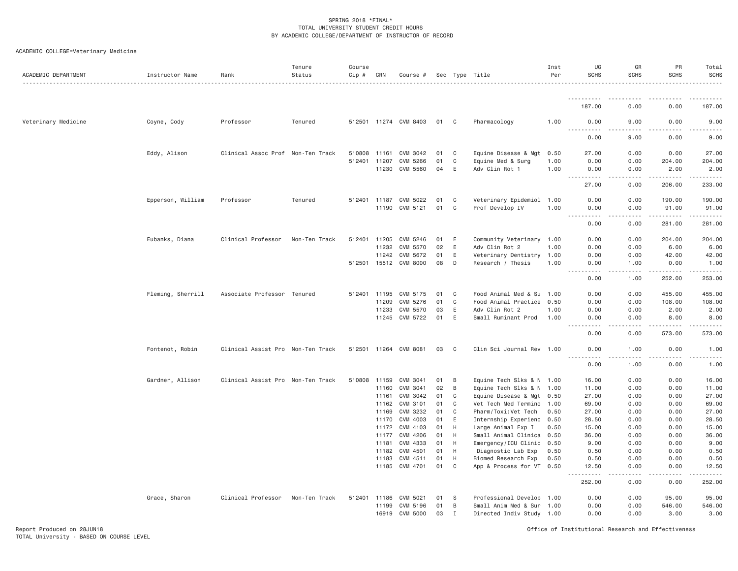| ACADEMIC DEPARTMENT | Instructor Name   | Rank                              | Tenure<br>Status | Course<br>Cip # | CRN            | Course #                   |          |        | Sec Type Title                                   | Inst<br>Per  | UG<br><b>SCHS</b>                          | GR<br><b>SCHS</b> | PR<br><b>SCHS</b> | Total<br><b>SCHS</b> |
|---------------------|-------------------|-----------------------------------|------------------|-----------------|----------------|----------------------------|----------|--------|--------------------------------------------------|--------------|--------------------------------------------|-------------------|-------------------|----------------------|
|                     |                   |                                   |                  |                 |                |                            |          |        |                                                  |              | <u>.</u>                                   |                   |                   |                      |
|                     |                   |                                   |                  |                 |                |                            |          |        |                                                  |              | 187.00                                     | 0.00              | 0.00              | 187.00               |
| Veterinary Medicine | Coyne, Cody       | Professor                         | Tenured          |                 |                | 512501 11274 CVM 8403      | 01       | C      | Pharmacology                                     | 1.00         | 0.00                                       | 9.00              | 0.00              | 9.00                 |
|                     |                   |                                   |                  |                 |                |                            |          |        |                                                  |              | 0.00                                       | 9.00              | 0.00              | 9.00                 |
|                     | Eddy, Alison      | Clinical Assoc Prof Non-Ten Track |                  |                 | 510808 11161   | CVM 3042                   | 01       | C      | Equine Disease & Mgt                             | 0.50         | 27.00                                      | 0.00              | 0.00              | 27.00                |
|                     |                   |                                   |                  |                 | 512401 11207   | CVM 5266<br>11230 CVM 5560 | 01<br>04 | C<br>E | Equine Med & Surg<br>Adv Clin Rot 1              | 1.00<br>1.00 | 0.00<br>0.00                               | 0.00<br>0.00      | 204.00<br>2.00    | 204.00<br>2.00       |
|                     |                   |                                   |                  |                 |                |                            |          |        |                                                  |              | .<br>$\omega_{\rm c}$ and $\omega_{\rm c}$ | .                 | .                 | .                    |
|                     |                   |                                   |                  |                 |                |                            |          |        |                                                  |              | 27.00                                      | 0.00              | 206.00            | 233.00               |
|                     | Epperson, William | Professor                         | Tenured          |                 | 512401 11187   | CVM 5022                   | 01       | C      | Veterinary Epidemiol 1.00                        |              | 0.00                                       | 0.00              | 190.00            | 190.00               |
|                     |                   |                                   |                  |                 |                | 11190 CVM 5121             | 01       | C      | Prof Develop IV                                  | 1.00         | 0.00<br>$\sim$ $\sim$ $\sim$ $\sim$        | 0.00              | 91.00             | 91.00                |
|                     |                   |                                   |                  |                 |                |                            |          |        |                                                  |              | 0.00                                       | 0.00              | 281.00            | 281.00               |
|                     | Eubanks, Diana    | Clinical Professor                | Non-Ten Track    |                 | 512401 11205   | CVM 5246                   | 01       | E      | Community Veterinary 1.00                        |              | 0.00                                       | 0.00              | 204.00            | 204.00               |
|                     |                   |                                   |                  |                 | 11232          | CVM 5570                   | 02       | E      | Adv Clin Rot 2                                   | 1.00         | 0.00                                       | 0.00              | 6.00              | 6.00                 |
|                     |                   |                                   |                  |                 | 11242          | CVM 5672                   | 01       | Ε      | Veterinary Dentistry 1.00                        |              | 0.00                                       | 0.00              | 42.00             | 42.00                |
|                     |                   |                                   |                  |                 |                | 512501 15512 CVM 8000      | 08       | D      | Research / Thesis                                | 1.00         | 0.00<br>.                                  | 1.00<br>.         | 0.00              | 1.00                 |
|                     |                   |                                   |                  |                 |                |                            |          |        |                                                  |              | 0.00                                       | 1.00              | 252.00            | 253.00               |
|                     | Fleming, Sherrill | Associate Professor Tenured       |                  |                 | 512401 11195   | CVM 5175                   | 01       | C      | Food Animal Med & Su                             | 1.00         | 0.00                                       | 0.00              | 455.00            | 455.00               |
|                     |                   |                                   |                  |                 | 11209          | CVM 5276                   | 01       | C      | Food Animal Practice                             | 0.50         | 0.00                                       | 0.00              | 108.00            | 108.00               |
|                     |                   |                                   |                  |                 | 11233          | CVM 5570                   | 03       | E      | Adv Clin Rot 2                                   | 1.00         | 0.00                                       | 0.00              | 2.00              | 2.00                 |
|                     |                   |                                   |                  |                 |                | 11245 CVM 5722             | 01       | E      | Small Ruminant Prod                              | 1,00         | 0.00                                       | 0.00              | 8.00              | 8.00                 |
|                     |                   |                                   |                  |                 |                |                            |          |        |                                                  |              | 0.00                                       | 0.00              | 573.00            | 573.00               |
|                     | Fontenot, Robin   | Clinical Assist Pro Non-Ten Track |                  |                 |                | 512501 11264 CVM 8081      | 03       | C      | Clin Sci Journal Rev 1.00                        |              | 0.00<br>.<br>$\sim$ $\sim$ $\sim$ $\sim$   | 1.00              | 0.00              | 1.00                 |
|                     |                   |                                   |                  |                 |                |                            |          |        |                                                  |              | 0.00                                       | 1.00              | 0.00              | 1.00                 |
|                     | Gardner, Allison  | Clinical Assist Pro Non-Ten Track |                  |                 | 510808 11159   | CVM 3041                   | 01       | B      | Equine Tech Slks & N 1.00                        |              | 16,00                                      | 0.00              | 0.00              | 16.00                |
|                     |                   |                                   |                  |                 |                | 11160 CVM 3041             | 02       | B      | Equine Tech Slks & N 1.00                        |              | 11.00                                      | 0.00              | 0.00              | 11.00                |
|                     |                   |                                   |                  |                 | 11161          | CVM 3042                   | 01       | C      | Equine Disease & Mgt 0.50                        |              | 27.00                                      | 0.00              | 0.00              | 27.00                |
|                     |                   |                                   |                  |                 | 11162<br>11169 | CVM 3101<br>CVM 3232       | 01<br>01 | C<br>C | Vet Tech Med Termino 1.00                        | 0.50         | 69.00<br>27.00                             | 0.00<br>0.00      | 0.00<br>0.00      | 69.00<br>27.00       |
|                     |                   |                                   |                  |                 | 11170          | CVM 4003                   | 01       | Ε      | Pharm/Toxi:Vet Tech<br>Internship Experienc 0.50 |              | 28.50                                      | 0.00              | 0.00              | 28.50                |
|                     |                   |                                   |                  |                 | 11172          | CVM 4103                   | 01       | H      | Large Animal Exp I                               | 0.50         | 15.00                                      | 0.00              | 0.00              | 15.00                |
|                     |                   |                                   |                  |                 | 11177          | CVM 4206                   | 01       | H      | Small Animal Clinica                             | 0.50         | 36.00                                      | 0.00              | 0.00              | 36.00                |
|                     |                   |                                   |                  |                 | 11181          | CVM 4333                   | 01       | H      | Emergency/ICU Clinic 0.50                        |              | 9.00                                       | 0.00              | 0.00              | 9.00                 |
|                     |                   |                                   |                  |                 | 11182          | CVM 4501                   | 01       | H      | Diagnostic Lab Exp                               | 0.50         | 0.50                                       | 0.00              | 0.00              | 0.50                 |
|                     |                   |                                   |                  |                 | 11183          | CVM 4511                   | 01       | H      | Biomed Research Exp                              | 0.50         | 0.50                                       | 0.00              | 0.00              | 0.50                 |
|                     |                   |                                   |                  |                 |                | 11185 CVM 4701             | 01       | C      | App & Process for VT 0.50                        |              | 12.50<br>.                                 | 0.00<br>.         | 0.00<br>.         | 12.50                |
|                     |                   |                                   |                  |                 |                |                            |          |        |                                                  |              | 252.00                                     | 0.00              | 0.00              | 252.00               |
|                     | Grace, Sharon     | Clinical Professor Non-Ten Track  |                  |                 | 512401 11186   | CVM 5021                   | 01       | -S     | Professional Develop 1.00                        |              | 0.00                                       | 0.00              | 95.00             | 95.00                |
|                     |                   |                                   |                  |                 | 11199          | CVM 5196                   | 01       | B      | Small Anim Med & Sur                             | 1.00         | 0.00                                       | 0.00              | 546.00            | 546.00               |
|                     |                   |                                   |                  |                 |                | 16919 CVM 5000             | 03       | I      | Directed Indiv Study 1.00                        |              | 0.00                                       | 0.00              | 3.00              | 3.00                 |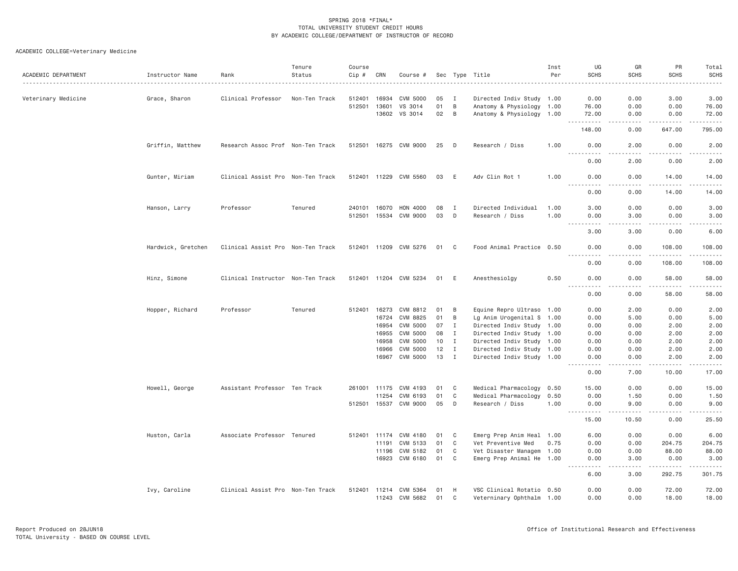| ACADEMIC DEPARTMENT | Instructor Name    | Rank                              | Tenure<br>Status | Course<br>Cip # | CRN            | Course #              |          |                              | Sec Type Title                                         | Inst<br>Per | UG<br><b>SCHS</b>      | GR<br><b>SCHS</b>     | PR<br><b>SCHS</b> | Total<br><b>SCHS</b>                                                                                                                                         |
|---------------------|--------------------|-----------------------------------|------------------|-----------------|----------------|-----------------------|----------|------------------------------|--------------------------------------------------------|-------------|------------------------|-----------------------|-------------------|--------------------------------------------------------------------------------------------------------------------------------------------------------------|
| Veterinary Medicine | Grace, Sharon      | Clinical Professor                | Non-Ten Track    | 512401          | 16934          | CVM 5000              | 05       | Ι.                           | Directed Indiv Study 1.00                              |             | 0.00                   | 0.00                  | 3.00              | 3.00                                                                                                                                                         |
|                     |                    |                                   |                  |                 | 512501 13601   | VS 3014               | 01       | B                            | Anatomy & Physiology 1.00                              |             | 76.00                  | 0.00                  | 0.00              | 76.00                                                                                                                                                        |
|                     |                    |                                   |                  |                 | 13602          | VS 3014               | 02       | B                            | Anatomy & Physiology 1.00                              |             | 72.00                  | 0.00                  | 0.00              | 72.00<br>$\frac{1}{2} \left( \frac{1}{2} \right) \left( \frac{1}{2} \right) \left( \frac{1}{2} \right)$                                                      |
|                     |                    |                                   |                  |                 |                |                       |          |                              |                                                        |             | 148.00                 | 0.00                  | 647.00            | 795.00                                                                                                                                                       |
|                     | Griffin, Matthew   | Research Assoc Prof Non-Ten Track |                  |                 |                | 512501 16275 CVM 9000 | 25       | D                            | Research / Diss                                        | 1.00        | 0.00<br>.              | 2.00                  | 0.00              | 2.00<br>$\frac{1}{2} \left( \frac{1}{2} \right) \left( \frac{1}{2} \right) \left( \frac{1}{2} \right) \left( \frac{1}{2} \right) \left( \frac{1}{2} \right)$ |
|                     |                    |                                   |                  |                 |                |                       |          |                              |                                                        |             | 0.00                   | 2.00                  | 0.00              | 2.00                                                                                                                                                         |
|                     | Gunter, Miriam     | Clinical Assist Pro Non-Ten Track |                  |                 |                | 512401 11229 CVM 5560 | 03       | E                            | Adv Clin Rot 1                                         | 1,00        | 0.00<br>$- - - -$      | 0.00<br>. <u>. .</u>  | 14.00<br><u>.</u> | 14.00<br>.                                                                                                                                                   |
|                     |                    |                                   |                  |                 |                |                       |          |                              |                                                        |             | 0.00                   | 0.00                  | 14.00             | 14.00                                                                                                                                                        |
|                     | Hanson, Larry      | Professor                         | Tenured          | 240101          | 16070          | HON 4000              | 08       | $\mathbf{I}$                 | Directed Individual                                    | 1.00        | 3.00                   | 0.00                  | 0.00              | 3.00                                                                                                                                                         |
|                     |                    |                                   |                  |                 | 512501 15534   | CVM 9000              | 03       | D                            | Research / Diss                                        | 1.00        | 0.00<br>- - -<br>----- | 3.00<br>.             | 0.00              | 3.00                                                                                                                                                         |
|                     |                    |                                   |                  |                 |                |                       |          |                              |                                                        |             | 3,00                   | 3.00                  | 0.00              | 6.00                                                                                                                                                         |
|                     | Hardwick, Gretchen | Clinical Assist Pro Non-Ten Track |                  |                 |                | 512401 11209 CVM 5276 | 01       | C                            | Food Animal Practice 0.50                              |             | 0.00                   | 0.00<br>.             | 108.00            | 108.00<br><b><i><u>.</u></i></b>                                                                                                                             |
|                     |                    |                                   |                  |                 |                |                       |          |                              |                                                        |             | 0.00                   | 0.00                  | 108.00            | 108.00                                                                                                                                                       |
|                     | Hinz, Simone       | Clinical Instructor Non-Ten Track |                  |                 |                | 512401 11204 CVM 5234 | 01       | E                            | Anesthesiolgy                                          | 0.50        | 0.00<br>.              | 0.00<br>.             | 58.00<br>.        | 58.00<br>.                                                                                                                                                   |
|                     |                    |                                   |                  |                 |                |                       |          |                              |                                                        |             | 0.00                   | 0.00                  | 58.00             | 58.00                                                                                                                                                        |
|                     | Hopper, Richard    | Professor                         | Tenured          | 512401          |                | 16273 CVM 8812        | 01       | B                            | Equine Repro Ultraso 1.00                              |             | 0.00                   | 2.00                  | 0.00              | 2.00                                                                                                                                                         |
|                     |                    |                                   |                  |                 | 16724          | CVM 8825              | 01       | B                            | Lg Anim Urogenital S 1.00                              |             | 0.00                   | 5.00                  | 0.00              | 5.00                                                                                                                                                         |
|                     |                    |                                   |                  |                 | 16954          | CVM 5000              | 07       | $\mathbf{I}$                 | Directed Indiv Study 1.00                              |             | 0.00                   | 0.00                  | 2.00              | 2.00                                                                                                                                                         |
|                     |                    |                                   |                  |                 | 16955          | CVM 5000              | 08       | $\mathbf{I}$                 | Directed Indiv Study 1.00                              |             | 0.00                   | 0.00                  | 2.00              | 2.00                                                                                                                                                         |
|                     |                    |                                   |                  |                 | 16958          | CVM 5000              | 10       | I                            | Directed Indiv Study 1.00                              |             | 0.00                   | 0.00                  | 2.00              | 2.00                                                                                                                                                         |
|                     |                    |                                   |                  |                 | 16966<br>16967 | CVM 5000<br>CVM 5000  | 12<br>13 | $\mathbf{I}$<br>$\mathbf{I}$ | Directed Indiv Study 1.00<br>Directed Indiv Study 1.00 |             | 0.00<br>0.00           | 0.00<br>0.00          | 2.00<br>2.00      | 2.00<br>2.00                                                                                                                                                 |
|                     |                    |                                   |                  |                 |                |                       |          |                              |                                                        |             | $- - - -$<br>0.00      | .<br>7.00             | 10.00             | 17.00                                                                                                                                                        |
|                     | Howell, George     | Assistant Professor Ten Track     |                  |                 | 261001 11175   | CVM 4193              | 01       | $\mathbf C$                  | Medical Pharmacology 0.50                              |             | 15.00                  | 0.00                  | 0.00              | 15.00                                                                                                                                                        |
|                     |                    |                                   |                  |                 | 11254          | CVM 6193              | 01       | C                            | Medical Pharmacology                                   | 0.50        | 0.00                   | 1.50                  | 0.00              | 1.50                                                                                                                                                         |
|                     |                    |                                   |                  |                 |                | 512501 15537 CVM 9000 | 05       | D                            | Research / Diss                                        | 1.00        | 0.00<br>$- - - -$<br>. | 9.00<br>.             | 0.00              | 9.00<br>.                                                                                                                                                    |
|                     |                    |                                   |                  |                 |                |                       |          |                              |                                                        |             | 15.00                  | 10.50                 | 0.00              | 25.50                                                                                                                                                        |
|                     | Huston, Carla      | Associate Professor Tenured       |                  |                 | 512401 11174   | CVM 4180              | 01       | C                            | Emerg Prep Anim Heal 1.00                              |             | 6.00                   | 0.00                  | 0.00              | 6.00                                                                                                                                                         |
|                     |                    |                                   |                  |                 | 11191          | CVM 5133              | 01       | C                            | Vet Preventive Med                                     | 0.75        | 0.00                   | 0.00                  | 204.75            | 204.75                                                                                                                                                       |
|                     |                    |                                   |                  |                 | 11196          | CVM 5182              | 01       | C                            | Vet Disaster Managem 1.00                              |             | 0.00                   | 0.00                  | 88.00             | 88.00                                                                                                                                                        |
|                     |                    |                                   |                  |                 | 16923          | CVM 6180              | 01       | $\mathbf{C}$                 | Emerg Prep Animal He 1.00                              |             | 0.00<br>----           | 3.00<br>$\frac{1}{2}$ | 0.00<br><u>.</u>  | 3.00<br>.                                                                                                                                                    |
|                     |                    |                                   |                  |                 |                |                       |          |                              |                                                        |             | 6.00                   | 3.00                  | 292.75            | 301.75                                                                                                                                                       |
|                     | Ivy, Caroline      | Clinical Assist Pro Non-Ten Track |                  |                 | 512401 11214   | CVM 5364              | 01       | H                            | VSC Clinical Rotatio 0.50                              |             | 0.00                   | 0.00                  | 72.00             | 72.00                                                                                                                                                        |
|                     |                    |                                   |                  |                 |                | 11243 CVM 5682        | 01       | C                            | Veterninary Ophthalm 1.00                              |             | 0.00                   | 0.00                  | 18.00             | 18.00                                                                                                                                                        |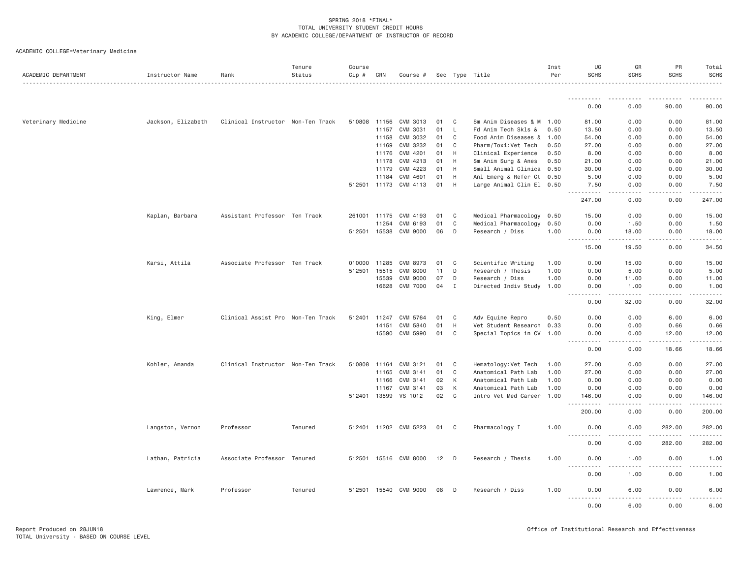| ACADEMIC DEPARTMENT | Instructor Name    | Rank                              | Tenure<br>Status | Course<br>Cip # | CRN            | Course #              |          |             | Sec Type Title                              | Inst<br>Per  | UG<br><b>SCHS</b>                                                                                                                      | GR<br><b>SCHS</b>                                                                                                                                            | PR<br><b>SCHS</b>                                                                                                                                            | Total<br><b>SCHS</b> |
|---------------------|--------------------|-----------------------------------|------------------|-----------------|----------------|-----------------------|----------|-------------|---------------------------------------------|--------------|----------------------------------------------------------------------------------------------------------------------------------------|--------------------------------------------------------------------------------------------------------------------------------------------------------------|--------------------------------------------------------------------------------------------------------------------------------------------------------------|----------------------|
|                     |                    |                                   |                  |                 |                |                       |          |             |                                             |              |                                                                                                                                        |                                                                                                                                                              |                                                                                                                                                              |                      |
|                     |                    |                                   |                  |                 |                |                       |          |             |                                             |              | 0.00                                                                                                                                   | 0.00                                                                                                                                                         | 90.00                                                                                                                                                        | 90.00                |
| Veterinary Medicine | Jackson, Elizabeth | Clinical Instructor Non-Ten Track |                  |                 | 510808 11156   | CVM 3013              | 01       | C           | Sm Anim Diseases & M                        | 1.00         | 81,00                                                                                                                                  | 0.00                                                                                                                                                         | 0.00                                                                                                                                                         | 81.00                |
|                     |                    |                                   |                  |                 | 11157          | CVM 3031              | 01       | L.          | Fd Anim Tech Skls &                         | 0.50         | 13.50                                                                                                                                  | 0.00                                                                                                                                                         | 0.00                                                                                                                                                         | 13.50                |
|                     |                    |                                   |                  |                 | 11158          | CVM 3032              | 01       | $\mathbf C$ | Food Anim Diseases &                        | 1.00         | 54.00                                                                                                                                  | 0.00                                                                                                                                                         | 0.00                                                                                                                                                         | 54.00                |
|                     |                    |                                   |                  |                 | 11169          | CVM 3232              | 01       | C           | Pharm/Toxi:Vet Tech                         | 0.50         | 27.00                                                                                                                                  | 0.00                                                                                                                                                         | 0.00                                                                                                                                                         | 27.00                |
|                     |                    |                                   |                  |                 | 11176          | CVM 4201              | 01       | H           | Clinical Experience                         | 0.50         | 8.00                                                                                                                                   | 0.00                                                                                                                                                         | 0.00                                                                                                                                                         | 8.00                 |
|                     |                    |                                   |                  |                 | 11178          | CVM 4213              | 01       | H           | Sm Anim Surg & Anes                         | 0.50         | 21.00                                                                                                                                  | 0.00                                                                                                                                                         | 0.00                                                                                                                                                         | 21.00                |
|                     |                    |                                   |                  |                 | 11179          | CVM 4223              | 01       | H           | Small Animal Clinica                        | 0.50         | 30.00                                                                                                                                  | 0.00                                                                                                                                                         | 0.00                                                                                                                                                         | 30.00                |
|                     |                    |                                   |                  |                 | 11184          | CVM 4601              | 01       | H           | Anl Emerg & Refer Ct 0.50                   |              | 5.00                                                                                                                                   | 0.00                                                                                                                                                         | 0.00                                                                                                                                                         | 5.00                 |
|                     |                    |                                   |                  | 512501          | 11173          | CVM 4113              | 01       | H           | Large Animal Clin El 0.50                   |              | 7.50                                                                                                                                   | 0.00                                                                                                                                                         | 0.00                                                                                                                                                         | 7.50                 |
|                     |                    |                                   |                  |                 |                |                       |          |             |                                             |              | <u>.</u><br>247.00                                                                                                                     | .<br>0.00                                                                                                                                                    | -----<br>0.00                                                                                                                                                | .<br>247.00          |
|                     | Kaplan, Barbara    | Assistant Professor Ten Track     |                  | 261001          | 11175          | CVM 4193              | 01       | C           | Medical Pharmacology                        | 0.50         | 15.00                                                                                                                                  | 0.00                                                                                                                                                         | 0.00                                                                                                                                                         | 15.00                |
|                     |                    |                                   |                  |                 | 11254          | CVM 6193              | 01       | C           | Medical Pharmacology                        | 0.50         | 0.00                                                                                                                                   | 1.50                                                                                                                                                         | 0.00                                                                                                                                                         | 1.50                 |
|                     |                    |                                   |                  |                 | 512501 15538   | CVM 9000              | 06       | D           | Research / Diss                             | 1.00         | 0.00                                                                                                                                   | 18.00                                                                                                                                                        | 0.00                                                                                                                                                         | 18.00                |
|                     |                    |                                   |                  |                 |                |                       |          |             |                                             |              | <u>.</u><br>15.00                                                                                                                      | .<br>19.50                                                                                                                                                   | $- - - - -$<br>0.00                                                                                                                                          | .<br>34.50           |
|                     | Karsi, Attila      | Associate Professor Ten Track     |                  | 010000          | 11285          | CVM 8973              | 01       | C           | Scientific Writing                          | 1.00         | 0.00                                                                                                                                   | 15.00                                                                                                                                                        | 0.00                                                                                                                                                         | 15.00                |
|                     |                    |                                   |                  | 512501          | 15515          | <b>CVM 8000</b>       | 11       | D           | Research / Thesis                           | 1.00         | 0.00                                                                                                                                   | 5.00                                                                                                                                                         | 0.00                                                                                                                                                         | 5.00                 |
|                     |                    |                                   |                  |                 | 15539          | <b>CVM 9000</b>       | 07       | D           | Research / Diss                             | 1.00         | 0.00                                                                                                                                   | 11.00                                                                                                                                                        | 0.00                                                                                                                                                         | 11.00                |
|                     |                    |                                   |                  |                 | 16628          | <b>CVM 7000</b>       | 04       | $\mathbf I$ | Directed Indiv Study                        | 1.00         | 0.00<br>.<br>$\frac{1}{2} \left( \frac{1}{2} \right) \left( \frac{1}{2} \right) \left( \frac{1}{2} \right) \left( \frac{1}{2} \right)$ | 1.00<br>$\frac{1}{2} \left( \frac{1}{2} \right) \left( \frac{1}{2} \right) \left( \frac{1}{2} \right) \left( \frac{1}{2} \right) \left( \frac{1}{2} \right)$ | 0.00<br>.                                                                                                                                                    | 1.00<br>.            |
|                     |                    |                                   |                  |                 |                |                       |          |             |                                             |              | 0.00                                                                                                                                   | 32.00                                                                                                                                                        | 0.00                                                                                                                                                         | 32.00                |
|                     | King, Elmer        | Clinical Assist Pro Non-Ten Track |                  | 512401          | 11247          | CVM 5764              | 01       | C           | Adv Equine Repro                            | 0.50         | 0.00                                                                                                                                   | 0.00                                                                                                                                                         | 6.00                                                                                                                                                         | 6.00                 |
|                     |                    |                                   |                  |                 | 14151          | CVM 5840              | 01       | H           | Vet Student Research                        | 0.33         | 0.00                                                                                                                                   | 0.00                                                                                                                                                         | 0.66                                                                                                                                                         | 0.66                 |
|                     |                    |                                   |                  |                 | 15590          | CVM 5990              | 01       | C           | Special Topics in CV 1.00                   |              | 0.00<br>$\frac{1}{2}$<br>.                                                                                                             | 0.00<br>.                                                                                                                                                    | 12.00<br>.                                                                                                                                                   | 12.00<br>.           |
|                     |                    |                                   |                  |                 |                |                       |          |             |                                             |              | 0.00                                                                                                                                   | 0.00                                                                                                                                                         | 18.66                                                                                                                                                        | 18.66                |
|                     | Kohler, Amanda     | Clinical Instructor Non-Ten Track |                  | 510808          | 11164          | CVM 3121              | 01       | C           | Hematology: Vet Tech                        | 1.00         | 27.00                                                                                                                                  | 0.00                                                                                                                                                         | 0.00                                                                                                                                                         | 27.00                |
|                     |                    |                                   |                  |                 | 11165          | CVM 3141              | 01       | C           | Anatomical Path Lab                         | 1.00         | 27.00                                                                                                                                  | 0.00                                                                                                                                                         | 0.00                                                                                                                                                         | 27.00                |
|                     |                    |                                   |                  |                 | 11166          | CVM 3141              | 02       | K           | Anatomical Path Lab                         | 1.00         | 0.00                                                                                                                                   | 0.00                                                                                                                                                         | 0.00                                                                                                                                                         | 0.00                 |
|                     |                    |                                   |                  | 512401          | 11167<br>13599 | CVM 3141<br>VS 1012   | 03<br>02 | K<br>C      | Anatomical Path Lab<br>Intro Vet Med Career | 1.00<br>1.00 | 0.00<br>146.00                                                                                                                         | 0.00<br>0.00                                                                                                                                                 | 0.00<br>0.00                                                                                                                                                 | 0.00<br>146.00       |
|                     |                    |                                   |                  |                 |                |                       |          |             |                                             |              | <u>.</u><br>200.00                                                                                                                     | 0.00                                                                                                                                                         | 0.00                                                                                                                                                         | 200.00               |
|                     |                    |                                   |                  |                 |                |                       |          |             |                                             |              |                                                                                                                                        |                                                                                                                                                              |                                                                                                                                                              |                      |
|                     | Langston, Vernon   | Professor                         | Tenured          |                 |                | 512401 11202 CVM 5223 | 01       | C           | Pharmacology I                              | 1.00         | 0.00<br>$- - - -$<br>.                                                                                                                 | 0.00                                                                                                                                                         | 282.00<br>.                                                                                                                                                  | 282.00               |
|                     |                    |                                   |                  |                 |                |                       |          |             |                                             |              | 0.00                                                                                                                                   | 0.00                                                                                                                                                         | 282.00                                                                                                                                                       | 282.00               |
|                     | Lathan, Patricia   | Associate Professor Tenured       |                  |                 |                | 512501 15516 CVM 8000 | 12 D     |             | Research / Thesis                           | 1.00         | 0.00<br>.                                                                                                                              | 1.00                                                                                                                                                         | 0.00                                                                                                                                                         | 1.00                 |
|                     |                    |                                   |                  |                 |                |                       |          |             |                                             |              | 0.00                                                                                                                                   | 1.00                                                                                                                                                         | 0.00                                                                                                                                                         | 1.00                 |
|                     | Lawrence, Mark     | Professor                         | Tenured          | 512501          |                | 15540 CVM 9000        | 08       | $\Box$      | Research / Diss                             | 1.00         | 0.00<br>.<br>$\frac{1}{2} \frac{1}{2} \frac{1}{2} \frac{1}{2} \frac{1}{2} \frac{1}{2} \frac{1}{2} \frac{1}{2}$                         | 6.00<br>.                                                                                                                                                    | 0.00<br>$\frac{1}{2} \left( \frac{1}{2} \right) \left( \frac{1}{2} \right) \left( \frac{1}{2} \right) \left( \frac{1}{2} \right) \left( \frac{1}{2} \right)$ | 6.00<br>.            |
|                     |                    |                                   |                  |                 |                |                       |          |             |                                             |              | 0.00                                                                                                                                   | 6,00                                                                                                                                                         | 0.00                                                                                                                                                         | 6.00                 |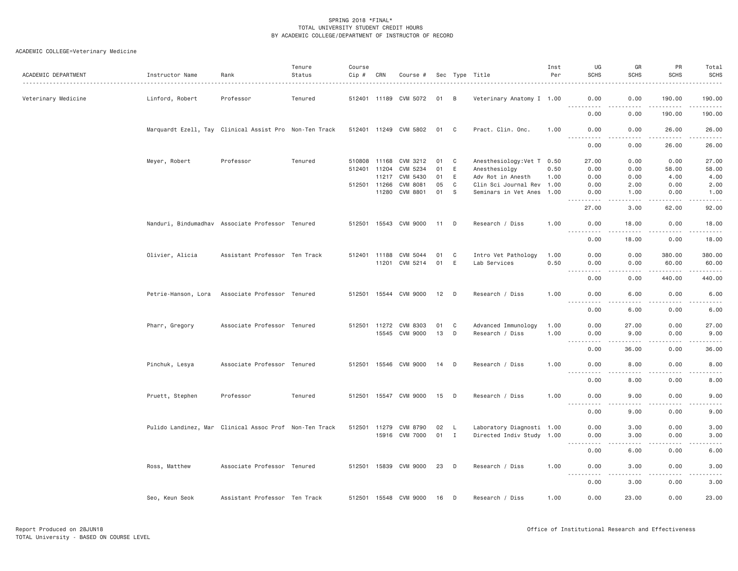| ACADEMIC DEPARTMENT | Instructor Name     | Rank                                                   | Tenure<br>Status | Course<br>$Cip \#$ | CRN          | Course #              |        |              | Sec Type Title             | Inst<br>Per | UG<br><b>SCHS</b>            | GR<br><b>SCHS</b>                                                                                                                                            | PR<br><b>SCHS</b>                     | Total<br><b>SCHS</b>                                                                                                                                                                     |
|---------------------|---------------------|--------------------------------------------------------|------------------|--------------------|--------------|-----------------------|--------|--------------|----------------------------|-------------|------------------------------|--------------------------------------------------------------------------------------------------------------------------------------------------------------|---------------------------------------|------------------------------------------------------------------------------------------------------------------------------------------------------------------------------------------|
| Veterinary Medicine | Linford, Robert     | Professor                                              | Tenured          |                    |              | 512401 11189 CVM 5072 | 01 B   |              | Veterinary Anatomy I 1.00  |             | 0.00                         | 0.00                                                                                                                                                         | 190.00                                | 190.00                                                                                                                                                                                   |
|                     |                     |                                                        |                  |                    |              |                       |        |              |                            |             | .<br>0.00                    | -----<br>0.00                                                                                                                                                | 190.00                                | $\sim$ $\sim$ $\sim$ $\sim$ $\sim$<br>190.00                                                                                                                                             |
|                     |                     | Marquardt Ezell, Tay Clinical Assist Pro Non-Ten Track |                  |                    |              | 512401 11249 CVM 5802 | 01 C   |              | Pract. Clin. Onc.          | 1.00        | 0.00<br>$- - - - -$          | 0.00<br>.                                                                                                                                                    | 26,00<br>.                            | 26.00<br>.                                                                                                                                                                               |
|                     |                     |                                                        |                  |                    |              |                       |        |              |                            |             | 0.00                         | 0.00                                                                                                                                                         | 26.00                                 | 26.00                                                                                                                                                                                    |
|                     | Meyer, Robert       | Professor                                              | Tenured          | 510808 11168       |              | CVM 3212              | 01     | $\mathbf{C}$ | Anesthesiology: Vet T 0.50 |             | 27.00                        | 0.00                                                                                                                                                         | 0.00                                  | 27.00                                                                                                                                                                                    |
|                     |                     |                                                        |                  |                    | 512401 11204 | CVM 5234              | 01     | E            | Anesthesiolgy              | 0.50        | 0.00                         | 0.00                                                                                                                                                         | 58.00                                 | 58.00                                                                                                                                                                                    |
|                     |                     |                                                        |                  |                    | 11217        | CVM 5430              | 01     | E            | Adv Rot in Anesth          | 1.00        | 0.00                         | 0.00                                                                                                                                                         | 4.00                                  | 4.00                                                                                                                                                                                     |
|                     |                     |                                                        |                  | 512501 11266       |              | CVM 8081              | 05     | C            | Clin Sci Journal Rev 1.00  |             | 0.00                         | 2.00                                                                                                                                                         | 0.00                                  | 2.00                                                                                                                                                                                     |
|                     |                     |                                                        |                  |                    | 11280        | CVM 8801              | 01     | - S          | Seminars in Vet Anes 1.00  |             | 0.00<br>.                    | 1.00<br>.                                                                                                                                                    | 0.00<br><u>.</u>                      | 1.00                                                                                                                                                                                     |
|                     |                     |                                                        |                  |                    |              |                       |        |              |                            |             | 27.00                        | 3.00                                                                                                                                                         | 62.00                                 | $\frac{1}{2}$<br>92.00                                                                                                                                                                   |
|                     |                     | Nanduri, Bindumadhav Associate Professor Tenured       |                  |                    |              | 512501 15543 CVM 9000 | 11 D   |              | Research / Diss            | 1.00        | 0.00<br>.                    | 18.00<br>.                                                                                                                                                   | 0.00<br>.                             | 18.00<br>$\frac{1}{2} \left( \frac{1}{2} \right) \left( \frac{1}{2} \right) \left( \frac{1}{2} \right) \left( \frac{1}{2} \right) \left( \frac{1}{2} \right) \left( \frac{1}{2} \right)$ |
|                     |                     |                                                        |                  |                    |              |                       |        |              |                            |             | 0.00                         | 18.00                                                                                                                                                        | 0.00                                  | 18.00                                                                                                                                                                                    |
|                     |                     | Assistant Professor Ten Track                          |                  | 512401 11188       |              | CVM 5044              | 01     | C            |                            | 1.00        | 0.00                         | 0.00                                                                                                                                                         | 380.00                                | 380.00                                                                                                                                                                                   |
|                     | Olivier, Alicia     |                                                        |                  |                    |              |                       |        |              | Intro Vet Pathology        |             |                              |                                                                                                                                                              |                                       |                                                                                                                                                                                          |
|                     |                     |                                                        |                  |                    | 11201        | CVM 5214              | 01     | E            | Lab Services               | 0.50        | 0.00<br>1.1.1.1.1<br>$- - -$ | 0.00<br>د د د د                                                                                                                                              | 60.00<br>.                            | 60.00<br>.                                                                                                                                                                               |
|                     |                     |                                                        |                  |                    |              |                       |        |              |                            |             | 0.00                         | 0.00                                                                                                                                                         | 440.00                                | 440.00                                                                                                                                                                                   |
|                     | Petrie-Hanson, Lora | Associate Professor Tenured                            |                  |                    |              | 512501 15544 CVM 9000 | 12 D   |              | Research / Diss            | 1.00        | 0.00<br>$- - - -$<br>.       | 6.00<br>.                                                                                                                                                    | 0.00<br>-----                         | 6.00<br>. <b>.</b>                                                                                                                                                                       |
|                     |                     |                                                        |                  |                    |              |                       |        |              |                            |             | 0.00                         | 6.00                                                                                                                                                         | 0.00                                  | 6.00                                                                                                                                                                                     |
|                     | Pharr, Gregory      | Associate Professor Tenured                            |                  | 512501 11272       |              | CVM 8303              | 01     | $\mathbf{C}$ | Advanced Immunology        | 1.00        | 0.00                         | 27.00                                                                                                                                                        | 0.00                                  | 27.00                                                                                                                                                                                    |
|                     |                     |                                                        |                  |                    |              | 15545 CVM 9000        | 13     | D            | Research / Diss            | 1.00        | 0.00                         | 9.00                                                                                                                                                         | 0.00                                  | 9.00                                                                                                                                                                                     |
|                     |                     |                                                        |                  |                    |              |                       |        |              |                            |             | <u>.</u><br>0.00             | .<br>36.00                                                                                                                                                   | <b>.</b><br>0.00                      | .<br>36.00                                                                                                                                                                               |
|                     | Pinchuk, Lesya      | Associate Professor Tenured                            |                  |                    |              | 512501 15546 CVM 9000 | $14$ D |              | Research / Diss            | 1.00        | 0.00<br>----                 | 8.00<br>$- - -$                                                                                                                                              | 0.00                                  | 8.00                                                                                                                                                                                     |
|                     |                     |                                                        |                  |                    |              |                       |        |              |                            |             | 0.00                         | 8.00                                                                                                                                                         | 0.00                                  | 8.00                                                                                                                                                                                     |
|                     | Pruett, Stephen     | Professor                                              | Tenured          |                    | 512501 15547 | CVM 9000              | 15     | D            | Research / Diss            | 1.00        | 0.00                         | 9.00                                                                                                                                                         | 0.00                                  | 9.00                                                                                                                                                                                     |
|                     |                     |                                                        |                  |                    |              |                       |        |              |                            |             | <u>.</u><br>0.00             | د د د د<br>9.00                                                                                                                                              | .<br>0.00                             | $\sim$ $\sim$ $\sim$ $\sim$<br>9.00                                                                                                                                                      |
|                     |                     |                                                        |                  |                    |              |                       |        |              |                            |             |                              |                                                                                                                                                              |                                       |                                                                                                                                                                                          |
|                     |                     | Pulido Landinez, Mar Clinical Assoc Prof Non-Ten Track |                  | 512501             | 11279        | CVM 8790              | 02     | - L          | Laboratory Diagnosti 1.00  |             | 0.00                         | 3.00                                                                                                                                                         | 0.00                                  | 3.00                                                                                                                                                                                     |
|                     |                     |                                                        |                  |                    |              | 15916 CVM 7000        | $01$ I |              | Directed Indiv Study 1.00  |             | 0.00<br><u>.</u>             | 3.00<br>$\frac{1}{2} \left( \frac{1}{2} \right) \left( \frac{1}{2} \right) \left( \frac{1}{2} \right) \left( \frac{1}{2} \right) \left( \frac{1}{2} \right)$ | 0.00<br><b><i><u><u>.</u></u></i></b> | 3.00<br>$\frac{1}{2} \left( \frac{1}{2} \right) \left( \frac{1}{2} \right) \left( \frac{1}{2} \right) \left( \frac{1}{2} \right) \left( \frac{1}{2} \right)$                             |
|                     |                     |                                                        |                  |                    |              |                       |        |              |                            |             | 0.00                         | 6.00                                                                                                                                                         | 0.00                                  | 6.00                                                                                                                                                                                     |
|                     | Ross, Matthew       | Associate Professor Tenured                            |                  |                    |              | 512501 15839 CVM 9000 | 23 D   |              | Research / Diss            | 1.00        | 0.00<br>.<br>$- - - -$       | 3.00<br>.                                                                                                                                                    | 0.00<br>.                             | 3.00<br>.                                                                                                                                                                                |
|                     |                     |                                                        |                  |                    |              |                       |        |              |                            |             | 0.00                         | 3.00                                                                                                                                                         | 0.00                                  | 3.00                                                                                                                                                                                     |
|                     | Seo, Keun Seok      | Assistant Professor Ten Track                          |                  |                    |              | 512501 15548 CVM 9000 | 16 D   |              | Research / Diss            | 1.00        | 0.00                         | 23.00                                                                                                                                                        | 0.00                                  | 23.00                                                                                                                                                                                    |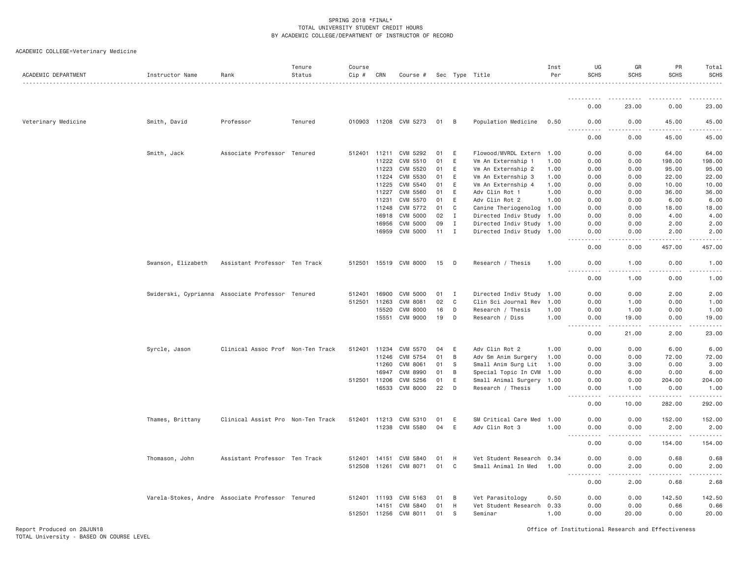| ACADEMIC DEPARTMENT | Instructor Name                                  | Rank                              | Tenure<br>Status | Course<br>Cip # | CRN          | Course #              |      |              | Sec Type Title       | Inst<br>Per | UG<br><b>SCHS</b>                         | GR<br><b>SCHS</b>                                                                                                                                            | PR<br><b>SCHS</b>                                                                                                                   | Total<br><b>SCHS</b> |
|---------------------|--------------------------------------------------|-----------------------------------|------------------|-----------------|--------------|-----------------------|------|--------------|----------------------|-------------|-------------------------------------------|--------------------------------------------------------------------------------------------------------------------------------------------------------------|-------------------------------------------------------------------------------------------------------------------------------------|----------------------|
|                     |                                                  |                                   |                  |                 |              |                       |      |              |                      |             | .                                         |                                                                                                                                                              |                                                                                                                                     |                      |
|                     |                                                  |                                   |                  |                 |              |                       |      |              |                      |             | 0.00                                      | 23.00                                                                                                                                                        | 0.00                                                                                                                                | 23.00                |
| Veterinary Medicine | Smith, David                                     | Professor                         | Tenured          |                 |              | 010903 11208 CVM 5273 | 01 B |              | Population Medicine  | 0.50        | 0.00                                      | 0.00                                                                                                                                                         | 45.00                                                                                                                               | 45.00                |
|                     |                                                  |                                   |                  |                 |              |                       |      |              |                      |             | 0.00                                      | 0.00                                                                                                                                                         | 45.00                                                                                                                               | 45.00                |
|                     | Smith, Jack                                      | Associate Professor Tenured       |                  | 512401          | 11211        | CVM 5292              | 01   | E            | Flowood/MVRDL Extern | 1.00        | 0.00                                      | 0.00                                                                                                                                                         | 64.00                                                                                                                               | 64.00                |
|                     |                                                  |                                   |                  |                 | 11222        | CVM 5510              | 01   | E            | Vm An Externship 1   | 1.00        | 0.00                                      | 0.00                                                                                                                                                         | 198.00                                                                                                                              | 198.00               |
|                     |                                                  |                                   |                  |                 | 11223        | CVM 5520              | 01   | E            | Vm An Externship 2   | 1.00        | 0.00                                      | 0.00                                                                                                                                                         | 95.00                                                                                                                               | 95.00                |
|                     |                                                  |                                   |                  |                 | 11224        | CVM 5530              | 01   | E.           | Vm An Externship 3   | 1.00        | 0.00                                      | 0.00                                                                                                                                                         | 22.00                                                                                                                               | 22.00                |
|                     |                                                  |                                   |                  |                 | 11225        | CVM 5540              | 01   | E            | Vm An Externship 4   | 1.00        | 0.00                                      | 0.00                                                                                                                                                         | 10.00                                                                                                                               | 10.00                |
|                     |                                                  |                                   |                  |                 | 11227        | CVM 5560              | 01   | E            | Adv Clin Rot 1       | 1.00        | 0.00                                      | 0.00                                                                                                                                                         | 36.00                                                                                                                               | 36.00                |
|                     |                                                  |                                   |                  |                 | 11231        | CVM 5570              | 01   | E            | Adv Clin Rot 2       | 1.00        | 0.00                                      | 0.00                                                                                                                                                         | 6.00                                                                                                                                | 6.00                 |
|                     |                                                  |                                   |                  |                 | 11248        | CVM 5772              | 01   | C            | Canine Theriogenolog | 1.00        | 0.00                                      | 0.00                                                                                                                                                         | 18.00                                                                                                                               | 18.00                |
|                     |                                                  |                                   |                  |                 | 16918        | CVM 5000              | 02   | $\mathbf I$  | Directed Indiv Study | 1.00        | 0.00                                      | 0.00                                                                                                                                                         | 4.00                                                                                                                                | 4.00                 |
|                     |                                                  |                                   |                  |                 | 16956        | CVM 5000              | 09   | $\mathbf{I}$ | Directed Indiv Study | 1.00        | 0.00                                      | 0.00                                                                                                                                                         | 2.00                                                                                                                                | 2.00                 |
|                     |                                                  |                                   |                  |                 | 16959        | CVM 5000              | 11   | $\mathbf{I}$ | Directed Indiv Study | 1.00        | 0.00<br>$\sim$ $\sim$ $\sim$<br>$- - - -$ | 0.00<br>.                                                                                                                                                    | 2.00<br>.                                                                                                                           | 2.00                 |
|                     |                                                  |                                   |                  |                 |              |                       |      |              |                      |             | 0.00                                      | 0.00                                                                                                                                                         | 457.00                                                                                                                              | 457.00               |
|                     | Swanson, Elizabeth                               | Assistant Professor Ten Track     |                  | 512501          |              | 15519 CVM 8000        | 15   | D            | Research / Thesis    | 1.00        | 0.00                                      | 1.00                                                                                                                                                         | 0.00                                                                                                                                | 1.00                 |
|                     |                                                  |                                   |                  |                 |              |                       |      |              |                      |             | 0.00                                      | 1.00                                                                                                                                                         | 0.00                                                                                                                                | 1.00                 |
|                     | Swiderski, Cyprianna Associate Professor Tenured |                                   |                  | 512401          | 16900        | CVM 5000              | 01   | I            | Directed Indiv Study | 1.00        | 0.00                                      | 0.00                                                                                                                                                         | 2.00                                                                                                                                | 2.00                 |
|                     |                                                  |                                   |                  | 512501          | 11263        | CVM 8081              | 02   | $\mathbb C$  | Clin Sci Journal Rev | 1.00        | 0.00                                      | 1.00                                                                                                                                                         | 0.00                                                                                                                                | 1.00                 |
|                     |                                                  |                                   |                  |                 | 15520        | <b>CVM 8000</b>       | 16   | D            | Research / Thesis    | 1.00        | 0.00                                      | 1.00                                                                                                                                                         | 0.00                                                                                                                                | 1.00                 |
|                     |                                                  |                                   |                  |                 | 15551        | CVM 9000              | 19   | D            | Research / Diss      | 1.00        | 0.00<br>$\sim$ $\sim$ $\sim$ $\sim$<br>.  | 19.00<br>$- - - - -$                                                                                                                                         | 0.00<br>.                                                                                                                           | 19.00                |
|                     |                                                  |                                   |                  |                 |              |                       |      |              |                      |             | 0.00                                      | 21.00                                                                                                                                                        | 2.00                                                                                                                                | 23.00                |
|                     | Syrcle, Jason                                    | Clinical Assoc Prof Non-Ten Track |                  | 512401          | 11234        | CVM 5570              | 04   | E            | Adv Clin Rot 2       | 1.00        | 0.00                                      | 0.00                                                                                                                                                         | 6.00                                                                                                                                | 6.00                 |
|                     |                                                  |                                   |                  |                 | 11246        | CVM 5754              | 01   | B            | Adv Sm Anim Surgery  | 1.00        | 0.00                                      | 0.00                                                                                                                                                         | 72.00                                                                                                                               | 72.00                |
|                     |                                                  |                                   |                  |                 | 11260        | CVM 8061              | 01   | - S          | Small Anim Surg Lit  | 1.00        | 0.00                                      | 3.00                                                                                                                                                         | 0.00                                                                                                                                | 3.00                 |
|                     |                                                  |                                   |                  |                 | 16947        | CVM 8990              | 01   | B            | Special Topic In CVM | 1.00        | 0.00                                      | 6.00                                                                                                                                                         | 0.00                                                                                                                                | 6.00                 |
|                     |                                                  |                                   |                  |                 | 512501 11206 | CVM 5256              | 01   | E            | Small Animal Surgery | 1.00        | 0.00                                      | 0.00                                                                                                                                                         | 204.00                                                                                                                              | 204.00               |
|                     |                                                  |                                   |                  |                 | 16533        | <b>CVM 8000</b>       | 22   | D            | Research / Thesis    | 1.00        | 0.00                                      | 1.00                                                                                                                                                         | 0.00                                                                                                                                | 1.00                 |
|                     |                                                  |                                   |                  |                 |              |                       |      |              |                      |             | $\frac{1}{2}$<br>$- - -$<br>0.00          | .<br>10.00                                                                                                                                                   | $\begin{array}{cccccccccccccc} \bullet & \bullet & \bullet & \bullet & \bullet & \bullet & \bullet & \bullet \end{array}$<br>282.00 | 292.00               |
|                     | Thames, Brittany                                 | Clinical Assist Pro Non-Ten Track |                  | 512401          | 11213        | CVM 5310              | 01   | E            | SM Critical Care Med | 1.00        | 0.00                                      | 0.00                                                                                                                                                         | 152.00                                                                                                                              | 152.00               |
|                     |                                                  |                                   |                  |                 | 11238        | CVM 5580              | 04   | E            | Adv Clin Rot 3       | 1.00        | 0.00<br>.                                 | 0.00<br>.                                                                                                                                                    | 2.00<br>.                                                                                                                           | 2.00<br>.            |
|                     |                                                  |                                   |                  |                 |              |                       |      |              |                      |             | 0.00                                      | 0.00                                                                                                                                                         | 154.00                                                                                                                              | 154.00               |
|                     | Thomason, John                                   | Assistant Professor Ten Track     |                  | 512401          | 14151        | CVM 5840              | 01   | H            | Vet Student Research | 0.34        | 0.00                                      | 0.00                                                                                                                                                         | 0.68                                                                                                                                | 0.68                 |
|                     |                                                  |                                   |                  | 512508 11261    |              | CVM 8071              | 01   | C            | Small Animal In Med  | 1.00        | 0.00<br>.                                 | 2.00<br>$\frac{1}{2} \left( \frac{1}{2} \right) \left( \frac{1}{2} \right) \left( \frac{1}{2} \right) \left( \frac{1}{2} \right) \left( \frac{1}{2} \right)$ | 0.00                                                                                                                                | 2.00                 |
|                     |                                                  |                                   |                  |                 |              |                       |      |              |                      |             | 0.00                                      | 2.00                                                                                                                                                         | 0.68                                                                                                                                | 2.68                 |
|                     | Varela-Stokes, Andre Associate Professor Tenured |                                   |                  |                 | 512401 11193 | CVM 5163              | 01   | B            | Vet Parasitology     | 0.50        | 0.00                                      | 0.00                                                                                                                                                         | 142.50                                                                                                                              | 142.50               |
|                     |                                                  |                                   |                  |                 | 14151        | CVM 5840              | 01   | H            | Vet Student Research | 0.33        | 0.00                                      | 0.00                                                                                                                                                         | 0.66                                                                                                                                | 0.66                 |
|                     |                                                  |                                   |                  |                 | 512501 11256 | CVM 8011              | 01   | S            | Seminar              | 1.00        | 0.00                                      | 20,00                                                                                                                                                        | 0.00                                                                                                                                | 20.00                |